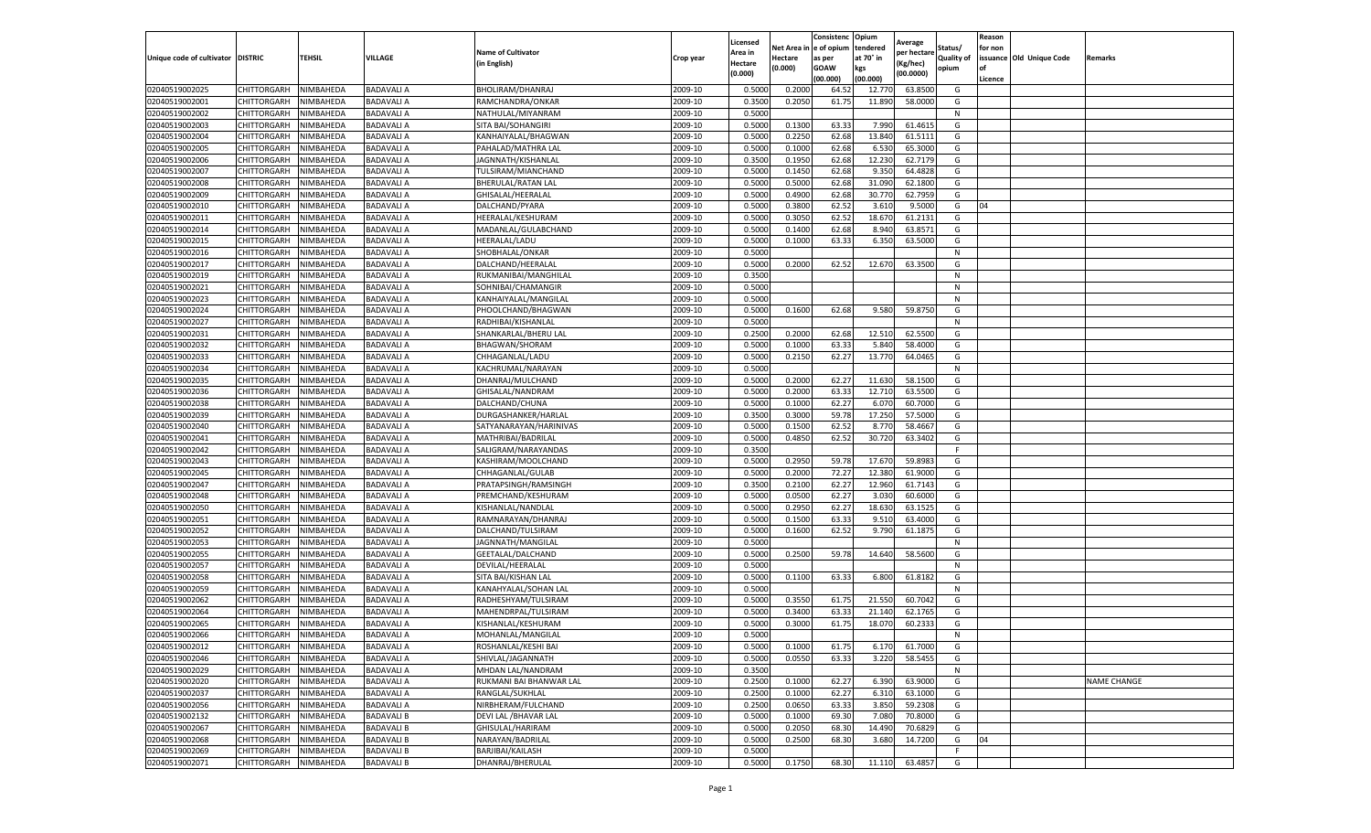|                                   |             |           |                   |                           |           | Licensed |            | Consistenc  | Opium     | Average     |                   | Reason  |                          |                    |
|-----------------------------------|-------------|-----------|-------------------|---------------------------|-----------|----------|------------|-------------|-----------|-------------|-------------------|---------|--------------------------|--------------------|
|                                   |             |           |                   | <b>Name of Cultivator</b> |           | Area in  | Net Area i | e of opium  | tendered  | per hectare | Status/           | for non |                          |                    |
| Unique code of cultivator DISTRIC |             | TEHSIL    | VILLAGE           | (in English)              | Crop year | Hectare  | Hectare    | as per      | at 70° in | (Kg/hec)    | <b>Quality of</b> |         | issuance Old Unique Code | <b>Remarks</b>     |
|                                   |             |           |                   |                           |           | (0.000)  | (0.000)    | <b>GOAW</b> | kgs       | (00.0000)   | opium             |         |                          |                    |
|                                   |             |           |                   |                           |           |          |            | (00.000)    | (00.000)  |             |                   | Licence |                          |                    |
| 02040519002025                    | CHITTORGARH | NIMBAHEDA | <b>BADAVALIA</b>  | BHOLIRAM/DHANRAJ          | 2009-10   | 0.5000   | 0.2000     | 64.52       | 12.770    | 63.8500     | G                 |         |                          |                    |
| 02040519002001                    | CHITTORGARH | NIMBAHEDA | <b>BADAVALI A</b> | RAMCHANDRA/ONKAR          | 2009-10   | 0.350    | 0.2050     | 61.75       | 11.890    | 58.0000     | G                 |         |                          |                    |
| 02040519002002                    | CHITTORGARH | NIMBAHEDA | <b>BADAVALI A</b> | NATHULAL/MIYANRAM         | 2009-10   | 0.5000   |            |             |           |             | N                 |         |                          |                    |
| 02040519002003                    | CHITTORGARH | NIMBAHEDA | <b>BADAVALI A</b> | SITA BAI/SOHANGIRI        | 2009-10   | 0.5000   | 0.1300     | 63.33       | 7.990     | 61.4615     | G                 |         |                          |                    |
| 02040519002004                    | CHITTORGARH | NIMBAHEDA | <b>BADAVALI A</b> | KANHAIYALAL/BHAGWAN       | 2009-10   | 0.5000   | 0.2250     | 62.68       | 13.840    | 61.5111     | G                 |         |                          |                    |
| 02040519002005                    | CHITTORGARH | NIMBAHEDA | <b>BADAVALI A</b> | PAHALAD/MATHRA LAL        | 2009-10   | 0.5000   | 0.1000     | 62.68       | 6.530     | 65.3000     | G                 |         |                          |                    |
| 02040519002006                    | CHITTORGARH | NIMBAHEDA | <b>BADAVALI A</b> | JAGNNATH/KISHANLAL        | 2009-10   | 0.3500   | 0.1950     | 62.68       | 12.230    | 62.7179     | G                 |         |                          |                    |
| 02040519002007                    | CHITTORGARH | NIMBAHEDA | <b>BADAVALI A</b> | TULSIRAM/MIANCHAND        | 2009-10   | 0.500    | 0.1450     | 62.68       | 9.35      | 64.4828     | G                 |         |                          |                    |
| 02040519002008                    | CHITTORGARH | NIMBAHEDA | <b>BADAVALI A</b> | BHERULAL/RATAN LAL        | 2009-10   | 0.5000   | 0.5000     | 62.68       | 31.090    | 62.1800     | G                 |         |                          |                    |
| 02040519002009                    | CHITTORGARH | NIMBAHEDA | <b>BADAVALI A</b> | GHISALAL/HEERALAL         | 2009-10   | 0.5000   | 0.4900     | 62.68       | 30.770    | 62.7959     | G                 |         |                          |                    |
| 02040519002010                    | CHITTORGARH | NIMBAHEDA | <b>BADAVALI A</b> | DALCHAND/PYARA            | 2009-10   | 0.5000   | 0.3800     | 62.52       | 3.610     | 9.5000      | G                 | 04      |                          |                    |
| 02040519002011                    | CHITTORGARH | NIMBAHEDA | <b>BADAVALI A</b> | HEERALAL/KESHURAM         | 2009-10   | 0.5000   | 0.3050     | 62.52       | 18.670    | 61.2131     | G                 |         |                          |                    |
| 02040519002014                    | CHITTORGARH | NIMBAHEDA | <b>BADAVALI A</b> | MADANLAL/GULABCHAND       | 2009-10   | 0.5000   | 0.1400     | 62.68       | 8.940     | 63.8571     | G                 |         |                          |                    |
| 02040519002015                    | CHITTORGARH | NIMBAHEDA | <b>BADAVALI A</b> | <b>HEERALAL/LADU</b>      | 2009-10   | 0.500    | 0.1000     | 63.33       | 6.350     | 63.5000     | G                 |         |                          |                    |
| 02040519002016                    | CHITTORGARH | NIMBAHEDA | <b>BADAVALI A</b> | SHOBHALAL/ONKAR           | 2009-10   | 0.5000   |            |             |           |             | N                 |         |                          |                    |
| 02040519002017                    | CHITTORGARH | NIMBAHEDA | <b>BADAVALI A</b> | DALCHAND/HEERALAL         | 2009-10   | 0.5000   | 0.2000     | 62.52       | 12.670    | 63.3500     | G                 |         |                          |                    |
| 02040519002019                    | CHITTORGARH | NIMBAHEDA | <b>BADAVALI A</b> | RUKMANIBAI/MANGHILAL      | 2009-10   | 0.3500   |            |             |           |             | N                 |         |                          |                    |
| 02040519002021                    | CHITTORGARH | NIMBAHEDA | <b>BADAVALI A</b> | SOHNIBAI/CHAMANGIR        | 2009-10   | 0.5000   |            |             |           |             | N                 |         |                          |                    |
| 02040519002023                    | CHITTORGARH | NIMBAHEDA | <b>BADAVALI A</b> | KANHAIYALAL/MANGILAL      | 2009-10   | 0.5000   |            |             |           |             | N                 |         |                          |                    |
| 02040519002024                    | CHITTORGARH | NIMBAHEDA | <b>BADAVALI A</b> | PHOOLCHAND/BHAGWAN        | 2009-10   | 0.5000   | 0.1600     | 62.68       | 9.580     | 59.8750     | G                 |         |                          |                    |
| 02040519002027                    | CHITTORGARH | NIMBAHEDA | <b>BADAVALI A</b> | RADHIBAI/KISHANLAL        | 2009-10   | 0.5000   |            |             |           |             | N                 |         |                          |                    |
| 02040519002031                    | CHITTORGARH | NIMBAHEDA | <b>BADAVALI A</b> | SHANKARLAL/BHERU LAL      | 2009-10   | 0.2500   | 0.2000     | 62.68       | 12.510    | 62.5500     | G                 |         |                          |                    |
| 02040519002032                    | CHITTORGARH | NIMBAHEDA | <b>BADAVALI A</b> | BHAGWAN/SHORAM            | 2009-10   | 0.5000   | 0.1000     | 63.33       | 5.840     | 58.4000     | G                 |         |                          |                    |
| 02040519002033                    | CHITTORGARH | NIMBAHEDA | <b>BADAVALI A</b> | CHHAGANLAL/LADU           | 2009-10   | 0.5000   | 0.2150     | 62.27       | 13.770    | 64.0465     | G                 |         |                          |                    |
| 02040519002034                    | CHITTORGARH | NIMBAHEDA | <b>BADAVALI A</b> | KACHRUMAL/NARAYAN         | 2009-10   | 0.5000   |            |             |           |             | N                 |         |                          |                    |
| 02040519002035                    | CHITTORGARH | NIMBAHEDA | <b>BADAVALI A</b> | DHANRAJ/MULCHAND          | 2009-10   | 0.5000   | 0.2000     | 62.27       | 11.630    | 58.1500     | G                 |         |                          |                    |
| 02040519002036                    | CHITTORGARH | NIMBAHEDA | <b>BADAVALI A</b> | GHISALAL/NANDRAM          | 2009-10   | 0.5000   | 0.2000     | 63.33       | 12.710    | 63.5500     | G                 |         |                          |                    |
| 02040519002038                    | CHITTORGARH | NIMBAHEDA | <b>BADAVALI A</b> | DALCHAND/CHUNA            | 2009-10   | 0.5000   | 0.1000     | 62.27       | 6.070     | 60.7000     | G                 |         |                          |                    |
| 02040519002039                    | CHITTORGARH | NIMBAHEDA | <b>BADAVALI A</b> | DURGASHANKER/HARLAL       | 2009-10   | 0.3500   | 0.3000     | 59.78       | 17.250    | 57.5000     | G                 |         |                          |                    |
| 02040519002040                    | CHITTORGARH | NIMBAHEDA | <b>BADAVALI A</b> | SATYANARAYAN/HARINIVAS    | 2009-10   | 0.5000   | 0.1500     | 62.52       | 8.770     | 58.4667     | G                 |         |                          |                    |
| 02040519002041                    | CHITTORGARH | NIMBAHEDA | <b>BADAVALI A</b> | MATHRIBAI/BADRILAL        | 2009-10   | 0.5000   | 0.4850     | 62.52       | 30.720    | 63.3402     | G                 |         |                          |                    |
| 02040519002042                    | CHITTORGARH | NIMBAHEDA | <b>BADAVALI A</b> | SALIGRAM/NARAYANDAS       | 2009-10   | 0.3500   |            |             |           |             | F                 |         |                          |                    |
| 02040519002043                    | CHITTORGARH | NIMBAHEDA | <b>BADAVALI A</b> | KASHIRAM/MOOLCHAND        | 2009-10   | 0.5000   | 0.2950     | 59.78       | 17.670    | 59.898      | G                 |         |                          |                    |
| 02040519002045                    | CHITTORGARH | NIMBAHEDA | <b>BADAVALI A</b> | CHHAGANLAL/GULAB          | 2009-10   | 0.5000   | 0.2000     | 72.27       | 12.380    | 61.9000     | G                 |         |                          |                    |
| 02040519002047                    | CHITTORGARH | NIMBAHEDA | <b>BADAVALI A</b> | PRATAPSINGH/RAMSINGH      | 2009-10   | 0.3500   | 0.2100     | 62.27       | 12.960    | 61.7143     | G                 |         |                          |                    |
| 02040519002048                    | CHITTORGARH | NIMBAHEDA | <b>BADAVALI A</b> | PREMCHAND/KESHURAM        | 2009-10   | 0.5000   | 0.0500     | 62.27       | 3.030     | 60.6000     | G                 |         |                          |                    |
| 02040519002050                    | CHITTORGARH | NIMBAHEDA | <b>BADAVALI A</b> | KISHANLAL/NANDLAL         | 2009-10   | 0.5000   | 0.2950     | 62.27       | 18.630    | 63.1525     | G                 |         |                          |                    |
| 02040519002051                    | CHITTORGARH | NIMBAHEDA | <b>BADAVALI A</b> | RAMNARAYAN/DHANRAJ        | 2009-10   | 0.5000   | 0.1500     | 63.33       | 9.51      | 63.4000     | G                 |         |                          |                    |
| 02040519002052                    | CHITTORGARH | NIMBAHEDA | <b>BADAVALI A</b> | DALCHAND/TULSIRAM         | 2009-10   | 0.5000   | 0.1600     | 62.52       | 9.790     | 61.1875     | G                 |         |                          |                    |
| 02040519002053                    | CHITTORGARH | NIMBAHEDA | <b>BADAVALI A</b> | JAGNNATH/MANGILAL         | 2009-10   | 0.5000   |            |             |           |             | N                 |         |                          |                    |
| 02040519002055                    | CHITTORGARH | NIMBAHEDA | <b>BADAVALI A</b> | GEETALAL/DALCHAND         | 2009-10   | 0.5000   | 0.2500     | 59.78       | 14.640    | 58.5600     | G                 |         |                          |                    |
| 02040519002057                    | CHITTORGARH | NIMBAHEDA | <b>BADAVALI A</b> | DEVILAL/HEERALAL          | 2009-10   | 0.5000   |            |             |           |             | N                 |         |                          |                    |
| 02040519002058                    | CHITTORGARH | NIMBAHEDA | <b>BADAVALI A</b> | SITA BAI/KISHAN LAL       | 2009-10   | 0.5000   | 0.1100     | 63.33       | 6.800     | 61.8182     | G                 |         |                          |                    |
| 02040519002059                    | CHITTORGARH | NIMBAHEDA | <b>BADAVALI A</b> | KANAHYALAL/SOHAN LAL      | 2009-10   | 0.5000   |            |             |           |             | N                 |         |                          |                    |
| 02040519002062                    | CHITTORGARH | NIMBAHEDA | <b>BADAVALI A</b> | RADHESHYAM/TULSIRAM       | 2009-10   | 0.5000   | 0.3550     | 61.75       | 21.550    | 60.7042     | G                 |         |                          |                    |
| 02040519002064                    | CHITTORGARH | NIMBAHEDA | <b>BADAVALI A</b> | MAHENDRPAL/TULSIRAM       | 2009-10   | 0.500    | 0.3400     | 63.3        | 21.140    | 62.1765     | G                 |         |                          |                    |
| 02040519002065                    | CHITTORGARH | NIMBAHEDA | <b>BADAVALI A</b> | KISHANLAL/KESHURAM        | 2009-10   | 0.5000   | 0.3000     | 61.75       | 18.070    | 60.2333     | G                 |         |                          |                    |
| 02040519002066                    | CHITTORGARH | NIMBAHEDA | <b>BADAVALI A</b> | MOHANLAL/MANGILAL         | 2009-10   | 0.5000   |            |             |           |             | N                 |         |                          |                    |
| 02040519002012                    | CHITTORGARH | NIMBAHEDA | <b>BADAVALI A</b> | ROSHANLAL/KESHI BAI       | 2009-10   | 0.5000   | 0.1000     | 61.75       | 6.170     | 61.7000     | G                 |         |                          |                    |
| 02040519002046                    | CHITTORGARH | NIMBAHEDA | <b>BADAVALI A</b> | SHIVLAL/JAGANNATH         | 2009-10   | 0.5000   | 0.0550     | 63.33       | 3.220     | 58.5455     | G                 |         |                          |                    |
| 02040519002029                    | CHITTORGARH | NIMBAHEDA | <b>BADAVALI A</b> | MHDAN LAL/NANDRAM         | 2009-10   | 0.3500   |            |             |           |             | N                 |         |                          |                    |
| 02040519002020                    | CHITTORGARH | NIMBAHEDA | <b>BADAVALI A</b> | RUKMANI BAI BHANWAR LAL   | 2009-10   | 0.2500   | 0.1000     | 62.27       | 6.390     | 63.9000     | G                 |         |                          | <b>NAME CHANGE</b> |
| 02040519002037                    | CHITTORGARH | NIMBAHEDA | <b>BADAVALI A</b> | RANGLAL/SUKHLAL           | 2009-10   | 0.2500   | 0.1000     | 62.27       | 6.310     | 63.1000     | G                 |         |                          |                    |
| 02040519002056                    | CHITTORGARH | NIMBAHEDA | <b>BADAVALI A</b> | NIRBHERAM/FULCHAND        | 2009-10   | 0.2500   | 0.0650     | 63.33       | 3.850     | 59.2308     | G                 |         |                          |                    |
| 02040519002132                    | CHITTORGARH | NIMBAHEDA | <b>BADAVALI B</b> | DEVI LAL / BHAVAR LAL     | 2009-10   | 0.5000   | 0.1000     | 69.30       | 7.080     | 70.8000     | G                 |         |                          |                    |
| 02040519002067                    | CHITTORGARH | NIMBAHEDA | <b>BADAVALI B</b> | GHISULAL/HARIRAM          | 2009-10   | 0.5000   | 0.2050     | 68.30       | 14.490    | 70.6829     | G                 |         |                          |                    |
| 02040519002068                    | CHITTORGARH | NIMBAHEDA | <b>BADAVALI B</b> | NARAYAN/BADRILAL          | 2009-10   | 0.5000   | 0.2500     | 68.30       | 3.680     | 14.7200     | G                 | 04      |                          |                    |
| 02040519002069                    | CHITTORGARH | NIMBAHEDA | <b>BADAVALI B</b> | BARJIBAI/KAILASH          | 2009-10   | 0.5000   |            |             |           |             | F                 |         |                          |                    |
| 02040519002071                    | CHITTORGARH | NIMBAHEDA | <b>BADAVALI B</b> | DHANRAJ/BHERULAL          | 2009-10   | 0.5000   | 0.1750     | 68.30       | 11.110    | 63.4857     | G                 |         |                          |                    |
|                                   |             |           |                   |                           |           |          |            |             |           |             |                   |         |                          |                    |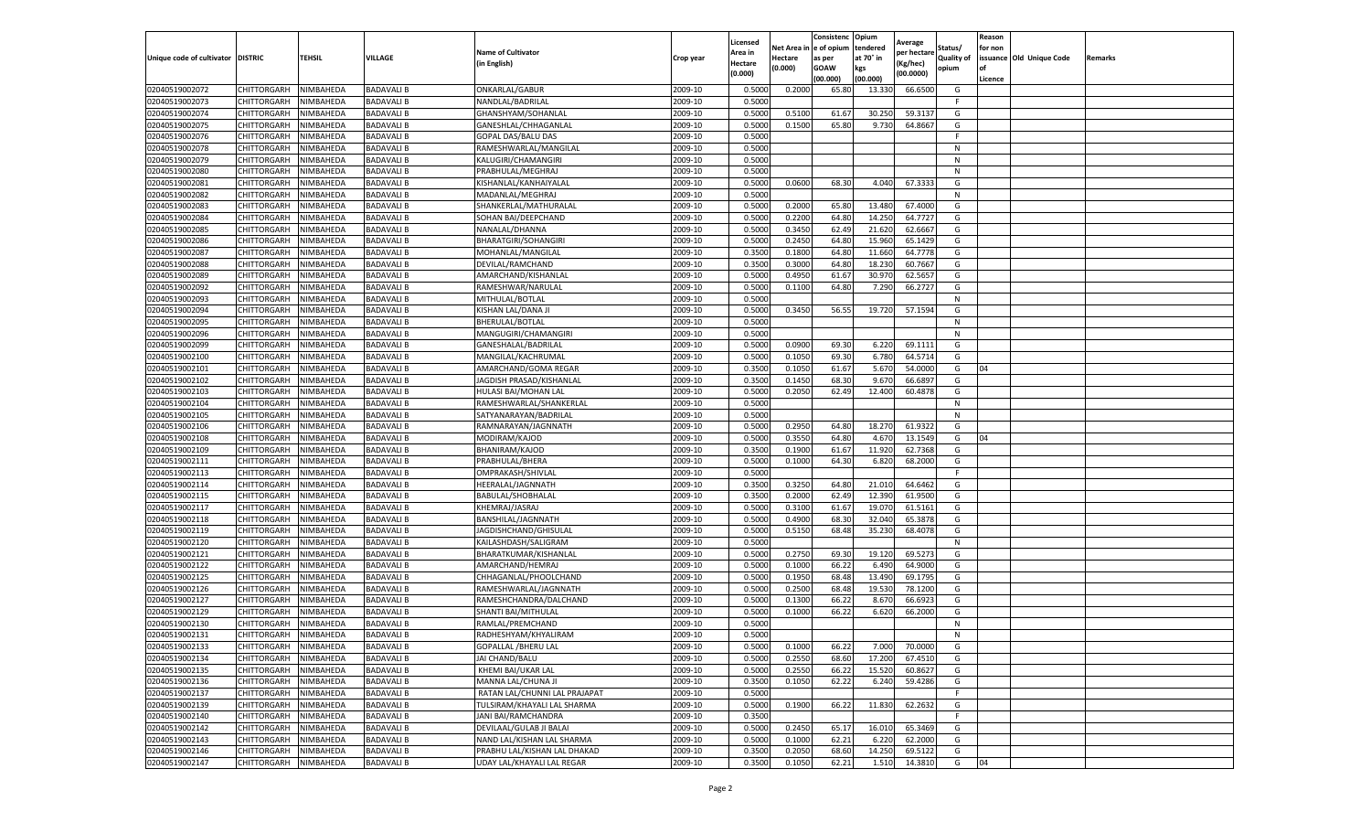|                                   |                                   |                        |                                        |                                                     |                    | Licensed         |                  | Consistenc             | Opium           |                        |                   | Reason  |                          |                |
|-----------------------------------|-----------------------------------|------------------------|----------------------------------------|-----------------------------------------------------|--------------------|------------------|------------------|------------------------|-----------------|------------------------|-------------------|---------|--------------------------|----------------|
|                                   |                                   |                        |                                        | <b>Name of Cultivator</b>                           |                    | Area in          |                  | Net Area in e of opium | tendered        | Average<br>per hectare | Status/           | for non |                          |                |
| Unique code of cultivator DISTRIC |                                   | TEHSIL                 | VILLAGE                                | in English)                                         | Crop year          | Hectare          | Hectare          | as per                 | at 70° in       | (Kg/hec                | <b>Quality of</b> |         | issuance Old Unique Code | <b>Remarks</b> |
|                                   |                                   |                        |                                        |                                                     |                    | (0.000)          | (0.000)          | <b>GOAW</b>            | kgs             | (00.0000)              | opium             |         |                          |                |
|                                   |                                   |                        |                                        |                                                     |                    |                  |                  | (00.000)               | (00.000)        |                        |                   | Licence |                          |                |
| 02040519002072                    | CHITTORGARH                       | NIMBAHEDA              | <b>BADAVALI B</b>                      | ONKARLAL/GABUR                                      | 2009-10            | 0.5000           | 0.2000           | 65.80                  | 13.33           | 66.6500                | G                 |         |                          |                |
| 02040519002073                    | CHITTORGARH                       | NIMBAHEDA              | <b>BADAVALI B</b>                      | NANDLAL/BADRILAL                                    | 2009-10            | 0.5000           |                  |                        |                 |                        | F.                |         |                          |                |
| 02040519002074                    | CHITTORGARH                       | NIMBAHEDA              | <b>BADAVALI B</b>                      | GHANSHYAM/SOHANLAL                                  | 2009-10            | 0.5000           | 0.5100           | 61.67                  | 30.250          | 59.3137                | G                 |         |                          |                |
| 02040519002075                    | CHITTORGARH                       | NIMBAHEDA              | <b>BADAVALI B</b>                      | GANESHLAL/CHHAGANLAL                                | 2009-10            | 0.5000           | 0.1500           | 65.80                  | 9.730           | 64.8667                | G                 |         |                          |                |
| 02040519002076                    | <b>CHITTORGARH</b>                | NIMBAHEDA              | <b>BADAVALI B</b>                      | GOPAL DAS/BALU DAS                                  | 2009-10            | 0.5000           |                  |                        |                 |                        | F                 |         |                          |                |
| 02040519002078                    | CHITTORGARH                       | NIMBAHEDA              | <b>BADAVALI B</b>                      | RAMESHWARLAL/MANGILAL                               | 2009-10            | 0.5000           |                  |                        |                 |                        | N                 |         |                          |                |
| 02040519002079                    | CHITTORGARH                       | NIMBAHEDA              | <b>BADAVALI B</b>                      | KALUGIRI/CHAMANGIRI                                 | 2009-10            | 0.5000           |                  |                        |                 |                        | N                 |         |                          |                |
| 02040519002080                    | CHITTORGARH                       | NIMBAHEDA              | <b>BADAVALI B</b>                      | PRABHULAL/MEGHRAJ                                   | 2009-10            | 0.5000           |                  |                        |                 |                        | N                 |         |                          |                |
| 02040519002081                    | CHITTORGARH                       | NIMBAHEDA              | <b>BADAVALI B</b>                      | KISHANLAL/KANHAIYALAI                               | 2009-10            | 0.5000           | 0.0600           | 68.30                  | 4.040           | 67.3333                | G                 |         |                          |                |
| 02040519002082                    | CHITTORGARH                       | NIMBAHEDA              | <b>BADAVALI B</b>                      | MADANLAL/MEGHRAJ                                    | 2009-10            | 0.5000           |                  |                        |                 |                        | N                 |         |                          |                |
| 02040519002083                    | CHITTORGARH                       | NIMBAHEDA              | <b>BADAVALI B</b>                      | SHANKERLAL/MATHURALAL                               | 2009-10            | 0.5000           | 0.2000           | 65.80                  | 13.480          | 67.4000                | G                 |         |                          |                |
| 02040519002084                    | CHITTORGARH                       | NIMBAHEDA              | BADAVALI B                             | SOHAN BAI/DEEPCHAND                                 | 2009-10            | 0.5000           | 0.2200           | 64.80                  | 14.25           | 64.7727                | G                 |         |                          |                |
| 02040519002085                    | CHITTORGARH                       | NIMBAHEDA              | <b>BADAVALI B</b>                      | NANALAL/DHANNA                                      | 2009-10            | 0.5000           | 0.3450           | 62.49                  | 21.62           | 62.6667                | G                 |         |                          |                |
| 02040519002086                    | CHITTORGARH                       | NIMBAHEDA              | <b>BADAVALI B</b>                      | BHARATGIRI/SOHANGIRI                                | 2009-10            | 0.5000           | 0.2450           | 64.80                  | 15.960          | 65.1429                | G                 |         |                          |                |
| 02040519002087                    | CHITTORGARH                       | NIMBAHEDA              | BADAVALI B                             | MOHANLAL/MANGILAL                                   | 2009-10            | 0.3500           | 0.1800           | 64.80                  | 11.660          | 64.7778                | G                 |         |                          |                |
| 02040519002088                    | CHITTORGARH                       | NIMBAHEDA              | <b>BADAVALI B</b>                      | DEVILAL/RAMCHAND                                    | 2009-10            | 0.3500           | 0.3000           | 64.80                  | 18.23           | 60.7667                | G                 |         |                          |                |
| 02040519002089                    | CHITTORGARH                       | NIMBAHEDA              | <b>BADAVALI B</b>                      | AMARCHAND/KISHANLAL                                 | 2009-10            | 0.5000           | 0.4950           | 61.67                  | 30.97           | 62.565                 | G                 |         |                          |                |
| 02040519002092                    | CHITTORGARH                       | NIMBAHEDA              | <b>BADAVALI B</b>                      | RAMESHWAR/NARULAL                                   | 2009-10            | 0.5000           | 0.1100           | 64.80                  | 7.290           | 66.2727                | G                 |         |                          |                |
| 02040519002093                    | CHITTORGARH                       | NIMBAHEDA              | <b>BADAVALI B</b>                      | MITHULAL/BOTLAL                                     | 2009-10            | 0.5000           |                  |                        |                 |                        | N                 |         |                          |                |
| 02040519002094                    | CHITTORGARH                       | NIMBAHEDA              | <b>BADAVALI B</b>                      | KISHAN LAL/DANA JI                                  | 2009-10            | 0.5000           | 0.3450           | 56.55                  | 19.720          | 57.1594                | G                 |         |                          |                |
| 02040519002095                    | CHITTORGARH                       | NIMBAHEDA              | <b>BADAVALI B</b>                      | BHERULAL/BOTLAL                                     | 2009-10            | 0.5000           |                  |                        |                 |                        | N                 |         |                          |                |
| 02040519002096                    | CHITTORGARH                       | NIMBAHEDA              | <b>BADAVALI B</b>                      | MANGUGIRI/CHAMANGIRI                                | 2009-10            | 0.5000           |                  |                        |                 |                        | N                 |         |                          |                |
| 02040519002099                    | CHITTORGARH                       | NIMBAHEDA              | <b>BADAVALI B</b>                      | GANESHALAL/BADRILAL                                 | 2009-10            | 0.5000           | 0.0900           | 69.30                  | 6.220           | 69.1111                | G                 |         |                          |                |
| 02040519002100                    | CHITTORGARH                       | NIMBAHEDA              | BADAVALI B                             | MANGILAL/KACHRUMAL                                  | 2009-10            | 0.5000           | 0.1050           | 69.30                  | 6.780           | 64.5714                | G                 |         |                          |                |
| 02040519002101                    | CHITTORGARH                       | NIMBAHEDA              | <b>BADAVALI B</b>                      | AMARCHAND/GOMA REGAR                                | 2009-10            | 0.3500           | 0.1050           | 61.67                  | 5.67            | 54.0000                | G                 | 04      |                          |                |
| 02040519002102                    | CHITTORGARH                       | NIMBAHEDA              | <b>BADAVALI B</b>                      | JAGDISH PRASAD/KISHANLAL                            | 2009-10            | 0.3500           | 0.1450           | 68.30                  | 9.67            | 66.6897                | G                 |         |                          |                |
| 02040519002103                    | CHITTORGARH                       | NIMBAHEDA              | <b>BADAVALI B</b>                      | HULASI BAI/MOHAN LAL                                | 2009-10            | 0.5000           | 0.2050           | 62.49                  | 12.400          | 60.4878                | G                 |         |                          |                |
| 02040519002104                    | CHITTORGARH                       | NIMBAHEDA              | <b>BADAVALI B</b>                      | RAMESHWARLAL/SHANKERLAL                             | 2009-10            | 0.5000           |                  |                        |                 |                        | N                 |         |                          |                |
| 02040519002105                    | CHITTORGARH                       | NIMBAHEDA              | <b>BADAVALI B</b>                      | SATYANARAYAN/BADRILAL                               | 2009-10            | 0.5000           |                  |                        |                 |                        | N                 |         |                          |                |
| 02040519002106                    | CHITTORGARH                       | NIMBAHEDA              | <b>BADAVALI B</b>                      | RAMNARAYAN/JAGNNATH                                 | 2009-10            | 0.5000           | 0.2950           | 64.80                  | 18.27           | 61.9322                | G                 |         |                          |                |
| 02040519002108                    | CHITTORGARH                       | NIMBAHEDA              | <b>BADAVALI B</b>                      | MODIRAM/KAJOD                                       | 2009-10            | 0.5000           | 0.3550           | 64.80                  | 4.67            | 13.1549                | G                 | 04      |                          |                |
| 02040519002109                    | CHITTORGARH                       | NIMBAHEDA              | <b>BADAVALI B</b>                      | BHANIRAM/KAJOD                                      | 2009-10            | 0.3500           | 0.1900           | 61.67                  | 11.920          | 62.7368                | G                 |         |                          |                |
| 02040519002111                    | CHITTORGARH                       | NIMBAHEDA              | <b>BADAVALI B</b>                      | PRABHULAL/BHERA                                     | 2009-10            | 0.5000           | 0.1000           | 64.30                  | 6.820           | 68.2000                | G                 |         |                          |                |
| 02040519002113                    | CHITTORGARH                       | NIMBAHEDA              | BADAVALI B                             | OMPRAKASH/SHIVLAL                                   | 2009-10            | 0.5000           |                  |                        |                 |                        | F.                |         |                          |                |
| 02040519002114                    | CHITTORGARH                       | NIMBAHEDA              | <b>BADAVALI B</b>                      | HEERALAL/JAGNNATH                                   | 2009-10            | 0.3500           | 0.3250           | 64.80                  | 21.01           | 64.6462                | G                 |         |                          |                |
| 02040519002115                    | CHITTORGARH                       | NIMBAHEDA              | <b>BADAVALI B</b>                      | BABULAL/SHOBHALAL                                   | 2009-10            | 0.3500           | 0.2000           | 62.49                  | 12.390          | 61.9500                | G                 |         |                          |                |
| 02040519002117                    | CHITTORGARH                       | NIMBAHEDA              | <b>BADAVALI B</b>                      | KHEMRAJ/JASRAJ                                      | 2009-10            | 0.5000           | 0.3100           | 61.67                  | 19.07           | 61.5161                | G                 |         |                          |                |
| 02040519002118                    | CHITTORGARH                       | NIMBAHEDA              | <b>BADAVALI B</b>                      | BANSHILAL/JAGNNATH                                  | 2009-10            | 0.5000           | 0.4900           | 68.30                  | 32.04           | 65.3878                | G                 |         |                          |                |
| 02040519002119                    | CHITTORGARH                       | NIMBAHEDA              | <b>BADAVALI B</b>                      | JAGDISHCHAND/GHISULAL                               | 2009-10            | 0.5000           | 0.5150           | 68.48                  | 35.23           | 68.4078                | G                 |         |                          |                |
| 02040519002120                    | CHITTORGARH                       | NIMBAHEDA              | <b>BADAVALI B</b>                      | KAILASHDASH/SALIGRAM                                | 2009-10            | 0.5000           |                  |                        |                 |                        | N                 |         |                          |                |
| 02040519002121                    | CHITTORGARH                       | NIMBAHEDA              | BADAVALI B                             | BHARATKUMAR/KISHANLAL                               | 2009-10            | 0.5000           | 0.2750           | 69.30                  | 19.12           | 69.5273                | G                 |         |                          |                |
| 02040519002122                    | CHITTORGARH                       | NIMBAHEDA              | <b>BADAVALI B</b>                      | AMARCHAND/HEMRAJ                                    | 2009-10            | 0.5000           | 0.1000           | 66.22                  | 6.490           | 64.9000                | G                 |         |                          |                |
| 02040519002125                    | CHITTORGARH                       | NIMBAHEDA              | BADAVALI B                             | CHHAGANLAL/PHOOLCHAND                               | 2009-10            | 0.5000           | 0.1950           | 68.48                  | 13.49           | 69.1795                | G                 |         |                          |                |
| 02040519002126                    | CHITTORGARH                       | NIMBAHEDA              | BADAVALI B                             | RAMESHWARLAL/JAGNNATH                               | 2009-10            | 0.5000           | 0.2500           | 68.48                  | 19.53           | 78.1200                | G                 |         |                          |                |
| 02040519002127                    | CHITTORGARH                       | NIMBAHEDA              | <b>BADAVALI B</b>                      | RAMESHCHANDRA/DALCHAND                              | 2009-10            | 0.5000           | 0.1300           | 66.22                  | 8.67            | 66.6923                | G                 |         |                          |                |
| 02040519002129                    | CHITTORGARH                       | NIMBAHEDA              | BADAVALI B                             | SHANTI BAI/MITHULAL                                 | 2009-10            | 0.5000           | 0.1000           | 66.22                  | 6.620           | 66.2000                | G                 |         |                          |                |
| 02040519002130                    | CHITTORGARH                       | NIMBAHEDA              | <b>BADAVALI B</b>                      | RAMLAL/PREMCHAND                                    | 2009-10            | 0.5000           |                  |                        |                 |                        | N                 |         |                          |                |
| 02040519002131                    | CHITTORGARH                       | NIMBAHEDA              | <b>BADAVALI B</b>                      | RADHESHYAM/KHYALIRAM                                | 2009-10            | 0.5000           |                  |                        |                 |                        | N                 |         |                          |                |
| 02040519002133                    | CHITTORGARH NIMBAHEDA             |                        | <b>BADAVALI B</b>                      | <b>GOPALLAL /BHERU LAL</b>                          | 2009-10            | 0.5000           | 0.1000           | 66.22                  | 7.000           | 70.0000                | G                 |         |                          |                |
| 02040519002134                    | CHITTORGARH                       | NIMBAHEDA              | <b>BADAVALI B</b>                      | JAI CHAND/BALU                                      | 2009-10            | 0.5000           | 0.2550           | 68.60                  | 17.200          | 67.4510                | G                 |         |                          |                |
| 02040519002135                    | <b>CHITTORGARH</b>                | NIMBAHEDA              | <b>BADAVALI B</b>                      | KHEMI BAI/UKAR LAL                                  | 2009-10            | 0.5000           | 0.2550           | 66.22                  | 15.520          | 60.8627                | G                 |         |                          |                |
| 02040519002136                    |                                   |                        |                                        |                                                     |                    |                  |                  |                        |                 |                        |                   |         |                          |                |
| 02040519002137                    | CHITTORGARH<br>CHITTORGARH        | NIMBAHEDA<br>NIMBAHEDA | <b>BADAVALI B</b><br><b>BADAVALI B</b> | MANNA LAL/CHUNA JI<br>RATAN LAL/CHUNNI LAL PRAJAPAT | 2009-10<br>2009-10 | 0.3500<br>0.5000 | 0.1050           | 62.22                  | 6.240           | 59.4286                | G<br>F.           |         |                          |                |
| 02040519002139                    |                                   |                        |                                        |                                                     | 2009-10            |                  |                  |                        |                 | 62.2632                | G                 |         |                          |                |
| 02040519002140                    | <b>CHITTORGARH</b>                | NIMBAHEDA              | <b>BADAVALI B</b>                      | TULSIRAM/KHAYALI LAL SHARMA                         |                    | 0.5000           | 0.1900           | 66.22                  | 11.830          |                        | F                 |         |                          |                |
|                                   | CHITTORGARH<br><b>CHITTORGARH</b> | NIMBAHEDA              | <b>BADAVALI B</b>                      | JANI BAI/RAMCHANDRA                                 | 2009-10            | 0.3500           |                  |                        |                 |                        |                   |         |                          |                |
| 02040519002142                    |                                   | NIMBAHEDA<br>NIMBAHEDA | <b>BADAVALI B</b>                      | DEVILAAL/GULAB JI BALAI                             | 2009-10<br>2009-10 | 0.5000<br>0.5000 | 0.2450<br>0.1000 | 65.17                  | 16.010<br>6.220 | 65.3469<br>62.2000     | G<br>G            |         |                          |                |
| 02040519002143<br>02040519002146  | CHITTORGARH                       |                        | <b>BADAVALI B</b>                      | NAND LAL/KISHAN LAL SHARMA                          |                    |                  |                  | 62.21                  |                 |                        |                   |         |                          |                |
|                                   | CHITTORGARH                       | NIMBAHEDA              | <b>BADAVALI B</b>                      | PRABHU LAL/KISHAN LAL DHAKAD                        | 2009-10            | 0.3500           | 0.2050           | 68.60                  | 14.250          | 69.5122                | G                 |         |                          |                |
| 02040519002147                    | <b>CHITTORGARH</b>                | NIMBAHEDA              | <b>BADAVALI B</b>                      | UDAY LAL/KHAYALI LAL REGAR                          | 2009-10            | 0.3500           | 0.1050           | 62.21                  | 1.510           | 14.3810                | G                 | 04      |                          |                |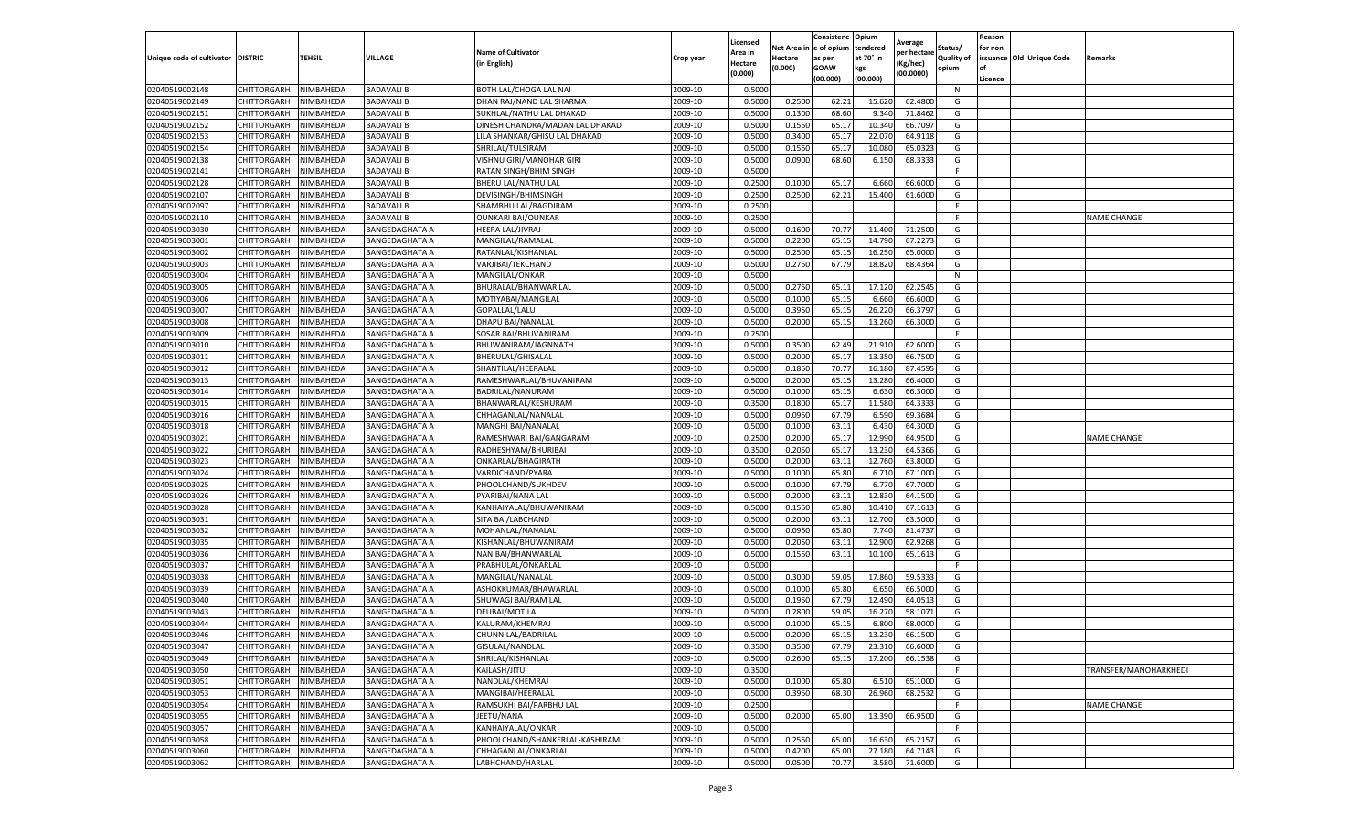|                                   |                    |           |                       |                                 |           | Licensed |         | Consistenc             | Opium     |                        |                   | Reason  |                          |                       |
|-----------------------------------|--------------------|-----------|-----------------------|---------------------------------|-----------|----------|---------|------------------------|-----------|------------------------|-------------------|---------|--------------------------|-----------------------|
|                                   |                    |           |                       | <b>Name of Cultivator</b>       |           | Area in  |         | Net Area in e of opium | tendered  | Average<br>per hectare | Status/           | for non |                          |                       |
| Unique code of cultivator DISTRIC |                    | TEHSIL    | VILLAGE               | in English)                     | Crop year | Hectare  | Hectare | as per                 | at 70° in | (Kg/hec                | <b>Quality of</b> |         | issuance Old Unique Code | <b>Remarks</b>        |
|                                   |                    |           |                       |                                 |           | (0.000)  | (0.000) | <b>GOAW</b>            | kgs       | (00.0000)              | opium             |         |                          |                       |
|                                   |                    |           |                       |                                 |           |          |         | (00.000)               | (00.000)  |                        |                   | Licence |                          |                       |
| 02040519002148                    | CHITTORGARH        | NIMBAHEDA | <b>BADAVALI B</b>     | BOTH LAL/CHOGA LAL NAI          | 2009-10   | 0.5000   |         |                        |           |                        | N                 |         |                          |                       |
| 02040519002149                    | CHITTORGARH        | NIMBAHEDA | <b>BADAVALI B</b>     | DHAN RAJ/NAND LAL SHARMA        | 2009-10   | 0.5000   | 0.2500  | 62.21                  | 15.62     | 62.4800                | G                 |         |                          |                       |
| 02040519002151                    | CHITTORGARH        | NIMBAHEDA | <b>BADAVALI B</b>     | SUKHLAL/NATHU LAL DHAKAD        | 2009-10   | 0.5000   | 0.1300  | 68.60                  | 9.34      | 71.8462                | G                 |         |                          |                       |
| 02040519002152                    | CHITTORGARH        | NIMBAHEDA | <b>BADAVALI B</b>     | DINESH CHANDRA/MADAN LAL DHAKAD | 2009-10   | 0.5000   | 0.1550  | 65.17                  | 10.340    | 66.7097                | G                 |         |                          |                       |
| 02040519002153                    | <b>CHITTORGARH</b> | NIMBAHEDA | <b>BADAVALI B</b>     | LILA SHANKAR/GHISU LAL DHAKAD   | 2009-10   | 0.5000   | 0.3400  | 65.17                  | 22.07     | 64.9118                | G                 |         |                          |                       |
| 02040519002154                    | CHITTORGARH        | NIMBAHEDA | <b>BADAVALI B</b>     | SHRILAL/TULSIRAM                | 2009-10   | 0.5000   | 0.1550  | 65.17                  | 10.08     | 65.0323                | G                 |         |                          |                       |
| 02040519002138                    | CHITTORGARH        | NIMBAHEDA | <b>BADAVALI B</b>     | VISHNU GIRI/MANOHAR GIRI        | 2009-10   | 0.5000   | 0.0900  | 68.60                  | 6.150     | 68.3333                | G                 |         |                          |                       |
| 02040519002141                    | CHITTORGARH        | NIMBAHEDA | <b>BADAVALI B</b>     | RATAN SINGH/BHIM SINGH          | 2009-10   | 0.5000   |         |                        |           |                        | F                 |         |                          |                       |
| 02040519002128                    | CHITTORGARH        | NIMBAHEDA | <b>BADAVALI B</b>     | BHERU LAL/NATHU LAL             | 2009-10   | 0.2500   | 0.1000  | 65.17                  | 6.660     | 66.6000                | G                 |         |                          |                       |
| 02040519002107                    | CHITTORGARH        | NIMBAHEDA | <b>BADAVALI B</b>     | DEVISINGH/BHIMSINGH             | 2009-10   | 0.2500   | 0.2500  | 62.21                  | 15.400    | 61.6000                | G                 |         |                          |                       |
| 02040519002097                    | CHITTORGARH        | NIMBAHEDA | <b>BADAVALI B</b>     | SHAMBHU LAL/BAGDIRAM            | 2009-10   | 0.2500   |         |                        |           |                        | F.                |         |                          |                       |
| 02040519002110                    | CHITTORGARH        | NIMBAHEDA | BADAVALI B            | <b>OUNKARI BAI/OUNKAR</b>       | 2009-10   | 0.2500   |         |                        |           |                        | F                 |         |                          | <b>NAME CHANGE</b>    |
| 02040519003030                    | CHITTORGARH        | NIMBAHEDA | BANGEDAGHATA A        | HEERA LAL/JIVRAJ                | 2009-10   | 0.5000   | 0.1600  | 70.77                  | 11.400    | 71.2500                | G                 |         |                          |                       |
| 02040519003001                    | CHITTORGARH        | NIMBAHEDA | <b>BANGEDAGHATA A</b> | MANGILAL/RAMALAL                | 2009-10   | 0.5000   | 0.2200  | 65.15                  | 14.79     | 67.2273                | G                 |         |                          |                       |
| 02040519003002                    | CHITTORGARH        | NIMBAHEDA | <b>BANGEDAGHATA A</b> | RATANLAL/KISHANLAL              | 2009-10   | 0.5000   | 0.2500  | 65.15                  | 16.250    | 65.0000                | G                 |         |                          |                       |
| 02040519003003                    | CHITTORGARH        | NIMBAHEDA | <b>BANGEDAGHATA A</b> | VARJIBAI/TEKCHAND               | 2009-10   | 0.5000   | 0.2750  | 67.79                  | 18.82     | 68.4364                | G                 |         |                          |                       |
| 02040519003004                    | CHITTORGARH        | NIMBAHEDA | <b>BANGEDAGHATA A</b> | MANGILAL/ONKAR                  | 2009-10   | 0.5000   |         |                        |           |                        | N                 |         |                          |                       |
| 02040519003005                    | CHITTORGARH        | NIMBAHEDA | <b>BANGEDAGHATA A</b> | BHURALAL/BHANWAR LAL            | 2009-10   | 0.5000   | 0.2750  | 65.11                  | 17.120    | 62.2545                | G                 |         |                          |                       |
| 02040519003006                    | CHITTORGARH        | NIMBAHEDA | BANGEDAGHATA A        | MOTIYABAI/MANGILAL              | 2009-10   | 0.5000   | 0.1000  | 65.15                  | 6.660     | 66.6000                | G                 |         |                          |                       |
| 02040519003007                    | CHITTORGARH        | NIMBAHEDA | <b>BANGEDAGHATA A</b> | GOPALLAL/LALU                   | 2009-10   | 0.5000   | 0.3950  | 65.15                  | 26.22     | 66.3797                | G                 |         |                          |                       |
| 02040519003008                    |                    |           |                       |                                 | 2009-10   |          |         |                        |           |                        | G                 |         |                          |                       |
|                                   | CHITTORGARH        | NIMBAHEDA | <b>BANGEDAGHATA A</b> | DHAPU BAI/NANALAL               |           | 0.5000   | 0.2000  | 65.15                  | 13.260    | 66.3000                |                   |         |                          |                       |
| 02040519003009                    | CHITTORGARH        | NIMBAHEDA | <b>BANGEDAGHATA A</b> | SOSAR BAI/BHUVANIRAM            | 2009-10   | 0.2500   |         |                        |           |                        | F                 |         |                          |                       |
| 02040519003010                    | CHITTORGARH        | NIMBAHEDA | <b>BANGEDAGHATA A</b> | BHUWANIRAM/JAGNNATH             | 2009-10   | 0.5000   | 0.3500  | 62.49                  | 21.910    | 62.6000                | G                 |         |                          |                       |
| 02040519003011                    | CHITTORGARH        | NIMBAHEDA | <b>BANGEDAGHATA A</b> | BHERULAL/GHISALAL               | 2009-10   | 0.5000   | 0.2000  | 65.17                  | 13.35     | 66.7500                | G                 |         |                          |                       |
| 02040519003012                    | CHITTORGARH        | NIMBAHEDA | BANGEDAGHATA A        | SHANTILAL/HEERALAL              | 2009-10   | 0.5000   | 0.1850  | 70.77                  | 16.18     | 87.4595                | G                 |         |                          |                       |
| 02040519003013                    | CHITTORGARH        | NIMBAHEDA | <b>BANGEDAGHATA A</b> | RAMESHWARLAL/BHUVANIRAM         | 2009-10   | 0.5000   | 0.2000  | 65.15                  | 13.280    | 66.4000                | G                 |         |                          |                       |
| 02040519003014                    | CHITTORGARH        | NIMBAHEDA | <b>BANGEDAGHATA A</b> | BADRILAL/NANURAM                | 2009-10   | 0.5000   | 0.1000  | 65.1                   | 6.63      | 66.3000                | G                 |         |                          |                       |
| 02040519003015                    | CHITTORGARH        | NIMBAHEDA | BANGEDAGHATA A        | BHANWARLAL/KESHURAM             | 2009-10   | 0.3500   | 0.1800  | 65.17                  | 11.580    | 64.3333                | G                 |         |                          |                       |
| 02040519003016                    | CHITTORGARH        | NIMBAHEDA | <b>BANGEDAGHATA A</b> | CHHAGANLAL/NANALAL              | 2009-10   | 0.5000   | 0.0950  | 67.79                  | 6.590     | 69.3684                | G                 |         |                          |                       |
| 02040519003018                    | CHITTORGARH        | NIMBAHEDA | <b>BANGEDAGHATA A</b> | MANGHI BAI/NANALAL              | 2009-10   | 0.5000   | 0.1000  | 63.11                  | 6.430     | 64.3000                | G                 |         |                          |                       |
| 02040519003021                    | CHITTORGARH        | NIMBAHEDA | BANGEDAGHATA A        | RAMESHWARI BAI/GANGARAM         | 2009-10   | 0.2500   | 0.2000  | 65.1                   | 12.99     | 64.9500                | G                 |         |                          | <b>NAME CHANGE</b>    |
| 02040519003022                    | CHITTORGARH        | NIMBAHEDA | <b>BANGEDAGHATA A</b> | RADHESHYAM/BHURIBA              | 2009-10   | 0.3500   | 0.2050  | 65.17                  | 13.230    | 64.5366                | G                 |         |                          |                       |
| 02040519003023                    | CHITTORGARH        | NIMBAHEDA | <b>BANGEDAGHATA A</b> | ONKARLAL/BHAGIRATH              | 2009-10   | 0.5000   | 0.2000  | 63.11                  | 12.760    | 63.8000                | G                 |         |                          |                       |
| 02040519003024                    | CHITTORGARH        | NIMBAHEDA | <b>BANGEDAGHATA A</b> | VARDICHAND/PYARA                | 2009-10   | 0.5000   | 0.1000  | 65.80                  | 6.71      | 67.1000                | G                 |         |                          |                       |
| 02040519003025                    | CHITTORGARH        | NIMBAHEDA | <b>BANGEDAGHATA A</b> | PHOOLCHAND/SUKHDEV              | 2009-10   | 0.5000   | 0.1000  | 67.79                  | 6.77      | 67.7000                | G                 |         |                          |                       |
| 02040519003026                    | CHITTORGARH        | NIMBAHEDA | <b>BANGEDAGHATA A</b> | PYARIBAI/NANA LAL               | 2009-10   | 0.5000   | 0.2000  | 63.11                  | 12.83     | 64.1500                | G                 |         |                          |                       |
| 02040519003028                    | CHITTORGARH        | NIMBAHEDA | <b>BANGEDAGHATA A</b> | KANHAIYALAL/BHUWANIRAM          | 2009-10   | 0.5000   | 0.1550  | 65.80                  | 10.41     | 67.1613                | G                 |         |                          |                       |
| 02040519003031                    | CHITTORGARH        | NIMBAHEDA | BANGEDAGHATA A        | SITA BAI/LABCHAND               | 2009-10   | 0.5000   | 0.2000  | 63.11                  | 12.700    | 63.5000                | G                 |         |                          |                       |
| 02040519003032                    | CHITTORGARH        | NIMBAHEDA | <b>BANGEDAGHATA A</b> | MOHANLAL/NANALAI                | 2009-10   | 0.5000   | 0.0950  | 65.80                  | 7.74      | 81.4737                | G                 |         |                          |                       |
| 02040519003035                    | CHITTORGARH        | NIMBAHEDA | <b>BANGEDAGHATA A</b> | KISHANLAL/BHUWANIRAM            | 2009-10   | 0.5000   | 0.2050  | 63.11                  | 12.900    | 62.9268                | G                 |         |                          |                       |
| 02040519003036                    | CHITTORGARH        | NIMBAHEDA | BANGEDAGHATA A        | NANIBAI/BHANWARLAL              | 2009-10   | 0.5000   | 0.1550  | 63.1                   | 10.10     | 65.1613                | G                 |         |                          |                       |
| 02040519003037                    | CHITTORGARH        | NIMBAHEDA | <b>BANGEDAGHATA A</b> | PRABHULAL/ONKARLAL              | 2009-10   | 0.5000   |         |                        |           |                        | F.                |         |                          |                       |
| 02040519003038                    | CHITTORGARH        | NIMBAHEDA | <b>BANGEDAGHATA A</b> | MANGILAL/NANALAL                | 2009-10   | 0.5000   | 0.3000  | 59.05                  | 17.86     | 59.533                 | G                 |         |                          |                       |
| 02040519003039                    | CHITTORGARH        | NIMBAHEDA | BANGEDAGHATA A        | ASHOKKUMAR/BHAWARLAL            | 2009-10   | 0.5000   | 0.1000  | 65.80                  | 6.65      | 66.5000                | G                 |         |                          |                       |
| 02040519003040                    | CHITTORGARH        | NIMBAHEDA | <b>BANGEDAGHATA A</b> | SHUWAGI BAI/RAM LAL             | 2009-10   | 0.5000   | 0.1950  | 67.79                  | 12.490    | 64.0513                | G                 |         |                          |                       |
| 02040519003043                    | CHITTORGARH        | NIMBAHEDA | <b>BANGEDAGHATA A</b> | DEUBAI/MOTILAL                  | 2009-10   | 0.5000   | 0.2800  | 59.05                  | 16.27     | 58.1071                | G                 |         |                          |                       |
| 02040519003044                    | CHITTORGARH        | NIMBAHEDA | <b>BANGEDAGHATA A</b> | KALURAM/KHEMRAJ                 | 2009-10   | 0.5000   | 0.1000  | 65.15                  | 6.800     | 68.0000                | G                 |         |                          |                       |
| 02040519003046                    | CHITTORGARH        | NIMBAHEDA | <b>BANGEDAGHATA A</b> | CHUNNILAL/BADRILAL              | 2009-10   | 0.5000   | 0.2000  | 65.15                  | 13.230    | 66.1500                | G                 |         |                          |                       |
| 02040519003047                    | CHITTORGARH        | NIMBAHEDA | <b>BANGEDAGHATA A</b> | GISULAL/NANDLAL                 | 2009-10   | 0.3500   | 0.3500  | 67.79                  | 23.310    | 66.6000                | G                 |         |                          |                       |
| 02040519003049                    | CHITTORGARH        | NIMBAHEDA | <b>BANGEDAGHATA A</b> | SHRILAL/KISHANLAL               | 2009-10   | 0.5000   | 0.2600  | 65.15                  | 17.200    | 66.1538                | G                 |         |                          |                       |
| 02040519003050                    | CHITTORGARH        | NIMBAHEDA | <b>BANGEDAGHATA A</b> | KAILASH/JITU                    | 2009-10   | 0.3500   |         |                        |           |                        | F.                |         |                          | TRANSFER/MANOHARKHEDI |
| 02040519003051                    | CHITTORGARH        | NIMBAHEDA | <b>BANGEDAGHATA A</b> | NANDLAL/KHEMRAJ                 | 2009-10   | 0.5000   | 0.1000  | 65.80                  | 6.510     | 65.1000                | G                 |         |                          |                       |
| 02040519003053                    |                    | NIMBAHEDA | <b>BANGEDAGHATA A</b> | MANGIBAI/HEERALAL               | 2009-10   | 0.5000   | 0.3950  | 68.30                  | 26.960    | 68.2532                | G                 |         |                          |                       |
| 02040519003054                    | CHITTORGARH        |           |                       | RAMSUKHI BAI/PARBHU LAL         |           |          |         |                        |           |                        |                   |         |                          |                       |
|                                   | <b>CHITTORGARH</b> | NIMBAHEDA | <b>BANGEDAGHATA A</b> |                                 | 2009-10   | 0.2500   |         |                        |           |                        | F.                |         |                          | <b>NAME CHANGE</b>    |
| 02040519003055                    | CHITTORGARH        | NIMBAHEDA | <b>BANGEDAGHATA A</b> | JEETU/NANA                      | 2009-10   | 0.5000   | 0.2000  | 65.00                  | 13.390    | 66.9500                | G                 |         |                          |                       |
| 02040519003057                    | CHITTORGARH        | NIMBAHEDA | <b>BANGEDAGHATA A</b> | KANHAIYALAL/ONKAR               | 2009-10   | 0.5000   |         |                        |           |                        | F.                |         |                          |                       |
| 02040519003058                    | CHITTORGARH        | NIMBAHEDA | <b>BANGEDAGHATA A</b> | PHOOLCHAND/SHANKERLAL-KASHIRAM  | 2009-10   | 0.5000   | 0.2550  | 65.00                  | 16.630    | 65.2157                | G                 |         |                          |                       |
| 02040519003060                    | CHITTORGARH        | NIMBAHEDA | <b>BANGEDAGHATA A</b> | CHHAGANLAL/ONKARLAL             | 2009-10   | 0.5000   | 0.4200  | 65.00                  | 27.180    | 64.7143                | G                 |         |                          |                       |
| 02040519003062                    | <b>CHITTORGARH</b> | NIMBAHEDA | <b>BANGEDAGHATA A</b> | LABHCHAND/HARLAL                | 2009-10   | 0.5000   | 0.0500  | 70.77                  | 3.580     | 71.6000                | G                 |         |                          |                       |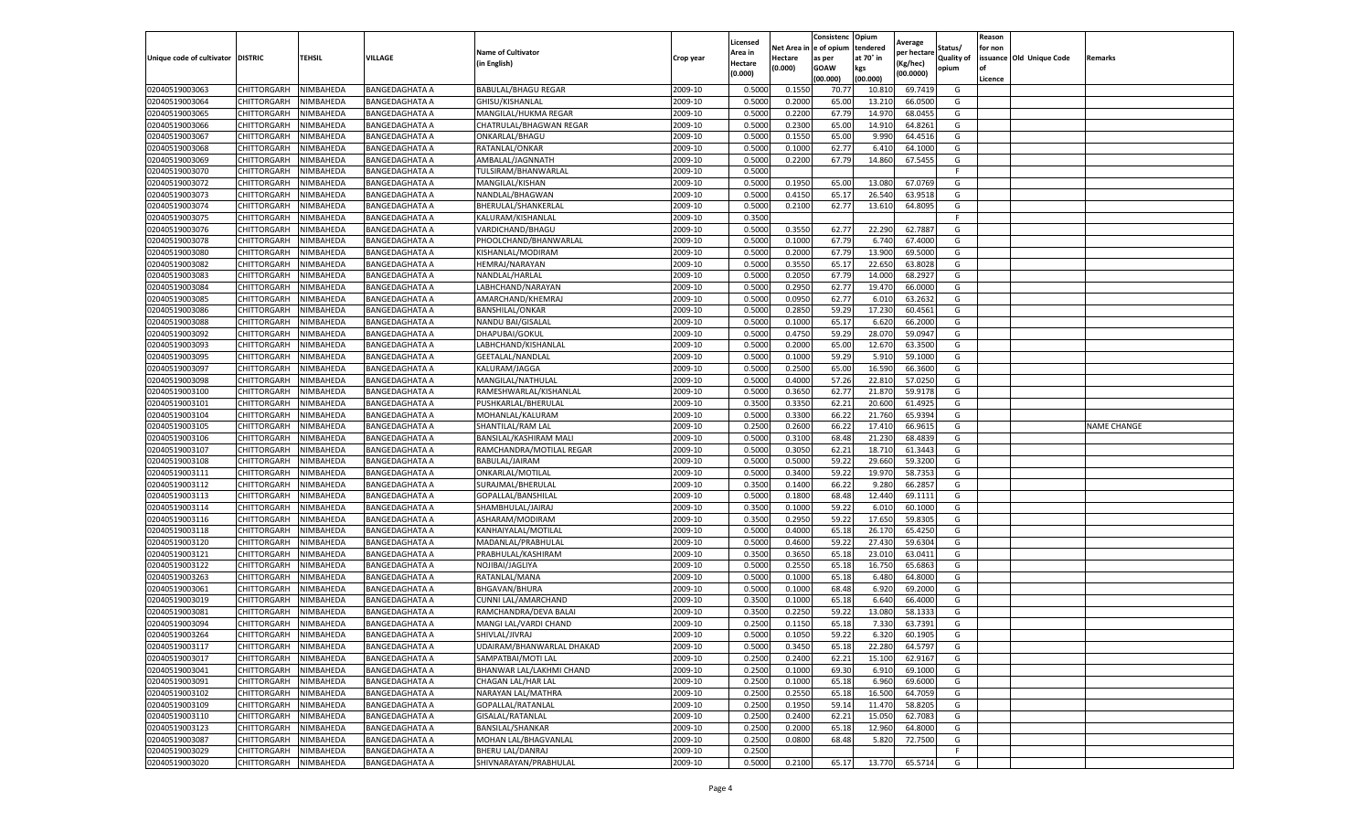|                                   |             |           |                       |                            |           | Licensed |            | Consistenc  | Opium     | Average     |                   | Reason  |                          |                    |
|-----------------------------------|-------------|-----------|-----------------------|----------------------------|-----------|----------|------------|-------------|-----------|-------------|-------------------|---------|--------------------------|--------------------|
|                                   |             |           |                       | <b>Name of Cultivator</b>  |           | Area in  | Net Area i | e of opium  | tendered  | per hectare | Status/           | for non |                          |                    |
| Unique code of cultivator DISTRIC |             | TEHSIL    | VILLAGE               | (in English)               | Crop year | Hectare  | Hectare    | as per      | at 70° in | (Kg/hec)    | <b>Quality of</b> |         | issuance Old Unique Code | Remarks            |
|                                   |             |           |                       |                            |           | (0.000)  | (0.000)    | <b>GOAW</b> | kgs       | (00.0000)   | opium             | οf      |                          |                    |
|                                   |             |           |                       |                            |           |          |            | (00.000     | (00.000)  |             |                   | Licence |                          |                    |
| 02040519003063                    | CHITTORGARH | NIMBAHEDA | <b>BANGEDAGHATA A</b> | <b>BABULAL/BHAGU REGAR</b> | 2009-10   | 0.5000   | 0.1550     | 70.77       | 10.81     | 69.7419     | G                 |         |                          |                    |
| 02040519003064                    | CHITTORGARH | NIMBAHEDA | <b>BANGEDAGHATA A</b> | GHISU/KISHANLAL            | 2009-10   | 0.500    | 0.2000     | 65.00       | 13.21     | 66.0500     | G                 |         |                          |                    |
| 02040519003065                    | CHITTORGARH | NIMBAHEDA | <b>BANGEDAGHATA A</b> | MANGILAL/HUKMA REGAR       | 2009-10   | 0.5000   | 0.2200     | 67.79       | 14.970    | 68.0455     | G                 |         |                          |                    |
| 02040519003066                    | CHITTORGARH | NIMBAHEDA | <b>BANGEDAGHATA A</b> | CHATRULAL/BHAGWAN REGAR    | 2009-10   | 0.5000   | 0.2300     | 65.00       | 14.910    | 64.8261     | G                 |         |                          |                    |
| 02040519003067                    | CHITTORGARH | NIMBAHEDA | <b>BANGEDAGHATA A</b> | ONKARLAL/BHAGU             | 2009-10   | 0.5000   | 0.1550     | 65.00       | 9.990     | 64.4516     | G                 |         |                          |                    |
| 02040519003068                    | CHITTORGARH | NIMBAHEDA | <b>BANGEDAGHATA A</b> | RATANLAL/ONKAR             | 2009-10   | 0.5000   | 0.1000     | 62.77       | 6.41      | 64.1000     | G                 |         |                          |                    |
| 02040519003069                    | CHITTORGARH | NIMBAHEDA | <b>BANGEDAGHATA A</b> | AMBALAL/JAGNNATH           | 2009-10   | 0.5000   | 0.2200     | 67.79       | 14.860    | 67.5455     | G                 |         |                          |                    |
| 02040519003070                    | CHITTORGARH | NIMBAHEDA | <b>BANGEDAGHATA A</b> | TULSIRAM/BHANWARLAL        | 2009-10   | 0.500    |            |             |           |             | F.                |         |                          |                    |
| 02040519003072                    | CHITTORGARH | NIMBAHEDA | <b>BANGEDAGHATA A</b> | MANGILAL/KISHAN            | 2009-10   | 0.5000   | 0.1950     | 65.00       | 13.08     | 67.0769     | G                 |         |                          |                    |
| 02040519003073                    | CHITTORGARH | NIMBAHEDA | <b>BANGEDAGHATA A</b> | NANDLAL/BHAGWAN            | 2009-10   | 0.5000   | 0.4150     | 65.17       | 26.540    | 63.9518     | G                 |         |                          |                    |
| 02040519003074                    | CHITTORGARH | NIMBAHEDA | <b>BANGEDAGHATA A</b> | BHERULAL/SHANKERLAL        | 2009-10   | 0.5000   | 0.2100     | 62.77       | 13.610    | 64.8095     | G                 |         |                          |                    |
| 02040519003075                    | CHITTORGARH | NIMBAHEDA | <b>BANGEDAGHATA A</b> | KALURAM/KISHANLAL          | 2009-10   | 0.3500   |            |             |           |             | F                 |         |                          |                    |
| 02040519003076                    | CHITTORGARH | NIMBAHEDA | <b>BANGEDAGHATA A</b> | VARDICHAND/BHAGU           | 2009-10   | 0.5000   | 0.3550     | 62.77       | 22.290    | 62.7887     | G                 |         |                          |                    |
| 02040519003078                    | CHITTORGARH | NIMBAHEDA | <b>BANGEDAGHATA A</b> | PHOOLCHAND/BHANWARLAL      | 2009-10   | 0.500    | 0.1000     | 67.79       | 6.740     | 67.4000     | G                 |         |                          |                    |
| 02040519003080                    | CHITTORGARH | NIMBAHEDA | <b>BANGEDAGHATA A</b> | KISHANLAL/MODIRAM          | 2009-10   | 0.5000   | 0.2000     | 67.79       | 13.900    | 69.5000     | G                 |         |                          |                    |
| 02040519003082                    | CHITTORGARH | NIMBAHEDA | <b>BANGEDAGHATA A</b> | HEMRAJ/NARAYAN             | 2009-10   | 0.5000   | 0.3550     | 65.17       | 22.650    | 63.8028     | G                 |         |                          |                    |
| 02040519003083                    | CHITTORGARH | NIMBAHEDA | <b>BANGEDAGHATA A</b> | NANDLAL/HARLAL             | 2009-10   | 0.500    | 0.2050     | 67.79       | 14.000    | 68.2927     | G                 |         |                          |                    |
| 02040519003084                    | CHITTORGARH | NIMBAHEDA | <b>BANGEDAGHATA A</b> | LABHCHAND/NARAYAN          | 2009-10   | 0.5000   | 0.2950     | 62.77       | 19.470    | 66.0000     | G                 |         |                          |                    |
| 02040519003085                    | CHITTORGARH | NIMBAHEDA | <b>BANGEDAGHATA A</b> | AMARCHAND/KHEMRAJ          | 2009-10   | 0.5000   | 0.0950     | 62.77       | 6.010     | 63.2632     | G                 |         |                          |                    |
| 02040519003086                    | CHITTORGARH | NIMBAHEDA | <b>BANGEDAGHATA A</b> | <b>BANSHILAL/ONKAR</b>     | 2009-10   | 0.5000   | 0.2850     | 59.29       | 17.230    | 60.4561     | G                 |         |                          |                    |
| 02040519003088                    | CHITTORGARH | NIMBAHEDA | <b>BANGEDAGHATA A</b> | NANDU BAI/GISALAL          | 2009-10   | 0.5000   | 0.1000     | 65.17       | 6.620     | 66.2000     | G                 |         |                          |                    |
| 02040519003092                    | CHITTORGARH | NIMBAHEDA | BANGEDAGHATA A        | DHAPUBAI/GOKUL             | 2009-10   | 0.5000   | 0.4750     | 59.29       | 28.07     | 59.0947     | G                 |         |                          |                    |
| 02040519003093                    | CHITTORGARH | NIMBAHEDA | <b>BANGEDAGHATA A</b> | LABHCHAND/KISHANLAL        | 2009-10   | 0.5000   | 0.2000     | 65.00       | 12.670    | 63.3500     | G                 |         |                          |                    |
| 02040519003095                    | CHITTORGARH | NIMBAHEDA | <b>BANGEDAGHATA A</b> | GEETALAL/NANDLAL           | 2009-10   | 0.5000   | 0.1000     | 59.29       | 5.910     | 59.1000     | G                 |         |                          |                    |
| 02040519003097                    | CHITTORGARH | NIMBAHEDA | <b>BANGEDAGHATA A</b> | KALURAM/JAGGA              | 2009-10   | 0.5000   | 0.2500     | 65.00       | 16.590    | 66.3600     | G                 |         |                          |                    |
| 02040519003098                    | CHITTORGARH | NIMBAHEDA | <b>BANGEDAGHATA A</b> | MANGILAL/NATHULAL          | 2009-10   | 0.5000   | 0.4000     | 57.26       | 22.810    | 57.0250     | G                 |         |                          |                    |
| 02040519003100                    | CHITTORGARH | NIMBAHEDA | <b>BANGEDAGHATA A</b> | RAMESHWARLAL/KISHANLAI     | 2009-10   | 0.5000   | 0.3650     | 62.77       | 21.870    | 59.9178     | G                 |         |                          |                    |
| 02040519003101                    | CHITTORGARH | NIMBAHEDA | BANGEDAGHATA A        | PUSHKARLAL/BHERULAL        | 2009-10   | 0.3500   | 0.3350     | 62.21       | 20.600    | 61.4925     | G                 |         |                          |                    |
| 02040519003104                    | CHITTORGARH | NIMBAHEDA | <b>BANGEDAGHATA A</b> | MOHANLAL/KALURAM           | 2009-10   | 0.5000   | 0.3300     | 66.22       | 21.760    | 65.9394     | G                 |         |                          |                    |
| 02040519003105                    | CHITTORGARH | NIMBAHEDA | <b>BANGEDAGHATA A</b> | SHANTILAL/RAM LAL          | 2009-10   | 0.2500   | 0.2600     | 66.22       | 17.410    | 66.961      | G                 |         |                          | <b>NAME CHANGE</b> |
| 02040519003106                    | CHITTORGARH | NIMBAHEDA | <b>BANGEDAGHATA A</b> | BANSILAL/KASHIRAM MALI     | 2009-10   | 0.5000   | 0.3100     | 68.48       | 21.230    | 68.483      | G                 |         |                          |                    |
| 02040519003107                    | CHITTORGARH | NIMBAHEDA | <b>BANGEDAGHATA A</b> | RAMCHANDRA/MOTILAL REGAR   | 2009-10   | 0.5000   | 0.3050     | 62.22       | 18.710    | 61.3443     | G                 |         |                          |                    |
| 02040519003108                    | CHITTORGARH | NIMBAHEDA | <b>BANGEDAGHATA A</b> | BABULAL/JAIRAM             | 2009-10   | 0.500    | 0.5000     | 59.22       | 29.660    | 59.3200     | G                 |         |                          |                    |
| 02040519003111                    | CHITTORGARH | NIMBAHEDA | <b>BANGEDAGHATA A</b> | ONKARLAL/MOTILAL           | 2009-10   | 0.5000   | 0.3400     | 59.22       | 19.970    | 58.7353     | G                 |         |                          |                    |
| 02040519003112                    | CHITTORGARH | NIMBAHEDA | <b>BANGEDAGHATA A</b> | SURAJMAL/BHERULAL          | 2009-10   | 0.3500   | 0.1400     | 66.22       | 9.280     | 66.2857     | G                 |         |                          |                    |
| 02040519003113                    | CHITTORGARH | NIMBAHEDA | <b>BANGEDAGHATA A</b> | GOPALLAL/BANSHILAL         | 2009-10   | 0.5000   | 0.1800     | 68.48       | 12.440    | 69.1111     | G                 |         |                          |                    |
| 02040519003114                    | CHITTORGARH | NIMBAHEDA | <b>BANGEDAGHATA A</b> | SHAMBHULAL/JAIRAJ          | 2009-10   | 0.3500   | 0.1000     | 59.22       | 6.010     | 60.1000     | G                 |         |                          |                    |
| 02040519003116                    | CHITTORGARH | NIMBAHEDA | <b>BANGEDAGHATA A</b> | ASHARAM/MODIRAM            | 2009-10   | 0.3500   | 0.2950     | 59.22       | 17.650    | 59.8305     | G                 |         |                          |                    |
| 02040519003118                    | CHITTORGARH | NIMBAHEDA | <b>BANGEDAGHATA A</b> | KANHAIYALAL/MOTILAL        | 2009-10   | 0.5000   | 0.4000     | 65.18       | 26.17     | 65.4250     | G                 |         |                          |                    |
| 02040519003120                    | CHITTORGARH | NIMBAHEDA | <b>BANGEDAGHATA A</b> | MADANLAL/PRABHULAL         | 2009-10   | 0.5000   | 0.4600     | 59.22       | 27.430    | 59.6304     | G                 |         |                          |                    |
| 02040519003121                    | CHITTORGARH | NIMBAHEDA | <b>BANGEDAGHATA A</b> | PRABHULAL/KASHIRAM         | 2009-10   | 0.3500   | 0.3650     | 65.18       | 23.010    | 63.0411     | G                 |         |                          |                    |
| 02040519003122                    | CHITTORGARH | NIMBAHEDA | <b>BANGEDAGHATA A</b> | NOJIBAI/JAGLIYA            | 2009-10   | 0.5000   | 0.2550     | 65.18       | 16.750    | 65.6863     | G                 |         |                          |                    |
| 02040519003263                    | CHITTORGARH | NIMBAHEDA | <b>BANGEDAGHATA A</b> | RATANLAL/MANA              | 2009-10   | 0.5000   | 0.1000     | 65.18       | 6.480     | 64.8000     | G                 |         |                          |                    |
| 02040519003061                    | CHITTORGARH | NIMBAHEDA | <b>BANGEDAGHATA A</b> | <b>BHGAVAN/BHURA</b>       | 2009-10   | 0.5000   | 0.1000     | 68.48       | 6.920     | 69.2000     | G                 |         |                          |                    |
| 02040519003019                    | CHITTORGARH | NIMBAHEDA | <b>BANGEDAGHATA A</b> | CUNNI LAL/AMARCHAND        | 2009-10   | 0.3500   | 0.1000     | 65.18       | 6.640     | 66.4000     | G                 |         |                          |                    |
| 02040519003081                    | CHITTORGARH | NIMBAHEDA | <b>BANGEDAGHATA A</b> | RAMCHANDRA/DEVA BALAI      | 2009-10   | 0.350    | 0.2250     | 59.22       | 13.080    | 58.1333     | G                 |         |                          |                    |
| 02040519003094                    | CHITTORGARH | NIMBAHEDA | <b>BANGEDAGHATA A</b> | MANGI LAL/VARDI CHAND      | 2009-10   | 0.2500   | 0.1150     | 65.18       | 7.330     | 63.7391     | G                 |         |                          |                    |
| 02040519003264                    | CHITTORGARH | NIMBAHEDA | <b>BANGEDAGHATA A</b> | SHIVLAL/JIVRAJ             | 2009-10   | 0.5000   | 0.1050     | 59.22       | 6.320     | 60.1905     | G                 |         |                          |                    |
| 02040519003117                    | CHITTORGARH | NIMBAHEDA | <b>BANGEDAGHATA A</b> | UDAIRAM/BHANWARLAL DHAKAD  | 2009-10   | 0.5000   | 0.3450     | 65.18       | 22.280    | 64.5797     | G                 |         |                          |                    |
| 02040519003017                    | CHITTORGARH | NIMBAHEDA | <b>BANGEDAGHATA A</b> | SAMPATBAI/MOTI LAL         | 2009-10   | 0.2500   | 0.2400     | 62.21       | 15.100    | 62.9167     | G                 |         |                          |                    |
| 02040519003041                    | CHITTORGARH | NIMBAHEDA | <b>BANGEDAGHATA A</b> | BHANWAR LAL/LAKHMI CHAND   | 2009-10   | 0.2500   | 0.1000     | 69.30       | 6.910     | 69.1000     | G                 |         |                          |                    |
| 02040519003091                    | CHITTORGARH | NIMBAHEDA | <b>BANGEDAGHATA A</b> | CHAGAN LAL/HAR LAL         | 2009-10   | 0.2500   | 0.1000     | 65.18       | 6.960     | 69.6000     | G                 |         |                          |                    |
| 02040519003102                    | CHITTORGARH | NIMBAHEDA | BANGEDAGHATA A        | NARAYAN LAL/MATHRA         | 2009-10   | 0.2500   | 0.2550     | 65.18       | 16.500    | 64.7059     | G                 |         |                          |                    |
| 02040519003109                    | CHITTORGARH | NIMBAHEDA | <b>BANGEDAGHATA A</b> | GOPALLAL/RATANLAL          | 2009-10   | 0.2500   | 0.1950     | 59.14       | 11.470    | 58.8205     | G                 |         |                          |                    |
| 02040519003110                    | CHITTORGARH | NIMBAHEDA | <b>BANGEDAGHATA A</b> | GISALAL/RATANLAL           | 2009-10   | 0.2500   | 0.2400     | 62.21       | 15.050    | 62.7083     | G                 |         |                          |                    |
| 02040519003123                    | CHITTORGARH | NIMBAHEDA | <b>BANGEDAGHATA A</b> | BANSILAL/SHANKAR           | 2009-10   | 0.2500   | 0.2000     | 65.18       | 12.960    | 64.8000     | G                 |         |                          |                    |
| 02040519003087                    | CHITTORGARH | NIMBAHEDA | <b>BANGEDAGHATA A</b> | MOHAN LAL/BHAGVANLAL       | 2009-10   | 0.2500   | 0.0800     | 68.48       | 5.820     | 72.7500     | G                 |         |                          |                    |
| 02040519003029                    | CHITTORGARH | NIMBAHEDA | <b>BANGEDAGHATA A</b> | BHERU LAL/DANRAJ           | 2009-10   | 0.2500   |            |             |           |             | F.                |         |                          |                    |
| 02040519003020                    | CHITTORGARH | NIMBAHEDA | <b>BANGEDAGHATA A</b> | SHIVNARAYAN/PRABHULAL      | 2009-10   | 0.5000   | 0.2100     | 65.17       | 13.770    | 65.5714     | G                 |         |                          |                    |
|                                   |             |           |                       |                            |           |          |            |             |           |             |                   |         |                          |                    |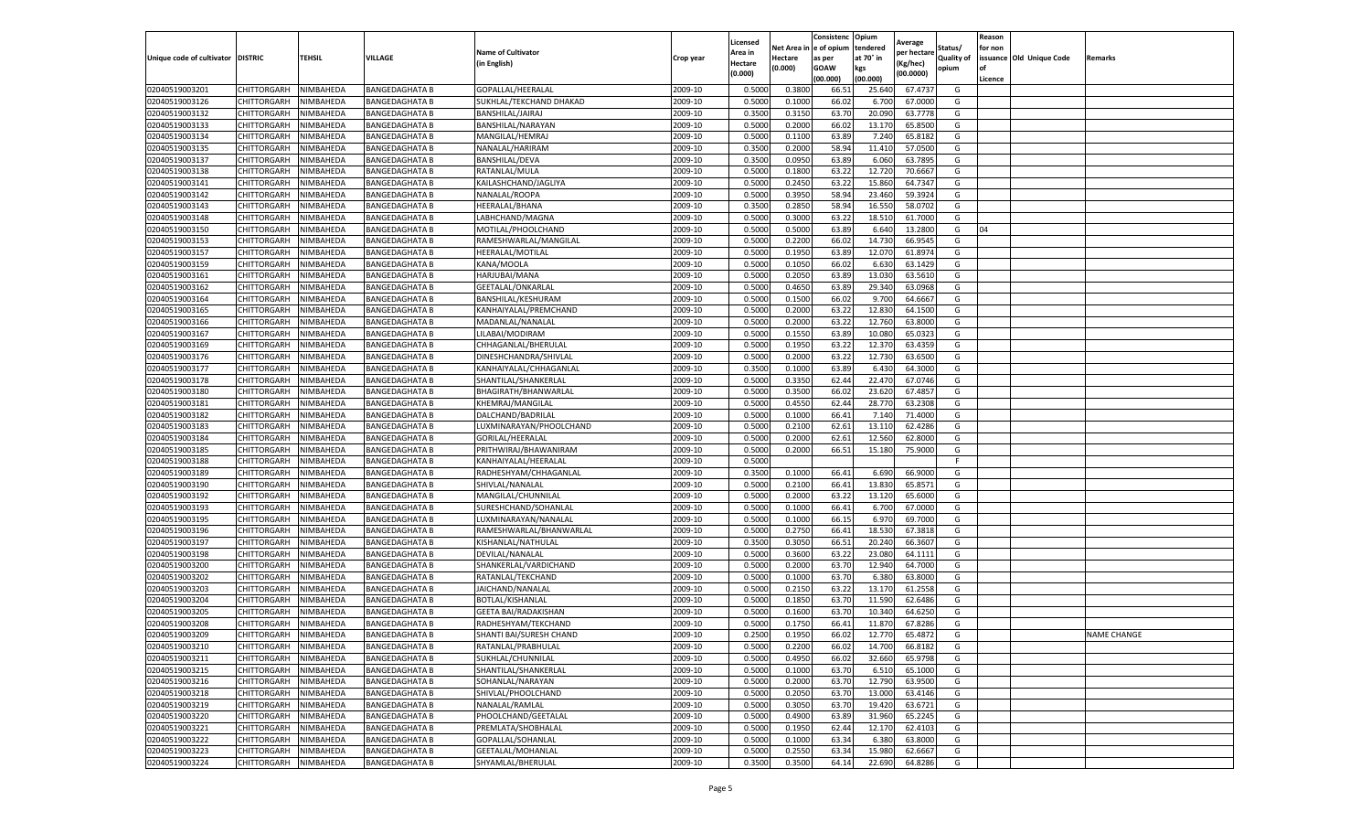|                                   |                    |           |                       |                             |           | Licensed |         | Consistenc             | Opium     | Average     |            | Reason  |                          |                    |
|-----------------------------------|--------------------|-----------|-----------------------|-----------------------------|-----------|----------|---------|------------------------|-----------|-------------|------------|---------|--------------------------|--------------------|
|                                   |                    |           |                       | <b>Name of Cultivator</b>   |           | Area in  |         | Net Area in e of opium | tendered  | per hectare | Status/    | for non |                          |                    |
| Unique code of cultivator DISTRIC |                    | TEHSIL    | VILLAGE               | in English)                 | Crop year | Hectare  | Hectare | as per                 | at 70° in | (Kg/hec     | Quality of |         | issuance Old Unique Code | <b>Remarks</b>     |
|                                   |                    |           |                       |                             |           | (0.000)  | (0.000) | <b>GOAW</b>            | kgs       | (00.0000)   | opium      |         |                          |                    |
|                                   |                    |           |                       |                             |           |          |         | (00.000)               | (00.000)  |             |            | Licence |                          |                    |
| 02040519003201                    | CHITTORGARH        | NIMBAHEDA | <b>BANGEDAGHATA B</b> | GOPALLAL/HEERALAL           | 2009-10   | 0.5000   | 0.3800  | 66.51                  | 25.64     | 67.4737     | G          |         |                          |                    |
| 02040519003126                    | CHITTORGARH        | NIMBAHEDA | <b>BANGEDAGHATA B</b> | SUKHLAL/TEKCHAND DHAKAD     | 2009-10   | 0.5000   | 0.1000  | 66.02                  | 6.70      | 67.0000     | G          |         |                          |                    |
| 02040519003132                    | CHITTORGARH        | NIMBAHEDA | <b>BANGEDAGHATA B</b> | BANSHILAL/JAIRAJ            | 2009-10   | 0.3500   | 0.3150  | 63.70                  | 20.09     | 63.7778     | G          |         |                          |                    |
| 02040519003133                    | CHITTORGARH        | NIMBAHEDA | <b>BANGEDAGHATA B</b> | BANSHILAL/NARAYAN           | 2009-10   | 0.5000   | 0.2000  | 66.02                  | 13.170    | 65.8500     | G          |         |                          |                    |
| 02040519003134                    | CHITTORGARH        | NIMBAHEDA | <b>BANGEDAGHATA B</b> | MANGILAL/HEMRAJ             | 2009-10   | 0.5000   | 0.1100  | 63.89                  | 7.24      | 65.8182     | G          |         |                          |                    |
| 02040519003135                    | CHITTORGARH        | NIMBAHEDA | BANGEDAGHATA B        | NANALAL/HARIRAM             | 2009-10   | 0.3500   | 0.2000  | 58.94                  | 11.41     | 57.0500     | G          |         |                          |                    |
| 02040519003137                    | CHITTORGARH        | NIMBAHEDA | <b>BANGEDAGHATA B</b> | <b>BANSHILAL/DEVA</b>       | 2009-10   | 0.3500   | 0.0950  | 63.89                  | 6.060     | 63.7895     | G          |         |                          |                    |
| 02040519003138                    | CHITTORGARH        | NIMBAHEDA | <b>BANGEDAGHATA B</b> | RATANLAL/MULA               | 2009-10   | 0.5000   | 0.1800  | 63.22                  | 12.72     | 70.6667     | G          |         |                          |                    |
| 02040519003141                    | CHITTORGARH        | NIMBAHEDA | <b>BANGEDAGHATA B</b> | KAILASHCHAND/JAGLIYA        | 2009-10   | 0.5000   | 0.2450  | 63.22                  | 15.860    | 64.7347     | G          |         |                          |                    |
| 02040519003142                    | CHITTORGARH        | NIMBAHEDA | <b>BANGEDAGHATA B</b> | NANALAL/ROOPA               | 2009-10   | 0.5000   | 0.3950  | 58.94                  | 23.460    | 59.3924     | G          |         |                          |                    |
| 02040519003143                    | CHITTORGARH        | NIMBAHEDA | <b>BANGEDAGHATA B</b> | HEERALAL/BHANA              | 2009-10   | 0.3500   | 0.2850  | 58.94                  | 16.55     | 58.0702     | G          |         |                          |                    |
| 02040519003148                    | CHITTORGARH        | NIMBAHEDA | <b>BANGEDAGHATA B</b> | LABHCHAND/MAGNA             | 2009-10   | 0.5000   | 0.3000  | 63.22                  | 18.51     | 61.7000     | G          |         |                          |                    |
| 02040519003150                    | CHITTORGARH        | NIMBAHEDA | BANGEDAGHATA B        | MOTILAL/PHOOLCHAND          | 2009-10   | 0.5000   | 0.5000  | 63.89                  | 6.64      | 13.2800     | G          | 04      |                          |                    |
| 02040519003153                    | CHITTORGARH        | NIMBAHEDA | <b>BANGEDAGHATA B</b> | RAMESHWARLAL/MANGILAL       | 2009-10   | 0.5000   | 0.2200  | 66.02                  | 14.73     | 66.9545     | G          |         |                          |                    |
| 02040519003157                    | CHITTORGARH        | NIMBAHEDA | <b>BANGEDAGHATA B</b> | HEERALAL/MOTILAL            | 2009-10   | 0.5000   | 0.1950  | 63.89                  | 12.07     | 61.8974     | G          |         |                          |                    |
| 02040519003159                    | CHITTORGARH        | NIMBAHEDA | <b>BANGEDAGHATA B</b> | KANA/MOOLA                  | 2009-10   | 0.5000   | 0.1050  | 66.02                  | 6.63      | 63.1429     | G          |         |                          |                    |
| 02040519003161                    | CHITTORGARH        | NIMBAHEDA | <b>BANGEDAGHATA B</b> | HARJUBAI/MANA               | 2009-10   | 0.5000   | 0.2050  | 63.89                  | 13.03     | 63.5610     | G          |         |                          |                    |
| 02040519003162                    | CHITTORGARH        | NIMBAHEDA | <b>BANGEDAGHATA B</b> | GEETALAL/ONKARLAL           | 2009-10   | 0.5000   | 0.4650  | 63.89                  | 29.34     | 63.0968     | G          |         |                          |                    |
| 02040519003164                    | CHITTORGARH        | NIMBAHEDA | BANGEDAGHATA B        | BANSHILAL/KESHURAM          | 2009-10   | 0.5000   | 0.1500  | 66.02                  | 9.70      | 64.666      | G          |         |                          |                    |
| 02040519003165                    | CHITTORGARH        | NIMBAHEDA | <b>BANGEDAGHATA B</b> | KANHAIYALAL/PREMCHAND       | 2009-10   | 0.5000   | 0.2000  | 63.22                  | 12.830    | 64.1500     | G          |         |                          |                    |
| 02040519003166                    | CHITTORGARH        | NIMBAHEDA | <b>BANGEDAGHATA B</b> | MADANLAL/NANALAL            | 2009-10   | 0.5000   | 0.2000  | 63.22                  | 12.760    | 63.8000     | G          |         |                          |                    |
| 02040519003167                    | CHITTORGARH        | NIMBAHEDA | <b>BANGEDAGHATA B</b> | LILABAI/MODIRAM             | 2009-10   | 0.5000   | 0.1550  | 63.89                  | 10.080    | 65.0323     | G          |         |                          |                    |
| 02040519003169                    | CHITTORGARH        | NIMBAHEDA | <b>BANGEDAGHATA B</b> | CHHAGANLAL/BHERULAL         | 2009-10   | 0.5000   | 0.1950  | 63.22                  | 12.370    | 63.4359     | G          |         |                          |                    |
| 02040519003176                    | CHITTORGARH        | NIMBAHEDA | <b>BANGEDAGHATA B</b> | DINESHCHANDRA/SHIVLAL       | 2009-10   | 0.5000   | 0.2000  | 63.22                  | 12.73     | 63.6500     | G          |         |                          |                    |
| 02040519003177                    | CHITTORGARH        | NIMBAHEDA | BANGEDAGHATA B        | KANHAIYALAL/CHHAGANLAL      | 2009-10   | 0.3500   | 0.1000  | 63.89                  | 6.43      | 64.3000     | G          |         |                          |                    |
| 02040519003178                    | <b>CHITTORGARH</b> | NIMBAHEDA | <b>BANGEDAGHATA B</b> | SHANTILAL/SHANKERLAL        | 2009-10   | 0.5000   | 0.3350  | 62.44                  | 22.47     | 67.0746     | G          |         |                          |                    |
| 02040519003180                    | CHITTORGARH        | NIMBAHEDA | <b>BANGEDAGHATA B</b> | BHAGIRATH/BHANWARLAL        | 2009-10   | 0.5000   | 0.3500  | 66.02                  | 23.62     | 67.4857     | G          |         |                          |                    |
| 02040519003181                    | CHITTORGARH        | NIMBAHEDA | <b>BANGEDAGHATA B</b> | <b>KHEMRAJ/MANGILAL</b>     | 2009-10   | 0.5000   | 0.4550  | 62.44                  | 28.77     | 63.2308     | G          |         |                          |                    |
| 02040519003182                    | CHITTORGARH        | NIMBAHEDA | <b>BANGEDAGHATA B</b> | DALCHAND/BADRILAL           | 2009-10   | 0.5000   | 0.1000  | 66.41                  | 7.140     | 71.4000     | G          |         |                          |                    |
| 02040519003183                    | CHITTORGARH        | NIMBAHEDA | <b>BANGEDAGHATA B</b> | LUXMINARAYAN/PHOOLCHAND     | 2009-10   | 0.5000   | 0.2100  | 62.61                  | 13.11     | 62.4286     | G          |         |                          |                    |
| 02040519003184                    | CHITTORGARH        | NIMBAHEDA | BANGEDAGHATA B        | GORILAL/HEERALAL            | 2009-10   | 0.5000   | 0.2000  | 62.61                  | 12.56     | 62.8000     | G          |         |                          |                    |
| 02040519003185                    | CHITTORGARH        | NIMBAHEDA | <b>BANGEDAGHATA B</b> | PRITHWIRAJ/BHAWANIRAM       | 2009-10   | 0.5000   | 0.2000  | 66.51                  | 15.180    | 75.9000     | G          |         |                          |                    |
| 02040519003188                    | CHITTORGARH        | NIMBAHEDA | <b>BANGEDAGHATA B</b> | KANHAIYALAL/HEERALAL        | 2009-10   | 0.5000   |         |                        |           |             | F.         |         |                          |                    |
| 02040519003189                    | CHITTORGARH        | NIMBAHEDA | <b>BANGEDAGHATA B</b> | RADHESHYAM/CHHAGANLAL       | 2009-10   | 0.3500   | 0.1000  | 66.41                  | 6.690     | 66.9000     | G          |         |                          |                    |
| 02040519003190                    | CHITTORGARH        | NIMBAHEDA | <b>BANGEDAGHATA B</b> | SHIVLAL/NANALAL             | 2009-10   | 0.5000   | 0.2100  | 66.41                  | 13.830    | 65.8571     | G          |         |                          |                    |
| 02040519003192                    | CHITTORGARH        | NIMBAHEDA | <b>BANGEDAGHATA B</b> | MANGILAL/CHUNNILAL          | 2009-10   | 0.5000   | 0.2000  | 63.22                  | 13.120    | 65.6000     | G          |         |                          |                    |
| 02040519003193                    | CHITTORGARH        | NIMBAHEDA | <b>BANGEDAGHATA B</b> | SURESHCHAND/SOHANLAL        | 2009-10   | 0.5000   | 0.1000  | 66.41                  | 6.700     | 67.0000     | G          |         |                          |                    |
| 02040519003195                    | CHITTORGARH        | NIMBAHEDA | BANGEDAGHATA B        | LUXMINARAYAN/NANALAI        | 2009-10   | 0.5000   | 0.1000  | 66.15                  | 6.97      | 69.7000     | G          |         |                          |                    |
| 02040519003196                    | CHITTORGARH        | NIMBAHEDA | <b>BANGEDAGHATA B</b> | RAMESHWARLAL/BHANWARLAL     | 2009-10   | 0.5000   | 0.2750  | 66.41                  | 18.53     | 67.3818     | G          |         |                          |                    |
| 02040519003197                    | CHITTORGARH        | NIMBAHEDA | <b>BANGEDAGHATA B</b> | KISHANLAL/NATHULAL          | 2009-10   | 0.3500   | 0.3050  | 66.51                  | 20.24     | 66.3607     | G          |         |                          |                    |
| 02040519003198                    | CHITTORGARH        | NIMBAHEDA | <b>BANGEDAGHATA B</b> | DEVILAL/NANALAL             | 2009-10   | 0.5000   | 0.3600  | 63.22                  | 23.08     | 64.1111     | G          |         |                          |                    |
| 02040519003200                    | CHITTORGARH        | NIMBAHEDA | <b>BANGEDAGHATA B</b> | SHANKERLAL/VARDICHAND       | 2009-10   | 0.5000   | 0.2000  | 63.70                  | 12.94     | 64.7000     | G          |         |                          |                    |
| 02040519003202                    | CHITTORGARH        | NIMBAHEDA | <b>BANGEDAGHATA B</b> | RATANLAL/TEKCHAND           | 2009-10   | 0.5000   | 0.1000  | 63.70                  | 6.38      | 63.8000     | G          |         |                          |                    |
| 02040519003203                    | CHITTORGARH        | NIMBAHEDA | BANGEDAGHATA B        | JAICHAND/NANALAL            | 2009-10   | 0.5000   | 0.2150  | 63.22                  | 13.17     | 61.2558     | G          |         |                          |                    |
| 02040519003204                    | CHITTORGARH        | NIMBAHEDA | <b>BANGEDAGHATA B</b> | BOTLAL/KISHANLAL            | 2009-10   | 0.5000   | 0.1850  | 63.70                  | 11.590    | 62.6486     | G          |         |                          |                    |
| 02040519003205                    | CHITTORGARH        | NIMBAHEDA | <b>BANGEDAGHATA B</b> | <b>GEETA BAI/RADAKISHAN</b> | 2009-10   | 0.5000   | 0.1600  | 63.70                  | 10.34     | 64.6250     | G          |         |                          |                    |
| 02040519003208                    | CHITTORGARH        | NIMBAHEDA | <b>BANGEDAGHATA B</b> | RADHESHYAM/TEKCHAND         | 2009-10   | 0.5000   | 0.1750  | 66.41                  | 11.87     | 67.8286     | G          |         |                          |                    |
| 02040519003209                    | CHITTORGARH        | NIMBAHEDA | <b>BANGEDAGHATA B</b> | SHANTI BAI/SURESH CHAND     | 2009-10   | 0.2500   | 0.1950  | 66.02                  | 12.770    | 65.4872     | G          |         |                          | <b>NAME CHANGE</b> |
| 02040519003210                    | CHITTORGARH        | NIMBAHEDA | <b>BANGEDAGHATA B</b> | RATANLAL/PRABHULAL          | 2009-10   | 0.5000   | 0.2200  | 66.02                  | 14.700    | 66.8182     | G          |         |                          |                    |
| 02040519003211                    | CHITTORGARH        | NIMBAHEDA | <b>BANGEDAGHATA B</b> | SUKHLAL/CHUNNILAL           | 2009-10   | 0.5000   | 0.4950  | 66.02                  | 32.660    | 65.9798     | G          |         |                          |                    |
| 02040519003215                    | CHITTORGARH        | NIMBAHEDA | <b>BANGEDAGHATA B</b> | SHANTILAL/SHANKERLAL        | 2009-10   | 0.5000   | 0.1000  | 63.70                  | 6.510     | 65.1000     | G          |         |                          |                    |
| 02040519003216                    | <b>CHITTORGARH</b> | NIMBAHEDA | <b>BANGEDAGHATA B</b> | SOHANLAL/NARAYAN            | 2009-10   | 0.5000   | 0.2000  | 63.70                  | 12.790    | 63.9500     | G          |         |                          |                    |
| 02040519003218                    | CHITTORGARH        | NIMBAHEDA | <b>BANGEDAGHATA B</b> | SHIVLAL/PHOOLCHAND          | 2009-10   | 0.5000   | 0.2050  | 63.70                  | 13.000    | 63.4146     | G          |         |                          |                    |
| 02040519003219                    | <b>CHITTORGARH</b> | NIMBAHEDA | <b>BANGEDAGHATA B</b> | NANALAL/RAMLAL              | 2009-10   | 0.5000   | 0.3050  | 63.70                  | 19.420    | 63.6721     | G          |         |                          |                    |
| 02040519003220                    | CHITTORGARH        | NIMBAHEDA | <b>BANGEDAGHATA B</b> | PHOOLCHAND/GEETALAL         | 2009-10   | 0.5000   | 0.4900  | 63.89                  | 31.960    | 65.2245     | G          |         |                          |                    |
| 02040519003221                    | CHITTORGARH        | NIMBAHEDA | <b>BANGEDAGHATA B</b> | PREMLATA/SHOBHALAL          | 2009-10   | 0.5000   | 0.1950  | 62.44                  | 12.17     | 62.4103     | G          |         |                          |                    |
| 02040519003222                    | CHITTORGARH        | NIMBAHEDA | <b>BANGEDAGHATA B</b> | GOPALLAL/SOHANLAL           | 2009-10   | 0.5000   | 0.1000  | 63.34                  | 6.380     | 63.8000     | G          |         |                          |                    |
| 02040519003223                    | CHITTORGARH        | NIMBAHEDA | <b>BANGEDAGHATA B</b> | <b>GEETALAL/MOHANLAL</b>    | 2009-10   | 0.5000   | 0.2550  | 63.34                  | 15.980    | 62.6667     | G          |         |                          |                    |
| 02040519003224                    | <b>CHITTORGARH</b> | NIMBAHEDA | <b>BANGEDAGHATA B</b> | SHYAMLAL/BHERULAL           | 2009-10   | 0.3500   | 0.3500  | 64.14                  | 22.690    | 64.8286     | G          |         |                          |                    |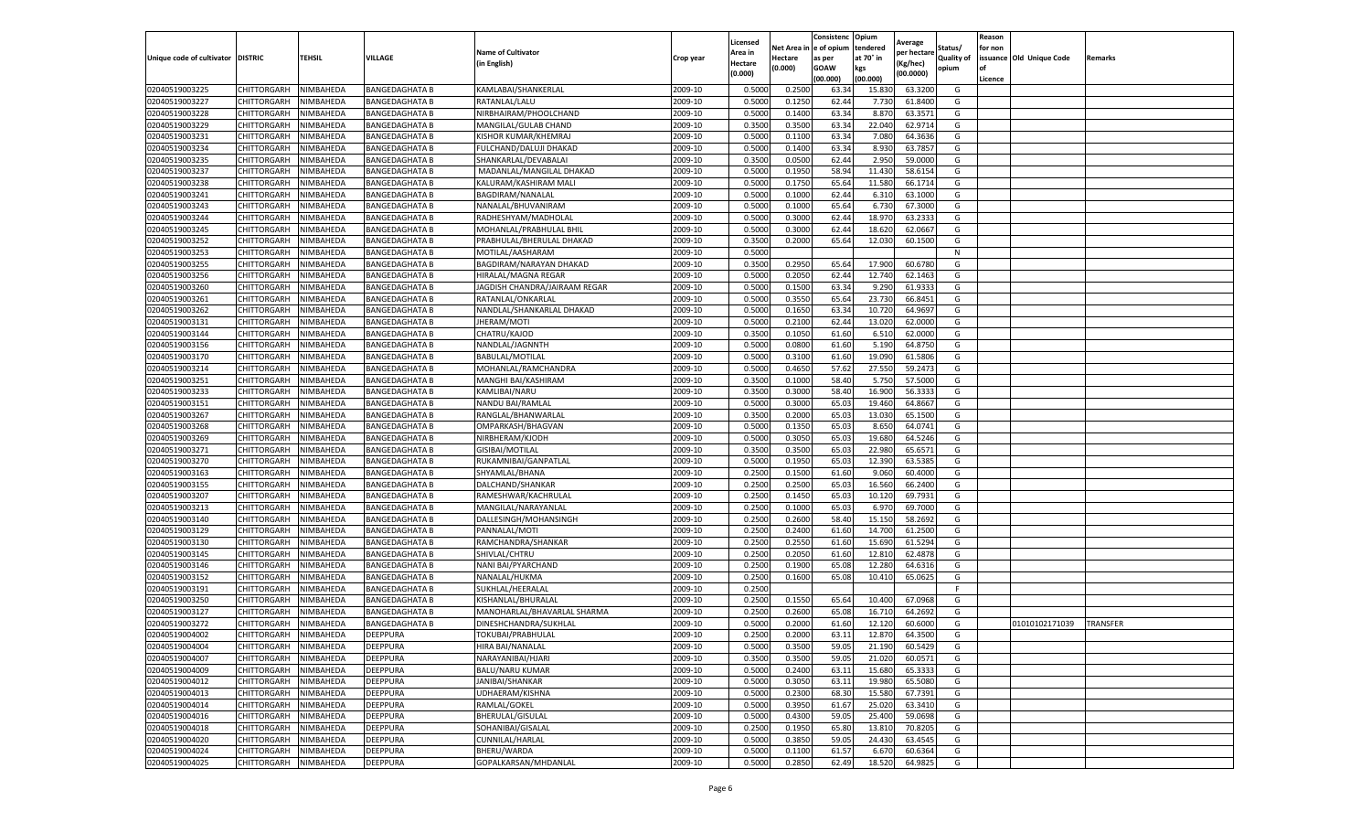|                                   |                    |                  |                       |                               |           | Licensed |         | Consistenc             | Opium     | Average     |            | Reason  |                          |                 |
|-----------------------------------|--------------------|------------------|-----------------------|-------------------------------|-----------|----------|---------|------------------------|-----------|-------------|------------|---------|--------------------------|-----------------|
|                                   |                    |                  |                       | <b>Name of Cultivator</b>     |           | Area in  |         | Net Area in e of opium | tendered  | per hectare | Status/    | for non |                          |                 |
| Unique code of cultivator DISTRIC |                    | TEHSIL           | VILLAGE               | in English)                   | Crop year | Hectare  | Hectare | as per                 | at 70° in | (Kg/hec     | Quality of |         | issuance Old Unique Code | <b>Remarks</b>  |
|                                   |                    |                  |                       |                               |           | (0.000)  | (0.000) | <b>GOAW</b>            | kgs       | (00.0000)   | opium      |         |                          |                 |
|                                   |                    |                  |                       |                               |           |          |         | (00.000)               | (00.000)  |             |            | Licence |                          |                 |
| 02040519003225                    | CHITTORGARH        | NIMBAHEDA        | <b>BANGEDAGHATA B</b> | KAMLABAI/SHANKERLAL           | 2009-10   | 0.5000   | 0.2500  | 63.34                  | 15.83     | 63.3200     | G          |         |                          |                 |
| 02040519003227                    | CHITTORGARH        | NIMBAHEDA        | <b>BANGEDAGHATA B</b> | RATANLAL/LALU                 | 2009-10   | 0.5000   | 0.1250  | 62.44                  | 7.73      | 61.8400     | G          |         |                          |                 |
| 02040519003228                    | CHITTORGARH        | NIMBAHEDA        | <b>BANGEDAGHATA B</b> | NIRBHAIRAM/PHOOLCHAND         | 2009-10   | 0.5000   | 0.1400  | 63.34                  | 8.87      | 63.3571     | G          |         |                          |                 |
| 02040519003229                    | CHITTORGARH        | NIMBAHEDA        | <b>BANGEDAGHATA B</b> | MANGILAL/GULAB CHAND          | 2009-10   | 0.3500   | 0.3500  | 63.34                  | 22.040    | 62.9714     | G          |         |                          |                 |
| 02040519003231                    | CHITTORGARH        | NIMBAHEDA        | <b>BANGEDAGHATA B</b> | KISHOR KUMAR/KHEMRAJ          | 2009-10   | 0.5000   | 0.1100  | 63.34                  | 7.080     | 64.3636     | G          |         |                          |                 |
| 02040519003234                    | CHITTORGARH        | NIMBAHEDA        | BANGEDAGHATA B        | FULCHAND/DALUJI DHAKAD        | 2009-10   | 0.5000   | 0.1400  | 63.34                  | 8.93      | 63.7857     | G          |         |                          |                 |
| 02040519003235                    | CHITTORGARH        | NIMBAHEDA        | <b>BANGEDAGHATA B</b> | SHANKARLAL/DEVABALAI          | 2009-10   | 0.3500   | 0.0500  | 62.44                  | 2.950     | 59.0000     | G          |         |                          |                 |
| 02040519003237                    | CHITTORGARH        | NIMBAHEDA        | <b>BANGEDAGHATA B</b> | MADANLAL/MANGILAL DHAKAD      | 2009-10   | 0.5000   | 0.1950  | 58.94                  | 11.430    | 58.6154     | G          |         |                          |                 |
| 02040519003238                    | CHITTORGARH        | NIMBAHEDA        | <b>BANGEDAGHATA B</b> | KALURAM/KASHIRAM MALI         | 2009-10   | 0.5000   | 0.1750  | 65.64                  | 11.580    | 66.1714     | G          |         |                          |                 |
| 02040519003241                    | CHITTORGARH        | NIMBAHEDA        | <b>BANGEDAGHATA B</b> | BAGDIRAM/NANALAL              | 2009-10   | 0.5000   | 0.1000  | 62.44                  | 6.31      | 63.1000     | G          |         |                          |                 |
| 02040519003243                    | CHITTORGARH        | NIMBAHEDA        | <b>BANGEDAGHATA B</b> | NANALAL/BHUVANIRAM            | 2009-10   | 0.5000   | 0.1000  | 65.64                  | 6.730     | 67.3000     | G          |         |                          |                 |
| 02040519003244                    | CHITTORGARH        | NIMBAHEDA        | <b>BANGEDAGHATA B</b> | RADHESHYAM/MADHOLAL           | 2009-10   | 0.5000   | 0.3000  | 62.44                  | 18.97     | 63.2333     | G          |         |                          |                 |
| 02040519003245                    | CHITTORGARH        | NIMBAHEDA        | <b>BANGEDAGHATA B</b> | MOHANLAL/PRABHULAL BHIL       | 2009-10   | 0.5000   | 0.3000  | 62.44                  | 18.62     | 62.0667     | G          |         |                          |                 |
| 02040519003252                    | CHITTORGARH        | NIMBAHEDA        | <b>BANGEDAGHATA B</b> | PRABHULAL/BHERULAL DHAKAD     | 2009-10   | 0.3500   | 0.2000  | 65.64                  | 12.03     | 60.1500     | G          |         |                          |                 |
| 02040519003253                    | CHITTORGARH        | NIMBAHEDA        | <b>BANGEDAGHATA B</b> | MOTILAL/AASHARAM              | 2009-10   | 0.5000   |         |                        |           |             | N          |         |                          |                 |
| 02040519003255                    | CHITTORGARH        | NIMBAHEDA        | <b>BANGEDAGHATA B</b> | BAGDIRAM/NARAYAN DHAKAD       | 2009-10   | 0.3500   | 0.2950  | 65.64                  | 17.900    | 60.6780     | G          |         |                          |                 |
| 02040519003256                    | CHITTORGARH        | NIMBAHEDA        | <b>BANGEDAGHATA B</b> | HIRALAL/MAGNA REGAR           | 2009-10   | 0.5000   | 0.2050  | 62.44                  | 12.74     | 62.1463     | G          |         |                          |                 |
| 02040519003260                    | CHITTORGARH        | NIMBAHEDA        | <b>BANGEDAGHATA B</b> | JAGDISH CHANDRA/JAIRAAM REGAR | 2009-10   | 0.5000   | 0.1500  | 63.34                  | 9.29      | 61.9333     | G          |         |                          |                 |
| 02040519003261                    | CHITTORGARH        | NIMBAHEDA        | <b>BANGEDAGHATA B</b> | RATANLAL/ONKARLAL             | 2009-10   | 0.5000   | 0.3550  | 65.64                  | 23.73     | 66.8451     | G          |         |                          |                 |
| 02040519003262                    | CHITTORGARH        | NIMBAHEDA        | <b>BANGEDAGHATA B</b> | NANDLAL/SHANKARLAL DHAKAD     | 2009-10   | 0.5000   | 0.1650  | 63.34                  | 10.72     | 64.9697     | G          |         |                          |                 |
| 02040519003131                    | CHITTORGARH        | NIMBAHEDA        | <b>BANGEDAGHATA B</b> | JHERAM/MOTI                   | 2009-10   | 0.5000   | 0.2100  | 62.44                  | 13.020    | 62.0000     | G          |         |                          |                 |
| 02040519003144                    | CHITTORGARH        | NIMBAHEDA        | <b>BANGEDAGHATA B</b> | CHATRU/KAJOD                  | 2009-10   | 0.3500   | 0.1050  | 61.60                  | 6.51      | 62.0000     | G          |         |                          |                 |
| 02040519003156                    | CHITTORGARH        | NIMBAHEDA        | <b>BANGEDAGHATA B</b> | NANDLAL/JAGNNTH               | 2009-10   | 0.5000   | 0.0800  | 61.60                  | 5.190     | 64.8750     | G          |         |                          |                 |
| 02040519003170                    | CHITTORGARH        | NIMBAHEDA        | <b>BANGEDAGHATA B</b> | BABULAL/MOTILAL               | 2009-10   | 0.5000   | 0.3100  | 61.60                  | 19.09     | 61.5806     | G          |         |                          |                 |
| 02040519003214                    | CHITTORGARH        | NIMBAHEDA        | BANGEDAGHATA B        | MOHANLAL/RAMCHANDRA           | 2009-10   | 0.5000   | 0.4650  | 57.62                  | 27.55     | 59.247      | G          |         |                          |                 |
| 02040519003251                    | CHITTORGARH        | NIMBAHEDA        | <b>BANGEDAGHATA B</b> | MANGHI BAI/KASHIRAM           | 2009-10   | 0.3500   | 0.1000  | 58.40                  | 5.750     | 57.5000     | G          |         |                          |                 |
| 02040519003233                    | CHITTORGARH        | NIMBAHEDA        | <b>BANGEDAGHATA B</b> | KAMLIBAI/NARU                 | 2009-10   | 0.3500   | 0.3000  | 58.40                  | 16.90     | 56.3333     | G          |         |                          |                 |
| 02040519003151                    | CHITTORGARH        | NIMBAHEDA        | <b>BANGEDAGHATA B</b> | NANDU BAI/RAMLAI              | 2009-10   | 0.5000   | 0.3000  | 65.03                  | 19.460    | 64.8667     | G          |         |                          |                 |
| 02040519003267                    | CHITTORGARH        | NIMBAHEDA        | <b>BANGEDAGHATA B</b> | RANGLAL/BHANWARLAL            | 2009-10   | 0.3500   | 0.2000  | 65.03                  | 13.030    | 65.1500     | G          |         |                          |                 |
| 02040519003268                    | CHITTORGARH        | NIMBAHEDA        | <b>BANGEDAGHATA B</b> | OMPARKASH/BHAGVAN             | 2009-10   | 0.5000   | 0.1350  | 65.03                  | 8.650     | 64.0741     | G          |         |                          |                 |
| 02040519003269                    | CHITTORGARH        | NIMBAHEDA        | BANGEDAGHATA B        | NIRBHERAM/KJODH               | 2009-10   | 0.5000   | 0.3050  | 65.03                  | 19.68     | 64.5246     | G          |         |                          |                 |
| 02040519003271                    | CHITTORGARH        | NIMBAHEDA        | <b>BANGEDAGHATA B</b> | GISIBAI/MOTILAL               | 2009-10   | 0.3500   | 0.3500  | 65.03                  | 22.980    | 65.6571     | G          |         |                          |                 |
| 02040519003270                    | CHITTORGARH        | NIMBAHEDA        | <b>BANGEDAGHATA B</b> | RUKAMNIBAI/GANPATLAL          | 2009-10   | 0.5000   | 0.1950  | 65.03                  | 12.39     | 63.5385     | G          |         |                          |                 |
| 02040519003163                    | CHITTORGARH        | NIMBAHEDA        | <b>BANGEDAGHATA B</b> | SHYAMLAL/BHANA                | 2009-10   | 0.2500   | 0.1500  | 61.60                  | 9.060     | 60.4000     | G          |         |                          |                 |
| 02040519003155                    | CHITTORGARH        | NIMBAHEDA        | <b>BANGEDAGHATA B</b> | DALCHAND/SHANKAR              | 2009-10   | 0.2500   | 0.2500  | 65.03                  | 16.560    | 66.2400     | G          |         |                          |                 |
| 02040519003207                    | CHITTORGARH        | NIMBAHEDA        | <b>BANGEDAGHATA B</b> | RAMESHWAR/KACHRULAL           | 2009-10   | 0.2500   | 0.1450  | 65.03                  | 10.12     | 69.7931     | G          |         |                          |                 |
| 02040519003213                    | CHITTORGARH        | NIMBAHEDA        | <b>BANGEDAGHATA B</b> | MANGILAL/NARAYANLAL           | 2009-10   | 0.2500   | 0.1000  | 65.03                  | 6.97      | 69.7000     | G          |         |                          |                 |
| 02040519003140                    | CHITTORGARH        | NIMBAHEDA        | BANGEDAGHATA B        | DALLESINGH/MOHANSINGH         | 2009-10   | 0.2500   | 0.2600  | 58.40                  | 15.15     | 58.2692     | G          |         |                          |                 |
| 02040519003129                    | CHITTORGARH        | NIMBAHEDA        | <b>BANGEDAGHATA B</b> | PANNALAL/MOTI                 | 2009-10   | 0.2500   | 0.2400  | 61.60                  | 14.700    | 61.2500     | G          |         |                          |                 |
| 02040519003130                    | CHITTORGARH        | NIMBAHEDA        | <b>BANGEDAGHATA B</b> | RAMCHANDRA/SHANKAR            | 2009-10   | 0.2500   | 0.2550  | 61.60                  | 15.690    | 61.5294     | G          |         |                          |                 |
| 02040519003145                    | CHITTORGARH        | NIMBAHEDA        | <b>BANGEDAGHATA B</b> | SHIVLAL/CHTRU                 | 2009-10   | 0.2500   | 0.2050  | 61.60                  | 12.81     | 62.4878     | G          |         |                          |                 |
| 02040519003146                    | CHITTORGARH        | NIMBAHEDA        | <b>BANGEDAGHATA B</b> | NANI BAI/PYARCHAND            | 2009-10   | 0.2500   | 0.1900  | 65.08                  | 12.28     | 64.6316     | G          |         |                          |                 |
| 02040519003152                    | CHITTORGARH        | NIMBAHEDA        | <b>BANGEDAGHATA B</b> | NANALAL/HUKMA                 | 2009-10   | 0.2500   | 0.1600  | 65.08                  | 10.410    | 65.0625     | G          |         |                          |                 |
| 02040519003191                    | CHITTORGARH        | NIMBAHEDA        | BANGEDAGHATA B        | SUKHLAL/HEERALAL              | 2009-10   | 0.2500   |         |                        |           |             | F          |         |                          |                 |
| 02040519003250                    | CHITTORGARH        | NIMBAHEDA        | <b>BANGEDAGHATA B</b> | KISHANLAL/BHURALAL            | 2009-10   | 0.2500   | 0.1550  | 65.64                  | 10.400    | 67.0968     | G          |         |                          |                 |
| 02040519003127                    | CHITTORGARH        | NIMBAHEDA        | <b>BANGEDAGHATA B</b> | MANOHARLAL/BHAVARLAL SHARMA   | 2009-10   | 0.2500   | 0.2600  | 65.08                  | 16.71     | 64.2692     | G          |         |                          |                 |
| 02040519003272                    | CHITTORGARH        | NIMBAHEDA        | <b>BANGEDAGHATA B</b> | DINESHCHANDRA/SUKHLAL         | 2009-10   | 0.5000   | 0.2000  | 61.60                  | 12.12     | 60.6000     | G          |         | 01010102171039           | <b>TRANSFER</b> |
| 02040519004002                    | CHITTORGARH        | NIMBAHEDA        | <b>DEEPPURA</b>       | TOKUBAI/PRABHULAL             | 2009-10   | 0.2500   | 0.2000  | 63.11                  | 12.870    | 64.3500     | G          |         |                          |                 |
| 02040519004004                    | CHITTORGARH        | NIMBAHEDA        | <b>DEEPPURA</b>       | HIRA BAI/NANALAL              | 2009-10   | 0.5000   | 0.3500  | 59.05                  | 21.190    | 60.5429     | G          |         |                          |                 |
| 02040519004007                    | CHITTORGARH        | NIMBAHEDA        | DEEPPURA              | NARAYANIBAI/HJARI             | 2009-10   | 0.3500   | 0.3500  | 59.05                  | 21.020    | 60.0571     | G          |         |                          |                 |
| 02040519004009                    | CHITTORGARH        | NIMBAHEDA        | DEEPPURA              | <b>BALU/NARU KUMAR</b>        | 2009-10   | 0.5000   | 0.2400  | 63.11                  | 15.680    | 65.3333     | G          |         |                          |                 |
| 02040519004012                    | CHITTORGARH        | NIMBAHEDA        | DEEPPURA              | JANIBAI/SHANKAR               | 2009-10   | 0.5000   | 0.3050  | 63.11                  | 19.980    | 65.5080     | G          |         |                          |                 |
| 02040519004013                    | CHITTORGARH        | <b>NIMBAHEDA</b> | DEEPPURA              | UDHAERAM/KISHNA               | 2009-10   | 0.5000   | 0.2300  | 68.30                  | 15.580    | 67.7391     | G          |         |                          |                 |
| 02040519004014                    | <b>CHITTORGARH</b> | NIMBAHEDA        | <b>DEEPPURA</b>       | RAMLAL/GOKEL                  | 2009-10   | 0.5000   | 0.3950  | 61.67                  | 25.020    | 63.3410     | G          |         |                          |                 |
| 02040519004016                    | CHITTORGARH        | NIMBAHEDA        | DEEPPURA              | BHERULAL/GISULAL              | 2009-10   | 0.5000   | 0.4300  | 59.05                  | 25.400    | 59.0698     | G          |         |                          |                 |
| 02040519004018                    | CHITTORGARH        | NIMBAHEDA        | DEEPPURA              | SOHANIBAI/GISALAL             | 2009-10   | 0.2500   | 0.1950  | 65.80                  | 13.810    | 70.8205     | G          |         |                          |                 |
| 02040519004020                    | CHITTORGARH        | NIMBAHEDA        | <b>DEEPPURA</b>       | CUNNILAL/HARLAL               | 2009-10   | 0.5000   | 0.3850  | 59.05                  | 24.430    | 63.4545     | G          |         |                          |                 |
| 02040519004024                    | CHITTORGARH        | NIMBAHEDA        | DEEPPURA              | BHERU/WARDA                   | 2009-10   | 0.5000   | 0.1100  | 61.57                  | 6.670     | 60.6364     | G          |         |                          |                 |
| 02040519004025                    | <b>CHITTORGARH</b> | NIMBAHEDA        | <b>DEEPPURA</b>       | GOPALKARSAN/MHDANLAL          | 2009-10   | 0.5000   | 0.2850  | 62.49                  | 18.520    | 64.9825     | G          |         |                          |                 |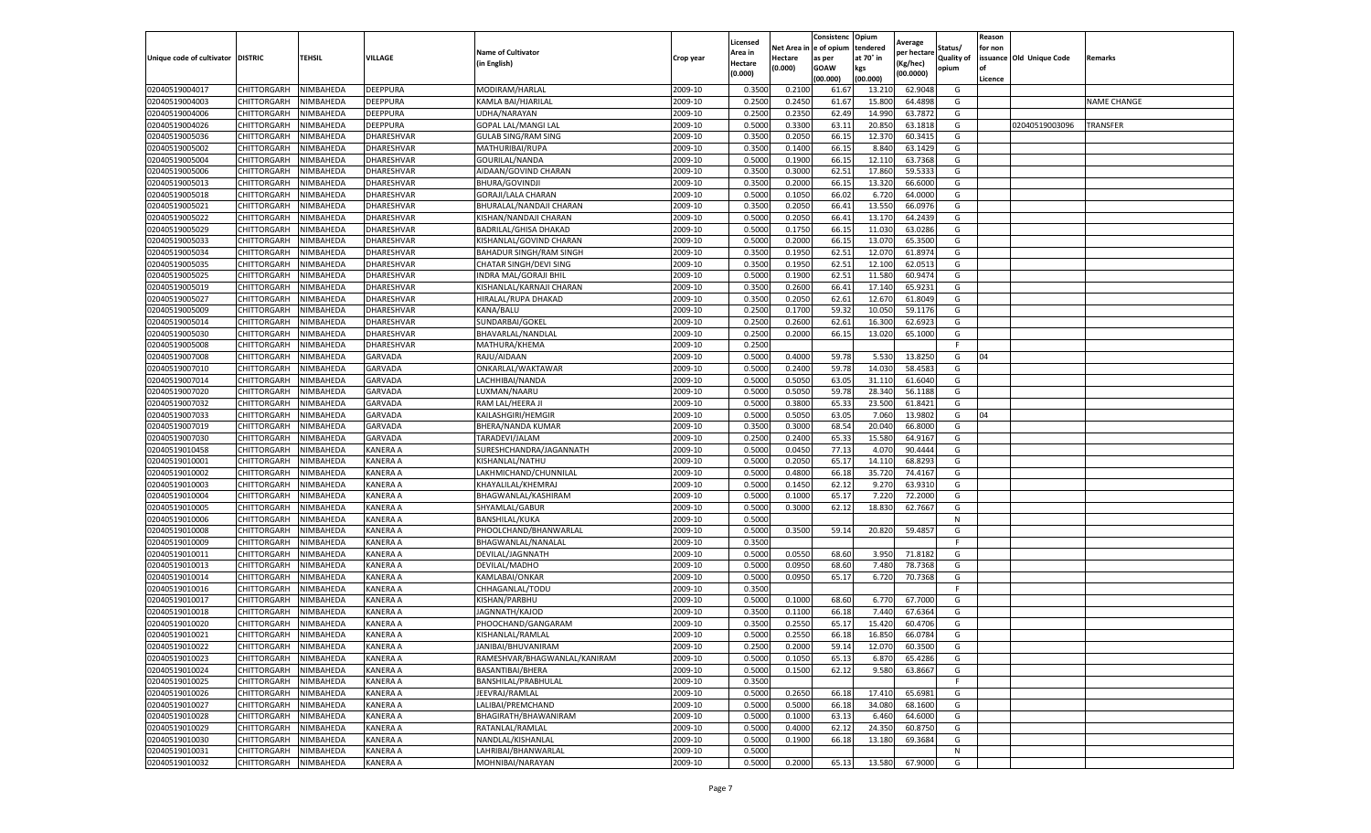|                                   |                            |                        |                             |                                               |                    | Licensed        |                 | Consistenc     | Opium            | Average            |                   | Reason  |                          |                    |
|-----------------------------------|----------------------------|------------------------|-----------------------------|-----------------------------------------------|--------------------|-----------------|-----------------|----------------|------------------|--------------------|-------------------|---------|--------------------------|--------------------|
|                                   |                            |                        |                             | <b>Name of Cultivator</b>                     |                    | Area in         | Net Area i      | e of opium     | tendered         | per hectare        | Status/           | for non |                          |                    |
| Unique code of cultivator DISTRIC |                            | TEHSIL                 | VILLAGE                     | (in English)                                  | Crop year          | Hectare         | Hectare         | as per         | at 70° in        | (Kg/hec)           | <b>Quality of</b> |         | issuance Old Unique Code | Remarks            |
|                                   |                            |                        |                             |                                               |                    | (0.000)         | (0.000)         | <b>GOAW</b>    | kgs              | (00.0000)          | opium             |         |                          |                    |
|                                   |                            |                        |                             |                                               |                    |                 |                 | (00.000        | (00.000)         |                    |                   | Licence |                          |                    |
| 02040519004017<br>02040519004003  | CHITTORGARH<br>CHITTORGARH | NIMBAHEDA<br>NIMBAHEDA | DEEPPURA<br>DEEPPURA        | MODIRAM/HARLAL<br>KAMLA BAI/HJARILAL          | 2009-10<br>2009-10 | 0.3500<br>0.250 | 0.210<br>0.2450 | 61.67<br>61.67 | 13.210<br>15.800 | 62.9048<br>64.4898 | G<br>G            |         |                          | <b>NAME CHANGE</b> |
|                                   |                            |                        |                             | UDHA/NARAYAN                                  | 2009-10            | 0.2500          | 0.2350          | 62.49          |                  | 63.7872            | G                 |         |                          |                    |
| 02040519004006<br>02040519004026  | CHITTORGARH<br>CHITTORGARH | NIMBAHEDA<br>NIMBAHEDA | DEEPPURA<br><b>DEEPPURA</b> | <b>GOPAL LAL/MANGI LAL</b>                    | 2009-10            | 0.5000          | 0.3300          | 63.11          | 14.990<br>20.850 | 63.1818            | G                 |         | 02040519003096           | TRANSFER           |
| 02040519005036                    | CHITTORGARH                | NIMBAHEDA              | DHARESHVAR                  |                                               | 2009-10            | 0.3500          | 0.2050          | 66.15          | 12.37            | 60.3415            |                   |         |                          |                    |
| 02040519005002                    | CHITTORGARH                | NIMBAHEDA              | DHARESHVAR                  | <b>GULAB SING/RAM SING</b><br>MATHURIBAI/RUPA | 2009-10            | 0.3500          | 0.1400          | 66.15          | 8.840            | 63.1429            | G<br>G            |         |                          |                    |
| 02040519005004                    | CHITTORGARH                | NIMBAHEDA              | DHARESHVAR                  | GOURILAL/NANDA                                | 2009-10            | 0.5000          | 0.1900          | 66.15          | 12.110           | 63.7368            | G                 |         |                          |                    |
| 02040519005006                    | CHITTORGARH                | NIMBAHEDA              | DHARESHVAR                  | AIDAAN/GOVIND CHARAN                          | 2009-10            | 0.3500          | 0.3000          | 62.5           | 17.860           | 59.533             | G                 |         |                          |                    |
| 02040519005013                    | CHITTORGARH                | NIMBAHEDA              | DHARESHVAR                  | <b>BHURA/GOVINDJI</b>                         | 2009-10            | 0.3500          | 0.2000          | 66.15          | 13.320           | 66.6000            | G                 |         |                          |                    |
| 02040519005018                    | CHITTORGARH                | NIMBAHEDA              | DHARESHVAR                  | GORAJI/LALA CHARAN                            | 2009-10            | 0.5000          | 0.1050          | 66.02          | 6.720            | 64.0000            | G                 |         |                          |                    |
| 02040519005021                    | CHITTORGARH                | NIMBAHEDA              | DHARESHVAR                  | BHURALAL/NANDAJI CHARAN                       | 2009-10            | 0.3500          | 0.2050          | 66.41          | 13.550           | 66.0976            | G                 |         |                          |                    |
| 02040519005022                    | CHITTORGARH                | NIMBAHEDA              | DHARESHVAR                  | KISHAN/NANDAJI CHARAN                         | 2009-10            | 0.5000          | 0.2050          | 66.4           | 13.170           | 64.2439            | G                 |         |                          |                    |
| 02040519005029                    | CHITTORGARH                | NIMBAHEDA              | DHARESHVAR                  | BADRILAL/GHISA DHAKAD                         | 2009-10            | 0.5000          | 0.1750          | 66.1           | 11.030           | 63.0286            | G                 |         |                          |                    |
| 02040519005033                    | CHITTORGARH                | NIMBAHEDA              | DHARESHVAR                  | KISHANLAL/GOVIND CHARAN                       | 2009-10            | 0.500           | 0.2000          | 66.1           | 13.070           | 65.3500            | G                 |         |                          |                    |
| 02040519005034                    | CHITTORGARH                | NIMBAHEDA              | DHARESHVAR                  | BAHADUR SINGH/RAM SINGH                       | 2009-10            | 0.3500          | 0.1950          | 62.51          | 12.070           | 61.8974            | G                 |         |                          |                    |
| 02040519005035                    | CHITTORGARH                | NIMBAHEDA              | DHARESHVAR                  | CHATAR SINGH/DEVI SING                        | 2009-10            | 0.3500          | 0.1950          | 62.51          | 12.100           | 62.0513            | G                 |         |                          |                    |
| 02040519005025                    | CHITTORGARH                | NIMBAHEDA              | DHARESHVAR                  | INDRA MAL/GORAJI BHIL                         | 2009-10            | 0.5000          | 0.1900          | 62.5           | 11.580           | 60.9474            | G                 |         |                          |                    |
| 02040519005019                    | CHITTORGARH                | NIMBAHEDA              | DHARESHVAR                  | KISHANLAL/KARNAJI CHARAN                      | 2009-10            | 0.3500          | 0.2600          | 66.41          | 17.140           | 65.9231            | G                 |         |                          |                    |
| 02040519005027                    | CHITTORGARH                | NIMBAHEDA              | DHARESHVAR                  | HIRALAL/RUPA DHAKAD                           | 2009-10            | 0.3500          | 0.2050          | 62.61          | 12.67            | 61.8049            | G                 |         |                          |                    |
| 02040519005009                    | CHITTORGARH                | NIMBAHEDA              | DHARESHVAR                  | KANA/BALU                                     | 2009-10            | 0.2500          | 0.1700          | 59.32          | 10.050           | 59.1176            | G                 |         |                          |                    |
| 02040519005014                    | CHITTORGARH                | NIMBAHEDA              | DHARESHVAR                  | SUNDARBAI/GOKEL                               | 2009-10            | 0.2500          | 0.2600          | 62.61          | 16.300           | 62.6923            | G                 |         |                          |                    |
| 02040519005030                    | CHITTORGARH                | NIMBAHEDA              | DHARESHVAR                  | BHAVARLAL/NANDLAL                             | 2009-10            | 0.2500          | 0.2000          | 66.15          | 13.020           | 65.1000            | G                 |         |                          |                    |
| 02040519005008                    | CHITTORGARH                | NIMBAHEDA              | DHARESHVAR                  | MATHURA/KHEMA                                 | 2009-10            | 0.2500          |                 |                |                  |                    | F                 |         |                          |                    |
| 02040519007008                    | CHITTORGARH                | NIMBAHEDA              | GARVADA                     | RAJU/AIDAAN                                   | 2009-10            | 0.5000          | 0.4000          | 59.78          | 5.530            | 13.8250            | G                 | 04      |                          |                    |
| 02040519007010                    | CHITTORGARH                | NIMBAHEDA              | GARVADA                     | ONKARLAL/WAKTAWAR                             | 2009-10            | 0.5000          | 0.2400          | 59.78          | 14.030           | 58.4583            | G                 |         |                          |                    |
| 02040519007014                    | CHITTORGARH                | NIMBAHEDA              | GARVADA                     | LACHHIBAI/NANDA                               | 2009-10            | 0.5000          | 0.5050          | 63.05          | 31.110           | 61.6040            | G                 |         |                          |                    |
| 02040519007020                    | CHITTORGARH                | NIMBAHEDA              | GARVADA                     | LUXMAN/NAARU                                  | 2009-10            | 0.5000          | 0.5050          | 59.78          | 28.340           | 56.1188            | G                 |         |                          |                    |
| 02040519007032                    | CHITTORGARH                | NIMBAHEDA              | GARVADA                     | RAM LAL/HEERA JI                              | 2009-10            | 0.5000          | 0.3800          | 65.33          | 23.500           | 61.8421            | G                 |         |                          |                    |
| 02040519007033                    | CHITTORGARH                | NIMBAHEDA              | GARVADA                     | KAILASHGIRI/HEMGIR                            | 2009-10            | 0.5000          | 0.5050          | 63.05          | 7.060            | 13.9802            | G                 | 04      |                          |                    |
| 02040519007019                    | CHITTORGARH                | NIMBAHEDA              | GARVADA                     | BHERA/NANDA KUMAR                             | 2009-10            | 0.3500          | 0.3000          | 68.54          | 20.040           | 66.8000            | G                 |         |                          |                    |
| 02040519007030                    | CHITTORGARH                | NIMBAHEDA              | GARVADA                     | TARADEVI/JALAM                                | 2009-10            | 0.2500          | 0.2400          | 65.33          | 15.580           | 64.9167            | G                 |         |                          |                    |
| 02040519010458                    | CHITTORGARH                | NIMBAHEDA              | <b>KANERA A</b>             | SURESHCHANDRA/JAGANNATH                       | 2009-10            | 0.5000          | 0.0450          | 77.13          | 4.070            | 90.4444            | G                 |         |                          |                    |
| 02040519010001                    | CHITTORGARH                | NIMBAHEDA              | KANERA A                    | KISHANLAL/NATHU                               | 2009-10            | 0.500           | 0.2050          | 65.17          | 14.110           | 68.8293            | G                 |         |                          |                    |
| 02040519010002                    | CHITTORGARH                | NIMBAHEDA              | KANERA A                    | LAKHMICHAND/CHUNNILAL                         | 2009-10            | 0.5000          | 0.4800          | 66.18          | 35.720           | 74.4167            | G                 |         |                          |                    |
| 02040519010003                    | CHITTORGARH                | NIMBAHEDA              | KANERA A                    | KHAYALILAL/KHEMRAJ                            | 2009-10            | 0.5000          | 0.1450          | 62.12          | 9.270            | 63.9310            | G                 |         |                          |                    |
| 02040519010004                    | CHITTORGARH                | NIMBAHEDA              | KANERA A                    | BHAGWANLAL/KASHIRAM                           | 2009-10            | 0.5000          | 0.1000          | 65.17          | 7.220            | 72.2000            | G                 |         |                          |                    |
| 02040519010005                    | CHITTORGARH                | NIMBAHEDA              | KANERA A                    | SHYAMLAL/GABUR                                | 2009-10            | 0.5000          | 0.3000          | 62.12          | 18.830           | 62.7667            | G                 |         |                          |                    |
| 02040519010006                    | CHITTORGARH                | NIMBAHEDA              | KANERA A                    | BANSHILAL/KUKA                                | 2009-10            | 0.5000          |                 |                |                  |                    | N                 |         |                          |                    |
| 02040519010008                    | CHITTORGARH                | NIMBAHEDA              | KANERA A                    | PHOOLCHAND/BHANWARLAL                         | 2009-10            | 0.5000          | 0.3500          | 59.14          | 20.820           | 59.4857            | G                 |         |                          |                    |
| 02040519010009                    | CHITTORGARH                | NIMBAHEDA              | KANERA A                    | BHAGWANLAL/NANALAL                            | 2009-10            | 0.3500          |                 |                |                  |                    | F.                |         |                          |                    |
| 02040519010011                    | CHITTORGARH                | NIMBAHEDA              | KANERA A                    | DEVILAL/JAGNNATH                              | 2009-10            | 0.5000          | 0.0550          | 68.60          | 3.950            | 71.8182            | G                 |         |                          |                    |
| 02040519010013                    | CHITTORGARH                | NIMBAHEDA              | KANERA A                    | DEVILAL/MADHO                                 | 2009-10            | 0.5000          | 0.0950          | 68.60          | 7.480            | 78.7368            | G                 |         |                          |                    |
| 02040519010014                    | CHITTORGARH                | NIMBAHEDA              | <b>KANERA A</b>             | KAMLABAI/ONKAR                                | 2009-10            | 0.5000          | 0.0950          | 65.17          | 6.720            | 70.7368            | G                 |         |                          |                    |
| 02040519010016                    | CHITTORGARH                | NIMBAHEDA              | KANERA A                    | CHHAGANLAL/TODU                               | 2009-10            | 0.3500          |                 |                |                  |                    |                   |         |                          |                    |
| 02040519010017                    | CHITTORGARH                | NIMBAHEDA              | <b>KANERA A</b>             | KISHAN/PARBHU                                 | 2009-10            | 0.5000          | 0.1000          | 68.60          | 6.770            | 67.7000            | G                 |         |                          |                    |
| 02040519010018                    | CHITTORGARH                | NIMBAHEDA              | KANERA A                    | JAGNNATH/KAJOD                                | 2009-10            | 0.3500          | 0.1100          | 66.18          | 7.440            | 67.6364            | G                 |         |                          |                    |
| 02040519010020                    | CHITTORGARH                | NIMBAHEDA              | KANERA A                    | PHOOCHAND/GANGARAM                            | 2009-10            | 0.3500          | 0.2550          | 65.17          | 15.420           | 60.4706            | G                 |         |                          |                    |
| 02040519010021                    | CHITTORGARH                | NIMBAHEDA              | KANERA A                    | KISHANLAL/RAMLAL                              | 2009-10            | 0.5000          | 0.2550          | 66.18          | 16.850           | 66.0784            | G                 |         |                          |                    |
| 02040519010022                    | CHITTORGARH                | NIMBAHEDA              | KANERA A                    | JANIBAI/BHUVANIRAM                            | 2009-10            | 0.2500          | 0.2000          | 59.14          | 12.070           | 60.3500            | G                 |         |                          |                    |
| 02040519010023                    | CHITTORGARH                | NIMBAHEDA              | KANERA A                    | RAMESHVAR/BHAGWANLAL/KANIRAM                  | 2009-10            | 0.5000          | 0.1050          | 65.13          | 6.870            | 65.4286            | G                 |         |                          |                    |
| 02040519010024                    | CHITTORGARH                | NIMBAHEDA              | KANERA A                    | BASANTIBAI/BHERA                              | 2009-10            | 0.5000          | 0.1500          | 62.12          | 9.580            | 63.8667            | G                 |         |                          |                    |
| 02040519010025                    | CHITTORGARH                | NIMBAHEDA              | KANERA A                    | BANSHILAL/PRABHULAL                           | 2009-10            | 0.3500          |                 |                |                  |                    | F                 |         |                          |                    |
| 02040519010026                    | CHITTORGARH                | NIMBAHEDA              | KANERA A                    | JEEVRAJ/RAMLAL                                | 2009-10            | 0.5000          | 0.2650          | 66.18          | 17.410           | 65.6981            | G                 |         |                          |                    |
| 02040519010027                    | CHITTORGARH                | NIMBAHEDA              | <b>KANERA A</b>             | LALIBAI/PREMCHAND                             | 2009-10            | 0.5000          | 0.5000          | 66.18          | 34.080           | 68.1600            | G                 |         |                          |                    |
| 02040519010028                    | CHITTORGARH                | NIMBAHEDA              | KANERA A                    | BHAGIRATH/BHAWANIRAM                          | 2009-10            | 0.5000          | 0.1000          | 63.13          | 6.460            | 64.6000            | G                 |         |                          |                    |
| 02040519010029                    | CHITTORGARH                | NIMBAHEDA              | KANERA A                    | RATANLAL/RAMLAL                               | 2009-10            | 0.5000          | 0.4000          | 62.12          | 24.350           | 60.8750            | G                 |         |                          |                    |
| 02040519010030                    | CHITTORGARH                | NIMBAHEDA              | KANERA A                    | NANDLAL/KISHANLAL                             | 2009-10            | 0.5000          | 0.1900          | 66.18          | 13.180           | 69.3684            | G                 |         |                          |                    |
| 02040519010031                    | CHITTORGARH                | NIMBAHEDA              | KANERA A                    | LAHRIBAI/BHANWARLAL                           | 2009-10            | 0.5000          |                 |                |                  |                    | N                 |         |                          |                    |
| 02040519010032                    | CHITTORGARH                | NIMBAHEDA              | <b>KANERA A</b>             | MOHNIBAI/NARAYAN                              | 2009-10            | 0.5000          | 0.2000          | 65.13          | 13.580           | 67.9000            | G                 |         |                          |                    |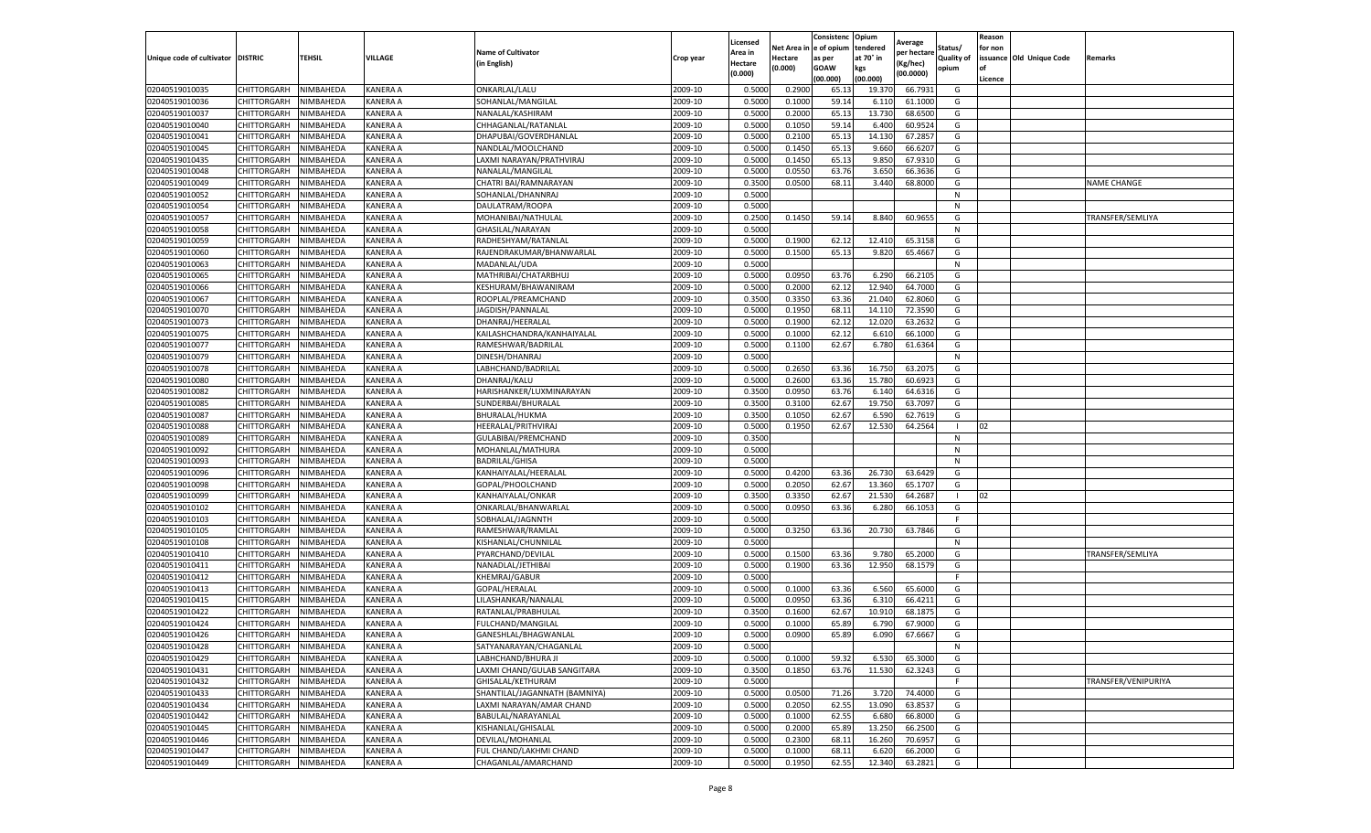|                                   |                    |           |                 |                               |           | Licensed |         | Consistenc             | Opium     | Average     |                   | Reason  |                          |                     |
|-----------------------------------|--------------------|-----------|-----------------|-------------------------------|-----------|----------|---------|------------------------|-----------|-------------|-------------------|---------|--------------------------|---------------------|
|                                   |                    |           |                 | <b>Name of Cultivator</b>     |           | Area in  |         | Net Area in e of opium | tendered  | per hectare | Status/           | for non |                          |                     |
| Unique code of cultivator DISTRIC |                    | TEHSIL    | VILLAGE         | in English)                   | Crop year | Hectare  | Hectare | as per                 | at 70° in | (Kg/hec     | <b>Quality of</b> |         | issuance Old Unique Code | <b>Remarks</b>      |
|                                   |                    |           |                 |                               |           | (0.000)  | (0.000) | <b>GOAW</b>            | kgs       | (00.0000)   | opium             |         |                          |                     |
|                                   |                    |           |                 |                               |           |          |         | (00.000)               | (00.000)  |             |                   | Licence |                          |                     |
| 02040519010035                    | CHITTORGARH        | NIMBAHEDA | KANERA A        | ONKARLAL/LALU                 | 2009-10   | 0.5000   | 0.2900  | 65.1                   | 19.37     | 66.7931     | G                 |         |                          |                     |
| 02040519010036                    | CHITTORGARH        | NIMBAHEDA | KANERA A        | SOHANLAL/MANGILAL             | 2009-10   | 0.5000   | 0.1000  | 59.14                  | 6.11      | 61.1000     | G                 |         |                          |                     |
| 02040519010037                    | CHITTORGARH        | NIMBAHEDA | KANERA A        | NANALAL/KASHIRAM              | 2009-10   | 0.5000   | 0.2000  | 65.13                  | 13.73     | 68.6500     | G                 |         |                          |                     |
| 02040519010040                    | CHITTORGARH        | NIMBAHEDA | KANERA A        | CHHAGANLAL/RATANLAL           | 2009-10   | 0.5000   | 0.1050  | 59.14                  | 6.400     | 60.9524     | G                 |         |                          |                     |
| 02040519010041                    | CHITTORGARH        | NIMBAHEDA | KANERA A        | DHAPUBAI/GOVERDHANLAL         | 2009-10   | 0.5000   | 0.2100  | 65.13                  | 14.13     | 67.2857     | G                 |         |                          |                     |
| 02040519010045                    | CHITTORGARH        | NIMBAHEDA | KANERA A        | NANDLAL/MOOLCHAND             | 2009-10   | 0.5000   | 0.1450  | 65.13                  | 9.660     | 66.6207     | G                 |         |                          |                     |
| 02040519010435                    | CHITTORGARH        | NIMBAHEDA | KANERA A        | LAXMI NARAYAN/PRATHVIRAJ      | 2009-10   | 0.5000   | 0.1450  | 65.13                  | 9.850     | 67.9310     | G                 |         |                          |                     |
| 02040519010048                    | CHITTORGARH        | NIMBAHEDA | KANERA A        | NANALAL/MANGILAL              | 2009-10   | 0.5000   | 0.0550  | 63.76                  | 3.650     | 66.3636     | G                 |         |                          |                     |
| 02040519010049                    | CHITTORGARH        | NIMBAHEDA | KANERA A        | CHATRI BAI/RAMNARAYAN         | 2009-10   | 0.3500   | 0.0500  | 68.11                  | 3.440     | 68.8000     | G                 |         |                          | <b>NAME CHANGE</b>  |
| 02040519010052                    | CHITTORGARH        | NIMBAHEDA | KANERA A        | SOHANLAL/DHANNRAJ             | 2009-10   | 0.5000   |         |                        |           |             | N                 |         |                          |                     |
| 02040519010054                    | CHITTORGARH        | NIMBAHEDA | KANERA A        | DAULATRAM/ROOPA               | 2009-10   | 0.5000   |         |                        |           |             | N                 |         |                          |                     |
| 02040519010057                    | CHITTORGARH        | NIMBAHEDA | KANERA A        | MOHANIBAI/NATHULAL            | 2009-10   | 0.2500   | 0.1450  | 59.14                  | 8.840     | 60.9655     | G                 |         |                          | TRANSFER/SEMLIYA    |
| 02040519010058                    | CHITTORGARH        | NIMBAHEDA | KANERA A        | GHASILAL/NARAYAN              | 2009-10   | 0.5000   |         |                        |           |             | $\mathsf{N}$      |         |                          |                     |
| 02040519010059                    | CHITTORGARH        | NIMBAHEDA | KANERA A        | RADHESHYAM/RATANLAL           | 2009-10   | 0.5000   | 0.1900  | 62.12                  | 12.410    | 65.3158     | G                 |         |                          |                     |
| 02040519010060                    | CHITTORGARH        | NIMBAHEDA | KANERA A        | RAJENDRAKUMAR/BHANWARLAL      | 2009-10   | 0.5000   | 0.1500  | 65.13                  | 9.820     | 65.4667     | G                 |         |                          |                     |
| 02040519010063                    | CHITTORGARH        | NIMBAHEDA | KANERA A        | MADANLAL/UDA                  | 2009-10   | 0.5000   |         |                        |           |             | N                 |         |                          |                     |
| 02040519010065                    | CHITTORGARH        | NIMBAHEDA | KANERA A        | MATHRIBAI/CHATARBHUJ          | 2009-10   | 0.5000   | 0.0950  | 63.76                  | 6.290     | 66.2105     | G                 |         |                          |                     |
| 02040519010066                    | CHITTORGARH        | NIMBAHEDA | KANERA A        | KESHURAM/BHAWANIRAM           | 2009-10   | 0.5000   | 0.2000  | 62.12                  | 12.94     | 64.7000     | G                 |         |                          |                     |
| 02040519010067                    | CHITTORGARH        | NIMBAHEDA | KANERA A        | ROOPLAL/PREAMCHAND            | 2009-10   | 0.3500   | 0.3350  | 63.36                  | 21.04     | 62.8060     | G                 |         |                          |                     |
| 02040519010070                    | CHITTORGARH        | NIMBAHEDA | KANERA A        | JAGDISH/PANNALAL              | 2009-10   | 0.5000   | 0.1950  | 68.1                   | 14.11     | 72.3590     | G                 |         |                          |                     |
| 02040519010073                    | CHITTORGARH        | NIMBAHEDA | KANERA A        | DHANRAJ/HEERALAL              | 2009-10   | 0.5000   | 0.1900  | 62.12                  | 12.020    | 63.2632     | G                 |         |                          |                     |
| 02040519010075                    | CHITTORGARH        | NIMBAHEDA | KANERA A        | KAILASHCHANDRA/KANHAIYALAL    | 2009-10   | 0.5000   | 0.1000  | 62.12                  | 6.61      | 66.1000     | G                 |         |                          |                     |
| 02040519010077                    | CHITTORGARH        | NIMBAHEDA | KANERA A        | RAMESHWAR/BADRILAL            | 2009-10   | 0.5000   | 0.1100  | 62.67                  | 6.780     | 61.6364     | G                 |         |                          |                     |
| 02040519010079                    | CHITTORGARH        | NIMBAHEDA | KANERA A        | DINESH/DHANRAJ                | 2009-10   | 0.5000   |         |                        |           |             | N                 |         |                          |                     |
| 02040519010078                    | CHITTORGARH        | NIMBAHEDA | KANERA A        | LABHCHAND/BADRILAL            | 2009-10   | 0.5000   | 0.2650  | 63.36                  | 16.750    | 63.2075     | G                 |         |                          |                     |
| 02040519010080                    | CHITTORGARH        | NIMBAHEDA | KANERA A        | DHANRAJ/KALU                  | 2009-10   | 0.5000   | 0.2600  | 63.36                  | 15.780    | 60.6923     | G                 |         |                          |                     |
| 02040519010082                    | CHITTORGARH        | NIMBAHEDA | KANERA A        | HARISHANKER/LUXMINARAYAN      | 2009-10   | 0.3500   | 0.0950  | 63.76                  | 6.14      | 64.6316     | G                 |         |                          |                     |
| 02040519010085                    | CHITTORGARH        | NIMBAHEDA | KANERA A        | SUNDERBAI/BHURALAL            | 2009-10   | 0.3500   | 0.3100  | 62.67                  | 19.750    | 63.7097     | G                 |         |                          |                     |
| 02040519010087                    | CHITTORGARH        | NIMBAHEDA | KANERA A        | BHURALAL/HUKMA                | 2009-10   | 0.3500   | 0.1050  | 62.67                  | 6.590     | 62.7619     | G                 |         |                          |                     |
| 02040519010088                    | CHITTORGARH        | NIMBAHEDA | KANERA A        | HEERALAL/PRITHVIRAJ           | 2009-10   | 0.5000   | 0.1950  | 62.67                  | 12.530    | 64.2564     |                   | 02      |                          |                     |
| 02040519010089                    | CHITTORGARH        | NIMBAHEDA | KANERA A        | GULABIBAI/PREMCHAND           | 2009-10   | 0.3500   |         |                        |           |             | N                 |         |                          |                     |
| 02040519010092                    | CHITTORGARH        | NIMBAHEDA | KANERA A        | MOHANLAL/MATHURA              | 2009-10   | 0.5000   |         |                        |           |             | N                 |         |                          |                     |
| 02040519010093                    | CHITTORGARH        | NIMBAHEDA | KANERA A        | <b>BADRILAL/GHISA</b>         | 2009-10   | 0.5000   |         |                        |           |             | N                 |         |                          |                     |
| 02040519010096                    | CHITTORGARH        | NIMBAHEDA | KANERA A        | KANHAIYALAL/HEERALAL          | 2009-10   | 0.5000   | 0.4200  | 63.36                  | 26.730    | 63.6429     | G                 |         |                          |                     |
| 02040519010098                    | CHITTORGARH        | NIMBAHEDA | KANERA A        | GOPAL/PHOOLCHAND              | 2009-10   | 0.5000   | 0.2050  | 62.67                  | 13.360    | 65.1707     | G                 |         |                          |                     |
| 02040519010099                    | CHITTORGARH        | NIMBAHEDA | KANERA A        | KANHAIYALAL/ONKAR             | 2009-10   | 0.3500   | 0.3350  | 62.67                  | 21.53     | 64.2687     |                   | 02      |                          |                     |
| 02040519010102                    | CHITTORGARH        | NIMBAHEDA | KANERA A        | ONKARLAL/BHANWARLAI           | 2009-10   | 0.5000   | 0.0950  | 63.36                  | 6.280     | 66.1053     | G                 |         |                          |                     |
| 02040519010103                    | CHITTORGARH        | NIMBAHEDA | KANERA A        | SOBHALAL/JAGNNTH              | 2009-10   | 0.5000   |         |                        |           |             | F                 |         |                          |                     |
| 02040519010105                    | CHITTORGARH        | NIMBAHEDA | KANERA A        | RAMESHWAR/RAMLAL              | 2009-10   | 0.5000   | 0.3250  | 63.36                  | 20.73     | 63.7846     | G                 |         |                          |                     |
| 02040519010108                    | CHITTORGARH        | NIMBAHEDA | KANERA A        | KISHANLAL/CHUNNILAL           | 2009-10   | 0.5000   |         |                        |           |             | N                 |         |                          |                     |
| 02040519010410                    | CHITTORGARH        | NIMBAHEDA | KANERA A        | PYARCHAND/DEVILAL             | 2009-10   | 0.5000   | 0.1500  | 63.36                  | 9.780     | 65.2000     | G                 |         |                          | TRANSFER/SEMLIYA    |
| 02040519010411                    | CHITTORGARH        | NIMBAHEDA | KANERA A        | NANADLAL/JETHIBAI             | 2009-10   | 0.5000   | 0.1900  | 63.36                  | 12.950    | 68.1579     | G                 |         |                          |                     |
| 02040519010412                    | CHITTORGARH        | NIMBAHEDA | KANERA A        | KHEMRAJ/GABUR                 | 2009-10   | 0.5000   |         |                        |           |             | F.                |         |                          |                     |
| 02040519010413                    | CHITTORGARH        | NIMBAHEDA | KANERA A        | GOPAL/HERALAL                 | 2009-10   | 0.5000   | 0.1000  | 63.36                  | 6.560     | 65.6000     | G                 |         |                          |                     |
| 02040519010415                    | CHITTORGARH        | NIMBAHEDA | KANERA A        | LILASHANKAR/NANALAL           | 2009-10   | 0.5000   | 0.0950  | 63.36                  | 6.31      | 66.4211     | G                 |         |                          |                     |
| 02040519010422                    | CHITTORGARH        | NIMBAHEDA | KANERA A        | RATANLAL/PRABHULAL            | 2009-10   | 0.3500   | 0.1600  | 62.67                  | 10.91     | 68.1875     | G                 |         |                          |                     |
| 02040519010424                    | CHITTORGARH        | NIMBAHEDA | KANERA A        | FULCHAND/MANGILAL             | 2009-10   | 0.5000   | 0.1000  | 65.89                  | 6.790     | 67.9000     | G                 |         |                          |                     |
| 02040519010426                    | CHITTORGARH        | NIMBAHEDA | KANERA A        | GANESHLAL/BHAGWANLAL          | 2009-10   | 0.5000   | 0.0900  | 65.89                  | 6.090     | 67.6667     | G                 |         |                          |                     |
| 02040519010428                    | CHITTORGARH        | NIMBAHEDA | <b>KANERA A</b> | SATYANARAYAN/CHAGANLAL        | 2009-10   | 0.5000   |         |                        |           |             | N                 |         |                          |                     |
| 02040519010429                    | CHITTORGARH        | NIMBAHEDA | KANERA A        | LABHCHAND/BHURA JI            | 2009-10   | 0.5000   | 0.1000  | 59.32                  | 6.530     | 65.3000     | G                 |         |                          |                     |
| 02040519010431                    | <b>CHITTORGARH</b> | NIMBAHEDA | KANERA A        | LAXMI CHAND/GULAB SANGITARA   | 2009-10   | 0.3500   | 0.1850  | 63.76                  | 11.530    | 62.3243     | G                 |         |                          |                     |
| 02040519010432                    | CHITTORGARH        | NIMBAHEDA | KANERA A        | GHISALAL/KETHURAM             | 2009-10   | 0.5000   |         |                        |           |             | F                 |         |                          | TRANSFER/VENIPURIYA |
| 02040519010433                    | CHITTORGARH        | NIMBAHEDA | KANERA A        | SHANTILAL/JAGANNATH (BAMNIYA) | 2009-10   | 0.5000   | 0.0500  | 71.26                  | 3.720     | 74.4000     | G                 |         |                          |                     |
| 02040519010434                    | <b>CHITTORGARH</b> | NIMBAHEDA | <b>KANERA A</b> | LAXMI NARAYAN/AMAR CHAND      | 2009-10   | 0.5000   | 0.2050  | 62.55                  | 13.090    | 63.8537     | G                 |         |                          |                     |
| 02040519010442                    | CHITTORGARH        | NIMBAHEDA | KANERA A        | BABULAL/NARAYANLAL            | 2009-10   | 0.5000   | 0.1000  | 62.55                  | 6.680     | 66.8000     | G                 |         |                          |                     |
| 02040519010445                    | <b>CHITTORGARH</b> | NIMBAHEDA | KANERA A        | KISHANLAL/GHISALAL            | 2009-10   | 0.5000   | 0.2000  | 65.89                  | 13.250    | 66.2500     | G                 |         |                          |                     |
| 02040519010446                    | CHITTORGARH        | NIMBAHEDA | KANERA A        | DEVILAL/MOHANLAL              | 2009-10   | 0.5000   | 0.2300  | 68.11                  | 16.260    | 70.6957     | G                 |         |                          |                     |
| 02040519010447                    | CHITTORGARH        | NIMBAHEDA | KANERA A        | FUL CHAND/LAKHMI CHAND        | 2009-10   | 0.5000   | 0.1000  | 68.1                   | 6.620     | 66.2000     | G                 |         |                          |                     |
| 02040519010449                    | <b>CHITTORGARH</b> | NIMBAHEDA | <b>KANERA A</b> | CHAGANLAL/AMARCHAND           | 2009-10   | 0.5000   | 0.1950  | 62.55                  | 12.340    | 63.2821     | G                 |         |                          |                     |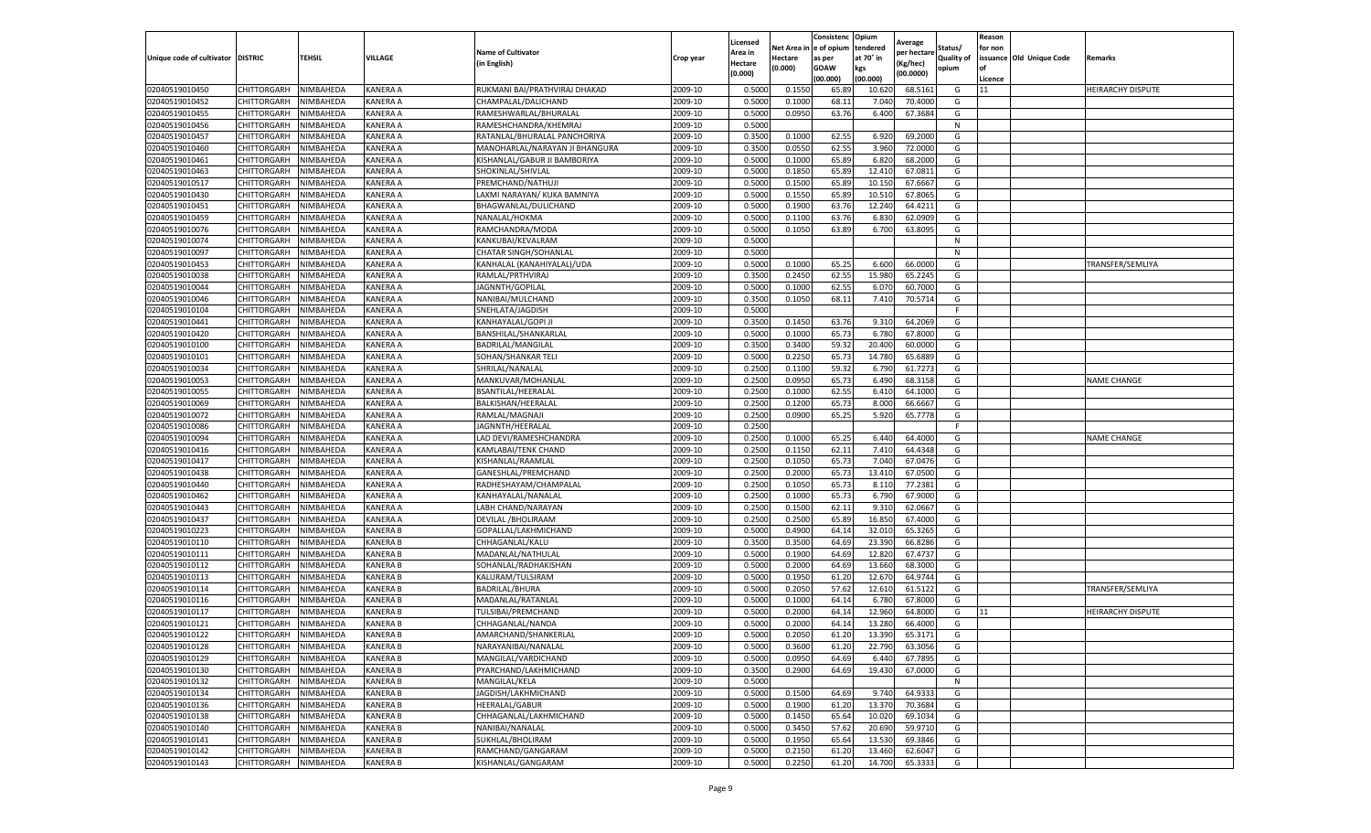|                           |                       |           |                 |                                          |           | Licensed |         | Consistenc             | Opium     |                        |                   | Reason  |                          |                          |
|---------------------------|-----------------------|-----------|-----------------|------------------------------------------|-----------|----------|---------|------------------------|-----------|------------------------|-------------------|---------|--------------------------|--------------------------|
|                           |                       |           |                 | <b>Name of Cultivator</b>                |           | Area in  |         | Net Area in e of opium | tendered  | Average<br>per hectare | Status/           | for non |                          |                          |
| Unique code of cultivator | <b>DISTRIC</b>        | TEHSIL    | VILLAGE         | in English)                              | Crop year | Hectare  | Hectare | as per                 | at 70° in | (Kg/hec                | <b>Quality of</b> |         | issuance Old Unique Code | <b>Remarks</b>           |
|                           |                       |           |                 |                                          |           | (0.000)  | (0.000) | <b>GOAW</b>            | kgs       | (00.0000)              | opium             |         |                          |                          |
|                           |                       |           |                 |                                          |           |          |         | (00.000)               | (00.000)  |                        |                   | Licence |                          |                          |
| 02040519010450            | CHITTORGARH           | NIMBAHEDA | KANERA A        | RUKMANI BAI/PRATHVIRAJ DHAKAD            | 2009-10   | 0.5000   | 0.1550  | 65.89                  | 10.62     | 68.5161                | G                 | 11      |                          | <b>HEIRARCHY DISPUTE</b> |
| 02040519010452            | CHITTORGARH           | NIMBAHEDA | KANERA A        | CHAMPALAL/DALICHAND                      | 2009-10   | 0.5000   | 0.1000  | 68.1                   | 7.04      | 70.4000                | G                 |         |                          |                          |
| 02040519010455            | CHITTORGARH           | NIMBAHEDA | KANERA A        | RAMESHWARLAL/BHURALAL                    | 2009-10   | 0.5000   | 0.0950  | 63.76                  | 6.400     | 67.3684                | G                 |         |                          |                          |
| 02040519010456            | CHITTORGARH           | NIMBAHEDA | KANERA A        | RAMESHCHANDRA/KHEMRAJ                    | 2009-10   | 0.5000   |         |                        |           |                        | N                 |         |                          |                          |
| 02040519010457            | <b>CHITTORGARH</b>    | NIMBAHEDA | KANERA A        | RATANLAL/BHURALAL PANCHORIYA             | 2009-10   | 0.3500   | 0.1000  | 62.55                  | 6.920     | 69.2000                | G                 |         |                          |                          |
| 02040519010460            | CHITTORGARH           | NIMBAHEDA | KANERA A        | MANOHARLAL/NARAYAN JI BHANGURA           | 2009-10   | 0.3500   | 0.0550  | 62.55                  | 3.960     | 72.0000                | G                 |         |                          |                          |
| 02040519010461            | CHITTORGARH           | NIMBAHEDA | KANERA A        | KISHANLAL/GABUR JI BAMBORIYA             | 2009-10   | 0.5000   | 0.1000  | 65.89                  | 6.820     | 68.2000                | G                 |         |                          |                          |
| 02040519010463            | CHITTORGARH           | NIMBAHEDA | KANERA A        | SHOKINLAL/SHIVLAL                        | 2009-10   | 0.5000   | 0.1850  | 65.89                  | 12.41     | 67.0811                | G                 |         |                          |                          |
| 02040519010517            | CHITTORGARH           | NIMBAHEDA | KANERA A        | PREMCHAND/NATHUJI                        | 2009-10   | 0.5000   | 0.1500  | 65.89                  | 10.15     | 67.6667                | G                 |         |                          |                          |
| 02040519010430            | <b>CHITTORGARH</b>    | NIMBAHEDA | KANERA A        | LAXMI NARAYAN/ KUKA BAMNIYA              | 2009-10   | 0.5000   | 0.1550  | 65.89                  | 10.51     | 67.8065                | G                 |         |                          |                          |
| 02040519010451            | CHITTORGARH           | NIMBAHEDA | KANERA A        | BHAGWANLAL/DULICHAND                     | 2009-10   | 0.5000   | 0.1900  | 63.76                  | 12.24     | 64.4211                | G                 |         |                          |                          |
| 02040519010459            | CHITTORGARH           | NIMBAHEDA | KANERA A        | NANALAL/HOKMA                            | 2009-10   | 0.5000   | 0.1100  | 63.76                  | 6.83      | 62.0909                | G                 |         |                          |                          |
| 02040519010076            | CHITTORGARH           | NIMBAHEDA | KANERA A        | RAMCHANDRA/MODA                          | 2009-10   | 0.5000   | 0.1050  | 63.89                  | 6.700     | 63.8095                | G                 |         |                          |                          |
| 02040519010074            | CHITTORGARH           | NIMBAHEDA | KANERA A        | KANKUBAI/KEVALRAM                        | 2009-10   | 0.5000   |         |                        |           |                        | N                 |         |                          |                          |
| 02040519010097            | CHITTORGARH           | NIMBAHEDA | KANERA A        | CHATAR SINGH/SOHANLAL                    | 2009-10   | 0.5000   |         |                        |           |                        | N                 |         |                          |                          |
| 02040519010453            | CHITTORGARH           | NIMBAHEDA | KANERA A        | KANHALAL (KANAHIYALAL)/UDA               | 2009-10   | 0.5000   | 0.1000  | 65.25                  | 6.600     | 66.0000                | G                 |         |                          | TRANSFER/SEMLIYA         |
| 02040519010038            | CHITTORGARH           | NIMBAHEDA | KANERA A        | RAMLAL/PRTHVIRAJ                         | 2009-10   | 0.3500   | 0.2450  | 62.55                  | 15.980    | 65.2245                | G                 |         |                          |                          |
| 02040519010044            | CHITTORGARH           | NIMBAHEDA | KANERA A        | JAGNNTH/GOPILAL                          | 2009-10   | 0.5000   | 0.1000  | 62.55                  | 6.07      | 60.7000                | G                 |         |                          |                          |
| 02040519010046            | CHITTORGARH           | NIMBAHEDA | KANERA A        | NANIBAI/MULCHAND                         | 2009-10   | 0.3500   | 0.1050  | 68.11                  | 7.41      | 70.5714                | G                 |         |                          |                          |
| 02040519010104            | CHITTORGARH           | NIMBAHEDA | KANERA A        | SNEHLATA/JAGDISH                         | 2009-10   | 0.5000   |         |                        |           |                        | F                 |         |                          |                          |
| 02040519010441            | CHITTORGARH           | NIMBAHEDA | KANERA A        | KANHAYALAL/GOPI JI                       | 2009-10   | 0.3500   | 0.1450  | 63.76                  | 9.31      | 64.2069                | G                 |         |                          |                          |
| 02040519010420            | CHITTORGARH           | NIMBAHEDA | KANERA A        | BANSHILAL/SHANKARLAL                     | 2009-10   | 0.5000   | 0.1000  | 65.73                  | 6.780     | 67.8000                | G                 |         |                          |                          |
| 02040519010100            | CHITTORGARH           | NIMBAHEDA | KANERA A        | BADRILAL/MANGILAL                        | 2009-10   | 0.3500   | 0.3400  | 59.32                  | 20.400    | 60.0000                | G                 |         |                          |                          |
| 02040519010101            | CHITTORGARH           | NIMBAHEDA | KANERA A        | SOHAN/SHANKAR TELI                       | 2009-10   | 0.5000   | 0.2250  | 65.73                  | 14.780    | 65.6889                | G                 |         |                          |                          |
| 02040519010034            | CHITTORGARH           | NIMBAHEDA | KANERA A        | SHRILAL/NANALAL                          | 2009-10   | 0.2500   | 0.1100  | 59.32                  | 6.790     | 61.7273                | G                 |         |                          |                          |
| 02040519010053            | CHITTORGARH           | NIMBAHEDA | KANERA A        | MANKUVAR/MOHANLAL                        | 2009-10   | 0.2500   | 0.0950  | 65.73                  | 6.490     | 68.3158                | G                 |         |                          | <b>NAME CHANGE</b>       |
| 02040519010055            | CHITTORGARH           | NIMBAHEDA | KANERA A        | <b>BSANTILAL/HEERALAL</b>                | 2009-10   | 0.2500   | 0.1000  | 62.55                  | 6.41      | 64.1000                | G                 |         |                          |                          |
| 02040519010069            | CHITTORGARH           | NIMBAHEDA | KANERA A        | BALKISHAN/HEERALAL                       | 2009-10   | 0.2500   | 0.1200  | 65.73                  | 8.000     | 66.6667                | G                 |         |                          |                          |
| 02040519010072            | CHITTORGARH           | NIMBAHEDA | KANERA A        | RAMLAL/MAGNAJI                           | 2009-10   | 0.2500   | 0.0900  | 65.25                  | 5.920     | 65.7778                | G                 |         |                          |                          |
| 02040519010086            | CHITTORGARH           | NIMBAHEDA | KANERA A        | JAGNNTH/HEERALAL                         | 2009-10   | 0.2500   |         |                        |           |                        | F.                |         |                          |                          |
| 02040519010094            | CHITTORGARH           | NIMBAHEDA | KANERA A        | LAD DEVI/RAMESHCHANDRA                   | 2009-10   | 0.2500   | 0.1000  | 65.25                  | 6.44      | 64.4000                | G                 |         |                          | <b>NAME CHANGE</b>       |
|                           |                       | NIMBAHEDA |                 |                                          |           |          | 0.1150  |                        |           |                        | G                 |         |                          |                          |
| 02040519010416            | CHITTORGARH           |           | KANERA A        | KAMLABAI/TENK CHAND<br>KISHANLAL/RAAMLAL | 2009-10   | 0.2500   |         | 62.11                  | 7.41      | 64.4348<br>67.0476     |                   |         |                          |                          |
| 02040519010417            | CHITTORGARH           | NIMBAHEDA | KANERA A        |                                          | 2009-10   | 0.2500   | 0.1050  | 65.73                  | 7.04      |                        | G                 |         |                          |                          |
| 02040519010438            | CHITTORGARH           | NIMBAHEDA | KANERA A        | GANESHLAL/PREMCHAND                      | 2009-10   | 0.2500   | 0.2000  | 65.73                  | 13.410    | 67.0500                | G                 |         |                          |                          |
| 02040519010440            | CHITTORGARH           | NIMBAHEDA | KANERA A        | RADHESHAYAM/CHAMPALAI                    | 2009-10   | 0.2500   | 0.1050  | 65.73                  | 8.11      | 77.2381                | G                 |         |                          |                          |
| 02040519010462            | CHITTORGARH           | NIMBAHEDA | KANERA A        | KANHAYALAL/NANALAL                       | 2009-10   | 0.2500   | 0.1000  | 65.73                  | 6.790     | 67.9000                | G                 |         |                          |                          |
| 02040519010443            | CHITTORGARH           | NIMBAHEDA | KANERA A        | LABH CHAND/NARAYAN                       | 2009-10   | 0.2500   | 0.1500  | 62.11                  | 9.31      | 62.0667                | G                 |         |                          |                          |
| 02040519010437            | CHITTORGARH           | NIMBAHEDA | KANERA A        | DEVILAL / BHOLIRAAM                      | 2009-10   | 0.2500   | 0.2500  | 65.89                  | 16.85     | 67.4000                | G                 |         |                          |                          |
| 02040519010223            | CHITTORGARH           | NIMBAHEDA | <b>KANERA B</b> | GOPALLAL/LAKHMICHAND                     | 2009-10   | 0.5000   | 0.4900  | 64.14                  | 32.01     | 65.3265                | G                 |         |                          |                          |
| 02040519010110            | CHITTORGARH           | NIMBAHEDA | <b>KANERA B</b> | CHHAGANLAL/KALU                          | 2009-10   | 0.3500   | 0.3500  | 64.69                  | 23.390    | 66.8286                | G                 |         |                          |                          |
| 02040519010111            | CHITTORGARH           | NIMBAHEDA | KANERA B        | MADANLAL/NATHULAL                        | 2009-10   | 0.5000   | 0.1900  | 64.69                  | 12.82     | 67.4737                | G                 |         |                          |                          |
| 02040519010112            | CHITTORGARH           | NIMBAHEDA | <b>KANERA B</b> | SOHANLAL/RADHAKISHAN                     | 2009-10   | 0.5000   | 0.2000  | 64.69                  | 13.660    | 68.3000                | G                 |         |                          |                          |
| 02040519010113            | CHITTORGARH           | NIMBAHEDA | <b>KANERA B</b> | KALURAM/TULSIRAM                         | 2009-10   | 0.5000   | 0.1950  | 61.20                  | 12.67     | 64.9744                | G                 |         |                          |                          |
| 02040519010114            | CHITTORGARH           | NIMBAHEDA | <b>KANERA B</b> | BADRILAL/BHURA                           | 2009-10   | 0.5000   | 0.2050  | 57.62                  | 12.61     | 61.5122                | G                 |         |                          | TRANSFER/SEMLIYA         |
| 02040519010116            | CHITTORGARH           | NIMBAHEDA | <b>KANERA B</b> | MADANLAL/RATANLAL                        | 2009-10   | 0.5000   | 0.1000  | 64.14                  | 6.780     | 67.8000                | G                 |         |                          |                          |
| 02040519010117            | CHITTORGARH           | NIMBAHEDA | <b>KANERA B</b> | TULSIBAI/PREMCHAND                       | 2009-10   | 0.5000   | 0.2000  | 64.14                  | 12.960    | 64.8000                | G                 | 11      |                          | <b>HEIRARCHY DISPUTE</b> |
| 02040519010121            | CHITTORGARH           | NIMBAHEDA | <b>KANERA B</b> | CHHAGANLAL/NANDA                         | 2009-10   | 0.5000   | 0.2000  | 64.14                  | 13.28     | 66.4000                | G                 |         |                          |                          |
| 02040519010122            | CHITTORGARH           | NIMBAHEDA | KANERA B        | AMARCHAND/SHANKERLAL                     | 2009-10   | 0.5000   | 0.2050  | 61.20                  | 13.390    | 65.3171                | G                 |         |                          |                          |
| 02040519010128            | CHITTORGARH NIMBAHEDA |           | <b>KANERA B</b> | NARAYANIBAI/NANALAL                      | 2009-10   | 0.5000   | 0.3600  | 61.20                  | 22.790    | 63.3056                | G                 |         |                          |                          |
| 02040519010129            | CHITTORGARH           | NIMBAHEDA | KANERA B        | MANGILAL/VARDICHAND                      | 2009-10   | 0.5000   | 0.0950  | 64.69                  | 6.440     | 67.7895                | G                 |         |                          |                          |
| 02040519010130            | <b>CHITTORGARH</b>    | NIMBAHEDA | KANERA B        | PYARCHAND/LAKHMICHAND                    | 2009-10   | 0.3500   | 0.2900  | 64.69                  | 19.430    | 67.0000                | G                 |         |                          |                          |
| 02040519010132            | CHITTORGARH           | NIMBAHEDA | <b>KANERA B</b> | MANGILAL/KELA                            | 2009-10   | 0.5000   |         |                        |           |                        | N                 |         |                          |                          |
| 02040519010134            | <b>CHITTORGARH</b>    | NIMBAHEDA | KANERA B        | JAGDISH/LAKHMICHAND                      | 2009-10   | 0.5000   | 0.1500  | 64.69                  | 9.74      | 64.9333                | G                 |         |                          |                          |
| 02040519010136            | <b>CHITTORGARH</b>    | NIMBAHEDA | <b>KANERA B</b> | HEERALAL/GABUR                           | 2009-10   | 0.5000   | 0.1900  | 61.20                  | 13.370    | 70.3684                | G                 |         |                          |                          |
| 02040519010138            | CHITTORGARH           | NIMBAHEDA | KANERA B        | CHHAGANLAL/LAKHMICHAND                   | 2009-10   | 0.5000   | 0.1450  | 65.64                  | 10.02     | 69.1034                | G                 |         |                          |                          |
| 02040519010140            | CHITTORGARH           | NIMBAHEDA | KANERA B        | NANIBAI/NANALAL                          | 2009-10   | 0.5000   | 0.3450  | 57.62                  | 20.690    | 59.9710                | G                 |         |                          |                          |
| 02040519010141            | CHITTORGARH           | NIMBAHEDA | KANERA B        | SUKHLAL/BHOLIRAM                         | 2009-10   | 0.5000   | 0.1950  | 65.64                  | 13.530    | 69.3846                | G                 |         |                          |                          |
| 02040519010142            | CHITTORGARH           | NIMBAHEDA | KANERA B        | RAMCHAND/GANGARAM                        | 2009-10   | 0.5000   | 0.2150  | 61.20                  | 13.460    | 62.6047                | G                 |         |                          |                          |
| 02040519010143            | <b>CHITTORGARH</b>    | NIMBAHEDA | <b>KANERA B</b> | KISHANLAL/GANGARAM                       | 2009-10   | 0.5000   | 0.2250  | 61.20                  | 14.700    | 65.3333                | G                 |         |                          |                          |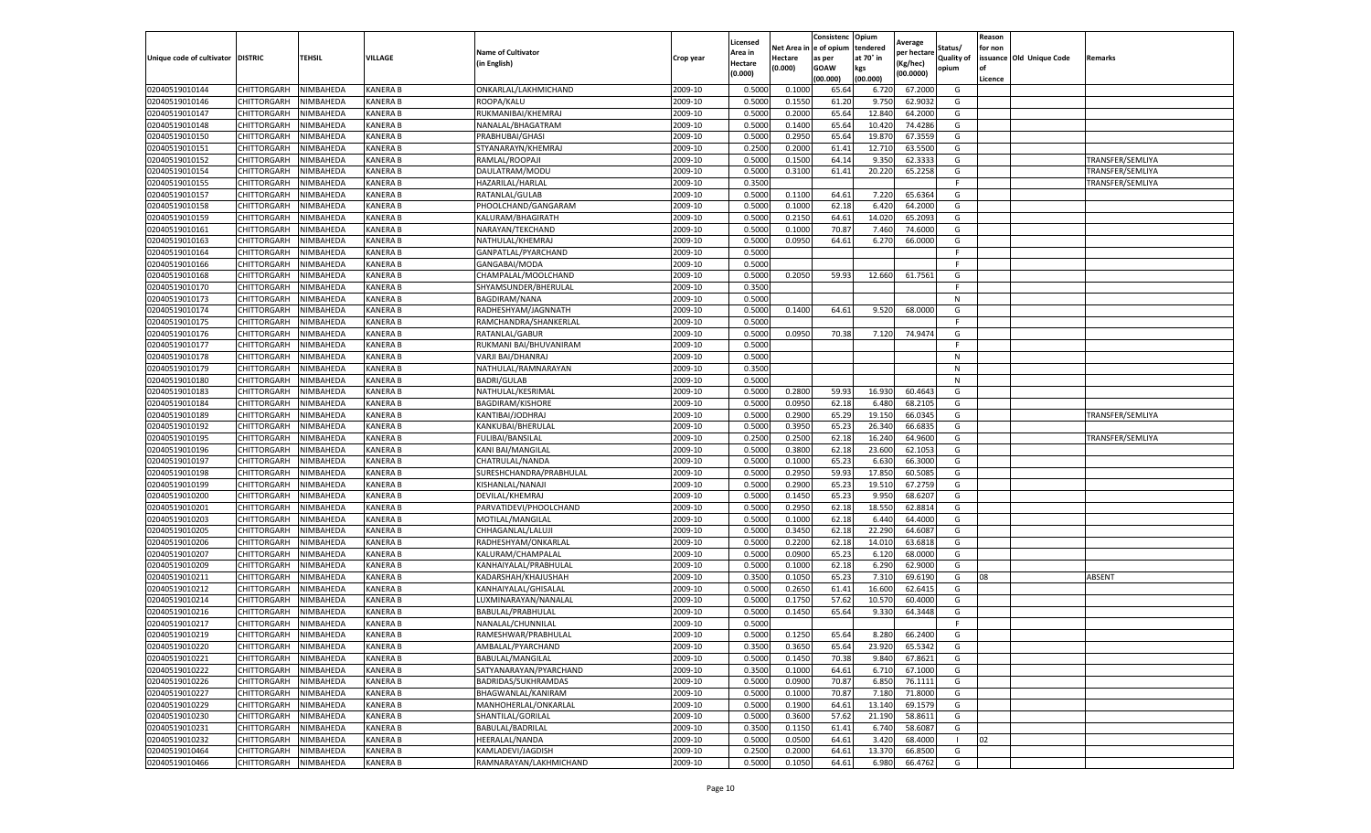|                                   |                                   |                        |                             |                                       |                    | Licensed         |                  | Consistenc             | Opium           |                        |                   | Reason  |                          |                  |
|-----------------------------------|-----------------------------------|------------------------|-----------------------------|---------------------------------------|--------------------|------------------|------------------|------------------------|-----------------|------------------------|-------------------|---------|--------------------------|------------------|
|                                   |                                   |                        |                             | <b>Name of Cultivator</b>             |                    | Area in          |                  | Net Area in e of opium | tendered        | Average<br>per hectare | Status/           | for non |                          |                  |
| Unique code of cultivator DISTRIC |                                   | TEHSIL                 | VILLAGE                     | in English)                           | Crop year          | Hectare          | Hectare          | as per                 | at 70° in       | (Kg/hec                | <b>Quality of</b> |         | issuance Old Unique Code | <b>Remarks</b>   |
|                                   |                                   |                        |                             |                                       |                    | (0.000)          | (0.000)          | <b>GOAW</b>            | kgs             | (00.0000)              | opium             |         |                          |                  |
|                                   |                                   |                        |                             |                                       |                    |                  |                  | (00.000)               | (00.000)        |                        |                   | Licence |                          |                  |
| 02040519010144                    | CHITTORGARH                       | NIMBAHEDA              | <b>KANERA B</b>             | ONKARLAL/LAKHMICHAND                  | 2009-10            | 0.5000           | 0.1000           | 65.64                  | 6.72            | 67.2000                | G                 |         |                          |                  |
| 02040519010146                    | CHITTORGARH                       | NIMBAHEDA              | <b>KANERA B</b>             | ROOPA/KALU                            | 2009-10            | 0.5000           | 0.1550           | 61.20                  | 9.75            | 62.9032                | G                 |         |                          |                  |
| 02040519010147                    | CHITTORGARH                       | NIMBAHEDA              | <b>KANERA B</b>             | RUKMANIBAI/KHEMRAJ                    | 2009-10            | 0.5000           | 0.2000           | 65.64                  | 12.84           | 64.2000                | G                 |         |                          |                  |
| 02040519010148                    | CHITTORGARH                       | NIMBAHEDA              | KANERA B                    | NANALAL/BHAGATRAM                     | 2009-10            | 0.5000           | 0.1400           | 65.64                  | 10.420          | 74.4286                | G                 |         |                          |                  |
| 02040519010150                    | CHITTORGARH                       | NIMBAHEDA              | KANERA B                    | PRABHUBAI/GHASI                       | 2009-10            | 0.5000           | 0.2950           | 65.64                  | 19.87           | 67.3559                | G                 |         |                          |                  |
| 02040519010151                    | CHITTORGARH                       | NIMBAHEDA              | <b>KANERA B</b>             | STYANARAYN/KHEMRAJ                    | 2009-10            | 0.2500           | 0.2000           | 61.41                  | 12.71           | 63.5500                | G                 |         |                          |                  |
| 02040519010152                    | CHITTORGARH                       | NIMBAHEDA              | <b>KANERA B</b>             | RAMLAL/ROOPAJI                        | 2009-10            | 0.5000           | 0.1500           | 64.14                  | 9.35            | 62.3333                | G                 |         |                          | TRANSFER/SEMLIYA |
| 02040519010154                    | CHITTORGARH                       | NIMBAHEDA              | <b>KANERA B</b>             | DAULATRAM/MODU                        | 2009-10            | 0.5000           | 0.3100           | 61.41                  | 20.22           | 65.2258                | G                 |         |                          | TRANSFER/SEMLIYA |
| 02040519010155                    | CHITTORGARH                       | NIMBAHEDA              | <b>KANERA B</b>             | HAZARILAL/HARLAL                      | 2009-10            | 0.3500           |                  |                        |                 |                        | F                 |         |                          | TRANSFER/SEMLIYA |
| 02040519010157                    | CHITTORGARH                       | NIMBAHEDA              | KANERA B                    | RATANLAL/GULAB                        | 2009-10            | 0.5000           | 0.1100           | 64.61                  | 7.220           | 65.6364                | G                 |         |                          |                  |
| 02040519010158                    | CHITTORGARH                       | NIMBAHEDA              | KANERA B                    | PHOOLCHAND/GANGARAM                   | 2009-10            | 0.5000           | 0.1000           | 62.18                  | 6.420           | 64.2000                | G                 |         |                          |                  |
| 02040519010159                    | CHITTORGARH                       | NIMBAHEDA              | KANERA B                    | KALURAM/BHAGIRATH                     | 2009-10            | 0.5000           | 0.2150           | 64.61                  | 14.020          | 65.2093                | G                 |         |                          |                  |
| 02040519010161                    | CHITTORGARH                       | NIMBAHEDA              | KANERA B                    | NARAYAN/TEKCHAND                      | 2009-10            | 0.5000           | 0.1000           | 70.87                  | 7.460           | 74.6000                | G                 |         |                          |                  |
| 02040519010163                    | CHITTORGARH                       | NIMBAHEDA              | <b>KANERA B</b>             | NATHULAL/KHEMRAJ                      | 2009-10            | 0.5000           | 0.0950           | 64.61                  | 6.27            | 66.0000                | G                 |         |                          |                  |
| 02040519010164                    | CHITTORGARH                       | NIMBAHEDA              | KANERA B                    | GANPATLAL/PYARCHAND                   | 2009-10            | 0.5000           |                  |                        |                 |                        | F.                |         |                          |                  |
| 02040519010166                    | CHITTORGARH                       | NIMBAHEDA              | <b>KANERA B</b>             | GANGABAI/MODA                         | 2009-10            | 0.5000           |                  |                        |                 |                        | F                 |         |                          |                  |
| 02040519010168                    | CHITTORGARH                       | NIMBAHEDA              | <b>KANERA B</b>             | CHAMPALAL/MOOLCHAND                   | 2009-10            | 0.5000           | 0.2050           | 59.93                  | 12.660          | 61.7561                | G                 |         |                          |                  |
| 02040519010170                    | CHITTORGARH                       | NIMBAHEDA              | <b>KANERA B</b>             | SHYAMSUNDER/BHERULAL                  | 2009-10            | 0.3500           |                  |                        |                 |                        | F                 |         |                          |                  |
| 02040519010173                    | CHITTORGARH                       | NIMBAHEDA              | KANERA B                    | <b>BAGDIRAM/NANA</b>                  | 2009-10            | 0.5000           |                  |                        |                 |                        | N                 |         |                          |                  |
| 02040519010174                    | CHITTORGARH                       | NIMBAHEDA              | KANERA B                    | RADHESHYAM/JAGNNATH                   | 2009-10            | 0.5000           | 0.1400           | 64.61                  | 9.520           | 68.0000                | G                 |         |                          |                  |
| 02040519010175                    | CHITTORGARH                       | NIMBAHEDA              | <b>KANERA B</b>             | RAMCHANDRA/SHANKERLAL                 | 2009-10            | 0.5000           |                  |                        |                 |                        | F                 |         |                          |                  |
| 02040519010176                    | CHITTORGARH                       | NIMBAHEDA              | <b>KANERA B</b>             | RATANLAL/GABUR                        | 2009-10            | 0.5000           | 0.0950           | 70.38                  | 7.120           | 74.9474                | G                 |         |                          |                  |
| 02040519010177                    | CHITTORGARH                       | NIMBAHEDA              | <b>KANERA B</b>             | RUKMANI BAI/BHUVANIRAM                | 2009-10            | 0.5000           |                  |                        |                 |                        | F.                |         |                          |                  |
| 02040519010178                    | CHITTORGARH                       | NIMBAHEDA              | <b>KANERA B</b>             | VARJI BAI/DHANRAJ                     | 2009-10            | 0.5000           |                  |                        |                 |                        | N                 |         |                          |                  |
| 02040519010179                    | CHITTORGARH                       | NIMBAHEDA              | KANERA B                    | NATHULAL/RAMNARAYAN                   | 2009-10            | 0.3500           |                  |                        |                 |                        | N                 |         |                          |                  |
| 02040519010180                    | CHITTORGARH                       | NIMBAHEDA              | <b>KANERA B</b>             | <b>BADRI/GULAB</b>                    | 2009-10            | 0.5000           |                  |                        |                 |                        | N                 |         |                          |                  |
| 02040519010183                    | CHITTORGARH                       | NIMBAHEDA              | <b>KANERA B</b>             | NATHULAL/KESRIMAI                     | 2009-10            | 0.5000           | 0.2800           | 59.93                  | 16.930          | 60.4643                | G                 |         |                          |                  |
| 02040519010184                    | CHITTORGARH                       | NIMBAHEDA              | <b>KANERA B</b>             | BAGDIRAM/KISHORE                      | 2009-10            | 0.5000           | 0.0950           | 62.18                  | 6.480           | 68.2105                | G                 |         |                          |                  |
| 02040519010189                    | CHITTORGARH                       | NIMBAHEDA              | <b>KANERA B</b>             | KANTIBAI/JODHRAJ                      | 2009-10            | 0.5000           | 0.2900           | 65.29                  | 19.150          | 66.0345                | G                 |         |                          | TRANSFER/SEMLIYA |
| 02040519010192                    | CHITTORGARH                       | NIMBAHEDA              | <b>KANERA B</b>             | KANKUBAI/BHERULAI                     | 2009-10            | 0.5000           | 0.3950           | 65.23                  | 26.34           | 66.6835                | G                 |         |                          |                  |
| 02040519010195                    | CHITTORGARH                       | NIMBAHEDA              | KANERA B                    | FULIBAI/BANSILAL                      | 2009-10            | 0.2500           | 0.2500           | 62.18                  | 16.24           | 64.9600                | G                 |         |                          | TRANSFER/SEMLIYA |
| 02040519010196                    | CHITTORGARH                       | NIMBAHEDA              | KANERA B                    | KANI BAI/MANGILAL                     | 2009-10            | 0.5000           | 0.3800           | 62.18                  | 23.600          | 62.1053                | G                 |         |                          |                  |
| 02040519010197                    | CHITTORGARH                       | NIMBAHEDA              | <b>KANERA B</b>             | CHATRULAL/NANDA                       | 2009-10            | 0.5000           | 0.1000           | 65.23                  | 6.63            | 66.3000                | G                 |         |                          |                  |
| 02040519010198                    | CHITTORGARH                       | NIMBAHEDA              | KANERA B                    | SURESHCHANDRA/PRABHULAL               | 2009-10            | 0.5000           | 0.2950           | 59.93                  | 17.85           | 60.5085                | G                 |         |                          |                  |
| 02040519010199                    | CHITTORGARH                       | NIMBAHEDA              | <b>KANERA B</b>             | KISHANLAL/NANAJI                      | 2009-10            | 0.5000           | 0.2900           | 65.23                  | 19.51           | 67.2759                | G                 |         |                          |                  |
| 02040519010200                    | CHITTORGARH                       | NIMBAHEDA              | KANERA B                    | DEVILAL/KHEMRAJ                       | 2009-10            | 0.5000           | 0.1450           | 65.23                  | 9.95            | 68.6207                | G                 |         |                          |                  |
| 02040519010201                    | CHITTORGARH                       | NIMBAHEDA              | <b>KANERA B</b>             | PARVATIDEVI/PHOOLCHAND                | 2009-10            | 0.5000           | 0.2950           | 62.18                  | 18.55           | 62.8814                | G                 |         |                          |                  |
| 02040519010203                    | CHITTORGARH                       | NIMBAHEDA              | KANERA B                    | MOTILAL/MANGILAL                      | 2009-10            | 0.5000           | 0.1000           | 62.18                  | 6.44            | 64.4000                | G                 |         |                          |                  |
| 02040519010205                    | CHITTORGARH                       | NIMBAHEDA              | <b>KANERA B</b>             | CHHAGANLAL/LALUJI                     | 2009-10            | 0.5000           | 0.3450           | 62.18                  | 22.29           | 64.6087                | G                 |         |                          |                  |
| 02040519010206                    | CHITTORGARH                       | NIMBAHEDA              | <b>KANERA B</b>             | RADHESHYAM/ONKARLAL                   | 2009-10            | 0.5000           | 0.2200           | 62.18                  | 14.01           | 63.6818                | G                 |         |                          |                  |
| 02040519010207                    | CHITTORGARH                       | NIMBAHEDA              | KANERA B                    | KALURAM/CHAMPALAL                     | 2009-10            | 0.5000           | 0.0900           | 65.23                  | 6.12            | 68.0000                | G                 |         |                          |                  |
| 02040519010209                    | CHITTORGARH                       | NIMBAHEDA              | <b>KANERA B</b>             | KANHAIYALAL/PRABHULAL                 | 2009-10            | 0.5000           | 0.1000           | 62.18                  | 6.290           | 62.9000                | G                 |         |                          |                  |
| 02040519010211                    | CHITTORGARH                       | NIMBAHEDA              | <b>KANERA B</b>             | KADARSHAH/KHAJUSHAH                   | 2009-10            | 0.3500           | 0.1050           | 65.23                  | 7.31            | 69.6190                | G                 | 08      |                          | ABSENT           |
| 02040519010212                    | CHITTORGARH                       | NIMBAHEDA              | KANERA B                    | KANHAIYALAL/GHISALAL                  | 2009-10            | 0.5000           | 0.2650           | 61.41                  | 16.600          | 62.6415                | G                 |         |                          |                  |
| 02040519010214                    | CHITTORGARH                       | NIMBAHEDA              | <b>KANERA B</b>             | LUXMINARAYAN/NANALAI                  | 2009-10            | 0.5000           | 0.1750           | 57.62                  | 10.57           | 60.4000                | G                 |         |                          |                  |
| 02040519010216                    | CHITTORGARH                       | NIMBAHEDA              | <b>KANERA B</b>             | BABULAL/PRABHULAL                     | 2009-10            | 0.5000           | 0.1450           | 65.64                  | 9.33            | 64.3448                | G                 |         |                          |                  |
| 02040519010217                    | CHITTORGARH                       | NIMBAHEDA              | <b>KANERA B</b>             | NANALAL/CHUNNILAL                     | 2009-10            | 0.5000           |                  |                        |                 |                        | F.                |         |                          |                  |
| 02040519010219                    | CHITTORGARH                       | NIMBAHEDA              | KANERA B                    | RAMESHWAR/PRABHULAL                   | 2009-10            | 0.5000           | 0.1250           | 65.64                  | 8.280           | 66.2400                | G                 |         |                          |                  |
|                                   |                                   |                        |                             |                                       |                    |                  |                  |                        |                 |                        |                   |         |                          |                  |
| 02040519010220<br>02040519010221  | CHITTORGARH<br>CHITTORGARH        | NIMBAHEDA<br>NIMBAHEDA | <b>KANERA B</b><br>KANERA B | AMBALAL/PYARCHAND<br>BABULAL/MANGILAL | 2009-10<br>2009-10 | 0.3500<br>0.5000 | 0.3650<br>0.1450 | 65.64<br>70.38         | 23.920<br>9.840 | 65.5342<br>67.8621     | G<br>G            |         |                          |                  |
| 02040519010222                    | CHITTORGARH                       | NIMBAHEDA              | KANERA B                    | SATYANARAYAN/PYARCHAND                | 2009-10            | 0.3500           | 0.1000           | 64.61                  | 6.710           | 67.1000                | G                 |         |                          |                  |
|                                   |                                   |                        |                             | BADRIDAS/SUKHRAMDAS                   |                    |                  |                  |                        |                 |                        |                   |         |                          |                  |
| 02040519010226                    | CHITTORGARH<br><b>CHITTORGARH</b> | NIMBAHEDA<br>NIMBAHEDA | <b>KANERA B</b>             |                                       | 2009-10            | 0.5000           | 0.0900           | 70.87                  | 6.850           | 76.1111                | G<br>G            |         |                          |                  |
| 02040519010227                    |                                   |                        | KANERA B                    | BHAGWANLAL/KANIRAM                    | 2009-10            | 0.5000           | 0.1000           | 70.87                  | 7.180           | 71.8000                |                   |         |                          |                  |
| 02040519010229                    | <b>CHITTORGARH</b>                | NIMBAHEDA              | <b>KANERA B</b>             | MANHOHERLAL/ONKARLAL                  | 2009-10            | 0.5000           | 0.1900           | 64.61                  | 13.140          | 69.1579                | G                 |         |                          |                  |
| 02040519010230                    | CHITTORGARH                       | NIMBAHEDA              | KANERA B                    | SHANTILAL/GORILAL                     | 2009-10            | 0.5000           | 0.3600           | 57.62                  | 21.190          | 58.8611                | G                 |         |                          |                  |
| 02040519010231                    | <b>CHITTORGARH</b>                | NIMBAHEDA              | KANERA B                    | BABULAL/BADRILAL                      | 2009-10            | 0.3500           | 0.1150           | 61.41                  | 6.740           | 58.6087                | G                 |         |                          |                  |
| 02040519010232                    | CHITTORGARH                       | NIMBAHEDA              | KANERA B                    | HEERALAL/NANDA                        | 2009-10            | 0.5000           | 0.0500           | 64.61                  | 3.420           | 68.4000                | $\blacksquare$    | 02      |                          |                  |
| 02040519010464                    | CHITTORGARH                       | NIMBAHEDA              | KANERA B                    | KAMLADEVI/JAGDISH                     | 2009-10            | 0.2500           | 0.2000           | 64.61                  | 13.37           | 66.8500                | G                 |         |                          |                  |
| 02040519010466                    | <b>CHITTORGARH</b>                | NIMBAHEDA              | <b>KANERA B</b>             | RAMNARAYAN/LAKHMICHAND                | 2009-10            | 0.5000           | 0.1050           | 64.61                  | 6.980           | 66.4762                | G                 |         |                          |                  |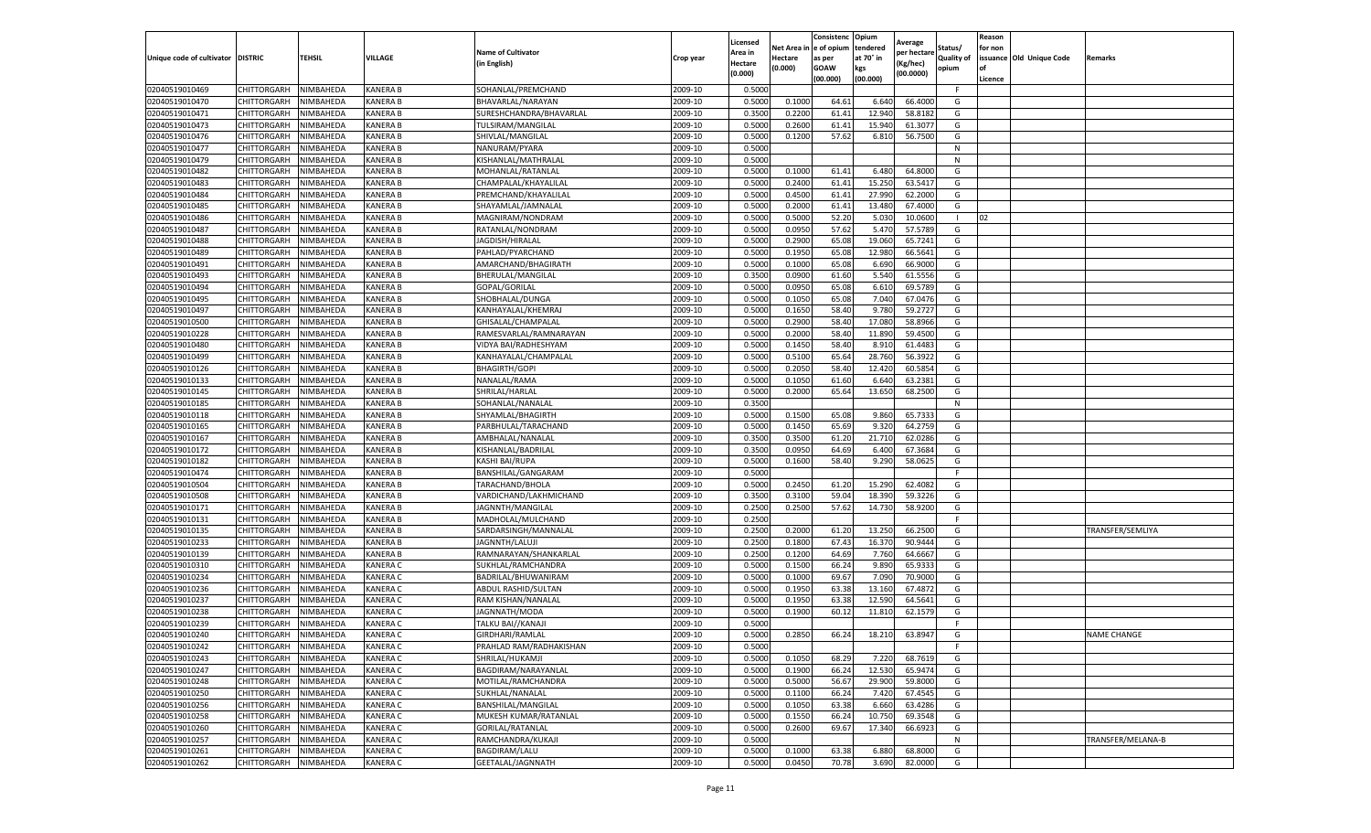| tendered<br>Net Area i<br>in  e of opium<br>Status/<br>for non<br><b>Name of Cultivator</b><br>Area in<br>per hectare<br>at 70° in<br>issuance Old Unique Code<br>Unique code of cultivator DISTRIC<br>TEHSIL<br>VILLAGE<br><b>Quality of</b><br>Crop year<br>Hectare<br>as per<br><b>Remarks</b><br>in English)<br>(Kg/hec<br>Hectare<br>(0.000)<br><b>GOAW</b><br>kgs<br>opium<br>(0.000)<br>(00.0000)<br>(00.000)<br>(00.000)<br>Licence<br>NIMBAHEDA<br><b>KANERA B</b><br>SOHANLAL/PREMCHAND<br>2009-10<br>0.5000<br>F.<br>02040519010469<br>CHITTORGARH<br><b>KANERA B</b><br>2009-10<br>0.5000<br>0.1000<br>64.61<br>6.64<br>66.4000<br>02040519010470<br>CHITTORGARH<br>NIMBAHEDA<br>BHAVARLAL/NARAYAN<br>G<br><b>KANERA B</b><br>2009-10<br>0.3500<br>0.2200<br>02040519010471<br>CHITTORGARH<br>NIMBAHEDA<br>SURESHCHANDRA/BHAVARLAL<br>61.41<br>12.940<br>58.8182<br>G<br>02040519010473<br>NIMBAHEDA<br>KANERA B<br>2009-10<br>0.5000<br>0.2600<br>61.41<br>15.940<br>61.3077<br>G<br>CHITTORGARH<br>TULSIRAM/MANGILAL<br>02040519010476<br>CHITTORGARH<br>NIMBAHEDA<br>KANERA B<br>2009-10<br>0.5000<br>0.1200<br>57.62<br>56.7500<br>G<br>SHIVLAL/MANGILAL<br>6.810<br>02040519010477<br><b>KANERA B</b><br>2009-10<br>0.5000<br>N<br>CHITTORGARH<br>NIMBAHEDA<br>NANURAM/PYARA<br>02040519010479<br>CHITTORGARH<br>NIMBAHEDA<br><b>KANERA B</b><br>KISHANLAL/MATHRALAL<br>2009-10<br>0.5000<br>N<br>02040519010482<br><b>KANERA B</b><br>2009-10<br>0.5000<br>61.41<br>64.8000<br>CHITTORGARH<br>NIMBAHEDA<br>MOHANLAL/RATANLAL<br>0.1000<br>6.480<br>G<br><b>KANERA B</b><br>2009-10<br>0.5000<br>0.2400<br>61.41<br>15.250<br>63.5417<br>G<br>02040519010483<br>CHITTORGARH<br>NIMBAHEDA<br>CHAMPALAL/KHAYALILAL<br>02040519010484<br>NIMBAHEDA<br>KANERA B<br>2009-10<br>0.5000<br>0.4500<br>61.41<br>27.990<br>62.2000<br>G<br>CHITTORGARH<br>PREMCHAND/KHAYALILAL<br>02040519010485<br>NIMBAHEDA<br><b>KANERA B</b><br>2009-10<br>0.5000<br>0.2000<br>61.41<br>13.480<br>67.4000<br>G<br>CHITTORGARH<br>SHAYAMLAL/JAMNALAL<br>0.5000<br>52.20<br>02<br>NIMBAHEDA<br><b>KANERA B</b><br>2009-10<br>0.5000<br>5.03<br>10.0600<br>02040519010486<br>CHITTORGARH<br>MAGNIRAM/NONDRAM<br>02040519010487<br>CHITTORGARH<br>NIMBAHEDA<br>KANERA B<br>2009-10<br>0.5000<br>0.0950<br>57.62<br>5.47<br>57.5789<br>G<br>RATANLAL/NONDRAM<br><b>KANERA B</b><br>2009-10<br>0.5000<br>0.2900<br>65.08<br>19.06<br>65.7241<br>02040519010488<br>CHITTORGARH<br>NIMBAHEDA<br>JAGDISH/HIRALAL<br>G<br>2009-10<br>0.5000<br>0.1950<br>65.08<br>12.980<br>66.5641<br>G<br>02040519010489<br>CHITTORGARH<br>NIMBAHEDA<br>KANERA B<br>PAHLAD/PYARCHAND<br>2009-10<br>NIMBAHEDA<br><b>KANERA B</b><br>0.5000<br>0.1000<br>65.08<br>6.690<br>66.9000<br>G<br>02040519010491<br>CHITTORGARH<br>AMARCHAND/BHAGIRATH<br>KANERA B<br>2009-10<br>0.3500<br>0.0900<br>5.540<br>61.5556<br>02040519010493<br>CHITTORGARH<br>NIMBAHEDA<br>BHERULAL/MANGILAL<br>61.60<br>G<br>2009-10<br>0.5000<br>0.0950<br>65.08<br>6.610<br>69.5789<br>02040519010494<br><b>KANERA B</b><br>G<br>CHITTORGARH<br>NIMBAHEDA<br>GOPAL/GORILAL<br>0.5000<br>65.08<br>02040519010495<br>CHITTORGARH<br>NIMBAHEDA<br>KANERA B<br>2009-10<br>0.1050<br>7.040<br>67.0476<br>G<br>SHOBHALAL/DUNGA<br>02040519010497<br>CHITTORGARH<br>NIMBAHEDA<br>KANERA B<br>KANHAYALAL/KHEMRAJ<br>2009-10<br>0.5000<br>0.1650<br>58.40<br>9.780<br>59.2727<br>G<br>58.40<br><b>KANERA B</b><br>2009-10<br>0.5000<br>0.2900<br>17.080<br>58.8966<br>G<br>02040519010500<br>CHITTORGARH<br>NIMBAHEDA<br>GHISALAL/CHAMPALAL<br><b>KANERA B</b><br>2009-10<br>0.5000<br>0.2000<br>58.40<br>11.890<br>59.4500<br>G<br>02040519010228<br>CHITTORGARH<br>NIMBAHEDA<br>RAMESVARLAL/RAMNARAYAN<br>02040519010480<br>CHITTORGARH<br>NIMBAHEDA<br><b>KANERA B</b><br>VIDYA BAI/RADHESHYAM<br>2009-10<br>0.5000<br>0.1450<br>58.40<br>8.910<br>61.4483<br>G<br>65.64<br>56.3922<br>NIMBAHEDA<br><b>KANERA B</b><br>2009-10<br>0.5000<br>0.5100<br>28.760<br>G<br>02040519010499<br>CHITTORGARH<br>KANHAYALAL/CHAMPALAL<br>2009-10<br>60.5854<br>02040519010126<br>CHITTORGARH<br>KANERA B<br><b>BHAGIRTH/GOPI</b><br>0.5000<br>0.2050<br>58.40<br>12.42<br>G<br>NIMBAHEDA<br>02040519010133<br>CHITTORGARH<br>NIMBAHEDA<br><b>KANERA B</b><br>NANALAL/RAMA<br>2009-10<br>0.5000<br>0.1050<br>61.60<br>6.640<br>63.2381<br>G<br>02040519010145<br>NIMBAHEDA<br><b>KANERA B</b><br>SHRILAL/HARLAL<br>2009-10<br>0.5000<br>0.2000<br>65.64<br>13.65<br>68.2500<br>CHITTORGARH<br>G<br><b>KANERA B</b><br>2009-10<br>0.3500<br>02040519010185<br>CHITTORGARH<br>NIMBAHEDA<br>SOHANLAL/NANALAL<br>N<br>02040519010118<br>NIMBAHEDA<br><b>KANERA B</b><br>2009-10<br>0.5000<br>0.1500<br>65.08<br>9.860<br>65.7333<br>CHITTORGARH<br>SHYAMLAL/BHAGIRTH<br>G<br>02040519010165<br>CHITTORGARH<br>NIMBAHEDA<br><b>KANERA B</b><br>2009-10<br>0.5000<br>0.1450<br>65.69<br>9.320<br>64.2759<br>G<br>PARBHULAL/TARACHAND<br>NIMBAHEDA<br>KANERA B<br>2009-10<br>0.3500<br>0.3500<br>61.20<br>21.71<br>G<br>02040519010167<br>CHITTORGARH<br>AMBHALAL/NANALAI<br>62.0286<br>02040519010172<br>CHITTORGARH<br>NIMBAHEDA<br>KANERA B<br>KISHANLAL/BADRILAL<br>2009-10<br>0.3500<br>0.0950<br>64.69<br>6.400<br>67.3684<br>G<br>02040519010182<br>NIMBAHEDA<br><b>KANERA B</b><br>2009-10<br>0.5000<br>0.1600<br>58.40<br>9.290<br>58.0625<br>CHITTORGARH<br>KASHI BAI/RUPA<br>G<br>2009-10<br>0.5000<br>02040519010474<br>CHITTORGARH<br>NIMBAHEDA<br>KANERA B<br>BANSHILAL/GANGARAM<br>F.<br>02040519010504<br>CHITTORGARH<br>NIMBAHEDA<br><b>KANERA B</b><br>2009-10<br>0.5000<br>0.2450<br>61.20<br>15.290<br>62.4082<br>G<br>TARACHAND/BHOLA<br>NIMBAHEDA<br>KANERA B<br>2009-10<br>0.3500<br>0.3100<br>59.04<br>18.39<br>59.3226<br>02040519010508<br>CHITTORGARH<br>VARDICHAND/LAKHMICHAND<br>G<br>0.2500<br>57.62<br><b>KANERA B</b><br>2009-10<br>0.2500<br>14.730<br>58.9200<br>G<br>02040519010171<br>CHITTORGARH<br>NIMBAHEDA<br>JAGNNTH/MANGILAL<br>0.2500<br>02040519010131<br>CHITTORGARH<br>NIMBAHEDA<br>KANERA B<br>2009-10<br>F<br>MADHOLAL/MULCHAND<br>02040519010135<br><b>KANERA B</b><br>SARDARSINGH/MANNALAL<br>2009-10<br>0.2500<br>0.2000<br>13.25<br>66.2500<br>TRANSFER/SEMLIYA<br>CHITTORGARH<br>NIMBAHEDA<br>61.20<br>G<br><b>KANERA B</b><br>2009-10<br>0.2500<br>0.1800<br>67.43<br>16.37<br>90.9444<br>G<br>02040519010233<br>CHITTORGARH<br>NIMBAHEDA<br>JAGNNTH/LALUJI<br>KANERA B<br>2009-10<br>0.2500<br>0.1200<br>64.69<br>7.760<br>64.6667<br>G<br>02040519010139<br>CHITTORGARH<br>NIMBAHEDA<br>RAMNARAYAN/SHANKARLAL<br>02040519010310<br>KANERA C<br>2009-10<br>0.5000<br>0.1500<br>66.24<br>9.890<br>65.9333<br>CHITTORGARH<br>NIMBAHEDA<br>SUKHLAL/RAMCHANDRA<br>G<br>0.5000<br>69.67<br><b>KANERA C</b><br>2009-10<br>0.1000<br>7.09<br>70.9000<br>G<br>02040519010234<br>CHITTORGARH<br>NIMBAHEDA<br>BADRILAL/BHUWANIRAM<br>02040519010236<br>KANERA C<br>2009-10<br>0.5000<br>0.1950<br>63.38<br>13.16<br>67.4872<br>G<br>CHITTORGARH<br>NIMBAHEDA<br>ABDUL RASHID/SULTAN<br>02040519010237<br>CHITTORGARH<br>NIMBAHEDA<br>KANERA C<br>RAM KISHAN/NANALAL<br>2009-10<br>0.5000<br>0.1950<br>63.38<br>12.590<br>64.5641<br>G<br><b>KANERA C</b><br>60.12<br>02040519010238<br>CHITTORGARH<br>NIMBAHEDA<br>JAGNNATH/MODA<br>2009-10<br>0.5000<br>0.1900<br>11.81<br>62.1579<br>G<br>02040519010239<br>NIMBAHEDA<br><b>KANERA C</b><br>2009-10<br>0.5000<br>F.<br>CHITTORGARH<br>TALKU BAI//KANAJI<br>CHITTORGARH<br>NIMBAHEDA<br><b>KANERA C</b><br>GIRDHARI/RAMLAL<br>2009-10<br>0.5000<br>0.2850<br>66.24<br>18.210<br>63.8947<br>G<br><b>NAME CHANGE</b><br>2009-10<br><b>CHITTORGARH</b><br>NIMBAHEDA<br><b>KANERA C</b><br>PRAHLAD RAM/RADHAKISHAN<br>0.5000<br>F<br>2009-10<br>0.5000<br>68.29<br>CHITTORGARH<br>NIMBAHEDA<br>KANERA C<br>SHRILAL/HUKAMJI<br>0.1050<br>7.220<br>68.7619<br>G<br>KANERA C<br>2009-10<br>0.5000<br>12.530<br>CHITTORGARH<br>NIMBAHEDA<br>BAGDIRAM/NARAYANLAL<br>0.1900<br>66.24<br>65.9474<br>G<br>KANERA C<br>2009-10<br>56.67<br>CHITTORGARH<br>NIMBAHEDA<br>MOTILAL/RAMCHANDRA<br>0.5000<br>0.5000<br>29.900<br>59.8000<br>G<br>NIMBAHEDA<br>KANERA C<br>SUKHLAL/NANALAL<br>2009-10<br>0.5000<br>0.1100<br>66.24<br>7.420<br>67.4545<br>G<br>CHITTORGARH<br><b>KANERA C</b><br>2009-10<br>63.38<br>63.4286<br><b>CHITTORGARH</b><br>NIMBAHEDA<br><b>BANSHILAL/MANGILAL</b><br>0.5000<br>0.1050<br>6.660<br>G<br>02040519010258<br>CHITTORGARH<br>NIMBAHEDA<br>KANERA C<br>MUKESH KUMAR/RATANLAL<br>2009-10<br>0.5000<br>0.1550<br>66.24<br>10.75<br>69.3548<br>G<br>2009-10<br>0.2600<br>G<br>02040519010260<br>CHITTORGARH<br>NIMBAHEDA<br>KANERA C<br>GORILAL/RATANLAL<br>0.5000<br>69.67<br>17.340<br>66.6923<br>2009-10<br>0.5000<br>CHITTORGARH<br>NIMBAHEDA<br>KANERA C<br>RAMCHANDRA/KUKAJI<br>N<br>TRANSFER/MELANA-B<br>CHITTORGARH<br>NIMBAHEDA<br>KANERA C<br><b>BAGDIRAM/LALU</b><br>2009-10<br>0.5000<br>0.1000<br>63.38<br>6.880<br>68.8000<br>G<br><b>CHITTORGARH</b><br>NIMBAHEDA<br><b>KANERA C</b><br>GEETALAL/JAGNNATH<br>2009-10<br>0.5000<br>0.0450<br>70.78<br>3.690<br>82.0000<br>G |                |  |  | Licensed | Consistenc | Opium | Average | Reason |  |
|-----------------------------------------------------------------------------------------------------------------------------------------------------------------------------------------------------------------------------------------------------------------------------------------------------------------------------------------------------------------------------------------------------------------------------------------------------------------------------------------------------------------------------------------------------------------------------------------------------------------------------------------------------------------------------------------------------------------------------------------------------------------------------------------------------------------------------------------------------------------------------------------------------------------------------------------------------------------------------------------------------------------------------------------------------------------------------------------------------------------------------------------------------------------------------------------------------------------------------------------------------------------------------------------------------------------------------------------------------------------------------------------------------------------------------------------------------------------------------------------------------------------------------------------------------------------------------------------------------------------------------------------------------------------------------------------------------------------------------------------------------------------------------------------------------------------------------------------------------------------------------------------------------------------------------------------------------------------------------------------------------------------------------------------------------------------------------------------------------------------------------------------------------------------------------------------------------------------------------------------------------------------------------------------------------------------------------------------------------------------------------------------------------------------------------------------------------------------------------------------------------------------------------------------------------------------------------------------------------------------------------------------------------------------------------------------------------------------------------------------------------------------------------------------------------------------------------------------------------------------------------------------------------------------------------------------------------------------------------------------------------------------------------------------------------------------------------------------------------------------------------------------------------------------------------------------------------------------------------------------------------------------------------------------------------------------------------------------------------------------------------------------------------------------------------------------------------------------------------------------------------------------------------------------------------------------------------------------------------------------------------------------------------------------------------------------------------------------------------------------------------------------------------------------------------------------------------------------------------------------------------------------------------------------------------------------------------------------------------------------------------------------------------------------------------------------------------------------------------------------------------------------------------------------------------------------------------------------------------------------------------------------------------------------------------------------------------------------------------------------------------------------------------------------------------------------------------------------------------------------------------------------------------------------------------------------------------------------------------------------------------------------------------------------------------------------------------------------------------------------------------------------------------------------------------------------------------------------------------------------------------------------------------------------------------------------------------------------------------------------------------------------------------------------------------------------------------------------------------------------------------------------------------------------------------------------------------------------------------------------------------------------------------------------------------------------------------------------------------------------------------------------------------------------------------------------------------------------------------------------------------------------------------------------------------------------------------------------------------------------------------------------------------------------------------------------------------------------------------------------------------------------------------------------------------------------------------------------------------------------------------------------------------------------------------------------------------------------------------------------------------------------------------------------------------------------------------------------------------------------------------------------------------------------------------------------------------------------------------------------------------------------------------------------------------------------------------------------------------------------------------------------------------------------------------------------------------------------------------------------------------------------------------------------------------------------------------------------------------------------------------------------------------------------------------------------------------------------------------------------------------------------------------------------------------------------------------------------------------------------------------------------------------------------------------------------------------------------------------------------------------------------------------------------------------------------------------------------------------------------------------------------------------------------------------------------------------------------------------------------------------------------------------------------------------------------------------------------------------------------------------------------------------------------------------------------------------------------------------------------------------------------------------------------------------------------------------------------------------------------------------------------------------------------------------------------------------------------------------------------------------------------------------------------------------------------------------------------------------------------------------------------------------------------------------------------------------------------------------------------------------------------------------------------------------------------------------------------------------------------------------------------------------------------------------------------------------------------------------------------------------------------------------------------------------------------------------------------------------------------------------------------------------------------------------------------------------------------------------------------------------------------------------------------------------------------------------------------------------------------------------------------------------------------------------------------------------------------------------------------------------------------------------------------------------------------------------------------------------------------------------------------------------------------------------------------------------------------------------------------------------------------------------------------------------------------------------------------------------------------------|----------------|--|--|----------|------------|-------|---------|--------|--|
|                                                                                                                                                                                                                                                                                                                                                                                                                                                                                                                                                                                                                                                                                                                                                                                                                                                                                                                                                                                                                                                                                                                                                                                                                                                                                                                                                                                                                                                                                                                                                                                                                                                                                                                                                                                                                                                                                                                                                                                                                                                                                                                                                                                                                                                                                                                                                                                                                                                                                                                                                                                                                                                                                                                                                                                                                                                                                                                                                                                                                                                                                                                                                                                                                                                                                                                                                                                                                                                                                                                                                                                                                                                                                                                                                                                                                                                                                                                                                                                                                                                                                                                                                                                                                                                                                                                                                                                                                                                                                                                                                                                                                                                                                                                                                                                                                                                                                                                                                                                                                                                                                                                                                                                                                                                                                                                                                                                                                                                                                                                                                                                                                                                                                                                                                                                                                                                                                                                                                                                                                                                                                                                                                                                                                                                                                                                                                                                                                                                                                                                                                                                                                                                                                                                                                                                                                                                                                                                                                                                                                                                                                                                                                                                                                                                                                                                                                                                                                                                                                                                                                                                                                                                                                                                                                                                                                                                                                                                                                                                                                                                                                                                                                                                                                                                                                                                                                                                                                                                                                                                                                                                                                                                                                                                                                                                                                                                                                                                                                                                                                                                                                                                       |                |  |  |          |            |       |         |        |  |
|                                                                                                                                                                                                                                                                                                                                                                                                                                                                                                                                                                                                                                                                                                                                                                                                                                                                                                                                                                                                                                                                                                                                                                                                                                                                                                                                                                                                                                                                                                                                                                                                                                                                                                                                                                                                                                                                                                                                                                                                                                                                                                                                                                                                                                                                                                                                                                                                                                                                                                                                                                                                                                                                                                                                                                                                                                                                                                                                                                                                                                                                                                                                                                                                                                                                                                                                                                                                                                                                                                                                                                                                                                                                                                                                                                                                                                                                                                                                                                                                                                                                                                                                                                                                                                                                                                                                                                                                                                                                                                                                                                                                                                                                                                                                                                                                                                                                                                                                                                                                                                                                                                                                                                                                                                                                                                                                                                                                                                                                                                                                                                                                                                                                                                                                                                                                                                                                                                                                                                                                                                                                                                                                                                                                                                                                                                                                                                                                                                                                                                                                                                                                                                                                                                                                                                                                                                                                                                                                                                                                                                                                                                                                                                                                                                                                                                                                                                                                                                                                                                                                                                                                                                                                                                                                                                                                                                                                                                                                                                                                                                                                                                                                                                                                                                                                                                                                                                                                                                                                                                                                                                                                                                                                                                                                                                                                                                                                                                                                                                                                                                                                                                                       |                |  |  |          |            |       |         |        |  |
|                                                                                                                                                                                                                                                                                                                                                                                                                                                                                                                                                                                                                                                                                                                                                                                                                                                                                                                                                                                                                                                                                                                                                                                                                                                                                                                                                                                                                                                                                                                                                                                                                                                                                                                                                                                                                                                                                                                                                                                                                                                                                                                                                                                                                                                                                                                                                                                                                                                                                                                                                                                                                                                                                                                                                                                                                                                                                                                                                                                                                                                                                                                                                                                                                                                                                                                                                                                                                                                                                                                                                                                                                                                                                                                                                                                                                                                                                                                                                                                                                                                                                                                                                                                                                                                                                                                                                                                                                                                                                                                                                                                                                                                                                                                                                                                                                                                                                                                                                                                                                                                                                                                                                                                                                                                                                                                                                                                                                                                                                                                                                                                                                                                                                                                                                                                                                                                                                                                                                                                                                                                                                                                                                                                                                                                                                                                                                                                                                                                                                                                                                                                                                                                                                                                                                                                                                                                                                                                                                                                                                                                                                                                                                                                                                                                                                                                                                                                                                                                                                                                                                                                                                                                                                                                                                                                                                                                                                                                                                                                                                                                                                                                                                                                                                                                                                                                                                                                                                                                                                                                                                                                                                                                                                                                                                                                                                                                                                                                                                                                                                                                                                                                       |                |  |  |          |            |       |         |        |  |
|                                                                                                                                                                                                                                                                                                                                                                                                                                                                                                                                                                                                                                                                                                                                                                                                                                                                                                                                                                                                                                                                                                                                                                                                                                                                                                                                                                                                                                                                                                                                                                                                                                                                                                                                                                                                                                                                                                                                                                                                                                                                                                                                                                                                                                                                                                                                                                                                                                                                                                                                                                                                                                                                                                                                                                                                                                                                                                                                                                                                                                                                                                                                                                                                                                                                                                                                                                                                                                                                                                                                                                                                                                                                                                                                                                                                                                                                                                                                                                                                                                                                                                                                                                                                                                                                                                                                                                                                                                                                                                                                                                                                                                                                                                                                                                                                                                                                                                                                                                                                                                                                                                                                                                                                                                                                                                                                                                                                                                                                                                                                                                                                                                                                                                                                                                                                                                                                                                                                                                                                                                                                                                                                                                                                                                                                                                                                                                                                                                                                                                                                                                                                                                                                                                                                                                                                                                                                                                                                                                                                                                                                                                                                                                                                                                                                                                                                                                                                                                                                                                                                                                                                                                                                                                                                                                                                                                                                                                                                                                                                                                                                                                                                                                                                                                                                                                                                                                                                                                                                                                                                                                                                                                                                                                                                                                                                                                                                                                                                                                                                                                                                                                                       |                |  |  |          |            |       |         |        |  |
|                                                                                                                                                                                                                                                                                                                                                                                                                                                                                                                                                                                                                                                                                                                                                                                                                                                                                                                                                                                                                                                                                                                                                                                                                                                                                                                                                                                                                                                                                                                                                                                                                                                                                                                                                                                                                                                                                                                                                                                                                                                                                                                                                                                                                                                                                                                                                                                                                                                                                                                                                                                                                                                                                                                                                                                                                                                                                                                                                                                                                                                                                                                                                                                                                                                                                                                                                                                                                                                                                                                                                                                                                                                                                                                                                                                                                                                                                                                                                                                                                                                                                                                                                                                                                                                                                                                                                                                                                                                                                                                                                                                                                                                                                                                                                                                                                                                                                                                                                                                                                                                                                                                                                                                                                                                                                                                                                                                                                                                                                                                                                                                                                                                                                                                                                                                                                                                                                                                                                                                                                                                                                                                                                                                                                                                                                                                                                                                                                                                                                                                                                                                                                                                                                                                                                                                                                                                                                                                                                                                                                                                                                                                                                                                                                                                                                                                                                                                                                                                                                                                                                                                                                                                                                                                                                                                                                                                                                                                                                                                                                                                                                                                                                                                                                                                                                                                                                                                                                                                                                                                                                                                                                                                                                                                                                                                                                                                                                                                                                                                                                                                                                                                       |                |  |  |          |            |       |         |        |  |
|                                                                                                                                                                                                                                                                                                                                                                                                                                                                                                                                                                                                                                                                                                                                                                                                                                                                                                                                                                                                                                                                                                                                                                                                                                                                                                                                                                                                                                                                                                                                                                                                                                                                                                                                                                                                                                                                                                                                                                                                                                                                                                                                                                                                                                                                                                                                                                                                                                                                                                                                                                                                                                                                                                                                                                                                                                                                                                                                                                                                                                                                                                                                                                                                                                                                                                                                                                                                                                                                                                                                                                                                                                                                                                                                                                                                                                                                                                                                                                                                                                                                                                                                                                                                                                                                                                                                                                                                                                                                                                                                                                                                                                                                                                                                                                                                                                                                                                                                                                                                                                                                                                                                                                                                                                                                                                                                                                                                                                                                                                                                                                                                                                                                                                                                                                                                                                                                                                                                                                                                                                                                                                                                                                                                                                                                                                                                                                                                                                                                                                                                                                                                                                                                                                                                                                                                                                                                                                                                                                                                                                                                                                                                                                                                                                                                                                                                                                                                                                                                                                                                                                                                                                                                                                                                                                                                                                                                                                                                                                                                                                                                                                                                                                                                                                                                                                                                                                                                                                                                                                                                                                                                                                                                                                                                                                                                                                                                                                                                                                                                                                                                                                                       |                |  |  |          |            |       |         |        |  |
|                                                                                                                                                                                                                                                                                                                                                                                                                                                                                                                                                                                                                                                                                                                                                                                                                                                                                                                                                                                                                                                                                                                                                                                                                                                                                                                                                                                                                                                                                                                                                                                                                                                                                                                                                                                                                                                                                                                                                                                                                                                                                                                                                                                                                                                                                                                                                                                                                                                                                                                                                                                                                                                                                                                                                                                                                                                                                                                                                                                                                                                                                                                                                                                                                                                                                                                                                                                                                                                                                                                                                                                                                                                                                                                                                                                                                                                                                                                                                                                                                                                                                                                                                                                                                                                                                                                                                                                                                                                                                                                                                                                                                                                                                                                                                                                                                                                                                                                                                                                                                                                                                                                                                                                                                                                                                                                                                                                                                                                                                                                                                                                                                                                                                                                                                                                                                                                                                                                                                                                                                                                                                                                                                                                                                                                                                                                                                                                                                                                                                                                                                                                                                                                                                                                                                                                                                                                                                                                                                                                                                                                                                                                                                                                                                                                                                                                                                                                                                                                                                                                                                                                                                                                                                                                                                                                                                                                                                                                                                                                                                                                                                                                                                                                                                                                                                                                                                                                                                                                                                                                                                                                                                                                                                                                                                                                                                                                                                                                                                                                                                                                                                                                       |                |  |  |          |            |       |         |        |  |
|                                                                                                                                                                                                                                                                                                                                                                                                                                                                                                                                                                                                                                                                                                                                                                                                                                                                                                                                                                                                                                                                                                                                                                                                                                                                                                                                                                                                                                                                                                                                                                                                                                                                                                                                                                                                                                                                                                                                                                                                                                                                                                                                                                                                                                                                                                                                                                                                                                                                                                                                                                                                                                                                                                                                                                                                                                                                                                                                                                                                                                                                                                                                                                                                                                                                                                                                                                                                                                                                                                                                                                                                                                                                                                                                                                                                                                                                                                                                                                                                                                                                                                                                                                                                                                                                                                                                                                                                                                                                                                                                                                                                                                                                                                                                                                                                                                                                                                                                                                                                                                                                                                                                                                                                                                                                                                                                                                                                                                                                                                                                                                                                                                                                                                                                                                                                                                                                                                                                                                                                                                                                                                                                                                                                                                                                                                                                                                                                                                                                                                                                                                                                                                                                                                                                                                                                                                                                                                                                                                                                                                                                                                                                                                                                                                                                                                                                                                                                                                                                                                                                                                                                                                                                                                                                                                                                                                                                                                                                                                                                                                                                                                                                                                                                                                                                                                                                                                                                                                                                                                                                                                                                                                                                                                                                                                                                                                                                                                                                                                                                                                                                                                                       |                |  |  |          |            |       |         |        |  |
|                                                                                                                                                                                                                                                                                                                                                                                                                                                                                                                                                                                                                                                                                                                                                                                                                                                                                                                                                                                                                                                                                                                                                                                                                                                                                                                                                                                                                                                                                                                                                                                                                                                                                                                                                                                                                                                                                                                                                                                                                                                                                                                                                                                                                                                                                                                                                                                                                                                                                                                                                                                                                                                                                                                                                                                                                                                                                                                                                                                                                                                                                                                                                                                                                                                                                                                                                                                                                                                                                                                                                                                                                                                                                                                                                                                                                                                                                                                                                                                                                                                                                                                                                                                                                                                                                                                                                                                                                                                                                                                                                                                                                                                                                                                                                                                                                                                                                                                                                                                                                                                                                                                                                                                                                                                                                                                                                                                                                                                                                                                                                                                                                                                                                                                                                                                                                                                                                                                                                                                                                                                                                                                                                                                                                                                                                                                                                                                                                                                                                                                                                                                                                                                                                                                                                                                                                                                                                                                                                                                                                                                                                                                                                                                                                                                                                                                                                                                                                                                                                                                                                                                                                                                                                                                                                                                                                                                                                                                                                                                                                                                                                                                                                                                                                                                                                                                                                                                                                                                                                                                                                                                                                                                                                                                                                                                                                                                                                                                                                                                                                                                                                                                       |                |  |  |          |            |       |         |        |  |
|                                                                                                                                                                                                                                                                                                                                                                                                                                                                                                                                                                                                                                                                                                                                                                                                                                                                                                                                                                                                                                                                                                                                                                                                                                                                                                                                                                                                                                                                                                                                                                                                                                                                                                                                                                                                                                                                                                                                                                                                                                                                                                                                                                                                                                                                                                                                                                                                                                                                                                                                                                                                                                                                                                                                                                                                                                                                                                                                                                                                                                                                                                                                                                                                                                                                                                                                                                                                                                                                                                                                                                                                                                                                                                                                                                                                                                                                                                                                                                                                                                                                                                                                                                                                                                                                                                                                                                                                                                                                                                                                                                                                                                                                                                                                                                                                                                                                                                                                                                                                                                                                                                                                                                                                                                                                                                                                                                                                                                                                                                                                                                                                                                                                                                                                                                                                                                                                                                                                                                                                                                                                                                                                                                                                                                                                                                                                                                                                                                                                                                                                                                                                                                                                                                                                                                                                                                                                                                                                                                                                                                                                                                                                                                                                                                                                                                                                                                                                                                                                                                                                                                                                                                                                                                                                                                                                                                                                                                                                                                                                                                                                                                                                                                                                                                                                                                                                                                                                                                                                                                                                                                                                                                                                                                                                                                                                                                                                                                                                                                                                                                                                                                                       |                |  |  |          |            |       |         |        |  |
|                                                                                                                                                                                                                                                                                                                                                                                                                                                                                                                                                                                                                                                                                                                                                                                                                                                                                                                                                                                                                                                                                                                                                                                                                                                                                                                                                                                                                                                                                                                                                                                                                                                                                                                                                                                                                                                                                                                                                                                                                                                                                                                                                                                                                                                                                                                                                                                                                                                                                                                                                                                                                                                                                                                                                                                                                                                                                                                                                                                                                                                                                                                                                                                                                                                                                                                                                                                                                                                                                                                                                                                                                                                                                                                                                                                                                                                                                                                                                                                                                                                                                                                                                                                                                                                                                                                                                                                                                                                                                                                                                                                                                                                                                                                                                                                                                                                                                                                                                                                                                                                                                                                                                                                                                                                                                                                                                                                                                                                                                                                                                                                                                                                                                                                                                                                                                                                                                                                                                                                                                                                                                                                                                                                                                                                                                                                                                                                                                                                                                                                                                                                                                                                                                                                                                                                                                                                                                                                                                                                                                                                                                                                                                                                                                                                                                                                                                                                                                                                                                                                                                                                                                                                                                                                                                                                                                                                                                                                                                                                                                                                                                                                                                                                                                                                                                                                                                                                                                                                                                                                                                                                                                                                                                                                                                                                                                                                                                                                                                                                                                                                                                                                       |                |  |  |          |            |       |         |        |  |
|                                                                                                                                                                                                                                                                                                                                                                                                                                                                                                                                                                                                                                                                                                                                                                                                                                                                                                                                                                                                                                                                                                                                                                                                                                                                                                                                                                                                                                                                                                                                                                                                                                                                                                                                                                                                                                                                                                                                                                                                                                                                                                                                                                                                                                                                                                                                                                                                                                                                                                                                                                                                                                                                                                                                                                                                                                                                                                                                                                                                                                                                                                                                                                                                                                                                                                                                                                                                                                                                                                                                                                                                                                                                                                                                                                                                                                                                                                                                                                                                                                                                                                                                                                                                                                                                                                                                                                                                                                                                                                                                                                                                                                                                                                                                                                                                                                                                                                                                                                                                                                                                                                                                                                                                                                                                                                                                                                                                                                                                                                                                                                                                                                                                                                                                                                                                                                                                                                                                                                                                                                                                                                                                                                                                                                                                                                                                                                                                                                                                                                                                                                                                                                                                                                                                                                                                                                                                                                                                                                                                                                                                                                                                                                                                                                                                                                                                                                                                                                                                                                                                                                                                                                                                                                                                                                                                                                                                                                                                                                                                                                                                                                                                                                                                                                                                                                                                                                                                                                                                                                                                                                                                                                                                                                                                                                                                                                                                                                                                                                                                                                                                                                                       |                |  |  |          |            |       |         |        |  |
|                                                                                                                                                                                                                                                                                                                                                                                                                                                                                                                                                                                                                                                                                                                                                                                                                                                                                                                                                                                                                                                                                                                                                                                                                                                                                                                                                                                                                                                                                                                                                                                                                                                                                                                                                                                                                                                                                                                                                                                                                                                                                                                                                                                                                                                                                                                                                                                                                                                                                                                                                                                                                                                                                                                                                                                                                                                                                                                                                                                                                                                                                                                                                                                                                                                                                                                                                                                                                                                                                                                                                                                                                                                                                                                                                                                                                                                                                                                                                                                                                                                                                                                                                                                                                                                                                                                                                                                                                                                                                                                                                                                                                                                                                                                                                                                                                                                                                                                                                                                                                                                                                                                                                                                                                                                                                                                                                                                                                                                                                                                                                                                                                                                                                                                                                                                                                                                                                                                                                                                                                                                                                                                                                                                                                                                                                                                                                                                                                                                                                                                                                                                                                                                                                                                                                                                                                                                                                                                                                                                                                                                                                                                                                                                                                                                                                                                                                                                                                                                                                                                                                                                                                                                                                                                                                                                                                                                                                                                                                                                                                                                                                                                                                                                                                                                                                                                                                                                                                                                                                                                                                                                                                                                                                                                                                                                                                                                                                                                                                                                                                                                                                                                       |                |  |  |          |            |       |         |        |  |
|                                                                                                                                                                                                                                                                                                                                                                                                                                                                                                                                                                                                                                                                                                                                                                                                                                                                                                                                                                                                                                                                                                                                                                                                                                                                                                                                                                                                                                                                                                                                                                                                                                                                                                                                                                                                                                                                                                                                                                                                                                                                                                                                                                                                                                                                                                                                                                                                                                                                                                                                                                                                                                                                                                                                                                                                                                                                                                                                                                                                                                                                                                                                                                                                                                                                                                                                                                                                                                                                                                                                                                                                                                                                                                                                                                                                                                                                                                                                                                                                                                                                                                                                                                                                                                                                                                                                                                                                                                                                                                                                                                                                                                                                                                                                                                                                                                                                                                                                                                                                                                                                                                                                                                                                                                                                                                                                                                                                                                                                                                                                                                                                                                                                                                                                                                                                                                                                                                                                                                                                                                                                                                                                                                                                                                                                                                                                                                                                                                                                                                                                                                                                                                                                                                                                                                                                                                                                                                                                                                                                                                                                                                                                                                                                                                                                                                                                                                                                                                                                                                                                                                                                                                                                                                                                                                                                                                                                                                                                                                                                                                                                                                                                                                                                                                                                                                                                                                                                                                                                                                                                                                                                                                                                                                                                                                                                                                                                                                                                                                                                                                                                                                                       |                |  |  |          |            |       |         |        |  |
|                                                                                                                                                                                                                                                                                                                                                                                                                                                                                                                                                                                                                                                                                                                                                                                                                                                                                                                                                                                                                                                                                                                                                                                                                                                                                                                                                                                                                                                                                                                                                                                                                                                                                                                                                                                                                                                                                                                                                                                                                                                                                                                                                                                                                                                                                                                                                                                                                                                                                                                                                                                                                                                                                                                                                                                                                                                                                                                                                                                                                                                                                                                                                                                                                                                                                                                                                                                                                                                                                                                                                                                                                                                                                                                                                                                                                                                                                                                                                                                                                                                                                                                                                                                                                                                                                                                                                                                                                                                                                                                                                                                                                                                                                                                                                                                                                                                                                                                                                                                                                                                                                                                                                                                                                                                                                                                                                                                                                                                                                                                                                                                                                                                                                                                                                                                                                                                                                                                                                                                                                                                                                                                                                                                                                                                                                                                                                                                                                                                                                                                                                                                                                                                                                                                                                                                                                                                                                                                                                                                                                                                                                                                                                                                                                                                                                                                                                                                                                                                                                                                                                                                                                                                                                                                                                                                                                                                                                                                                                                                                                                                                                                                                                                                                                                                                                                                                                                                                                                                                                                                                                                                                                                                                                                                                                                                                                                                                                                                                                                                                                                                                                                                       |                |  |  |          |            |       |         |        |  |
|                                                                                                                                                                                                                                                                                                                                                                                                                                                                                                                                                                                                                                                                                                                                                                                                                                                                                                                                                                                                                                                                                                                                                                                                                                                                                                                                                                                                                                                                                                                                                                                                                                                                                                                                                                                                                                                                                                                                                                                                                                                                                                                                                                                                                                                                                                                                                                                                                                                                                                                                                                                                                                                                                                                                                                                                                                                                                                                                                                                                                                                                                                                                                                                                                                                                                                                                                                                                                                                                                                                                                                                                                                                                                                                                                                                                                                                                                                                                                                                                                                                                                                                                                                                                                                                                                                                                                                                                                                                                                                                                                                                                                                                                                                                                                                                                                                                                                                                                                                                                                                                                                                                                                                                                                                                                                                                                                                                                                                                                                                                                                                                                                                                                                                                                                                                                                                                                                                                                                                                                                                                                                                                                                                                                                                                                                                                                                                                                                                                                                                                                                                                                                                                                                                                                                                                                                                                                                                                                                                                                                                                                                                                                                                                                                                                                                                                                                                                                                                                                                                                                                                                                                                                                                                                                                                                                                                                                                                                                                                                                                                                                                                                                                                                                                                                                                                                                                                                                                                                                                                                                                                                                                                                                                                                                                                                                                                                                                                                                                                                                                                                                                                                       |                |  |  |          |            |       |         |        |  |
|                                                                                                                                                                                                                                                                                                                                                                                                                                                                                                                                                                                                                                                                                                                                                                                                                                                                                                                                                                                                                                                                                                                                                                                                                                                                                                                                                                                                                                                                                                                                                                                                                                                                                                                                                                                                                                                                                                                                                                                                                                                                                                                                                                                                                                                                                                                                                                                                                                                                                                                                                                                                                                                                                                                                                                                                                                                                                                                                                                                                                                                                                                                                                                                                                                                                                                                                                                                                                                                                                                                                                                                                                                                                                                                                                                                                                                                                                                                                                                                                                                                                                                                                                                                                                                                                                                                                                                                                                                                                                                                                                                                                                                                                                                                                                                                                                                                                                                                                                                                                                                                                                                                                                                                                                                                                                                                                                                                                                                                                                                                                                                                                                                                                                                                                                                                                                                                                                                                                                                                                                                                                                                                                                                                                                                                                                                                                                                                                                                                                                                                                                                                                                                                                                                                                                                                                                                                                                                                                                                                                                                                                                                                                                                                                                                                                                                                                                                                                                                                                                                                                                                                                                                                                                                                                                                                                                                                                                                                                                                                                                                                                                                                                                                                                                                                                                                                                                                                                                                                                                                                                                                                                                                                                                                                                                                                                                                                                                                                                                                                                                                                                                                                       |                |  |  |          |            |       |         |        |  |
|                                                                                                                                                                                                                                                                                                                                                                                                                                                                                                                                                                                                                                                                                                                                                                                                                                                                                                                                                                                                                                                                                                                                                                                                                                                                                                                                                                                                                                                                                                                                                                                                                                                                                                                                                                                                                                                                                                                                                                                                                                                                                                                                                                                                                                                                                                                                                                                                                                                                                                                                                                                                                                                                                                                                                                                                                                                                                                                                                                                                                                                                                                                                                                                                                                                                                                                                                                                                                                                                                                                                                                                                                                                                                                                                                                                                                                                                                                                                                                                                                                                                                                                                                                                                                                                                                                                                                                                                                                                                                                                                                                                                                                                                                                                                                                                                                                                                                                                                                                                                                                                                                                                                                                                                                                                                                                                                                                                                                                                                                                                                                                                                                                                                                                                                                                                                                                                                                                                                                                                                                                                                                                                                                                                                                                                                                                                                                                                                                                                                                                                                                                                                                                                                                                                                                                                                                                                                                                                                                                                                                                                                                                                                                                                                                                                                                                                                                                                                                                                                                                                                                                                                                                                                                                                                                                                                                                                                                                                                                                                                                                                                                                                                                                                                                                                                                                                                                                                                                                                                                                                                                                                                                                                                                                                                                                                                                                                                                                                                                                                                                                                                                                                       |                |  |  |          |            |       |         |        |  |
|                                                                                                                                                                                                                                                                                                                                                                                                                                                                                                                                                                                                                                                                                                                                                                                                                                                                                                                                                                                                                                                                                                                                                                                                                                                                                                                                                                                                                                                                                                                                                                                                                                                                                                                                                                                                                                                                                                                                                                                                                                                                                                                                                                                                                                                                                                                                                                                                                                                                                                                                                                                                                                                                                                                                                                                                                                                                                                                                                                                                                                                                                                                                                                                                                                                                                                                                                                                                                                                                                                                                                                                                                                                                                                                                                                                                                                                                                                                                                                                                                                                                                                                                                                                                                                                                                                                                                                                                                                                                                                                                                                                                                                                                                                                                                                                                                                                                                                                                                                                                                                                                                                                                                                                                                                                                                                                                                                                                                                                                                                                                                                                                                                                                                                                                                                                                                                                                                                                                                                                                                                                                                                                                                                                                                                                                                                                                                                                                                                                                                                                                                                                                                                                                                                                                                                                                                                                                                                                                                                                                                                                                                                                                                                                                                                                                                                                                                                                                                                                                                                                                                                                                                                                                                                                                                                                                                                                                                                                                                                                                                                                                                                                                                                                                                                                                                                                                                                                                                                                                                                                                                                                                                                                                                                                                                                                                                                                                                                                                                                                                                                                                                                                       |                |  |  |          |            |       |         |        |  |
|                                                                                                                                                                                                                                                                                                                                                                                                                                                                                                                                                                                                                                                                                                                                                                                                                                                                                                                                                                                                                                                                                                                                                                                                                                                                                                                                                                                                                                                                                                                                                                                                                                                                                                                                                                                                                                                                                                                                                                                                                                                                                                                                                                                                                                                                                                                                                                                                                                                                                                                                                                                                                                                                                                                                                                                                                                                                                                                                                                                                                                                                                                                                                                                                                                                                                                                                                                                                                                                                                                                                                                                                                                                                                                                                                                                                                                                                                                                                                                                                                                                                                                                                                                                                                                                                                                                                                                                                                                                                                                                                                                                                                                                                                                                                                                                                                                                                                                                                                                                                                                                                                                                                                                                                                                                                                                                                                                                                                                                                                                                                                                                                                                                                                                                                                                                                                                                                                                                                                                                                                                                                                                                                                                                                                                                                                                                                                                                                                                                                                                                                                                                                                                                                                                                                                                                                                                                                                                                                                                                                                                                                                                                                                                                                                                                                                                                                                                                                                                                                                                                                                                                                                                                                                                                                                                                                                                                                                                                                                                                                                                                                                                                                                                                                                                                                                                                                                                                                                                                                                                                                                                                                                                                                                                                                                                                                                                                                                                                                                                                                                                                                                                                       |                |  |  |          |            |       |         |        |  |
|                                                                                                                                                                                                                                                                                                                                                                                                                                                                                                                                                                                                                                                                                                                                                                                                                                                                                                                                                                                                                                                                                                                                                                                                                                                                                                                                                                                                                                                                                                                                                                                                                                                                                                                                                                                                                                                                                                                                                                                                                                                                                                                                                                                                                                                                                                                                                                                                                                                                                                                                                                                                                                                                                                                                                                                                                                                                                                                                                                                                                                                                                                                                                                                                                                                                                                                                                                                                                                                                                                                                                                                                                                                                                                                                                                                                                                                                                                                                                                                                                                                                                                                                                                                                                                                                                                                                                                                                                                                                                                                                                                                                                                                                                                                                                                                                                                                                                                                                                                                                                                                                                                                                                                                                                                                                                                                                                                                                                                                                                                                                                                                                                                                                                                                                                                                                                                                                                                                                                                                                                                                                                                                                                                                                                                                                                                                                                                                                                                                                                                                                                                                                                                                                                                                                                                                                                                                                                                                                                                                                                                                                                                                                                                                                                                                                                                                                                                                                                                                                                                                                                                                                                                                                                                                                                                                                                                                                                                                                                                                                                                                                                                                                                                                                                                                                                                                                                                                                                                                                                                                                                                                                                                                                                                                                                                                                                                                                                                                                                                                                                                                                                                                       |                |  |  |          |            |       |         |        |  |
|                                                                                                                                                                                                                                                                                                                                                                                                                                                                                                                                                                                                                                                                                                                                                                                                                                                                                                                                                                                                                                                                                                                                                                                                                                                                                                                                                                                                                                                                                                                                                                                                                                                                                                                                                                                                                                                                                                                                                                                                                                                                                                                                                                                                                                                                                                                                                                                                                                                                                                                                                                                                                                                                                                                                                                                                                                                                                                                                                                                                                                                                                                                                                                                                                                                                                                                                                                                                                                                                                                                                                                                                                                                                                                                                                                                                                                                                                                                                                                                                                                                                                                                                                                                                                                                                                                                                                                                                                                                                                                                                                                                                                                                                                                                                                                                                                                                                                                                                                                                                                                                                                                                                                                                                                                                                                                                                                                                                                                                                                                                                                                                                                                                                                                                                                                                                                                                                                                                                                                                                                                                                                                                                                                                                                                                                                                                                                                                                                                                                                                                                                                                                                                                                                                                                                                                                                                                                                                                                                                                                                                                                                                                                                                                                                                                                                                                                                                                                                                                                                                                                                                                                                                                                                                                                                                                                                                                                                                                                                                                                                                                                                                                                                                                                                                                                                                                                                                                                                                                                                                                                                                                                                                                                                                                                                                                                                                                                                                                                                                                                                                                                                                                       |                |  |  |          |            |       |         |        |  |
|                                                                                                                                                                                                                                                                                                                                                                                                                                                                                                                                                                                                                                                                                                                                                                                                                                                                                                                                                                                                                                                                                                                                                                                                                                                                                                                                                                                                                                                                                                                                                                                                                                                                                                                                                                                                                                                                                                                                                                                                                                                                                                                                                                                                                                                                                                                                                                                                                                                                                                                                                                                                                                                                                                                                                                                                                                                                                                                                                                                                                                                                                                                                                                                                                                                                                                                                                                                                                                                                                                                                                                                                                                                                                                                                                                                                                                                                                                                                                                                                                                                                                                                                                                                                                                                                                                                                                                                                                                                                                                                                                                                                                                                                                                                                                                                                                                                                                                                                                                                                                                                                                                                                                                                                                                                                                                                                                                                                                                                                                                                                                                                                                                                                                                                                                                                                                                                                                                                                                                                                                                                                                                                                                                                                                                                                                                                                                                                                                                                                                                                                                                                                                                                                                                                                                                                                                                                                                                                                                                                                                                                                                                                                                                                                                                                                                                                                                                                                                                                                                                                                                                                                                                                                                                                                                                                                                                                                                                                                                                                                                                                                                                                                                                                                                                                                                                                                                                                                                                                                                                                                                                                                                                                                                                                                                                                                                                                                                                                                                                                                                                                                                                                       |                |  |  |          |            |       |         |        |  |
|                                                                                                                                                                                                                                                                                                                                                                                                                                                                                                                                                                                                                                                                                                                                                                                                                                                                                                                                                                                                                                                                                                                                                                                                                                                                                                                                                                                                                                                                                                                                                                                                                                                                                                                                                                                                                                                                                                                                                                                                                                                                                                                                                                                                                                                                                                                                                                                                                                                                                                                                                                                                                                                                                                                                                                                                                                                                                                                                                                                                                                                                                                                                                                                                                                                                                                                                                                                                                                                                                                                                                                                                                                                                                                                                                                                                                                                                                                                                                                                                                                                                                                                                                                                                                                                                                                                                                                                                                                                                                                                                                                                                                                                                                                                                                                                                                                                                                                                                                                                                                                                                                                                                                                                                                                                                                                                                                                                                                                                                                                                                                                                                                                                                                                                                                                                                                                                                                                                                                                                                                                                                                                                                                                                                                                                                                                                                                                                                                                                                                                                                                                                                                                                                                                                                                                                                                                                                                                                                                                                                                                                                                                                                                                                                                                                                                                                                                                                                                                                                                                                                                                                                                                                                                                                                                                                                                                                                                                                                                                                                                                                                                                                                                                                                                                                                                                                                                                                                                                                                                                                                                                                                                                                                                                                                                                                                                                                                                                                                                                                                                                                                                                                       |                |  |  |          |            |       |         |        |  |
|                                                                                                                                                                                                                                                                                                                                                                                                                                                                                                                                                                                                                                                                                                                                                                                                                                                                                                                                                                                                                                                                                                                                                                                                                                                                                                                                                                                                                                                                                                                                                                                                                                                                                                                                                                                                                                                                                                                                                                                                                                                                                                                                                                                                                                                                                                                                                                                                                                                                                                                                                                                                                                                                                                                                                                                                                                                                                                                                                                                                                                                                                                                                                                                                                                                                                                                                                                                                                                                                                                                                                                                                                                                                                                                                                                                                                                                                                                                                                                                                                                                                                                                                                                                                                                                                                                                                                                                                                                                                                                                                                                                                                                                                                                                                                                                                                                                                                                                                                                                                                                                                                                                                                                                                                                                                                                                                                                                                                                                                                                                                                                                                                                                                                                                                                                                                                                                                                                                                                                                                                                                                                                                                                                                                                                                                                                                                                                                                                                                                                                                                                                                                                                                                                                                                                                                                                                                                                                                                                                                                                                                                                                                                                                                                                                                                                                                                                                                                                                                                                                                                                                                                                                                                                                                                                                                                                                                                                                                                                                                                                                                                                                                                                                                                                                                                                                                                                                                                                                                                                                                                                                                                                                                                                                                                                                                                                                                                                                                                                                                                                                                                                                                       |                |  |  |          |            |       |         |        |  |
|                                                                                                                                                                                                                                                                                                                                                                                                                                                                                                                                                                                                                                                                                                                                                                                                                                                                                                                                                                                                                                                                                                                                                                                                                                                                                                                                                                                                                                                                                                                                                                                                                                                                                                                                                                                                                                                                                                                                                                                                                                                                                                                                                                                                                                                                                                                                                                                                                                                                                                                                                                                                                                                                                                                                                                                                                                                                                                                                                                                                                                                                                                                                                                                                                                                                                                                                                                                                                                                                                                                                                                                                                                                                                                                                                                                                                                                                                                                                                                                                                                                                                                                                                                                                                                                                                                                                                                                                                                                                                                                                                                                                                                                                                                                                                                                                                                                                                                                                                                                                                                                                                                                                                                                                                                                                                                                                                                                                                                                                                                                                                                                                                                                                                                                                                                                                                                                                                                                                                                                                                                                                                                                                                                                                                                                                                                                                                                                                                                                                                                                                                                                                                                                                                                                                                                                                                                                                                                                                                                                                                                                                                                                                                                                                                                                                                                                                                                                                                                                                                                                                                                                                                                                                                                                                                                                                                                                                                                                                                                                                                                                                                                                                                                                                                                                                                                                                                                                                                                                                                                                                                                                                                                                                                                                                                                                                                                                                                                                                                                                                                                                                                                                       |                |  |  |          |            |       |         |        |  |
|                                                                                                                                                                                                                                                                                                                                                                                                                                                                                                                                                                                                                                                                                                                                                                                                                                                                                                                                                                                                                                                                                                                                                                                                                                                                                                                                                                                                                                                                                                                                                                                                                                                                                                                                                                                                                                                                                                                                                                                                                                                                                                                                                                                                                                                                                                                                                                                                                                                                                                                                                                                                                                                                                                                                                                                                                                                                                                                                                                                                                                                                                                                                                                                                                                                                                                                                                                                                                                                                                                                                                                                                                                                                                                                                                                                                                                                                                                                                                                                                                                                                                                                                                                                                                                                                                                                                                                                                                                                                                                                                                                                                                                                                                                                                                                                                                                                                                                                                                                                                                                                                                                                                                                                                                                                                                                                                                                                                                                                                                                                                                                                                                                                                                                                                                                                                                                                                                                                                                                                                                                                                                                                                                                                                                                                                                                                                                                                                                                                                                                                                                                                                                                                                                                                                                                                                                                                                                                                                                                                                                                                                                                                                                                                                                                                                                                                                                                                                                                                                                                                                                                                                                                                                                                                                                                                                                                                                                                                                                                                                                                                                                                                                                                                                                                                                                                                                                                                                                                                                                                                                                                                                                                                                                                                                                                                                                                                                                                                                                                                                                                                                                                                       |                |  |  |          |            |       |         |        |  |
|                                                                                                                                                                                                                                                                                                                                                                                                                                                                                                                                                                                                                                                                                                                                                                                                                                                                                                                                                                                                                                                                                                                                                                                                                                                                                                                                                                                                                                                                                                                                                                                                                                                                                                                                                                                                                                                                                                                                                                                                                                                                                                                                                                                                                                                                                                                                                                                                                                                                                                                                                                                                                                                                                                                                                                                                                                                                                                                                                                                                                                                                                                                                                                                                                                                                                                                                                                                                                                                                                                                                                                                                                                                                                                                                                                                                                                                                                                                                                                                                                                                                                                                                                                                                                                                                                                                                                                                                                                                                                                                                                                                                                                                                                                                                                                                                                                                                                                                                                                                                                                                                                                                                                                                                                                                                                                                                                                                                                                                                                                                                                                                                                                                                                                                                                                                                                                                                                                                                                                                                                                                                                                                                                                                                                                                                                                                                                                                                                                                                                                                                                                                                                                                                                                                                                                                                                                                                                                                                                                                                                                                                                                                                                                                                                                                                                                                                                                                                                                                                                                                                                                                                                                                                                                                                                                                                                                                                                                                                                                                                                                                                                                                                                                                                                                                                                                                                                                                                                                                                                                                                                                                                                                                                                                                                                                                                                                                                                                                                                                                                                                                                                                                       |                |  |  |          |            |       |         |        |  |
|                                                                                                                                                                                                                                                                                                                                                                                                                                                                                                                                                                                                                                                                                                                                                                                                                                                                                                                                                                                                                                                                                                                                                                                                                                                                                                                                                                                                                                                                                                                                                                                                                                                                                                                                                                                                                                                                                                                                                                                                                                                                                                                                                                                                                                                                                                                                                                                                                                                                                                                                                                                                                                                                                                                                                                                                                                                                                                                                                                                                                                                                                                                                                                                                                                                                                                                                                                                                                                                                                                                                                                                                                                                                                                                                                                                                                                                                                                                                                                                                                                                                                                                                                                                                                                                                                                                                                                                                                                                                                                                                                                                                                                                                                                                                                                                                                                                                                                                                                                                                                                                                                                                                                                                                                                                                                                                                                                                                                                                                                                                                                                                                                                                                                                                                                                                                                                                                                                                                                                                                                                                                                                                                                                                                                                                                                                                                                                                                                                                                                                                                                                                                                                                                                                                                                                                                                                                                                                                                                                                                                                                                                                                                                                                                                                                                                                                                                                                                                                                                                                                                                                                                                                                                                                                                                                                                                                                                                                                                                                                                                                                                                                                                                                                                                                                                                                                                                                                                                                                                                                                                                                                                                                                                                                                                                                                                                                                                                                                                                                                                                                                                                                                       |                |  |  |          |            |       |         |        |  |
|                                                                                                                                                                                                                                                                                                                                                                                                                                                                                                                                                                                                                                                                                                                                                                                                                                                                                                                                                                                                                                                                                                                                                                                                                                                                                                                                                                                                                                                                                                                                                                                                                                                                                                                                                                                                                                                                                                                                                                                                                                                                                                                                                                                                                                                                                                                                                                                                                                                                                                                                                                                                                                                                                                                                                                                                                                                                                                                                                                                                                                                                                                                                                                                                                                                                                                                                                                                                                                                                                                                                                                                                                                                                                                                                                                                                                                                                                                                                                                                                                                                                                                                                                                                                                                                                                                                                                                                                                                                                                                                                                                                                                                                                                                                                                                                                                                                                                                                                                                                                                                                                                                                                                                                                                                                                                                                                                                                                                                                                                                                                                                                                                                                                                                                                                                                                                                                                                                                                                                                                                                                                                                                                                                                                                                                                                                                                                                                                                                                                                                                                                                                                                                                                                                                                                                                                                                                                                                                                                                                                                                                                                                                                                                                                                                                                                                                                                                                                                                                                                                                                                                                                                                                                                                                                                                                                                                                                                                                                                                                                                                                                                                                                                                                                                                                                                                                                                                                                                                                                                                                                                                                                                                                                                                                                                                                                                                                                                                                                                                                                                                                                                                                       |                |  |  |          |            |       |         |        |  |
|                                                                                                                                                                                                                                                                                                                                                                                                                                                                                                                                                                                                                                                                                                                                                                                                                                                                                                                                                                                                                                                                                                                                                                                                                                                                                                                                                                                                                                                                                                                                                                                                                                                                                                                                                                                                                                                                                                                                                                                                                                                                                                                                                                                                                                                                                                                                                                                                                                                                                                                                                                                                                                                                                                                                                                                                                                                                                                                                                                                                                                                                                                                                                                                                                                                                                                                                                                                                                                                                                                                                                                                                                                                                                                                                                                                                                                                                                                                                                                                                                                                                                                                                                                                                                                                                                                                                                                                                                                                                                                                                                                                                                                                                                                                                                                                                                                                                                                                                                                                                                                                                                                                                                                                                                                                                                                                                                                                                                                                                                                                                                                                                                                                                                                                                                                                                                                                                                                                                                                                                                                                                                                                                                                                                                                                                                                                                                                                                                                                                                                                                                                                                                                                                                                                                                                                                                                                                                                                                                                                                                                                                                                                                                                                                                                                                                                                                                                                                                                                                                                                                                                                                                                                                                                                                                                                                                                                                                                                                                                                                                                                                                                                                                                                                                                                                                                                                                                                                                                                                                                                                                                                                                                                                                                                                                                                                                                                                                                                                                                                                                                                                                                                       |                |  |  |          |            |       |         |        |  |
|                                                                                                                                                                                                                                                                                                                                                                                                                                                                                                                                                                                                                                                                                                                                                                                                                                                                                                                                                                                                                                                                                                                                                                                                                                                                                                                                                                                                                                                                                                                                                                                                                                                                                                                                                                                                                                                                                                                                                                                                                                                                                                                                                                                                                                                                                                                                                                                                                                                                                                                                                                                                                                                                                                                                                                                                                                                                                                                                                                                                                                                                                                                                                                                                                                                                                                                                                                                                                                                                                                                                                                                                                                                                                                                                                                                                                                                                                                                                                                                                                                                                                                                                                                                                                                                                                                                                                                                                                                                                                                                                                                                                                                                                                                                                                                                                                                                                                                                                                                                                                                                                                                                                                                                                                                                                                                                                                                                                                                                                                                                                                                                                                                                                                                                                                                                                                                                                                                                                                                                                                                                                                                                                                                                                                                                                                                                                                                                                                                                                                                                                                                                                                                                                                                                                                                                                                                                                                                                                                                                                                                                                                                                                                                                                                                                                                                                                                                                                                                                                                                                                                                                                                                                                                                                                                                                                                                                                                                                                                                                                                                                                                                                                                                                                                                                                                                                                                                                                                                                                                                                                                                                                                                                                                                                                                                                                                                                                                                                                                                                                                                                                                                                       |                |  |  |          |            |       |         |        |  |
|                                                                                                                                                                                                                                                                                                                                                                                                                                                                                                                                                                                                                                                                                                                                                                                                                                                                                                                                                                                                                                                                                                                                                                                                                                                                                                                                                                                                                                                                                                                                                                                                                                                                                                                                                                                                                                                                                                                                                                                                                                                                                                                                                                                                                                                                                                                                                                                                                                                                                                                                                                                                                                                                                                                                                                                                                                                                                                                                                                                                                                                                                                                                                                                                                                                                                                                                                                                                                                                                                                                                                                                                                                                                                                                                                                                                                                                                                                                                                                                                                                                                                                                                                                                                                                                                                                                                                                                                                                                                                                                                                                                                                                                                                                                                                                                                                                                                                                                                                                                                                                                                                                                                                                                                                                                                                                                                                                                                                                                                                                                                                                                                                                                                                                                                                                                                                                                                                                                                                                                                                                                                                                                                                                                                                                                                                                                                                                                                                                                                                                                                                                                                                                                                                                                                                                                                                                                                                                                                                                                                                                                                                                                                                                                                                                                                                                                                                                                                                                                                                                                                                                                                                                                                                                                                                                                                                                                                                                                                                                                                                                                                                                                                                                                                                                                                                                                                                                                                                                                                                                                                                                                                                                                                                                                                                                                                                                                                                                                                                                                                                                                                                                                       |                |  |  |          |            |       |         |        |  |
|                                                                                                                                                                                                                                                                                                                                                                                                                                                                                                                                                                                                                                                                                                                                                                                                                                                                                                                                                                                                                                                                                                                                                                                                                                                                                                                                                                                                                                                                                                                                                                                                                                                                                                                                                                                                                                                                                                                                                                                                                                                                                                                                                                                                                                                                                                                                                                                                                                                                                                                                                                                                                                                                                                                                                                                                                                                                                                                                                                                                                                                                                                                                                                                                                                                                                                                                                                                                                                                                                                                                                                                                                                                                                                                                                                                                                                                                                                                                                                                                                                                                                                                                                                                                                                                                                                                                                                                                                                                                                                                                                                                                                                                                                                                                                                                                                                                                                                                                                                                                                                                                                                                                                                                                                                                                                                                                                                                                                                                                                                                                                                                                                                                                                                                                                                                                                                                                                                                                                                                                                                                                                                                                                                                                                                                                                                                                                                                                                                                                                                                                                                                                                                                                                                                                                                                                                                                                                                                                                                                                                                                                                                                                                                                                                                                                                                                                                                                                                                                                                                                                                                                                                                                                                                                                                                                                                                                                                                                                                                                                                                                                                                                                                                                                                                                                                                                                                                                                                                                                                                                                                                                                                                                                                                                                                                                                                                                                                                                                                                                                                                                                                                                       |                |  |  |          |            |       |         |        |  |
|                                                                                                                                                                                                                                                                                                                                                                                                                                                                                                                                                                                                                                                                                                                                                                                                                                                                                                                                                                                                                                                                                                                                                                                                                                                                                                                                                                                                                                                                                                                                                                                                                                                                                                                                                                                                                                                                                                                                                                                                                                                                                                                                                                                                                                                                                                                                                                                                                                                                                                                                                                                                                                                                                                                                                                                                                                                                                                                                                                                                                                                                                                                                                                                                                                                                                                                                                                                                                                                                                                                                                                                                                                                                                                                                                                                                                                                                                                                                                                                                                                                                                                                                                                                                                                                                                                                                                                                                                                                                                                                                                                                                                                                                                                                                                                                                                                                                                                                                                                                                                                                                                                                                                                                                                                                                                                                                                                                                                                                                                                                                                                                                                                                                                                                                                                                                                                                                                                                                                                                                                                                                                                                                                                                                                                                                                                                                                                                                                                                                                                                                                                                                                                                                                                                                                                                                                                                                                                                                                                                                                                                                                                                                                                                                                                                                                                                                                                                                                                                                                                                                                                                                                                                                                                                                                                                                                                                                                                                                                                                                                                                                                                                                                                                                                                                                                                                                                                                                                                                                                                                                                                                                                                                                                                                                                                                                                                                                                                                                                                                                                                                                                                                       |                |  |  |          |            |       |         |        |  |
|                                                                                                                                                                                                                                                                                                                                                                                                                                                                                                                                                                                                                                                                                                                                                                                                                                                                                                                                                                                                                                                                                                                                                                                                                                                                                                                                                                                                                                                                                                                                                                                                                                                                                                                                                                                                                                                                                                                                                                                                                                                                                                                                                                                                                                                                                                                                                                                                                                                                                                                                                                                                                                                                                                                                                                                                                                                                                                                                                                                                                                                                                                                                                                                                                                                                                                                                                                                                                                                                                                                                                                                                                                                                                                                                                                                                                                                                                                                                                                                                                                                                                                                                                                                                                                                                                                                                                                                                                                                                                                                                                                                                                                                                                                                                                                                                                                                                                                                                                                                                                                                                                                                                                                                                                                                                                                                                                                                                                                                                                                                                                                                                                                                                                                                                                                                                                                                                                                                                                                                                                                                                                                                                                                                                                                                                                                                                                                                                                                                                                                                                                                                                                                                                                                                                                                                                                                                                                                                                                                                                                                                                                                                                                                                                                                                                                                                                                                                                                                                                                                                                                                                                                                                                                                                                                                                                                                                                                                                                                                                                                                                                                                                                                                                                                                                                                                                                                                                                                                                                                                                                                                                                                                                                                                                                                                                                                                                                                                                                                                                                                                                                                                                       |                |  |  |          |            |       |         |        |  |
|                                                                                                                                                                                                                                                                                                                                                                                                                                                                                                                                                                                                                                                                                                                                                                                                                                                                                                                                                                                                                                                                                                                                                                                                                                                                                                                                                                                                                                                                                                                                                                                                                                                                                                                                                                                                                                                                                                                                                                                                                                                                                                                                                                                                                                                                                                                                                                                                                                                                                                                                                                                                                                                                                                                                                                                                                                                                                                                                                                                                                                                                                                                                                                                                                                                                                                                                                                                                                                                                                                                                                                                                                                                                                                                                                                                                                                                                                                                                                                                                                                                                                                                                                                                                                                                                                                                                                                                                                                                                                                                                                                                                                                                                                                                                                                                                                                                                                                                                                                                                                                                                                                                                                                                                                                                                                                                                                                                                                                                                                                                                                                                                                                                                                                                                                                                                                                                                                                                                                                                                                                                                                                                                                                                                                                                                                                                                                                                                                                                                                                                                                                                                                                                                                                                                                                                                                                                                                                                                                                                                                                                                                                                                                                                                                                                                                                                                                                                                                                                                                                                                                                                                                                                                                                                                                                                                                                                                                                                                                                                                                                                                                                                                                                                                                                                                                                                                                                                                                                                                                                                                                                                                                                                                                                                                                                                                                                                                                                                                                                                                                                                                                                                       |                |  |  |          |            |       |         |        |  |
|                                                                                                                                                                                                                                                                                                                                                                                                                                                                                                                                                                                                                                                                                                                                                                                                                                                                                                                                                                                                                                                                                                                                                                                                                                                                                                                                                                                                                                                                                                                                                                                                                                                                                                                                                                                                                                                                                                                                                                                                                                                                                                                                                                                                                                                                                                                                                                                                                                                                                                                                                                                                                                                                                                                                                                                                                                                                                                                                                                                                                                                                                                                                                                                                                                                                                                                                                                                                                                                                                                                                                                                                                                                                                                                                                                                                                                                                                                                                                                                                                                                                                                                                                                                                                                                                                                                                                                                                                                                                                                                                                                                                                                                                                                                                                                                                                                                                                                                                                                                                                                                                                                                                                                                                                                                                                                                                                                                                                                                                                                                                                                                                                                                                                                                                                                                                                                                                                                                                                                                                                                                                                                                                                                                                                                                                                                                                                                                                                                                                                                                                                                                                                                                                                                                                                                                                                                                                                                                                                                                                                                                                                                                                                                                                                                                                                                                                                                                                                                                                                                                                                                                                                                                                                                                                                                                                                                                                                                                                                                                                                                                                                                                                                                                                                                                                                                                                                                                                                                                                                                                                                                                                                                                                                                                                                                                                                                                                                                                                                                                                                                                                                                                       |                |  |  |          |            |       |         |        |  |
|                                                                                                                                                                                                                                                                                                                                                                                                                                                                                                                                                                                                                                                                                                                                                                                                                                                                                                                                                                                                                                                                                                                                                                                                                                                                                                                                                                                                                                                                                                                                                                                                                                                                                                                                                                                                                                                                                                                                                                                                                                                                                                                                                                                                                                                                                                                                                                                                                                                                                                                                                                                                                                                                                                                                                                                                                                                                                                                                                                                                                                                                                                                                                                                                                                                                                                                                                                                                                                                                                                                                                                                                                                                                                                                                                                                                                                                                                                                                                                                                                                                                                                                                                                                                                                                                                                                                                                                                                                                                                                                                                                                                                                                                                                                                                                                                                                                                                                                                                                                                                                                                                                                                                                                                                                                                                                                                                                                                                                                                                                                                                                                                                                                                                                                                                                                                                                                                                                                                                                                                                                                                                                                                                                                                                                                                                                                                                                                                                                                                                                                                                                                                                                                                                                                                                                                                                                                                                                                                                                                                                                                                                                                                                                                                                                                                                                                                                                                                                                                                                                                                                                                                                                                                                                                                                                                                                                                                                                                                                                                                                                                                                                                                                                                                                                                                                                                                                                                                                                                                                                                                                                                                                                                                                                                                                                                                                                                                                                                                                                                                                                                                                                                       |                |  |  |          |            |       |         |        |  |
|                                                                                                                                                                                                                                                                                                                                                                                                                                                                                                                                                                                                                                                                                                                                                                                                                                                                                                                                                                                                                                                                                                                                                                                                                                                                                                                                                                                                                                                                                                                                                                                                                                                                                                                                                                                                                                                                                                                                                                                                                                                                                                                                                                                                                                                                                                                                                                                                                                                                                                                                                                                                                                                                                                                                                                                                                                                                                                                                                                                                                                                                                                                                                                                                                                                                                                                                                                                                                                                                                                                                                                                                                                                                                                                                                                                                                                                                                                                                                                                                                                                                                                                                                                                                                                                                                                                                                                                                                                                                                                                                                                                                                                                                                                                                                                                                                                                                                                                                                                                                                                                                                                                                                                                                                                                                                                                                                                                                                                                                                                                                                                                                                                                                                                                                                                                                                                                                                                                                                                                                                                                                                                                                                                                                                                                                                                                                                                                                                                                                                                                                                                                                                                                                                                                                                                                                                                                                                                                                                                                                                                                                                                                                                                                                                                                                                                                                                                                                                                                                                                                                                                                                                                                                                                                                                                                                                                                                                                                                                                                                                                                                                                                                                                                                                                                                                                                                                                                                                                                                                                                                                                                                                                                                                                                                                                                                                                                                                                                                                                                                                                                                                                                       |                |  |  |          |            |       |         |        |  |
|                                                                                                                                                                                                                                                                                                                                                                                                                                                                                                                                                                                                                                                                                                                                                                                                                                                                                                                                                                                                                                                                                                                                                                                                                                                                                                                                                                                                                                                                                                                                                                                                                                                                                                                                                                                                                                                                                                                                                                                                                                                                                                                                                                                                                                                                                                                                                                                                                                                                                                                                                                                                                                                                                                                                                                                                                                                                                                                                                                                                                                                                                                                                                                                                                                                                                                                                                                                                                                                                                                                                                                                                                                                                                                                                                                                                                                                                                                                                                                                                                                                                                                                                                                                                                                                                                                                                                                                                                                                                                                                                                                                                                                                                                                                                                                                                                                                                                                                                                                                                                                                                                                                                                                                                                                                                                                                                                                                                                                                                                                                                                                                                                                                                                                                                                                                                                                                                                                                                                                                                                                                                                                                                                                                                                                                                                                                                                                                                                                                                                                                                                                                                                                                                                                                                                                                                                                                                                                                                                                                                                                                                                                                                                                                                                                                                                                                                                                                                                                                                                                                                                                                                                                                                                                                                                                                                                                                                                                                                                                                                                                                                                                                                                                                                                                                                                                                                                                                                                                                                                                                                                                                                                                                                                                                                                                                                                                                                                                                                                                                                                                                                                                                       |                |  |  |          |            |       |         |        |  |
|                                                                                                                                                                                                                                                                                                                                                                                                                                                                                                                                                                                                                                                                                                                                                                                                                                                                                                                                                                                                                                                                                                                                                                                                                                                                                                                                                                                                                                                                                                                                                                                                                                                                                                                                                                                                                                                                                                                                                                                                                                                                                                                                                                                                                                                                                                                                                                                                                                                                                                                                                                                                                                                                                                                                                                                                                                                                                                                                                                                                                                                                                                                                                                                                                                                                                                                                                                                                                                                                                                                                                                                                                                                                                                                                                                                                                                                                                                                                                                                                                                                                                                                                                                                                                                                                                                                                                                                                                                                                                                                                                                                                                                                                                                                                                                                                                                                                                                                                                                                                                                                                                                                                                                                                                                                                                                                                                                                                                                                                                                                                                                                                                                                                                                                                                                                                                                                                                                                                                                                                                                                                                                                                                                                                                                                                                                                                                                                                                                                                                                                                                                                                                                                                                                                                                                                                                                                                                                                                                                                                                                                                                                                                                                                                                                                                                                                                                                                                                                                                                                                                                                                                                                                                                                                                                                                                                                                                                                                                                                                                                                                                                                                                                                                                                                                                                                                                                                                                                                                                                                                                                                                                                                                                                                                                                                                                                                                                                                                                                                                                                                                                                                                       |                |  |  |          |            |       |         |        |  |
|                                                                                                                                                                                                                                                                                                                                                                                                                                                                                                                                                                                                                                                                                                                                                                                                                                                                                                                                                                                                                                                                                                                                                                                                                                                                                                                                                                                                                                                                                                                                                                                                                                                                                                                                                                                                                                                                                                                                                                                                                                                                                                                                                                                                                                                                                                                                                                                                                                                                                                                                                                                                                                                                                                                                                                                                                                                                                                                                                                                                                                                                                                                                                                                                                                                                                                                                                                                                                                                                                                                                                                                                                                                                                                                                                                                                                                                                                                                                                                                                                                                                                                                                                                                                                                                                                                                                                                                                                                                                                                                                                                                                                                                                                                                                                                                                                                                                                                                                                                                                                                                                                                                                                                                                                                                                                                                                                                                                                                                                                                                                                                                                                                                                                                                                                                                                                                                                                                                                                                                                                                                                                                                                                                                                                                                                                                                                                                                                                                                                                                                                                                                                                                                                                                                                                                                                                                                                                                                                                                                                                                                                                                                                                                                                                                                                                                                                                                                                                                                                                                                                                                                                                                                                                                                                                                                                                                                                                                                                                                                                                                                                                                                                                                                                                                                                                                                                                                                                                                                                                                                                                                                                                                                                                                                                                                                                                                                                                                                                                                                                                                                                                                                       |                |  |  |          |            |       |         |        |  |
|                                                                                                                                                                                                                                                                                                                                                                                                                                                                                                                                                                                                                                                                                                                                                                                                                                                                                                                                                                                                                                                                                                                                                                                                                                                                                                                                                                                                                                                                                                                                                                                                                                                                                                                                                                                                                                                                                                                                                                                                                                                                                                                                                                                                                                                                                                                                                                                                                                                                                                                                                                                                                                                                                                                                                                                                                                                                                                                                                                                                                                                                                                                                                                                                                                                                                                                                                                                                                                                                                                                                                                                                                                                                                                                                                                                                                                                                                                                                                                                                                                                                                                                                                                                                                                                                                                                                                                                                                                                                                                                                                                                                                                                                                                                                                                                                                                                                                                                                                                                                                                                                                                                                                                                                                                                                                                                                                                                                                                                                                                                                                                                                                                                                                                                                                                                                                                                                                                                                                                                                                                                                                                                                                                                                                                                                                                                                                                                                                                                                                                                                                                                                                                                                                                                                                                                                                                                                                                                                                                                                                                                                                                                                                                                                                                                                                                                                                                                                                                                                                                                                                                                                                                                                                                                                                                                                                                                                                                                                                                                                                                                                                                                                                                                                                                                                                                                                                                                                                                                                                                                                                                                                                                                                                                                                                                                                                                                                                                                                                                                                                                                                                                                       |                |  |  |          |            |       |         |        |  |
|                                                                                                                                                                                                                                                                                                                                                                                                                                                                                                                                                                                                                                                                                                                                                                                                                                                                                                                                                                                                                                                                                                                                                                                                                                                                                                                                                                                                                                                                                                                                                                                                                                                                                                                                                                                                                                                                                                                                                                                                                                                                                                                                                                                                                                                                                                                                                                                                                                                                                                                                                                                                                                                                                                                                                                                                                                                                                                                                                                                                                                                                                                                                                                                                                                                                                                                                                                                                                                                                                                                                                                                                                                                                                                                                                                                                                                                                                                                                                                                                                                                                                                                                                                                                                                                                                                                                                                                                                                                                                                                                                                                                                                                                                                                                                                                                                                                                                                                                                                                                                                                                                                                                                                                                                                                                                                                                                                                                                                                                                                                                                                                                                                                                                                                                                                                                                                                                                                                                                                                                                                                                                                                                                                                                                                                                                                                                                                                                                                                                                                                                                                                                                                                                                                                                                                                                                                                                                                                                                                                                                                                                                                                                                                                                                                                                                                                                                                                                                                                                                                                                                                                                                                                                                                                                                                                                                                                                                                                                                                                                                                                                                                                                                                                                                                                                                                                                                                                                                                                                                                                                                                                                                                                                                                                                                                                                                                                                                                                                                                                                                                                                                                                       |                |  |  |          |            |       |         |        |  |
|                                                                                                                                                                                                                                                                                                                                                                                                                                                                                                                                                                                                                                                                                                                                                                                                                                                                                                                                                                                                                                                                                                                                                                                                                                                                                                                                                                                                                                                                                                                                                                                                                                                                                                                                                                                                                                                                                                                                                                                                                                                                                                                                                                                                                                                                                                                                                                                                                                                                                                                                                                                                                                                                                                                                                                                                                                                                                                                                                                                                                                                                                                                                                                                                                                                                                                                                                                                                                                                                                                                                                                                                                                                                                                                                                                                                                                                                                                                                                                                                                                                                                                                                                                                                                                                                                                                                                                                                                                                                                                                                                                                                                                                                                                                                                                                                                                                                                                                                                                                                                                                                                                                                                                                                                                                                                                                                                                                                                                                                                                                                                                                                                                                                                                                                                                                                                                                                                                                                                                                                                                                                                                                                                                                                                                                                                                                                                                                                                                                                                                                                                                                                                                                                                                                                                                                                                                                                                                                                                                                                                                                                                                                                                                                                                                                                                                                                                                                                                                                                                                                                                                                                                                                                                                                                                                                                                                                                                                                                                                                                                                                                                                                                                                                                                                                                                                                                                                                                                                                                                                                                                                                                                                                                                                                                                                                                                                                                                                                                                                                                                                                                                                                       |                |  |  |          |            |       |         |        |  |
|                                                                                                                                                                                                                                                                                                                                                                                                                                                                                                                                                                                                                                                                                                                                                                                                                                                                                                                                                                                                                                                                                                                                                                                                                                                                                                                                                                                                                                                                                                                                                                                                                                                                                                                                                                                                                                                                                                                                                                                                                                                                                                                                                                                                                                                                                                                                                                                                                                                                                                                                                                                                                                                                                                                                                                                                                                                                                                                                                                                                                                                                                                                                                                                                                                                                                                                                                                                                                                                                                                                                                                                                                                                                                                                                                                                                                                                                                                                                                                                                                                                                                                                                                                                                                                                                                                                                                                                                                                                                                                                                                                                                                                                                                                                                                                                                                                                                                                                                                                                                                                                                                                                                                                                                                                                                                                                                                                                                                                                                                                                                                                                                                                                                                                                                                                                                                                                                                                                                                                                                                                                                                                                                                                                                                                                                                                                                                                                                                                                                                                                                                                                                                                                                                                                                                                                                                                                                                                                                                                                                                                                                                                                                                                                                                                                                                                                                                                                                                                                                                                                                                                                                                                                                                                                                                                                                                                                                                                                                                                                                                                                                                                                                                                                                                                                                                                                                                                                                                                                                                                                                                                                                                                                                                                                                                                                                                                                                                                                                                                                                                                                                                                                       |                |  |  |          |            |       |         |        |  |
|                                                                                                                                                                                                                                                                                                                                                                                                                                                                                                                                                                                                                                                                                                                                                                                                                                                                                                                                                                                                                                                                                                                                                                                                                                                                                                                                                                                                                                                                                                                                                                                                                                                                                                                                                                                                                                                                                                                                                                                                                                                                                                                                                                                                                                                                                                                                                                                                                                                                                                                                                                                                                                                                                                                                                                                                                                                                                                                                                                                                                                                                                                                                                                                                                                                                                                                                                                                                                                                                                                                                                                                                                                                                                                                                                                                                                                                                                                                                                                                                                                                                                                                                                                                                                                                                                                                                                                                                                                                                                                                                                                                                                                                                                                                                                                                                                                                                                                                                                                                                                                                                                                                                                                                                                                                                                                                                                                                                                                                                                                                                                                                                                                                                                                                                                                                                                                                                                                                                                                                                                                                                                                                                                                                                                                                                                                                                                                                                                                                                                                                                                                                                                                                                                                                                                                                                                                                                                                                                                                                                                                                                                                                                                                                                                                                                                                                                                                                                                                                                                                                                                                                                                                                                                                                                                                                                                                                                                                                                                                                                                                                                                                                                                                                                                                                                                                                                                                                                                                                                                                                                                                                                                                                                                                                                                                                                                                                                                                                                                                                                                                                                                                                       |                |  |  |          |            |       |         |        |  |
|                                                                                                                                                                                                                                                                                                                                                                                                                                                                                                                                                                                                                                                                                                                                                                                                                                                                                                                                                                                                                                                                                                                                                                                                                                                                                                                                                                                                                                                                                                                                                                                                                                                                                                                                                                                                                                                                                                                                                                                                                                                                                                                                                                                                                                                                                                                                                                                                                                                                                                                                                                                                                                                                                                                                                                                                                                                                                                                                                                                                                                                                                                                                                                                                                                                                                                                                                                                                                                                                                                                                                                                                                                                                                                                                                                                                                                                                                                                                                                                                                                                                                                                                                                                                                                                                                                                                                                                                                                                                                                                                                                                                                                                                                                                                                                                                                                                                                                                                                                                                                                                                                                                                                                                                                                                                                                                                                                                                                                                                                                                                                                                                                                                                                                                                                                                                                                                                                                                                                                                                                                                                                                                                                                                                                                                                                                                                                                                                                                                                                                                                                                                                                                                                                                                                                                                                                                                                                                                                                                                                                                                                                                                                                                                                                                                                                                                                                                                                                                                                                                                                                                                                                                                                                                                                                                                                                                                                                                                                                                                                                                                                                                                                                                                                                                                                                                                                                                                                                                                                                                                                                                                                                                                                                                                                                                                                                                                                                                                                                                                                                                                                                                                       |                |  |  |          |            |       |         |        |  |
|                                                                                                                                                                                                                                                                                                                                                                                                                                                                                                                                                                                                                                                                                                                                                                                                                                                                                                                                                                                                                                                                                                                                                                                                                                                                                                                                                                                                                                                                                                                                                                                                                                                                                                                                                                                                                                                                                                                                                                                                                                                                                                                                                                                                                                                                                                                                                                                                                                                                                                                                                                                                                                                                                                                                                                                                                                                                                                                                                                                                                                                                                                                                                                                                                                                                                                                                                                                                                                                                                                                                                                                                                                                                                                                                                                                                                                                                                                                                                                                                                                                                                                                                                                                                                                                                                                                                                                                                                                                                                                                                                                                                                                                                                                                                                                                                                                                                                                                                                                                                                                                                                                                                                                                                                                                                                                                                                                                                                                                                                                                                                                                                                                                                                                                                                                                                                                                                                                                                                                                                                                                                                                                                                                                                                                                                                                                                                                                                                                                                                                                                                                                                                                                                                                                                                                                                                                                                                                                                                                                                                                                                                                                                                                                                                                                                                                                                                                                                                                                                                                                                                                                                                                                                                                                                                                                                                                                                                                                                                                                                                                                                                                                                                                                                                                                                                                                                                                                                                                                                                                                                                                                                                                                                                                                                                                                                                                                                                                                                                                                                                                                                                                                       |                |  |  |          |            |       |         |        |  |
|                                                                                                                                                                                                                                                                                                                                                                                                                                                                                                                                                                                                                                                                                                                                                                                                                                                                                                                                                                                                                                                                                                                                                                                                                                                                                                                                                                                                                                                                                                                                                                                                                                                                                                                                                                                                                                                                                                                                                                                                                                                                                                                                                                                                                                                                                                                                                                                                                                                                                                                                                                                                                                                                                                                                                                                                                                                                                                                                                                                                                                                                                                                                                                                                                                                                                                                                                                                                                                                                                                                                                                                                                                                                                                                                                                                                                                                                                                                                                                                                                                                                                                                                                                                                                                                                                                                                                                                                                                                                                                                                                                                                                                                                                                                                                                                                                                                                                                                                                                                                                                                                                                                                                                                                                                                                                                                                                                                                                                                                                                                                                                                                                                                                                                                                                                                                                                                                                                                                                                                                                                                                                                                                                                                                                                                                                                                                                                                                                                                                                                                                                                                                                                                                                                                                                                                                                                                                                                                                                                                                                                                                                                                                                                                                                                                                                                                                                                                                                                                                                                                                                                                                                                                                                                                                                                                                                                                                                                                                                                                                                                                                                                                                                                                                                                                                                                                                                                                                                                                                                                                                                                                                                                                                                                                                                                                                                                                                                                                                                                                                                                                                                                                       |                |  |  |          |            |       |         |        |  |
|                                                                                                                                                                                                                                                                                                                                                                                                                                                                                                                                                                                                                                                                                                                                                                                                                                                                                                                                                                                                                                                                                                                                                                                                                                                                                                                                                                                                                                                                                                                                                                                                                                                                                                                                                                                                                                                                                                                                                                                                                                                                                                                                                                                                                                                                                                                                                                                                                                                                                                                                                                                                                                                                                                                                                                                                                                                                                                                                                                                                                                                                                                                                                                                                                                                                                                                                                                                                                                                                                                                                                                                                                                                                                                                                                                                                                                                                                                                                                                                                                                                                                                                                                                                                                                                                                                                                                                                                                                                                                                                                                                                                                                                                                                                                                                                                                                                                                                                                                                                                                                                                                                                                                                                                                                                                                                                                                                                                                                                                                                                                                                                                                                                                                                                                                                                                                                                                                                                                                                                                                                                                                                                                                                                                                                                                                                                                                                                                                                                                                                                                                                                                                                                                                                                                                                                                                                                                                                                                                                                                                                                                                                                                                                                                                                                                                                                                                                                                                                                                                                                                                                                                                                                                                                                                                                                                                                                                                                                                                                                                                                                                                                                                                                                                                                                                                                                                                                                                                                                                                                                                                                                                                                                                                                                                                                                                                                                                                                                                                                                                                                                                                                                       | 02040519010240 |  |  |          |            |       |         |        |  |
|                                                                                                                                                                                                                                                                                                                                                                                                                                                                                                                                                                                                                                                                                                                                                                                                                                                                                                                                                                                                                                                                                                                                                                                                                                                                                                                                                                                                                                                                                                                                                                                                                                                                                                                                                                                                                                                                                                                                                                                                                                                                                                                                                                                                                                                                                                                                                                                                                                                                                                                                                                                                                                                                                                                                                                                                                                                                                                                                                                                                                                                                                                                                                                                                                                                                                                                                                                                                                                                                                                                                                                                                                                                                                                                                                                                                                                                                                                                                                                                                                                                                                                                                                                                                                                                                                                                                                                                                                                                                                                                                                                                                                                                                                                                                                                                                                                                                                                                                                                                                                                                                                                                                                                                                                                                                                                                                                                                                                                                                                                                                                                                                                                                                                                                                                                                                                                                                                                                                                                                                                                                                                                                                                                                                                                                                                                                                                                                                                                                                                                                                                                                                                                                                                                                                                                                                                                                                                                                                                                                                                                                                                                                                                                                                                                                                                                                                                                                                                                                                                                                                                                                                                                                                                                                                                                                                                                                                                                                                                                                                                                                                                                                                                                                                                                                                                                                                                                                                                                                                                                                                                                                                                                                                                                                                                                                                                                                                                                                                                                                                                                                                                                                       | 02040519010242 |  |  |          |            |       |         |        |  |
|                                                                                                                                                                                                                                                                                                                                                                                                                                                                                                                                                                                                                                                                                                                                                                                                                                                                                                                                                                                                                                                                                                                                                                                                                                                                                                                                                                                                                                                                                                                                                                                                                                                                                                                                                                                                                                                                                                                                                                                                                                                                                                                                                                                                                                                                                                                                                                                                                                                                                                                                                                                                                                                                                                                                                                                                                                                                                                                                                                                                                                                                                                                                                                                                                                                                                                                                                                                                                                                                                                                                                                                                                                                                                                                                                                                                                                                                                                                                                                                                                                                                                                                                                                                                                                                                                                                                                                                                                                                                                                                                                                                                                                                                                                                                                                                                                                                                                                                                                                                                                                                                                                                                                                                                                                                                                                                                                                                                                                                                                                                                                                                                                                                                                                                                                                                                                                                                                                                                                                                                                                                                                                                                                                                                                                                                                                                                                                                                                                                                                                                                                                                                                                                                                                                                                                                                                                                                                                                                                                                                                                                                                                                                                                                                                                                                                                                                                                                                                                                                                                                                                                                                                                                                                                                                                                                                                                                                                                                                                                                                                                                                                                                                                                                                                                                                                                                                                                                                                                                                                                                                                                                                                                                                                                                                                                                                                                                                                                                                                                                                                                                                                                                       | 02040519010243 |  |  |          |            |       |         |        |  |
|                                                                                                                                                                                                                                                                                                                                                                                                                                                                                                                                                                                                                                                                                                                                                                                                                                                                                                                                                                                                                                                                                                                                                                                                                                                                                                                                                                                                                                                                                                                                                                                                                                                                                                                                                                                                                                                                                                                                                                                                                                                                                                                                                                                                                                                                                                                                                                                                                                                                                                                                                                                                                                                                                                                                                                                                                                                                                                                                                                                                                                                                                                                                                                                                                                                                                                                                                                                                                                                                                                                                                                                                                                                                                                                                                                                                                                                                                                                                                                                                                                                                                                                                                                                                                                                                                                                                                                                                                                                                                                                                                                                                                                                                                                                                                                                                                                                                                                                                                                                                                                                                                                                                                                                                                                                                                                                                                                                                                                                                                                                                                                                                                                                                                                                                                                                                                                                                                                                                                                                                                                                                                                                                                                                                                                                                                                                                                                                                                                                                                                                                                                                                                                                                                                                                                                                                                                                                                                                                                                                                                                                                                                                                                                                                                                                                                                                                                                                                                                                                                                                                                                                                                                                                                                                                                                                                                                                                                                                                                                                                                                                                                                                                                                                                                                                                                                                                                                                                                                                                                                                                                                                                                                                                                                                                                                                                                                                                                                                                                                                                                                                                                                                       | 02040519010247 |  |  |          |            |       |         |        |  |
|                                                                                                                                                                                                                                                                                                                                                                                                                                                                                                                                                                                                                                                                                                                                                                                                                                                                                                                                                                                                                                                                                                                                                                                                                                                                                                                                                                                                                                                                                                                                                                                                                                                                                                                                                                                                                                                                                                                                                                                                                                                                                                                                                                                                                                                                                                                                                                                                                                                                                                                                                                                                                                                                                                                                                                                                                                                                                                                                                                                                                                                                                                                                                                                                                                                                                                                                                                                                                                                                                                                                                                                                                                                                                                                                                                                                                                                                                                                                                                                                                                                                                                                                                                                                                                                                                                                                                                                                                                                                                                                                                                                                                                                                                                                                                                                                                                                                                                                                                                                                                                                                                                                                                                                                                                                                                                                                                                                                                                                                                                                                                                                                                                                                                                                                                                                                                                                                                                                                                                                                                                                                                                                                                                                                                                                                                                                                                                                                                                                                                                                                                                                                                                                                                                                                                                                                                                                                                                                                                                                                                                                                                                                                                                                                                                                                                                                                                                                                                                                                                                                                                                                                                                                                                                                                                                                                                                                                                                                                                                                                                                                                                                                                                                                                                                                                                                                                                                                                                                                                                                                                                                                                                                                                                                                                                                                                                                                                                                                                                                                                                                                                                                                       | 02040519010248 |  |  |          |            |       |         |        |  |
|                                                                                                                                                                                                                                                                                                                                                                                                                                                                                                                                                                                                                                                                                                                                                                                                                                                                                                                                                                                                                                                                                                                                                                                                                                                                                                                                                                                                                                                                                                                                                                                                                                                                                                                                                                                                                                                                                                                                                                                                                                                                                                                                                                                                                                                                                                                                                                                                                                                                                                                                                                                                                                                                                                                                                                                                                                                                                                                                                                                                                                                                                                                                                                                                                                                                                                                                                                                                                                                                                                                                                                                                                                                                                                                                                                                                                                                                                                                                                                                                                                                                                                                                                                                                                                                                                                                                                                                                                                                                                                                                                                                                                                                                                                                                                                                                                                                                                                                                                                                                                                                                                                                                                                                                                                                                                                                                                                                                                                                                                                                                                                                                                                                                                                                                                                                                                                                                                                                                                                                                                                                                                                                                                                                                                                                                                                                                                                                                                                                                                                                                                                                                                                                                                                                                                                                                                                                                                                                                                                                                                                                                                                                                                                                                                                                                                                                                                                                                                                                                                                                                                                                                                                                                                                                                                                                                                                                                                                                                                                                                                                                                                                                                                                                                                                                                                                                                                                                                                                                                                                                                                                                                                                                                                                                                                                                                                                                                                                                                                                                                                                                                                                                       | 02040519010250 |  |  |          |            |       |         |        |  |
|                                                                                                                                                                                                                                                                                                                                                                                                                                                                                                                                                                                                                                                                                                                                                                                                                                                                                                                                                                                                                                                                                                                                                                                                                                                                                                                                                                                                                                                                                                                                                                                                                                                                                                                                                                                                                                                                                                                                                                                                                                                                                                                                                                                                                                                                                                                                                                                                                                                                                                                                                                                                                                                                                                                                                                                                                                                                                                                                                                                                                                                                                                                                                                                                                                                                                                                                                                                                                                                                                                                                                                                                                                                                                                                                                                                                                                                                                                                                                                                                                                                                                                                                                                                                                                                                                                                                                                                                                                                                                                                                                                                                                                                                                                                                                                                                                                                                                                                                                                                                                                                                                                                                                                                                                                                                                                                                                                                                                                                                                                                                                                                                                                                                                                                                                                                                                                                                                                                                                                                                                                                                                                                                                                                                                                                                                                                                                                                                                                                                                                                                                                                                                                                                                                                                                                                                                                                                                                                                                                                                                                                                                                                                                                                                                                                                                                                                                                                                                                                                                                                                                                                                                                                                                                                                                                                                                                                                                                                                                                                                                                                                                                                                                                                                                                                                                                                                                                                                                                                                                                                                                                                                                                                                                                                                                                                                                                                                                                                                                                                                                                                                                                                       | 02040519010256 |  |  |          |            |       |         |        |  |
|                                                                                                                                                                                                                                                                                                                                                                                                                                                                                                                                                                                                                                                                                                                                                                                                                                                                                                                                                                                                                                                                                                                                                                                                                                                                                                                                                                                                                                                                                                                                                                                                                                                                                                                                                                                                                                                                                                                                                                                                                                                                                                                                                                                                                                                                                                                                                                                                                                                                                                                                                                                                                                                                                                                                                                                                                                                                                                                                                                                                                                                                                                                                                                                                                                                                                                                                                                                                                                                                                                                                                                                                                                                                                                                                                                                                                                                                                                                                                                                                                                                                                                                                                                                                                                                                                                                                                                                                                                                                                                                                                                                                                                                                                                                                                                                                                                                                                                                                                                                                                                                                                                                                                                                                                                                                                                                                                                                                                                                                                                                                                                                                                                                                                                                                                                                                                                                                                                                                                                                                                                                                                                                                                                                                                                                                                                                                                                                                                                                                                                                                                                                                                                                                                                                                                                                                                                                                                                                                                                                                                                                                                                                                                                                                                                                                                                                                                                                                                                                                                                                                                                                                                                                                                                                                                                                                                                                                                                                                                                                                                                                                                                                                                                                                                                                                                                                                                                                                                                                                                                                                                                                                                                                                                                                                                                                                                                                                                                                                                                                                                                                                                                                       |                |  |  |          |            |       |         |        |  |
|                                                                                                                                                                                                                                                                                                                                                                                                                                                                                                                                                                                                                                                                                                                                                                                                                                                                                                                                                                                                                                                                                                                                                                                                                                                                                                                                                                                                                                                                                                                                                                                                                                                                                                                                                                                                                                                                                                                                                                                                                                                                                                                                                                                                                                                                                                                                                                                                                                                                                                                                                                                                                                                                                                                                                                                                                                                                                                                                                                                                                                                                                                                                                                                                                                                                                                                                                                                                                                                                                                                                                                                                                                                                                                                                                                                                                                                                                                                                                                                                                                                                                                                                                                                                                                                                                                                                                                                                                                                                                                                                                                                                                                                                                                                                                                                                                                                                                                                                                                                                                                                                                                                                                                                                                                                                                                                                                                                                                                                                                                                                                                                                                                                                                                                                                                                                                                                                                                                                                                                                                                                                                                                                                                                                                                                                                                                                                                                                                                                                                                                                                                                                                                                                                                                                                                                                                                                                                                                                                                                                                                                                                                                                                                                                                                                                                                                                                                                                                                                                                                                                                                                                                                                                                                                                                                                                                                                                                                                                                                                                                                                                                                                                                                                                                                                                                                                                                                                                                                                                                                                                                                                                                                                                                                                                                                                                                                                                                                                                                                                                                                                                                                                       |                |  |  |          |            |       |         |        |  |
|                                                                                                                                                                                                                                                                                                                                                                                                                                                                                                                                                                                                                                                                                                                                                                                                                                                                                                                                                                                                                                                                                                                                                                                                                                                                                                                                                                                                                                                                                                                                                                                                                                                                                                                                                                                                                                                                                                                                                                                                                                                                                                                                                                                                                                                                                                                                                                                                                                                                                                                                                                                                                                                                                                                                                                                                                                                                                                                                                                                                                                                                                                                                                                                                                                                                                                                                                                                                                                                                                                                                                                                                                                                                                                                                                                                                                                                                                                                                                                                                                                                                                                                                                                                                                                                                                                                                                                                                                                                                                                                                                                                                                                                                                                                                                                                                                                                                                                                                                                                                                                                                                                                                                                                                                                                                                                                                                                                                                                                                                                                                                                                                                                                                                                                                                                                                                                                                                                                                                                                                                                                                                                                                                                                                                                                                                                                                                                                                                                                                                                                                                                                                                                                                                                                                                                                                                                                                                                                                                                                                                                                                                                                                                                                                                                                                                                                                                                                                                                                                                                                                                                                                                                                                                                                                                                                                                                                                                                                                                                                                                                                                                                                                                                                                                                                                                                                                                                                                                                                                                                                                                                                                                                                                                                                                                                                                                                                                                                                                                                                                                                                                                                                       | 02040519010257 |  |  |          |            |       |         |        |  |
|                                                                                                                                                                                                                                                                                                                                                                                                                                                                                                                                                                                                                                                                                                                                                                                                                                                                                                                                                                                                                                                                                                                                                                                                                                                                                                                                                                                                                                                                                                                                                                                                                                                                                                                                                                                                                                                                                                                                                                                                                                                                                                                                                                                                                                                                                                                                                                                                                                                                                                                                                                                                                                                                                                                                                                                                                                                                                                                                                                                                                                                                                                                                                                                                                                                                                                                                                                                                                                                                                                                                                                                                                                                                                                                                                                                                                                                                                                                                                                                                                                                                                                                                                                                                                                                                                                                                                                                                                                                                                                                                                                                                                                                                                                                                                                                                                                                                                                                                                                                                                                                                                                                                                                                                                                                                                                                                                                                                                                                                                                                                                                                                                                                                                                                                                                                                                                                                                                                                                                                                                                                                                                                                                                                                                                                                                                                                                                                                                                                                                                                                                                                                                                                                                                                                                                                                                                                                                                                                                                                                                                                                                                                                                                                                                                                                                                                                                                                                                                                                                                                                                                                                                                                                                                                                                                                                                                                                                                                                                                                                                                                                                                                                                                                                                                                                                                                                                                                                                                                                                                                                                                                                                                                                                                                                                                                                                                                                                                                                                                                                                                                                                                                       | 02040519010261 |  |  |          |            |       |         |        |  |
|                                                                                                                                                                                                                                                                                                                                                                                                                                                                                                                                                                                                                                                                                                                                                                                                                                                                                                                                                                                                                                                                                                                                                                                                                                                                                                                                                                                                                                                                                                                                                                                                                                                                                                                                                                                                                                                                                                                                                                                                                                                                                                                                                                                                                                                                                                                                                                                                                                                                                                                                                                                                                                                                                                                                                                                                                                                                                                                                                                                                                                                                                                                                                                                                                                                                                                                                                                                                                                                                                                                                                                                                                                                                                                                                                                                                                                                                                                                                                                                                                                                                                                                                                                                                                                                                                                                                                                                                                                                                                                                                                                                                                                                                                                                                                                                                                                                                                                                                                                                                                                                                                                                                                                                                                                                                                                                                                                                                                                                                                                                                                                                                                                                                                                                                                                                                                                                                                                                                                                                                                                                                                                                                                                                                                                                                                                                                                                                                                                                                                                                                                                                                                                                                                                                                                                                                                                                                                                                                                                                                                                                                                                                                                                                                                                                                                                                                                                                                                                                                                                                                                                                                                                                                                                                                                                                                                                                                                                                                                                                                                                                                                                                                                                                                                                                                                                                                                                                                                                                                                                                                                                                                                                                                                                                                                                                                                                                                                                                                                                                                                                                                                                                       | 02040519010262 |  |  |          |            |       |         |        |  |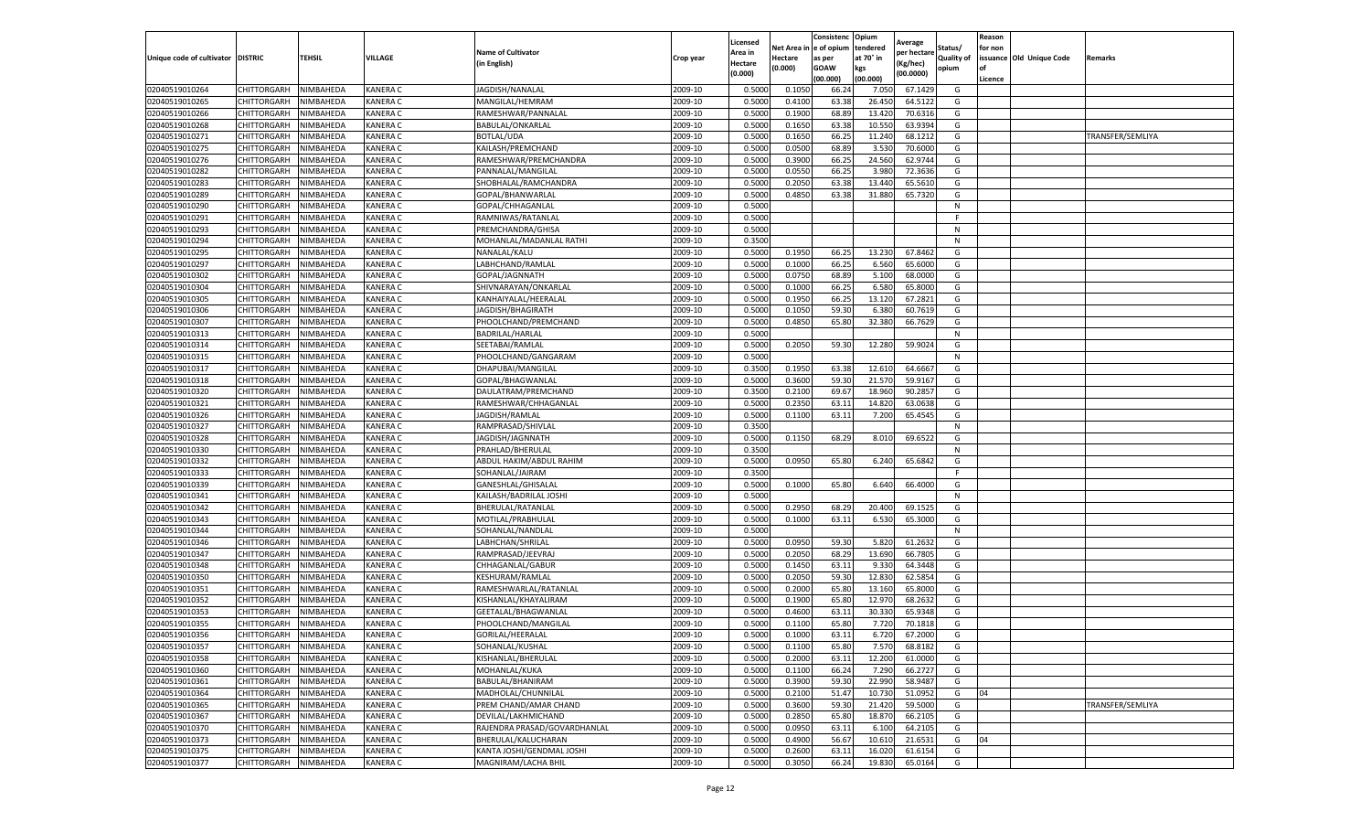|                                   |                            |                        |                             |                                                     |                    | Licensed         |                  | Consistenc     | Opium           | Average            |                   | Reason  |                          |                  |
|-----------------------------------|----------------------------|------------------------|-----------------------------|-----------------------------------------------------|--------------------|------------------|------------------|----------------|-----------------|--------------------|-------------------|---------|--------------------------|------------------|
|                                   |                            |                        |                             | <b>Name of Cultivator</b>                           |                    | Area in          | Net Area i       | e of opium     | tendered        | per hectare        | Status/           | for non |                          |                  |
| Unique code of cultivator DISTRIC |                            | TEHSIL                 | VILLAGE                     | (in English)                                        | Crop year          | Hectare          | Hectare          | as per         | at 70° in       | (Kg/hec)           | <b>Quality of</b> |         | issuance Old Unique Code | Remarks          |
|                                   |                            |                        |                             |                                                     |                    | (0.000)          | (0.000)          | <b>GOAW</b>    | kgs             | (00.0000)          | opium             |         |                          |                  |
|                                   |                            |                        |                             |                                                     |                    |                  |                  | (00.000        | (00.000)        |                    |                   | Licence |                          |                  |
| 02040519010264                    | CHITTORGARH                | NIMBAHEDA              | <b>KANERA C</b>             | JAGDISH/NANALAL                                     | 2009-10            | 0.5000           | 0.1050           | 66.24          | 7.050           | 67.1429            | G                 |         |                          |                  |
| 02040519010265                    | CHITTORGARH                | NIMBAHEDA              | <b>KANERA C</b>             | MANGILAL/HEMRAM                                     | 2009-10            | 0.500            | 0.4100           | 63.38          | 26.450          | 64.5122            | G                 |         |                          |                  |
| 02040519010266                    | CHITTORGARH                | NIMBAHEDA              | <b>KANERA C</b>             | RAMESHWAR/PANNALAL                                  | 2009-10            | 0.5000           | 0.1900           | 68.89          | 13.420          | 70.6316            | G                 |         |                          |                  |
| 02040519010268                    | CHITTORGARH                | NIMBAHEDA              | KANERA C                    | BABULAL/ONKARLAL                                    | 2009-10            | 0.5000           | 0.1650           | 63.38          | 10.550          | 63.9394            | G                 |         |                          |                  |
| 02040519010271                    | CHITTORGARH                | NIMBAHEDA              | <b>KANERA C</b>             | BOTLAL/UDA                                          | 2009-10            | 0.5000           | 0.1650           | 66.25          | 11.240          | 68.1212            | G                 |         |                          | TRANSFER/SEMLIYA |
| 02040519010275                    | CHITTORGARH                | NIMBAHEDA              | <b>KANERA C</b>             | KAILASH/PREMCHAND                                   | 2009-10            | 0.5000           | 0.0500           | 68.89          | 3.530           | 70.6000            | G                 |         |                          |                  |
| 02040519010276                    | CHITTORGARH                | NIMBAHEDA              | <b>KANERA C</b>             | RAMESHWAR/PREMCHANDRA                               | 2009-10            | 0.5000           | 0.3900           | 66.25          | 24.560          | 62.9744            | G                 |         |                          |                  |
| 02040519010282                    | CHITTORGARH                | NIMBAHEDA              | KANERA C                    | PANNALAL/MANGILAL                                   | 2009-10            | 0.500            | 0.0550           | 66.2           | 3.980           | 72.3636            | G                 |         |                          |                  |
| 02040519010283                    | CHITTORGARH                | NIMBAHEDA              | <b>KANERA C</b>             | SHOBHALAL/RAMCHANDRA                                | 2009-10            | 0.5000           | 0.2050           | 63.38          | 13.440          | 65.5610            | G                 |         |                          |                  |
| 02040519010289                    | CHITTORGARH                | NIMBAHEDA              | KANERA C                    | GOPAL/BHANWARLAL                                    | 2009-10            | 0.5000           | 0.4850           | 63.38          | 31.880          | 65.7320            | G                 |         |                          |                  |
| 02040519010290                    | CHITTORGARH                | NIMBAHEDA              | <b>KANERA C</b>             | GOPAL/CHHAGANLAL                                    | 2009-10            | 0.5000           |                  |                |                 |                    | N                 |         |                          |                  |
| 02040519010291                    | CHITTORGARH                | NIMBAHEDA              | <b>KANERA C</b>             | RAMNIWAS/RATANLAL                                   | 2009-10            | 0.5000           |                  |                |                 |                    |                   |         |                          |                  |
| 02040519010293                    | CHITTORGARH                | NIMBAHEDA              | <b>KANERA C</b>             | PREMCHANDRA/GHISA                                   | 2009-10            | 0.5000           |                  |                |                 |                    | N                 |         |                          |                  |
| 02040519010294                    | CHITTORGARH                | NIMBAHEDA              | KANERA C                    | MOHANLAL/MADANLAL RATHI                             | 2009-10            | 0.3500           |                  |                |                 |                    | N                 |         |                          |                  |
| 02040519010295                    | CHITTORGARH                | NIMBAHEDA              | KANERA C                    | NANALAL/KALU                                        | 2009-10            | 0.5000           | 0.1950           | 66.25          | 13.230          | 67.8462            | G                 |         |                          |                  |
| 02040519010297                    | CHITTORGARH                | NIMBAHEDA              | <b>KANERA C</b>             | LABHCHAND/RAMLAL                                    | 2009-10            | 0.5000           | 0.1000           | 66.25          | 6.560           | 65.6000            | G                 |         |                          |                  |
| 02040519010302                    | CHITTORGARH                | NIMBAHEDA              | KANERA C                    | GOPAL/JAGNNATH                                      | 2009-10            | 0.500            | 0.0750           | 68.89          | 5.100           | 68.0000            | G                 |         |                          |                  |
| 02040519010304                    | CHITTORGARH                | NIMBAHEDA              | <b>KANERA C</b>             | SHIVNARAYAN/ONKARLAL                                | 2009-10            | 0.5000           | 0.1000           | 66.25          | 6.580           | 65.8000            | G                 |         |                          |                  |
| 02040519010305                    | CHITTORGARH                | NIMBAHEDA              | <b>KANERA C</b>             | KANHAIYALAL/HEERALAI                                | 2009-10            | 0.5000           | 0.1950           | 66.25          | 13.12           | 67.2821            | G                 |         |                          |                  |
| 02040519010306                    | CHITTORGARH                | NIMBAHEDA              | <b>KANERA C</b>             | JAGDISH/BHAGIRATH                                   | 2009-10            | 0.5000           | 0.1050           | 59.30          | 6.380           | 60.7619            | G                 |         |                          |                  |
| 02040519010307                    | CHITTORGARH                | NIMBAHEDA              | KANERA C                    | PHOOLCHAND/PREMCHAND                                | 2009-10            | 0.5000           | 0.4850           | 65.80          | 32.380          | 66.7629            | G                 |         |                          |                  |
| 02040519010313                    | CHITTORGARH                | NIMBAHEDA              | <b>KANERA C</b>             | BADRILAL/HARLAL                                     | 2009-10            | 0.5000           |                  |                |                 |                    | N                 |         |                          |                  |
| 02040519010314                    | CHITTORGARH                | NIMBAHEDA              | <b>KANERA C</b>             | SEETABAI/RAMLAL                                     | 2009-10            | 0.5000           | 0.2050           | 59.30          | 12.280          | 59.9024            | G                 |         |                          |                  |
| 02040519010315                    | CHITTORGARH                | NIMBAHEDA              | <b>KANERA C</b>             | PHOOLCHAND/GANGARAM                                 | 2009-10            | 0.5000           |                  |                |                 |                    | N                 |         |                          |                  |
| 02040519010317                    | CHITTORGARH                | NIMBAHEDA              | <b>KANERA C</b>             | DHAPUBAI/MANGILAL                                   | 2009-10            | 0.3500           | 0.1950           | 63.38          | 12.610          | 64.6667            | G                 |         |                          |                  |
| 02040519010318                    | CHITTORGARH                | NIMBAHEDA              | <b>KANERA C</b>             | GOPAL/BHAGWANLAL                                    | 2009-10            | 0.5000           | 0.3600           | 59.30          | 21.570          | 59.9167            | G                 |         |                          |                  |
| 02040519010320                    | CHITTORGARH                | NIMBAHEDA              | <b>KANERA C</b>             | DAULATRAM/PREMCHAND                                 | 2009-10            | 0.3500           | 0.2100           | 69.67          | 18.960          | 90.2857            | G                 |         |                          |                  |
| 02040519010321                    | CHITTORGARH                | NIMBAHEDA              | <b>KANERA C</b>             | RAMESHWAR/CHHAGANLAL                                | 2009-10            | 0.5000           | 0.2350           | 63.11          | 14.820          | 63.0638            | G                 |         |                          |                  |
| 02040519010326                    | CHITTORGARH                | NIMBAHEDA              | KANERA C                    | JAGDISH/RAMLAL                                      | 2009-10            | 0.5000           | 0.1100           | 63.11          | 7.200           | 65.4545            | G                 |         |                          |                  |
| 02040519010327                    | CHITTORGARH                | NIMBAHEDA              | KANERA C                    | RAMPRASAD/SHIVLAL                                   | 2009-10            | 0.3500           |                  |                |                 |                    | N                 |         |                          |                  |
| 02040519010328                    | CHITTORGARH                | NIMBAHEDA              | <b>KANERA C</b>             | JAGDISH/JAGNNATH                                    | 2009-10            | 0.5000           | 0.1150           | 68.29          | 8.010           | 69.6522            | G                 |         |                          |                  |
| 02040519010330                    | CHITTORGARH                | NIMBAHEDA              | <b>KANERA C</b>             | PRAHLAD/BHERULAL                                    | 2009-10            | 0.3500           |                  |                |                 |                    | N                 |         |                          |                  |
| 02040519010332                    | CHITTORGARH                | NIMBAHEDA              | KANERA C                    | ABDUL HAKIM/ABDUL RAHIM                             | 2009-10            | 0.5000           | 0.0950           | 65.80          | 6.240           | 65.6842            | G                 |         |                          |                  |
| 02040519010333                    | CHITTORGARH                | NIMBAHEDA              | KANERA C                    | SOHANLAL/JAIRAM                                     | 2009-10            | 0.3500           |                  |                |                 |                    | F.                |         |                          |                  |
| 02040519010339                    | CHITTORGARH                | NIMBAHEDA              | <b>KANERA C</b>             | GANESHLAL/GHISALAL                                  | 2009-10            | 0.5000           | 0.1000           | 65.80          | 6.640           | 66.4000            | G                 |         |                          |                  |
| 02040519010341                    | CHITTORGARH                | NIMBAHEDA              | KANERA C                    | KAILASH/BADRILAL JOSHI                              | 2009-10            | 0.5000           |                  |                |                 |                    | N                 |         |                          |                  |
| 02040519010342                    | CHITTORGARH                | NIMBAHEDA              | <b>KANERA C</b>             | BHERULAL/RATANLAL                                   | 2009-10            | 0.5000           | 0.2950           | 68.29          | 20.400          | 69.1525            | G                 |         |                          |                  |
| 02040519010343                    | CHITTORGARH                | NIMBAHEDA              | <b>KANERA C</b>             | MOTILAL/PRABHULAL                                   | 2009-10            | 0.5000           | 0.1000           | 63.11          | 6.530           | 65.3000            | G                 |         |                          |                  |
| 02040519010344                    | CHITTORGARH                | NIMBAHEDA              | KANERA C                    | SOHANLAL/NANDLAL                                    | 2009-10            | 0.5000           |                  |                |                 |                    | N                 |         |                          |                  |
| 02040519010346                    | CHITTORGARH                | NIMBAHEDA              | <b>KANERA C</b>             | LABHCHAN/SHRILAL                                    | 2009-10            | 0.5000           | 0.0950           | 59.30          | 5.820           | 61.2632            | G                 |         |                          |                  |
| 02040519010347                    | CHITTORGARH                | NIMBAHEDA              | <b>KANERA C</b>             | RAMPRASAD/JEEVRAJ                                   | 2009-10            | 0.5000           | 0.2050           | 68.29          | 13.690          | 66.7805            | G                 |         |                          |                  |
| 02040519010348                    | CHITTORGARH                | NIMBAHEDA              | <b>KANERA C</b>             | CHHAGANLAL/GABUR                                    | 2009-10            | 0.5000           | 0.1450           | 63.11          | 9.330           | 64.3448            | G                 |         |                          |                  |
| 02040519010350                    | CHITTORGARH                | NIMBAHEDA              | <b>KANERA C</b>             | KESHURAM/RAMLAL                                     | 2009-10            | 0.5000           | 0.2050           | 59.30          | 12.830          | 62.5854            | G                 |         |                          |                  |
| 02040519010351                    | CHITTORGARH                | NIMBAHEDA              | <b>KANERA C</b>             | RAMESHWARLAL/RATANLAL                               | 2009-10            | 0.5000           | 0.2000           | 65.80          | 13.160          | 65.8000            | G                 |         |                          |                  |
| 02040519010352                    | CHITTORGARH                | NIMBAHEDA              | <b>KANERA C</b>             | KISHANLAL/KHAYALIRAM                                | 2009-10            | 0.5000           | 0.1900           | 65.80          | 12.970          | 68.2632            | G                 |         |                          |                  |
| 02040519010353                    | CHITTORGARH                | NIMBAHEDA              | <b>KANERA C</b>             | GEETALAL/BHAGWANLAL                                 | 2009-10            | 0.500            | 0.4600           | 63.1           | 30.330          | 65.9348            | G                 |         |                          |                  |
| 02040519010355                    | CHITTORGARH                | NIMBAHEDA              | <b>KANERA C</b>             | PHOOLCHAND/MANGILAL                                 | 2009-10            | 0.5000           | 0.1100           | 65.80          | 7.720           | 70.1818            | G                 |         |                          |                  |
| 02040519010356                    | CHITTORGARH                | NIMBAHEDA              | <b>KANERA C</b>             | GORILAL/HEERALAL                                    | 2009-10            | 0.5000           | 0.1000           | 63.11          | 6.720           | 67.2000            | G                 |         |                          |                  |
| 02040519010357                    |                            |                        |                             |                                                     | 2009-10            |                  |                  |                |                 |                    |                   |         |                          |                  |
| 02040519010358                    | CHITTORGARH<br>CHITTORGARH | NIMBAHEDA<br>NIMBAHEDA | KANERA C<br><b>KANERA C</b> | SOHANLAL/KUSHAL<br>KISHANLAL/BHERULAL               | 2009-10            | 0.5000<br>0.5000 | 0.1100<br>0.2000 | 65.80<br>63.11 | 7.570<br>12.200 | 68.8182<br>61.0000 | G<br>G            |         |                          |                  |
| 02040519010360                    | CHITTORGARH                | NIMBAHEDA              | KANERA C                    | MOHANLAL/KUKA                                       | 2009-10            | 0.5000           | 0.1100           | 66.24          | 7.290           | 66.2727            | G                 |         |                          |                  |
| 02040519010361                    | CHITTORGARH                |                        |                             |                                                     |                    |                  |                  |                |                 |                    |                   |         |                          |                  |
|                                   |                            | NIMBAHEDA              | KANERA C<br>KANERA C        | BABULAL/BHANIRAM                                    | 2009-10            | 0.5000           | 0.3900           | 59.30          | 22.990          | 58.9487            | G                 | 04      |                          |                  |
| 02040519010364<br>02040519010365  | CHITTORGARH                | NIMBAHEDA              |                             | MADHOLAL/CHUNNILAL                                  | 2009-10<br>2009-10 | 0.5000           | 0.2100<br>0.3600 | 51.47          | 10.730          | 51.0952            | G<br>G            |         |                          |                  |
| 02040519010367                    | CHITTORGARH                | NIMBAHEDA              | KANERA C                    | PREM CHAND/AMAR CHAND                               |                    | 0.5000           |                  | 59.30          | 21.420          | 59.5000            |                   |         |                          | TRANSFER/SEMLIYA |
|                                   | CHITTORGARH                | NIMBAHEDA              | <b>KANERA C</b>             | DEVILAL/LAKHMICHAND<br>RAJENDRA PRASAD/GOVARDHANLAL | 2009-10            | 0.5000           | 0.2850           | 65.80          | 18.870          | 66.2105            | G                 |         |                          |                  |
| 02040519010370                    | CHITTORGARH                | NIMBAHEDA              | <b>KANERA C</b>             |                                                     | 2009-10<br>2009-10 | 0.5000           | 0.0950<br>0.4900 | 63.11<br>56.67 | 6.100           | 64.2105            | G<br>G            | 04      |                          |                  |
| 02040519010373<br>02040519010375  | CHITTORGARH                | NIMBAHEDA              | KANERA C                    | BHERULAL/KALUCHARAN                                 |                    | 0.5000           |                  |                | 10.610          | 21.6531            |                   |         |                          |                  |
|                                   | CHITTORGARH                | NIMBAHEDA              | KANERA C                    | KANTA JOSHI/GENDMAL JOSHI                           | 2009-10            | 0.5000           | 0.2600           | 63.1           | 16.020          | 61.6154            | G                 |         |                          |                  |
| 02040519010377                    | CHITTORGARH                | NIMBAHEDA              | <b>KANERA C</b>             | <b>MAGNIRAM/LACHA BHIL</b>                          | 2009-10            | 0.5000           | 0.3050           | 66.24          | 19.830          | 65.0164            | G                 |         |                          |                  |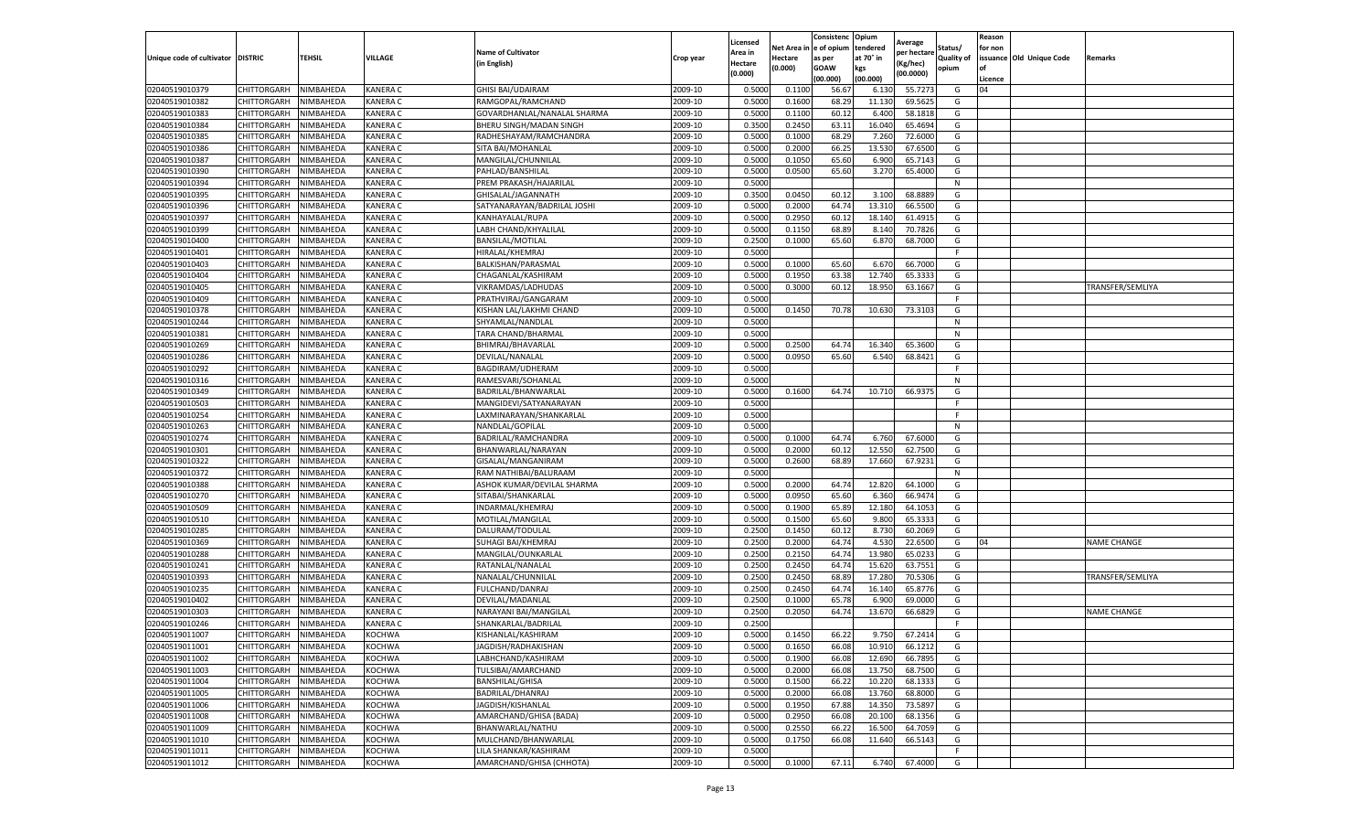|                                   |                    |           |                 |                             |           | Licensed |         | Consistenc             | Opium     |                        |                   | Reason  |                          |                    |
|-----------------------------------|--------------------|-----------|-----------------|-----------------------------|-----------|----------|---------|------------------------|-----------|------------------------|-------------------|---------|--------------------------|--------------------|
|                                   |                    |           |                 | <b>Name of Cultivator</b>   |           | Area in  |         | Net Area in e of opium | tendered  | Average<br>oer hectare | Status/           | for non |                          |                    |
| Unique code of cultivator DISTRIC |                    | TEHSIL    | VILLAGE         | in English)                 | Crop year | Hectare  | Hectare | as per                 | at 70° in | (Kg/hec                | <b>Quality of</b> |         | issuance Old Unique Code | <b>Remarks</b>     |
|                                   |                    |           |                 |                             |           | (0.000)  | (0.000) | <b>GOAW</b>            | kgs       | (00.0000)              | opium             |         |                          |                    |
|                                   |                    |           |                 |                             |           |          |         | (00.000)               | (00.000)  |                        |                   | Licence |                          |                    |
| 02040519010379                    | CHITTORGARH        | NIMBAHEDA | <b>KANERA C</b> | <b>GHISI BAI/UDAIRAM</b>    | 2009-10   | 0.5000   | 0.1100  | 56.67                  | 6.13      | 55.7273                | G                 | 04      |                          |                    |
| 02040519010382                    | <b>CHITTORGARH</b> | NIMBAHEDA | <b>KANERA C</b> | RAMGOPAL/RAMCHAND           | 2009-10   | 0.5000   | 0.1600  | 68.29                  | 11.13     | 69.5625                | G                 |         |                          |                    |
| 02040519010383                    | CHITTORGARH        | NIMBAHEDA | <b>KANERA C</b> | GOVARDHANLAL/NANALAL SHARMA | 2009-10   | 0.5000   | 0.1100  | 60.12                  | 6.400     | 58.1818                | G                 |         |                          |                    |
| 02040519010384                    | CHITTORGARH        | NIMBAHEDA | KANERA C        | BHERU SINGH/MADAN SINGH     | 2009-10   | 0.3500   | 0.2450  | 63.11                  | 16.040    | 65.4694                | G                 |         |                          |                    |
| 02040519010385                    | CHITTORGARH        | NIMBAHEDA | KANERA C        | RADHESHAYAM/RAMCHANDRA      | 2009-10   | 0.5000   | 0.1000  | 68.29                  | 7.260     | 72.6000                | G                 |         |                          |                    |
| 02040519010386                    | CHITTORGARH        | NIMBAHEDA | <b>KANERA C</b> | SITA BAI/MOHANLAL           | 2009-10   | 0.5000   | 0.2000  | 66.25                  | 13.53     | 67.6500                | G                 |         |                          |                    |
| 02040519010387                    | CHITTORGARH        | NIMBAHEDA | KANERA C        | MANGILAL/CHUNNILAL          | 2009-10   | 0.5000   | 0.1050  | 65.60                  | 6.900     | 65.7143                | G                 |         |                          |                    |
| 02040519010390                    | CHITTORGARH        | NIMBAHEDA | KANERA C        | PAHLAD/BANSHILAL            | 2009-10   | 0.5000   | 0.0500  | 65.60                  | 3.27      | 65.4000                | G                 |         |                          |                    |
| 02040519010394                    | CHITTORGARH        | NIMBAHEDA | <b>KANERA C</b> | PREM PRAKASH/HAJARILAL      | 2009-10   | 0.5000   |         |                        |           |                        | N                 |         |                          |                    |
| 02040519010395                    | CHITTORGARH        | NIMBAHEDA | KANERA C        | GHISALAL/JAGANNATH          | 2009-10   | 0.3500   | 0.0450  | 60.12                  | 3.100     | 68.8889                | G                 |         |                          |                    |
| 02040519010396                    | CHITTORGARH        | NIMBAHEDA | KANERA C        | SATYANARAYAN/BADRILAL JOSHI | 2009-10   | 0.5000   | 0.2000  | 64.74                  | 13.31     | 66.5500                | G                 |         |                          |                    |
| 02040519010397                    | CHITTORGARH        | NIMBAHEDA | KANERA C        | KANHAYALAL/RUPA             | 2009-10   | 0.5000   | 0.2950  | 60.12                  | 18.14     | 61.4915                | G                 |         |                          |                    |
| 02040519010399                    | CHITTORGARH        | NIMBAHEDA | KANERA C        | LABH CHAND/KHYALILAL        | 2009-10   | 0.5000   | 0.1150  | 68.89                  | 8.14      | 70.7826                | G                 |         |                          |                    |
| 02040519010400                    | CHITTORGARH        | NIMBAHEDA | KANERA C        | <b>BANSILAL/MOTILAL</b>     | 2009-10   | 0.2500   | 0.1000  | 65.60                  | 6.87      | 68.7000                | G                 |         |                          |                    |
| 02040519010401                    | CHITTORGARH        | NIMBAHEDA | <b>KANERA C</b> | HIRALAL/KHEMRAJ             | 2009-10   | 0.5000   |         |                        |           |                        | F.                |         |                          |                    |
| 02040519010403                    | CHITTORGARH        | NIMBAHEDA | <b>KANERA C</b> | BALKISHAN/PARASMAL          | 2009-10   | 0.5000   | 0.1000  | 65.60                  | 6.67      | 66.7000                | G                 |         |                          |                    |
| 02040519010404                    | CHITTORGARH        | NIMBAHEDA | KANERA C        | CHAGANLAL/KASHIRAM          | 2009-10   | 0.5000   | 0.1950  | 63.38                  | 12.74     | 65.3333                | G                 |         |                          |                    |
| 02040519010405                    | CHITTORGARH        | NIMBAHEDA | <b>KANERA C</b> | VIKRAMDAS/LADHUDAS          | 2009-10   | 0.5000   | 0.3000  | 60.12                  | 18.95     | 63.1667                | G                 |         |                          | TRANSFER/SEMLIYA   |
| 02040519010409                    | CHITTORGARH        | NIMBAHEDA | KANERA C        | PRATHVIRAJ/GANGARAM         | 2009-10   | 0.5000   |         |                        |           |                        | F                 |         |                          |                    |
| 02040519010378                    | CHITTORGARH        | NIMBAHEDA | KANERA C        | KISHAN LAL/LAKHMI CHAND     | 2009-10   | 0.5000   | 0.1450  | 70.78                  | 10.630    | 73.3103                | G                 |         |                          |                    |
| 02040519010244                    | CHITTORGARH        | NIMBAHEDA | KANERA C        | SHYAMLAL/NANDLAL            | 2009-10   | 0.5000   |         |                        |           |                        | N                 |         |                          |                    |
| 02040519010381                    | CHITTORGARH        | NIMBAHEDA | <b>KANERA C</b> | TARA CHAND/BHARMAL          | 2009-10   | 0.5000   |         |                        |           |                        | N                 |         |                          |                    |
| 02040519010269                    | CHITTORGARH        | NIMBAHEDA | KANERA C        | BHIMRAJ/BHAVARLAL           | 2009-10   | 0.5000   | 0.2500  | 64.74                  | 16.340    | 65.3600                | G                 |         |                          |                    |
| 02040519010286                    | CHITTORGARH        | NIMBAHEDA | <b>KANERA C</b> | DEVILAL/NANALAL             | 2009-10   | 0.5000   | 0.0950  | 65.60                  | 6.540     | 68.8421                | G                 |         |                          |                    |
| 02040519010292                    | <b>CHITTORGARH</b> | NIMBAHEDA | KANERA C        | BAGDIRAM/UDHERAM            | 2009-10   | 0.5000   |         |                        |           |                        | F                 |         |                          |                    |
| 02040519010316                    | CHITTORGARH        | NIMBAHEDA | KANERA C        | RAMESVARI/SOHANLAI          | 2009-10   | 0.5000   |         |                        |           |                        | N                 |         |                          |                    |
| 02040519010349                    | CHITTORGARH        | NIMBAHEDA | KANERA C        | BADRILAL/BHANWARLAL         | 2009-10   | 0.5000   | 0.1600  | 64.74                  | 10.710    | 66.9375                | G                 |         |                          |                    |
| 02040519010503                    | CHITTORGARH        | NIMBAHEDA | <b>KANERA C</b> | MANGIDEVI/SATYANARAYAN      | 2009-10   | 0.5000   |         |                        |           |                        | F.                |         |                          |                    |
| 02040519010254                    | CHITTORGARH        | NIMBAHEDA | KANERA C        | LAXMINARAYAN/SHANKARLAL     | 2009-10   | 0.5000   |         |                        |           |                        | F                 |         |                          |                    |
| 02040519010263                    | CHITTORGARH        | NIMBAHEDA | <b>KANERA C</b> | NANDLAL/GOPILAL             | 2009-10   | 0.5000   |         |                        |           |                        | N                 |         |                          |                    |
| 02040519010274                    | CHITTORGARH        | NIMBAHEDA | KANERA C        | BADRILAL/RAMCHANDRA         | 2009-10   | 0.5000   | 0.1000  | 64.74                  | 6.760     | 67.6000                | G                 |         |                          |                    |
| 02040519010301                    | CHITTORGARH        | NIMBAHEDA | KANERA C        | BHANWARLAL/NARAYAN          | 2009-10   | 0.5000   | 0.2000  | 60.12                  | 12.550    | 62.7500                | G                 |         |                          |                    |
| 02040519010322                    | CHITTORGARH        | NIMBAHEDA | KANERA C        | GISALAL/MANGANIRAM          | 2009-10   | 0.5000   | 0.2600  | 68.89                  | 17.660    | 67.9231                | G                 |         |                          |                    |
| 02040519010372                    | CHITTORGARH        | NIMBAHEDA | <b>KANERA C</b> | RAM NATHIBAI/BALURAAM       | 2009-10   | 0.5000   |         |                        |           |                        | N                 |         |                          |                    |
| 02040519010388                    | CHITTORGARH        | NIMBAHEDA | KANERA C        | ASHOK KUMAR/DEVILAL SHARMA  | 2009-10   | 0.5000   | 0.2000  | 64.74                  | 12.820    | 64.1000                | G                 |         |                          |                    |
| 02040519010270                    | CHITTORGARH        | NIMBAHEDA | KANERA C        | SITABAI/SHANKARLAL          | 2009-10   | 0.5000   | 0.0950  | 65.60                  | 6.360     | 66.9474                | G                 |         |                          |                    |
| 02040519010509                    | CHITTORGARH        | NIMBAHEDA | <b>KANERA C</b> | INDARMAL/KHEMRAJ            | 2009-10   | 0.5000   | 0.1900  | 65.89                  | 12.18     | 64.1053                | G                 |         |                          |                    |
| 02040519010510                    | CHITTORGARH        | NIMBAHEDA | KANERA C        | MOTILAL/MANGILAL            | 2009-10   | 0.5000   | 0.1500  | 65.60                  | 9.800     | 65.3333                | G                 |         |                          |                    |
| 02040519010285                    | CHITTORGARH        | NIMBAHEDA | KANERA C        | DALURAM/TODULAL             | 2009-10   | 0.2500   | 0.1450  | 60.12                  | 8.73      | 60.2069                | G                 |         |                          |                    |
| 02040519010369                    | CHITTORGARH        | NIMBAHEDA | KANERA C        | SUHAGI BAI/KHEMRAJ          | 2009-10   | 0.2500   | 0.2000  | 64.74                  | 4.530     | 22.6500                | G                 | 04      |                          | <b>NAME CHANGE</b> |
| 02040519010288                    | CHITTORGARH        | NIMBAHEDA | <b>KANERA C</b> | MANGILAL/OUNKARLAL          | 2009-10   | 0.2500   | 0.2150  | 64.74                  | 13.98     | 65.0233                | G                 |         |                          |                    |
| 02040519010241                    | CHITTORGARH        | NIMBAHEDA | <b>KANERA C</b> | RATANLAL/NANALAL            | 2009-10   | 0.2500   | 0.2450  | 64.74                  | 15.62     | 63.7551                | G                 |         |                          |                    |
| 02040519010393                    | CHITTORGARH        | NIMBAHEDA | <b>KANERA C</b> | NANALAL/CHUNNILAL           | 2009-10   | 0.2500   | 0.2450  | 68.89                  | 17.28     | 70.5306                | G                 |         |                          | TRANSFER/SEMLIYA   |
| 02040519010235                    | CHITTORGARH        | NIMBAHEDA | KANERA C        | FULCHAND/DANRAJ             | 2009-10   | 0.2500   | 0.2450  | 64.74                  | 16.14     | 65.8776                | G                 |         |                          |                    |
| 02040519010402                    | CHITTORGARH        | NIMBAHEDA | KANERA C        | DEVILAL/MADANLAL            | 2009-10   | 0.2500   | 0.1000  | 65.78                  | 6.900     | 69.0000                | G                 |         |                          |                    |
| 02040519010303                    | CHITTORGARH        | NIMBAHEDA | <b>KANERA C</b> | NARAYANI BAI/MANGILAL       | 2009-10   | 0.2500   | 0.2050  | 64.74                  | 13.67     | 66.6829                | G                 |         |                          | <b>NAME CHANGE</b> |
| 02040519010246                    | CHITTORGARH        | NIMBAHEDA | <b>KANERA C</b> | SHANKARLAL/BADRILAL         | 2009-10   | 0.2500   |         |                        |           |                        | F.                |         |                          |                    |
|                                   |                    |           |                 |                             |           |          |         |                        |           |                        |                   |         |                          |                    |
| 02040519011007                    | CHITTORGARH        | NIMBAHEDA | KOCHWA          | KISHANLAL/KASHIRAM          | 2009-10   | 0.5000   | 0.1450  | 66.22                  | 9.750     | 67.2414                | G                 |         |                          |                    |
| 02040519011001                    | CHITTORGARH        | NIMBAHEDA | <b>KOCHWA</b>   | JAGDISH/RADHAKISHAN         | 2009-10   | 0.5000   | 0.1650  | 66.08                  | 10.910    | 66.1212                | G                 |         |                          |                    |
| 02040519011002                    | CHITTORGARH        | NIMBAHEDA | KOCHWA          | LABHCHAND/KASHIRAM          | 2009-10   | 0.5000   | 0.1900  | 66.08                  | 12.690    | 66.7895                | G                 |         |                          |                    |
| 02040519011003                    | <b>CHITTORGARH</b> | NIMBAHEDA | KOCHWA          | TULSIBAI/AMARCHAND          | 2009-10   | 0.5000   | 0.2000  | 66.08                  | 13.750    | 68.7500                | G                 |         |                          |                    |
| 02040519011004                    | CHITTORGARH        | NIMBAHEDA | KOCHWA          | <b>BANSHILAL/GHISA</b>      | 2009-10   | 0.5000   | 0.1500  | 66.22                  | 10.220    | 68.1333                | G                 |         |                          |                    |
| 02040519011005                    | CHITTORGARH        | NIMBAHEDA | KOCHWA          | <b>BADRILAL/DHANRAJ</b>     | 2009-10   | 0.5000   | 0.2000  | 66.08                  | 13.760    | 68.8000                | G                 |         |                          |                    |
| 02040519011006                    | <b>CHITTORGARH</b> | NIMBAHEDA | <b>KOCHWA</b>   | JAGDISH/KISHANLAL           | 2009-10   | 0.5000   | 0.1950  | 67.88                  | 14.350    | 73.5897                | G                 |         |                          |                    |
| 02040519011008                    | CHITTORGARH        | NIMBAHEDA | KOCHWA          | AMARCHAND/GHISA (BADA)      | 2009-10   | 0.5000   | 0.2950  | 66.08                  | 20.100    | 68.1356                | G                 |         |                          |                    |
| 02040519011009                    | <b>CHITTORGARH</b> | NIMBAHEDA | KOCHWA          | BHANWARLAL/NATHU            | 2009-10   | 0.5000   | 0.2550  | 66.22                  | 16.500    | 64.7059                | G                 |         |                          |                    |
| 02040519011010                    | CHITTORGARH        | NIMBAHEDA | KOCHWA          | MULCHAND/BHANWARLAL         | 2009-10   | 0.5000   | 0.1750  | 66.08                  | 11.640    | 66.5143                | G                 |         |                          |                    |
| 02040519011011                    | CHITTORGARH        | NIMBAHEDA | KOCHWA          | LILA SHANKAR/KASHIRAM       | 2009-10   | 0.5000   |         |                        |           |                        | F.                |         |                          |                    |
| 02040519011012                    | <b>CHITTORGARH</b> | NIMBAHEDA | KOCHWA          | AMARCHAND/GHISA (CHHOTA)    | 2009-10   | 0.5000   | 0.1000  | 67.11                  | 6.740     | 67.4000                | G                 |         |                          |                    |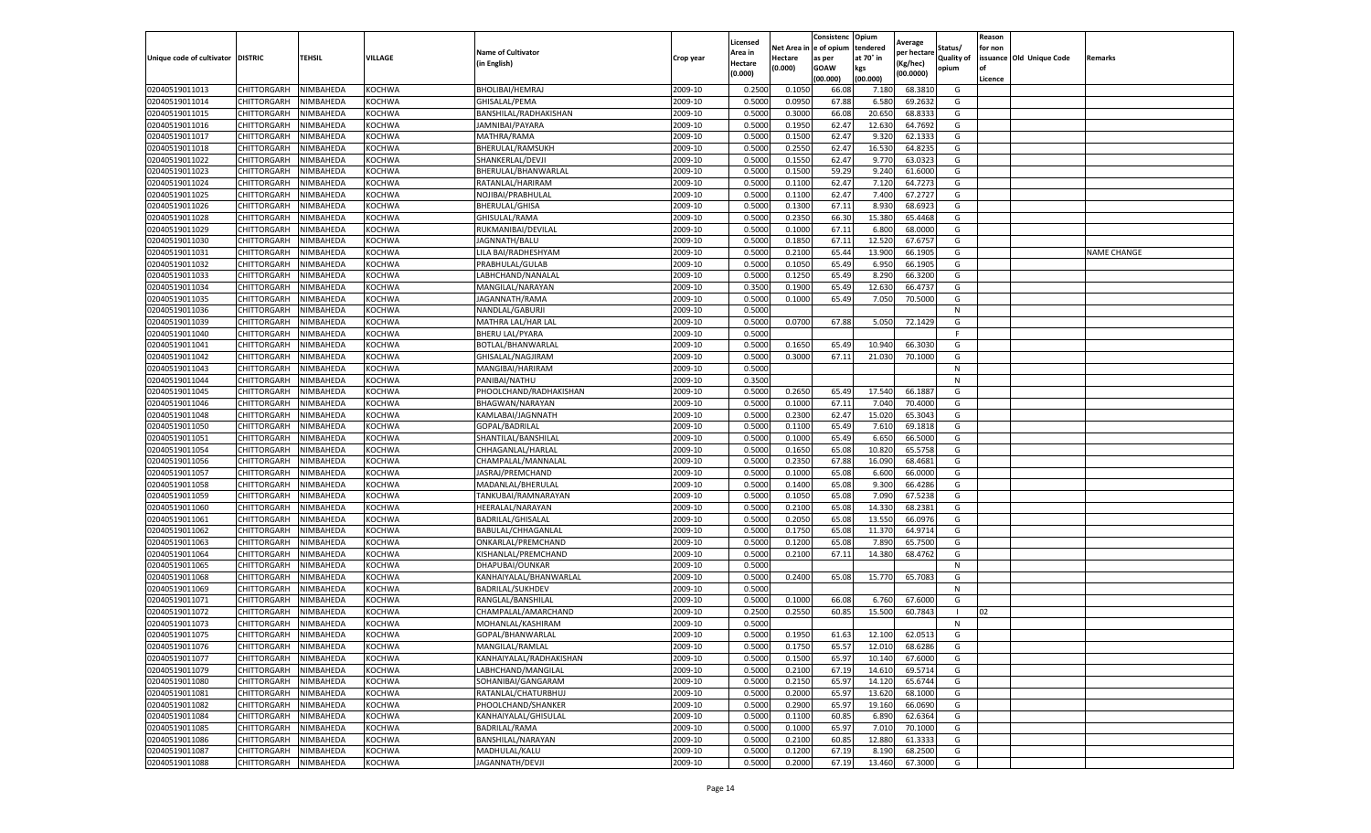|                                   |                    |           |               |                           |           | Licensed |         | Consistenc             | Opium     | Average     |                   | Reason  |                          |                    |
|-----------------------------------|--------------------|-----------|---------------|---------------------------|-----------|----------|---------|------------------------|-----------|-------------|-------------------|---------|--------------------------|--------------------|
|                                   |                    |           |               | <b>Name of Cultivator</b> |           | Area in  |         | Net Area in e of opium | tendered  | per hectare | Status/           | for non |                          |                    |
| Unique code of cultivator DISTRIC |                    | TEHSIL    | VILLAGE       | in English)               | Crop year | Hectare  | Hectare | as per                 | at 70° in | (Kg/hec     | <b>Quality of</b> |         | issuance Old Unique Code | <b>Remarks</b>     |
|                                   |                    |           |               |                           |           | (0.000)  | (0.000) | <b>GOAW</b>            | kgs       | (00.0000)   | opium             |         |                          |                    |
|                                   |                    |           |               |                           |           |          |         | (00.000)               | (00.000)  |             |                   | Licence |                          |                    |
| 02040519011013                    | CHITTORGARH        | NIMBAHEDA | KOCHWA        | <b>BHOLIBAI/HEMRAJ</b>    | 2009-10   | 0.2500   | 0.1050  | 66.08                  | 7.180     | 68.3810     | G                 |         |                          |                    |
| 02040519011014                    | CHITTORGARH        | NIMBAHEDA | KOCHWA        | GHISALAL/PEMA             | 2009-10   | 0.5000   | 0.0950  | 67.88                  | 6.580     | 69.2632     | G                 |         |                          |                    |
| 02040519011015                    | CHITTORGARH        | NIMBAHEDA | KOCHWA        | BANSHILAL/RADHAKISHAN     | 2009-10   | 0.5000   | 0.3000  | 66.08                  | 20.65     | 68.8333     | G                 |         |                          |                    |
| 02040519011016                    | CHITTORGARH        | NIMBAHEDA | KOCHWA        | JAMNIBAI/PAYARA           | 2009-10   | 0.5000   | 0.1950  | 62.47                  | 12.630    | 64.7692     | G                 |         |                          |                    |
| 02040519011017                    | <b>CHITTORGARH</b> | NIMBAHEDA | KOCHWA        | MATHRA/RAMA               | 2009-10   | 0.5000   | 0.1500  | 62.47                  | 9.32      | 62.1333     | G                 |         |                          |                    |
| 02040519011018                    | CHITTORGARH        | NIMBAHEDA | KOCHWA        | BHERULAL/RAMSUKH          | 2009-10   | 0.5000   | 0.2550  | 62.47                  | 16.53     | 64.8235     | G                 |         |                          |                    |
| 02040519011022                    | CHITTORGARH        | NIMBAHEDA | KOCHWA        | SHANKERLAL/DEVJI          | 2009-10   | 0.5000   | 0.1550  | 62.47                  | 9.77      | 63.0323     | G                 |         |                          |                    |
| 02040519011023                    | CHITTORGARH        | NIMBAHEDA | KOCHWA        | BHERULAL/BHANWARLAL       | 2009-10   | 0.5000   | 0.1500  | 59.29                  | 9.24      | 61.6000     | G                 |         |                          |                    |
| 02040519011024                    | CHITTORGARH        | NIMBAHEDA | KOCHWA        | RATANLAL/HARIRAM          | 2009-10   | 0.5000   | 0.1100  | 62.47                  | 7.12      | 64.7273     | G                 |         |                          |                    |
| 02040519011025                    | CHITTORGARH        | NIMBAHEDA | KOCHWA        | NOJIBAI/PRABHULAL         | 2009-10   | 0.5000   | 0.1100  | 62.47                  | 7.400     | 67.2727     | G                 |         |                          |                    |
| 02040519011026                    | CHITTORGARH        | NIMBAHEDA | KOCHWA        | <b>BHERULAL/GHISA</b>     | 2009-10   | 0.5000   | 0.1300  | 67.11                  | 8.930     | 68.6923     | G                 |         |                          |                    |
| 02040519011028                    | CHITTORGARH        | NIMBAHEDA | KOCHWA        | GHISULAL/RAMA             | 2009-10   | 0.5000   | 0.2350  | 66.30                  | 15.38     | 65.4468     | G                 |         |                          |                    |
| 02040519011029                    | CHITTORGARH        | NIMBAHEDA | KOCHWA        | RUKMANIBAI/DEVILAL        | 2009-10   | 0.5000   | 0.1000  | 67.11                  | 6.800     | 68.0000     | G                 |         |                          |                    |
| 02040519011030                    | CHITTORGARH        | NIMBAHEDA | KOCHWA        | JAGNNATH/BALU             | 2009-10   | 0.5000   | 0.1850  | 67.11                  | 12.520    | 67.675      | G                 |         |                          |                    |
| 02040519011031                    | CHITTORGARH        | NIMBAHEDA | KOCHWA        | LILA BAI/RADHESHYAM       | 2009-10   | 0.5000   | 0.2100  | 65.44                  | 13.900    | 66.1905     | G                 |         |                          | <b>NAME CHANGE</b> |
| 02040519011032                    | CHITTORGARH        | NIMBAHEDA | KOCHWA        | PRABHULAL/GULAB           | 2009-10   | 0.5000   | 0.1050  | 65.49                  | 6.950     | 66.1905     | G                 |         |                          |                    |
| 02040519011033                    | CHITTORGARH        | NIMBAHEDA | KOCHWA        | LABHCHAND/NANALAI         | 2009-10   | 0.5000   | 0.1250  | 65.49                  | 8.290     | 66.3200     | G                 |         |                          |                    |
| 02040519011034                    | CHITTORGARH        | NIMBAHEDA | KOCHWA        | MANGILAL/NARAYAN          | 2009-10   | 0.3500   | 0.1900  | 65.49                  | 12.63     | 66.4737     | G                 |         |                          |                    |
| 02040519011035                    | CHITTORGARH        | NIMBAHEDA | KOCHWA        | JAGANNATH/RAMA            | 2009-10   | 0.5000   | 0.1000  | 65.49                  | 7.050     | 70.5000     | G                 |         |                          |                    |
| 02040519011036                    | CHITTORGARH        | NIMBAHEDA | KOCHWA        | NANDLAL/GABURJI           | 2009-10   | 0.5000   |         |                        |           |             | N                 |         |                          |                    |
| 02040519011039                    | CHITTORGARH        | NIMBAHEDA | KOCHWA        | MATHRA LAL/HAR LAL        | 2009-10   | 0.5000   | 0.0700  | 67.88                  | 5.050     | 72.1429     | G                 |         |                          |                    |
| 02040519011040                    | CHITTORGARH        | NIMBAHEDA | KOCHWA        | <b>BHERU LAL/PYARA</b>    | 2009-10   | 0.5000   |         |                        |           |             | F                 |         |                          |                    |
| 02040519011041                    | CHITTORGARH        | NIMBAHEDA | KOCHWA        | BOTLAL/BHANWARLAL         | 2009-10   | 0.5000   | 0.1650  | 65.49                  | 10.940    | 66.3030     | G                 |         |                          |                    |
| 02040519011042                    | CHITTORGARH        | NIMBAHEDA | KOCHWA        | GHISALAL/NAGJIRAM         | 2009-10   | 0.5000   | 0.3000  | 67.11                  | 21.030    | 70.1000     | G                 |         |                          |                    |
| 02040519011043                    | <b>CHITTORGARH</b> | NIMBAHEDA | KOCHWA        | MANGIBAI/HARIRAM          | 2009-10   | 0.5000   |         |                        |           |             | N                 |         |                          |                    |
| 02040519011044                    | CHITTORGARH        | NIMBAHEDA | KOCHWA        | PANIBAI/NATHU             | 2009-10   | 0.3500   |         |                        |           |             | N                 |         |                          |                    |
| 02040519011045                    | CHITTORGARH        | NIMBAHEDA | KOCHWA        | PHOOLCHAND/RADHAKISHAN    | 2009-10   | 0.5000   | 0.2650  | 65.49                  | 17.540    | 66.1887     | G                 |         |                          |                    |
| 02040519011046                    | CHITTORGARH        | NIMBAHEDA | KOCHWA        | BHAGWAN/NARAYAN           | 2009-10   | 0.5000   | 0.1000  | 67.11                  | 7.040     | 70.4000     | G                 |         |                          |                    |
| 02040519011048                    | CHITTORGARH        | NIMBAHEDA | KOCHWA        | KAMLABAI/JAGNNATH         | 2009-10   | 0.5000   | 0.2300  | 62.47                  | 15.020    | 65.3043     | G                 |         |                          |                    |
| 02040519011050                    | CHITTORGARH        | NIMBAHEDA | KOCHWA        | GOPAL/BADRILAL            | 2009-10   | 0.5000   | 0.1100  | 65.49                  | 7.610     | 69.1818     | G                 |         |                          |                    |
| 02040519011051                    | CHITTORGARH        | NIMBAHEDA | KOCHWA        | SHANTILAL/BANSHILAL       | 2009-10   | 0.5000   | 0.1000  | 65.49                  | 6.65      | 66.5000     | G                 |         |                          |                    |
| 02040519011054                    | CHITTORGARH        | NIMBAHEDA | KOCHWA        | CHHAGANLAL/HARLAL         | 2009-10   | 0.5000   | 0.1650  | 65.08                  | 10.82     | 65.5758     | G                 |         |                          |                    |
| 02040519011056                    | CHITTORGARH        | NIMBAHEDA | KOCHWA        | CHAMPALAL/MANNALAI        | 2009-10   | 0.5000   | 0.2350  | 67.88                  | 16.09     | 68.4681     | G                 |         |                          |                    |
| 02040519011057                    | CHITTORGARH        | NIMBAHEDA | KOCHWA        | JASRAJ/PREMCHAND          | 2009-10   | 0.5000   | 0.1000  | 65.08                  | 6.600     | 66.0000     | G                 |         |                          |                    |
| 02040519011058                    | CHITTORGARH        | NIMBAHEDA | KOCHWA        | MADANLAL/BHERULAL         | 2009-10   | 0.5000   | 0.1400  | 65.08                  | 9.300     | 66.4286     | G                 |         |                          |                    |
| 02040519011059                    | CHITTORGARH        | NIMBAHEDA | KOCHWA        | TANKUBAI/RAMNARAYAN       | 2009-10   | 0.5000   | 0.1050  | 65.08                  | 7.090     | 67.5238     | G                 |         |                          |                    |
| 02040519011060                    | CHITTORGARH        | NIMBAHEDA | KOCHWA        | HEERALAL/NARAYAN          | 2009-10   | 0.5000   | 0.2100  | 65.08                  | 14.33     | 68.2381     | G                 |         |                          |                    |
| 02040519011061                    | CHITTORGARH        | NIMBAHEDA | KOCHWA        | BADRILAL/GHISALAL         | 2009-10   | 0.5000   | 0.2050  | 65.08                  | 13.55     | 66.0976     | G                 |         |                          |                    |
| 02040519011062                    | CHITTORGARH        | NIMBAHEDA | KOCHWA        | BABULAL/CHHAGANLAL        | 2009-10   | 0.5000   | 0.1750  | 65.08                  | 11.37     | 64.9714     | G                 |         |                          |                    |
| 02040519011063                    | CHITTORGARH        | NIMBAHEDA | KOCHWA        | ONKARLAL/PREMCHAND        | 2009-10   | 0.5000   | 0.1200  | 65.08                  | 7.890     | 65.7500     | G                 |         |                          |                    |
| 02040519011064                    | CHITTORGARH        | NIMBAHEDA | KOCHWA        | KISHANLAL/PREMCHAND       | 2009-10   | 0.5000   | 0.2100  | 67.11                  | 14.38     | 68.4762     | G                 |         |                          |                    |
| 02040519011065                    | CHITTORGARH        | NIMBAHEDA | KOCHWA        | DHAPUBAI/OUNKAR           | 2009-10   | 0.5000   |         |                        |           |             | N                 |         |                          |                    |
| 02040519011068                    | CHITTORGARH        | NIMBAHEDA | KOCHWA        | KANHAIYALAL/BHANWARLAL    | 2009-10   | 0.5000   | 0.2400  | 65.08                  | 15.770    | 65.7083     | G                 |         |                          |                    |
| 02040519011069                    | CHITTORGARH        | NIMBAHEDA | KOCHWA        | BADRILAL/SUKHDEV          | 2009-10   | 0.5000   |         |                        |           |             | N                 |         |                          |                    |
| 02040519011071                    | CHITTORGARH        | NIMBAHEDA | KOCHWA        | RANGLAL/BANSHILAL         | 2009-10   | 0.5000   | 0.1000  | 66.08                  | 6.760     | 67.6000     | G                 |         |                          |                    |
| 02040519011072                    | CHITTORGARH        | NIMBAHEDA | KOCHWA        | CHAMPALAL/AMARCHAND       | 2009-10   | 0.2500   | 0.2550  | 60.85                  | 15.500    | 60.7843     | $\blacksquare$    | 02      |                          |                    |
| 02040519011073                    | CHITTORGARH        | NIMBAHEDA | KOCHWA        | MOHANLAL/KASHIRAM         | 2009-10   | 0.5000   |         |                        |           |             | N                 |         |                          |                    |
| 02040519011075                    | CHITTORGARH        | NIMBAHEDA | KOCHWA        | GOPAL/BHANWARLAL          | 2009-10   | 0.5000   | 0.1950  | 61.63                  | 12.100    | 62.0513     | G                 |         |                          |                    |
| 02040519011076                    | CHITTORGARH        | NIMBAHEDA | <b>KOCHWA</b> | MANGILAL/RAMLAL           | 2009-10   | 0.5000   | 0.1750  | 65.57                  | 12.010    | 68.6286     | G                 |         |                          |                    |
| 02040519011077                    | CHITTORGARH        | NIMBAHEDA | KOCHWA        | KANHAIYALAL/RADHAKISHAN   | 2009-10   | 0.5000   | 0.1500  | 65.97                  | 10.140    | 67.6000     | G                 |         |                          |                    |
| 02040519011079                    | CHITTORGARH        | NIMBAHEDA | KOCHWA        | LABHCHAND/MANGILAL        | 2009-10   | 0.5000   | 0.2100  | 67.19                  | 14.610    | 69.5714     | G                 |         |                          |                    |
| 02040519011080                    | CHITTORGARH        | NIMBAHEDA | KOCHWA        | SOHANIBAI/GANGARAM        | 2009-10   | 0.5000   | 0.2150  | 65.97                  | 14.120    | 65.6744     | G                 |         |                          |                    |
| 02040519011081                    | <b>CHITTORGARH</b> | NIMBAHEDA | KOCHWA        | RATANLAL/CHATURBHUJ       | 2009-10   | 0.5000   | 0.2000  | 65.97                  | 13.620    | 68.1000     | G                 |         |                          |                    |
| 02040519011082                    | <b>CHITTORGARH</b> | NIMBAHEDA | <b>KOCHWA</b> | PHOOLCHAND/SHANKER        | 2009-10   | 0.5000   | 0.2900  | 65.97                  | 19.160    | 66.0690     | G                 |         |                          |                    |
| 02040519011084                    | CHITTORGARH        | NIMBAHEDA | KOCHWA        | KANHAIYALAL/GHISULAL      | 2009-10   | 0.5000   | 0.1100  | 60.85                  | 6.890     | 62.6364     | G                 |         |                          |                    |
| 02040519011085                    | <b>CHITTORGARH</b> | NIMBAHEDA | KOCHWA        | <b>BADRILAL/RAMA</b>      | 2009-10   | 0.5000   | 0.1000  | 65.97                  | 7.010     | 70.1000     | G                 |         |                          |                    |
| 02040519011086                    | CHITTORGARH        | NIMBAHEDA | KOCHWA        | BANSHILAL/NARAYAN         | 2009-10   | 0.5000   | 0.2100  | 60.85                  | 12.880    | 61.3333     | G                 |         |                          |                    |
| 02040519011087                    | CHITTORGARH        | NIMBAHEDA | KOCHWA        | MADHULAL/KALU             | 2009-10   | 0.5000   | 0.1200  | 67.19                  | 8.190     | 68.2500     | G                 |         |                          |                    |
| 02040519011088                    | <b>CHITTORGARH</b> | NIMBAHEDA | KOCHWA        | JAGANNATH/DEVJI           | 2009-10   | 0.5000   | 0.2000  | 67.19                  | 13.460    | 67.3000     | G                 |         |                          |                    |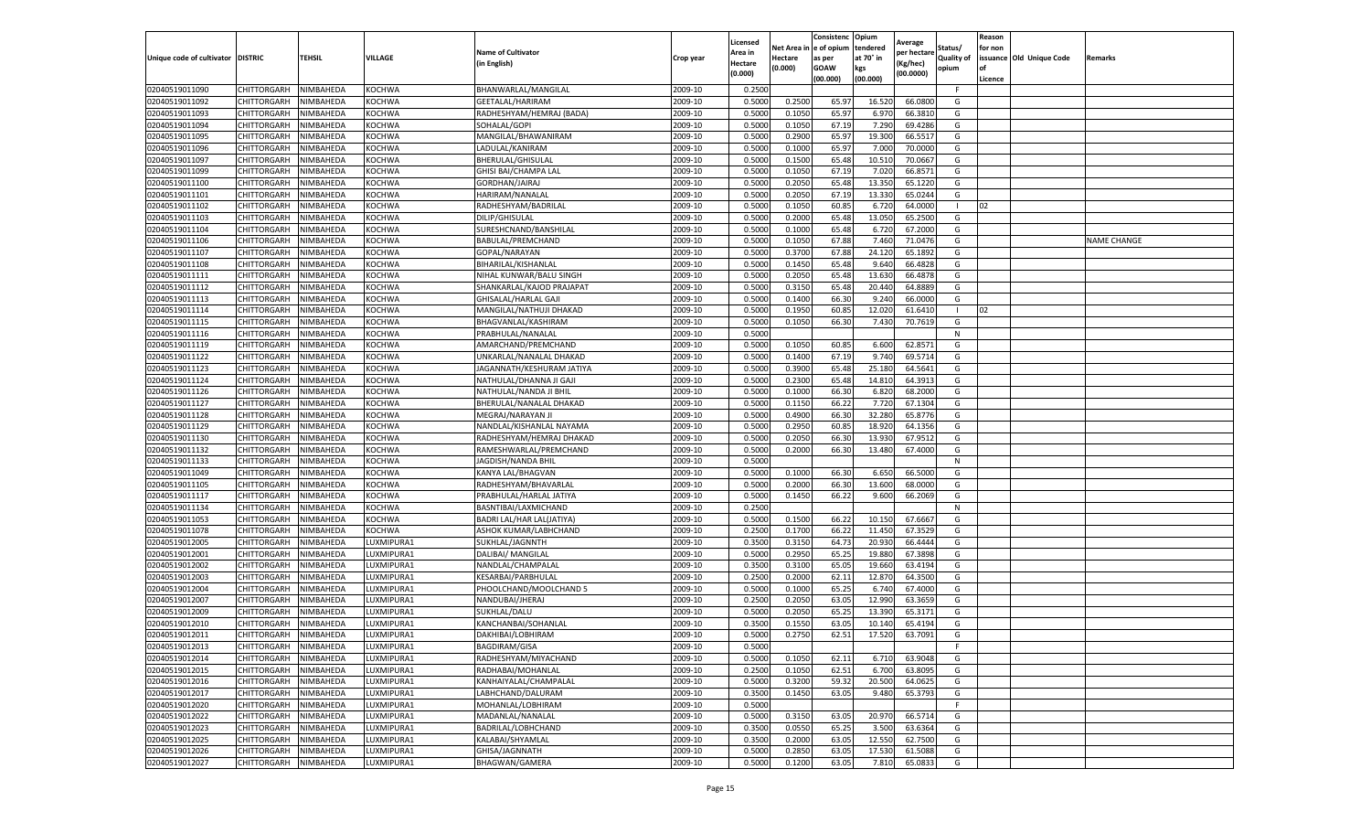|                                  |                            |                        |                         |                                         |                    | Licensed           | Net Area i | Consistenc<br>e of opium | Opium<br>tendered | Average               | Status/           | Reason<br>for non |                          |                    |
|----------------------------------|----------------------------|------------------------|-------------------------|-----------------------------------------|--------------------|--------------------|------------|--------------------------|-------------------|-----------------------|-------------------|-------------------|--------------------------|--------------------|
| Unique code of cultivator        | <b>DISTRIC</b>             | <b>TEHSIL</b>          | VILLAGE                 | <b>Name of Cultivator</b>               | Crop year          | \rea in            | Hectare    | as per                   | at 70° in         | per hectare           | <b>Quality of</b> |                   | issuance Old Unique Code | Remarks            |
|                                  |                            |                        |                         | (in English)                            |                    | Hectare<br>(0.000) | (0.000)    | <b>GOAW</b>              | kgs               | (Kg/hec)<br>(00.0000) | opium             | of                |                          |                    |
|                                  |                            |                        |                         |                                         |                    |                    |            | (00.000)                 | (00.000)          |                       | F.                | Licence           |                          |                    |
| 02040519011090<br>02040519011092 | CHITTORGARH<br>CHITTORGARH | NIMBAHEDA<br>NIMBAHEDA | KOCHWA<br><b>KOCHWA</b> | BHANWARLAL/MANGILAL<br>GEETALAL/HARIRAM | 2009-10<br>2009-10 | 0.2500<br>0.5000   | 0.2500     | 65.97                    | 16.520            | 66.0800               | G                 |                   |                          |                    |
| 02040519011093                   | CHITTORGARH                | NIMBAHEDA              | KOCHWA                  | RADHESHYAM/HEMRAJ (BADA)                | 2009-10            | 0.5000             | 0.1050     | 65.97                    | 6.970             | 66.3810               | G                 |                   |                          |                    |
| 02040519011094                   | CHITTORGARH                | NIMBAHEDA              | KOCHWA                  | SOHALAL/GOPI                            | 2009-10            | 0.5000             | 0.1050     | 67.19                    | 7.290             | 69.4286               | G                 |                   |                          |                    |
| 02040519011095                   | CHITTORGARH                | NIMBAHEDA              | <b>KOCHWA</b>           | MANGILAL/BHAWANIRAM                     | 2009-10            | 0.5000             | 0.2900     | 65.97                    | 19.300            | 66.5517               | G                 |                   |                          |                    |
| 02040519011096                   | CHITTORGARH                | NIMBAHEDA              | <b>KOCHWA</b>           | LADULAL/KANIRAM                         | 2009-10            | 0.5000             | 0.1000     | 65.97                    | 7.000             | 70.0000               | G                 |                   |                          |                    |
| 02040519011097                   | CHITTORGARH                | NIMBAHEDA              | KOCHWA                  | BHERULAL/GHISULAL                       | 2009-10            | 0.500              | 0.1500     | 65.48                    | 10.51             | 70.0667               | G                 |                   |                          |                    |
| 02040519011099                   | CHITTORGARH                | NIMBAHEDA              | KOCHWA                  | GHISI BAI/CHAMPA LAL                    | 2009-10            | 0.5000             | 0.1050     | 67.19                    | 7.020             | 66.8571               | G                 |                   |                          |                    |
| 02040519011100                   | CHITTORGARH                | NIMBAHEDA              | KOCHWA                  | GORDHAN/JAIRAJ                          | 2009-10            | 0.5000             | 0.2050     | 65.48                    | 13.350            | 65.1220               | G                 |                   |                          |                    |
| 02040519011101                   | CHITTORGARH                | NIMBAHEDA              | KOCHWA                  | HARIRAM/NANALAL                         | 2009-10            | 0.5000             | 0.2050     | 67.19                    | 13.330            | 65.0244               | G                 |                   |                          |                    |
| 02040519011102                   | CHITTORGARH                | NIMBAHEDA              | KOCHWA                  | RADHESHYAM/BADRILAL                     | 2009-10            | 0.5000             | 0.1050     | 60.85                    | 6.720             | 64.0000               |                   | 02                |                          |                    |
| 02040519011103                   | CHITTORGARH                | NIMBAHEDA              | <b>KOCHWA</b>           | DILIP/GHISULAL                          | 2009-10            | 0.5000             | 0.2000     | 65.48                    | 13.050            | 65.2500               | G                 |                   |                          |                    |
| 02040519011104                   | CHITTORGARH                | NIMBAHEDA              | KOCHWA                  | SURESHCNAND/BANSHILAL                   | 2009-10            | 0.5000             | 0.1000     | 65.48                    | 6.720             | 67.2000               | G                 |                   |                          |                    |
| 02040519011106                   | CHITTORGARH                | NIMBAHEDA              | KOCHWA                  | BABULAL/PREMCHAND                       | 2009-10            | 0.5000             | 0.1050     | 67.88                    | 7.460             | 71.0476               | G                 |                   |                          | <b>NAME CHANGE</b> |
| 02040519011107                   | CHITTORGARH                | NIMBAHEDA              | KOCHWA                  | GOPAL/NARAYAN                           | 2009-10            | 0.5000             | 0.3700     | 67.88                    | 24.12             | 65.1892               | G                 |                   |                          |                    |
| 02040519011108                   | CHITTORGARH                | NIMBAHEDA              | <b>KOCHWA</b>           | BIHARILAL/KISHANLAL                     | 2009-10            | 0.5000             | 0.1450     | 65.48                    | 9.640             | 66.4828               | G                 |                   |                          |                    |
| 02040519011111                   | CHITTORGARH                | NIMBAHEDA              | <b>KOCHWA</b>           | NIHAL KUNWAR/BALU SINGH                 | 2009-10            | 0.5000             | 0.2050     | 65.48                    | 13.630            | 66.4878               | G                 |                   |                          |                    |
| 02040519011112                   | CHITTORGARH                | NIMBAHEDA              | KOCHWA                  | SHANKARLAL/KAJOD PRAJAPAT               | 2009-10            | 0.5000             | 0.3150     | 65.48                    | 20.44             | 64.8889               | G                 |                   |                          |                    |
| 02040519011113                   | CHITTORGARH                | NIMBAHEDA              | KOCHWA                  | GHISALAL/HARLAL GAJI                    | 2009-10            | 0.5000             | 0.1400     | 66.30                    | 9.240             | 66.0000               | G                 |                   |                          |                    |
| 02040519011114                   | CHITTORGARH                | NIMBAHEDA              | KOCHWA                  | MANGILAL/NATHUJI DHAKAD                 | 2009-10            | 0.500              | 0.1950     | 60.8                     | 12.020            | 61.6410               | - 1               | 02                |                          |                    |
| 02040519011115                   | CHITTORGARH                | NIMBAHEDA              | KOCHWA                  | BHAGVANLAL/KASHIRAM                     | 2009-10            | 0.5000             | 0.1050     | 66.30                    | 7.430             | 70.7619               | G                 |                   |                          |                    |
| 02040519011116                   | CHITTORGARH                | NIMBAHEDA              | KOCHWA                  | PRABHULAL/NANALAL                       | 2009-10            | 0.5000             |            |                          |                   |                       | N                 |                   |                          |                    |
| 02040519011119                   | CHITTORGARH                | NIMBAHEDA              | KOCHWA                  | AMARCHAND/PREMCHAND                     | 2009-10            | 0.5000             | 0.1050     | 60.85                    | 6.600             | 62.8571               | G                 |                   |                          |                    |
| 02040519011122                   | CHITTORGARH                | NIMBAHEDA              | KOCHWA                  | UNKARLAL/NANALAL DHAKAD                 | 2009-10            | 0.5000             | 0.1400     | 67.19                    | 9.74              | 69.5714               | G                 |                   |                          |                    |
| 02040519011123                   | CHITTORGARH                | NIMBAHEDA              | KOCHWA                  | JAGANNATH/KESHURAM JATIYA               | 2009-10            | 0.5000             | 0.3900     | 65.48                    | 25.180            | 64.5641               | G                 |                   |                          |                    |
| 02040519011124                   | CHITTORGARH                | NIMBAHEDA              | KOCHWA                  | NATHULAL/DHANNA JI GAJI                 | 2009-10            | 0.500              | 0.2300     | 65.48                    | 14.810            | 64.3913               | G                 |                   |                          |                    |
| 02040519011126                   | CHITTORGARH                | NIMBAHEDA              | KOCHWA                  | NATHULAL/NANDA JI BHIL                  | 2009-10            | 0.500              | 0.1000     | 66.30                    | 6.820             | 68.2000               | G                 |                   |                          |                    |
| 02040519011127                   | CHITTORGARH                | NIMBAHEDA              | KOCHWA                  | BHERULAL/NANALAL DHAKAD                 | 2009-10            | 0.5000             | 0.1150     | 66.22                    | 7.720             | 67.1304               | G                 |                   |                          |                    |
| 02040519011128                   | CHITTORGARH                | NIMBAHEDA              | KOCHWA                  | MEGRAJ/NARAYAN JI                       | 2009-10            | 0.5000             | 0.4900     | 66.30                    | 32.280            | 65.8776               | G                 |                   |                          |                    |
| 02040519011129                   | CHITTORGARH                | NIMBAHEDA              | <b>KOCHWA</b>           | NANDLAL/KISHANLAL NAYAMA                | 2009-10            | 0.5000             | 0.2950     | 60.85                    | 18.920            | 64.1356               | G                 |                   |                          |                    |
| 02040519011130                   | CHITTORGARH                | NIMBAHEDA              | <b>KOCHWA</b>           | RADHESHYAM/HEMRAJ DHAKAD                | 2009-10            | 0.500              | 0.2050     | 66.30                    | 13.930            | 67.9512               | G                 |                   |                          |                    |
| 02040519011132                   | CHITTORGARH                | NIMBAHEDA              | KOCHWA                  | RAMESHWARLAL/PREMCHAND                  | 2009-10            | 0.500              | 0.2000     | 66.30                    | 13.480            | 67.4000               | G                 |                   |                          |                    |
| 02040519011133                   | CHITTORGARH                | NIMBAHEDA              | KOCHWA                  | JAGDISH/NANDA BHIL                      | 2009-10            | 0.5000             |            |                          |                   |                       | N                 |                   |                          |                    |
| 02040519011049                   | CHITTORGARH                | NIMBAHEDA              | <b>KOCHWA</b>           | KANYA LAL/BHAGVAN                       | 2009-10            | 0.5000             | 0.1000     | 66.30                    | 6.650             | 66.5000               | G                 |                   |                          |                    |
| 02040519011105                   | CHITTORGARH                | NIMBAHEDA              | KOCHWA                  | RADHESHYAM/BHAVARLAL                    | 2009-10            | 0.5000             | 0.2000     | 66.30                    | 13.600            | 68.0000               | G                 |                   |                          |                    |
| 02040519011117                   | CHITTORGARH                | NIMBAHEDA              | <b>KOCHWA</b>           | PRABHULAL/HARLAL JATIYA                 | 2009-10            | 0.5000             | 0.1450     | 66.22                    | 9.600             | 66.2069               | G                 |                   |                          |                    |
| 02040519011134                   | CHITTORGARH                | NIMBAHEDA              | KOCHWA                  | BASNTIBAI/LAXMICHAND                    | 2009-10            | 0.2500             |            |                          |                   |                       | N                 |                   |                          |                    |
| 02040519011053                   | CHITTORGARH                | NIMBAHEDA              | KOCHWA                  | BADRI LAL/HAR LAL(JATIYA)               | 2009-10            | 0.5000             | 0.1500     | 66.22                    | 10.150            | 67.6667               | G                 |                   |                          |                    |
| 02040519011078                   | CHITTORGARH                | NIMBAHEDA              | <b>KOCHWA</b>           | ASHOK KUMAR/LABHCHAND                   | 2009-10            | 0.2500             | 0.1700     | 66.22                    | 11.450            | 67.3529               | G                 |                   |                          |                    |
| 02040519012005                   | CHITTORGARH                | NIMBAHEDA              | LUXMIPURA1              | SUKHLAL/JAGNNTH                         | 2009-10            | 0.3500             | 0.3150     | 64.73                    | 20.930            | 66.4444               | G                 |                   |                          |                    |
| 02040519012001                   | CHITTORGARH                | NIMBAHEDA              | LUXMIPURA1              | DALIBAI/ MANGILAL                       | 2009-10            | 0.5000             | 0.2950     | 65.25                    | 19.880            | 67.3898               | G                 |                   |                          |                    |
| 02040519012002                   | CHITTORGARH                | NIMBAHEDA              | LUXMIPURA1              | NANDLAL/CHAMPALAL                       | 2009-10            | 0.3500             | 0.3100     | 65.05                    | 19.660            | 63.4194               | G                 |                   |                          |                    |
| 02040519012003                   | CHITTORGARH                | NIMBAHEDA              | LUXMIPURA1              | KESARBAI/PARBHULAL                      | 2009-10            | 0.2500             | 0.2000     | 62.11                    | 12.87             | 64.3500               | G                 |                   |                          |                    |
| 02040519012004                   | CHITTORGARH                | NIMBAHEDA              | LUXMIPURA1              | PHOOLCHAND/MOOLCHAND 5                  | 2009-10            | 0.5000             | 0.1000     | 65.25                    | 6.740             | 67.4000               | G                 |                   |                          |                    |
| 02040519012007                   | CHITTORGARH                | NIMBAHEDA              | LUXMIPURA1              | NANDUBAI/JHERAJ                         | 2009-10            | 0.2500             | 0.2050     | 63.05                    | 12.990            | 63.3659               | G                 |                   |                          |                    |
| 02040519012009                   | CHITTORGARH                | NIMBAHEDA              | LUXMIPURA1              | SUKHLAL/DALU                            | 2009-10            | 0.5000             | 0.2050     | 65.2                     | 13.390            | 65.3171               | G                 |                   |                          |                    |
| 02040519012010                   | CHITTORGARH                | NIMBAHEDA              | LUXMIPURA1              | KANCHANBAI/SOHANLAL                     | 2009-10            | 0.3500             | 0.1550     | 63.05                    | 10.140            | 65.4194               | G                 |                   |                          |                    |
| 02040519012011                   | CHITTORGARH                | NIMBAHEDA              | LUXMIPURA1              | DAKHIBAI/LOBHIRAM                       | 2009-10            | 0.5000             | 0.2750     | 62.51                    | 17.520            | 63.7091               | G                 |                   |                          |                    |
| 02040519012013                   | CHITTORGARH                | NIMBAHEDA              | LUXMIPURA1              | BAGDIRAM/GISA                           | 2009-10            | 0.5000             |            |                          |                   |                       | F.                |                   |                          |                    |
| 02040519012014                   | CHITTORGARH                | NIMBAHEDA              | LUXMIPURA1              | RADHESHYAM/MIYACHAND                    | 2009-10            | 0.5000             | 0.1050     | 62.11                    | 6.710             | 63.9048               | G                 |                   |                          |                    |
| 02040519012015                   | CHITTORGARH                | NIMBAHEDA              | LUXMIPURA1              | RADHABAI/MOHANLAL                       | 2009-10            | 0.2500             | 0.1050     | 62.51                    | 6.700             | 63.8095               | G                 |                   |                          |                    |
| 02040519012016                   | CHITTORGARH                | NIMBAHEDA              | LUXMIPURA1              | KANHAIYALAL/CHAMPALAL                   | 2009-10            | 0.5000             | 0.3200     | 59.32                    | 20.500            | 64.0625               | G                 |                   |                          |                    |
| 02040519012017                   | CHITTORGARH                | NIMBAHEDA              | LUXMIPURA1              | LABHCHAND/DALURAM                       | 2009-10            | 0.3500             | 0.1450     | 63.05                    | 9.480             | 65.3793               | G                 |                   |                          |                    |
| 02040519012020                   | CHITTORGARH                | NIMBAHEDA              | LUXMIPURA1              | MOHANLAL/LOBHIRAM                       | 2009-10            | 0.5000             |            |                          |                   |                       | F.                |                   |                          |                    |
| 02040519012022                   | CHITTORGARH                | NIMBAHEDA              | LUXMIPURA1              | MADANLAL/NANALAL                        | 2009-10            | 0.5000             | 0.3150     | 63.05                    | 20.970            | 66.5714               | G                 |                   |                          |                    |
| 02040519012023                   | CHITTORGARH                | NIMBAHEDA              | LUXMIPURA1              | BADRILAL/LOBHCHAND                      | 2009-10            | 0.3500             | 0.0550     | 65.25                    | 3.500             | 63.6364               | G                 |                   |                          |                    |
| 02040519012025                   | CHITTORGARH                | NIMBAHEDA              | LUXMIPURA1              | KALABAI/SHYAMLAL                        | 2009-10            | 0.3500             | 0.2000     | 63.05                    | 12.550            | 62.7500               | G                 |                   |                          |                    |
| 02040519012026                   | CHITTORGARH                | NIMBAHEDA              | LUXMIPURA1              | GHISA/JAGNNATH                          | 2009-10            | 0.5000             | 0.2850     | 63.05                    | 17.530            | 61.5088               | G                 |                   |                          |                    |
| 02040519012027                   | CHITTORGARH                | NIMBAHEDA              | LUXMIPURA1              | BHAGWAN/GAMERA                          | 2009-10            | 0.5000             | 0.1200     | 63.05                    | 7.810             | 65.0833               | G                 |                   |                          |                    |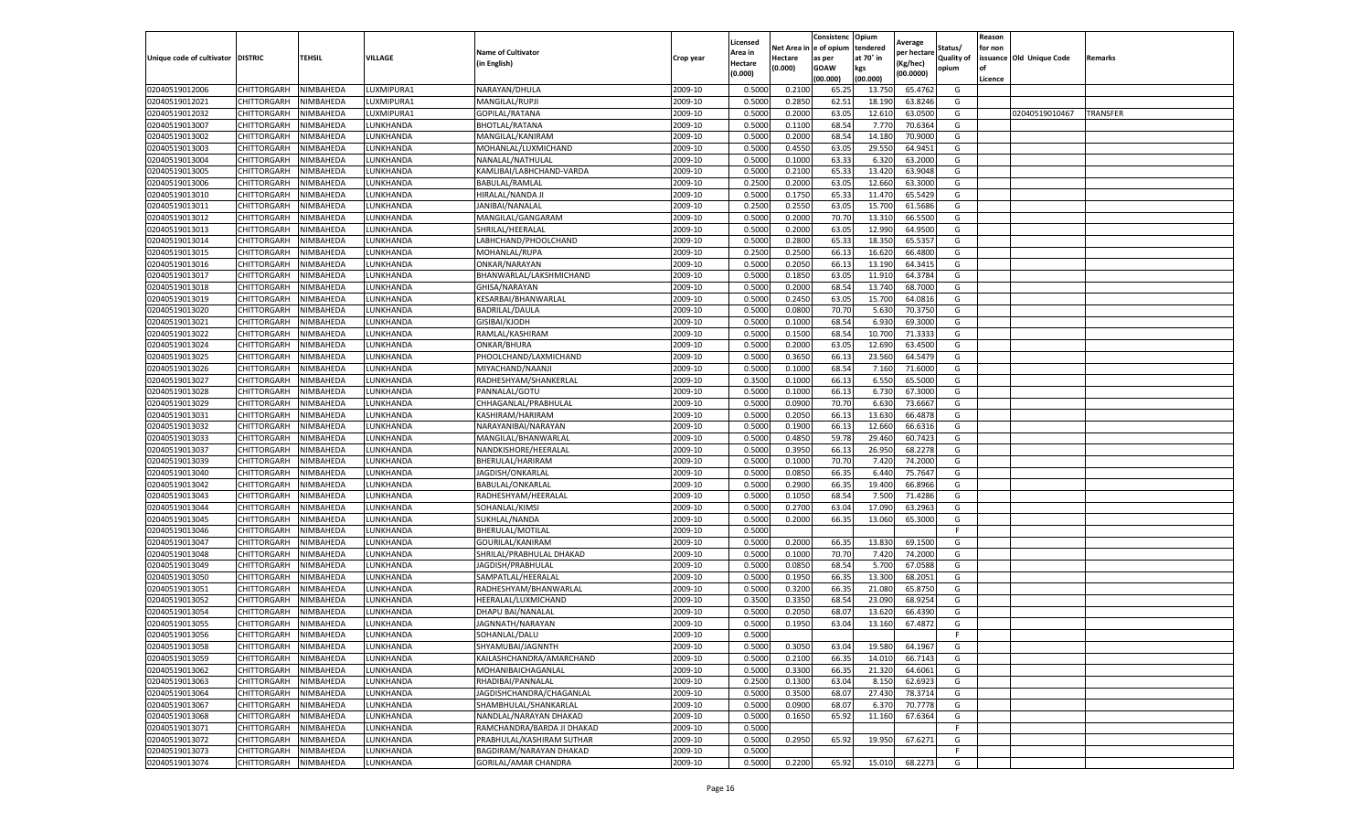|                           |                    |                  |            |                                          |           |                    |         | Consistenc             | Opium     |                       |            | Reason  |                          |          |
|---------------------------|--------------------|------------------|------------|------------------------------------------|-----------|--------------------|---------|------------------------|-----------|-----------------------|------------|---------|--------------------------|----------|
|                           |                    |                  |            |                                          |           | Licensed           |         | Net Area in e of opium | tendered  | Average               | Status/    | for non |                          |          |
| Unique code of cultivator | <b>DISTRIC</b>     | TEHSIL           | VILLAGE    | <b>Name of Cultivator</b><br>in English) | Crop year | Area in<br>Hectare | Hectare | as per                 | at 70° in | er hectar<br>(Kg/hec) | Quality of |         | issuance Old Unique Code | Remarks  |
|                           |                    |                  |            |                                          |           | (0.000)            | (0.000) | <b>GOAW</b>            | kgs       | (00.0000)             | opium      | Ωf      |                          |          |
|                           |                    |                  |            |                                          |           |                    |         | (00.000)               | (00.000)  |                       |            | Licence |                          |          |
| 02040519012006            | CHITTORGARH        | NIMBAHEDA        | LUXMIPURA1 | NARAYAN/DHULA                            | 2009-10   | 0.5000             | 0.2100  | 65.25                  | 13.75     | 65.4762               | G          |         |                          |          |
| 02040519012021            | CHITTORGARH        | NIMBAHEDA        | LUXMIPURA1 | MANGILAL/RUPJI                           | 2009-10   | 0.5000             | 0.2850  | 62.51                  | 18.19     | 63.8246               | G          |         |                          |          |
| 02040519012032            | CHITTORGARH        | NIMBAHEDA        | LUXMIPURA1 | GOPILAL/RATANA                           | 2009-10   | 0.5000             | 0.2000  | 63.05                  | 12.61     | 63.0500               | G          |         | 02040519010467           | TRANSFER |
| 02040519013007            | CHITTORGARH        | NIMBAHEDA        | LUNKHANDA  | <b>BHOTLAL/RATANA</b>                    | 2009-10   | 0.5000             | 0.1100  | 68.54                  | 7.77      | 70.6364               | G          |         |                          |          |
| 02040519013002            | CHITTORGARH        | NIMBAHEDA        | LUNKHANDA  | MANGILAL/KANIRAM                         | 2009-10   | 0.5000             | 0.2000  | 68.54                  | 14.18     | 70.9000               | G          |         |                          |          |
| 02040519013003            | CHITTORGARH        | NIMBAHEDA        | LUNKHANDA  | MOHANLAL/LUXMICHAND                      | 2009-10   | 0.5000             | 0.4550  | 63.05                  | 29.550    | 64.9451               | G          |         |                          |          |
| 02040519013004            | CHITTORGARH        | NIMBAHEDA        | UNKHANDA.  | NANALAL/NATHULAL                         | 2009-10   | 0.5000             | 0.1000  | 63.33                  | 6.32      | 63.2000               | G          |         |                          |          |
| 02040519013005            | CHITTORGARH        | NIMBAHEDA        | LUNKHANDA  | KAMLIBAI/LABHCHAND-VARDA                 | 2009-10   | 0.5000             | 0.2100  | 65.33                  | 13.420    | 63.9048               | G          |         |                          |          |
| 02040519013006            | CHITTORGARH        | NIMBAHEDA        | LUNKHANDA  | BABULAL/RAMLAL                           | 2009-10   | 0.2500             | 0.2000  | 63.05                  | 12.660    | 63.3000               | G          |         |                          |          |
| 02040519013010            | CHITTORGARH        | NIMBAHEDA        | UNKHANDA.  | HIRALAL/NANDA JI                         | 2009-10   | 0.5000             | 0.1750  | 65.33                  | 11.47     | 65.5429               | G          |         |                          |          |
| 02040519013011            | CHITTORGARH        | NIMBAHEDA        | LUNKHANDA  | JANIBAI/NANALAL                          | 2009-10   | 0.2500             | 0.2550  | 63.05                  | 15.700    | 61.5686               | G          |         |                          |          |
| 02040519013012            | CHITTORGARH        | NIMBAHEDA        | UNKHANDA   | MANGILAL/GANGARAM                        | 2009-10   | 0.5000             | 0.2000  | 70.70                  | 13.31     | 66.5500               | G          |         |                          |          |
| 02040519013013            | CHITTORGARH        | NIMBAHEDA        | LUNKHANDA  | SHRILAL/HEERALAL                         | 2009-10   | 0.5000             | 0.2000  | 63.05                  | 12.990    | 64.9500               | G          |         |                          |          |
| 02040519013014            | CHITTORGARH        | NIMBAHEDA        | LUNKHANDA  | LABHCHAND/PHOOLCHAND                     | 2009-10   | 0.5000             | 0.2800  | 65.33                  | 18.350    | 65.5357               | G          |         |                          |          |
| 02040519013015            | CHITTORGARH        | NIMBAHEDA        | LUNKHANDA  | MOHANLAL/RUPA                            | 2009-10   | 0.2500             | 0.2500  | 66.1                   | 16.62     | 66.4800               | G          |         |                          |          |
| 02040519013016            | CHITTORGARH        | NIMBAHEDA        | LUNKHANDA  | ONKAR/NARAYAN                            | 2009-10   | 0.5000             | 0.2050  | 66.13                  | 13.190    | 64.3415               | G          |         |                          |          |
| 02040519013017            | CHITTORGARH        | NIMBAHEDA        | LUNKHANDA  | BHANWARLAL/LAKSHMICHAND                  | 2009-10   | 0.5000             | 0.1850  | 63.05                  | 11.91     | 64.3784               | G          |         |                          |          |
| 02040519013018            | CHITTORGARH        | NIMBAHEDA        | UNKHANDA   | GHISA/NARAYAN                            | 2009-10   | 0.5000             | 0.2000  | 68.54                  | 13.74     | 68.7000               | G          |         |                          |          |
| 02040519013019            | CHITTORGARH        | NIMBAHEDA        | UNKHANDA.  | KESARBAI/BHANWARLAL                      | 2009-10   | 0.5000             | 0.2450  | 63.05                  | 15.700    | 64.0816               | G          |         |                          |          |
| 02040519013020            | CHITTORGARH        | NIMBAHEDA        | UNKHANDA.  | <b>BADRILAL/DAULA</b>                    | 2009-10   | 0.5000             | 0.0800  | 70.70                  | 5.630     | 70.3750               | G          |         |                          |          |
| 02040519013021            | CHITTORGARH        | NIMBAHEDA        | LUNKHANDA  | GISIBAI/KJODH                            | 2009-10   | 0.5000             | 0.1000  | 68.54                  | 6.93      | 69.3000               | G          |         |                          |          |
| 02040519013022            | CHITTORGARH        | NIMBAHEDA        | LUNKHANDA  | RAMLAL/KASHIRAM                          | 2009-10   | 0.5000             | 0.1500  | 68.54                  | 10.70     | 71.3333               | G          |         |                          |          |
| 02040519013024            | CHITTORGARH        | NIMBAHEDA        | LUNKHANDA  | ONKAR/BHURA                              | 2009-10   | 0.5000             | 0.2000  | 63.05                  | 12.690    | 63.4500               | G          |         |                          |          |
| 02040519013025            | CHITTORGARH        | NIMBAHEDA        | LUNKHANDA  | PHOOLCHAND/LAXMICHAND                    | 2009-10   | 0.5000             | 0.3650  | 66.1                   | 23.56     | 64.5479               | G          |         |                          |          |
| 02040519013026            | CHITTORGARH        | NIMBAHEDA        | UNKHANDA.  | MIYACHAND/NAANJI                         | 2009-10   | 0.5000             | 0.1000  | 68.54                  | 7.160     | 71.6000               | G          |         |                          |          |
| 02040519013027            | CHITTORGARH        | NIMBAHEDA        | UNKHANDA.  | RADHESHYAM/SHANKERLAL                    | 2009-10   | 0.3500             | 0.1000  | 66.13                  | 6.55      | 65.5000               | G          |         |                          |          |
| 02040519013028            | CHITTORGARH        | NIMBAHEDA        | UNKHANDA   | PANNALAL/GOTU                            | 2009-10   | 0.5000             | 0.1000  | 66.13                  | 6.73      | 67.3000               | G          |         |                          |          |
| 02040519013029            | CHITTORGARH        | NIMBAHEDA        | LUNKHANDA  | CHHAGANLAL/PRABHULAL                     | 2009-10   | 0.5000             | 0.0900  | 70.70                  | 6.630     | 73.6667               | G          |         |                          |          |
| 02040519013031            | CHITTORGARH        | NIMBAHEDA        | UNKHANDA.  | KASHIRAM/HARIRAM                         | 2009-10   | 0.5000             | 0.2050  | 66.13                  | 13.63     | 66.4878               | G          |         |                          |          |
| 02040519013032            | CHITTORGARH        | NIMBAHEDA        | LUNKHANDA  | NARAYANIBAI/NARAYAN                      | 2009-10   | 0.5000             | 0.1900  | 66.13                  | 12.660    | 66.6316               | G          |         |                          |          |
| 02040519013033            | CHITTORGARH        | NIMBAHEDA        | LUNKHANDA  | MANGILAL/BHANWARLAL                      | 2009-10   | 0.5000             | 0.4850  | 59.78                  | 29.460    | 60.7423               | G          |         |                          |          |
| 02040519013037            | CHITTORGARH        | NIMBAHEDA        | LUNKHANDA  | NANDKISHORE/HEERALAL                     | 2009-10   | 0.5000             | 0.3950  | 66.13                  | 26.95     | 68.2278               | G          |         |                          |          |
| 02040519013039            | CHITTORGARH        | NIMBAHEDA        | LUNKHANDA  | BHERULAL/HARIRAM                         | 2009-10   | 0.5000             | 0.1000  | 70.70                  | 7.420     | 74.2000               | G          |         |                          |          |
| 02040519013040            | CHITTORGARH        | NIMBAHEDA        | LUNKHANDA  | JAGDISH/ONKARLAI                         | 2009-10   | 0.5000             | 0.0850  | 66.35                  | 6.440     | 75.7647               | G          |         |                          |          |
| 02040519013042            | CHITTORGARH        | NIMBAHEDA        | LUNKHANDA  | BABULAL/ONKARLAL                         | 2009-10   | 0.5000             | 0.2900  | 66.35                  | 19.400    | 66.8966               | G          |         |                          |          |
| 02040519013043            | CHITTORGARH        | NIMBAHEDA        | LUNKHANDA  | RADHESHYAM/HEERALAL                      | 2009-10   | 0.5000             | 0.1050  | 68.54                  | 7.500     | 71.4286               | G          |         |                          |          |
| 02040519013044            | CHITTORGARH        | NIMBAHEDA        | UNKHANDA   | SOHANLAL/KIMSI                           | 2009-10   | 0.5000             | 0.2700  | 63.04                  | 17.09     | 63.2963               | G          |         |                          |          |
| 02040519013045            | CHITTORGARH        | NIMBAHEDA        | UNKHANDA.  | SUKHLAL/NANDA                            | 2009-10   | 0.5000             | 0.2000  | 66.35                  | 13.060    | 65.3000               | G          |         |                          |          |
| 02040519013046            | CHITTORGARH        | NIMBAHEDA        | LUNKHANDA  | BHERULAL/MOTILAL                         | 2009-10   | 0.5000             |         |                        |           |                       | F.         |         |                          |          |
| 02040519013047            | CHITTORGARH        | NIMBAHEDA        | LUNKHANDA  | GOURILAL/KANIRAM                         | 2009-10   | 0.5000             | 0.2000  | 66.3                   | 13.83     | 69.1500               | G          |         |                          |          |
| 02040519013048            | CHITTORGARH        | NIMBAHEDA        | LUNKHANDA  | SHRILAL/PRABHULAL DHAKAD                 | 2009-10   | 0.5000             | 0.1000  | 70.70                  | 7.420     | 74.2000               | G          |         |                          |          |
| 02040519013049            | CHITTORGARH        | NIMBAHEDA        | LUNKHANDA  | JAGDISH/PRABHULAL                        | 2009-10   | 0.5000             | 0.0850  | 68.54                  | 5.700     | 67.0588               | G          |         |                          |          |
| 02040519013050            | CHITTORGARH        | NIMBAHEDA        | UNKHANDA   | SAMPATLAL/HEERALAL                       | 2009-10   | 0.5000             | 0.1950  | 66.35                  | 13.300    | 68.2051               | G          |         |                          |          |
| 02040519013051            | CHITTORGARH        | NIMBAHEDA        | UNKHANDA.  | RADHESHYAM/BHANWARLAL                    | 2009-10   | 0.5000             | 0.3200  | 66.35                  | 21.080    | 65.8750               | G          |         |                          |          |
| 02040519013052            | CHITTORGARH        | NIMBAHEDA        | UNKHANDA.  | HEERALAL/LUXMICHAND                      | 2009-10   | 0.3500             | 0.3350  | 68.54                  | 23.09     | 68.9254               | G          |         |                          |          |
| 02040519013054            | CHITTORGARH        | NIMBAHEDA        | UNKHANDA.  | DHAPU BAI/NANALAI                        | 2009-10   | 0.5000             | 0.2050  | 68.07                  | 13.62     | 66.439                | G          |         |                          |          |
| 02040519013055            | CHITTORGARH        | NIMBAHEDA        | LUNKHANDA  | JAGNNATH/NARAYAN                         | 2009-10   | 0.5000             | 0.1950  | 63.04                  | 13.160    | 67.4872               | G          |         |                          |          |
| 02040519013056            | CHITTORGARH        | NIMBAHEDA        | LUNKHANDA  | SOHANLAL/DALU                            | 2009-10   | 0.5000             |         |                        |           |                       | F          |         |                          |          |
| 02040519013058            | <b>CHITTORGARH</b> | <b>NIMBAHEDA</b> | LUNKHANDA  | SHYAMUBAI/JAGNNTH                        | 2009-10   | 0.5000             | 0.3050  | 63.04                  | 19.580    | 64.1967               | G          |         |                          |          |
| 02040519013059            | CHITTORGARH        | NIMBAHEDA        | LUNKHANDA  | KAILASHCHANDRA/AMARCHAND                 | 2009-10   | 0.5000             | 0.2100  | 66.35                  | 14.010    | 66.7143               | G          |         |                          |          |
| 02040519013062            | CHITTORGARH        | NIMBAHEDA        | LUNKHANDA  | MOHANIBAICHAGANLAL                       | 2009-10   | 0.5000             | 0.3300  | 66.35                  | 21.320    | 64.6061               | G          |         |                          |          |
| 02040519013063            | CHITTORGARH        | NIMBAHEDA        | LUNKHANDA  | RHADIBAI/PANNALAL                        | 2009-10   | 0.2500             | 0.1300  | 63.04                  | 8.150     | 62.6923               | G          |         |                          |          |
| 02040519013064            | <b>CHITTORGARH</b> | NIMBAHEDA        | LUNKHANDA  | JAGDISHCHANDRA/CHAGANLAL                 | 2009-10   | 0.5000             | 0.3500  | 68.07                  | 27.430    | 78.3714               | G          |         |                          |          |
| 02040519013067            | <b>CHITTORGARH</b> | NIMBAHEDA        | LUNKHANDA  | SHAMBHULAL/SHANKARLAL                    | 2009-10   | 0.5000             | 0.0900  | 68.07                  | 6.37      | 70.7778               | G          |         |                          |          |
| 02040519013068            | CHITTORGARH        | NIMBAHEDA        | LUNKHANDA  | NANDLAL/NARAYAN DHAKAD                   | 2009-10   | 0.5000             | 0.1650  | 65.92                  | 11.160    | 67.6364               | G          |         |                          |          |
| 02040519013071            | CHITTORGARH        | NIMBAHEDA        | LUNKHANDA  | RAMCHANDRA/BARDA JI DHAKAD               | 2009-10   | 0.5000             |         |                        |           |                       | F.         |         |                          |          |
| 02040519013072            | <b>CHITTORGARH</b> | NIMBAHEDA        | LUNKHANDA  | PRABHULAL/KASHIRAM SUTHAR                | 2009-10   | 0.5000             | 0.2950  | 65.92                  | 19.950    | 67.6271               | G          |         |                          |          |
| 02040519013073            | <b>CHITTORGARH</b> | NIMBAHEDA        | LUNKHANDA  | BAGDIRAM/NARAYAN DHAKAD                  | 2009-10   | 0.5000             |         |                        |           |                       | F.         |         |                          |          |
| 02040519013074            | CHITTORGARH        | NIMBAHEDA        | LUNKHANDA  | <b>GORILAL/AMAR CHANDRA</b>              | 2009-10   | 0.5000             | 0.2200  | 65.92                  | 15.010    | 68.2273               | G          |         |                          |          |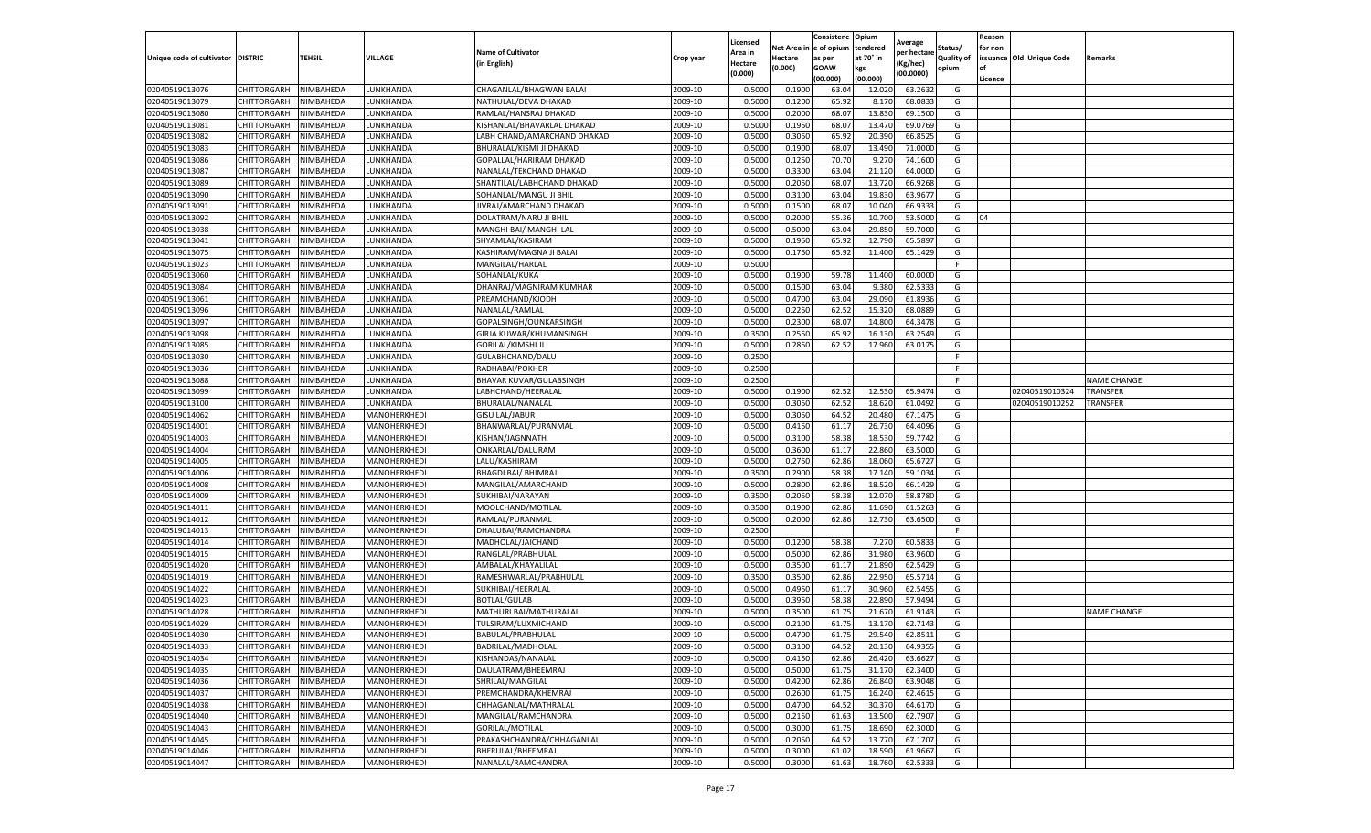|                                   |                            |           |                              |                                           |           | Licensed |         | Consistenc             | Opium     | Average     |            | Reason  |                          |                    |
|-----------------------------------|----------------------------|-----------|------------------------------|-------------------------------------------|-----------|----------|---------|------------------------|-----------|-------------|------------|---------|--------------------------|--------------------|
|                                   |                            |           |                              | <b>Name of Cultivator</b>                 |           | Area in  |         | Net Area in e of opium | tendered  | oer hectare | Status/    | for non |                          |                    |
| Unique code of cultivator DISTRIC |                            | TEHSIL    | VILLAGE                      | in English)                               | Crop year | Hectare  | Hectare | as per                 | at 70° in | (Kg/hec     | Quality of |         | issuance Old Unique Code | <b>Remarks</b>     |
|                                   |                            |           |                              |                                           |           | (0.000)  | (0.000) | <b>GOAW</b>            | kgs       | (00.0000)   | opium      |         |                          |                    |
|                                   |                            |           |                              |                                           |           |          |         | (00.000)               | (00.000)  |             |            | Licence |                          |                    |
| 02040519013076                    | <b>CHITTORGARH</b>         | NIMBAHEDA | LUNKHANDA                    | CHAGANLAL/BHAGWAN BALAI                   | 2009-10   | 0.5000   | 0.1900  | 63.04                  | 12.02     | 63.2632     | G          |         |                          |                    |
| 02040519013079                    | <b>CHITTORGARH</b>         | NIMBAHEDA | LUNKHANDA                    | NATHULAL/DEVA DHAKAD                      | 2009-10   | 0.5000   | 0.1200  | 65.92                  | 8.17      | 68.0833     | G          |         |                          |                    |
| 02040519013080                    | CHITTORGARH                | NIMBAHEDA | LUNKHANDA                    | RAMLAL/HANSRAJ DHAKAD                     | 2009-10   | 0.5000   | 0.2000  | 68.07                  | 13.83     | 69.1500     | G          |         |                          |                    |
| 02040519013081                    | CHITTORGARH                | NIMBAHEDA | LUNKHANDA                    | KISHANLAL/BHAVARLAL DHAKAD                | 2009-10   | 0.5000   | 0.1950  | 68.07                  | 13.470    | 69.0769     | G          |         |                          |                    |
| 02040519013082                    | CHITTORGARH                | NIMBAHEDA | LUNKHANDA                    | LABH CHAND/AMARCHAND DHAKAD               | 2009-10   | 0.5000   | 0.3050  | 65.92                  | 20.39     | 66.8525     | G          |         |                          |                    |
| 02040519013083                    | CHITTORGARH                | NIMBAHEDA | UNKHANDA                     | BHURALAL/KISMI JI DHAKAD                  | 2009-10   | 0.5000   | 0.1900  | 68.07                  | 13.49     | 71.0000     | G          |         |                          |                    |
| 02040519013086                    | CHITTORGARH                | NIMBAHEDA | LUNKHANDA                    | GOPALLAL/HARIRAM DHAKAD                   | 2009-10   | 0.5000   | 0.1250  | 70.70                  | 9.27      | 74.1600     | G          |         |                          |                    |
| 02040519013087                    | CHITTORGARH                | NIMBAHEDA | LUNKHANDA                    | NANALAL/TEKCHAND DHAKAD                   | 2009-10   | 0.5000   | 0.3300  | 63.04                  | 21.12     | 64.0000     | G          |         |                          |                    |
| 02040519013089                    | CHITTORGARH                | NIMBAHEDA | LUNKHANDA                    | SHANTILAL/LABHCHAND DHAKAD                | 2009-10   | 0.5000   | 0.2050  | 68.07                  | 13.72     | 66.9268     | G          |         |                          |                    |
| 02040519013090                    | CHITTORGARH                | NIMBAHEDA | LUNKHANDA                    | SOHANLAL/MANGU JI BHIL                    | 2009-10   | 0.5000   | 0.3100  | 63.04                  | 19.830    | 63.9677     | G          |         |                          |                    |
| 02040519013091                    | CHITTORGARH                | NIMBAHEDA | LUNKHANDA                    | JIVRAJ/AMARCHAND DHAKAD                   | 2009-10   | 0.5000   | 0.1500  | 68.07                  | 10.04     | 66.933      | G          |         |                          |                    |
| 02040519013092                    | CHITTORGARH                | NIMBAHEDA | LUNKHANDA                    | DOLATRAM/NARU JI BHIL                     | 2009-10   | 0.5000   | 0.2000  | 55.36                  | 10.70     | 53.5000     | G          | 04      |                          |                    |
| 02040519013038                    | CHITTORGARH                | NIMBAHEDA | LUNKHANDA                    | MANGHI BAI/ MANGHI LAL                    | 2009-10   | 0.5000   | 0.5000  | 63.04                  | 29.85     | 59.7000     | G          |         |                          |                    |
| 02040519013041                    | CHITTORGARH                | NIMBAHEDA | LUNKHANDA                    | SHYAMLAL/KASIRAM                          | 2009-10   | 0.5000   | 0.1950  | 65.92                  | 12.79     | 65.5897     | G          |         |                          |                    |
| 02040519013075                    | CHITTORGARH                | NIMBAHEDA | LUNKHANDA                    | KASHIRAM/MAGNA JI BALAI                   | 2009-10   | 0.5000   | 0.1750  | 65.92                  | 11.400    | 65.1429     | G          |         |                          |                    |
| 02040519013023                    | CHITTORGARH                | NIMBAHEDA | LUNKHANDA                    | MANGILAL/HARLAL                           | 2009-10   | 0.5000   |         |                        |           |             | F.         |         |                          |                    |
| 02040519013060                    | CHITTORGARH                | NIMBAHEDA | LUNKHANDA                    | SOHANLAL/KUKA                             | 2009-10   | 0.5000   | 0.1900  | 59.78                  | 11.400    | 60.0000     | G          |         |                          |                    |
| 02040519013084                    | CHITTORGARH                | NIMBAHEDA | LUNKHANDA                    | DHANRAJ/MAGNIRAM KUMHAR                   | 2009-10   | 0.5000   | 0.1500  | 63.04                  | 9.38      | 62.5333     | G          |         |                          |                    |
| 02040519013061                    | CHITTORGARH                | NIMBAHEDA | UNKHANDA.                    | PREAMCHAND/KJODH                          | 2009-10   | 0.5000   | 0.4700  | 63.04                  | 29.09     | 61.8936     | G          |         |                          |                    |
| 02040519013096                    | CHITTORGARH                | NIMBAHEDA | LUNKHANDA                    | NANALAL/RAMLAL                            | 2009-10   | 0.5000   | 0.2250  | 62.52                  | 15.32     | 68.0889     | G          |         |                          |                    |
| 02040519013097                    | CHITTORGARH                | NIMBAHEDA | LUNKHANDA                    | GOPALSINGH/OUNKARSINGH                    | 2009-10   | 0.5000   | 0.2300  | 68.07                  | 14.800    | 64.3478     | G          |         |                          |                    |
| 02040519013098                    | CHITTORGARH                | NIMBAHEDA | UNKHANDA.                    | GIRJA KUWAR/KHUMANSINGH                   | 2009-10   | 0.3500   | 0.2550  | 65.92                  | 16.13     | 63.2549     | G          |         |                          |                    |
| 02040519013085                    | CHITTORGARH                | NIMBAHEDA | LUNKHANDA                    | <b>GORILAL/KIMSHI JI</b>                  | 2009-10   | 0.5000   | 0.2850  | 62.52                  | 17.960    | 63.0175     | G          |         |                          |                    |
| 02040519013030                    | CHITTORGARH                | NIMBAHEDA | LUNKHANDA                    | GULABHCHAND/DALU                          | 2009-10   | 0.2500   |         |                        |           |             | F.         |         |                          |                    |
| 02040519013036                    | <b>CHITTORGARH</b>         | NIMBAHEDA | LUNKHANDA                    | RADHABAI/POKHER                           | 2009-10   | 0.2500   |         |                        |           |             | F          |         |                          |                    |
| 02040519013088                    | CHITTORGARH                | NIMBAHEDA | LUNKHANDA                    | BHAVAR KUVAR/GULABSINGH                   | 2009-10   | 0.2500   |         |                        |           |             | F          |         |                          | <b>NAME CHANGE</b> |
| 02040519013099                    | CHITTORGARH                | NIMBAHEDA | LUNKHANDA                    | LABHCHAND/HEERALAL                        | 2009-10   | 0.5000   | 0.1900  | 62.52                  | 12.530    | 65.9474     | G          |         | 02040519010324           | TRANSFER           |
| 02040519013100                    | CHITTORGARH                | NIMBAHEDA | LUNKHANDA                    | BHURALAL/NANALAL                          | 2009-10   | 0.5000   | 0.3050  | 62.52                  | 18.62     | 61.0492     | G          |         | 02040519010252           | TRANSFER           |
| 02040519014062                    | CHITTORGARH                | NIMBAHEDA | MANOHERKHEDI                 | <b>GISU LAL/JABUR</b>                     | 2009-10   | 0.5000   | 0.3050  | 64.52                  | 20.480    | 67.1475     | G          |         |                          |                    |
| 02040519014001                    | CHITTORGARH                | NIMBAHEDA | MANOHERKHEDI                 | BHANWARLAL/PURANMAL                       | 2009-10   | 0.5000   | 0.4150  | 61.17                  | 26.73     | 64.4096     | G          |         |                          |                    |
| 02040519014003                    | CHITTORGARH                | NIMBAHEDA | MANOHERKHEDI                 | KISHAN/JAGNNATH                           | 2009-10   | 0.5000   | 0.3100  | 58.38                  | 18.53     | 59.7742     | G          |         |                          |                    |
| 02040519014004                    | CHITTORGARH                | NIMBAHEDA | MANOHERKHEDI                 | ONKARLAL/DALURAM                          | 2009-10   | 0.5000   | 0.3600  | 61.17                  | 22.860    | 63.5000     | G          |         |                          |                    |
| 02040519014005                    |                            | NIMBAHEDA |                              |                                           | 2009-10   | 0.5000   | 0.2750  | 62.86                  | 18.06     | 65.672      |            |         |                          |                    |
|                                   | CHITTORGARH                | NIMBAHEDA | MANOHERKHEDI<br>MANOHERKHEDI | LALU/KASHIRAM                             | 2009-10   | 0.3500   | 0.2900  | 58.38                  | 17.14     | 59.1034     | G<br>G     |         |                          |                    |
| 02040519014006<br>02040519014008  | CHITTORGARH<br>CHITTORGARH | NIMBAHEDA | MANOHERKHEDI                 | BHAGDI BAI/ BHIMRAJ<br>MANGILAL/AMARCHAND | 2009-10   | 0.5000   | 0.2800  | 62.86                  | 18.52     | 66.1429     | G          |         |                          |                    |
|                                   |                            | NIMBAHEDA |                              | SUKHIBAI/NARAYAN                          |           |          |         |                        |           |             |            |         |                          |                    |
| 02040519014009                    | <b>CHITTORGARH</b>         |           | MANOHERKHEDI                 |                                           | 2009-10   | 0.3500   | 0.2050  | 58.38<br>62.86         | 12.07     | 58.8780     | G<br>G     |         |                          |                    |
| 02040519014011                    | CHITTORGARH                | NIMBAHEDA | MANOHERKHEDI                 | MOOLCHAND/MOTILAL                         | 2009-10   | 0.3500   | 0.1900  |                        | 11.69     | 61.5263     |            |         |                          |                    |
| 02040519014012                    | CHITTORGARH                | NIMBAHEDA | MANOHERKHEDI                 | RAMLAL/PURANMAL                           | 2009-10   | 0.5000   | 0.2000  | 62.86                  | 12.730    | 63.6500     | G<br>F.    |         |                          |                    |
| 02040519014013                    | CHITTORGARH                | NIMBAHEDA | MANOHERKHEDI                 | DHALUBAI/RAMCHANDRA                       | 2009-10   | 0.2500   |         |                        |           |             |            |         |                          |                    |
| 02040519014014                    | CHITTORGARH                | NIMBAHEDA | MANOHERKHEDI                 | MADHOLAL/JAICHAND                         | 2009-10   | 0.5000   | 0.1200  | 58.38                  | 7.27      | 60.583      | G          |         |                          |                    |
| 02040519014015                    | CHITTORGARH                | NIMBAHEDA | MANOHERKHEDI                 | RANGLAL/PRABHULAL                         | 2009-10   | 0.5000   | 0.5000  | 62.86                  | 31.980    | 63.9600     | G          |         |                          |                    |
| 02040519014020                    | CHITTORGARH                | NIMBAHEDA | MANOHERKHEDI                 | AMBALAL/KHAYALILAL                        | 2009-10   | 0.5000   | 0.3500  | 61.17                  | 21.890    | 62.5429     | G          |         |                          |                    |
| 02040519014019                    | CHITTORGARH                | NIMBAHEDA | MANOHERKHEDI                 | RAMESHWARLAL/PRABHULAL                    | 2009-10   | 0.3500   | 0.3500  | 62.86                  | 22.95     | 65.5714     | G          |         |                          |                    |
| 02040519014022                    | CHITTORGARH                | NIMBAHEDA | MANOHERKHEDI                 | SUKHIBAI/HEERALAL                         | 2009-10   | 0.5000   | 0.4950  | 61.17                  | 30.96     | 62.5455     | G          |         |                          |                    |
| 02040519014023                    | CHITTORGARH                | NIMBAHEDA | MANOHERKHEDI                 | <b>BOTLAL/GULAB</b>                       | 2009-10   | 0.5000   | 0.3950  | 58.38                  | 22.89     | 57.9494     | G          |         |                          |                    |
| 02040519014028                    | CHITTORGARH                | NIMBAHEDA | MANOHERKHEDI                 | MATHURI BAI/MATHURALAL                    | 2009-10   | 0.5000   | 0.3500  | 61.7                   | 21.67     | 61.9143     | G          |         |                          | <b>NAME CHANGE</b> |
| 02040519014029                    | CHITTORGARH                | NIMBAHEDA | MANOHERKHEDI                 | TULSIRAM/LUXMICHAND                       | 2009-10   | 0.5000   | 0.2100  | 61.75                  | 13.17     | 62.7143     | G          |         |                          |                    |
| 02040519014030                    | CHITTORGARH                | NIMBAHEDA | MANOHERKHEDI                 | BABULAL/PRABHULAL                         | 2009-10   | 0.5000   | 0.4700  | 61.75                  | 29.540    | 62.8511     | G          |         |                          |                    |
| 02040519014033                    | CHITTORGARH                | NIMBAHEDA | MANOHERKHEDI                 | BADRILAL/MADHOLAL                         | 2009-10   | 0.5000   | 0.3100  | 64.52                  | 20.130    | 64.9355     | G          |         |                          |                    |
| 02040519014034                    | CHITTORGARH                | NIMBAHEDA | MANOHERKHEDI                 | KISHANDAS/NANALAL                         | 2009-10   | 0.5000   | 0.4150  | 62.86                  | 26.420    | 63.6627     | G          |         |                          |                    |
| 02040519014035                    | <b>CHITTORGARH</b>         | NIMBAHEDA | MANOHERKHEDI                 | DAULATRAM/BHEEMRAJ                        | 2009-10   | 0.5000   | 0.5000  | 61.75                  | 31.170    | 62.3400     | G          |         |                          |                    |
| 02040519014036                    | CHITTORGARH                | NIMBAHEDA | MANOHERKHEDI                 | SHRILAL/MANGILAL                          | 2009-10   | 0.5000   | 0.4200  | 62.86                  | 26.840    | 63.9048     | G          |         |                          |                    |
| 02040519014037                    | <b>CHITTORGARH</b>         | NIMBAHEDA | MANOHERKHEDI                 | PREMCHANDRA/KHEMRAJ                       | 2009-10   | 0.5000   | 0.2600  | 61.75                  | 16.240    | 62.4615     | G          |         |                          |                    |
| 02040519014038                    | <b>CHITTORGARH</b>         | NIMBAHEDA | MANOHERKHEDI                 | CHHAGANLAL/MATHRALAL                      | 2009-10   | 0.5000   | 0.4700  | 64.52                  | 30.370    | 64.6170     | G          |         |                          |                    |
| 02040519014040                    | CHITTORGARH                | NIMBAHEDA | MANOHERKHEDI                 | MANGILAL/RAMCHANDRA                       | 2009-10   | 0.5000   | 0.2150  | 61.63                  | 13.500    | 62.7907     | G          |         |                          |                    |
| 02040519014043                    | CHITTORGARH                | NIMBAHEDA | MANOHERKHEDI                 | GORILAL/MOTILAL                           | 2009-10   | 0.5000   | 0.3000  | 61.75                  | 18.690    | 62.3000     | G          |         |                          |                    |
| 02040519014045                    | CHITTORGARH                | NIMBAHEDA | MANOHERKHEDI                 | PRAKASHCHANDRA/CHHAGANLAL                 | 2009-10   | 0.5000   | 0.2050  | 64.52                  | 13.770    | 67.1707     | G          |         |                          |                    |
| 02040519014046                    | CHITTORGARH                | NIMBAHEDA | MANOHERKHEDI                 | BHERULAL/BHEEMRAJ                         | 2009-10   | 0.5000   | 0.3000  | 61.02                  | 18.590    | 61.9667     | G          |         |                          |                    |
| 02040519014047                    | <b>CHITTORGARH</b>         | NIMBAHEDA | MANOHERKHEDI                 | NANALAL/RAMCHANDRA                        | 2009-10   | 0.5000   | 0.3000  | 61.63                  | 18.760    | 62.5333     | G          |         |                          |                    |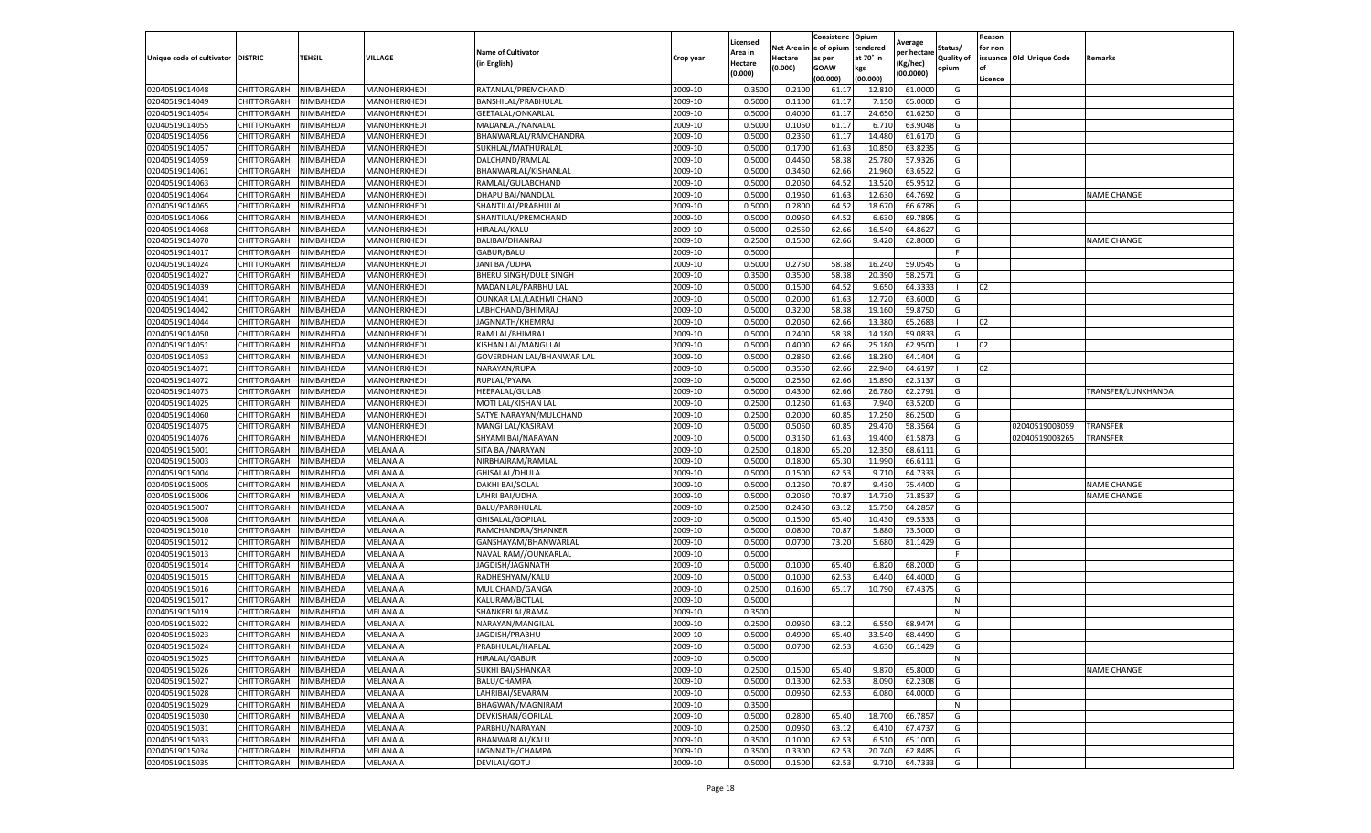|                                  |                            |                        |                      |                           |                    | Licensed         |         | Consistenc             | Opium         |                        |                   | Reason  |                          |                    |
|----------------------------------|----------------------------|------------------------|----------------------|---------------------------|--------------------|------------------|---------|------------------------|---------------|------------------------|-------------------|---------|--------------------------|--------------------|
|                                  |                            |                        |                      | <b>Name of Cultivator</b> |                    | Area in          |         | Net Area in e of opium | tendered      | Average<br>per hectare | Status/           | for non |                          |                    |
| Unique code of cultivator        | <b>DISTRIC</b>             | TEHSIL                 | VILLAGE              | in English)               | Crop year          | Hectare          | Hectare | as per                 | at 70° in     | (Kg/hec                | <b>Quality of</b> |         | issuance Old Unique Code | <b>Remarks</b>     |
|                                  |                            |                        |                      |                           |                    | (0.000)          | (0.000) | <b>GOAW</b>            | kgs           | (00.0000)              | opium             |         |                          |                    |
|                                  |                            |                        |                      |                           |                    |                  |         | (00.000)               | (00.000)      |                        |                   | Licence |                          |                    |
| 02040519014048                   | CHITTORGARH                | NIMBAHEDA              | MANOHERKHEDI         | RATANLAL/PREMCHAND        | 2009-10            | 0.3500           | 0.2100  | 61.1                   | 12.81         | 61.0000                | G                 |         |                          |                    |
| 02040519014049                   | CHITTORGARH                | NIMBAHEDA              | MANOHERKHEDI         | BANSHILAL/PRABHULAL       | 2009-10            | 0.5000           | 0.1100  | 61.17                  | 7.15          | 65.0000                | G                 |         |                          |                    |
| 02040519014054                   | CHITTORGARH                | NIMBAHEDA              | MANOHERKHEDI         | GEETALAL/ONKARLAL         | 2009-10            | 0.5000           | 0.4000  | 61.17                  | 24.65         | 61.6250                | G                 |         |                          |                    |
| 02040519014055                   | CHITTORGARH                | NIMBAHEDA              | MANOHERKHEDI         | MADANLAL/NANALAL          | 2009-10            | 0.5000           | 0.1050  | 61.17                  | 6.710         | 63.9048                | G                 |         |                          |                    |
| 02040519014056                   | CHITTORGARH                | NIMBAHEDA              | MANOHERKHEDI         | BHANWARLAL/RAMCHANDRA     | 2009-10            | 0.5000           | 0.2350  | 61.17                  | 14.48         | 61.6170                | G                 |         |                          |                    |
| 02040519014057                   | CHITTORGARH                | NIMBAHEDA              | MANOHERKHEDI         | SUKHLAL/MATHURALAI        | 2009-10            | 0.5000           | 0.1700  | 61.63                  | 10.85         | 63.8235                | G                 |         |                          |                    |
| 02040519014059                   | CHITTORGARH                | NIMBAHEDA              | MANOHERKHEDI         | DALCHAND/RAMLAL           | 2009-10            | 0.5000           | 0.4450  | 58.38                  | 25.780        | 57.9326                | G                 |         |                          |                    |
| 02040519014061                   | CHITTORGARH                | NIMBAHEDA              | MANOHERKHEDI         | BHANWARLAL/KISHANLAI      | 2009-10            | 0.5000           | 0.3450  | 62.66                  | 21.960        | 63.6522                | G                 |         |                          |                    |
| 02040519014063                   | CHITTORGARH                | NIMBAHEDA              | MANOHERKHEDI         | RAMLAL/GULABCHAND         | 2009-10            | 0.5000           | 0.2050  | 64.52                  | 13.52         | 65.9512                | G                 |         |                          |                    |
| 02040519014064                   | CHITTORGARH                | NIMBAHEDA              | MANOHERKHEDI         | DHAPU BAI/NANDLAL         | 2009-10            | 0.5000           | 0.1950  | 61.63                  | 12.630        | 64.7692                | G                 |         |                          | <b>NAME CHANGE</b> |
| 02040519014065                   | CHITTORGARH                | NIMBAHEDA              | MANOHERKHEDI         | SHANTILAL/PRABHULAL       | 2009-10            | 0.5000           | 0.2800  | 64.52                  | 18.67         | 66.6786                | G                 |         |                          |                    |
| 02040519014066                   | CHITTORGARH                | NIMBAHEDA              | MANOHERKHEDI         | SHANTILAL/PREMCHAND       | 2009-10            | 0.5000           | 0.0950  | 64.52                  | 6.63          | 69.7895                | G                 |         |                          |                    |
| 02040519014068                   | CHITTORGARH                | NIMBAHEDA              | MANOHERKHEDI         | HIRALAL/KALU              | 2009-10            | 0.5000           | 0.2550  | 62.66                  | 16.54         | 64.862                 | G                 |         |                          |                    |
| 02040519014070                   | CHITTORGARH                | NIMBAHEDA              | MANOHERKHEDI         | BALIBAI/DHANRAJ           | 2009-10            | 0.2500           | 0.1500  | 62.66                  | 9.420         | 62.8000                | G                 |         |                          | <b>NAME CHANGE</b> |
| 02040519014017                   | CHITTORGARH                | NIMBAHEDA              | MANOHERKHEDI         | GABUR/BALU                | 2009-10            | 0.5000           |         |                        |               |                        | F.                |         |                          |                    |
| 02040519014024                   | CHITTORGARH                | NIMBAHEDA              | MANOHERKHEDI         | <b>JANI BAI/UDHA</b>      | 2009-10            | 0.5000           | 0.2750  | 58.38                  | 16.24         | 59.0545                | G                 |         |                          |                    |
| 02040519014027                   | CHITTORGARH                | NIMBAHEDA              | MANOHERKHEDI         | BHERU SINGH/DULE SINGH    | 2009-10            | 0.3500           | 0.3500  | 58.38                  | 20.390        | 58.2571                | G                 |         |                          |                    |
| 02040519014039                   | CHITTORGARH                | NIMBAHEDA              | MANOHERKHEDI         | MADAN LAL/PARBHU LAL      | 2009-10            | 0.5000           | 0.1500  | 64.52                  | 9.65          | 64.3333                |                   | 02      |                          |                    |
| 02040519014041                   | CHITTORGARH                | NIMBAHEDA              | MANOHERKHEDI         | OUNKAR LAL/LAKHMI CHAND   | 2009-10            | 0.5000           | 0.2000  | 61.63                  | 12.72         | 63.6000                | G                 |         |                          |                    |
| 02040519014042                   | CHITTORGARH                | NIMBAHEDA              | MANOHERKHEDI         | LABHCHAND/BHIMRAJ         | 2009-10            | 0.5000           | 0.3200  | 58.38                  | 19.160        | 59.8750                | G                 |         |                          |                    |
| 02040519014044                   | CHITTORGARH                | NIMBAHEDA              | MANOHERKHEDI         | JAGNNATH/KHEMRAJ          | 2009-10            | 0.5000           | 0.2050  | 62.66                  | 13.380        | 65.2683                | $\mathbf{L}$      | 02      |                          |                    |
| 02040519014050                   | CHITTORGARH                | NIMBAHEDA              | MANOHERKHEDI         | RAM LAL/BHIMRAJ           | 2009-10            | 0.5000           | 0.2400  | 58.38                  | 14.18         | 59.0833                | G                 |         |                          |                    |
| 02040519014051                   | CHITTORGARH                | NIMBAHEDA              | MANOHERKHEDI         | KISHAN LAL/MANGI LAL      | 2009-10            | 0.5000           | 0.4000  | 62.66                  | 25.180        | 62.9500                | -1                | 02      |                          |                    |
| 02040519014053                   | CHITTORGARH                | NIMBAHEDA              | MANOHERKHEDI         | GOVERDHAN LAL/BHANWAR LAL | 2009-10            | 0.5000           | 0.2850  | 62.66                  | 18.28         | 64.1404                | G                 |         |                          |                    |
| 02040519014071                   | CHITTORGARH                | NIMBAHEDA              | MANOHERKHEDI         | NARAYAN/RUPA              | 2009-10            | 0.5000           | 0.3550  | 62.66                  | 22.94         | 64.6197                |                   | 02      |                          |                    |
| 02040519014072                   | CHITTORGARH                | NIMBAHEDA              | MANOHERKHEDI         | RUPLAL/PYARA              | 2009-10            | 0.5000           | 0.2550  | 62.66                  | 15.89         | 62.3137                | G                 |         |                          |                    |
| 02040519014073                   | CHITTORGARH                | NIMBAHEDA              | MANOHERKHEDI         | HEERALAL/GULAB            | 2009-10            | 0.5000           | 0.4300  | 62.66                  | 26.78         | 62.2791                | G                 |         |                          | TRANSFER/LUNKHANDA |
| 02040519014025                   | CHITTORGARH                | NIMBAHEDA              | MANOHERKHEDI         | MOTI LAL/KISHAN LAL       | 2009-10            | 0.2500           | 0.1250  | 61.63                  | 7.940         | 63.5200                | G                 |         |                          |                    |
| 02040519014060                   | CHITTORGARH                | NIMBAHEDA              | MANOHERKHEDI         | SATYE NARAYAN/MULCHAND    | 2009-10            | 0.2500           | 0.2000  | 60.85                  | 17.250        | 86.2500                | G                 |         |                          |                    |
| 02040519014075                   | CHITTORGARH                | NIMBAHEDA              | MANOHERKHEDI         | MANGI LAL/KASIRAM         | 2009-10            | 0.5000           | 0.5050  | 60.85                  | 29.47         | 58.3564                | G                 |         | 02040519003059           | TRANSFER           |
| 02040519014076                   | CHITTORGARH                | NIMBAHEDA              | MANOHERKHEDI         | SHYAMI BAI/NARAYAN        | 2009-10            | 0.5000           | 0.3150  | 61.63                  | 19.40         | 61.587                 | G                 |         | 02040519003265           | TRANSFER           |
| 02040519015001                   | CHITTORGARH                | NIMBAHEDA              | MELANA A             | SITA BAI/NARAYAN          | 2009-10            | 0.2500           | 0.1800  | 65.20                  | 12.350        | 68.6111                | G                 |         |                          |                    |
| 02040519015003                   |                            | NIMBAHEDA              | MELANA A             | NIRBHAIRAM/RAMLAL         | 2009-10            | 0.5000           | 0.1800  | 65.30                  | 11.990        | 66.6111                |                   |         |                          |                    |
|                                  | CHITTORGARH                |                        |                      |                           |                    |                  | 0.1500  | 62.53                  |               | 64.7333                | G                 |         |                          |                    |
| 02040519015004<br>02040519015005 | CHITTORGARH<br>CHITTORGARH | NIMBAHEDA<br>NIMBAHEDA | MELANA A<br>MELANA A | GHISALAL/DHULA            | 2009-10<br>2009-10 | 0.5000<br>0.5000 | 0.1250  | 70.87                  | 9.71<br>9.430 | 75.4400                | G                 |         |                          |                    |
|                                  |                            | NIMBAHEDA              |                      | DAKHI BAI/SOLAL           |                    |                  |         |                        |               |                        | G                 |         |                          | <b>NAME CHANGE</b> |
| 02040519015006                   | CHITTORGARH                |                        | MELANA A             | LAHRI BAI/UDHA            | 2009-10            | 0.5000           | 0.2050  | 70.87                  | 14.73         | 71.853                 | G<br>G            |         |                          | <b>NAME CHANGE</b> |
| 02040519015007                   | CHITTORGARH                | NIMBAHEDA              | MELANA A             | BALU/PARBHULAL            | 2009-10            | 0.2500           | 0.2450  | 63.12                  | 15.75         | 64.2857                |                   |         |                          |                    |
| 02040519015008                   | CHITTORGARH                | NIMBAHEDA              | MELANA A             | GHISALAL/GOPILAL          | 2009-10            | 0.5000           | 0.1500  | 65.40                  | 10.43         | 69.5333                | G                 |         |                          |                    |
| 02040519015010                   | CHITTORGARH                | NIMBAHEDA              | MELANA A             | RAMCHANDRA/SHANKER        | 2009-10            | 0.5000           | 0.0800  | 70.87                  | 5.88          | 73.5000                | G                 |         |                          |                    |
| 02040519015012                   | CHITTORGARH                | NIMBAHEDA              | MELANA A             | GANSHAYAM/BHANWARLAL      | 2009-10            | 0.5000           | 0.0700  | 73.20                  | 5.680         | 81.1429                | G                 |         |                          |                    |
| 02040519015013                   | CHITTORGARH                | NIMBAHEDA              | MELANA A             | NAVAL RAM//OUNKARLAL      | 2009-10            | 0.5000           |         |                        |               |                        | F                 |         |                          |                    |
| 02040519015014                   | CHITTORGARH                | NIMBAHEDA              | MELANA A             | JAGDISH/JAGNNATH          | 2009-10            | 0.5000           | 0.1000  | 65.40                  | 6.820         | 68.2000                | G                 |         |                          |                    |
| 02040519015015                   | CHITTORGARH                | NIMBAHEDA              | MELANA A             | RADHESHYAM/KALU           | 2009-10            | 0.5000           | 0.1000  | 62.53                  | 6.44          | 64.4000                | G                 |         |                          |                    |
| 02040519015016                   | CHITTORGARH                | NIMBAHEDA              | MELANA A             | MUL CHAND/GANGA           | 2009-10            | 0.2500           | 0.1600  | 65.17                  | 10.790        | 67.4375                | G                 |         |                          |                    |
| 02040519015017                   | CHITTORGARH                | NIMBAHEDA              | MELANA A             | KALURAM/BOTLAL            | 2009-10            | 0.5000           |         |                        |               |                        | N                 |         |                          |                    |
| 02040519015019                   | CHITTORGARH                | NIMBAHEDA              | MELANA A             | SHANKERLAL/RAMA           | 2009-10            | 0.3500           |         |                        |               |                        | N                 |         |                          |                    |
| 02040519015022                   | CHITTORGARH                | NIMBAHEDA              | MELANA A             | NARAYAN/MANGILAL          | 2009-10            | 0.2500           | 0.0950  | 63.12                  | 6.550         | 68.9474                | G                 |         |                          |                    |
| 02040519015023                   | CHITTORGARH                | NIMBAHEDA              | MELANA A             | JAGDISH/PRABHU            | 2009-10            | 0.5000           | 0.4900  | 65.40                  | 33.540        | 68.4490                | G                 |         |                          |                    |
| 02040519015024                   | CHITTORGARH                | NIMBAHEDA              | <b>MELANA A</b>      | PRABHULAL/HARLAL          | 2009-10            | 0.5000           | 0.0700  | 62.53                  | 4.630         | 66.1429                | G                 |         |                          |                    |
| 02040519015025                   | CHITTORGARH                | NIMBAHEDA              | MELANA A             | HIRALAL/GABUR             | 2009-10            | 0.5000           |         |                        |               |                        | N                 |         |                          |                    |
| 02040519015026                   | CHITTORGARH                | NIMBAHEDA              | MELANA A             | SUKHI BAI/SHANKAR         | 2009-10            | 0.2500           | 0.1500  | 65.40                  | 9.870         | 65.8000                | G                 |         |                          | <b>NAME CHANGE</b> |
| 02040519015027                   | CHITTORGARH                | NIMBAHEDA              | MELANA A             | BALU/CHAMPA               | 2009-10            | 0.5000           | 0.1300  | 62.53                  | 8.090         | 62.2308                | G                 |         |                          |                    |
| 02040519015028                   | <b>CHITTORGARH</b>         | NIMBAHEDA              | MELANA A             | LAHRIBAI/SEVARAM          | 2009-10            | 0.5000           | 0.0950  | 62.53                  | 6.080         | 64.0000                | G                 |         |                          |                    |
| 02040519015029                   | <b>CHITTORGARH</b>         | NIMBAHEDA              | <b>MELANA A</b>      | BHAGWAN/MAGNIRAM          | 2009-10            | 0.3500           |         |                        |               |                        | N                 |         |                          |                    |
| 02040519015030                   | CHITTORGARH                | NIMBAHEDA              | MELANA A             | DEVKISHAN/GORILAL         | 2009-10            | 0.5000           | 0.2800  | 65.40                  | 18.700        | 66.7857                | G                 |         |                          |                    |
| 02040519015031                   | CHITTORGARH                | NIMBAHEDA              | MELANA A             | PARBHU/NARAYAN            | 2009-10            | 0.2500           | 0.0950  | 63.12                  | 6.410         | 67.4737                | G                 |         |                          |                    |
| 02040519015033                   | CHITTORGARH                | NIMBAHEDA              | <b>MELANA A</b>      | BHANWARLAL/KALU           | 2009-10            | 0.3500           | 0.1000  | 62.53                  | 6.510         | 65.1000                | G                 |         |                          |                    |
| 02040519015034                   | CHITTORGARH                | NIMBAHEDA              | MELANA A             | JAGNNATH/CHAMPA           | 2009-10            | 0.3500           | 0.3300  | 62.53                  | 20.74         | 62.8485                | G                 |         |                          |                    |
| 02040519015035                   | <b>CHITTORGARH</b>         | NIMBAHEDA              | <b>MELANA A</b>      | DEVILAL/GOTU              | 2009-10            | 0.5000           | 0.1500  | 62.53                  | 9.710         | 64.7333                | G                 |         |                          |                    |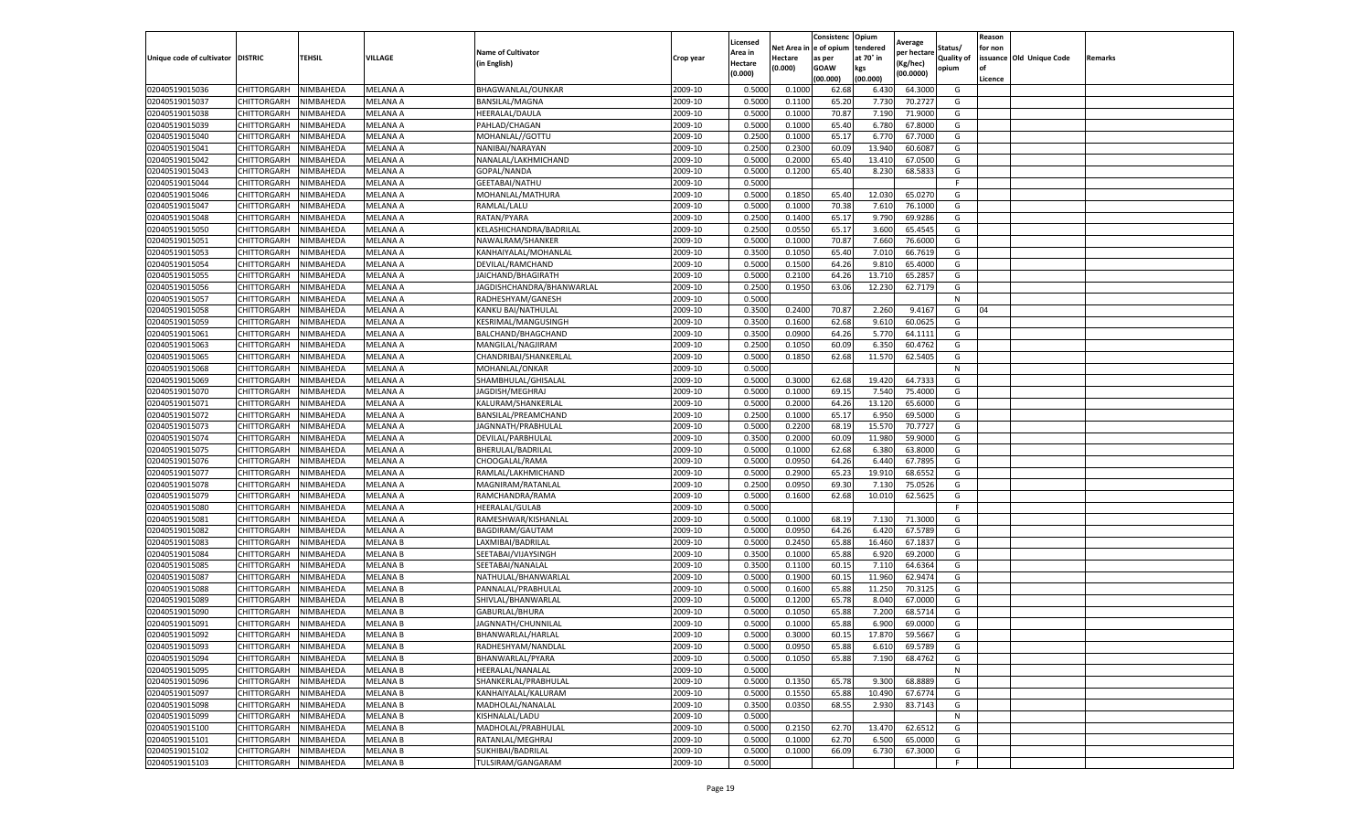|                                   |             |           |                 |                           |           | Licensed |            | Consistenc  | Opium     | Average     |                   | Reason  |                          |         |
|-----------------------------------|-------------|-----------|-----------------|---------------------------|-----------|----------|------------|-------------|-----------|-------------|-------------------|---------|--------------------------|---------|
|                                   |             |           |                 | <b>Name of Cultivator</b> |           | Area in  | Net Area i | e of opium  | tendered  | per hectare | Status/           | for non |                          |         |
| Unique code of cultivator DISTRIC |             | TEHSIL    | VILLAGE         | (in English)              | Crop year | Hectare  | Hectare    | as per      | at 70° in | (Kg/hec)    | <b>Quality of</b> |         | issuance Old Unique Code | Remarks |
|                                   |             |           |                 |                           |           | (0.000)  | (0.000)    | <b>GOAW</b> | kgs       | (00.0000)   | opium             | οf      |                          |         |
|                                   |             |           |                 |                           |           |          |            | (00.000     | (00.000)  |             |                   | Licence |                          |         |
| 02040519015036                    | CHITTORGARH | NIMBAHEDA | MELANA A        | BHAGWANLAL/OUNKAR         | 2009-10   | 0.5000   | 0.1000     | 62.68       | 6.430     | 64.3000     | G                 |         |                          |         |
| 02040519015037                    | CHITTORGARH | NIMBAHEDA | MELANA A        | BANSILAL/MAGNA            | 2009-10   | 0.500    | 0.1100     | 65.20       | 7.730     | 70.2727     | G                 |         |                          |         |
| 02040519015038                    | CHITTORGARH | NIMBAHEDA | MELANA A        | HEERALAL/DAULA            | 2009-10   | 0.5000   | 0.1000     | 70.87       | 7.190     | 71.9000     | G                 |         |                          |         |
| 02040519015039                    | CHITTORGARH | NIMBAHEDA | MELANA A        | PAHLAD/CHAGAN             | 2009-10   | 0.5000   | 0.1000     | 65.40       | 6.780     | 67.8000     | G                 |         |                          |         |
| 02040519015040                    | CHITTORGARH | NIMBAHEDA | MELANA A        | MOHANLAL//GOTTU           | 2009-10   | 0.2500   | 0.1000     | 65.17       | 6.770     | 67.7000     | G                 |         |                          |         |
| 02040519015041                    | CHITTORGARH | NIMBAHEDA | MELANA A        | NANIBAI/NARAYAN           | 2009-10   | 0.2500   | 0.2300     | 60.09       | 13.940    | 60.6087     | G                 |         |                          |         |
| 02040519015042                    | CHITTORGARH | NIMBAHEDA | MELANA A        | NANALAL/LAKHMICHAND       | 2009-10   | 0.5000   | 0.2000     | 65.40       | 13.410    | 67.0500     | G                 |         |                          |         |
| 02040519015043                    | CHITTORGARH | NIMBAHEDA | MELANA A        | GOPAL/NANDA               | 2009-10   | 0.500    | 0.1200     | 65.40       | 8.230     | 68.5833     | G                 |         |                          |         |
| 02040519015044                    | CHITTORGARH | NIMBAHEDA | MELANA A        | GEETABAI/NATHU            | 2009-10   | 0.5000   |            |             |           |             | F.                |         |                          |         |
| 02040519015046                    | CHITTORGARH | NIMBAHEDA | MELANA A        | MOHANLAL/MATHURA          | 2009-10   | 0.5000   | 0.1850     | 65.40       | 12.030    | 65.0270     | G                 |         |                          |         |
| 02040519015047                    | CHITTORGARH | NIMBAHEDA | MELANA A        | RAMLAL/LALU               | 2009-10   | 0.5000   | 0.1000     | 70.38       | 7.610     | 76.1000     | G                 |         |                          |         |
| 02040519015048                    | CHITTORGARH | NIMBAHEDA | MELANA A        | RATAN/PYARA               | 2009-10   | 0.2500   | 0.1400     | 65.1        | 9.790     | 69.9286     | G                 |         |                          |         |
| 02040519015050                    | CHITTORGARH | NIMBAHEDA | MELANA A        | KELASHICHANDRA/BADRILAL   | 2009-10   | 0.2500   | 0.0550     | 65.17       | 3.600     | 65.4545     | G                 |         |                          |         |
| 02040519015051                    | CHITTORGARH | NIMBAHEDA | MELANA A        | NAWALRAM/SHANKER          | 2009-10   | 0.500    | 0.1000     | 70.87       | 7.660     | 76.6000     | G                 |         |                          |         |
| 02040519015053                    | CHITTORGARH | NIMBAHEDA | MELANA A        | KANHAIYALAL/MOHANLAL      | 2009-10   | 0.3500   | 0.1050     | 65.40       | 7.010     | 66.7619     | G                 |         |                          |         |
| 02040519015054                    | CHITTORGARH | NIMBAHEDA | <b>MELANA A</b> | DEVILAL/RAMCHAND          | 2009-10   | 0.5000   | 0.1500     | 64.26       | 9.810     | 65.4000     | G                 |         |                          |         |
| 02040519015055                    | CHITTORGARH | NIMBAHEDA | MELANA A        | JAICHAND/BHAGIRATH        | 2009-10   | 0.5000   | 0.2100     | 64.26       | 13.71     | 65.2857     | G                 |         |                          |         |
| 02040519015056                    | CHITTORGARH | NIMBAHEDA | MELANA A        | JAGDISHCHANDRA/BHANWARLAL | 2009-10   | 0.2500   | 0.1950     | 63.06       | 12.230    | 62.7179     | G                 |         |                          |         |
| 02040519015057                    | CHITTORGARH | NIMBAHEDA | MELANA A        | RADHESHYAM/GANESH         | 2009-10   | 0.5000   |            |             |           |             | N                 |         |                          |         |
| 02040519015058                    | CHITTORGARH | NIMBAHEDA | MELANA A        | KANKU BAI/NATHULAL        | 2009-10   | 0.3500   | 0.2400     | 70.87       | 2.260     | 9.4167      | G                 | 04      |                          |         |
| 02040519015059                    | CHITTORGARH | NIMBAHEDA | MELANA A        | KESRIMAL/MANGUSINGH       | 2009-10   | 0.3500   | 0.1600     | 62.68       | 9.610     | 60.0625     | G                 |         |                          |         |
| 02040519015061                    | CHITTORGARH | NIMBAHEDA | MELANA A        | BALCHAND/BHAGCHAND        | 2009-10   | 0.3500   | 0.0900     | 64.26       | 5.770     | 64.1111     | G                 |         |                          |         |
| 02040519015063                    | CHITTORGARH | NIMBAHEDA | MELANA A        | MANGILAL/NAGJIRAM         | 2009-10   | 0.2500   | 0.1050     | 60.09       | 6.350     | 60.4762     | G                 |         |                          |         |
| 02040519015065                    | CHITTORGARH | NIMBAHEDA | MELANA A        | CHANDRIBAI/SHANKERLAL     | 2009-10   | 0.5000   | 0.1850     | 62.68       | 11.570    | 62.5405     | G                 |         |                          |         |
| 02040519015068                    | CHITTORGARH | NIMBAHEDA | MELANA A        | MOHANLAL/ONKAR            | 2009-10   | 0.5000   |            |             |           |             | N                 |         |                          |         |
| 02040519015069                    | CHITTORGARH | NIMBAHEDA | MELANA A        | SHAMBHULAL/GHISALAL       | 2009-10   | 0.5000   | 0.3000     | 62.68       | 19.420    | 64.7333     | G                 |         |                          |         |
| 02040519015070                    | CHITTORGARH | NIMBAHEDA | MELANA A        | JAGDISH/MEGHRAJ           | 2009-10   | 0.5000   | 0.1000     | 69.1        | 7.540     | 75.4000     | G                 |         |                          |         |
| 02040519015071                    | CHITTORGARH | NIMBAHEDA | MELANA A        | KALURAM/SHANKERLAL        | 2009-10   | 0.5000   | 0.2000     | 64.26       | 13.120    | 65.6000     | G                 |         |                          |         |
| 02040519015072                    | CHITTORGARH | NIMBAHEDA | MELANA A        | BANSILAL/PREAMCHAND       | 2009-10   | 0.2500   | 0.1000     | 65.17       | 6.950     | 69.5000     | G                 |         |                          |         |
| 02040519015073                    | CHITTORGARH | NIMBAHEDA | MELANA A        | JAGNNATH/PRABHULAL        | 2009-10   | 0.5000   | 0.2200     | 68.19       | 15.57     | 70.7727     | G                 |         |                          |         |
| 02040519015074                    | CHITTORGARH | NIMBAHEDA | MELANA A        | DEVILAL/PARBHULAL         | 2009-10   | 0.3500   | 0.2000     | 60.09       | 11.980    | 59.9000     | G                 |         |                          |         |
| 02040519015075                    | CHITTORGARH | NIMBAHEDA | MELANA A        | BHERULAL/BADRILAL         | 2009-10   | 0.5000   | 0.1000     | 62.68       | 6.380     | 63.8000     | G                 |         |                          |         |
| 02040519015076                    | CHITTORGARH | NIMBAHEDA | MELANA A        | CHOOGALAL/RAMA            | 2009-10   | 0.500    | 0.0950     | 64.26       | 6.440     | 67.7895     | G                 |         |                          |         |
| 02040519015077                    | CHITTORGARH | NIMBAHEDA | MELANA A        | RAMLAL/LAKHMICHAND        | 2009-10   | 0.5000   | 0.2900     | 65.23       | 19.910    | 68.6552     | G                 |         |                          |         |
| 02040519015078                    | CHITTORGARH | NIMBAHEDA | MELANA A        | MAGNIRAM/RATANLAL         | 2009-10   | 0.2500   | 0.0950     | 69.30       | 7.130     | 75.0526     | G                 |         |                          |         |
| 02040519015079                    | CHITTORGARH | NIMBAHEDA | MELANA A        | RAMCHANDRA/RAMA           | 2009-10   | 0.5000   | 0.1600     | 62.68       | 10.010    | 62.5625     | G                 |         |                          |         |
| 02040519015080                    | CHITTORGARH | NIMBAHEDA | MELANA A        | <b>HEERALAL/GULAB</b>     | 2009-10   | 0.5000   |            |             |           |             |                   |         |                          |         |
| 02040519015081                    | CHITTORGARH | NIMBAHEDA | MELANA A        | RAMESHWAR/KISHANLAL       | 2009-10   | 0.5000   | 0.1000     | 68.19       | 7.13      | 71.3000     | G                 |         |                          |         |
| 02040519015082                    | CHITTORGARH | NIMBAHEDA | MELANA A        | BAGDIRAM/GAUTAM           | 2009-10   | 0.5000   | 0.0950     | 64.26       | 6.420     | 67.5789     | G                 |         |                          |         |
| 02040519015083                    | CHITTORGARH | NIMBAHEDA | MELANA B        | LAXMIBAI/BADRILAL         | 2009-10   | 0.5000   | 0.2450     | 65.88       | 16.460    | 67.1837     | G                 |         |                          |         |
| 02040519015084                    | CHITTORGARH | NIMBAHEDA | MELANA B        | SEETABAI/VIJAYSINGH       | 2009-10   | 0.3500   | 0.1000     | 65.88       | 6.920     | 69.2000     | G                 |         |                          |         |
| 02040519015085                    | CHITTORGARH | NIMBAHEDA | MELANA B        | SEETABAI/NANALAL          | 2009-10   | 0.3500   | 0.1100     | 60.15       | 7.110     | 64.6364     | G                 |         |                          |         |
| 02040519015087                    | CHITTORGARH | NIMBAHEDA | <b>MELANA B</b> | NATHULAL/BHANWARLAL       | 2009-10   | 0.5000   | 0.1900     | 60.15       | 11.960    | 62.9474     | G                 |         |                          |         |
| 02040519015088                    | CHITTORGARH | NIMBAHEDA | <b>MELANA B</b> | PANNALAL/PRABHULAL        | 2009-10   | 0.5000   | 0.1600     | 65.88       | 11.250    | 70.3125     | G                 |         |                          |         |
| 02040519015089                    | CHITTORGARH | NIMBAHEDA | MELANA B        | SHIVLAL/BHANWARLAL        | 2009-10   | 0.5000   | 0.1200     | 65.78       | 8.040     | 67.0000     | G                 |         |                          |         |
| 02040519015090                    | CHITTORGARH | NIMBAHEDA | MELANA B        | GABURLAL/BHURA            | 2009-10   | 0.500    | 0.1050     | 65.88       | 7.200     | 68.5714     | G                 |         |                          |         |
| 02040519015091                    | CHITTORGARH | NIMBAHEDA | MELANA B        | JAGNNATH/CHUNNILAL        | 2009-10   | 0.5000   | 0.1000     | 65.88       | 6.900     | 69.0000     | G                 |         |                          |         |
| 02040519015092                    | CHITTORGARH | NIMBAHEDA | <b>MELANA B</b> | BHANWARLAL/HARLAI         | 2009-10   | 0.5000   | 0.3000     | 60.15       | 17.870    | 59.5667     | G                 |         |                          |         |
| 02040519015093                    | CHITTORGARH | NIMBAHEDA | <b>MELANA B</b> | RADHESHYAM/NANDLAL        | 2009-10   | 0.5000   | 0.0950     | 65.88       | 6.610     | 69.5789     | G                 |         |                          |         |
| 02040519015094                    | CHITTORGARH | NIMBAHEDA | <b>MELANA B</b> | BHANWARLAL/PYARA          | 2009-10   | 0.5000   | 0.1050     | 65.88       | 7.190     | 68.4762     | G                 |         |                          |         |
| 02040519015095                    | CHITTORGARH | NIMBAHEDA | MELANA B        | HEERALAL/NANALAL          | 2009-10   | 0.5000   |            |             |           |             | N                 |         |                          |         |
| 02040519015096                    | CHITTORGARH | NIMBAHEDA | <b>MELANA B</b> | SHANKERLAL/PRABHULAL      | 2009-10   | 0.5000   | 0.1350     | 65.78       | 9.300     | 68.8889     | G                 |         |                          |         |
| 02040519015097                    | CHITTORGARH | NIMBAHEDA | <b>MELANA B</b> | KANHAIYALAL/KALURAM       | 2009-10   | 0.5000   | 0.1550     | 65.88       | 10.490    | 67.6774     | G                 |         |                          |         |
| 02040519015098                    | CHITTORGARH | NIMBAHEDA | <b>MELANA B</b> | MADHOLAL/NANALAL          | 2009-10   | 0.3500   | 0.0350     | 68.55       | 2.930     | 83.7143     | G                 |         |                          |         |
| 02040519015099                    | CHITTORGARH | NIMBAHEDA | MELANA B        | KISHNALAL/LADU            | 2009-10   | 0.5000   |            |             |           |             | N                 |         |                          |         |
| 02040519015100                    | CHITTORGARH | NIMBAHEDA | MELANA B        | MADHOLAL/PRABHULAL        | 2009-10   | 0.5000   | 0.2150     | 62.70       | 13.470    | 62.6512     | G                 |         |                          |         |
| 02040519015101                    | CHITTORGARH | NIMBAHEDA | <b>MELANA B</b> | RATANLAL/MEGHRAJ          | 2009-10   | 0.5000   | 0.1000     | 62.70       | 6.500     | 65.0000     | G                 |         |                          |         |
| 02040519015102                    | CHITTORGARH | NIMBAHEDA | MELANA B        | SUKHIBAI/BADRILAL         | 2009-10   | 0.5000   | 0.1000     | 66.09       | 6.730     | 67.3000     | G                 |         |                          |         |
| 02040519015103                    | CHITTORGARH | NIMBAHEDA | <b>MELANA B</b> | TULSIRAM/GANGARAM         | 2009-10   | 0.5000   |            |             |           |             | F.                |         |                          |         |
|                                   |             |           |                 |                           |           |          |            |             |           |             |                   |         |                          |         |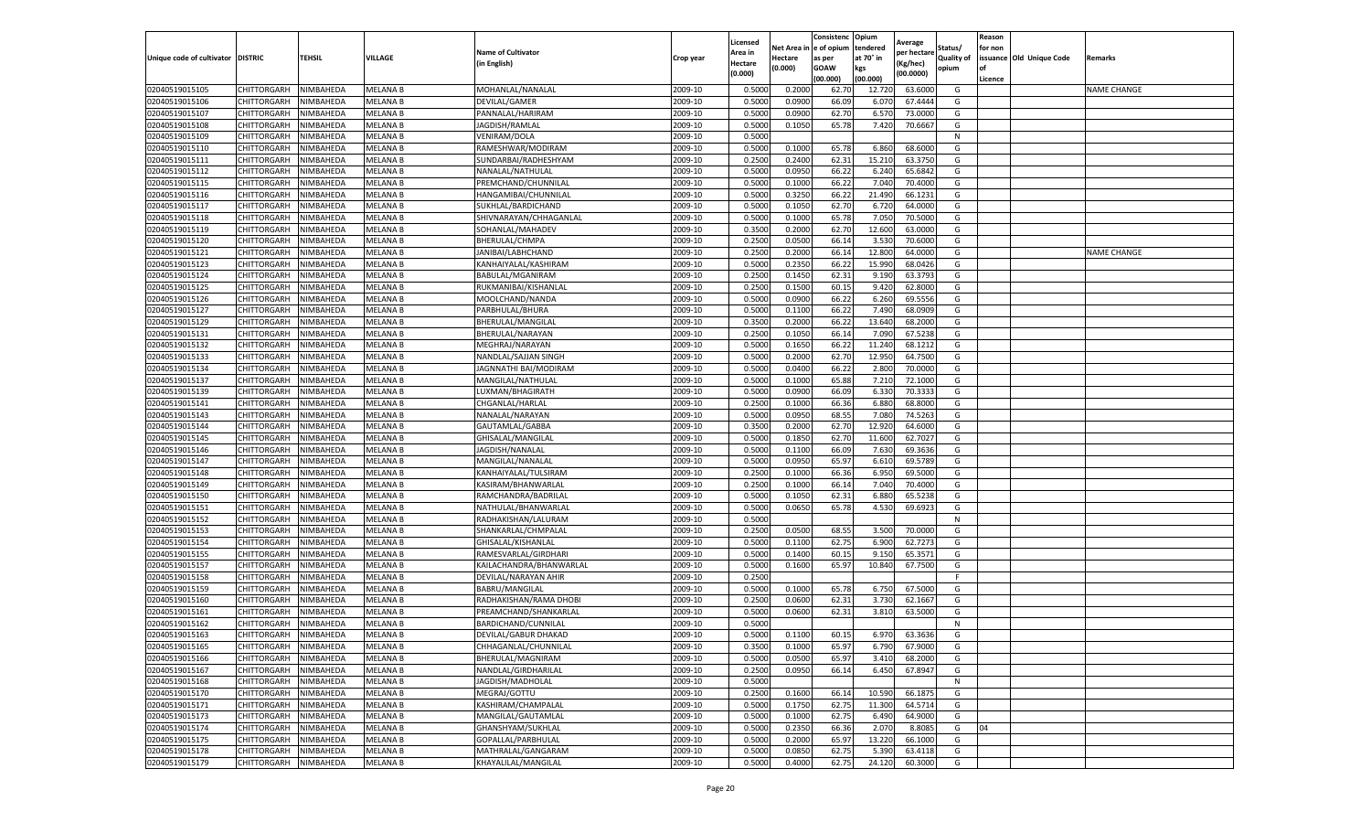|                                   |                    |           |                 |                           |           | Licensed |         | Consistenc             | Opium     | Average     |                   | Reason  |                          |                    |
|-----------------------------------|--------------------|-----------|-----------------|---------------------------|-----------|----------|---------|------------------------|-----------|-------------|-------------------|---------|--------------------------|--------------------|
|                                   |                    |           |                 | <b>Name of Cultivator</b> |           | Area in  |         | Net Area in e of opium | tendered  | per hectare | Status/           | for non |                          |                    |
| Unique code of cultivator DISTRIC |                    | TEHSIL    | VILLAGE         | in English)               | Crop year | Hectare  | Hectare | as per                 | at 70° in | (Kg/hec     | <b>Quality of</b> |         | issuance Old Unique Code | <b>Remarks</b>     |
|                                   |                    |           |                 |                           |           | (0.000)  | (0.000) | <b>GOAW</b>            | kgs       | (00.0000)   | opium             |         |                          |                    |
|                                   |                    |           |                 |                           |           |          |         | (00.000)               | (00.000)  |             |                   | Licence |                          |                    |
| 02040519015105                    | CHITTORGARH        | NIMBAHEDA | <b>MELANA B</b> | MOHANLAL/NANALAL          | 2009-10   | 0.5000   | 0.2000  | 62.70                  | 12.72     | 63.6000     | G                 |         |                          | <b>NAME CHANGE</b> |
| 02040519015106                    | CHITTORGARH        | NIMBAHEDA | <b>MELANA B</b> | DEVILAL/GAMER             | 2009-10   | 0.5000   | 0.0900  | 66.09                  | 6.07      | 67.4444     | G                 |         |                          |                    |
| 02040519015107                    | CHITTORGARH        | NIMBAHEDA | MELANA B        | PANNALAL/HARIRAM          | 2009-10   | 0.5000   | 0.0900  | 62.70                  | 6.57      | 73.0000     | G                 |         |                          |                    |
| 02040519015108                    | CHITTORGARH        | NIMBAHEDA | MELANA B        | JAGDISH/RAMLAL            | 2009-10   | 0.5000   | 0.1050  | 65.78                  | 7.420     | 70.6667     | G                 |         |                          |                    |
| 02040519015109                    | CHITTORGARH        | NIMBAHEDA | MELANA B        | VENIRAM/DOLA              | 2009-10   | 0.5000   |         |                        |           |             | N                 |         |                          |                    |
| 02040519015110                    | CHITTORGARH        | NIMBAHEDA | <b>MELANA B</b> | RAMESHWAR/MODIRAM         | 2009-10   | 0.5000   | 0.1000  | 65.78                  | 6.860     | 68.6000     | G                 |         |                          |                    |
| 02040519015111                    | CHITTORGARH        | NIMBAHEDA | <b>MELANA B</b> | SUNDARBAI/RADHESHYAM      | 2009-10   | 0.2500   | 0.2400  | 62.31                  | 15.210    | 63.3750     | G                 |         |                          |                    |
| 02040519015112                    | CHITTORGARH        | NIMBAHEDA | MELANA B        | NANALAL/NATHULAL          | 2009-10   | 0.5000   | 0.0950  | 66.22                  | 6.24      | 65.6842     | G                 |         |                          |                    |
| 02040519015115                    | CHITTORGARH        | NIMBAHEDA | <b>MELANA B</b> | PREMCHAND/CHUNNILAL       | 2009-10   | 0.5000   | 0.1000  | 66.22                  | 7.04      | 70.4000     | G                 |         |                          |                    |
| 02040519015116                    | CHITTORGARH        | NIMBAHEDA | <b>MELANA B</b> | HANGAMIBAI/CHUNNILAL      | 2009-10   | 0.5000   | 0.3250  | 66.22                  | 21.490    | 66.1231     | G                 |         |                          |                    |
| 02040519015117                    | CHITTORGARH        | NIMBAHEDA | MELANA B        | SUKHLAL/BARDICHAND        | 2009-10   | 0.5000   | 0.1050  | 62.70                  | 6.720     | 64.0000     | G                 |         |                          |                    |
| 02040519015118                    | CHITTORGARH        | NIMBAHEDA | MELANA B        | SHIVNARAYAN/CHHAGANLAL    | 2009-10   | 0.5000   | 0.1000  | 65.78                  | 7.05      | 70.5000     | G                 |         |                          |                    |
| 02040519015119                    | CHITTORGARH        | NIMBAHEDA | MELANA B        | SOHANLAL/MAHADEV          | 2009-10   | 0.3500   | 0.2000  | 62.70                  | 12.600    | 63.0000     | G                 |         |                          |                    |
| 02040519015120                    | CHITTORGARH        | NIMBAHEDA | MELANA B        | BHERULAL/CHMPA            | 2009-10   | 0.2500   | 0.0500  | 66.14                  | 3.530     | 70.6000     | G                 |         |                          |                    |
| 02040519015121                    | CHITTORGARH        | NIMBAHEDA | MELANA B        | JANIBAI/LABHCHAND         | 2009-10   | 0.2500   | 0.2000  | 66.14                  | 12.800    | 64.0000     | G                 |         |                          | <b>NAME CHANGE</b> |
| 02040519015123                    | CHITTORGARH        | NIMBAHEDA | <b>MELANA B</b> | KANHAIYALAL/KASHIRAM      | 2009-10   | 0.5000   | 0.2350  | 66.22                  | 15.990    | 68.0426     | G                 |         |                          |                    |
| 02040519015124                    | CHITTORGARH        | NIMBAHEDA | MELANA B        | BABULAL/MGANIRAM          | 2009-10   | 0.2500   | 0.1450  | 62.31                  | 9.190     | 63.3793     | G                 |         |                          |                    |
| 02040519015125                    | CHITTORGARH        | NIMBAHEDA | <b>MELANA B</b> | RUKMANIBAI/KISHANLAI      | 2009-10   | 0.2500   | 0.1500  | 60.15                  | 9.420     | 62.8000     | G                 |         |                          |                    |
| 02040519015126                    | CHITTORGARH        | NIMBAHEDA | MELANA B        | MOOLCHAND/NANDA           | 2009-10   | 0.5000   | 0.0900  | 66.22                  | 6.260     | 69.5556     | G                 |         |                          |                    |
| 02040519015127                    | CHITTORGARH        | NIMBAHEDA | MELANA B        | PARBHULAL/BHURA           | 2009-10   | 0.5000   | 0.1100  | 66.22                  | 7.490     | 68.0909     | G                 |         |                          |                    |
| 02040519015129                    | CHITTORGARH        | NIMBAHEDA | <b>MELANA B</b> | BHERULAL/MANGILAL         | 2009-10   | 0.3500   | 0.2000  | 66.22                  | 13.640    | 68.2000     | G                 |         |                          |                    |
| 02040519015131                    | CHITTORGARH        | NIMBAHEDA | MELANA B        | BHERULAL/NARAYAN          | 2009-10   | 0.2500   | 0.1050  | 66.14                  | 7.090     | 67.5238     | G                 |         |                          |                    |
| 02040519015132                    | CHITTORGARH        | NIMBAHEDA | MELANA B        | MEGHRAJ/NARAYAN           | 2009-10   | 0.5000   | 0.1650  | 66.22                  | 11.240    | 68.1212     | G                 |         |                          |                    |
| 02040519015133                    | CHITTORGARH        | NIMBAHEDA | MELANA B        | NANDLAL/SAJJAN SINGH      | 2009-10   | 0.5000   | 0.2000  | 62.70                  | 12.950    | 64.7500     | G                 |         |                          |                    |
| 02040519015134                    | CHITTORGARH        | NIMBAHEDA | MELANA B        | JAGNNATHI BAI/MODIRAM     | 2009-10   | 0.5000   | 0.0400  | 66.22                  | 2.800     | 70.0000     | G                 |         |                          |                    |
| 02040519015137                    | CHITTORGARH        | NIMBAHEDA | <b>MELANA B</b> | MANGILAL/NATHULAL         | 2009-10   | 0.5000   | 0.1000  | 65.88                  | 7.210     | 72.1000     | G                 |         |                          |                    |
| 02040519015139                    | CHITTORGARH        | NIMBAHEDA | MELANA B        | LUXMAN/BHAGIRATH          | 2009-10   | 0.5000   | 0.0900  | 66.09                  | 6.33      | 70.3333     | G                 |         |                          |                    |
| 02040519015141                    | CHITTORGARH        | NIMBAHEDA | MELANA B        | CHGANLAL/HARLAL           | 2009-10   | 0.2500   | 0.1000  | 66.36                  | 6.880     | 68.8000     | G                 |         |                          |                    |
| 02040519015143                    | CHITTORGARH        | NIMBAHEDA | MELANA B        | NANALAL/NARAYAN           | 2009-10   | 0.5000   | 0.0950  | 68.55                  | 7.080     | 74.5263     | G                 |         |                          |                    |
| 02040519015144                    | CHITTORGARH        | NIMBAHEDA | MELANA B        | GAUTAMLAL/GABBA           | 2009-10   | 0.3500   | 0.2000  | 62.70                  | 12.92     | 64.6000     | G                 |         |                          |                    |
| 02040519015145                    | CHITTORGARH        | NIMBAHEDA | MELANA B        | GHISALAL/MANGILAI         | 2009-10   | 0.5000   | 0.1850  | 62.70                  | 11.600    | 62.7027     | G                 |         |                          |                    |
| 02040519015146                    | CHITTORGARH        | NIMBAHEDA | MELANA B        | JAGDISH/NANALAL           | 2009-10   | 0.5000   | 0.1100  | 66.09                  | 7.630     | 69.3636     | G                 |         |                          |                    |
| 02040519015147                    | CHITTORGARH        | NIMBAHEDA | MELANA B        | MANGILAL/NANALAI          | 2009-10   | 0.5000   | 0.0950  | 65.97                  | 6.61      | 69.5789     | G                 |         |                          |                    |
| 02040519015148                    | CHITTORGARH        | NIMBAHEDA | MELANA B        | KANHAIYALAL/TULSIRAM      | 2009-10   | 0.2500   | 0.1000  | 66.36                  | 6.950     | 69.5000     | G                 |         |                          |                    |
| 02040519015149                    | CHITTORGARH        | NIMBAHEDA | MELANA B        | KASIRAM/BHANWARLAL        | 2009-10   | 0.2500   | 0.1000  | 66.14                  | 7.040     | 70.4000     | G                 |         |                          |                    |
| 02040519015150                    | CHITTORGARH        | NIMBAHEDA | MELANA B        | RAMCHANDRA/BADRILAL       | 2009-10   | 0.5000   | 0.1050  | 62.31                  | 6.88      | 65.5238     | G                 |         |                          |                    |
| 02040519015151                    | CHITTORGARH        | NIMBAHEDA | <b>MELANA B</b> | NATHULAL/BHANWARLAL       | 2009-10   | 0.5000   | 0.0650  | 65.78                  | 4.530     | 69.6923     | G                 |         |                          |                    |
| 02040519015152                    | CHITTORGARH        | NIMBAHEDA | MELANA B        | RADHAKISHAN/LALURAM       | 2009-10   | 0.5000   |         |                        |           |             | $\mathsf{N}$      |         |                          |                    |
| 02040519015153                    | CHITTORGARH        | NIMBAHEDA | MELANA B        | SHANKARLAL/CHMPALAI       | 2009-10   | 0.2500   | 0.0500  | 68.55                  | 3.500     | 70.0000     | G                 |         |                          |                    |
| 02040519015154                    | CHITTORGARH        | NIMBAHEDA | MELANA B        | GHISALAL/KISHANLAL        | 2009-10   | 0.5000   | 0.1100  | 62.75                  | 6.900     | 62.7273     | G                 |         |                          |                    |
| 02040519015155                    | CHITTORGARH        | NIMBAHEDA | MELANA B        | RAMESVARLAL/GIRDHARI      | 2009-10   | 0.5000   | 0.1400  | 60.15                  | 9.15      | 65.3571     | G                 |         |                          |                    |
| 02040519015157                    | CHITTORGARH        | NIMBAHEDA | MELANA B        | KAILACHANDRA/BHANWARLAL   | 2009-10   | 0.5000   | 0.1600  | 65.97                  | 10.84     | 67.7500     | G                 |         |                          |                    |
| 02040519015158                    | CHITTORGARH        | NIMBAHEDA | MELANA B        | DEVILAL/NARAYAN AHIR      | 2009-10   | 0.2500   |         |                        |           |             | F                 |         |                          |                    |
| 02040519015159                    | CHITTORGARH        | NIMBAHEDA | MELANA B        | BABRU/MANGILAL            | 2009-10   | 0.5000   | 0.1000  | 65.78                  | 6.750     | 67.5000     | G                 |         |                          |                    |
| 02040519015160                    | CHITTORGARH        | NIMBAHEDA | <b>MELANA B</b> | RADHAKISHAN/RAMA DHOBI    | 2009-10   | 0.2500   | 0.0600  | 62.31                  | 3.730     | 62.1667     | G                 |         |                          |                    |
| 02040519015161                    | CHITTORGARH        | NIMBAHEDA | MELANA B        | PREAMCHAND/SHANKARLAL     | 2009-10   | 0.5000   | 0.0600  | 62.31                  | 3.81      | 63.5000     | G                 |         |                          |                    |
| 02040519015162                    | CHITTORGARH        | NIMBAHEDA | <b>MELANA B</b> | BARDICHAND/CUNNILAL       | 2009-10   | 0.5000   |         |                        |           |             | N                 |         |                          |                    |
| 02040519015163                    | CHITTORGARH        | NIMBAHEDA | <b>MELANA B</b> | DEVILAL/GABUR DHAKAD      | 2009-10   | 0.5000   | 0.1100  | 60.15                  | 6.970     | 63.3636     | G                 |         |                          |                    |
| 02040519015165                    | CHITTORGARH        | NIMBAHEDA | <b>MELANA B</b> | CHHAGANLAL/CHUNNILAL      | 2009-10   | 0.3500   | 0.1000  | 65.97                  | 6.790     | 67.9000     | G                 |         |                          |                    |
| 02040519015166                    | CHITTORGARH        | NIMBAHEDA | <b>MELANA B</b> | BHERULAL/MAGNIRAM         | 2009-10   | 0.5000   | 0.0500  | 65.97                  | 3.410     | 68.2000     | G                 |         |                          |                    |
| 02040519015167                    | <b>CHITTORGARH</b> | NIMBAHEDA | MELANA B        | NANDLAL/GIRDHARILAL       | 2009-10   | 0.2500   | 0.0950  | 66.14                  | 6.450     | 67.8947     | G                 |         |                          |                    |
| 02040519015168                    | <b>CHITTORGARH</b> | NIMBAHEDA | MELANA B        | JAGDISH/MADHOLAL          | 2009-10   | 0.5000   |         |                        |           |             | N                 |         |                          |                    |
| 02040519015170                    | CHITTORGARH        | NIMBAHEDA | MELANA B        | MEGRAJ/GOTTU              | 2009-10   | 0.2500   | 0.1600  | 66.14                  | 10.590    | 66.1875     | G                 |         |                          |                    |
| 02040519015171                    | <b>CHITTORGARH</b> | NIMBAHEDA | <b>MELANA B</b> | KASHIRAM/CHAMPALAL        | 2009-10   | 0.5000   | 0.1750  | 62.75                  | 11.300    | 64.5714     | G                 |         |                          |                    |
| 02040519015173                    | CHITTORGARH        | NIMBAHEDA | <b>MELANA B</b> | MANGILAL/GAUTAMLAL        | 2009-10   | 0.5000   | 0.1000  | 62.75                  | 6.490     | 64.9000     | G                 |         |                          |                    |
| 02040519015174                    | CHITTORGARH        | NIMBAHEDA | <b>MELANA B</b> | GHANSHYAM/SUKHLAL         | 2009-10   | 0.5000   | 0.2350  | 66.36                  | 2.070     | 8.8085      | G                 | 04      |                          |                    |
| 02040519015175                    | CHITTORGARH        | NIMBAHEDA | MELANA B        | GOPALLAL/PARBHULAL        | 2009-10   | 0.5000   | 0.2000  | 65.97                  | 13.220    | 66.1000     | G                 |         |                          |                    |
| 02040519015178                    | CHITTORGARH        | NIMBAHEDA | MELANA B        | MATHRALAL/GANGARAM        | 2009-10   | 0.5000   | 0.0850  | 62.75                  | 5.390     | 63.4118     | G                 |         |                          |                    |
| 02040519015179                    | <b>CHITTORGARH</b> | NIMBAHEDA | MELANA B        | KHAYALILAL/MANGILAL       | 2009-10   | 0.5000   | 0.4000  | 62.75                  | 24.120    | 60.3000     | G                 |         |                          |                    |
|                                   |                    |           |                 |                           |           |          |         |                        |           |             |                   |         |                          |                    |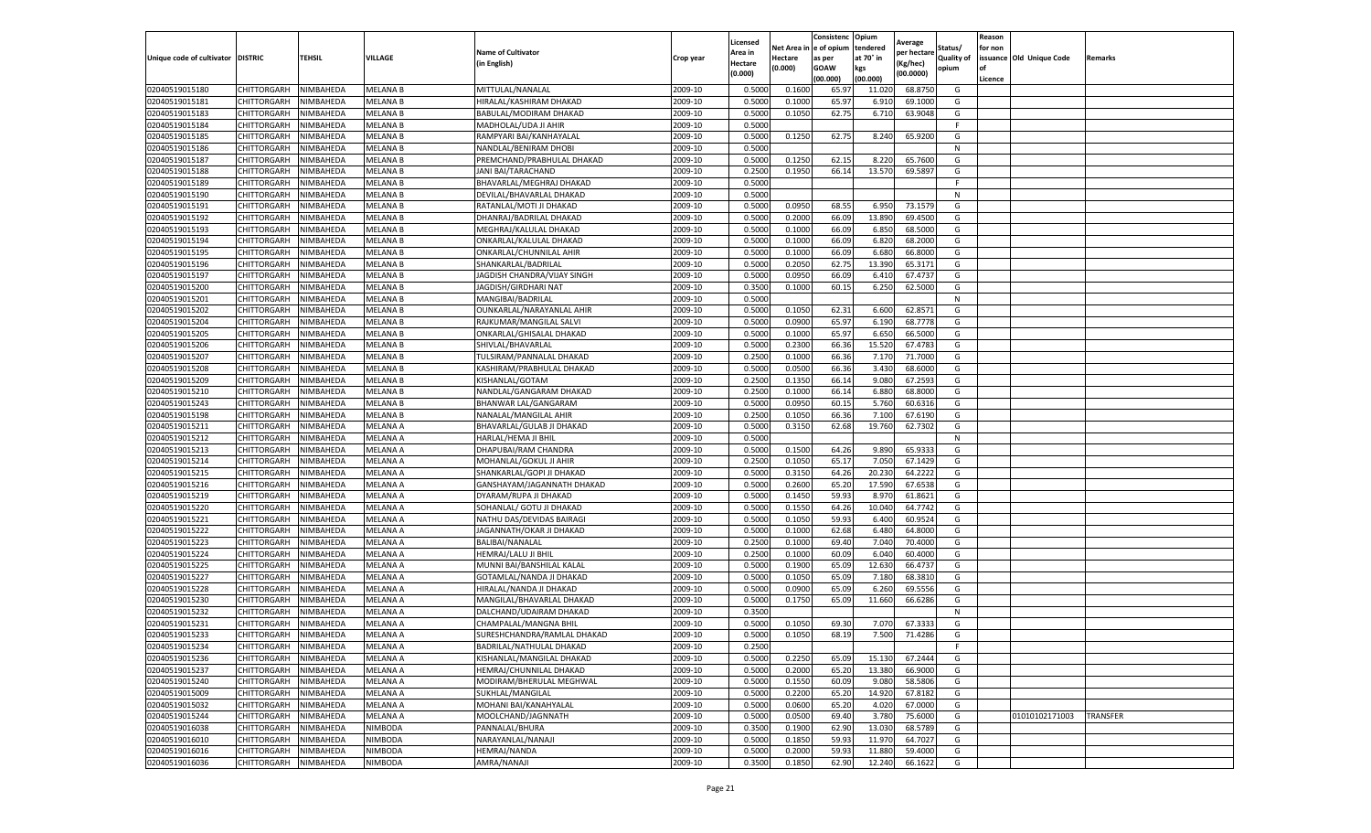|                                   |                    |           |                 |                             |           | Licensed |         | Consistenc             | Opium     | Average     |                   | Reason  |                          |                 |
|-----------------------------------|--------------------|-----------|-----------------|-----------------------------|-----------|----------|---------|------------------------|-----------|-------------|-------------------|---------|--------------------------|-----------------|
|                                   |                    |           |                 | <b>Name of Cultivator</b>   |           | Area in  |         | Net Area in e of opium | tendered  | per hectare | Status/           | for non |                          |                 |
| Unique code of cultivator DISTRIC |                    | TEHSIL    | VILLAGE         | in English)                 | Crop year | Hectare  | Hectare | as per                 | at 70° in | (Kg/hec     | <b>Quality of</b> |         | issuance Old Unique Code | <b>Remarks</b>  |
|                                   |                    |           |                 |                             |           | (0.000)  | (0.000) | <b>GOAW</b>            | kgs       | (00.0000)   | opium             |         |                          |                 |
|                                   |                    |           |                 |                             |           |          |         | (00.000)               | (00.000)  |             |                   | Licence |                          |                 |
| 02040519015180                    | CHITTORGARH        | NIMBAHEDA | <b>MELANA B</b> | MITTULAL/NANALAL            | 2009-10   | 0.5000   | 0.1600  | 65.97                  | 11.02     | 68.8750     | G                 |         |                          |                 |
| 02040519015181                    | CHITTORGARH        | NIMBAHEDA | <b>MELANA B</b> | HIRALAL/KASHIRAM DHAKAD     | 2009-10   | 0.5000   | 0.1000  | 65.97                  | 6.91      | 69.1000     | G                 |         |                          |                 |
| 02040519015183                    | CHITTORGARH        | NIMBAHEDA | <b>MELANA B</b> | BABULAL/MODIRAM DHAKAD      | 2009-10   | 0.5000   | 0.1050  | 62.75                  | 6.710     | 63.9048     | G                 |         |                          |                 |
| 02040519015184                    | CHITTORGARH        | NIMBAHEDA | <b>MELANA B</b> | MADHOLAL/UDA JI AHIR        | 2009-10   | 0.5000   |         |                        |           |             | F.                |         |                          |                 |
| 02040519015185                    | <b>CHITTORGARH</b> | NIMBAHEDA | MELANA B        | RAMPYARI BAI/KANHAYALAL     | 2009-10   | 0.5000   | 0.1250  | 62.75                  | 8.240     | 65.9200     | G                 |         |                          |                 |
| 02040519015186                    | CHITTORGARH        | NIMBAHEDA | <b>MELANA B</b> | NANDLAL/BENIRAM DHOBI       | 2009-10   | 0.5000   |         |                        |           |             | N                 |         |                          |                 |
| 02040519015187                    | CHITTORGARH        | NIMBAHEDA | <b>MELANA B</b> | PREMCHAND/PRABHULAL DHAKAD  | 2009-10   | 0.5000   | 0.1250  | 62.15                  | 8.220     | 65.7600     | G                 |         |                          |                 |
| 02040519015188                    | CHITTORGARH        | NIMBAHEDA | <b>MELANA B</b> | JANI BAI/TARACHAND          | 2009-10   | 0.2500   | 0.1950  | 66.14                  | 13.570    | 69.5897     | G                 |         |                          |                 |
| 02040519015189                    | CHITTORGARH        | NIMBAHEDA | MELANA B        | BHAVARLAL/MEGHRAJ DHAKAD    | 2009-10   | 0.5000   |         |                        |           |             | F                 |         |                          |                 |
| 02040519015190                    | CHITTORGARH        | NIMBAHEDA | <b>MELANA B</b> | DEVILAL/BHAVARLAL DHAKAD    | 2009-10   | 0.5000   |         |                        |           |             | N                 |         |                          |                 |
| 02040519015191                    | CHITTORGARH        | NIMBAHEDA | MELANA B        | RATANLAL/MOTI JI DHAKAD     | 2009-10   | 0.5000   | 0.0950  | 68.55                  | 6.950     | 73.1579     | G                 |         |                          |                 |
| 02040519015192                    | CHITTORGARH        | NIMBAHEDA | MELANA B        | DHANRAJ/BADRILAL DHAKAD     | 2009-10   | 0.5000   | 0.2000  | 66.09                  | 13.89     | 69.4500     | G                 |         |                          |                 |
| 02040519015193                    | CHITTORGARH        | NIMBAHEDA | <b>MELANA B</b> | MEGHRAJ/KALULAL DHAKAD      | 2009-10   | 0.5000   | 0.1000  | 66.09                  | 6.85      | 68.5000     | G                 |         |                          |                 |
| 02040519015194                    | CHITTORGARH        | NIMBAHEDA | MELANA B        | ONKARLAL/KALULAL DHAKAD     | 2009-10   | 0.5000   | 0.1000  | 66.09                  | 6.820     | 68.2000     | G                 |         |                          |                 |
| 02040519015195                    | CHITTORGARH        | NIMBAHEDA | MELANA B        | ONKARLAL/CHUNNILAL AHIR     | 2009-10   | 0.5000   | 0.1000  | 66.09                  | 6.680     | 66.8000     | G                 |         |                          |                 |
| 02040519015196                    | CHITTORGARH        | NIMBAHEDA | <b>MELANA B</b> | SHANKARLAL/BADRILAL         | 2009-10   | 0.5000   | 0.2050  | 62.75                  | 13.390    | 65.3171     | G                 |         |                          |                 |
| 02040519015197                    | CHITTORGARH        | NIMBAHEDA | <b>MELANA B</b> | JAGDISH CHANDRA/VIJAY SINGH | 2009-10   | 0.5000   | 0.0950  | 66.09                  | 6.410     | 67.4737     | G                 |         |                          |                 |
| 02040519015200                    | CHITTORGARH        | NIMBAHEDA | <b>MELANA B</b> | JAGDISH/GIRDHARI NAT        | 2009-10   | 0.3500   | 0.1000  | 60.15                  | 6.250     | 62.5000     | G                 |         |                          |                 |
| 02040519015201                    | CHITTORGARH        | NIMBAHEDA | MELANA B        | MANGIBAI/BADRILAL           | 2009-10   | 0.5000   |         |                        |           |             | N                 |         |                          |                 |
| 02040519015202                    | CHITTORGARH        | NIMBAHEDA | MELANA B        | OUNKARLAL/NARAYANLAL AHIR   | 2009-10   | 0.5000   | 0.1050  | 62.31                  | 6.600     | 62.8571     | G                 |         |                          |                 |
| 02040519015204                    | CHITTORGARH        | NIMBAHEDA | <b>MELANA B</b> | RAJKUMAR/MANGILAL SALVI     | 2009-10   | 0.5000   | 0.0900  | 65.97                  | 6.190     | 68.7778     | G                 |         |                          |                 |
| 02040519015205                    | CHITTORGARH        | NIMBAHEDA | MELANA B        | ONKARLAL/GHISALAL DHAKAD    | 2009-10   | 0.5000   | 0.1000  | 65.97                  | 6.650     | 66.5000     | G                 |         |                          |                 |
| 02040519015206                    | CHITTORGARH        | NIMBAHEDA | <b>MELANA B</b> | SHIVLAL/BHAVARLAL           | 2009-10   | 0.5000   | 0.2300  | 66.36                  | 15.520    | 67.4783     | G                 |         |                          |                 |
| 02040519015207                    | CHITTORGARH        | NIMBAHEDA | MELANA B        | TULSIRAM/PANNALAL DHAKAD    | 2009-10   | 0.2500   | 0.1000  | 66.36                  | 7.17      | 71.7000     | G                 |         |                          |                 |
| 02040519015208                    | CHITTORGARH        | NIMBAHEDA | MELANA B        | KASHIRAM/PRABHULAL DHAKAD   | 2009-10   | 0.5000   | 0.0500  | 66.36                  | 3.430     | 68.6000     | G                 |         |                          |                 |
| 02040519015209                    | CHITTORGARH        | NIMBAHEDA | <b>MELANA B</b> | KISHANLAL/GOTAM             | 2009-10   | 0.2500   | 0.1350  | 66.14                  | 9.080     | 67.2593     | G                 |         |                          |                 |
| 02040519015210                    | CHITTORGARH        | NIMBAHEDA | MELANA B        | NANDLAL/GANGARAM DHAKAD     | 2009-10   | 0.2500   | 0.1000  | 66.14                  | 6.88      | 68.8000     | G                 |         |                          |                 |
| 02040519015243                    | CHITTORGARH        | NIMBAHEDA | MELANA B        | BHANWAR LAL/GANGARAM        | 2009-10   | 0.5000   | 0.0950  | 60.15                  | 5.760     | 60.6316     | G                 |         |                          |                 |
| 02040519015198                    | CHITTORGARH        | NIMBAHEDA | <b>MELANA B</b> | NANALAL/MANGILAL AHIR       | 2009-10   | 0.2500   | 0.1050  | 66.36                  | 7.100     | 67.6190     | G                 |         |                          |                 |
| 02040519015211                    | CHITTORGARH        | NIMBAHEDA | MELANA A        | BHAVARLAL/GULAB JI DHAKAD   | 2009-10   | 0.5000   | 0.3150  | 62.68                  | 19.760    | 62.7302     | G                 |         |                          |                 |
| 02040519015212                    | CHITTORGARH        | NIMBAHEDA | MELANA A        | HARLAL/HEMA JI BHII         | 2009-10   | 0.5000   |         |                        |           |             | N                 |         |                          |                 |
| 02040519015213                    | CHITTORGARH        | NIMBAHEDA | MELANA A        | DHAPUBAI/RAM CHANDRA        | 2009-10   | 0.5000   | 0.1500  | 64.26                  | 9.890     | 65.9333     | G                 |         |                          |                 |
| 02040519015214                    | CHITTORGARH        | NIMBAHEDA | MELANA A        | MOHANLAL/GOKUL JI AHIR      | 2009-10   | 0.2500   | 0.1050  | 65.17                  | 7.050     | 67.1429     | G                 |         |                          |                 |
| 02040519015215                    | CHITTORGARH        | NIMBAHEDA | MELANA A        | SHANKARLAL/GOPI JI DHAKAD   | 2009-10   | 0.5000   | 0.3150  | 64.26                  | 20.23     | 64.2222     | G                 |         |                          |                 |
| 02040519015216                    | CHITTORGARH        | NIMBAHEDA | MELANA A        | GANSHAYAM/JAGANNATH DHAKAD  | 2009-10   | 0.5000   | 0.2600  | 65.20                  | 17.590    | 67.6538     | G                 |         |                          |                 |
| 02040519015219                    | CHITTORGARH        | NIMBAHEDA | MELANA A        | DYARAM/RUPA JI DHAKAD       | 2009-10   | 0.5000   | 0.1450  | 59.93                  | 8.97      | 61.8621     | G                 |         |                          |                 |
| 02040519015220                    | CHITTORGARH        | NIMBAHEDA | MELANA A        | SOHANLAL/ GOTU JI DHAKAD    | 2009-10   | 0.5000   | 0.1550  | 64.26                  | 10.04     | 64.7742     | G                 |         |                          |                 |
| 02040519015221                    | CHITTORGARH        | NIMBAHEDA | MELANA A        | NATHU DAS/DEVIDAS BAIRAGI   | 2009-10   | 0.5000   | 0.1050  | 59.93                  | 6.40      | 60.9524     | G                 |         |                          |                 |
| 02040519015222                    | CHITTORGARH        | NIMBAHEDA | MELANA A        | JAGANNATH/OKAR JI DHAKAD    | 2009-10   | 0.5000   | 0.1000  | 62.68                  | 6.480     | 64.8000     | G                 |         |                          |                 |
| 02040519015223                    | CHITTORGARH        | NIMBAHEDA | MELANA A        | BALIBAI/NANALAL             | 2009-10   | 0.2500   | 0.1000  | 69.40                  | 7.040     | 70.4000     | G                 |         |                          |                 |
| 02040519015224                    | CHITTORGARH        | NIMBAHEDA | MELANA A        | HEMRAJ/LALU JI BHIL         | 2009-10   | 0.2500   | 0.1000  | 60.09                  | 6.040     | 60.4000     | G                 |         |                          |                 |
| 02040519015225                    | CHITTORGARH        | NIMBAHEDA | MELANA A        | MUNNI BAI/BANSHILAL KALAL   | 2009-10   | 0.5000   | 0.1900  | 65.09                  | 12.630    | 66.4737     | G                 |         |                          |                 |
| 02040519015227                    | CHITTORGARH        | NIMBAHEDA | MELANA A        | GOTAMLAL/NANDA JI DHAKAD    | 2009-10   | 0.5000   | 0.1050  | 65.09                  | 7.18      | 68.3810     | G                 |         |                          |                 |
| 02040519015228                    | CHITTORGARH        | NIMBAHEDA | MELANA A        | HIRALAL/NANDA JI DHAKAD     | 2009-10   | 0.5000   | 0.0900  | 65.09                  | 6.260     | 69.5556     | G                 |         |                          |                 |
| 02040519015230                    | CHITTORGARH        | NIMBAHEDA | MELANA A        | MANGILAL/BHAVARLAL DHAKAD   | 2009-10   | 0.5000   | 0.1750  | 65.09                  | 11.660    | 66.6286     | G                 |         |                          |                 |
| 02040519015232                    | CHITTORGARH        | NIMBAHEDA | MELANA A        | DALCHAND/UDAIRAM DHAKAD     | 2009-10   | 0.3500   |         |                        |           |             | N                 |         |                          |                 |
| 02040519015231                    | CHITTORGARH        | NIMBAHEDA | MELANA A        | CHAMPALAL/MANGNA BHIL       | 2009-10   | 0.5000   | 0.1050  | 69.30                  | 7.07      | 67.3333     | G                 |         |                          |                 |
| 02040519015233                    | CHITTORGARH        | NIMBAHEDA | <b>MELANA A</b> | SURESHCHANDRA/RAMLAL DHAKAD | 2009-10   | 0.5000   | 0.1050  | 68.19                  | 7.500     | 71.4286     | G                 |         |                          |                 |
| 02040519015234                    | CHITTORGARH        | NIMBAHEDA | <b>MELANA A</b> | BADRILAL/NATHULAL DHAKAD    | 2009-10   | 0.2500   |         |                        |           |             | F.                |         |                          |                 |
| 02040519015236                    | CHITTORGARH        | NIMBAHEDA | MELANA A        | KISHANLAL/MANGILAL DHAKAD   | 2009-10   | 0.5000   | 0.2250  | 65.09                  | 15.130    | 67.2444     | G                 |         |                          |                 |
| 02040519015237                    | CHITTORGARH        | NIMBAHEDA | MELANA A        | HEMRAJ/CHUNNILAL DHAKAD     | 2009-10   | 0.5000   | 0.2000  | 65.20                  | 13.380    | 66.9000     | G                 |         |                          |                 |
| 02040519015240                    | CHITTORGARH        | NIMBAHEDA | MELANA A        | MODIRAM/BHERULAL MEGHWAL    | 2009-10   | 0.5000   | 0.1550  | 60.09                  | 9.080     | 58.5806     | G                 |         |                          |                 |
| 02040519015009                    | <b>CHITTORGARH</b> | NIMBAHEDA | MELANA A        | SUKHLAL/MANGILAL            | 2009-10   | 0.5000   | 0.2200  | 65.20                  | 14.920    | 67.8182     | G                 |         |                          |                 |
| 02040519015032                    | <b>CHITTORGARH</b> | NIMBAHEDA | <b>MELANA A</b> | MOHANI BAI/KANAHYALAL       | 2009-10   | 0.5000   | 0.0600  | 65.20                  | 4.020     | 67.0000     | G                 |         |                          |                 |
| 02040519015244                    | CHITTORGARH        | NIMBAHEDA | MELANA A        | MOOLCHAND/JAGNNATH          | 2009-10   | 0.5000   | 0.0500  | 69.40                  | 3.780     | 75.6000     | G                 |         | 01010102171003           | <b>TRANSFER</b> |
| 02040519016038                    | CHITTORGARH        | NIMBAHEDA | NIMBODA         | PANNALAL/BHURA              | 2009-10   | 0.3500   | 0.1900  | 62.90                  | 13.030    | 68.5789     | G                 |         |                          |                 |
| 02040519016010                    | CHITTORGARH        | NIMBAHEDA | NIMBODA         | NARAYANLAL/NANAJI           | 2009-10   | 0.5000   | 0.1850  | 59.93                  | 11.970    | 64.7027     | G                 |         |                          |                 |
| 02040519016016                    | CHITTORGARH        | NIMBAHEDA | NIMBODA         | HEMRAJ/NANDA                | 2009-10   | 0.5000   | 0.2000  | 59.93                  | 11.880    | 59.4000     | G                 |         |                          |                 |
| 02040519016036                    | <b>CHITTORGARH</b> | NIMBAHEDA | NIMBODA         | AMRA/NANAJI                 | 2009-10   | 0.3500   | 0.1850  | 62.90                  | 12.240    | 66.1622     | G                 |         |                          |                 |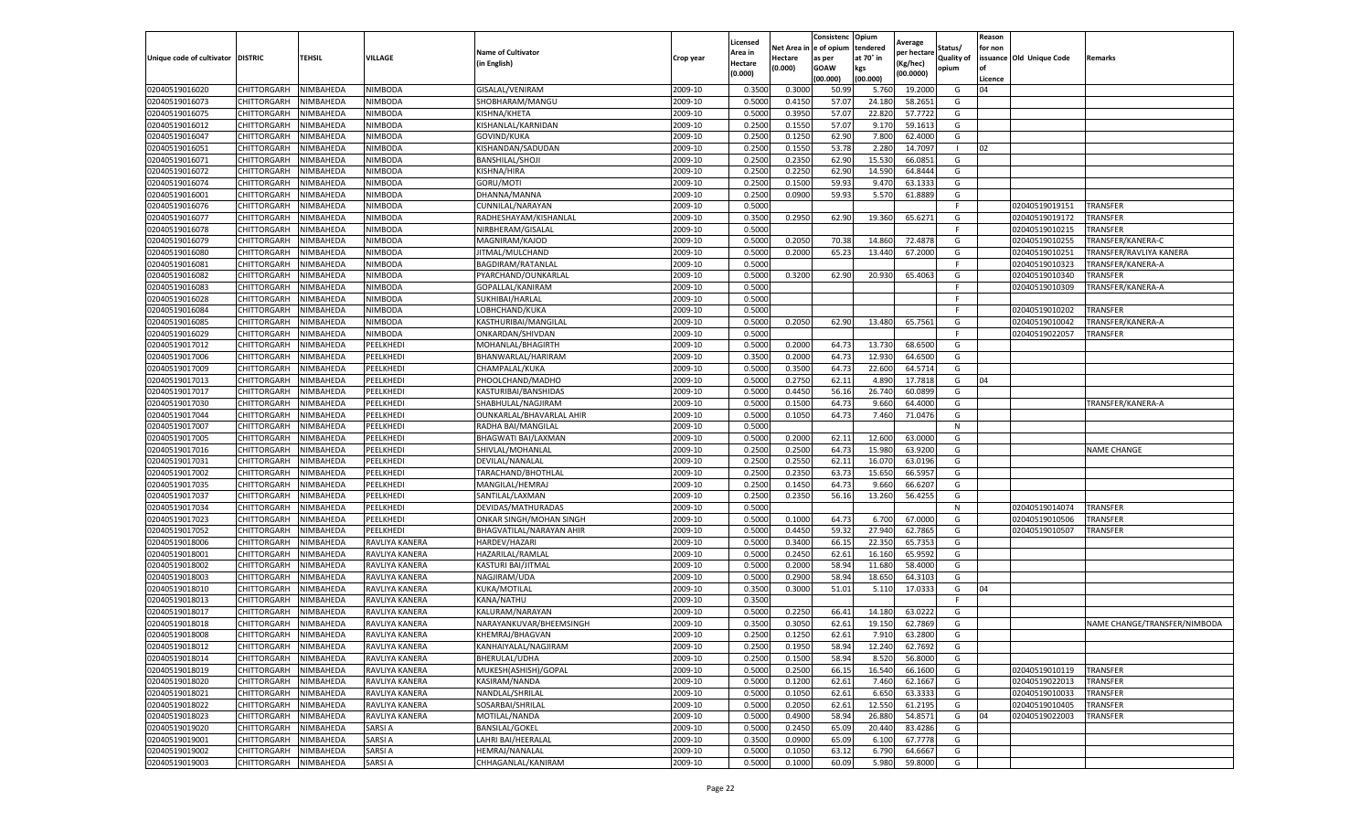|                                   |             |           |                |                           |           | Licensed |            | Consistenc  | Opium     | Average     |                   | Reason  |                          |                              |
|-----------------------------------|-------------|-----------|----------------|---------------------------|-----------|----------|------------|-------------|-----------|-------------|-------------------|---------|--------------------------|------------------------------|
|                                   |             |           |                | <b>Name of Cultivator</b> |           | Area in  | Net Area i | e of opium  | tendered  | per hectare | Status/           | for non |                          |                              |
| Unique code of cultivator DISTRIC |             | TEHSIL    | VILLAGE        | (in English)              | Crop year | Hectare  | Hectare    | as per      | at 70° in | (Kg/hec)    | <b>Quality of</b> |         | issuance Old Unique Code | Remarks                      |
|                                   |             |           |                |                           |           | (0.000)  | (0.000)    | <b>GOAW</b> | kgs       | (00.0000)   | opium             |         |                          |                              |
|                                   |             |           |                |                           |           |          |            | (00.000)    | (00.000)  |             |                   | Licence |                          |                              |
| 02040519016020                    | CHITTORGARH | NIMBAHEDA | NIMBODA        | GISALAL/VENIRAM           | 2009-10   | 0.3500   | 0.3000     | 50.99       | 5.760     | 19.2000     | G                 | 04      |                          |                              |
| 02040519016073                    | CHITTORGARH | NIMBAHEDA | NIMBODA        | SHOBHARAM/MANGU           | 2009-10   | 0.500    | 0.4150     | 57.07       | 24.180    | 58.2651     | G                 |         |                          |                              |
| 02040519016075                    | CHITTORGARH | NIMBAHEDA | NIMBODA        | KISHNA/KHETA              | 2009-10   | 0.5000   | 0.3950     | 57.07       | 22.820    | 57.7722     | G                 |         |                          |                              |
| 02040519016012                    | CHITTORGARH | NIMBAHEDA | NIMBODA        | KISHANLAL/KARNIDAN        | 2009-10   | 0.2500   | 0.1550     | 57.07       | 9.170     | 59.1613     | G                 |         |                          |                              |
| 02040519016047                    | CHITTORGARH | NIMBAHEDA | NIMBODA        | GOVIND/KUKA               | 2009-10   | 0.2500   | 0.1250     | 62.90       | 7.800     | 62.4000     | G                 |         |                          |                              |
| 02040519016051                    | CHITTORGARH | NIMBAHEDA | NIMBODA        | KISHANDAN/SADUDAN         | 2009-10   | 0.2500   | 0.1550     | 53.78       | 2.280     | 14.7097     |                   | 02      |                          |                              |
| 02040519016071                    | CHITTORGARH | NIMBAHEDA | NIMBODA        | BANSHILAL/SHOJI           | 2009-10   | 0.2500   | 0.2350     | 62.90       | 15.530    | 66.0851     | G                 |         |                          |                              |
| 02040519016072                    | CHITTORGARH | NIMBAHEDA | NIMBODA        | KISHNA/HIRA               | 2009-10   | 0.2500   | 0.2250     | 62.90       | 14.590    | 64.8444     | G                 |         |                          |                              |
| 02040519016074                    | CHITTORGARH | NIMBAHEDA | NIMBODA        | <b>GORU/MOTI</b>          | 2009-10   | 0.2500   | 0.1500     | 59.93       | 9.470     | 63.1333     | G                 |         |                          |                              |
| 02040519016001                    | CHITTORGARH | NIMBAHEDA | NIMBODA        | DHANNA/MANNA              | 2009-10   | 0.2500   | 0.0900     | 59.93       | 5.570     | 61.8889     | G                 |         |                          |                              |
| 02040519016076                    | CHITTORGARH | NIMBAHEDA | NIMBODA        | CUNNILAL/NARAYAN          | 2009-10   | 0.5000   |            |             |           |             | F.                |         | 02040519019151           | TRANSFER                     |
| 02040519016077                    | CHITTORGARH | NIMBAHEDA | NIMBODA        | RADHESHAYAM/KISHANLAL     | 2009-10   | 0.3500   | 0.2950     | 62.90       | 19.360    | 65.6271     | G                 |         | 02040519019172           | TRANSFER                     |
| 02040519016078                    | CHITTORGARH | NIMBAHEDA | NIMBODA        | NIRBHERAM/GISALAI         | 2009-10   | 0.5000   |            |             |           |             | F                 |         | 02040519010215           | TRANSFER                     |
| 02040519016079                    | CHITTORGARH | NIMBAHEDA | NIMBODA        | MAGNIRAM/KAJOD            | 2009-10   | 0.5000   | 0.2050     | 70.3        | 14.860    | 72.4878     | G                 |         | 02040519010255           | TRANSFER/KANERA-C            |
| 02040519016080                    | CHITTORGARH | NIMBAHEDA | NIMBODA        | JITMAL/MULCHAND           | 2009-10   | 0.5000   | 0.2000     | 65.23       | 13.440    | 67.2000     | G                 |         | 02040519010251           | TRANSFER/RAVLIYA KANERA      |
| 02040519016081                    | CHITTORGARH | NIMBAHEDA | NIMBODA        | BAGDIRAM/RATANLAL         | 2009-10   | 0.5000   |            |             |           |             | F.                |         | 02040519010323           | TRANSFER/KANERA-A            |
| 02040519016082                    | CHITTORGARH | NIMBAHEDA | NIMBODA        | PYARCHAND/OUNKARLAL       | 2009-10   | 0.5000   | 0.3200     | 62.90       | 20.930    | 65.4063     | G                 |         | 02040519010340           | TRANSFER                     |
| 02040519016083                    | CHITTORGARH | NIMBAHEDA | NIMBODA        | GOPALLAL/KANIRAM          | 2009-10   | 0.5000   |            |             |           |             | F                 |         | 02040519010309           | TRANSFER/KANERA-A            |
| 02040519016028                    | CHITTORGARH | NIMBAHEDA | NIMBODA        | SUKHIBAI/HARLAL           | 2009-10   | 0.5000   |            |             |           |             |                   |         |                          |                              |
| 02040519016084                    | CHITTORGARH | NIMBAHEDA | NIMBODA        | LOBHCHAND/KUKA            | 2009-10   | 0.5000   |            |             |           |             | F                 |         | 02040519010202           | <b>TRANSFER</b>              |
| 02040519016085                    | CHITTORGARH | NIMBAHEDA | NIMBODA        | KASTHURIBAI/MANGILAL      | 2009-10   | 0.5000   | 0.2050     | 62.90       | 13.480    | 65.7561     | G                 |         | 02040519010042           | TRANSFER/KANERA-A            |
| 02040519016029                    | CHITTORGARH | NIMBAHEDA | NIMBODA        | ONKARDAN/SHIVDAN          | 2009-10   | 0.5000   |            |             |           |             | F.                |         | 02040519022057           | TRANSFER                     |
| 02040519017012                    | CHITTORGARH | NIMBAHEDA | PEELKHEDI      | MOHANLAL/BHAGIRTH         | 2009-10   | 0.5000   | 0.2000     | 64.73       | 13.730    | 68.6500     | G                 |         |                          |                              |
| 02040519017006                    | CHITTORGARH | NIMBAHEDA | PEELKHEDI      | BHANWARLAL/HARIRAM        | 2009-10   | 0.3500   | 0.2000     | 64.73       | 12.930    | 64.6500     | G                 |         |                          |                              |
| 02040519017009                    | CHITTORGARH | NIMBAHEDA | PEELKHEDI      | CHAMPALAL/KUKA            | 2009-10   | 0.5000   | 0.3500     | 64.73       | 22.600    | 64.5714     | G                 |         |                          |                              |
| 02040519017013                    | CHITTORGARH | NIMBAHEDA | PEELKHEDI      | PHOOLCHAND/MADHO          | 2009-10   | 0.5000   | 0.2750     | 62.11       | 4.890     | 17.7818     | G                 | 04      |                          |                              |
| 02040519017017                    | CHITTORGARH | NIMBAHEDA | PEELKHEDI      | KASTURIBAI/BANSHIDAS      | 2009-10   | 0.500    | 0.4450     | 56.16       | 26.740    | 60.0899     | G                 |         |                          |                              |
| 02040519017030                    | CHITTORGARH | NIMBAHEDA | PEELKHEDI      | SHABHULAL/NAGJIRAM        | 2009-10   | 0.5000   | 0.1500     | 64.73       | 9.660     | 64.4000     | G                 |         |                          | TRANSFER/KANERA-A            |
| 02040519017044                    | CHITTORGARH | NIMBAHEDA | PEELKHEDI      | OUNKARLAL/BHAVARLAL AHIR  | 2009-10   | 0.5000   | 0.1050     | 64.73       | 7.460     | 71.0476     | G                 |         |                          |                              |
| 02040519017007                    | CHITTORGARH | NIMBAHEDA | PEELKHEDI      | RADHA BAI/MANGILAL        | 2009-10   | 0.5000   |            |             |           |             | N                 |         |                          |                              |
| 02040519017005                    | CHITTORGARH | NIMBAHEDA | PEELKHEDI      | BHAGWATI BAI/LAXMAN       | 2009-10   | 0.5000   | 0.2000     | 62.11       | 12.600    | 63.0000     | G                 |         |                          |                              |
| 02040519017016                    | CHITTORGARH | NIMBAHEDA | PEELKHEDI      | SHIVLAL/MOHANLAL          | 2009-10   | 0.2500   | 0.2500     | 64.73       | 15.980    | 63.9200     | G                 |         |                          | <b>NAME CHANGE</b>           |
| 02040519017031                    | CHITTORGARH | NIMBAHEDA | PEELKHEDI      | DEVILAL/NANALAL           | 2009-10   | 0.2500   | 0.2550     | 62.11       | 16.07     | 63.0196     | G                 |         |                          |                              |
| 02040519017002                    | CHITTORGARH | NIMBAHEDA | PEELKHEDI      | TARACHAND/BHOTHLAL        | 2009-10   | 0.2500   | 0.2350     | 63.73       | 15.650    | 66.5957     | G                 |         |                          |                              |
| 02040519017035                    | CHITTORGARH | NIMBAHEDA | PEELKHEDI      | MANGILAL/HEMRAJ           | 2009-10   | 0.2500   | 0.1450     | 64.73       | 9.660     | 66.6207     | G                 |         |                          |                              |
| 02040519017037                    | CHITTORGARH | NIMBAHEDA | PEELKHEDI      | SANTILAL/LAXMAN           | 2009-10   | 0.2500   | 0.2350     | 56.16       | 13.260    | 56.4255     | G                 |         |                          |                              |
| 02040519017034                    | CHITTORGARH | NIMBAHEDA | PEELKHEDI      | DEVIDAS/MATHURADAS        | 2009-10   | 0.5000   |            |             |           |             | N                 |         | 02040519014074           | TRANSFER                     |
| 02040519017023                    | CHITTORGARH | NIMBAHEDA | PEELKHEDI      | ONKAR SINGH/MOHAN SINGH   | 2009-10   | 0.5000   | 0.1000     | 64.73       | 6.700     | 67.0000     | G                 |         | 02040519010506           | TRANSFER                     |
| 02040519017052                    | CHITTORGARH | NIMBAHEDA | PEELKHEDI      | BHAGVATILAL/NARAYAN AHIR  | 2009-10   | 0.5000   | 0.4450     | 59.32       | 27.940    | 62.7865     | G                 |         | 02040519010507           | TRANSFER                     |
| 02040519018006                    | CHITTORGARH | NIMBAHEDA | RAVLIYA KANERA | HARDEV/HAZARI             | 2009-10   | 0.500    | 0.3400     | 66.15       | 22.350    | 65.7353     | G                 |         |                          |                              |
| 02040519018001                    | CHITTORGARH | NIMBAHEDA | RAVLIYA KANERA | HAZARILAL/RAMLAL          | 2009-10   | 0.500    | 0.2450     | 62.61       | 16.160    | 65.9592     | G                 |         |                          |                              |
| 02040519018002                    | CHITTORGARH | NIMBAHEDA | RAVLIYA KANERA | KASTURI BAI/JITMAL        | 2009-10   | 0.5000   | 0.2000     | 58.94       | 11.680    | 58.4000     | G                 |         |                          |                              |
| 02040519018003                    | CHITTORGARH | NIMBAHEDA | RAVLIYA KANERA | NAGJIRAM/UDA              | 2009-10   | 0.500    | 0.2900     | 58.94       | 18.65     | 64.3103     | G                 |         |                          |                              |
| 02040519018010                    | CHITTORGARH | NIMBAHEDA | RAVLIYA KANERA | KUKA/MOTILAL              | 2009-10   | 0.3500   | 0.3000     | 51.01       | 5.110     | 17.0333     | G                 | 04      |                          |                              |
| 02040519018013                    | CHITTORGARH | NIMBAHEDA | RAVLIYA KANERA | KANA/NATHU                | 2009-10   | 0.3500   |            |             |           |             | F.                |         |                          |                              |
| 02040519018017                    | CHITTORGARH | NIMBAHEDA | RAVLIYA KANERA | KALURAM/NARAYAN           | 2009-10   | 0.500    | 0.2250     | 66.4        | 14.180    | 63.0222     | G                 |         |                          |                              |
| 02040519018018                    | CHITTORGARH | NIMBAHEDA | RAVLIYA KANERA | NARAYANKUVAR/BHEEMSINGH   | 2009-10   | 0.3500   | 0.3050     | 62.61       | 19.150    | 62.7869     | G                 |         |                          | NAME CHANGE/TRANSFER/NIMBODA |
| 02040519018008                    | CHITTORGARH | NIMBAHEDA | RAVLIYA KANERA | KHEMRAJ/BHAGVAN           | 2009-10   | 0.2500   | 0.1250     | 62.61       | 7.910     | 63.2800     | G                 |         |                          |                              |
| 02040519018012                    | CHITTORGARH | NIMBAHEDA | RAVLIYA KANERA | KANHAIYALAL/NAGJIRAM      | 2009-10   | 0.2500   | 0.1950     | 58.94       | 12.240    | 62.7692     | G                 |         |                          |                              |
| 02040519018014                    | CHITTORGARH | NIMBAHEDA | RAVLIYA KANERA | BHERULAL/UDHA             | 2009-10   | 0.2500   | 0.1500     | 58.94       | 8.520     | 56.8000     | G                 |         |                          |                              |
| 02040519018019                    | CHITTORGARH | NIMBAHEDA | RAVLIYA KANERA | MUKESH(ASHISH)/GOPAL      | 2009-10   | 0.5000   | 0.2500     | 66.15       | 16.540    | 66.1600     | G                 |         | 02040519010119           | <b>TRANSFER</b>              |
| 02040519018020                    | CHITTORGARH | NIMBAHEDA | RAVLIYA KANERA | KASIRAM/NANDA             | 2009-10   | 0.5000   | 0.1200     | 62.61       | 7.460     | 62.1667     | G                 |         | 02040519022013           | TRANSFER                     |
| 02040519018021                    | CHITTORGARH | NIMBAHEDA | RAVLIYA KANERA | NANDLAL/SHRILAL           | 2009-10   | 0.5000   | 0.1050     | 62.61       | 6.650     | 63.3333     | G                 |         | 02040519010033           | TRANSFER                     |
| 02040519018022                    | CHITTORGARH | NIMBAHEDA | RAVLIYA KANERA | SOSARBAI/SHRILAL          | 2009-10   | 0.5000   | 0.2050     | 62.61       | 12.550    | 61.2195     | G                 |         | 02040519010405           | TRANSFER                     |
| 02040519018023                    | CHITTORGARH | NIMBAHEDA | RAVLIYA KANERA | MOTILAL/NANDA             | 2009-10   | 0.5000   | 0.4900     | 58.94       | 26.880    | 54.8571     | G                 | 04      | 02040519022003           | TRANSFER                     |
| 02040519019020                    | CHITTORGARH | NIMBAHEDA | SARSI A        | <b>BANSILAL/GOKEL</b>     | 2009-10   | 0.5000   | 0.2450     | 65.09       | 20.440    | 83.4286     | G                 |         |                          |                              |
| 02040519019001                    | CHITTORGARH | NIMBAHEDA | SARSI A        | LAHRI BAI/HEERALAL        | 2009-10   | 0.3500   | 0.0900     | 65.09       | 6.100     | 67.7778     | G                 |         |                          |                              |
| 02040519019002                    | CHITTORGARH | NIMBAHEDA | SARSI A        | <b>HEMRAJ/NANALAL</b>     | 2009-10   | 0.5000   | 0.1050     | 63.12       | 6.790     | 64.6667     | G                 |         |                          |                              |
| 02040519019003                    | CHITTORGARH | NIMBAHEDA | SARSI A        | CHHAGANLAL/KANIRAM        | 2009-10   | 0.5000   | 0.1000     | 60.09       | 5.980     | 59.8000     | G                 |         |                          |                              |
|                                   |             |           |                |                           |           |          |            |             |           |             |                   |         |                          |                              |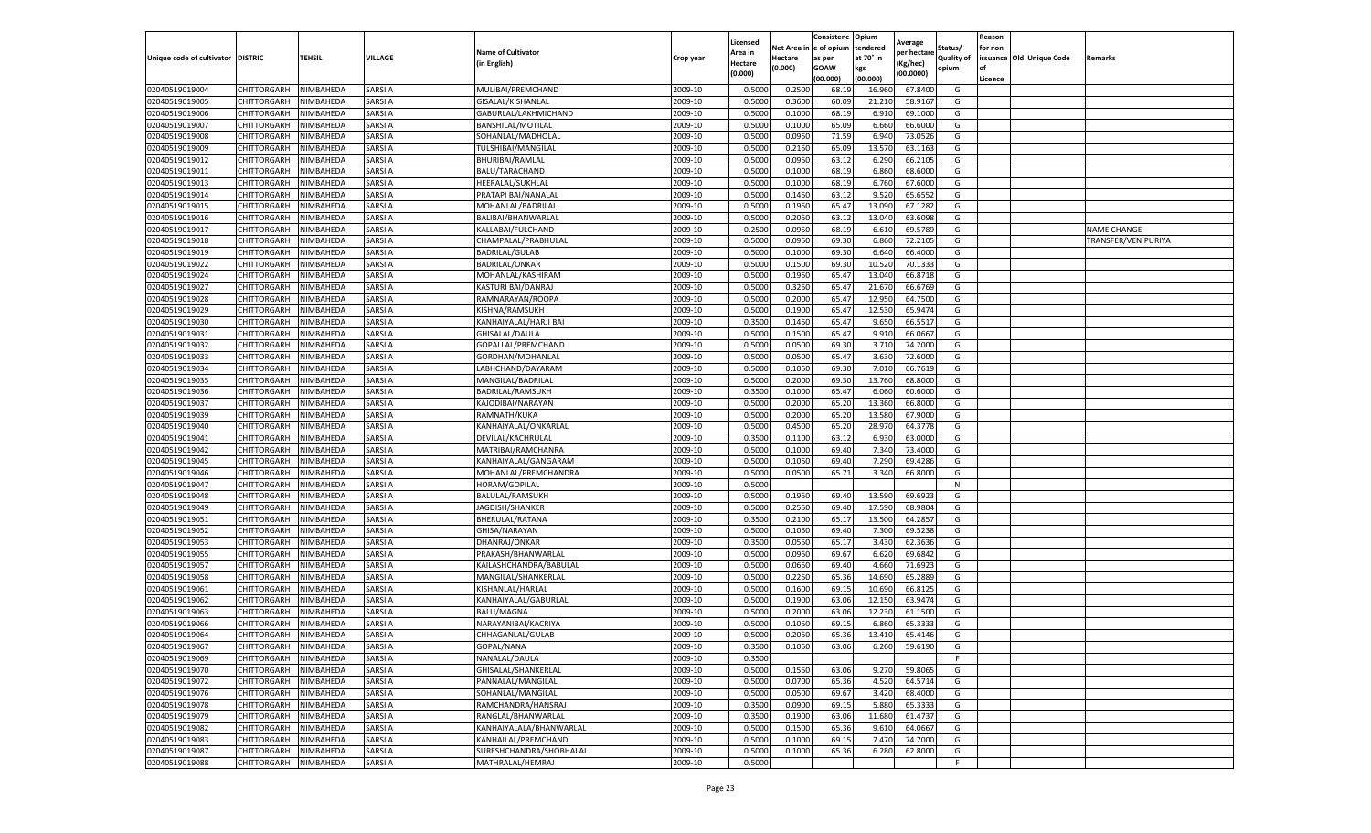|                                   |                            |                        |                    |                                              |                    | Licensed         |                  | Consistenc     | Opium            | Average            |                   | Reason  |                          |                     |
|-----------------------------------|----------------------------|------------------------|--------------------|----------------------------------------------|--------------------|------------------|------------------|----------------|------------------|--------------------|-------------------|---------|--------------------------|---------------------|
|                                   |                            |                        |                    | <b>Name of Cultivator</b>                    |                    | Area in          | Net Area i       | e of opium     | tendered         | per hectare        | Status/           | for non |                          |                     |
| Unique code of cultivator DISTRIC |                            | TEHSIL                 | VILLAGE            | (in English)                                 | Crop year          | Hectare          | Hectare          | as per         | at 70° in        | (Kg/hec)           | <b>Quality of</b> |         | issuance Old Unique Code | Remarks             |
|                                   |                            |                        |                    |                                              |                    | (0.000)          | (0.000)          | <b>GOAW</b>    | kgs              | (00.0000)          | opium             |         |                          |                     |
|                                   |                            |                        |                    |                                              |                    |                  |                  | (00.000        | (00.000)         |                    |                   | Licence |                          |                     |
| 02040519019004<br>02040519019005  | CHITTORGARH                | NIMBAHEDA              | SARSI A            | MULIBAI/PREMCHAND                            | 2009-10            | 0.5000           | 0.2500           | 68.19          | 16.960           | 67.8400            | G                 |         |                          |                     |
|                                   | CHITTORGARH                | NIMBAHEDA<br>NIMBAHEDA | SARSI A            | GISALAL/KISHANLAL                            | 2009-10            | 0.500            | 0.3600           | 60.09          | 21.21            | 58.9167            | G                 |         |                          |                     |
| 02040519019006                    | CHITTORGARH                |                        | SARSI A            | GABURLAL/LAKHMICHAND                         | 2009-10            | 0.5000           | 0.1000           | 68.19          | 6.910            | 69.1000            | G                 |         |                          |                     |
| 02040519019007                    | CHITTORGARH                | NIMBAHEDA              | SARSI A            | BANSHILAL/MOTILAL                            | 2009-10            | 0.5000           | 0.1000           | 65.09          | 6.660            | 66.6000            | G                 |         |                          |                     |
| 02040519019008<br>02040519019009  | CHITTORGARH<br>CHITTORGARH | NIMBAHEDA<br>NIMBAHEDA | SARSI A<br>SARSI A | SOHANLAL/MADHOLAL<br>TULSHIBAI/MANGILAL      | 2009-10<br>2009-10 | 0.5000<br>0.5000 | 0.0950<br>0.2150 | 71.59<br>65.09 | 6.940<br>13.57   | 73.0526<br>63.1163 | G<br>G            |         |                          |                     |
| 02040519019012                    | CHITTORGARH                | NIMBAHEDA              | SARSI A            |                                              | 2009-10            | 0.5000           | 0.0950           | 63.12          | 6.290            | 66.2105            | G                 |         |                          |                     |
| 02040519019011                    |                            |                        | SARSI A            | BHURIBAI/RAMLAL<br>BALU/TARACHAND            | 2009-10            | 0.500            |                  | 68.19          | 6.860            | 68.6000            |                   |         |                          |                     |
|                                   | CHITTORGARH<br>CHITTORGARH | NIMBAHEDA<br>NIMBAHEDA | SARSI A            |                                              | 2009-10            | 0.500            | 0.1000<br>0.1000 | 68.19          |                  | 67.6000            | G<br>G            |         |                          |                     |
| 02040519019013<br>02040519019014  | CHITTORGARH                | NIMBAHEDA              | SARSI A            | HEERALAL/SUKHLAL<br>PRATAPI BAI/NANALAL      | 2009-10            | 0.5000           | 0.1450           | 63.12          | 6.760<br>9.520   | 65.6552            | G                 |         |                          |                     |
| 02040519019015                    | CHITTORGARH                | NIMBAHEDA              | SARSI A            | MOHANLAL/BADRILAL                            | 2009-10            | 0.5000           | 0.1950           | 65.47          | 13.090           | 67.1282            | G                 |         |                          |                     |
| 02040519019016                    | CHITTORGARH                | NIMBAHEDA              | SARSI A            | BALIBAI/BHANWARLAI                           | 2009-10            | 0.5000           | 0.2050           | 63.12          | 13.040           | 63.6098            | G                 |         |                          |                     |
| 02040519019017                    | CHITTORGARH                | NIMBAHEDA              | SARSI A            | KALLABAI/FULCHAND                            | 2009-10            | 0.2500           | 0.0950           | 68.19          | 6.61             | 69.5789            | G                 |         |                          | <b>NAME CHANGE</b>  |
| 02040519019018                    |                            |                        | SARSI A            |                                              | 2009-10            | 0.500            | 0.0950           | 69.30          | 6.860            | 72.2105            |                   |         |                          | TRANSFER/VENIPURIYA |
|                                   | CHITTORGARH<br>CHITTORGARH | NIMBAHEDA<br>NIMBAHEDA | SARSI A            | CHAMPALAL/PRABHULAL<br><b>BADRILAL/GULAB</b> |                    | 0.5000           | 0.1000           | 69.30          | 6.640            | 66.4000            | G<br>G            |         |                          |                     |
| 02040519019019                    |                            |                        | SARSI A            |                                              | 2009-10<br>2009-10 | 0.5000           |                  | 69.30          |                  |                    |                   |         |                          |                     |
| 02040519019022                    | CHITTORGARH                | NIMBAHEDA              | SARSI A            | <b>BADRILAL/ONKAR</b>                        |                    | 0.500            | 0.1500           | 65.4           | 10.520<br>13.040 | 70.1333            | G                 |         |                          |                     |
| 02040519019024<br>02040519019027  | CHITTORGARH                | NIMBAHEDA              | SARSI A            | MOHANLAL/KASHIRAM                            | 2009-10<br>2009-10 |                  | 0.1950           | 65.47          | 21.670           | 66.8718            | G<br>G            |         |                          |                     |
|                                   | CHITTORGARH                | NIMBAHEDA              |                    | KASTURI BAI/DANRAJ                           |                    | 0.5000           | 0.3250           |                |                  | 66.6769            |                   |         |                          |                     |
| 02040519019028                    | CHITTORGARH                | NIMBAHEDA<br>NIMBAHEDA | SARSI A            | RAMNARAYAN/ROOPA<br>KISHNA/RAMSUKH           | 2009-10            | 0.500            | 0.2000           | 65.4           | 12.950           | 64.7500            | G                 |         |                          |                     |
| 02040519019029                    | CHITTORGARH                |                        | SARSI A            |                                              | 2009-10            | 0.5000           | 0.1900           | 65.4           | 12.530           | 65.9474            | G                 |         |                          |                     |
| 02040519019030                    | CHITTORGARH                | NIMBAHEDA              | SARSI A            | KANHAIYALAL/HARJI BAI                        | 2009-10<br>2009-10 | 0.3500           | 0.1450           | 65.47          | 9.650            | 66.5517            | G                 |         |                          |                     |
| 02040519019031                    | CHITTORGARH<br>CHITTORGARH | NIMBAHEDA<br>NIMBAHEDA | SARSI A<br>SARSI A | GHISALAL/DAULA                               |                    | 0.5000<br>0.5000 | 0.1500           | 65.47          | 9.910            | 66.0667<br>74.2000 | G                 |         |                          |                     |
| 02040519019032<br>02040519019033  | CHITTORGARH                | NIMBAHEDA              | SARSI A            | GOPALLAL/PREMCHAND<br>GORDHAN/MOHANLAL       | 2009-10<br>2009-10 | 0.5000           | 0.0500<br>0.0500 | 69.30<br>65.47 | 3.710<br>3.630   | 72.6000            | G<br>G            |         |                          |                     |
| 02040519019034                    | CHITTORGARH                |                        | SARSI A            |                                              | 2009-10            |                  |                  | 69.30          | 7.010            |                    |                   |         |                          |                     |
|                                   | CHITTORGARH                | NIMBAHEDA<br>NIMBAHEDA | SARSI A            | LABHCHAND/DAYARAM                            | 2009-10            | 0.5000<br>0.5000 | 0.1050<br>0.2000 | 69.30          |                  | 66.7619<br>68.8000 | G<br>G            |         |                          |                     |
| 02040519019035                    |                            |                        |                    | MANGILAL/BADRILAL                            |                    |                  |                  |                | 13.760           |                    |                   |         |                          |                     |
| 02040519019036                    | CHITTORGARH                | NIMBAHEDA<br>NIMBAHEDA | SARSI A<br>SARSI A | BADRILAL/RAMSUKH                             | 2009-10<br>2009-10 | 0.3500<br>0.5000 | 0.1000<br>0.2000 | 65.47<br>65.20 | 6.060            | 60.6000<br>66.8000 | G<br>G            |         |                          |                     |
| 02040519019037                    | CHITTORGARH<br>CHITTORGARH | NIMBAHEDA              | SARSI A            | KAJODIBAI/NARAYAN<br>RAMNATH/KUKA            | 2009-10            | 0.5000           | 0.2000           | 65.20          | 13.360<br>13.580 | 67.9000            | G                 |         |                          |                     |
| 02040519019039<br>02040519019040  | CHITTORGARH                | NIMBAHEDA              | SARSI A            |                                              | 2009-10            | 0.5000           | 0.4500           | 65.20          | 28.97            | 64.3778            | G                 |         |                          |                     |
| 02040519019041                    | CHITTORGARH                | NIMBAHEDA              | SARSI A            | KANHAIYALAL/ONKARLAL<br>DEVILAL/KACHRULAL    | 2009-10            | 0.3500           | 0.1100           | 63.12          | 6.930            | 63.0000            | G                 |         |                          |                     |
| 02040519019042                    | CHITTORGARH                | NIMBAHEDA              | SARSI A            | MATRIBAI/RAMCHANRA                           | 2009-10            | 0.5000           | 0.1000           | 69.40          | 7.340            | 73.4000            | G                 |         |                          |                     |
| 02040519019045                    | CHITTORGARH                | NIMBAHEDA              | SARSI A            | KANHAIYALAL/GANGARAM                         | 2009-10            | 0.500            | 0.1050           | 69.40          | 7.290            | 69.4286            | G                 |         |                          |                     |
| 02040519019046                    | CHITTORGARH                | NIMBAHEDA              | SARSI A            | MOHANLAL/PREMCHANDRA                         | 2009-10            | 0.5000           | 0.0500           | 65.7           | 3.340            | 66.8000            | G                 |         |                          |                     |
| 02040519019047                    | CHITTORGARH                | NIMBAHEDA              | SARSI A            | HORAM/GOPILAL                                | 2009-10            | 0.5000           |                  |                |                  |                    | N                 |         |                          |                     |
| 02040519019048                    | CHITTORGARH                | NIMBAHEDA              | SARSI A            | BALULAL/RAMSUKH                              | 2009-10            | 0.5000           | 0.1950           | 69.40          | 13.590           | 69.692             | G                 |         |                          |                     |
| 02040519019049                    | CHITTORGARH                | NIMBAHEDA              | SARSI A            | JAGDISH/SHANKER                              | 2009-10            | 0.5000           | 0.2550           | 69.40          | 17.590           | 68.9804            | G                 |         |                          |                     |
| 02040519019051                    | CHITTORGARH                | NIMBAHEDA              | SARSI A            | BHERULAL/RATANA                              | 2009-10            | 0.3500           | 0.2100           | 65.1           | 13.500           | 64.2857            | G                 |         |                          |                     |
| 02040519019052                    | CHITTORGARH                | NIMBAHEDA              | SARSI A            | GHISA/NARAYAN                                | 2009-10            | 0.5000           | 0.1050           | 69.40          | 7.300            | 69.5238            | G                 |         |                          |                     |
| 02040519019053                    | CHITTORGARH                | NIMBAHEDA              | SARSI A            | DHANRAJ/ONKAR                                | 2009-10            | 0.3500           | 0.0550           | 65.17          | 3.430            | 62.3636            | G                 |         |                          |                     |
| 02040519019055                    | CHITTORGARH                | NIMBAHEDA              | SARSI A            | PRAKASH/BHANWARLAL                           | 2009-10            | 0.5000           | 0.0950           | 69.67          | 6.620            | 69.6842            | G                 |         |                          |                     |
| 02040519019057                    | CHITTORGARH                | NIMBAHEDA              | SARSI A            | KAILASHCHANDRA/BABULAL                       | 2009-10            | 0.5000           | 0.0650           | 69.40          | 4.660            | 71.6923            | G                 |         |                          |                     |
| 02040519019058                    | CHITTORGARH                | NIMBAHEDA              | SARSI A            | MANGILAL/SHANKERLAL                          | 2009-10            | 0.5000           | 0.2250           | 65.36          | 14.690           | 65.2889            | G                 |         |                          |                     |
| 02040519019061                    | CHITTORGARH                | NIMBAHEDA              | SARSI A            | KISHANLAL/HARLAL                             | 2009-10            | 0.5000           | 0.1600           | 69.15          | 10.690           | 66.8125            | G                 |         |                          |                     |
| 02040519019062                    | CHITTORGARH                | NIMBAHEDA              | SARSI A            | KANHAIYALAL/GABURLAL                         | 2009-10            | 0.5000           | 0.1900           | 63.06          | 12.150           | 63.9474            | G                 |         |                          |                     |
| 02040519019063                    | CHITTORGARH                | NIMBAHEDA              | SARSI A            | BALU/MAGNA                                   | 2009-10            | 0.500            | 0.2000           | 63.06          | 12.230           | 61.1500            | G                 |         |                          |                     |
| 02040519019066                    | CHITTORGARH                | NIMBAHEDA              | SARSI A            | NARAYANIBAI/KACRIYA                          | 2009-10            | 0.5000           | 0.105C           | 69.15          | 6.860            | 65.3333            | G                 |         |                          |                     |
| 02040519019064                    | CHITTORGARH                | NIMBAHEDA              | SARSI A            | CHHAGANLAL/GULAB                             | 2009-10            | 0.5000           | 0.2050           | 65.36          | 13.410           | 65.4146            | G                 |         |                          |                     |
| 02040519019067                    | CHITTORGARH                | NIMBAHEDA              | SARSI A            | GOPAL/NANA                                   | 2009-10            | 0.3500           | 0.1050           | 63.06          | 6.260            | 59.6190            | G                 |         |                          |                     |
| 02040519019069                    | CHITTORGARH                | NIMBAHEDA              | SARSI A            | NANALAL/DAULA                                | 2009-10            | 0.3500           |                  |                |                  |                    |                   |         |                          |                     |
| 02040519019070                    | CHITTORGARH                | NIMBAHEDA              | SARSI A            | GHISALAL/SHANKERLAL                          | 2009-10            | 0.5000           | 0.1550           | 63.06          | 9.270            | 59.8065            | G                 |         |                          |                     |
| 02040519019072                    | CHITTORGARH                | NIMBAHEDA              | SARSI A            | PANNALAL/MANGILAL                            | 2009-10            | 0.5000           | 0.0700           | 65.36          | 4.520            | 64.5714            | G                 |         |                          |                     |
| 02040519019076                    | CHITTORGARH                | NIMBAHEDA              | SARSI A            | SOHANLAL/MANGILAL                            | 2009-10            | 0.5000           | 0.0500           | 69.67          | 3.420            | 68.4000            | G                 |         |                          |                     |
| 02040519019078                    | CHITTORGARH                | NIMBAHEDA              | SARSI A            | RAMCHANDRA/HANSRAJ                           | 2009-10            | 0.3500           | 0.0900           | 69.15          | 5.880            | 65.3333            | G                 |         |                          |                     |
| 02040519019079                    | CHITTORGARH                | NIMBAHEDA              | SARSI A            | RANGLAL/BHANWARLAL                           | 2009-10            | 0.3500           | 0.1900           | 63.06          | 11.680           | 61.4737            | G                 |         |                          |                     |
| 02040519019082                    | CHITTORGARH                | NIMBAHEDA              | SARSI A            | KANHAIYALALA/BHANWARLAL                      | 2009-10            | 0.5000           | 0.1500           | 65.36          | 9.610            | 64.0667            | G                 |         |                          |                     |
| 02040519019083                    | CHITTORGARH                | NIMBAHEDA              | SARSI A            | KANHAILAL/PREMCHAND                          | 2009-10            | 0.5000           | 0.1000           | 69.15          | 7.470            | 74.7000            | G                 |         |                          |                     |
| 02040519019087                    | CHITTORGARH                | NIMBAHEDA              | SARSI A            | SURESHCHANDRA/SHOBHALAL                      | 2009-10            | 0.5000           |                  |                | 6.280            | 62.8000            |                   |         |                          |                     |
|                                   |                            |                        |                    |                                              |                    |                  | 0.1000           | 65.36          |                  |                    | G                 |         |                          |                     |
| 02040519019088                    | CHITTORGARH                | NIMBAHEDA              | SARSI A            | MATHRALAL/HEMRAJ                             | 2009-10            | 0.5000           |                  |                |                  |                    | F.                |         |                          |                     |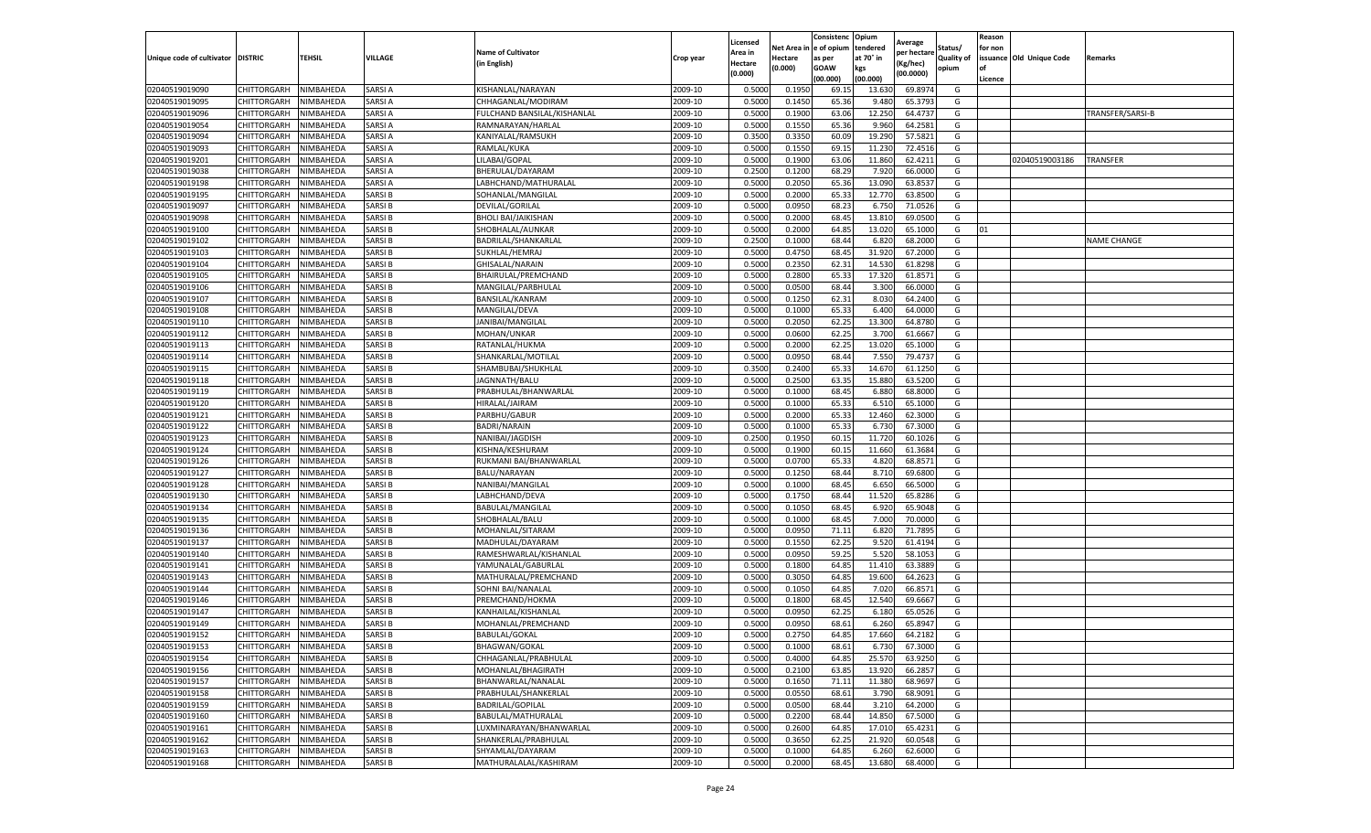|                           |                       |           |               |                             |           | Licensed |         | Consistenc             | Opium     |                        |                   | Reason  |                          |                    |
|---------------------------|-----------------------|-----------|---------------|-----------------------------|-----------|----------|---------|------------------------|-----------|------------------------|-------------------|---------|--------------------------|--------------------|
|                           |                       |           |               | <b>Name of Cultivator</b>   |           | Area in  |         | Net Area in e of opium | tendered  | Average<br>per hectare | Status/           | for non |                          |                    |
| Unique code of cultivator | <b>DISTRIC</b>        | TEHSIL    | VILLAGE       | in English)                 | Crop year | Hectare  | Hectare | as per                 | at 70° in | (Kg/hec                | <b>Quality of</b> |         | issuance Old Unique Code | <b>Remarks</b>     |
|                           |                       |           |               |                             |           | (0.000)  | (0.000) | <b>GOAW</b>            | kgs       | (00.0000)              | opium             |         |                          |                    |
|                           |                       |           |               |                             |           |          |         | (00.000)               | (00.000)  |                        |                   | Licence |                          |                    |
| 02040519019090            | CHITTORGARH           | NIMBAHEDA | SARSI A       | KISHANLAL/NARAYAN           | 2009-10   | 0.5000   | 0.1950  | 69.1                   | 13.63     | 69.897                 | G                 |         |                          |                    |
| 02040519019095            | CHITTORGARH           | NIMBAHEDA | SARSI A       | CHHAGANLAL/MODIRAM          | 2009-10   | 0.5000   | 0.1450  | 65.36                  | 9.480     | 65.3793                | G                 |         |                          |                    |
| 02040519019096            | CHITTORGARH           | NIMBAHEDA | SARSI A       | FULCHAND BANSILAL/KISHANLAL | 2009-10   | 0.5000   | 0.1900  | 63.06                  | 12.250    | 64.4737                | G                 |         |                          | TRANSFER/SARSI-B   |
| 02040519019054            | CHITTORGARH           | NIMBAHEDA | SARSI A       | RAMNARAYAN/HARLAL           | 2009-10   | 0.5000   | 0.1550  | 65.36                  | 9.960     | 64.2581                | G                 |         |                          |                    |
| 02040519019094            | <b>CHITTORGARH</b>    | NIMBAHEDA | SARSI A       | KANIYALAL/RAMSUKH           | 2009-10   | 0.3500   | 0.3350  | 60.09                  | 19.29     | 57.5821                | G                 |         |                          |                    |
| 02040519019093            | CHITTORGARH           | NIMBAHEDA | SARSI A       | RAMLAL/KUKA                 | 2009-10   | 0.5000   | 0.1550  | 69.15                  | 11.23     | 72.4516                | G                 |         |                          |                    |
| 02040519019201            | CHITTORGARH           | NIMBAHEDA | SARSI A       | LILABAI/GOPAL               | 2009-10   | 0.5000   | 0.1900  | 63.06                  | 11.860    | 62.4211                | G                 |         | 02040519003186           | <b>TRANSFER</b>    |
| 02040519019038            | CHITTORGARH           | NIMBAHEDA | SARSI A       | BHERULAL/DAYARAM            | 2009-10   | 0.2500   | 0.1200  | 68.29                  | 7.920     | 66.0000                | G                 |         |                          |                    |
| 02040519019198            | CHITTORGARH           | NIMBAHEDA | SARSI A       | LABHCHAND/MATHURALAL        | 2009-10   | 0.5000   | 0.2050  | 65.36                  | 13.090    | 63.8537                | G                 |         |                          |                    |
| 02040519019195            | CHITTORGARH           | NIMBAHEDA | SARSI B       | SOHANLAL/MANGILAL           | 2009-10   | 0.5000   | 0.2000  | 65.33                  | 12.770    | 63.8500                | G                 |         |                          |                    |
| 02040519019097            | CHITTORGARH           | NIMBAHEDA | SARSI B       | DEVILAL/GORILAL             | 2009-10   | 0.5000   | 0.0950  | 68.23                  | 6.750     | 71.0526                | G                 |         |                          |                    |
| 02040519019098            | CHITTORGARH           | NIMBAHEDA | SARSI B       | <b>BHOLI BAI/JAIKISHAN</b>  | 2009-10   | 0.5000   | 0.2000  | 68.45                  | 13.81     | 69.0500                | G                 |         |                          |                    |
| 02040519019100            | CHITTORGARH           | NIMBAHEDA | SARSI B       | SHOBHALAL/AUNKAR            | 2009-10   | 0.5000   | 0.2000  | 64.85                  | 13.02     | 65.1000                | G                 | 01      |                          |                    |
| 02040519019102            | CHITTORGARH           | NIMBAHEDA | SARSI B       | BADRILAL/SHANKARLAL         | 2009-10   | 0.2500   | 0.1000  | 68.44                  | 6.82      | 68.2000                | G                 |         |                          | <b>NAME CHANGE</b> |
| 02040519019103            | CHITTORGARH           | NIMBAHEDA | SARSI B       | SUKHLAL/HEMRAJ              | 2009-10   | 0.5000   | 0.4750  | 68.45                  | 31.92     | 67.2000                | G                 |         |                          |                    |
| 02040519019104            | CHITTORGARH           | NIMBAHEDA | SARSI B       | GHISALAL/NARAIN             | 2009-10   | 0.5000   | 0.2350  | 62.31                  | 14.53     | 61.8298                | G                 |         |                          |                    |
| 02040519019105            | CHITTORGARH           | NIMBAHEDA | SARSI B       | BHAIRULAL/PREMCHAND         | 2009-10   | 0.5000   | 0.2800  | 65.33                  | 17.320    | 61.8571                | G                 |         |                          |                    |
| 02040519019106            | CHITTORGARH           | NIMBAHEDA | SARSI B       | MANGILAL/PARBHULAL          | 2009-10   | 0.5000   | 0.0500  | 68.44                  | 3.300     | 66.0000                | G                 |         |                          |                    |
| 02040519019107            | CHITTORGARH           | NIMBAHEDA | SARSI B       | BANSILAL/KANRAM             | 2009-10   | 0.5000   | 0.1250  | 62.31                  | 8.03      | 64.2400                | G                 |         |                          |                    |
| 02040519019108            | CHITTORGARH           | NIMBAHEDA | SARSI B       | MANGILAL/DEVA               | 2009-10   | 0.5000   | 0.1000  | 65.33                  | 6.400     | 64.0000                | G                 |         |                          |                    |
| 02040519019110            | CHITTORGARH           | NIMBAHEDA | SARSI B       | JANIBAI/MANGILAL            | 2009-10   | 0.5000   | 0.2050  | 62.25                  | 13.300    | 64.8780                | G                 |         |                          |                    |
| 02040519019112            | CHITTORGARH           | NIMBAHEDA | SARSI B       | MOHAN/UNKAR                 | 2009-10   | 0.5000   | 0.0600  | 62.25                  | 3.700     | 61.6667                | G                 |         |                          |                    |
| 02040519019113            | CHITTORGARH           | NIMBAHEDA | SARSI B       | RATANLAL/HUKMA              | 2009-10   | 0.5000   | 0.2000  | 62.25                  | 13.020    | 65.1000                | G                 |         |                          |                    |
| 02040519019114            | CHITTORGARH           | NIMBAHEDA | SARSI B       | SHANKARLAL/MOTILAL          | 2009-10   | 0.5000   | 0.0950  | 68.44                  | 7.550     | 79.4737                | G                 |         |                          |                    |
| 02040519019115            | CHITTORGARH           | NIMBAHEDA | SARSI B       | SHAMBUBAI/SHUKHLAL          | 2009-10   | 0.3500   | 0.2400  | 65.33                  | 14.67     | 61.1250                | G                 |         |                          |                    |
| 02040519019118            | CHITTORGARH           | NIMBAHEDA | SARSI B       | JAGNNATH/BALU               | 2009-10   | 0.5000   | 0.2500  | 63.35                  | 15.880    | 63.5200                | G                 |         |                          |                    |
| 02040519019119            | CHITTORGARH           | NIMBAHEDA | SARSI B       | PRABHULAL/BHANWARLAL        | 2009-10   | 0.5000   | 0.1000  | 68.45                  | 6.88      | 68.8000                | G                 |         |                          |                    |
| 02040519019120            | CHITTORGARH           | NIMBAHEDA | SARSI B       | HIRALAL/JAIRAM              | 2009-10   | 0.5000   | 0.1000  | 65.33                  | 6.51      | 65.1000                | G                 |         |                          |                    |
| 02040519019121            | CHITTORGARH           | NIMBAHEDA | SARSI B       | PARBHU/GABUR                | 2009-10   | 0.5000   | 0.2000  | 65.33                  | 12.460    | 62.3000                | G                 |         |                          |                    |
| 02040519019122            | CHITTORGARH           | NIMBAHEDA | SARSI B       | <b>BADRI/NARAIN</b>         | 2009-10   | 0.5000   | 0.1000  | 65.33                  | 6.730     | 67.3000                | G                 |         |                          |                    |
| 02040519019123            | CHITTORGARH           | NIMBAHEDA | SARSI B       | NANIBAI/JAGDISH             | 2009-10   | 0.2500   | 0.1950  | 60.1                   | 11.72     | 60.1026                | G                 |         |                          |                    |
| 02040519019124            | CHITTORGARH           | NIMBAHEDA | SARSI B       | KISHNA/KESHURAM             | 2009-10   | 0.5000   | 0.1900  | 60.1                   | 11.660    | 61.3684                | G                 |         |                          |                    |
| 02040519019126            | CHITTORGARH           | NIMBAHEDA | SARSI B       | RUKMANI BAI/BHANWARLAI      | 2009-10   | 0.5000   | 0.0700  | 65.33                  | 4.82      | 68.8571                | G                 |         |                          |                    |
| 02040519019127            | CHITTORGARH           | NIMBAHEDA | SARSI B       | BALU/NARAYAN                | 2009-10   | 0.5000   | 0.1250  | 68.44                  | 8.71      | 69.6800                | G                 |         |                          |                    |
| 02040519019128            | CHITTORGARH           | NIMBAHEDA | SARSI B       | NANIBAI/MANGILAL            | 2009-10   | 0.5000   | 0.1000  | 68.45                  | 6.650     | 66.5000                | G                 |         |                          |                    |
| 02040519019130            | CHITTORGARH           | NIMBAHEDA | SARSI B       | LABHCHAND/DEVA              | 2009-10   | 0.5000   | 0.1750  | 68.44                  | 11.52     | 65.8286                | G                 |         |                          |                    |
| 02040519019134            | CHITTORGARH           | NIMBAHEDA | SARSI B       | BABULAL/MANGILAL            | 2009-10   | 0.5000   | 0.1050  | 68.45                  | 6.920     | 65.9048                | G                 |         |                          |                    |
| 02040519019135            | CHITTORGARH           | NIMBAHEDA | SARSI B       | SHOBHALAL/BALU              | 2009-10   | 0.5000   | 0.1000  | 68.45                  | 7.000     | 70.0000                | G                 |         |                          |                    |
| 02040519019136            | CHITTORGARH           | NIMBAHEDA | SARSI B       | MOHANLAL/SITARAN            | 2009-10   | 0.5000   | 0.0950  | 71.11                  | 6.82      | 71.7895                | G                 |         |                          |                    |
| 02040519019137            | CHITTORGARH           | NIMBAHEDA | SARSI B       | MADHULAL/DAYARAM            | 2009-10   | 0.5000   | 0.1550  | 62.25                  | 9.520     | 61.4194                | G                 |         |                          |                    |
| 02040519019140            | CHITTORGARH           | NIMBAHEDA | SARSI B       | RAMESHWARLAL/KISHANLAL      | 2009-10   | 0.5000   | 0.0950  | 59.25                  | 5.52      | 58.1053                | G                 |         |                          |                    |
| 02040519019141            | CHITTORGARH           | NIMBAHEDA | SARSI B       | YAMUNALAL/GABURLAL          | 2009-10   | 0.5000   | 0.1800  | 64.85                  | 11.410    | 63.3889                | G                 |         |                          |                    |
| 02040519019143            | CHITTORGARH           | NIMBAHEDA | SARSI B       | MATHURALAL/PREMCHAND        | 2009-10   | 0.5000   | 0.3050  | 64.85                  | 19.600    | 64.2623                | G                 |         |                          |                    |
| 02040519019144            | CHITTORGARH           | NIMBAHEDA | SARSI B       | SOHNI BAI/NANALAI           | 2009-10   | 0.5000   | 0.1050  | 64.85                  | 7.020     | 66.8571                | G                 |         |                          |                    |
| 02040519019146            | CHITTORGARH           | NIMBAHEDA | SARSI B       | PREMCHAND/HOKMA             | 2009-10   | 0.5000   | 0.1800  | 68.45                  | 12.540    | 69.6667                | G                 |         |                          |                    |
| 02040519019147            | CHITTORGARH           | NIMBAHEDA | SARSI B       | KANHAILAL/KISHANLAI         | 2009-10   | 0.5000   | 0.0950  | 62.25                  | 6.18      | 65.0526                | G                 |         |                          |                    |
| 02040519019149            | CHITTORGARH           | NIMBAHEDA | SARSI B       | MOHANLAL/PREMCHAND          | 2009-10   | 0.5000   | 0.0950  | 68.61                  | 6.260     | 65.8947                | G                 |         |                          |                    |
| 02040519019152            | CHITTORGARH           | NIMBAHEDA | SARSI B       | BABULAL/GOKAL               | 2009-10   | 0.5000   | 0.2750  | 64.85                  | 17.660    | 64.2182                | G                 |         |                          |                    |
| 02040519019153            | CHITTORGARH NIMBAHEDA |           | SARSI B       | BHAGWAN/GOKAL               | 2009-10   | 0.5000   | 0.1000  | 68.61                  | 6.730     | 67.3000                | G                 |         |                          |                    |
| 02040519019154            | CHITTORGARH           | NIMBAHEDA | SARSI B       | CHHAGANLAL/PRABHULAL        | 2009-10   | 0.5000   | 0.4000  | 64.85                  | 25.570    | 63.9250                | G                 |         |                          |                    |
| 02040519019156            | <b>CHITTORGARH</b>    | NIMBAHEDA | SARSI B       | MOHANLAL/BHAGIRATH          | 2009-10   | 0.5000   | 0.2100  | 63.85                  | 13.920    | 66.2857                | G                 |         |                          |                    |
| 02040519019157            | <b>CHITTORGARH</b>    | NIMBAHEDA | SARSI B       | BHANWARLAL/NANALAL          | 2009-10   | 0.5000   | 0.1650  | 71.11                  | 11.380    | 68.9697                | G                 |         |                          |                    |
| 02040519019158            | <b>CHITTORGARH</b>    | NIMBAHEDA | SARSI B       | PRABHULAL/SHANKERLAL        | 2009-10   | 0.5000   | 0.0550  | 68.61                  | 3.790     | 68.9091                | G                 |         |                          |                    |
| 02040519019159            | <b>CHITTORGARH</b>    | NIMBAHEDA | <b>SARSIB</b> | <b>BADRILAL/GOPILAL</b>     | 2009-10   | 0.5000   | 0.0500  | 68.44                  | 3.210     | 64.2000                | G                 |         |                          |                    |
| 02040519019160            | CHITTORGARH           | NIMBAHEDA | SARSI B       | BABULAL/MATHURALAL          | 2009-10   | 0.5000   | 0.2200  | 68.44                  | 14.850    | 67.5000                | G                 |         |                          |                    |
| 02040519019161            | <b>CHITTORGARH</b>    | NIMBAHEDA | SARSI B       | LUXMINARAYAN/BHANWARLAL     | 2009-10   | 0.5000   | 0.2600  | 64.85                  | 17.010    | 65.4231                | G                 |         |                          |                    |
| 02040519019162            | CHITTORGARH           | NIMBAHEDA | SARSI B       | SHANKERLAL/PRABHULAL        | 2009-10   | 0.5000   | 0.3650  | 62.25                  | 21.920    | 60.0548                | G                 |         |                          |                    |
| 02040519019163            | CHITTORGARH           | NIMBAHEDA | SARSI B       | SHYAMLAL/DAYARAM            | 2009-10   | 0.5000   | 0.1000  | 64.85                  | 6.260     | 62.6000                | G                 |         |                          |                    |
| 02040519019168            | <b>CHITTORGARH</b>    | NIMBAHEDA | <b>SARSIB</b> | MATHURALALAL/KASHIRAM       | 2009-10   | 0.5000   | 0.2000  | 68.45                  | 13.680    | 68.4000                | G                 |         |                          |                    |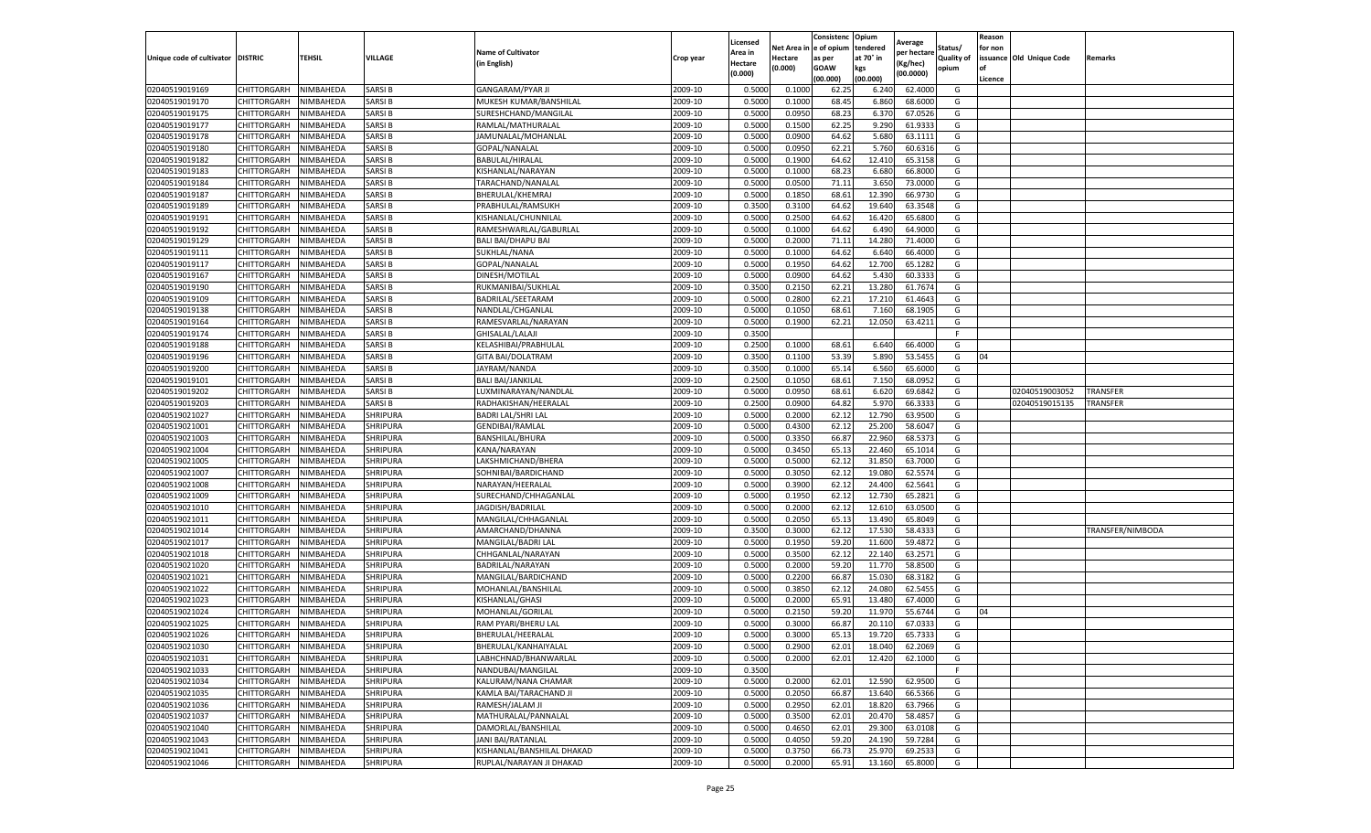|                                   |                            |                        |                      |                                              |                    | Licensed         |                  | Consistenc     | Opium            | Average            |                   | Reason  |                          |                  |
|-----------------------------------|----------------------------|------------------------|----------------------|----------------------------------------------|--------------------|------------------|------------------|----------------|------------------|--------------------|-------------------|---------|--------------------------|------------------|
|                                   |                            |                        |                      | <b>Name of Cultivator</b>                    |                    | Area in          | Net Area i       | e of opium     | tendered         | per hectare        | Status/           | for non |                          |                  |
| Unique code of cultivator DISTRIC |                            | TEHSIL                 | VILLAGE              | (in English)                                 | Crop year          | Hectare          | Hectare          | as per         | at 70° in        | (Kg/hec)           | <b>Quality of</b> |         | issuance Old Unique Code | Remarks          |
|                                   |                            |                        |                      |                                              |                    | (0.000)          | (0.000)          | <b>GOAW</b>    | kgs              | (00.0000)          | opium             |         |                          |                  |
|                                   |                            |                        |                      |                                              |                    |                  |                  | (00.000        | (00.000)         |                    |                   | Licence |                          |                  |
| 02040519019169                    | CHITTORGARH                | NIMBAHEDA              | SARSI B              | <b>GANGARAM/PYAR JI</b>                      | 2009-10            | 0.5000           | 0.1000           | 62.25          | 6.240            | 62.4000            | G                 |         |                          |                  |
| 02040519019170                    | CHITTORGARH                | NIMBAHEDA              | SARSI B              | MUKESH KUMAR/BANSHILAI                       | 2009-10            | 0.500            | 0.1000           | 68.45          | 6.860            | 68.6000            | G                 |         |                          |                  |
| 02040519019175                    | CHITTORGARH                | NIMBAHEDA              | SARSI B              | SURESHCHAND/MANGILAL                         | 2009-10            | 0.5000           | 0.0950           | 68.23          | 6.370            | 67.0526            | G                 |         |                          |                  |
| 02040519019177                    | CHITTORGARH                | NIMBAHEDA              | <b>SARSIB</b>        | RAMLAL/MATHURALAL                            | 2009-10            | 0.5000           | 0.1500           | 62.25          | 9.290            | 61.9333            | G                 |         |                          |                  |
| 02040519019178                    | CHITTORGARH                | NIMBAHEDA              | SARSI B              | JAMUNALAL/MOHANLAL                           | 2009-10            | 0.5000           | 0.0900           | 64.62          | 5.680            | 63.1111            | G                 |         |                          |                  |
| 02040519019180                    | CHITTORGARH                | NIMBAHEDA              | SARSI B              | GOPAL/NANALAL                                | 2009-10            | 0.5000           | 0.0950           | 62.21          | 5.760            | 60.6316            | G                 |         |                          |                  |
| 02040519019182                    | CHITTORGARH                | NIMBAHEDA              | SARSI B              | BABULAL/HIRALAL                              | 2009-10            | 0.5000           | 0.1900           | 64.62          | 12.410           | 65.3158            | G                 |         |                          |                  |
| 02040519019183                    | CHITTORGARH                | NIMBAHEDA              | SARSI B              | KISHANLAL/NARAYAN                            | 2009-10            | 0.500            | 0.1000           | 68.23          | 6.680            | 66.8000            | G                 |         |                          |                  |
| 02040519019184                    | CHITTORGARH                | NIMBAHEDA              | SARSI B              | TARACHAND/NANALAL                            | 2009-10            | 0.500            | 0.0500           | 71.11          | 3.650            | 73.0000            | G                 |         |                          |                  |
| 02040519019187                    | CHITTORGARH                | NIMBAHEDA              | SARSI B              | BHERULAL/KHEMRAJ                             | 2009-10            | 0.5000           | 0.1850           | 68.61          | 12.390           | 66.9730            | G                 |         |                          |                  |
| 02040519019189                    | CHITTORGARH                | NIMBAHEDA              | SARSI B              | PRABHULAL/RAMSUKH                            | 2009-10            | 0.3500           | 0.3100           | 64.62          | 19.640           | 63.3548            | G                 |         |                          |                  |
| 02040519019191                    | CHITTORGARH                | NIMBAHEDA              | SARSI B              | KISHANLAL/CHUNNILAL                          | 2009-10            | 0.5000           | 0.2500           | 64.62          | 16.420           | 65.6800            | G                 |         |                          |                  |
| 02040519019192                    | CHITTORGARH                | NIMBAHEDA              | SARSI B              | RAMESHWARLAL/GABURLAL                        | 2009-10            | 0.5000           | 0.1000           | 64.62          | 6.490            | 64.9000            | G                 |         |                          |                  |
| 02040519019129                    | CHITTORGARH                | NIMBAHEDA              | SARSI B              | <b>BALI BAI/DHAPU BAI</b>                    | 2009-10            | 0.500            | 0.2000           | 71.11          | 14.280           | 71.4000            | G                 |         |                          |                  |
| 02040519019111                    | CHITTORGARH                | NIMBAHEDA              | SARSI B              | SUKHLAL/NANA                                 | 2009-10            | 0.5000           | 0.1000           | 64.62          | 6.640            | 66.4000            | G                 |         |                          |                  |
| 02040519019117                    | CHITTORGARH                | NIMBAHEDA              | SARSI B              | GOPAL/NANALAL                                | 2009-10            | 0.5000           | 0.1950           | 64.62          | 12.700           | 65.1282            | G                 |         |                          |                  |
| 02040519019167                    | CHITTORGARH                | NIMBAHEDA              | SARSI B              | DINESH/MOTILAL                               | 2009-10            | 0.500            | 0.0900           | 64.62          | 5.430            | 60.333             | G                 |         |                          |                  |
| 02040519019190                    | CHITTORGARH                | NIMBAHEDA              | SARSI B              | RUKMANIBAI/SUKHLAL                           | 2009-10            | 0.3500           | 0.2150           | 62.21          | 13.280           | 61.7674            | G                 |         |                          |                  |
| 02040519019109                    | CHITTORGARH                | NIMBAHEDA              | SARSI B              | BADRILAL/SEETARAM                            | 2009-10            | 0.500            | 0.2800           | 62.21          | 17.210           | 61.4643            | G                 |         |                          |                  |
| 02040519019138                    | CHITTORGARH                | NIMBAHEDA              | SARSI B              | NANDLAL/CHGANLAL                             | 2009-10            | 0.5000           | 0.1050           | 68.61          | 7.160            | 68.1905            | G                 |         |                          |                  |
| 02040519019164                    | CHITTORGARH                | NIMBAHEDA              | SARSI B              | RAMESVARLAL/NARAYAN                          | 2009-10            | 0.5000           | 0.1900           | 62.21          | 12.050           | 63.4211            | G                 |         |                          |                  |
| 02040519019174                    | CHITTORGARH                | NIMBAHEDA              | SARSI B              | GHISALAL/LALAJI                              | 2009-10            | 0.3500           |                  |                |                  |                    | F.                |         |                          |                  |
| 02040519019188                    | CHITTORGARH                | NIMBAHEDA              | <b>SARSIB</b>        | KELASHIBAI/PRABHULAL                         | 2009-10            | 0.2500           | 0.1000           | 68.61          | 6.640            | 66.4000            | G                 |         |                          |                  |
| 02040519019196                    | CHITTORGARH                | NIMBAHEDA              | SARSI B              | <b>GITA BAI/DOLATRAM</b>                     | 2009-10            | 0.3500           | 0.1100           | 53.39          | 5.890            | 53.5455            | G                 | 04      |                          |                  |
| 02040519019200                    | CHITTORGARH                | NIMBAHEDA              | SARSI B              | JAYRAM/NANDA                                 | 2009-10            | 0.3500           | 0.1000           | 65.14          | 6.560            | 65.6000            | G                 |         |                          |                  |
| 02040519019101                    | CHITTORGARH                | NIMBAHEDA              | SARSI B              | <b>BALI BAI/JANKILAL</b>                     | 2009-10            | 0.2500           | 0.1050           | 68.61          | 7.150            | 68.0952            | G                 |         |                          |                  |
| 02040519019202                    | CHITTORGARH                | NIMBAHEDA              | SARSI B              | LUXMINARAYAN/NANDLAL                         | 2009-10            | 0.5000           | 0.0950           | 68.61          | 6.620            | 69.6842            | G                 |         | 02040519003052           | <b>TRANSFER</b>  |
| 02040519019203                    | CHITTORGARH                | NIMBAHEDA              | SARSI B              | RADHAKISHAN/HEERALAL                         | 2009-10            | 0.2500           | 0.0900           | 64.82          | 5.970            | 66.3333            | G                 |         | 02040519015135           | <b>TRANSFER</b>  |
| 02040519021027                    | CHITTORGARH                | NIMBAHEDA              | SHRIPURA             | <b>BADRI LAL/SHRI LAL</b>                    | 2009-10            | 0.5000           | 0.2000           | 62.12          | 12.790           | 63.9500            | G                 |         |                          |                  |
| 02040519021001                    | CHITTORGARH                | NIMBAHEDA              | SHRIPURA             | GENDIBAI/RAMLAL                              | 2009-10            | 0.5000           | 0.4300           | 62.12          | 25.200           | 58.6047            | G                 |         |                          |                  |
| 02040519021003                    | CHITTORGARH                | NIMBAHEDA              | SHRIPURA             | BANSHILAL/BHURA                              | 2009-10            | 0.5000           | 0.3350           | 66.87          | 22.960           | 68.5373            | G                 |         |                          |                  |
| 02040519021004                    | CHITTORGARH                | NIMBAHEDA              | <b>SHRIPURA</b>      | KANA/NARAYAN                                 | 2009-10            | 0.5000           | 0.3450           | 65.1           | 22.460           | 65.1014            | G                 |         |                          |                  |
| 02040519021005                    | CHITTORGARH                | NIMBAHEDA              | SHRIPURA             | LAKSHMICHAND/BHERA                           | 2009-10            | 0.500            | 0.5000           | 62.1           | 31.850           | 63.7000            | G                 |         |                          |                  |
| 02040519021007                    | CHITTORGARH                | NIMBAHEDA              | SHRIPURA             | SOHNIBAI/BARDICHAND                          | 2009-10            | 0.5000           | 0.3050           | 62.1           | 19.080           | 62.5574            | G                 |         |                          |                  |
| 02040519021008                    | CHITTORGARH                | NIMBAHEDA              | <b>SHRIPURA</b>      | NARAYAN/HEERALAL                             | 2009-10            | 0.5000           | 0.3900           | 62.12          | 24.400           | 62.5641            | G                 |         |                          |                  |
| 02040519021009                    | CHITTORGARH                | NIMBAHEDA              | SHRIPURA             | SURECHAND/CHHAGANLAL                         | 2009-10            | 0.5000           | 0.1950           | 62.12          | 12.730           | 65.2821            | G                 |         |                          |                  |
| 02040519021010                    | CHITTORGARH                | NIMBAHEDA              | SHRIPURA             | JAGDISH/BADRILAL                             | 2009-10            | 0.5000           | 0.2000           | 62.12          | 12.610           | 63.0500            | G                 |         |                          |                  |
| 02040519021011                    | CHITTORGARH                | NIMBAHEDA              | SHRIPURA             | MANGILAL/CHHAGANLAI                          | 2009-10            | 0.5000           | 0.2050           | 65.13          | 13.490           | 65.8049            | G                 |         |                          |                  |
| 02040519021014                    | CHITTORGARH                | NIMBAHEDA              | SHRIPURA             | AMARCHAND/DHANNA                             | 2009-10            | 0.3500           | 0.3000           | 62.1           | 17.530           | 58.433             | G                 |         |                          | TRANSFER/NIMBODA |
| 02040519021017                    | CHITTORGARH                | NIMBAHEDA              | SHRIPURA             | MANGILAL/BADRI LAL                           | 2009-10            | 0.5000           | 0.1950           | 59.20          | 11.600           | 59.4872            | G                 |         |                          |                  |
| 02040519021018                    | CHITTORGARH                | NIMBAHEDA              | SHRIPURA             | CHHGANLAL/NARAYAN                            | 2009-10            | 0.500            | 0.3500           | 62.1           | 22.140           | 63.2571            | G                 |         |                          |                  |
| 02040519021020                    | CHITTORGARH                | NIMBAHEDA              | SHRIPURA             | BADRILAL/NARAYAN                             | 2009-10            | 0.5000           | 0.2000           | 59.20          | 11.770           | 58.8500            | G                 |         |                          |                  |
| 02040519021021                    | CHITTORGARH                | NIMBAHEDA              | SHRIPURA             | MANGILAL/BARDICHAND                          | 2009-10            | 0.5000           | 0.2200           | 66.87          | 15.030           | 68.3182            | G                 |         |                          |                  |
| 02040519021022                    | CHITTORGARH                | NIMBAHEDA              | SHRIPURA             | MOHANLAL/BANSHILAL                           | 2009-10            | 0.5000           | 0.3850           | 62.12          | 24.080           | 62.5455            | G                 |         |                          |                  |
| 02040519021023                    | CHITTORGARH                | NIMBAHEDA              | SHRIPURA             | KISHANLAL/GHASI                              | 2009-10            | 0.5000           | 0.2000           | 65.91          | 13.480           | 67.4000            | G                 |         |                          |                  |
| 02040519021024                    | CHITTORGARH                | NIMBAHEDA              | SHRIPURA             | MOHANLAL/GORILAL                             | 2009-10            | 0.500            | 0.2150           | 59.20          | 11.97            | 55.6744            | G                 | 04      |                          |                  |
| 02040519021025                    | CHITTORGARH                | NIMBAHEDA              | SHRIPURA             | RAM PYARI/BHERU LAL                          | 2009-10            | 0.500            | 0.3000           | 66.87          | 20.11            | 67.0333            | G                 |         |                          |                  |
| 02040519021026                    | CHITTORGARH                | NIMBAHEDA              | SHRIPURA             | BHERULAL/HEERALAL                            | 2009-10            | 0.5000           | 0.3000           | 65.13          | 19.720           | 65.7333            | G                 |         |                          |                  |
|                                   |                            |                        |                      |                                              | 2009-10            |                  |                  |                |                  |                    | G                 |         |                          |                  |
| 02040519021030<br>02040519021031  | CHITTORGARH<br>CHITTORGARH | NIMBAHEDA<br>NIMBAHEDA | SHRIPURA<br>SHRIPURA | BHERULAL/KANHAIYALAL<br>LABHCHNAD/BHANWARLAL | 2009-10            | 0.5000<br>0.5000 | 0.2900<br>0.2000 | 62.01<br>62.01 | 18.040<br>12.420 | 62.2069<br>62.1000 | G                 |         |                          |                  |
| 02040519021033                    | CHITTORGARH                | NIMBAHEDA              | SHRIPURA             | NANDUBAI/MANGILAL                            | 2009-10            | 0.3500           |                  |                |                  |                    | F.                |         |                          |                  |
|                                   |                            |                        |                      |                                              |                    |                  |                  |                |                  |                    |                   |         |                          |                  |
| 02040519021034                    | CHITTORGARH                | NIMBAHEDA              | SHRIPURA             | KALURAM/NANA CHAMAR                          | 2009-10<br>2009-10 | 0.5000           | 0.2000           | 62.01<br>66.87 | 12.590           | 62.9500            | G                 |         |                          |                  |
| 02040519021035                    | CHITTORGARH                | NIMBAHEDA              | SHRIPURA             | KAMLA BAI/TARACHAND JI                       |                    | 0.5000           | 0.2050           |                | 13.640           | 66.5366            | G                 |         |                          |                  |
| 02040519021036                    | CHITTORGARH                | NIMBAHEDA              | <b>SHRIPURA</b>      | RAMESH/JALAM JI                              | 2009-10            | 0.5000           | 0.2950           | 62.01          | 18.820           | 63.7966            | G                 |         |                          |                  |
| 02040519021037                    | CHITTORGARH                | NIMBAHEDA              | SHRIPURA             | MATHURALAL/PANNALAL                          | 2009-10            | 0.5000           | 0.3500           | 62.01          | 20.470           | 58.4857            | G                 |         |                          |                  |
| 02040519021040                    | CHITTORGARH                | NIMBAHEDA              | SHRIPURA             | DAMORLAL/BANSHILAL                           | 2009-10            | 0.5000           | 0.4650           | 62.01          | 29.300           | 63.0108            | G                 |         |                          |                  |
| 02040519021043                    | CHITTORGARH                | NIMBAHEDA              | SHRIPURA             | JANI BAI/RATANLAL                            | 2009-10            | 0.5000           | 0.4050           | 59.20          | 24.190           | 59.7284            | G                 |         |                          |                  |
| 02040519021041                    | CHITTORGARH                | NIMBAHEDA              | SHRIPURA             | KISHANLAL/BANSHILAL DHAKAD                   | 2009-10            | 0.5000           | 0.3750           | 66.7           | 25.970           | 69.2533            | G                 |         |                          |                  |
| 02040519021046                    | CHITTORGARH                | NIMBAHEDA              | SHRIPURA             | RUPLAL/NARAYAN JI DHAKAD                     | 2009-10            | 0.5000           | 0.2000           | 65.91          | 13.160           | 65.8000            | G                 |         |                          |                  |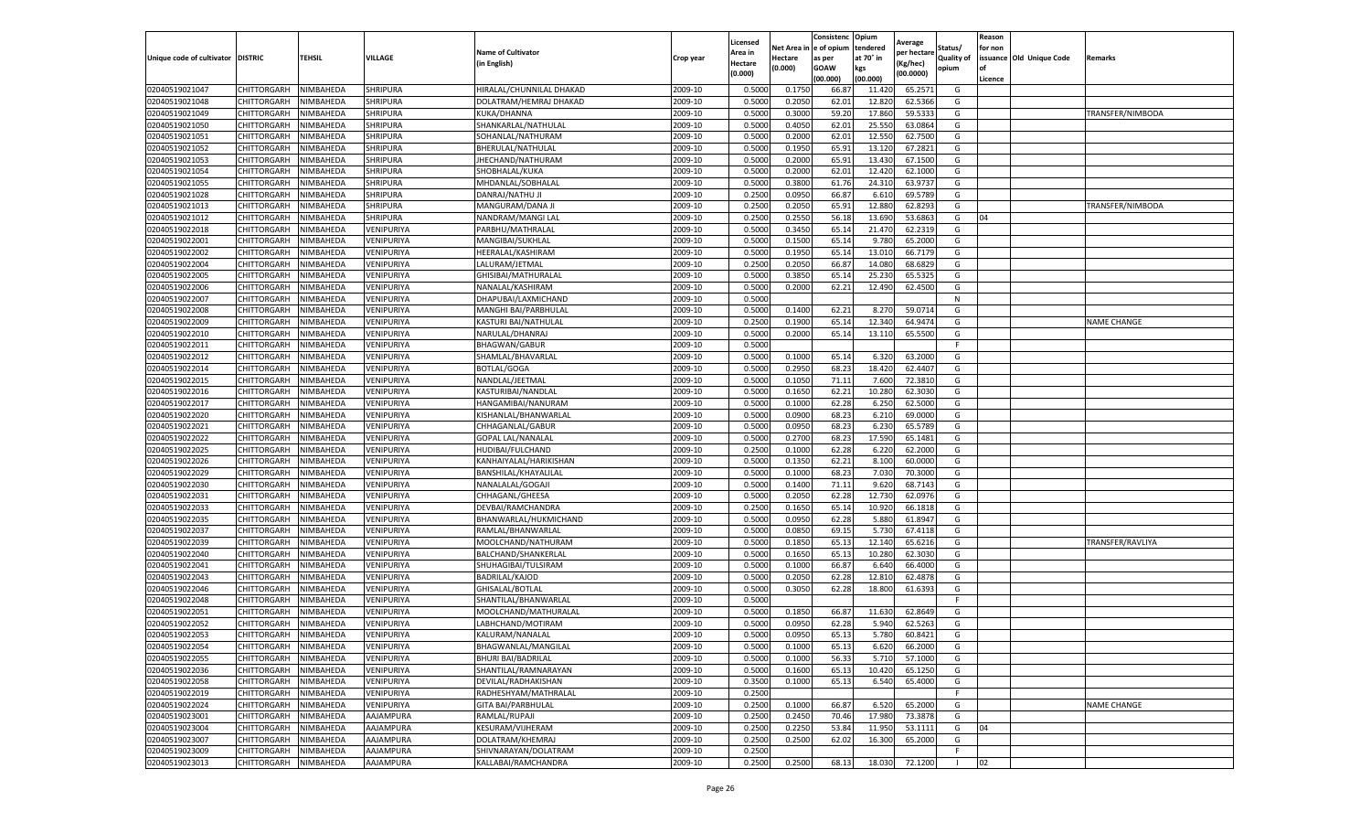|                                   |                            |                        |                             |                                          |                    | Licensed         |                  | Consistenc     | Opium           | Average            |                   | Reason  |                          |                    |
|-----------------------------------|----------------------------|------------------------|-----------------------------|------------------------------------------|--------------------|------------------|------------------|----------------|-----------------|--------------------|-------------------|---------|--------------------------|--------------------|
|                                   |                            |                        |                             | <b>Name of Cultivator</b>                |                    | Area in          | Net Area i       | e of opium     | tendered        | per hectare        | Status/           | for non |                          |                    |
| Unique code of cultivator DISTRIC |                            | TEHSIL                 | VILLAGE                     | (in English)                             | Crop year          | Hectare          | Hectare          | as per         | at 70° in       | (Kg/hec)           | <b>Quality of</b> |         | issuance Old Unique Code | Remarks            |
|                                   |                            |                        |                             |                                          |                    | (0.000)          | (0.000)          | <b>GOAW</b>    | kgs             | (00.0000)          | opium             |         |                          |                    |
|                                   |                            |                        |                             |                                          |                    |                  |                  | (00.000)       | (00.000)        |                    |                   | Licence |                          |                    |
| 02040519021047                    | CHITTORGARH                | NIMBAHEDA              | <b>SHRIPURA</b>             | HIRALAL/CHUNNILAL DHAKAD                 | 2009-10            | 0.5000           | 0.1750           | 66.87          | 11.420          | 65.2571            | G                 |         |                          |                    |
| 02040519021048                    | CHITTORGARH                | NIMBAHEDA<br>NIMBAHEDA | SHRIPURA                    | DOLATRAM/HEMRAJ DHAKAD                   | 2009-10<br>2009-10 | 0.500            | 0.2050           | 62.01          | 12.82           | 62.5366            | G                 |         |                          |                    |
| 02040519021049                    | CHITTORGARH                |                        | SHRIPURA                    | KUKA/DHANNA<br>SHANKARLAL/NATHULAL       |                    | 0.5000           | 0.3000           | 59.20          | 17.860          | 59.5333            | G                 |         |                          | TRANSFER/NIMBODA   |
| 02040519021050                    | CHITTORGARH                | NIMBAHEDA              | <b>SHRIPURA</b><br>SHRIPURA |                                          | 2009-10            | 0.5000           | 0.4050           | 62.01          | 25.550          | 63.0864            | G                 |         |                          |                    |
| 02040519021051<br>02040519021052  | CHITTORGARH                | NIMBAHEDA<br>NIMBAHEDA | SHRIPURA                    | SOHANLAL/NATHURAM                        | 2009-10<br>2009-10 | 0.5000<br>0.5000 | 0.2000<br>0.1950 | 62.01<br>65.91 | 12.550<br>13.12 | 62.7500<br>67.2821 | G<br>G            |         |                          |                    |
| 02040519021053                    | CHITTORGARH<br>CHITTORGARH | NIMBAHEDA              | SHRIPURA                    | BHERULAL/NATHULAL                        | 2009-10            | 0.5000           | 0.2000           | 65.91          | 13.430          | 67.1500            | G                 |         |                          |                    |
| 02040519021054                    |                            |                        |                             | JHECHAND/NATHURAM                        | 2009-10            | 0.500            | 0.2000           | 62.01          | 12.420          | 62.1000            |                   |         |                          |                    |
| 02040519021055                    | CHITTORGARH<br>CHITTORGARH | NIMBAHEDA              | SHRIPURA<br><b>SHRIPURA</b> | SHOBHALAL/KUKA<br>MHDANLAL/SOBHALAL      | 2009-10            |                  | 0.3800           |                |                 |                    | G                 |         |                          |                    |
| 02040519021028                    | CHITTORGARH                | NIMBAHEDA<br>NIMBAHEDA | SHRIPURA                    | DANRAJ/NATHU JI                          | 2009-10            | 0.500<br>0.2500  | 0.0950           | 61.76<br>66.87 | 24.310<br>6.610 | 63.9737<br>69.5789 | G<br>G            |         |                          |                    |
| 02040519021013                    | CHITTORGARH                | NIMBAHEDA              | SHRIPURA                    | MANGURAM/DANA J                          | 2009-10            | 0.2500           | 0.2050           | 65.91          | 12.880          | 62.8293            | G                 |         |                          | TRANSFER/NIMBODA   |
| 02040519021012                    | CHITTORGARH                | NIMBAHEDA              | <b>SHRIPURA</b>             | NANDRAM/MANGI LAL                        | 2009-10            | 0.2500           | 0.2550           | 56.18          | 13.69           | 53.6863            | G                 | 04      |                          |                    |
| 02040519022018                    | CHITTORGARH                | NIMBAHEDA              | VENIPURIYA                  | PARBHU/MATHRALAL                         | 2009-10            | 0.5000           | 0.3450           | 65.14          | 21.47           | 62.2319            | G                 |         |                          |                    |
| 02040519022001                    |                            |                        | VENIPURIYA                  |                                          | 2009-10            | 0.500            | 0.1500           | 65.1           | 9.780           | 65.2000            |                   |         |                          |                    |
|                                   | CHITTORGARH<br>CHITTORGARH | NIMBAHEDA<br>NIMBAHEDA |                             | MANGIBAI/SUKHLAL                         | 2009-10            | 0.5000           |                  | 65.14          | 13.010          |                    | G<br>G            |         |                          |                    |
| 02040519022002                    |                            |                        | VENIPURIYA                  | HEERALAL/KASHIRAM                        | 2009-10            | 0.2500           | 0.1950<br>0.2050 | 66.87          |                 | 66.7179<br>68.6829 |                   |         |                          |                    |
| 02040519022004<br>02040519022005  | CHITTORGARH                | NIMBAHEDA              | VENIPURIYA                  | LALURAM/JETMAL                           | 2009-10            | 0.500            | 0.3850           |                | 14.080<br>25.23 |                    | G                 |         |                          |                    |
| 02040519022006                    | CHITTORGARH                | NIMBAHEDA              | VENIPURIYA                  | GHISIBAI/MATHURALAL                      |                    |                  |                  | 65.1           |                 | 65.532<br>62.4500  | G<br>G            |         |                          |                    |
|                                   | CHITTORGARH<br>CHITTORGARH | NIMBAHEDA              | VENIPURIYA                  | NANALAL/KASHIRAM                         | 2009-10            | 0.5000           | 0.2000           | 62.21          | 12.490          |                    |                   |         |                          |                    |
| 02040519022007                    |                            | NIMBAHEDA              | VENIPURIYA<br>VENIPURIYA    | DHAPUBAI/LAXMICHAND                      | 2009-10            | 0.5000           |                  |                |                 |                    | N                 |         |                          |                    |
| 02040519022008                    | CHITTORGARH                | VIMBAHEDA              | VENIPURIYA                  | MANGHI BAI/PARBHULAL                     | 2009-10<br>2009-10 | 0.5000<br>0.2500 | 0.1400           | 62.21          | 8.27            | 59.0714            | G                 |         |                          |                    |
| 02040519022009                    | CHITTORGARH<br>CHITTORGARH | NIMBAHEDA              |                             | KASTURI BAI/NATHULAL                     | 2009-10            |                  | 0.1900           | 65.14          | 12.340          | 64.9474            | G                 |         |                          | <b>NAME CHANGE</b> |
| 02040519022010                    | CHITTORGARH                | NIMBAHEDA              | VENIPURIYA<br>VENIPURIYA    | NARULAL/DHANRAJ                          |                    | 0.5000<br>0.5000 | 0.2000           | 65.14          | 13.110          | 65.5500            | G<br>F.           |         |                          |                    |
| 02040519022011                    | CHITTORGARH                | NIMBAHEDA<br>NIMBAHEDA | VENIPURIYA                  | BHAGWAN/GABUR<br>SHAMLAL/BHAVARLAL       | 2009-10<br>2009-10 | 0.5000           | 0.1000           | 65.14          |                 |                    | G                 |         |                          |                    |
| 02040519022012<br>02040519022014  | CHITTORGARH                |                        |                             |                                          |                    |                  | 0.2950           |                | 6.320<br>18.42  | 63.2000<br>62.4407 |                   |         |                          |                    |
|                                   | CHITTORGARH                | NIMBAHEDA<br>NIMBAHEDA | VENIPURIYA<br>VENIPURIYA    | <b>BOTLAL/GOGA</b>                       | 2009-10<br>2009-10 | 0.5000<br>0.5000 | 0.1050           | 68.23<br>71.11 | 7.600           | 72.3810            | G<br>G            |         |                          |                    |
| 02040519022015                    |                            |                        |                             | NANDLAL/JEETMAL                          |                    |                  |                  |                |                 |                    |                   |         |                          |                    |
| 02040519022016<br>02040519022017  | CHITTORGARH                | NIMBAHEDA<br>NIMBAHEDA | VENIPURIYA<br>VENIPURIYA    | KASTURIBAI/NANDLAL<br>HANGAMIBAI/NANURAM | 2009-10<br>2009-10 | 0.500<br>0.5000  | 0.1650<br>0.1000 | 62.22          | 10.280<br>6.250 | 62.3030<br>62.5000 | G<br>G            |         |                          |                    |
| 02040519022020                    | CHITTORGARH<br>CHITTORGARH | NIMBAHEDA              | VENIPURIYA                  | KISHANLAL/BHANWARLAL                     | 2009-10            | 0.5000           | 0.0900           | 62.28<br>68.23 | 6.210           | 69.0000            | G                 |         |                          |                    |
| 02040519022021                    | CHITTORGARH                | NIMBAHEDA              | VENIPURIYA                  | CHHAGANLAL/GABUR                         | 2009-10            | 0.5000           | 0.0950           | 68.23          | 6.230           | 65.5789            | G                 |         |                          |                    |
| 02040519022022                    | CHITTORGARH                | NIMBAHEDA              | VENIPURIYA                  | <b>GOPAL LAL/NANALAL</b>                 | 2009-10            | 0.5000           | 0.2700           | 68.23          | 17.590          | 65.1481            | G                 |         |                          |                    |
| 02040519022025                    | CHITTORGARH                | NIMBAHEDA              | VENIPURIYA                  | HUDIBAI/FULCHAND                         | 2009-10            | 0.2500           | 0.1000           | 62.28          | 6.220           | 62.2000            | G                 |         |                          |                    |
| 02040519022026                    | CHITTORGARH                | NIMBAHEDA              | VENIPURIYA                  | KANHAIYALAL/HARIKISHAN                   | 2009-10            | 0.500            | 0.1350           | 62.21          | 8.100           | 60.0000            | G                 |         |                          |                    |
| 02040519022029                    | CHITTORGARH                | NIMBAHEDA              | VENIPURIYA                  | BANSHILAL/KHAYALILAI                     | 2009-10            | 0.5000           | 0.1000           | 68.23          | 7.030           | 70.3000            | G                 |         |                          |                    |
| 02040519022030                    | CHITTORGARH                | NIMBAHEDA              | VENIPURIYA                  | NANALALAL/GOGAJI                         | 2009-10            | 0.5000           | 0.1400           | 71.11          | 9.620           | 68.7143            | G                 |         |                          |                    |
| 02040519022031                    | CHITTORGARH                | NIMBAHEDA              | VENIPURIYA                  | CHHAGANL/GHEESA                          | 2009-10            | 0.5000           | 0.2050           | 62.28          | 12.730          | 62.0976            | G                 |         |                          |                    |
| 02040519022033                    | CHITTORGARH                | NIMBAHEDA              | VENIPURIYA                  | DEVBAI/RAMCHANDRA                        | 2009-10            | 0.2500           | 0.1650           | 65.14          | 10.920          | 66.1818            | G                 |         |                          |                    |
| 02040519022035                    | CHITTORGARH                | NIMBAHEDA              | VENIPURIYA                  | BHANWARLAL/HUKMICHAND                    | 2009-10            | 0.5000           | 0.0950           | 62.28          | 5.880           | 61.8947            | G                 |         |                          |                    |
| 02040519022037                    | CHITTORGARH                | NIMBAHEDA              | VENIPURIYA                  | RAMLAL/BHANWARLAL                        | 2009-10            | 0.5000           | 0.0850           | 69.1           | 5.730           | 67.4118            | G                 |         |                          |                    |
| 02040519022039                    | CHITTORGARH                | NIMBAHEDA              | VENIPURIYA                  | MOOLCHAND/NATHURAM                       | 2009-10            | 0.5000           | 0.1850           | 65.13          | 12.140          | 65.6216            | G                 |         |                          | TRANSFER/RAVLIYA   |
| 02040519022040                    | CHITTORGARH                | NIMBAHEDA              | VENIPURIYA                  |                                          | 2009-10            | 0.500            | 0.1650           | 65.1           | 10.280          | 62.3030            | G                 |         |                          |                    |
| 02040519022041                    |                            |                        |                             | BALCHAND/SHANKERLAI                      | 2009-10            | 0.5000           | 0.1000           | 66.87          |                 | 66.4000            | G                 |         |                          |                    |
| 02040519022043                    | CHITTORGARH<br>CHITTORGARH | NIMBAHEDA<br>NIMBAHEDA | VENIPURIYA<br>VENIPURIYA    | SHUHAGIBAI/TULSIRAM<br>BADRILAL/KAJOD    | 2009-10            | 0.5000           | 0.2050           | 62.28          | 6.640<br>12.81  | 62.4878            | G                 |         |                          |                    |
| 02040519022046                    | CHITTORGARH                | NIMBAHEDA              | VENIPURIYA                  | GHISALAL/BOTLAL                          | 2009-10            | 0.5000           | 0.3050           | 62.28          | 18.800          | 61.6393            | G                 |         |                          |                    |
| 02040519022048                    | CHITTORGARH                | NIMBAHEDA              | VENIPURIYA                  | SHANTILAL/BHANWARLAL                     | 2009-10            | 0.5000           |                  |                |                 |                    | F                 |         |                          |                    |
| 02040519022051                    | CHITTORGARH                | NIMBAHEDA              | VENIPURIYA                  | MOOLCHAND/MATHURALAL                     | 2009-10            | 0.500            | 0.1850           | 66.87          | 11.630          | 62.8649            | G                 |         |                          |                    |
| 02040519022052                    | CHITTORGARH                | NIMBAHEDA              | VENIPURIYA                  | LABHCHAND/MOTIRAM                        | 2009-10            | 0.5000           | 0.0950           | 62.28          | 5.940           | 62.5263            | G                 |         |                          |                    |
| 02040519022053                    | CHITTORGARH                | NIMBAHEDA              | VENIPURIYA                  | KALURAM/NANALAL                          | 2009-10            | 0.5000           | 0.0950           | 65.13          | 5.780           | 60.8421            | G                 |         |                          |                    |
| 02040519022054                    | CHITTORGARH                | NIMBAHEDA              | VENIPURIYA                  | BHAGWANLAL/MANGILAL                      | 2009-10            | 0.5000           | 0.1000           | 65.13          | 6.620           | 66.2000            | G                 |         |                          |                    |
| 02040519022055                    | CHITTORGARH                | NIMBAHEDA              | VENIPURIYA                  | <b>BHURI BAI/BADRILAL</b>                | 2009-10            | 0.5000           | 0.1000           | 56.33          | 5.710           | 57.1000            | G                 |         |                          |                    |
| 02040519022036                    | CHITTORGARH                | NIMBAHEDA              | VENIPURIYA                  | SHANTILAL/RAMNARAYAN                     | 2009-10            | 0.5000           | 0.1600           | 65.13          | 10.420          | 65.1250            | G                 |         |                          |                    |
| 02040519022058                    | CHITTORGARH                | NIMBAHEDA              | VENIPURIYA                  | DEVILAL/RADHAKISHAN                      | 2009-10            | 0.3500           | 0.1000           | 65.13          | 6.540           | 65.4000            | G                 |         |                          |                    |
| 02040519022019                    | CHITTORGARH                | NIMBAHEDA              | VENIPURIYA                  | RADHESHYAM/MATHRALAL                     | 2009-10            | 0.2500           |                  |                |                 |                    | F.                |         |                          |                    |
| 02040519022024                    | CHITTORGARH                | NIMBAHEDA              | VENIPURIYA                  | <b>GITA BAI/PARBHULAL</b>                | 2009-10            | 0.2500           | 0.1000           | 66.87          | 6.520           | 65.2000            | G                 |         |                          | <b>NAME CHANGE</b> |
| 02040519023001                    | CHITTORGARH                | NIMBAHEDA              | AAJAMPURA                   | RAMLAL/RUPAJI                            | 2009-10            | 0.2500           | 0.2450           | 70.46          | 17.980          | 73.3878            | G                 |         |                          |                    |
| 02040519023004                    | CHITTORGARH                | NIMBAHEDA              | AAJAMPURA                   | KESURAM/VIJHERAM                         | 2009-10            | 0.2500           | 0.2250           | 53.84          | 11.950          | 53.1111            | G                 | 04      |                          |                    |
| 02040519023007                    | CHITTORGARH                | NIMBAHEDA              | AAJAMPURA                   | DOLATRAM/KHEMRAJ                         | 2009-10            | 0.2500           | 0.2500           | 62.02          | 16.300          | 65.2000            | G                 |         |                          |                    |
| 02040519023009                    | CHITTORGARH                | NIMBAHEDA              | AAJAMPURA                   | SHIVNARAYAN/DOLATRAM                     | 2009-10            | 0.2500           |                  |                |                 |                    | F                 |         |                          |                    |
| 02040519023013                    |                            |                        |                             |                                          |                    |                  |                  |                |                 |                    |                   |         |                          |                    |
|                                   | CHITTORGARH                | NIMBAHEDA              | AAJAMPURA                   | KALLABAI/RAMCHANDRA                      | 2009-10            | 0.2500           | 0.2500           | 68.13          | 18.030          | 72.1200            | $\mathbf{L}$      | 02      |                          |                    |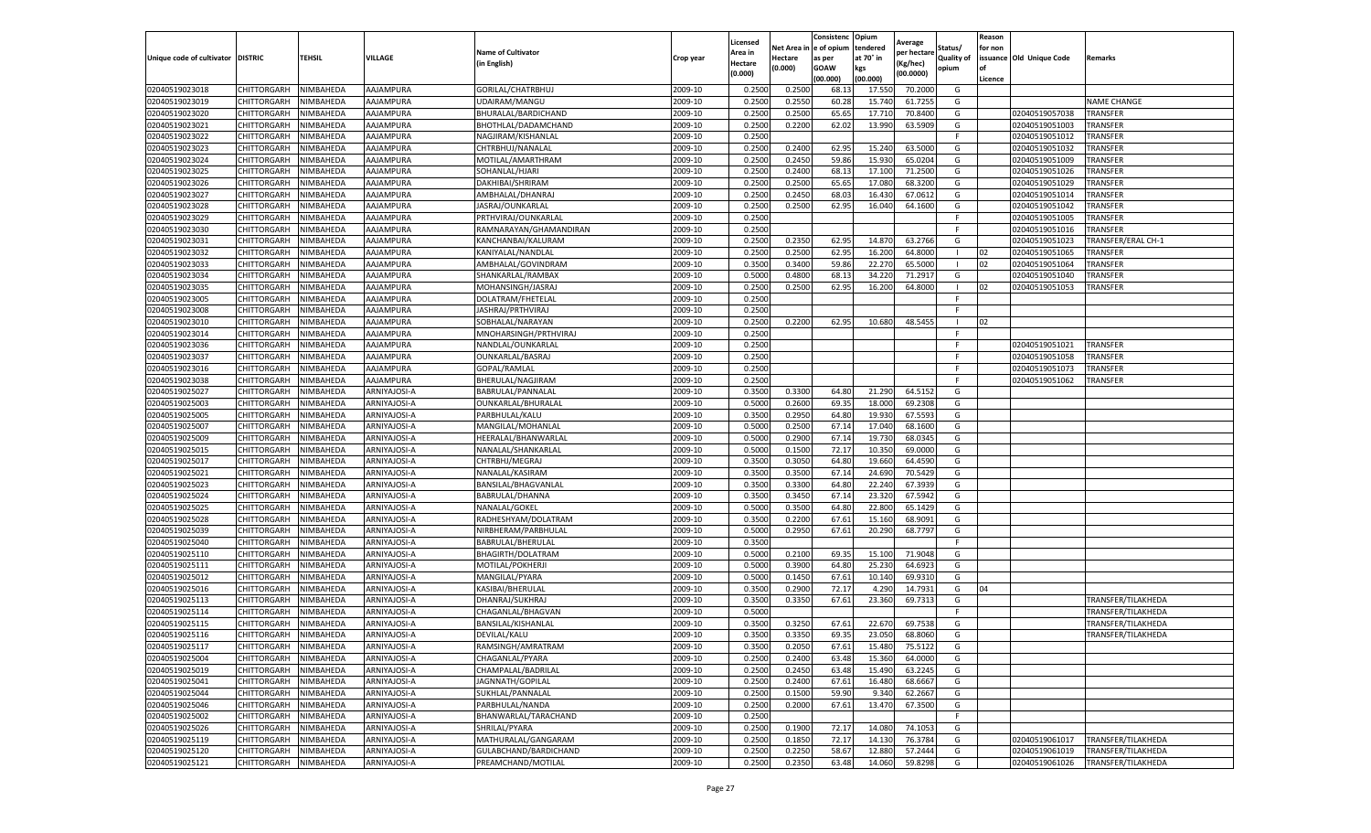|                           |                    |           |              |                           |           | Licensed |         | Consistenc             | Opium     | Average     |                   | Reason  |                          |                    |
|---------------------------|--------------------|-----------|--------------|---------------------------|-----------|----------|---------|------------------------|-----------|-------------|-------------------|---------|--------------------------|--------------------|
|                           |                    |           |              | <b>Name of Cultivator</b> |           | Area in  |         | Net Area in e of opium | tendered  | per hectare | Status/           | for non |                          |                    |
| Unique code of cultivator | <b>DISTRIC</b>     | TEHSIL    | VILLAGE      | in English)               | Crop year | Hectare  | Hectare | as per                 | at 70° in | (Kg/hec     | <b>Quality of</b> |         | issuance Old Unique Code | <b>Remarks</b>     |
|                           |                    |           |              |                           |           | (0.000)  | (0.000) | <b>GOAW</b>            | kgs       | (00.0000)   | opium             |         |                          |                    |
|                           |                    |           |              |                           |           |          |         | (00.000)               | (00.000)  |             |                   | Licence |                          |                    |
| 02040519023018            | CHITTORGARH        | NIMBAHEDA | AAJAMPURA    | GORILAL/CHATRBHUJ         | 2009-10   | 0.2500   | 0.2500  | 68.1                   | 17.55     | 70.2000     | G                 |         |                          |                    |
| 02040519023019            | CHITTORGARH        | NIMBAHEDA | AAJAMPURA    | UDAIRAM/MANGU             | 2009-10   | 0.2500   | 0.2550  | 60.28                  | 15.74     | 61.7255     | G                 |         |                          | <b>NAME CHANGE</b> |
| 02040519023020            | CHITTORGARH        | NIMBAHEDA | AAJAMPURA    | BHURALAL/BARDICHAND       | 2009-10   | 0.2500   | 0.2500  | 65.65                  | 17.71     | 70.8400     | G                 |         | 02040519057038           | <b>TRANSFER</b>    |
| 02040519023021            | CHITTORGARH        | NIMBAHEDA | AAJAMPURA    | BHOTHLAL/DADAMCHAND       | 2009-10   | 0.2500   | 0.2200  | 62.02                  | 13.990    | 63.5909     | G                 |         | 02040519051003           | <b>TRANSFER</b>    |
| 02040519023022            | CHITTORGARH        | NIMBAHEDA | AAJAMPURA    | NAGJIRAM/KISHANLAL        | 2009-10   | 0.2500   |         |                        |           |             | F                 |         | 02040519051012           | <b>TRANSFER</b>    |
| 02040519023023            | CHITTORGARH        | NIMBAHEDA | AAJAMPURA    | CHTRBHUJ/NANALAL          | 2009-10   | 0.2500   | 0.2400  | 62.95                  | 15.24     | 63.5000     | G                 |         | 02040519051032           | TRANSFER           |
| 02040519023024            | CHITTORGARH        | NIMBAHEDA | AAJAMPURA    | MOTILAL/AMARTHRAM         | 2009-10   | 0.2500   | 0.2450  | 59.86                  | 15.93     | 65.0204     | G                 |         | 02040519051009           | <b>TRANSFER</b>    |
| 02040519023025            | CHITTORGARH        | NIMBAHEDA | AAJAMPURA    | SOHANLAL/HJARI            | 2009-10   | 0.2500   | 0.2400  | 68.1                   | 17.10     | 71.2500     | G                 |         | 02040519051026           | TRANSFER           |
| 02040519023026            | CHITTORGARH        | NIMBAHEDA | AAJAMPURA    | DAKHIBAI/SHRIRAM          | 2009-10   | 0.2500   | 0.2500  | 65.65                  | 17.08     | 68.3200     | G                 |         | 02040519051029           | <b>TRANSFER</b>    |
| 02040519023027            | CHITTORGARH        | NIMBAHEDA | AAJAMPURA    | AMBHALAL/DHANRAJ          | 2009-10   | 0.2500   | 0.2450  | 68.03                  | 16.430    | 67.0612     | G                 |         | 02040519051014           | <b>TRANSFER</b>    |
| 02040519023028            | CHITTORGARH        | NIMBAHEDA | AAJAMPURA    | JASRAJ/OUNKARLAL          | 2009-10   | 0.2500   | 0.2500  | 62.95                  | 16.04     | 64.1600     | G                 |         | 02040519051042           | TRANSFER           |
| 02040519023029            | CHITTORGARH        | NIMBAHEDA | AAJAMPURA    | PRTHVIRAJ/OUNKARLAL       | 2009-10   | 0.2500   |         |                        |           |             | F                 |         | 02040519051005           | TRANSFER           |
| 02040519023030            | CHITTORGARH        | NIMBAHEDA | AAJAMPURA    | RAMNARAYAN/GHAMANDIRAN    | 2009-10   | 0.2500   |         |                        |           |             | F                 |         | 02040519051016           | TRANSFER           |
| 02040519023031            | CHITTORGARH        | NIMBAHEDA | AAJAMPURA    | KANCHANBAI/KALURAM        | 2009-10   | 0.2500   | 0.2350  | 62.95                  | 14.87     | 63.2766     | G                 |         | 02040519051023           | TRANSFER/ERAL CH-1 |
| 02040519023032            | CHITTORGARH        | NIMBAHEDA | AAJAMPURA    | KANIYALAL/NANDLAL         | 2009-10   | 0.2500   | 0.2500  | 62.95                  | 16.200    | 64.8000     | - 1               | 02      | 02040519051065           | TRANSFER           |
| 02040519023033            | CHITTORGARH        | NIMBAHEDA | AAJAMPURA    | AMBHALAL/GOVINDRAM        | 2009-10   | 0.3500   | 0.3400  | 59.86                  | 22.27     | 65.5000     | -1                | 02      | 02040519051064           | TRANSFER           |
| 02040519023034            | CHITTORGARH        | NIMBAHEDA | AAJAMPURA    | SHANKARLAL/RAMBAX         | 2009-10   | 0.5000   | 0.4800  | 68.13                  | 34.22     | 71.2917     | G                 |         | 02040519051040           | TRANSFER           |
| 02040519023035            | CHITTORGARH        | NIMBAHEDA | AAJAMPURA    | MOHANSINGH/JASRAJ         | 2009-10   | 0.2500   | 0.2500  | 62.95                  | 16.200    | 64.8000     |                   | 02      | 02040519051053           | TRANSFER           |
| 02040519023005            | CHITTORGARH        | NIMBAHEDA | AAJAMPURA    | DOLATRAM/FHETELAL         | 2009-10   | 0.2500   |         |                        |           |             | F                 |         |                          |                    |
| 02040519023008            | CHITTORGARH        | NIMBAHEDA | AAJAMPURA    | JASHRAJ/PRTHVIRAJ         | 2009-10   | 0.2500   |         |                        |           |             | F                 |         |                          |                    |
| 02040519023010            | CHITTORGARH        | NIMBAHEDA | AAJAMPURA    | SOBHALAL/NARAYAN          | 2009-10   | 0.2500   | 0.2200  | 62.95                  | 10.680    | 48.5455     | - 1               | 02      |                          |                    |
| 02040519023014            | CHITTORGARH        | NIMBAHEDA | AAJAMPURA    | MNOHARSINGH/PRTHVIRAJ     | 2009-10   | 0.2500   |         |                        |           |             | F.                |         |                          |                    |
| 02040519023036            | CHITTORGARH        | NIMBAHEDA | AAJAMPURA    | NANDLAL/OUNKARLAL         | 2009-10   | 0.2500   |         |                        |           |             | F.                |         | 02040519051021           | <b>TRANSFER</b>    |
| 02040519023037            | CHITTORGARH        | NIMBAHEDA | AAJAMPURA    | OUNKARLAL/BASRAJ          | 2009-10   | 0.2500   |         |                        |           |             | F                 |         | 02040519051058           | TRANSFER           |
| 02040519023016            | CHITTORGARH        | NIMBAHEDA | AAJAMPURA    | GOPAL/RAMLAL              | 2009-10   | 0.2500   |         |                        |           |             | F                 |         | 02040519051073           | TRANSFER           |
|                           |                    | NIMBAHEDA | AAJAMPURA    |                           | 2009-10   |          |         |                        |           |             | F                 |         |                          | <b>TRANSFER</b>    |
| 02040519023038            | CHITTORGARH        |           |              | BHERULAL/NAGJIRAM         |           | 0.2500   |         |                        |           |             |                   |         | 02040519051062           |                    |
| 02040519025027            | CHITTORGARH        | NIMBAHEDA | ARNIYAJOSI-A | BABRULAL/PANNALAI         | 2009-10   | 0.3500   | 0.3300  | 64.80                  | 21.290    | 64.5152     | G                 |         |                          |                    |
| 02040519025003            | CHITTORGARH        | NIMBAHEDA | ARNIYAJOSI-A | OUNKARLAL/BHURALAL        | 2009-10   | 0.5000   | 0.2600  | 69.35                  | 18.000    | 69.2308     | G                 |         |                          |                    |
| 02040519025005            | CHITTORGARH        | NIMBAHEDA | ARNIYAJOSI-A | PARBHULAL/KALU            | 2009-10   | 0.3500   | 0.2950  | 64.80                  | 19.930    | 67.5593     | G                 |         |                          |                    |
| 02040519025007            | CHITTORGARH        | NIMBAHEDA | ARNIYAJOSI-A | MANGILAL/MOHANLAL         | 2009-10   | 0.5000   | 0.2500  | 67.14                  | 17.04     | 68.1600     | G                 |         |                          |                    |
| 02040519025009            | CHITTORGARH        | NIMBAHEDA | ARNIYAJOSI-A | HEERALAL/BHANWARLAI       | 2009-10   | 0.5000   | 0.2900  | 67.14                  | 19.73     | 68.0345     | G                 |         |                          |                    |
| 02040519025015            | CHITTORGARH        | NIMBAHEDA | ARNIYAJOSI-A | NANALAL/SHANKARLAL        | 2009-10   | 0.5000   | 0.1500  | 72.17                  | 10.35     | 69.0000     | G                 |         |                          |                    |
| 02040519025017            | CHITTORGARH        | NIMBAHEDA | ARNIYAJOSI-A | CHTRBHJ/MEGRAJ            | 2009-10   | 0.3500   | 0.3050  | 64.80                  | 19.66     | 64.4590     | G                 |         |                          |                    |
| 02040519025021            | CHITTORGARH        | NIMBAHEDA | ARNIYAJOSI-A | NANALAL/KASIRAM           | 2009-10   | 0.3500   | 0.3500  | 67.14                  | 24.69     | 70.5429     | G                 |         |                          |                    |
| 02040519025023            | CHITTORGARH        | NIMBAHEDA | ARNIYAJOSI-A | BANSILAL/BHAGVANLAL       | 2009-10   | 0.3500   | 0.3300  | 64.80                  | 22.24     | 67.3939     | G                 |         |                          |                    |
| 02040519025024            | CHITTORGARH        | NIMBAHEDA | ARNIYAJOSI-A | BABRULAL/DHANNA           | 2009-10   | 0.3500   | 0.3450  | 67.14                  | 23.32     | 67.5942     | G                 |         |                          |                    |
| 02040519025025            | CHITTORGARH        | NIMBAHEDA | ARNIYAJOSI-A | NANALAL/GOKEL             | 2009-10   | 0.5000   | 0.3500  | 64.80                  | 22.80     | 65.1429     | G                 |         |                          |                    |
| 02040519025028            | CHITTORGARH        | NIMBAHEDA | ARNIYAJOSI-A | RADHESHYAM/DOLATRAM       | 2009-10   | 0.3500   | 0.2200  | 67.61                  | 15.16     | 68.9091     | G                 |         |                          |                    |
| 02040519025039            | CHITTORGARH        | NIMBAHEDA | ARNIYAJOSI-A | NIRBHERAM/PARBHULAL       | 2009-10   | 0.5000   | 0.2950  | 67.61                  | 20.29     | 68.7797     | G                 |         |                          |                    |
| 02040519025040            | CHITTORGARH        | NIMBAHEDA | ARNIYAJOSI-A | BABRULAL/BHERULAL         | 2009-10   | 0.3500   |         |                        |           |             | F.                |         |                          |                    |
| 02040519025110            | CHITTORGARH        | NIMBAHEDA | ARNIYAJOSI-A | BHAGIRTH/DOLATRAM         | 2009-10   | 0.5000   | 0.2100  | 69.35                  | 15.10     | 71.9048     | G                 |         |                          |                    |
| 02040519025111            | CHITTORGARH        | NIMBAHEDA | ARNIYAJOSI-A | MOTILAL/POKHERJI          | 2009-10   | 0.5000   | 0.3900  | 64.80                  | 25.23     | 64.6923     | G                 |         |                          |                    |
| 02040519025012            | CHITTORGARH        | NIMBAHEDA | ARNIYAJOSI-A | MANGILAL/PYARA            | 2009-10   | 0.5000   | 0.1450  | 67.61                  | 10.14     | 69.9310     | G                 |         |                          |                    |
| 02040519025016            | CHITTORGARH        | NIMBAHEDA | ARNIYAJOSI-A | KASIBAI/BHERULAL          | 2009-10   | 0.3500   | 0.2900  | 72.17                  | 4.29      | 14.7931     | G                 | 04      |                          |                    |
| 02040519025113            | CHITTORGARH        | NIMBAHEDA | ARNIYAJOSI-A | DHANRAJ/SUKHRAJ           | 2009-10   | 0.3500   | 0.3350  | 67.61                  | 23.360    | 69.7313     | G                 |         |                          | TRANSFER/TILAKHEDA |
| 02040519025114            | CHITTORGARH        | NIMBAHEDA | ARNIYAJOSI-A | CHAGANLAL/BHAGVAN         | 2009-10   | 0.5000   |         |                        |           |             | F.                |         |                          | TRANSFER/TILAKHEDA |
| 02040519025115            | CHITTORGARH        | NIMBAHEDA | ARNIYAJOSI-A | BANSILAL/KISHANLAL        | 2009-10   | 0.3500   | 0.3250  | 67.61                  | 22.67     | 69.7538     | G                 |         |                          | TRANSFER/TILAKHEDA |
| 02040519025116            | CHITTORGARH        | NIMBAHEDA | ARNIYAJOSI-A | DEVILAL/KALU              | 2009-10   | 0.3500   | 0.3350  | 69.35                  | 23.050    | 68.8060     | G                 |         |                          | TRANSFER/TILAKHEDA |
| 02040519025117            | CHITTORGARH        | NIMBAHEDA | ARNIYAJOSI-A | RAMSINGH/AMRATRAM         | 2009-10   | 0.3500   | 0.2050  | 67.61                  | 15.480    | 75.5122     | G                 |         |                          |                    |
| 02040519025004            | CHITTORGARH        | NIMBAHEDA | ARNIYAJOSI-A | CHAGANLAL/PYARA           | 2009-10   | 0.2500   | 0.2400  | 63.48                  | 15.360    | 64.0000     | G                 |         |                          |                    |
| 02040519025019            | CHITTORGARH        | NIMBAHEDA | ARNIYAJOSI-A | CHAMPALAL/BADRILAL        | 2009-10   | 0.2500   | 0.2450  | 63.48                  | 15.490    | 63.2245     | G                 |         |                          |                    |
| 02040519025041            | CHITTORGARH        | NIMBAHEDA | ARNIYAJOSI-A | JAGNNATH/GOPILAL          | 2009-10   | 0.2500   | 0.2400  | 67.61                  | 16.480    | 68.6667     | G                 |         |                          |                    |
| 02040519025044            | <b>CHITTORGARH</b> | NIMBAHEDA | ARNIYAJOSI-A | SUKHLAL/PANNALAL          | 2009-10   | 0.2500   | 0.1500  | 59.90                  | 9.34      | 62.2667     | G                 |         |                          |                    |
| 02040519025046            | <b>CHITTORGARH</b> | NIMBAHEDA | ARNIYAJOSI-A | PARBHULAL/NANDA           | 2009-10   | 0.2500   | 0.2000  | 67.61                  | 13.470    | 67.3500     | G                 |         |                          |                    |
| 02040519025002            | CHITTORGARH        | NIMBAHEDA | ARNIYAJOSI-A | BHANWARLAL/TARACHAND      | 2009-10   | 0.2500   |         |                        |           |             | F.                |         |                          |                    |
| 02040519025026            | CHITTORGARH        | NIMBAHEDA | ARNIYAJOSI-A | SHRILAL/PYARA             | 2009-10   | 0.2500   | 0.1900  | 72.17                  | 14.080    | 74.1053     | G                 |         |                          |                    |
| 02040519025119            | CHITTORGARH        | NIMBAHEDA | ARNIYAJOSI-A | MATHURALAL/GANGARAM       | 2009-10   | 0.2500   | 0.1850  | 72.17                  | 14.130    | 76.3784     | G                 |         | 02040519061017           | TRANSFER/TILAKHEDA |
| 02040519025120            | CHITTORGARH        | NIMBAHEDA | ARNIYAJOSI-A | GULABCHAND/BARDICHAND     | 2009-10   | 0.2500   | 0.2250  | 58.67                  | 12.880    | 57.2444     | G                 |         | 02040519061019           | TRANSFER/TILAKHEDA |
| 02040519025121            | <b>CHITTORGARH</b> | NIMBAHEDA | ARNIYAJOSI-A | PREAMCHAND/MOTILAL        | 2009-10   | 0.2500   | 0.2350  | 63.48                  | 14.060    | 59.8298     | G                 |         | 02040519061026           | TRANSFER/TILAKHEDA |
|                           |                    |           |              |                           |           |          |         |                        |           |             |                   |         |                          |                    |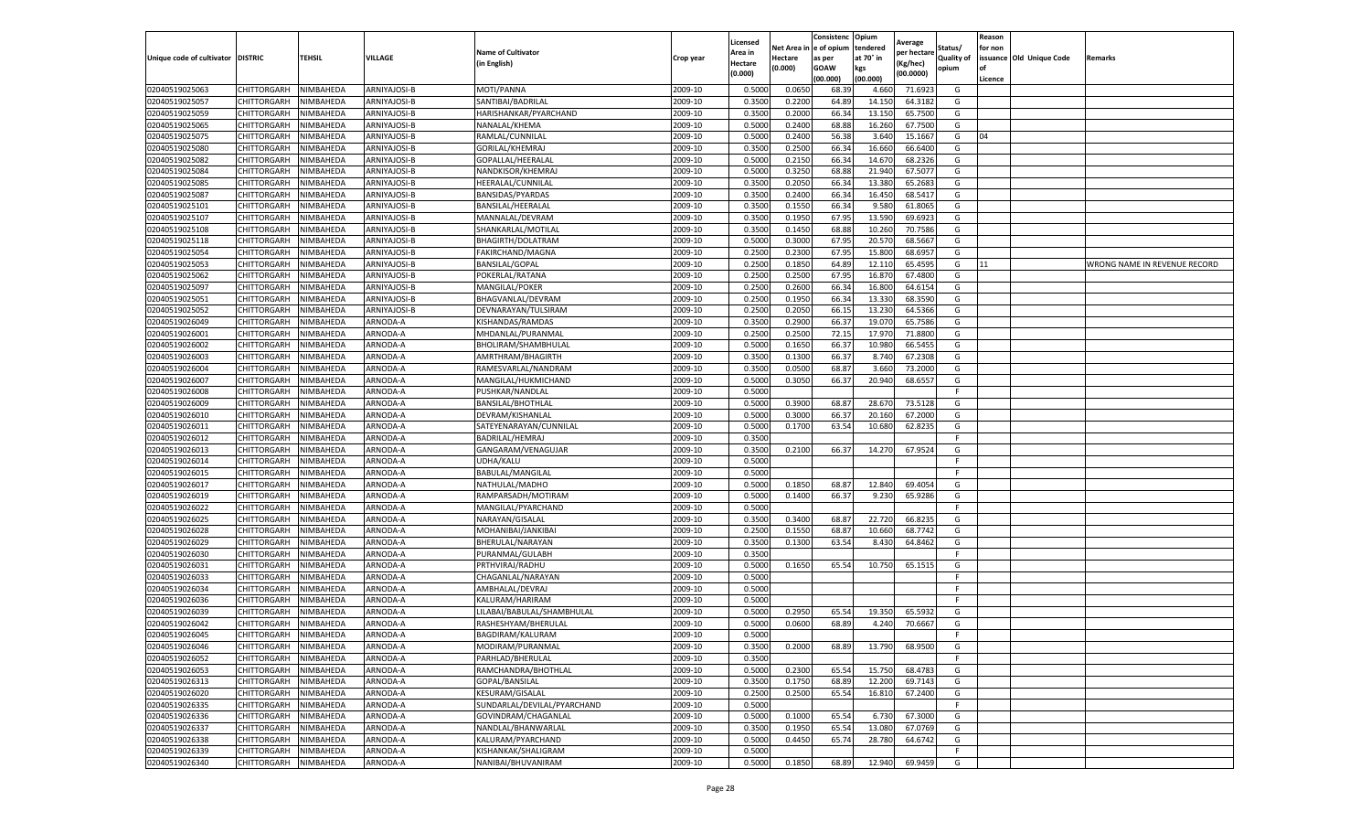|                                   |                       |           |              |                             |                    | Licensed         |         | Consistenc             | Opium     |                        |                   | Reason  |                          |                              |
|-----------------------------------|-----------------------|-----------|--------------|-----------------------------|--------------------|------------------|---------|------------------------|-----------|------------------------|-------------------|---------|--------------------------|------------------------------|
|                                   |                       |           |              | <b>Name of Cultivator</b>   |                    | Area in          |         | Net Area in e of opium | tendered  | Average<br>per hectare | Status/           | for non |                          |                              |
| Unique code of cultivator DISTRIC |                       | TEHSIL    | VILLAGE      | in English)                 | Crop year          | Hectare          | Hectare | as per                 | at 70° in | (Kg/hec                | <b>Quality of</b> |         | issuance Old Unique Code | <b>Remarks</b>               |
|                                   |                       |           |              |                             |                    | (0.000)          | (0.000) | <b>GOAW</b>            | kgs       | (00.0000)              | opium             |         |                          |                              |
|                                   |                       |           |              |                             |                    |                  |         | (00.000)               | (00.000)  |                        |                   | Licence |                          |                              |
| 02040519025063                    | CHITTORGARH           | NIMBAHEDA | ARNIYAJOSI-B | MOTI/PANNA                  | 2009-10            | 0.5000           | 0.0650  | 68.39                  | 4.660     | 71.6923                | G                 |         |                          |                              |
| 02040519025057                    | CHITTORGARH           | NIMBAHEDA | ARNIYAJOSI-B | SANTIBAI/BADRILAL           | 2009-10            | 0.3500           | 0.2200  | 64.89                  | 14.15     | 64.3182                | G                 |         |                          |                              |
| 02040519025059                    | CHITTORGARH           | NIMBAHEDA | ARNIYAJOSI-B | HARISHANKAR/PYARCHAND       | 2009-10            | 0.3500           | 0.2000  | 66.34                  | 13.15     | 65.7500                | G                 |         |                          |                              |
| 02040519025065                    | CHITTORGARH           | NIMBAHEDA | ARNIYAJOSI-B | NANALAL/KHEMA               | 2009-10            | 0.5000           | 0.2400  | 68.88                  | 16.260    | 67.7500                | G                 |         |                          |                              |
| 02040519025075                    | <b>CHITTORGARH</b>    | NIMBAHEDA | ARNIYAJOSI-B | RAMLAL/CUNNILAL             | 2009-10            | 0.5000           | 0.2400  | 56.38                  | 3.64      | 15.1667                | G                 | 04      |                          |                              |
| 02040519025080                    | CHITTORGARH           | NIMBAHEDA | ARNIYAJOSI-B | GORILAL/KHEMRAJ             | 2009-10            | 0.3500           | 0.2500  | 66.34                  | 16.66     | 66.6400                | G                 |         |                          |                              |
| 02040519025082                    | CHITTORGARH           | NIMBAHEDA | ARNIYAJOSI-B | GOPALLAL/HEERALAL           | 2009-10            | 0.5000           | 0.2150  | 66.34                  | 14.67     | 68.2326                | G                 |         |                          |                              |
| 02040519025084                    | CHITTORGARH           | NIMBAHEDA | ARNIYAJOSI-B | NANDKISOR/KHEMRAJ           | 2009-10            | 0.5000           | 0.3250  | 68.88                  | 21.94     | 67.5077                | G                 |         |                          |                              |
| 02040519025085                    | CHITTORGARH           | NIMBAHEDA | ARNIYAJOSI-B | HEERALAL/CUNNILAL           | 2009-10            | 0.3500           | 0.2050  | 66.34                  | 13.38     | 65.2683                | G                 |         |                          |                              |
| 02040519025087                    | CHITTORGARH           | NIMBAHEDA | ARNIYAJOSI-B | BANSIDAS/PYARDAS            | 2009-10            | 0.3500           | 0.2400  | 66.34                  | 16.450    | 68.5417                | G                 |         |                          |                              |
| 02040519025101                    | CHITTORGARH           | NIMBAHEDA | ARNIYAJOSI-B | BANSILAL/HEERALAL           | 2009-10            | 0.3500           | 0.1550  | 66.34                  | 9.580     | 61.8065                | G                 |         |                          |                              |
| 02040519025107                    | CHITTORGARH           | NIMBAHEDA | ARNIYAJOSI-B | MANNALAL/DEVRAM             | 2009-10            | 0.3500           | 0.1950  | 67.95                  | 13.59     | 69.692                 | G                 |         |                          |                              |
| 02040519025108                    | CHITTORGARH           | NIMBAHEDA | ARNIYAJOSI-B | SHANKARLAL/MOTILAL          | 2009-10            | 0.3500           | 0.1450  | 68.88                  | 10.26     | 70.7586                | G                 |         |                          |                              |
| 02040519025118                    | CHITTORGARH           | NIMBAHEDA | ARNIYAJOSI-B | BHAGIRTH/DOLATRAM           | 2009-10            | 0.5000           | 0.3000  | 67.95                  | 20.57     | 68.5667                | G                 |         |                          |                              |
| 02040519025054                    | CHITTORGARH           | NIMBAHEDA | ARNIYAJOSI-B | FAKIRCHAND/MAGNA            | 2009-10            | 0.2500           | 0.2300  | 67.95                  | 15.80     | 68.6957                | G                 |         |                          |                              |
| 02040519025053                    | CHITTORGARH           | NIMBAHEDA | ARNIYAJOSI-B | <b>BANSILAL/GOPAL</b>       | 2009-10            | 0.2500           | 0.1850  | 64.89                  | 12.11     | 65.4595                | G                 | 11      |                          | WRONG NAME IN REVENUE RECORD |
| 02040519025062                    | CHITTORGARH           | NIMBAHEDA | ARNIYAJOSI-B | POKERLAL/RATANA             | 2009-10            | 0.2500           | 0.2500  | 67.95                  | 16.87     | 67.4800                | G                 |         |                          |                              |
| 02040519025097                    | CHITTORGARH           | NIMBAHEDA | ARNIYAJOSI-B | MANGILAL/POKER              | 2009-10            | 0.2500           | 0.2600  | 66.34                  | 16.80     | 64.6154                | G                 |         |                          |                              |
|                                   | CHITTORGARH           | NIMBAHEDA | ARNIYAJOSI-B |                             | 2009-10            | 0.2500           | 0.1950  | 66.34                  |           | 68.3590                | G                 |         |                          |                              |
| 02040519025051                    |                       |           |              | BHAGVANLAL/DEVRAM           |                    |                  |         |                        | 13.33     |                        |                   |         |                          |                              |
| 02040519025052                    | CHITTORGARH           | NIMBAHEDA | ARNIYAJOSI-B | DEVNARAYAN/TULSIRAM         | 2009-10            | 0.2500           | 0.2050  | 66.1                   | 13.23     | 64.5366                | G                 |         |                          |                              |
| 02040519026049                    | CHITTORGARH           | NIMBAHEDA | ARNODA-A     | KISHANDAS/RAMDAS            | 2009-10            | 0.3500           | 0.2900  | 66.37                  | 19.07     | 65.7586                | G                 |         |                          |                              |
| 02040519026001                    | CHITTORGARH           | NIMBAHEDA | ARNODA-A     | MHDANLAL/PURANMAL           | 2009-10            | 0.2500           | 0.2500  | 72.15                  | 17.97     | 71.8800                | G                 |         |                          |                              |
| 02040519026002                    | CHITTORGARH           | NIMBAHEDA | ARNODA-A     | BHOLIRAM/SHAMBHULAL         | 2009-10            | 0.5000           | 0.1650  | 66.37                  | 10.980    | 66.5455                | G                 |         |                          |                              |
| 02040519026003                    | CHITTORGARH           | NIMBAHEDA | ARNODA-A     | AMRTHRAM/BHAGIRTH           | 2009-10            | 0.3500           | 0.1300  | 66.37                  | 8.74      | 67.2308                | G                 |         |                          |                              |
| 02040519026004                    | <b>CHITTORGARH</b>    | NIMBAHEDA | ARNODA-A     | RAMESVARLAL/NANDRAM         | 2009-10            | 0.3500           | 0.0500  | 68.87                  | 3.66      | 73.2000                | G                 |         |                          |                              |
| 02040519026007                    | CHITTORGARH           | NIMBAHEDA | ARNODA-A     | MANGILAL/HUKMICHAND         | 2009-10            | 0.5000           | 0.3050  | 66.37                  | 20.940    | 68.6557                | G                 |         |                          |                              |
| 02040519026008                    | CHITTORGARH           | NIMBAHEDA | ARNODA-A     | PUSHKAR/NANDLAL             | 2009-10            | 0.5000           |         |                        |           |                        | F.                |         |                          |                              |
| 02040519026009                    | CHITTORGARH           | NIMBAHEDA | ARNODA-A     | BANSILAL/BHOTHLAL           | 2009-10            | 0.5000           | 0.3900  | 68.87                  | 28.67     | 73.5128                | G                 |         |                          |                              |
| 02040519026010                    | CHITTORGARH           | NIMBAHEDA | ARNODA-A     | DEVRAM/KISHANLAL            | 2009-10            | 0.5000           | 0.3000  | 66.37                  | 20.160    | 67.2000                | G                 |         |                          |                              |
| 02040519026011                    | CHITTORGARH           | NIMBAHEDA | ARNODA-A     | SATEYENARAYAN/CUNNILAL      | 2009-10            | 0.5000           | 0.1700  | 63.54                  | 10.680    | 62.8235                | G                 |         |                          |                              |
| 02040519026012                    | CHITTORGARH           | NIMBAHEDA | ARNODA-A     | BADRILAL/HEMRAJ             | 2009-10            | 0.3500           |         |                        |           |                        | F                 |         |                          |                              |
| 02040519026013                    | CHITTORGARH           | NIMBAHEDA | ARNODA-A     | GANGARAM/VENAGUJAR          | 2009-10            | 0.3500           | 0.2100  | 66.37                  | 14.270    | 67.9524                | G                 |         |                          |                              |
| 02040519026014                    | CHITTORGARH           | NIMBAHEDA | ARNODA-A     | UDHA/KALU                   | 2009-10            | 0.5000           |         |                        |           |                        | F.                |         |                          |                              |
| 02040519026015                    | CHITTORGARH           | NIMBAHEDA | ARNODA-A     | BABULAL/MANGILAL            | 2009-10            | 0.5000           |         |                        |           |                        | F.                |         |                          |                              |
| 02040519026017                    | CHITTORGARH           | NIMBAHEDA | ARNODA-A     | NATHULAL/MADHO              | 2009-10            | 0.5000           | 0.1850  | 68.87                  | 12.840    | 69.4054                | G                 |         |                          |                              |
| 02040519026019                    | CHITTORGARH           | NIMBAHEDA | ARNODA-A     | RAMPARSADH/MOTIRAM          | 2009-10            | 0.5000           | 0.1400  | 66.37                  | 9.23      | 65.9286                | G                 |         |                          |                              |
| 02040519026022                    | CHITTORGARH           | NIMBAHEDA | ARNODA-A     | MANGILAL/PYARCHAND          | 2009-10            | 0.5000           |         |                        |           |                        | F.                |         |                          |                              |
| 02040519026025                    | CHITTORGARH           | NIMBAHEDA | ARNODA-A     | NARAYAN/GISALAL             | 2009-10            | 0.3500           | 0.3400  | 68.87                  | 22.72     | 66.8235                | G                 |         |                          |                              |
| 02040519026028                    | CHITTORGARH           | NIMBAHEDA | ARNODA-A     | MOHANIBAI/JANKIBAI          | 2009-10            | 0.2500           | 0.1550  | 68.87                  | 10.660    | 68.7742                | G                 |         |                          |                              |
| 02040519026029                    | CHITTORGARH           | NIMBAHEDA | ARNODA-A     | BHERULAL/NARAYAN            | 2009-10            | 0.3500           | 0.1300  | 63.54                  | 8.430     | 64.8462                | G                 |         |                          |                              |
| 02040519026030                    | CHITTORGARH           | NIMBAHEDA | ARNODA-A     | PURANMAL/GULABH             | 2009-10            | 0.3500           |         |                        |           |                        | F                 |         |                          |                              |
| 02040519026031                    | CHITTORGARH           | NIMBAHEDA | ARNODA-A     | PRTHVIRAJ/RADHU             | 2009-10            | 0.5000           | 0.1650  | 65.54                  | 10.750    | 65.1515                | G                 |         |                          |                              |
| 02040519026033                    | CHITTORGARH           | NIMBAHEDA | ARNODA-A     | CHAGANLAL/NARAYAN           | 2009-10            | 0.5000           |         |                        |           |                        | F                 |         |                          |                              |
| 02040519026034                    | CHITTORGARH           | NIMBAHEDA | ARNODA-A     | AMBHALAL/DEVRAJ             | 2009-10            | 0.5000           |         |                        |           |                        | F                 |         |                          |                              |
| 02040519026036                    | CHITTORGARH           | NIMBAHEDA | ARNODA-A     | KALURAM/HARIRAM             | 2009-10            | 0.5000           |         |                        |           |                        | F                 |         |                          |                              |
| 02040519026039                    | CHITTORGARH           | NIMBAHEDA | ARNODA-A     | LILABAI/BABULAL/SHAMBHULAL  | 2009-10            | 0.5000           | 0.2950  | 65.54                  | 19.35     | 65.5932                | G                 |         |                          |                              |
| 02040519026042                    | CHITTORGARH           | NIMBAHEDA | ARNODA-A     | RASHESHYAM/BHERULAL         | 2009-10            | 0.5000           | 0.0600  | 68.89                  | 4.240     | 70.6667                | G                 |         |                          |                              |
| 02040519026045                    | CHITTORGARH           | NIMBAHEDA | ARNODA-A     | BAGDIRAM/KALURAM            | 2009-10            | 0.5000           |         |                        |           |                        | F                 |         |                          |                              |
|                                   |                       |           |              |                             |                    |                  |         |                        |           |                        |                   |         |                          |                              |
| 02040519026046                    | CHITTORGARH NIMBAHEDA |           | ARNODA-A     | MODIRAM/PURANMAL            | 2009-10<br>2009-10 | 0.3500<br>0.3500 | 0.2000  | 68.89                  | 13.790    | 68.9500                | G<br>F            |         |                          |                              |
| 02040519026052                    | CHITTORGARH           | NIMBAHEDA | ARNODA-A     | PARHLAD/BHERULAL            |                    |                  |         |                        |           |                        |                   |         |                          |                              |
| 02040519026053                    | <b>CHITTORGARH</b>    | NIMBAHEDA | ARNODA-A     | RAMCHANDRA/BHOTHLAL         | 2009-10            | 0.5000           | 0.2300  | 65.54                  | 15.750    | 68.4783                | G                 |         |                          |                              |
| 02040519026313                    | CHITTORGARH           | NIMBAHEDA | ARNODA-A     | GOPAL/BANSILAL              | 2009-10            | 0.3500           | 0.1750  | 68.89                  | 12.200    | 69.7143                | G                 |         |                          |                              |
| 02040519026020                    | <b>CHITTORGARH</b>    | NIMBAHEDA | ARNODA-A     | KESURAM/GISALAL             | 2009-10            | 0.2500           | 0.2500  | 65.54                  | 16.810    | 67.2400                | G                 |         |                          |                              |
| 02040519026335                    | <b>CHITTORGARH</b>    | NIMBAHEDA | ARNODA-A     | SUNDARLAL/DEVILAL/PYARCHAND | 2009-10            | 0.5000           |         |                        |           |                        | F.                |         |                          |                              |
| 02040519026336                    | CHITTORGARH           | NIMBAHEDA | ARNODA-A     | GOVINDRAM/CHAGANLAL         | 2009-10            | 0.5000           | 0.1000  | 65.54                  | 6.730     | 67.3000                | G                 |         |                          |                              |
| 02040519026337                    | CHITTORGARH           | NIMBAHEDA | ARNODA-A     | NANDLAL/BHANWARLAL          | 2009-10            | 0.3500           | 0.1950  | 65.54                  | 13.080    | 67.0769                | G                 |         |                          |                              |
| 02040519026338                    | CHITTORGARH           | NIMBAHEDA | ARNODA-A     | KALURAM/PYARCHAND           | 2009-10            | 0.5000           | 0.4450  | 65.74                  | 28.780    | 64.6742                | G                 |         |                          |                              |
| 02040519026339                    | CHITTORGARH           | NIMBAHEDA | ARNODA-A     | KISHANKAK/SHALIGRAM         | 2009-10            | 0.5000           |         |                        |           |                        | F.                |         |                          |                              |
| 02040519026340                    | <b>CHITTORGARH</b>    | NIMBAHEDA | ARNODA-A     | NANIBAI/BHUVANIRAM          | 2009-10            | 0.5000           | 0.1850  | 68.89                  | 12.940    | 69.9459                | G                 |         |                          |                              |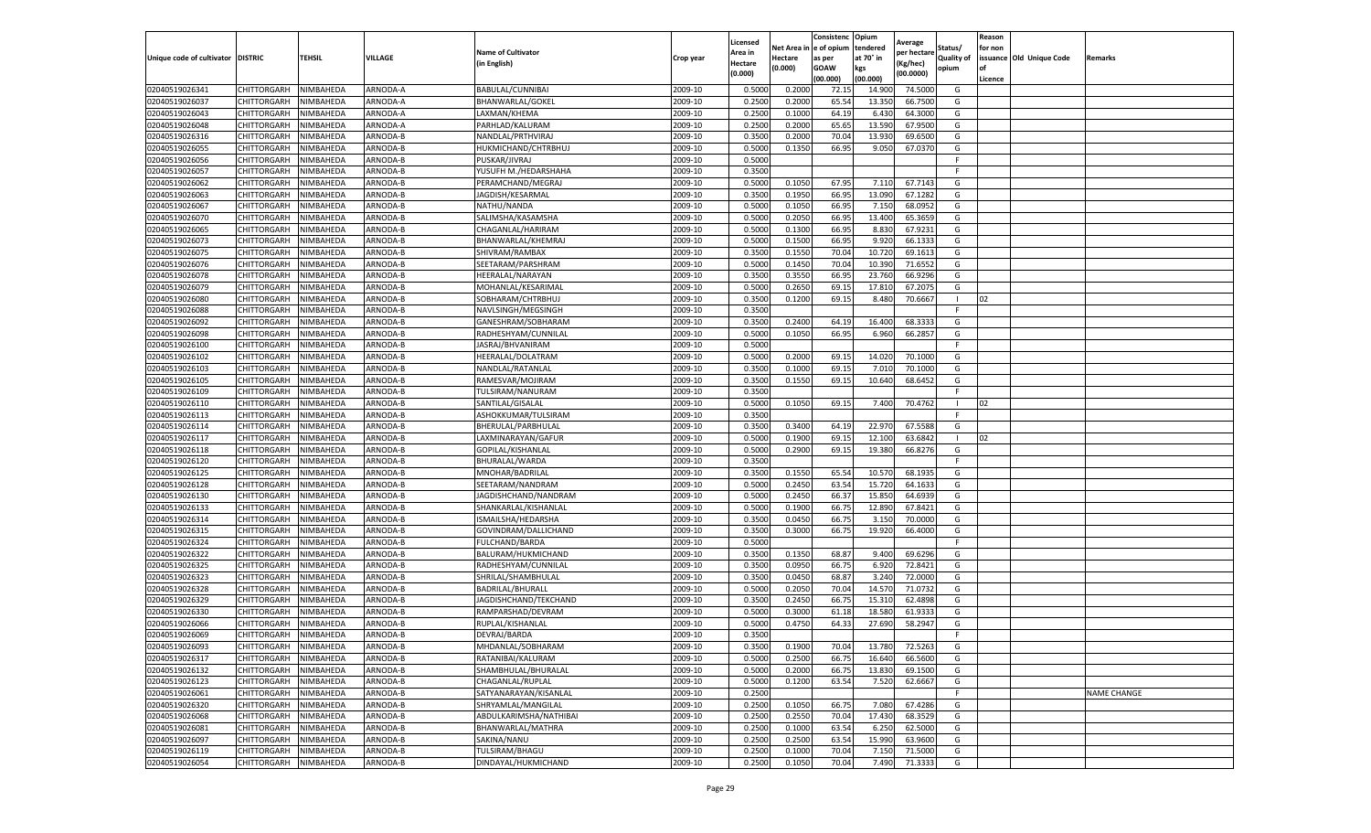|                                   |                    |           |                 |                           |                    | Licensed |         | Consistenc             | Opium     |                        |                   | Reason  |                          |                    |
|-----------------------------------|--------------------|-----------|-----------------|---------------------------|--------------------|----------|---------|------------------------|-----------|------------------------|-------------------|---------|--------------------------|--------------------|
|                                   |                    |           |                 | <b>Name of Cultivator</b> |                    | Area in  |         | Net Area in e of opium | tendered  | Average<br>per hectare | Status/           | for non |                          |                    |
| Unique code of cultivator DISTRIC |                    | TEHSIL    | VILLAGE         | in English)               | Crop year          | Hectare  | Hectare | as per                 | at 70° in | (Kg/hec                | <b>Quality of</b> |         | issuance Old Unique Code | <b>Remarks</b>     |
|                                   |                    |           |                 |                           |                    | (0.000)  | (0.000) | <b>GOAW</b>            | kgs       | (00.0000)              | opium             |         |                          |                    |
|                                   |                    |           |                 |                           |                    |          |         | (00.000)               | (00.000)  |                        |                   | Licence |                          |                    |
| 02040519026341                    | CHITTORGARH        | NIMBAHEDA | ARNODA-A        | BABULAL/CUNNIBAI          | 2009-10            | 0.5000   | 0.2000  | 72.1                   | 14.90     | 74.5000                | G                 |         |                          |                    |
| 02040519026037                    | CHITTORGARH        | NIMBAHEDA | ARNODA-A        | BHANWARLAL/GOKEI          | 2009-10            | 0.2500   | 0.2000  | 65.54                  | 13.35     | 66.7500                | G                 |         |                          |                    |
| 02040519026043                    | CHITTORGARH        | NIMBAHEDA | ARNODA-A        | LAXMAN/KHEMA              | 2009-10            | 0.2500   | 0.1000  | 64.19                  | 6.430     | 64.3000                | G                 |         |                          |                    |
| 02040519026048                    | CHITTORGARH        | NIMBAHEDA | ARNODA-A        | PARHLAD/KALURAM           | 2009-10            | 0.2500   | 0.2000  | 65.65                  | 13.590    | 67.9500                | G                 |         |                          |                    |
| 02040519026316                    | CHITTORGARH        | NIMBAHEDA | ARNODA-B        | NANDLAL/PRTHVIRAJ         | 2009-10            | 0.3500   | 0.2000  | 70.04                  | 13.93     | 69.6500                | G                 |         |                          |                    |
| 02040519026055                    | CHITTORGARH        | NIMBAHEDA | <b>ARNODA-B</b> | HUKMICHAND/CHTRBHUJ       | 2009-10            | 0.5000   | 0.1350  | 66.95                  | 9.050     | 67.0370                | G                 |         |                          |                    |
| 02040519026056                    | CHITTORGARH        | NIMBAHEDA | ARNODA-B        | PUSKAR/JIVRAJ             | 2009-10            | 0.5000   |         |                        |           |                        | F                 |         |                          |                    |
| 02040519026057                    | CHITTORGARH        | NIMBAHEDA | ARNODA-B        | YUSUFH M./HEDARSHAHA      | 2009-10            | 0.3500   |         |                        |           |                        | F.                |         |                          |                    |
| 02040519026062                    | CHITTORGARH        | NIMBAHEDA | ARNODA-B        | PERAMCHAND/MEGRAJ         | 2009-10            | 0.5000   | 0.1050  | 67.95                  | 7.11      | 67.7143                | G                 |         |                          |                    |
| 02040519026063                    | CHITTORGARH        | NIMBAHEDA | ARNODA-B        | JAGDISH/KESARMAL          | 2009-10            | 0.3500   | 0.1950  | 66.95                  | 13.090    | 67.1282                | G                 |         |                          |                    |
| 02040519026067                    | CHITTORGARH        | NIMBAHEDA | ARNODA-B        | NATHU/NANDA               | 2009-10            | 0.5000   | 0.1050  | 66.95                  | 7.150     | 68.0952                | G                 |         |                          |                    |
| 02040519026070                    | CHITTORGARH        | NIMBAHEDA | ARNODA-B        | SALIMSHA/KASAMSHA         | 2009-10            | 0.5000   | 0.2050  | 66.95                  | 13.400    | 65.3659                | G                 |         |                          |                    |
| 02040519026065                    | CHITTORGARH        | NIMBAHEDA | ARNODA-B        | CHAGANLAL/HARIRAM         | 2009-10            | 0.5000   | 0.1300  | 66.95                  | 8.83      | 67.9231                | G                 |         |                          |                    |
| 02040519026073                    | CHITTORGARH        | NIMBAHEDA | ARNODA-B        | BHANWARLAL/KHEMRAJ        | 2009-10            | 0.5000   | 0.1500  | 66.95                  | 9.92      | 66.1333                | G                 |         |                          |                    |
| 02040519026075                    | CHITTORGARH        | NIMBAHEDA | ARNODA-B        | SHIVRAM/RAMBAX            | 2009-10            | 0.3500   | 0.1550  | 70.04                  | 10.72     | 69.1613                | G                 |         |                          |                    |
| 02040519026076                    | CHITTORGARH        | NIMBAHEDA | ARNODA-B        | SEETARAM/PARSHRAM         | 2009-10            | 0.5000   | 0.1450  | 70.04                  | 10.390    | 71.6552                | G                 |         |                          |                    |
| 02040519026078                    | CHITTORGARH        | NIMBAHEDA | ARNODA-B        | HEERALAL/NARAYAN          | 2009-10            | 0.3500   | 0.3550  | 66.95                  | 23.760    | 66.9296                | G                 |         |                          |                    |
| 02040519026079                    | CHITTORGARH        | NIMBAHEDA | ARNODA-B        | MOHANLAL/KESARIMAL        | 2009-10            | 0.5000   | 0.2650  | 69.15                  | 17.81     | 67.2075                | G                 |         |                          |                    |
| 02040519026080                    | CHITTORGARH        | NIMBAHEDA | ARNODA-B        | SOBHARAM/CHTRBHUJ         | 2009-10            | 0.3500   | 0.1200  | 69.15                  | 8.480     | 70.6667                |                   | 02      |                          |                    |
| 02040519026088                    | CHITTORGARH        | NIMBAHEDA | ARNODA-B        | NAVLSINGH/MEGSINGH        | 2009-10            | 0.3500   |         |                        |           |                        | F                 |         |                          |                    |
| 02040519026092                    | CHITTORGARH        | NIMBAHEDA | ARNODA-B        | GANESHRAM/SOBHARAM        | 2009-10            | 0.3500   | 0.2400  | 64.19                  | 16.400    | 68.3333                | G                 |         |                          |                    |
| 02040519026098                    | CHITTORGARH        | NIMBAHEDA | ARNODA-B        | RADHESHYAM/CUNNILAL       | 2009-10            | 0.5000   | 0.1050  | 66.95                  | 6.960     | 66.2857                | G                 |         |                          |                    |
| 02040519026100                    | CHITTORGARH        | NIMBAHEDA | ARNODA-B        | JASRAJ/BHVANIRAM          | 2009-10            | 0.5000   |         |                        |           |                        | F.                |         |                          |                    |
| 02040519026102                    | CHITTORGARH        | NIMBAHEDA | ARNODA-B        | HEERALAL/DOLATRAM         | 2009-10            | 0.5000   | 0.2000  | 69.15                  | 14.020    | 70.1000                | G                 |         |                          |                    |
| 02040519026103                    | CHITTORGARH        | NIMBAHEDA | ARNODA-B        | NANDLAL/RATANLAI          | 2009-10            | 0.3500   | 0.1000  | 69.15                  | 7.01      | 70.1000                | G                 |         |                          |                    |
| 02040519026105                    | CHITTORGARH        | NIMBAHEDA | ARNODA-B        | RAMESVAR/MOJIRAM          | 2009-10            | 0.3500   | 0.1550  | 69.15                  | 10.640    | 68.6452                | G                 |         |                          |                    |
| 02040519026109                    |                    |           |                 |                           |                    |          |         |                        |           |                        |                   |         |                          |                    |
|                                   | CHITTORGARH        | NIMBAHEDA | ARNODA-B        | TULSIRAM/NANURAM          | 2009-10<br>2009-10 | 0.3500   |         |                        |           |                        | F.                |         |                          |                    |
| 02040519026110                    | CHITTORGARH        | NIMBAHEDA | ARNODA-B        | SANTILAL/GISALAL          |                    | 0.5000   | 0.1050  | 69.15                  | 7.400     | 70.4762                | -1                | 02      |                          |                    |
| 02040519026113                    | CHITTORGARH        | NIMBAHEDA | ARNODA-B        | ASHOKKUMAR/TULSIRAM       | 2009-10            | 0.3500   |         |                        |           |                        | F.                |         |                          |                    |
| 02040519026114                    | CHITTORGARH        | NIMBAHEDA | ARNODA-B        | BHERULAL/PARBHULAL        | 2009-10            | 0.3500   | 0.3400  | 64.19                  | 22.97     | 67.5588                | G                 |         |                          |                    |
| 02040519026117                    | CHITTORGARH        | NIMBAHEDA | ARNODA-B        | LAXMINARAYAN/GAFUR        | 2009-10            | 0.5000   | 0.1900  | 69.1                   | 12.10     | 63.6842                |                   | 02      |                          |                    |
| 02040519026118                    | CHITTORGARH        | NIMBAHEDA | ARNODA-B        | GOPILAL/KISHANLAL         | 2009-10            | 0.5000   | 0.2900  | 69.1                   | 19.380    | 66.8276                | G                 |         |                          |                    |
| 02040519026120                    | CHITTORGARH        | NIMBAHEDA | ARNODA-B        | BHURALAL/WARDA            | 2009-10            | 0.3500   |         |                        |           |                        | F.                |         |                          |                    |
| 02040519026125                    | CHITTORGARH        | NIMBAHEDA | ARNODA-B        | MNOHAR/BADRILAL           | 2009-10            | 0.3500   | 0.1550  | 65.54                  | 10.570    | 68.1935                | G                 |         |                          |                    |
| 02040519026128                    | CHITTORGARH        | NIMBAHEDA | ARNODA-B        | SEETARAM/NANDRAM          | 2009-10            | 0.5000   | 0.2450  | 63.54                  | 15.720    | 64.1633                | G                 |         |                          |                    |
| 02040519026130                    | CHITTORGARH        | NIMBAHEDA | ARNODA-B        | JAGDISHCHAND/NANDRAM      | 2009-10            | 0.5000   | 0.2450  | 66.37                  | 15.85     | 64.6939                | G                 |         |                          |                    |
| 02040519026133                    | CHITTORGARH        | NIMBAHEDA | ARNODA-B        | SHANKARLAL/KISHANLAL      | 2009-10            | 0.5000   | 0.1900  | 66.75                  | 12.89     | 67.8421                | G                 |         |                          |                    |
| 02040519026314                    | CHITTORGARH        | NIMBAHEDA | ARNODA-B        | ISMAILSHA/HEDARSHA        | 2009-10            | 0.3500   | 0.0450  | 66.75                  | 3.15      | 70.0000                | G                 |         |                          |                    |
| 02040519026315                    | CHITTORGARH        | NIMBAHEDA | ARNODA-B        | GOVINDRAM/DALLICHAND      | 2009-10            | 0.3500   | 0.3000  | 66.7                   | 19.92     | 66.4000                | G                 |         |                          |                    |
| 02040519026324                    | CHITTORGARH        | NIMBAHEDA | ARNODA-B        | FULCHAND/BARDA            | 2009-10            | 0.5000   |         |                        |           |                        | F.                |         |                          |                    |
| 02040519026322                    | CHITTORGARH        | NIMBAHEDA | ARNODA-B        | BALURAM/HUKMICHAND        | 2009-10            | 0.3500   | 0.1350  | 68.87                  | 9.400     | 69.6296                | G                 |         |                          |                    |
| 02040519026325                    | CHITTORGARH        | NIMBAHEDA | ARNODA-B        | RADHESHYAM/CUNNILAL       | 2009-10            | 0.3500   | 0.0950  | 66.75                  | 6.920     | 72.8421                | G                 |         |                          |                    |
| 02040519026323                    | CHITTORGARH        | NIMBAHEDA | ARNODA-B        | SHRILAL/SHAMBHULAL        | 2009-10            | 0.3500   | 0.0450  | 68.87                  | 3.24      | 72.0000                | G                 |         |                          |                    |
| 02040519026328                    | CHITTORGARH        | NIMBAHEDA | ARNODA-B        | BADRILAL/BHURALI          | 2009-10            | 0.5000   | 0.2050  | 70.04                  | 14.57     | 71.0732                | G                 |         |                          |                    |
| 02040519026329                    | CHITTORGARH        | NIMBAHEDA | ARNODA-B        | JAGDISHCHAND/TEKCHAND     | 2009-10            | 0.3500   | 0.2450  | 66.7                   | 15.31     | 62.4898                | G                 |         |                          |                    |
| 02040519026330                    | CHITTORGARH        | NIMBAHEDA | ARNODA-B        | RAMPARSHAD/DEVRAM         | 2009-10            | 0.5000   | 0.3000  | 61.18                  | 18.58     | 61.933                 | G                 |         |                          |                    |
| 02040519026066                    | CHITTORGARH        | NIMBAHEDA | ARNODA-B        | RUPLAL/KISHANLAL          | 2009-10            | 0.5000   | 0.4750  | 64.33                  | 27.690    | 58.2947                | G                 |         |                          |                    |
| 02040519026069                    | CHITTORGARH        | NIMBAHEDA | ARNODA-B        | DEVRAJ/BARDA              | 2009-10            | 0.3500   |         |                        |           |                        | F                 |         |                          |                    |
| 02040519026093                    | CHITTORGARH        | NIMBAHEDA | ARNODA-B        | MHDANLAL/SOBHARAM         | 2009-10            | 0.3500   | 0.1900  | 70.04                  | 13.780    | 72.5263                | G                 |         |                          |                    |
| 02040519026317                    | CHITTORGARH        | NIMBAHEDA | ARNODA-B        | RATANIBAI/KALURAM         | 2009-10            | 0.5000   | 0.2500  | 66.75                  | 16.640    | 66.5600                | G                 |         |                          |                    |
| 02040519026132                    | CHITTORGARH        | NIMBAHEDA | ARNODA-B        | SHAMBHULAL/BHURALAL       | 2009-10            | 0.5000   | 0.2000  | 66.75                  | 13.830    | 69.1500                | G                 |         |                          |                    |
| 02040519026123                    | CHITTORGARH        | NIMBAHEDA | ARNODA-B        | CHAGANLAL/RUPLAL          | 2009-10            | 0.5000   | 0.1200  | 63.54                  | 7.520     | 62.6667                | G                 |         |                          |                    |
| 02040519026061                    | CHITTORGARH        | NIMBAHEDA | ARNODA-B        | SATYANARAYAN/KISANLAL     | 2009-10            | 0.2500   |         |                        |           |                        | F.                |         |                          | <b>NAME CHANGE</b> |
| 02040519026320                    | <b>CHITTORGARH</b> | NIMBAHEDA | ARNODA-B        | SHRYAMLAL/MANGILAL        | 2009-10            | 0.2500   | 0.1050  | 66.75                  | 7.080     | 67.4286                | G                 |         |                          |                    |
| 02040519026068                    | CHITTORGARH        | NIMBAHEDA | ARNODA-B        | ABDULKARIMSHA/NATHIBAI    | 2009-10            | 0.2500   | 0.2550  | 70.04                  | 17.430    | 68.3529                | G                 |         |                          |                    |
| 02040519026081                    | CHITTORGARH        | NIMBAHEDA | ARNODA-B        | BHANWARLAL/MATHRA         | 2009-10            | 0.2500   | 0.1000  | 63.54                  | 6.250     | 62.5000                | G                 |         |                          |                    |
| 02040519026097                    | CHITTORGARH        | NIMBAHEDA | ARNODA-B        | SAKINA/NANU               | 2009-10            | 0.2500   | 0.2500  | 63.54                  | 15.990    | 63.9600                | G                 |         |                          |                    |
| 02040519026119                    | CHITTORGARH        | NIMBAHEDA | ARNODA-B        | TULSIRAM/BHAGU            | 2009-10            | 0.2500   | 0.1000  | 70.04                  | 7.150     | 71.5000                | G                 |         |                          |                    |
| 02040519026054                    | <b>CHITTORGARH</b> | NIMBAHEDA | ARNODA-B        | DINDAYAL/HUKMICHAND       | 2009-10            | 0.2500   | 0.1050  | 70.04                  | 7.490     | 71.3333                | G                 |         |                          |                    |
|                                   |                    |           |                 |                           |                    |          |         |                        |           |                        |                   |         |                          |                    |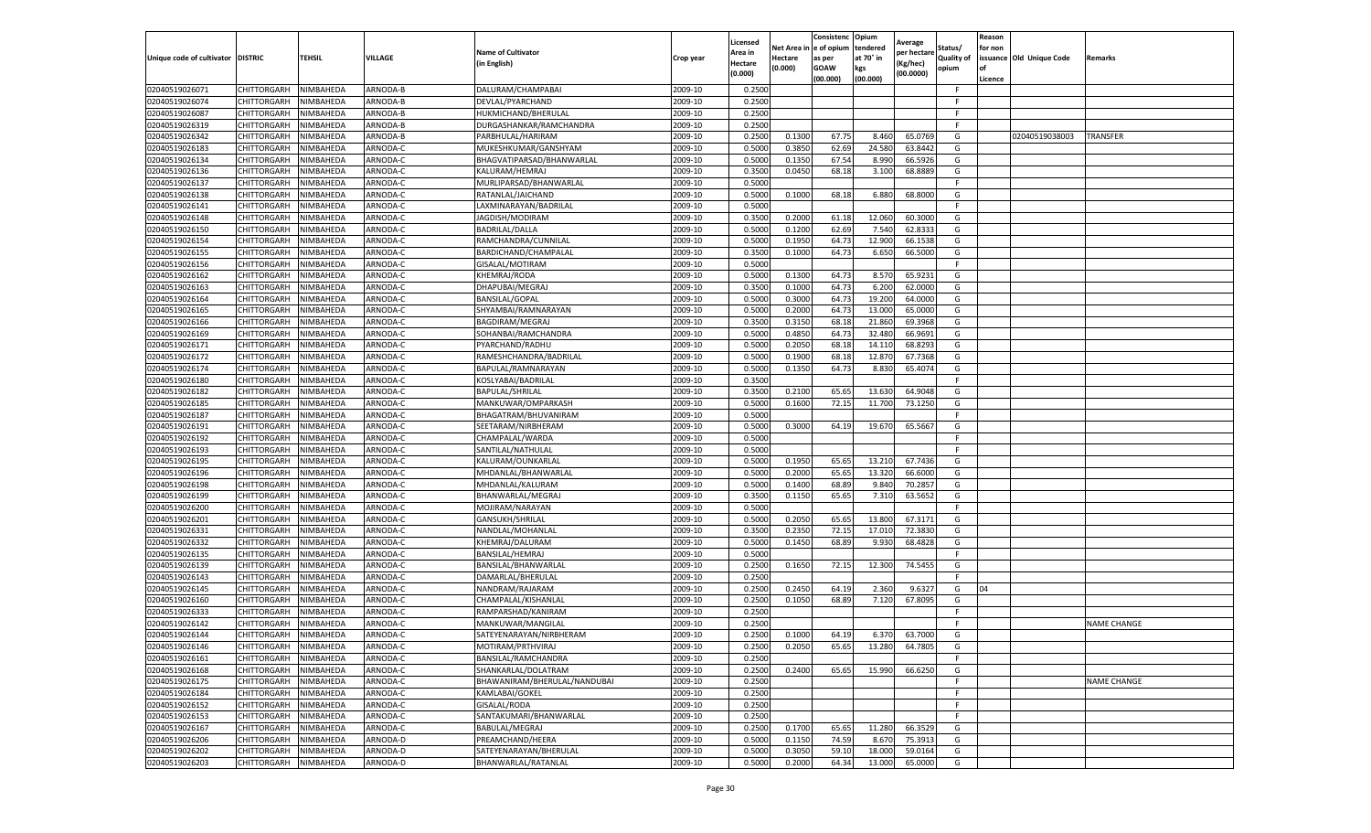|                                   |             |                  |          | <b>Name of Cultivator</b>    |           | Licensed<br>Area in | Net Area in        | Consistenc<br>e of opium   | Opium<br>tendered            | Average<br>per hectare | Status/                    | Reason<br>for non    |                          |                    |
|-----------------------------------|-------------|------------------|----------|------------------------------|-----------|---------------------|--------------------|----------------------------|------------------------------|------------------------|----------------------------|----------------------|--------------------------|--------------------|
| Unique code of cultivator DISTRIC |             | <b>TEHSIL</b>    | VILLAGE  | in English)                  | Crop year | Hectare<br>(0.000)  | Hectare<br>(0.000) | as per<br>GOAW<br>(00.000) | at 70° in<br>kgs<br>(00.000) | (Kg/hec)<br>(00.0000)  | <b>Quality of</b><br>opium | <b>of</b><br>Licence | issuance Old Unique Code | Remarks            |
| 02040519026071                    | CHITTORGARH | NIMBAHEDA        | ARNODA-B | DALURAM/CHAMPABAI            | 2009-10   | 0.250               |                    |                            |                              |                        | F.                         |                      |                          |                    |
| 02040519026074                    | CHITTORGARH | NIMBAHEDA        | ARNODA-B | DEVLAL/PYARCHAND             | 2009-10   | 0.2500              |                    |                            |                              |                        | -F                         |                      |                          |                    |
| 02040519026087                    | CHITTORGARH | NIMBAHEDA        | ARNODA-B | HUKMICHAND/BHERULAL          | 2009-10   | 0.2500              |                    |                            |                              |                        | F                          |                      |                          |                    |
| 02040519026319                    | CHITTORGARH | NIMBAHEDA        | ARNODA-B | DURGASHANKAR/RAMCHANDRA      | 2009-10   | 0.2500              |                    |                            |                              |                        | F                          |                      |                          |                    |
| 02040519026342                    | CHITTORGARH | NIMBAHEDA        | ARNODA-B | PARBHULAL/HARIRAM            | 2009-10   | 0.2500              | 0.1300             | 67.75                      | 8.460                        | 65.076                 | G                          |                      | 02040519038003           | <b>TRANSFER</b>    |
| 02040519026183                    | CHITTORGARH | <b>NIMBAHEDA</b> | ARNODA-C | MUKESHKUMAR/GANSHYAM         | 2009-10   | 0.5000              | 0.3850             | 62.69                      | 24.580                       | 63.844                 | G                          |                      |                          |                    |
| 02040519026134                    | CHITTORGARH | NIMBAHEDA        | ARNODA-C | BHAGVATIPARSAD/BHANWARLAI    | 2009-10   | 0.500               | 0.135              | 67.54                      | 8.99                         | 66.592                 | G                          |                      |                          |                    |
| 02040519026136                    | CHITTORGARH | NIMBAHEDA        | ARNODA-C | KALURAM/HEMRAJ               | 2009-10   | 0.3500              | 0.0450             | 68.18                      | 3.100                        | 68.888                 | G                          |                      |                          |                    |
| 02040519026137                    | CHITTORGARH | NIMBAHEDA        | ARNODA-C | MURLIPARSAD/BHANWARLAL       | 2009-10   | 0.5000              |                    |                            |                              |                        | F.                         |                      |                          |                    |
| 02040519026138                    | CHITTORGARH | NIMBAHEDA        | ARNODA-C | RATANLAL/JAICHAND            | 2009-10   | 0.5000              | 0.1000             | 68.18                      | 6.880                        | 68.800                 | G                          |                      |                          |                    |
| 02040519026141                    | CHITTORGARH | NIMBAHEDA        | ARNODA-C | LAXMINARAYAN/BADRILAL        | 2009-10   | 0.5000              |                    |                            |                              |                        |                            |                      |                          |                    |
| 02040519026148                    | CHITTORGARH | NIMBAHEDA        | ARNODA-C | JAGDISH/MODIRAM              | 2009-10   | 0.3500              | 0.2000             | 61.18                      | 12.060                       | 60.300                 | G                          |                      |                          |                    |
| 02040519026150                    | CHITTORGARH | NIMBAHEDA        | ARNODA-C | BADRILAL/DALLA               | 2009-10   | 0.500               | 0.120              | 62.69                      | 7.540                        | 62.833                 | G                          |                      |                          |                    |
| 02040519026154                    | CHITTORGARH | NIMBAHEDA        | ARNODA-C | RAMCHANDRA/CUNNILAL          | 2009-10   | 0.5000              | 0.1950             | 64.73                      | 12.900                       | 66.153                 | G                          |                      |                          |                    |
| 02040519026155                    | CHITTORGARH | NIMBAHEDA        | ARNODA-C | BARDICHAND/CHAMPALAL         | 2009-10   | 0.350               | 0.1000             | 64.7                       | 6.650                        | 66.500                 | G                          |                      |                          |                    |
| 02040519026156                    | CHITTORGARH | NIMBAHEDA        | ARNODA-C | GISALAL/MOTIRAM              | 2009-10   | 0.5000              |                    |                            |                              |                        | F                          |                      |                          |                    |
| 02040519026162                    | CHITTORGARH | NIMBAHEDA        | ARNODA-C | KHEMRAJ/RODA                 | 2009-10   | 0.5000              | 0.1300             | 64.7                       | 8.570                        | 65.923                 | G                          |                      |                          |                    |
| 02040519026163                    | CHITTORGARH | NIMBAHEDA        | ARNODA-C | DHAPUBAI/MEGRAJ              | 2009-10   | 0.350               | 0.1000             | 64.73                      | 6.200                        | 62.000                 | G                          |                      |                          |                    |
| 02040519026164                    | CHITTORGARH | NIMBAHEDA        | ARNODA-C | <b>BANSILAL/GOPAL</b>        | 2009-10   | 0.5000              | 0.3000             | 64.73                      | 19.200                       | 64.000                 | G                          |                      |                          |                    |
| 02040519026165                    | CHITTORGARH | NIMBAHEDA        | ARNODA-C | SHYAMBAI/RAMNARAYAN          | 2009-10   | 0.5000              | 0.200              | 64.7                       | 13.000                       | 65.000                 | G                          |                      |                          |                    |
| 02040519026166                    | CHITTORGARH | NIMBAHEDA        | ARNODA-C | BAGDIRAM/MEGRAJ              | 2009-10   | 0.3500              | 0.3150             | 68.18                      | 21.860                       | 69.396                 | G                          |                      |                          |                    |
| 02040519026169                    | CHITTORGARH | NIMBAHEDA        | ARNODA-C | SOHANBAI/RAMCHANDRA          | 2009-10   | 0.5000              | 0.4850             | 64.73                      | 32.480                       | 66.9691                | G                          |                      |                          |                    |
| 02040519026171                    | CHITTORGARH | NIMBAHEDA        | ARNODA-C | PYARCHAND/RADHU              | 2009-10   | 0.5000              | 0.2050             | 68.18                      | 14.110                       | 68.8293                | G                          |                      |                          |                    |
| 02040519026172                    | CHITTORGARH | NIMBAHEDA        | ARNODA-C | RAMESHCHANDRA/BADRILAL       | 2009-10   | 0.5000              | 0.1900             | 68.18                      | 12.870                       | 67.736                 | G                          |                      |                          |                    |
| 02040519026174                    | CHITTORGARH | NIMBAHEDA        | ARNODA-C | BAPULAL/RAMNARAYAN           | 2009-10   | 0.5000              | 0.1350             | 64.73                      | 8.830                        | 65.407                 | G                          |                      |                          |                    |
| 02040519026180                    | CHITTORGARH | NIMBAHEDA        | ARNODA-C | KOSLYABAI/BADRILAL           | 2009-10   | 0.350               |                    |                            |                              |                        | F.                         |                      |                          |                    |
| 02040519026182                    | CHITTORGARH | NIMBAHEDA        | ARNODA-C | <b>BAPULAL/SHRILAL</b>       | 2009-10   | 0.3500              | 0.2100             | 65.6                       | 13.630                       | 64.9048                | G                          |                      |                          |                    |
| 02040519026185                    | CHITTORGARH | NIMBAHEDA        | ARNODA-C | MANKUWAR/OMPARKASH           | 2009-10   | 0.5000              | 0.1600             | 72.15                      | 11.700                       | 73.1250                | G                          |                      |                          |                    |
| 02040519026187                    | CHITTORGARH | NIMBAHEDA        | ARNODA-C | BHAGATRAM/BHUVANIRAM         | 2009-10   | 0.5000              |                    |                            |                              |                        |                            |                      |                          |                    |
| 02040519026191                    | CHITTORGARH | NIMBAHEDA        | ARNODA-C | SEETARAM/NIRBHERAM           | 2009-10   | 0.5000              | 0.3000             | 64.19                      | 19.670                       | 65.5667                | G                          |                      |                          |                    |
| 02040519026192                    | CHITTORGARH | NIMBAHEDA        | ARNODA-C | CHAMPALAL/WARDA              | 2009-10   | 0.5000              |                    |                            |                              |                        | F                          |                      |                          |                    |
| 02040519026193                    | CHITTORGARH | NIMBAHEDA        | ARNODA-C | SANTILAL/NATHULAI            | 2009-10   | 0.5000              |                    |                            |                              |                        | F.                         |                      |                          |                    |
| 02040519026195                    | CHITTORGARH | NIMBAHEDA        | ARNODA-C | KALURAM/OUNKARLAL            | 2009-10   | 0.5000              | 0.1950             | 65.65                      | 13.210                       | 67.7436                | G                          |                      |                          |                    |
| 02040519026196                    | CHITTORGARH | NIMBAHEDA        | ARNODA-C | MHDANLAL/BHANWARLAL          | 2009-10   | 0.5000              | 0.2000             | 65.6                       | 13.320                       | 66.600                 | G                          |                      |                          |                    |
| 02040519026198                    | CHITTORGARH | NIMBAHEDA        | ARNODA-C | MHDANLAL/KALURAM             | 2009-10   | 0.5000              | 0.1400             | 68.89                      | 9.840                        | 70.285                 | G                          |                      |                          |                    |
| 02040519026199                    | CHITTORGARH | NIMBAHEDA        | ARNODA-C | BHANWARLAL/MEGRAJ            | 2009-10   | 0.3500              | 0.1150             | 65.65                      | 7.310                        | 63.5652                | G                          |                      |                          |                    |
| 02040519026200                    | CHITTORGARH | NIMBAHEDA        | ARNODA-C | MOJIRAM/NARAYAN              | 2009-10   | 0.5000              |                    |                            |                              |                        | F                          |                      |                          |                    |
| 02040519026201                    | CHITTORGARH | NIMBAHEDA        | ARNODA-C | GANSUKH/SHRILAL              | 2009-10   | 0.5000              | 0.2050             | 65.65                      | 13.800                       | 67.317                 | G                          |                      |                          |                    |
| 02040519026331                    | CHITTORGARH | NIMBAHEDA        | ARNODA-C | NANDLAL/MOHANLAI             | 2009-10   | 0.3500              | 0.2350             | 72.15                      | 17.010                       | 72.383                 | G                          |                      |                          |                    |
| 02040519026332                    | CHITTORGARH | NIMBAHEDA        | ARNODA-C | KHEMRAJ/DALURAM              | 2009-10   | 0.5000              | 0.1450             | 68.89                      | 9.930                        | 68.4828                | G                          |                      |                          |                    |
| 02040519026135                    | CHITTORGARH | NIMBAHEDA        | ARNODA-C | BANSILAL/HEMRAJ              | 2009-10   | 0.5000              |                    |                            |                              |                        | F.                         |                      |                          |                    |
| 02040519026139                    | CHITTORGARH | NIMBAHEDA        | ARNODA-C | BANSILAL/BHANWARLAL          | 2009-10   | 0.2500              | 0.1650             | 72.15                      | 12.300                       | 74.545                 | G                          |                      |                          |                    |
| 02040519026143                    | CHITTORGARH | NIMBAHEDA        | ARNODA-C | DAMARLAL/BHERULAL            | 2009-10   | 0.2500              |                    |                            |                              |                        |                            |                      |                          |                    |
| 02040519026145                    | CHITTORGARH | NIMBAHEDA        | ARNODA-C | NANDRAM/RAJARAM              | 2009-10   | 0.2500              | 0.2450             | 64.19                      | 2.360                        | 9.632                  | G                          | 04                   |                          |                    |
| 02040519026160                    | CHITTORGARH | NIMBAHEDA        | ARNODA-C | CHAMPALAL/KISHANLAL          | 2009-10   | 0.2500              | 0.1050             | 68.89                      | 7.120                        | 67.809                 | G                          |                      |                          |                    |
| 02040519026333                    | CHITTORGARH | NIMBAHEDA        | ARNODA-C | RAMPARSHAD/KANIRAM           | 2009-10   | 0.2500              |                    |                            |                              |                        | -F                         |                      |                          |                    |
| 02040519026142                    | CHITTORGARH | NIMBAHEDA        | ARNODA-C | MANKUWAR/MANGILAL            | 2009-10   | 0.2500              |                    |                            |                              |                        | F.                         |                      |                          | <b>NAME CHANGE</b> |
| 02040519026144                    | CHITTORGARH | NIMBAHEDA        | ARNODA-C | SATEYENARAYAN/NIRBHERAM      | 2009-10   | 0.2500              | 0.1000             | 64.19                      | 6.370                        | 63.7000                | G                          |                      |                          |                    |
| 02040519026146                    | CHITTORGARH | NIMBAHEDA        | ARNODA-C | MOTIRAM/PRTHVIRAJ            | 2009-10   | 0.2500              | 0.2050             | 65.65                      | 13.280                       | 64.7805                | G                          |                      |                          |                    |
| 02040519026161                    | CHITTORGARH | NIMBAHEDA        | ARNODA-C | BANSILAL/RAMCHANDRA          | 2009-10   | 0.2500              |                    |                            |                              |                        | F.                         |                      |                          |                    |
| 02040519026168                    | CHITTORGARH | NIMBAHEDA        | ARNODA-C | SHANKARLAL/DOLATRAM          | 2009-10   | 0.2500              | 0.2400             | 65.65                      | 15.990                       | 66.6250                | G                          |                      |                          |                    |
| 02040519026175                    | CHITTORGARH | NIMBAHEDA        | ARNODA-C | BHAWANIRAM/BHERULAL/NANDUBAI | 2009-10   | 0.2500              |                    |                            |                              |                        | F                          |                      |                          | NAME CHANGE        |
| 02040519026184                    | CHITTORGARH | NIMBAHEDA        | ARNODA-C | KAMLABAI/GOKEL               | 2009-10   | 0.2500              |                    |                            |                              |                        | F                          |                      |                          |                    |
| 02040519026152                    | CHITTORGARH | NIMBAHEDA        | ARNODA-C | GISALAL/RODA                 | 2009-10   | 0.2500              |                    |                            |                              |                        | F.                         |                      |                          |                    |
| 02040519026153                    | CHITTORGARH | NIMBAHEDA        | ARNODA-C | SANTAKUMARI/BHANWARLAL       | 2009-10   | 0.2500              |                    |                            |                              |                        |                            |                      |                          |                    |
| 02040519026167                    | CHITTORGARH | NIMBAHEDA        | ARNODA-C | BABULAL/MEGRAJ               | 2009-10   | 0.2500              | 0.1700             | 65.65                      | 11.280                       | 66.352                 | G                          |                      |                          |                    |
| 02040519026206                    | CHITTORGARH | NIMBAHEDA        | ARNODA-D | PREAMCHAND/HEERA             | 2009-10   | 0.5000              | 0.115              | 74.59                      | 8.670                        | 75.391                 | G                          |                      |                          |                    |
| 02040519026202                    | CHITTORGARH | NIMBAHEDA        | ARNODA-D | SATEYENARAYAN/BHERULAL       | 2009-10   | 0.5000              | 0.3050             | 59.10                      | 18.000                       | 59.0164                | G                          |                      |                          |                    |
| 02040519026203                    | CHITTORGARH | NIMBAHEDA        | ARNODA-D | BHANWARLAL/RATANLAL          | 2009-10   | 0.5000              | 0.2000             | 64.34                      | 13.000                       | 65.0000                | G                          |                      |                          |                    |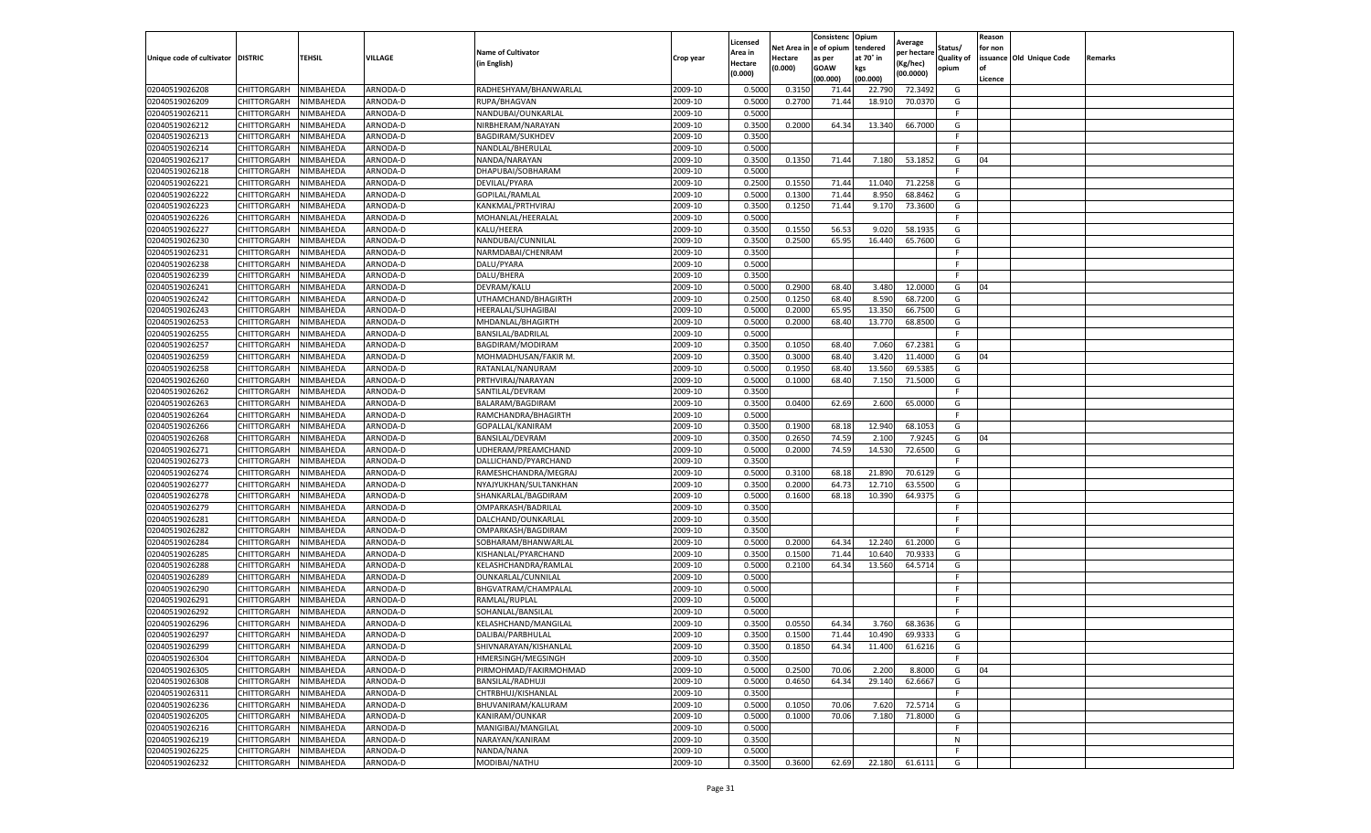| e of opium<br>tendered<br>Net Area i<br>Status/<br>for non<br><b>Name of Cultivator</b><br>Area in<br>per hectare<br>at 70° in<br>issuance Old Unique Code<br>Unique code of cultivator DISTRIC<br>TEHSIL<br>VILLAGE<br><b>Quality of</b><br>Crop year<br>Hectare<br>as per<br>Remarks<br>(in English)<br>(Kg/hec)<br>Hectare<br>(0.000)<br><b>GOAW</b><br>kgs<br>opium<br>(0.000)<br>(00.0000)<br>(00.000)<br>(00.000<br>Licence<br>02040519026208<br>CHITTORGARH<br>NIMBAHEDA<br>ARNODA-D<br>RADHESHYAM/BHANWARLAL<br>2009-10<br>0.5000<br>0.315<br>72.3492<br>71.44<br>22.790<br>G<br>02040519026209<br>ARNODA-D<br>2009-10<br>0.500<br>0.2700<br>71.44<br>18.910<br>70.0370<br>CHITTORGARH<br>NIMBAHEDA<br>RUPA/BHAGVAN<br>G<br>2009-10<br>0.5000<br>02040519026211<br>CHITTORGARH<br>NIMBAHEDA<br>ARNODA-D<br>NANDUBAI/OUNKARLAL<br>F.<br>02040519026212<br>CHITTORGARH<br>NIMBAHEDA<br>ARNODA-D<br>2009-10<br>0.3500<br>0.2000<br>13.340<br>66.7000<br>G<br>NIRBHERAM/NARAYAN<br>64.34<br>02040519026213<br>CHITTORGARH<br>NIMBAHEDA<br>ARNODA-D<br>BAGDIRAM/SUKHDEV<br>2009-10<br>0.3500<br>F<br>02040519026214<br>ARNODA-D<br>2009-10<br>0.5000<br>CHITTORGARH<br>NIMBAHEDA<br>NANDLAL/BHERULAL<br>02040519026217<br>CHITTORGARH<br>NIMBAHEDA<br>ARNODA-D<br>NANDA/NARAYAN<br>2009-10<br>0.3500<br>0.1350<br>71.44<br>7.180<br>53.1852<br>04<br>G<br>02040519026218<br>DHAPUBAI/SOBHARAM<br>2009-10<br>0.5000<br>CHITTORGARH<br>NIMBAHEDA<br>ARNODA-D<br>F.<br>02040519026221<br>2009-10<br>0.2500<br>0.1550<br>71.2258<br>CHITTORGARH<br>NIMBAHEDA<br>ARNODA-D<br>DEVILAL/PYARA<br>71.44<br>11.040<br>G<br>02040519026222<br>2009-10<br>0.5000<br>0.1300<br>71.44<br>8.950<br>68.8462<br>CHITTORGARH<br>NIMBAHEDA<br>ARNODA-D<br>GOPILAL/RAMLAL<br>G<br>02040519026223<br>CHITTORGARH<br>ARNODA-D<br>2009-10<br>0.3500<br>0.1250<br>71.44<br>9.170<br>73.3600<br>NIMBAHEDA<br>KANKMAL/PRTHVIRAJ<br>G<br>2009-10<br>0.5000<br>02040519026226<br>CHITTORGARH<br>NIMBAHEDA<br>ARNODA-D<br>MOHANLAL/HEERALAL<br>F<br>02040519026227<br>CHITTORGARH<br>NIMBAHEDA<br><b>ARNODA-D</b><br>KALU/HEERA<br>2009-10<br>0.3500<br>0.1550<br>56.53<br>9.020<br>58.193<br>G<br>02040519026230<br>ARNODA-D<br>2009-10<br>0.3500<br>0.2500<br>65.95<br>16.440<br>CHITTORGARH<br>NIMBAHEDA<br>NANDUBAI/CUNNILAL<br>65.7600<br>G<br>02040519026231<br>2009-10<br>0.3500<br>CHITTORGARH<br>NIMBAHEDA<br>ARNODA-D<br>NARMDABAI/CHENRAM<br>F<br>02040519026238<br>DALU/PYARA<br>2009-10<br>0.5000<br>CHITTORGARH<br>NIMBAHEDA<br>ARNODA-D<br>F.<br>02040519026239<br>CHITTORGARH<br>ARNODA-D<br>2009-10<br>0.3500<br>NIMBAHEDA<br>DALU/BHERA<br>02040519026241<br>2009-10<br>0.5000<br>04<br>CHITTORGARH<br>NIMBAHEDA<br>ARNODA-D<br>DEVRAM/KALU<br>0.2900<br>68.40<br>3.480<br>12.0000<br>G<br>02040519026242<br>CHITTORGARH<br>ARNODA-D<br>2009-10<br>0.2500<br>0.1250<br>68.40<br>8.590<br>68.7200<br>NIMBAHEDA<br>UTHAMCHAND/BHAGIRTH<br>G<br>02040519026243<br>CHITTORGARH<br>ARNODA-D<br>HEERALAL/SUHAGIBAI<br>2009-10<br>0.5000<br>0.2000<br>65.95<br>13.350<br>66.7500<br>NIMBAHEDA<br>G<br>2009-10<br>02040519026253<br>CHITTORGARH<br>NIMBAHEDA<br>ARNODA-D<br>MHDANLAL/BHAGIRTH<br>0.5000<br>0.2000<br>68.40<br>13.770<br>68.8500<br>G<br>2009-10<br>0.5000<br>02040519026255<br>CHITTORGARH<br>NIMBAHEDA<br>ARNODA-D<br>BANSILAL/BADRILAL<br>F.<br>02040519026257<br>CHITTORGARH<br>NIMBAHEDA<br>ARNODA-D<br>2009-10<br>0.3500<br>0.1050<br>68.40<br>7.060<br>67.2381<br>G<br>BAGDIRAM/MODIRAM<br>68.40<br>0.3500<br>0.3000<br>3.420<br>02040519026259<br>CHITTORGARH<br>NIMBAHEDA<br>ARNODA-D<br>MOHMADHUSAN/FAKIR M.<br>2009-10<br>11.4000<br>G<br>04<br>02040519026258<br>CHITTORGARH<br>2009-10<br>0.5000<br>0.1950<br>68.40<br>13.560<br>69.5385<br>NIMBAHEDA<br>ARNODA-D<br>RATANLAL/NANURAM<br>G<br>02040519026260<br>CHITTORGARH<br>NIMBAHEDA<br>ARNODA-D<br>2009-10<br>0.5000<br>0.1000<br>68.40<br>7.150<br>71.5000<br>G<br>PRTHVIRAJ/NARAYAN<br>02040519026262<br>SANTILAL/DEVRAM<br>2009-10<br>0.3500<br>CHITTORGARH<br>NIMBAHEDA<br>ARNODA-D<br>F.<br>2009-10<br>0.3500<br>0.0400<br>62.69<br>65.0000<br>02040519026263<br>CHITTORGARH<br>NIMBAHEDA<br>ARNODA-D<br>BALARAM/BAGDIRAM<br>2.600<br>G<br>02040519026264<br>CHITTORGARH<br>NIMBAHEDA<br>2009-10<br>0.5000<br>ARNODA-D<br>RAMCHANDRA/BHAGIRTH<br>F<br>02040519026266<br>CHITTORGARH<br>NIMBAHEDA<br>ARNODA-D<br>2009-10<br>0.3500<br>0.1900<br>68.18<br>12.940<br>68.1053<br>GOPALLAL/KANIRAM<br>G<br>02040519026268<br>2009-10<br>0.3500<br>0.2650<br>74.59<br>7.9245<br>CHITTORGARH<br>NIMBAHEDA<br>ARNODA-D<br>BANSILAL/DEVRAM<br>2.100<br>G<br>04<br>02040519026271<br>CHITTORGARH<br>NIMBAHEDA<br>ARNODA-D<br>UDHERAM/PREAMCHAND<br>2009-10<br>0.5000<br>0.2000<br>74.59<br>14.530<br>72.6500<br>G<br>02040519026273<br>ARNODA-D<br>2009-10<br>0.3500<br>CHITTORGARH<br>NIMBAHEDA<br>DALLICHAND/PYARCHAND<br>F.<br>2009-10<br>68.18<br>21.890<br>70.6129<br>02040519026274<br>CHITTORGARH<br>NIMBAHEDA<br>ARNODA-D<br>RAMESHCHANDRA/MEGRAJ<br>0.5000<br>0.3100<br>G<br>02040519026277<br>CHITTORGARH<br>NIMBAHEDA<br>ARNODA-D<br>2009-10<br>0.3500<br>0.2000<br>64.73<br>12.710<br>63.5500<br>NYAJYUKHAN/SULTANKHAN<br>G<br>02040519026278<br>CHITTORGARH<br>NIMBAHEDA<br>ARNODA-D<br>2009-10<br>0.5000<br>0.1600<br>68.18<br>10.390<br>SHANKARLAL/BAGDIRAM<br>64.9375<br>G<br>02040519026279<br>2009-10<br>ARNODA-D<br>0.3500<br>CHITTORGARH<br>NIMBAHEDA<br>OMPARKASH/BADRILAL<br>02040519026281<br>CHITTORGARH<br>NIMBAHEDA<br>ARNODA-D<br>2009-10<br>0.3500<br>DALCHAND/OUNKARLAL<br>F<br>02040519026282<br>ARNODA-D<br>2009-10<br>CHITTORGARH<br>NIMBAHEDA<br>OMPARKASH/BAGDIRAM<br>0.3500<br>F.<br>02040519026284<br>2009-10<br>0.5000<br>0.2000<br>12.240<br>61.2000<br>G<br>CHITTORGARH<br>NIMBAHEDA<br>ARNODA-D<br>SOBHARAM/BHANWARLAL<br>64.34<br>02040519026285<br>2009-10<br>0.3500<br>CHITTORGARH<br>NIMBAHEDA<br>ARNODA-D<br>KISHANLAL/PYARCHAND<br>0.1500<br>71.44<br>10.640<br>70.9333<br>G<br>02040519026288<br>ARNODA-D<br>2009-10<br>0.5000<br>0.2100<br>64.34<br>CHITTORGARH<br>NIMBAHEDA<br>KELASHCHANDRA/RAMLAL<br>13.560<br>64.5714<br>G<br>0.5000<br>02040519026289<br>2009-10<br>CHITTORGARH<br>NIMBAHEDA<br>ARNODA-D<br>OUNKARLAL/CUNNILAL<br>2009-10<br>02040519026290<br>CHITTORGARH<br>ARNODA-D<br>0.5000<br>NIMBAHEDA<br>BHGVATRAM/CHAMPALAL<br>02040519026291<br>CHITTORGARH<br>NIMBAHEDA<br>ARNODA-D<br>RAMLAL/RUPLAL<br>2009-10<br>0.5000<br>F.<br>02040519026292<br>CHITTORGARH<br>NIMBAHEDA<br>ARNODA-D<br>SOHANLAL/BANSILAL<br>2009-10<br>0.5000<br>F.<br>02040519026296<br>CHITTORGARH<br>2009-10<br>0.3500<br>0.0550<br>68.3636<br>NIMBAHEDA<br>ARNODA-D<br>KELASHCHAND/MANGILAL<br>64.34<br>3.760<br>G<br>02040519026297<br>CHITTORGARH<br>NIMBAHEDA<br>ARNODA-D<br>DALIBAI/PARBHULAL<br>2009-10<br>0.3500<br>0.1500<br>71.44<br>10.490<br>69.9333<br>G<br>2009-10<br>CHITTORGARH<br>NIMBAHEDA<br>ARNODA-D<br>SHIVNARAYAN/KISHANLAL<br>0.3500<br>0.1850<br>64.34<br>11.400<br>61.6216<br>G<br>02040519026304<br>2009-10<br>0.3500<br>CHITTORGARH<br>NIMBAHEDA<br>ARNODA-D<br>HMERSINGH/MEGSINGH<br>2009-10<br>2.200<br>CHITTORGARH<br>NIMBAHEDA<br>ARNODA-D<br>PIRMOHMAD/FAKIRMOHMAD<br>0.5000<br>0.2500<br>70.06<br>8.8000<br>G<br>04<br>CHITTORGARH<br>NIMBAHEDA<br>ARNODA-D<br>BANSILAL/RADHUJI<br>2009-10<br>0.5000<br>0.4650<br>64.34<br>29.140<br>62.6667<br>G<br>2009-10<br>0.3500<br>CHITTORGARH<br>NIMBAHEDA<br>ARNODA-D<br>CHTRBHUJ/KISHANLAL<br>F.<br>2009-10<br>72.5714<br>CHITTORGARH<br>NIMBAHEDA<br>ARNODA-D<br>BHUVANIRAM/KALURAM<br>0.5000<br>0.1050<br>70.06<br>7.620<br>G<br>02040519026205<br>CHITTORGARH<br>NIMBAHEDA<br>ARNODA-D<br>KANIRAM/OUNKAR<br>2009-10<br>0.5000<br>0.1000<br>70.06<br>7.180<br>71.8000<br>G<br>02040519026216<br>2009-10<br>CHITTORGARH<br>NIMBAHEDA<br>ARNODA-D<br>MANIGIBAI/MANGILAL<br>0.5000<br>F.<br>02040519026219<br>2009-10<br>CHITTORGARH<br>NIMBAHEDA<br>ARNODA-D<br>NARAYAN/KANIRAM<br>0.3500<br>N<br>CHITTORGARH<br>NIMBAHEDA<br>ARNODA-D<br>NANDA/NANA<br>2009-10<br>0.5000<br>F.<br>CHITTORGARH<br>NIMBAHEDA<br>ARNODA-D<br>MODIBAI/NATHU<br>2009-10<br>0.3500<br>0.3600<br>62.69<br>22.180<br>61.6111<br>G |                |  |  | Licensed | Consistenc | Opium | Average | Reason |  |
|-------------------------------------------------------------------------------------------------------------------------------------------------------------------------------------------------------------------------------------------------------------------------------------------------------------------------------------------------------------------------------------------------------------------------------------------------------------------------------------------------------------------------------------------------------------------------------------------------------------------------------------------------------------------------------------------------------------------------------------------------------------------------------------------------------------------------------------------------------------------------------------------------------------------------------------------------------------------------------------------------------------------------------------------------------------------------------------------------------------------------------------------------------------------------------------------------------------------------------------------------------------------------------------------------------------------------------------------------------------------------------------------------------------------------------------------------------------------------------------------------------------------------------------------------------------------------------------------------------------------------------------------------------------------------------------------------------------------------------------------------------------------------------------------------------------------------------------------------------------------------------------------------------------------------------------------------------------------------------------------------------------------------------------------------------------------------------------------------------------------------------------------------------------------------------------------------------------------------------------------------------------------------------------------------------------------------------------------------------------------------------------------------------------------------------------------------------------------------------------------------------------------------------------------------------------------------------------------------------------------------------------------------------------------------------------------------------------------------------------------------------------------------------------------------------------------------------------------------------------------------------------------------------------------------------------------------------------------------------------------------------------------------------------------------------------------------------------------------------------------------------------------------------------------------------------------------------------------------------------------------------------------------------------------------------------------------------------------------------------------------------------------------------------------------------------------------------------------------------------------------------------------------------------------------------------------------------------------------------------------------------------------------------------------------------------------------------------------------------------------------------------------------------------------------------------------------------------------------------------------------------------------------------------------------------------------------------------------------------------------------------------------------------------------------------------------------------------------------------------------------------------------------------------------------------------------------------------------------------------------------------------------------------------------------------------------------------------------------------------------------------------------------------------------------------------------------------------------------------------------------------------------------------------------------------------------------------------------------------------------------------------------------------------------------------------------------------------------------------------------------------------------------------------------------------------------------------------------------------------------------------------------------------------------------------------------------------------------------------------------------------------------------------------------------------------------------------------------------------------------------------------------------------------------------------------------------------------------------------------------------------------------------------------------------------------------------------------------------------------------------------------------------------------------------------------------------------------------------------------------------------------------------------------------------------------------------------------------------------------------------------------------------------------------------------------------------------------------------------------------------------------------------------------------------------------------------------------------------------------------------------------------------------------------------------------------------------------------------------------------------------------------------------------------------------------------------------------------------------------------------------------------------------------------------------------------------------------------------------------------------------------------------------------------------------------------------------------------------------------------------------------------------------------------------------------------------------------------------------------------------------------------------------------------------------------------------------------------------------------------------------------------------------------------------------------------------------------------------------------------------------------------------------------------------------------------------------------------------------------------------------------------------------------------------------------------------------------------------------------------------------------------------------------------------------------------------------------------------------------------------------------------------------------------------------------------------------------------------------------------------------------------------------------------------------------------------------------------------------------------------------------------------------------------------------------------------------------------------------------------------------------------------------------------------------------------------------------------------------------------------------------------------------------------------------------------------------------------------------------------------------------------------------------------------------------------------------------------------------------------------------------------------------------------------------------------------------------------------------------------------------------------------------------------------------------------------------------------------------------------------------------------------------------------------------------------|----------------|--|--|----------|------------|-------|---------|--------|--|
|                                                                                                                                                                                                                                                                                                                                                                                                                                                                                                                                                                                                                                                                                                                                                                                                                                                                                                                                                                                                                                                                                                                                                                                                                                                                                                                                                                                                                                                                                                                                                                                                                                                                                                                                                                                                                                                                                                                                                                                                                                                                                                                                                                                                                                                                                                                                                                                                                                                                                                                                                                                                                                                                                                                                                                                                                                                                                                                                                                                                                                                                                                                                                                                                                                                                                                                                                                                                                                                                                                                                                                                                                                                                                                                                                                                                                                                                                                                                                                                                                                                                                                                                                                                                                                                                                                                                                                                                                                                                                                                                                                                                                                                                                                                                                                                                                                                                                                                                                                                                                                                                                                                                                                                                                                                                                                                                                                                                                                                                                                                                                                                                                                                                                                                                                                                                                                                                                                                                                                                                                                                                                                                                                                                                                                                                                                                                                                                                                                                                                                                                                                                                                                                                                                                                                                                                                                                                                                                                                                                                                                                                                                                                                                                                                                                                                                                                                                                                                                                                                                                                                                                                                                                                                                                                                                                                                                                                                                                                                                                                                                                                                                                                                                                           |                |  |  |          |            |       |         |        |  |
|                                                                                                                                                                                                                                                                                                                                                                                                                                                                                                                                                                                                                                                                                                                                                                                                                                                                                                                                                                                                                                                                                                                                                                                                                                                                                                                                                                                                                                                                                                                                                                                                                                                                                                                                                                                                                                                                                                                                                                                                                                                                                                                                                                                                                                                                                                                                                                                                                                                                                                                                                                                                                                                                                                                                                                                                                                                                                                                                                                                                                                                                                                                                                                                                                                                                                                                                                                                                                                                                                                                                                                                                                                                                                                                                                                                                                                                                                                                                                                                                                                                                                                                                                                                                                                                                                                                                                                                                                                                                                                                                                                                                                                                                                                                                                                                                                                                                                                                                                                                                                                                                                                                                                                                                                                                                                                                                                                                                                                                                                                                                                                                                                                                                                                                                                                                                                                                                                                                                                                                                                                                                                                                                                                                                                                                                                                                                                                                                                                                                                                                                                                                                                                                                                                                                                                                                                                                                                                                                                                                                                                                                                                                                                                                                                                                                                                                                                                                                                                                                                                                                                                                                                                                                                                                                                                                                                                                                                                                                                                                                                                                                                                                                                                                           |                |  |  |          |            |       |         |        |  |
|                                                                                                                                                                                                                                                                                                                                                                                                                                                                                                                                                                                                                                                                                                                                                                                                                                                                                                                                                                                                                                                                                                                                                                                                                                                                                                                                                                                                                                                                                                                                                                                                                                                                                                                                                                                                                                                                                                                                                                                                                                                                                                                                                                                                                                                                                                                                                                                                                                                                                                                                                                                                                                                                                                                                                                                                                                                                                                                                                                                                                                                                                                                                                                                                                                                                                                                                                                                                                                                                                                                                                                                                                                                                                                                                                                                                                                                                                                                                                                                                                                                                                                                                                                                                                                                                                                                                                                                                                                                                                                                                                                                                                                                                                                                                                                                                                                                                                                                                                                                                                                                                                                                                                                                                                                                                                                                                                                                                                                                                                                                                                                                                                                                                                                                                                                                                                                                                                                                                                                                                                                                                                                                                                                                                                                                                                                                                                                                                                                                                                                                                                                                                                                                                                                                                                                                                                                                                                                                                                                                                                                                                                                                                                                                                                                                                                                                                                                                                                                                                                                                                                                                                                                                                                                                                                                                                                                                                                                                                                                                                                                                                                                                                                                                           |                |  |  |          |            |       |         |        |  |
|                                                                                                                                                                                                                                                                                                                                                                                                                                                                                                                                                                                                                                                                                                                                                                                                                                                                                                                                                                                                                                                                                                                                                                                                                                                                                                                                                                                                                                                                                                                                                                                                                                                                                                                                                                                                                                                                                                                                                                                                                                                                                                                                                                                                                                                                                                                                                                                                                                                                                                                                                                                                                                                                                                                                                                                                                                                                                                                                                                                                                                                                                                                                                                                                                                                                                                                                                                                                                                                                                                                                                                                                                                                                                                                                                                                                                                                                                                                                                                                                                                                                                                                                                                                                                                                                                                                                                                                                                                                                                                                                                                                                                                                                                                                                                                                                                                                                                                                                                                                                                                                                                                                                                                                                                                                                                                                                                                                                                                                                                                                                                                                                                                                                                                                                                                                                                                                                                                                                                                                                                                                                                                                                                                                                                                                                                                                                                                                                                                                                                                                                                                                                                                                                                                                                                                                                                                                                                                                                                                                                                                                                                                                                                                                                                                                                                                                                                                                                                                                                                                                                                                                                                                                                                                                                                                                                                                                                                                                                                                                                                                                                                                                                                                                           |                |  |  |          |            |       |         |        |  |
|                                                                                                                                                                                                                                                                                                                                                                                                                                                                                                                                                                                                                                                                                                                                                                                                                                                                                                                                                                                                                                                                                                                                                                                                                                                                                                                                                                                                                                                                                                                                                                                                                                                                                                                                                                                                                                                                                                                                                                                                                                                                                                                                                                                                                                                                                                                                                                                                                                                                                                                                                                                                                                                                                                                                                                                                                                                                                                                                                                                                                                                                                                                                                                                                                                                                                                                                                                                                                                                                                                                                                                                                                                                                                                                                                                                                                                                                                                                                                                                                                                                                                                                                                                                                                                                                                                                                                                                                                                                                                                                                                                                                                                                                                                                                                                                                                                                                                                                                                                                                                                                                                                                                                                                                                                                                                                                                                                                                                                                                                                                                                                                                                                                                                                                                                                                                                                                                                                                                                                                                                                                                                                                                                                                                                                                                                                                                                                                                                                                                                                                                                                                                                                                                                                                                                                                                                                                                                                                                                                                                                                                                                                                                                                                                                                                                                                                                                                                                                                                                                                                                                                                                                                                                                                                                                                                                                                                                                                                                                                                                                                                                                                                                                                                           |                |  |  |          |            |       |         |        |  |
|                                                                                                                                                                                                                                                                                                                                                                                                                                                                                                                                                                                                                                                                                                                                                                                                                                                                                                                                                                                                                                                                                                                                                                                                                                                                                                                                                                                                                                                                                                                                                                                                                                                                                                                                                                                                                                                                                                                                                                                                                                                                                                                                                                                                                                                                                                                                                                                                                                                                                                                                                                                                                                                                                                                                                                                                                                                                                                                                                                                                                                                                                                                                                                                                                                                                                                                                                                                                                                                                                                                                                                                                                                                                                                                                                                                                                                                                                                                                                                                                                                                                                                                                                                                                                                                                                                                                                                                                                                                                                                                                                                                                                                                                                                                                                                                                                                                                                                                                                                                                                                                                                                                                                                                                                                                                                                                                                                                                                                                                                                                                                                                                                                                                                                                                                                                                                                                                                                                                                                                                                                                                                                                                                                                                                                                                                                                                                                                                                                                                                                                                                                                                                                                                                                                                                                                                                                                                                                                                                                                                                                                                                                                                                                                                                                                                                                                                                                                                                                                                                                                                                                                                                                                                                                                                                                                                                                                                                                                                                                                                                                                                                                                                                                                           |                |  |  |          |            |       |         |        |  |
|                                                                                                                                                                                                                                                                                                                                                                                                                                                                                                                                                                                                                                                                                                                                                                                                                                                                                                                                                                                                                                                                                                                                                                                                                                                                                                                                                                                                                                                                                                                                                                                                                                                                                                                                                                                                                                                                                                                                                                                                                                                                                                                                                                                                                                                                                                                                                                                                                                                                                                                                                                                                                                                                                                                                                                                                                                                                                                                                                                                                                                                                                                                                                                                                                                                                                                                                                                                                                                                                                                                                                                                                                                                                                                                                                                                                                                                                                                                                                                                                                                                                                                                                                                                                                                                                                                                                                                                                                                                                                                                                                                                                                                                                                                                                                                                                                                                                                                                                                                                                                                                                                                                                                                                                                                                                                                                                                                                                                                                                                                                                                                                                                                                                                                                                                                                                                                                                                                                                                                                                                                                                                                                                                                                                                                                                                                                                                                                                                                                                                                                                                                                                                                                                                                                                                                                                                                                                                                                                                                                                                                                                                                                                                                                                                                                                                                                                                                                                                                                                                                                                                                                                                                                                                                                                                                                                                                                                                                                                                                                                                                                                                                                                                                                           |                |  |  |          |            |       |         |        |  |
|                                                                                                                                                                                                                                                                                                                                                                                                                                                                                                                                                                                                                                                                                                                                                                                                                                                                                                                                                                                                                                                                                                                                                                                                                                                                                                                                                                                                                                                                                                                                                                                                                                                                                                                                                                                                                                                                                                                                                                                                                                                                                                                                                                                                                                                                                                                                                                                                                                                                                                                                                                                                                                                                                                                                                                                                                                                                                                                                                                                                                                                                                                                                                                                                                                                                                                                                                                                                                                                                                                                                                                                                                                                                                                                                                                                                                                                                                                                                                                                                                                                                                                                                                                                                                                                                                                                                                                                                                                                                                                                                                                                                                                                                                                                                                                                                                                                                                                                                                                                                                                                                                                                                                                                                                                                                                                                                                                                                                                                                                                                                                                                                                                                                                                                                                                                                                                                                                                                                                                                                                                                                                                                                                                                                                                                                                                                                                                                                                                                                                                                                                                                                                                                                                                                                                                                                                                                                                                                                                                                                                                                                                                                                                                                                                                                                                                                                                                                                                                                                                                                                                                                                                                                                                                                                                                                                                                                                                                                                                                                                                                                                                                                                                                                           |                |  |  |          |            |       |         |        |  |
|                                                                                                                                                                                                                                                                                                                                                                                                                                                                                                                                                                                                                                                                                                                                                                                                                                                                                                                                                                                                                                                                                                                                                                                                                                                                                                                                                                                                                                                                                                                                                                                                                                                                                                                                                                                                                                                                                                                                                                                                                                                                                                                                                                                                                                                                                                                                                                                                                                                                                                                                                                                                                                                                                                                                                                                                                                                                                                                                                                                                                                                                                                                                                                                                                                                                                                                                                                                                                                                                                                                                                                                                                                                                                                                                                                                                                                                                                                                                                                                                                                                                                                                                                                                                                                                                                                                                                                                                                                                                                                                                                                                                                                                                                                                                                                                                                                                                                                                                                                                                                                                                                                                                                                                                                                                                                                                                                                                                                                                                                                                                                                                                                                                                                                                                                                                                                                                                                                                                                                                                                                                                                                                                                                                                                                                                                                                                                                                                                                                                                                                                                                                                                                                                                                                                                                                                                                                                                                                                                                                                                                                                                                                                                                                                                                                                                                                                                                                                                                                                                                                                                                                                                                                                                                                                                                                                                                                                                                                                                                                                                                                                                                                                                                                           |                |  |  |          |            |       |         |        |  |
|                                                                                                                                                                                                                                                                                                                                                                                                                                                                                                                                                                                                                                                                                                                                                                                                                                                                                                                                                                                                                                                                                                                                                                                                                                                                                                                                                                                                                                                                                                                                                                                                                                                                                                                                                                                                                                                                                                                                                                                                                                                                                                                                                                                                                                                                                                                                                                                                                                                                                                                                                                                                                                                                                                                                                                                                                                                                                                                                                                                                                                                                                                                                                                                                                                                                                                                                                                                                                                                                                                                                                                                                                                                                                                                                                                                                                                                                                                                                                                                                                                                                                                                                                                                                                                                                                                                                                                                                                                                                                                                                                                                                                                                                                                                                                                                                                                                                                                                                                                                                                                                                                                                                                                                                                                                                                                                                                                                                                                                                                                                                                                                                                                                                                                                                                                                                                                                                                                                                                                                                                                                                                                                                                                                                                                                                                                                                                                                                                                                                                                                                                                                                                                                                                                                                                                                                                                                                                                                                                                                                                                                                                                                                                                                                                                                                                                                                                                                                                                                                                                                                                                                                                                                                                                                                                                                                                                                                                                                                                                                                                                                                                                                                                                                           |                |  |  |          |            |       |         |        |  |
|                                                                                                                                                                                                                                                                                                                                                                                                                                                                                                                                                                                                                                                                                                                                                                                                                                                                                                                                                                                                                                                                                                                                                                                                                                                                                                                                                                                                                                                                                                                                                                                                                                                                                                                                                                                                                                                                                                                                                                                                                                                                                                                                                                                                                                                                                                                                                                                                                                                                                                                                                                                                                                                                                                                                                                                                                                                                                                                                                                                                                                                                                                                                                                                                                                                                                                                                                                                                                                                                                                                                                                                                                                                                                                                                                                                                                                                                                                                                                                                                                                                                                                                                                                                                                                                                                                                                                                                                                                                                                                                                                                                                                                                                                                                                                                                                                                                                                                                                                                                                                                                                                                                                                                                                                                                                                                                                                                                                                                                                                                                                                                                                                                                                                                                                                                                                                                                                                                                                                                                                                                                                                                                                                                                                                                                                                                                                                                                                                                                                                                                                                                                                                                                                                                                                                                                                                                                                                                                                                                                                                                                                                                                                                                                                                                                                                                                                                                                                                                                                                                                                                                                                                                                                                                                                                                                                                                                                                                                                                                                                                                                                                                                                                                                           |                |  |  |          |            |       |         |        |  |
|                                                                                                                                                                                                                                                                                                                                                                                                                                                                                                                                                                                                                                                                                                                                                                                                                                                                                                                                                                                                                                                                                                                                                                                                                                                                                                                                                                                                                                                                                                                                                                                                                                                                                                                                                                                                                                                                                                                                                                                                                                                                                                                                                                                                                                                                                                                                                                                                                                                                                                                                                                                                                                                                                                                                                                                                                                                                                                                                                                                                                                                                                                                                                                                                                                                                                                                                                                                                                                                                                                                                                                                                                                                                                                                                                                                                                                                                                                                                                                                                                                                                                                                                                                                                                                                                                                                                                                                                                                                                                                                                                                                                                                                                                                                                                                                                                                                                                                                                                                                                                                                                                                                                                                                                                                                                                                                                                                                                                                                                                                                                                                                                                                                                                                                                                                                                                                                                                                                                                                                                                                                                                                                                                                                                                                                                                                                                                                                                                                                                                                                                                                                                                                                                                                                                                                                                                                                                                                                                                                                                                                                                                                                                                                                                                                                                                                                                                                                                                                                                                                                                                                                                                                                                                                                                                                                                                                                                                                                                                                                                                                                                                                                                                                                           |                |  |  |          |            |       |         |        |  |
|                                                                                                                                                                                                                                                                                                                                                                                                                                                                                                                                                                                                                                                                                                                                                                                                                                                                                                                                                                                                                                                                                                                                                                                                                                                                                                                                                                                                                                                                                                                                                                                                                                                                                                                                                                                                                                                                                                                                                                                                                                                                                                                                                                                                                                                                                                                                                                                                                                                                                                                                                                                                                                                                                                                                                                                                                                                                                                                                                                                                                                                                                                                                                                                                                                                                                                                                                                                                                                                                                                                                                                                                                                                                                                                                                                                                                                                                                                                                                                                                                                                                                                                                                                                                                                                                                                                                                                                                                                                                                                                                                                                                                                                                                                                                                                                                                                                                                                                                                                                                                                                                                                                                                                                                                                                                                                                                                                                                                                                                                                                                                                                                                                                                                                                                                                                                                                                                                                                                                                                                                                                                                                                                                                                                                                                                                                                                                                                                                                                                                                                                                                                                                                                                                                                                                                                                                                                                                                                                                                                                                                                                                                                                                                                                                                                                                                                                                                                                                                                                                                                                                                                                                                                                                                                                                                                                                                                                                                                                                                                                                                                                                                                                                                                           |                |  |  |          |            |       |         |        |  |
|                                                                                                                                                                                                                                                                                                                                                                                                                                                                                                                                                                                                                                                                                                                                                                                                                                                                                                                                                                                                                                                                                                                                                                                                                                                                                                                                                                                                                                                                                                                                                                                                                                                                                                                                                                                                                                                                                                                                                                                                                                                                                                                                                                                                                                                                                                                                                                                                                                                                                                                                                                                                                                                                                                                                                                                                                                                                                                                                                                                                                                                                                                                                                                                                                                                                                                                                                                                                                                                                                                                                                                                                                                                                                                                                                                                                                                                                                                                                                                                                                                                                                                                                                                                                                                                                                                                                                                                                                                                                                                                                                                                                                                                                                                                                                                                                                                                                                                                                                                                                                                                                                                                                                                                                                                                                                                                                                                                                                                                                                                                                                                                                                                                                                                                                                                                                                                                                                                                                                                                                                                                                                                                                                                                                                                                                                                                                                                                                                                                                                                                                                                                                                                                                                                                                                                                                                                                                                                                                                                                                                                                                                                                                                                                                                                                                                                                                                                                                                                                                                                                                                                                                                                                                                                                                                                                                                                                                                                                                                                                                                                                                                                                                                                                           |                |  |  |          |            |       |         |        |  |
|                                                                                                                                                                                                                                                                                                                                                                                                                                                                                                                                                                                                                                                                                                                                                                                                                                                                                                                                                                                                                                                                                                                                                                                                                                                                                                                                                                                                                                                                                                                                                                                                                                                                                                                                                                                                                                                                                                                                                                                                                                                                                                                                                                                                                                                                                                                                                                                                                                                                                                                                                                                                                                                                                                                                                                                                                                                                                                                                                                                                                                                                                                                                                                                                                                                                                                                                                                                                                                                                                                                                                                                                                                                                                                                                                                                                                                                                                                                                                                                                                                                                                                                                                                                                                                                                                                                                                                                                                                                                                                                                                                                                                                                                                                                                                                                                                                                                                                                                                                                                                                                                                                                                                                                                                                                                                                                                                                                                                                                                                                                                                                                                                                                                                                                                                                                                                                                                                                                                                                                                                                                                                                                                                                                                                                                                                                                                                                                                                                                                                                                                                                                                                                                                                                                                                                                                                                                                                                                                                                                                                                                                                                                                                                                                                                                                                                                                                                                                                                                                                                                                                                                                                                                                                                                                                                                                                                                                                                                                                                                                                                                                                                                                                                                           |                |  |  |          |            |       |         |        |  |
|                                                                                                                                                                                                                                                                                                                                                                                                                                                                                                                                                                                                                                                                                                                                                                                                                                                                                                                                                                                                                                                                                                                                                                                                                                                                                                                                                                                                                                                                                                                                                                                                                                                                                                                                                                                                                                                                                                                                                                                                                                                                                                                                                                                                                                                                                                                                                                                                                                                                                                                                                                                                                                                                                                                                                                                                                                                                                                                                                                                                                                                                                                                                                                                                                                                                                                                                                                                                                                                                                                                                                                                                                                                                                                                                                                                                                                                                                                                                                                                                                                                                                                                                                                                                                                                                                                                                                                                                                                                                                                                                                                                                                                                                                                                                                                                                                                                                                                                                                                                                                                                                                                                                                                                                                                                                                                                                                                                                                                                                                                                                                                                                                                                                                                                                                                                                                                                                                                                                                                                                                                                                                                                                                                                                                                                                                                                                                                                                                                                                                                                                                                                                                                                                                                                                                                                                                                                                                                                                                                                                                                                                                                                                                                                                                                                                                                                                                                                                                                                                                                                                                                                                                                                                                                                                                                                                                                                                                                                                                                                                                                                                                                                                                                                           |                |  |  |          |            |       |         |        |  |
|                                                                                                                                                                                                                                                                                                                                                                                                                                                                                                                                                                                                                                                                                                                                                                                                                                                                                                                                                                                                                                                                                                                                                                                                                                                                                                                                                                                                                                                                                                                                                                                                                                                                                                                                                                                                                                                                                                                                                                                                                                                                                                                                                                                                                                                                                                                                                                                                                                                                                                                                                                                                                                                                                                                                                                                                                                                                                                                                                                                                                                                                                                                                                                                                                                                                                                                                                                                                                                                                                                                                                                                                                                                                                                                                                                                                                                                                                                                                                                                                                                                                                                                                                                                                                                                                                                                                                                                                                                                                                                                                                                                                                                                                                                                                                                                                                                                                                                                                                                                                                                                                                                                                                                                                                                                                                                                                                                                                                                                                                                                                                                                                                                                                                                                                                                                                                                                                                                                                                                                                                                                                                                                                                                                                                                                                                                                                                                                                                                                                                                                                                                                                                                                                                                                                                                                                                                                                                                                                                                                                                                                                                                                                                                                                                                                                                                                                                                                                                                                                                                                                                                                                                                                                                                                                                                                                                                                                                                                                                                                                                                                                                                                                                                                           |                |  |  |          |            |       |         |        |  |
|                                                                                                                                                                                                                                                                                                                                                                                                                                                                                                                                                                                                                                                                                                                                                                                                                                                                                                                                                                                                                                                                                                                                                                                                                                                                                                                                                                                                                                                                                                                                                                                                                                                                                                                                                                                                                                                                                                                                                                                                                                                                                                                                                                                                                                                                                                                                                                                                                                                                                                                                                                                                                                                                                                                                                                                                                                                                                                                                                                                                                                                                                                                                                                                                                                                                                                                                                                                                                                                                                                                                                                                                                                                                                                                                                                                                                                                                                                                                                                                                                                                                                                                                                                                                                                                                                                                                                                                                                                                                                                                                                                                                                                                                                                                                                                                                                                                                                                                                                                                                                                                                                                                                                                                                                                                                                                                                                                                                                                                                                                                                                                                                                                                                                                                                                                                                                                                                                                                                                                                                                                                                                                                                                                                                                                                                                                                                                                                                                                                                                                                                                                                                                                                                                                                                                                                                                                                                                                                                                                                                                                                                                                                                                                                                                                                                                                                                                                                                                                                                                                                                                                                                                                                                                                                                                                                                                                                                                                                                                                                                                                                                                                                                                                                           |                |  |  |          |            |       |         |        |  |
|                                                                                                                                                                                                                                                                                                                                                                                                                                                                                                                                                                                                                                                                                                                                                                                                                                                                                                                                                                                                                                                                                                                                                                                                                                                                                                                                                                                                                                                                                                                                                                                                                                                                                                                                                                                                                                                                                                                                                                                                                                                                                                                                                                                                                                                                                                                                                                                                                                                                                                                                                                                                                                                                                                                                                                                                                                                                                                                                                                                                                                                                                                                                                                                                                                                                                                                                                                                                                                                                                                                                                                                                                                                                                                                                                                                                                                                                                                                                                                                                                                                                                                                                                                                                                                                                                                                                                                                                                                                                                                                                                                                                                                                                                                                                                                                                                                                                                                                                                                                                                                                                                                                                                                                                                                                                                                                                                                                                                                                                                                                                                                                                                                                                                                                                                                                                                                                                                                                                                                                                                                                                                                                                                                                                                                                                                                                                                                                                                                                                                                                                                                                                                                                                                                                                                                                                                                                                                                                                                                                                                                                                                                                                                                                                                                                                                                                                                                                                                                                                                                                                                                                                                                                                                                                                                                                                                                                                                                                                                                                                                                                                                                                                                                                           |                |  |  |          |            |       |         |        |  |
|                                                                                                                                                                                                                                                                                                                                                                                                                                                                                                                                                                                                                                                                                                                                                                                                                                                                                                                                                                                                                                                                                                                                                                                                                                                                                                                                                                                                                                                                                                                                                                                                                                                                                                                                                                                                                                                                                                                                                                                                                                                                                                                                                                                                                                                                                                                                                                                                                                                                                                                                                                                                                                                                                                                                                                                                                                                                                                                                                                                                                                                                                                                                                                                                                                                                                                                                                                                                                                                                                                                                                                                                                                                                                                                                                                                                                                                                                                                                                                                                                                                                                                                                                                                                                                                                                                                                                                                                                                                                                                                                                                                                                                                                                                                                                                                                                                                                                                                                                                                                                                                                                                                                                                                                                                                                                                                                                                                                                                                                                                                                                                                                                                                                                                                                                                                                                                                                                                                                                                                                                                                                                                                                                                                                                                                                                                                                                                                                                                                                                                                                                                                                                                                                                                                                                                                                                                                                                                                                                                                                                                                                                                                                                                                                                                                                                                                                                                                                                                                                                                                                                                                                                                                                                                                                                                                                                                                                                                                                                                                                                                                                                                                                                                                           |                |  |  |          |            |       |         |        |  |
|                                                                                                                                                                                                                                                                                                                                                                                                                                                                                                                                                                                                                                                                                                                                                                                                                                                                                                                                                                                                                                                                                                                                                                                                                                                                                                                                                                                                                                                                                                                                                                                                                                                                                                                                                                                                                                                                                                                                                                                                                                                                                                                                                                                                                                                                                                                                                                                                                                                                                                                                                                                                                                                                                                                                                                                                                                                                                                                                                                                                                                                                                                                                                                                                                                                                                                                                                                                                                                                                                                                                                                                                                                                                                                                                                                                                                                                                                                                                                                                                                                                                                                                                                                                                                                                                                                                                                                                                                                                                                                                                                                                                                                                                                                                                                                                                                                                                                                                                                                                                                                                                                                                                                                                                                                                                                                                                                                                                                                                                                                                                                                                                                                                                                                                                                                                                                                                                                                                                                                                                                                                                                                                                                                                                                                                                                                                                                                                                                                                                                                                                                                                                                                                                                                                                                                                                                                                                                                                                                                                                                                                                                                                                                                                                                                                                                                                                                                                                                                                                                                                                                                                                                                                                                                                                                                                                                                                                                                                                                                                                                                                                                                                                                                                           |                |  |  |          |            |       |         |        |  |
|                                                                                                                                                                                                                                                                                                                                                                                                                                                                                                                                                                                                                                                                                                                                                                                                                                                                                                                                                                                                                                                                                                                                                                                                                                                                                                                                                                                                                                                                                                                                                                                                                                                                                                                                                                                                                                                                                                                                                                                                                                                                                                                                                                                                                                                                                                                                                                                                                                                                                                                                                                                                                                                                                                                                                                                                                                                                                                                                                                                                                                                                                                                                                                                                                                                                                                                                                                                                                                                                                                                                                                                                                                                                                                                                                                                                                                                                                                                                                                                                                                                                                                                                                                                                                                                                                                                                                                                                                                                                                                                                                                                                                                                                                                                                                                                                                                                                                                                                                                                                                                                                                                                                                                                                                                                                                                                                                                                                                                                                                                                                                                                                                                                                                                                                                                                                                                                                                                                                                                                                                                                                                                                                                                                                                                                                                                                                                                                                                                                                                                                                                                                                                                                                                                                                                                                                                                                                                                                                                                                                                                                                                                                                                                                                                                                                                                                                                                                                                                                                                                                                                                                                                                                                                                                                                                                                                                                                                                                                                                                                                                                                                                                                                                                           |                |  |  |          |            |       |         |        |  |
|                                                                                                                                                                                                                                                                                                                                                                                                                                                                                                                                                                                                                                                                                                                                                                                                                                                                                                                                                                                                                                                                                                                                                                                                                                                                                                                                                                                                                                                                                                                                                                                                                                                                                                                                                                                                                                                                                                                                                                                                                                                                                                                                                                                                                                                                                                                                                                                                                                                                                                                                                                                                                                                                                                                                                                                                                                                                                                                                                                                                                                                                                                                                                                                                                                                                                                                                                                                                                                                                                                                                                                                                                                                                                                                                                                                                                                                                                                                                                                                                                                                                                                                                                                                                                                                                                                                                                                                                                                                                                                                                                                                                                                                                                                                                                                                                                                                                                                                                                                                                                                                                                                                                                                                                                                                                                                                                                                                                                                                                                                                                                                                                                                                                                                                                                                                                                                                                                                                                                                                                                                                                                                                                                                                                                                                                                                                                                                                                                                                                                                                                                                                                                                                                                                                                                                                                                                                                                                                                                                                                                                                                                                                                                                                                                                                                                                                                                                                                                                                                                                                                                                                                                                                                                                                                                                                                                                                                                                                                                                                                                                                                                                                                                                                           |                |  |  |          |            |       |         |        |  |
|                                                                                                                                                                                                                                                                                                                                                                                                                                                                                                                                                                                                                                                                                                                                                                                                                                                                                                                                                                                                                                                                                                                                                                                                                                                                                                                                                                                                                                                                                                                                                                                                                                                                                                                                                                                                                                                                                                                                                                                                                                                                                                                                                                                                                                                                                                                                                                                                                                                                                                                                                                                                                                                                                                                                                                                                                                                                                                                                                                                                                                                                                                                                                                                                                                                                                                                                                                                                                                                                                                                                                                                                                                                                                                                                                                                                                                                                                                                                                                                                                                                                                                                                                                                                                                                                                                                                                                                                                                                                                                                                                                                                                                                                                                                                                                                                                                                                                                                                                                                                                                                                                                                                                                                                                                                                                                                                                                                                                                                                                                                                                                                                                                                                                                                                                                                                                                                                                                                                                                                                                                                                                                                                                                                                                                                                                                                                                                                                                                                                                                                                                                                                                                                                                                                                                                                                                                                                                                                                                                                                                                                                                                                                                                                                                                                                                                                                                                                                                                                                                                                                                                                                                                                                                                                                                                                                                                                                                                                                                                                                                                                                                                                                                                                           |                |  |  |          |            |       |         |        |  |
|                                                                                                                                                                                                                                                                                                                                                                                                                                                                                                                                                                                                                                                                                                                                                                                                                                                                                                                                                                                                                                                                                                                                                                                                                                                                                                                                                                                                                                                                                                                                                                                                                                                                                                                                                                                                                                                                                                                                                                                                                                                                                                                                                                                                                                                                                                                                                                                                                                                                                                                                                                                                                                                                                                                                                                                                                                                                                                                                                                                                                                                                                                                                                                                                                                                                                                                                                                                                                                                                                                                                                                                                                                                                                                                                                                                                                                                                                                                                                                                                                                                                                                                                                                                                                                                                                                                                                                                                                                                                                                                                                                                                                                                                                                                                                                                                                                                                                                                                                                                                                                                                                                                                                                                                                                                                                                                                                                                                                                                                                                                                                                                                                                                                                                                                                                                                                                                                                                                                                                                                                                                                                                                                                                                                                                                                                                                                                                                                                                                                                                                                                                                                                                                                                                                                                                                                                                                                                                                                                                                                                                                                                                                                                                                                                                                                                                                                                                                                                                                                                                                                                                                                                                                                                                                                                                                                                                                                                                                                                                                                                                                                                                                                                                                           |                |  |  |          |            |       |         |        |  |
|                                                                                                                                                                                                                                                                                                                                                                                                                                                                                                                                                                                                                                                                                                                                                                                                                                                                                                                                                                                                                                                                                                                                                                                                                                                                                                                                                                                                                                                                                                                                                                                                                                                                                                                                                                                                                                                                                                                                                                                                                                                                                                                                                                                                                                                                                                                                                                                                                                                                                                                                                                                                                                                                                                                                                                                                                                                                                                                                                                                                                                                                                                                                                                                                                                                                                                                                                                                                                                                                                                                                                                                                                                                                                                                                                                                                                                                                                                                                                                                                                                                                                                                                                                                                                                                                                                                                                                                                                                                                                                                                                                                                                                                                                                                                                                                                                                                                                                                                                                                                                                                                                                                                                                                                                                                                                                                                                                                                                                                                                                                                                                                                                                                                                                                                                                                                                                                                                                                                                                                                                                                                                                                                                                                                                                                                                                                                                                                                                                                                                                                                                                                                                                                                                                                                                                                                                                                                                                                                                                                                                                                                                                                                                                                                                                                                                                                                                                                                                                                                                                                                                                                                                                                                                                                                                                                                                                                                                                                                                                                                                                                                                                                                                                                           |                |  |  |          |            |       |         |        |  |
|                                                                                                                                                                                                                                                                                                                                                                                                                                                                                                                                                                                                                                                                                                                                                                                                                                                                                                                                                                                                                                                                                                                                                                                                                                                                                                                                                                                                                                                                                                                                                                                                                                                                                                                                                                                                                                                                                                                                                                                                                                                                                                                                                                                                                                                                                                                                                                                                                                                                                                                                                                                                                                                                                                                                                                                                                                                                                                                                                                                                                                                                                                                                                                                                                                                                                                                                                                                                                                                                                                                                                                                                                                                                                                                                                                                                                                                                                                                                                                                                                                                                                                                                                                                                                                                                                                                                                                                                                                                                                                                                                                                                                                                                                                                                                                                                                                                                                                                                                                                                                                                                                                                                                                                                                                                                                                                                                                                                                                                                                                                                                                                                                                                                                                                                                                                                                                                                                                                                                                                                                                                                                                                                                                                                                                                                                                                                                                                                                                                                                                                                                                                                                                                                                                                                                                                                                                                                                                                                                                                                                                                                                                                                                                                                                                                                                                                                                                                                                                                                                                                                                                                                                                                                                                                                                                                                                                                                                                                                                                                                                                                                                                                                                                                           |                |  |  |          |            |       |         |        |  |
|                                                                                                                                                                                                                                                                                                                                                                                                                                                                                                                                                                                                                                                                                                                                                                                                                                                                                                                                                                                                                                                                                                                                                                                                                                                                                                                                                                                                                                                                                                                                                                                                                                                                                                                                                                                                                                                                                                                                                                                                                                                                                                                                                                                                                                                                                                                                                                                                                                                                                                                                                                                                                                                                                                                                                                                                                                                                                                                                                                                                                                                                                                                                                                                                                                                                                                                                                                                                                                                                                                                                                                                                                                                                                                                                                                                                                                                                                                                                                                                                                                                                                                                                                                                                                                                                                                                                                                                                                                                                                                                                                                                                                                                                                                                                                                                                                                                                                                                                                                                                                                                                                                                                                                                                                                                                                                                                                                                                                                                                                                                                                                                                                                                                                                                                                                                                                                                                                                                                                                                                                                                                                                                                                                                                                                                                                                                                                                                                                                                                                                                                                                                                                                                                                                                                                                                                                                                                                                                                                                                                                                                                                                                                                                                                                                                                                                                                                                                                                                                                                                                                                                                                                                                                                                                                                                                                                                                                                                                                                                                                                                                                                                                                                                                           |                |  |  |          |            |       |         |        |  |
|                                                                                                                                                                                                                                                                                                                                                                                                                                                                                                                                                                                                                                                                                                                                                                                                                                                                                                                                                                                                                                                                                                                                                                                                                                                                                                                                                                                                                                                                                                                                                                                                                                                                                                                                                                                                                                                                                                                                                                                                                                                                                                                                                                                                                                                                                                                                                                                                                                                                                                                                                                                                                                                                                                                                                                                                                                                                                                                                                                                                                                                                                                                                                                                                                                                                                                                                                                                                                                                                                                                                                                                                                                                                                                                                                                                                                                                                                                                                                                                                                                                                                                                                                                                                                                                                                                                                                                                                                                                                                                                                                                                                                                                                                                                                                                                                                                                                                                                                                                                                                                                                                                                                                                                                                                                                                                                                                                                                                                                                                                                                                                                                                                                                                                                                                                                                                                                                                                                                                                                                                                                                                                                                                                                                                                                                                                                                                                                                                                                                                                                                                                                                                                                                                                                                                                                                                                                                                                                                                                                                                                                                                                                                                                                                                                                                                                                                                                                                                                                                                                                                                                                                                                                                                                                                                                                                                                                                                                                                                                                                                                                                                                                                                                                           |                |  |  |          |            |       |         |        |  |
|                                                                                                                                                                                                                                                                                                                                                                                                                                                                                                                                                                                                                                                                                                                                                                                                                                                                                                                                                                                                                                                                                                                                                                                                                                                                                                                                                                                                                                                                                                                                                                                                                                                                                                                                                                                                                                                                                                                                                                                                                                                                                                                                                                                                                                                                                                                                                                                                                                                                                                                                                                                                                                                                                                                                                                                                                                                                                                                                                                                                                                                                                                                                                                                                                                                                                                                                                                                                                                                                                                                                                                                                                                                                                                                                                                                                                                                                                                                                                                                                                                                                                                                                                                                                                                                                                                                                                                                                                                                                                                                                                                                                                                                                                                                                                                                                                                                                                                                                                                                                                                                                                                                                                                                                                                                                                                                                                                                                                                                                                                                                                                                                                                                                                                                                                                                                                                                                                                                                                                                                                                                                                                                                                                                                                                                                                                                                                                                                                                                                                                                                                                                                                                                                                                                                                                                                                                                                                                                                                                                                                                                                                                                                                                                                                                                                                                                                                                                                                                                                                                                                                                                                                                                                                                                                                                                                                                                                                                                                                                                                                                                                                                                                                                                           |                |  |  |          |            |       |         |        |  |
|                                                                                                                                                                                                                                                                                                                                                                                                                                                                                                                                                                                                                                                                                                                                                                                                                                                                                                                                                                                                                                                                                                                                                                                                                                                                                                                                                                                                                                                                                                                                                                                                                                                                                                                                                                                                                                                                                                                                                                                                                                                                                                                                                                                                                                                                                                                                                                                                                                                                                                                                                                                                                                                                                                                                                                                                                                                                                                                                                                                                                                                                                                                                                                                                                                                                                                                                                                                                                                                                                                                                                                                                                                                                                                                                                                                                                                                                                                                                                                                                                                                                                                                                                                                                                                                                                                                                                                                                                                                                                                                                                                                                                                                                                                                                                                                                                                                                                                                                                                                                                                                                                                                                                                                                                                                                                                                                                                                                                                                                                                                                                                                                                                                                                                                                                                                                                                                                                                                                                                                                                                                                                                                                                                                                                                                                                                                                                                                                                                                                                                                                                                                                                                                                                                                                                                                                                                                                                                                                                                                                                                                                                                                                                                                                                                                                                                                                                                                                                                                                                                                                                                                                                                                                                                                                                                                                                                                                                                                                                                                                                                                                                                                                                                                           |                |  |  |          |            |       |         |        |  |
|                                                                                                                                                                                                                                                                                                                                                                                                                                                                                                                                                                                                                                                                                                                                                                                                                                                                                                                                                                                                                                                                                                                                                                                                                                                                                                                                                                                                                                                                                                                                                                                                                                                                                                                                                                                                                                                                                                                                                                                                                                                                                                                                                                                                                                                                                                                                                                                                                                                                                                                                                                                                                                                                                                                                                                                                                                                                                                                                                                                                                                                                                                                                                                                                                                                                                                                                                                                                                                                                                                                                                                                                                                                                                                                                                                                                                                                                                                                                                                                                                                                                                                                                                                                                                                                                                                                                                                                                                                                                                                                                                                                                                                                                                                                                                                                                                                                                                                                                                                                                                                                                                                                                                                                                                                                                                                                                                                                                                                                                                                                                                                                                                                                                                                                                                                                                                                                                                                                                                                                                                                                                                                                                                                                                                                                                                                                                                                                                                                                                                                                                                                                                                                                                                                                                                                                                                                                                                                                                                                                                                                                                                                                                                                                                                                                                                                                                                                                                                                                                                                                                                                                                                                                                                                                                                                                                                                                                                                                                                                                                                                                                                                                                                                                           |                |  |  |          |            |       |         |        |  |
|                                                                                                                                                                                                                                                                                                                                                                                                                                                                                                                                                                                                                                                                                                                                                                                                                                                                                                                                                                                                                                                                                                                                                                                                                                                                                                                                                                                                                                                                                                                                                                                                                                                                                                                                                                                                                                                                                                                                                                                                                                                                                                                                                                                                                                                                                                                                                                                                                                                                                                                                                                                                                                                                                                                                                                                                                                                                                                                                                                                                                                                                                                                                                                                                                                                                                                                                                                                                                                                                                                                                                                                                                                                                                                                                                                                                                                                                                                                                                                                                                                                                                                                                                                                                                                                                                                                                                                                                                                                                                                                                                                                                                                                                                                                                                                                                                                                                                                                                                                                                                                                                                                                                                                                                                                                                                                                                                                                                                                                                                                                                                                                                                                                                                                                                                                                                                                                                                                                                                                                                                                                                                                                                                                                                                                                                                                                                                                                                                                                                                                                                                                                                                                                                                                                                                                                                                                                                                                                                                                                                                                                                                                                                                                                                                                                                                                                                                                                                                                                                                                                                                                                                                                                                                                                                                                                                                                                                                                                                                                                                                                                                                                                                                                                           |                |  |  |          |            |       |         |        |  |
|                                                                                                                                                                                                                                                                                                                                                                                                                                                                                                                                                                                                                                                                                                                                                                                                                                                                                                                                                                                                                                                                                                                                                                                                                                                                                                                                                                                                                                                                                                                                                                                                                                                                                                                                                                                                                                                                                                                                                                                                                                                                                                                                                                                                                                                                                                                                                                                                                                                                                                                                                                                                                                                                                                                                                                                                                                                                                                                                                                                                                                                                                                                                                                                                                                                                                                                                                                                                                                                                                                                                                                                                                                                                                                                                                                                                                                                                                                                                                                                                                                                                                                                                                                                                                                                                                                                                                                                                                                                                                                                                                                                                                                                                                                                                                                                                                                                                                                                                                                                                                                                                                                                                                                                                                                                                                                                                                                                                                                                                                                                                                                                                                                                                                                                                                                                                                                                                                                                                                                                                                                                                                                                                                                                                                                                                                                                                                                                                                                                                                                                                                                                                                                                                                                                                                                                                                                                                                                                                                                                                                                                                                                                                                                                                                                                                                                                                                                                                                                                                                                                                                                                                                                                                                                                                                                                                                                                                                                                                                                                                                                                                                                                                                                                           |                |  |  |          |            |       |         |        |  |
|                                                                                                                                                                                                                                                                                                                                                                                                                                                                                                                                                                                                                                                                                                                                                                                                                                                                                                                                                                                                                                                                                                                                                                                                                                                                                                                                                                                                                                                                                                                                                                                                                                                                                                                                                                                                                                                                                                                                                                                                                                                                                                                                                                                                                                                                                                                                                                                                                                                                                                                                                                                                                                                                                                                                                                                                                                                                                                                                                                                                                                                                                                                                                                                                                                                                                                                                                                                                                                                                                                                                                                                                                                                                                                                                                                                                                                                                                                                                                                                                                                                                                                                                                                                                                                                                                                                                                                                                                                                                                                                                                                                                                                                                                                                                                                                                                                                                                                                                                                                                                                                                                                                                                                                                                                                                                                                                                                                                                                                                                                                                                                                                                                                                                                                                                                                                                                                                                                                                                                                                                                                                                                                                                                                                                                                                                                                                                                                                                                                                                                                                                                                                                                                                                                                                                                                                                                                                                                                                                                                                                                                                                                                                                                                                                                                                                                                                                                                                                                                                                                                                                                                                                                                                                                                                                                                                                                                                                                                                                                                                                                                                                                                                                                                           |                |  |  |          |            |       |         |        |  |
|                                                                                                                                                                                                                                                                                                                                                                                                                                                                                                                                                                                                                                                                                                                                                                                                                                                                                                                                                                                                                                                                                                                                                                                                                                                                                                                                                                                                                                                                                                                                                                                                                                                                                                                                                                                                                                                                                                                                                                                                                                                                                                                                                                                                                                                                                                                                                                                                                                                                                                                                                                                                                                                                                                                                                                                                                                                                                                                                                                                                                                                                                                                                                                                                                                                                                                                                                                                                                                                                                                                                                                                                                                                                                                                                                                                                                                                                                                                                                                                                                                                                                                                                                                                                                                                                                                                                                                                                                                                                                                                                                                                                                                                                                                                                                                                                                                                                                                                                                                                                                                                                                                                                                                                                                                                                                                                                                                                                                                                                                                                                                                                                                                                                                                                                                                                                                                                                                                                                                                                                                                                                                                                                                                                                                                                                                                                                                                                                                                                                                                                                                                                                                                                                                                                                                                                                                                                                                                                                                                                                                                                                                                                                                                                                                                                                                                                                                                                                                                                                                                                                                                                                                                                                                                                                                                                                                                                                                                                                                                                                                                                                                                                                                                                           |                |  |  |          |            |       |         |        |  |
|                                                                                                                                                                                                                                                                                                                                                                                                                                                                                                                                                                                                                                                                                                                                                                                                                                                                                                                                                                                                                                                                                                                                                                                                                                                                                                                                                                                                                                                                                                                                                                                                                                                                                                                                                                                                                                                                                                                                                                                                                                                                                                                                                                                                                                                                                                                                                                                                                                                                                                                                                                                                                                                                                                                                                                                                                                                                                                                                                                                                                                                                                                                                                                                                                                                                                                                                                                                                                                                                                                                                                                                                                                                                                                                                                                                                                                                                                                                                                                                                                                                                                                                                                                                                                                                                                                                                                                                                                                                                                                                                                                                                                                                                                                                                                                                                                                                                                                                                                                                                                                                                                                                                                                                                                                                                                                                                                                                                                                                                                                                                                                                                                                                                                                                                                                                                                                                                                                                                                                                                                                                                                                                                                                                                                                                                                                                                                                                                                                                                                                                                                                                                                                                                                                                                                                                                                                                                                                                                                                                                                                                                                                                                                                                                                                                                                                                                                                                                                                                                                                                                                                                                                                                                                                                                                                                                                                                                                                                                                                                                                                                                                                                                                                                           |                |  |  |          |            |       |         |        |  |
|                                                                                                                                                                                                                                                                                                                                                                                                                                                                                                                                                                                                                                                                                                                                                                                                                                                                                                                                                                                                                                                                                                                                                                                                                                                                                                                                                                                                                                                                                                                                                                                                                                                                                                                                                                                                                                                                                                                                                                                                                                                                                                                                                                                                                                                                                                                                                                                                                                                                                                                                                                                                                                                                                                                                                                                                                                                                                                                                                                                                                                                                                                                                                                                                                                                                                                                                                                                                                                                                                                                                                                                                                                                                                                                                                                                                                                                                                                                                                                                                                                                                                                                                                                                                                                                                                                                                                                                                                                                                                                                                                                                                                                                                                                                                                                                                                                                                                                                                                                                                                                                                                                                                                                                                                                                                                                                                                                                                                                                                                                                                                                                                                                                                                                                                                                                                                                                                                                                                                                                                                                                                                                                                                                                                                                                                                                                                                                                                                                                                                                                                                                                                                                                                                                                                                                                                                                                                                                                                                                                                                                                                                                                                                                                                                                                                                                                                                                                                                                                                                                                                                                                                                                                                                                                                                                                                                                                                                                                                                                                                                                                                                                                                                                                           |                |  |  |          |            |       |         |        |  |
|                                                                                                                                                                                                                                                                                                                                                                                                                                                                                                                                                                                                                                                                                                                                                                                                                                                                                                                                                                                                                                                                                                                                                                                                                                                                                                                                                                                                                                                                                                                                                                                                                                                                                                                                                                                                                                                                                                                                                                                                                                                                                                                                                                                                                                                                                                                                                                                                                                                                                                                                                                                                                                                                                                                                                                                                                                                                                                                                                                                                                                                                                                                                                                                                                                                                                                                                                                                                                                                                                                                                                                                                                                                                                                                                                                                                                                                                                                                                                                                                                                                                                                                                                                                                                                                                                                                                                                                                                                                                                                                                                                                                                                                                                                                                                                                                                                                                                                                                                                                                                                                                                                                                                                                                                                                                                                                                                                                                                                                                                                                                                                                                                                                                                                                                                                                                                                                                                                                                                                                                                                                                                                                                                                                                                                                                                                                                                                                                                                                                                                                                                                                                                                                                                                                                                                                                                                                                                                                                                                                                                                                                                                                                                                                                                                                                                                                                                                                                                                                                                                                                                                                                                                                                                                                                                                                                                                                                                                                                                                                                                                                                                                                                                                                           |                |  |  |          |            |       |         |        |  |
|                                                                                                                                                                                                                                                                                                                                                                                                                                                                                                                                                                                                                                                                                                                                                                                                                                                                                                                                                                                                                                                                                                                                                                                                                                                                                                                                                                                                                                                                                                                                                                                                                                                                                                                                                                                                                                                                                                                                                                                                                                                                                                                                                                                                                                                                                                                                                                                                                                                                                                                                                                                                                                                                                                                                                                                                                                                                                                                                                                                                                                                                                                                                                                                                                                                                                                                                                                                                                                                                                                                                                                                                                                                                                                                                                                                                                                                                                                                                                                                                                                                                                                                                                                                                                                                                                                                                                                                                                                                                                                                                                                                                                                                                                                                                                                                                                                                                                                                                                                                                                                                                                                                                                                                                                                                                                                                                                                                                                                                                                                                                                                                                                                                                                                                                                                                                                                                                                                                                                                                                                                                                                                                                                                                                                                                                                                                                                                                                                                                                                                                                                                                                                                                                                                                                                                                                                                                                                                                                                                                                                                                                                                                                                                                                                                                                                                                                                                                                                                                                                                                                                                                                                                                                                                                                                                                                                                                                                                                                                                                                                                                                                                                                                                                           |                |  |  |          |            |       |         |        |  |
|                                                                                                                                                                                                                                                                                                                                                                                                                                                                                                                                                                                                                                                                                                                                                                                                                                                                                                                                                                                                                                                                                                                                                                                                                                                                                                                                                                                                                                                                                                                                                                                                                                                                                                                                                                                                                                                                                                                                                                                                                                                                                                                                                                                                                                                                                                                                                                                                                                                                                                                                                                                                                                                                                                                                                                                                                                                                                                                                                                                                                                                                                                                                                                                                                                                                                                                                                                                                                                                                                                                                                                                                                                                                                                                                                                                                                                                                                                                                                                                                                                                                                                                                                                                                                                                                                                                                                                                                                                                                                                                                                                                                                                                                                                                                                                                                                                                                                                                                                                                                                                                                                                                                                                                                                                                                                                                                                                                                                                                                                                                                                                                                                                                                                                                                                                                                                                                                                                                                                                                                                                                                                                                                                                                                                                                                                                                                                                                                                                                                                                                                                                                                                                                                                                                                                                                                                                                                                                                                                                                                                                                                                                                                                                                                                                                                                                                                                                                                                                                                                                                                                                                                                                                                                                                                                                                                                                                                                                                                                                                                                                                                                                                                                                                           |                |  |  |          |            |       |         |        |  |
|                                                                                                                                                                                                                                                                                                                                                                                                                                                                                                                                                                                                                                                                                                                                                                                                                                                                                                                                                                                                                                                                                                                                                                                                                                                                                                                                                                                                                                                                                                                                                                                                                                                                                                                                                                                                                                                                                                                                                                                                                                                                                                                                                                                                                                                                                                                                                                                                                                                                                                                                                                                                                                                                                                                                                                                                                                                                                                                                                                                                                                                                                                                                                                                                                                                                                                                                                                                                                                                                                                                                                                                                                                                                                                                                                                                                                                                                                                                                                                                                                                                                                                                                                                                                                                                                                                                                                                                                                                                                                                                                                                                                                                                                                                                                                                                                                                                                                                                                                                                                                                                                                                                                                                                                                                                                                                                                                                                                                                                                                                                                                                                                                                                                                                                                                                                                                                                                                                                                                                                                                                                                                                                                                                                                                                                                                                                                                                                                                                                                                                                                                                                                                                                                                                                                                                                                                                                                                                                                                                                                                                                                                                                                                                                                                                                                                                                                                                                                                                                                                                                                                                                                                                                                                                                                                                                                                                                                                                                                                                                                                                                                                                                                                                                           |                |  |  |          |            |       |         |        |  |
|                                                                                                                                                                                                                                                                                                                                                                                                                                                                                                                                                                                                                                                                                                                                                                                                                                                                                                                                                                                                                                                                                                                                                                                                                                                                                                                                                                                                                                                                                                                                                                                                                                                                                                                                                                                                                                                                                                                                                                                                                                                                                                                                                                                                                                                                                                                                                                                                                                                                                                                                                                                                                                                                                                                                                                                                                                                                                                                                                                                                                                                                                                                                                                                                                                                                                                                                                                                                                                                                                                                                                                                                                                                                                                                                                                                                                                                                                                                                                                                                                                                                                                                                                                                                                                                                                                                                                                                                                                                                                                                                                                                                                                                                                                                                                                                                                                                                                                                                                                                                                                                                                                                                                                                                                                                                                                                                                                                                                                                                                                                                                                                                                                                                                                                                                                                                                                                                                                                                                                                                                                                                                                                                                                                                                                                                                                                                                                                                                                                                                                                                                                                                                                                                                                                                                                                                                                                                                                                                                                                                                                                                                                                                                                                                                                                                                                                                                                                                                                                                                                                                                                                                                                                                                                                                                                                                                                                                                                                                                                                                                                                                                                                                                                                           |                |  |  |          |            |       |         |        |  |
|                                                                                                                                                                                                                                                                                                                                                                                                                                                                                                                                                                                                                                                                                                                                                                                                                                                                                                                                                                                                                                                                                                                                                                                                                                                                                                                                                                                                                                                                                                                                                                                                                                                                                                                                                                                                                                                                                                                                                                                                                                                                                                                                                                                                                                                                                                                                                                                                                                                                                                                                                                                                                                                                                                                                                                                                                                                                                                                                                                                                                                                                                                                                                                                                                                                                                                                                                                                                                                                                                                                                                                                                                                                                                                                                                                                                                                                                                                                                                                                                                                                                                                                                                                                                                                                                                                                                                                                                                                                                                                                                                                                                                                                                                                                                                                                                                                                                                                                                                                                                                                                                                                                                                                                                                                                                                                                                                                                                                                                                                                                                                                                                                                                                                                                                                                                                                                                                                                                                                                                                                                                                                                                                                                                                                                                                                                                                                                                                                                                                                                                                                                                                                                                                                                                                                                                                                                                                                                                                                                                                                                                                                                                                                                                                                                                                                                                                                                                                                                                                                                                                                                                                                                                                                                                                                                                                                                                                                                                                                                                                                                                                                                                                                                                           |                |  |  |          |            |       |         |        |  |
|                                                                                                                                                                                                                                                                                                                                                                                                                                                                                                                                                                                                                                                                                                                                                                                                                                                                                                                                                                                                                                                                                                                                                                                                                                                                                                                                                                                                                                                                                                                                                                                                                                                                                                                                                                                                                                                                                                                                                                                                                                                                                                                                                                                                                                                                                                                                                                                                                                                                                                                                                                                                                                                                                                                                                                                                                                                                                                                                                                                                                                                                                                                                                                                                                                                                                                                                                                                                                                                                                                                                                                                                                                                                                                                                                                                                                                                                                                                                                                                                                                                                                                                                                                                                                                                                                                                                                                                                                                                                                                                                                                                                                                                                                                                                                                                                                                                                                                                                                                                                                                                                                                                                                                                                                                                                                                                                                                                                                                                                                                                                                                                                                                                                                                                                                                                                                                                                                                                                                                                                                                                                                                                                                                                                                                                                                                                                                                                                                                                                                                                                                                                                                                                                                                                                                                                                                                                                                                                                                                                                                                                                                                                                                                                                                                                                                                                                                                                                                                                                                                                                                                                                                                                                                                                                                                                                                                                                                                                                                                                                                                                                                                                                                                                           |                |  |  |          |            |       |         |        |  |
|                                                                                                                                                                                                                                                                                                                                                                                                                                                                                                                                                                                                                                                                                                                                                                                                                                                                                                                                                                                                                                                                                                                                                                                                                                                                                                                                                                                                                                                                                                                                                                                                                                                                                                                                                                                                                                                                                                                                                                                                                                                                                                                                                                                                                                                                                                                                                                                                                                                                                                                                                                                                                                                                                                                                                                                                                                                                                                                                                                                                                                                                                                                                                                                                                                                                                                                                                                                                                                                                                                                                                                                                                                                                                                                                                                                                                                                                                                                                                                                                                                                                                                                                                                                                                                                                                                                                                                                                                                                                                                                                                                                                                                                                                                                                                                                                                                                                                                                                                                                                                                                                                                                                                                                                                                                                                                                                                                                                                                                                                                                                                                                                                                                                                                                                                                                                                                                                                                                                                                                                                                                                                                                                                                                                                                                                                                                                                                                                                                                                                                                                                                                                                                                                                                                                                                                                                                                                                                                                                                                                                                                                                                                                                                                                                                                                                                                                                                                                                                                                                                                                                                                                                                                                                                                                                                                                                                                                                                                                                                                                                                                                                                                                                                                           |                |  |  |          |            |       |         |        |  |
|                                                                                                                                                                                                                                                                                                                                                                                                                                                                                                                                                                                                                                                                                                                                                                                                                                                                                                                                                                                                                                                                                                                                                                                                                                                                                                                                                                                                                                                                                                                                                                                                                                                                                                                                                                                                                                                                                                                                                                                                                                                                                                                                                                                                                                                                                                                                                                                                                                                                                                                                                                                                                                                                                                                                                                                                                                                                                                                                                                                                                                                                                                                                                                                                                                                                                                                                                                                                                                                                                                                                                                                                                                                                                                                                                                                                                                                                                                                                                                                                                                                                                                                                                                                                                                                                                                                                                                                                                                                                                                                                                                                                                                                                                                                                                                                                                                                                                                                                                                                                                                                                                                                                                                                                                                                                                                                                                                                                                                                                                                                                                                                                                                                                                                                                                                                                                                                                                                                                                                                                                                                                                                                                                                                                                                                                                                                                                                                                                                                                                                                                                                                                                                                                                                                                                                                                                                                                                                                                                                                                                                                                                                                                                                                                                                                                                                                                                                                                                                                                                                                                                                                                                                                                                                                                                                                                                                                                                                                                                                                                                                                                                                                                                                                           |                |  |  |          |            |       |         |        |  |
|                                                                                                                                                                                                                                                                                                                                                                                                                                                                                                                                                                                                                                                                                                                                                                                                                                                                                                                                                                                                                                                                                                                                                                                                                                                                                                                                                                                                                                                                                                                                                                                                                                                                                                                                                                                                                                                                                                                                                                                                                                                                                                                                                                                                                                                                                                                                                                                                                                                                                                                                                                                                                                                                                                                                                                                                                                                                                                                                                                                                                                                                                                                                                                                                                                                                                                                                                                                                                                                                                                                                                                                                                                                                                                                                                                                                                                                                                                                                                                                                                                                                                                                                                                                                                                                                                                                                                                                                                                                                                                                                                                                                                                                                                                                                                                                                                                                                                                                                                                                                                                                                                                                                                                                                                                                                                                                                                                                                                                                                                                                                                                                                                                                                                                                                                                                                                                                                                                                                                                                                                                                                                                                                                                                                                                                                                                                                                                                                                                                                                                                                                                                                                                                                                                                                                                                                                                                                                                                                                                                                                                                                                                                                                                                                                                                                                                                                                                                                                                                                                                                                                                                                                                                                                                                                                                                                                                                                                                                                                                                                                                                                                                                                                                                           |                |  |  |          |            |       |         |        |  |
|                                                                                                                                                                                                                                                                                                                                                                                                                                                                                                                                                                                                                                                                                                                                                                                                                                                                                                                                                                                                                                                                                                                                                                                                                                                                                                                                                                                                                                                                                                                                                                                                                                                                                                                                                                                                                                                                                                                                                                                                                                                                                                                                                                                                                                                                                                                                                                                                                                                                                                                                                                                                                                                                                                                                                                                                                                                                                                                                                                                                                                                                                                                                                                                                                                                                                                                                                                                                                                                                                                                                                                                                                                                                                                                                                                                                                                                                                                                                                                                                                                                                                                                                                                                                                                                                                                                                                                                                                                                                                                                                                                                                                                                                                                                                                                                                                                                                                                                                                                                                                                                                                                                                                                                                                                                                                                                                                                                                                                                                                                                                                                                                                                                                                                                                                                                                                                                                                                                                                                                                                                                                                                                                                                                                                                                                                                                                                                                                                                                                                                                                                                                                                                                                                                                                                                                                                                                                                                                                                                                                                                                                                                                                                                                                                                                                                                                                                                                                                                                                                                                                                                                                                                                                                                                                                                                                                                                                                                                                                                                                                                                                                                                                                                                           |                |  |  |          |            |       |         |        |  |
|                                                                                                                                                                                                                                                                                                                                                                                                                                                                                                                                                                                                                                                                                                                                                                                                                                                                                                                                                                                                                                                                                                                                                                                                                                                                                                                                                                                                                                                                                                                                                                                                                                                                                                                                                                                                                                                                                                                                                                                                                                                                                                                                                                                                                                                                                                                                                                                                                                                                                                                                                                                                                                                                                                                                                                                                                                                                                                                                                                                                                                                                                                                                                                                                                                                                                                                                                                                                                                                                                                                                                                                                                                                                                                                                                                                                                                                                                                                                                                                                                                                                                                                                                                                                                                                                                                                                                                                                                                                                                                                                                                                                                                                                                                                                                                                                                                                                                                                                                                                                                                                                                                                                                                                                                                                                                                                                                                                                                                                                                                                                                                                                                                                                                                                                                                                                                                                                                                                                                                                                                                                                                                                                                                                                                                                                                                                                                                                                                                                                                                                                                                                                                                                                                                                                                                                                                                                                                                                                                                                                                                                                                                                                                                                                                                                                                                                                                                                                                                                                                                                                                                                                                                                                                                                                                                                                                                                                                                                                                                                                                                                                                                                                                                                           |                |  |  |          |            |       |         |        |  |
|                                                                                                                                                                                                                                                                                                                                                                                                                                                                                                                                                                                                                                                                                                                                                                                                                                                                                                                                                                                                                                                                                                                                                                                                                                                                                                                                                                                                                                                                                                                                                                                                                                                                                                                                                                                                                                                                                                                                                                                                                                                                                                                                                                                                                                                                                                                                                                                                                                                                                                                                                                                                                                                                                                                                                                                                                                                                                                                                                                                                                                                                                                                                                                                                                                                                                                                                                                                                                                                                                                                                                                                                                                                                                                                                                                                                                                                                                                                                                                                                                                                                                                                                                                                                                                                                                                                                                                                                                                                                                                                                                                                                                                                                                                                                                                                                                                                                                                                                                                                                                                                                                                                                                                                                                                                                                                                                                                                                                                                                                                                                                                                                                                                                                                                                                                                                                                                                                                                                                                                                                                                                                                                                                                                                                                                                                                                                                                                                                                                                                                                                                                                                                                                                                                                                                                                                                                                                                                                                                                                                                                                                                                                                                                                                                                                                                                                                                                                                                                                                                                                                                                                                                                                                                                                                                                                                                                                                                                                                                                                                                                                                                                                                                                                           |                |  |  |          |            |       |         |        |  |
|                                                                                                                                                                                                                                                                                                                                                                                                                                                                                                                                                                                                                                                                                                                                                                                                                                                                                                                                                                                                                                                                                                                                                                                                                                                                                                                                                                                                                                                                                                                                                                                                                                                                                                                                                                                                                                                                                                                                                                                                                                                                                                                                                                                                                                                                                                                                                                                                                                                                                                                                                                                                                                                                                                                                                                                                                                                                                                                                                                                                                                                                                                                                                                                                                                                                                                                                                                                                                                                                                                                                                                                                                                                                                                                                                                                                                                                                                                                                                                                                                                                                                                                                                                                                                                                                                                                                                                                                                                                                                                                                                                                                                                                                                                                                                                                                                                                                                                                                                                                                                                                                                                                                                                                                                                                                                                                                                                                                                                                                                                                                                                                                                                                                                                                                                                                                                                                                                                                                                                                                                                                                                                                                                                                                                                                                                                                                                                                                                                                                                                                                                                                                                                                                                                                                                                                                                                                                                                                                                                                                                                                                                                                                                                                                                                                                                                                                                                                                                                                                                                                                                                                                                                                                                                                                                                                                                                                                                                                                                                                                                                                                                                                                                                                           |                |  |  |          |            |       |         |        |  |
|                                                                                                                                                                                                                                                                                                                                                                                                                                                                                                                                                                                                                                                                                                                                                                                                                                                                                                                                                                                                                                                                                                                                                                                                                                                                                                                                                                                                                                                                                                                                                                                                                                                                                                                                                                                                                                                                                                                                                                                                                                                                                                                                                                                                                                                                                                                                                                                                                                                                                                                                                                                                                                                                                                                                                                                                                                                                                                                                                                                                                                                                                                                                                                                                                                                                                                                                                                                                                                                                                                                                                                                                                                                                                                                                                                                                                                                                                                                                                                                                                                                                                                                                                                                                                                                                                                                                                                                                                                                                                                                                                                                                                                                                                                                                                                                                                                                                                                                                                                                                                                                                                                                                                                                                                                                                                                                                                                                                                                                                                                                                                                                                                                                                                                                                                                                                                                                                                                                                                                                                                                                                                                                                                                                                                                                                                                                                                                                                                                                                                                                                                                                                                                                                                                                                                                                                                                                                                                                                                                                                                                                                                                                                                                                                                                                                                                                                                                                                                                                                                                                                                                                                                                                                                                                                                                                                                                                                                                                                                                                                                                                                                                                                                                                           | 02040519026299 |  |  |          |            |       |         |        |  |
|                                                                                                                                                                                                                                                                                                                                                                                                                                                                                                                                                                                                                                                                                                                                                                                                                                                                                                                                                                                                                                                                                                                                                                                                                                                                                                                                                                                                                                                                                                                                                                                                                                                                                                                                                                                                                                                                                                                                                                                                                                                                                                                                                                                                                                                                                                                                                                                                                                                                                                                                                                                                                                                                                                                                                                                                                                                                                                                                                                                                                                                                                                                                                                                                                                                                                                                                                                                                                                                                                                                                                                                                                                                                                                                                                                                                                                                                                                                                                                                                                                                                                                                                                                                                                                                                                                                                                                                                                                                                                                                                                                                                                                                                                                                                                                                                                                                                                                                                                                                                                                                                                                                                                                                                                                                                                                                                                                                                                                                                                                                                                                                                                                                                                                                                                                                                                                                                                                                                                                                                                                                                                                                                                                                                                                                                                                                                                                                                                                                                                                                                                                                                                                                                                                                                                                                                                                                                                                                                                                                                                                                                                                                                                                                                                                                                                                                                                                                                                                                                                                                                                                                                                                                                                                                                                                                                                                                                                                                                                                                                                                                                                                                                                                                           |                |  |  |          |            |       |         |        |  |
|                                                                                                                                                                                                                                                                                                                                                                                                                                                                                                                                                                                                                                                                                                                                                                                                                                                                                                                                                                                                                                                                                                                                                                                                                                                                                                                                                                                                                                                                                                                                                                                                                                                                                                                                                                                                                                                                                                                                                                                                                                                                                                                                                                                                                                                                                                                                                                                                                                                                                                                                                                                                                                                                                                                                                                                                                                                                                                                                                                                                                                                                                                                                                                                                                                                                                                                                                                                                                                                                                                                                                                                                                                                                                                                                                                                                                                                                                                                                                                                                                                                                                                                                                                                                                                                                                                                                                                                                                                                                                                                                                                                                                                                                                                                                                                                                                                                                                                                                                                                                                                                                                                                                                                                                                                                                                                                                                                                                                                                                                                                                                                                                                                                                                                                                                                                                                                                                                                                                                                                                                                                                                                                                                                                                                                                                                                                                                                                                                                                                                                                                                                                                                                                                                                                                                                                                                                                                                                                                                                                                                                                                                                                                                                                                                                                                                                                                                                                                                                                                                                                                                                                                                                                                                                                                                                                                                                                                                                                                                                                                                                                                                                                                                                                           | 02040519026305 |  |  |          |            |       |         |        |  |
|                                                                                                                                                                                                                                                                                                                                                                                                                                                                                                                                                                                                                                                                                                                                                                                                                                                                                                                                                                                                                                                                                                                                                                                                                                                                                                                                                                                                                                                                                                                                                                                                                                                                                                                                                                                                                                                                                                                                                                                                                                                                                                                                                                                                                                                                                                                                                                                                                                                                                                                                                                                                                                                                                                                                                                                                                                                                                                                                                                                                                                                                                                                                                                                                                                                                                                                                                                                                                                                                                                                                                                                                                                                                                                                                                                                                                                                                                                                                                                                                                                                                                                                                                                                                                                                                                                                                                                                                                                                                                                                                                                                                                                                                                                                                                                                                                                                                                                                                                                                                                                                                                                                                                                                                                                                                                                                                                                                                                                                                                                                                                                                                                                                                                                                                                                                                                                                                                                                                                                                                                                                                                                                                                                                                                                                                                                                                                                                                                                                                                                                                                                                                                                                                                                                                                                                                                                                                                                                                                                                                                                                                                                                                                                                                                                                                                                                                                                                                                                                                                                                                                                                                                                                                                                                                                                                                                                                                                                                                                                                                                                                                                                                                                                                           | 02040519026308 |  |  |          |            |       |         |        |  |
|                                                                                                                                                                                                                                                                                                                                                                                                                                                                                                                                                                                                                                                                                                                                                                                                                                                                                                                                                                                                                                                                                                                                                                                                                                                                                                                                                                                                                                                                                                                                                                                                                                                                                                                                                                                                                                                                                                                                                                                                                                                                                                                                                                                                                                                                                                                                                                                                                                                                                                                                                                                                                                                                                                                                                                                                                                                                                                                                                                                                                                                                                                                                                                                                                                                                                                                                                                                                                                                                                                                                                                                                                                                                                                                                                                                                                                                                                                                                                                                                                                                                                                                                                                                                                                                                                                                                                                                                                                                                                                                                                                                                                                                                                                                                                                                                                                                                                                                                                                                                                                                                                                                                                                                                                                                                                                                                                                                                                                                                                                                                                                                                                                                                                                                                                                                                                                                                                                                                                                                                                                                                                                                                                                                                                                                                                                                                                                                                                                                                                                                                                                                                                                                                                                                                                                                                                                                                                                                                                                                                                                                                                                                                                                                                                                                                                                                                                                                                                                                                                                                                                                                                                                                                                                                                                                                                                                                                                                                                                                                                                                                                                                                                                                                           | 02040519026311 |  |  |          |            |       |         |        |  |
|                                                                                                                                                                                                                                                                                                                                                                                                                                                                                                                                                                                                                                                                                                                                                                                                                                                                                                                                                                                                                                                                                                                                                                                                                                                                                                                                                                                                                                                                                                                                                                                                                                                                                                                                                                                                                                                                                                                                                                                                                                                                                                                                                                                                                                                                                                                                                                                                                                                                                                                                                                                                                                                                                                                                                                                                                                                                                                                                                                                                                                                                                                                                                                                                                                                                                                                                                                                                                                                                                                                                                                                                                                                                                                                                                                                                                                                                                                                                                                                                                                                                                                                                                                                                                                                                                                                                                                                                                                                                                                                                                                                                                                                                                                                                                                                                                                                                                                                                                                                                                                                                                                                                                                                                                                                                                                                                                                                                                                                                                                                                                                                                                                                                                                                                                                                                                                                                                                                                                                                                                                                                                                                                                                                                                                                                                                                                                                                                                                                                                                                                                                                                                                                                                                                                                                                                                                                                                                                                                                                                                                                                                                                                                                                                                                                                                                                                                                                                                                                                                                                                                                                                                                                                                                                                                                                                                                                                                                                                                                                                                                                                                                                                                                                           | 02040519026236 |  |  |          |            |       |         |        |  |
|                                                                                                                                                                                                                                                                                                                                                                                                                                                                                                                                                                                                                                                                                                                                                                                                                                                                                                                                                                                                                                                                                                                                                                                                                                                                                                                                                                                                                                                                                                                                                                                                                                                                                                                                                                                                                                                                                                                                                                                                                                                                                                                                                                                                                                                                                                                                                                                                                                                                                                                                                                                                                                                                                                                                                                                                                                                                                                                                                                                                                                                                                                                                                                                                                                                                                                                                                                                                                                                                                                                                                                                                                                                                                                                                                                                                                                                                                                                                                                                                                                                                                                                                                                                                                                                                                                                                                                                                                                                                                                                                                                                                                                                                                                                                                                                                                                                                                                                                                                                                                                                                                                                                                                                                                                                                                                                                                                                                                                                                                                                                                                                                                                                                                                                                                                                                                                                                                                                                                                                                                                                                                                                                                                                                                                                                                                                                                                                                                                                                                                                                                                                                                                                                                                                                                                                                                                                                                                                                                                                                                                                                                                                                                                                                                                                                                                                                                                                                                                                                                                                                                                                                                                                                                                                                                                                                                                                                                                                                                                                                                                                                                                                                                                                           |                |  |  |          |            |       |         |        |  |
|                                                                                                                                                                                                                                                                                                                                                                                                                                                                                                                                                                                                                                                                                                                                                                                                                                                                                                                                                                                                                                                                                                                                                                                                                                                                                                                                                                                                                                                                                                                                                                                                                                                                                                                                                                                                                                                                                                                                                                                                                                                                                                                                                                                                                                                                                                                                                                                                                                                                                                                                                                                                                                                                                                                                                                                                                                                                                                                                                                                                                                                                                                                                                                                                                                                                                                                                                                                                                                                                                                                                                                                                                                                                                                                                                                                                                                                                                                                                                                                                                                                                                                                                                                                                                                                                                                                                                                                                                                                                                                                                                                                                                                                                                                                                                                                                                                                                                                                                                                                                                                                                                                                                                                                                                                                                                                                                                                                                                                                                                                                                                                                                                                                                                                                                                                                                                                                                                                                                                                                                                                                                                                                                                                                                                                                                                                                                                                                                                                                                                                                                                                                                                                                                                                                                                                                                                                                                                                                                                                                                                                                                                                                                                                                                                                                                                                                                                                                                                                                                                                                                                                                                                                                                                                                                                                                                                                                                                                                                                                                                                                                                                                                                                                                           |                |  |  |          |            |       |         |        |  |
|                                                                                                                                                                                                                                                                                                                                                                                                                                                                                                                                                                                                                                                                                                                                                                                                                                                                                                                                                                                                                                                                                                                                                                                                                                                                                                                                                                                                                                                                                                                                                                                                                                                                                                                                                                                                                                                                                                                                                                                                                                                                                                                                                                                                                                                                                                                                                                                                                                                                                                                                                                                                                                                                                                                                                                                                                                                                                                                                                                                                                                                                                                                                                                                                                                                                                                                                                                                                                                                                                                                                                                                                                                                                                                                                                                                                                                                                                                                                                                                                                                                                                                                                                                                                                                                                                                                                                                                                                                                                                                                                                                                                                                                                                                                                                                                                                                                                                                                                                                                                                                                                                                                                                                                                                                                                                                                                                                                                                                                                                                                                                                                                                                                                                                                                                                                                                                                                                                                                                                                                                                                                                                                                                                                                                                                                                                                                                                                                                                                                                                                                                                                                                                                                                                                                                                                                                                                                                                                                                                                                                                                                                                                                                                                                                                                                                                                                                                                                                                                                                                                                                                                                                                                                                                                                                                                                                                                                                                                                                                                                                                                                                                                                                                                           |                |  |  |          |            |       |         |        |  |
|                                                                                                                                                                                                                                                                                                                                                                                                                                                                                                                                                                                                                                                                                                                                                                                                                                                                                                                                                                                                                                                                                                                                                                                                                                                                                                                                                                                                                                                                                                                                                                                                                                                                                                                                                                                                                                                                                                                                                                                                                                                                                                                                                                                                                                                                                                                                                                                                                                                                                                                                                                                                                                                                                                                                                                                                                                                                                                                                                                                                                                                                                                                                                                                                                                                                                                                                                                                                                                                                                                                                                                                                                                                                                                                                                                                                                                                                                                                                                                                                                                                                                                                                                                                                                                                                                                                                                                                                                                                                                                                                                                                                                                                                                                                                                                                                                                                                                                                                                                                                                                                                                                                                                                                                                                                                                                                                                                                                                                                                                                                                                                                                                                                                                                                                                                                                                                                                                                                                                                                                                                                                                                                                                                                                                                                                                                                                                                                                                                                                                                                                                                                                                                                                                                                                                                                                                                                                                                                                                                                                                                                                                                                                                                                                                                                                                                                                                                                                                                                                                                                                                                                                                                                                                                                                                                                                                                                                                                                                                                                                                                                                                                                                                                                           | 02040519026225 |  |  |          |            |       |         |        |  |
|                                                                                                                                                                                                                                                                                                                                                                                                                                                                                                                                                                                                                                                                                                                                                                                                                                                                                                                                                                                                                                                                                                                                                                                                                                                                                                                                                                                                                                                                                                                                                                                                                                                                                                                                                                                                                                                                                                                                                                                                                                                                                                                                                                                                                                                                                                                                                                                                                                                                                                                                                                                                                                                                                                                                                                                                                                                                                                                                                                                                                                                                                                                                                                                                                                                                                                                                                                                                                                                                                                                                                                                                                                                                                                                                                                                                                                                                                                                                                                                                                                                                                                                                                                                                                                                                                                                                                                                                                                                                                                                                                                                                                                                                                                                                                                                                                                                                                                                                                                                                                                                                                                                                                                                                                                                                                                                                                                                                                                                                                                                                                                                                                                                                                                                                                                                                                                                                                                                                                                                                                                                                                                                                                                                                                                                                                                                                                                                                                                                                                                                                                                                                                                                                                                                                                                                                                                                                                                                                                                                                                                                                                                                                                                                                                                                                                                                                                                                                                                                                                                                                                                                                                                                                                                                                                                                                                                                                                                                                                                                                                                                                                                                                                                                           | 02040519026232 |  |  |          |            |       |         |        |  |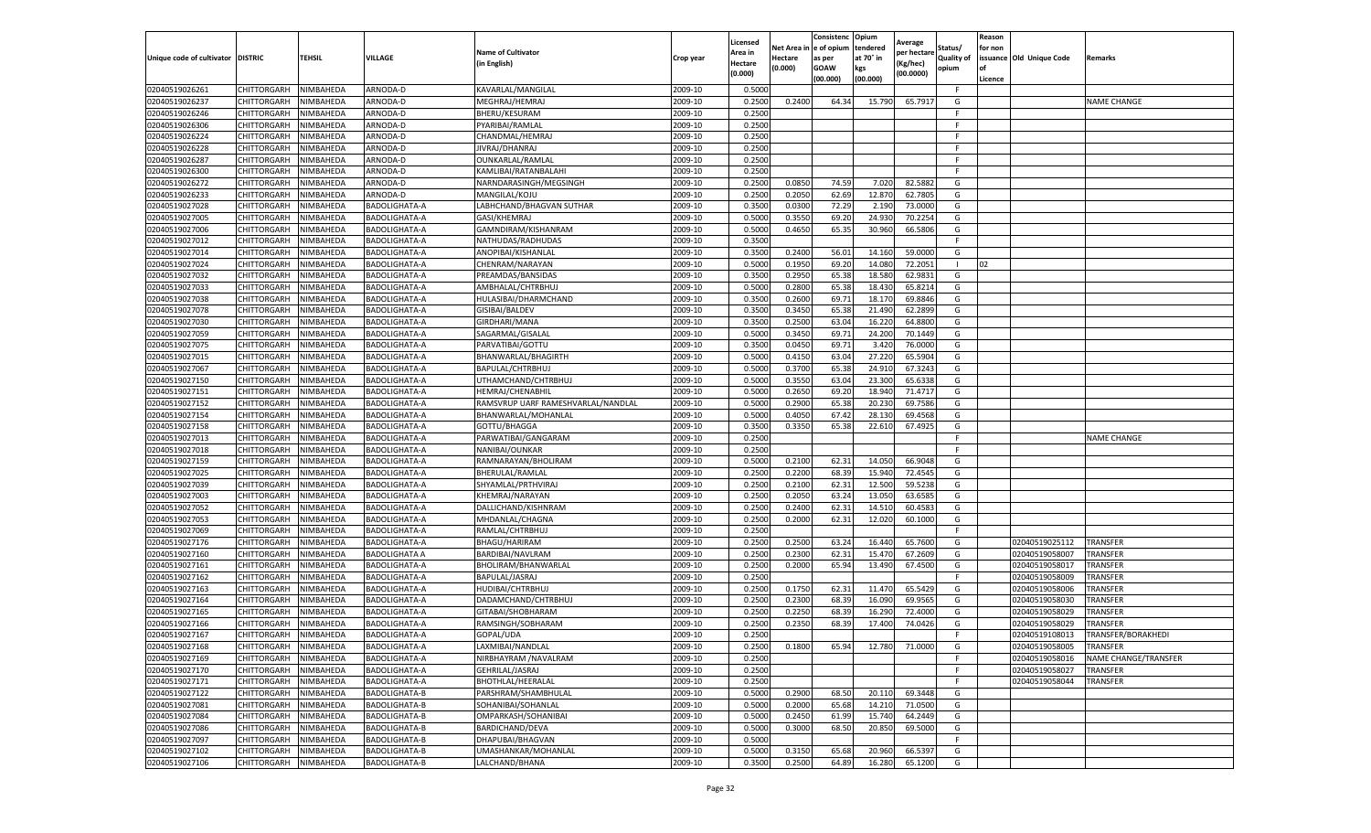|                           |                       |           |                      |                                    |           | Licensed |         | Consistenc             | Opium     | Average     |                   | Reason  |                          |                      |
|---------------------------|-----------------------|-----------|----------------------|------------------------------------|-----------|----------|---------|------------------------|-----------|-------------|-------------------|---------|--------------------------|----------------------|
|                           |                       |           |                      | <b>Name of Cultivator</b>          |           | Area in  |         | Net Area in e of opium | tendered  | per hectare | Status/           | for non |                          |                      |
| Unique code of cultivator | <b>DISTRIC</b>        | TEHSIL    | VILLAGE              | in English)                        | Crop year | Hectare  | Hectare | as per                 | at 70° in | (Kg/hec     | <b>Quality of</b> |         | issuance Old Unique Code | <b>Remarks</b>       |
|                           |                       |           |                      |                                    |           | (0.000)  | (0.000) | <b>GOAW</b>            | kgs       | (00.0000)   | opium             |         |                          |                      |
|                           |                       |           |                      |                                    |           |          |         | (00.000)               | (00.000)  |             |                   | Licence |                          |                      |
| 02040519026261            | CHITTORGARH           | NIMBAHEDA | ARNODA-D             | KAVARLAL/MANGILAL                  | 2009-10   | 0.5000   |         |                        |           |             | F.                |         |                          |                      |
| 02040519026237            | CHITTORGARH           | NIMBAHEDA | ARNODA-D             | MEGHRAJ/HEMRAJ                     | 2009-10   | 0.2500   | 0.2400  | 64.34                  | 15.79     | 65.7917     | G                 |         |                          | <b>NAME CHANGE</b>   |
| 02040519026246            | CHITTORGARH           | NIMBAHEDA | ARNODA-D             | <b>BHERU/KESURAM</b>               | 2009-10   | 0.2500   |         |                        |           |             | F.                |         |                          |                      |
| 02040519026306            | CHITTORGARH           | NIMBAHEDA | ARNODA-D             | PYARIBAI/RAMLAL                    | 2009-10   | 0.2500   |         |                        |           |             | F.                |         |                          |                      |
| 02040519026224            | CHITTORGARH           | NIMBAHEDA | ARNODA-D             | CHANDMAL/HEMRAJ                    | 2009-10   | 0.2500   |         |                        |           |             | F                 |         |                          |                      |
| 02040519026228            | CHITTORGARH           | NIMBAHEDA | ARNODA-D             | JIVRAJ/DHANRAJ                     | 2009-10   | 0.2500   |         |                        |           |             | F                 |         |                          |                      |
| 02040519026287            | CHITTORGARH           | NIMBAHEDA | ARNODA-D             | OUNKARLAL/RAMLAL                   | 2009-10   | 0.2500   |         |                        |           |             | F.                |         |                          |                      |
| 02040519026300            | CHITTORGARH           | NIMBAHEDA | ARNODA-D             | KAMLIBAI/RATANBALAH                | 2009-10   | 0.2500   |         |                        |           |             | F.                |         |                          |                      |
| 02040519026272            | CHITTORGARH           | NIMBAHEDA | ARNODA-D             | NARNDARASINGH/MEGSINGH             | 2009-10   | 0.2500   | 0.0850  | 74.59                  | 7.020     | 82.5882     | G                 |         |                          |                      |
| 02040519026233            | CHITTORGARH           | NIMBAHEDA | ARNODA-D             | MANGILAL/KOJU                      | 2009-10   | 0.2500   | 0.2050  | 62.69                  | 12.870    | 62.7805     | G                 |         |                          |                      |
| 02040519027028            | CHITTORGARH           | NIMBAHEDA | BADOLIGHATA-A        | LABHCHAND/BHAGVAN SUTHAR           | 2009-10   | 0.3500   | 0.0300  | 72.29                  | 2.190     | 73.0000     | G                 |         |                          |                      |
| 02040519027005            | CHITTORGARH           | NIMBAHEDA | BADOLIGHATA-A        | GASI/KHEMRAJ                       | 2009-10   | 0.5000   | 0.3550  | 69.20                  | 24.93     | 70.2254     | G                 |         |                          |                      |
| 02040519027006            | CHITTORGARH           | NIMBAHEDA | BADOLIGHATA-A        | GAMNDIRAM/KISHANRAM                | 2009-10   | 0.5000   | 0.4650  | 65.35                  | 30.960    | 66.5806     | G                 |         |                          |                      |
| 02040519027012            | CHITTORGARH           | NIMBAHEDA | BADOLIGHATA-A        | NATHUDAS/RADHUDAS                  | 2009-10   | 0.3500   |         |                        |           |             | F                 |         |                          |                      |
| 02040519027014            | CHITTORGARH           | NIMBAHEDA | BADOLIGHATA-A        | ANOPIBAI/KISHANLAL                 | 2009-10   | 0.3500   | 0.2400  | 56.01                  | 14.160    | 59.0000     | G                 |         |                          |                      |
| 02040519027024            | CHITTORGARH           | NIMBAHEDA | BADOLIGHATA-A        | CHENRAM/NARAYAN                    | 2009-10   | 0.5000   | 0.1950  | 69.20                  | 14.080    | 72.2051     | -1                | 02      |                          |                      |
| 02040519027032            | CHITTORGARH           | NIMBAHEDA | BADOLIGHATA-A        | PREAMDAS/BANSIDAS                  | 2009-10   | 0.3500   | 0.2950  | 65.38                  | 18.58     | 62.9831     | G                 |         |                          |                      |
| 02040519027033            | CHITTORGARH           | NIMBAHEDA | BADOLIGHATA-A        | AMBHALAL/CHTRBHUJ                  | 2009-10   | 0.5000   | 0.2800  | 65.38                  | 18.43     | 65.8214     | G                 |         |                          |                      |
| 02040519027038            | CHITTORGARH           | NIMBAHEDA | BADOLIGHATA-A        | HULASIBAI/DHARMCHAND               | 2009-10   | 0.3500   | 0.2600  | 69.71                  | 18.17     | 69.8846     | G                 |         |                          |                      |
| 02040519027078            | CHITTORGARH           | NIMBAHEDA | BADOLIGHATA-A        | GISIBAI/BALDEV                     | 2009-10   | 0.3500   | 0.3450  | 65.38                  | 21.490    | 62.2899     | G                 |         |                          |                      |
| 02040519027030            | CHITTORGARH           | NIMBAHEDA | BADOLIGHATA-A        | GIRDHARI/MANA                      | 2009-10   | 0.3500   | 0.2500  | 63.04                  | 16.220    | 64.8800     | G                 |         |                          |                      |
| 02040519027059            | CHITTORGARH           | NIMBAHEDA | BADOLIGHATA-A        | SAGARMAL/GISALAL                   | 2009-10   | 0.5000   | 0.3450  | 69.71                  | 24.200    | 70.1449     | G                 |         |                          |                      |
| 02040519027075            | CHITTORGARH           | NIMBAHEDA | BADOLIGHATA-A        | PARVATIBAI/GOTTU                   | 2009-10   | 0.3500   | 0.0450  | 69.71                  | 3.420     | 76.0000     | G                 |         |                          |                      |
| 02040519027015            | CHITTORGARH           | NIMBAHEDA | BADOLIGHATA-A        | BHANWARLAL/BHAGIRTH                | 2009-10   | 0.5000   | 0.4150  | 63.04                  | 27.220    | 65.5904     | G                 |         |                          |                      |
| 02040519027067            | CHITTORGARH           | NIMBAHEDA | BADOLIGHATA-A        | BAPULAL/CHTRBHUJ                   | 2009-10   | 0.5000   | 0.3700  | 65.38                  | 24.91     | 67.3243     | G                 |         |                          |                      |
| 02040519027150            | CHITTORGARH           | NIMBAHEDA | BADOLIGHATA-A        | UTHAMCHAND/CHTRBHUJ                | 2009-10   | 0.5000   | 0.3550  | 63.04                  | 23.300    | 65.6338     | G                 |         |                          |                      |
| 02040519027151            | CHITTORGARH           | NIMBAHEDA | BADOLIGHATA-A        | <b>HEMRAJ/CHENABHII</b>            | 2009-10   | 0.5000   | 0.2650  | 69.20                  | 18.94     | 71.4717     | G                 |         |                          |                      |
| 02040519027152            | CHITTORGARH           | NIMBAHEDA | BADOLIGHATA-A        | RAMSVRUP UARF RAMESHVARLAL/NANDLAL | 2009-10   | 0.5000   | 0.2900  | 65.38                  | 20.23     | 69.7586     | G                 |         |                          |                      |
| 02040519027154            | CHITTORGARH           | NIMBAHEDA | BADOLIGHATA-A        | BHANWARLAL/MOHANLAL                | 2009-10   | 0.5000   | 0.4050  | 67.42                  | 28.13     | 69.4568     | G                 |         |                          |                      |
| 02040519027158            | CHITTORGARH           | NIMBAHEDA | BADOLIGHATA-A        | GOTTU/BHAGGA                       | 2009-10   | 0.3500   | 0.3350  | 65.38                  | 22.610    | 67.4925     | G                 |         |                          |                      |
| 02040519027013            | CHITTORGARH           | NIMBAHEDA | BADOLIGHATA-A        | PARWATIBAI/GANGARAM                | 2009-10   | 0.2500   |         |                        |           |             | F                 |         |                          | <b>NAME CHANGE</b>   |
| 02040519027018            | CHITTORGARH           | NIMBAHEDA | BADOLIGHATA-A        | NANIBAI/OUNKAR                     | 2009-10   | 0.2500   |         |                        |           |             | F                 |         |                          |                      |
| 02040519027159            | CHITTORGARH           | NIMBAHEDA | BADOLIGHATA-A        | RAMNARAYAN/BHOLIRAM                | 2009-10   | 0.5000   | 0.2100  | 62.31                  | 14.05     | 66.9048     | G                 |         |                          |                      |
| 02040519027025            | CHITTORGARH           | NIMBAHEDA | BADOLIGHATA-A        | BHERULAL/RAMLAL                    | 2009-10   | 0.2500   | 0.2200  | 68.39                  | 15.940    | 72.4545     | G                 |         |                          |                      |
| 02040519027039            | CHITTORGARH           | NIMBAHEDA | <b>BADOLIGHATA-A</b> | SHYAMLAL/PRTHVIRAJ                 | 2009-10   | 0.2500   | 0.2100  | 62.31                  | 12.500    | 59.5238     | G                 |         |                          |                      |
| 02040519027003            | CHITTORGARH           | NIMBAHEDA | BADOLIGHATA-A        | KHEMRAJ/NARAYAN                    | 2009-10   | 0.2500   | 0.2050  | 63.24                  | 13.05     | 63.6585     | G                 |         |                          |                      |
| 02040519027052            | CHITTORGARH           | NIMBAHEDA | BADOLIGHATA-A        | DALLICHAND/KISHNRAM                | 2009-10   | 0.2500   | 0.2400  | 62.31                  | 14.51     | 60.4583     | G                 |         |                          |                      |
| 02040519027053            | CHITTORGARH           | NIMBAHEDA | BADOLIGHATA-A        | MHDANLAL/CHAGNA                    | 2009-10   | 0.2500   | 0.2000  | 62.31                  | 12.020    | 60.1000     | G                 |         |                          |                      |
| 02040519027069            | CHITTORGARH           | NIMBAHEDA | BADOLIGHATA-A        | RAMLAL/CHTRBHUJ                    | 2009-10   | 0.2500   |         |                        |           |             | F                 |         |                          |                      |
| 02040519027176            | CHITTORGARH           | NIMBAHEDA | BADOLIGHATA-A        | BHAGU/HARIRAM                      | 2009-10   | 0.2500   | 0.2500  | 63.24                  | 16.44     | 65.7600     | G                 |         | 02040519025112           | <b>TRANSFER</b>      |
| 02040519027160            | CHITTORGARH           | NIMBAHEDA | <b>BADOLIGHATA A</b> | BARDIBAI/NAVLRAM                   | 2009-10   | 0.2500   | 0.2300  | 62.31                  | 15.47     | 67.2609     | G                 |         | 02040519058007           | TRANSFER             |
| 02040519027161            | CHITTORGARH           | NIMBAHEDA | BADOLIGHATA-A        | BHOLIRAM/BHANWARLAL                | 2009-10   | 0.2500   | 0.2000  | 65.94                  | 13.490    | 67.4500     | G                 |         | 02040519058017           | TRANSFER             |
| 02040519027162            | CHITTORGARH           | NIMBAHEDA | BADOLIGHATA-A        | BAPULAL/JASRAJ                     | 2009-10   | 0.2500   |         |                        |           |             | F                 |         | 02040519058009           | TRANSFER             |
| 02040519027163            | CHITTORGARH           | NIMBAHEDA | BADOLIGHATA-A        | HUDIBAI/CHTRBHUJ                   | 2009-10   | 0.2500   | 0.1750  | 62.31                  | 11.47     | 65.5429     | G                 |         | 02040519058006           | TRANSFER             |
| 02040519027164            | CHITTORGARH           | NIMBAHEDA | BADOLIGHATA-A        | DADAMCHAND/CHTRBHUJ                | 2009-10   | 0.2500   | 0.2300  | 68.39                  | 16.090    | 69.9565     | G                 |         | 02040519058030           | TRANSFER             |
| 02040519027165            | CHITTORGARH           | NIMBAHEDA | BADOLIGHATA-A        | GITABAI/SHOBHARAM                  | 2009-10   | 0.2500   | 0.2250  | 68.39                  | 16.29     | 72.4000     | G                 |         | 02040519058029           | TRANSFER             |
| 02040519027166            | CHITTORGARH           | NIMBAHEDA | BADOLIGHATA-A        | RAMSINGH/SOBHARAM                  | 2009-10   | 0.2500   | 0.2350  | 68.39                  | 17.400    | 74.0426     | G                 |         | 02040519058029           | TRANSFER             |
| 02040519027167            | CHITTORGARH           | NIMBAHEDA | BADOLIGHATA-A        | GOPAL/UDA                          | 2009-10   | 0.2500   |         |                        |           |             | F.                |         | 02040519108013           | TRANSFER/BORAKHEDI   |
| 02040519027168            | CHITTORGARH NIMBAHEDA |           | <b>BADOLIGHATA-A</b> | LAXMIBAI/NANDLAL                   | 2009-10   | 0.2500   | 0.1800  | 65.94                  | 12.780    | 71.0000     | G                 |         | 02040519058005           | TRANSFER             |
| 02040519027169            | CHITTORGARH           | NIMBAHEDA | BADOLIGHATA-A        | NIRBHAYRAM / NAVALRAM              | 2009-10   | 0.2500   |         |                        |           |             | F                 |         | 02040519058016           | NAME CHANGE/TRANSFER |
| 02040519027170            | <b>CHITTORGARH</b>    | NIMBAHEDA | BADOLIGHATA-A        | GEHRILAL/JASRAJ                    | 2009-10   | 0.2500   |         |                        |           |             | F.                |         | 02040519058027           | <b>TRANSFER</b>      |
| 02040519027171            | CHITTORGARH           | NIMBAHEDA | BADOLIGHATA-A        | BHOTHLAL/HEERALAL                  | 2009-10   | 0.2500   |         |                        |           |             | F.                |         | 02040519058044           | TRANSFER             |
| 02040519027122            | CHITTORGARH           | NIMBAHEDA | BADOLIGHATA-B        | PARSHRAM/SHAMBHULAL                | 2009-10   | 0.5000   | 0.2900  | 68.50                  | 20.110    | 69.3448     | G                 |         |                          |                      |
| 02040519027081            | <b>CHITTORGARH</b>    | NIMBAHEDA | BADOLIGHATA-B        | SOHANIBAI/SOHANLAL                 | 2009-10   | 0.5000   | 0.2000  | 65.68                  | 14.210    | 71.0500     | G                 |         |                          |                      |
| 02040519027084            | CHITTORGARH           | NIMBAHEDA | BADOLIGHATA-B        | OMPARKASH/SOHANIBAI                | 2009-10   | 0.5000   | 0.2450  | 61.99                  | 15.740    | 64.2449     | G                 |         |                          |                      |
| 02040519027086            | CHITTORGARH           | NIMBAHEDA | BADOLIGHATA-B        | BARDICHAND/DEVA                    | 2009-10   | 0.5000   | 0.3000  | 68.50                  | 20.850    | 69.5000     | G                 |         |                          |                      |
| 02040519027097            | CHITTORGARH           | NIMBAHEDA | BADOLIGHATA-B        | DHAPUBAI/BHAGVAN                   | 2009-10   | 0.5000   |         |                        |           |             | F.                |         |                          |                      |
| 02040519027102            | CHITTORGARH           | NIMBAHEDA | BADOLIGHATA-B        | UMASHANKAR/MOHANLAL                | 2009-10   | 0.5000   | 0.3150  | 65.68                  | 20.960    | 66.5397     | G                 |         |                          |                      |
| 02040519027106            | <b>CHITTORGARH</b>    | NIMBAHEDA | <b>BADOLIGHATA-B</b> | LALCHAND/BHANA                     | 2009-10   | 0.3500   | 0.2500  | 64.89                  | 16.280    | 65.1200     | G                 |         |                          |                      |
|                           |                       |           |                      |                                    |           |          |         |                        |           |             |                   |         |                          |                      |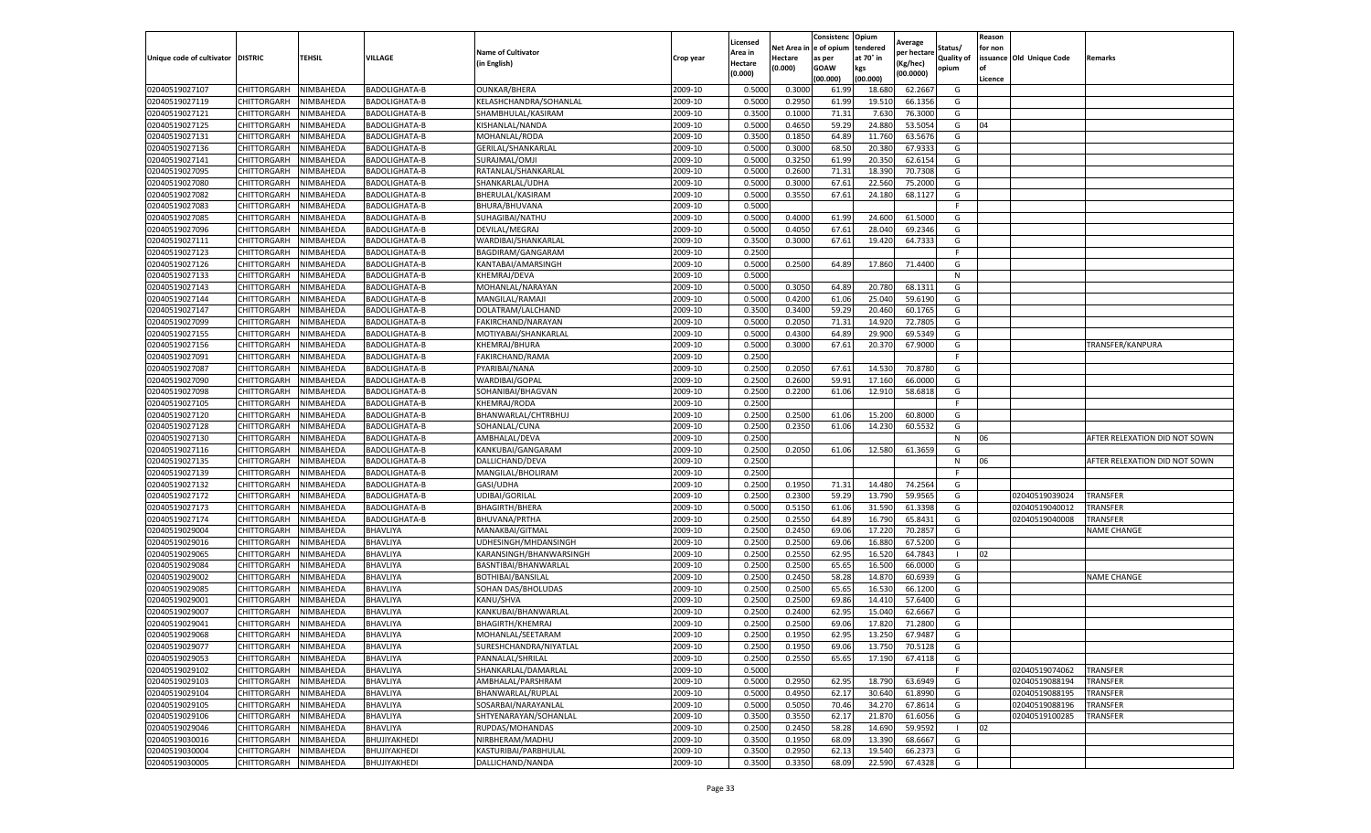| Net Area in e of opium<br>tendered<br>Status/<br>for non<br><b>Name of Cultivator</b><br>Area in<br>per hectare<br>at 70° in<br>issuance Old Unique Code<br><b>DISTRIC</b><br>TEHSIL<br>VILLAGE<br><b>Quality of</b><br>Unique code of cultivator<br>Crop year<br>Hectare<br>as per<br><b>Remarks</b><br>in English)<br>(Kg/hec<br>Hectare<br>(0.000)<br><b>GOAW</b><br>kgs<br>opium<br>(0.000)<br>(00.0000)<br>(00.000)<br>(00.000)<br>Licence<br>02040519027107<br>NIMBAHEDA<br><b>BADOLIGHATA-B</b><br>2009-10<br>0.5000<br>0.3000<br>62.2667<br>CHITTORGARH<br><b>OUNKAR/BHERA</b><br>61.99<br>18.68<br>G<br>02040519027119<br>2009-10<br>0.5000<br>0.2950<br>19.51<br>CHITTORGARH<br>NIMBAHEDA<br><b>BADOLIGHATA-B</b><br>KELASHCHANDRA/SOHANLAL<br>61.99<br>66.1356<br>G<br>02040519027121<br>0.3500<br>0.1000<br>71.31<br>CHITTORGARH<br>NIMBAHEDA<br><b>BADOLIGHATA-B</b><br>SHAMBHULAL/KASIRAM<br>2009-10<br>7.63<br>76.3000<br>G<br>02040519027125<br>NIMBAHEDA<br>BADOLIGHATA-B<br>2009-10<br>0.5000<br>0.4650<br>59.29<br>24.880<br>53.5054<br>G<br>04<br>CHITTORGARH<br>KISHANLAL/NANDA<br>02040519027131<br>CHITTORGARH<br>NIMBAHEDA<br>MOHANLAL/RODA<br>2009-10<br>0.3500<br>0.1850<br>64.89<br>63.5676<br>G<br>BADOLIGHATA-B<br>11.760<br>68.50<br>02040519027136<br>2009-10<br>0.5000<br>0.3000<br>67.933<br>CHITTORGARH<br>NIMBAHEDA<br>BADOLIGHATA-B<br>GERILAL/SHANKARLAL<br>20.38<br>G<br>02040519027141<br>CHITTORGARH<br>NIMBAHEDA<br>BADOLIGHATA-B<br>SURAJMAL/OMJI<br>2009-10<br>0.5000<br>0.3250<br>61.99<br>20.35<br>62.6154<br>G<br>02040519027095<br>2009-10<br>0.5000<br>0.2600<br>71.31<br>18.39<br>CHITTORGARH<br>NIMBAHEDA<br><b>BADOLIGHATA-B</b><br>RATANLAL/SHANKARLAL<br>70.7308<br>G<br>2009-10<br>0.5000<br>0.3000<br>67.61<br>22.56<br>75.2000<br>G<br>02040519027080<br>CHITTORGARH<br>NIMBAHEDA<br>BADOLIGHATA-B<br>SHANKARLAL/UDHA<br>02040519027082<br>NIMBAHEDA<br>BHERULAL/KASIRAM<br>2009-10<br>0.5000<br>0.3550<br>67.61<br>24.180<br>68.1127<br>G<br>CHITTORGARH<br>BADOLIGHATA-B<br>02040519027083<br>NIMBAHEDA<br>2009-10<br>0.5000<br>F.<br>CHITTORGARH<br>BADOLIGHATA-B<br>BHURA/BHUVANA<br>0.5000<br>02040519027085<br>NIMBAHEDA<br>SUHAGIBAI/NATHU<br>2009-10<br>0.4000<br>61.99<br>61.5000<br>CHITTORGARH<br><b>BADOLIGHATA-B</b><br>24.60<br>G<br>02040519027096<br>CHITTORGARH<br>NIMBAHEDA<br>BADOLIGHATA-B<br>DEVILAL/MEGRAJ<br>2009-10<br>0.5000<br>0.4050<br>67.61<br>28.04<br>69.2346<br>G<br>02040519027111<br>NIMBAHEDA<br>2009-10<br>0.3500<br>0.3000<br>67.61<br>19.42<br>64.7333<br>CHITTORGARH<br><b>BADOLIGHATA-B</b><br>WARDIBAI/SHANKARLAL<br>G<br>02040519027123<br>2009-10<br>0.2500<br>CHITTORGARH<br>NIMBAHEDA<br><b>BADOLIGHATA-B</b><br>BAGDIRAM/GANGARAM<br>F.<br>2009-10<br>0.2500<br>02040519027126<br>NIMBAHEDA<br>KANTABAI/AMARSINGH<br>0.5000<br>64.89<br>17.860<br>71.4400<br>G<br>CHITTORGARH<br>BADOLIGHATA-B<br>02040519027133<br>2009-10<br>0.5000<br>CHITTORGARH<br>NIMBAHEDA<br>BADOLIGHATA-B<br>KHEMRAJ/DEVA<br>N<br>2009-10<br>0.3050<br>02040519027143<br>0.5000<br>64.89<br>20.78<br>68.1311<br>G<br>CHITTORGARH<br>NIMBAHEDA<br>BADOLIGHATA-B<br>MOHANLAL/NARAYAN<br>2009-10<br>0.4200<br>02040519027144<br>CHITTORGARH<br>NIMBAHEDA<br>0.5000<br>61.06<br>25.04<br>59.6190<br>G<br>BADOLIGHATA-B<br>MANGILAL/RAMAJ<br>02040519027147<br>CHITTORGARH<br>NIMBAHEDA<br>BADOLIGHATA-B<br>DOLATRAM/LALCHAND<br>2009-10<br>0.3500<br>0.3400<br>59.29<br>20.460<br>60.1765<br>G<br>02040519027099<br>2009-10<br>0.5000<br>0.2050<br>71.31<br>72.7805<br>G<br>CHITTORGARH<br>NIMBAHEDA<br>BADOLIGHATA-B<br>FAKIRCHAND/NARAYAN<br>14.92<br>02040519027155<br>2009-10<br>0.5000<br>0.4300<br>64.89<br>29.90<br>69.5349<br>G<br>CHITTORGARH<br>NIMBAHEDA<br>BADOLIGHATA-B<br>MOTIYABAI/SHANKARLAL<br>02040519027156<br>CHITTORGARH<br>NIMBAHEDA<br>BADOLIGHATA-B<br>KHEMRAJ/BHURA<br>2009-10<br>0.5000<br>0.3000<br>67.61<br>20.370<br>67.9000<br>G<br>TRANSFER/KANPURA<br>0.2500<br>02040519027091<br>NIMBAHEDA<br>2009-10<br>CHITTORGARH<br><b>BADOLIGHATA-B</b><br>FAKIRCHAND/RAMA<br>F<br>2009-10<br>0.2050<br>02040519027087<br>CHITTORGARH<br>0.2500<br>67.61<br>14.53<br>70.8780<br>G<br>NIMBAHEDA<br>BADOLIGHATA-B<br>PYARIBAI/NANA<br>02040519027090<br>CHITTORGARH<br>NIMBAHEDA<br>BADOLIGHATA-B<br>WARDIBAI/GOPAL<br>2009-10<br>0.2500<br>0.2600<br>59.91<br>17.160<br>66.0000<br>G<br>02040519027098<br>NIMBAHEDA<br>SOHANIBAI/BHAGVAN<br>2009-10<br>0.2500<br>0.2200<br>61.06<br>12.910<br>58.6818<br>CHITTORGARH<br><b>BADOLIGHATA-B</b><br>G<br>2009-10<br>0.2500<br>02040519027105<br>CHITTORGARH<br>NIMBAHEDA<br>BADOLIGHATA-B<br><b>KHEMRAJ/RODA</b><br>F.<br>02040519027120<br>NIMBAHEDA<br>2009-10<br>0.2500<br>0.2500<br>61.06<br>15.200<br>60.8000<br>G<br>CHITTORGARH<br>BADOLIGHATA-B<br>BHANWARLAL/CHTRBHUJ<br>02040519027128<br>CHITTORGARH<br>NIMBAHEDA<br>SOHANLAL/CUNA<br>2009-10<br>0.2500<br>0.2350<br>61.06<br>14.230<br>60.5532<br>G<br>BADOLIGHATA-B<br>02040519027130<br>NIMBAHEDA<br>2009-10<br>0.2500<br>CHITTORGARH<br>BADOLIGHATA-B<br>AMBHALAL/DEVA<br>N<br>06<br>AFTER RELEXATION DID NOT SOWN<br>02040519027116<br>CHITTORGARH<br>NIMBAHEDA<br>BADOLIGHATA-B<br>KANKUBAI/GANGARAM<br>2009-10<br>0.2500<br>0.2050<br>61.06<br>12.580<br>61.3659<br>G<br>02040519027135<br>NIMBAHEDA<br>DALLICHAND/DEVA<br>2009-10<br>0.2500<br>CHITTORGARH<br><b>BADOLIGHATA-B</b><br>N<br>06<br>AFTER RELEXATION DID NOT SOWN<br>02040519027139<br>2009-10<br>0.2500<br>CHITTORGARH<br>NIMBAHEDA<br><b>BADOLIGHATA-B</b><br>MANGILAL/BHOLIRAM<br>F.<br>02040519027132<br>CHITTORGARH<br>NIMBAHEDA<br>BADOLIGHATA-B<br>GASI/UDHA<br>2009-10<br>0.2500<br>0.1950<br>71.31<br>14.480<br>74.2564<br>G<br>02040519027172<br>NIMBAHEDA<br>2009-10<br>0.2500<br>0.2300<br>59.29<br>59.9565<br><b>TRANSFER</b><br>CHITTORGARH<br>BADOLIGHATA-B<br>UDIBAI/GORILAL<br>13.790<br>G<br>02040519039024<br>02040519027173<br>2009-10<br>0.5000<br>0.5150<br>61.06<br>31.59<br>61.3398<br>G<br>TRANSFER<br>CHITTORGARH<br>NIMBAHEDA<br>BADOLIGHATA-B<br><b>BHAGIRTH/BHERA</b><br>02040519040012<br>0.2500<br>0.2550<br>64.89<br>02040519027174<br>CHITTORGARH<br>NIMBAHEDA<br>2009-10<br>16.79<br>65.8431<br>G<br>02040519040008<br>TRANSFER<br>BADOLIGHATA-B<br>BHUVANA/PRTHA<br>02040519029004<br>BHAVLIYA<br>MANAKBAI/GITMAL<br>2009-10<br>0.2500<br>0.2450<br>69.06<br>17.22<br>70.285<br>CHITTORGARH<br>NIMBAHEDA<br>G<br><b>NAME CHANGE</b><br>0.2500<br>G<br>02040519029016<br>2009-10<br>0.2500<br>69.06<br>16.880<br>67.5200<br>CHITTORGARH<br>NIMBAHEDA<br>BHAVLIYA<br>UDHESINGH/MHDANSINGH<br>2009-10<br>0.2500<br>0.2550<br>62.95<br>02<br>02040519029065<br>CHITTORGARH<br>NIMBAHEDA<br>BHAVLIYA<br>KARANSINGH/BHANWARSINGH<br>16.52<br>64.7843<br>-1<br>02040519029084<br>2009-10<br>0.2500<br>0.2500<br>65.65<br>66.0000<br>CHITTORGARH<br>NIMBAHEDA<br>BHAVLIYA<br>BASNTIBAI/BHANWARLAL<br>16.500<br>G<br>0.2500<br>0.2450<br>58.28<br>02040519029002<br>2009-10<br>14.87<br>60.6939<br>G<br>CHITTORGARH<br>NIMBAHEDA<br>BHAVLIYA<br>BOTHIBAI/BANSILAL<br><b>NAME CHANGE</b><br>2009-10<br>65.65<br>02040519029085<br>CHITTORGARH<br>BHAVLIYA<br>0.2500<br>0.2500<br>16.53<br>66.1200<br>G<br>NIMBAHEDA<br>SOHAN DAS/BHOLUDAS<br>02040519029001<br>CHITTORGARH<br>NIMBAHEDA<br>BHAVLIYA<br>KANU/SHVA<br>2009-10<br>0.2500<br>0.2500<br>69.86<br>14.41<br>57.6400<br>G<br>62.95<br>15.04<br>02040519029007<br>CHITTORGARH<br>NIMBAHEDA<br>BHAVLIYA<br>KANKUBAI/BHANWARLAL<br>2009-10<br>0.2500<br>0.2400<br>62.6667<br>G<br>0.2500<br>02040519029041<br>NIMBAHEDA<br>BHAVLIYA<br>BHAGIRTH/KHEMRAJ<br>2009-10<br>0.2500<br>69.06<br>17.82<br>71.2800<br>G<br>CHITTORGARH<br>02040519029068<br>CHITTORGARH<br>NIMBAHEDA<br>BHAVLIYA<br>MOHANLAL/SEETARAM<br>2009-10<br>0.2500<br>0.1950<br>62.95<br>13.250<br>67.9487<br>G<br>2009-10<br>02040519029077<br><b>CHITTORGARH</b><br>NIMBAHEDA<br>BHAVLIYA<br>SURESHCHANDRA/NIYATLAL<br>0.2500<br>0.1950<br>69.06<br>13.750<br>70.5128<br>G<br>2009-10<br>0.2500<br>0.2550<br>65.65<br>02040519029053<br>CHITTORGARH<br>NIMBAHEDA<br>BHAVLIYA<br>PANNALAL/SHRILAL<br>17.190<br>67.4118<br>G<br>2009-10<br>0.5000<br>02040519029102<br>CHITTORGARH<br>NIMBAHEDA<br>BHAVLIYA<br>SHANKARLAL/DAMARLAL<br>F.<br>02040519074062<br><b>TRANSFER</b><br>0.2950<br>02040519029103<br>CHITTORGARH<br>NIMBAHEDA<br>BHAVLIYA<br>AMBHALAL/PARSHRAM<br>2009-10<br>0.5000<br>62.95<br>18.79<br>63.6949<br>02040519088194<br>TRANSFER<br>G<br>02040519029104<br>BHANWARLAL/RUPLAL<br>2009-10<br>0.5000<br>0.4950<br>62.17<br>30.640<br>61.8990<br>02040519088195<br>TRANSFER<br>CHITTORGARH<br>NIMBAHEDA<br>BHAVLIYA<br>G<br>2009-10<br>0.5050<br>02040519029105<br><b>CHITTORGARH</b><br>NIMBAHEDA<br>BHAVLIYA<br>SOSARBAI/NARAYANLAL<br>0.5000<br>70.46<br>34.270<br>67.8614<br>G<br>02040519088196<br>TRANSFER<br>0.3550<br>02040519029106<br>CHITTORGARH<br>NIMBAHEDA<br>BHAVLIYA<br>SHTYENARAYAN/SOHANLAL<br>2009-10<br>0.3500<br>62.17<br>21.87<br>61.6056<br>G<br>02040519100285<br>TRANSFER<br>2009-10<br>0.2450<br>58.28<br>59.9592<br>02<br>02040519029046<br>CHITTORGARH<br>NIMBAHEDA<br>BHAVLIYA<br>RUPDAS/MOHANDAS<br>0.2500<br>14.690<br>68.09<br>02040519030016<br>CHITTORGARH<br>NIMBAHEDA<br>BHUJIYAKHEDI<br>NIRBHERAM/MADHU<br>2009-10<br>0.3500<br>0.1950<br>13.390<br>68.6667<br>G<br>02040519030004<br>CHITTORGARH<br>NIMBAHEDA<br>BHUJIYAKHEDI<br>KASTURIBAI/PARBHULAL<br>2009-10<br>0.3500<br>0.2950<br>62.13<br>19.54<br>66.2373<br>G<br>02040519030005<br><b>CHITTORGARH</b><br>NIMBAHEDA<br>BHUJIYAKHEDI<br>DALLICHAND/NANDA<br>2009-10<br>0.3500<br>0.3350<br>68.09<br>67.4328<br>G<br>22.590 |  |  |  | Licensed | Consistenc | Opium | Average | Reason |  |
|--------------------------------------------------------------------------------------------------------------------------------------------------------------------------------------------------------------------------------------------------------------------------------------------------------------------------------------------------------------------------------------------------------------------------------------------------------------------------------------------------------------------------------------------------------------------------------------------------------------------------------------------------------------------------------------------------------------------------------------------------------------------------------------------------------------------------------------------------------------------------------------------------------------------------------------------------------------------------------------------------------------------------------------------------------------------------------------------------------------------------------------------------------------------------------------------------------------------------------------------------------------------------------------------------------------------------------------------------------------------------------------------------------------------------------------------------------------------------------------------------------------------------------------------------------------------------------------------------------------------------------------------------------------------------------------------------------------------------------------------------------------------------------------------------------------------------------------------------------------------------------------------------------------------------------------------------------------------------------------------------------------------------------------------------------------------------------------------------------------------------------------------------------------------------------------------------------------------------------------------------------------------------------------------------------------------------------------------------------------------------------------------------------------------------------------------------------------------------------------------------------------------------------------------------------------------------------------------------------------------------------------------------------------------------------------------------------------------------------------------------------------------------------------------------------------------------------------------------------------------------------------------------------------------------------------------------------------------------------------------------------------------------------------------------------------------------------------------------------------------------------------------------------------------------------------------------------------------------------------------------------------------------------------------------------------------------------------------------------------------------------------------------------------------------------------------------------------------------------------------------------------------------------------------------------------------------------------------------------------------------------------------------------------------------------------------------------------------------------------------------------------------------------------------------------------------------------------------------------------------------------------------------------------------------------------------------------------------------------------------------------------------------------------------------------------------------------------------------------------------------------------------------------------------------------------------------------------------------------------------------------------------------------------------------------------------------------------------------------------------------------------------------------------------------------------------------------------------------------------------------------------------------------------------------------------------------------------------------------------------------------------------------------------------------------------------------------------------------------------------------------------------------------------------------------------------------------------------------------------------------------------------------------------------------------------------------------------------------------------------------------------------------------------------------------------------------------------------------------------------------------------------------------------------------------------------------------------------------------------------------------------------------------------------------------------------------------------------------------------------------------------------------------------------------------------------------------------------------------------------------------------------------------------------------------------------------------------------------------------------------------------------------------------------------------------------------------------------------------------------------------------------------------------------------------------------------------------------------------------------------------------------------------------------------------------------------------------------------------------------------------------------------------------------------------------------------------------------------------------------------------------------------------------------------------------------------------------------------------------------------------------------------------------------------------------------------------------------------------------------------------------------------------------------------------------------------------------------------------------------------------------------------------------------------------------------------------------------------------------------------------------------------------------------------------------------------------------------------------------------------------------------------------------------------------------------------------------------------------------------------------------------------------------------------------------------------------------------------------------------------------------------------------------------------------------------------------------------------------------------------------------------------------------------------------------------------------------------------------------------------------------------------------------------------------------------------------------------------------------------------------------------------------------------------------------------------------------------------------------------------------------------------------------------------------------------------------------------------------------------------------------------------------------------------------------------------------------------------------------------------------------------------------------------------------------------------------------------------------------------------------------------------------------------------------------------------------------------------------------------------------------------------------------------------------------------------------------------------------------------------------------------------------------------------------------------------------------------------------------------------------------------------------------------------------------------------------------------------------------------------------------------------------------------------------------------------------------------------------------------------------------------------------------------------------------------------------------------------------------------------------------------------------------------------------------------------------------------------------------------------------------------------------------------------------------------------------------------------------------------------------------------------------------------------------------------------------------------------------------------------------------------------------------------------------------------------------------------------------------------------------------------------------------------------------------------------------------------------------------------------------------------------------------------------------------------------------------------------------------------------------------------------------------------------------------------------------------------------------------------------------------------------------------------------------------------------------------------------------------------------------------------------------------------|--|--|--|----------|------------|-------|---------|--------|--|
|                                                                                                                                                                                                                                                                                                                                                                                                                                                                                                                                                                                                                                                                                                                                                                                                                                                                                                                                                                                                                                                                                                                                                                                                                                                                                                                                                                                                                                                                                                                                                                                                                                                                                                                                                                                                                                                                                                                                                                                                                                                                                                                                                                                                                                                                                                                                                                                                                                                                                                                                                                                                                                                                                                                                                                                                                                                                                                                                                                                                                                                                                                                                                                                                                                                                                                                                                                                                                                                                                                                                                                                                                                                                                                                                                                                                                                                                                                                                                                                                                                                                                                                                                                                                                                                                                                                                                                                                                                                                                                                                                                                                                                                                                                                                                                                                                                                                                                                                                                                                                                                                                                                                                                                                                                                                                                                                                                                                                                                                                                                                                                                                                                                                                                                                                                                                                                                                                                                                                                                                                                                                                                                                                                                                                                                                                                                                                                                                                                                                                                                                                                                                                                                                                                                                                                                                                                                                                                                                                                                                                                                                                                                                                                                                                                                                                                                                                                                                                                                                                                                                                                                                                                                                                                                                                                                                                                                                                                                                                                                                                                                                                                                                                                                                                                                                                                                                                                                                                                                                                                                                                                                                                                                                                                                                                                                                                                                                                                                                                                                                                                                                                                                                                                                                                                                                                                                                                                                                                                                                                                                                                                                                                                                                    |  |  |  |          |            |       |         |        |  |
|                                                                                                                                                                                                                                                                                                                                                                                                                                                                                                                                                                                                                                                                                                                                                                                                                                                                                                                                                                                                                                                                                                                                                                                                                                                                                                                                                                                                                                                                                                                                                                                                                                                                                                                                                                                                                                                                                                                                                                                                                                                                                                                                                                                                                                                                                                                                                                                                                                                                                                                                                                                                                                                                                                                                                                                                                                                                                                                                                                                                                                                                                                                                                                                                                                                                                                                                                                                                                                                                                                                                                                                                                                                                                                                                                                                                                                                                                                                                                                                                                                                                                                                                                                                                                                                                                                                                                                                                                                                                                                                                                                                                                                                                                                                                                                                                                                                                                                                                                                                                                                                                                                                                                                                                                                                                                                                                                                                                                                                                                                                                                                                                                                                                                                                                                                                                                                                                                                                                                                                                                                                                                                                                                                                                                                                                                                                                                                                                                                                                                                                                                                                                                                                                                                                                                                                                                                                                                                                                                                                                                                                                                                                                                                                                                                                                                                                                                                                                                                                                                                                                                                                                                                                                                                                                                                                                                                                                                                                                                                                                                                                                                                                                                                                                                                                                                                                                                                                                                                                                                                                                                                                                                                                                                                                                                                                                                                                                                                                                                                                                                                                                                                                                                                                                                                                                                                                                                                                                                                                                                                                                                                                                                                                                    |  |  |  |          |            |       |         |        |  |
|                                                                                                                                                                                                                                                                                                                                                                                                                                                                                                                                                                                                                                                                                                                                                                                                                                                                                                                                                                                                                                                                                                                                                                                                                                                                                                                                                                                                                                                                                                                                                                                                                                                                                                                                                                                                                                                                                                                                                                                                                                                                                                                                                                                                                                                                                                                                                                                                                                                                                                                                                                                                                                                                                                                                                                                                                                                                                                                                                                                                                                                                                                                                                                                                                                                                                                                                                                                                                                                                                                                                                                                                                                                                                                                                                                                                                                                                                                                                                                                                                                                                                                                                                                                                                                                                                                                                                                                                                                                                                                                                                                                                                                                                                                                                                                                                                                                                                                                                                                                                                                                                                                                                                                                                                                                                                                                                                                                                                                                                                                                                                                                                                                                                                                                                                                                                                                                                                                                                                                                                                                                                                                                                                                                                                                                                                                                                                                                                                                                                                                                                                                                                                                                                                                                                                                                                                                                                                                                                                                                                                                                                                                                                                                                                                                                                                                                                                                                                                                                                                                                                                                                                                                                                                                                                                                                                                                                                                                                                                                                                                                                                                                                                                                                                                                                                                                                                                                                                                                                                                                                                                                                                                                                                                                                                                                                                                                                                                                                                                                                                                                                                                                                                                                                                                                                                                                                                                                                                                                                                                                                                                                                                                                                                    |  |  |  |          |            |       |         |        |  |
|                                                                                                                                                                                                                                                                                                                                                                                                                                                                                                                                                                                                                                                                                                                                                                                                                                                                                                                                                                                                                                                                                                                                                                                                                                                                                                                                                                                                                                                                                                                                                                                                                                                                                                                                                                                                                                                                                                                                                                                                                                                                                                                                                                                                                                                                                                                                                                                                                                                                                                                                                                                                                                                                                                                                                                                                                                                                                                                                                                                                                                                                                                                                                                                                                                                                                                                                                                                                                                                                                                                                                                                                                                                                                                                                                                                                                                                                                                                                                                                                                                                                                                                                                                                                                                                                                                                                                                                                                                                                                                                                                                                                                                                                                                                                                                                                                                                                                                                                                                                                                                                                                                                                                                                                                                                                                                                                                                                                                                                                                                                                                                                                                                                                                                                                                                                                                                                                                                                                                                                                                                                                                                                                                                                                                                                                                                                                                                                                                                                                                                                                                                                                                                                                                                                                                                                                                                                                                                                                                                                                                                                                                                                                                                                                                                                                                                                                                                                                                                                                                                                                                                                                                                                                                                                                                                                                                                                                                                                                                                                                                                                                                                                                                                                                                                                                                                                                                                                                                                                                                                                                                                                                                                                                                                                                                                                                                                                                                                                                                                                                                                                                                                                                                                                                                                                                                                                                                                                                                                                                                                                                                                                                                                                                    |  |  |  |          |            |       |         |        |  |
|                                                                                                                                                                                                                                                                                                                                                                                                                                                                                                                                                                                                                                                                                                                                                                                                                                                                                                                                                                                                                                                                                                                                                                                                                                                                                                                                                                                                                                                                                                                                                                                                                                                                                                                                                                                                                                                                                                                                                                                                                                                                                                                                                                                                                                                                                                                                                                                                                                                                                                                                                                                                                                                                                                                                                                                                                                                                                                                                                                                                                                                                                                                                                                                                                                                                                                                                                                                                                                                                                                                                                                                                                                                                                                                                                                                                                                                                                                                                                                                                                                                                                                                                                                                                                                                                                                                                                                                                                                                                                                                                                                                                                                                                                                                                                                                                                                                                                                                                                                                                                                                                                                                                                                                                                                                                                                                                                                                                                                                                                                                                                                                                                                                                                                                                                                                                                                                                                                                                                                                                                                                                                                                                                                                                                                                                                                                                                                                                                                                                                                                                                                                                                                                                                                                                                                                                                                                                                                                                                                                                                                                                                                                                                                                                                                                                                                                                                                                                                                                                                                                                                                                                                                                                                                                                                                                                                                                                                                                                                                                                                                                                                                                                                                                                                                                                                                                                                                                                                                                                                                                                                                                                                                                                                                                                                                                                                                                                                                                                                                                                                                                                                                                                                                                                                                                                                                                                                                                                                                                                                                                                                                                                                                                                    |  |  |  |          |            |       |         |        |  |
|                                                                                                                                                                                                                                                                                                                                                                                                                                                                                                                                                                                                                                                                                                                                                                                                                                                                                                                                                                                                                                                                                                                                                                                                                                                                                                                                                                                                                                                                                                                                                                                                                                                                                                                                                                                                                                                                                                                                                                                                                                                                                                                                                                                                                                                                                                                                                                                                                                                                                                                                                                                                                                                                                                                                                                                                                                                                                                                                                                                                                                                                                                                                                                                                                                                                                                                                                                                                                                                                                                                                                                                                                                                                                                                                                                                                                                                                                                                                                                                                                                                                                                                                                                                                                                                                                                                                                                                                                                                                                                                                                                                                                                                                                                                                                                                                                                                                                                                                                                                                                                                                                                                                                                                                                                                                                                                                                                                                                                                                                                                                                                                                                                                                                                                                                                                                                                                                                                                                                                                                                                                                                                                                                                                                                                                                                                                                                                                                                                                                                                                                                                                                                                                                                                                                                                                                                                                                                                                                                                                                                                                                                                                                                                                                                                                                                                                                                                                                                                                                                                                                                                                                                                                                                                                                                                                                                                                                                                                                                                                                                                                                                                                                                                                                                                                                                                                                                                                                                                                                                                                                                                                                                                                                                                                                                                                                                                                                                                                                                                                                                                                                                                                                                                                                                                                                                                                                                                                                                                                                                                                                                                                                                                                                    |  |  |  |          |            |       |         |        |  |
|                                                                                                                                                                                                                                                                                                                                                                                                                                                                                                                                                                                                                                                                                                                                                                                                                                                                                                                                                                                                                                                                                                                                                                                                                                                                                                                                                                                                                                                                                                                                                                                                                                                                                                                                                                                                                                                                                                                                                                                                                                                                                                                                                                                                                                                                                                                                                                                                                                                                                                                                                                                                                                                                                                                                                                                                                                                                                                                                                                                                                                                                                                                                                                                                                                                                                                                                                                                                                                                                                                                                                                                                                                                                                                                                                                                                                                                                                                                                                                                                                                                                                                                                                                                                                                                                                                                                                                                                                                                                                                                                                                                                                                                                                                                                                                                                                                                                                                                                                                                                                                                                                                                                                                                                                                                                                                                                                                                                                                                                                                                                                                                                                                                                                                                                                                                                                                                                                                                                                                                                                                                                                                                                                                                                                                                                                                                                                                                                                                                                                                                                                                                                                                                                                                                                                                                                                                                                                                                                                                                                                                                                                                                                                                                                                                                                                                                                                                                                                                                                                                                                                                                                                                                                                                                                                                                                                                                                                                                                                                                                                                                                                                                                                                                                                                                                                                                                                                                                                                                                                                                                                                                                                                                                                                                                                                                                                                                                                                                                                                                                                                                                                                                                                                                                                                                                                                                                                                                                                                                                                                                                                                                                                                                                    |  |  |  |          |            |       |         |        |  |
|                                                                                                                                                                                                                                                                                                                                                                                                                                                                                                                                                                                                                                                                                                                                                                                                                                                                                                                                                                                                                                                                                                                                                                                                                                                                                                                                                                                                                                                                                                                                                                                                                                                                                                                                                                                                                                                                                                                                                                                                                                                                                                                                                                                                                                                                                                                                                                                                                                                                                                                                                                                                                                                                                                                                                                                                                                                                                                                                                                                                                                                                                                                                                                                                                                                                                                                                                                                                                                                                                                                                                                                                                                                                                                                                                                                                                                                                                                                                                                                                                                                                                                                                                                                                                                                                                                                                                                                                                                                                                                                                                                                                                                                                                                                                                                                                                                                                                                                                                                                                                                                                                                                                                                                                                                                                                                                                                                                                                                                                                                                                                                                                                                                                                                                                                                                                                                                                                                                                                                                                                                                                                                                                                                                                                                                                                                                                                                                                                                                                                                                                                                                                                                                                                                                                                                                                                                                                                                                                                                                                                                                                                                                                                                                                                                                                                                                                                                                                                                                                                                                                                                                                                                                                                                                                                                                                                                                                                                                                                                                                                                                                                                                                                                                                                                                                                                                                                                                                                                                                                                                                                                                                                                                                                                                                                                                                                                                                                                                                                                                                                                                                                                                                                                                                                                                                                                                                                                                                                                                                                                                                                                                                                                                                    |  |  |  |          |            |       |         |        |  |
|                                                                                                                                                                                                                                                                                                                                                                                                                                                                                                                                                                                                                                                                                                                                                                                                                                                                                                                                                                                                                                                                                                                                                                                                                                                                                                                                                                                                                                                                                                                                                                                                                                                                                                                                                                                                                                                                                                                                                                                                                                                                                                                                                                                                                                                                                                                                                                                                                                                                                                                                                                                                                                                                                                                                                                                                                                                                                                                                                                                                                                                                                                                                                                                                                                                                                                                                                                                                                                                                                                                                                                                                                                                                                                                                                                                                                                                                                                                                                                                                                                                                                                                                                                                                                                                                                                                                                                                                                                                                                                                                                                                                                                                                                                                                                                                                                                                                                                                                                                                                                                                                                                                                                                                                                                                                                                                                                                                                                                                                                                                                                                                                                                                                                                                                                                                                                                                                                                                                                                                                                                                                                                                                                                                                                                                                                                                                                                                                                                                                                                                                                                                                                                                                                                                                                                                                                                                                                                                                                                                                                                                                                                                                                                                                                                                                                                                                                                                                                                                                                                                                                                                                                                                                                                                                                                                                                                                                                                                                                                                                                                                                                                                                                                                                                                                                                                                                                                                                                                                                                                                                                                                                                                                                                                                                                                                                                                                                                                                                                                                                                                                                                                                                                                                                                                                                                                                                                                                                                                                                                                                                                                                                                                                                    |  |  |  |          |            |       |         |        |  |
|                                                                                                                                                                                                                                                                                                                                                                                                                                                                                                                                                                                                                                                                                                                                                                                                                                                                                                                                                                                                                                                                                                                                                                                                                                                                                                                                                                                                                                                                                                                                                                                                                                                                                                                                                                                                                                                                                                                                                                                                                                                                                                                                                                                                                                                                                                                                                                                                                                                                                                                                                                                                                                                                                                                                                                                                                                                                                                                                                                                                                                                                                                                                                                                                                                                                                                                                                                                                                                                                                                                                                                                                                                                                                                                                                                                                                                                                                                                                                                                                                                                                                                                                                                                                                                                                                                                                                                                                                                                                                                                                                                                                                                                                                                                                                                                                                                                                                                                                                                                                                                                                                                                                                                                                                                                                                                                                                                                                                                                                                                                                                                                                                                                                                                                                                                                                                                                                                                                                                                                                                                                                                                                                                                                                                                                                                                                                                                                                                                                                                                                                                                                                                                                                                                                                                                                                                                                                                                                                                                                                                                                                                                                                                                                                                                                                                                                                                                                                                                                                                                                                                                                                                                                                                                                                                                                                                                                                                                                                                                                                                                                                                                                                                                                                                                                                                                                                                                                                                                                                                                                                                                                                                                                                                                                                                                                                                                                                                                                                                                                                                                                                                                                                                                                                                                                                                                                                                                                                                                                                                                                                                                                                                                                                    |  |  |  |          |            |       |         |        |  |
|                                                                                                                                                                                                                                                                                                                                                                                                                                                                                                                                                                                                                                                                                                                                                                                                                                                                                                                                                                                                                                                                                                                                                                                                                                                                                                                                                                                                                                                                                                                                                                                                                                                                                                                                                                                                                                                                                                                                                                                                                                                                                                                                                                                                                                                                                                                                                                                                                                                                                                                                                                                                                                                                                                                                                                                                                                                                                                                                                                                                                                                                                                                                                                                                                                                                                                                                                                                                                                                                                                                                                                                                                                                                                                                                                                                                                                                                                                                                                                                                                                                                                                                                                                                                                                                                                                                                                                                                                                                                                                                                                                                                                                                                                                                                                                                                                                                                                                                                                                                                                                                                                                                                                                                                                                                                                                                                                                                                                                                                                                                                                                                                                                                                                                                                                                                                                                                                                                                                                                                                                                                                                                                                                                                                                                                                                                                                                                                                                                                                                                                                                                                                                                                                                                                                                                                                                                                                                                                                                                                                                                                                                                                                                                                                                                                                                                                                                                                                                                                                                                                                                                                                                                                                                                                                                                                                                                                                                                                                                                                                                                                                                                                                                                                                                                                                                                                                                                                                                                                                                                                                                                                                                                                                                                                                                                                                                                                                                                                                                                                                                                                                                                                                                                                                                                                                                                                                                                                                                                                                                                                                                                                                                                                                    |  |  |  |          |            |       |         |        |  |
|                                                                                                                                                                                                                                                                                                                                                                                                                                                                                                                                                                                                                                                                                                                                                                                                                                                                                                                                                                                                                                                                                                                                                                                                                                                                                                                                                                                                                                                                                                                                                                                                                                                                                                                                                                                                                                                                                                                                                                                                                                                                                                                                                                                                                                                                                                                                                                                                                                                                                                                                                                                                                                                                                                                                                                                                                                                                                                                                                                                                                                                                                                                                                                                                                                                                                                                                                                                                                                                                                                                                                                                                                                                                                                                                                                                                                                                                                                                                                                                                                                                                                                                                                                                                                                                                                                                                                                                                                                                                                                                                                                                                                                                                                                                                                                                                                                                                                                                                                                                                                                                                                                                                                                                                                                                                                                                                                                                                                                                                                                                                                                                                                                                                                                                                                                                                                                                                                                                                                                                                                                                                                                                                                                                                                                                                                                                                                                                                                                                                                                                                                                                                                                                                                                                                                                                                                                                                                                                                                                                                                                                                                                                                                                                                                                                                                                                                                                                                                                                                                                                                                                                                                                                                                                                                                                                                                                                                                                                                                                                                                                                                                                                                                                                                                                                                                                                                                                                                                                                                                                                                                                                                                                                                                                                                                                                                                                                                                                                                                                                                                                                                                                                                                                                                                                                                                                                                                                                                                                                                                                                                                                                                                                                                    |  |  |  |          |            |       |         |        |  |
|                                                                                                                                                                                                                                                                                                                                                                                                                                                                                                                                                                                                                                                                                                                                                                                                                                                                                                                                                                                                                                                                                                                                                                                                                                                                                                                                                                                                                                                                                                                                                                                                                                                                                                                                                                                                                                                                                                                                                                                                                                                                                                                                                                                                                                                                                                                                                                                                                                                                                                                                                                                                                                                                                                                                                                                                                                                                                                                                                                                                                                                                                                                                                                                                                                                                                                                                                                                                                                                                                                                                                                                                                                                                                                                                                                                                                                                                                                                                                                                                                                                                                                                                                                                                                                                                                                                                                                                                                                                                                                                                                                                                                                                                                                                                                                                                                                                                                                                                                                                                                                                                                                                                                                                                                                                                                                                                                                                                                                                                                                                                                                                                                                                                                                                                                                                                                                                                                                                                                                                                                                                                                                                                                                                                                                                                                                                                                                                                                                                                                                                                                                                                                                                                                                                                                                                                                                                                                                                                                                                                                                                                                                                                                                                                                                                                                                                                                                                                                                                                                                                                                                                                                                                                                                                                                                                                                                                                                                                                                                                                                                                                                                                                                                                                                                                                                                                                                                                                                                                                                                                                                                                                                                                                                                                                                                                                                                                                                                                                                                                                                                                                                                                                                                                                                                                                                                                                                                                                                                                                                                                                                                                                                                                                    |  |  |  |          |            |       |         |        |  |
|                                                                                                                                                                                                                                                                                                                                                                                                                                                                                                                                                                                                                                                                                                                                                                                                                                                                                                                                                                                                                                                                                                                                                                                                                                                                                                                                                                                                                                                                                                                                                                                                                                                                                                                                                                                                                                                                                                                                                                                                                                                                                                                                                                                                                                                                                                                                                                                                                                                                                                                                                                                                                                                                                                                                                                                                                                                                                                                                                                                                                                                                                                                                                                                                                                                                                                                                                                                                                                                                                                                                                                                                                                                                                                                                                                                                                                                                                                                                                                                                                                                                                                                                                                                                                                                                                                                                                                                                                                                                                                                                                                                                                                                                                                                                                                                                                                                                                                                                                                                                                                                                                                                                                                                                                                                                                                                                                                                                                                                                                                                                                                                                                                                                                                                                                                                                                                                                                                                                                                                                                                                                                                                                                                                                                                                                                                                                                                                                                                                                                                                                                                                                                                                                                                                                                                                                                                                                                                                                                                                                                                                                                                                                                                                                                                                                                                                                                                                                                                                                                                                                                                                                                                                                                                                                                                                                                                                                                                                                                                                                                                                                                                                                                                                                                                                                                                                                                                                                                                                                                                                                                                                                                                                                                                                                                                                                                                                                                                                                                                                                                                                                                                                                                                                                                                                                                                                                                                                                                                                                                                                                                                                                                                                                    |  |  |  |          |            |       |         |        |  |
|                                                                                                                                                                                                                                                                                                                                                                                                                                                                                                                                                                                                                                                                                                                                                                                                                                                                                                                                                                                                                                                                                                                                                                                                                                                                                                                                                                                                                                                                                                                                                                                                                                                                                                                                                                                                                                                                                                                                                                                                                                                                                                                                                                                                                                                                                                                                                                                                                                                                                                                                                                                                                                                                                                                                                                                                                                                                                                                                                                                                                                                                                                                                                                                                                                                                                                                                                                                                                                                                                                                                                                                                                                                                                                                                                                                                                                                                                                                                                                                                                                                                                                                                                                                                                                                                                                                                                                                                                                                                                                                                                                                                                                                                                                                                                                                                                                                                                                                                                                                                                                                                                                                                                                                                                                                                                                                                                                                                                                                                                                                                                                                                                                                                                                                                                                                                                                                                                                                                                                                                                                                                                                                                                                                                                                                                                                                                                                                                                                                                                                                                                                                                                                                                                                                                                                                                                                                                                                                                                                                                                                                                                                                                                                                                                                                                                                                                                                                                                                                                                                                                                                                                                                                                                                                                                                                                                                                                                                                                                                                                                                                                                                                                                                                                                                                                                                                                                                                                                                                                                                                                                                                                                                                                                                                                                                                                                                                                                                                                                                                                                                                                                                                                                                                                                                                                                                                                                                                                                                                                                                                                                                                                                                                                    |  |  |  |          |            |       |         |        |  |
|                                                                                                                                                                                                                                                                                                                                                                                                                                                                                                                                                                                                                                                                                                                                                                                                                                                                                                                                                                                                                                                                                                                                                                                                                                                                                                                                                                                                                                                                                                                                                                                                                                                                                                                                                                                                                                                                                                                                                                                                                                                                                                                                                                                                                                                                                                                                                                                                                                                                                                                                                                                                                                                                                                                                                                                                                                                                                                                                                                                                                                                                                                                                                                                                                                                                                                                                                                                                                                                                                                                                                                                                                                                                                                                                                                                                                                                                                                                                                                                                                                                                                                                                                                                                                                                                                                                                                                                                                                                                                                                                                                                                                                                                                                                                                                                                                                                                                                                                                                                                                                                                                                                                                                                                                                                                                                                                                                                                                                                                                                                                                                                                                                                                                                                                                                                                                                                                                                                                                                                                                                                                                                                                                                                                                                                                                                                                                                                                                                                                                                                                                                                                                                                                                                                                                                                                                                                                                                                                                                                                                                                                                                                                                                                                                                                                                                                                                                                                                                                                                                                                                                                                                                                                                                                                                                                                                                                                                                                                                                                                                                                                                                                                                                                                                                                                                                                                                                                                                                                                                                                                                                                                                                                                                                                                                                                                                                                                                                                                                                                                                                                                                                                                                                                                                                                                                                                                                                                                                                                                                                                                                                                                                                                                    |  |  |  |          |            |       |         |        |  |
|                                                                                                                                                                                                                                                                                                                                                                                                                                                                                                                                                                                                                                                                                                                                                                                                                                                                                                                                                                                                                                                                                                                                                                                                                                                                                                                                                                                                                                                                                                                                                                                                                                                                                                                                                                                                                                                                                                                                                                                                                                                                                                                                                                                                                                                                                                                                                                                                                                                                                                                                                                                                                                                                                                                                                                                                                                                                                                                                                                                                                                                                                                                                                                                                                                                                                                                                                                                                                                                                                                                                                                                                                                                                                                                                                                                                                                                                                                                                                                                                                                                                                                                                                                                                                                                                                                                                                                                                                                                                                                                                                                                                                                                                                                                                                                                                                                                                                                                                                                                                                                                                                                                                                                                                                                                                                                                                                                                                                                                                                                                                                                                                                                                                                                                                                                                                                                                                                                                                                                                                                                                                                                                                                                                                                                                                                                                                                                                                                                                                                                                                                                                                                                                                                                                                                                                                                                                                                                                                                                                                                                                                                                                                                                                                                                                                                                                                                                                                                                                                                                                                                                                                                                                                                                                                                                                                                                                                                                                                                                                                                                                                                                                                                                                                                                                                                                                                                                                                                                                                                                                                                                                                                                                                                                                                                                                                                                                                                                                                                                                                                                                                                                                                                                                                                                                                                                                                                                                                                                                                                                                                                                                                                                                                    |  |  |  |          |            |       |         |        |  |
|                                                                                                                                                                                                                                                                                                                                                                                                                                                                                                                                                                                                                                                                                                                                                                                                                                                                                                                                                                                                                                                                                                                                                                                                                                                                                                                                                                                                                                                                                                                                                                                                                                                                                                                                                                                                                                                                                                                                                                                                                                                                                                                                                                                                                                                                                                                                                                                                                                                                                                                                                                                                                                                                                                                                                                                                                                                                                                                                                                                                                                                                                                                                                                                                                                                                                                                                                                                                                                                                                                                                                                                                                                                                                                                                                                                                                                                                                                                                                                                                                                                                                                                                                                                                                                                                                                                                                                                                                                                                                                                                                                                                                                                                                                                                                                                                                                                                                                                                                                                                                                                                                                                                                                                                                                                                                                                                                                                                                                                                                                                                                                                                                                                                                                                                                                                                                                                                                                                                                                                                                                                                                                                                                                                                                                                                                                                                                                                                                                                                                                                                                                                                                                                                                                                                                                                                                                                                                                                                                                                                                                                                                                                                                                                                                                                                                                                                                                                                                                                                                                                                                                                                                                                                                                                                                                                                                                                                                                                                                                                                                                                                                                                                                                                                                                                                                                                                                                                                                                                                                                                                                                                                                                                                                                                                                                                                                                                                                                                                                                                                                                                                                                                                                                                                                                                                                                                                                                                                                                                                                                                                                                                                                                                                    |  |  |  |          |            |       |         |        |  |
|                                                                                                                                                                                                                                                                                                                                                                                                                                                                                                                                                                                                                                                                                                                                                                                                                                                                                                                                                                                                                                                                                                                                                                                                                                                                                                                                                                                                                                                                                                                                                                                                                                                                                                                                                                                                                                                                                                                                                                                                                                                                                                                                                                                                                                                                                                                                                                                                                                                                                                                                                                                                                                                                                                                                                                                                                                                                                                                                                                                                                                                                                                                                                                                                                                                                                                                                                                                                                                                                                                                                                                                                                                                                                                                                                                                                                                                                                                                                                                                                                                                                                                                                                                                                                                                                                                                                                                                                                                                                                                                                                                                                                                                                                                                                                                                                                                                                                                                                                                                                                                                                                                                                                                                                                                                                                                                                                                                                                                                                                                                                                                                                                                                                                                                                                                                                                                                                                                                                                                                                                                                                                                                                                                                                                                                                                                                                                                                                                                                                                                                                                                                                                                                                                                                                                                                                                                                                                                                                                                                                                                                                                                                                                                                                                                                                                                                                                                                                                                                                                                                                                                                                                                                                                                                                                                                                                                                                                                                                                                                                                                                                                                                                                                                                                                                                                                                                                                                                                                                                                                                                                                                                                                                                                                                                                                                                                                                                                                                                                                                                                                                                                                                                                                                                                                                                                                                                                                                                                                                                                                                                                                                                                                                                    |  |  |  |          |            |       |         |        |  |
|                                                                                                                                                                                                                                                                                                                                                                                                                                                                                                                                                                                                                                                                                                                                                                                                                                                                                                                                                                                                                                                                                                                                                                                                                                                                                                                                                                                                                                                                                                                                                                                                                                                                                                                                                                                                                                                                                                                                                                                                                                                                                                                                                                                                                                                                                                                                                                                                                                                                                                                                                                                                                                                                                                                                                                                                                                                                                                                                                                                                                                                                                                                                                                                                                                                                                                                                                                                                                                                                                                                                                                                                                                                                                                                                                                                                                                                                                                                                                                                                                                                                                                                                                                                                                                                                                                                                                                                                                                                                                                                                                                                                                                                                                                                                                                                                                                                                                                                                                                                                                                                                                                                                                                                                                                                                                                                                                                                                                                                                                                                                                                                                                                                                                                                                                                                                                                                                                                                                                                                                                                                                                                                                                                                                                                                                                                                                                                                                                                                                                                                                                                                                                                                                                                                                                                                                                                                                                                                                                                                                                                                                                                                                                                                                                                                                                                                                                                                                                                                                                                                                                                                                                                                                                                                                                                                                                                                                                                                                                                                                                                                                                                                                                                                                                                                                                                                                                                                                                                                                                                                                                                                                                                                                                                                                                                                                                                                                                                                                                                                                                                                                                                                                                                                                                                                                                                                                                                                                                                                                                                                                                                                                                                                                    |  |  |  |          |            |       |         |        |  |
|                                                                                                                                                                                                                                                                                                                                                                                                                                                                                                                                                                                                                                                                                                                                                                                                                                                                                                                                                                                                                                                                                                                                                                                                                                                                                                                                                                                                                                                                                                                                                                                                                                                                                                                                                                                                                                                                                                                                                                                                                                                                                                                                                                                                                                                                                                                                                                                                                                                                                                                                                                                                                                                                                                                                                                                                                                                                                                                                                                                                                                                                                                                                                                                                                                                                                                                                                                                                                                                                                                                                                                                                                                                                                                                                                                                                                                                                                                                                                                                                                                                                                                                                                                                                                                                                                                                                                                                                                                                                                                                                                                                                                                                                                                                                                                                                                                                                                                                                                                                                                                                                                                                                                                                                                                                                                                                                                                                                                                                                                                                                                                                                                                                                                                                                                                                                                                                                                                                                                                                                                                                                                                                                                                                                                                                                                                                                                                                                                                                                                                                                                                                                                                                                                                                                                                                                                                                                                                                                                                                                                                                                                                                                                                                                                                                                                                                                                                                                                                                                                                                                                                                                                                                                                                                                                                                                                                                                                                                                                                                                                                                                                                                                                                                                                                                                                                                                                                                                                                                                                                                                                                                                                                                                                                                                                                                                                                                                                                                                                                                                                                                                                                                                                                                                                                                                                                                                                                                                                                                                                                                                                                                                                                                                    |  |  |  |          |            |       |         |        |  |
|                                                                                                                                                                                                                                                                                                                                                                                                                                                                                                                                                                                                                                                                                                                                                                                                                                                                                                                                                                                                                                                                                                                                                                                                                                                                                                                                                                                                                                                                                                                                                                                                                                                                                                                                                                                                                                                                                                                                                                                                                                                                                                                                                                                                                                                                                                                                                                                                                                                                                                                                                                                                                                                                                                                                                                                                                                                                                                                                                                                                                                                                                                                                                                                                                                                                                                                                                                                                                                                                                                                                                                                                                                                                                                                                                                                                                                                                                                                                                                                                                                                                                                                                                                                                                                                                                                                                                                                                                                                                                                                                                                                                                                                                                                                                                                                                                                                                                                                                                                                                                                                                                                                                                                                                                                                                                                                                                                                                                                                                                                                                                                                                                                                                                                                                                                                                                                                                                                                                                                                                                                                                                                                                                                                                                                                                                                                                                                                                                                                                                                                                                                                                                                                                                                                                                                                                                                                                                                                                                                                                                                                                                                                                                                                                                                                                                                                                                                                                                                                                                                                                                                                                                                                                                                                                                                                                                                                                                                                                                                                                                                                                                                                                                                                                                                                                                                                                                                                                                                                                                                                                                                                                                                                                                                                                                                                                                                                                                                                                                                                                                                                                                                                                                                                                                                                                                                                                                                                                                                                                                                                                                                                                                                                                    |  |  |  |          |            |       |         |        |  |
|                                                                                                                                                                                                                                                                                                                                                                                                                                                                                                                                                                                                                                                                                                                                                                                                                                                                                                                                                                                                                                                                                                                                                                                                                                                                                                                                                                                                                                                                                                                                                                                                                                                                                                                                                                                                                                                                                                                                                                                                                                                                                                                                                                                                                                                                                                                                                                                                                                                                                                                                                                                                                                                                                                                                                                                                                                                                                                                                                                                                                                                                                                                                                                                                                                                                                                                                                                                                                                                                                                                                                                                                                                                                                                                                                                                                                                                                                                                                                                                                                                                                                                                                                                                                                                                                                                                                                                                                                                                                                                                                                                                                                                                                                                                                                                                                                                                                                                                                                                                                                                                                                                                                                                                                                                                                                                                                                                                                                                                                                                                                                                                                                                                                                                                                                                                                                                                                                                                                                                                                                                                                                                                                                                                                                                                                                                                                                                                                                                                                                                                                                                                                                                                                                                                                                                                                                                                                                                                                                                                                                                                                                                                                                                                                                                                                                                                                                                                                                                                                                                                                                                                                                                                                                                                                                                                                                                                                                                                                                                                                                                                                                                                                                                                                                                                                                                                                                                                                                                                                                                                                                                                                                                                                                                                                                                                                                                                                                                                                                                                                                                                                                                                                                                                                                                                                                                                                                                                                                                                                                                                                                                                                                                                                    |  |  |  |          |            |       |         |        |  |
|                                                                                                                                                                                                                                                                                                                                                                                                                                                                                                                                                                                                                                                                                                                                                                                                                                                                                                                                                                                                                                                                                                                                                                                                                                                                                                                                                                                                                                                                                                                                                                                                                                                                                                                                                                                                                                                                                                                                                                                                                                                                                                                                                                                                                                                                                                                                                                                                                                                                                                                                                                                                                                                                                                                                                                                                                                                                                                                                                                                                                                                                                                                                                                                                                                                                                                                                                                                                                                                                                                                                                                                                                                                                                                                                                                                                                                                                                                                                                                                                                                                                                                                                                                                                                                                                                                                                                                                                                                                                                                                                                                                                                                                                                                                                                                                                                                                                                                                                                                                                                                                                                                                                                                                                                                                                                                                                                                                                                                                                                                                                                                                                                                                                                                                                                                                                                                                                                                                                                                                                                                                                                                                                                                                                                                                                                                                                                                                                                                                                                                                                                                                                                                                                                                                                                                                                                                                                                                                                                                                                                                                                                                                                                                                                                                                                                                                                                                                                                                                                                                                                                                                                                                                                                                                                                                                                                                                                                                                                                                                                                                                                                                                                                                                                                                                                                                                                                                                                                                                                                                                                                                                                                                                                                                                                                                                                                                                                                                                                                                                                                                                                                                                                                                                                                                                                                                                                                                                                                                                                                                                                                                                                                                                                    |  |  |  |          |            |       |         |        |  |
|                                                                                                                                                                                                                                                                                                                                                                                                                                                                                                                                                                                                                                                                                                                                                                                                                                                                                                                                                                                                                                                                                                                                                                                                                                                                                                                                                                                                                                                                                                                                                                                                                                                                                                                                                                                                                                                                                                                                                                                                                                                                                                                                                                                                                                                                                                                                                                                                                                                                                                                                                                                                                                                                                                                                                                                                                                                                                                                                                                                                                                                                                                                                                                                                                                                                                                                                                                                                                                                                                                                                                                                                                                                                                                                                                                                                                                                                                                                                                                                                                                                                                                                                                                                                                                                                                                                                                                                                                                                                                                                                                                                                                                                                                                                                                                                                                                                                                                                                                                                                                                                                                                                                                                                                                                                                                                                                                                                                                                                                                                                                                                                                                                                                                                                                                                                                                                                                                                                                                                                                                                                                                                                                                                                                                                                                                                                                                                                                                                                                                                                                                                                                                                                                                                                                                                                                                                                                                                                                                                                                                                                                                                                                                                                                                                                                                                                                                                                                                                                                                                                                                                                                                                                                                                                                                                                                                                                                                                                                                                                                                                                                                                                                                                                                                                                                                                                                                                                                                                                                                                                                                                                                                                                                                                                                                                                                                                                                                                                                                                                                                                                                                                                                                                                                                                                                                                                                                                                                                                                                                                                                                                                                                                                                    |  |  |  |          |            |       |         |        |  |
|                                                                                                                                                                                                                                                                                                                                                                                                                                                                                                                                                                                                                                                                                                                                                                                                                                                                                                                                                                                                                                                                                                                                                                                                                                                                                                                                                                                                                                                                                                                                                                                                                                                                                                                                                                                                                                                                                                                                                                                                                                                                                                                                                                                                                                                                                                                                                                                                                                                                                                                                                                                                                                                                                                                                                                                                                                                                                                                                                                                                                                                                                                                                                                                                                                                                                                                                                                                                                                                                                                                                                                                                                                                                                                                                                                                                                                                                                                                                                                                                                                                                                                                                                                                                                                                                                                                                                                                                                                                                                                                                                                                                                                                                                                                                                                                                                                                                                                                                                                                                                                                                                                                                                                                                                                                                                                                                                                                                                                                                                                                                                                                                                                                                                                                                                                                                                                                                                                                                                                                                                                                                                                                                                                                                                                                                                                                                                                                                                                                                                                                                                                                                                                                                                                                                                                                                                                                                                                                                                                                                                                                                                                                                                                                                                                                                                                                                                                                                                                                                                                                                                                                                                                                                                                                                                                                                                                                                                                                                                                                                                                                                                                                                                                                                                                                                                                                                                                                                                                                                                                                                                                                                                                                                                                                                                                                                                                                                                                                                                                                                                                                                                                                                                                                                                                                                                                                                                                                                                                                                                                                                                                                                                                                                    |  |  |  |          |            |       |         |        |  |
|                                                                                                                                                                                                                                                                                                                                                                                                                                                                                                                                                                                                                                                                                                                                                                                                                                                                                                                                                                                                                                                                                                                                                                                                                                                                                                                                                                                                                                                                                                                                                                                                                                                                                                                                                                                                                                                                                                                                                                                                                                                                                                                                                                                                                                                                                                                                                                                                                                                                                                                                                                                                                                                                                                                                                                                                                                                                                                                                                                                                                                                                                                                                                                                                                                                                                                                                                                                                                                                                                                                                                                                                                                                                                                                                                                                                                                                                                                                                                                                                                                                                                                                                                                                                                                                                                                                                                                                                                                                                                                                                                                                                                                                                                                                                                                                                                                                                                                                                                                                                                                                                                                                                                                                                                                                                                                                                                                                                                                                                                                                                                                                                                                                                                                                                                                                                                                                                                                                                                                                                                                                                                                                                                                                                                                                                                                                                                                                                                                                                                                                                                                                                                                                                                                                                                                                                                                                                                                                                                                                                                                                                                                                                                                                                                                                                                                                                                                                                                                                                                                                                                                                                                                                                                                                                                                                                                                                                                                                                                                                                                                                                                                                                                                                                                                                                                                                                                                                                                                                                                                                                                                                                                                                                                                                                                                                                                                                                                                                                                                                                                                                                                                                                                                                                                                                                                                                                                                                                                                                                                                                                                                                                                                                                    |  |  |  |          |            |       |         |        |  |
|                                                                                                                                                                                                                                                                                                                                                                                                                                                                                                                                                                                                                                                                                                                                                                                                                                                                                                                                                                                                                                                                                                                                                                                                                                                                                                                                                                                                                                                                                                                                                                                                                                                                                                                                                                                                                                                                                                                                                                                                                                                                                                                                                                                                                                                                                                                                                                                                                                                                                                                                                                                                                                                                                                                                                                                                                                                                                                                                                                                                                                                                                                                                                                                                                                                                                                                                                                                                                                                                                                                                                                                                                                                                                                                                                                                                                                                                                                                                                                                                                                                                                                                                                                                                                                                                                                                                                                                                                                                                                                                                                                                                                                                                                                                                                                                                                                                                                                                                                                                                                                                                                                                                                                                                                                                                                                                                                                                                                                                                                                                                                                                                                                                                                                                                                                                                                                                                                                                                                                                                                                                                                                                                                                                                                                                                                                                                                                                                                                                                                                                                                                                                                                                                                                                                                                                                                                                                                                                                                                                                                                                                                                                                                                                                                                                                                                                                                                                                                                                                                                                                                                                                                                                                                                                                                                                                                                                                                                                                                                                                                                                                                                                                                                                                                                                                                                                                                                                                                                                                                                                                                                                                                                                                                                                                                                                                                                                                                                                                                                                                                                                                                                                                                                                                                                                                                                                                                                                                                                                                                                                                                                                                                                                                    |  |  |  |          |            |       |         |        |  |
|                                                                                                                                                                                                                                                                                                                                                                                                                                                                                                                                                                                                                                                                                                                                                                                                                                                                                                                                                                                                                                                                                                                                                                                                                                                                                                                                                                                                                                                                                                                                                                                                                                                                                                                                                                                                                                                                                                                                                                                                                                                                                                                                                                                                                                                                                                                                                                                                                                                                                                                                                                                                                                                                                                                                                                                                                                                                                                                                                                                                                                                                                                                                                                                                                                                                                                                                                                                                                                                                                                                                                                                                                                                                                                                                                                                                                                                                                                                                                                                                                                                                                                                                                                                                                                                                                                                                                                                                                                                                                                                                                                                                                                                                                                                                                                                                                                                                                                                                                                                                                                                                                                                                                                                                                                                                                                                                                                                                                                                                                                                                                                                                                                                                                                                                                                                                                                                                                                                                                                                                                                                                                                                                                                                                                                                                                                                                                                                                                                                                                                                                                                                                                                                                                                                                                                                                                                                                                                                                                                                                                                                                                                                                                                                                                                                                                                                                                                                                                                                                                                                                                                                                                                                                                                                                                                                                                                                                                                                                                                                                                                                                                                                                                                                                                                                                                                                                                                                                                                                                                                                                                                                                                                                                                                                                                                                                                                                                                                                                                                                                                                                                                                                                                                                                                                                                                                                                                                                                                                                                                                                                                                                                                                                                    |  |  |  |          |            |       |         |        |  |
|                                                                                                                                                                                                                                                                                                                                                                                                                                                                                                                                                                                                                                                                                                                                                                                                                                                                                                                                                                                                                                                                                                                                                                                                                                                                                                                                                                                                                                                                                                                                                                                                                                                                                                                                                                                                                                                                                                                                                                                                                                                                                                                                                                                                                                                                                                                                                                                                                                                                                                                                                                                                                                                                                                                                                                                                                                                                                                                                                                                                                                                                                                                                                                                                                                                                                                                                                                                                                                                                                                                                                                                                                                                                                                                                                                                                                                                                                                                                                                                                                                                                                                                                                                                                                                                                                                                                                                                                                                                                                                                                                                                                                                                                                                                                                                                                                                                                                                                                                                                                                                                                                                                                                                                                                                                                                                                                                                                                                                                                                                                                                                                                                                                                                                                                                                                                                                                                                                                                                                                                                                                                                                                                                                                                                                                                                                                                                                                                                                                                                                                                                                                                                                                                                                                                                                                                                                                                                                                                                                                                                                                                                                                                                                                                                                                                                                                                                                                                                                                                                                                                                                                                                                                                                                                                                                                                                                                                                                                                                                                                                                                                                                                                                                                                                                                                                                                                                                                                                                                                                                                                                                                                                                                                                                                                                                                                                                                                                                                                                                                                                                                                                                                                                                                                                                                                                                                                                                                                                                                                                                                                                                                                                                                                    |  |  |  |          |            |       |         |        |  |
|                                                                                                                                                                                                                                                                                                                                                                                                                                                                                                                                                                                                                                                                                                                                                                                                                                                                                                                                                                                                                                                                                                                                                                                                                                                                                                                                                                                                                                                                                                                                                                                                                                                                                                                                                                                                                                                                                                                                                                                                                                                                                                                                                                                                                                                                                                                                                                                                                                                                                                                                                                                                                                                                                                                                                                                                                                                                                                                                                                                                                                                                                                                                                                                                                                                                                                                                                                                                                                                                                                                                                                                                                                                                                                                                                                                                                                                                                                                                                                                                                                                                                                                                                                                                                                                                                                                                                                                                                                                                                                                                                                                                                                                                                                                                                                                                                                                                                                                                                                                                                                                                                                                                                                                                                                                                                                                                                                                                                                                                                                                                                                                                                                                                                                                                                                                                                                                                                                                                                                                                                                                                                                                                                                                                                                                                                                                                                                                                                                                                                                                                                                                                                                                                                                                                                                                                                                                                                                                                                                                                                                                                                                                                                                                                                                                                                                                                                                                                                                                                                                                                                                                                                                                                                                                                                                                                                                                                                                                                                                                                                                                                                                                                                                                                                                                                                                                                                                                                                                                                                                                                                                                                                                                                                                                                                                                                                                                                                                                                                                                                                                                                                                                                                                                                                                                                                                                                                                                                                                                                                                                                                                                                                                                                    |  |  |  |          |            |       |         |        |  |
|                                                                                                                                                                                                                                                                                                                                                                                                                                                                                                                                                                                                                                                                                                                                                                                                                                                                                                                                                                                                                                                                                                                                                                                                                                                                                                                                                                                                                                                                                                                                                                                                                                                                                                                                                                                                                                                                                                                                                                                                                                                                                                                                                                                                                                                                                                                                                                                                                                                                                                                                                                                                                                                                                                                                                                                                                                                                                                                                                                                                                                                                                                                                                                                                                                                                                                                                                                                                                                                                                                                                                                                                                                                                                                                                                                                                                                                                                                                                                                                                                                                                                                                                                                                                                                                                                                                                                                                                                                                                                                                                                                                                                                                                                                                                                                                                                                                                                                                                                                                                                                                                                                                                                                                                                                                                                                                                                                                                                                                                                                                                                                                                                                                                                                                                                                                                                                                                                                                                                                                                                                                                                                                                                                                                                                                                                                                                                                                                                                                                                                                                                                                                                                                                                                                                                                                                                                                                                                                                                                                                                                                                                                                                                                                                                                                                                                                                                                                                                                                                                                                                                                                                                                                                                                                                                                                                                                                                                                                                                                                                                                                                                                                                                                                                                                                                                                                                                                                                                                                                                                                                                                                                                                                                                                                                                                                                                                                                                                                                                                                                                                                                                                                                                                                                                                                                                                                                                                                                                                                                                                                                                                                                                                                                    |  |  |  |          |            |       |         |        |  |
|                                                                                                                                                                                                                                                                                                                                                                                                                                                                                                                                                                                                                                                                                                                                                                                                                                                                                                                                                                                                                                                                                                                                                                                                                                                                                                                                                                                                                                                                                                                                                                                                                                                                                                                                                                                                                                                                                                                                                                                                                                                                                                                                                                                                                                                                                                                                                                                                                                                                                                                                                                                                                                                                                                                                                                                                                                                                                                                                                                                                                                                                                                                                                                                                                                                                                                                                                                                                                                                                                                                                                                                                                                                                                                                                                                                                                                                                                                                                                                                                                                                                                                                                                                                                                                                                                                                                                                                                                                                                                                                                                                                                                                                                                                                                                                                                                                                                                                                                                                                                                                                                                                                                                                                                                                                                                                                                                                                                                                                                                                                                                                                                                                                                                                                                                                                                                                                                                                                                                                                                                                                                                                                                                                                                                                                                                                                                                                                                                                                                                                                                                                                                                                                                                                                                                                                                                                                                                                                                                                                                                                                                                                                                                                                                                                                                                                                                                                                                                                                                                                                                                                                                                                                                                                                                                                                                                                                                                                                                                                                                                                                                                                                                                                                                                                                                                                                                                                                                                                                                                                                                                                                                                                                                                                                                                                                                                                                                                                                                                                                                                                                                                                                                                                                                                                                                                                                                                                                                                                                                                                                                                                                                                                                                    |  |  |  |          |            |       |         |        |  |
|                                                                                                                                                                                                                                                                                                                                                                                                                                                                                                                                                                                                                                                                                                                                                                                                                                                                                                                                                                                                                                                                                                                                                                                                                                                                                                                                                                                                                                                                                                                                                                                                                                                                                                                                                                                                                                                                                                                                                                                                                                                                                                                                                                                                                                                                                                                                                                                                                                                                                                                                                                                                                                                                                                                                                                                                                                                                                                                                                                                                                                                                                                                                                                                                                                                                                                                                                                                                                                                                                                                                                                                                                                                                                                                                                                                                                                                                                                                                                                                                                                                                                                                                                                                                                                                                                                                                                                                                                                                                                                                                                                                                                                                                                                                                                                                                                                                                                                                                                                                                                                                                                                                                                                                                                                                                                                                                                                                                                                                                                                                                                                                                                                                                                                                                                                                                                                                                                                                                                                                                                                                                                                                                                                                                                                                                                                                                                                                                                                                                                                                                                                                                                                                                                                                                                                                                                                                                                                                                                                                                                                                                                                                                                                                                                                                                                                                                                                                                                                                                                                                                                                                                                                                                                                                                                                                                                                                                                                                                                                                                                                                                                                                                                                                                                                                                                                                                                                                                                                                                                                                                                                                                                                                                                                                                                                                                                                                                                                                                                                                                                                                                                                                                                                                                                                                                                                                                                                                                                                                                                                                                                                                                                                                                    |  |  |  |          |            |       |         |        |  |
|                                                                                                                                                                                                                                                                                                                                                                                                                                                                                                                                                                                                                                                                                                                                                                                                                                                                                                                                                                                                                                                                                                                                                                                                                                                                                                                                                                                                                                                                                                                                                                                                                                                                                                                                                                                                                                                                                                                                                                                                                                                                                                                                                                                                                                                                                                                                                                                                                                                                                                                                                                                                                                                                                                                                                                                                                                                                                                                                                                                                                                                                                                                                                                                                                                                                                                                                                                                                                                                                                                                                                                                                                                                                                                                                                                                                                                                                                                                                                                                                                                                                                                                                                                                                                                                                                                                                                                                                                                                                                                                                                                                                                                                                                                                                                                                                                                                                                                                                                                                                                                                                                                                                                                                                                                                                                                                                                                                                                                                                                                                                                                                                                                                                                                                                                                                                                                                                                                                                                                                                                                                                                                                                                                                                                                                                                                                                                                                                                                                                                                                                                                                                                                                                                                                                                                                                                                                                                                                                                                                                                                                                                                                                                                                                                                                                                                                                                                                                                                                                                                                                                                                                                                                                                                                                                                                                                                                                                                                                                                                                                                                                                                                                                                                                                                                                                                                                                                                                                                                                                                                                                                                                                                                                                                                                                                                                                                                                                                                                                                                                                                                                                                                                                                                                                                                                                                                                                                                                                                                                                                                                                                                                                                                                    |  |  |  |          |            |       |         |        |  |
|                                                                                                                                                                                                                                                                                                                                                                                                                                                                                                                                                                                                                                                                                                                                                                                                                                                                                                                                                                                                                                                                                                                                                                                                                                                                                                                                                                                                                                                                                                                                                                                                                                                                                                                                                                                                                                                                                                                                                                                                                                                                                                                                                                                                                                                                                                                                                                                                                                                                                                                                                                                                                                                                                                                                                                                                                                                                                                                                                                                                                                                                                                                                                                                                                                                                                                                                                                                                                                                                                                                                                                                                                                                                                                                                                                                                                                                                                                                                                                                                                                                                                                                                                                                                                                                                                                                                                                                                                                                                                                                                                                                                                                                                                                                                                                                                                                                                                                                                                                                                                                                                                                                                                                                                                                                                                                                                                                                                                                                                                                                                                                                                                                                                                                                                                                                                                                                                                                                                                                                                                                                                                                                                                                                                                                                                                                                                                                                                                                                                                                                                                                                                                                                                                                                                                                                                                                                                                                                                                                                                                                                                                                                                                                                                                                                                                                                                                                                                                                                                                                                                                                                                                                                                                                                                                                                                                                                                                                                                                                                                                                                                                                                                                                                                                                                                                                                                                                                                                                                                                                                                                                                                                                                                                                                                                                                                                                                                                                                                                                                                                                                                                                                                                                                                                                                                                                                                                                                                                                                                                                                                                                                                                                                                    |  |  |  |          |            |       |         |        |  |
|                                                                                                                                                                                                                                                                                                                                                                                                                                                                                                                                                                                                                                                                                                                                                                                                                                                                                                                                                                                                                                                                                                                                                                                                                                                                                                                                                                                                                                                                                                                                                                                                                                                                                                                                                                                                                                                                                                                                                                                                                                                                                                                                                                                                                                                                                                                                                                                                                                                                                                                                                                                                                                                                                                                                                                                                                                                                                                                                                                                                                                                                                                                                                                                                                                                                                                                                                                                                                                                                                                                                                                                                                                                                                                                                                                                                                                                                                                                                                                                                                                                                                                                                                                                                                                                                                                                                                                                                                                                                                                                                                                                                                                                                                                                                                                                                                                                                                                                                                                                                                                                                                                                                                                                                                                                                                                                                                                                                                                                                                                                                                                                                                                                                                                                                                                                                                                                                                                                                                                                                                                                                                                                                                                                                                                                                                                                                                                                                                                                                                                                                                                                                                                                                                                                                                                                                                                                                                                                                                                                                                                                                                                                                                                                                                                                                                                                                                                                                                                                                                                                                                                                                                                                                                                                                                                                                                                                                                                                                                                                                                                                                                                                                                                                                                                                                                                                                                                                                                                                                                                                                                                                                                                                                                                                                                                                                                                                                                                                                                                                                                                                                                                                                                                                                                                                                                                                                                                                                                                                                                                                                                                                                                                                                    |  |  |  |          |            |       |         |        |  |
|                                                                                                                                                                                                                                                                                                                                                                                                                                                                                                                                                                                                                                                                                                                                                                                                                                                                                                                                                                                                                                                                                                                                                                                                                                                                                                                                                                                                                                                                                                                                                                                                                                                                                                                                                                                                                                                                                                                                                                                                                                                                                                                                                                                                                                                                                                                                                                                                                                                                                                                                                                                                                                                                                                                                                                                                                                                                                                                                                                                                                                                                                                                                                                                                                                                                                                                                                                                                                                                                                                                                                                                                                                                                                                                                                                                                                                                                                                                                                                                                                                                                                                                                                                                                                                                                                                                                                                                                                                                                                                                                                                                                                                                                                                                                                                                                                                                                                                                                                                                                                                                                                                                                                                                                                                                                                                                                                                                                                                                                                                                                                                                                                                                                                                                                                                                                                                                                                                                                                                                                                                                                                                                                                                                                                                                                                                                                                                                                                                                                                                                                                                                                                                                                                                                                                                                                                                                                                                                                                                                                                                                                                                                                                                                                                                                                                                                                                                                                                                                                                                                                                                                                                                                                                                                                                                                                                                                                                                                                                                                                                                                                                                                                                                                                                                                                                                                                                                                                                                                                                                                                                                                                                                                                                                                                                                                                                                                                                                                                                                                                                                                                                                                                                                                                                                                                                                                                                                                                                                                                                                                                                                                                                                                                    |  |  |  |          |            |       |         |        |  |
|                                                                                                                                                                                                                                                                                                                                                                                                                                                                                                                                                                                                                                                                                                                                                                                                                                                                                                                                                                                                                                                                                                                                                                                                                                                                                                                                                                                                                                                                                                                                                                                                                                                                                                                                                                                                                                                                                                                                                                                                                                                                                                                                                                                                                                                                                                                                                                                                                                                                                                                                                                                                                                                                                                                                                                                                                                                                                                                                                                                                                                                                                                                                                                                                                                                                                                                                                                                                                                                                                                                                                                                                                                                                                                                                                                                                                                                                                                                                                                                                                                                                                                                                                                                                                                                                                                                                                                                                                                                                                                                                                                                                                                                                                                                                                                                                                                                                                                                                                                                                                                                                                                                                                                                                                                                                                                                                                                                                                                                                                                                                                                                                                                                                                                                                                                                                                                                                                                                                                                                                                                                                                                                                                                                                                                                                                                                                                                                                                                                                                                                                                                                                                                                                                                                                                                                                                                                                                                                                                                                                                                                                                                                                                                                                                                                                                                                                                                                                                                                                                                                                                                                                                                                                                                                                                                                                                                                                                                                                                                                                                                                                                                                                                                                                                                                                                                                                                                                                                                                                                                                                                                                                                                                                                                                                                                                                                                                                                                                                                                                                                                                                                                                                                                                                                                                                                                                                                                                                                                                                                                                                                                                                                                                                    |  |  |  |          |            |       |         |        |  |
|                                                                                                                                                                                                                                                                                                                                                                                                                                                                                                                                                                                                                                                                                                                                                                                                                                                                                                                                                                                                                                                                                                                                                                                                                                                                                                                                                                                                                                                                                                                                                                                                                                                                                                                                                                                                                                                                                                                                                                                                                                                                                                                                                                                                                                                                                                                                                                                                                                                                                                                                                                                                                                                                                                                                                                                                                                                                                                                                                                                                                                                                                                                                                                                                                                                                                                                                                                                                                                                                                                                                                                                                                                                                                                                                                                                                                                                                                                                                                                                                                                                                                                                                                                                                                                                                                                                                                                                                                                                                                                                                                                                                                                                                                                                                                                                                                                                                                                                                                                                                                                                                                                                                                                                                                                                                                                                                                                                                                                                                                                                                                                                                                                                                                                                                                                                                                                                                                                                                                                                                                                                                                                                                                                                                                                                                                                                                                                                                                                                                                                                                                                                                                                                                                                                                                                                                                                                                                                                                                                                                                                                                                                                                                                                                                                                                                                                                                                                                                                                                                                                                                                                                                                                                                                                                                                                                                                                                                                                                                                                                                                                                                                                                                                                                                                                                                                                                                                                                                                                                                                                                                                                                                                                                                                                                                                                                                                                                                                                                                                                                                                                                                                                                                                                                                                                                                                                                                                                                                                                                                                                                                                                                                                                                    |  |  |  |          |            |       |         |        |  |
|                                                                                                                                                                                                                                                                                                                                                                                                                                                                                                                                                                                                                                                                                                                                                                                                                                                                                                                                                                                                                                                                                                                                                                                                                                                                                                                                                                                                                                                                                                                                                                                                                                                                                                                                                                                                                                                                                                                                                                                                                                                                                                                                                                                                                                                                                                                                                                                                                                                                                                                                                                                                                                                                                                                                                                                                                                                                                                                                                                                                                                                                                                                                                                                                                                                                                                                                                                                                                                                                                                                                                                                                                                                                                                                                                                                                                                                                                                                                                                                                                                                                                                                                                                                                                                                                                                                                                                                                                                                                                                                                                                                                                                                                                                                                                                                                                                                                                                                                                                                                                                                                                                                                                                                                                                                                                                                                                                                                                                                                                                                                                                                                                                                                                                                                                                                                                                                                                                                                                                                                                                                                                                                                                                                                                                                                                                                                                                                                                                                                                                                                                                                                                                                                                                                                                                                                                                                                                                                                                                                                                                                                                                                                                                                                                                                                                                                                                                                                                                                                                                                                                                                                                                                                                                                                                                                                                                                                                                                                                                                                                                                                                                                                                                                                                                                                                                                                                                                                                                                                                                                                                                                                                                                                                                                                                                                                                                                                                                                                                                                                                                                                                                                                                                                                                                                                                                                                                                                                                                                                                                                                                                                                                                                                    |  |  |  |          |            |       |         |        |  |
|                                                                                                                                                                                                                                                                                                                                                                                                                                                                                                                                                                                                                                                                                                                                                                                                                                                                                                                                                                                                                                                                                                                                                                                                                                                                                                                                                                                                                                                                                                                                                                                                                                                                                                                                                                                                                                                                                                                                                                                                                                                                                                                                                                                                                                                                                                                                                                                                                                                                                                                                                                                                                                                                                                                                                                                                                                                                                                                                                                                                                                                                                                                                                                                                                                                                                                                                                                                                                                                                                                                                                                                                                                                                                                                                                                                                                                                                                                                                                                                                                                                                                                                                                                                                                                                                                                                                                                                                                                                                                                                                                                                                                                                                                                                                                                                                                                                                                                                                                                                                                                                                                                                                                                                                                                                                                                                                                                                                                                                                                                                                                                                                                                                                                                                                                                                                                                                                                                                                                                                                                                                                                                                                                                                                                                                                                                                                                                                                                                                                                                                                                                                                                                                                                                                                                                                                                                                                                                                                                                                                                                                                                                                                                                                                                                                                                                                                                                                                                                                                                                                                                                                                                                                                                                                                                                                                                                                                                                                                                                                                                                                                                                                                                                                                                                                                                                                                                                                                                                                                                                                                                                                                                                                                                                                                                                                                                                                                                                                                                                                                                                                                                                                                                                                                                                                                                                                                                                                                                                                                                                                                                                                                                                                                    |  |  |  |          |            |       |         |        |  |
|                                                                                                                                                                                                                                                                                                                                                                                                                                                                                                                                                                                                                                                                                                                                                                                                                                                                                                                                                                                                                                                                                                                                                                                                                                                                                                                                                                                                                                                                                                                                                                                                                                                                                                                                                                                                                                                                                                                                                                                                                                                                                                                                                                                                                                                                                                                                                                                                                                                                                                                                                                                                                                                                                                                                                                                                                                                                                                                                                                                                                                                                                                                                                                                                                                                                                                                                                                                                                                                                                                                                                                                                                                                                                                                                                                                                                                                                                                                                                                                                                                                                                                                                                                                                                                                                                                                                                                                                                                                                                                                                                                                                                                                                                                                                                                                                                                                                                                                                                                                                                                                                                                                                                                                                                                                                                                                                                                                                                                                                                                                                                                                                                                                                                                                                                                                                                                                                                                                                                                                                                                                                                                                                                                                                                                                                                                                                                                                                                                                                                                                                                                                                                                                                                                                                                                                                                                                                                                                                                                                                                                                                                                                                                                                                                                                                                                                                                                                                                                                                                                                                                                                                                                                                                                                                                                                                                                                                                                                                                                                                                                                                                                                                                                                                                                                                                                                                                                                                                                                                                                                                                                                                                                                                                                                                                                                                                                                                                                                                                                                                                                                                                                                                                                                                                                                                                                                                                                                                                                                                                                                                                                                                                                                                    |  |  |  |          |            |       |         |        |  |
|                                                                                                                                                                                                                                                                                                                                                                                                                                                                                                                                                                                                                                                                                                                                                                                                                                                                                                                                                                                                                                                                                                                                                                                                                                                                                                                                                                                                                                                                                                                                                                                                                                                                                                                                                                                                                                                                                                                                                                                                                                                                                                                                                                                                                                                                                                                                                                                                                                                                                                                                                                                                                                                                                                                                                                                                                                                                                                                                                                                                                                                                                                                                                                                                                                                                                                                                                                                                                                                                                                                                                                                                                                                                                                                                                                                                                                                                                                                                                                                                                                                                                                                                                                                                                                                                                                                                                                                                                                                                                                                                                                                                                                                                                                                                                                                                                                                                                                                                                                                                                                                                                                                                                                                                                                                                                                                                                                                                                                                                                                                                                                                                                                                                                                                                                                                                                                                                                                                                                                                                                                                                                                                                                                                                                                                                                                                                                                                                                                                                                                                                                                                                                                                                                                                                                                                                                                                                                                                                                                                                                                                                                                                                                                                                                                                                                                                                                                                                                                                                                                                                                                                                                                                                                                                                                                                                                                                                                                                                                                                                                                                                                                                                                                                                                                                                                                                                                                                                                                                                                                                                                                                                                                                                                                                                                                                                                                                                                                                                                                                                                                                                                                                                                                                                                                                                                                                                                                                                                                                                                                                                                                                                                                                                    |  |  |  |          |            |       |         |        |  |
|                                                                                                                                                                                                                                                                                                                                                                                                                                                                                                                                                                                                                                                                                                                                                                                                                                                                                                                                                                                                                                                                                                                                                                                                                                                                                                                                                                                                                                                                                                                                                                                                                                                                                                                                                                                                                                                                                                                                                                                                                                                                                                                                                                                                                                                                                                                                                                                                                                                                                                                                                                                                                                                                                                                                                                                                                                                                                                                                                                                                                                                                                                                                                                                                                                                                                                                                                                                                                                                                                                                                                                                                                                                                                                                                                                                                                                                                                                                                                                                                                                                                                                                                                                                                                                                                                                                                                                                                                                                                                                                                                                                                                                                                                                                                                                                                                                                                                                                                                                                                                                                                                                                                                                                                                                                                                                                                                                                                                                                                                                                                                                                                                                                                                                                                                                                                                                                                                                                                                                                                                                                                                                                                                                                                                                                                                                                                                                                                                                                                                                                                                                                                                                                                                                                                                                                                                                                                                                                                                                                                                                                                                                                                                                                                                                                                                                                                                                                                                                                                                                                                                                                                                                                                                                                                                                                                                                                                                                                                                                                                                                                                                                                                                                                                                                                                                                                                                                                                                                                                                                                                                                                                                                                                                                                                                                                                                                                                                                                                                                                                                                                                                                                                                                                                                                                                                                                                                                                                                                                                                                                                                                                                                                                                    |  |  |  |          |            |       |         |        |  |
|                                                                                                                                                                                                                                                                                                                                                                                                                                                                                                                                                                                                                                                                                                                                                                                                                                                                                                                                                                                                                                                                                                                                                                                                                                                                                                                                                                                                                                                                                                                                                                                                                                                                                                                                                                                                                                                                                                                                                                                                                                                                                                                                                                                                                                                                                                                                                                                                                                                                                                                                                                                                                                                                                                                                                                                                                                                                                                                                                                                                                                                                                                                                                                                                                                                                                                                                                                                                                                                                                                                                                                                                                                                                                                                                                                                                                                                                                                                                                                                                                                                                                                                                                                                                                                                                                                                                                                                                                                                                                                                                                                                                                                                                                                                                                                                                                                                                                                                                                                                                                                                                                                                                                                                                                                                                                                                                                                                                                                                                                                                                                                                                                                                                                                                                                                                                                                                                                                                                                                                                                                                                                                                                                                                                                                                                                                                                                                                                                                                                                                                                                                                                                                                                                                                                                                                                                                                                                                                                                                                                                                                                                                                                                                                                                                                                                                                                                                                                                                                                                                                                                                                                                                                                                                                                                                                                                                                                                                                                                                                                                                                                                                                                                                                                                                                                                                                                                                                                                                                                                                                                                                                                                                                                                                                                                                                                                                                                                                                                                                                                                                                                                                                                                                                                                                                                                                                                                                                                                                                                                                                                                                                                                                                                    |  |  |  |          |            |       |         |        |  |
|                                                                                                                                                                                                                                                                                                                                                                                                                                                                                                                                                                                                                                                                                                                                                                                                                                                                                                                                                                                                                                                                                                                                                                                                                                                                                                                                                                                                                                                                                                                                                                                                                                                                                                                                                                                                                                                                                                                                                                                                                                                                                                                                                                                                                                                                                                                                                                                                                                                                                                                                                                                                                                                                                                                                                                                                                                                                                                                                                                                                                                                                                                                                                                                                                                                                                                                                                                                                                                                                                                                                                                                                                                                                                                                                                                                                                                                                                                                                                                                                                                                                                                                                                                                                                                                                                                                                                                                                                                                                                                                                                                                                                                                                                                                                                                                                                                                                                                                                                                                                                                                                                                                                                                                                                                                                                                                                                                                                                                                                                                                                                                                                                                                                                                                                                                                                                                                                                                                                                                                                                                                                                                                                                                                                                                                                                                                                                                                                                                                                                                                                                                                                                                                                                                                                                                                                                                                                                                                                                                                                                                                                                                                                                                                                                                                                                                                                                                                                                                                                                                                                                                                                                                                                                                                                                                                                                                                                                                                                                                                                                                                                                                                                                                                                                                                                                                                                                                                                                                                                                                                                                                                                                                                                                                                                                                                                                                                                                                                                                                                                                                                                                                                                                                                                                                                                                                                                                                                                                                                                                                                                                                                                                                                                    |  |  |  |          |            |       |         |        |  |
|                                                                                                                                                                                                                                                                                                                                                                                                                                                                                                                                                                                                                                                                                                                                                                                                                                                                                                                                                                                                                                                                                                                                                                                                                                                                                                                                                                                                                                                                                                                                                                                                                                                                                                                                                                                                                                                                                                                                                                                                                                                                                                                                                                                                                                                                                                                                                                                                                                                                                                                                                                                                                                                                                                                                                                                                                                                                                                                                                                                                                                                                                                                                                                                                                                                                                                                                                                                                                                                                                                                                                                                                                                                                                                                                                                                                                                                                                                                                                                                                                                                                                                                                                                                                                                                                                                                                                                                                                                                                                                                                                                                                                                                                                                                                                                                                                                                                                                                                                                                                                                                                                                                                                                                                                                                                                                                                                                                                                                                                                                                                                                                                                                                                                                                                                                                                                                                                                                                                                                                                                                                                                                                                                                                                                                                                                                                                                                                                                                                                                                                                                                                                                                                                                                                                                                                                                                                                                                                                                                                                                                                                                                                                                                                                                                                                                                                                                                                                                                                                                                                                                                                                                                                                                                                                                                                                                                                                                                                                                                                                                                                                                                                                                                                                                                                                                                                                                                                                                                                                                                                                                                                                                                                                                                                                                                                                                                                                                                                                                                                                                                                                                                                                                                                                                                                                                                                                                                                                                                                                                                                                                                                                                                                                    |  |  |  |          |            |       |         |        |  |
|                                                                                                                                                                                                                                                                                                                                                                                                                                                                                                                                                                                                                                                                                                                                                                                                                                                                                                                                                                                                                                                                                                                                                                                                                                                                                                                                                                                                                                                                                                                                                                                                                                                                                                                                                                                                                                                                                                                                                                                                                                                                                                                                                                                                                                                                                                                                                                                                                                                                                                                                                                                                                                                                                                                                                                                                                                                                                                                                                                                                                                                                                                                                                                                                                                                                                                                                                                                                                                                                                                                                                                                                                                                                                                                                                                                                                                                                                                                                                                                                                                                                                                                                                                                                                                                                                                                                                                                                                                                                                                                                                                                                                                                                                                                                                                                                                                                                                                                                                                                                                                                                                                                                                                                                                                                                                                                                                                                                                                                                                                                                                                                                                                                                                                                                                                                                                                                                                                                                                                                                                                                                                                                                                                                                                                                                                                                                                                                                                                                                                                                                                                                                                                                                                                                                                                                                                                                                                                                                                                                                                                                                                                                                                                                                                                                                                                                                                                                                                                                                                                                                                                                                                                                                                                                                                                                                                                                                                                                                                                                                                                                                                                                                                                                                                                                                                                                                                                                                                                                                                                                                                                                                                                                                                                                                                                                                                                                                                                                                                                                                                                                                                                                                                                                                                                                                                                                                                                                                                                                                                                                                                                                                                                                                    |  |  |  |          |            |       |         |        |  |
|                                                                                                                                                                                                                                                                                                                                                                                                                                                                                                                                                                                                                                                                                                                                                                                                                                                                                                                                                                                                                                                                                                                                                                                                                                                                                                                                                                                                                                                                                                                                                                                                                                                                                                                                                                                                                                                                                                                                                                                                                                                                                                                                                                                                                                                                                                                                                                                                                                                                                                                                                                                                                                                                                                                                                                                                                                                                                                                                                                                                                                                                                                                                                                                                                                                                                                                                                                                                                                                                                                                                                                                                                                                                                                                                                                                                                                                                                                                                                                                                                                                                                                                                                                                                                                                                                                                                                                                                                                                                                                                                                                                                                                                                                                                                                                                                                                                                                                                                                                                                                                                                                                                                                                                                                                                                                                                                                                                                                                                                                                                                                                                                                                                                                                                                                                                                                                                                                                                                                                                                                                                                                                                                                                                                                                                                                                                                                                                                                                                                                                                                                                                                                                                                                                                                                                                                                                                                                                                                                                                                                                                                                                                                                                                                                                                                                                                                                                                                                                                                                                                                                                                                                                                                                                                                                                                                                                                                                                                                                                                                                                                                                                                                                                                                                                                                                                                                                                                                                                                                                                                                                                                                                                                                                                                                                                                                                                                                                                                                                                                                                                                                                                                                                                                                                                                                                                                                                                                                                                                                                                                                                                                                                                                                    |  |  |  |          |            |       |         |        |  |
|                                                                                                                                                                                                                                                                                                                                                                                                                                                                                                                                                                                                                                                                                                                                                                                                                                                                                                                                                                                                                                                                                                                                                                                                                                                                                                                                                                                                                                                                                                                                                                                                                                                                                                                                                                                                                                                                                                                                                                                                                                                                                                                                                                                                                                                                                                                                                                                                                                                                                                                                                                                                                                                                                                                                                                                                                                                                                                                                                                                                                                                                                                                                                                                                                                                                                                                                                                                                                                                                                                                                                                                                                                                                                                                                                                                                                                                                                                                                                                                                                                                                                                                                                                                                                                                                                                                                                                                                                                                                                                                                                                                                                                                                                                                                                                                                                                                                                                                                                                                                                                                                                                                                                                                                                                                                                                                                                                                                                                                                                                                                                                                                                                                                                                                                                                                                                                                                                                                                                                                                                                                                                                                                                                                                                                                                                                                                                                                                                                                                                                                                                                                                                                                                                                                                                                                                                                                                                                                                                                                                                                                                                                                                                                                                                                                                                                                                                                                                                                                                                                                                                                                                                                                                                                                                                                                                                                                                                                                                                                                                                                                                                                                                                                                                                                                                                                                                                                                                                                                                                                                                                                                                                                                                                                                                                                                                                                                                                                                                                                                                                                                                                                                                                                                                                                                                                                                                                                                                                                                                                                                                                                                                                                                                    |  |  |  |          |            |       |         |        |  |
|                                                                                                                                                                                                                                                                                                                                                                                                                                                                                                                                                                                                                                                                                                                                                                                                                                                                                                                                                                                                                                                                                                                                                                                                                                                                                                                                                                                                                                                                                                                                                                                                                                                                                                                                                                                                                                                                                                                                                                                                                                                                                                                                                                                                                                                                                                                                                                                                                                                                                                                                                                                                                                                                                                                                                                                                                                                                                                                                                                                                                                                                                                                                                                                                                                                                                                                                                                                                                                                                                                                                                                                                                                                                                                                                                                                                                                                                                                                                                                                                                                                                                                                                                                                                                                                                                                                                                                                                                                                                                                                                                                                                                                                                                                                                                                                                                                                                                                                                                                                                                                                                                                                                                                                                                                                                                                                                                                                                                                                                                                                                                                                                                                                                                                                                                                                                                                                                                                                                                                                                                                                                                                                                                                                                                                                                                                                                                                                                                                                                                                                                                                                                                                                                                                                                                                                                                                                                                                                                                                                                                                                                                                                                                                                                                                                                                                                                                                                                                                                                                                                                                                                                                                                                                                                                                                                                                                                                                                                                                                                                                                                                                                                                                                                                                                                                                                                                                                                                                                                                                                                                                                                                                                                                                                                                                                                                                                                                                                                                                                                                                                                                                                                                                                                                                                                                                                                                                                                                                                                                                                                                                                                                                                                                    |  |  |  |          |            |       |         |        |  |
|                                                                                                                                                                                                                                                                                                                                                                                                                                                                                                                                                                                                                                                                                                                                                                                                                                                                                                                                                                                                                                                                                                                                                                                                                                                                                                                                                                                                                                                                                                                                                                                                                                                                                                                                                                                                                                                                                                                                                                                                                                                                                                                                                                                                                                                                                                                                                                                                                                                                                                                                                                                                                                                                                                                                                                                                                                                                                                                                                                                                                                                                                                                                                                                                                                                                                                                                                                                                                                                                                                                                                                                                                                                                                                                                                                                                                                                                                                                                                                                                                                                                                                                                                                                                                                                                                                                                                                                                                                                                                                                                                                                                                                                                                                                                                                                                                                                                                                                                                                                                                                                                                                                                                                                                                                                                                                                                                                                                                                                                                                                                                                                                                                                                                                                                                                                                                                                                                                                                                                                                                                                                                                                                                                                                                                                                                                                                                                                                                                                                                                                                                                                                                                                                                                                                                                                                                                                                                                                                                                                                                                                                                                                                                                                                                                                                                                                                                                                                                                                                                                                                                                                                                                                                                                                                                                                                                                                                                                                                                                                                                                                                                                                                                                                                                                                                                                                                                                                                                                                                                                                                                                                                                                                                                                                                                                                                                                                                                                                                                                                                                                                                                                                                                                                                                                                                                                                                                                                                                                                                                                                                                                                                                                                                    |  |  |  |          |            |       |         |        |  |
|                                                                                                                                                                                                                                                                                                                                                                                                                                                                                                                                                                                                                                                                                                                                                                                                                                                                                                                                                                                                                                                                                                                                                                                                                                                                                                                                                                                                                                                                                                                                                                                                                                                                                                                                                                                                                                                                                                                                                                                                                                                                                                                                                                                                                                                                                                                                                                                                                                                                                                                                                                                                                                                                                                                                                                                                                                                                                                                                                                                                                                                                                                                                                                                                                                                                                                                                                                                                                                                                                                                                                                                                                                                                                                                                                                                                                                                                                                                                                                                                                                                                                                                                                                                                                                                                                                                                                                                                                                                                                                                                                                                                                                                                                                                                                                                                                                                                                                                                                                                                                                                                                                                                                                                                                                                                                                                                                                                                                                                                                                                                                                                                                                                                                                                                                                                                                                                                                                                                                                                                                                                                                                                                                                                                                                                                                                                                                                                                                                                                                                                                                                                                                                                                                                                                                                                                                                                                                                                                                                                                                                                                                                                                                                                                                                                                                                                                                                                                                                                                                                                                                                                                                                                                                                                                                                                                                                                                                                                                                                                                                                                                                                                                                                                                                                                                                                                                                                                                                                                                                                                                                                                                                                                                                                                                                                                                                                                                                                                                                                                                                                                                                                                                                                                                                                                                                                                                                                                                                                                                                                                                                                                                                                                                    |  |  |  |          |            |       |         |        |  |
|                                                                                                                                                                                                                                                                                                                                                                                                                                                                                                                                                                                                                                                                                                                                                                                                                                                                                                                                                                                                                                                                                                                                                                                                                                                                                                                                                                                                                                                                                                                                                                                                                                                                                                                                                                                                                                                                                                                                                                                                                                                                                                                                                                                                                                                                                                                                                                                                                                                                                                                                                                                                                                                                                                                                                                                                                                                                                                                                                                                                                                                                                                                                                                                                                                                                                                                                                                                                                                                                                                                                                                                                                                                                                                                                                                                                                                                                                                                                                                                                                                                                                                                                                                                                                                                                                                                                                                                                                                                                                                                                                                                                                                                                                                                                                                                                                                                                                                                                                                                                                                                                                                                                                                                                                                                                                                                                                                                                                                                                                                                                                                                                                                                                                                                                                                                                                                                                                                                                                                                                                                                                                                                                                                                                                                                                                                                                                                                                                                                                                                                                                                                                                                                                                                                                                                                                                                                                                                                                                                                                                                                                                                                                                                                                                                                                                                                                                                                                                                                                                                                                                                                                                                                                                                                                                                                                                                                                                                                                                                                                                                                                                                                                                                                                                                                                                                                                                                                                                                                                                                                                                                                                                                                                                                                                                                                                                                                                                                                                                                                                                                                                                                                                                                                                                                                                                                                                                                                                                                                                                                                                                                                                                                                                    |  |  |  |          |            |       |         |        |  |
|                                                                                                                                                                                                                                                                                                                                                                                                                                                                                                                                                                                                                                                                                                                                                                                                                                                                                                                                                                                                                                                                                                                                                                                                                                                                                                                                                                                                                                                                                                                                                                                                                                                                                                                                                                                                                                                                                                                                                                                                                                                                                                                                                                                                                                                                                                                                                                                                                                                                                                                                                                                                                                                                                                                                                                                                                                                                                                                                                                                                                                                                                                                                                                                                                                                                                                                                                                                                                                                                                                                                                                                                                                                                                                                                                                                                                                                                                                                                                                                                                                                                                                                                                                                                                                                                                                                                                                                                                                                                                                                                                                                                                                                                                                                                                                                                                                                                                                                                                                                                                                                                                                                                                                                                                                                                                                                                                                                                                                                                                                                                                                                                                                                                                                                                                                                                                                                                                                                                                                                                                                                                                                                                                                                                                                                                                                                                                                                                                                                                                                                                                                                                                                                                                                                                                                                                                                                                                                                                                                                                                                                                                                                                                                                                                                                                                                                                                                                                                                                                                                                                                                                                                                                                                                                                                                                                                                                                                                                                                                                                                                                                                                                                                                                                                                                                                                                                                                                                                                                                                                                                                                                                                                                                                                                                                                                                                                                                                                                                                                                                                                                                                                                                                                                                                                                                                                                                                                                                                                                                                                                                                                                                                                                                    |  |  |  |          |            |       |         |        |  |
|                                                                                                                                                                                                                                                                                                                                                                                                                                                                                                                                                                                                                                                                                                                                                                                                                                                                                                                                                                                                                                                                                                                                                                                                                                                                                                                                                                                                                                                                                                                                                                                                                                                                                                                                                                                                                                                                                                                                                                                                                                                                                                                                                                                                                                                                                                                                                                                                                                                                                                                                                                                                                                                                                                                                                                                                                                                                                                                                                                                                                                                                                                                                                                                                                                                                                                                                                                                                                                                                                                                                                                                                                                                                                                                                                                                                                                                                                                                                                                                                                                                                                                                                                                                                                                                                                                                                                                                                                                                                                                                                                                                                                                                                                                                                                                                                                                                                                                                                                                                                                                                                                                                                                                                                                                                                                                                                                                                                                                                                                                                                                                                                                                                                                                                                                                                                                                                                                                                                                                                                                                                                                                                                                                                                                                                                                                                                                                                                                                                                                                                                                                                                                                                                                                                                                                                                                                                                                                                                                                                                                                                                                                                                                                                                                                                                                                                                                                                                                                                                                                                                                                                                                                                                                                                                                                                                                                                                                                                                                                                                                                                                                                                                                                                                                                                                                                                                                                                                                                                                                                                                                                                                                                                                                                                                                                                                                                                                                                                                                                                                                                                                                                                                                                                                                                                                                                                                                                                                                                                                                                                                                                                                                                                                    |  |  |  |          |            |       |         |        |  |
|                                                                                                                                                                                                                                                                                                                                                                                                                                                                                                                                                                                                                                                                                                                                                                                                                                                                                                                                                                                                                                                                                                                                                                                                                                                                                                                                                                                                                                                                                                                                                                                                                                                                                                                                                                                                                                                                                                                                                                                                                                                                                                                                                                                                                                                                                                                                                                                                                                                                                                                                                                                                                                                                                                                                                                                                                                                                                                                                                                                                                                                                                                                                                                                                                                                                                                                                                                                                                                                                                                                                                                                                                                                                                                                                                                                                                                                                                                                                                                                                                                                                                                                                                                                                                                                                                                                                                                                                                                                                                                                                                                                                                                                                                                                                                                                                                                                                                                                                                                                                                                                                                                                                                                                                                                                                                                                                                                                                                                                                                                                                                                                                                                                                                                                                                                                                                                                                                                                                                                                                                                                                                                                                                                                                                                                                                                                                                                                                                                                                                                                                                                                                                                                                                                                                                                                                                                                                                                                                                                                                                                                                                                                                                                                                                                                                                                                                                                                                                                                                                                                                                                                                                                                                                                                                                                                                                                                                                                                                                                                                                                                                                                                                                                                                                                                                                                                                                                                                                                                                                                                                                                                                                                                                                                                                                                                                                                                                                                                                                                                                                                                                                                                                                                                                                                                                                                                                                                                                                                                                                                                                                                                                                                                                    |  |  |  |          |            |       |         |        |  |
|                                                                                                                                                                                                                                                                                                                                                                                                                                                                                                                                                                                                                                                                                                                                                                                                                                                                                                                                                                                                                                                                                                                                                                                                                                                                                                                                                                                                                                                                                                                                                                                                                                                                                                                                                                                                                                                                                                                                                                                                                                                                                                                                                                                                                                                                                                                                                                                                                                                                                                                                                                                                                                                                                                                                                                                                                                                                                                                                                                                                                                                                                                                                                                                                                                                                                                                                                                                                                                                                                                                                                                                                                                                                                                                                                                                                                                                                                                                                                                                                                                                                                                                                                                                                                                                                                                                                                                                                                                                                                                                                                                                                                                                                                                                                                                                                                                                                                                                                                                                                                                                                                                                                                                                                                                                                                                                                                                                                                                                                                                                                                                                                                                                                                                                                                                                                                                                                                                                                                                                                                                                                                                                                                                                                                                                                                                                                                                                                                                                                                                                                                                                                                                                                                                                                                                                                                                                                                                                                                                                                                                                                                                                                                                                                                                                                                                                                                                                                                                                                                                                                                                                                                                                                                                                                                                                                                                                                                                                                                                                                                                                                                                                                                                                                                                                                                                                                                                                                                                                                                                                                                                                                                                                                                                                                                                                                                                                                                                                                                                                                                                                                                                                                                                                                                                                                                                                                                                                                                                                                                                                                                                                                                                                                    |  |  |  |          |            |       |         |        |  |
|                                                                                                                                                                                                                                                                                                                                                                                                                                                                                                                                                                                                                                                                                                                                                                                                                                                                                                                                                                                                                                                                                                                                                                                                                                                                                                                                                                                                                                                                                                                                                                                                                                                                                                                                                                                                                                                                                                                                                                                                                                                                                                                                                                                                                                                                                                                                                                                                                                                                                                                                                                                                                                                                                                                                                                                                                                                                                                                                                                                                                                                                                                                                                                                                                                                                                                                                                                                                                                                                                                                                                                                                                                                                                                                                                                                                                                                                                                                                                                                                                                                                                                                                                                                                                                                                                                                                                                                                                                                                                                                                                                                                                                                                                                                                                                                                                                                                                                                                                                                                                                                                                                                                                                                                                                                                                                                                                                                                                                                                                                                                                                                                                                                                                                                                                                                                                                                                                                                                                                                                                                                                                                                                                                                                                                                                                                                                                                                                                                                                                                                                                                                                                                                                                                                                                                                                                                                                                                                                                                                                                                                                                                                                                                                                                                                                                                                                                                                                                                                                                                                                                                                                                                                                                                                                                                                                                                                                                                                                                                                                                                                                                                                                                                                                                                                                                                                                                                                                                                                                                                                                                                                                                                                                                                                                                                                                                                                                                                                                                                                                                                                                                                                                                                                                                                                                                                                                                                                                                                                                                                                                                                                                                                                                    |  |  |  |          |            |       |         |        |  |
|                                                                                                                                                                                                                                                                                                                                                                                                                                                                                                                                                                                                                                                                                                                                                                                                                                                                                                                                                                                                                                                                                                                                                                                                                                                                                                                                                                                                                                                                                                                                                                                                                                                                                                                                                                                                                                                                                                                                                                                                                                                                                                                                                                                                                                                                                                                                                                                                                                                                                                                                                                                                                                                                                                                                                                                                                                                                                                                                                                                                                                                                                                                                                                                                                                                                                                                                                                                                                                                                                                                                                                                                                                                                                                                                                                                                                                                                                                                                                                                                                                                                                                                                                                                                                                                                                                                                                                                                                                                                                                                                                                                                                                                                                                                                                                                                                                                                                                                                                                                                                                                                                                                                                                                                                                                                                                                                                                                                                                                                                                                                                                                                                                                                                                                                                                                                                                                                                                                                                                                                                                                                                                                                                                                                                                                                                                                                                                                                                                                                                                                                                                                                                                                                                                                                                                                                                                                                                                                                                                                                                                                                                                                                                                                                                                                                                                                                                                                                                                                                                                                                                                                                                                                                                                                                                                                                                                                                                                                                                                                                                                                                                                                                                                                                                                                                                                                                                                                                                                                                                                                                                                                                                                                                                                                                                                                                                                                                                                                                                                                                                                                                                                                                                                                                                                                                                                                                                                                                                                                                                                                                                                                                                                                                    |  |  |  |          |            |       |         |        |  |
|                                                                                                                                                                                                                                                                                                                                                                                                                                                                                                                                                                                                                                                                                                                                                                                                                                                                                                                                                                                                                                                                                                                                                                                                                                                                                                                                                                                                                                                                                                                                                                                                                                                                                                                                                                                                                                                                                                                                                                                                                                                                                                                                                                                                                                                                                                                                                                                                                                                                                                                                                                                                                                                                                                                                                                                                                                                                                                                                                                                                                                                                                                                                                                                                                                                                                                                                                                                                                                                                                                                                                                                                                                                                                                                                                                                                                                                                                                                                                                                                                                                                                                                                                                                                                                                                                                                                                                                                                                                                                                                                                                                                                                                                                                                                                                                                                                                                                                                                                                                                                                                                                                                                                                                                                                                                                                                                                                                                                                                                                                                                                                                                                                                                                                                                                                                                                                                                                                                                                                                                                                                                                                                                                                                                                                                                                                                                                                                                                                                                                                                                                                                                                                                                                                                                                                                                                                                                                                                                                                                                                                                                                                                                                                                                                                                                                                                                                                                                                                                                                                                                                                                                                                                                                                                                                                                                                                                                                                                                                                                                                                                                                                                                                                                                                                                                                                                                                                                                                                                                                                                                                                                                                                                                                                                                                                                                                                                                                                                                                                                                                                                                                                                                                                                                                                                                                                                                                                                                                                                                                                                                                                                                                                                                    |  |  |  |          |            |       |         |        |  |
|                                                                                                                                                                                                                                                                                                                                                                                                                                                                                                                                                                                                                                                                                                                                                                                                                                                                                                                                                                                                                                                                                                                                                                                                                                                                                                                                                                                                                                                                                                                                                                                                                                                                                                                                                                                                                                                                                                                                                                                                                                                                                                                                                                                                                                                                                                                                                                                                                                                                                                                                                                                                                                                                                                                                                                                                                                                                                                                                                                                                                                                                                                                                                                                                                                                                                                                                                                                                                                                                                                                                                                                                                                                                                                                                                                                                                                                                                                                                                                                                                                                                                                                                                                                                                                                                                                                                                                                                                                                                                                                                                                                                                                                                                                                                                                                                                                                                                                                                                                                                                                                                                                                                                                                                                                                                                                                                                                                                                                                                                                                                                                                                                                                                                                                                                                                                                                                                                                                                                                                                                                                                                                                                                                                                                                                                                                                                                                                                                                                                                                                                                                                                                                                                                                                                                                                                                                                                                                                                                                                                                                                                                                                                                                                                                                                                                                                                                                                                                                                                                                                                                                                                                                                                                                                                                                                                                                                                                                                                                                                                                                                                                                                                                                                                                                                                                                                                                                                                                                                                                                                                                                                                                                                                                                                                                                                                                                                                                                                                                                                                                                                                                                                                                                                                                                                                                                                                                                                                                                                                                                                                                                                                                                                                    |  |  |  |          |            |       |         |        |  |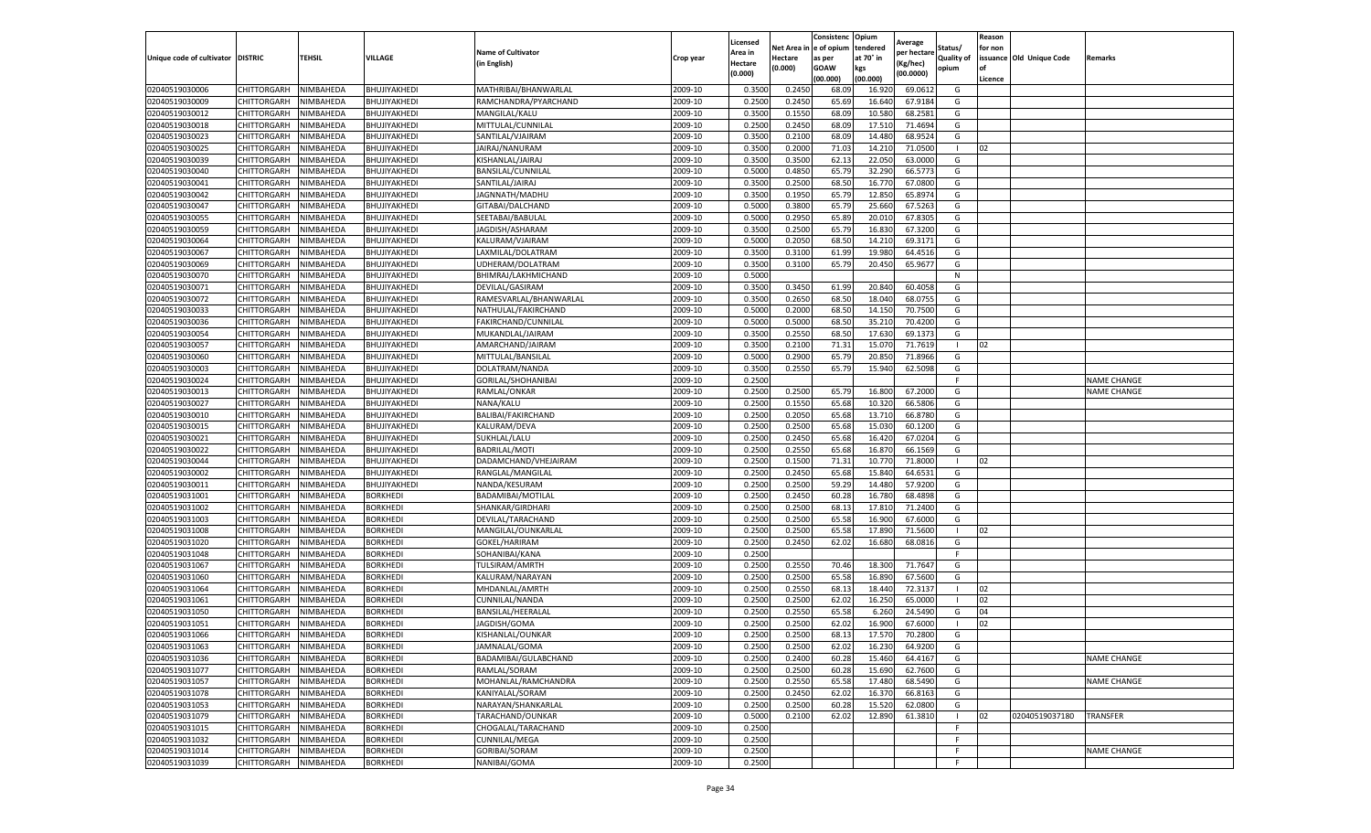|                                   |                    |           |                 |                           |           | Licensed |         | Consistenc             | Opium     | Average     |                   | Reason  |                          |                    |
|-----------------------------------|--------------------|-----------|-----------------|---------------------------|-----------|----------|---------|------------------------|-----------|-------------|-------------------|---------|--------------------------|--------------------|
|                                   |                    |           |                 | <b>Name of Cultivator</b> |           | Area in  |         | Net Area in e of opium | tendered  | per hectare | Status/           | for non |                          |                    |
| Unique code of cultivator DISTRIC |                    | TEHSIL    | VILLAGE         | in English)               | Crop year | Hectare  | Hectare | as per                 | at 70° in | (Kg/hec     | <b>Quality of</b> |         | issuance Old Unique Code | <b>Remarks</b>     |
|                                   |                    |           |                 |                           |           | (0.000)  | (0.000) | <b>GOAW</b>            | kgs       | (00.0000)   | opium             |         |                          |                    |
|                                   |                    |           |                 |                           |           |          |         | (00.000)               | (00.000)  |             |                   | Licence |                          |                    |
| 02040519030006                    | CHITTORGARH        | NIMBAHEDA | BHUJIYAKHEDI    | MATHRIBAI/BHANWARLAL      | 2009-10   | 0.3500   | 0.2450  | 68.09                  | 16.92     | 69.0612     | G                 |         |                          |                    |
| 02040519030009                    | CHITTORGARH        | NIMBAHEDA | BHUJIYAKHEDI    | RAMCHANDRA/PYARCHAND      | 2009-10   | 0.2500   | 0.2450  | 65.69                  | 16.64     | 67.9184     | G                 |         |                          |                    |
| 02040519030012                    | CHITTORGARH        | NIMBAHEDA | BHUJIYAKHEDI    | MANGILAL/KALU             | 2009-10   | 0.3500   | 0.1550  | 68.09                  | 10.58     | 68.2581     | G                 |         |                          |                    |
| 02040519030018                    | CHITTORGARH        | NIMBAHEDA | BHUJIYAKHEDI    | MITTULAL/CUNNILAL         | 2009-10   | 0.2500   | 0.2450  | 68.09                  | 17.51     | 71.4694     | G                 |         |                          |                    |
| 02040519030023                    | CHITTORGARH        | NIMBAHEDA | BHUJIYAKHEDI    | SANTILAL/VJAIRAM          | 2009-10   | 0.3500   | 0.2100  | 68.09                  | 14.480    | 68.9524     | G                 |         |                          |                    |
| 02040519030025                    | CHITTORGARH        | NIMBAHEDA | BHUJIYAKHEDI    | JAIRAJ/NANURAM            | 2009-10   | 0.3500   | 0.2000  | 71.03                  | 14.21     | 71.0500     |                   | 02      |                          |                    |
| 02040519030039                    | CHITTORGARH        | NIMBAHEDA | BHUJIYAKHEDI    | KISHANLAL/JAIRAJ          | 2009-10   | 0.3500   | 0.3500  | 62.13                  | 22.050    | 63.0000     | G                 |         |                          |                    |
| 02040519030040                    | CHITTORGARH        | NIMBAHEDA | BHUJIYAKHEDI    | BANSILAL/CUNNILAL         | 2009-10   | 0.5000   | 0.4850  | 65.79                  | 32.29     | 66.5773     | G                 |         |                          |                    |
| 02040519030041                    | CHITTORGARH        | NIMBAHEDA | BHUJIYAKHEDI    | SANTILAL/JAIRAJ           | 2009-10   | 0.3500   | 0.2500  | 68.50                  | 16.77     | 67.0800     | G                 |         |                          |                    |
| 02040519030042                    | CHITTORGARH        | NIMBAHEDA | BHUJIYAKHEDI    | JAGNNATH/MADHU            | 2009-10   | 0.3500   | 0.1950  | 65.79                  | 12.850    | 65.8974     | G                 |         |                          |                    |
| 02040519030047                    | CHITTORGARH        | NIMBAHEDA | BHUJIYAKHEDI    | GITABAI/DALCHAND          | 2009-10   | 0.5000   | 0.3800  | 65.79                  | 25.66     | 67.5263     | G                 |         |                          |                    |
| 02040519030055                    | CHITTORGARH        | NIMBAHEDA | BHUJIYAKHEDI    | SEETABAI/BABULAL          | 2009-10   | 0.5000   | 0.2950  | 65.89                  | 20.01     | 67.8305     | G                 |         |                          |                    |
| 02040519030059                    | CHITTORGARH        | NIMBAHEDA | BHUJIYAKHEDI    | JAGDISH/ASHARAM           | 2009-10   | 0.3500   | 0.2500  | 65.79                  | 16.83     | 67.3200     | G                 |         |                          |                    |
| 02040519030064                    | CHITTORGARH        | NIMBAHEDA | BHUJIYAKHEDI    | KALURAM/VJAIRAM           | 2009-10   | 0.5000   | 0.2050  | 68.50                  | 14.21     | 69.3171     | G                 |         |                          |                    |
| 02040519030067                    | CHITTORGARH        | NIMBAHEDA | BHUJIYAKHEDI    | LAXMILAL/DOLATRAM         | 2009-10   | 0.3500   | 0.3100  | 61.99                  | 19.980    | 64.4516     | G                 |         |                          |                    |
| 02040519030069                    | CHITTORGARH        | NIMBAHEDA | BHUJIYAKHEDI    | UDHERAM/DOLATRAM          | 2009-10   | 0.3500   | 0.3100  | 65.79                  | 20.450    | 65.9677     | G                 |         |                          |                    |
| 02040519030070                    | CHITTORGARH        | NIMBAHEDA | BHUJIYAKHEDI    | BHIMRAJ/LAKHMICHAND       | 2009-10   | 0.5000   |         |                        |           |             | N                 |         |                          |                    |
| 02040519030071                    | CHITTORGARH        | NIMBAHEDA | BHUJIYAKHEDI    | DEVILAL/GASIRAM           | 2009-10   | 0.3500   | 0.3450  | 61.99                  | 20.84     | 60.4058     | G                 |         |                          |                    |
| 02040519030072                    | CHITTORGARH        | NIMBAHEDA | BHUJIYAKHEDI    | RAMESVARLAL/BHANWARLAL    | 2009-10   | 0.3500   | 0.2650  | 68.50                  | 18.04     | 68.0755     | G                 |         |                          |                    |
| 02040519030033                    | CHITTORGARH        | NIMBAHEDA | BHUJIYAKHEDI    | NATHULAL/FAKIRCHAND       | 2009-10   | 0.5000   | 0.2000  | 68.50                  | 14.15     | 70.7500     | G                 |         |                          |                    |
| 02040519030036                    | CHITTORGARH        | NIMBAHEDA | BHUJIYAKHEDI    | FAKIRCHAND/CUNNILAL       | 2009-10   | 0.5000   | 0.5000  | 68.50                  | 35.21     | 70.4200     | G                 |         |                          |                    |
| 02040519030054                    | CHITTORGARH        | NIMBAHEDA | BHUJIYAKHEDI    | MUKANDLAL/JAIRAM          | 2009-10   | 0.3500   | 0.2550  | 68.50                  | 17.63     | 69.1373     | G                 |         |                          |                    |
| 02040519030057                    | CHITTORGARH        | NIMBAHEDA | BHUJIYAKHEDI    | AMARCHAND/JAIRAM          | 2009-10   | 0.3500   | 0.2100  | 71.31                  | 15.07     | 71.7619     | $\mathbf{I}$      | 02      |                          |                    |
| 02040519030060                    | CHITTORGARH        | NIMBAHEDA | BHUJIYAKHEDI    | MITTULAL/BANSILAL         | 2009-10   | 0.5000   | 0.2900  | 65.79                  | 20.85     | 71.8966     | G                 |         |                          |                    |
| 02040519030003                    | CHITTORGARH        | NIMBAHEDA | BHUJIYAKHEDI    | DOLATRAM/NANDA            | 2009-10   | 0.3500   | 0.2550  | 65.79                  | 15.94     | 62.5098     | G                 |         |                          |                    |
| 02040519030024                    | CHITTORGARH        | NIMBAHEDA | BHUJIYAKHEDI    | GORILAL/SHOHANIBAI        | 2009-10   | 0.2500   |         |                        |           |             | F.                |         |                          | <b>NAME CHANGE</b> |
| 02040519030013                    | CHITTORGARH        | NIMBAHEDA | BHUJIYAKHEDI    | RAMLAL/ONKAR              | 2009-10   | 0.2500   | 0.2500  | 65.79                  | 16.80     | 67.2000     | G                 |         |                          | <b>NAME CHANGE</b> |
| 02040519030027                    | CHITTORGARH        | NIMBAHEDA | BHUJIYAKHEDI    | NANA/KALU                 | 2009-10   | 0.2500   | 0.1550  | 65.68                  | 10.32     | 66.5806     | G                 |         |                          |                    |
| 02040519030010                    | CHITTORGARH        | NIMBAHEDA | BHUJIYAKHEDI    | BALIBAI/FAKIRCHAND        | 2009-10   | 0.2500   | 0.2050  | 65.68                  | 13.710    | 66.8780     | G                 |         |                          |                    |
| 02040519030015                    | CHITTORGARH        | NIMBAHEDA | BHUJIYAKHEDI    | KALURAM/DEVA              | 2009-10   | 0.2500   | 0.2500  | 65.68                  | 15.03     | 60.1200     | G                 |         |                          |                    |
| 02040519030021                    | CHITTORGARH        | NIMBAHEDA | BHUJIYAKHEDI    | SUKHLAL/LALU              | 2009-10   | 0.2500   | 0.2450  | 65.68                  | 16.42     | 67.0204     | G                 |         |                          |                    |
| 02040519030022                    | CHITTORGARH        | NIMBAHEDA | BHUJIYAKHEDI    | <b>BADRILAL/MOTI</b>      | 2009-10   | 0.2500   | 0.2550  | 65.68                  | 16.87     | 66.1569     | G                 |         |                          |                    |
| 02040519030044                    | CHITTORGARH        | NIMBAHEDA | BHUJIYAKHEDI    | DADAMCHAND/VHEJAIRAM      | 2009-10   | 0.2500   | 0.1500  | 71.31                  | 10.77     | 71.8000     | $\blacksquare$    | 02      |                          |                    |
| 02040519030002                    | CHITTORGARH        | NIMBAHEDA | BHUJIYAKHEDI    | RANGLAL/MANGILAL          | 2009-10   | 0.2500   | 0.2450  | 65.68                  | 15.84     | 64.6531     | G                 |         |                          |                    |
| 02040519030011                    | CHITTORGARH        | NIMBAHEDA | BHUJIYAKHEDI    | NANDA/KESURAM             | 2009-10   | 0.2500   | 0.2500  | 59.29                  | 14.480    | 57.9200     | G                 |         |                          |                    |
| 02040519031001                    | CHITTORGARH        | NIMBAHEDA | BORKHEDI        | BADAMIBAI/MOTILAL         | 2009-10   | 0.2500   | 0.2450  | 60.28                  | 16.78     | 68.4898     | G                 |         |                          |                    |
| 02040519031002                    | CHITTORGARH        | NIMBAHEDA | <b>BORKHEDI</b> | SHANKAR/GIRDHARI          | 2009-10   | 0.2500   | 0.2500  | 68.13                  | 17.81     | 71.2400     | G                 |         |                          |                    |
| 02040519031003                    | CHITTORGARH        | NIMBAHEDA | <b>BORKHEDI</b> | DEVILAL/TARACHAND         | 2009-10   | 0.2500   | 0.2500  | 65.58                  | 16.90     | 67.6000     | G                 |         |                          |                    |
| 02040519031008                    | CHITTORGARH        | NIMBAHEDA | <b>BORKHEDI</b> | MANGILAL/OUNKARLAL        | 2009-10   | 0.2500   | 0.2500  | 65.58                  | 17.89     | 71.5600     | -1                | 02      |                          |                    |
| 02040519031020                    | CHITTORGARH        | NIMBAHEDA | <b>BORKHEDI</b> | GOKEL/HARIRAM             | 2009-10   | 0.2500   | 0.2450  | 62.02                  | 16.680    | 68.0816     | G                 |         |                          |                    |
| 02040519031048                    | CHITTORGARH        | NIMBAHEDA | BORKHEDI        | SOHANIBAI/KANA            | 2009-10   | 0.2500   |         |                        |           |             | F                 |         |                          |                    |
| 02040519031067                    | CHITTORGARH        | NIMBAHEDA | <b>BORKHEDI</b> | TULSIRAM/AMRTH            | 2009-10   | 0.2500   | 0.2550  | 70.46                  | 18.300    | 71.7647     | G                 |         |                          |                    |
| 02040519031060                    | CHITTORGARH        | NIMBAHEDA | BORKHEDI        | KALURAM/NARAYAN           | 2009-10   | 0.2500   | 0.2500  | 65.58                  | 16.89     | 67.5600     | G                 |         |                          |                    |
| 02040519031064                    | CHITTORGARH        | NIMBAHEDA | <b>BORKHEDI</b> | MHDANLAL/AMRTH            | 2009-10   | 0.2500   | 0.2550  | 68.13                  | 18.44     | 72.3137     |                   | 02      |                          |                    |
| 02040519031061                    | CHITTORGARH        | NIMBAHEDA | <b>BORKHEDI</b> | CUNNILAL/NANDA            | 2009-10   | 0.2500   | 0.2500  | 62.02                  | 16.250    | 65.0000     | - 1               | 02      |                          |                    |
| 02040519031050                    | CHITTORGARH        | NIMBAHEDA | <b>BORKHED</b>  | BANSILAL/HEERALAL         | 2009-10   | 0.2500   | 0.2550  | 65.58                  | 6.26      | 24.5490     | G                 | 04      |                          |                    |
| 02040519031051                    | CHITTORGARH        | NIMBAHEDA | <b>BORKHEDI</b> | JAGDISH/GOMA              | 2009-10   | 0.2500   | 0.2500  | 62.02                  | 16.90     | 67.6000     |                   | 02      |                          |                    |
| 02040519031066                    | CHITTORGARH        | NIMBAHEDA | <b>BORKHEDI</b> | KISHANLAL/OUNKAR          | 2009-10   | 0.2500   | 0.2500  | 68.13                  | 17.570    | 70.2800     | G                 |         |                          |                    |
| 02040519031063                    | CHITTORGARH        | NIMBAHEDA | <b>BORKHEDI</b> | JAMNALAL/GOMA             | 2009-10   | 0.2500   | 0.2500  | 62.02                  | 16.230    | 64.9200     | G                 |         |                          |                    |
| 02040519031036                    | CHITTORGARH        | NIMBAHEDA | <b>BORKHEDI</b> | BADAMIBAI/GULABCHAND      | 2009-10   | 0.2500   | 0.2400  | 60.28                  | 15.460    | 64.4167     | G                 |         |                          | <b>NAME CHANGE</b> |
| 02040519031077                    | CHITTORGARH        | NIMBAHEDA | <b>BORKHEDI</b> | RAMLAL/SORAM              | 2009-10   | 0.2500   | 0.2500  | 60.28                  | 15.690    | 62.7600     | G                 |         |                          |                    |
| 02040519031057                    | CHITTORGARH        | NIMBAHEDA | <b>BORKHEDI</b> | MOHANLAL/RAMCHANDRA       | 2009-10   | 0.2500   | 0.2550  | 65.58                  | 17.480    | 68.5490     | G                 |         |                          | <b>NAME CHANGE</b> |
| 02040519031078                    | CHITTORGARH        | NIMBAHEDA | <b>BORKHEDI</b> | KANIYALAL/SORAM           | 2009-10   | 0.2500   | 0.2450  | 62.02                  | 16.37     | 66.8163     | G                 |         |                          |                    |
| 02040519031053                    | <b>CHITTORGARH</b> | NIMBAHEDA | <b>BORKHEDI</b> | NARAYAN/SHANKARLAL        | 2009-10   | 0.2500   | 0.2500  | 60.28                  | 15.520    | 62.0800     | G                 |         |                          |                    |
| 02040519031079                    | CHITTORGARH        | NIMBAHEDA | <b>BORKHEDI</b> | TARACHAND/OUNKAR          | 2009-10   | 0.5000   | 0.2100  | 62.02                  | 12.890    | 61.3810     | п                 | 02      | 02040519037180           | <b>TRANSFER</b>    |
| 02040519031015                    | CHITTORGARH        | NIMBAHEDA | <b>BORKHEDI</b> | CHOGALAL/TARACHAND        | 2009-10   | 0.2500   |         |                        |           |             | F.                |         |                          |                    |
| 02040519031032                    | CHITTORGARH        | NIMBAHEDA | <b>BORKHEDI</b> | CUNNILAL/MEGA             | 2009-10   | 0.2500   |         |                        |           |             | F.                |         |                          |                    |
|                                   |                    |           |                 |                           |           |          |         |                        |           |             | F.                |         |                          |                    |
| 02040519031014                    | CHITTORGARH        | NIMBAHEDA | <b>BORKHEDI</b> | GORIBAI/SORAM             | 2009-10   | 0.2500   |         |                        |           |             |                   |         |                          | <b>NAME CHANGE</b> |
| 02040519031039                    | <b>CHITTORGARH</b> | NIMBAHEDA | <b>BORKHEDI</b> | NANIBAI/GOMA              | 2009-10   | 0.2500   |         |                        |           |             | F                 |         |                          |                    |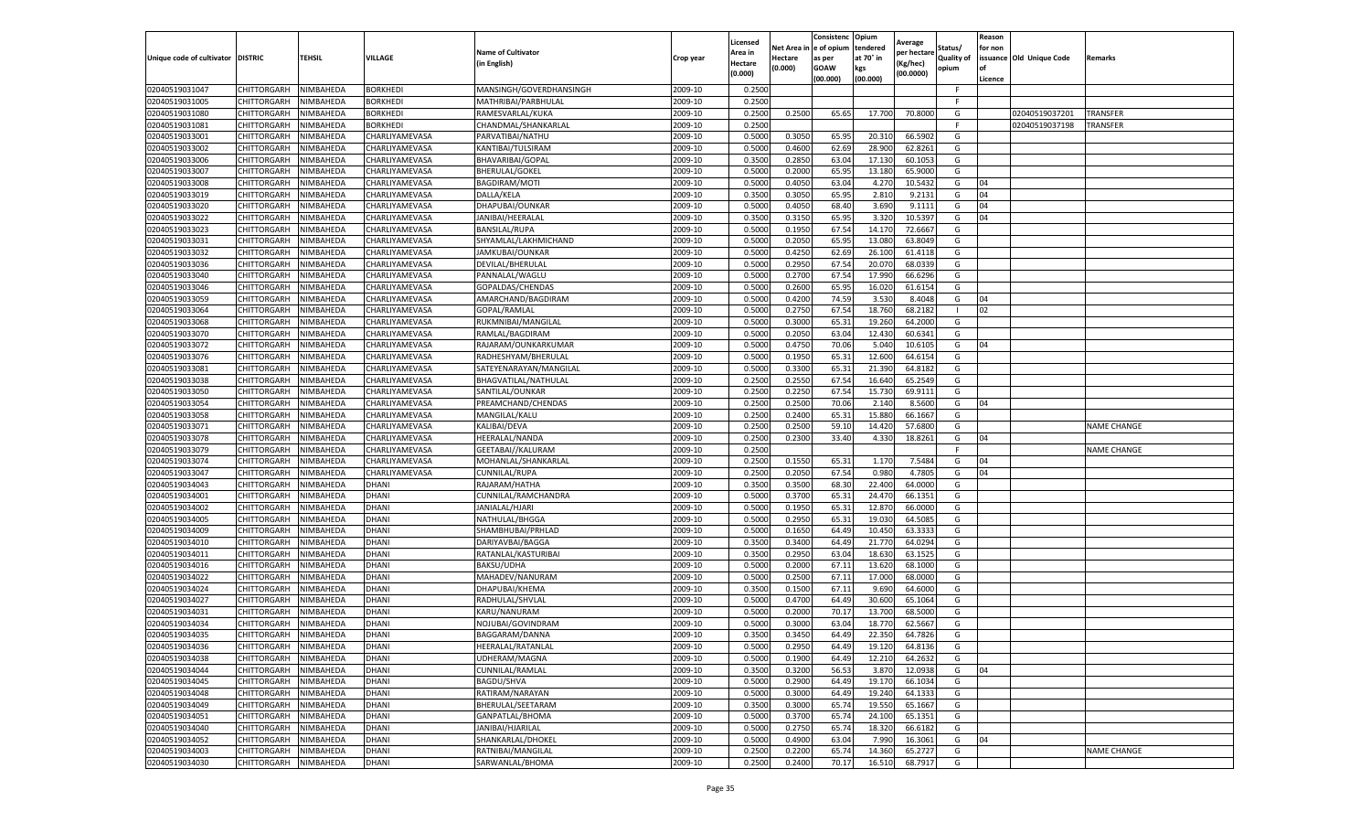|                                   |             |                  |                 |                           |           | Licensed |                         | Consistenc  | Opium     | Average     |            | Reason  |                          |                    |
|-----------------------------------|-------------|------------------|-----------------|---------------------------|-----------|----------|-------------------------|-------------|-----------|-------------|------------|---------|--------------------------|--------------------|
|                                   |             |                  |                 | <b>Name of Cultivator</b> |           | Area in  | Net Area in le of opium |             | tendered  | per hectare | Status/    | for non |                          |                    |
| Unique code of cultivator DISTRIC |             | TEHSIL           | VILLAGE         | (in English)              | Crop year | Hectare  | Hectare                 | as per      | at 70° in | Kg/hec)     | Quality of |         | issuance Old Unique Code | Remarks            |
|                                   |             |                  |                 |                           |           | (0.000)  | (0.000)                 | <b>GOAW</b> | kgs       | (00.0000)   | opium      | l of    |                          |                    |
|                                   |             |                  |                 |                           |           |          |                         | (00.000)    | (00.000)  |             |            | Licence |                          |                    |
| 02040519031047                    | CHITTORGARH | NIMBAHEDA        | <b>BORKHEDI</b> | MANSINGH/GOVERDHANSINGH   | 2009-10   | 0.2500   |                         |             |           |             | F.         |         |                          |                    |
| 02040519031005                    | CHITTORGARH | NIMBAHEDA        | BORKHEDI        | MATHRIBAI/PARBHULAL       | 2009-10   | 0.2500   |                         |             |           |             | -F         |         |                          |                    |
| 02040519031080                    | CHITTORGARH | NIMBAHEDA        | BORKHEDI        | RAMESVARLAL/KUKA          | 2009-10   | 0.2500   | 0.2500                  | 65.65       | 17.700    | 70.8000     | G          |         | 02040519037201           | TRANSFER           |
| 02040519031081                    | CHITTORGARH | NIMBAHEDA        | <b>BORKHEDI</b> | CHANDMAL/SHANKARLAL       | 2009-10   | 0.2500   |                         |             |           |             | F          |         | 02040519037198           | TRANSFER           |
| 02040519033001                    | CHITTORGARH | NIMBAHEDA        | CHARLIYAMEVASA  | PARVATIBAI/NATHU          | 2009-10   | 0.5000   | 0.3050                  | 65.9        | 20.310    | 66.590      | G          |         |                          |                    |
| 02040519033002                    | CHITTORGARH | NIMBAHEDA        | CHARLIYAMEVASA  | KANTIBAI/TULSIRAM         | 2009-10   | 0.5000   | 0.4600                  | 62.69       | 28.900    | 62.826      | G          |         |                          |                    |
| 02040519033006                    | CHITTORGARH | NIMBAHEDA        | CHARLIYAMEVASA  | BHAVARIBAI/GOPAL          | 2009-10   | 0.3500   | 0.2850                  | 63.04       | 17.130    | 60.105      | G          |         |                          |                    |
| 02040519033007                    | CHITTORGARH | NIMBAHEDA        | CHARLIYAMEVASA  | BHERULAL/GOKEI            | 2009-10   | 0.5000   | 0.2000                  | 65.9        | 13.180    | 65.900      | G          |         |                          |                    |
| 02040519033008                    | CHITTORGARH | NIMBAHEDA        | CHARLIYAMEVASA  | <b>BAGDIRAM/MOTI</b>      | 2009-10   | 0.5000   | 0.4050                  | 63.04       | 4.270     | 10.543      | G          | 04      |                          |                    |
| 02040519033019                    | CHITTORGARH | NIMBAHEDA        | CHARLIYAMEVASA  | DALLA/KELA                | 2009-10   | 0.3500   | 0.3050                  | 65.95       | 2.810     | 9.2131      | G          | 04      |                          |                    |
| 02040519033020                    | CHITTORGARH | NIMBAHEDA        | CHARLIYAMEVASA  | DHAPUBAI/OUNKAR           | 2009-10   | 0.5000   | 0.4050                  | 68.40       | 3.690     | 9.111       | G          | 04      |                          |                    |
| 02040519033022                    | CHITTORGARH | NIMBAHEDA        | CHARLIYAMEVASA  | JANIBAI/HEERALAL          | 2009-10   | 0.3500   | 0.3150                  | 65.9        | 3.320     | 10.539      | G          | 04      |                          |                    |
| 02040519033023                    | CHITTORGARH | <b>NIMBAHEDA</b> | CHARLIYAMEVASA  | BANSILAL/RUPA             | 2009-10   | 0.5000   | 0.1950                  | 67.54       | 14.170    | 72.666      | G          |         |                          |                    |
| 02040519033031                    | CHITTORGARH | NIMBAHEDA        | CHARLIYAMEVASA  | SHYAMLAL/LAKHMICHAND      | 2009-10   | 0.5000   | 0.2050                  | 65.9        | 13.080    | 63.804      | G          |         |                          |                    |
| 02040519033032                    | CHITTORGARH | NIMBAHEDA        | CHARLIYAMEVASA  | JAMKUBAI/OUNKAR           | 2009-10   | 0.5000   | 0.4250                  | 62.69       | 26.100    | 61.411      | G          |         |                          |                    |
| 02040519033036                    | CHITTORGARH | NIMBAHEDA        | CHARLIYAMEVASA  | DEVILAL/BHERULAL          | 2009-10   | 0.5000   | 0.2950                  | 67.54       | 20.070    | 68.033      | G          |         |                          |                    |
| 02040519033040                    | CHITTORGARH | NIMBAHEDA        | CHARLIYAMEVASA  | PANNALAL/WAGLU            | 2009-10   | 0.5000   | 0.2700                  | 67.5        | 17.990    | 66.6296     | G          |         |                          |                    |
| 02040519033046                    | CHITTORGARH | NIMBAHEDA        | CHARLIYAMEVASA  | GOPALDAS/CHENDAS          | 2009-10   | 0.5000   | 0.2600                  | 65.9        | 16.020    | 61.615      | G          |         |                          |                    |
| 02040519033059                    | CHITTORGARH | NIMBAHEDA        | CHARLIYAMEVASA  | AMARCHAND/BAGDIRAM        | 2009-10   | 0.500    | 0.4200                  | 74.5        | 3.530     | 8.404       | G          | 04      |                          |                    |
| 02040519033064                    | CHITTORGARH | <b>NIMBAHEDA</b> | CHARLIYAMEVASA  | GOPAL/RAMLAL              | 2009-10   | 0.5000   | 0.2750                  | 67.54       | 18.760    | 68.218      |            | 02      |                          |                    |
| 02040519033068                    | CHITTORGARH | NIMBAHEDA        | CHARLIYAMEVASA  | RUKMNIBAI/MANGILAL        | 2009-10   | 0.5000   | 0.3000                  | 65.31       | 19.260    | 64.2000     | G          |         |                          |                    |
| 02040519033070                    | CHITTORGARH | NIMBAHEDA        | CHARLIYAMEVASA  | RAMLAL/BAGDIRAM           | 2009-10   | 0.5000   | 0.2050                  | 63.04       | 12.430    | 60.634      | G          |         |                          |                    |
| 02040519033072                    | CHITTORGARH | NIMBAHEDA        | CHARLIYAMEVASA  | RAJARAM/OUNKARKUMAR       | 2009-10   | 0.5000   | 0.4750                  | 70.06       | 5.040     | 10.610      | G          | 04      |                          |                    |
| 02040519033076                    | CHITTORGARH | NIMBAHEDA        | CHARLIYAMEVASA  | RADHESHYAM/BHERULAL       | 2009-10   | 0.5000   | 0.1950                  | 65.31       | 12.600    | 64.6154     | G          |         |                          |                    |
| 02040519033081                    | CHITTORGARH | NIMBAHEDA        | CHARLIYAMEVASA  | SATEYENARAYAN/MANGILAL    | 2009-10   | 0.5000   | 0.3300                  | 65.31       | 21.390    | 64.818      | G          |         |                          |                    |
| 02040519033038                    | CHITTORGARH | NIMBAHEDA        | CHARLIYAMEVASA  | BHAGVATILAL/NATHULAL      | 2009-10   | 0.2500   | 0.2550                  | 67.54       | 16.640    | 65.254      | G          |         |                          |                    |
| 02040519033050                    | CHITTORGARH | NIMBAHEDA        | CHARLIYAMEVASA  | SANTILAL/OUNKAR           | 2009-10   | 0.2500   | 0.2250                  | 67.54       | 15.730    | 69.911      | G          |         |                          |                    |
| 02040519033054                    | CHITTORGARH | NIMBAHEDA        | CHARLIYAMEVASA  | PREAMCHAND/CHENDAS        | 2009-10   | 0.2500   | 0.2500                  | 70.06       | 2.140     | 8.5600      | G          | 04      |                          |                    |
| 02040519033058                    | CHITTORGARH | NIMBAHEDA        | CHARLIYAMEVASA  | MANGILAL/KALU             | 2009-10   | 0.2500   | 0.2400                  | 65.3        | 15.880    | 66.1667     | G          |         |                          |                    |
| 02040519033071                    | CHITTORGARH | NIMBAHEDA        | CHARLIYAMEVASA  | KALIBAI/DEVA              | 2009-10   | 0.2500   | 0.2500                  | 59.10       | 14.420    | 57.6800     | G          |         |                          | NAME CHANGE        |
| 02040519033078                    | CHITTORGARH | NIMBAHEDA        | CHARLIYAMEVASA  | HEERALAL/NANDA            | 2009-10   | 0.2500   | 0.2300                  | 33.40       | 4.330     | 18.8261     | G          | 04      |                          |                    |
| 02040519033079                    | CHITTORGARH | NIMBAHEDA        | CHARLIYAMEVASA  | GEETABAI//KALURAN         | 2009-10   | 0.2500   |                         |             |           |             | F          |         |                          | <b>NAME CHANGE</b> |
| 02040519033074                    | CHITTORGARH | NIMBAHEDA        | CHARLIYAMEVASA  | MOHANLAL/SHANKARLAL       | 2009-10   | 0.2500   | 0.155                   | 65.3        | 1.170     | 7.548       | G          | 04      |                          |                    |
| 02040519033047                    | CHITTORGARH | NIMBAHEDA        | CHARLIYAMEVASA  | CUNNILAL/RUPA             | 2009-10   | 0.2500   | 0.2050                  | 67.54       | 0.980     | 4.7805      | G          | 04      |                          |                    |
| 02040519034043                    | CHITTORGARH | NIMBAHEDA        | <b>DHANI</b>    | RAJARAM/HATHA             | 2009-10   | 0.3500   | 0.350                   | 68.30       | 22.400    | 64.0000     | G          |         |                          |                    |
| 02040519034001                    | CHITTORGARH | NIMBAHEDA        | DHANI           | CUNNILAL/RAMCHANDRA       | 2009-10   | 0.5000   | 0.3700                  | 65.3        | 24.470    | 66.135      | G          |         |                          |                    |
| 02040519034002                    | CHITTORGARH | NIMBAHEDA        | DHANI           | JANIALAL/HJARI            | 2009-10   | 0.5000   | 0.1950                  | 65.3        | 12.870    | 66.000      | G          |         |                          |                    |
| 02040519034005                    | CHITTORGARH | NIMBAHEDA        | DHANI           | NATHULAL/BHGGA            | 2009-10   | 0.5000   | 0.2950                  | 65.31       | 19.03     | 64.508      | G          |         |                          |                    |
| 02040519034009                    | CHITTORGARH | NIMBAHEDA        | DHANI           | SHAMBHUBAI/PRHLAD         | 2009-10   | 0.5000   | 0.1650                  | 64.49       | 10.45     | 63.333      | G          |         |                          |                    |
| 02040519034010                    | CHITTORGARH | NIMBAHEDA        | DHANI           | DARIYAVBAI/BAGGA          | 2009-10   | 0.3500   | 0.3400                  | 64.49       | 21.770    | 64.029      | G          |         |                          |                    |
| 02040519034011                    | CHITTORGARH | NIMBAHEDA        | DHANI           | RATANLAL/KASTURIBAI       | 2009-10   | 0.3500   | 0.2950                  | 63.0        | 18.630    | 63.152      | G          |         |                          |                    |
| 02040519034016                    | CHITTORGARH | NIMBAHEDA        | DHANI           | <b>BAKSU/UDHA</b>         | 2009-10   | 0.5000   | 0.2000                  | 67.11       | 13.620    | 68.100      | G          |         |                          |                    |
| 02040519034022                    | CHITTORGARH | NIMBAHEDA        | DHANI           | MAHADEV/NANURAM           | 2009-10   | 0.5000   | 0.2500                  | 67.11       | 17.000    | 68.000      | G          |         |                          |                    |
| 02040519034024                    | CHITTORGARH | NIMBAHEDA        | DHANI           | DHAPUBAI/KHEMA            | 2009-10   | 0.3500   | 0.150                   | 67.11       | 9.690     | 64.600      | G          |         |                          |                    |
| 02040519034027                    | CHITTORGARH | NIMBAHEDA        | DHANI           | RADHULAL/SHVLAL           | 2009-10   | 0.5000   | 0.4700                  | 64.49       | 30.600    | 65.106      | G          |         |                          |                    |
| 02040519034031                    | CHITTORGARH | NIMBAHEDA        | DHANI           | KARU/NANURAM              | 2009-10   | 0.5000   | 0.200                   | 70.17       | 13.700    | 68.500      | G          |         |                          |                    |
| 02040519034034                    | CHITTORGARH | NIMBAHEDA        | DHANI           | NOJUBAI/GOVINDRAM         | 2009-10   | 0.500    | 0.300                   | 63.04       | 18.770    | 62.566      | G          |         |                          |                    |
| 02040519034035                    | CHITTORGARH | <b>NIMBAHEDA</b> | <b>DHANI</b>    | BAGGARAM/DANNA            | 2009-10   | 0.3500   | 0.3450                  | 64.49       | 22.350    | 64.7826     | G          |         |                          |                    |
| 02040519034036                    | CHITTORGARH | NIMBAHEDA        | DHANI           | HEERALAL/RATANLAL         | 2009-10   | 0.5000   | 0.2950                  | 64.49       | 19.120    | 64.8136     | G          |         |                          |                    |
| 02040519034038                    | CHITTORGARH | NIMBAHEDA        | <b>DHANI</b>    | UDHERAM/MAGNA             | 2009-10   | 0.5000   | 0.1900                  | 64.49       | 12.210    | 64.2632     | G          |         |                          |                    |
| 02040519034044                    | CHITTORGARH | NIMBAHEDA        | <b>DHANI</b>    | CUNNILAL/RAMLAL           | 2009-10   | 0.3500   | 0.3200                  | 56.53       | 3.870     | 12.0938     | G          | 04      |                          |                    |
| 02040519034045                    | CHITTORGARH | NIMBAHEDA        | <b>DHANI</b>    | BAGDU/SHVA                | 2009-10   | 0.5000   | 0.2900                  | 64.49       | 19.170    | 66.1034     | G          |         |                          |                    |
| 02040519034048                    | CHITTORGARH | NIMBAHEDA        | DHANI           | RATIRAM/NARAYAN           | 2009-10   | 0.5000   | 0.3000                  | 64.49       | 19.240    | 64.1333     | G          |         |                          |                    |
| 02040519034049                    | CHITTORGARH | NIMBAHEDA        | <b>DHANI</b>    | BHERULAL/SEETARAM         | 2009-10   | 0.3500   | 0.3000                  | 65.74       | 19.550    | 65.1667     | G          |         |                          |                    |
| 02040519034051                    | CHITTORGARH | NIMBAHEDA        | DHANI           | GANPATLAL/BHOMA           | 2009-10   | 0.5000   | 0.3700                  | 65.74       | 24.100    | 65.1351     | G          |         |                          |                    |
| 02040519034040                    | CHITTORGARH | NIMBAHEDA        | DHANI           | JANIBAI/HJARILAL          | 2009-10   | 0.5000   | 0.2750                  | 65.74       | 18.320    | 66.6182     | G          |         |                          |                    |
| 02040519034052                    | CHITTORGARH | NIMBAHEDA        | <b>DHANI</b>    | SHANKARLAL/DHOKEL         | 2009-10   | 0.5000   | 0.4900                  | 63.04       | 7.990     | 16.3061     | G          | 04      |                          |                    |
| 02040519034003                    | CHITTORGARH | NIMBAHEDA        | DHANI           | RATNIBAI/MANGILAL         | 2009-10   | 0.2500   | 0.2200                  | 65.74       | 14.360    | 65.272      | G          |         |                          | <b>NAME CHANGE</b> |
| 02040519034030                    | CHITTORGARH | NIMBAHEDA        | <b>DHANI</b>    | SARWANLAL/BHOMA           | 2009-10   | 0.2500   | 0.2400                  | 70.17       | 16.510    | 68.7917     | G          |         |                          |                    |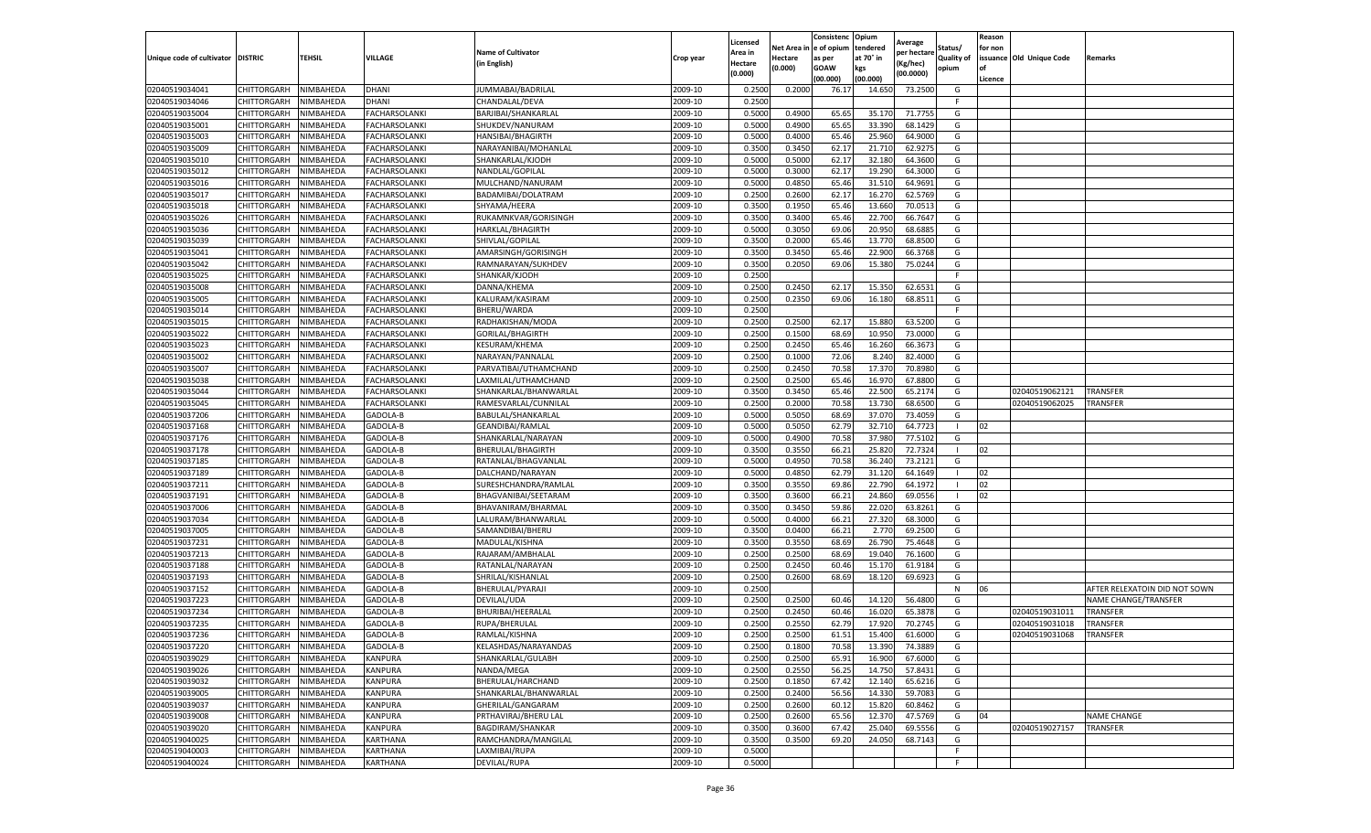|                                   |                            |                        |                                       |                                          |                    | Licensed         |                  | Consistenc              | Opium            | Average          |            | Reason  |                                  |                               |
|-----------------------------------|----------------------------|------------------------|---------------------------------------|------------------------------------------|--------------------|------------------|------------------|-------------------------|------------------|------------------|------------|---------|----------------------------------|-------------------------------|
|                                   |                            |                        |                                       | <b>Name of Cultivator</b>                |                    | Area in          |                  | Net Area in le of opium | tendered         | per hectare      | Status/    | for non |                                  |                               |
| Unique code of cultivator DISTRIC |                            | <b>TEHSIL</b>          | VILLAGE                               | (in English)                             | Crop year          | Hectare          | Hectare          | as per                  | at 70° in        | Kg/hec)          | Quality of |         | issuance Old Unique Code         | Remarks                       |
|                                   |                            |                        |                                       |                                          |                    | (0.000)          | (0.000)          | GOAW                    | kgs              | (00.0000)        | opium      | l of    |                                  |                               |
|                                   |                            |                        |                                       |                                          |                    |                  |                  | (00.000)                | (00.000)         |                  |            | Licence |                                  |                               |
| 02040519034041                    | CHITTORGARH                | NIMBAHEDA              | DHANI                                 | JUMMABAI/BADRILAI                        | 2009-10            | 0.250            | 0.200            | 76.17                   | 14.650           | 73.250           | G          |         |                                  |                               |
| 02040519034046                    | CHITTORGARH                | NIMBAHEDA              | DHANI                                 | CHANDALAL/DEVA                           | 2009-10            | 0.2500           |                  |                         |                  |                  | -F.        |         |                                  |                               |
| 02040519035004                    | CHITTORGARH                | NIMBAHEDA              | FACHARSOLANKI                         | BARJIBAI/SHANKARLAL                      | 2009-10            | 0.5000           | 0.4900           | 65.6                    | 35.170           | 71.775           | G          |         |                                  |                               |
| 02040519035001                    | CHITTORGARH                | NIMBAHEDA              | <b>FACHARSOLANKI</b>                  | SHUKDEV/NANURAM                          | 2009-10            | 0.5000           | 0.4900           | 65.65                   | 33.390           | 68.1429          | G          |         |                                  |                               |
| 02040519035003                    | CHITTORGARH                | NIMBAHEDA              | FACHARSOLANKI                         | HANSIBAI/BHAGIRTH                        | 2009-10            | 0.5000           | 0.4000           | 65.46                   | 25.960           | 64.900<br>62.927 | G<br>G     |         |                                  |                               |
| 02040519035009                    | CHITTORGARH<br>CHITTORGARH | NIMBAHEDA              | FACHARSOLANKI                         | NARAYANIBAI/MOHANLAL<br>SHANKARLAL/KJODH | 2009-10            | 0.3500<br>0.5000 | 0.345            | 62.17<br>62.17          | 21.710<br>32.180 | 64.360           | G          |         |                                  |                               |
| 02040519035010<br>02040519035012  |                            | NIMBAHEDA              | FACHARSOLANKI                         | NANDLAL/GOPILAL                          | 2009-10            |                  | 0.500            |                         |                  |                  |            |         |                                  |                               |
|                                   | CHITTORGARH                | NIMBAHEDA              | FACHARSOLANKI                         |                                          | 2009-10<br>2009-10 | 0.5000<br>0.5000 | 0.3000<br>0.4850 | 62.17                   | 19.290<br>31.510 | 64.300<br>64.969 | G<br>G     |         |                                  |                               |
| 02040519035016<br>02040519035017  | CHITTORGARH<br>CHITTORGARH | NIMBAHEDA<br>NIMBAHEDA | FACHARSOLANKI<br><b>FACHARSOLANKI</b> | MULCHAND/NANURAM<br>BADAMIBAI/DOLATRAM   | 2009-10            | 0.2500           | 0.2600           | 65.46<br>62.17          | 16.270           | 62.5769          | G          |         |                                  |                               |
| 02040519035018                    | CHITTORGARH                | NIMBAHEDA              | FACHARSOLANKI                         | SHYAMA/HEERA                             | 2009-10            | 0.3500           | 0.1950           | 65.46                   | 13.660           | 70.051           | G          |         |                                  |                               |
| 02040519035026                    | CHITTORGARH                | NIMBAHEDA              | FACHARSOLANKI                         | RUKAMNKVAR/GORISINGH                     | 2009-10            | 0.3500           | 0.3400           | 65.4                    | 22.700           | 66.764           | G          |         |                                  |                               |
| 02040519035036                    | CHITTORGARH                | <b>NIMBAHEDA</b>       | FACHARSOLANKI                         | HARKLAL/BHAGIRTH                         | 2009-10            | 0.5000           | 0.3050           | 69.0                    | 20.950           | 68.688           | G          |         |                                  |                               |
| 02040519035039                    | CHITTORGARH                | NIMBAHEDA              | FACHARSOLANKI                         | SHIVLAL/GOPILAL                          | 2009-10            | 0.350            | 0.2000           | 65.46                   | 13.770           | 68.850           | G          |         |                                  |                               |
| 02040519035041                    | CHITTORGARH                | NIMBAHEDA              | FACHARSOLANKI                         | AMARSINGH/GORISINGH                      | 2009-10            | 0.3500           | 0.3450           | 65.4                    | 22.900           | 66.376           | G          |         |                                  |                               |
| 02040519035042                    | CHITTORGARH                | NIMBAHEDA              | FACHARSOLANKI                         | RAMNARAYAN/SUKHDEV                       | 2009-10            | 0.3500           | 0.2050           | 69.06                   | 15.380           | 75.024           | G          |         |                                  |                               |
| 02040519035025                    | CHITTORGARH                | NIMBAHEDA              | FACHARSOLANKI                         | SHANKAR/KJODH                            | 2009-10            | 0.2500           |                  |                         |                  |                  |            |         |                                  |                               |
| 02040519035008                    | CHITTORGARH                | NIMBAHEDA              | FACHARSOLANKI                         | DANNA/KHEMA                              | 2009-10            | 0.2500           | 0.2450           | 62.17                   | 15.350           | 62.653           | G          |         |                                  |                               |
| 02040519035005                    | CHITTORGARH                | <b>NIMBAHEDA</b>       | FACHARSOLANKI                         | KALURAM/KASIRAM                          | 2009-10            | 0.2500           | 0.2350           | 69.06                   | 16.180           | 68.851           | G          |         |                                  |                               |
| 02040519035014                    | CHITTORGARH                | <b>NIMBAHEDA</b>       | FACHARSOLANKI                         | BHERU/WARDA                              | 2009-10            | 0.2500           |                  |                         |                  |                  | E          |         |                                  |                               |
| 02040519035015                    | CHITTORGARH                | NIMBAHEDA              | FACHARSOLANKI                         | RADHAKISHAN/MODA                         | 2009-10            | 0.2500           | 0.2500           | 62.17                   | 15.880           | 63.520           | G          |         |                                  |                               |
| 02040519035022                    | CHITTORGARH                | NIMBAHEDA              | FACHARSOLANKI                         | GORILAL/BHAGIRTH                         | 2009-10            | 0.2500           | 0.150            | 68.69                   | 10.950           | 73.000           | G          |         |                                  |                               |
| 02040519035023                    | CHITTORGARH                | NIMBAHEDA              | <b>FACHARSOLANKI</b>                  | KESURAM/KHEMA                            | 2009-10            | 0.2500           | 0.2450           | 65.46                   |                  | 66.3673          | G          |         |                                  |                               |
| 02040519035002                    | CHITTORGARH                | NIMBAHEDA              | FACHARSOLANKI                         | NARAYAN/PANNALAL                         | 2009-10            | 0.2500           | 0.1000           | 72.06                   | 16.260<br>8.240  | 82.400           | G          |         |                                  |                               |
| 02040519035007                    | CHITTORGARH                | NIMBAHEDA              | <b>FACHARSOLANKI</b>                  | PARVATIBAI/UTHAMCHAND                    | 2009-10            | 0.2500           | 0.2450           | 70.58                   | 17.370           | 70.898           | G          |         |                                  |                               |
| 02040519035038                    | CHITTORGARH                | NIMBAHEDA              | FACHARSOLANKI                         | LAXMILAL/UTHAMCHAND                      | 2009-10            | 0.2500           | 0.2500           | 65.46                   | 16.970           | 67.880           | G          |         |                                  |                               |
| 02040519035044                    |                            |                        |                                       | SHANKARLAL/BHANWARLAI                    | 2009-10            | 0.3500           | 0.345            | 65.46                   | 22.500           | 65.217           | G          |         |                                  | <b>TRANSFER</b>               |
| 02040519035045                    | CHITTORGARH<br>CHITTORGARH | NIMBAHEDA<br>NIMBAHEDA | FACHARSOLANKI<br>FACHARSOLANKI        | RAMESVARLAL/CUNNILAL                     | 2009-10            | 0.2500           | 0.2000           | 70.58                   | 13.730           | 68.650           | G          |         | 02040519062121<br>02040519062025 | TRANSFER                      |
| 02040519037206                    | CHITTORGARH                | NIMBAHEDA              | GADOLA-B                              | BABULAL/SHANKARLAL                       | 2009-10            | 0.5000           | 0.5050           | 68.69                   | 37.070           | 73.4059          | G          |         |                                  |                               |
| 02040519037168                    | CHITTORGARH                | NIMBAHEDA              | GADOLA-B                              | GEANDIBAI/RAMLAL                         | 2009-10            | 0.5000           | 0.505            | 62.79                   | 32.710           | 64.7723          |            | 02      |                                  |                               |
| 02040519037176                    | CHITTORGARH                | NIMBAHEDA              | GADOLA-B                              | SHANKARLAL/NARAYAN                       | 2009-10            | 0.500            | 0.490            | 70.5                    | 37.980           | 77.5102          | G          |         |                                  |                               |
| 02040519037178                    | CHITTORGARH                | NIMBAHEDA              | GADOLA-B                              | BHERULAL/BHAGIRTH                        | 2009-10            | 0.3500           | 0.3550           | 66.21                   | 25.820           | 72.732           |            | 02      |                                  |                               |
| 02040519037185                    | CHITTORGARH                | NIMBAHEDA              | GADOLA-B                              | RATANLAL/BHAGVANLAL                      | 2009-10            | 0.5000           | 0.495            | 70.58                   | 36.240           | 73.212           | G          |         |                                  |                               |
| 02040519037189                    | CHITTORGARH                | NIMBAHEDA              | GADOLA-B                              | DALCHAND/NARAYAN                         | 2009-10            | 0.5000           | 0.4850           | 62.79                   | 31.120           | 64.1649          |            | 02      |                                  |                               |
| 02040519037211                    | CHITTORGARH                | NIMBAHEDA              | GADOLA-B                              | SURESHCHANDRA/RAMLAI                     | 2009-10            | 0.3500           | 0.3550           | 69.86                   | 22.790           | 64.1972          |            | 02      |                                  |                               |
| 02040519037191                    | CHITTORGARH                | NIMBAHEDA              | GADOLA-B                              | BHAGVANIBAI/SEETARAM                     | 2009-10            | 0.3500           | 0.3600           | 66.2                    | 24.860           | 69.055           |            | 02      |                                  |                               |
| 02040519037006                    | CHITTORGARH                | NIMBAHEDA              | GADOLA-B                              | BHAVANIRAM/BHARMAL                       | 2009-10            | 0.3500           | 0.345            | 59.86                   | 22.020           | 63.8261          | G          |         |                                  |                               |
| 02040519037034                    | CHITTORGARH                | NIMBAHEDA              | GADOLA-B                              | LALURAM/BHANWARLAL                       | 2009-10            | 0.5000           | 0.400            | 66.2                    | 27.320           | 68.300           | G          |         |                                  |                               |
| 02040519037005                    | CHITTORGARH                | NIMBAHEDA              | GADOLA-B                              | SAMANDIBAI/BHERU                         | 2009-10            | 0.3500           | 0.0400           | 66.2                    | 2.77             | 69.250           | G          |         |                                  |                               |
| 02040519037231                    | CHITTORGARH                | NIMBAHEDA              | GADOLA-B                              | MADULAL/KISHNA                           | 2009-10            | 0.3500           | 0.3550           | 68.69                   | 26.790           | 75.4648          | G          |         |                                  |                               |
| 02040519037213                    | CHITTORGARH                | NIMBAHEDA              | GADOLA-B                              | RAJARAM/AMBHALAL                         | 2009-10            | 0.250            | 0.250            | 68.6                    | 19.040           | 76.160           | G          |         |                                  |                               |
| 02040519037188                    | CHITTORGARH                | NIMBAHEDA              | GADOLA-B                              | RATANLAL/NARAYAN                         | 2009-10            | 0.2500           | 0.2450           | 60.46                   | 15.170           | 61.918           | G          |         |                                  |                               |
| 02040519037193                    | CHITTORGARH                | NIMBAHEDA              | GADOLA-B                              | SHRILAL/KISHANLAL                        | 2009-10            | 0.2500           | 0.2600           | 68.69                   | 18.120           | 69.6923          | G          |         |                                  |                               |
| 02040519037152                    | CHITTORGARH                | NIMBAHEDA              | GADOLA-B                              | BHERULAL/PYARAJI                         | 2009-10            | 0.2500           |                  |                         |                  |                  | N          | 06      |                                  | AFTER RELEXATOIN DID NOT SOWN |
| 02040519037223                    | CHITTORGARH                | NIMBAHEDA              | GADOLA-B                              | DEVILAL/UDA                              | 2009-10            | 0.2500           | 0.2500           | 60.4                    | 14.120           | 56.480           | G          |         |                                  | NAME CHANGE/TRANSFER          |
| 02040519037234                    | CHITTORGARH                | NIMBAHEDA              | GADOLA-B                              | BHURIBAI/HEERALAL                        | 2009-10            | 0.2500           | 0.245            | 60.4                    | 16.020           | 65.387           | G          |         | 02040519031011                   | TRANSFER                      |
| 02040519037235                    | CHITTORGARH                | NIMBAHEDA              | GADOLA-B                              | RUPA/BHERULAL                            | 2009-10            | 0.250            | 0.255            | 62.79                   | 17.920           | 70.274           | G          |         | 02040519031018                   | TRANSFER                      |
| 02040519037236                    | CHITTORGARH                | <b>NIMBAHEDA</b>       | GADOLA-B                              | RAMLAL/KISHNA                            | 2009-10            | 0.2500           | 0.2500           | 61.51                   | 15.400           | 61.6000          | G          |         | 02040519031068                   | <b>TRANSFER</b>               |
| 02040519037220                    | CHITTORGARH                | NIMBAHEDA              | GADOLA-B                              | KELASHDAS/NARAYANDAS                     | 2009-10            | 0.2500           | 0.1800           | 70.58                   | 13.390           | 74.3889          | G          |         |                                  |                               |
| 02040519039029                    | CHITTORGARH                | NIMBAHEDA              | KANPURA                               | SHANKARLAL/GULABH                        | 2009-10            | 0.2500           | 0.2500           | 65.91                   | 16.900           | 67.6000          | G          |         |                                  |                               |
| 02040519039026                    | CHITTORGARH                | NIMBAHEDA              | KANPURA                               | NANDA/MEGA                               | 2009-10            | 0.2500           | 0.2550           | 56.25                   | 14.750           | 57.8431          | G          |         |                                  |                               |
| 02040519039032                    | CHITTORGARH                | NIMBAHEDA              | KANPURA                               | BHERULAL/HARCHAND                        | 2009-10            | 0.2500           | 0.1850           | 67.42                   | 12.140           | 65.6216          | G          |         |                                  |                               |
| 02040519039005                    | CHITTORGARH                | NIMBAHEDA              | KANPURA                               | SHANKARLAL/BHANWARLAL                    | 2009-10            | 0.2500           | 0.2400           | 56.56                   | 14.330           | 59.7083          | G          |         |                                  |                               |
| 02040519039037                    | CHITTORGARH                | NIMBAHEDA              | KANPURA                               | GHERILAL/GANGARAM                        | 2009-10            | 0.2500           | 0.2600           | 60.12                   | 15.820           | 60.8462          | G          |         |                                  |                               |
| 02040519039008                    | CHITTORGARH                | NIMBAHEDA              | KANPURA                               | PRTHAVIRAJ/BHERU LAL                     | 2009-10            | 0.2500           | 0.2600           | 65.56                   | 12.370           | 47.5769          | G          | 04      |                                  | <b>NAME CHANGE</b>            |
| 02040519039020                    | CHITTORGARH                | NIMBAHEDA              | KANPURA                               | BAGDIRAM/SHANKAR                         | 2009-10            | 0.3500           | 0.3600           | 67.42                   | 25.040           | 69.5556          | G          |         | 02040519027157                   | <b>TRANSFER</b>               |
| 02040519040025                    | CHITTORGARH                | NIMBAHEDA              | KARTHANA                              | RAMCHANDRA/MANGILAL                      | 2009-10            | 0.3500           | 0.3500           | 69.20                   | 24.050           | 68.7143          | G          |         |                                  |                               |
| 02040519040003                    | CHITTORGARH                | NIMBAHEDA              | KARTHANA                              | LAXMIBAI/RUPA                            | 2009-10            | 0.5000           |                  |                         |                  |                  | F.         |         |                                  |                               |
| 02040519040024                    | CHITTORGARH                | NIMBAHEDA              | KARTHANA                              | <b>DEVILAL/RUPA</b>                      | 2009-10            | 0.5000           |                  |                         |                  |                  | F.         |         |                                  |                               |
|                                   |                            |                        |                                       |                                          |                    |                  |                  |                         |                  |                  |            |         |                                  |                               |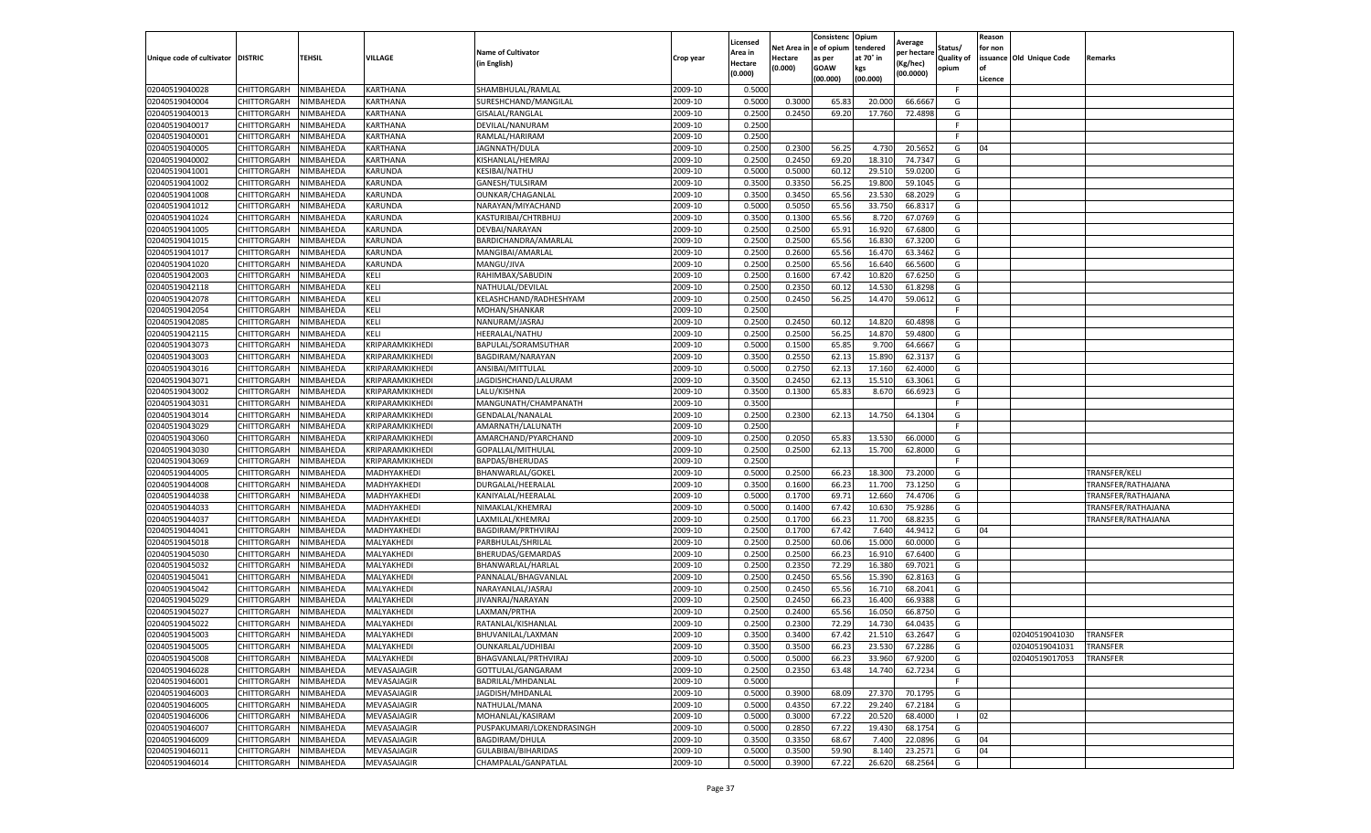|                                   |             |                  |                 |                           |           | Licensed |         | Consistenc              | Opium     | Average     |            | Reason  |                          |                    |
|-----------------------------------|-------------|------------------|-----------------|---------------------------|-----------|----------|---------|-------------------------|-----------|-------------|------------|---------|--------------------------|--------------------|
|                                   |             |                  |                 | <b>Name of Cultivator</b> |           | Area in  |         | Net Area in le of opium | tendered  | per hectare | Status/    | for non |                          |                    |
| Unique code of cultivator DISTRIC |             | TEHSIL           | VILLAGE         | (in English)              | Crop year | Hectare  | Hectare | as per                  | at 70° in | Kg/hec)     | Quality of |         | issuance Old Unique Code | Remarks            |
|                                   |             |                  |                 |                           |           | (0.000)  | (0.000) | GOAW                    | kgs       | (00.0000)   | opium      |         |                          |                    |
|                                   |             |                  |                 |                           |           |          |         | (00.000)                | (00.000)  |             |            | Licence |                          |                    |
| 02040519040028                    | CHITTORGARH | NIMBAHEDA        | KARTHANA        | SHAMBHULAL/RAMLAI         | 2009-10   | 0.5000   |         |                         |           |             | F.         |         |                          |                    |
| 02040519040004                    | CHITTORGARH | NIMBAHEDA        | KARTHANA        | SURESHCHAND/MANGILAL      | 2009-10   | 0.5000   | 0.300   | 65.8                    | 20.000    | 66.666      | G          |         |                          |                    |
| 02040519040013                    | CHITTORGARH | NIMBAHEDA        | KARTHANA        | GISALAL/RANGLAL           | 2009-10   | 0.2500   | 0.2450  | 69.20                   | 17.760    | 72.489      | G          |         |                          |                    |
| 02040519040017                    | CHITTORGARH | NIMBAHEDA        | KARTHANA        | DEVILAL/NANURAM           | 2009-10   | 0.2500   |         |                         |           |             | F.         |         |                          |                    |
| 02040519040001                    | CHITTORGARH | NIMBAHEDA        | KARTHANA        | RAMLAL/HARIRAM            | 2009-10   | 0.2500   |         |                         |           |             |            |         |                          |                    |
| 02040519040005                    | CHITTORGARH | NIMBAHEDA        | KARTHANA        | JAGNNATH/DULA             | 2009-10   | 0.2500   | 0.2300  | 56.25                   | 4.730     | 20.565      | G          | 04      |                          |                    |
| 02040519040002                    | CHITTORGARH | NIMBAHEDA        | KARTHANA        | KISHANLAL/HEMRAJ          | 2009-10   | 0.2500   | 0.2450  | 69.20                   | 18.310    | 74.734      | G          |         |                          |                    |
| 02040519041001                    | CHITTORGARH | NIMBAHEDA        | KARUNDA         | KESIBAI/NATHU             | 2009-10   | 0.5000   | 0.5000  | 60.12                   | 29.510    | 59.020      | G          |         |                          |                    |
| 02040519041002                    | CHITTORGARH | NIMBAHEDA        | KARUNDA         | GANESH/TULSIRAM           | 2009-10   | 0.3500   | 0.3350  | 56.25                   | 19.800    | 59.104      | G          |         |                          |                    |
| 02040519041008                    | CHITTORGARH | NIMBAHEDA        | KARUNDA         | OUNKAR/CHAGANLAL          | 2009-10   | 0.3500   | 0.3450  | 65.56                   | 23.530    | 68.2029     | G          |         |                          |                    |
| 02040519041012                    | CHITTORGARH | NIMBAHEDA        | KARUNDA         | NARAYAN/MIYACHAND         | 2009-10   | 0.5000   | 0.505   | 65.56                   | 33.750    | 66.831      | G          |         |                          |                    |
| 02040519041024                    | CHITTORGARH | NIMBAHEDA        | KARUNDA         | KASTURIBAI/CHTRBHUJ       | 2009-10   | 0.3500   | 0.1300  | 65.56                   | 8.720     | 67.076      | G          |         |                          |                    |
| 02040519041005                    | CHITTORGARH | <b>NIMBAHEDA</b> | KARUNDA         | DEVBAI/NARAYAN            | 2009-10   | 0.2500   | 0.2500  | 65.91                   | 16.920    | 67.680      | G          |         |                          |                    |
| 02040519041015                    | CHITTORGARH | NIMBAHEDA        | KARUNDA         | BARDICHANDRA/AMARLAL      | 2009-10   | 0.2500   | 0.2500  | 65.56                   | 16.830    | 67.320      | G          |         |                          |                    |
| 02040519041017                    | CHITTORGARH | NIMBAHEDA        | KARUNDA         | MANGIBAI/AMARLAL          | 2009-10   | 0.2500   | 0.2600  | 65.56                   | 16.470    | 63.3462     | G          |         |                          |                    |
| 02040519041020                    | CHITTORGARH | NIMBAHEDA        | KARUNDA         | MANGU/JIVA                | 2009-10   | 0.2500   | 0.2500  | 65.56                   | 16.640    | 66.560      | G          |         |                          |                    |
| 02040519042003                    | CHITTORGARH | NIMBAHEDA        | KELI            | RAHIMBAX/SABUDIN          | 2009-10   | 0.2500   | 0.1600  | 67.4                    | 10.820    | 67.6250     | G          |         |                          |                    |
| 02040519042118                    | CHITTORGARH | NIMBAHEDA        | KELI            | NATHULAL/DEVILAL          | 2009-10   | 0.2500   | 0.2350  | 60.1                    | 14.530    | 61.829      | G          |         |                          |                    |
| 02040519042078                    | CHITTORGARH | NIMBAHEDA        | KELI            | KELASHCHAND/RADHESHYAM    | 2009-10   | 0.2500   | 0.2450  | 56.2                    | 14.470    | 59.061      | G          |         |                          |                    |
| 02040519042054                    | CHITTORGARH | <b>NIMBAHEDA</b> | KELI            | MOHAN/SHANKAR             | 2009-10   | 0.2500   |         |                         |           |             | E          |         |                          |                    |
| 02040519042085                    | CHITTORGARH | NIMBAHEDA        | Keli            | NANURAM/JASRAJ            | 2009-10   | 0.2500   | 0.2450  | 60.12                   | 14.820    | 60.489      | G          |         |                          |                    |
| 02040519042115                    | CHITTORGARH | NIMBAHEDA        | Keli            | HEERALAL/NATHU            | 2009-10   | 0.2500   | 0.2500  | 56.2                    | 14.870    | 59.480      | G          |         |                          |                    |
| 02040519043073                    | CHITTORGARH | NIMBAHEDA        | KRIPARAMKIKHEDI | BAPULAL/SORAMSUTHAR       | 2009-10   | 0.5000   | 0.1500  | 65.85                   | 9.700     | 64.6667     | G          |         |                          |                    |
| 02040519043003                    | CHITTORGARH | NIMBAHEDA        | KRIPARAMKIKHEDI | BAGDIRAM/NARAYAN          | 2009-10   | 0.3500   | 0.2550  | 62.13                   | 15.890    | 62.313      | G          |         |                          |                    |
| 02040519043016                    | CHITTORGARH | NIMBAHEDA        | KRIPARAMKIKHEDI | ANSIBAI/MITTULAL          | 2009-10   | 0.5000   | 0.2750  | 62.13                   | 17.16     | 62.400      | G          |         |                          |                    |
| 02040519043071                    | CHITTORGARH | NIMBAHEDA        | KRIPARAMKIKHEDI | JAGDISHCHAND/LALURAM      | 2009-10   | 0.3500   | 0.2450  | 62.13                   | 15.510    | 63.306      | G          |         |                          |                    |
| 02040519043002                    | CHITTORGARH | NIMBAHEDA        | KRIPARAMKIKHEDI | LALU/KISHNA               | 2009-10   | 0.3500   | 0.1300  | 65.8                    | 8.670     | 66.692      | G          |         |                          |                    |
| 02040519043031                    | CHITTORGARH | NIMBAHEDA        | KRIPARAMKIKHEDI | MANGUNATH/CHAMPANATH      | 2009-10   | 0.3500   |         |                         |           |             | -F         |         |                          |                    |
| 02040519043014                    | CHITTORGARH | NIMBAHEDA        | KRIPARAMKIKHEDI | GENDALAL/NANALAL          | 2009-10   | 0.2500   | 0.2300  | 62.13                   | 14.750    | 64.1304     | G          |         |                          |                    |
| 02040519043029                    | CHITTORGARH | NIMBAHEDA        | KRIPARAMKIKHEDI | AMARNATH/LALUNATH         | 2009-10   | 0.2500   |         |                         |           |             | E          |         |                          |                    |
| 02040519043060                    | CHITTORGARH | NIMBAHEDA        | KRIPARAMKIKHEDI | AMARCHAND/PYARCHAND       | 2009-10   | 0.2500   | 0.2050  | 65.8                    | 13.530    | 66.000      | G          |         |                          |                    |
| 02040519043030                    | CHITTORGARH | NIMBAHEDA        | KRIPARAMKIKHEDI | GOPALLAL/MITHULAI         | 2009-10   | 0.2500   | 0.2500  | 62.13                   | 15.700    | 62.800      | G          |         |                          |                    |
| 02040519043069                    | CHITTORGARH | NIMBAHEDA        | KRIPARAMKIKHEDI | BAPDAS/BHERUDAS           | 2009-10   | 0.2500   |         |                         |           |             | -F         |         |                          |                    |
| 02040519044005                    | CHITTORGARH | NIMBAHEDA        | MADHYAKHEDI     | BHANWARLAL/GOKEL          | 2009-10   | 0.5000   | 0.2500  | 66.23                   | 18.300    | 73.200      | G          |         |                          | TRANSFER/KELI      |
| 02040519044008                    | CHITTORGARH | NIMBAHEDA        | MADHYAKHEDI     | DURGALAL/HEERALAL         | 2009-10   | 0.3500   | 0.1600  | 66.23                   | 11.700    | 73.1250     | G          |         |                          | TRANSFER/RATHAJANA |
| 02040519044038                    | CHITTORGARH | NIMBAHEDA        | MADHYAKHEDI     | KANIYALAL/HEERALAL        | 2009-10   | 0.5000   | 0.1700  | 69.7                    | 12.660    | 74.470      | G          |         |                          | TRANSFER/RATHAJANA |
| 02040519044033                    | CHITTORGARH | NIMBAHEDA        | MADHYAKHEDI     | NIMAKLAL/KHEMRAJ          | 2009-10   | 0.5000   | 0.1400  | 67.42                   | 10.630    | 75.928      | G          |         |                          | TRANSFER/RATHAJANA |
| 02040519044037                    | CHITTORGARH | NIMBAHEDA        | MADHYAKHEDI     | LAXMILAL/KHEMRAJ          | 2009-10   | 0.2500   | 0.1700  | 66.23                   | 11.700    | 68.823      | G          |         |                          | TRANSFER/RATHAJANA |
| 02040519044041                    | CHITTORGARH | NIMBAHEDA        | MADHYAKHED      | BAGDIRAM/PRTHVIRAJ        | 2009-10   | 0.2500   | 0.1700  | 67.4                    | 7.640     | 44.941      | G          | 04      |                          |                    |
| 02040519045018                    | CHITTORGARH | NIMBAHEDA        | MALYAKHEDI      | PARBHULAL/SHRILAL         | 2009-10   | 0.2500   | 0.2500  | 60.06                   | 15.000    | 60.000      | G          |         |                          |                    |
| 02040519045030                    | CHITTORGARH | NIMBAHEDA        | MALYAKHEDI      | BHERUDAS/GEMARDAS         | 2009-10   | 0.250    | 0.250   | 66.2                    | 16.910    | 67.640      | G          |         |                          |                    |
| 02040519045032                    | CHITTORGARH | NIMBAHEDA        | MALYAKHEDI      | BHANWARLAL/HARLAL         | 2009-10   | 0.2500   | 0.2350  | 72.29                   | 16.380    | 69.702      | G          |         |                          |                    |
| 02040519045041                    | CHITTORGARH | NIMBAHEDA        | MALYAKHEDI      | PANNALAL/BHAGVANLAI       | 2009-10   | 0.2500   | 0.2450  | 65.56                   | 15.390    | 62.816      | G          |         |                          |                    |
| 02040519045042                    | CHITTORGARH | NIMBAHEDA        | MALYAKHEDI      | NARAYANLAL/JASRA.         | 2009-10   | 0.2500   | 0.2450  | 65.56                   | 16.710    | 68.204      | G          |         |                          |                    |
| 02040519045029                    | CHITTORGARH | NIMBAHEDA        | MALYAKHEDI      | JIVANRAJ/NARAYAN          | 2009-10   | 0.2500   | 0.2450  | 66.23                   | 16.400    | 66.938      | G          |         |                          |                    |
| 02040519045027                    | CHITTORGARH | NIMBAHEDA        | MALYAKHEDI      | LAXMAN/PRTHA              | 2009-10   | 0.2500   | 0.240   | 65.56                   | 16.050    | 66.875      | G          |         |                          |                    |
| 02040519045022                    | CHITTORGARH | NIMBAHEDA        | MALYAKHEDI      | RATANLAL/KISHANLAL        | 2009-10   | 0.250    | 0.230   | 72.29                   | 14.730    | 64.043      | G          |         |                          |                    |
| 02040519045003                    | CHITTORGARH | NIMBAHEDA        | MALYAKHEDI      | BHUVANILAL/LAXMAN         | 2009-10   | 0.3500   | 0.3400  | 67.42                   | 21.510    | 63.2647     | G          |         | 02040519041030           | <b>TRANSFER</b>    |
| 02040519045005                    | CHITTORGARH | NIMBAHEDA        | MALYAKHEDI      | OUNKARLAL/UDHIBAI         | 2009-10   | 0.3500   | 0.3500  | 66.23                   | 23.530    | 67.2286     | G          |         | 02040519041031           | TRANSFER           |
| 02040519045008                    | CHITTORGARH | NIMBAHEDA        | MALYAKHEDI      | BHAGVANLAL/PRTHVIRAJ      | 2009-10   | 0.5000   | 0.500   | 66.23                   | 33.960    | 67.9200     | G          |         | 02040519017053           | TRANSFER           |
| 02040519046028                    | CHITTORGARH | NIMBAHEDA        | MEVASAJAGIR     | GOTTULAL/GANGARAM         | 2009-10   | 0.2500   | 0.2350  | 63.48                   | 14.740    | 62.7234     | G          |         |                          |                    |
| 02040519046001                    | CHITTORGARH | NIMBAHEDA        | MEVASAJAGIR     | BADRILAL/MHDANLAL         | 2009-10   | 0.5000   |         |                         |           |             | F.         |         |                          |                    |
| 02040519046003                    | CHITTORGARH | NIMBAHEDA        | MEVASAJAGIR     | JAGDISH/MHDANLAL          | 2009-10   | 0.5000   | 0.3900  | 68.09                   | 27.370    | 70.1795     | G          |         |                          |                    |
| 02040519046005                    | CHITTORGARH | NIMBAHEDA        | MEVASAJAGIR     | NATHULAL/MANA             | 2009-10   | 0.5000   | 0.4350  | 67.22                   | 29.240    | 67.2184     | G          |         |                          |                    |
| 02040519046006                    | CHITTORGARH | NIMBAHEDA        | MEVASAJAGIR     | MOHANLAL/KASIRAM          | 2009-10   | 0.5000   | 0.3000  | 67.22                   | 20.520    | 68.4000     |            | 02      |                          |                    |
| 02040519046007                    | CHITTORGARH | NIMBAHEDA        | MEVASAJAGIR     | PUSPAKUMARI/LOKENDRASINGH | 2009-10   | 0.5000   | 0.2850  | 67.22                   | 19.430    | 68.1754     | G          |         |                          |                    |
| 02040519046009                    | CHITTORGARH | NIMBAHEDA        | MEVASAJAGIR     | BAGDIRAM/DHULA            | 2009-10   | 0.3500   | 0.3350  | 68.67                   | 7.400     | 22.0896     | G          | 04      |                          |                    |
| 02040519046011                    | CHITTORGARH | NIMBAHEDA        | MEVASAJAGIR     | GULABIBAI/BIHARIDAS       | 2009-10   | 0.5000   | 0.350   | 59.90                   | 8.140     | 23.257      | G          | 04      |                          |                    |
|                                   |             |                  |                 |                           |           |          |         |                         |           |             |            |         |                          |                    |
| 02040519046014                    | CHITTORGARH | NIMBAHEDA        | MEVASAJAGIR     | CHAMPALAL/GANPATLAL       | 2009-10   | 0.5000   | 0.3900  | 67.22                   | 26.620    | 68.2564     | G          |         |                          |                    |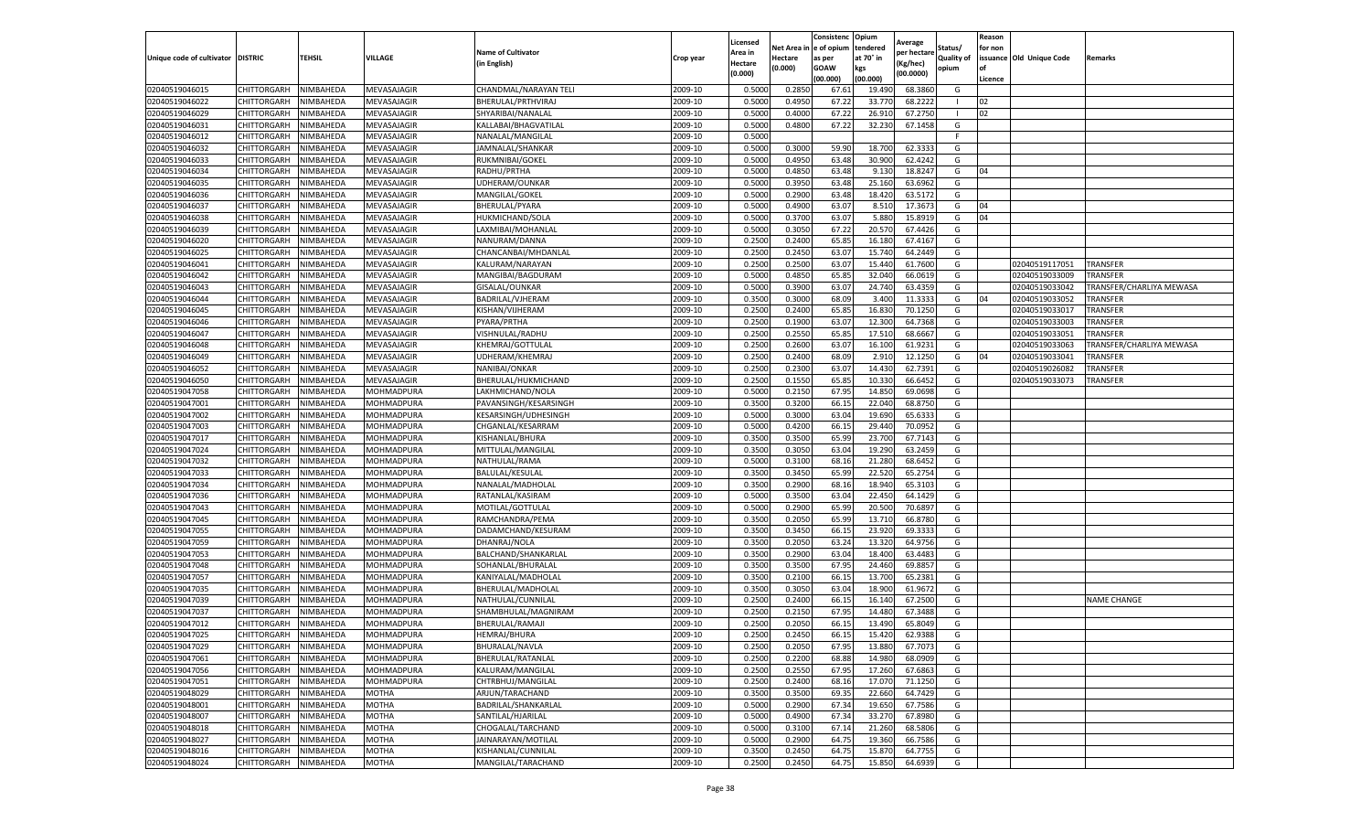|                                   |             |                  |                   |                           |           | Licensed |         | Consistenc              | Opium     | Average     |            | Reason  |                          |                          |
|-----------------------------------|-------------|------------------|-------------------|---------------------------|-----------|----------|---------|-------------------------|-----------|-------------|------------|---------|--------------------------|--------------------------|
|                                   |             |                  |                   | <b>Name of Cultivator</b> |           | Area in  |         | Net Area in le of opium | tendered  | per hectare | Status/    | for non |                          |                          |
| Unique code of cultivator DISTRIC |             | TEHSIL           | VILLAGE           | (in English)              | Crop year | Hectare  | Hectare | as per                  | at 70° in | Kg/hec)     | Quality of |         | issuance Old Unique Code | Remarks                  |
|                                   |             |                  |                   |                           |           | (0.000)  | (0.000) | GOAW                    | kgs       | (00.0000)   | opium      | l of    |                          |                          |
|                                   |             |                  |                   |                           |           |          |         | (00.000)                | (00.000)  |             |            | Licence |                          |                          |
| 02040519046015                    | CHITTORGARH | NIMBAHEDA        | MEVASAJAGIR       | CHANDMAL/NARAYAN TELI     | 2009-10   | 0.500    | 0.285   | 67.61                   | 19.49     | 68.386      | G          |         |                          |                          |
| 02040519046022                    | CHITTORGARH | NIMBAHEDA        | MEVASAJAGIR       | BHERULAL/PRTHVIRAJ        | 2009-10   | 0.500    | 0.4950  | 67.22                   | 33.77     | 68.222      |            | 02      |                          |                          |
| 02040519046029                    | CHITTORGARH | NIMBAHEDA        | MEVASAJAGIR       | SHYARIBAI/NANALAL         | 2009-10   | 0.5000   | 0.4000  | 67.22                   | 26.910    | 67.2750     |            | 02      |                          |                          |
| 02040519046031                    | CHITTORGARH | NIMBAHEDA        | MEVASAJAGIR       | KALLABAI/BHAGVATILAL      | 2009-10   | 0.5000   | 0.4800  | 67.22                   | 32.230    | 67.1458     | G          |         |                          |                          |
| 02040519046012                    | CHITTORGARH | NIMBAHEDA        | MEVASAJAGIR       | NANALAL/MANGILAL          | 2009-10   | 0.5000   |         |                         |           |             | E          |         |                          |                          |
| 02040519046032                    | CHITTORGARH | NIMBAHEDA        | MEVASAJAGIR       | JAMNALAL/SHANKAR          | 2009-10   | 0.5000   | 0.3000  | 59.90                   | 18.700    | 62.333      | G          |         |                          |                          |
| 02040519046033                    | CHITTORGARH | NIMBAHEDA        | MEVASAJAGIR       | RUKMNIBAI/GOKEL           | 2009-10   | 0.5000   | 0.495   | 63.48                   | 30.900    | 62.424      | G          |         |                          |                          |
| 02040519046034                    | CHITTORGARH | NIMBAHEDA        | MEVASAJAGIR       | RADHU/PRTHA               | 2009-10   | 0.5000   | 0.4850  | 63.48                   | 9.130     | 18.824      | G          | 04      |                          |                          |
| 02040519046035                    | CHITTORGARH | NIMBAHEDA        | MEVASAJAGIR       | UDHERAM/OUNKAR            | 2009-10   | 0.5000   | 0.3950  | 63.48                   | 25.160    | 63.6962     | G          |         |                          |                          |
| 02040519046036                    | CHITTORGARH | NIMBAHEDA        | MEVASAJAGIR       | MANGILAL/GOKEL            | 2009-10   | 0.5000   | 0.2900  | 63.48                   | 18.420    | 63.5172     | G          |         |                          |                          |
| 02040519046037                    | CHITTORGARH | NIMBAHEDA        | MEVASAJAGIR       | BHERULAL/PYARA            | 2009-10   | 0.5000   | 0.4900  | 63.07                   | 8.510     | 17.367      | G          | 04      |                          |                          |
| 02040519046038                    | CHITTORGARH | NIMBAHEDA        | MEVASAJAGIR       | HUKMICHAND/SOLA           | 2009-10   | 0.5000   | 0.370   | 63.07                   | 5.880     | 15.891      | G          | 04      |                          |                          |
| 02040519046039                    | CHITTORGARH | <b>NIMBAHEDA</b> | MEVASAJAGIR       | LAXMIBAI/MOHANLAL         | 2009-10   | 0.5000   | 0.3050  | 67.22                   | 20.570    | 67.442      | G          |         |                          |                          |
| 02040519046020                    | CHITTORGARH | NIMBAHEDA        | MEVASAJAGIR       | NANURAM/DANNA             | 2009-10   | 0.2500   | 0.2400  | 65.8                    | 16.18     | 67.416      | G          |         |                          |                          |
| 02040519046025                    | CHITTORGARH | NIMBAHEDA        | MEVASAJAGIR       | CHANCANBAI/MHDANLAL       | 2009-10   | 0.2500   | 0.2450  | 63.0                    | 15.740    | 64.244      | G          |         |                          |                          |
| 02040519046041                    | CHITTORGARH | NIMBAHEDA        | MEVASAJAGIR       | KALURAM/NARAYAN           | 2009-10   | 0.2500   | 0.250   | 63.07                   | 15.440    | 61.760      | G          |         | 02040519117051           | TRANSFER                 |
| 02040519046042                    | CHITTORGARH | NIMBAHEDA        | MEVASAJAGIR       | MANGIBAI/BAGDURAM         | 2009-10   | 0.5000   | 0.4850  | 65.8                    | 32.040    | 66.061      | G          |         | 02040519033009           | TRANSFER                 |
| 02040519046043                    | CHITTORGARH | NIMBAHEDA        | MEVASAJAGIR       | GISALAL/OUNKAR            | 2009-10   | 0.5000   | 0.3900  | 63.07                   | 24.740    | 63.435      | G          |         | 02040519033042           | TRANSFER/CHARLIYA MEWASA |
| 02040519046044                    | CHITTORGARH | NIMBAHEDA        | MEVASAJAGIR       | BADRILAL/VJHERAM          | 2009-10   | 0.350    | 0.300   | 68.09                   | 3.400     | 11.333      | G          | 04      | 02040519033052           | TRANSFER                 |
| 02040519046045                    | CHITTORGARH | <b>NIMBAHEDA</b> | MEVASAJAGIR       | KISHAN/VIJHERAM           | 2009-10   | 0.2500   | 0.2400  | 65.8                    | 16.830    | 70.125      | G          |         | 02040519033017           | TRANSFER                 |
| 02040519046046                    | CHITTORGARH | NIMBAHEDA        | MEVASAJAGIR       | PYARA/PRTHA               | 2009-10   | 0.2500   | 0.1900  | 63.07                   | 12.300    | 64.7368     | G          |         | 02040519033003           | TRANSFER                 |
| 02040519046047                    | CHITTORGARH | NIMBAHEDA        | MEVASAJAGIR       | VISHNULAL/RADHU           | 2009-10   | 0.250    | 0.2550  | 65.8                    | 17.510    | 68.666      | G          |         | 02040519033051           | TRANSFER                 |
| 02040519046048                    | CHITTORGARH | NIMBAHEDA        | MEVASAJAGIR       | KHEMRAJ/GOTTULAL          | 2009-10   | 0.2500   | 0.2600  | 63.07                   | 16.100    | 61.923      | G          |         | 02040519033063           | TRANSFER/CHARLIYA MEWASA |
| 02040519046049                    | CHITTORGARH | NIMBAHEDA        | MEVASAJAGIR       | JDHERAM/KHEMRAJ           | 2009-10   | 0.2500   | 0.2400  | 68.09                   | 2.910     | 12.125      | G          | 04      | 02040519033041           | TRANSFER                 |
| 02040519046052                    | CHITTORGARH | NIMBAHEDA        | MEVASAJAGIR       | NANIBAI/ONKAR             | 2009-10   | 0.2500   | 0.2300  | 63.07                   | 14.430    | 62.739      | G          |         | 02040519026082           | TRANSFER                 |
| 02040519046050                    | CHITTORGARH | NIMBAHEDA        | MEVASAJAGIR       | BHERULAL/HUKMICHAND       | 2009-10   | 0.2500   | 0.1550  | 65.8                    | 10.330    | 66.645      | G          |         | 02040519033073           | TRANSFER                 |
| 02040519047058                    | CHITTORGARH | NIMBAHEDA        | MOHMADPURA        | LAKHMICHAND/NOLA          | 2009-10   | 0.5000   | 0.215   | 67.9                    | 14.850    | 69.069      | G          |         |                          |                          |
| 02040519047001                    | CHITTORGARH | NIMBAHEDA        | MOHMADPURA        | PAVANSINGH/KESARSINGH     | 2009-10   | 0.3500   | 0.3200  | 66.15                   | 22.040    | 68.875      | G          |         |                          |                          |
| 02040519047002                    | CHITTORGARH | NIMBAHEDA        | MOHMADPURA        | KESARSINGH/UDHESINGH      | 2009-10   | 0.5000   | 0.3000  | 63.04                   | 19.690    | 65.633      | G          |         |                          |                          |
| 02040519047003                    | CHITTORGARH | NIMBAHEDA        | MOHMADPURA        | CHGANLAL/KESARRAM         | 2009-10   | 0.5000   | 0.4200  | 66.15                   | 29.440    | 70.095      | G          |         |                          |                          |
| 02040519047017                    | CHITTORGARH | NIMBAHEDA        | MOHMADPURA        | KISHANLAL/BHURA           | 2009-10   | 0.350    | 0.350   | 65.9                    | 23.700    | 67.714      | G          |         |                          |                          |
| 02040519047024                    | CHITTORGARH | NIMBAHEDA        | MOHMADPURA        | MITTULAL/MANGILAL         | 2009-10   | 0.3500   | 0.3050  | 63.04                   | 19.290    | 63.245      | G          |         |                          |                          |
| 02040519047032                    | CHITTORGARH | NIMBAHEDA        | MOHMADPURA        | NATHULAL/RAMA             | 2009-10   | 0.5000   | 0.310   | 68.16                   | 21.280    | 68.645      | G          |         |                          |                          |
| 02040519047033                    | CHITTORGARH | NIMBAHEDA        | MOHMADPURA        | BALULAL/KESULAL           | 2009-10   | 0.3500   | 0.3450  | 65.99                   | 22.520    | 65.275      | G          |         |                          |                          |
| 02040519047034                    | CHITTORGARH | NIMBAHEDA        | MOHMADPURA        | NANALAL/MADHOLAL          | 2009-10   | 0.3500   | 0.2900  | 68.16                   | 18.940    | 65.3103     | G          |         |                          |                          |
| 02040519047036                    | CHITTORGARH | NIMBAHEDA        | MOHMADPURA        | RATANLAL/KASIRAM          | 2009-10   | 0.5000   | 0.3500  | 63.04                   | 22.450    | 64.1429     | G          |         |                          |                          |
| 02040519047043                    | CHITTORGARH | NIMBAHEDA        | MOHMADPURA        | MOTILAL/GOTTULAL          | 2009-10   | 0.5000   | 0.2900  | 65.99                   | 20.500    | 70.689      | G          |         |                          |                          |
| 02040519047045                    | CHITTORGARH | NIMBAHEDA        | MOHMADPURA        | RAMCHANDRA/PEMA           | 2009-10   | 0.3500   | 0.2050  | 65.9                    | 13.710    | 66.878      | G          |         |                          |                          |
| 02040519047055                    | CHITTORGARH | NIMBAHEDA        | MOHMADPURA        | DADAMCHAND/KESURAM        | 2009-10   | 0.3500   | 0.345   | 66.1                    | 23.920    | 69.333      | G          |         |                          |                          |
| 02040519047059                    | CHITTORGARH | NIMBAHEDA        | MOHMADPURA        | DHANRAJ/NOLA              | 2009-10   | 0.3500   | 0.2050  | 63.24                   | 13.320    | 64.975      | G          |         |                          |                          |
| 02040519047053                    | CHITTORGARH | NIMBAHEDA        | MOHMADPURA        | BALCHAND/SHANKARLAL       | 2009-10   | 0.350    | 0.290   | 63.04                   | 18.400    | 63.448      | G          |         |                          |                          |
| 02040519047048                    | CHITTORGARH | NIMBAHEDA        | MOHMADPURA        | SOHANLAL/BHURALAL         | 2009-10   | 0.3500   | 0.350   | 67.95                   | 24.460    | 69.885      | G          |         |                          |                          |
| 02040519047057                    | CHITTORGARH | NIMBAHEDA        | MOHMADPURA        | KANIYALAL/MADHOLAL        | 2009-10   | 0.3500   | 0.2100  | 66.1                    | 13.700    | 65.238      | G          |         |                          |                          |
| 02040519047035                    | CHITTORGARH | NIMBAHEDA        | MOHMADPURA        | BHERULAL/MADHOLAL         | 2009-10   | 0.3500   | 0.3050  | 63.04                   | 18.900    | 61.967      | G          |         |                          |                          |
| 02040519047039                    | CHITTORGARH | NIMBAHEDA        | MOHMADPURA        | NATHULAL/CUNNILAL         | 2009-10   | 0.2500   | 0.2400  | 66.15                   | 16.140    | 67.250      | G          |         |                          | NAME CHANGE              |
| 02040519047037                    | CHITTORGARH | NIMBAHEDA        | MOHMADPURA        | SHAMBHULAL/MAGNIRAM       | 2009-10   | 0.2500   | 0.215   | 67.9                    | 14.480    | 67.348      | G          |         |                          |                          |
| 02040519047012                    | CHITTORGARH | NIMBAHEDA        | MOHMADPURA        | BHERULAL/RAMAJI           | 2009-10   | 0.2500   | 0.2050  | 66.15                   | 13.490    | 65.804      | G          |         |                          |                          |
| 02040519047025                    | CHITTORGARH | NIMBAHEDA        | <b>MOHMADPURA</b> | <b>HEMRAJ/BHURA</b>       | 2009-10   | 0.2500   | 0.2450  | 66.15                   | 15.420    | 62.9388     | G          |         |                          |                          |
| 02040519047029                    | CHITTORGARH | NIMBAHEDA        | MOHMADPURA        | BHURALAL/NAVLA            | 2009-10   | 0.2500   | 0.2050  | 67.95                   | 13.880    | 67.7073     | G          |         |                          |                          |
| 02040519047061                    | CHITTORGARH | NIMBAHEDA        | MOHMADPURA        | BHERULAL/RATANLAL         | 2009-10   | 0.2500   | 0.2200  | 68.88                   | 14.980    | 68.0909     | G          |         |                          |                          |
| 02040519047056                    | CHITTORGARH | NIMBAHEDA        | MOHMADPURA        | KALURAM/MANGILAL          | 2009-10   | 0.2500   | 0.2550  | 67.95                   | 17.260    | 67.6863     | G          |         |                          |                          |
| 02040519047051                    | CHITTORGARH | NIMBAHEDA        | MOHMADPURA        | CHTRBHUJ/MANGILAL         | 2009-10   | 0.2500   | 0.2400  | 68.16                   | 17.070    | 71.1250     | G          |         |                          |                          |
| 02040519048029                    | CHITTORGARH | NIMBAHEDA        | MOTHA             | ARJUN/TARACHAND           | 2009-10   | 0.3500   | 0.3500  | 69.35                   | 22.660    | 64.7429     | G          |         |                          |                          |
| 02040519048001                    | CHITTORGARH | NIMBAHEDA        | <b>MOTHA</b>      | BADRILAL/SHANKARLAL       | 2009-10   | 0.5000   | 0.2900  | 67.34                   | 19.650    | 67.7586     | G          |         |                          |                          |
| 02040519048007                    | CHITTORGARH | NIMBAHEDA        | MOTHA             | SANTILAL/HJARILAL         | 2009-10   | 0.5000   | 0.4900  | 67.34                   | 33.270    | 67.898      | G          |         |                          |                          |
| 02040519048018                    | CHITTORGARH | NIMBAHEDA        | MOTHA             | CHOGALAL/TARCHAND         | 2009-10   | 0.5000   | 0.3100  | 67.14                   | 21.260    | 68.5806     | G          |         |                          |                          |
| 02040519048027                    | CHITTORGARH | NIMBAHEDA        | MOTHA             | JAINARAYAN/MOTILAL        | 2009-10   | 0.5000   | 0.2900  | 64.75                   | 19.360    | 66.7586     | G          |         |                          |                          |
| 02040519048016                    | CHITTORGARH | NIMBAHEDA        | MOTHA             | KISHANLAL/CUNNILAL        | 2009-10   | 0.3500   | 0.2450  | 64.7                    | 15.870    | 64.775      | G          |         |                          |                          |
| 02040519048024                    | CHITTORGARH | NIMBAHEDA        | <b>MOTHA</b>      | MANGILAL/TARACHAND        | 2009-10   | 0.2500   | 0.2450  | 64.75                   | 15.850    | 64.6939     | G          |         |                          |                          |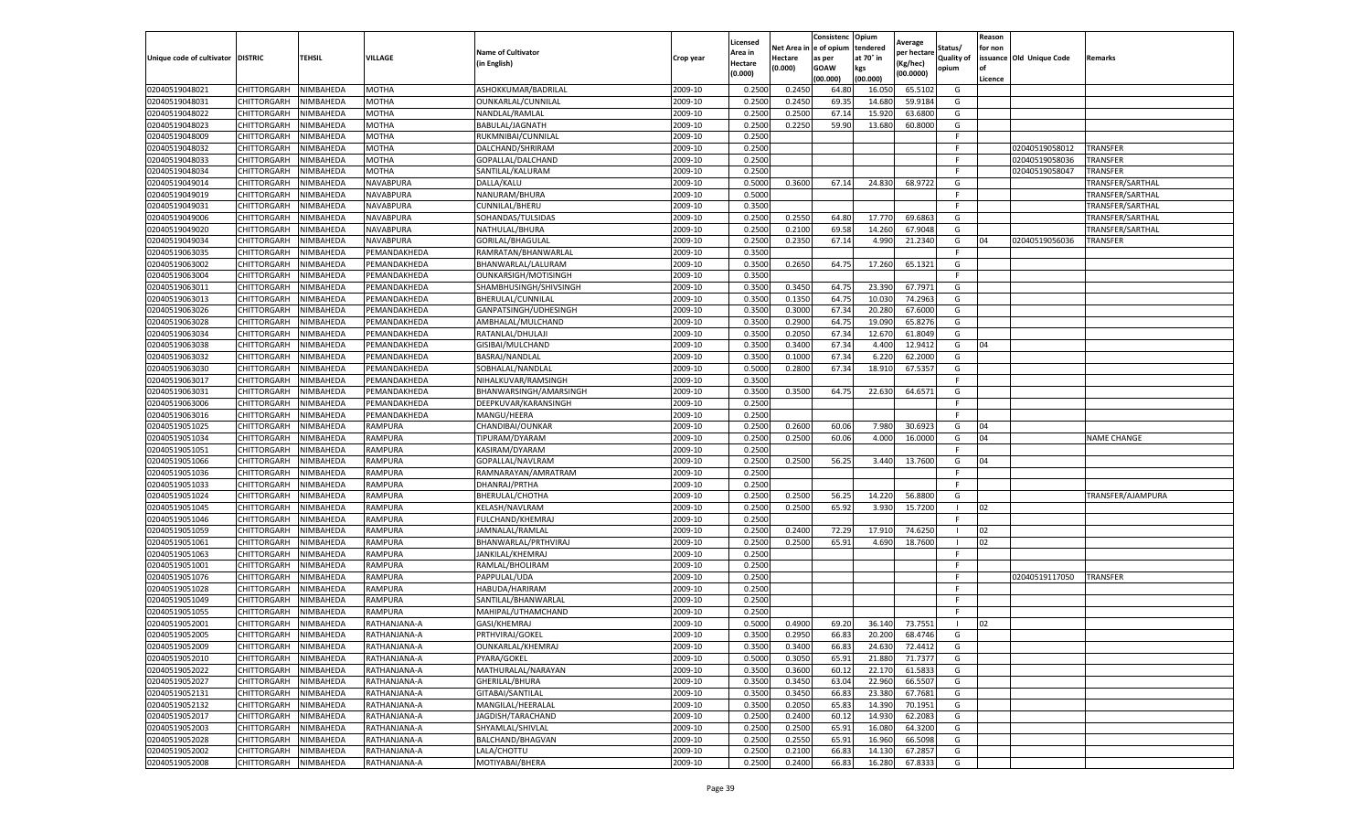|                                   |                    |               |                |                           |           | Licensed |            | Consistenc   | Opium     | Average     |                   | Reason  |                          |                    |
|-----------------------------------|--------------------|---------------|----------------|---------------------------|-----------|----------|------------|--------------|-----------|-------------|-------------------|---------|--------------------------|--------------------|
|                                   |                    |               |                | <b>Name of Cultivator</b> |           | Area in  | Net Area i | n e of opium | tendered  | per hectarı | Status/           | for non |                          |                    |
| Unique code of cultivator DISTRIC |                    | <b>TEHSIL</b> | VILLAGE        | (in English)              | Crop year | Hectare  | Hectare    | as per       | at 70° in | (Kg/hec)    | <b>Quality of</b> |         | issuance Old Unique Code | Remarks            |
|                                   |                    |               |                |                           |           | (0.000)  | (0.000)    | <b>GOAW</b>  | kgs       | (00.0000)   | opium             | οf      |                          |                    |
|                                   |                    |               |                |                           |           |          |            | (00.000)     | (00.000)  |             |                   | Licence |                          |                    |
| 02040519048021                    | CHITTORGARH        | NIMBAHEDA     | <b>MOTHA</b>   | ASHOKKUMAR/BADRILAI       | 2009-10   | 0.2500   | 0.2450     | 64.80        | 16.050    | 65.510      | G                 |         |                          |                    |
| 02040519048031                    | CHITTORGARH        | NIMBAHEDA     | <b>MOTHA</b>   | OUNKARLAL/CUNNILAL        | 2009-10   | 0.2500   | 0.2450     | 69.35        | 14.68     | 59.9184     | G                 |         |                          |                    |
| 02040519048022                    | CHITTORGARH        | NIMBAHEDA     | <b>MOTHA</b>   | NANDLAL/RAMLAL            | 2009-10   | 0.2500   | 0.2500     | 67.1         | 15.920    | 63.6800     | G                 |         |                          |                    |
| 02040519048023                    | CHITTORGARH        | NIMBAHEDA     | <b>MOTHA</b>   | BABULAL/JAGNATH           | 2009-10   | 0.2500   | 0.2250     | 59.90        | 13.680    | 60.8000     | G                 |         |                          |                    |
| 02040519048009                    | CHITTORGARH        | NIMBAHEDA     | <b>MOTHA</b>   | RUKMNIBAI/CUNNILAL        | 2009-10   | 0.2500   |            |              |           |             |                   |         |                          |                    |
| 02040519048032                    | CHITTORGARH        | NIMBAHEDA     | <b>MOTHA</b>   | DALCHAND/SHRIRAM          | 2009-10   | 0.2500   |            |              |           |             |                   |         | 02040519058012           | TRANSFER           |
| 02040519048033                    | CHITTORGARH        | NIMBAHEDA     | <b>MOTHA</b>   | GOPALLAL/DALCHAND         | 2009-10   | 0.2500   |            |              |           |             | F                 |         | 02040519058036           | TRANSFER           |
| 02040519048034                    | CHITTORGARH        | NIMBAHEDA     | <b>MOTHA</b>   | SANTILAL/KALURAM          | 2009-10   | 0.2500   |            |              |           |             | F                 |         | 02040519058047           | TRANSFER           |
| 02040519049014                    | CHITTORGARH        | NIMBAHEDA     | NAVABPURA      | DALLA/KALU                | 2009-10   | 0.5000   | 0.3600     | 67.14        | 24.830    | 68.9722     | G                 |         |                          | TRANSFER/SARTHAL   |
| 02040519049019                    | CHITTORGARH        | NIMBAHEDA     | NAVABPURA      | NANURAM/BHURA             | 2009-10   | 0.5000   |            |              |           |             | F.                |         |                          | TRANSFER/SARTHAL   |
| 02040519049031                    | CHITTORGARH        | NIMBAHEDA     | NAVABPURA      | CUNNILAL/BHERU            | 2009-10   | 0.3500   |            |              |           |             |                   |         |                          | TRANSFER/SARTHAL   |
| 02040519049006                    | CHITTORGARH        | NIMBAHEDA     | NAVABPURA      | SOHANDAS/TULSIDAS         | 2009-10   | 0.2500   | 0.2550     | 64.80        | 17.770    | 69.686      | G                 |         |                          | TRANSFER/SARTHAL   |
| 02040519049020                    | CHITTORGARH        | NIMBAHEDA     | NAVABPURA      | NATHULAL/BHURA            | 2009-10   | 0.2500   | 0.2100     | 69.58        | 14.260    | 67.9048     | G                 |         |                          | TRANSFER/SARTHAL   |
| 02040519049034                    | CHITTORGARH        | NIMBAHEDA     | NAVABPURA      | GORILAL/BHAGULAL          | 2009-10   | 0.2500   | 0.2350     | 67.14        | 4.990     | 21.2340     | G                 | 04      | 02040519056036           | TRANSFER           |
| 02040519063035                    | CHITTORGARH        | NIMBAHEDA     | PEMANDAKHEDA   | RAMRATAN/BHANWARLAL       | 2009-10   | 0.3500   |            |              |           |             | F.                |         |                          |                    |
| 02040519063002                    | CHITTORGARH        | NIMBAHEDA     | PEMANDAKHEDA   | BHANWARLAL/LALURAM        | 2009-10   | 0.3500   | 0.2650     | 64.75        | 17.260    | 65.1321     | G                 |         |                          |                    |
| 02040519063004                    | CHITTORGARH        | NIMBAHEDA     | PEMANDAKHEDA   | OUNKARSIGH/MOTISINGH      | 2009-10   | 0.3500   |            |              |           |             |                   |         |                          |                    |
| 02040519063011                    | CHITTORGARH        | NIMBAHEDA     | PEMANDAKHEDA   | SHAMBHUSINGH/SHIVSINGH    | 2009-10   | 0.3500   | 0.3450     | 64.75        | 23.390    | 67.7971     | G                 |         |                          |                    |
| 02040519063013                    | CHITTORGARH        | NIMBAHEDA     | PEMANDAKHEDA   | BHERULAL/CUNNILAL         | 2009-10   | 0.3500   | 0.1350     | 64.75        | 10.03     | 74.2963     | G                 |         |                          |                    |
| 02040519063026                    | CHITTORGARH        | NIMBAHEDA     | PEMANDAKHEDA   | GANPATSINGH/UDHESINGH     | 2009-10   | 0.3500   | 0.3000     | 67.34        | 20.280    | 67.6000     | G                 |         |                          |                    |
| 02040519063028                    | CHITTORGARH        | NIMBAHEDA     | PEMANDAKHEDA   | AMBHALAL/MULCHAND         | 2009-10   | 0.3500   | 0.2900     | 64.75        | 19.090    | 65.8276     | G                 |         |                          |                    |
| 02040519063034                    | CHITTORGARH        | NIMBAHEDA     | PEMANDAKHEDA   | RATANLAL/DHULAJI          | 2009-10   | 0.3500   | 0.2050     | 67.34        | 12.670    | 61.8049     | G                 |         |                          |                    |
| 02040519063038                    | CHITTORGARH        | NIMBAHEDA     | PEMANDAKHEDA   | GISIBAI/MULCHAND          | 2009-10   | 0.3500   | 0.3400     | 67.34        | 4.400     | 12.9412     | G                 | 04      |                          |                    |
| 02040519063032                    | CHITTORGARH        | NIMBAHEDA     | PEMANDAKHEDA   | BASRAJ/NANDLAL            | 2009-10   | 0.3500   | 0.1000     | 67.34        | 6.220     | 62.2000     | G                 |         |                          |                    |
| 02040519063030                    | CHITTORGARH        | NIMBAHEDA     | PEMANDAKHEDA   | SOBHALAL/NANDLAL          | 2009-10   | 0.5000   | 0.2800     | 67.34        | 18.91     | 67.5357     | G                 |         |                          |                    |
| 02040519063017                    | CHITTORGARH        | NIMBAHEDA     | PEMANDAKHEDA   | NIHALKUVAR/RAMSINGH       | 2009-10   | 0.3500   |            |              |           |             | F                 |         |                          |                    |
| 02040519063031                    | CHITTORGARH        | NIMBAHEDA     | PEMANDAKHEDA   | BHANWARSINGH/AMARSINGH    | 2009-10   | 0.3500   | 0.3500     | 64.7         | 22.630    | 64.6571     | G                 |         |                          |                    |
| 02040519063006                    | CHITTORGARH        | NIMBAHEDA     | PEMANDAKHEDA   | DEEPKUVAR/KARANSINGH      | 2009-10   | 0.2500   |            |              |           |             | F.                |         |                          |                    |
| 02040519063016                    | CHITTORGARH        | NIMBAHEDA     | PEMANDAKHEDA   | MANGU/HEERA               | 2009-10   | 0.2500   |            |              |           |             | Е                 |         |                          |                    |
| 02040519051025                    | CHITTORGARH        | NIMBAHEDA     | RAMPURA        | CHANDIBAI/OUNKAR          | 2009-10   | 0.2500   | 0.2600     | 60.06        | 7.980     | 30.6923     | G                 | 04      |                          |                    |
| 02040519051034                    | CHITTORGARH        | NIMBAHEDA     | RAMPURA        | TIPURAM/DYARAM            | 2009-10   | 0.2500   | 0.2500     | 60.06        | 4.000     | 16.0000     | G                 | 04      |                          | <b>NAME CHANGE</b> |
| 02040519051051                    | CHITTORGARH        | NIMBAHEDA     | RAMPURA        | KASIRAM/DYARAM            | 2009-10   | 0.2500   |            |              |           |             | F                 |         |                          |                    |
| 02040519051066                    | CHITTORGARH        | NIMBAHEDA     | RAMPURA        | GOPALLAL/NAVLRAM          | 2009-10   | 0.2500   | 0.2500     | 56.25        | 3.440     | 13.7600     | G                 | 04      |                          |                    |
| 02040519051036                    | CHITTORGARH        | NIMBAHEDA     | RAMPURA        | RAMNARAYAN/AMRATRAM       | 2009-10   | 0.2500   |            |              |           |             | F                 |         |                          |                    |
| 02040519051033                    | CHITTORGARH        | NIMBAHEDA     | RAMPURA        | DHANRAJ/PRTHA             | 2009-10   | 0.2500   |            |              |           |             |                   |         |                          |                    |
| 02040519051024                    | CHITTORGARH        | NIMBAHEDA     | RAMPURA        | BHERULAL/CHOTHA           | 2009-10   | 0.2500   | 0.2500     | 56.25        | 14.220    | 56.8800     | G                 |         |                          | TRANSFER/AJAMPURA  |
| 02040519051045                    | CHITTORGARH        | NIMBAHEDA     | RAMPURA        | KELASH/NAVLRAM            | 2009-10   | 0.2500   | 0.2500     | 65.92        | 3.930     | 15.7200     |                   | 02      |                          |                    |
| 02040519051046                    | CHITTORGARH        | NIMBAHEDA     | RAMPURA        | <b>FULCHAND/KHEMRAJ</b>   | 2009-10   | 0.2500   |            |              |           |             |                   |         |                          |                    |
| 02040519051059                    | CHITTORGARH        | NIMBAHEDA     | RAMPURA        | JAMNALAL/RAMLAL           | 2009-10   | 0.2500   | 0.2400     | 72.29        | 17.910    | 74.6250     |                   | 02      |                          |                    |
| 02040519051061                    | CHITTORGARH        | NIMBAHEDA     | <b>RAMPURA</b> | BHANWARLAL/PRTHVIRAJ      | 2009-10   | 0.2500   | 0.2500     | 65.91        | 4.690     | 18.7600     |                   | 02      |                          |                    |
| 02040519051063                    | CHITTORGARH        | NIMBAHEDA     | RAMPURA        | JANKILAL/KHEMRAJ          | 2009-10   | 0.2500   |            |              |           |             | F                 |         |                          |                    |
| 02040519051001                    | CHITTORGARH        | NIMBAHEDA     | RAMPURA        | RAMLAL/BHOLIRAM           | 2009-10   | 0.2500   |            |              |           |             |                   |         |                          |                    |
| 02040519051076                    | CHITTORGARH        | NIMBAHEDA     | RAMPURA        | PAPPULAL/UDA              | 2009-10   | 0.2500   |            |              |           |             |                   |         | 02040519117050           | <b>TRANSFER</b>    |
| 02040519051028                    | CHITTORGARH        | NIMBAHEDA     | RAMPURA        | HABUDA/HARIRAM            | 2009-10   | 0.2500   |            |              |           |             |                   |         |                          |                    |
| 02040519051049                    | CHITTORGARH        | NIMBAHEDA     | RAMPURA        | SANTILAL/BHANWARLAL       | 2009-10   | 0.2500   |            |              |           |             | F                 |         |                          |                    |
| 02040519051055                    | CHITTORGARH        | NIMBAHEDA     | RAMPURA        | MAHIPAL/UTHAMCHAND        | 2009-10   | 0.2500   |            |              |           |             | F                 |         |                          |                    |
| 02040519052001                    | CHITTORGARH        | NIMBAHEDA     | RATHANJANA-A   | GASI/KHEMRAJ              | 2009-10   | 0.5000   | 0.4900     | 69.20        | 36.140    | 73.7551     |                   | 02      |                          |                    |
| 02040519052005                    | CHITTORGARH        | NIMBAHEDA     | RATHANJANA-A   | PRTHVIRAJ/GOKEL           | 2009-10   | 0.3500   | 0.2950     | 66.83        | 20.200    | 68.4746     | G                 |         |                          |                    |
| 02040519052009                    | <b>CHITTORGARH</b> | NIMBAHEDA     | RATHANJANA-A   | OUNKARLAL/KHEMRAJ         | 2009-10   | 0.3500   | 0.3400     | 66.83        | 24.630    | 72.4412     | G                 |         |                          |                    |
| 02040519052010                    | CHITTORGARH        | NIMBAHEDA     | RATHANJANA-A   | PYARA/GOKEL               | 2009-10   | 0.5000   | 0.3050     | 65.91        | 21.880    | 71.7377     | G                 |         |                          |                    |
| 02040519052022                    | CHITTORGARH        | NIMBAHEDA     | RATHANJANA-A   | MATHURALAL/NARAYAN        | 2009-10   | 0.3500   | 0.3600     | 60.12        | 22.170    | 61.5833     | G                 |         |                          |                    |
| 02040519052027                    | CHITTORGARH        | NIMBAHEDA     | RATHANJANA-A   | GHERILAL/BHURA            | 2009-10   | 0.3500   | 0.3450     | 63.04        | 22.960    | 66.5507     | G                 |         |                          |                    |
| 02040519052131                    | CHITTORGARH        | NIMBAHEDA     | RATHANJANA-A   | GITABAI/SANTILAL          | 2009-10   | 0.3500   | 0.3450     | 66.83        | 23.380    | 67.7681     | G                 |         |                          |                    |
| 02040519052132                    | CHITTORGARH        | NIMBAHEDA     | RATHANJANA-A   | MANGILAL/HEERALAL         | 2009-10   | 0.3500   | 0.2050     | 65.83        | 14.390    | 70.1951     | G                 |         |                          |                    |
| 02040519052017                    | CHITTORGARH        | NIMBAHEDA     | RATHANJANA-A   | JAGDISH/TARACHAND         | 2009-10   | 0.2500   | 0.2400     | 60.12        | 14.930    | 62.2083     | G                 |         |                          |                    |
| 02040519052003                    | CHITTORGARH        | NIMBAHEDA     | RATHANJANA-A   | SHYAMLAL/SHIVLAL          | 2009-10   | 0.2500   | 0.2500     | 65.91        | 16.080    | 64.3200     | G                 |         |                          |                    |
| 02040519052028                    | CHITTORGARH        | NIMBAHEDA     | RATHANJANA-A   | BALCHAND/BHAGVAN          | 2009-10   | 0.2500   | 0.2550     | 65.91        | 16.960    | 66.5098     | G                 |         |                          |                    |
| 02040519052002                    | CHITTORGARH        | NIMBAHEDA     | RATHANJANA-A   | LALA/CHOTTU               | 2009-10   | 0.2500   | 0.2100     | 66.83        | 14.130    | 67.2857     | G                 |         |                          |                    |
| 02040519052008                    | CHITTORGARH        | NIMBAHEDA     | RATHANJANA-A   | MOTIYABAI/BHERA           | 2009-10   | 0.2500   | 0.2400     | 66.83        | 16.280    | 67.8333     | G                 |         |                          |                    |
|                                   |                    |               |                |                           |           |          |            |              |           |             |                   |         |                          |                    |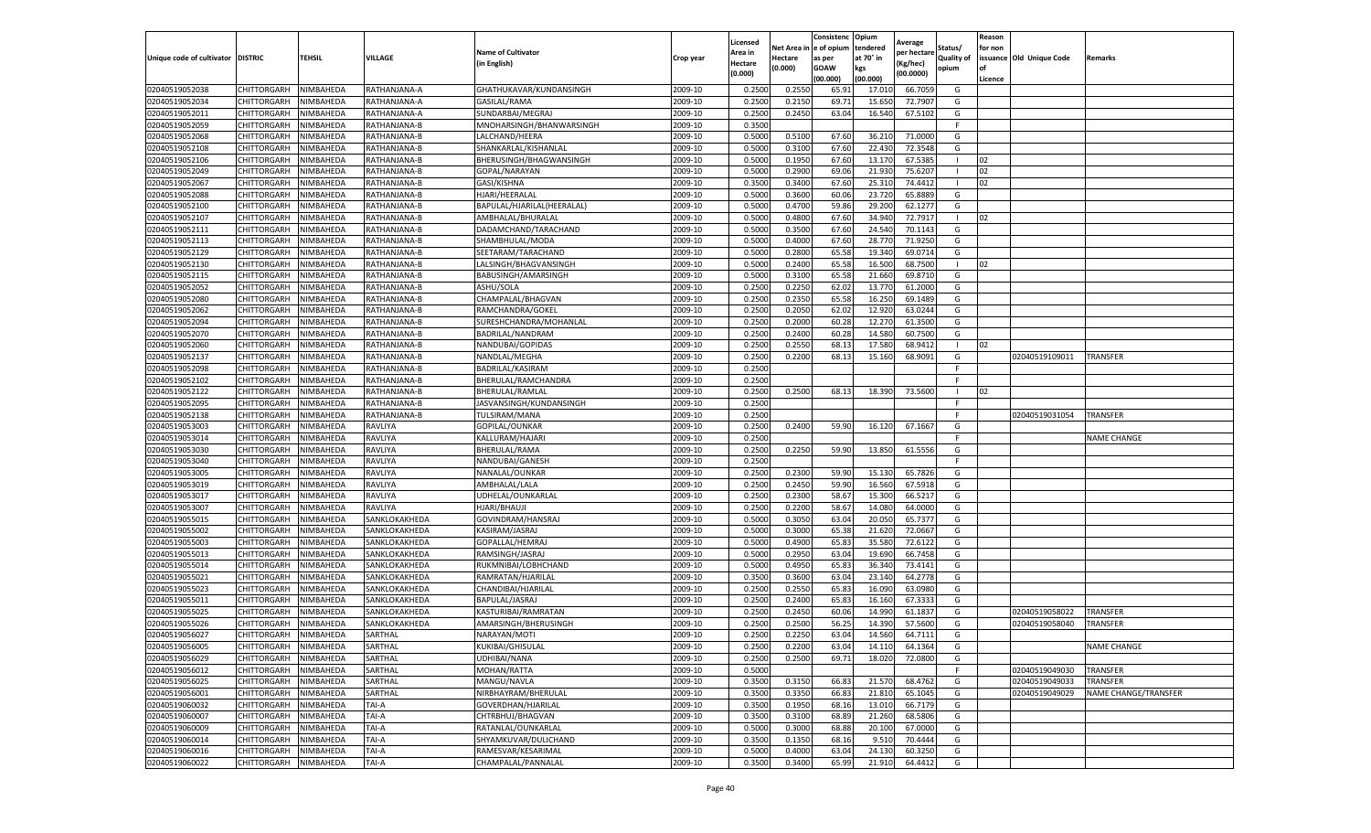|                                   |             |           |               |                            |           | Licensed |            | Consistenc  | Opium     |                        |                   | Reason  |                          |                      |
|-----------------------------------|-------------|-----------|---------------|----------------------------|-----------|----------|------------|-------------|-----------|------------------------|-------------------|---------|--------------------------|----------------------|
|                                   |             |           |               | <b>Name of Cultivator</b>  |           | Area in  | Net Area i | e of opium  | tendered  | Average<br>per hectare | Status/           | for non |                          |                      |
| Unique code of cultivator DISTRIC |             | TEHSIL    | VILLAGE       | (in English)               | Crop year | Hectare  | Hectare    | as per      | at 70° in | (Kg/hec)               | <b>Quality of</b> |         | issuance Old Unique Code | Remarks              |
|                                   |             |           |               |                            |           | (0.000)  | (0.000)    | <b>GOAW</b> | kgs       | (00.0000)              | opium             | οf      |                          |                      |
|                                   |             |           |               |                            |           |          |            | (00.000)    | (00.000)  |                        |                   | Licence |                          |                      |
| 02040519052038                    | CHITTORGARH | NIMBAHEDA | RATHANJANA-A  | GHATHUKAVAR/KUNDANSINGH    | 2009-10   | 0.2500   | 0.2550     | 65.9        | 17.01     | 66.7059                | G                 |         |                          |                      |
| 02040519052034                    | CHITTORGARH | NIMBAHEDA | RATHANJANA-A  | GASILAL/RAMA               | 2009-10   | 0.250    | 0.2150     | 69.7        | 15.650    | 72.7907                | G                 |         |                          |                      |
| 02040519052011                    | CHITTORGARH | NIMBAHEDA | RATHANJANA-A  | SUNDARBAI/MEGRAJ           | 2009-10   | 0.2500   | 0.2450     | 63.04       | 16.540    | 67.5102                | G                 |         |                          |                      |
| 02040519052059                    | CHITTORGARH | NIMBAHEDA | RATHANJANA-B  | MNOHARSINGH/BHANWARSINGH   | 2009-10   | 0.3500   |            |             |           |                        | F.                |         |                          |                      |
| 02040519052068                    | CHITTORGARH | NIMBAHEDA | RATHANJANA-B  | LALCHAND/HEERA             | 2009-10   | 0.5000   | 0.5100     | 67.60       | 36.210    | 71.0000                | G                 |         |                          |                      |
| 02040519052108                    | CHITTORGARH | NIMBAHEDA | RATHANJANA-B  | SHANKARLAL/KISHANLAL       | 2009-10   | 0.5000   | 0.3100     | 67.60       | 22.430    | 72.3548                | G                 |         |                          |                      |
| 02040519052106                    | CHITTORGARH | NIMBAHEDA | RATHANJANA-B  | BHERUSINGH/BHAGWANSINGH    | 2009-10   | 0.5000   | 0.1950     | 67.60       | 13.170    | 67.5385                |                   | 02      |                          |                      |
| 02040519052049                    | CHITTORGARH | NIMBAHEDA | RATHANJANA-B  | GOPAL/NARAYAN              | 2009-10   | 0.500    | 0.2900     | 69.06       | 21.930    | 75.6207                |                   | 02      |                          |                      |
| 02040519052067                    | CHITTORGARH | NIMBAHEDA | RATHANJANA-B  | GASI/KISHNA                | 2009-10   | 0.3500   | 0.3400     | 67.60       | 25.31     | 74.4412                | -1                | 02      |                          |                      |
| 02040519052088                    | CHITTORGARH | NIMBAHEDA | RATHANJANA-B  | HJARI/HEERALAL             | 2009-10   | 0.5000   | 0.3600     | 60.06       | 23.720    | 65.8889                | G                 |         |                          |                      |
| 02040519052100                    | CHITTORGARH | NIMBAHEDA | RATHANJANA-B  | BAPULAL/HJARILAL(HEERALAL) | 2009-10   | 0.5000   | 0.4700     | 59.86       | 29.200    | 62.1277                | G                 |         |                          |                      |
| 02040519052107                    | CHITTORGARH | NIMBAHEDA | RATHANJANA-B  | AMBHALAL/BHURALAL          | 2009-10   | 0.5000   | 0.4800     | 67.60       | 34.94     | 72.7917                |                   | 02      |                          |                      |
| 02040519052111                    | CHITTORGARH | NIMBAHEDA | RATHANJANA-B  | DADAMCHAND/TARACHAND       | 2009-10   | 0.5000   | 0.3500     | 67.60       | 24.54     | 70.1143                | G                 |         |                          |                      |
| 02040519052113                    | CHITTORGARH | NIMBAHEDA | RATHANJANA-B  | SHAMBHULAL/MODA            | 2009-10   | 0.500    | 0.4000     | 67.60       | 28.77     | 71.9250                | G                 |         |                          |                      |
| 02040519052129                    | CHITTORGARH | NIMBAHEDA | RATHANJANA-B  | SEETARAM/TARACHAND         | 2009-10   | 0.5000   | 0.2800     | 65.58       | 19.340    | 69.0714                | G                 |         |                          |                      |
| 02040519052130                    | CHITTORGARH | NIMBAHEDA | RATHANJANA-B  | LALSINGH/BHAGVANSINGH      | 2009-10   | 0.5000   | 0.2400     | 65.58       | 16.500    | 68.7500                | -1                | 02      |                          |                      |
| 02040519052115                    | CHITTORGARH | NIMBAHEDA | RATHANJANA-B  | BABUSINGH/AMARSINGH        | 2009-10   | 0.500    | 0.3100     | 65.58       | 21.660    | 69.8710                | G                 |         |                          |                      |
| 02040519052052                    | CHITTORGARH | NIMBAHEDA | RATHANJANA-B  | ASHU/SOLA                  | 2009-10   | 0.2500   | 0.2250     | 62.02       | 13.770    | 61.2000                | G                 |         |                          |                      |
| 02040519052080                    | CHITTORGARH | NIMBAHEDA | RATHANJANA-B  | CHAMPALAL/BHAGVAN          | 2009-10   | 0.2500   | 0.2350     | 65.58       | 16.250    | 69.1489                | G                 |         |                          |                      |
| 02040519052062                    | CHITTORGARH | NIMBAHEDA | RATHANJANA-B  | RAMCHANDRA/GOKEL           | 2009-10   | 0.2500   | 0.2050     | 62.02       | 12.920    | 63.0244                | G                 |         |                          |                      |
| 02040519052094                    | CHITTORGARH | NIMBAHEDA | RATHANJANA-B  | SURESHCHANDRA/MOHANLAL     | 2009-10   | 0.2500   | 0.2000     | 60.28       | 12.270    | 61.3500                | G                 |         |                          |                      |
| 02040519052070                    | CHITTORGARH | NIMBAHEDA | RATHANJANA-B  | BADRILAL/NANDRAM           | 2009-10   | 0.2500   | 0.2400     | 60.28       | 14.580    | 60.7500                | G                 |         |                          |                      |
| 02040519052060                    | CHITTORGARH | NIMBAHEDA | RATHANJANA-B  | NANDUBAI/GOPIDAS           | 2009-10   | 0.2500   | 0.2550     | 68.1        | 17.580    | 68.9412                | л.                | 02      |                          |                      |
| 02040519052137                    | CHITTORGARH | NIMBAHEDA | RATHANJANA-B  | NANDLAL/MEGHA              | 2009-10   | 0.2500   | 0.2200     | 68.13       | 15.160    | 68.9091                | G                 |         | 02040519109011           | <b>TRANSFER</b>      |
| 02040519052098                    | CHITTORGARH | NIMBAHEDA | RATHANJANA-B  | BADRILAL/KASIRAM           | 2009-10   | 0.2500   |            |             |           |                        | F                 |         |                          |                      |
| 02040519052102                    | CHITTORGARH | NIMBAHEDA | RATHANJANA-B  | BHERULAL/RAMCHANDRA        | 2009-10   | 0.2500   |            |             |           |                        | F                 |         |                          |                      |
| 02040519052122                    | CHITTORGARH | NIMBAHEDA | RATHANJANA-B  | BHERULAL/RAMLAL            | 2009-10   | 0.2500   | 0.2500     | 68.13       | 18.390    | 73.5600                | -1                | 02      |                          |                      |
| 02040519052095                    | CHITTORGARH | NIMBAHEDA | RATHANJANA-B  | JASVANSINGH/KUNDANSINGH    | 2009-10   | 0.2500   |            |             |           |                        | F.                |         |                          |                      |
| 02040519052138                    | CHITTORGARH | NIMBAHEDA | RATHANJANA-B  | TULSIRAM/MANA              | 2009-10   | 0.2500   |            |             |           |                        | F                 |         | 02040519031054           | <b>TRANSFER</b>      |
| 02040519053003                    | CHITTORGARH | NIMBAHEDA | RAVLIYA       | GOPILAL/OUNKAR             | 2009-10   | 0.2500   | 0.2400     | 59.90       | 16.120    | 67.1667                | G                 |         |                          |                      |
| 02040519053014                    | CHITTORGARH | NIMBAHEDA | RAVLIYA       | KALLURAM/HAJARI            | 2009-10   | 0.2500   |            |             |           |                        |                   |         |                          | <b>NAME CHANGE</b>   |
| 02040519053030                    | CHITTORGARH | NIMBAHEDA | RAVLIYA       | BHERULAL/RAMA              | 2009-10   | 0.2500   | 0.2250     | 59.90       | 13.850    | 61.5556                | G                 |         |                          |                      |
| 02040519053040                    | CHITTORGARH | NIMBAHEDA | RAVLIYA       | NANDUBAI/GANESH            | 2009-10   | 0.2500   |            |             |           |                        | F.                |         |                          |                      |
| 02040519053005                    | CHITTORGARH | NIMBAHEDA | RAVLIYA       | NANALAL/OUNKAR             | 2009-10   | 0.2500   | 0.2300     | 59.90       | 15.130    | 65.7826                | G                 |         |                          |                      |
| 02040519053019                    | CHITTORGARH | NIMBAHEDA | RAVLIYA       | AMBHALAL/LALA              | 2009-10   | 0.2500   | 0.2450     | 59.90       | 16.560    | 67.5918                | G                 |         |                          |                      |
| 02040519053017                    | CHITTORGARH | NIMBAHEDA | RAVLIYA       | UDHELAL/OUNKARLAL          | 2009-10   | 0.2500   | 0.2300     | 58.67       | 15.300    | 66.5217                | G                 |         |                          |                      |
| 02040519053007                    | CHITTORGARH | NIMBAHEDA | RAVLIYA       | HJARI/BHAUJI               | 2009-10   | 0.2500   | 0.2200     | 58.67       | 14.080    | 64.0000                | G                 |         |                          |                      |
| 02040519055015                    | CHITTORGARH | NIMBAHEDA | SANKLOKAKHEDA | GOVINDRAM/HANSRAJ          | 2009-10   | 0.5000   | 0.3050     | 63.04       | 20.050    | 65.7377                | G                 |         |                          |                      |
| 02040519055002                    | CHITTORGARH | NIMBAHEDA | SANKLOKAKHEDA | KASIRAM/JASRAJ             | 2009-10   | 0.5000   | 0.3000     | 65.38       | 21.620    | 72.0667                | G                 |         |                          |                      |
| 02040519055003                    | CHITTORGARH | NIMBAHEDA | SANKLOKAKHEDA | GOPALLAL/HEMRAJ            | 2009-10   | 0.5000   | 0.4900     | 65.83       | 35.580    | 72.6122                | G                 |         |                          |                      |
| 02040519055013                    | CHITTORGARH | NIMBAHEDA | SANKLOKAKHEDA | RAMSINGH/JASRAJ            | 2009-10   | 0.5000   | 0.2950     | 63.04       | 19.690    | 66.7458                | G                 |         |                          |                      |
| 02040519055014                    | CHITTORGARH | NIMBAHEDA | SANKLOKAKHEDA | RUKMNIBAI/LOBHCHAND        | 2009-10   | 0.5000   | 0.4950     | 65.83       | 36.340    | 73.4141                | G                 |         |                          |                      |
| 02040519055021                    | CHITTORGARH | NIMBAHEDA | SANKLOKAKHEDA | RAMRATAN/HJARILAL          | 2009-10   | 0.3500   | 0.3600     | 63.04       | 23.140    | 64.2778                | G                 |         |                          |                      |
| 02040519055023                    | CHITTORGARH | NIMBAHEDA | SANKLOKAKHEDA | CHANDIBAI/HJARILAL         | 2009-10   | 0.2500   | 0.2550     | 65.83       | 16.090    | 63.0980                | G                 |         |                          |                      |
| 02040519055011                    | CHITTORGARH | NIMBAHEDA | SANKLOKAKHEDA | BAPULAL/JASRAJ             | 2009-10   | 0.2500   | 0.2400     | 65.83       | 16.160    | 67.3333                | G                 |         |                          |                      |
| 02040519055025                    | CHITTORGARH | NIMBAHEDA | SANKLOKAKHEDA | KASTURIBAI/RAMRATAN        | 2009-10   | 0.250    | 0.2450     | 60.06       | 14.990    | 61.1837                | G                 |         | 02040519058022           | TRANSFER             |
| 02040519055026                    | CHITTORGARH | NIMBAHEDA | SANKLOKAKHEDA | AMARSINGH/BHERUSINGH       | 2009-10   | 0.2500   | 0.2500     | 56.25       | 14.390    | 57.5600                | G                 |         | 02040519058040           | TRANSFER             |
| 02040519056027                    | CHITTORGARH | NIMBAHEDA | SARTHAL       | NARAYAN/MOTI               | 2009-10   | 0.2500   | 0.2250     | 63.04       | 14.560    | 64.7111                | G                 |         |                          |                      |
| 02040519056005                    | CHITTORGARH | NIMBAHEDA | SARTHAL       | KUKIBAI/GHISULAL           | 2009-10   | 0.2500   | 0.2200     | 63.04       | 14.110    | 64.1364                | G                 |         |                          | <b>NAME CHANGE</b>   |
| 02040519056029                    | CHITTORGARH | NIMBAHEDA | SARTHAL       | UDHIBAI/NANA               | 2009-10   | 0.2500   | 0.2500     | 69.71       | 18.020    | 72.0800                | G                 |         |                          |                      |
| 02040519056012                    | CHITTORGARH | NIMBAHEDA | SARTHAL       | MOHAN/RATTA                | 2009-10   | 0.5000   |            |             |           |                        | F.                |         | 02040519049030           | <b>TRANSFER</b>      |
| 02040519056025                    | CHITTORGARH | NIMBAHEDA | SARTHAL       | MANGU/NAVLA                | 2009-10   | 0.3500   | 0.3150     | 66.83       | 21.570    | 68.4762                | G                 |         | 02040519049033           | TRANSFER             |
| 02040519056001                    | CHITTORGARH | NIMBAHEDA | SARTHAL       | NIRBHAYRAM/BHERULAL        | 2009-10   | 0.3500   | 0.3350     | 66.83       | 21.810    | 65.1045                | G                 |         | 02040519049029           | NAME CHANGE/TRANSFER |
| 02040519060032                    | CHITTORGARH | NIMBAHEDA | TAI-A         | GOVERDHAN/HJARILAL         | 2009-10   | 0.3500   | 0.1950     | 68.16       | 13.010    | 66.7179                | G                 |         |                          |                      |
| 02040519060007                    | CHITTORGARH | NIMBAHEDA | TAI-A         | CHTRBHUJ/BHAGVAN           | 2009-10   | 0.3500   | 0.3100     | 68.89       | 21.260    | 68.5806                | G                 |         |                          |                      |
| 02040519060009                    | CHITTORGARH | NIMBAHEDA | TAI-A         | RATANLAL/OUNKARLAL         | 2009-10   | 0.5000   | 0.3000     | 68.88       | 20.100    | 67.0000                | G                 |         |                          |                      |
| 02040519060014                    | CHITTORGARH | NIMBAHEDA | TAI-A         | SHYAMKUVAR/DULICHAND       | 2009-10   | 0.3500   | 0.1350     | 68.16       | 9.510     | 70.4444                | G                 |         |                          |                      |
| 02040519060016                    | CHITTORGARH | NIMBAHEDA | TAI-A         | RAMESVAR/KESARIMAL         | 2009-10   | 0.5000   | 0.4000     | 63.04       | 24.130    | 60.3250                | G                 |         |                          |                      |
| 02040519060022                    | CHITTORGARH | NIMBAHEDA | TAI-A         | CHAMPALAL/PANNALAL         | 2009-10   | 0.3500   | 0.3400     | 65.99       | 21.910    | 64.4412                | G                 |         |                          |                      |
|                                   |             |           |               |                            |           |          |            |             |           |                        |                   |         |                          |                      |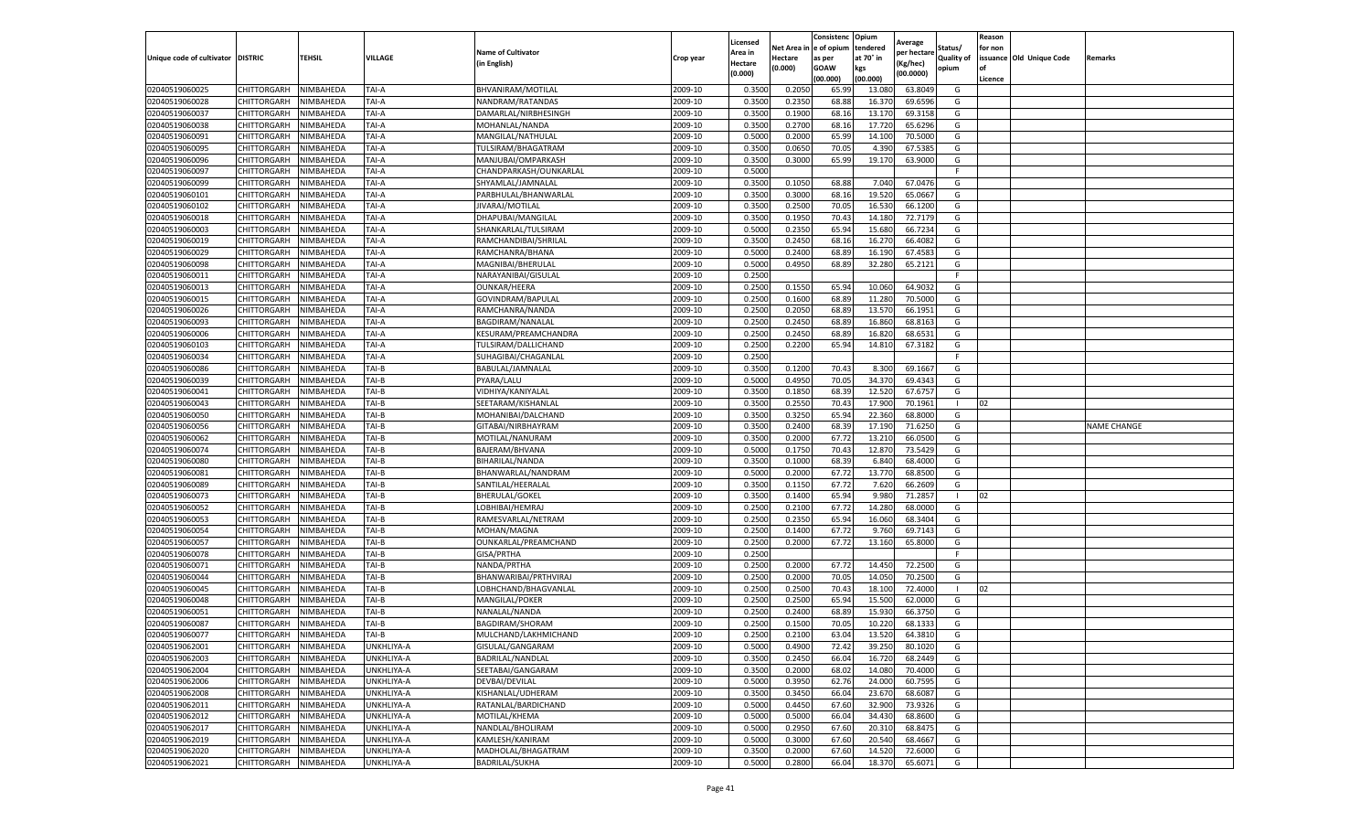|                                   |             |                  |            |                           |           | Licensed |            | Consistenc  | Opium     |                        |                   | Reason  |                          |                    |
|-----------------------------------|-------------|------------------|------------|---------------------------|-----------|----------|------------|-------------|-----------|------------------------|-------------------|---------|--------------------------|--------------------|
|                                   |             |                  |            | <b>Name of Cultivator</b> |           | Area in  | Net Area i | e of opium  | tendered  | Average<br>per hectare | Status/           | for non |                          |                    |
| Unique code of cultivator DISTRIC |             | TEHSIL           | VILLAGE    | (in English)              | Crop year | Hectare  | Hectare    | as per      | at 70° in | (Kg/hec)               | <b>Quality of</b> |         | issuance Old Unique Code | Remarks            |
|                                   |             |                  |            |                           |           | (0.000)  | (0.000)    | <b>GOAW</b> | kgs       | (00.0000)              | opium             |         |                          |                    |
|                                   |             |                  |            |                           |           |          |            | (00.000     | (00.000)  |                        |                   | Licence |                          |                    |
| 02040519060025                    | CHITTORGARH | NIMBAHEDA        | TAI-A      | BHVANIRAM/MOTILAL         | 2009-10   | 0.3500   | 0.2050     | 65.99       | 13.080    | 63.8049                | G                 |         |                          |                    |
| 02040519060028                    | CHITTORGARH | NIMBAHEDA        | TAI-A      | NANDRAM/RATANDAS          | 2009-10   | 0.350    | 0.2350     | 68.88       | 16.37     | 69.6596                | G                 |         |                          |                    |
| 02040519060037                    | CHITTORGARH | NIMBAHEDA        | TAI-A      | DAMARLAL/NIRBHESINGH      | 2009-10   | 0.3500   | 0.1900     | 68.16       | 13.17     | 69.3158                | G                 |         |                          |                    |
| 02040519060038                    | CHITTORGARH | NIMBAHEDA        | TAI-A      | MOHANLAL/NANDA            | 2009-10   | 0.3500   | 0.2700     | 68.16       | 17.720    | 65.6296                | G                 |         |                          |                    |
| 02040519060091                    | CHITTORGARH | NIMBAHEDA        | TAI-A      | MANGILAL/NATHULAL         | 2009-10   | 0.5000   | 0.2000     | 65.99       | 14.100    | 70.5000                | G                 |         |                          |                    |
| 02040519060095                    | CHITTORGARH | NIMBAHEDA        | TAI-A      | TULSIRAM/BHAGATRAM        | 2009-10   | 0.3500   | 0.0650     | 70.05       | 4.390     | 67.5385                | G                 |         |                          |                    |
| 02040519060096                    | CHITTORGARH | NIMBAHEDA        | TAI-A      | MANJUBAI/OMPARKASH        | 2009-10   | 0.3500   | 0.3000     | 65.99       | 19.170    | 63.9000                | G                 |         |                          |                    |
| 02040519060097                    | CHITTORGARH | NIMBAHEDA        | TAI-A      | CHANDPARKASH/OUNKARLAI    | 2009-10   | 0.500    |            |             |           |                        | F.                |         |                          |                    |
| 02040519060099                    | CHITTORGARH | NIMBAHEDA        | TAI-A      | SHYAMLAL/JAMNALAL         | 2009-10   | 0.3500   | 0.1050     | 68.88       | 7.040     | 67.0476                | G                 |         |                          |                    |
| 02040519060101                    | CHITTORGARH | NIMBAHEDA        | TAI-A      | PARBHULAL/BHANWARLAL      | 2009-10   | 0.3500   | 0.3000     | 68.16       | 19.520    | 65.0667                | G                 |         |                          |                    |
| 02040519060102                    | CHITTORGARH | NIMBAHEDA        | TAI-A      | JIVARAJ/MOTILAL           | 2009-10   | 0.3500   | 0.2500     | 70.05       | 16.530    | 66.1200                | G                 |         |                          |                    |
| 02040519060018                    | CHITTORGARH | NIMBAHEDA        | TAI-A      | DHAPUBAI/MANGILAL         | 2009-10   | 0.3500   | 0.1950     | 70.43       | 14.180    | 72.7179                | G                 |         |                          |                    |
| 02040519060003                    | CHITTORGARH | NIMBAHEDA        | TAI-A      | SHANKARLAL/TULSIRAM       | 2009-10   | 0.5000   | 0.2350     | 65.94       | 15.680    | 66.7234                | G                 |         |                          |                    |
| 02040519060019                    | CHITTORGARH | NIMBAHEDA        | TAI-A      | RAMCHANDIBAI/SHRILAI      | 2009-10   | 0.350    | 0.2450     | 68.16       | 16.27     | 66.4082                | G                 |         |                          |                    |
| 02040519060029                    | CHITTORGARH | NIMBAHEDA        | TAI-A      | RAMCHANRA/BHANA           | 2009-10   | 0.5000   | 0.2400     | 68.89       | 16.190    | 67.4583                | G                 |         |                          |                    |
| 02040519060098                    | CHITTORGARH | NIMBAHEDA        | TAI-A      | MAGNIBAI/BHERULAL         | 2009-10   | 0.5000   | 0.4950     | 68.89       | 32.280    | 65.2121                | G                 |         |                          |                    |
| 02040519060011                    | CHITTORGARH | NIMBAHEDA        | TAI-A      | NARAYANIBAI/GISULAL       | 2009-10   | 0.2500   |            |             |           |                        |                   |         |                          |                    |
| 02040519060013                    | CHITTORGARH | NIMBAHEDA        | TAI-A      | <b>OUNKAR/HEERA</b>       | 2009-10   | 0.2500   | 0.1550     | 65.94       | 10.060    | 64.9032                | G                 |         |                          |                    |
| 02040519060015                    | CHITTORGARH | NIMBAHEDA        | TAI-A      | GOVINDRAM/BAPULAL         | 2009-10   | 0.2500   | 0.1600     | 68.89       | 11.280    | 70.5000                | G                 |         |                          |                    |
| 02040519060026                    | CHITTORGARH | <b>NIMBAHEDA</b> | TAI-A      | RAMCHANRA/NANDA           | 2009-10   | 0.2500   | 0.2050     | 68.89       | 13.57     | 66.1951                | G                 |         |                          |                    |
| 02040519060093                    | CHITTORGARH | NIMBAHEDA        | TAI-A      | BAGDIRAM/NANALAL          | 2009-10   | 0.2500   | 0.2450     | 68.89       | 16.860    | 68.8163                | G                 |         |                          |                    |
| 02040519060006                    | CHITTORGARH | NIMBAHEDA        | TAI-A      | KESURAM/PREAMCHANDRA      | 2009-10   | 0.2500   | 0.2450     | 68.89       | 16.82     | 68.6531                | G                 |         |                          |                    |
| 02040519060103                    | CHITTORGARH | NIMBAHEDA        | TAI-A      | TULSIRAM/DALLICHAND       | 2009-10   | 0.2500   | 0.2200     | 65.94       | 14.810    | 67.3182                | G                 |         |                          |                    |
| 02040519060034                    | CHITTORGARH | NIMBAHEDA        | TAI-A      | SUHAGIBAI/CHAGANLAL       | 2009-10   | 0.2500   |            |             |           |                        |                   |         |                          |                    |
| 02040519060086                    | CHITTORGARH | NIMBAHEDA        | TAI-B      | BABULAL/JAMNALAL          | 2009-10   | 0.3500   | 0.1200     | 70.43       | 8.300     | 69.1667                | G                 |         |                          |                    |
| 02040519060039                    | CHITTORGARH | NIMBAHEDA        | TAI-B      | PYARA/LALU                | 2009-10   | 0.5000   | 0.4950     | 70.05       | 34.370    | 69.4343                | G                 |         |                          |                    |
| 02040519060041                    | CHITTORGARH | NIMBAHEDA        | TAI-B      | VIDHIYA/KANIYALAL         | 2009-10   | 0.3500   | 0.1850     | 68.39       | 12.520    | 67.6757                | G                 |         |                          |                    |
| 02040519060043                    | CHITTORGARH | NIMBAHEDA        | TAI-B      | SEETARAM/KISHANLAL        | 2009-10   | 0.3500   | 0.2550     | 70.43       | 17.900    | 70.1961                | $\mathbf{I}$      | 02      |                          |                    |
| 02040519060050                    | CHITTORGARH | NIMBAHEDA        | TAI-B      | MOHANIBAI/DALCHAND        | 2009-10   | 0.3500   | 0.3250     | 65.94       | 22.360    | 68.8000                | G                 |         |                          |                    |
| 02040519060056                    | CHITTORGARH | NIMBAHEDA        | TAI-B      | GITABAI/NIRBHAYRAM        | 2009-10   | 0.3500   | 0.2400     | 68.39       | 17.190    | 71.6250                | G                 |         |                          | <b>NAME CHANGE</b> |
| 02040519060062                    | CHITTORGARH | NIMBAHEDA        | TAI-B      | MOTILAL/NANURAM           | 2009-10   | 0.3500   | 0.2000     | 67.72       | 13.210    | 66.0500                | G                 |         |                          |                    |
| 02040519060074                    | CHITTORGARH | NIMBAHEDA        | TAI-B      | BAJERAM/BHVANA            | 2009-10   | 0.5000   | 0.1750     | 70.43       | 12.870    | 73.5429                | G                 |         |                          |                    |
| 02040519060080                    | CHITTORGARH | NIMBAHEDA        | TAI-B      | BIHARILAL/NANDA           | 2009-10   | 0.3500   | 0.1000     | 68.39       | 6.840     | 68.4000                | G                 |         |                          |                    |
| 02040519060081                    | CHITTORGARH | NIMBAHEDA        | TAI-B      | BHANWARLAL/NANDRAM        | 2009-10   | 0.5000   | 0.2000     | 67.72       | 13.770    | 68.8500                | G                 |         |                          |                    |
| 02040519060089                    | CHITTORGARH | NIMBAHEDA        | TAI-B      | SANTILAL/HEERALAL         | 2009-10   | 0.3500   | 0.1150     | 67.72       | 7.620     | 66.2609                | G                 |         |                          |                    |
| 02040519060073                    | CHITTORGARH | NIMBAHEDA        | TAI-B      | <b>BHERULAL/GOKEL</b>     | 2009-10   | 0.3500   | 0.1400     | 65.94       | 9.980     | 71.2857                |                   | 02      |                          |                    |
| 02040519060052                    | CHITTORGARH | NIMBAHEDA        | TAI-B      | LOBHIBAI/HEMRAJ           | 2009-10   | 0.2500   | 0.2100     | 67.72       | 14.280    | 68.0000                | G                 |         |                          |                    |
| 02040519060053                    | CHITTORGARH | NIMBAHEDA        | TAI-B      | RAMESVARLAL/NETRAM        | 2009-10   | 0.2500   | 0.2350     | 65.94       | 16.060    | 68.3404                | G                 |         |                          |                    |
| 02040519060054                    | CHITTORGARH | NIMBAHEDA        | TAI-B      | MOHAN/MAGNA               | 2009-10   | 0.2500   | 0.1400     | 67.7        | 9.760     | 69.7143                | G                 |         |                          |                    |
| 02040519060057                    | CHITTORGARH | NIMBAHEDA        | TAI-B      | OUNKARLAL/PREAMCHAND      | 2009-10   | 0.2500   | 0.2000     | 67.72       | 13.160    | 65.8000                | G                 |         |                          |                    |
| 02040519060078                    | CHITTORGARH | NIMBAHEDA        | TAI-B      | GISA/PRTHA                | 2009-10   | 0.2500   |            |             |           |                        | F                 |         |                          |                    |
| 02040519060071                    | CHITTORGARH | NIMBAHEDA        | TAI-B      | NANDA/PRTHA               | 2009-10   | 0.2500   | 0.2000     | 67.72       | 14.450    | 72.2500                | G                 |         |                          |                    |
| 02040519060044                    | CHITTORGARH | NIMBAHEDA        | TAI-B      | BHANWARIBAI/PRTHVIRAJ     | 2009-10   | 0.2500   | 0.2000     | 70.05       | 14.050    | 70.2500                | G                 |         |                          |                    |
| 02040519060045                    | CHITTORGARH | NIMBAHEDA        | TAI-B      | LOBHCHAND/BHAGVANLAL      | 2009-10   | 0.2500   | 0.2500     | 70.43       | 18.100    | 72.4000                |                   | 02      |                          |                    |
| 02040519060048                    | CHITTORGARH | NIMBAHEDA        | TAI-B      | MANGILAL/POKER            | 2009-10   | 0.2500   | 0.2500     | 65.94       | 15.500    | 62.0000                | G                 |         |                          |                    |
| 02040519060051                    | CHITTORGARH | NIMBAHEDA        | TAI-B      | NANALAL/NANDA             | 2009-10   | 0.250    | 0.2400     | 68.89       | 15.930    | 66.3750                | G                 |         |                          |                    |
| 02040519060087                    | CHITTORGARH | NIMBAHEDA        | TAI-B      | BAGDIRAM/SHORAM           | 2009-10   | 0.2500   | 0.1500     | 70.05       | 10.220    | 68.1333                | G                 |         |                          |                    |
| 02040519060077                    | CHITTORGARH | NIMBAHEDA        | TAI-B      | MULCHAND/LAKHMICHAND      | 2009-10   | 0.2500   | 0.2100     | 63.04       | 13.520    | 64.3810                | G                 |         |                          |                    |
| 02040519062001                    | CHITTORGARH | NIMBAHEDA        | UNKHLIYA-A | GISULAL/GANGARAM          | 2009-10   | 0.5000   | 0.4900     | 72.42       | 39.250    | 80.1020                | G                 |         |                          |                    |
| 02040519062003                    | CHITTORGARH | NIMBAHEDA        | UNKHLIYA-A | BADRILAL/NANDLAL          | 2009-10   | 0.3500   | 0.2450     | 66.04       | 16.720    | 68.2449                | G                 |         |                          |                    |
| 02040519062004                    | CHITTORGARH | NIMBAHEDA        | UNKHLIYA-A | SEETABAI/GANGARAM         | 2009-10   | 0.3500   | 0.2000     | 68.02       | 14.080    | 70.4000                | G                 |         |                          |                    |
| 02040519062006                    | CHITTORGARH | NIMBAHEDA        | UNKHLIYA-A | DEVBAI/DEVILAL            | 2009-10   | 0.5000   | 0.3950     | 62.76       | 24.000    | 60.7595                | G                 |         |                          |                    |
| 02040519062008                    | CHITTORGARH | NIMBAHEDA        | UNKHLIYA-A | KISHANLAL/UDHERAM         | 2009-10   | 0.3500   | 0.3450     | 66.04       | 23.670    | 68.6087                | G                 |         |                          |                    |
| 02040519062011                    | CHITTORGARH | NIMBAHEDA        | UNKHLIYA-A | RATANLAL/BARDICHAND       | 2009-10   | 0.5000   | 0.4450     | 67.60       | 32.900    | 73.9326                | G                 |         |                          |                    |
| 02040519062012                    | CHITTORGARH | NIMBAHEDA        | UNKHLIYA-A | MOTILAL/KHEMA             | 2009-10   | 0.5000   | 0.5000     | 66.04       | 34.430    | 68.8600                | G                 |         |                          |                    |
| 02040519062017                    | CHITTORGARH | NIMBAHEDA        | UNKHLIYA-A | NANDLAL/BHOLIRAM          | 2009-10   | 0.5000   | 0.2950     | 67.60       | 20.310    | 68.8475                | G                 |         |                          |                    |
| 02040519062019                    | CHITTORGARH | NIMBAHEDA        | UNKHLIYA-A | KAMLESH/KANIRAM           | 2009-10   | 0.5000   | 0.3000     | 67.60       | 20.540    | 68.4667                | G                 |         |                          |                    |
| 02040519062020                    | CHITTORGARH | NIMBAHEDA        | UNKHLIYA-A | MADHOLAL/BHAGATRAM        | 2009-10   | 0.3500   | 0.2000     | 67.60       | 14.520    | 72.6000                | G                 |         |                          |                    |
| 02040519062021                    | CHITTORGARH | NIMBAHEDA        | UNKHLIYA-A | <b>BADRILAL/SUKHA</b>     | 2009-10   | 0.5000   | 0.2800     | 66.04       | 18.370    | 65.6071                | G                 |         |                          |                    |
|                                   |             |                  |            |                           |           |          |            |             |           |                        |                   |         |                          |                    |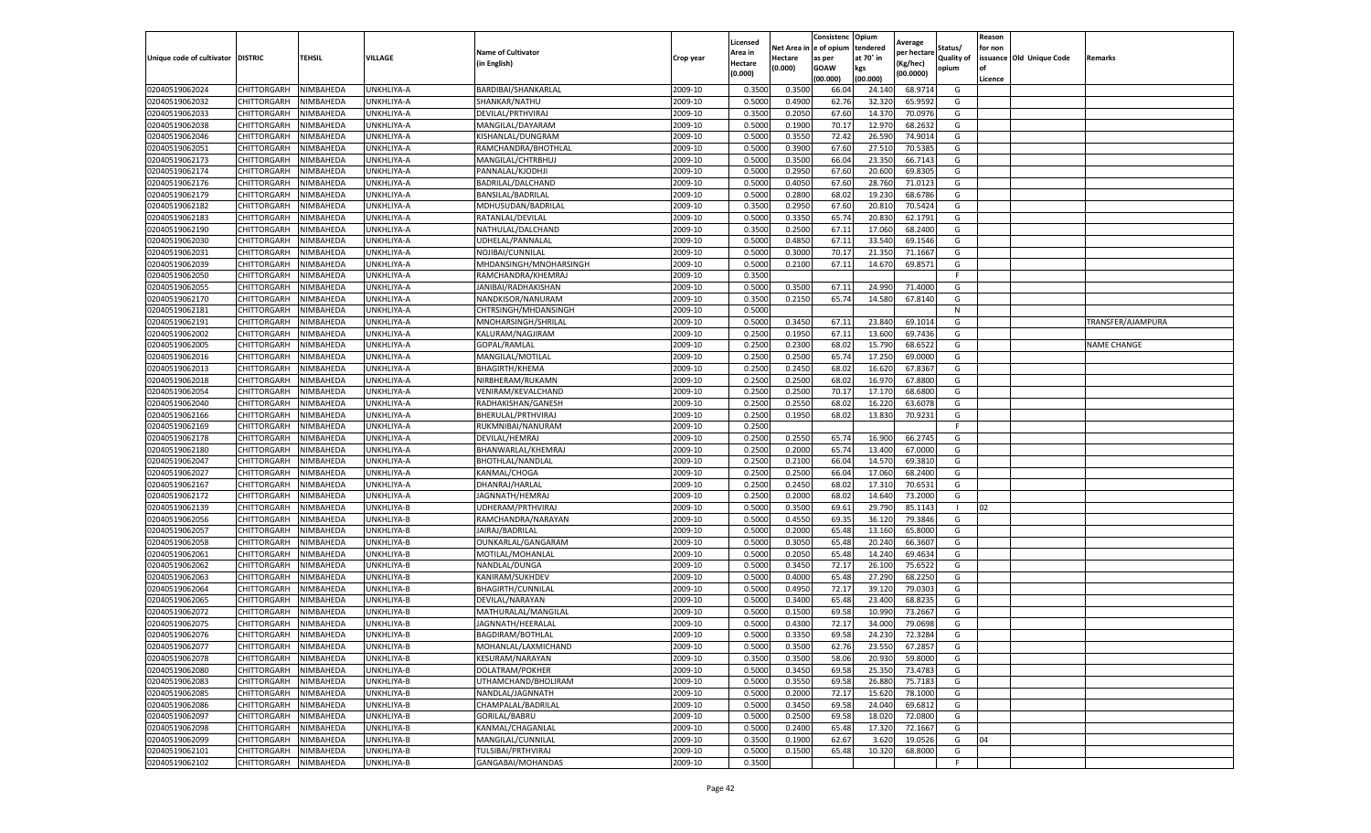|                                  |                            |                        |                          |                                        |                    | Licensed         |                  | Consistenc             | Opium            |                        |                   | Reason  |                          |                    |
|----------------------------------|----------------------------|------------------------|--------------------------|----------------------------------------|--------------------|------------------|------------------|------------------------|------------------|------------------------|-------------------|---------|--------------------------|--------------------|
|                                  |                            |                        |                          | <b>Name of Cultivator</b>              |                    | Area in          |                  | Net Area in e of opium | tendered         | Average<br>per hectare | Status/           | for non |                          |                    |
| Unique code of cultivator        | <b>DISTRIC</b>             | TEHSIL                 | VILLAGE                  | in English)                            | Crop year          | Hectare          | Hectare          | as per                 | at 70° in        | (Kg/hec                | <b>Quality of</b> |         | issuance Old Unique Code | <b>Remarks</b>     |
|                                  |                            |                        |                          |                                        |                    | (0.000)          | (0.000)          | <b>GOAW</b>            | kgs              | (00.0000)              | opium             |         |                          |                    |
|                                  |                            |                        |                          |                                        |                    |                  |                  | (00.000)               | (00.000)         |                        |                   | Licence |                          |                    |
| 02040519062024                   | CHITTORGARH                | NIMBAHEDA              | UNKHLIYA-A               | BARDIBAI/SHANKARLAL                    | 2009-10            | 0.3500           | 0.3500           | 66.04                  | 24.14            | 68.9714                | G                 |         |                          |                    |
| 02040519062032                   | CHITTORGARH                | NIMBAHEDA              | UNKHLIYA-A               | SHANKAR/NATHU                          | 2009-10            | 0.5000           | 0.4900           | 62.76                  | 32.32            | 65.9592                | G                 |         |                          |                    |
| 02040519062033                   | CHITTORGARH                | NIMBAHEDA              | UNKHLIYA-A               | DEVILAL/PRTHVIRAJ                      | 2009-10            | 0.3500           | 0.2050           | 67.60                  | 14.37            | 70.0976                | G                 |         |                          |                    |
| 02040519062038                   | CHITTORGARH                | NIMBAHEDA              | UNKHLIYA-A               | MANGILAL/DAYARAM                       | 2009-10            | 0.5000           | 0.1900           | 70.17                  | 12.970           | 68.2632                | G                 |         |                          |                    |
| 02040519062046                   | CHITTORGARH                | NIMBAHEDA              | UNKHLIYA-A               | KISHANLAL/DUNGRAM                      | 2009-10            | 0.5000           | 0.3550           | 72.42                  | 26.59            | 74.9014                | G                 |         |                          |                    |
| 02040519062051                   | CHITTORGARH                | NIMBAHEDA              | UNKHLIYA-A               | RAMCHANDRA/BHOTHLAL                    | 2009-10            | 0.5000           | 0.3900           | 67.60                  | 27.51            | 70.5385                | G                 |         |                          |                    |
| 02040519062173                   | CHITTORGARH                | NIMBAHEDA              | UNKHLIYA-A               | MANGILAL/CHTRBHUJ                      | 2009-10            | 0.5000           | 0.3500           | 66.04                  | 23.35            | 66.7143                | G                 |         |                          |                    |
| 02040519062174                   | CHITTORGARH                | NIMBAHEDA              | UNKHLIYA-A               | PANNALAL/KJODHJI                       | 2009-10            | 0.5000           | 0.2950           | 67.60                  | 20.600           | 69.8305                | G                 |         |                          |                    |
| 02040519062176                   | CHITTORGARH                | NIMBAHEDA              | UNKHLIYA-A               | BADRILAL/DALCHAND                      | 2009-10            | 0.5000           | 0.4050           | 67.60                  | 28.76            | 71.0123                | G                 |         |                          |                    |
| 02040519062179                   | CHITTORGARH                | NIMBAHEDA              | UNKHLIYA-A               | BANSILAL/BADRILAL                      | 2009-10            | 0.5000           | 0.2800           | 68.02                  | 19.230           | 68.6786                | G                 |         |                          |                    |
| 02040519062182                   | CHITTORGARH                | NIMBAHEDA              | UNKHLIYA-A               | MDHUSUDAN/BADRILAL                     | 2009-10            | 0.3500           | 0.2950           | 67.60                  | 20.81            | 70.5424                | G                 |         |                          |                    |
| 02040519062183                   | CHITTORGARH                | NIMBAHEDA              | UNKHLIYA-A               | RATANLAL/DEVILAL                       | 2009-10            | 0.5000           | 0.3350           | 65.74                  | 20.83            | 62.1791                | G                 |         |                          |                    |
| 02040519062190                   | CHITTORGARH                | NIMBAHEDA              | <b>JNKHLIYA-A</b>        | NATHULAL/DALCHAND                      | 2009-10            | 0.3500           | 0.2500           | 67.11                  | 17.06            | 68.2400                | G                 |         |                          |                    |
| 02040519062030                   | CHITTORGARH                | NIMBAHEDA              | UNKHLIYA-A               | UDHELAL/PANNALAL                       | 2009-10            | 0.5000           | 0.4850           | 67.1                   | 33.54            | 69.1546                | G                 |         |                          |                    |
| 02040519062031                   | CHITTORGARH                | NIMBAHEDA              | UNKHLIYA-A               | NOJIBAI/CUNNILAL                       | 2009-10            | 0.5000           | 0.3000           | 70.17                  | 21.35            | 71.1667                | G                 |         |                          |                    |
| 02040519062039                   | CHITTORGARH                | NIMBAHEDA              | UNKHLIYA-A               | MHDANSINGH/MNOHARSINGH                 | 2009-10            | 0.5000           | 0.2100           | 67.11                  | 14.67            | 69.8571                | G                 |         |                          |                    |
| 02040519062050                   | CHITTORGARH                | NIMBAHEDA              | UNKHLIYA-A               | RAMCHANDRA/KHEMRAJ                     | 2009-10            | 0.3500           |                  |                        |                  |                        | F                 |         |                          |                    |
| 02040519062055                   | CHITTORGARH                | NIMBAHEDA              | UNKHLIYA-A               | JANIBAI/RADHAKISHAN                    | 2009-10            | 0.5000           | 0.3500           | 67.11                  | 24.99            | 71.4000                | G                 |         |                          |                    |
| 02040519062170                   | CHITTORGARH                | NIMBAHEDA              | UNKHLIYA-A               | NANDKISOR/NANURAM                      | 2009-10            | 0.3500           | 0.2150           | 65.74                  | 14.58            | 67.8140                | G                 |         |                          |                    |
| 02040519062181                   | CHITTORGARH                | NIMBAHEDA              | UNKHLIYA-A               | CHTRSINGH/MHDANSINGH                   | 2009-10            | 0.5000           |                  |                        |                  |                        | N                 |         |                          |                    |
| 02040519062191                   | CHITTORGARH                | NIMBAHEDA              | UNKHLIYA-A               | MNOHARSINGH/SHRILAL                    | 2009-10            | 0.5000           | 0.3450           | 67.11                  | 23.84            | 69.1014                | G                 |         |                          | TRANSFER/AJAMPURA  |
| 02040519062002                   | CHITTORGARH                | NIMBAHEDA              | UNKHLIYA-A               | KALURAM/NAGJIRAM                       | 2009-10            | 0.2500           | 0.1950           | 67.11                  | 13.600           | 69.7436                | G                 |         |                          |                    |
| 02040519062005                   | CHITTORGARH                | NIMBAHEDA              | UNKHLIYA-A               | GOPAL/RAMLAL                           | 2009-10            | 0.2500           | 0.2300           | 68.02                  | 15.790           | 68.6522                | G                 |         |                          | <b>NAME CHANGE</b> |
| 02040519062016                   | CHITTORGARH                | NIMBAHEDA              | UNKHLIYA-A               | MANGILAL/MOTILAL                       | 2009-10            | 0.2500           | 0.2500           | 65.74                  | 17.25            | 69.0000                | G                 |         |                          |                    |
| 02040519062013                   | CHITTORGARH                | NIMBAHEDA              | UNKHLIYA-A               | <b>BHAGIRTH/KHEMA</b>                  | 2009-10            | 0.2500           | 0.2450           | 68.02                  | 16.62            | 67.8367                | G                 |         |                          |                    |
| 02040519062018                   | CHITTORGARH                | NIMBAHEDA              | UNKHLIYA-A               | NIRBHERAM/RUKAMN                       | 2009-10            | 0.2500           | 0.2500           | 68.02                  | 16.97            | 67.8800                | G                 |         |                          |                    |
| 02040519062054                   | CHITTORGARH                | NIMBAHEDA              | <b>JNKHLIYA-A</b>        | VENIRAM/KEVALCHAND                     | 2009-10            | 0.2500           | 0.2500           | 70.17                  | 17.17            | 68.6800                | G                 |         |                          |                    |
| 02040519062040                   | CHITTORGARH                | NIMBAHEDA              | UNKHLIYA-A               | RADHAKISHAN/GANESH                     | 2009-10            | 0.2500           | 0.2550           | 68.02                  | 16.22            | 63.6078                | G                 |         |                          |                    |
| 02040519062166                   | CHITTORGARH                | NIMBAHEDA              | UNKHLIYA-A               | BHERULAL/PRTHVIRAJ                     | 2009-10            | 0.2500           | 0.1950           | 68.02                  | 13.830           | 70.9231                | G                 |         |                          |                    |
| 02040519062169                   | CHITTORGARH                | NIMBAHEDA              | UNKHLIYA-A               | RUKMNIBAI/NANURAM                      | 2009-10            | 0.2500           |                  |                        |                  |                        | F.                |         |                          |                    |
| 02040519062178                   | CHITTORGARH                | NIMBAHEDA              | UNKHLIYA-A               | DEVILAL/HEMRAJ                         | 2009-10            | 0.2500           | 0.2550           | 65.74                  | 16.90            | 66.2745                | G                 |         |                          |                    |
| 02040519062180                   | CHITTORGARH                | NIMBAHEDA              | UNKHLIYA-A               | BHANWARLAL/KHEMRAJ                     | 2009-10            | 0.2500           | 0.2000           | 65.74                  | 13.400           | 67.0000                | G                 |         |                          |                    |
| 02040519062047                   | CHITTORGARH                | NIMBAHEDA              | UNKHLIYA-A               | <b>BHOTHLAL/NANDLAI</b>                | 2009-10            | 0.2500           | 0.2100           | 66.04                  | 14.57            | 69.3810                | G                 |         |                          |                    |
| 02040519062027                   | CHITTORGARH                | NIMBAHEDA              | UNKHLIYA-A               | KANMAL/CHOGA                           | 2009-10            | 0.2500           | 0.2500           | 66.04                  | 17.060           | 68.2400                | G                 |         |                          |                    |
| 02040519062167                   | CHITTORGARH                | NIMBAHEDA              | UNKHLIYA-A               | DHANRAJ/HARLAL                         | 2009-10            | 0.2500           | 0.2450           | 68.02                  | 17.31            | 70.6531                | G                 |         |                          |                    |
| 02040519062172                   | CHITTORGARH                | NIMBAHEDA              | UNKHLIYA-A               | JAGNNATH/HEMRAJ                        | 2009-10            | 0.2500           | 0.2000           | 68.02                  | 14.64            | 73.2000                | G                 |         |                          |                    |
| 02040519062139                   | CHITTORGARH                | NIMBAHEDA              | UNKHLIYA-B               | UDHERAM/PRTHVIRAJ                      | 2009-10            | 0.5000           | 0.3500           | 69.61                  | 29.79            | 85.1143                |                   | 02      |                          |                    |
| 02040519062056                   | CHITTORGARH                | NIMBAHEDA              | JNKHLIYA-B               | RAMCHANDRA/NARAYAN                     | 2009-10            | 0.5000           | 0.4550           | 69.35                  | 36.12            | 79.3846                | G                 |         |                          |                    |
| 02040519062057                   | CHITTORGARH                | NIMBAHEDA              | UNKHLIYA-B               | JAIRAJ/BADRILAL                        | 2009-10            | 0.5000           | 0.2000           | 65.48                  | 13.16            | 65.8000                | G                 |         |                          |                    |
| 02040519062058                   | CHITTORGARH                | NIMBAHEDA              | UNKHLIYA-B               | OUNKARLAL/GANGARAM                     | 2009-10            | 0.5000           | 0.3050           | 65.48                  | 20.24            | 66.3607                | G                 |         |                          |                    |
| 02040519062061                   | CHITTORGARH                | NIMBAHEDA              | UNKHLIYA-B               | MOTILAL/MOHANLAL                       | 2009-10            | 0.5000           | 0.2050           | 65.48                  | 14.24            | 69.4634                | G                 |         |                          |                    |
| 02040519062062                   | CHITTORGARH                | NIMBAHEDA              | UNKHLIYA-B               | NANDLAL/DUNGA                          | 2009-10            | 0.5000           | 0.3450           | 72.17                  | 26.10            | 75.6522                | G                 |         |                          |                    |
| 02040519062063                   | CHITTORGARH                | NIMBAHEDA              | UNKHLIYA-B               | KANIRAM/SUKHDEV                        | 2009-10            | 0.5000           | 0.4000           | 65.48                  | 27.29            | 68.2250                | G                 |         |                          |                    |
| 02040519062064                   | CHITTORGARH                | NIMBAHEDA              | UNKHLIYA-B               | <b>BHAGIRTH/CUNNILAL</b>               | 2009-10            | 0.5000           | 0.4950           | 72.17                  | 39.12            | 79.0303                | G                 |         |                          |                    |
| 02040519062065                   | CHITTORGARH                | NIMBAHEDA              | UNKHLIYA-B               | DEVILAL/NARAYAN                        | 2009-10            | 0.5000           | 0.3400           | 65.48                  | 23.400           | 68.8235                | G                 |         |                          |                    |
| 02040519062072                   | CHITTORGARH                | NIMBAHEDA              | UNKHLIYA-B               | MATHURALAL/MANGILAL                    | 2009-10            | 0.5000           | 0.1500           | 69.58                  | 10.99            | 73.2667                | G                 |         |                          |                    |
| 02040519062075                   | CHITTORGARH                | NIMBAHEDA              | UNKHLIYA-B               | JAGNNATH/HEERALAL                      | 2009-10            | 0.5000           | 0.4300           | 72.17                  | 34.00            | 79.0698                | G                 |         |                          |                    |
| 02040519062076                   | CHITTORGARH                | NIMBAHEDA              | UNKHLIYA-B               | BAGDIRAM/BOTHLAL                       | 2009-10            | 0.5000           | 0.3350           | 69.58                  | 24.230           | 72.3284                | G                 |         |                          |                    |
|                                  |                            |                        |                          |                                        |                    |                  |                  |                        |                  |                        |                   |         |                          |                    |
| 02040519062077<br>02040519062078 | CHITTORGARH<br>CHITTORGARH | NIMBAHEDA<br>NIMBAHEDA | UNKHLIYA-B<br>UNKHLIYA-B | MOHANLAL/LAXMICHAND<br>KESURAM/NARAYAN | 2009-10<br>2009-10 | 0.5000<br>0.3500 | 0.3500<br>0.3500 | 62.76<br>58.06         | 23.550<br>20.930 | 67.2857<br>59.8000     | G<br>G            |         |                          |                    |
| 02040519062080                   |                            |                        |                          |                                        | 2009-10            |                  | 0.3450           | 69.58                  | 25.350           |                        | G                 |         |                          |                    |
|                                  | CHITTORGARH                | NIMBAHEDA              | UNKHLIYA-B               | DOLATRAM/POKHER                        |                    | 0.5000           |                  |                        |                  | 73.4783                |                   |         |                          |                    |
| 02040519062083                   | <b>CHITTORGARH</b>         | NIMBAHEDA              | UNKHLIYA-B               | UTHAMCHAND/BHOLIRAM                    | 2009-10            | 0.5000           | 0.3550           | 69.58                  | 26.880           | 75.7183                | G                 |         |                          |                    |
| 02040519062085                   | CHITTORGARH                | NIMBAHEDA              | UNKHLIYA-B               | NANDLAL/JAGNNATH                       | 2009-10            | 0.5000           | 0.2000           | 72.17                  | 15.62            | 78.1000                | G                 |         |                          |                    |
| 02040519062086                   | <b>CHITTORGARH</b>         | NIMBAHEDA              | UNKHLIYA-B               | CHAMPALAL/BADRILAL                     | 2009-10            | 0.5000           | 0.3450           | 69.58                  | 24.040           | 69.6812                | G                 |         |                          |                    |
| 02040519062097                   | CHITTORGARH                | NIMBAHEDA              | UNKHLIYA-B               | GORILAL/BABRU                          | 2009-10            | 0.5000           | 0.2500           | 69.58                  | 18.02            | 72.0800                | G                 |         |                          |                    |
| 02040519062098                   | CHITTORGARH                | NIMBAHEDA              | UNKHLIYA-B               | KANMAL/CHAGANLAL                       | 2009-10            | 0.5000           | 0.2400           | 65.48                  | 17.320           | 72.1667                | G                 |         |                          |                    |
| 02040519062099                   | CHITTORGARH                | NIMBAHEDA              | UNKHLIYA-B               | MANGILAL/CUNNILAL                      | 2009-10            | 0.3500           | 0.1900           | 62.67                  | 3.620            | 19.0526                | G                 | 04      |                          |                    |
| 02040519062101                   | CHITTORGARH                | NIMBAHEDA              | UNKHLIYA-B               | TULSIBAI/PRTHVIRAJ                     | 2009-10            | 0.5000           | 0.1500           | 65.48                  | 10.320           | 68.8000                | G                 |         |                          |                    |
| 02040519062102                   | <b>CHITTORGARH</b>         | NIMBAHEDA              | UNKHLIYA-B               | GANGABAI/MOHANDAS                      | 2009-10            | 0.3500           |                  |                        |                  |                        | F.                |         |                          |                    |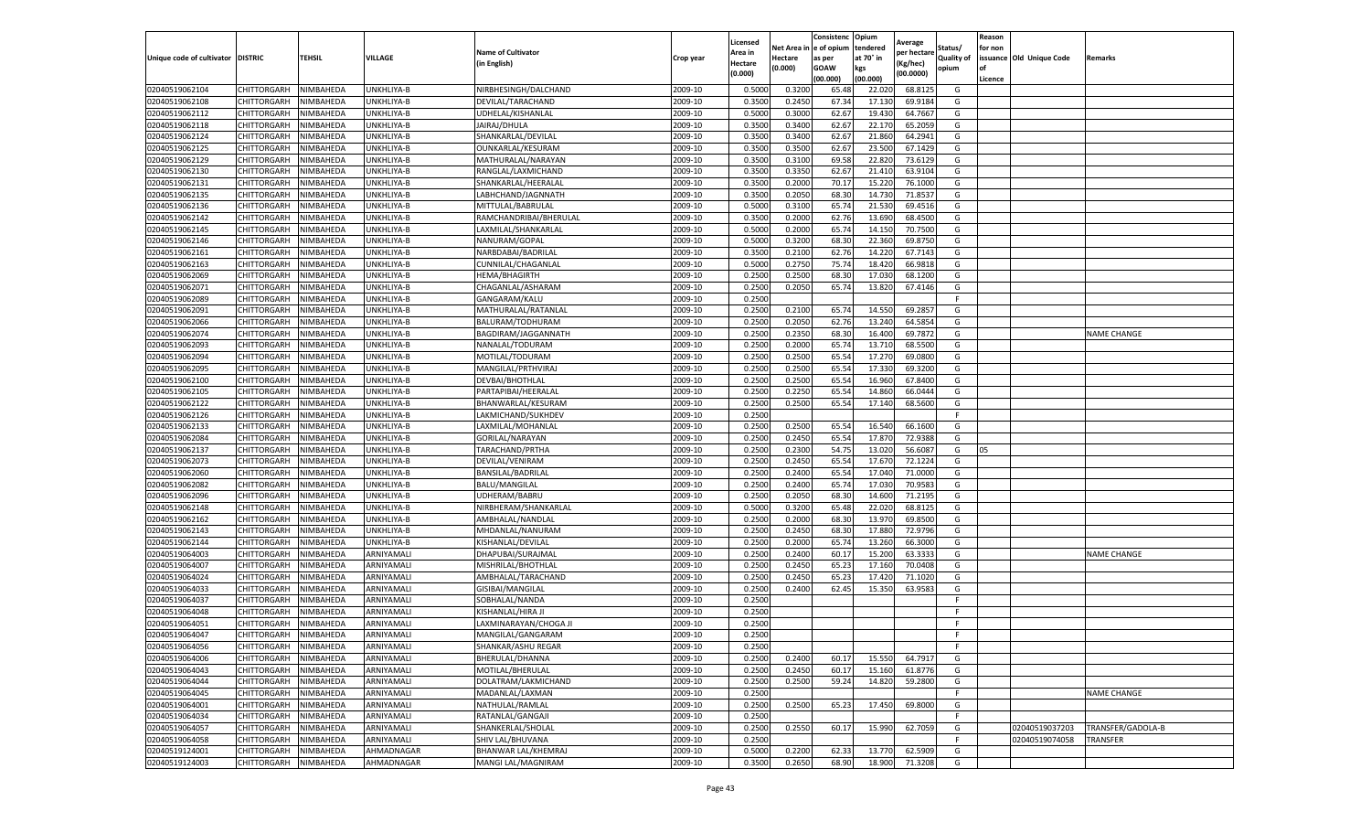|                                   |                    |           |            |                            |           | Licensed |         | Consistenc             | Opium     | Average     |                   | Reason  |                          |                    |
|-----------------------------------|--------------------|-----------|------------|----------------------------|-----------|----------|---------|------------------------|-----------|-------------|-------------------|---------|--------------------------|--------------------|
|                                   |                    |           |            | <b>Name of Cultivator</b>  |           | Area in  |         | Net Area in e of opium | tendered  | per hectare | Status/           | for non |                          |                    |
| Unique code of cultivator DISTRIC |                    | TEHSIL    | VILLAGE    | in English)                | Crop year | Hectare  | Hectare | as per                 | at 70° in | (Kg/hec     | <b>Quality of</b> |         | issuance Old Unique Code | <b>Remarks</b>     |
|                                   |                    |           |            |                            |           | (0.000)  | (0.000) | <b>GOAW</b>            | kgs       | (00.0000)   | opium             |         |                          |                    |
|                                   |                    |           |            |                            |           |          |         | (00.000)               | (00.000)  |             |                   | Licence |                          |                    |
| 02040519062104                    | CHITTORGARH        | NIMBAHEDA | UNKHLIYA-B | NIRBHESINGH/DALCHAND       | 2009-10   | 0.5000   | 0.3200  | 65.48                  | 22.02     | 68.8125     | G                 |         |                          |                    |
| 02040519062108                    | CHITTORGARH        | NIMBAHEDA | UNKHLIYA-B | DEVILAL/TARACHAND          | 2009-10   | 0.3500   | 0.2450  | 67.34                  | 17.13     | 69.9184     | G                 |         |                          |                    |
| 02040519062112                    | CHITTORGARH        | NIMBAHEDA | UNKHLIYA-B | UDHELAL/KISHANLAL          | 2009-10   | 0.5000   | 0.3000  | 62.67                  | 19.43     | 64.7667     | G                 |         |                          |                    |
| 02040519062118                    | CHITTORGARH        | NIMBAHEDA | UNKHLIYA-B | JAIRAJ/DHULA               | 2009-10   | 0.3500   | 0.3400  | 62.67                  | 22.170    | 65.2059     | G                 |         |                          |                    |
| 02040519062124                    | CHITTORGARH        | NIMBAHEDA | UNKHLIYA-B | SHANKARLAL/DEVILAL         | 2009-10   | 0.3500   | 0.3400  | 62.67                  | 21.860    | 64.2941     | G                 |         |                          |                    |
| 02040519062125                    | CHITTORGARH        | NIMBAHEDA | UNKHLIYA-B | OUNKARLAL/KESURAM          | 2009-10   | 0.3500   | 0.3500  | 62.67                  | 23.50     | 67.1429     | G                 |         |                          |                    |
| 02040519062129                    | CHITTORGARH        | NIMBAHEDA | UNKHLIYA-B | MATHURALAL/NARAYAN         | 2009-10   | 0.3500   | 0.3100  | 69.58                  | 22.82     | 73.6129     | G                 |         |                          |                    |
| 02040519062130                    | CHITTORGARH        | NIMBAHEDA | UNKHLIYA-B | RANGLAL/LAXMICHAND         | 2009-10   | 0.3500   | 0.3350  | 62.67                  | 21.41     | 63.9104     | G                 |         |                          |                    |
| 02040519062131                    | CHITTORGARH        | NIMBAHEDA | UNKHLIYA-B | SHANKARLAL/HEERALAL        | 2009-10   | 0.3500   | 0.2000  | 70.17                  | 15.22     | 76.1000     | G                 |         |                          |                    |
| 02040519062135                    | CHITTORGARH        | NIMBAHEDA | UNKHLIYA-B | LABHCHAND/JAGNNATH         | 2009-10   | 0.3500   | 0.2050  | 68.30                  | 14.730    | 71.8537     | G                 |         |                          |                    |
| 02040519062136                    | CHITTORGARH        | NIMBAHEDA | UNKHLIYA-B | MITTULAL/BABRULAL          | 2009-10   | 0.5000   | 0.3100  | 65.74                  | 21.530    | 69.4516     | G                 |         |                          |                    |
| 02040519062142                    | CHITTORGARH        | NIMBAHEDA | UNKHLIYA-B | RAMCHANDRIBAI/BHERULAL     | 2009-10   | 0.3500   | 0.2000  | 62.76                  | 13.69     | 68.4500     | G                 |         |                          |                    |
| 02040519062145                    | CHITTORGARH        | NIMBAHEDA | UNKHLIYA-B | LAXMILAL/SHANKARLAL        | 2009-10   | 0.5000   | 0.2000  | 65.74                  | 14.15     | 70.7500     | G                 |         |                          |                    |
| 02040519062146                    | CHITTORGARH        | NIMBAHEDA | UNKHLIYA-B | NANURAM/GOPAL              | 2009-10   | 0.5000   | 0.3200  | 68.30                  | 22.360    | 69.8750     | G                 |         |                          |                    |
| 02040519062161                    | CHITTORGARH        | NIMBAHEDA | UNKHLIYA-B | NARBDABAI/BADRILAL         | 2009-10   | 0.3500   | 0.2100  | 62.76                  | 14.22     | 67.7143     | G                 |         |                          |                    |
| 02040519062163                    | CHITTORGARH        | NIMBAHEDA | UNKHLIYA-B | CUNNILAL/CHAGANLAL         | 2009-10   | 0.5000   | 0.2750  | 75.74                  | 18.42     | 66.9818     | G                 |         |                          |                    |
| 02040519062069                    | CHITTORGARH        | NIMBAHEDA | UNKHLIYA-B | <b>HEMA/BHAGIRTH</b>       | 2009-10   | 0.2500   | 0.2500  | 68.30                  | 17.030    | 68.1200     | G                 |         |                          |                    |
| 02040519062071                    | CHITTORGARH        | NIMBAHEDA | UNKHLIYA-B | CHAGANLAL/ASHARAM          | 2009-10   | 0.2500   | 0.2050  | 65.74                  | 13.820    | 67.4146     | G                 |         |                          |                    |
| 02040519062089                    | CHITTORGARH        | NIMBAHEDA | UNKHLIYA-B | GANGARAM/KALU              | 2009-10   | 0.2500   |         |                        |           |             | F                 |         |                          |                    |
| 02040519062091                    | CHITTORGARH        | NIMBAHEDA | UNKHLIYA-B | MATHURALAL/RATANLAL        | 2009-10   | 0.2500   | 0.2100  | 65.74                  | 14.550    | 69.2857     | G                 |         |                          |                    |
| 02040519062066                    | CHITTORGARH        | NIMBAHEDA | UNKHLIYA-B | BALURAM/TODHURAM           | 2009-10   | 0.2500   | 0.2050  | 62.76                  | 13.240    | 64.5854     | G                 |         |                          |                    |
| 02040519062074                    | CHITTORGARH        | NIMBAHEDA | UNKHLIYA-B | BAGDIRAM/JAGGANNATH        | 2009-10   | 0.2500   | 0.2350  | 68.30                  | 16.400    | 69.7872     | G                 |         |                          | <b>NAME CHANGE</b> |
| 02040519062093                    | CHITTORGARH        | NIMBAHEDA | UNKHLIYA-B | NANALAL/TODURAM            | 2009-10   | 0.2500   | 0.2000  | 65.74                  | 13.710    | 68.5500     | G                 |         |                          |                    |
| 02040519062094                    | CHITTORGARH        | NIMBAHEDA | UNKHLIYA-B | MOTILAL/TODURAM            | 2009-10   | 0.2500   | 0.2500  | 65.54                  | 17.27     | 69.0800     | G                 |         |                          |                    |
| 02040519062095                    | CHITTORGARH        | NIMBAHEDA | UNKHLIYA-B | MANGILAL/PRTHVIRAJ         | 2009-10   | 0.2500   | 0.2500  | 65.54                  | 17.33     | 69.3200     | G                 |         |                          |                    |
| 02040519062100                    | CHITTORGARH        | NIMBAHEDA | UNKHLIYA-B | DEVBAI/BHOTHLAL            | 2009-10   | 0.2500   | 0.2500  | 65.54                  | 16.960    | 67.8400     | G                 |         |                          |                    |
| 02040519062105                    | CHITTORGARH        | NIMBAHEDA | UNKHLIYA-B | PARTAPIBAI/HEERALAI        | 2009-10   | 0.2500   | 0.2250  | 65.54                  | 14.86     | 66.0444     | G                 |         |                          |                    |
| 02040519062122                    | CHITTORGARH        | NIMBAHEDA | UNKHLIYA-B | BHANWARLAL/KESURAM         | 2009-10   | 0.2500   | 0.2500  | 65.54                  | 17.140    | 68.5600     | G                 |         |                          |                    |
| 02040519062126                    | CHITTORGARH        | NIMBAHEDA | UNKHLIYA-B | LAKMICHAND/SUKHDEV         | 2009-10   | 0.2500   |         |                        |           |             | F.                |         |                          |                    |
| 02040519062133                    | CHITTORGARH        | NIMBAHEDA | UNKHLIYA-B | LAXMILAL/MOHANLAL          | 2009-10   | 0.2500   | 0.2500  | 65.54                  | 16.54     | 66.1600     | G                 |         |                          |                    |
| 02040519062084                    | CHITTORGARH        | NIMBAHEDA | UNKHLIYA-B | GORILAL/NARAYAN            | 2009-10   | 0.2500   | 0.2450  | 65.54                  | 17.87     | 72.9388     | G                 |         |                          |                    |
| 02040519062137                    | CHITTORGARH        | NIMBAHEDA | UNKHLIYA-B | TARACHAND/PRTHA            | 2009-10   | 0.2500   | 0.2300  | 54.75                  | 13.02     | 56.6087     | G                 | 05      |                          |                    |
| 02040519062073                    | CHITTORGARH        | NIMBAHEDA | UNKHLIYA-B | DEVILAL/VENIRAM            | 2009-10   | 0.2500   | 0.2450  | 65.54                  | 17.67     | 72.1224     | G                 |         |                          |                    |
| 02040519062060                    | CHITTORGARH        | NIMBAHEDA | UNKHLIYA-B | BANSILAL/BADRILAL          | 2009-10   | 0.2500   | 0.2400  | 65.54                  | 17.04     | 71.0000     | G                 |         |                          |                    |
| 02040519062082                    | CHITTORGARH        | NIMBAHEDA | UNKHLIYA-B | BALU/MANGILAL              | 2009-10   | 0.2500   | 0.2400  | 65.74                  | 17.03     | 70.9583     | G                 |         |                          |                    |
| 02040519062096                    | CHITTORGARH        | NIMBAHEDA | UNKHLIYA-B | UDHERAM/BABRU              | 2009-10   | 0.2500   | 0.2050  | 68.30                  | 14.600    | 71.2195     | G                 |         |                          |                    |
| 02040519062148                    | CHITTORGARH        | NIMBAHEDA | UNKHLIYA-B | NIRBHERAM/SHANKARLAL       | 2009-10   | 0.5000   | 0.3200  | 65.48                  | 22.02     | 68.8125     | G                 |         |                          |                    |
| 02040519062162                    | CHITTORGARH        | NIMBAHEDA | JNKHLIYA-B | AMBHALAL/NANDLAI           | 2009-10   | 0.2500   | 0.2000  | 68.30                  | 13.97     | 69.8500     | G                 |         |                          |                    |
| 02040519062143                    | CHITTORGARH        | NIMBAHEDA | UNKHLIYA-B | MHDANLAL/NANURAM           | 2009-10   | 0.2500   | 0.2450  | 68.30                  | 17.88     | 72.9796     | G                 |         |                          |                    |
| 02040519062144                    | CHITTORGARH        | NIMBAHEDA | UNKHLIYA-B | KISHANLAL/DEVILAL          | 2009-10   | 0.2500   | 0.2000  | 65.74                  | 13.260    | 66.3000     | G                 |         |                          |                    |
| 02040519064003                    | CHITTORGARH        | NIMBAHEDA | ARNIYAMALI | DHAPUBAI/SURAJMAL          | 2009-10   | 0.2500   | 0.2400  | 60.1                   | 15.200    | 63.3333     | G                 |         |                          | <b>NAME CHANGE</b> |
| 02040519064007                    | CHITTORGARH        | NIMBAHEDA | ARNIYAMALI | MISHRILAL/BHOTHLAL         | 2009-10   | 0.2500   | 0.2450  | 65.23                  | 17.16     | 70.0408     | G                 |         |                          |                    |
| 02040519064024                    | CHITTORGARH        | NIMBAHEDA | ARNIYAMALI | AMBHALAL/TARACHAND         | 2009-10   | 0.2500   | 0.2450  | 65.23                  | 17.42     | 71.1020     | G                 |         |                          |                    |
| 02040519064033                    | CHITTORGARH        | NIMBAHEDA | ARNIYAMALI | GISIBAI/MANGILAL           | 2009-10   | 0.2500   | 0.2400  | 62.45                  | 15.35     | 63.9583     | G                 |         |                          |                    |
| 02040519064037                    | CHITTORGARH        | NIMBAHEDA | ARNIYAMALI | SOBHALAL/NANDA             | 2009-10   | 0.2500   |         |                        |           |             | F.                |         |                          |                    |
| 02040519064048                    | CHITTORGARH        | NIMBAHEDA | ARNIYAMALI | KISHANLAL/HIRA JI          | 2009-10   | 0.2500   |         |                        |           |             | F.                |         |                          |                    |
| 02040519064051                    | CHITTORGARH        | NIMBAHEDA | ARNIYAMALI | LAXMINARAYAN/CHOGA JI      | 2009-10   | 0.2500   |         |                        |           |             | F                 |         |                          |                    |
| 02040519064047                    | CHITTORGARH        | NIMBAHEDA | ARNIYAMALI | MANGILAL/GANGARAM          | 2009-10   | 0.2500   |         |                        |           |             | F                 |         |                          |                    |
| 02040519064056                    | CHITTORGARH        | NIMBAHEDA | ARNIYAMALI | SHANKAR/ASHU REGAR         | 2009-10   | 0.2500   |         |                        |           |             | F.                |         |                          |                    |
| 02040519064006                    | CHITTORGARH        | NIMBAHEDA | ARNIYAMALI | BHERULAL/DHANNA            | 2009-10   | 0.2500   | 0.2400  | 60.17                  | 15.55     | 64.7917     | G                 |         |                          |                    |
| 02040519064043                    | <b>CHITTORGARH</b> | NIMBAHEDA | ARNIYAMALI | MOTILAL/BHERULAL           | 2009-10   | 0.2500   | 0.2450  | 60.17                  | 15.160    | 61.8776     | G                 |         |                          |                    |
| 02040519064044                    | CHITTORGARH        | NIMBAHEDA | ARNIYAMALI | DOLATRAM/LAKMICHAND        | 2009-10   | 0.2500   | 0.2500  | 59.24                  | 14.820    | 59.2800     | G                 |         |                          |                    |
| 02040519064045                    | CHITTORGARH        | NIMBAHEDA | ARNIYAMALI | MADANLAL/LAXMAN            | 2009-10   | 0.2500   |         |                        |           |             | F.                |         |                          | NAME CHANGE        |
| 02040519064001                    | <b>CHITTORGARH</b> | NIMBAHEDA | ARNIYAMALI | NATHULAL/RAMLAL            | 2009-10   | 0.2500   | 0.2500  | 65.23                  | 17.450    | 69.8000     | G                 |         |                          |                    |
| 02040519064034                    | CHITTORGARH        | NIMBAHEDA | ARNIYAMALI | RATANLAL/GANGAJI           | 2009-10   | 0.2500   |         |                        |           |             | F.                |         |                          |                    |
| 02040519064057                    | CHITTORGARH        | NIMBAHEDA | ARNIYAMALI | SHANKERLAL/SHOLAL          | 2009-10   | 0.2500   | 0.2550  | 60.17                  | 15.990    | 62.7059     | G                 |         | 02040519037203           | TRANSFER/GADOLA-B  |
| 02040519064058                    | CHITTORGARH        | NIMBAHEDA | ARNIYAMALI | SHIV LAL/BHUVANA           | 2009-10   | 0.2500   |         |                        |           |             | F.                |         | 02040519074058           | TRANSFER           |
| 02040519124001                    | CHITTORGARH        | NIMBAHEDA | AHMADNAGAR | <b>BHANWAR LAL/KHEMRAJ</b> | 2009-10   | 0.5000   | 0.2200  | 62.33                  | 13.770    | 62.5909     | G                 |         |                          |                    |
| 02040519124003                    | <b>CHITTORGARH</b> | NIMBAHEDA | AHMADNAGAR | <b>MANGI LAL/MAGNIRAM</b>  | 2009-10   | 0.3500   | 0.2650  | 68.90                  | 18.900    | 71.3208     | G                 |         |                          |                    |
|                                   |                    |           |            |                            |           |          |         |                        |           |             |                   |         |                          |                    |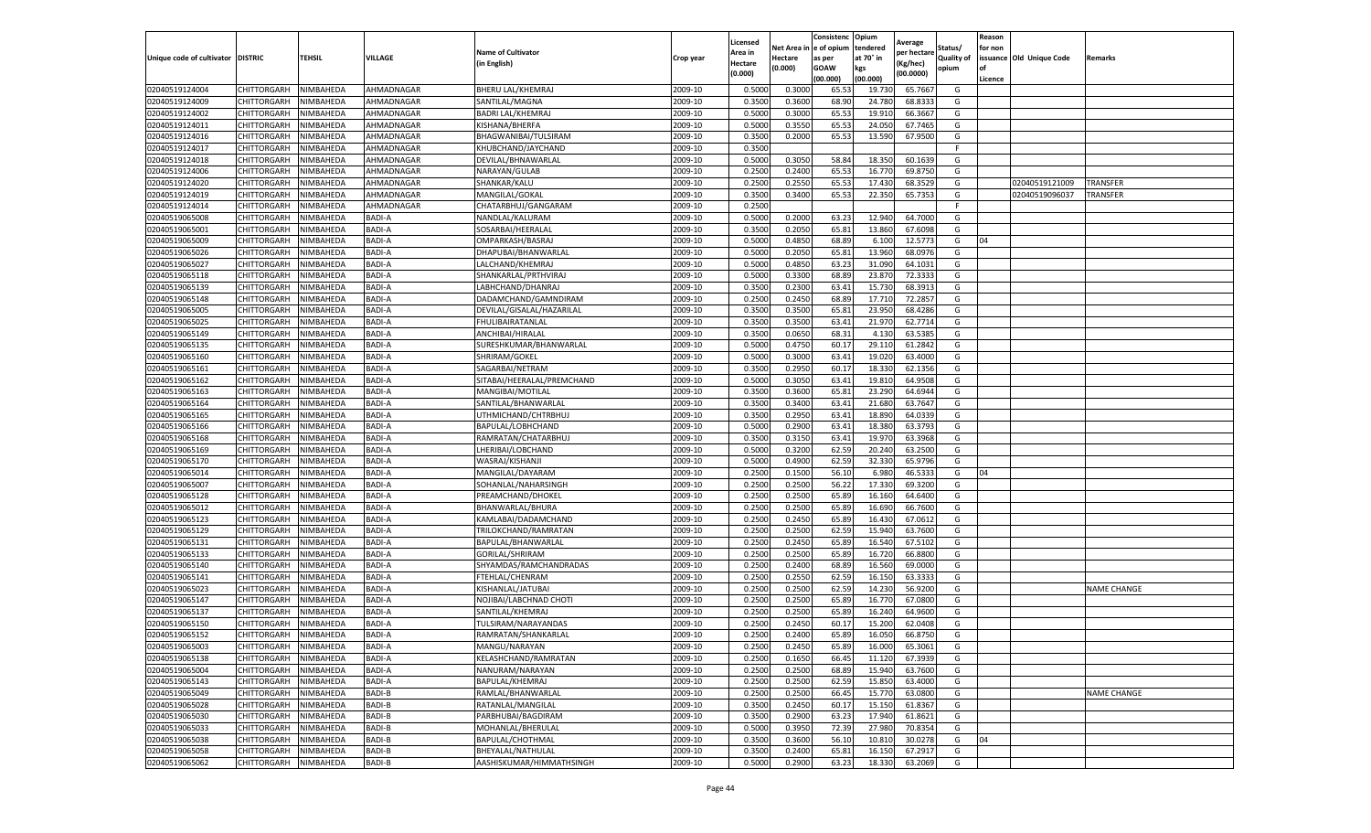|                                   |                            |                        |                  |                                         |                    | Licensed         |                  | Consistenc              | Opium            | Average            |            | Reason  |                          |                    |
|-----------------------------------|----------------------------|------------------------|------------------|-----------------------------------------|--------------------|------------------|------------------|-------------------------|------------------|--------------------|------------|---------|--------------------------|--------------------|
|                                   |                            |                        |                  | <b>Name of Cultivator</b>               |                    | Area in          |                  | Net Area in le of opium | tendered         | per hectare        | Status/    | for non |                          |                    |
| Unique code of cultivator DISTRIC |                            | TEHSIL                 | VILLAGE          | (in English)                            | Crop year          | Hectare          | Hectare          | as per                  | at 70° in        | Kg/hec)            | Quality of |         | issuance Old Unique Code | Remarks            |
|                                   |                            |                        |                  |                                         |                    | (0.000)          | (0.000)          | GOAW                    | kgs              | (00.0000)          | opium      | l of    |                          |                    |
|                                   |                            |                        |                  |                                         |                    |                  |                  | (00.000)                | (00.000)         |                    |            | Licence |                          |                    |
| 02040519124004                    | CHITTORGARH                | NIMBAHEDA              | AHMADNAGAR       | <b>BHERU LAL/KHEMRAJ</b>                | 2009-10            | 0.500            | 0.300            | 65.5                    | 19.73            | 65.766             | G          |         |                          |                    |
| 02040519124009                    | CHITTORGARH                | NIMBAHEDA              | AHMADNAGAR       | SANTILAL/MAGNA                          | 2009-10            | 0.350            | 0.3600           | 68.90                   | 24.780           | 68.833             | G          |         |                          |                    |
| 02040519124002                    | CHITTORGARH                | NIMBAHEDA              | AHMADNAGAR       | <b>BADRI LAL/KHEMRAJ</b>                | 2009-10            | 0.5000           | 0.3000           | 65.5                    | 19.910           | 66.366             | G          |         |                          |                    |
| 02040519124011                    | CHITTORGARH                | NIMBAHEDA              | AHMADNAGAR       | KISHANA/BHERFA                          | 2009-10            | 0.5000           | 0.3550           | 65.53                   | 24.050           | 67.7465            | G          |         |                          |                    |
| 02040519124016                    | CHITTORGARH                | NIMBAHEDA              | AHMADNAGAR       | BHAGWANIBAI/TULSIRAM                    | 2009-10            | 0.3500           | 0.2000           | 65.5                    | 13.590           | 67.9500            | G          |         |                          |                    |
| 02040519124017                    | CHITTORGARH                | NIMBAHEDA              | AHMADNAGAR       | KHUBCHAND/JAYCHAND                      | 2009-10            | 0.3500           |                  |                         |                  |                    |            |         |                          |                    |
| 02040519124018                    | CHITTORGARH                | NIMBAHEDA              | AHMADNAGAR       | DEVILAL/BHNAWARLAI                      | 2009-10            | 0.5000           | 0.3050           | 58.84                   | 18.350           | 60.163             | G          |         |                          |                    |
| 02040519124006                    | CHITTORGARH                | NIMBAHEDA              | AHMADNAGAR       | NARAYAN/GULAB                           | 2009-10            | 0.2500           | 0.2400           | 65.5                    | 16.770           | 69.875             | G          |         |                          |                    |
| 02040519124020                    | CHITTORGARH                | NIMBAHEDA              | AHMADNAGAR       | SHANKAR/KALU                            | 2009-10            | 0.2500           | 0.2550           | 65.53                   | 17.43            | 68.352             | G          |         | 02040519121009           | TRANSFER           |
| 02040519124019                    | CHITTORGARH                | NIMBAHEDA              | AHMADNAGAR       | MANGILAL/GOKAL                          | 2009-10            | 0.3500           | 0.3400           | 65.53                   | 22.350           | 65.7353            | G          |         | 02040519096037           | <b>TRANSFER</b>    |
| 02040519124014                    | CHITTORGARH                | NIMBAHEDA              | AHMADNAGAR       | CHATARBHUJ/GANGARAM                     | 2009-10            | 0.2500           |                  |                         |                  |                    | E          |         |                          |                    |
| 02040519065008                    | CHITTORGARH                | NIMBAHEDA              | <b>BADI-A</b>    | NANDLAL/KALURAM                         | 2009-10            | 0.5000           | 0.2000           | 63.2                    | 12.940           | 64.700             | G          |         |                          |                    |
| 02040519065001                    | CHITTORGARH                | <b>NIMBAHEDA</b>       | <b>BADI-A</b>    | SOSARBAI/HEERALAL                       | 2009-10            | 0.3500           | 0.2050           | 65.81                   | 13.860           | 67.609             | G          |         |                          |                    |
| 02040519065009                    | CHITTORGARH                | NIMBAHEDA              | BADI-A           | OMPARKASH/BASRAJ                        | 2009-10            | 0.5000           | 0.4850           | 68.89                   | 6.100            | 12.577             | G          | 04      |                          |                    |
| 02040519065026                    | CHITTORGARH                | NIMBAHEDA              | BADI-A           | DHAPUBAI/BHANWARLAL                     | 2009-10            | 0.5000           | 0.2050           | 65.8                    | 13.960           | 68.097             | G          |         |                          |                    |
| 02040519065027                    | CHITTORGARH                | NIMBAHEDA              | <b>BADI-A</b>    | LALCHAND/KHEMRAJ                        | 2009-10            | 0.5000           | 0.4850           | 63.23                   | 31.090           | 64.103             | G          |         |                          |                    |
| 02040519065118                    | CHITTORGARH                | NIMBAHEDA              | BADI-A           | SHANKARLAL/PRTHVIRAJ                    | 2009-10            | 0.5000           | 0.3300           | 68.8                    | 23.870           | 72.333             | G          |         |                          |                    |
| 02040519065139                    | CHITTORGARH                | NIMBAHEDA              | <b>BADI-A</b>    | LABHCHAND/DHANRAJ                       | 2009-10            | 0.3500           | 0.2300           | 63.4                    | 15.730           | 68.391             | G          |         |                          |                    |
| 02040519065148                    | CHITTORGARH                | NIMBAHEDA              | <b>BADI-A</b>    | DADAMCHAND/GAMNDIRAM                    | 2009-10            | 0.2500           | 0.2450           | 68.8                    | 17.710           | 72.285             | G          |         |                          |                    |
| 02040519065005                    | CHITTORGARH                | <b>NIMBAHEDA</b>       | BADI-A           | DEVILAL/GISALAL/HAZARILAI               | 2009-10            | 0.3500           | 0.350            | 65.8                    | 23.950           | 68.428             | G          |         |                          |                    |
| 02040519065025                    | CHITTORGARH                | NIMBAHEDA              | BADI-A           | <b>FHULIBAIRATANLAL</b>                 | 2009-10            | 0.3500           | 0.3500           | 63.41                   | 21.970           | 62.771             | G          |         |                          |                    |
| 02040519065149                    | CHITTORGARH                | NIMBAHEDA              | BADI-A           | ANCHIBAI/HIRALAL                        | 2009-10            | 0.3500           | 0.0650           | 68.31                   | 4.130            | 63.538             | G          |         |                          |                    |
| 02040519065135                    | CHITTORGARH                | NIMBAHEDA              | <b>BADI-A</b>    | SURESHKUMAR/BHANWARLAL                  | 2009-10            | 0.5000           | 0.4750           | 60.17                   | 29.110           | 61.2842            | G          |         |                          |                    |
| 02040519065160                    | CHITTORGARH                | NIMBAHEDA              | <b>BADI-A</b>    | SHRIRAM/GOKEL                           | 2009-10            | 0.5000           | 0.3000           | 63.4                    | 19.020           | 63.400             | G          |         |                          |                    |
| 02040519065161                    | CHITTORGARH                | NIMBAHEDA              | <b>BADI-A</b>    | SAGARBAI/NETRAM                         | 2009-10            | 0.3500           | 0.2950           | 60.1                    | 18.330           | 62.135             | G          |         |                          |                    |
| 02040519065162                    | CHITTORGARH                | NIMBAHEDA              | BADI-A           | SITABAI/HEERALAL/PREMCHAND              | 2009-10            | 0.5000           | 0.3050           | 63.41                   | 19.810           | 64.950             | G          |         |                          |                    |
| 02040519065163                    | CHITTORGARH                | NIMBAHEDA              | BADI-A           | MANGIBAI/MOTILAL                        | 2009-10            | 0.350            | 0.3600           | 65.8                    | 23.290           | 64.694             | G          |         |                          |                    |
| 02040519065164                    | CHITTORGARH                | NIMBAHEDA              | BADI-A           | SANTILAL/BHANWARLAL                     | 2009-10            | 0.3500           | 0.3400           | 63.41                   | 21.680           | 63.7647            | G          |         |                          |                    |
| 02040519065165                    | CHITTORGARH                | NIMBAHEDA              | <b>BADI-A</b>    | UTHMICHAND/CHTRBHUJ                     | 2009-10            | 0.3500           | 0.2950           | 63.41                   | 18.890           | 64.033             | G          |         |                          |                    |
| 02040519065166                    | CHITTORGARH                | NIMBAHEDA              | BADI-A           | BAPULAL/LOBHCHAND                       | 2009-10            | 0.5000           | 0.2900           | 63.41                   | 18.380           | 63.379             | G          |         |                          |                    |
| 02040519065168                    | CHITTORGARH                | NIMBAHEDA              | <b>BADI-A</b>    | RAMRATAN/CHATARBHUJ                     | 2009-10            | 0.350            | 0.315            | 63.4                    | 19.97            | 63.396             | G          |         |                          |                    |
| 02040519065169                    | CHITTORGARH                | NIMBAHEDA              | BADI-A           | LHERIBAI/LOBCHAND                       | 2009-10            | 0.5000           | 0.3200           | 62.59                   | 20.240           | 63.250             | G          |         |                          |                    |
| 02040519065170                    | CHITTORGARH                | NIMBAHEDA              | BADI-A           | WASRAJ/KISHANJI                         | 2009-10            | 0.5000           | 0.4900           | 62.59                   | 32.330           | 65.979             | G          |         |                          |                    |
| 02040519065014                    | CHITTORGARH                | NIMBAHEDA              | BADI-A           | MANGILAL/DAYARAM                        | 2009-10            | 0.2500           | 0.1500           | 56.10                   | 6.980            | 46.533             | G          | 04      |                          |                    |
| 02040519065007                    | CHITTORGARH                | NIMBAHEDA              | <b>BADI-A</b>    | SOHANLAL/NAHARSINGH                     | 2009-10            | 0.2500           | 0.250            | 56.22                   | 17.330           | 69.3200            | G          |         |                          |                    |
| 02040519065128                    | CHITTORGARH                | NIMBAHEDA              | BADI-A           | PREAMCHAND/DHOKEL                       | 2009-10            | 0.2500           | 0.2500           | 65.89                   | 16.160           | 64.640             | G          |         |                          |                    |
| 02040519065012                    | CHITTORGARH                | NIMBAHEDA              | <b>BADI-A</b>    | BHANWARLAL/BHURA                        | 2009-10            | 0.2500           | 0.2500           | 65.89                   | 16.690           | 66.760             | G          |         |                          |                    |
| 02040519065123                    | CHITTORGARH                | NIMBAHEDA              | BADI-A           | KAMLABAI/DADAMCHAND                     | 2009-10            | 0.2500           | 0.2450           | 65.8                    | 16.430           | 67.061             | G          |         |                          |                    |
| 02040519065129                    | CHITTORGARH                | NIMBAHEDA              | BADI-A           | TRILOKCHAND/RAMRATAN                    | 2009-10            | 0.2500           | 0.2500           | 62.5                    | 15.940           | 63.760             | G          |         |                          |                    |
| 02040519065131                    | CHITTORGARH                | NIMBAHEDA              | BADI-A           | BAPULAL/BHANWARLAL                      | 2009-10            | 0.2500           | 0.2450           | 65.89                   | 16.540           | 67.510             | G          |         |                          |                    |
| 02040519065133                    | CHITTORGARH                | NIMBAHEDA              | BADI-A           | GORILAL/SHRIRAM                         | 2009-10            | 0.250            | 0.2500           | 65.8                    | 16.720           | 66.880             | G          |         |                          |                    |
| 02040519065140                    | CHITTORGARH                | NIMBAHEDA              | BADI-A           | SHYAMDAS/RAMCHANDRADAS                  | 2009-10            | 0.2500           | 0.2400           | 68.89                   | 16.560           | 69.000             | G          |         |                          |                    |
| 02040519065141                    | CHITTORGARH                | NIMBAHEDA              | <b>BADI-A</b>    | FTEHLAL/CHENRAM                         | 2009-10            | 0.2500           | 0.2550           | 62.5                    | 16.150           | 63.333             | G          |         |                          |                    |
| 02040519065023                    | CHITTORGARH                | NIMBAHEDA              | <b>BADI-A</b>    | KISHANLAL/JATUBAI                       | 2009-10            | 0.2500           | 0.2500           | 62.5                    | 14.230           | 56.920             | G          |         |                          | <b>NAME CHANGE</b> |
| 02040519065147                    | CHITTORGARH                | NIMBAHEDA              | <b>BADI-A</b>    | NOJIBAI/LABCHNAD CHOTI                  | 2009-10            | 0.2500           | 0.2500           | 65.8                    | 16.770           | 67.080             | G          |         |                          |                    |
| 02040519065137                    | CHITTORGARH                | NIMBAHEDA              | BADI-A           | SANTILAL/KHEMRAJ                        | 2009-10            | 0.2500           | 0.250            | 65.8                    | 16.240           | 64.960             | G          |         |                          |                    |
| 02040519065150                    | CHITTORGARH                | NIMBAHEDA              | BADI-A           | TULSIRAM/NARAYANDAS                     | 2009-10            | 0.250            | 0.2450           | 60.17                   | 15.200           | 62.040             | G          |         |                          |                    |
|                                   | CHITTORGARH                | <b>NIMBAHEDA</b>       | <b>BADI-A</b>    |                                         |                    | 0.2500           | 0.2400           | 65.89                   | 16.050           |                    | G          |         |                          |                    |
| 02040519065152                    |                            |                        |                  | RAMRATAN/SHANKARLAL                     | 2009-10            |                  |                  |                         |                  | 66.8750            |            |         |                          |                    |
| 02040519065003<br>02040519065138  | CHITTORGARH                | NIMBAHEDA              | BADI-A           | MANGU/NARAYAN                           | 2009-10<br>2009-10 | 0.2500<br>0.2500 | 0.2450           | 65.89                   | 16.000           | 65.3061            | G          |         |                          |                    |
| 02040519065004                    | CHITTORGARH<br>CHITTORGARH | NIMBAHEDA<br>NIMBAHEDA | BADI-A<br>BADI-A | KELASHCHAND/RAMRATAN<br>NANURAM/NARAYAN | 2009-10            | 0.2500           | 0.1650<br>0.2500 | 66.45<br>68.89          | 11.120<br>15.940 | 67.3939<br>63.7600 | G<br>G     |         |                          |                    |
|                                   |                            |                        |                  |                                         |                    |                  |                  |                         |                  |                    |            |         |                          |                    |
| 02040519065143                    | CHITTORGARH                | NIMBAHEDA              | <b>BADI-A</b>    | BAPULAL/KHEMRAJ                         | 2009-10            | 0.2500           | 0.2500           | 62.59                   | 15.850           | 63.4000            | G          |         |                          |                    |
| 02040519065049                    | CHITTORGARH                | NIMBAHEDA              | BADI-B           | RAMLAL/BHANWARLAL                       | 2009-10            | 0.2500           | 0.2500           | 66.45                   | 15.770           | 63.0800            | G          |         |                          | <b>NAME CHANGE</b> |
| 02040519065028                    | CHITTORGARH                | NIMBAHEDA              | BADI-B           | RATANLAL/MANGILAL                       | 2009-10            | 0.3500           | 0.2450           | 60.17                   | 15.150           | 61.8367            | G          |         |                          |                    |
| 02040519065030                    | CHITTORGARH                | NIMBAHEDA              | <b>BADI-B</b>    | PARBHUBAI/BAGDIRAM                      | 2009-10            | 0.3500           | 0.2900           | 63.23                   | 17.940           | 61.8621            | G          |         |                          |                    |
| 02040519065033                    | CHITTORGARH                | NIMBAHEDA              | <b>BADI-B</b>    | MOHANLAL/BHERULAL                       | 2009-10            | 0.5000           | 0.3950           | 72.39                   | 27.980           | 70.8354            | G          |         |                          |                    |
| 02040519065038                    | CHITTORGARH                | NIMBAHEDA              | <b>BADI-B</b>    | BAPULAL/CHOTHMAL                        | 2009-10            | 0.3500           | 0.3600           | 56.10                   | 10.810           | 30.0278            | G          | 04      |                          |                    |
| 02040519065058                    | CHITTORGARH                | NIMBAHEDA              | BADI-B           | BHEYALAL/NATHULAL                       | 2009-10            | 0.3500           | 0.2400           | 65.81                   | 16.150           | 67.291             | G          |         |                          |                    |
| 02040519065062                    | CHITTORGARH                | NIMBAHEDA              | <b>BADI-B</b>    | AASHISKUMAR/HIMMATHSINGH                | 2009-10            | 0.5000           | 0.2900           | 63.23                   | 18.330           | 63.2069            | G          |         |                          |                    |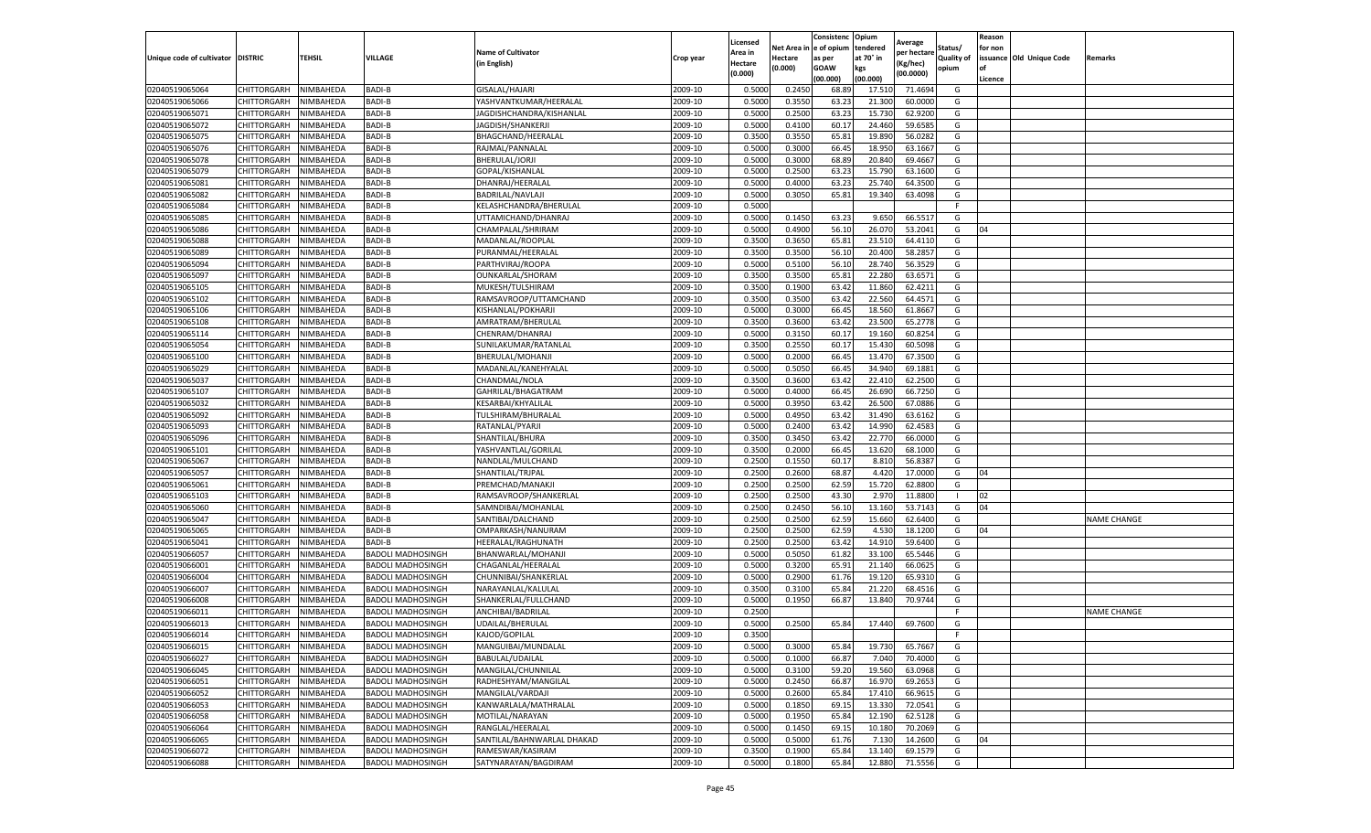|                                   |                       |           |                          |                            |           | Licensed |         | Consistenc             | Opium     |                        |            | Reason  |                          |                    |
|-----------------------------------|-----------------------|-----------|--------------------------|----------------------------|-----------|----------|---------|------------------------|-----------|------------------------|------------|---------|--------------------------|--------------------|
|                                   |                       |           |                          | <b>Name of Cultivator</b>  |           | Area in  |         | Net Area in e of opium | tendered  | Average<br>oer hectare | Status/    | for non |                          |                    |
| Unique code of cultivator DISTRIC |                       | TEHSIL    | VILLAGE                  | in English)                | Crop year | Hectare  | Hectare | as per                 | at 70° in | (Kg/hec                | Quality of |         | issuance Old Unique Code | <b>Remarks</b>     |
|                                   |                       |           |                          |                            |           | (0.000)  | (0.000) | <b>GOAW</b>            | kgs       | (00.0000)              | opium      |         |                          |                    |
|                                   |                       |           |                          |                            |           |          |         | (00.000)               | (00.000)  |                        |            | Licence |                          |                    |
| 02040519065064                    | <b>CHITTORGARH</b>    | NIMBAHEDA | BADI-B                   | GISALAL/HAJARI             | 2009-10   | 0.5000   | 0.2450  | 68.89                  | 17.51     | 71.4694                | G          |         |                          |                    |
| 02040519065066                    | CHITTORGARH           | NIMBAHEDA | <b>BADI-B</b>            | YASHVANTKUMAR/HEERALAL     | 2009-10   | 0.5000   | 0.3550  | 63.23                  | 21.30     | 60.0000                | G          |         |                          |                    |
| 02040519065071                    | CHITTORGARH           | NIMBAHEDA | <b>BADI-B</b>            | JAGDISHCHANDRA/KISHANLAL   | 2009-10   | 0.5000   | 0.2500  | 63.23                  | 15.73     | 62.9200                | G          |         |                          |                    |
| 02040519065072                    | CHITTORGARH           | NIMBAHEDA | BADI-B                   | JAGDISH/SHANKERJI          | 2009-10   | 0.5000   | 0.4100  | 60.17                  | 24.460    | 59.6585                | G          |         |                          |                    |
| 02040519065075                    | CHITTORGARH           | NIMBAHEDA | BADI-B                   | BHAGCHAND/HEERALAL         | 2009-10   | 0.3500   | 0.3550  | 65.81                  | 19.89     | 56.0282                | G          |         |                          |                    |
| 02040519065076                    | CHITTORGARH           | NIMBAHEDA | <b>BADI-B</b>            | RAJMAL/PANNALAL            | 2009-10   | 0.5000   | 0.3000  | 66.45                  | 18.95     | 63.1667                | G          |         |                          |                    |
| 02040519065078                    | CHITTORGARH           | NIMBAHEDA | <b>BADI-B</b>            | BHERULAL/JORJI             | 2009-10   | 0.5000   | 0.3000  | 68.89                  | 20.84     | 69.4667                | G          |         |                          |                    |
| 02040519065079                    | CHITTORGARH           | NIMBAHEDA | BADI-B                   | GOPAL/KISHANLAL            | 2009-10   | 0.5000   | 0.2500  | 63.23                  | 15.79     | 63.1600                | G          |         |                          |                    |
| 02040519065081                    | CHITTORGARH           | NIMBAHEDA | <b>BADI-B</b>            | DHANRAJ/HEERALAL           | 2009-10   | 0.5000   | 0.4000  | 63.23                  | 25.74     | 64.3500                | G          |         |                          |                    |
| 02040519065082                    | CHITTORGARH           | NIMBAHEDA | BADI-B                   | BADRILAL/NAVLAJI           | 2009-10   | 0.5000   | 0.3050  | 65.81                  | 19.340    | 63.4098                | G          |         |                          |                    |
| 02040519065084                    | CHITTORGARH           | NIMBAHEDA | BADI-B                   | KELASHCHANDRA/BHERULAL     | 2009-10   | 0.5000   |         |                        |           |                        | F.         |         |                          |                    |
| 02040519065085                    | CHITTORGARH           | NIMBAHEDA | BADI-B                   | UTTAMICHAND/DHANRAJ        | 2009-10   | 0.5000   | 0.1450  | 63.23                  | 9.65      | 66.5517                | G          |         |                          |                    |
| 02040519065086                    | CHITTORGARH           | NIMBAHEDA | <b>BADI-B</b>            | CHAMPALAL/SHRIRAM          | 2009-10   | 0.5000   | 0.4900  | 56.10                  | 26.07     | 53.2041                | G          | 04      |                          |                    |
| 02040519065088                    | CHITTORGARH           | NIMBAHEDA | BADI-B                   | MADANLAL/ROOPLAL           | 2009-10   | 0.3500   | 0.3650  | 65.81                  | 23.51     | 64.4110                | G          |         |                          |                    |
| 02040519065089                    | CHITTORGARH           | NIMBAHEDA | BADI-B                   | PURANMAL/HEERALAL          | 2009-10   | 0.3500   | 0.3500  | 56.10                  | 20.400    | 58.2857                | G          |         |                          |                    |
| 02040519065094                    | CHITTORGARH           | NIMBAHEDA | <b>BADI-B</b>            | PARTHVIRAJ/ROOPA           | 2009-10   | 0.5000   | 0.5100  | 56.10                  | 28.74     | 56.3529                | G          |         |                          |                    |
| 02040519065097                    | CHITTORGARH           | NIMBAHEDA | BADI-B                   | OUNKARLAL/SHORAM           | 2009-10   | 0.3500   | 0.3500  | 65.81                  | 22.280    | 63.6571                | G          |         |                          |                    |
| 02040519065105                    | CHITTORGARH           | NIMBAHEDA | BADI-B                   | MUKESH/TULSHIRAM           | 2009-10   | 0.3500   | 0.1900  | 63.42                  | 11.860    | 62.4211                | G          |         |                          |                    |
| 02040519065102                    | CHITTORGARH           | NIMBAHEDA | <b>BADI-B</b>            | RAMSAVROOP/UTTAMCHAND      | 2009-10   | 0.3500   | 0.3500  | 63.42                  | 22.56     | 64.4571                | G          |         |                          |                    |
| 02040519065106                    | CHITTORGARH           | NIMBAHEDA | <b>BADI-B</b>            | KISHANLAL/POKHARJI         | 2009-10   | 0.5000   | 0.3000  | 66.45                  | 18.560    | 61.8667                | G          |         |                          |                    |
| 02040519065108                    | CHITTORGARH           | NIMBAHEDA | BADI-B                   | AMRATRAM/BHERULAL          | 2009-10   | 0.3500   | 0.3600  | 63.42                  | 23.500    | 65.2778                | G          |         |                          |                    |
| 02040519065114                    | CHITTORGARH           | NIMBAHEDA | BADI-B                   | CHENRAM/DHANRAJ            | 2009-10   | 0.5000   | 0.3150  | 60.1                   | 19.16     | 60.8254                | G          |         |                          |                    |
| 02040519065054                    | CHITTORGARH           | NIMBAHEDA | BADI-B                   | SUNILAKUMAR/RATANLAL       | 2009-10   | 0.3500   | 0.2550  | 60.17                  | 15.430    | 60.5098                | G          |         |                          |                    |
| 02040519065100                    | CHITTORGARH           | NIMBAHEDA | BADI-B                   | BHERULAL/MOHANJI           | 2009-10   | 0.5000   | 0.2000  | 66.45                  | 13.47     | 67.3500                | G          |         |                          |                    |
| 02040519065029                    | CHITTORGARH           | NIMBAHEDA | BADI-B                   | MADANLAL/KANEHYALAL        | 2009-10   | 0.5000   | 0.5050  | 66.45                  | 34.94     | 69.1881                | G          |         |                          |                    |
| 02040519065037                    | CHITTORGARH           | NIMBAHEDA | <b>BADI-B</b>            | CHANDMAL/NOLA              | 2009-10   | 0.3500   | 0.3600  | 63.42                  | 22.41     | 62.2500                | G          |         |                          |                    |
| 02040519065107                    | CHITTORGARH           | NIMBAHEDA | <b>BADI-B</b>            | GAHRILAL/BHAGATRAM         | 2009-10   | 0.5000   | 0.4000  | 66.4                   | 26.69     | 66.7250                | G          |         |                          |                    |
| 02040519065032                    | CHITTORGARH           | NIMBAHEDA | <b>BADI-B</b>            | KESARBAI/KHYALILAL         | 2009-10   | 0.5000   | 0.3950  | 63.42                  | 26.500    | 67.0886                | G          |         |                          |                    |
| 02040519065092                    | CHITTORGARH           | NIMBAHEDA | BADI-B                   | TULSHIRAM/BHURALAL         | 2009-10   | 0.5000   | 0.4950  | 63.42                  | 31.490    | 63.6162                | G          |         |                          |                    |
| 02040519065093                    | CHITTORGARH           | NIMBAHEDA | BADI-B                   | RATANLAL/PYARJI            | 2009-10   | 0.5000   | 0.2400  | 63.42                  | 14.99     | 62.4583                | G          |         |                          |                    |
| 02040519065096                    | CHITTORGARH           | NIMBAHEDA | <b>BADI-B</b>            | SHANTILAL/BHURA            | 2009-10   | 0.3500   | 0.3450  | 63.4                   | 22.77     | 66.0000                | G          |         |                          |                    |
| 02040519065101                    | CHITTORGARH           | NIMBAHEDA | <b>BADI-B</b>            | YASHVANTLAL/GORILAL        | 2009-10   | 0.3500   | 0.2000  | 66.4                   | 13.620    | 68.1000                | G          |         |                          |                    |
| 02040519065067                    | CHITTORGARH           | NIMBAHEDA | <b>BADI-B</b>            | NANDLAL/MULCHAND           | 2009-10   | 0.2500   | 0.1550  | 60.1                   | 8.81      | 56.838                 | G          |         |                          |                    |
| 02040519065057                    | CHITTORGARH           | NIMBAHEDA | BADI-B                   | SHANTILAL/TRJPAL           | 2009-10   | 0.2500   | 0.2600  | 68.87                  | 4.420     | 17.0000                | G          | 04      |                          |                    |
| 02040519065061                    | CHITTORGARH           | NIMBAHEDA | BADI-B                   | PREMCHAD/MANAKJI           | 2009-10   | 0.2500   | 0.2500  | 62.59                  | 15.720    | 62.8800                | G          |         |                          |                    |
| 02040519065103                    | CHITTORGARH           | NIMBAHEDA | BADI-B                   | RAMSAVROOP/SHANKERLAL      | 2009-10   | 0.2500   | 0.2500  | 43.30                  | 2.97      | 11.8800                |            | 02      |                          |                    |
| 02040519065060                    | CHITTORGARH           | NIMBAHEDA | BADI-B                   | SAMNDIBAI/MOHANLAL         | 2009-10   | 0.2500   | 0.2450  | 56.10                  | 13.16     | 53.7143                | G          | 04      |                          |                    |
| 02040519065047                    | CHITTORGARH           | NIMBAHEDA | BADI-B                   | SANTIBAI/DALCHAND          | 2009-10   | 0.2500   | 0.2500  | 62.59                  | 15.66     | 62.6400                | G          |         |                          | <b>NAME CHANGE</b> |
| 02040519065065                    | CHITTORGARH           | NIMBAHEDA | BADI-B                   | OMPARKASH/NANURAM          | 2009-10   | 0.2500   | 0.2500  | 62.59                  | 4.53      | 18.1200                | G          | 04      |                          |                    |
| 02040519065041                    | CHITTORGARH           | NIMBAHEDA | BADI-B                   | HEERALAL/RAGHUNATH         | 2009-10   | 0.2500   | 0.2500  | 63.42                  | 14.91     | 59.6400                | G          |         |                          |                    |
| 02040519066057                    | CHITTORGARH           | NIMBAHEDA | BADOLI MADHOSINGH        | BHANWARLAL/MOHANJI         | 2009-10   | 0.5000   | 0.5050  | 61.82                  | 33.10     | 65.5446                | G          |         |                          |                    |
| 02040519066001                    | CHITTORGARH           | NIMBAHEDA | <b>BADOLI MADHOSINGH</b> | CHAGANLAL/HEERALAL         | 2009-10   | 0.5000   | 0.3200  | 65.91                  | 21.14     | 66.0625                | G          |         |                          |                    |
| 02040519066004                    | CHITTORGARH           | NIMBAHEDA | <b>BADOLI MADHOSINGH</b> | CHUNNIBAI/SHANKERLAL       | 2009-10   | 0.5000   | 0.2900  | 61.76                  | 19.12     | 65.9310                | G          |         |                          |                    |
| 02040519066007                    | CHITTORGARH           | NIMBAHEDA | BADOLI MADHOSINGH        | NARAYANLAL/KALULAL         | 2009-10   | 0.3500   | 0.3100  | 65.84                  | 21.22     | 68.4516                | G          |         |                          |                    |
| 02040519066008                    | CHITTORGARH           | NIMBAHEDA | <b>BADOLI MADHOSINGH</b> | SHANKERLAL/FULLCHAND       | 2009-10   | 0.5000   | 0.1950  | 66.87                  | 13.84     | 70.9744                | G          |         |                          |                    |
| 02040519066011                    | CHITTORGARH           | NIMBAHEDA | <b>BADOLI MADHOSINGH</b> | ANCHIBAI/BADRILAL          | 2009-10   | 0.2500   |         |                        |           |                        | F.         |         |                          | <b>NAME CHANGE</b> |
| 02040519066013                    | CHITTORGARH           | NIMBAHEDA | <b>BADOLI MADHOSINGH</b> | UDAILAL/BHERULAL           | 2009-10   | 0.5000   | 0.2500  | 65.84                  | 17.44     | 69.7600                | G          |         |                          |                    |
| 02040519066014                    | CHITTORGARH           | NIMBAHEDA | <b>BADOLI MADHOSINGH</b> | KAJOD/GOPILAL              | 2009-10   | 0.3500   |         |                        |           |                        | F          |         |                          |                    |
| 02040519066015                    | CHITTORGARH NIMBAHEDA |           | <b>BADOLI MADHOSINGH</b> | MANGUIBAI/MUNDALAL         | 2009-10   | 0.5000   | 0.3000  | 65.84                  | 19.730    | 65.7667                | G          |         |                          |                    |
| 02040519066027                    | CHITTORGARH           | NIMBAHEDA | <b>BADOLI MADHOSINGH</b> | BABULAL/UDAILAL            | 2009-10   | 0.5000   | 0.1000  | 66.87                  | 7.040     | 70.4000                | G          |         |                          |                    |
| 02040519066045                    | <b>CHITTORGARH</b>    | NIMBAHEDA | <b>BADOLI MADHOSINGH</b> | MANGILAL/CHUNNILAL         | 2009-10   | 0.5000   | 0.3100  | 59.20                  | 19.560    | 63.0968                | G          |         |                          |                    |
| 02040519066051                    | CHITTORGARH           | NIMBAHEDA | <b>BADOLI MADHOSINGH</b> | RADHESHYAM/MANGILAL        | 2009-10   | 0.5000   | 0.2450  | 66.87                  | 16.970    | 69.2653                | G          |         |                          |                    |
| 02040519066052                    | <b>CHITTORGARH</b>    | NIMBAHEDA | <b>BADOLI MADHOSINGH</b> | MANGILAL/VARDAJI           | 2009-10   | 0.5000   | 0.2600  | 65.84                  | 17.410    | 66.9615                | G          |         |                          |                    |
| 02040519066053                    | <b>CHITTORGARH</b>    | NIMBAHEDA | <b>BADOLI MADHOSINGH</b> | KANWARLALA/MATHRALAL       | 2009-10   | 0.5000   | 0.1850  | 69.15                  | 13.330    | 72.0541                | G          |         |                          |                    |
| 02040519066058                    | CHITTORGARH           | NIMBAHEDA | <b>BADOLI MADHOSINGH</b> | MOTILAL/NARAYAN            | 2009-10   | 0.5000   | 0.1950  | 65.84                  | 12.190    | 62.5128                | G          |         |                          |                    |
| 02040519066064                    | <b>CHITTORGARH</b>    | NIMBAHEDA | <b>BADOLI MADHOSINGH</b> | RANGLAL/HEERALAL           | 2009-10   | 0.5000   | 0.1450  | 69.15                  | 10.180    | 70.2069                | G          |         |                          |                    |
| 02040519066065                    | CHITTORGARH           | NIMBAHEDA | <b>BADOLI MADHOSINGH</b> | SANTILAL/BAHNWARLAL DHAKAD | 2009-10   | 0.5000   | 0.5000  | 61.76                  | 7.13      | 14.2600                | G          | 04      |                          |                    |
| 02040519066072                    | CHITTORGARH           | NIMBAHEDA | <b>BADOLI MADHOSINGH</b> | RAMESWAR/KASIRAM           | 2009-10   | 0.3500   | 0.1900  | 65.84                  | 13.140    | 69.1579                | G          |         |                          |                    |
| 02040519066088                    | <b>CHITTORGARH</b>    | NIMBAHEDA | <b>BADOLI MADHOSINGH</b> | SATYNARAYAN/BAGDIRAM       | 2009-10   | 0.5000   | 0.1800  | 65.84                  | 12.880    | 71.5556                | G          |         |                          |                    |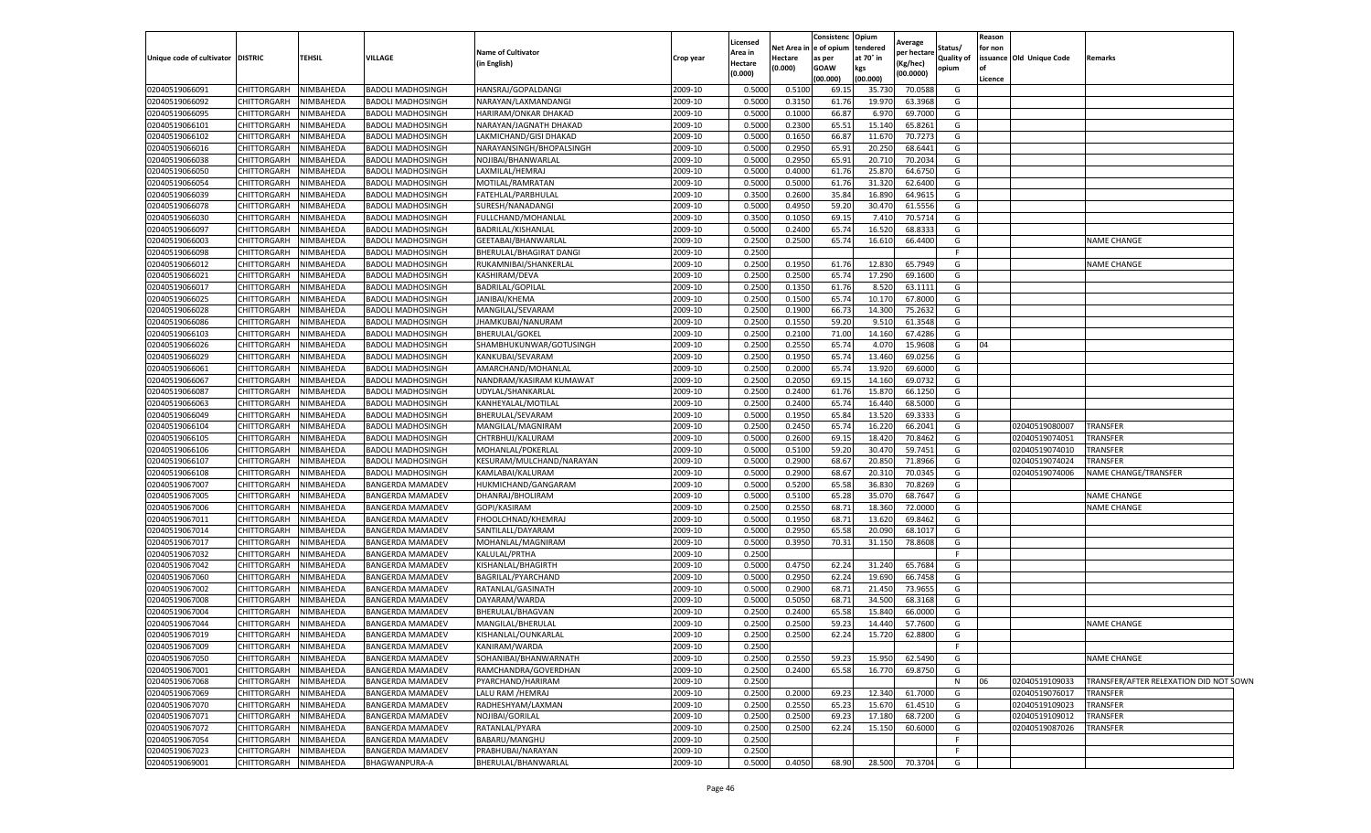|                           |                       |               |                          |                             |           | Licensed |                    | Consistenc Opium |           |                       |            | Reason  |                          |                                        |
|---------------------------|-----------------------|---------------|--------------------------|-----------------------------|-----------|----------|--------------------|------------------|-----------|-----------------------|------------|---------|--------------------------|----------------------------------------|
|                           |                       |               |                          | <b>Name of Cultivator</b>   |           | Area in  | <b>Vet Area in</b> | e of opium       | tendered  | Average<br>oer hectar | Status/    | for non |                          |                                        |
| Unique code of cultivator | <b>DISTRIC</b>        | <b>TEHSIL</b> | <b>VILLAGE</b>           | (in English)                | Crop year | Hectare  | lectare            | as per           | at 70° in | (Kg/hec)              | Quality of |         | issuance Old Unique Code | Remarks                                |
|                           |                       |               |                          |                             |           | (0.000)  | 0.000)             | GOAW             | kgs       | (00.0000)             | opium      |         |                          |                                        |
|                           |                       |               |                          |                             |           |          |                    | (00.000)         | (00.000)  |                       |            | Licence |                          |                                        |
| 02040519066091            | CHITTORGARH           | NIMBAHEDA     | <b>BADOLI MADHOSINGH</b> | HANSRAJ/GOPALDANGI          | 2009-10   | 0.500    | 0.5100             | 69.15            | 35.730    | 70.0588               | G          |         |                          |                                        |
| 02040519066092            | <b>CHITTORGARH</b>    | NIMBAHEDA     | BADOLI MADHOSINGH        | NARAYAN/LAXMANDANGI         | 2009-10   | 0.500    | 0.3150             | 61.76            | 19.97     | 63.3968               | G          |         |                          |                                        |
| 02040519066095            | <b>CHITTORGARH</b>    | NIMBAHEDA     | BADOLI MADHOSINGH        | <b>HARIRAM/ONKAR DHAKAD</b> | 2009-10   | 0.500    | 0.1000             | 66.87            | 6.97      | 69.7000               | G          |         |                          |                                        |
| 02040519066101            | CHITTORGARH           | NIMBAHEDA     | <b>BADOLI MADHOSINGH</b> | NARAYAN/JAGNATH DHAKAD      | 2009-10   | 0.500    | 0.2300             | 65.51            | 15.140    | 65.8261               | G          |         |                          |                                        |
| 02040519066102            | CHITTORGARH           | NIMBAHEDA     | BADOLI MADHOSINGH        | LAKMICHAND/GISI DHAKAD      | 2009-10   | 0.500    | 0.1650             | 66.87            | 11.670    | 70.7273               | G          |         |                          |                                        |
| 02040519066016            | CHITTORGARH           | NIMBAHEDA     | BADOLI MADHOSINGH        | NARAYANSINGH/BHOPALSINGH    | 2009-10   | 0.500    | 0.295              | 65.91            | 20.250    | 68.6441               | G          |         |                          |                                        |
| 02040519066038            | CHITTORGARH           | NIMBAHEDA     | BADOLI MADHOSINGH        | NOJIBAI/BHANWARLAI          | 2009-10   | 0.500    | 0.2950             | 65.91            | 20.71     | 70.2034               | G          |         |                          |                                        |
| 02040519066050            | CHITTORGARH           | NIMBAHEDA     | <b>BADOLI MADHOSINGH</b> | LAXMILAL/HEMRAJ             | 2009-10   | 0.500    | 0.400              | 61.76            | 25.87     | 64.6750               | G          |         |                          |                                        |
| 02040519066054            | CHITTORGARH           | NIMBAHEDA     | BADOLI MADHOSINGH        | MOTILAL/RAMRATAN            | 2009-10   | 0.500    | 0.5000             | 61.76            | 31.320    | 62.6400               | G          |         |                          |                                        |
| 02040519066039            | CHITTORGARH           | NIMBAHEDA     | BADOLI MADHOSINGH        | FATEHLAL/PARBHULAL          | 2009-10   | 0.3500   | 0.2600             | 35.84            | 16.890    | 64.961                | G          |         |                          |                                        |
| 02040519066078            | CHITTORGARH           | NIMBAHEDA     | BADOLI MADHOSINGH        | SURESH/NANADANGI            | 2009-10   | 0.500    | 0.4950             | 59.20            | 30.470    | 61.5556               | G          |         |                          |                                        |
| 02040519066030            | CHITTORGARH           | NIMBAHEDA     | BADOLI MADHOSINGH        | FULLCHAND/MOHANLAL          | 2009-10   | 0.350    | 0.1050             | 69.15            | 7.41      | 70.5714               | G          |         |                          |                                        |
| 02040519066097            | CHITTORGARH           | NIMBAHEDA     | <b>BADOLI MADHOSINGH</b> | BADRILAL/KISHANLAL          | 2009-10   | 0.500    | 0.2400             | 65.74            | 16.520    | 68.833                | G          |         |                          |                                        |
| 02040519066003            | CHITTORGARH           | NIMBAHEDA     | BADOLI MADHOSINGH        | GEETABAI/BHANWARLAL         | 2009-10   | 0.250    | 0.2500             | 65.74            | 16.61     | 66.4400               | G          |         |                          | NAME CHANGE                            |
| 02040519066098            | <b>CHITTORGARH</b>    | NIMBAHEDA     | BADOLI MADHOSINGH        | BHERULAL/BHAGIRAT DANGI     | 2009-10   | 0.250    |                    |                  |           |                       | F.         |         |                          |                                        |
| 02040519066012            | <b>CHITTORGARH</b>    | NIMBAHEDA     | BADOLI MADHOSINGH        | RUKAMNIBAI/SHANKERLAL       | 2009-10   | 0.250    | 0.1950             | 61.76            | 12.83     | 65.7949               | G          |         |                          | NAME CHANGE                            |
| 02040519066021            | CHITTORGARH           | NIMBAHEDA     | BADOLI MADHOSINGH        | KASHIRAM/DEVA               | 2009-10   | 0.250    | 0.2500             | 65.74            | 17.290    | 69.1600               | G          |         |                          |                                        |
| 02040519066017            | CHITTORGARH           | NIMBAHEDA     | BADOLI MADHOSINGH        | <b>BADRILAL/GOPILAL</b>     | 2009-10   | 0.250    | 0.1350             | 61.76            | 8.520     | 63.1111               | G          |         |                          |                                        |
| 02040519066025            | CHITTORGARH           | NIMBAHEDA     | BADOLI MADHOSINGH        | <b>JANIBAI/KHEMA</b>        | 2009-10   | 0.250    | 0.1500             | 65.74            | 10.17     | 67.8000               | G          |         |                          |                                        |
| 02040519066028            | CHITTORGARH           | NIMBAHEDA     | BADOLI MADHOSINGH        | MANGILAL/SEVARAM            | 2009-10   | 0.250    | 0.1900             | 66.73            | 14.30     | 75.2632               | G          |         |                          |                                        |
| 02040519066086            | <b>CHITTORGARH</b>    | NIMBAHEDA     | BADOLI MADHOSINGH        | JHAMKUBAI/NANURAM           | 2009-10   | 0.2500   | 0.1550             | 59.20            | 9.51      | 61.3548               | G          |         |                          |                                        |
| 02040519066103            | CHITTORGARH           | NIMBAHEDA     | BADOLI MADHOSINGH        | <b>BHERULAL/GOKEL</b>       | 2009-10   | 0.250    | 0.2100             | 71.00            | 14.16     | 67.4286               | G          |         |                          |                                        |
| 02040519066026            | CHITTORGARH           | NIMBAHEDA     | BADOLI MADHOSINGH        | SHAMBHUKUNWAR/GOTUSINGH     | 2009-10   | 0.2500   | 0.2550             | 65.74            | 4.070     | 15.9608               | G          | 04      |                          |                                        |
| 02040519066029            | CHITTORGARH           | NIMBAHEDA     | BADOLI MADHOSINGH        | KANKUBAI/SEVARAM            | 2009-10   | 0.250    | 0.1950             | 65.74            | 13.460    | 69.0256               | G          |         |                          |                                        |
| 02040519066061            | CHITTORGARH           | NIMBAHEDA     | BADOLI MADHOSINGH        | AMARCHAND/MOHANLAL          | 2009-10   | 0.250    | 0.2000             | 65.74            | 13.920    | 69.6000               | G          |         |                          |                                        |
| 02040519066067            | CHITTORGARH           | NIMBAHEDA     | BADOLI MADHOSINGH        | NANDRAM/KASIRAM KUMAWAT     | 2009-10   | 0.250    | 0.2050             | 69.15            | 14.16     | 69.0732               | G          |         |                          |                                        |
| 02040519066087            | CHITTORGARH           | NIMBAHEDA     | BADOLI MADHOSINGH        | UDYLAL/SHANKARLAI           | 2009-10   | 0.250    | 0.2400             | 61.76            | 15.87     | 66.1250               | G          |         |                          |                                        |
| 02040519066063            | <b>CHITTORGARH</b>    | NIMBAHEDA     | <b>BADOLI MADHOSINGH</b> | KANHEYALAL/MOTILAL          | 2009-10   | 0.250    | 0.2400             | 65.74            | 16.440    | 68.5000               | G          |         |                          |                                        |
| 02040519066049            | <b>CHITTORGARH</b>    | NIMBAHEDA     | BADOLI MADHOSINGH        | BHERULAL/SEVARAM            | 2009-10   | 0.5000   | 0.1950             | 65.84            | 13.520    | 69.3333               | G          |         |                          |                                        |
| 02040519066104            | CHITTORGARH           | NIMBAHEDA     | BADOLI MADHOSINGH        | MANGILAL/MAGNIRAM           | 2009-10   | 0.250    | 0.2450             | 65.74            | 16.220    | 66.2041               | G          |         | 02040519080007           | TRANSFER                               |
| 02040519066105            | CHITTORGARH           | NIMBAHEDA     | BADOLI MADHOSINGH        | CHTRBHUJ/KALURAM            | 2009-10   | 0.500    | 0.2600             | 69.15            | 18.420    | 70.8462               | G          |         | 02040519074051           | TRANSFER                               |
| 02040519066106            | CHITTORGARH           | NIMBAHEDA     | BADOLI MADHOSINGH        | MOHANLAL/POKERLAI           | 2009-10   | 0.500    | 0.510              | 59.20            | 30.47     | 59.7451               | G          |         | 02040519074010           | TRANSFER                               |
| 02040519066107            | CHITTORGARH           | NIMBAHEDA     | BADOLI MADHOSINGH        | KESURAM/MULCHAND/NARAYAN    | 2009-10   | 0.500    | 0.2900             | 68.67            | 20.85     | 71.8966               | G          |         | 02040519074024           | TRANSFER                               |
| 02040519066108            | <b>CHITTORGARH</b>    | NIMBAHEDA     | BADOLI MADHOSINGH        | KAMLABAI/KALURAM            | 2009-10   | 0.500    | 0.2900             | 68.67            | 20.31     | 70.0345               | G          |         | 02040519074006           | NAME CHANGE/TRANSFER                   |
| 02040519067007            | CHITTORGARH           | NIMBAHEDA     | BANGERDA MAMADEV         | HUKMICHAND/GANGARAM         | 2009-10   | 0.500    | 0.5200             | 65.58            | 36.830    | 70.8269               | G          |         |                          |                                        |
| 02040519067005            | CHITTORGARH           | NIMBAHEDA     | BANGERDA MAMADEV         | DHANRAJ/BHOLIRAM            | 2009-10   | 0.500    | 0.510              | 65.28            | 35.07     | 68.7647               | G          |         |                          | <b>NAME CHANGE</b>                     |
| 02040519067006            | CHITTORGARH           | NIMBAHEDA     | BANGERDA MAMADEV         | GOPI/KASIRAM                | 2009-10   | 0.250    | 0.2550             | 68.71            | 18.360    | 72.0000               | G          |         |                          | <b>NAME CHANGE</b>                     |
| 02040519067011            | CHITTORGARH           | NIMBAHEDA     | BANGERDA MAMADEV         | FHOOLCHNAD/KHEMRAJ          | 2009-10   | 0.500    | 0.1950             | 68.71            | 13.620    | 69.8462               | G          |         |                          |                                        |
| 02040519067014            | CHITTORGARH           | NIMBAHEDA     | BANGERDA MAMADEV         | SANTILALL/DAYARAM           | 2009-10   | 0.500    | 0.2950             | 65.58            | 20.09     | 68.1017               | G          |         |                          |                                        |
| 02040519067017            | <b>CHITTORGARH</b>    | NIMBAHEDA     | BANGERDA MAMADEV         | MOHANLAL/MAGNIRAM           | 2009-10   | 0.500    | 0.3950             | 70.31            | 31.150    | 78.8608               | G          |         |                          |                                        |
| 02040519067032            | <b>CHITTORGARH</b>    | NIMBAHEDA     | BANGERDA MAMADEV         | KALULAL/PRTHA               | 2009-10   | 0.250    |                    |                  |           |                       | F.         |         |                          |                                        |
| 02040519067042            | CHITTORGARH           | NIMBAHEDA     | BANGERDA MAMADEV         | KISHANLAL/BHAGIRTH          | 2009-10   | 0.500    | 0.4750             | 62.24            | 31.240    | 65.7684               | G          |         |                          |                                        |
| 02040519067060            | CHITTORGARH           | NIMBAHEDA     | BANGERDA MAMADEV         | <b>BAGRILAL/PYARCHAND</b>   | 2009-10   | 0.500    | 0.2950             | 62.24            | 19.690    | 66.7458               | G          |         |                          |                                        |
| 02040519067002            | CHITTORGARH           | NIMBAHEDA     | BANGERDA MAMADEV         | RATANLAL/GASINATH           | 2009-10   | 0.500    | 0.2900             | 68.71            | 21.45     | 73.9655               | G          |         |                          |                                        |
| 02040519067008            | CHITTORGARH           | NIMBAHEDA     | <b>BANGERDA MAMADEV</b>  | DAYARAM/WARDA               | 2009-10   | 0.5000   | 0.5050             | 68.71            | 34.50     | 68.3168               | G          |         |                          |                                        |
| 02040519067004            | CHITTORGARH           | NIMBAHEDA     | BANGERDA MAMADEV         | BHERULAL/BHAGVAN            | 2009-10   | 0.250    | 0.2400             | 65.58            | 15.84     | 66.0000               | G          |         |                          |                                        |
| 02040519067044            | CHITTORGARH           | NIMBAHEDA     | BANGERDA MAMADEV         | MANGILAL/BHERULAL           | 2009-10   | 0.250    | 0.2500             | 59.23            | 14.44     | 57.7600               | G          |         |                          | <b>NAME CHANGE</b>                     |
| 02040519067019            | CHITTORGARH           | NIMBAHEDA     | <b>BANGERDA MAMADEV</b>  | KISHANLAL/OUNKARLAL         | 2009-10   | 0.2500   | 0.2500             | 62.24            | 15.720    | 62.8800               | G          |         |                          |                                        |
| 02040519067009            | CHITTORGARH NIMBAHEDA |               | BANGERDA MAMADEV         | KANIRAM/WARDA               | 2009-10   | 0.2500   |                    |                  |           |                       |            |         |                          |                                        |
| 02040519067050            | CHITTORGARH           | NIMBAHEDA     | <b>BANGERDA MAMADEV</b>  | SOHANIBAI/BHANWARNATH       | 2009-10   | 0.2500   | 0.2550             | 59.23            | 15.950    | 62.5490               | G          |         |                          | <b>NAME CHANGE</b>                     |
| 02040519067001            | CHITTORGARH           | NIMBAHEDA     | <b>BANGERDA MAMADEV</b>  | RAMCHANDRA/GOVERDHAN        | 2009-10   | 0.2500   | 0.2400             | 65.58            | 16.770    | 69.8750               | G          |         |                          |                                        |
| 02040519067068            | CHITTORGARH           | NIMBAHEDA     | <b>BANGERDA MAMADEV</b>  | PYARCHAND/HARIRAM           | 2009-10   | 0.250    |                    |                  |           |                       | N          | 06      | 02040519109033           | TRANSFER/AFTER RELEXATION DID NOT SOWN |
| 02040519067069            | <b>CHITTORGARH</b>    | NIMBAHEDA     | BANGERDA MAMADEV         | LALU RAM /HEMRAJ            | 2009-10   | 0.2500   | 0.2000             | 69.23            | 12.340    | 61.7000               | G          |         | 02040519076017           | <b>TRANSFER</b>                        |
| 02040519067070            | CHITTORGARH           | NIMBAHEDA     | BANGERDA MAMADEV         | RADHESHYAM/LAXMAN           | 2009-10   | 0.2500   | 0.2550             | 65.23            | 15.670    | 61.4510               | G          |         | 02040519109023           | TRANSFER                               |
| 02040519067071            | CHITTORGARH           | NIMBAHEDA     | <b>BANGERDA MAMADEV</b>  | NOJIBAI/GORILAL             | 2009-10   | 0.2500   | 0.2500             | 69.23            | 17.180    | 68.7200               | G          |         | 02040519109012           | TRANSFER                               |
| 02040519067072            | CHITTORGARH           | NIMBAHEDA     | BANGERDA MAMADEV         | RATANLAL/PYARA              | 2009-10   | 0.2500   | 0.2500             | 62.24            | 15.150    | 60.6000               | G          |         | 02040519087026           | TRANSFER                               |
| 02040519067054            | CHITTORGARH           | NIMBAHEDA     | <b>BANGERDA MAMADEV</b>  | BABARU/MANGHU               | 2009-10   | 0.2500   |                    |                  |           |                       | F          |         |                          |                                        |
| 02040519067023            | CHITTORGARH           | NIMBAHEDA     | <b>BANGERDA MAMADEV</b>  | PRABHUBAI/NARAYAN           | 2009-10   | 0.2500   |                    |                  |           |                       | F.         |         |                          |                                        |
| 02040519069001            | <b>CHITTORGARH</b>    | NIMBAHEDA     | BHAGWANPURA-A            | BHERULAL/BHANWARLAL         | 2009-10   | 0.5000   | 0.4050             | 68.90            | 28.500    | 70.3704               | G          |         |                          |                                        |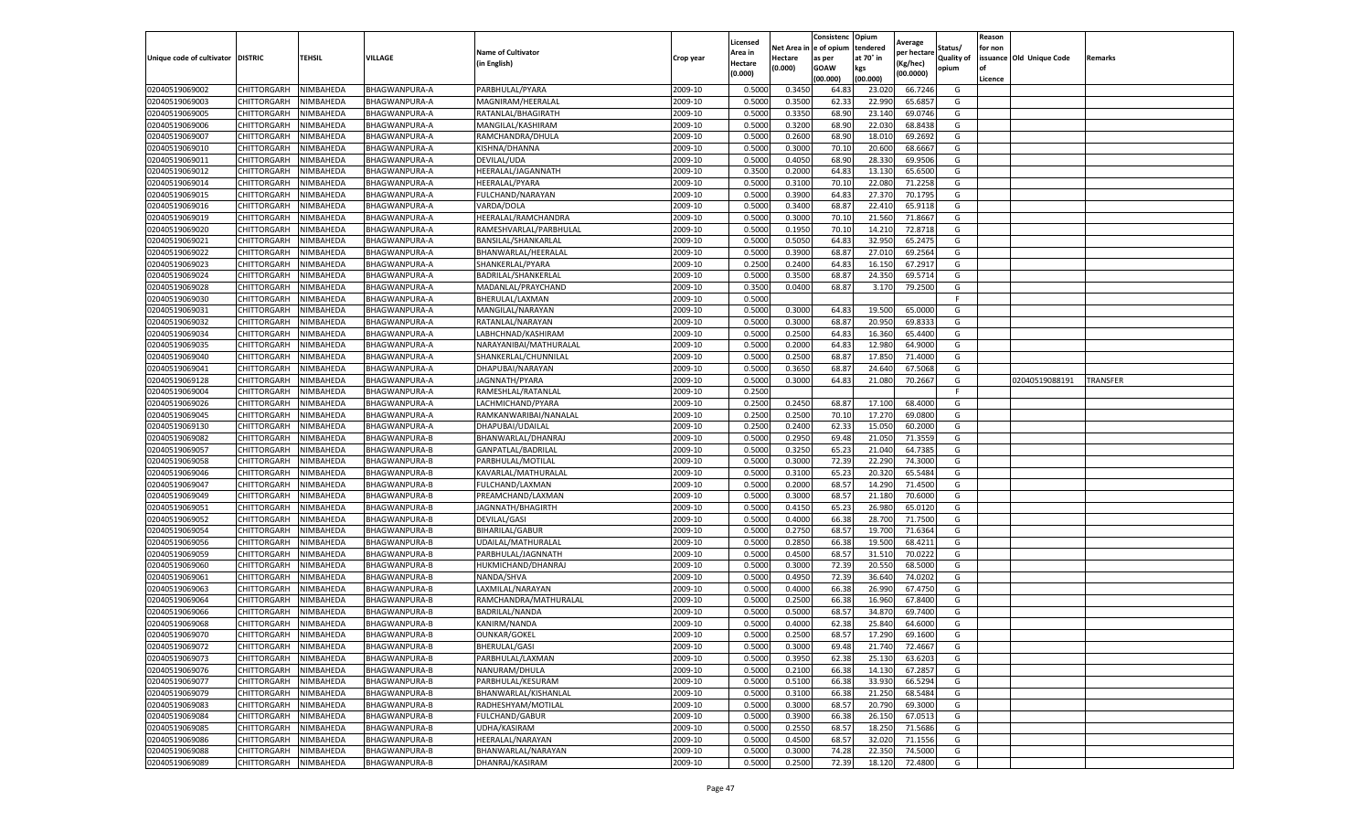|                           |                    |           |                      |                                          |           |                    |         | Consistenc             | Opium     |                       |            | Reason  |                          |          |
|---------------------------|--------------------|-----------|----------------------|------------------------------------------|-----------|--------------------|---------|------------------------|-----------|-----------------------|------------|---------|--------------------------|----------|
|                           |                    |           |                      |                                          |           | Licensed           |         | Net Area in e of opium | tendered  | Average               | Status/    | for non |                          |          |
| Unique code of cultivator | <b>DISTRIC</b>     | TEHSIL    | VILLAGE              | <b>Name of Cultivator</b><br>in English) | Crop year | Area in<br>Hectare | Hectare | as per                 | at 70° in | er hectar<br>(Kg/hec) | Quality of |         | issuance Old Unique Code | Remarks  |
|                           |                    |           |                      |                                          |           | (0.000)            | (0.000) | <b>GOAW</b>            | kgs       | (00.0000)             | opium      | of      |                          |          |
|                           |                    |           |                      |                                          |           |                    |         | (00.000)               | (00.000)  |                       |            | Licence |                          |          |
| 02040519069002            | CHITTORGARH        | NIMBAHEDA | BHAGWANPURA-A        | PARBHULAL/PYARA                          | 2009-10   | 0.5000             | 0.3450  | 64.83                  | 23.02     | 66.7246               | G          |         |                          |          |
| 02040519069003            | CHITTORGARH        | NIMBAHEDA | BHAGWANPURA-A        | MAGNIRAM/HEERALAI                        | 2009-10   | 0.5000             | 0.3500  | 62.33                  | 22.99     | 65.685                | G          |         |                          |          |
| 02040519069005            | CHITTORGARH        | NIMBAHEDA | BHAGWANPURA-A        | RATANLAL/BHAGIRATH                       | 2009-10   | 0.5000             | 0.3350  | 68.90                  | 23.14     | 69.0746               | G          |         |                          |          |
| 02040519069006            | CHITTORGARH        | NIMBAHEDA | BHAGWANPURA-A        | MANGILAL/KASHIRAM                        | 2009-10   | 0.5000             | 0.3200  | 68.90                  | 22.03     | 68.8438               | G          |         |                          |          |
| 02040519069007            | CHITTORGARH        | NIMBAHEDA | BHAGWANPURA-A        | RAMCHANDRA/DHULA                         | 2009-10   | 0.5000             | 0.2600  | 68.90                  | 18.01     | 69.2692               | G          |         |                          |          |
| 02040519069010            | CHITTORGARH        | NIMBAHEDA | BHAGWANPURA-A        | KISHNA/DHANNA                            | 2009-10   | 0.5000             | 0.3000  | 70.10                  | 20.600    | 68.6667               | G          |         |                          |          |
| 02040519069011            | CHITTORGARH        | NIMBAHEDA | BHAGWANPURA-A        | DEVILAL/UDA                              | 2009-10   | 0.5000             | 0.4050  | 68.90                  | 28.33     | 69.9506               | G          |         |                          |          |
| 02040519069012            | CHITTORGARH        | NIMBAHEDA | BHAGWANPURA-A        | HEERALAL/JAGANNATH                       | 2009-10   | 0.3500             | 0.2000  | 64.83                  | 13.13     | 65.6500               | G          |         |                          |          |
| 02040519069014            | CHITTORGARH        | NIMBAHEDA | BHAGWANPURA-A        | <b>HEERALAL/PYARA</b>                    | 2009-10   | 0.5000             | 0.3100  | 70.10                  | 22.08     | 71.2258               | G          |         |                          |          |
| 02040519069015            | CHITTORGARH        | NIMBAHEDA | BHAGWANPURA-A        | FULCHAND/NARAYAN                         | 2009-10   | 0.5000             | 0.3900  | 64.83                  | 27.37     | 70.1795               | G          |         |                          |          |
| 02040519069016            | CHITTORGARH        | NIMBAHEDA | BHAGWANPURA-A        | VARDA/DOLA                               | 2009-10   | 0.5000             | 0.3400  | 68.87                  | 22.410    | 65.9118               | G          |         |                          |          |
| 02040519069019            | CHITTORGARH        | NIMBAHEDA | BHAGWANPURA-A        | HEERALAL/RAMCHANDRA                      | 2009-10   | 0.5000             | 0.3000  | 70.10                  | 21.560    | 71.8667               | G          |         |                          |          |
| 02040519069020            | CHITTORGARH        | NIMBAHEDA | BHAGWANPURA-A        | RAMESHVARLAL/PARBHULAL                   | 2009-10   | 0.5000             | 0.1950  | 70.10                  | 14.21     | 72.8718               | G          |         |                          |          |
| 02040519069021            | CHITTORGARH        | NIMBAHEDA | BHAGWANPURA-A        | BANSILAL/SHANKARLAI                      | 2009-10   | 0.5000             | 0.5050  | 64.83                  | 32.950    | 65.2475               | G          |         |                          |          |
| 02040519069022            | CHITTORGARH        | NIMBAHEDA | BHAGWANPURA-A        | BHANWARLAL/HEERALAI                      | 2009-10   | 0.5000             | 0.3900  | 68.87                  | 27.01     | 69.2564               | G          |         |                          |          |
| 02040519069023            | CHITTORGARH        | NIMBAHEDA | BHAGWANPURA-A        | SHANKERLAL/PYARA                         | 2009-10   | 0.2500             | 0.2400  | 64.83                  | 16.15     | 67.2917               | G          |         |                          |          |
| 02040519069024            | CHITTORGARH        | NIMBAHEDA | BHAGWANPURA-A        | BADRILAL/SHANKERLAL                      | 2009-10   | 0.5000             | 0.3500  | 68.87                  | 24.35     | 69.5714               | G          |         |                          |          |
| 02040519069028            | CHITTORGARH        | NIMBAHEDA | BHAGWANPURA-A        | MADANLAL/PRAYCHAND                       | 2009-10   | 0.3500             | 0.0400  | 68.87                  | 3.17      | 79.2500               | G          |         |                          |          |
| 02040519069030            | CHITTORGARH        | NIMBAHEDA | BHAGWANPURA-A        | BHERULAL/LAXMAN                          | 2009-10   | 0.5000             |         |                        |           |                       | F.         |         |                          |          |
| 02040519069031            | CHITTORGARH        | NIMBAHEDA | BHAGWANPURA-A        | MANGILAL/NARAYAN                         | 2009-10   | 0.5000             | 0.3000  | 64.83                  | 19.500    | 65.0000               | G          |         |                          |          |
| 02040519069032            | CHITTORGARH        | NIMBAHEDA | BHAGWANPURA-A        | RATANLAL/NARAYAN                         | 2009-10   | 0.5000             | 0.3000  | 68.87                  | 20.950    | 69.833                | G          |         |                          |          |
| 02040519069034            | CHITTORGARH        | NIMBAHEDA | BHAGWANPURA-A        | LABHCHNAD/KASHIRAM                       | 2009-10   | 0.5000             | 0.2500  | 64.83                  | 16.360    | 65.4400               | G          |         |                          |          |
| 02040519069035            | CHITTORGARH        | NIMBAHEDA | BHAGWANPURA-A        | NARAYANIBAI/MATHURALAL                   | 2009-10   | 0.5000             | 0.2000  | 64.83                  | 12.98     | 64.9000               | G          |         |                          |          |
| 02040519069040            | CHITTORGARH        | NIMBAHEDA | BHAGWANPURA-A        | SHANKERLAL/CHUNNILAL                     | 2009-10   | 0.5000             | 0.2500  | 68.87                  | 17.85     | 71.4000               | G          |         |                          |          |
| 02040519069041            | CHITTORGARH        | NIMBAHEDA | BHAGWANPURA-A        | DHAPUBAI/NARAYAN                         | 2009-10   | 0.5000             | 0.3650  | 68.87                  | 24.64     | 67.5068               | G          |         |                          |          |
| 02040519069128            | CHITTORGARH        | NIMBAHEDA | BHAGWANPURA-A        | JAGNNATH/PYARA                           | 2009-10   | 0.5000             | 0.3000  | 64.83                  | 21.08     | 70.2667               | G          |         | 02040519088191           | TRANSFER |
| 02040519069004            | CHITTORGARH        | NIMBAHEDA | BHAGWANPURA-A        | RAMESHLAL/RATANLAL                       | 2009-10   | 0.2500             |         |                        |           |                       | F          |         |                          |          |
| 02040519069026            | CHITTORGARH        | NIMBAHEDA | BHAGWANPURA-A        | LACHMICHAND/PYARA                        | 2009-10   | 0.2500             | 0.2450  | 68.87                  | 17.10     | 68.4000               | G          |         |                          |          |
| 02040519069045            | CHITTORGARH        | NIMBAHEDA | BHAGWANPURA-A        | RAMKANWARIBAI/NANALAL                    | 2009-10   | 0.2500             | 0.2500  | 70.10                  | 17.27     | 69.0800               | G          |         |                          |          |
| 02040519069130            | CHITTORGARH        | NIMBAHEDA | BHAGWANPURA-A        | DHAPUBAI/UDAILAL                         | 2009-10   | 0.2500             | 0.2400  | 62.33                  | 15.050    | 60.2000               | G          |         |                          |          |
| 02040519069082            | CHITTORGARH        | NIMBAHEDA | BHAGWANPURA-B        | BHANWARLAL/DHANRAJ                       | 2009-10   | 0.5000             | 0.2950  | 69.48                  | 21.05     | 71.3559               | G          |         |                          |          |
| 02040519069057            | CHITTORGARH        | NIMBAHEDA | BHAGWANPURA-B        | GANPATLAL/BADRILAL                       | 2009-10   | 0.5000             | 0.3250  | 65.23                  | 21.04     | 64.7385               | G          |         |                          |          |
| 02040519069058            | CHITTORGARH        | NIMBAHEDA | BHAGWANPURA-B        | PARBHULAL/MOTILAL                        | 2009-10   | 0.5000             | 0.3000  | 72.39                  | 22.29     | 74.3000               | G          |         |                          |          |
| 02040519069046            | CHITTORGARH        | NIMBAHEDA | BHAGWANPURA-B        | KAVARLAL/MATHURALAI                      | 2009-10   | 0.5000             | 0.3100  | 65.23                  | 20.32     | 65.5484               | G          |         |                          |          |
| 02040519069047            | CHITTORGARH        | NIMBAHEDA | BHAGWANPURA-B        | FULCHAND/LAXMAN                          | 2009-10   | 0.5000             | 0.2000  | 68.57                  | 14.290    | 71.4500               | G          |         |                          |          |
| 02040519069049            | CHITTORGARH        | NIMBAHEDA | BHAGWANPURA-B        | PREAMCHAND/LAXMAN                        | 2009-10   | 0.5000             | 0.3000  | 68.57                  | 21.180    | 70.6000               | G          |         |                          |          |
| 02040519069051            | CHITTORGARH        | NIMBAHEDA | BHAGWANPURA-B        | JAGNNATH/BHAGIRTH                        | 2009-10   | 0.5000             | 0.4150  | 65.23                  | 26.980    | 65.0120               | G          |         |                          |          |
| 02040519069052            | CHITTORGARH        | NIMBAHEDA | BHAGWANPURA-B        | <b>DEVILAL/GASI</b>                      | 2009-10   | 0.5000             | 0.4000  | 66.38                  | 28.700    | 71.7500               | G          |         |                          |          |
| 02040519069054            | CHITTORGARH        | NIMBAHEDA | BHAGWANPURA-B        | <b>BIHARILAL/GABUR</b>                   | 2009-10   | 0.5000             | 0.2750  | 68.57                  | 19.700    | 71.6364               | G          |         |                          |          |
| 02040519069056            | CHITTORGARH        | NIMBAHEDA | BHAGWANPURA-B        | UDAILAL/MATHURALAL                       | 2009-10   | 0.5000             | 0.2850  | 66.38                  | 19.50     | 68.4211               | G          |         |                          |          |
| 02040519069059            | CHITTORGARH        | NIMBAHEDA | BHAGWANPURA-B        | PARBHULAL/JAGNNATH                       | 2009-10   | 0.5000             | 0.4500  | 68.57                  | 31.51     | 70.0222               | G          |         |                          |          |
| 02040519069060            | CHITTORGARH        | NIMBAHEDA | BHAGWANPURA-B        | HUKMICHAND/DHANRAJ                       | 2009-10   | 0.5000             | 0.3000  | 72.39                  | 20.55     | 68.5000               | G          |         |                          |          |
| 02040519069061            | CHITTORGARH        | NIMBAHEDA | <b>BHAGWANPURA-B</b> | NANDA/SHVA                               | 2009-10   | 0.5000             | 0.4950  | 72.39                  | 36.64     | 74.0202               | G          |         |                          |          |
| 02040519069063            | CHITTORGARH        | NIMBAHEDA | BHAGWANPURA-B        | LAXMILAL/NARAYAN                         | 2009-10   | 0.5000             | 0.4000  | 66.38                  | 26.99     | 67.4750               | G          |         |                          |          |
| 02040519069064            | CHITTORGARH        | NIMBAHEDA | <b>BHAGWANPURA-B</b> | RAMCHANDRA/MATHURALAL                    | 2009-10   | 0.5000             | 0.2500  | 66.38                  | 16.96     | 67.8400               | G          |         |                          |          |
| 02040519069066            | CHITTORGARH        | NIMBAHEDA | BHAGWANPURA-B        | BADRILAL/NANDA                           | 2009-10   | 0.5000             | 0.5000  | 68.5                   | 34.87     | 69.7400               | G          |         |                          |          |
| 02040519069068            | CHITTORGARH        | NIMBAHEDA | <b>BHAGWANPURA-B</b> | KANIRM/NANDA                             | 2009-10   | 0.5000             | 0.4000  | 62.38                  | 25.84     | 64.6000               | G          |         |                          |          |
| 02040519069070            | CHITTORGARH        | NIMBAHEDA | <b>BHAGWANPURA-B</b> | <b>OUNKAR/GOKEL</b>                      | 2009-10   | 0.5000             | 0.2500  | 68.57                  | 17.290    | 69.1600               | G          |         |                          |          |
| 02040519069072            | <b>CHITTORGARH</b> | NIMBAHEDA | <b>BHAGWANPURA-B</b> | BHERULAL/GASI                            | 2009-10   | 0.5000             | 0.3000  | 69.48                  | 21.740    | 72.4667               | G          |         |                          |          |
| 02040519069073            | CHITTORGARH        | NIMBAHEDA | BHAGWANPURA-B        | PARBHULAL/LAXMAN                         | 2009-10   | 0.5000             | 0.3950  | 62.38                  | 25.130    | 63.6203               | G          |         |                          |          |
| 02040519069076            | CHITTORGARH        | NIMBAHEDA | BHAGWANPURA-B        | NANURAM/DHULA                            | 2009-10   | 0.5000             | 0.2100  | 66.38                  | 14.130    | 67.2857               | G          |         |                          |          |
| 02040519069077            | CHITTORGARH        | NIMBAHEDA | BHAGWANPURA-B        | PARBHULAL/KESURAM                        | 2009-10   | 0.5000             | 0.5100  | 66.38                  | 33.930    | 66.5294               | G          |         |                          |          |
| 02040519069079            | <b>CHITTORGARH</b> | NIMBAHEDA | <b>BHAGWANPURA-B</b> | BHANWARLAL/KISHANLAL                     | 2009-10   | 0.5000             | 0.3100  | 66.38                  | 21.25     | 68.5484               | G          |         |                          |          |
| 02040519069083            | CHITTORGARH        | NIMBAHEDA | BHAGWANPURA-B        | RADHESHYAM/MOTILAL                       | 2009-10   | 0.5000             | 0.3000  | 68.57                  | 20.790    | 69.3000               | G          |         |                          |          |
| 02040519069084            | CHITTORGARH        | NIMBAHEDA | BHAGWANPURA-B        | <b>FULCHAND/GABUR</b>                    | 2009-10   | 0.5000             | 0.3900  | 66.38                  | 26.150    | 67.0513               | G          |         |                          |          |
| 02040519069085            | CHITTORGARH        | NIMBAHEDA | BHAGWANPURA-B        | UDHA/KASIRAM                             | 2009-10   | 0.5000             | 0.2550  | 68.57                  | 18.250    | 71.5686               | G          |         |                          |          |
| 02040519069086            | CHITTORGARH        | NIMBAHEDA | BHAGWANPURA-B        | HEERALAL/NARAYAN                         | 2009-10   | 0.5000             | 0.4500  | 68.57                  | 32.02     | 71.1556               | G          |         |                          |          |
| 02040519069088            | CHITTORGARH        | NIMBAHEDA | BHAGWANPURA-B        | BHANWARLAL/NARAYAN                       | 2009-10   | 0.5000             | 0.3000  | 74.28                  | 22.35     | 74.5000               | G          |         |                          |          |
| 02040519069089            | <b>CHITTORGARH</b> | NIMBAHEDA | BHAGWANPURA-B        | DHANRAJ/KASIRAM                          | 2009-10   | 0.5000             | 0.2500  | 72.39                  | 18.120    | 72.4800               | G          |         |                          |          |
|                           |                    |           |                      |                                          |           |                    |         |                        |           |                       |            |         |                          |          |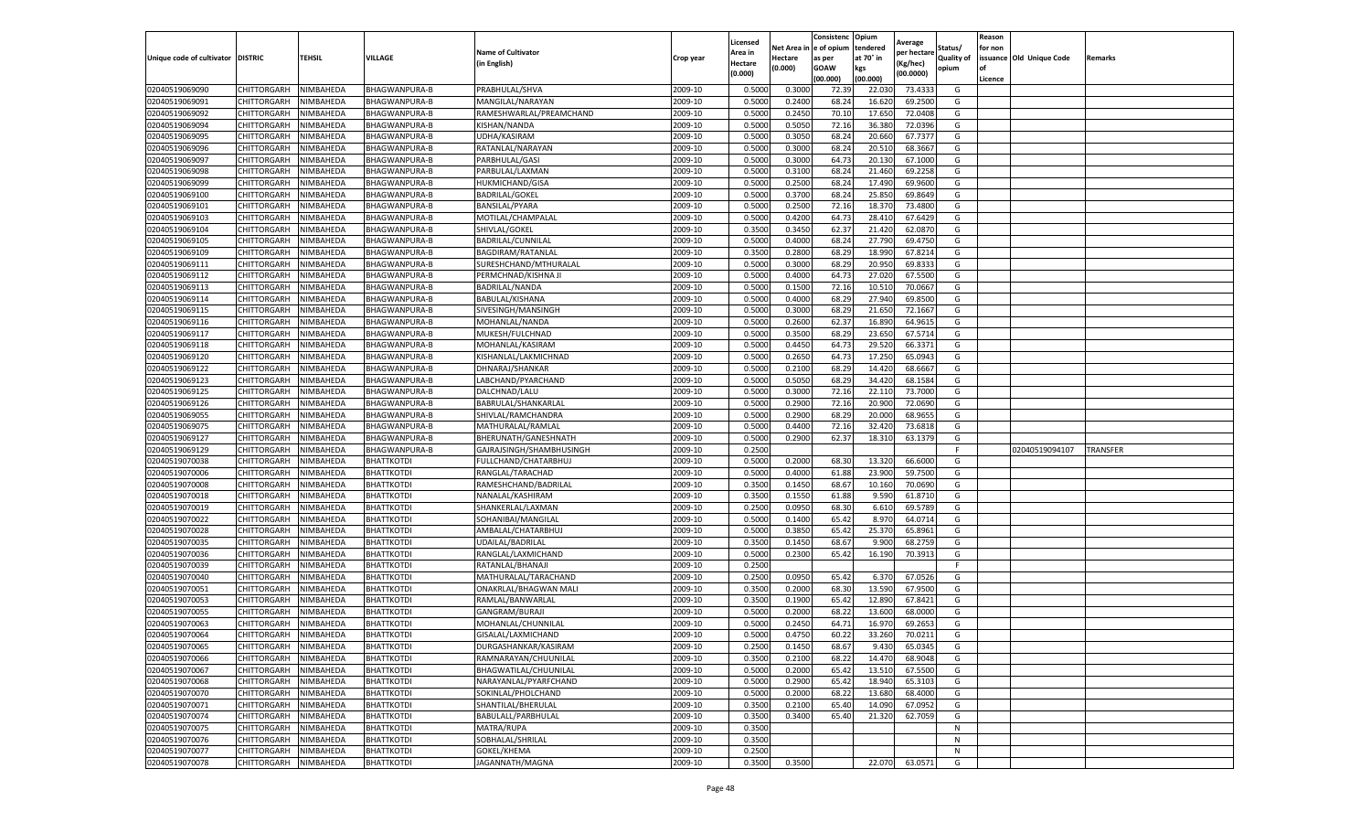|                                   |             |           |                      |                           |           | Licensed |            | Consistenc  | Opium     | Average     |                   | Reason  |                          |                 |
|-----------------------------------|-------------|-----------|----------------------|---------------------------|-----------|----------|------------|-------------|-----------|-------------|-------------------|---------|--------------------------|-----------------|
|                                   |             |           |                      | <b>Name of Cultivator</b> |           | Area in  | Net Area i | e of opium  | tendered  | per hectare | Status/           | for non |                          |                 |
| Unique code of cultivator DISTRIC |             | TEHSIL    | VILLAGE              | (in English)              | Crop year | Hectare  | Hectare    | as per      | at 70° in | (Kg/hec)    | <b>Quality of</b> |         | issuance Old Unique Code | Remarks         |
|                                   |             |           |                      |                           |           | (0.000)  | (0.000)    | <b>GOAW</b> | kgs       | (00.0000)   | opium             | οf      |                          |                 |
|                                   |             |           |                      |                           |           |          |            | (00.000     | (00.000)  |             |                   | Licence |                          |                 |
| 02040519069090                    | CHITTORGARH | NIMBAHEDA | <b>BHAGWANPURA-B</b> | PRABHULAL/SHVA            | 2009-10   | 0.5000   | 0.3000     | 72.39       | 22.03     | 73.4333     | G                 |         |                          |                 |
| 02040519069091                    | CHITTORGARH | NIMBAHEDA | BHAGWANPURA-B        | MANGILAL/NARAYAN          | 2009-10   | 0.500    | 0.2400     | 68.24       | 16.62     | 69.2500     | G                 |         |                          |                 |
| 02040519069092                    | CHITTORGARH | NIMBAHEDA | BHAGWANPURA-B        | RAMESHWARLAL/PREAMCHAND   | 2009-10   | 0.5000   | 0.2450     | 70.10       | 17.650    | 72.0408     | G                 |         |                          |                 |
| 02040519069094                    | CHITTORGARH | NIMBAHEDA | BHAGWANPURA-B        | KISHAN/NANDA              | 2009-10   | 0.5000   | 0.5050     | 72.16       | 36.380    | 72.0396     | G                 |         |                          |                 |
| 02040519069095                    | CHITTORGARH | NIMBAHEDA | BHAGWANPURA-B        | UDHA/KASIRAM              | 2009-10   | 0.5000   | 0.3050     | 68.24       | 20.660    | 67.7377     | G                 |         |                          |                 |
| 02040519069096                    | CHITTORGARH | NIMBAHEDA | BHAGWANPURA-B        | RATANLAL/NARAYAN          | 2009-10   | 0.5000   | 0.3000     | 68.24       | 20.51     | 68.3667     | G                 |         |                          |                 |
| 02040519069097                    | CHITTORGARH | NIMBAHEDA | BHAGWANPURA-B        | PARBHULAL/GASI            | 2009-10   | 0.5000   | 0.3000     | 64.73       | 20.130    | 67.1000     | G                 |         |                          |                 |
| 02040519069098                    | CHITTORGARH | NIMBAHEDA | BHAGWANPURA-B        | PARBULAL/LAXMAN           | 2009-10   | 0.500    | 0.310      | 68.24       | 21.460    | 69.2258     | G                 |         |                          |                 |
| 02040519069099                    | CHITTORGARH | NIMBAHEDA | <b>BHAGWANPURA-B</b> | HUKMICHAND/GISA           | 2009-10   | 0.500    | 0.2500     | 68.24       | 17.490    | 69.9600     | G                 |         |                          |                 |
| 02040519069100                    | CHITTORGARH | NIMBAHEDA | BHAGWANPURA-B        | <b>BADRILAL/GOKEL</b>     | 2009-10   | 0.5000   | 0.3700     | 68.24       | 25.850    | 69.8649     | G                 |         |                          |                 |
| 02040519069101                    | CHITTORGARH | NIMBAHEDA | BHAGWANPURA-B        | BANSILAL/PYARA            | 2009-10   | 0.5000   | 0.2500     | 72.16       | 18.37     | 73.4800     | G                 |         |                          |                 |
| 02040519069103                    | CHITTORGARH | NIMBAHEDA | BHAGWANPURA-B        | MOTILAL/CHAMPALAL         | 2009-10   | 0.5000   | 0.4200     | 64.73       | 28.41     | 67.6429     | G                 |         |                          |                 |
| 02040519069104                    | CHITTORGARH | NIMBAHEDA | BHAGWANPURA-B        | SHIVLAL/GOKEL             | 2009-10   | 0.3500   | 0.3450     | 62.37       | 21.420    | 62.0870     | G                 |         |                          |                 |
| 02040519069105                    | CHITTORGARH | NIMBAHEDA | BHAGWANPURA-B        | BADRILAL/CUNNILAL         | 2009-10   | 0.500    | 0.4000     | 68.24       | 27.790    | 69.4750     | G                 |         |                          |                 |
| 02040519069109                    | CHITTORGARH | NIMBAHEDA | BHAGWANPURA-B        | BAGDIRAM/RATANLAL         | 2009-10   | 0.3500   | 0.2800     | 68.29       | 18.990    | 67.8214     | G                 |         |                          |                 |
| 02040519069111                    | CHITTORGARH | NIMBAHEDA | BHAGWANPURA-B        | SURESHCHAND/MTHURALAL     | 2009-10   | 0.5000   | 0.3000     | 68.29       | 20.950    | 69.8333     | G                 |         |                          |                 |
| 02040519069112                    | CHITTORGARH | NIMBAHEDA | BHAGWANPURA-B        | PERMCHNAD/KISHNA JI       | 2009-10   | 0.500    | 0.4000     | 64.73       | 27.02     | 67.5500     | G                 |         |                          |                 |
| 02040519069113                    | CHITTORGARH | NIMBAHEDA | BHAGWANPURA-B        | BADRILAL/NANDA            | 2009-10   | 0.5000   | 0.1500     | 72.16       | 10.51     | 70.0667     | G                 |         |                          |                 |
| 02040519069114                    | CHITTORGARH | NIMBAHEDA | <b>BHAGWANPURA-B</b> | BABULAL/KISHANA           | 2009-10   | 0.500    | 0.4000     | 68.29       | 27.940    | 69.8500     | G                 |         |                          |                 |
| 02040519069115                    | CHITTORGARH | NIMBAHEDA | BHAGWANPURA-B        | SIVESINGH/MANSINGH        | 2009-10   | 0.5000   | 0.3000     | 68.29       | 21.650    | 72.1667     | G                 |         |                          |                 |
| 02040519069116                    | CHITTORGARH | NIMBAHEDA | BHAGWANPURA-B        | MOHANLAL/NANDA            | 2009-10   | 0.5000   | 0.2600     | 62.37       | 16.890    | 64.9615     | G                 |         |                          |                 |
| 02040519069117                    | CHITTORGARH | NIMBAHEDA | BHAGWANPURA-B        | MUKESH/FULCHNAD           | 2009-10   | 0.5000   | 0.3500     | 68.29       | 23.650    | 67.5714     | G                 |         |                          |                 |
| 02040519069118                    | CHITTORGARH | NIMBAHEDA | BHAGWANPURA-B        | MOHANLAL/KASIRAM          | 2009-10   | 0.5000   | 0.4450     | 64.73       | 29.520    | 66.3371     | G                 |         |                          |                 |
| 02040519069120                    | CHITTORGARH | NIMBAHEDA | BHAGWANPURA-B        | KISHANLAL/LAKMICHNAD      | 2009-10   | 0.5000   | 0.2650     | 64.73       | 17.250    | 65.0943     | G                 |         |                          |                 |
| 02040519069122                    | CHITTORGARH | NIMBAHEDA | BHAGWANPURA-B        | DHNARAJ/SHANKAR           | 2009-10   | 0.5000   | 0.2100     | 68.29       | 14.42     | 68.6667     | G                 |         |                          |                 |
| 02040519069123                    | CHITTORGARH | NIMBAHEDA | BHAGWANPURA-B        | LABCHAND/PYARCHAND        | 2009-10   | 0.5000   | 0.5050     | 68.29       | 34.420    | 68.1584     | G                 |         |                          |                 |
| 02040519069125                    | CHITTORGARH | NIMBAHEDA | BHAGWANPURA-B        | DALCHNAD/LALU             | 2009-10   | 0.5000   | 0.3000     | 72.16       | 22.110    | 73.7000     | G                 |         |                          |                 |
| 02040519069126                    | CHITTORGARH | NIMBAHEDA | BHAGWANPURA-B        | BABRULAL/SHANKARLAL       | 2009-10   | 0.5000   | 0.2900     | 72.16       | 20.900    | 72.0690     | G                 |         |                          |                 |
| 02040519069055                    | CHITTORGARH | NIMBAHEDA | BHAGWANPURA-B        | SHIVLAL/RAMCHANDRA        | 2009-10   | 0.5000   | 0.2900     | 68.29       | 20.000    | 68.9655     | G                 |         |                          |                 |
| 02040519069075                    | CHITTORGARH | NIMBAHEDA | BHAGWANPURA-B        | MATHURALAL/RAMLAL         | 2009-10   | 0.5000   | 0.4400     | 72.16       | 32.420    | 73.6818     | G                 |         |                          |                 |
| 02040519069127                    | CHITTORGARH | NIMBAHEDA | BHAGWANPURA-B        | BHERUNATH/GANESHNATH      | 2009-10   | 0.5000   | 0.2900     | 62.37       | 18.310    | 63.1379     | G                 |         |                          |                 |
| 02040519069129                    | CHITTORGARH | NIMBAHEDA | BHAGWANPURA-B        | GAJRAJSINGH/SHAMBHUSINGH  | 2009-10   | 0.2500   |            |             |           |             | F                 |         | 02040519094107           | <b>TRANSFER</b> |
| 02040519070038                    | CHITTORGARH | NIMBAHEDA | BHATTKOTDI           | FULLCHAND/CHATARBHUJ      | 2009-10   | 0.5000   | 0.2000     | 68.30       | 13.320    | 66.6000     | G                 |         |                          |                 |
| 02040519070006                    | CHITTORGARH | NIMBAHEDA | BHATTKOTDI           | RANGLAL/TARACHAD          | 2009-10   | 0.5000   | 0.4000     | 61.88       | 23.900    | 59.7500     | G                 |         |                          |                 |
| 02040519070008                    | CHITTORGARH | NIMBAHEDA | <b>BHATTKOTDI</b>    | RAMESHCHAND/BADRILAL      | 2009-10   | 0.3500   | 0.1450     | 68.67       | 10.160    | 70.0690     | G                 |         |                          |                 |
| 02040519070018                    | CHITTORGARH | NIMBAHEDA | BHATTKOTDI           | NANALAL/KASHIRAM          | 2009-10   | 0.3500   | 0.1550     | 61.88       | 9.590     | 61.8710     | G                 |         |                          |                 |
| 02040519070019                    | CHITTORGARH | NIMBAHEDA | BHATTKOTDI           | SHANKERLAL/LAXMAN         | 2009-10   | 0.2500   | 0.0950     | 68.30       | 6.610     | 69.5789     | G                 |         |                          |                 |
| 02040519070022                    | CHITTORGARH | NIMBAHEDA | <b>BHATTKOTDI</b>    | SOHANIBAI/MANGILAI        | 2009-10   | 0.5000   | 0.1400     | 65.42       | 8.970     | 64.0714     | G                 |         |                          |                 |
| 02040519070028                    | CHITTORGARH | NIMBAHEDA | BHATTKOTDI           | AMBALAL/CHATARBHUJ        | 2009-10   | 0.5000   | 0.3850     | 65.4        | 25.37     | 65.8961     | G                 |         |                          |                 |
| 02040519070035                    | CHITTORGARH | NIMBAHEDA | BHATTKOTDI           | UDAILAL/BADRILAL          | 2009-10   | 0.3500   | 0.1450     | 68.67       | 9.900     | 68.2759     | G                 |         |                          |                 |
| 02040519070036                    | CHITTORGARH | NIMBAHEDA | BHATTKOTDI           | RANGLAL/LAXMICHAND        | 2009-10   | 0.5000   | 0.2300     | 65.42       | 16.190    | 70.3913     | G                 |         |                          |                 |
| 02040519070039                    | CHITTORGARH | NIMBAHEDA | BHATTKOTDI           | RATANLAL/BHANAJI          | 2009-10   | 0.2500   |            |             |           |             | F                 |         |                          |                 |
| 02040519070040                    | CHITTORGARH | NIMBAHEDA | <b>BHATTKOTDI</b>    | MATHURALAL/TARACHAND      | 2009-10   | 0.2500   | 0.0950     | 65.42       | 6.370     | 67.0526     | G                 |         |                          |                 |
| 02040519070051                    | CHITTORGARH | NIMBAHEDA | BHATTKOTDI           | ONAKRLAL/BHAGWAN MALI     | 2009-10   | 0.3500   | 0.2000     | 68.30       | 13.590    | 67.9500     | G                 |         |                          |                 |
| 02040519070053                    | CHITTORGARH | NIMBAHEDA | BHATTKOTDI           | RAMLAL/BANWARLAI          | 2009-10   | 0.3500   | 0.1900     | 65.42       | 12.890    | 67.8421     | G                 |         |                          |                 |
| 02040519070055                    | CHITTORGARH | NIMBAHEDA | BHATTKOTDI           | GANGRAM/BURAJI            | 2009-10   | 0.500    | 0.2000     | 68.22       | 13.600    | 68.0000     | G                 |         |                          |                 |
| 02040519070063                    | CHITTORGARH | NIMBAHEDA | <b>BHATTKOTDI</b>    | MOHANLAL/CHUNNILAL        | 2009-10   | 0.5000   | 0.2450     | 64.71       | 16.97     | 69.2653     | G                 |         |                          |                 |
| 02040519070064                    | CHITTORGARH | NIMBAHEDA | <b>BHATTKOTDI</b>    | GISALAL/LAXMICHAND        | 2009-10   | 0.5000   | 0.4750     | 60.22       | 33.260    | 70.0211     | G                 |         |                          |                 |
| 02040519070065                    | CHITTORGARH | NIMBAHEDA | <b>BHATTKOTDI</b>    | DURGASHANKAR/KASIRAM      | 2009-10   | 0.2500   | 0.1450     | 68.67       | 9.430     | 65.0345     | G                 |         |                          |                 |
| 02040519070066                    | CHITTORGARH | NIMBAHEDA | BHATTKOTDI           | RAMNARAYAN/CHUUNILAL      | 2009-10   | 0.3500   | 0.2100     | 68.22       | 14.470    | 68.9048     | G                 |         |                          |                 |
| 02040519070067                    | CHITTORGARH | NIMBAHEDA | BHATTKOTDI           | BHAGWATILAL/CHUUNILAL     | 2009-10   | 0.5000   | 0.2000     | 65.42       | 13.510    | 67.5500     | G                 |         |                          |                 |
| 02040519070068                    | CHITTORGARH | NIMBAHEDA | <b>BHATTKOTDI</b>    | NARAYANLAL/PYARFCHAND     | 2009-10   | 0.5000   | 0.2900     | 65.42       | 18.940    | 65.3103     | G                 |         |                          |                 |
| 02040519070070                    | CHITTORGARH | NIMBAHEDA | BHATTKOTDI           | SOKINLAL/PHOLCHAND        | 2009-10   | 0.5000   | 0.2000     | 68.22       | 13.680    | 68.4000     | G                 |         |                          |                 |
| 02040519070071                    | CHITTORGARH | NIMBAHEDA | <b>BHATTKOTDI</b>    | SHANTILAL/BHERULAL        | 2009-10   | 0.3500   | 0.2100     | 65.40       | 14.090    | 67.0952     | G                 |         |                          |                 |
| 02040519070074                    | CHITTORGARH | NIMBAHEDA | BHATTKOTDI           | BABULALL/PARBHULAL        | 2009-10   | 0.3500   | 0.3400     | 65.40       | 21.320    | 62.7059     | G                 |         |                          |                 |
| 02040519070075                    | CHITTORGARH | NIMBAHEDA | BHATTKOTDI           | MATRA/RUPA                | 2009-10   | 0.3500   |            |             |           |             | N                 |         |                          |                 |
| 02040519070076                    | CHITTORGARH | NIMBAHEDA | <b>BHATTKOTDI</b>    | SOBHALAL/SHRILAL          | 2009-10   | 0.3500   |            |             |           |             | N                 |         |                          |                 |
| 02040519070077                    | CHITTORGARH | NIMBAHEDA | <b>BHATTKOTDI</b>    | GOKEL/KHEMA               | 2009-10   | 0.2500   |            |             |           |             | N                 |         |                          |                 |
| 02040519070078                    | CHITTORGARH | NIMBAHEDA | <b>BHATTKOTDI</b>    | JAGANNATH/MAGNA           | 2009-10   | 0.3500   | 0.3500     |             | 22.070    | 63.0571     | G                 |         |                          |                 |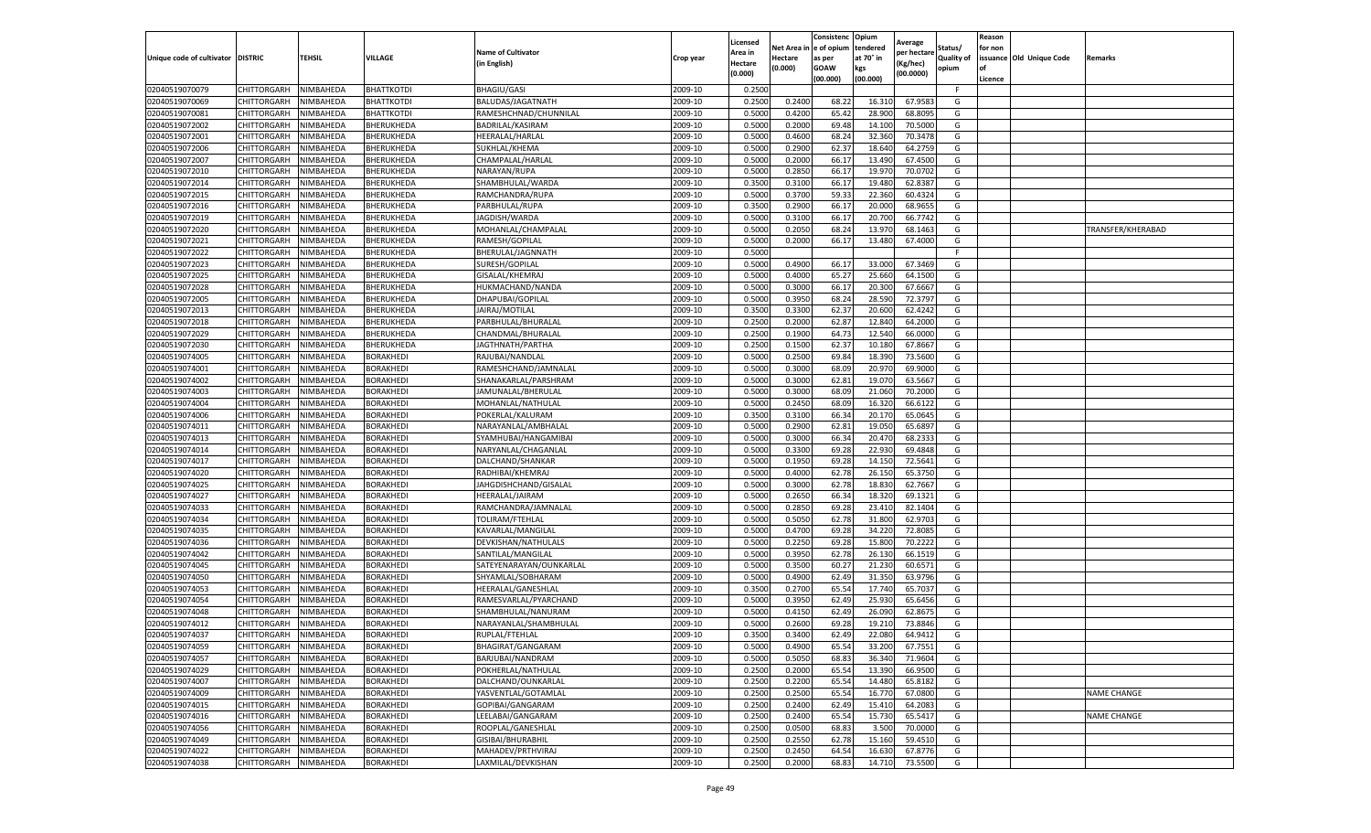|                                   |             |                  |                   |                           |                    | Licensed         |         | Consistenc              | Opium     | Average     |            | Reason  |                          |                    |
|-----------------------------------|-------------|------------------|-------------------|---------------------------|--------------------|------------------|---------|-------------------------|-----------|-------------|------------|---------|--------------------------|--------------------|
|                                   |             |                  |                   | <b>Name of Cultivator</b> |                    | Area in          |         | Net Area in le of opium | tendered  | per hectare | Status/    | for non |                          |                    |
| Unique code of cultivator DISTRIC |             | <b>TEHSIL</b>    | VILLAGE           | (in English)              | Crop year          | Hectare          | Hectare | as per                  | at 70° in | Kg/hec)     | Quality of |         | issuance Old Unique Code | Remarks            |
|                                   |             |                  |                   |                           |                    | (0.000)          | (0.000) | GOAW                    | kgs       | (00.0000)   | opium      |         |                          |                    |
|                                   |             |                  |                   |                           |                    |                  |         | (00.000)                | (00.000)  |             |            | Licence |                          |                    |
| 02040519070079                    | CHITTORGARH | NIMBAHEDA        | <b>BHATTKOTDI</b> | <b>BHAGIU/GASI</b>        | 2009-10            | 0.2500           |         |                         |           |             | F          |         |                          |                    |
| 02040519070069                    | CHITTORGARH | NIMBAHEDA        | BHATTKOTDI        | BALUDAS/JAGATNATH         | 2009-10            | 0.2500           | 0.2400  | 68.2                    | 16.31     | 67.958      | G          |         |                          |                    |
| 02040519070081                    | CHITTORGARH | NIMBAHEDA        | BHATTKOTDI        | RAMESHCHNAD/CHUNNILAL     | 2009-10            | 0.5000           | 0.4200  | 65.42                   | 28.900    | 68.809      | G          |         |                          |                    |
| 02040519072002                    | CHITTORGARH | NIMBAHEDA        | BHERUKHEDA        | BADRILAL/KASIRAM          | 2009-10            | 0.5000           | 0.2000  | 69.48                   | 14.100    | 70.5000     | G          |         |                          |                    |
| 02040519072001                    | CHITTORGARH | NIMBAHEDA        | BHERUKHEDA        | HEERALAL/HARLAL           | 2009-10            | 0.5000           | 0.4600  | 68.24                   | 32.360    | 70.347      | G          |         |                          |                    |
| 02040519072006                    | CHITTORGARH | NIMBAHEDA        | BHERUKHEDA        | SUKHLAL/KHEMA             | 2009-10            | 0.5000           | 0.2900  | 62.37                   | 18.640    | 64.275      | G          |         |                          |                    |
| 02040519072007                    | CHITTORGARH | NIMBAHEDA        | BHERUKHEDA        | CHAMPALAL/HARLAL          | 2009-10            | 0.5000           | 0.2000  | 66.17                   | 13.490    | 67.450      | G          |         |                          |                    |
| 02040519072010                    | CHITTORGARH | NIMBAHEDA        | BHERUKHEDA        | NARAYAN/RUPA              | 2009-10            | 0.5000           | 0.2850  | 66.17                   | 19.97     | 70.070      | G          |         |                          |                    |
| 02040519072014                    | CHITTORGARH | NIMBAHEDA        | BHERUKHEDA        | SHAMBHULAL/WARDA          | 2009-10            | 0.3500           | 0.3100  | 66.17                   | 19.480    | 62.838      | G          |         |                          |                    |
| 02040519072015                    | CHITTORGARH | NIMBAHEDA        | BHERUKHEDA        | RAMCHANDRA/RUPA           | 2009-10            | 0.5000           | 0.3700  | 59.3                    | 22.360    | 60.4324     | G          |         |                          |                    |
| 02040519072016                    | CHITTORGARH | NIMBAHEDA        | BHERUKHEDA        | PARBHULAL/RUPA            | 2009-10            | 0.3500           | 0.2900  | 66.17                   | 20.000    | 68.965      | G          |         |                          |                    |
| 02040519072019                    | CHITTORGARH | NIMBAHEDA        | BHERUKHEDA        | JAGDISH/WARDA             | 2009-10            | 0.5000           | 0.310   | 66.17                   | 20.700    | 66.774      | G          |         |                          |                    |
| 02040519072020                    | CHITTORGARH | <b>NIMBAHEDA</b> | BHERUKHEDA        | MOHANLAL/CHAMPALAI        | 2009-10            | 0.5000           | 0.2050  | 68.24                   | 13.970    | 68.146      | G          |         |                          | TRANSFER/KHERABAD  |
| 02040519072021                    | CHITTORGARH | NIMBAHEDA        | BHERUKHEDA        | RAMESH/GOPILAL            | 2009-10            | 0.5000           | 0.2000  | 66.17                   | 13.480    | 67.400      | G          |         |                          |                    |
| 02040519072022                    | CHITTORGARH | NIMBAHEDA        | BHERUKHEDA        | BHERULAL/JAGNNATH         | 2009-10            | 0.5000           |         |                         |           |             | -F         |         |                          |                    |
| 02040519072023                    | CHITTORGARH | NIMBAHEDA        | BHERUKHEDA        | SURESH/GOPILAL            | 2009-10            | 0.5000           | 0.4900  | 66.17                   | 33.000    | 67.346      | G          |         |                          |                    |
| 02040519072025                    | CHITTORGARH | NIMBAHEDA        | BHERUKHEDA        | GISALAL/KHEMRAJ           | 2009-10            | 0.5000           | 0.4000  | 65.27                   | 25.660    | 64.150      | G          |         |                          |                    |
| 02040519072028                    | CHITTORGARH | NIMBAHEDA        | BHERUKHEDA        | HUKMACHAND/NANDA          | 2009-10            | 0.5000           | 0.3000  | 66.17                   | 20.300    | 67.6667     | G          |         |                          |                    |
| 02040519072005                    | CHITTORGARH | <b>NIMBAHEDA</b> | BHERUKHEDA        | DHAPUBAI/GOPILAL          | 2009-10            | 0.500            | 0.395   | 68.24                   | 28.590    | 72.379      | G          |         |                          |                    |
| 02040519072013                    | CHITTORGARH | <b>NIMBAHEDA</b> | BHERUKHEDA        | JAIRAJ/MOTILAL            | 2009-10            | 0.3500           | 0.330   | 62.37                   | 20.600    | 62.424      | G          |         |                          |                    |
| 02040519072018                    | CHITTORGARH | NIMBAHEDA        | BHERUKHEDA        | PARBHULAL/BHURALAL        | 2009-10            | 0.2500           | 0.2000  | 62.87                   | 12.840    | 64.2000     | G          |         |                          |                    |
| 02040519072029                    | CHITTORGARH | NIMBAHEDA        | BHERUKHEDA        | CHANDMAL/BHURALAL         | 2009-10            | 0.2500           | 0.1900  | 64.7                    | 12.540    | 66.000      | G          |         |                          |                    |
| 02040519072030                    | CHITTORGARH | NIMBAHEDA        | BHERUKHEDA        | JAGTHNATH/PARTHA          | 2009-10            | 0.2500           | 0.1500  | 62.37                   | 10.180    | 67.8667     | G          |         |                          |                    |
| 02040519074005                    | CHITTORGARH | NIMBAHEDA        | <b>BORAKHEDI</b>  | RAJUBAI/NANDLAL           | 2009-10            | 0.5000           | 0.250   | 69.84                   | 18.390    | 73.560      | G          |         |                          |                    |
| 02040519074001                    | CHITTORGARH | NIMBAHEDA        | BORAKHEDI         | RAMESHCHAND/JAMNALAL      | 2009-10            | 0.5000           | 0.3000  | 68.09                   | 20.97     | 69.900      | G          |         |                          |                    |
| 02040519074002                    | CHITTORGARH | NIMBAHEDA        | BORAKHEDI         | SHANAKARLAL/PARSHRAM      | 2009-10            | 0.5000           | 0.3000  | 62.81                   | 19.070    | 63.566      | G          |         |                          |                    |
| 02040519074003                    | CHITTORGARH | NIMBAHEDA        | BORAKHEDI         | JAMUNALAL/BHERULAL        | 2009-10            | 0.5000           | 0.3000  | 68.09                   | 21.06     | 70.200      | G          |         |                          |                    |
| 02040519074004                    | CHITTORGARH | NIMBAHEDA        | BORAKHEDI         | MOHANLAL/NATHULAL         | 2009-10            | 0.5000           | 0.2450  | 68.09                   | 16.320    | 66.612      | G          |         |                          |                    |
| 02040519074006                    | CHITTORGARH | NIMBAHEDA        | BORAKHEDI         | POKERLAL/KALURAM          | 2009-10            | 0.3500           | 0.3100  | 66.34                   | 20.170    | 65.0645     | G          |         |                          |                    |
| 02040519074011                    | CHITTORGARH | NIMBAHEDA        | BORAKHEDI         | NARAYANLAL/AMBHALAL       | 2009-10            | 0.5000           | 0.2900  | 62.8                    | 19.050    | 65.689      | G          |         |                          |                    |
| 02040519074013                    | CHITTORGARH | NIMBAHEDA        | BORAKHEDI         | SYAMHUBAI/HANGAMIBAI      | 2009-10            | 0.500            | 0.3000  | 66.34                   | 20.470    | 68.233      | G          |         |                          |                    |
| 02040519074014                    | CHITTORGARH | NIMBAHEDA        | BORAKHEDI         | NARYANLAL/CHAGANLAI       | 2009-10            | 0.5000           | 0.3300  | 69.28                   | 22.930    | 69.484      | G          |         |                          |                    |
| 02040519074017                    | CHITTORGARH | NIMBAHEDA        | BORAKHEDI         | DALCHAND/SHANKAR          | 2009-10            | 0.5000           | 0.1950  | 69.28                   | 14.150    | 72.564      | G          |         |                          |                    |
| 02040519074020                    | CHITTORGARH | NIMBAHEDA        | BORAKHEDI         | RADHIBAI/KHEMRAJ          | 2009-10            | 0.5000           | 0.4000  | 62.78                   | 26.150    | 65.375      | G          |         |                          |                    |
| 02040519074025                    | CHITTORGARH | NIMBAHEDA        | <b>BORAKHEDI</b>  | JAHGDISHCHAND/GISALAL     | 2009-10            | 0.5000           | 0.3000  | 62.78                   | 18.830    | 62.7667     | G          |         |                          |                    |
| 02040519074027                    | CHITTORGARH | NIMBAHEDA        | BORAKHEDI         | HEERALAL/JAIRAM           | 2009-10            | 0.5000           | 0.2650  | 66.34                   | 18.320    | 69.132      | G          |         |                          |                    |
| 02040519074033                    | CHITTORGARH | NIMBAHEDA        | BORAKHEDI         | RAMCHANDRA/JAMNALAL       | 2009-10            | 0.5000           | 0.2850  | 69.28                   | 23.410    | 82.140      | G          |         |                          |                    |
| 02040519074034                    | CHITTORGARH | NIMBAHEDA        | BORAKHEDI         | TOLIRAM/FTEHLAL           | 2009-10            | 0.5000           | 0.5050  | 62.78                   | 31.800    | 62.970      | G          |         |                          |                    |
| 02040519074035                    | CHITTORGARH | NIMBAHEDA        | BORAKHEDI         | KAVARLAL/MANGILAI         | 2009-10            | 0.5000           | 0.4700  | 69.28                   | 34.220    | 72.808      | G          |         |                          |                    |
| 02040519074036                    | CHITTORGARH | NIMBAHEDA        | BORAKHEDI         | DEVKISHAN/NATHULALS       | 2009-10            | 0.5000           | 0.2250  | 69.28                   | 15.800    | 70.222      | G          |         |                          |                    |
| 02040519074042                    | CHITTORGARH | NIMBAHEDA        | BORAKHEDI         | SANTILAL/MANGILAI         | 2009-10            | 0.5000           | 0.395   | 62.78                   | 26.130    | 66.151      | G          |         |                          |                    |
| 02040519074045                    | CHITTORGARH | NIMBAHEDA        | BORAKHEDI         | SATEYENARAYAN/OUNKARLAL   | 2009-10            | 0.5000           | 0.350   | 60.27                   | 21.230    | 60.657      | G          |         |                          |                    |
| 02040519074050                    | CHITTORGARH | NIMBAHEDA        | BORAKHEDI         | SHYAMLAL/SOBHARAM         | 2009-10            | 0.5000           | 0.4900  | 62.4                    | 31.350    | 63.979      | G          |         |                          |                    |
| 02040519074053                    | CHITTORGARH | NIMBAHEDA        | BORAKHEDI         | HEERALAL/GANESHLAL        | 2009-10            | 0.3500           | 0.2700  | 65.54                   | 17.740    | 65.703      | G          |         |                          |                    |
| 02040519074054                    | CHITTORGARH | NIMBAHEDA        | BORAKHEDI         | RAMESVARLAL/PYARCHAND     | 2009-10            | 0.5000           | 0.395   | 62.49                   | 25.93     | 65.645      | G          |         |                          |                    |
| 02040519074048                    | CHITTORGARH | NIMBAHEDA        | BORAKHED          | SHAMBHULAL/NANURAM        | 2009-10            | 0.5000           | 0.415   | 62.4                    | 26.090    | 62.867      | G          |         |                          |                    |
| 02040519074012                    | CHITTORGARH | NIMBAHEDA        | BORAKHED          | NARAYANLAL/SHAMBHULAL     | 2009-10            | 0.500            | 0.260   | 69.28                   | 19.210    | 73.884      | G          |         |                          |                    |
|                                   | CHITTORGARH | <b>NIMBAHEDA</b> |                   |                           |                    | 0.3500           | 0.3400  | 62.49                   | 22.080    | 64.9412     | G          |         |                          |                    |
| 02040519074037                    |             |                  | BORAKHEDI         | RUPLAL/FTEHLAL            | 2009-10            |                  |         |                         |           |             |            |         |                          |                    |
| 02040519074059<br>02040519074057  | CHITTORGARH | NIMBAHEDA        | BORAKHEDI         | BHAGIRAT/GANGARAM         | 2009-10<br>2009-10 | 0.5000<br>0.5000 | 0.4900  | 65.54<br>68.83          | 33.200    | 67.7551     | G          |         |                          |                    |
|                                   | CHITTORGARH | NIMBAHEDA        | <b>BORAKHEDI</b>  | BARJUBAI/NANDRAM          |                    |                  | 0.5050  |                         | 36.340    | 71.9604     | G          |         |                          |                    |
| 02040519074029                    | CHITTORGARH | NIMBAHEDA        | BORAKHEDI         | POKHERLAL/NATHULAL        | 2009-10            | 0.2500           | 0.2000  | 65.54                   | 13.390    | 66.9500     | G          |         |                          |                    |
| 02040519074007                    | CHITTORGARH | NIMBAHEDA        | BORAKHEDI         | DALCHAND/OUNKARLAL        | 2009-10            | 0.2500           | 0.2200  | 65.54                   | 14.480    | 65.8182     | G          |         |                          |                    |
| 02040519074009                    | CHITTORGARH | NIMBAHEDA        | BORAKHEDI         | YASVENTLAL/GOTAMLAL       | 2009-10            | 0.2500           | 0.2500  | 65.54                   | 16.770    | 67.0800     | G          |         |                          | <b>NAME CHANGE</b> |
| 02040519074015                    | CHITTORGARH | NIMBAHEDA        | <b>BORAKHEDI</b>  | GOPIBAI/GANGARAM          | 2009-10            | 0.2500           | 0.2400  | 62.49                   | 15.410    | 64.2083     | G          |         |                          |                    |
| 02040519074016                    | CHITTORGARH | NIMBAHEDA        | <b>BORAKHEDI</b>  | LEELABAI/GANGARAM         | 2009-10            | 0.2500           | 0.2400  | 65.54                   | 15.730    | 65.5417     | G          |         |                          | NAME CHANGE        |
| 02040519074056                    | CHITTORGARH | NIMBAHEDA        | BORAKHEDI         | ROOPLAL/GANESHLAL         | 2009-10            | 0.2500           | 0.0500  | 68.83                   | 3.500     | 70.0000     | G          |         |                          |                    |
| 02040519074049                    | CHITTORGARH | NIMBAHEDA        | <b>BORAKHEDI</b>  | GISIBAI/BHURABHIL         | 2009-10            | 0.2500           | 0.2550  | 62.78                   | 15.160    | 59.451      | G          |         |                          |                    |
| 02040519074022                    | CHITTORGARH | NIMBAHEDA        | BORAKHEDI         | MAHADEV/PRTHVIRAJ         | 2009-10            | 0.2500           | 0.245   | 64.54                   | 16.630    | 67.8776     | G          |         |                          |                    |
| 02040519074038                    | CHITTORGARH | NIMBAHEDA        | <b>BORAKHEDI</b>  | LAXMILAL/DEVKISHAN        | 2009-10            | 0.2500           | 0.2000  | 68.83                   | 14.710    | 73.5500     | G          |         |                          |                    |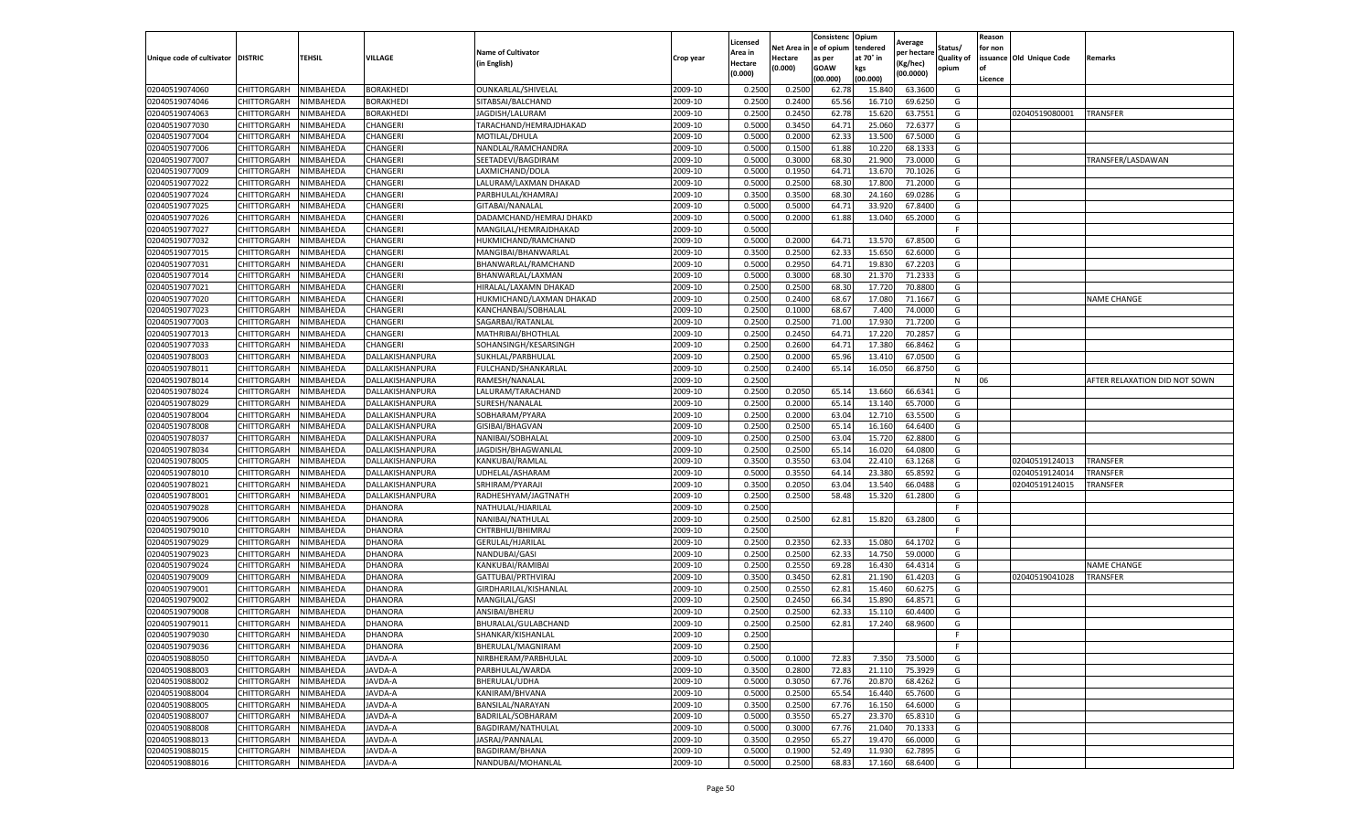|                           |                    |           |                  |                           |           | Licensed |         | Consistenc             | Opium     | Average     |                   | Reason  |                          |                               |
|---------------------------|--------------------|-----------|------------------|---------------------------|-----------|----------|---------|------------------------|-----------|-------------|-------------------|---------|--------------------------|-------------------------------|
|                           |                    |           |                  | <b>Name of Cultivator</b> |           | Area in  |         | Net Area in e of opium | tendered  | per hectare | Status/           | for non |                          |                               |
| Unique code of cultivator | <b>DISTRIC</b>     | TEHSIL    | VILLAGE          | in English)               | Crop year | Hectare  | Hectare | as per                 | at 70° in | (Kg/hec     | <b>Quality of</b> |         | issuance Old Unique Code | <b>Remarks</b>                |
|                           |                    |           |                  |                           |           | (0.000)  | (0.000) | <b>GOAW</b>            | kgs       | (00.0000)   | opium             |         |                          |                               |
|                           |                    |           |                  |                           |           |          |         | (00.000)               | (00.000)  |             |                   | Licence |                          |                               |
| 02040519074060            | CHITTORGARH        | NIMBAHEDA | <b>BORAKHEDI</b> | OUNKARLAL/SHIVELAL        | 2009-10   | 0.2500   | 0.2500  | 62.78                  | 15.84     | 63.3600     | G                 |         |                          |                               |
| 02040519074046            | CHITTORGARH        | NIMBAHEDA | <b>BORAKHEDI</b> | SITABSAI/BALCHAND         | 2009-10   | 0.2500   | 0.2400  | 65.56                  | 16.71     | 69.6250     | G                 |         |                          |                               |
| 02040519074063            | CHITTORGARH        | NIMBAHEDA | <b>BORAKHEDI</b> | JAGDISH/LALURAM           | 2009-10   | 0.2500   | 0.2450  | 62.78                  | 15.62     | 63.7551     | G                 |         | 02040519080001           | <b>TRANSFER</b>               |
| 02040519077030            | CHITTORGARH        | NIMBAHEDA | CHANGERI         | TARACHAND/HEMRAJDHAKAD    | 2009-10   | 0.5000   | 0.3450  | 64.71                  | 25.060    | 72.6377     | G                 |         |                          |                               |
| 02040519077004            | <b>CHITTORGARH</b> | NIMBAHEDA | CHANGERI         | MOTILAL/DHULA             | 2009-10   | 0.5000   | 0.2000  | 62.33                  | 13.50     | 67.5000     | G                 |         |                          |                               |
| 02040519077006            | CHITTORGARH        | NIMBAHEDA | CHANGERI         | NANDLAL/RAMCHANDRA        | 2009-10   | 0.5000   | 0.1500  | 61.88                  | 10.22     | 68.133      | G                 |         |                          |                               |
| 02040519077007            | CHITTORGARH        | NIMBAHEDA | CHANGERI         | SEETADEVI/BAGDIRAM        | 2009-10   | 0.5000   | 0.3000  | 68.30                  | 21.900    | 73.0000     | G                 |         |                          | TRANSFER/LASDAWAN             |
| 02040519077009            | CHITTORGARH        | NIMBAHEDA | CHANGERI         | LAXMICHAND/DOLA           | 2009-10   | 0.5000   | 0.1950  | 64.7                   | 13.67     | 70.1026     | G                 |         |                          |                               |
| 02040519077022            | CHITTORGARH        | NIMBAHEDA | CHANGERI         | LALURAM/LAXMAN DHAKAD     | 2009-10   | 0.5000   | 0.2500  | 68.30                  | 17.80     | 71.2000     | G                 |         |                          |                               |
| 02040519077024            | CHITTORGARH        | NIMBAHEDA | CHANGERI         | PARBHULAL/KHAMRAJ         | 2009-10   | 0.3500   | 0.3500  | 68.30                  | 24.160    | 69.0286     | G                 |         |                          |                               |
| 02040519077025            | CHITTORGARH        | NIMBAHEDA | CHANGERI         | GITABAI/NANALAL           | 2009-10   | 0.5000   | 0.5000  | 64.71                  | 33.92     | 67.8400     | G                 |         |                          |                               |
| 02040519077026            | CHITTORGARH        | NIMBAHEDA | CHANGERI         | DADAMCHAND/HEMRAJ DHAKD   | 2009-10   | 0.5000   | 0.2000  | 61.88                  | 13.040    | 65.2000     | G                 |         |                          |                               |
| 02040519077027            | CHITTORGARH        | NIMBAHEDA | CHANGERI         | MANGILAL/HEMRAJDHAKAD     | 2009-10   | 0.5000   |         |                        |           |             | F                 |         |                          |                               |
| 02040519077032            | CHITTORGARH        | NIMBAHEDA | CHANGERI         | HUKMICHAND/RAMCHAND       | 2009-10   | 0.5000   | 0.2000  | 64.7                   | 13.57     | 67.8500     | G                 |         |                          |                               |
| 02040519077015            | CHITTORGARH        | NIMBAHEDA | CHANGERI         | MANGIBAI/BHANWARLAL       | 2009-10   | 0.3500   | 0.2500  | 62.33                  | 15.650    | 62.6000     | G                 |         |                          |                               |
| 02040519077031            | CHITTORGARH        | NIMBAHEDA | CHANGERI         | BHANWARLAL/RAMCHAND       | 2009-10   | 0.5000   | 0.2950  | 64.71                  | 19.83     | 67.2203     | G                 |         |                          |                               |
| 02040519077014            | CHITTORGARH        | NIMBAHEDA | CHANGERI         | BHANWARLAL/LAXMAN         | 2009-10   | 0.5000   | 0.3000  | 68.30                  | 21.37     | 71.2333     | G                 |         |                          |                               |
| 02040519077021            | CHITTORGARH        | NIMBAHEDA | CHANGERI         | HIRALAL/LAXAMN DHAKAD     | 2009-10   | 0.2500   | 0.2500  | 68.30                  | 17.72     | 70.8800     | G                 |         |                          |                               |
| 02040519077020            | CHITTORGARH        | NIMBAHEDA | CHANGERI         | HUKMICHAND/LAXMAN DHAKAD  | 2009-10   | 0.2500   | 0.2400  | 68.67                  | 17.08     | 71.1667     | G                 |         |                          | <b>NAME CHANGE</b>            |
| 02040519077023            | CHITTORGARH        | NIMBAHEDA | CHANGERI         | KANCHANBAI/SOBHALAI       | 2009-10   | 0.2500   | 0.1000  | 68.67                  | 7.400     | 74.0000     | G                 |         |                          |                               |
| 02040519077003            | CHITTORGARH        | NIMBAHEDA | CHANGERI         | SAGARBAI/RATANLAL         | 2009-10   | 0.2500   | 0.2500  | 71.00                  | 17.93     | 71.7200     | G                 |         |                          |                               |
| 02040519077013            | CHITTORGARH        | NIMBAHEDA | CHANGERI         | MATHRIBAI/BHOTHLAL        | 2009-10   | 0.2500   | 0.2450  | 64.71                  | 17.22     | 70.2857     | G                 |         |                          |                               |
| 02040519077033            | CHITTORGARH        | NIMBAHEDA | CHANGERI         | SOHANSINGH/KESARSINGH     | 2009-10   | 0.2500   | 0.2600  | 64.71                  | 17.380    | 66.8462     | G                 |         |                          |                               |
| 02040519078003            | CHITTORGARH        | NIMBAHEDA | DALLAKISHANPURA  | SUKHLAL/PARBHULAL         | 2009-10   | 0.2500   | 0.2000  | 65.96                  | 13.41     | 67.0500     | G                 |         |                          |                               |
| 02040519078011            | CHITTORGARH        | NIMBAHEDA | DALLAKISHANPURA  | FULCHAND/SHANKARLAL       | 2009-10   | 0.2500   | 0.2400  | 65.14                  | 16.05     | 66.8750     | G                 |         |                          |                               |
| 02040519078014            | CHITTORGARH        | NIMBAHEDA | DALLAKISHANPURA  | RAMESH/NANALAL            | 2009-10   | 0.2500   |         |                        |           |             | N                 | 06      |                          | AFTER RELAXATION DID NOT SOWN |
| 02040519078024            | CHITTORGARH        | NIMBAHEDA | DALLAKISHANPURA  | LALURAM/TARACHAND         | 2009-10   | 0.2500   | 0.2050  | 65.14                  | 13.66     | 66.6341     | G                 |         |                          |                               |
| 02040519078029            | CHITTORGARH        | NIMBAHEDA | DALLAKISHANPURA  | SURESH/NANALAL            | 2009-10   | 0.2500   | 0.2000  | 65.14                  | 13.140    | 65.7000     | G                 |         |                          |                               |
| 02040519078004            | CHITTORGARH        | NIMBAHEDA | DALLAKISHANPURA  | SOBHARAM/PYARA            | 2009-10   | 0.2500   | 0.2000  | 63.04                  | 12.710    | 63.5500     | G                 |         |                          |                               |
| 02040519078008            | CHITTORGARH        | NIMBAHEDA | DALLAKISHANPURA  | GISIBAI/BHAGVAN           | 2009-10   | 0.2500   | 0.2500  | 65.14                  | 16.16     | 64.6400     | G                 |         |                          |                               |
| 02040519078037            | CHITTORGARH        | NIMBAHEDA | DALLAKISHANPURA  | NANIBAI/SOBHALAL          | 2009-10   | 0.2500   | 0.2500  | 63.04                  | 15.72     | 62.8800     | G                 |         |                          |                               |
| 02040519078034            | CHITTORGARH        | NIMBAHEDA | DALLAKISHANPURA  | JAGDISH/BHAGWANLAL        | 2009-10   | 0.2500   | 0.2500  | 65.14                  | 16.02     | 64.0800     | G                 |         |                          |                               |
| 02040519078005            | CHITTORGARH        | NIMBAHEDA | DALLAKISHANPURA  | KANKUBAI/RAMLAL           | 2009-10   | 0.3500   | 0.3550  | 63.04                  | 22.41     | 63.1268     | G                 |         | 02040519124013           | <b>TRANSFER</b>               |
| 02040519078010            | CHITTORGARH        | NIMBAHEDA | DALLAKISHANPURA  | UDHELAL/ASHARAM           | 2009-10   | 0.5000   | 0.3550  | 64.14                  | 23.380    | 65.8592     | G                 |         | 02040519124014           | TRANSFER                      |
| 02040519078021            | CHITTORGARH        | NIMBAHEDA | DALLAKISHANPURA  | SRHIRAM/PYARAJI           | 2009-10   | 0.3500   | 0.2050  | 63.04                  | 13.540    | 66.0488     | G                 |         | 02040519124015           | TRANSFER                      |
| 02040519078001            | CHITTORGARH        | NIMBAHEDA | DALLAKISHANPURA  | RADHESHYAM/JAGTNATH       | 2009-10   | 0.2500   | 0.2500  | 58.48                  | 15.320    | 61.2800     | G                 |         |                          |                               |
| 02040519079028            | CHITTORGARH        | NIMBAHEDA | DHANORA          | NATHULAL/HJARILAI         | 2009-10   | 0.2500   |         |                        |           |             | F                 |         |                          |                               |
| 02040519079006            | CHITTORGARH        | NIMBAHEDA | DHANORA          | NANIBAI/NATHULAL          | 2009-10   | 0.2500   | 0.2500  | 62.81                  | 15.820    | 63.2800     | G                 |         |                          |                               |
| 02040519079010            | CHITTORGARH        | NIMBAHEDA | DHANORA          | CHTRBHUJ/BHIMRAJ          | 2009-10   | 0.2500   |         |                        |           |             | F                 |         |                          |                               |
| 02040519079029            | CHITTORGARH        | NIMBAHEDA | DHANORA          | GERULAL/HJARILAL          | 2009-10   | 0.2500   | 0.2350  | 62.33                  | 15.08     | 64.1702     | G                 |         |                          |                               |
| 02040519079023            | CHITTORGARH        | NIMBAHEDA | DHANORA          | NANDUBAI/GASI             | 2009-10   | 0.2500   | 0.2500  | 62.33                  | 14.75     | 59.0000     | G                 |         |                          |                               |
| 02040519079024            | CHITTORGARH        | NIMBAHEDA | DHANORA          | KANKUBAI/RAMIBAI          | 2009-10   | 0.2500   | 0.2550  | 69.28                  | 16.43     | 64.4314     | G                 |         |                          | <b>NAME CHANGE</b>            |
| 02040519079009            | CHITTORGARH        | NIMBAHEDA | DHANORA          | GATTUBAI/PRTHVIRAJ        | 2009-10   | 0.3500   | 0.3450  | 62.81                  | 21.19     | 61.4203     | G                 |         | 02040519041028           | TRANSFER                      |
| 02040519079001            | CHITTORGARH        | NIMBAHEDA | DHANORA          | GIRDHARILAL/KISHANLAL     | 2009-10   | 0.2500   | 0.2550  | 62.81                  | 15.46     | 60.6275     | G                 |         |                          |                               |
| 02040519079002            | CHITTORGARH        | NIMBAHEDA | DHANORA          | MANGILAL/GASI             | 2009-10   | 0.2500   | 0.2450  | 66.34                  | 15.89     | 64.8571     | G                 |         |                          |                               |
| 02040519079008            | CHITTORGARH        | NIMBAHEDA | DHANORA          | ANSIBAI/BHERU             | 2009-10   | 0.2500   | 0.2500  | 62.33                  | 15.11     | 60.4400     | G                 |         |                          |                               |
| 02040519079011            | CHITTORGARH        | NIMBAHEDA | DHANORA          | BHURALAL/GULABCHAND       | 2009-10   | 0.2500   | 0.2500  | 62.81                  | 17.24     | 68.9600     | G                 |         |                          |                               |
| 02040519079030            | CHITTORGARH        | NIMBAHEDA | DHANORA          | SHANKAR/KISHANLAL         | 2009-10   | 0.2500   |         |                        |           |             | F                 |         |                          |                               |
| 02040519079036            | CHITTORGARH        | NIMBAHEDA | <b>DHANORA</b>   | BHERULAL/MAGNIRAM         | 2009-10   | 0.2500   |         |                        |           |             | F.                |         |                          |                               |
| 02040519088050            | CHITTORGARH        | NIMBAHEDA | JAVDA-A          | NIRBHERAM/PARBHULAL       | 2009-10   | 0.5000   | 0.1000  | 72.83                  | 7.350     | 73.5000     | G                 |         |                          |                               |
| 02040519088003            | CHITTORGARH        | NIMBAHEDA | JAVDA-A          | PARBHULAL/WARDA           | 2009-10   | 0.3500   | 0.2800  | 72.83                  | 21.110    | 75.3929     | G                 |         |                          |                               |
| 02040519088002            | CHITTORGARH        | NIMBAHEDA | JAVDA-A          | BHERULAL/UDHA             | 2009-10   | 0.5000   | 0.3050  | 67.76                  | 20.870    | 68.4262     | G                 |         |                          |                               |
| 02040519088004            | CHITTORGARH        | NIMBAHEDA | JAVDA-A          | KANIRAM/BHVANA            | 2009-10   | 0.5000   | 0.2500  | 65.54                  | 16.44     | 65.7600     | G                 |         |                          |                               |
| 02040519088005            | <b>CHITTORGARH</b> | NIMBAHEDA | JAVDA-A          | BANSILAL/NARAYAN          | 2009-10   | 0.3500   | 0.2500  | 67.76                  | 16.150    | 64.6000     | G                 |         |                          |                               |
| 02040519088007            | CHITTORGARH        | NIMBAHEDA | JAVDA-A          | BADRILAL/SOBHARAM         | 2009-10   | 0.5000   | 0.3550  | 65.27                  | 23.37     | 65.8310     | G                 |         |                          |                               |
| 02040519088008            | CHITTORGARH        | NIMBAHEDA | JAVDA-A          | <b>BAGDIRAM/NATHULAL</b>  | 2009-10   | 0.5000   | 0.3000  | 67.76                  | 21.040    | 70.1333     | G                 |         |                          |                               |
| 02040519088013            | CHITTORGARH        | NIMBAHEDA | JAVDA-A          | JASRAJ/PANNALAL           | 2009-10   | 0.3500   | 0.2950  | 65.27                  | 19.47     | 66.0000     | G                 |         |                          |                               |
| 02040519088015            | <b>CHITTORGARH</b> | NIMBAHEDA | JAVDA-A          | BAGDIRAM/BHANA            | 2009-10   | 0.5000   | 0.1900  | 52.49                  | 11.930    | 62.7895     | G                 |         |                          |                               |
| 02040519088016            | <b>CHITTORGARH</b> | NIMBAHEDA | JAVDA-A          | NANDUBAI/MOHANLAL         | 2009-10   | 0.5000   | 0.2500  | 68.83                  | 17.160    | 68.6400     | G                 |         |                          |                               |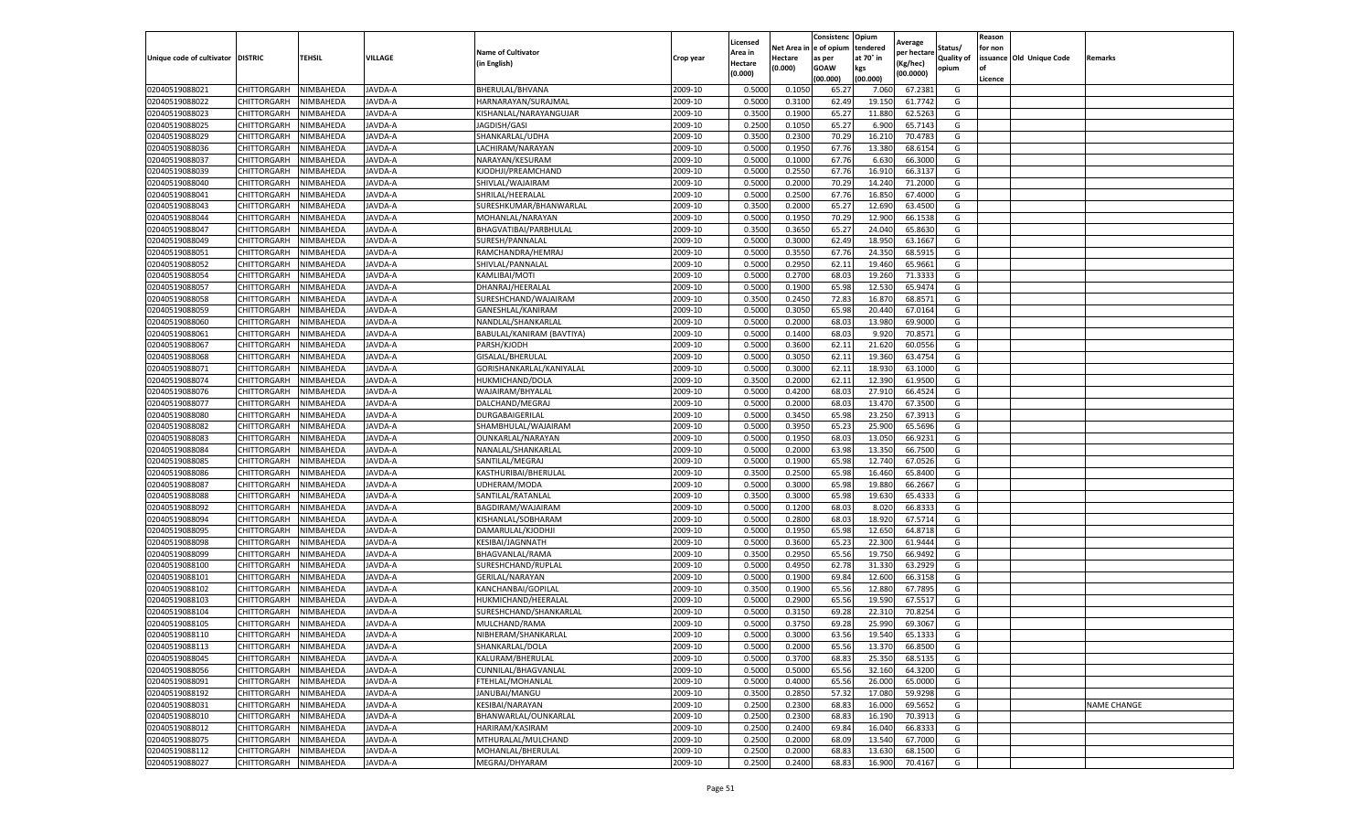|                                   |             |                  |         |                           |           | Licensed |            | Consistenc  | Opium     | Average     |                   | Reason  |                          |                    |
|-----------------------------------|-------------|------------------|---------|---------------------------|-----------|----------|------------|-------------|-----------|-------------|-------------------|---------|--------------------------|--------------------|
|                                   |             |                  |         | <b>Name of Cultivator</b> |           | Area in  | Net Area i | e of opium  | tendered  | per hectare | Status/           | for non |                          |                    |
| Unique code of cultivator DISTRIC |             | TEHSIL           | VILLAGE | (in English)              | Crop year | Hectare  | Hectare    | as per      | at 70° in | (Kg/hec)    | <b>Quality of</b> |         | issuance Old Unique Code | Remarks            |
|                                   |             |                  |         |                           |           | (0.000)  | (0.000)    | <b>GOAW</b> | kgs       | (00.0000)   | opium             |         |                          |                    |
|                                   |             |                  |         |                           |           |          |            | (00.000     | (00.000)  |             |                   | Licence |                          |                    |
| 02040519088021                    | CHITTORGARH | NIMBAHEDA        | JAVDA-A | BHERULAL/BHVANA           | 2009-10   | 0.5000   | 0.1050     | 65.27       | 7.060     | 67.2381     | G                 |         |                          |                    |
| 02040519088022                    | CHITTORGARH | NIMBAHEDA        | JAVDA-A | HARNARAYAN/SURAJMAL       | 2009-10   | 0.500    | 0.3100     | 62.49       | 19.150    | 61.7742     | G                 |         |                          |                    |
| 02040519088023                    | CHITTORGARH | NIMBAHEDA        | JAVDA-A | KISHANLAL/NARAYANGUJAR    | 2009-10   | 0.3500   | 0.1900     | 65.27       | 11.880    | 62.5263     | G                 |         |                          |                    |
| 02040519088025                    | CHITTORGARH | NIMBAHEDA        | JAVDA-A | JAGDISH/GASI              | 2009-10   | 0.2500   | 0.1050     | 65.27       | 6.900     | 65.7143     | G                 |         |                          |                    |
| 02040519088029                    | CHITTORGARH | NIMBAHEDA        | JAVDA-A | SHANKARLAL/UDHA           | 2009-10   | 0.3500   | 0.2300     | 70.29       | 16.21     | 70.4783     | G                 |         |                          |                    |
| 02040519088036                    | CHITTORGARH | NIMBAHEDA        | JAVDA-A | LACHIRAM/NARAYAN          | 2009-10   | 0.5000   | 0.1950     | 67.76       | 13.380    | 68.6154     | G                 |         |                          |                    |
| 02040519088037                    | CHITTORGARH | NIMBAHEDA        | JAVDA-A | NARAYAN/KESURAM           | 2009-10   | 0.5000   | 0.1000     | 67.76       | 6.630     | 66.3000     | G                 |         |                          |                    |
| 02040519088039                    | CHITTORGARH | NIMBAHEDA        | JAVDA-A | KJODHJI/PREAMCHAND        | 2009-10   | 0.500    | 0.2550     | 67.76       | 16.91     | 66.3137     | G                 |         |                          |                    |
| 02040519088040                    | CHITTORGARH | NIMBAHEDA        | JAVDA-A | SHIVLAL/WAJAIRAM          | 2009-10   | 0.500    | 0.2000     | 70.29       | 14.240    | 71.2000     | G                 |         |                          |                    |
| 02040519088041                    | CHITTORGARH | NIMBAHEDA        | JAVDA-A | SHRILAL/HEERALAL          | 2009-10   | 0.5000   | 0.2500     | 67.76       | 16.850    | 67.4000     | G                 |         |                          |                    |
| 02040519088043                    | CHITTORGARH | NIMBAHEDA        | JAVDA-A | SURESHKUMAR/BHANWARLAL    | 2009-10   | 0.3500   | 0.2000     | 65.27       | 12.690    | 63.4500     | G                 |         |                          |                    |
| 02040519088044                    | CHITTORGARH | NIMBAHEDA        | JAVDA-A | MOHANLAL/NARAYAN          | 2009-10   | 0.5000   | 0.1950     | 70.29       | 12.900    | 66.1538     | G                 |         |                          |                    |
| 02040519088047                    | CHITTORGARH | NIMBAHEDA        | JAVDA-A | BHAGVATIBAI/PARBHULAL     | 2009-10   | 0.3500   | 0.3650     | 65.27       | 24.040    | 65.8630     | G                 |         |                          |                    |
| 02040519088049                    | CHITTORGARH | NIMBAHEDA        | JAVDA-A | SURESH/PANNALAL           | 2009-10   | 0.500    | 0.3000     | 62.49       | 18.95     | 63.1667     | G                 |         |                          |                    |
| 02040519088051                    | CHITTORGARH | NIMBAHEDA        | JAVDA-A | RAMCHANDRA/HEMRAJ         | 2009-10   | 0.5000   | 0.3550     | 67.76       | 24.350    | 68.5915     | G                 |         |                          |                    |
| 02040519088052                    | CHITTORGARH | NIMBAHEDA        | JAVDA-A | SHIVLAL/PANNALAL          | 2009-10   | 0.5000   | 0.2950     | 62.11       | 19.460    | 65.9661     | G                 |         |                          |                    |
| 02040519088054                    | CHITTORGARH | NIMBAHEDA        | JAVDA-A | KAMLIBAI/MOTI             | 2009-10   | 0.500    | 0.2700     | 68.0        | 19.260    | 71.333      | G                 |         |                          |                    |
| 02040519088057                    | CHITTORGARH | NIMBAHEDA        | JAVDA-A | DHANRAJ/HEERALAL          | 2009-10   | 0.5000   | 0.1900     | 65.98       | 12.530    | 65.9474     | G                 |         |                          |                    |
| 02040519088058                    | CHITTORGARH | NIMBAHEDA        | JAVDA-A | SURESHCHAND/WAJAIRAM      | 2009-10   | 0.3500   | 0.2450     | 72.83       | 16.87     | 68.8571     | G                 |         |                          |                    |
| 02040519088059                    | CHITTORGARH | <b>NIMBAHEDA</b> | JAVDA-A | GANESHLAL/KANIRAM         | 2009-10   | 0.5000   | 0.3050     | 65.98       | 20.440    | 67.0164     | G                 |         |                          |                    |
| 02040519088060                    | CHITTORGARH | NIMBAHEDA        | JAVDA-A | NANDLAL/SHANKARLAL        | 2009-10   | 0.5000   | 0.2000     | 68.03       | 13.980    | 69.9000     | G                 |         |                          |                    |
| 02040519088061                    | CHITTORGARH | NIMBAHEDA        | JAVDA-A | BABULAL/KANIRAM (BAVTIYA) | 2009-10   | 0.5000   | 0.1400     | 68.0        | 9.920     | 70.8571     | G                 |         |                          |                    |
| 02040519088067                    | CHITTORGARH | NIMBAHEDA        | JAVDA-A | PARSH/KJODH               | 2009-10   | 0.5000   | 0.3600     | 62.11       | 21.620    | 60.0556     | G                 |         |                          |                    |
| 02040519088068                    | CHITTORGARH | NIMBAHEDA        | JAVDA-A | GISALAL/BHERULAL          | 2009-10   | 0.5000   | 0.3050     | 62.11       | 19.360    | 63.4754     | G                 |         |                          |                    |
| 02040519088071                    | CHITTORGARH | NIMBAHEDA        | JAVDA-A | GORISHANKARLAL/KANIYALAL  | 2009-10   | 0.5000   | 0.3000     | 62.11       | 18.93     | 63.1000     | G                 |         |                          |                    |
| 02040519088074                    | CHITTORGARH | NIMBAHEDA        | JAVDA-A | HUKMICHAND/DOLA           | 2009-10   | 0.3500   | 0.2000     | 62.11       | 12.390    | 61.9500     | G                 |         |                          |                    |
| 02040519088076                    | CHITTORGARH | NIMBAHEDA        | JAVDA-A | WAJAIRAM/BHYALAI          | 2009-10   | 0.5000   | 0.4200     | 68.0        | 27.910    | 66.4524     | G                 |         |                          |                    |
| 02040519088077                    | CHITTORGARH | NIMBAHEDA        | JAVDA-A | DALCHAND/MEGRAJ           | 2009-10   | 0.5000   | 0.2000     | 68.03       | 13.470    | 67.3500     | G                 |         |                          |                    |
| 02040519088080                    | CHITTORGARH | NIMBAHEDA        | JAVDA-A | DURGABAIGERILAL           | 2009-10   | 0.5000   | 0.3450     | 65.98       | 23.250    | 67.3913     | G                 |         |                          |                    |
| 02040519088082                    | CHITTORGARH | NIMBAHEDA        | JAVDA-A | SHAMBHULAL/WAJAIRAM       | 2009-10   | 0.5000   | 0.3950     | 65.23       | 25.900    | 65.5696     | G                 |         |                          |                    |
| 02040519088083                    | CHITTORGARH | NIMBAHEDA        | JAVDA-A | OUNKARLAL/NARAYAN         | 2009-10   | 0.5000   | 0.1950     | 68.03       | 13.050    | 66.9231     | G                 |         |                          |                    |
| 02040519088084                    | CHITTORGARH | NIMBAHEDA        | JAVDA-A | NANALAL/SHANKARLAL        | 2009-10   | 0.5000   | 0.2000     | 63.98       | 13.350    | 66.7500     | G                 |         |                          |                    |
| 02040519088085                    | CHITTORGARH | NIMBAHEDA        | JAVDA-A | SANTILAL/MEGRAJ           | 2009-10   | 0.500    | 0.1900     | 65.98       | 12.740    | 67.0526     | G                 |         |                          |                    |
| 02040519088086                    | CHITTORGARH | NIMBAHEDA        | JAVDA-A | KASTHURIBAI/BHERULAL      | 2009-10   | 0.3500   | 0.2500     | 65.98       | 16.460    | 65.8400     | G                 |         |                          |                    |
| 02040519088087                    | CHITTORGARH | NIMBAHEDA        | JAVDA-A | UDHERAM/MODA              | 2009-10   | 0.5000   | 0.3000     | 65.98       | 19.880    | 66.2667     | G                 |         |                          |                    |
| 02040519088088                    | CHITTORGARH | NIMBAHEDA        | JAVDA-A | SANTILAL/RATANLAL         | 2009-10   | 0.3500   | 0.3000     | 65.98       | 19.630    | 65.4333     | G                 |         |                          |                    |
| 02040519088092                    | CHITTORGARH | NIMBAHEDA        | JAVDA-A | BAGDIRAM/WAJAIRAM         | 2009-10   | 0.5000   | 0.1200     | 68.03       | 8.020     | 66.8333     | G                 |         |                          |                    |
| 02040519088094                    | CHITTORGARH | NIMBAHEDA        | JAVDA-A | KISHANLAL/SOBHARAN        | 2009-10   | 0.5000   | 0.2800     | 68.03       | 18.920    | 67.5714     | G                 |         |                          |                    |
| 02040519088095                    | CHITTORGARH | NIMBAHEDA        | JAVDA-A | DAMARULAL/KJODHJI         | 2009-10   | 0.5000   | 0.1950     | 65.98       | 12.650    | 64.8718     | G                 |         |                          |                    |
| 02040519088098                    | CHITTORGARH | NIMBAHEDA        | JAVDA-A | KESIBAI/JAGNNATH          | 2009-10   | 0.5000   | 0.3600     | 65.23       | 22.300    | 61.9444     | G                 |         |                          |                    |
| 02040519088099                    | CHITTORGARH | NIMBAHEDA        | JAVDA-A | BHAGVANLAL/RAMA           | 2009-10   | 0.3500   | 0.2950     | 65.56       | 19.750    | 66.9492     | G                 |         |                          |                    |
| 02040519088100                    | CHITTORGARH | NIMBAHEDA        | JAVDA-A | SURESHCHAND/RUPLAL        | 2009-10   | 0.5000   | 0.4950     | 62.78       | 31.330    | 63.2929     | G                 |         |                          |                    |
| 02040519088101                    | CHITTORGARH | NIMBAHEDA        | JAVDA-A | <b>GERILAL/NARAYAN</b>    | 2009-10   | 0.5000   | 0.1900     | 69.84       | 12.600    | 66.3158     | G                 |         |                          |                    |
| 02040519088102                    | CHITTORGARH | NIMBAHEDA        | JAVDA-A | KANCHANBAI/GOPILAL        | 2009-10   | 0.3500   | 0.1900     | 65.56       | 12.880    | 67.7895     | G                 |         |                          |                    |
| 02040519088103                    | CHITTORGARH | NIMBAHEDA        | JAVDA-A | HUKMICHAND/HEERALAI       | 2009-10   | 0.5000   | 0.2900     | 65.56       | 19.590    | 67.5517     | G                 |         |                          |                    |
| 02040519088104                    | CHITTORGARH | NIMBAHEDA        | JAVDA-A | SURESHCHAND/SHANKARLAI    | 2009-10   | 0.500    | 0.3150     | 69.28       | 22.31     | 70.8254     | G                 |         |                          |                    |
| 02040519088105                    | CHITTORGARH | NIMBAHEDA        | JAVDA-A | MULCHAND/RAMA             | 2009-10   | 0.500    | 0.3750     | 69.28       | 25.990    | 69.3067     | G                 |         |                          |                    |
| 02040519088110                    | CHITTORGARH | NIMBAHEDA        | JAVDA-A | NIBHERAM/SHANKARLAL       | 2009-10   | 0.5000   | 0.3000     | 63.56       | 19.540    | 65.1333     | G                 |         |                          |                    |
| 02040519088113                    | CHITTORGARH | NIMBAHEDA        | JAVDA-A | SHANKARLAL/DOLA           | 2009-10   | 0.5000   | 0.2000     | 65.56       | 13.370    | 66.8500     | G                 |         |                          |                    |
| 02040519088045                    | CHITTORGARH | NIMBAHEDA        | JAVDA-A | KALURAM/BHERULAL          | 2009-10   | 0.5000   | 0.3700     | 68.83       | 25.350    | 68.5135     | G                 |         |                          |                    |
| 02040519088056                    | CHITTORGARH | NIMBAHEDA        | JAVDA-A | CUNNILAL/BHAGVANLAL       | 2009-10   | 0.5000   | 0.5000     | 65.56       | 32.160    | 64.3200     | G                 |         |                          |                    |
| 02040519088091                    | CHITTORGARH | NIMBAHEDA        | JAVDA-A | FTEHLAL/MOHANLAL          | 2009-10   | 0.5000   | 0.4000     | 65.56       | 26.000    | 65.0000     | G                 |         |                          |                    |
| 02040519088192                    | CHITTORGARH | NIMBAHEDA        | JAVDA-A | JANUBAI/MANGU             | 2009-10   | 0.3500   | 0.2850     | 57.32       | 17.080    | 59.9298     | G                 |         |                          |                    |
| 02040519088031                    | CHITTORGARH | NIMBAHEDA        | JAVDA-A | KESIBAI/NARAYAN           | 2009-10   | 0.2500   | 0.2300     | 68.83       | 16.000    | 69.5652     | G                 |         |                          | <b>NAME CHANGE</b> |
| 02040519088010                    | CHITTORGARH | NIMBAHEDA        | JAVDA-A | BHANWARLAL/OUNKARLAL      | 2009-10   | 0.2500   | 0.2300     | 68.83       | 16.190    | 70.3913     | G                 |         |                          |                    |
| 02040519088012                    | CHITTORGARH | NIMBAHEDA        | JAVDA-A | HARIRAM/KASIRAM           | 2009-10   | 0.2500   | 0.2400     | 69.84       | 16.040    | 66.8333     | G                 |         |                          |                    |
| 02040519088075                    | CHITTORGARH | NIMBAHEDA        | JAVDA-A | MTHURALAL/MULCHAND        | 2009-10   | 0.2500   | 0.2000     | 68.09       | 13.540    | 67.7000     | G                 |         |                          |                    |
| 02040519088112                    | CHITTORGARH | NIMBAHEDA        | JAVDA-A | MOHANLAL/BHERULAL         | 2009-10   | 0.2500   | 0.2000     | 68.83       | 13.630    | 68.1500     | G                 |         |                          |                    |
| 02040519088027                    | CHITTORGARH | NIMBAHEDA        | JAVDA-A | MEGRAJ/DHYARAM            | 2009-10   | 0.2500   | 0.2400     | 68.83       | 16.900    | 70.4167     | G                 |         |                          |                    |
|                                   |             |                  |         |                           |           |          |            |             |           |             |                   |         |                          |                    |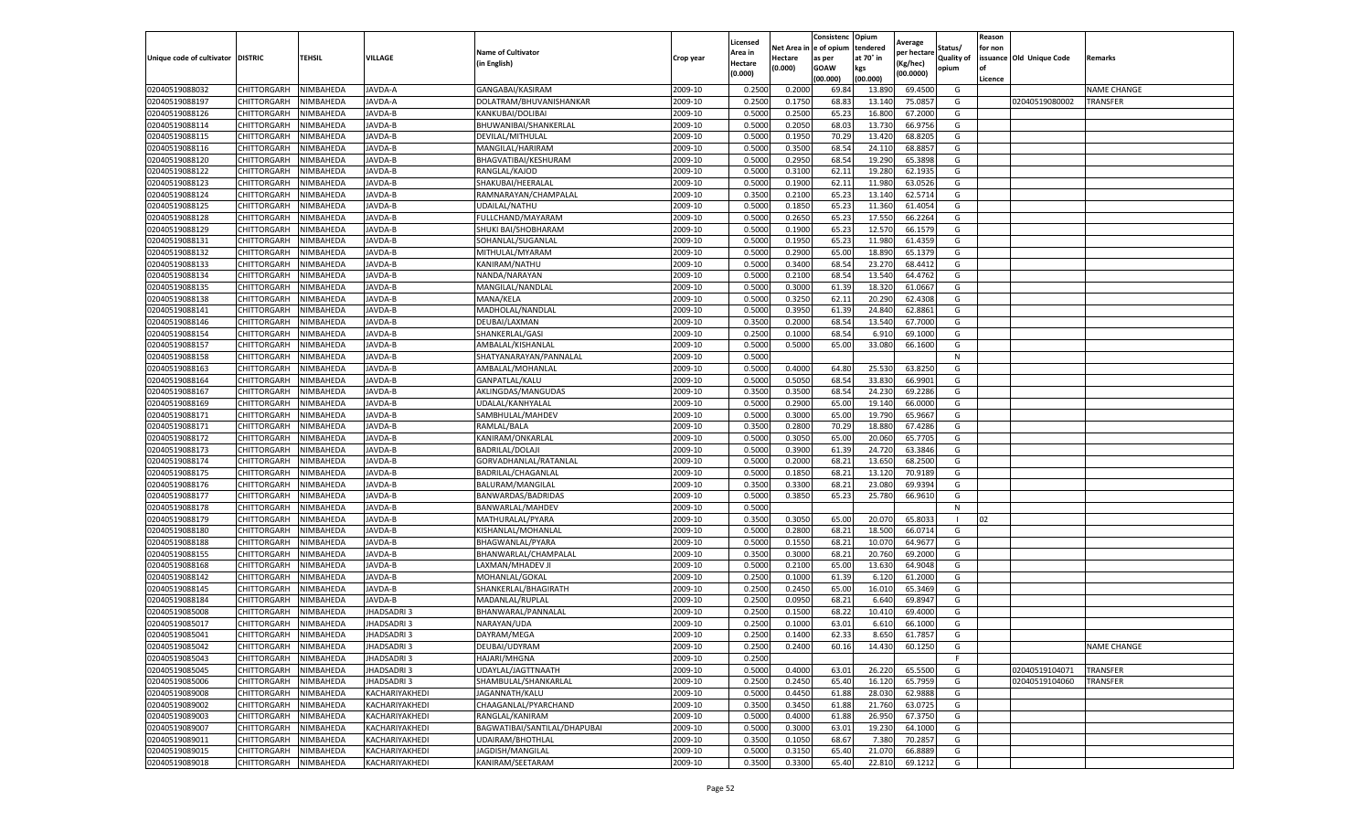|                                   |                    |           |                   |                              |           | Licensed |         | Consistenc             | Opium     | Average     |            | Reason  |                          |                    |
|-----------------------------------|--------------------|-----------|-------------------|------------------------------|-----------|----------|---------|------------------------|-----------|-------------|------------|---------|--------------------------|--------------------|
|                                   |                    |           |                   | <b>Name of Cultivator</b>    |           | Area in  |         | Net Area in e of opium | tendered  | oer hectare | Status/    | for non |                          |                    |
| Unique code of cultivator DISTRIC |                    | TEHSIL    | VILLAGE           | in English)                  | Crop year | Hectare  | Hectare | as per                 | at 70° in | (Kg/hec     | Quality of |         | issuance Old Unique Code | <b>Remarks</b>     |
|                                   |                    |           |                   |                              |           | (0.000)  | (0.000) | <b>GOAW</b>            | kgs       | (00.0000)   | opium      |         |                          |                    |
|                                   |                    |           |                   |                              |           |          |         | (00.000)               | (00.000)  |             |            | Licence |                          |                    |
| 02040519088032                    | <b>CHITTORGARH</b> | NIMBAHEDA | JAVDA-A           | GANGABAI/KASIRAM             | 2009-10   | 0.2500   | 0.2000  | 69.84                  | 13.89     | 69.4500     | G          |         |                          | <b>NAME CHANGE</b> |
| 02040519088197                    | CHITTORGARH        | NIMBAHEDA | JAVDA-A           | DOLATRAM/BHUVANISHANKAR      | 2009-10   | 0.2500   | 0.1750  | 68.83                  | 13.14     | 75.0857     | G          |         | 02040519080002           | <b>TRANSFER</b>    |
| 02040519088126                    | CHITTORGARH        | NIMBAHEDA | JAVDA-B           | KANKUBAI/DOLIBAI             | 2009-10   | 0.5000   | 0.2500  | 65.23                  | 16.800    | 67.2000     | G          |         |                          |                    |
| 02040519088114                    | CHITTORGARH        | NIMBAHEDA | JAVDA-B           | BHUWANIBAI/SHANKERLAL        | 2009-10   | 0.5000   | 0.2050  | 68.03                  | 13.730    | 66.9756     | G          |         |                          |                    |
| 02040519088115                    | CHITTORGARH        | NIMBAHEDA | JAVDA-B           | DEVILAL/MITHULAL             | 2009-10   | 0.5000   | 0.1950  | 70.29                  | 13.420    | 68.8205     | G          |         |                          |                    |
| 02040519088116                    | CHITTORGARH        | NIMBAHEDA | JAVDA-B           | MANGILAL/HARIRAM             | 2009-10   | 0.5000   | 0.3500  | 68.54                  | 24.11     | 68.885      | G          |         |                          |                    |
| 02040519088120                    | CHITTORGARH        | NIMBAHEDA | JAVDA-B           | BHAGVATIBAI/KESHURAM         | 2009-10   | 0.5000   | 0.2950  | 68.54                  | 19.290    | 65.3898     | G          |         |                          |                    |
| 02040519088122                    | CHITTORGARH        | NIMBAHEDA | JAVDA-B           | RANGLAL/KAJOD                | 2009-10   | 0.5000   | 0.3100  | 62.11                  | 19.28     | 62.1935     | G          |         |                          |                    |
| 02040519088123                    | CHITTORGARH        | NIMBAHEDA | JAVDA-B           | SHAKUBAI/HEERALAL            | 2009-10   | 0.5000   | 0.1900  | 62.11                  | 11.98     | 63.0526     | G          |         |                          |                    |
| 02040519088124                    | CHITTORGARH        | NIMBAHEDA | JAVDA-B           | RAMNARAYAN/CHAMPALAL         | 2009-10   | 0.3500   | 0.2100  | 65.23                  | 13.140    | 62.5714     | G          |         |                          |                    |
| 02040519088125                    | CHITTORGARH        | NIMBAHEDA | JAVDA-B           | UDAILAL/NATHU                | 2009-10   | 0.5000   | 0.1850  | 65.23                  | 11.360    | 61.4054     | G          |         |                          |                    |
| 02040519088128                    | CHITTORGARH        | NIMBAHEDA | JAVDA-B           | FULLCHAND/MAYARAM            | 2009-10   | 0.5000   | 0.2650  | 65.23                  | 17.55     | 66.2264     | G          |         |                          |                    |
| 02040519088129                    | CHITTORGARH        | NIMBAHEDA | JAVDA-B           | SHUKI BAI/SHOBHARAM          | 2009-10   | 0.5000   | 0.1900  | 65.23                  | 12.57     | 66.1579     | G          |         |                          |                    |
| 02040519088131                    | CHITTORGARH        | NIMBAHEDA | JAVDA-B           | SOHANLAL/SUGANLAL            | 2009-10   | 0.5000   | 0.1950  | 65.23                  | 11.98     | 61.4359     | G          |         |                          |                    |
| 02040519088132                    | CHITTORGARH        | NIMBAHEDA | JAVDA-B           | MITHULAL/MYARAM              | 2009-10   | 0.5000   | 0.2900  | 65.00                  | 18.89     | 65.1379     | G          |         |                          |                    |
| 02040519088133                    | CHITTORGARH        | NIMBAHEDA | JAVDA-B           | KANIRAM/NATHU                | 2009-10   | 0.5000   | 0.3400  | 68.54                  | 23.27     | 68.4412     | G          |         |                          |                    |
| 02040519088134                    | CHITTORGARH        | NIMBAHEDA | JAVDA-B           | NANDA/NARAYAN                | 2009-10   | 0.5000   | 0.2100  | 68.54                  | 13.54     | 64.4762     | G          |         |                          |                    |
| 02040519088135                    | CHITTORGARH        | NIMBAHEDA | JAVDA-B           | MANGILAL/NANDLAL             | 2009-10   | 0.5000   | 0.3000  | 61.39                  | 18.32     | 61.0667     | G          |         |                          |                    |
| 02040519088138                    | CHITTORGARH        | NIMBAHEDA | JAVDA-B           | MANA/KELA                    | 2009-10   | 0.5000   | 0.3250  | 62.11                  | 20.29     | 62.4308     | G          |         |                          |                    |
| 02040519088141                    | CHITTORGARH        | NIMBAHEDA | JAVDA-B           | MADHOLAL/NANDLAI             | 2009-10   | 0.5000   | 0.3950  | 61.39                  | 24.84     | 62.8861     | G          |         |                          |                    |
| 02040519088146                    | CHITTORGARH        | NIMBAHEDA | JAVDA-B           | DEUBAI/LAXMAN                | 2009-10   | 0.3500   | 0.2000  | 68.54                  | 13.540    | 67.7000     | G          |         |                          |                    |
| 02040519088154                    | CHITTORGARH        | NIMBAHEDA | JAVDA-B           | SHANKERLAL/GASI              | 2009-10   | 0.2500   | 0.1000  | 68.54                  | 6.91      | 69.1000     | G          |         |                          |                    |
| 02040519088157                    | CHITTORGARH        | NIMBAHEDA | JAVDA-B           | AMBALAL/KISHANLAL            | 2009-10   | 0.5000   | 0.5000  | 65.00                  | 33.080    | 66.1600     | G          |         |                          |                    |
| 02040519088158                    | CHITTORGARH        | NIMBAHEDA | JAVDA-B           | SHATYANARAYAN/PANNALAL       | 2009-10   | 0.5000   |         |                        |           |             | N          |         |                          |                    |
| 02040519088163                    | <b>CHITTORGARH</b> | NIMBAHEDA | JAVDA-B           | AMBALAL/MOHANLAL             | 2009-10   | 0.5000   | 0.4000  | 64.80                  | 25.53     | 63.8250     | G          |         |                          |                    |
| 02040519088164                    | CHITTORGARH        | NIMBAHEDA | JAVDA-B           | GANPATLAL/KALU               | 2009-10   | 0.5000   | 0.5050  | 68.54                  | 33.83     | 66.9901     | G          |         |                          |                    |
| 02040519088167                    | CHITTORGARH        | NIMBAHEDA | JAVDA-B           | AKLINGDAS/MANGUDAS           | 2009-10   | 0.3500   | 0.3500  | 68.54                  | 24.23     | 69.2286     | G          |         |                          |                    |
| 02040519088169                    | CHITTORGARH        | NIMBAHEDA | JAVDA-B           | UDALAL/KANHYALAL             | 2009-10   | 0.5000   | 0.2900  | 65.00                  | 19.14     | 66.0000     | G          |         |                          |                    |
| 02040519088171                    | CHITTORGARH        | NIMBAHEDA | JAVDA-B           | SAMBHULAL/MAHDEV             | 2009-10   | 0.5000   | 0.3000  | 65.00                  | 19.790    | 65.9667     | G          |         |                          |                    |
| 02040519088171                    | CHITTORGARH        | NIMBAHEDA | JAVDA-B           | RAMLAL/BALA                  | 2009-10   | 0.3500   | 0.2800  | 70.29                  | 18.88     | 67.4286     | G          |         |                          |                    |
| 02040519088172                    | CHITTORGARH        | NIMBAHEDA | JAVDA-B           | KANIRAM/ONKARLAL             | 2009-10   | 0.5000   | 0.3050  | 65.00                  | 20.06     | 65.7705     | G          |         |                          |                    |
| 02040519088173                    | CHITTORGARH        | NIMBAHEDA | JAVDA-B           | <b>BADRILAL/DOLAJI</b>       | 2009-10   | 0.5000   | 0.3900  | 61.39                  | 24.72     | 63.3846     | G          |         |                          |                    |
| 02040519088174                    | CHITTORGARH        | NIMBAHEDA | JAVDA-B           | GORVADHANLAL/RATANLAL        | 2009-10   | 0.5000   | 0.2000  | 68.2                   | 13.65     | 68.2500     | G          |         |                          |                    |
| 02040519088175                    | CHITTORGARH        | NIMBAHEDA | JAVDA-B           | BADRILAL/CHAGANLAL           | 2009-10   | 0.5000   | 0.1850  | 68.21                  | 13.12     | 70.9189     | G          |         |                          |                    |
| 02040519088176                    | CHITTORGARH        | NIMBAHEDA | JAVDA-B           | BALURAM/MANGILAL             | 2009-10   | 0.3500   | 0.3300  | 68.21                  | 23.08     | 69.9394     | G          |         |                          |                    |
| 02040519088177                    | CHITTORGARH        | NIMBAHEDA | JAVDA-B           | BANWARDAS/BADRIDAS           | 2009-10   | 0.5000   | 0.3850  | 65.23                  | 25.780    | 66.9610     | G          |         |                          |                    |
| 02040519088178                    | CHITTORGARH        | NIMBAHEDA | JAVDA-B           | BANWARLAL/MAHDEV             | 2009-10   | 0.5000   |         |                        |           |             | N          |         |                          |                    |
| 02040519088179                    | CHITTORGARH        | NIMBAHEDA | <b>AVDA-B</b>     | MATHURALAL/PYARA             | 2009-10   | 0.3500   | 0.3050  | 65.00                  | 20.07     | 65.803      |            | 02      |                          |                    |
| 02040519088180                    | CHITTORGARH        | NIMBAHEDA | JAVDA-B           | KISHANLAL/MOHANLAL           | 2009-10   | 0.5000   | 0.2800  | 68.2                   | 18.50     | 66.0714     | G          |         |                          |                    |
| 02040519088188                    | CHITTORGARH        | NIMBAHEDA | JAVDA-B           | BHAGWANLAL/PYARA             | 2009-10   | 0.5000   | 0.1550  | 68.21                  | 10.07     | 64.9677     | G          |         |                          |                    |
| 02040519088155                    | CHITTORGARH        | NIMBAHEDA | JAVDA-B           | BHANWARLAL/CHAMPALAL         | 2009-10   | 0.3500   | 0.3000  | 68.21                  | 20.76     | 69.2000     | G          |         |                          |                    |
| 02040519088168                    | CHITTORGARH        | NIMBAHEDA | JAVDA-B           | LAXMAN/MHADEV J              | 2009-10   | 0.5000   | 0.2100  | 65.00                  | 13.63     | 64.9048     | G          |         |                          |                    |
| 02040519088142                    | CHITTORGARH        | NIMBAHEDA | JAVDA-B           | MOHANLAL/GOKAL               | 2009-10   | 0.2500   | 0.1000  | 61.39                  | 6.12      | 61.2000     | G          |         |                          |                    |
| 02040519088145                    | CHITTORGARH        | NIMBAHEDA | JAVDA-B           | SHANKERLAL/BHAGIRATH         | 2009-10   | 0.2500   | 0.2450  | 65.00                  | 16.01     | 65.3469     | G          |         |                          |                    |
| 02040519088184                    | CHITTORGARH        | NIMBAHEDA | JAVDA-B           | MADANLAL/RUPLAL              | 2009-10   | 0.2500   | 0.0950  | 68.21                  | 6.640     | 69.8947     | G          |         |                          |                    |
| 02040519085008                    | CHITTORGARH        | NIMBAHEDA | JHADSADRI 3       | BHANWARAL/PANNALAL           | 2009-10   | 0.2500   | 0.1500  | 68.22                  | 10.41     | 69.4000     | G          |         |                          |                    |
| 02040519085017                    | CHITTORGARH        | NIMBAHEDA | JHADSADRI3        | NARAYAN/UDA                  | 2009-10   | 0.2500   | 0.1000  | 63.01                  | 6.61      | 66.1000     | G          |         |                          |                    |
| 02040519085041                    | CHITTORGARH        | NIMBAHEDA | <b>JHADSADRI3</b> | DAYRAM/MEGA                  | 2009-10   | 0.2500   | 0.1400  | 62.33                  | 8.650     | 61.7857     | G          |         |                          |                    |
| 02040519085042                    | CHITTORGARH        | NIMBAHEDA | JHADSADRI3        | DEUBAI/UDYRAM                | 2009-10   | 0.2500   | 0.2400  | 60.16                  | 14.430    | 60.1250     | G          |         |                          | <b>NAME CHANGE</b> |
| 02040519085043                    | CHITTORGARH        | NIMBAHEDA | JHADSADRI 3       | HAJARI/MHGNA                 | 2009-10   | 0.2500   |         |                        |           |             | F          |         |                          |                    |
| 02040519085045                    | CHITTORGARH        | NIMBAHEDA | JHADSADRI 3       | UDAYLAL/JAGTTNAATH           | 2009-10   | 0.5000   | 0.4000  | 63.01                  | 26.220    | 65.5500     | G          |         | 02040519104071           | <b>TRANSFER</b>    |
| 02040519085006                    | CHITTORGARH        | NIMBAHEDA | JHADSADRI 3       | SHAMBULAL/SHANKARLAL         | 2009-10   | 0.2500   | 0.2450  | 65.40                  | 16.120    | 65.7959     | G          |         | 02040519104060           | TRANSFER           |
| 02040519089008                    | CHITTORGARH        | NIMBAHEDA | KACHARIYAKHEDI    | JAGANNATH/KALU               | 2009-10   | 0.5000   | 0.4450  | 61.88                  | 28.030    | 62.9888     | G          |         |                          |                    |
| 02040519089002                    | <b>CHITTORGARH</b> | NIMBAHEDA | KACHARIYAKHEDI    | CHAAGANLAL/PYARCHAND         | 2009-10   | 0.3500   | 0.3450  | 61.88                  | 21.760    | 63.0725     | G          |         |                          |                    |
| 02040519089003                    | CHITTORGARH        | NIMBAHEDA | KACHARIYAKHEDI    | RANGLAL/KANIRAM              | 2009-10   | 0.5000   | 0.4000  | 61.88                  | 26.950    | 67.3750     | G          |         |                          |                    |
| 02040519089007                    | CHITTORGARH        | NIMBAHEDA | KACHARIYAKHEDI    | BAGWATIBAI/SANTILAL/DHAPUBAI | 2009-10   | 0.5000   | 0.3000  | 63.01                  | 19.230    | 64.1000     | G          |         |                          |                    |
| 02040519089011                    | CHITTORGARH        | NIMBAHEDA | KACHARIYAKHEDI    | UDAIRAM/BHOTHLAL             | 2009-10   | 0.3500   | 0.1050  | 68.67                  | 7.380     | 70.2857     | G          |         |                          |                    |
| 02040519089015                    | CHITTORGARH        | NIMBAHEDA | KACHARIYAKHEDI    | JAGDISH/MANGILAL             | 2009-10   | 0.5000   | 0.3150  | 65.40                  | 21.07     | 66.8889     | G          |         |                          |                    |
|                                   |                    |           |                   | KANIRAM/SEETARAM             |           |          |         |                        |           |             |            |         |                          |                    |
| 02040519089018                    | <b>CHITTORGARH</b> | NIMBAHEDA | KACHARIYAKHEDI    |                              | 2009-10   | 0.3500   | 0.3300  | 65.40                  | 22.810    | 69.1212     | G          |         |                          |                    |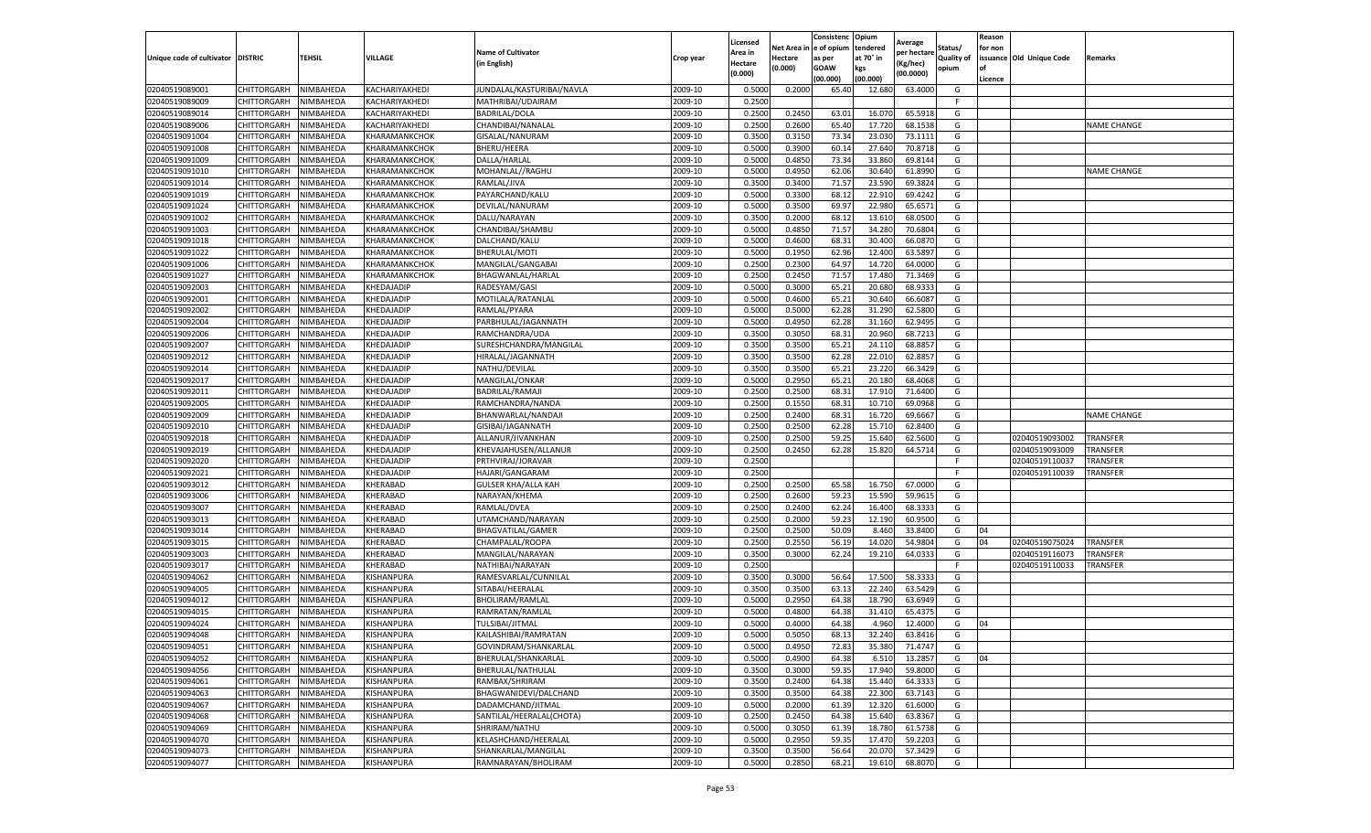|                                   |                                          |                        |                                |                                             |                    | Licensed         |                  | Consistenc     | Opium            | Average            |                   | Reason  |                         |                    |
|-----------------------------------|------------------------------------------|------------------------|--------------------------------|---------------------------------------------|--------------------|------------------|------------------|----------------|------------------|--------------------|-------------------|---------|-------------------------|--------------------|
|                                   |                                          |                        |                                | <b>Name of Cultivator</b>                   |                    | Area in          | Net Area ir      | e of opium     | tendered         | per hectar         | Status/           | or non  |                         |                    |
| Unique code of cultivator DISTRIC |                                          | <b>TEHSIL</b>          | VILLAGE                        | (in English)                                | Crop year          | Hectare          | Hectare          | as per         | at 70° in        | Kg/hec)            | <b>Quality of</b> |         | ssuance Old Unique Code | Remarks            |
|                                   |                                          |                        |                                |                                             |                    | (0.000)          | (0.000)          | <b>GOAW</b>    | kgs              | (00.0000)          | opium             |         |                         |                    |
|                                   |                                          |                        |                                |                                             |                    |                  |                  | (00.000)       | (00.000)         |                    |                   | Licence |                         |                    |
| 02040519089001                    | CHITTORGARH                              | NIMBAHEDA              | KACHARIYAKHEDI                 | JUNDALAL/KASTURIBAI/NAVLA                   | 2009-10            | 0.5000           | 0.2000           | 65.40          | 12.680           | 63.4000            | G                 |         |                         |                    |
| 02040519089009                    | <b>CHITTORGARH</b>                       | NIMBAHEDA              | KACHARIYAKHEDI                 | MATHRIBAI/UDAIRAM                           | 2009-10            | 0.2500           |                  |                |                  |                    | - F               |         |                         |                    |
| 02040519089014                    | <b>CHITTORGARH</b>                       | NIMBAHEDA              | KACHARIYAKHEDI                 | BADRILAL/DOLA                               | 2009-10            | 0.2500           | 0.2450           | 63.0           | 16.07            | 65.5918            | G                 |         |                         |                    |
| 02040519089006                    | CHITTORGARH                              | NIMBAHEDA              | KACHARIYAKHEDI                 | CHANDIBAI/NANALAL                           | 2009-10            | 0.2500           | 0.2600           | 65.40          | 17.720           | 68.1538            | G                 |         |                         | <b>NAME CHANGE</b> |
| 02040519091004                    | CHITTORGARH                              | NIMBAHEDA              | KHARAMANKCHOK                  | GISALAL/NANURAM<br>BHERU/HEERA              | 2009-10            | 0.3500           | 0.3150           | 73.34          | 23.030           | 73.111:            | G<br>G            |         |                         |                    |
| 02040519091008                    | CHITTORGARH                              | NIMBAHEDA              | KHARAMANKCHOK                  |                                             | 2009-10            | 0.5000<br>0.5000 | 0.3900           | 60.14          | 27.640           | 70.8718<br>69.8144 | G                 |         |                         |                    |
| 02040519091009<br>02040519091010  | <b>CHITTORGARH</b>                       | NIMBAHEDA              | KHARAMANKCHOK                  | DALLA/HARLAL                                | 2009-10<br>2009-10 | 0.5000           | 0.4850<br>0.4950 | 73.34<br>62.06 | 33.860<br>30.640 | 61.899             |                   |         |                         | <b>NAME CHANGE</b> |
|                                   | <b>CHITTORGARH</b>                       | NIMBAHEDA              | KHARAMANKCHOK                  | MOHANLAL//RAGHU                             | 2009-10            | 0.3500           | 0.3400           |                |                  |                    | G<br>G            |         |                         |                    |
| 02040519091014<br>02040519091019  | <b>CHITTORGARH</b><br><b>CHITTORGARH</b> | NIMBAHEDA<br>NIMBAHEDA | KHARAMANKCHOK<br>KHARAMANKCHOK | RAMLAL/JIVA<br>PAYARCHAND/KALU              | 2009-10            | 0.5000           | 0.3300           | 71.57<br>68.12 | 23.590<br>22.91  | 69.3824<br>69.4242 | G                 |         |                         |                    |
| 02040519091024                    | CHITTORGARH                              | NIMBAHEDA              | KHARAMANKCHOK                  | DEVILAL/NANURAM                             | 2009-10            | 0.5000           | 0.3500           | 69.97          | 22.98            | 65.657             | G                 |         |                         |                    |
| 02040519091002                    | CHITTORGARH                              | NIMBAHEDA              | KHARAMANKCHOK                  | DALU/NARAYAN                                | 2009-10            | 0.3500           | 0.2000           | 68.1           | 13.61            | 68.0500            | G                 |         |                         |                    |
| 02040519091003                    | CHITTORGARH                              | NIMBAHEDA              | KHARAMANKCHOK                  | CHANDIBAI/SHAMBU                            | 2009-10            | 0.5000           | 0.4850           | 71.57          | 34.28            | 70.6804            | G                 |         |                         |                    |
|                                   |                                          |                        |                                |                                             | 2009-10            | 0.5000           | 0.4600           | 68.3           | 30.400           |                    |                   |         |                         |                    |
| 02040519091018                    | CHITTORGARH                              | NIMBAHEDA              | KHARAMANKCHOK                  | DALCHAND/KALU                               |                    |                  |                  |                |                  | 66.087             | G                 |         |                         |                    |
| 02040519091022                    | <b>CHITTORGARH</b>                       | NIMBAHEDA              | KHARAMANKCHOK                  | BHERULAL/MOTI                               | 2009-10<br>2009-10 | 0.5000<br>0.2500 | 0.1950           | 62.96          | 12.400           | 63.5897            | G                 |         |                         |                    |
| 02040519091006<br>02040519091027  | CHITTORGARH                              | NIMBAHEDA              | KHARAMANKCHOK                  | MANGILAL/GANGABAI                           |                    | 0.2500           | 0.2300<br>0.2450 | 64.97<br>71.57 | 14.720<br>17.48  | 64.0000            | G                 |         |                         |                    |
|                                   | CHITTORGARH                              | NIMBAHEDA              | KHARAMANKCHOK                  | BHAGWANLAL/HARLAL                           | 2009-10            |                  |                  |                |                  | 71.3469            | G<br>G            |         |                         |                    |
| 02040519092003                    | CHITTORGARH<br><b>CHITTORGARH</b>        | NIMBAHEDA              | KHEDAJADIP                     | RADESYAM/GASI                               | 2009-10            | 0.5000           | 0.3000           | 65.21          | 20.680           | 68.9333            |                   |         |                         |                    |
| 02040519092001                    |                                          | NIMBAHEDA              | KHEDAJADIP                     | MOTILALA/RATANLAL<br>RAMLAL/PYARA           | 2009-10            | 0.5000           | 0.4600           | 65.2           | 30.640           | 66.608             | G                 |         |                         |                    |
| 02040519092002<br>02040519092004  | CHITTORGARH                              | NIMBAHEDA              | KHEDAJADIP                     |                                             | 2009-10            | 0.5000           | 0.5000           | 62.28          | 31.29            | 62.580             | G                 |         |                         |                    |
|                                   | <b>CHITTORGARH</b>                       | NIMBAHEDA              | KHEDAJADIP                     | PARBHULAL/JAGANNATH                         | 2009-10            | 0.5000           | 0.4950           | 62.28          | 31.160           | 62.9495            | G                 |         |                         |                    |
| 02040519092006<br>02040519092007  | CHITTORGARH                              | NIMBAHEDA              | KHEDAJADIP                     | RAMCHANDRA/UDA                              | 2009-10            | 0.3500           | 0.3050           | 68.3           | 20.96            | 68.721             | G                 |         |                         |                    |
| 02040519092012                    | <b>CHITTORGARH</b><br>CHITTORGARH        | NIMBAHEDA              | KHEDAJADIP                     | SURESHCHANDRA/MANGILAL                      | 2009-10            | 0.3500           | 0.3500           | 65.21          | 24.11            | 68.885<br>62.885   | G                 |         |                         |                    |
| 02040519092014                    |                                          | NIMBAHEDA              | KHEDAJADIP                     | HIRALAL/JAGANNATH                           | 2009-10            | 0.3500           | 0.3500           | 62.28          | 22.01            |                    | G                 |         |                         |                    |
|                                   | <b>CHITTORGARH</b>                       | NIMBAHEDA              | KHEDAJADIF                     | NATHU/DEVILAL                               | 2009-10            | 0.3500           | 0.3500           | 65.21          | 23.220           | 66.342             | G                 |         |                         |                    |
| 02040519092017                    | <b>CHITTORGARH</b>                       | NIMBAHEDA              | KHEDAJADIP                     | MANGILAL/ONKAR                              | 2009-10            | 0.5000           | 0.2950           | 65.21          | 20.18            | 68.4068            | G                 |         |                         |                    |
| 02040519092011                    | CHITTORGARH                              | NIMBAHEDA              | KHEDAJADIP                     | BADRILAL/RAMAJI                             | 2009-10<br>2009-10 | 0.2500           | 0.2500<br>0.1550 | 68.3           | 17.91            | 71.6400            | G                 |         |                         |                    |
| 02040519092005<br>02040519092009  | CHITTORGARH                              | NIMBAHEDA<br>NIMBAHEDA | KHEDAJADIP<br>KHEDAJADIP       | RAMCHANDRA/NANDA<br>BHANWARLAL/NANDAJI      | 2009-10            | 0.2500<br>0.2500 | 0.2400           | 68.31<br>68.31 | 10.71<br>16.720  | 69.0968<br>69.6667 | G<br>G            |         |                         | <b>NAME CHANGE</b> |
| 02040519092010                    | <b>CHITTORGARH</b>                       | NIMBAHEDA              | KHEDAJADIP                     | GISIBAI/JAGANNATH                           | 2009-10            | 0.2500           | 0.2500           | 62.28          | 15.71            | 62.8400            |                   |         |                         |                    |
| 02040519092018                    | CHITTORGARH<br>CHITTORGARH               | NIMBAHEDA              | KHEDAJADIP                     | ALLANUR/JIVANKHAN                           | 2009-10            | 0.2500           | 0.2500           | 59.25          | 15.64            | 62.5600            | G<br>G            |         | 02040519093002          | TRANSFER           |
| 02040519092019                    | CHITTORGARH                              | NIMBAHEDA              | KHEDAJADIP                     | KHEVAJAHUSEN/ALLANUR                        | 2009-10            | 0.2500           | 0.2450           | 62.28          | 15.820           | 64.5714            | G                 |         | 02040519093009          | TRANSFER           |
| 02040519092020                    | <b>CHITTORGARH</b>                       | NIMBAHEDA              | KHEDAJADIP                     | PRTHVIRAJ/JORAVAR                           | 2009-10            | 0.2500           |                  |                |                  |                    | -F                |         | 02040519110037          | TRANSFER           |
| 02040519092021                    | <b>CHITTORGARH</b>                       | NIMBAHEDA              | KHEDAJADIP                     | HAJARI/GANGARAM                             | 2009-10            | 0.2500           |                  |                |                  |                    | - F               |         | 02040519110039          | TRANSFER           |
| 02040519093012                    | CHITTORGARH                              | NIMBAHEDA              | KHERABAD                       | <b>GULSER KHA/ALLA KAH</b>                  | 2009-10            | 0.2500           | 0.2500           | 65.58          | 16.750           | 67.0000            | G                 |         |                         |                    |
| 02040519093006                    | CHITTORGARH                              | NIMBAHEDA              | KHERABAD                       | NARAYAN/KHEMA                               | 2009-10            | 0.2500           | 0.2600           | 59.23          | 15.590           | 59.961             | G                 |         |                         |                    |
| 02040519093007                    | CHITTORGARH                              | NIMBAHEDA              | KHERABAD                       | RAMLAL/DVEA                                 | 2009-10            | 0.2500           | 0.2400           | 62.24          | 16.400           | 68.3333            | G                 |         |                         |                    |
| 02040519093013                    | CHITTORGARH                              | NIMBAHEDA              | KHERABAD                       | JTAMCHAND/NARAYAN                           | 2009-10            | 0.2500           | 0.2000           | 59.23          | 12.19            | 60.9500            | G                 |         |                         |                    |
| 02040519093014                    | CHITTORGARH                              | NIMBAHEDA              | KHERABAD                       | BHAGVATILAL/GAMER                           | 2009-10            | 0.2500           | 0.2500           | 50.09          | 8.46             | 33.8400            | G                 | 04      |                         |                    |
| 02040519093015                    | <b>CHITTORGARH</b>                       | NIMBAHEDA              | KHERABAD                       | CHAMPALAL/ROOPA                             | 2009-10            | 0.2500           | 0.2550           | 56.19          | 14.020           | 54.9804            | G                 | 04      | 02040519075024          | TRANSFER           |
| 02040519093003                    | CHITTORGARH                              | NIMBAHEDA              | KHERABAD                       | MANGILAL/NARAYAN                            | 2009-10            | 0.3500           | 0.3000           | 62.24          | 19.21            | 64.033             | G                 |         | 02040519116073          | TRANSFER           |
| 02040519093017                    | CHITTORGARH                              | NIMBAHEDA              | KHERABAD                       | NATHIBAI/NARAYAN                            | 2009-10            | 0.2500           |                  |                |                  |                    | F                 |         | 02040519110033          | TRANSFER           |
| 02040519094062                    | CHITTORGARH                              | NIMBAHEDA              | KISHANPURA                     | RAMESVARLAL/CUNNILAL                        | 2009-10            | 0.3500           | 0.3000           | 56.64          | 17.500           | 58.333             | G                 |         |                         |                    |
| 02040519094005                    | CHITTORGARH                              | NIMBAHEDA              | KISHANPURA                     | SITABAI/HEERALAL                            | 2009-10            | 0.3500           | 0.3500           | 63.13          | 22.24            | 63.542             | G                 |         |                         |                    |
| 02040519094012                    | <b>CHITTORGARH</b>                       | NIMBAHEDA              | KISHANPURA                     | <b>BHOLIRAM/RAMLAL</b>                      | 2009-10            | 0.5000           | 0.2950           | 64.38          | 18.790           | 63.6949            | G                 |         |                         |                    |
| 02040519094015                    | CHITTORGARH                              | NIMBAHEDA              | KISHANPURA                     | RAMRATAN/RAMLAL                             | 2009-10            | 0.5000           | 0.4800           | 64.38          | 31.41            | 65.437             | G                 |         |                         |                    |
| 02040519094024                    | CHITTORGARH                              | NIMBAHEDA              | KISHANPURA                     | TULSIBAI/JITMAI                             | 2009-10            | 0.5000           | 0.4000           | 64.38          | 4.960            | 12.4000            | G                 | 04      |                         |                    |
| 02040519094048                    | CHITTORGARH                              | NIMBAHEDA              | KISHANPURA                     |                                             | 2009-10            | 0.5000           | 0.5050           | 68.13          | 32.240           | 63.8416            | G                 |         |                         |                    |
|                                   |                                          |                        |                                | KAILASHIBAI/RAMRATAN                        |                    |                  |                  |                |                  |                    |                   |         |                         |                    |
| 02040519094051<br>02040519094052  | CHITTORGARH NIMBAHEDA<br>CHITTORGARH     | NIMBAHEDA              | KISHANPURA<br>KISHANPURA       | GOVINDRAM/SHANKARLAL<br>BHERULAL/SHANKARLAL | 2009-10<br>2009-10 | 0.5000<br>0.5000 | 0.4950<br>0.4900 | 72.83<br>64.38 | 35.380<br>6.510  | 71.4747<br>13.2857 | G<br>G            | 04      |                         |                    |
| 02040519094056                    | CHITTORGARH                              | NIMBAHEDA              | KISHANPURA                     | BHERULAL/NATHULAL                           | 2009-10            | 0.3500           | 0.3000           | 59.35          | 17.940           | 59.8000            | G                 |         |                         |                    |
| 02040519094061                    | CHITTORGARH                              | NIMBAHEDA              | KISHANPURA                     | RAMBAX/SHRIRAM                              | 2009-10            | 0.3500           | 0.2400           | 64.38          | 15.440           | 64.3333            | G                 |         |                         |                    |
| 02040519094063                    |                                          |                        |                                |                                             | 2009-10            |                  | 0.3500           |                | 22.300           |                    | G                 |         |                         |                    |
| 02040519094067                    | CHITTORGARH<br>CHITTORGARH               | NIMBAHEDA<br>NIMBAHEDA | KISHANPURA<br>KISHANPURA       | BHAGWANIDEVI/DALCHAND<br>DADAMCHAND/JITMAL  | 2009-10            | 0.3500<br>0.5000 | 0.2000           | 64.38<br>61.39 | 12.320           | 63.7143<br>61.6000 | G                 |         |                         |                    |
| 02040519094068                    | CHITTORGARH                              | NIMBAHEDA              | KISHANPURA                     | SANTILAL/HEERALAL(CHOTA)                    | 2009-10            | 0.2500           | 0.2450           | 64.38          | 15.640           | 63.8367            | G                 |         |                         |                    |
|                                   |                                          |                        |                                |                                             |                    |                  |                  |                |                  |                    |                   |         |                         |                    |
| 02040519094069<br>02040519094070  | <b>CHITTORGARH</b><br>CHITTORGARH        | NIMBAHEDA<br>NIMBAHEDA | KISHANPURA<br>KISHANPURA       | SHRIRAM/NATHU<br>KELASHCHAND/HEERALAL       | 2009-10<br>2009-10 | 0.5000<br>0.5000 | 0.3050<br>0.2950 | 61.39<br>59.35 | 18.780<br>17.470 | 61.5738<br>59.2203 | G<br>G            |         |                         |                    |
|                                   |                                          |                        |                                | SHANKARLAL/MANGILAL                         |                    |                  |                  |                |                  |                    |                   |         |                         |                    |
| 02040519094073                    | CHITTORGARH                              | NIMBAHEDA              | KISHANPURA                     |                                             | 2009-10            | 0.3500           | 0.3500           | 56.64          | 20.070           | 57.3429            | G                 |         |                         |                    |
| 02040519094077                    | CHITTORGARH                              | NIMBAHEDA              | KISHANPURA                     | RAMNARAYAN/BHOLIRAM                         | 2009-10            | 0.5000           | 0.2850           | 68.21          | 19.610           | 68.8070            | G                 |         |                         |                    |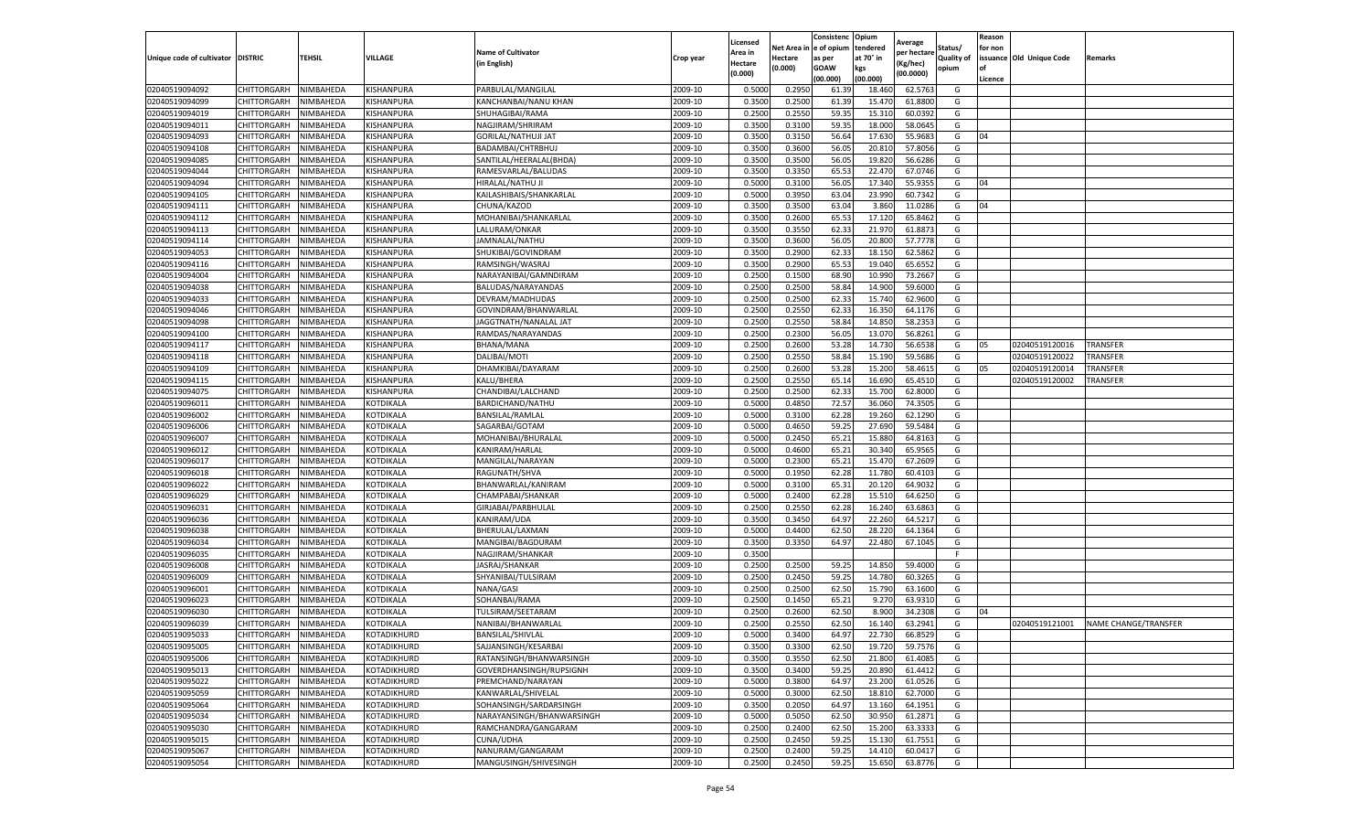|                                   |             |           |             |                            |                    | Licensed |                  | Consistenc  | Opium     | Average     |                   | Reason  |                          |                      |
|-----------------------------------|-------------|-----------|-------------|----------------------------|--------------------|----------|------------------|-------------|-----------|-------------|-------------------|---------|--------------------------|----------------------|
|                                   |             |           |             | <b>Name of Cultivator</b>  |                    | Area in  | Net Area i       | e of opium  | tendered  | per hectare | Status/           | for non |                          |                      |
| Unique code of cultivator DISTRIC |             | TEHSIL    | VILLAGE     | (in English)               | Crop year          | Hectare  | Hectare          | as per      | at 70° in | (Kg/hec)    | <b>Quality of</b> |         | issuance Old Unique Code | Remarks              |
|                                   |             |           |             |                            |                    | (0.000)  | (0.000)          | <b>GOAW</b> | kgs       | (00.0000)   | opium             |         |                          |                      |
|                                   |             |           |             |                            |                    |          |                  | (00.000)    | (00.000)  |             |                   | Licence |                          |                      |
| 02040519094092                    | CHITTORGARH | NIMBAHEDA | KISHANPURA  | PARBULAL/MANGILAL          | 2009-10            | 0.5000   | 0.2950           | 61.39       | 18.460    | 62.5763     | G                 |         |                          |                      |
| 02040519094099                    | CHITTORGARH | NIMBAHEDA | KISHANPURA  | KANCHANBAI/NANU KHAN       | 2009-10            | 0.350    | 0.2500           | 61.39       | 15.47     | 61.8800     | G                 |         |                          |                      |
| 02040519094019                    | CHITTORGARH | NIMBAHEDA | KISHANPURA  | SHUHAGIBAI/RAMA            | 2009-10            | 0.2500   | 0.2550           | 59.35       | 15.310    | 60.0392     | G                 |         |                          |                      |
| 02040519094011                    | CHITTORGARH | NIMBAHEDA | KISHANPURA  | NAGJIRAM/SHRIRAM           | 2009-10            | 0.3500   | 0.3100           | 59.35       | 18.000    | 58.0645     | G                 |         |                          |                      |
| 02040519094093                    | CHITTORGARH | NIMBAHEDA | KISHANPURA  | <b>GORILAL/NATHUJI JAT</b> | 2009-10            | 0.3500   | 0.3150           | 56.64       | 17.630    | 55.9683     | G                 | 04      |                          |                      |
| 02040519094108                    | CHITTORGARH | NIMBAHEDA | KISHANPURA  | BADAMBAI/CHTRBHUJ          | 2009-10            | 0.3500   | 0.3600           | 56.05       | 20.81     | 57.8056     | G                 |         |                          |                      |
| 02040519094085                    | CHITTORGARH | NIMBAHEDA | KISHANPURA  | SANTILAL/HEERALAL(BHDA)    | 2009-10            | 0.3500   | 0.3500           | 56.05       | 19.820    | 56.6286     | G                 |         |                          |                      |
| 02040519094044                    | CHITTORGARH | NIMBAHEDA | KISHANPURA  | RAMESVARLAL/BALUDAS        | 2009-10            | 0.3500   | 0.3350           | 65.53       | 22.470    | 67.0746     | G                 |         |                          |                      |
| 02040519094094                    | CHITTORGARH | NIMBAHEDA | KISHANPURA  | HIRALAL/NATHU JI           | 2009-10            | 0.500    | 0.3100           | 56.05       | 17.340    | 55.9355     | G                 | 04      |                          |                      |
| 02040519094105                    | CHITTORGARH | NIMBAHEDA | KISHANPURA  | KAILASHIBAIS/SHANKARLAL    | 2009-10            | 0.5000   | 0.3950           | 63.04       | 23.990    | 60.7342     | G                 |         |                          |                      |
| 02040519094111                    | CHITTORGARH | NIMBAHEDA | KISHANPURA  | CHUNA/KAZOD                | 2009-10            | 0.3500   | 0.3500           | 63.04       | 3.860     | 11.0286     | G                 | 04      |                          |                      |
| 02040519094112                    | CHITTORGARH | NIMBAHEDA | KISHANPURA  | MOHANIBAI/SHANKARLAL       | 2009-10            | 0.3500   | 0.2600           | 65.53       | 17.120    | 65.8462     | G                 |         |                          |                      |
| 02040519094113                    | CHITTORGARH | NIMBAHEDA | KISHANPURA  | LALURAM/ONKAR              | 2009-10            | 0.3500   | 0.3550           | 62.33       | 21.970    | 61.887      | G                 |         |                          |                      |
| 02040519094114                    | CHITTORGARH | NIMBAHEDA | KISHANPURA  | JAMNALAL/NATHU             | 2009-10            | 0.3500   | 0.3600           | 56.05       | 20.800    | 57.7778     | G                 |         |                          |                      |
| 02040519094053                    | CHITTORGARH | NIMBAHEDA | KISHANPURA  | SHUKIBAI/GOVINDRAM         | 2009-10            | 0.3500   | 0.2900           | 62.33       | 18.150    | 62.5862     | G                 |         |                          |                      |
| 02040519094116                    | CHITTORGARH | NIMBAHEDA | KISHANPURA  | RAMSINGH/WASRAJ            | 2009-10            | 0.3500   | 0.2900           | 65.53       | 19.040    | 65.6552     | G                 |         |                          |                      |
| 02040519094004                    | CHITTORGARH | NIMBAHEDA | KISHANPURA  | NARAYANIBAI/GAMNDIRAM      | 2009-10            | 0.2500   | 0.1500           | 68.90       | 10.99     | 73.2667     | G                 |         |                          |                      |
| 02040519094038                    | CHITTORGARH | NIMBAHEDA | KISHANPURA  | BALUDAS/NARAYANDAS         | 2009-10            | 0.2500   | 0.2500           | 58.84       | 14.900    | 59.6000     | G                 |         |                          |                      |
| 02040519094033                    | CHITTORGARH | NIMBAHEDA | KISHANPURA  | DEVRAM/MADHUDAS            | 2009-10            | 0.2500   | 0.2500           | 62.33       | 15.74     | 62.9600     | G                 |         |                          |                      |
| 02040519094046                    | CHITTORGARH | NIMBAHEDA | KISHANPURA  | GOVINDRAM/BHANWARLAL       | 2009-10            | 0.2500   | 0.2550           | 62.33       | 16.35     | 64.1176     | G                 |         |                          |                      |
| 02040519094098                    | CHITTORGARH | NIMBAHEDA | KISHANPURA  | JAGGTNATH/NANALAL JAT      | 2009-10            | 0.2500   | 0.2550           | 58.84       | 14.850    | 58.2353     | G                 |         |                          |                      |
| 02040519094100                    | CHITTORGARH | NIMBAHEDA | KISHANPURA  | RAMDAS/NARAYANDAS          | 2009-10            | 0.2500   | 0.2300           | 56.05       | 13.07     | 56.8261     | G                 |         |                          |                      |
| 02040519094117                    | CHITTORGARH | NIMBAHEDA | KISHANPURA  | BHANA/MANA                 | 2009-10            | 0.2500   | 0.2600           | 53.28       | 14.730    | 56.6538     | G                 | 05      | 02040519120016           | <b>TRANSFER</b>      |
| 02040519094118                    | CHITTORGARH | NIMBAHEDA | KISHANPURA  | DALIBAI/MOTI               | 2009-10            | 0.2500   | 0.2550           | 58.84       | 15.190    | 59.5686     | G                 |         | 02040519120022           | TRANSFER             |
| 02040519094109                    | CHITTORGARH | NIMBAHEDA | KISHANPURA  | DHAMKIBAI/DAYARAM          | 2009-10            | 0.2500   | 0.2600           | 53.28       | 15.200    | 58.461      | G                 | 05      | 02040519120014           | TRANSFER             |
| 02040519094115                    | CHITTORGARH | NIMBAHEDA | KISHANPURA  | KALU/BHERA                 | 2009-10            | 0.2500   | 0.2550           | 65.14       | 16.690    | 65.4510     | G                 |         | 02040519120002           | TRANSFER             |
|                                   |             |           |             |                            |                    |          |                  |             |           |             |                   |         |                          |                      |
| 02040519094075                    | CHITTORGARH | NIMBAHEDA | KISHANPURA  | CHANDIBAI/LALCHAND         | 2009-10<br>2009-10 | 0.2500   | 0.2500<br>0.4850 | 62.3        | 15.700    | 62.8000     | G                 |         |                          |                      |
| 02040519096011                    | CHITTORGARH | NIMBAHEDA | KOTDIKALA   | BARDICHAND/NATHU           |                    | 0.5000   |                  | 72.57       | 36.060    | 74.3505     | G                 |         |                          |                      |
| 02040519096002                    | CHITTORGARH | NIMBAHEDA | KOTDIKALA   | BANSILAL/RAMLAL            | 2009-10            | 0.5000   | 0.3100           | 62.28       | 19.260    | 62.1290     | G                 |         |                          |                      |
| 02040519096006                    | CHITTORGARH | NIMBAHEDA | KOTDIKALA   | SAGARBAI/GOTAM             | 2009-10            | 0.5000   | 0.4650           | 59.25       | 27.690    | 59.5484     | G                 |         |                          |                      |
| 02040519096007                    | CHITTORGARH | NIMBAHEDA | KOTDIKALA   | MOHANIBAI/BHURALAL         | 2009-10            | 0.5000   | 0.2450           | 65.2        | 15.880    | 64.8163     | G                 |         |                          |                      |
| 02040519096012                    | CHITTORGARH | NIMBAHEDA | KOTDIKALA   | KANIRAM/HARLAL             | 2009-10            | 0.5000   | 0.4600           | 65.21       | 30.34     | 65.9565     | G                 |         |                          |                      |
| 02040519096017                    | CHITTORGARH | NIMBAHEDA | KOTDIKALA   | MANGILAL/NARAYAN           | 2009-10            | 0.500    | 0.2300           | 65.2        | 15.470    | 67.2609     | G                 |         |                          |                      |
| 02040519096018                    | CHITTORGARH | NIMBAHEDA | KOTDIKALA   | RAGUNATH/SHVA              | 2009-10            | 0.500    | 0.1950           | 62.28       | 11.780    | 60.410      | G                 |         |                          |                      |
| 02040519096022                    | CHITTORGARH | NIMBAHEDA | KOTDIKALA   | BHANWARLAL/KANIRAM         | 2009-10            | 0.5000   | 0.3100           | 65.31       | 20.120    | 64.9032     | G                 |         |                          |                      |
| 02040519096029                    | CHITTORGARH | NIMBAHEDA | KOTDIKALA   | CHAMPABAI/SHANKAR          | 2009-10            | 0.5000   | 0.2400           | 62.28       | 15.51     | 64.6250     | G                 |         |                          |                      |
| 02040519096031                    | CHITTORGARH | NIMBAHEDA | KOTDIKALA   | GIRJABAI/PARBHULAL         | 2009-10            | 0.2500   | 0.2550           | 62.28       | 16.240    | 63.6863     | G                 |         |                          |                      |
| 02040519096036                    | CHITTORGARH | NIMBAHEDA | KOTDIKALA   | KANIRAM/UDA                | 2009-10            | 0.3500   | 0.3450           | 64.97       | 22.260    | 64.5217     | G                 |         |                          |                      |
| 02040519096038                    | CHITTORGARH | NIMBAHEDA | KOTDIKALA   | BHERULAL/LAXMAN            | 2009-10            | 0.5000   | 0.4400           | 62.50       | 28.22     | 64.1364     | G                 |         |                          |                      |
| 02040519096034                    | CHITTORGARH | NIMBAHEDA | KOTDIKALA   | MANGIBAI/BAGDURAM          | 2009-10            | 0.3500   | 0.3350           | 64.97       | 22.480    | 67.1045     | G                 |         |                          |                      |
| 02040519096035                    | CHITTORGARH | NIMBAHEDA | KOTDIKALA   | NAGJIRAM/SHANKAR           | 2009-10            | 0.3500   |                  |             |           |             | F                 |         |                          |                      |
| 02040519096008                    | CHITTORGARH | NIMBAHEDA | KOTDIKALA   | JASRAJ/SHANKAR             | 2009-10            | 0.2500   | 0.2500           | 59.25       | 14.850    | 59.4000     | G                 |         |                          |                      |
| 02040519096009                    | CHITTORGARH | NIMBAHEDA | KOTDIKALA   | SHYANIBAI/TULSIRAM         | 2009-10            | 0.2500   | 0.2450           | 59.25       | 14.780    | 60.3265     | G                 |         |                          |                      |
| 02040519096001                    | CHITTORGARH | NIMBAHEDA | KOTDIKALA   | NANA/GASI                  | 2009-10            | 0.2500   | 0.2500           | 62.50       | 15.790    | 63.1600     | G                 |         |                          |                      |
| 02040519096023                    | CHITTORGARH | NIMBAHEDA | KOTDIKALA   | SOHANBAI/RAMA              | 2009-10            | 0.2500   | 0.1450           | 65.21       | 9.27      | 63.9310     | G                 |         |                          |                      |
| 02040519096030                    | CHITTORGARH | NIMBAHEDA | KOTDIKALA   | TULSIRAM/SEETARAM          | 2009-10            | 0.250    | 0.2600           | 62.50       | 8.900     | 34.2308     | G                 | 04      |                          |                      |
| 02040519096039                    | CHITTORGARH | NIMBAHEDA | KOTDIKALA   | NANIBAI/BHANWARLAL         | 2009-10            | 0.2500   | 0.2550           | 62.50       | 16.140    | 63.2941     | G                 |         | 02040519121001           | NAME CHANGE/TRANSFER |
| 02040519095033                    | CHITTORGARH | NIMBAHEDA | KOTADIKHURD | <b>BANSILAL/SHIVLAL</b>    | 2009-10            | 0.5000   | 0.3400           | 64.97       | 22.730    | 66.8529     | G                 |         |                          |                      |
| 02040519095005                    | CHITTORGARH | NIMBAHEDA | KOTADIKHURD | SAJJANSINGH/KESARBAI       | 2009-10            | 0.3500   | 0.3300           | 62.50       | 19.720    | 59.7576     | G                 |         |                          |                      |
| 02040519095006                    | CHITTORGARH | NIMBAHEDA | KOTADIKHURD | RATANSINGH/BHANWARSINGH    | 2009-10            | 0.3500   | 0.3550           | 62.50       | 21.800    | 61.4085     | G                 |         |                          |                      |
| 02040519095013                    | CHITTORGARH | NIMBAHEDA | KOTADIKHURD | GOVERDHANSINGH/RUPSIGNH    | 2009-10            | 0.3500   | 0.3400           | 59.25       | 20.890    | 61.4412     | G                 |         |                          |                      |
| 02040519095022                    | CHITTORGARH | NIMBAHEDA | KOTADIKHURD | PREMCHAND/NARAYAN          | 2009-10            | 0.5000   | 0.3800           | 64.97       | 23.200    | 61.0526     | G                 |         |                          |                      |
| 02040519095059                    | CHITTORGARH | NIMBAHEDA | KOTADIKHURD | KANWARLAL/SHIVELAL         | 2009-10            | 0.5000   | 0.3000           | 62.50       | 18.810    | 62.7000     | G                 |         |                          |                      |
| 02040519095064                    | CHITTORGARH | NIMBAHEDA | KOTADIKHURD | SOHANSINGH/SARDARSINGH     | 2009-10            | 0.3500   | 0.2050           | 64.97       | 13.160    | 64.1951     | G                 |         |                          |                      |
| 02040519095034                    | CHITTORGARH | NIMBAHEDA | KOTADIKHURD | NARAYANSINGH/BHANWARSINGH  | 2009-10            | 0.5000   | 0.5050           | 62.50       | 30.950    | 61.2871     | G                 |         |                          |                      |
| 02040519095030                    | CHITTORGARH | NIMBAHEDA | KOTADIKHURD | RAMCHANDRA/GANGARAM        | 2009-10            | 0.2500   | 0.2400           | 62.50       | 15.200    | 63.3333     | G                 |         |                          |                      |
| 02040519095015                    | CHITTORGARH | NIMBAHEDA | KOTADIKHURD | CUNA/UDHA                  | 2009-10            | 0.2500   | 0.2450           | 59.25       | 15.130    | 61.7551     | G                 |         |                          |                      |
| 02040519095067                    | CHITTORGARH | NIMBAHEDA | KOTADIKHURD | NANURAM/GANGARAM           | 2009-10            | 0.2500   | 0.2400           | 59.25       | 14.410    | 60.0417     | G                 |         |                          |                      |
| 02040519095054                    | CHITTORGARH | NIMBAHEDA | KOTADIKHURD | MANGUSINGH/SHIVESINGH      | 2009-10            | 0.2500   | 0.2450           | 59.25       | 15.650    | 63.8776     | G                 |         |                          |                      |
|                                   |             |           |             |                            |                    |          |                  |             |           |             |                   |         |                          |                      |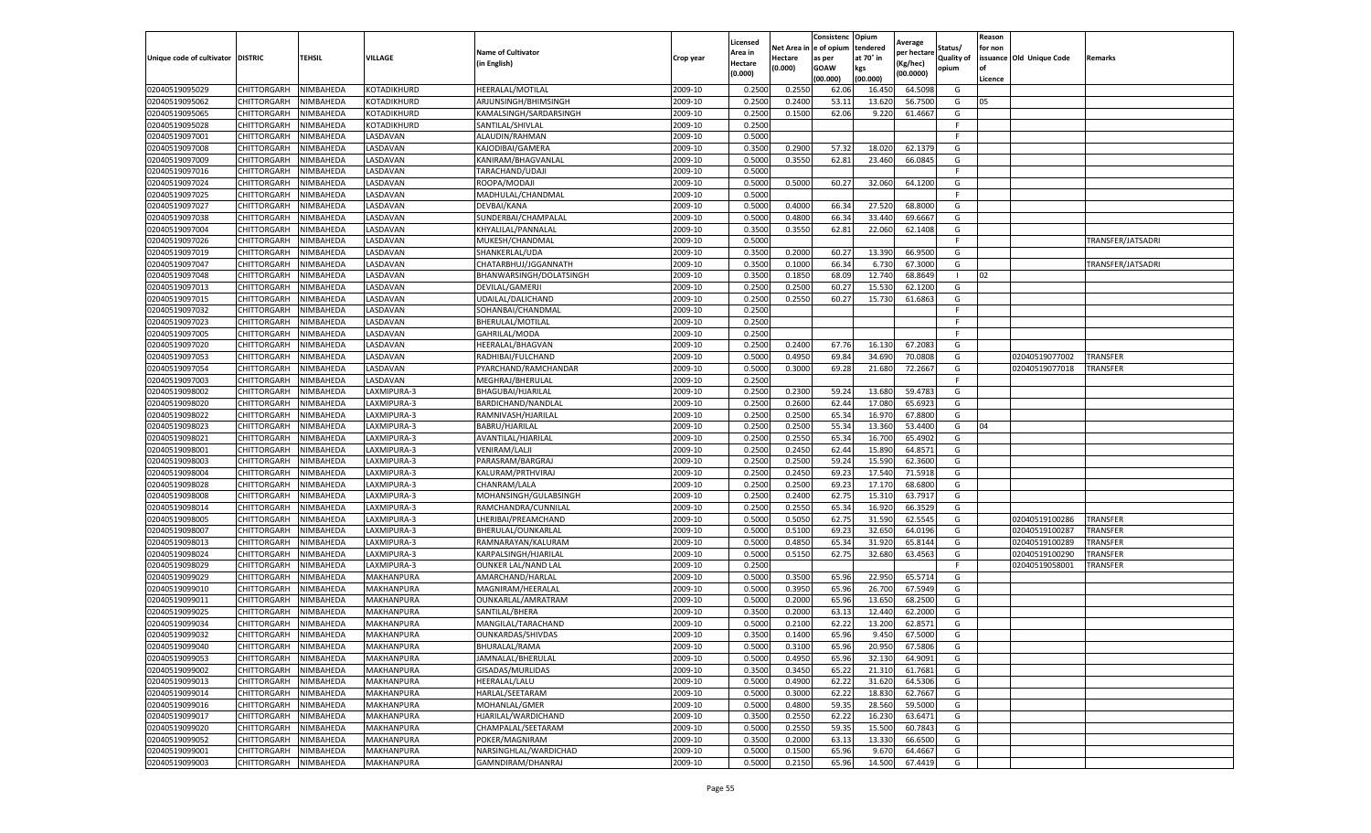|                                   |                            |                        |                            |                                        |                    | Licensed         |         | Consistenc              | Opium            | Average     |            | Reason  |                          |                   |
|-----------------------------------|----------------------------|------------------------|----------------------------|----------------------------------------|--------------------|------------------|---------|-------------------------|------------------|-------------|------------|---------|--------------------------|-------------------|
|                                   |                            |                        |                            | <b>Name of Cultivator</b>              |                    | Area in          |         | Net Area in le of opium | tendered         | per hectare | Status/    | for non |                          |                   |
| Unique code of cultivator DISTRIC |                            | <b>TEHSIL</b>          | VILLAGE                    | (in English)                           | Crop year          | Hectare          | Hectare | as per                  | at 70° in        | Kg/hec)     | Quality of |         | issuance Old Unique Code | Remarks           |
|                                   |                            |                        |                            |                                        |                    | (0.000)          | (0.000) | GOAW                    | kgs              | (00.0000)   | opium      |         |                          |                   |
|                                   |                            |                        |                            |                                        |                    |                  |         | (00.000)                | (00.000)         |             |            | Licence |                          |                   |
| 02040519095029                    | CHITTORGARH<br>CHITTORGARH | NIMBAHEDA              | KOTADIKHURD<br>KOTADIKHURD | HEERALAL/MOTILAL                       | 2009-10            | 0.250            | 0.255   | 62.06                   | 16.45            | 64.509      | G          |         |                          |                   |
| 02040519095062                    |                            | NIMBAHEDA              |                            | ARJUNSINGH/BHIMSINGH                   | 2009-10            | 0.250            | 0.2400  | 53.11                   | 13.62            | 56.750      | G          | 05      |                          |                   |
| 02040519095065                    | CHITTORGARH                | NIMBAHEDA              | KOTADIKHURD                | KAMALSINGH/SARDARSINGH                 | 2009-10            | 0.2500           | 0.1500  | 62.06                   | 9.220            | 61.466      | G<br>F.    |         |                          |                   |
| 02040519095028                    | CHITTORGARH                | NIMBAHEDA              | KOTADIKHURD                | SANTILAL/SHIVLAL                       | 2009-10            | 0.2500           |         |                         |                  |             | F          |         |                          |                   |
| 02040519097001                    | CHITTORGARH                | NIMBAHEDA              | LASDAVAN<br>LASDAVAN       | ALAUDIN/RAHMAN                         | 2009-10            | 0.5000           |         |                         | 18.020           | 62.137      | G          |         |                          |                   |
| 02040519097008                    | CHITTORGARH<br>CHITTORGARH | NIMBAHEDA              | LASDAVAN                   | KAJODIBAI/GAMERA                       | 2009-10            | 0.3500<br>0.5000 | 0.2900  | 57.32<br>62.81          | 23.460           | 66.084      | G          |         |                          |                   |
| 02040519097009                    |                            | NIMBAHEDA              |                            | KANIRAM/BHAGVANLAL                     | 2009-10            |                  | 0.3550  |                         |                  |             | -F         |         |                          |                   |
| 02040519097016<br>02040519097024  | CHITTORGARH                | NIMBAHEDA<br>NIMBAHEDA | LASDAVAN                   | TARACHAND/UDAJI                        | 2009-10            | 0.5000<br>0.5000 |         |                         |                  |             |            |         |                          |                   |
| 02040519097025                    | CHITTORGARH<br>CHITTORGARH | NIMBAHEDA              | LASDAVAN<br>LASDAVAN       | ROOPA/MODAJI<br>MADHULAL/CHANDMAL      | 2009-10<br>2009-10 | 0.5000           | 0.500   | 60.27                   | 32.060           | 64.120      | G<br>-F    |         |                          |                   |
| 02040519097027                    | CHITTORGARH                | NIMBAHEDA              | LASDAVAN                   | DEVBAI/KANA                            | 2009-10            | 0.5000           | 0.4000  | 66.34                   | 27.520           | 68.800      | G          |         |                          |                   |
| 02040519097038                    | CHITTORGARH                | NIMBAHEDA              | LASDAVAN                   | SUNDERBAI/CHAMPALAL                    | 2009-10            | 0.5000           | 0.4800  | 66.3                    | 33.440           | 69.666      | G          |         |                          |                   |
| 02040519097004                    | CHITTORGARH                | <b>NIMBAHEDA</b>       | LASDAVAN                   | KHYALILAL/PANNALAL                     | 2009-10            | 0.3500           | 0.3550  | 62.8                    | 22.060           | 62.140      | G          |         |                          |                   |
| 02040519097026                    | CHITTORGARH                | NIMBAHEDA              | LASDAVAN                   | MUKESH/CHANDMAL                        | 2009-10            | 0.5000           |         |                         |                  |             | F.         |         |                          | TRANSFER/JATSADRI |
| 02040519097019                    | CHITTORGARH                | NIMBAHEDA              | LASDAVAN                   | SHANKERLAL/UDA                         | 2009-10            | 0.3500           | 0.2000  | 60.2                    | 13.390           | 66.950      | G          |         |                          |                   |
| 02040519097047                    | CHITTORGARH                | NIMBAHEDA              | LASDAVAN                   | CHATARBHUJ/JGGANNATH                   | 2009-10            | 0.3500           | 0.1000  | 66.34                   | 6.730            | 67.300      | G          |         |                          | TRANSFER/JATSADRI |
| 02040519097048                    | CHITTORGARH                | NIMBAHEDA              | LASDAVAN                   | BHANWARSINGH/DOLATSINGH                | 2009-10            | 0.3500           | 0.1850  | 68.09                   | 12.740           | 68.8649     |            | 02      |                          |                   |
| 02040519097013                    | CHITTORGARH                | NIMBAHEDA              | LASDAVAN                   | DEVILAL/GAMERJI                        | 2009-10            | 0.2500           | 0.250   | 60.2                    | 15.530           | 62.120      | G          |         |                          |                   |
| 02040519097015                    | CHITTORGARH                | <b>NIMBAHEDA</b>       | LASDAVAN                   |                                        | 2009-10            | 0.2500           | 0.2550  | 60.2                    | 15.730           | 61.6863     | G          |         |                          |                   |
| 02040519097032                    | CHITTORGARH                | <b>NIMBAHEDA</b>       | LASDAVAN                   | JDAILAL/DALICHAND<br>SOHANBAI/CHANDMAI | 2009-10            | 0.2500           |         |                         |                  |             | F          |         |                          |                   |
| 02040519097023                    | CHITTORGARH                | NIMBAHEDA              | LASDAVAN                   | BHERULAL/MOTILAL                       | 2009-10            | 0.2500           |         |                         |                  |             | F          |         |                          |                   |
| 02040519097005                    | CHITTORGARH                | NIMBAHEDA              | LASDAVAN                   | GAHRILAL/MODA                          | 2009-10            | 0.2500           |         |                         |                  |             | -F         |         |                          |                   |
| 02040519097020                    | CHITTORGARH                | NIMBAHEDA              | LASDAVAN                   | HEERALAL/BHAGVAN                       | 2009-10            | 0.2500           | 0.2400  | 67.76                   |                  | 67.2083     | G          |         |                          |                   |
| 02040519097053                    | CHITTORGARH                | NIMBAHEDA              | LASDAVAN                   | RADHIBAI/FULCHAND                      | 2009-10            | 0.5000           | 0.4950  | 69.84                   | 16.130<br>34.690 | 70.0808     | G          |         | 02040519077002           | <b>TRANSFER</b>   |
| 02040519097054                    | CHITTORGARH                | NIMBAHEDA              | LASDAVAN                   | PYARCHAND/RAMCHANDAR                   | 2009-10            | 0.5000           | 0.3000  | 69.28                   | 21.680           | 72.266      | G          |         | 02040519077018           | TRANSFER          |
| 02040519097003                    | CHITTORGARH                | NIMBAHEDA              | LASDAVAN                   | MEGHRAJ/BHERULAI                       | 2009-10            | 0.2500           |         |                         |                  |             | E          |         |                          |                   |
| 02040519098002                    |                            |                        | LAXMIPURA-3                | BHAGUBAI/HJARILAL                      | 2009-10            | 0.2500           | 0.230   | 59.2                    | 13.680           | 59.478      | G          |         |                          |                   |
| 02040519098020                    | CHITTORGARH<br>CHITTORGARH | NIMBAHEDA<br>NIMBAHEDA | LAXMIPURA-3                | BARDICHAND/NANDLAL                     | 2009-10            | 0.2500           | 0.2600  | 62.44                   | 17.080           | 65.692      | G          |         |                          |                   |
|                                   | CHITTORGARH                | NIMBAHEDA              | LAXMIPURA-3                | RAMNIVASH/HJARILAL                     | 2009-10            | 0.2500           | 0.2500  |                         |                  | 67.8800     | G          |         |                          |                   |
| 02040519098022<br>02040519098023  | CHITTORGARH                | NIMBAHEDA              | LAXMIPURA-3                | BABRU/HJARILAL                         | 2009-10            | 0.2500           | 0.250   | 65.34<br>55.34          | 16.970<br>13.360 | 53.4400     | G          | 04      |                          |                   |
| 02040519098021                    | CHITTORGARH                | NIMBAHEDA              | LAXMIPURA-3                | AVANTILAL/HJARILAL                     | 2009-10            | 0.250            | 0.2550  | 65.34                   | 16.700           | 65.490      | G          |         |                          |                   |
| 02040519098001                    | CHITTORGARH                | NIMBAHEDA              | LAXMIPURA-3                | <b>VENIRAM/LALJI</b>                   | 2009-10            | 0.2500           | 0.2450  | 62.44                   | 15.890           | 64.857      | G          |         |                          |                   |
| 02040519098003                    | CHITTORGARH                | NIMBAHEDA              | LAXMIPURA-3                | PARASRAM/BARGRAJ                       | 2009-10            | 0.2500           | 0.250   | 59.24                   | 15.590           | 62.360      | G          |         |                          |                   |
| 02040519098004                    | CHITTORGARH                | NIMBAHEDA              | LAXMIPURA-3                | KALURAM/PRTHVIRAJ                      | 2009-10            | 0.2500           | 0.2450  | 69.2                    | 17.540           | 71.591      | G          |         |                          |                   |
| 02040519098028                    | CHITTORGARH                | NIMBAHEDA              | LAXMIPURA-3                | CHANRAM/LALA                           | 2009-10            | 0.2500           | 0.250   | 69.23                   | 17.170           | 68.680      | G          |         |                          |                   |
| 02040519098008                    | CHITTORGARH                | NIMBAHEDA              | LAXMIPURA-3                | MOHANSINGH/GULABSINGH                  | 2009-10            | 0.2500           | 0.2400  | 62.7                    | 15.310           | 63.791      | G          |         |                          |                   |
| 02040519098014                    | CHITTORGARH                | NIMBAHEDA              | LAXMIPURA-3                | RAMCHANDRA/CUNNILAL                    | 2009-10            | 0.2500           | 0.2550  | 65.34                   | 16.920           | 66.3529     | G          |         |                          |                   |
| 02040519098005                    | CHITTORGARH                | NIMBAHEDA              | LAXMIPURA-3                | LHERIBAI/PREAMCHAND                    | 2009-10            | 0.5000           | 0.505   | 62.7                    | 31.590           | 62.554      | G          |         | 02040519100286           | TRANSFER          |
| 02040519098007                    | CHITTORGARH                | NIMBAHEDA              | LAXMIPURA-3                | BHERULAL/OUNKARLAL                     | 2009-10            | 0.5000           | 0.510   | 69.2                    | 32.650           | 64.019      | G          |         | 02040519100287           | TRANSFER          |
| 02040519098013                    | CHITTORGARH                | NIMBAHEDA              | LAXMIPURA-3                | RAMNARAYAN/KALURAM                     | 2009-10            | 0.5000           | 0.4850  | 65.34                   | 31.920           | 65.814      | G          |         | 02040519100289           | TRANSFER          |
| 02040519098024                    | CHITTORGARH                | NIMBAHEDA              | LAXMIPURA-3                | KARPALSINGH/HJARILAL                   | 2009-10            | 0.5000           | 0.515   | 62.7                    | 32.680           | 63.4563     | G          |         | 02040519100290           | TRANSFER          |
| 02040519098029                    | CHITTORGARH                | NIMBAHEDA              | LAXMIPURA-3                | OUNKER LAL/NAND LAL                    | 2009-10            | 0.2500           |         |                         |                  |             | F          |         | 02040519058001           | TRANSFER          |
| 02040519099029                    | CHITTORGARH                | NIMBAHEDA              | MAKHANPURA                 | AMARCHAND/HARLAL                       | 2009-10            | 0.5000           | 0.350   | 65.9                    | 22.950           | 65.571      | G          |         |                          |                   |
| 02040519099010                    | CHITTORGARH                | NIMBAHEDA              | MAKHANPURA                 | MAGNIRAM/HEERALAI                      | 2009-10            | 0.5000           | 0.395   | 65.96                   | 26.700           | 67.594      | G          |         |                          |                   |
| 02040519099011                    | CHITTORGARH                | NIMBAHEDA              | MAKHANPURA                 | OUNKARLAL/AMRATRAM                     | 2009-10            | 0.5000           | 0.2000  | 65.9                    | 13.650           | 68.250      | G          |         |                          |                   |
| 02040519099025                    | CHITTORGARH                | NIMBAHEDA              | MAKHANPURA                 | SANTILAL/BHERA                         | 2009-10            | 0.3500           | 0.200   | 63.1                    | 12.440           | 62.200      | G          |         |                          |                   |
| 02040519099034                    | CHITTORGARH                | NIMBAHEDA              | MAKHANPURA                 | MANGILAL/TARACHAND                     | 2009-10            | 0.500            | 0.210   | 62.22                   | 13.200           | 62.857      | G          |         |                          |                   |
| 02040519099032                    | CHITTORGARH                | NIMBAHEDA              | MAKHANPURA                 | <b>OUNKARDAS/SHIVDAS</b>               | 2009-10            | 0.3500           | 0.1400  | 65.96                   | 9.450            | 67.5000     | G          |         |                          |                   |
| 02040519099040                    | CHITTORGARH                | NIMBAHEDA              | MAKHANPURA                 | BHURALAL/RAMA                          | 2009-10            | 0.5000           | 0.3100  | 65.96                   | 20.950           | 67.5806     | G          |         |                          |                   |
| 02040519099053                    | CHITTORGARH                | NIMBAHEDA              | MAKHANPURA                 | JAMNALAL/BHERULAL                      | 2009-10            | 0.5000           | 0.4950  | 65.96                   | 32.130           | 64.9091     | G          |         |                          |                   |
| 02040519099002                    | CHITTORGARH                | NIMBAHEDA              | MAKHANPURA                 | GISADAS/MURLIDAS                       | 2009-10            | 0.3500           | 0.3450  | 65.22                   | 21.310           | 61.7681     | G          |         |                          |                   |
| 02040519099013                    | CHITTORGARH                | NIMBAHEDA              | MAKHANPURA                 | HEERALAL/LALU                          | 2009-10            | 0.5000           | 0.4900  | 62.22                   | 31.620           | 64.5306     | G          |         |                          |                   |
| 02040519099014                    | CHITTORGARH                | NIMBAHEDA              | MAKHANPURA                 | HARLAL/SEETARAM                        | 2009-10            | 0.5000           | 0.3000  | 62.22                   | 18.830           | 62.7667     | G          |         |                          |                   |
| 02040519099016                    | CHITTORGARH                | NIMBAHEDA              | MAKHANPURA                 | MOHANLAL/GMER                          | 2009-10            | 0.5000           | 0.4800  | 59.35                   | 28.560           | 59.5000     | G          |         |                          |                   |
| 02040519099017                    | CHITTORGARH                | NIMBAHEDA              | MAKHANPURA                 | HJARILAL/WARDICHAND                    | 2009-10            | 0.3500           | 0.2550  | 62.22                   | 16.230           | 63.647      | G          |         |                          |                   |
| 02040519099020                    | CHITTORGARH                | NIMBAHEDA              | MAKHANPURA                 | CHAMPALAL/SEETARAM                     | 2009-10            | 0.5000           | 0.2550  | 59.35                   | 15.500           | 60.7843     | G          |         |                          |                   |
| 02040519099052                    | CHITTORGARH                | NIMBAHEDA              | MAKHANPURA                 | POKER/MAGNIRAM                         | 2009-10            | 0.3500           | 0.2000  | 63.13                   | 13.330           | 66.6500     | G          |         |                          |                   |
| 02040519099001                    | CHITTORGARH                | NIMBAHEDA              | MAKHANPURA                 | NARSINGHLAL/WARDICHAD                  | 2009-10            | 0.5000           | 0.1500  | 65.96                   | 9.670            | 64.466      | G          |         |                          |                   |
| 02040519099003                    | CHITTORGARH                | NIMBAHEDA              | MAKHANPURA                 | GAMNDIRAM/DHANRAJ                      | 2009-10            | 0.5000           | 0.2150  | 65.96                   | 14.500           | 67.4419     | G          |         |                          |                   |
|                                   |                            |                        |                            |                                        |                    |                  |         |                         |                  |             |            |         |                          |                   |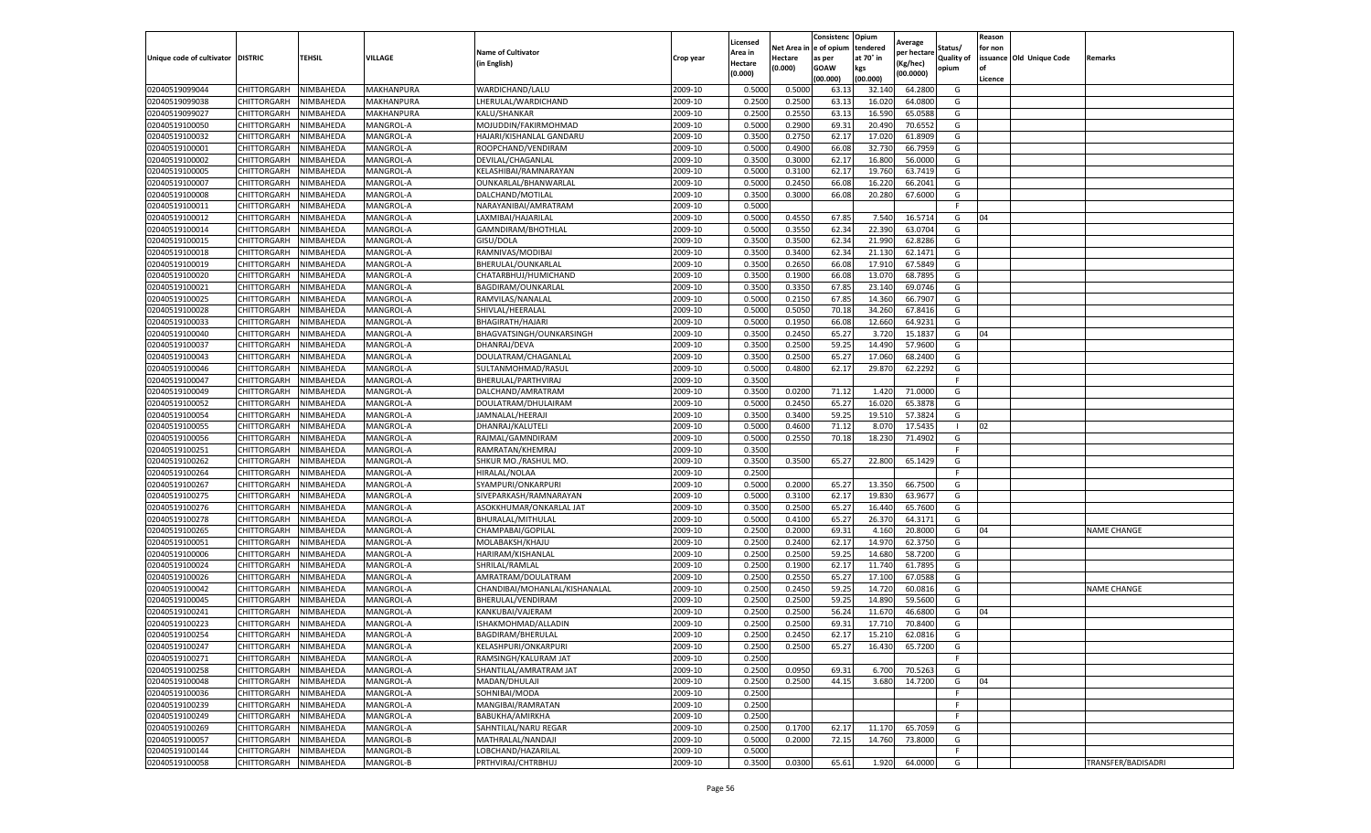|                           |                    |           |                  |                               |           | Licensed |         | Consistenc             | Opium     |                        |                   | Reason  |                          |                    |
|---------------------------|--------------------|-----------|------------------|-------------------------------|-----------|----------|---------|------------------------|-----------|------------------------|-------------------|---------|--------------------------|--------------------|
|                           |                    |           |                  | <b>Name of Cultivator</b>     |           | Area in  |         | Net Area in e of opium | tendered  | Average<br>per hectare | Status/           | for non |                          |                    |
| Unique code of cultivator | <b>DISTRIC</b>     | TEHSIL    | VILLAGE          | in English)                   | Crop year | Hectare  | Hectare | as per                 | at 70° in | (Kg/hec                | <b>Quality of</b> |         | issuance Old Unique Code | <b>Remarks</b>     |
|                           |                    |           |                  |                               |           | (0.000)  | (0.000) | <b>GOAW</b>            | kgs       | (00.0000)              | opium             |         |                          |                    |
|                           |                    |           |                  |                               |           |          |         | (00.000)               | (00.000)  |                        |                   | Licence |                          |                    |
| 02040519099044            | CHITTORGARH        | NIMBAHEDA | MAKHANPURA       | WARDICHAND/LALU               | 2009-10   | 0.5000   | 0.5000  | 63.1                   | 32.14     | 64.2800                | G                 |         |                          |                    |
| 02040519099038            | CHITTORGARH        | NIMBAHEDA | MAKHANPURA       | LHERULAL/WARDICHAND           | 2009-10   | 0.2500   | 0.2500  | 63.13                  | 16.02     | 64.0800                | G                 |         |                          |                    |
| 02040519099027            | CHITTORGARH        | NIMBAHEDA | MAKHANPURA       | KALU/SHANKAR                  | 2009-10   | 0.2500   | 0.2550  | 63.13                  | 16.59     | 65.0588                | G                 |         |                          |                    |
| 02040519100050            | CHITTORGARH        | NIMBAHEDA | MANGROL-A        | MOJUDDIN/FAKIRMOHMAD          | 2009-10   | 0.5000   | 0.2900  | 69.31                  | 20.490    | 70.6552                | G                 |         |                          |                    |
| 02040519100032            | <b>CHITTORGARH</b> | NIMBAHEDA | MANGROL-A        | HAJARI/KISHANLAL GANDARU      | 2009-10   | 0.3500   | 0.2750  | 62.17                  | 17.02     | 61.8909                | G                 |         |                          |                    |
| 02040519100001            | CHITTORGARH        | NIMBAHEDA | MANGROL-A        | ROOPCHAND/VENDIRAM            | 2009-10   | 0.5000   | 0.4900  | 66.08                  | 32.73     | 66.7959                | G                 |         |                          |                    |
| 02040519100002            | CHITTORGARH        | NIMBAHEDA | MANGROL-A        | DEVILAL/CHAGANLAL             | 2009-10   | 0.3500   | 0.3000  | 62.17                  | 16.80     | 56.0000                | G                 |         |                          |                    |
| 02040519100005            | CHITTORGARH        | NIMBAHEDA | MANGROL-A        | KELASHIBAI/RAMNARAYAN         | 2009-10   | 0.5000   | 0.3100  | 62.17                  | 19.76     | 63.7419                | G                 |         |                          |                    |
| 02040519100007            | CHITTORGARH        | NIMBAHEDA | MANGROL-A        | OUNKARLAL/BHANWARLAL          | 2009-10   | 0.5000   | 0.2450  | 66.08                  | 16.22     | 66.2041                | G                 |         |                          |                    |
| 02040519100008            | CHITTORGARH        | NIMBAHEDA | MANGROL-A        | DALCHAND/MOTILAL              | 2009-10   | 0.3500   | 0.3000  | 66.08                  | 20.280    | 67.6000                | G                 |         |                          |                    |
| 02040519100011            | <b>CHITTORGARH</b> | NIMBAHEDA | MANGROL-A        | NARAYANIBAI/AMRATRAM          | 2009-10   | 0.5000   |         |                        |           |                        | F.                |         |                          |                    |
| 02040519100012            | CHITTORGARH        | NIMBAHEDA | MANGROL-A        | LAXMIBAI/HAJARILAL            | 2009-10   | 0.5000   | 0.4550  | 67.85                  | 7.54      | 16.5714                | G                 | 04      |                          |                    |
| 02040519100014            | CHITTORGARH        | NIMBAHEDA | MANGROL-A        | GAMNDIRAM/BHOTHLAI            | 2009-10   | 0.5000   | 0.3550  | 62.34                  | 22.390    | 63.0704                | G                 |         |                          |                    |
| 02040519100015            | CHITTORGARH        | NIMBAHEDA | MANGROL-A        | GISU/DOLA                     | 2009-10   | 0.3500   | 0.3500  | 62.34                  | 21.990    | 62.8286                | G                 |         |                          |                    |
| 02040519100018            | CHITTORGARH        | NIMBAHEDA | MANGROL-A        | RAMNIVAS/MODIBAI              | 2009-10   | 0.3500   | 0.3400  | 62.34                  | 21.13     | 62.1471                | G                 |         |                          |                    |
| 02040519100019            | CHITTORGARH        | NIMBAHEDA | MANGROL-A        | BHERULAL/OUNKARLAL            | 2009-10   | 0.3500   | 0.2650  | 66.08                  | 17.91     | 67.5849                | G                 |         |                          |                    |
| 02040519100020            | CHITTORGARH        | NIMBAHEDA | MANGROL-A        | CHATARBHUJ/HUMICHAND          | 2009-10   | 0.3500   | 0.1900  | 66.08                  | 13.07     | 68.7895                | G                 |         |                          |                    |
| 02040519100021            | CHITTORGARH        | NIMBAHEDA | MANGROL-A        | BAGDIRAM/OUNKARLAL            | 2009-10   | 0.3500   | 0.3350  | 67.85                  | 23.14     | 69.0746                | G                 |         |                          |                    |
| 02040519100025            | CHITTORGARH        | NIMBAHEDA | MANGROL-A        | RAMVILAS/NANALAI              | 2009-10   | 0.5000   | 0.2150  | 67.85                  | 14.36     | 66.7907                | G                 |         |                          |                    |
| 02040519100028            | CHITTORGARH        | NIMBAHEDA | MANGROL-A        | SHIVLAL/HEERALAL              | 2009-10   | 0.5000   | 0.5050  | 70.18                  | 34.260    | 67.8416                | G                 |         |                          |                    |
| 02040519100033            | CHITTORGARH        | NIMBAHEDA | MANGROL-A        | BHAGIRATH/HAJARI              | 2009-10   | 0.5000   | 0.1950  | 66.08                  | 12.660    | 64.9231                | G                 |         |                          |                    |
| 02040519100040            | CHITTORGARH        | NIMBAHEDA | MANGROL-A        | BHAGVATSINGH/OUNKARSINGH      | 2009-10   | 0.3500   | 0.2450  | 65.27                  | 3.72      | 15.1837                | G                 | 04      |                          |                    |
| 02040519100037            | CHITTORGARH        | NIMBAHEDA | MANGROL-A        | DHANRAJ/DEVA                  | 2009-10   | 0.3500   | 0.2500  | 59.25                  | 14.490    | 57.9600                | G                 |         |                          |                    |
| 02040519100043            | CHITTORGARH        | NIMBAHEDA | MANGROL-A        | DOULATRAM/CHAGANLAL           | 2009-10   | 0.3500   | 0.2500  | 65.27                  | 17.060    | 68.2400                | G                 |         |                          |                    |
| 02040519100046            | CHITTORGARH        | NIMBAHEDA | MANGROL-A        | SULTANMOHMAD/RASUL            | 2009-10   | 0.5000   | 0.4800  | 62.17                  | 29.87     | 62.2292                | G                 |         |                          |                    |
| 02040519100047            | CHITTORGARH        | NIMBAHEDA | MANGROL-A        | BHERULAL/PARTHVIRAJ           | 2009-10   | 0.3500   |         |                        |           |                        | F                 |         |                          |                    |
| 02040519100049            | CHITTORGARH        | NIMBAHEDA | MANGROL-A        | DALCHAND/AMRATRAM             | 2009-10   | 0.3500   | 0.0200  | 71.12                  | 1.420     | 71.0000                | G                 |         |                          |                    |
| 02040519100052            | CHITTORGARH        | NIMBAHEDA | MANGROL-A        | DOULATRAM/DHULAIRAM           | 2009-10   | 0.5000   | 0.2450  | 65.27                  | 16.02     | 65.3878                | G                 |         |                          |                    |
| 02040519100054            | CHITTORGARH        | NIMBAHEDA | MANGROL-A        | JAMNALAL/HEERAJI              | 2009-10   | 0.3500   | 0.3400  | 59.25                  | 19.510    | 57.3824                | G                 |         |                          |                    |
| 02040519100055            | CHITTORGARH        | NIMBAHEDA | MANGROL-A        | DHANRAJ/KALUTELI              | 2009-10   | 0.5000   | 0.4600  | 71.12                  | 8.07      | 17.5435                |                   | 02      |                          |                    |
| 02040519100056            | CHITTORGARH        | NIMBAHEDA | MANGROL-A        | RAJMAL/GAMNDIRAM              | 2009-10   | 0.5000   | 0.2550  | 70.18                  | 18.23     | 71.4902                | G                 |         |                          |                    |
| 02040519100251            | CHITTORGARH        | NIMBAHEDA | MANGROL-A        | RAMRATAN/KHEMRAJ              | 2009-10   | 0.3500   |         |                        |           |                        | F.                |         |                          |                    |
| 02040519100262            | CHITTORGARH        | NIMBAHEDA | MANGROL-A        | SHKUR MO./RASHUL MO           | 2009-10   | 0.3500   | 0.3500  | 65.27                  | 22.800    | 65.1429                | G                 |         |                          |                    |
| 02040519100264            | CHITTORGARH        | NIMBAHEDA | MANGROL-A        | HIRALAL/NOLAA                 | 2009-10   | 0.2500   |         |                        |           |                        | F.                |         |                          |                    |
| 02040519100267            | CHITTORGARH        | NIMBAHEDA | MANGROL-A        | SYAMPURI/ONKARPURI            | 2009-10   | 0.5000   | 0.2000  | 65.27                  | 13.350    | 66.7500                | G                 |         |                          |                    |
| 02040519100275            | CHITTORGARH        | NIMBAHEDA | MANGROL-A        | SIVEPARKASH/RAMNARAYAN        | 2009-10   | 0.5000   | 0.3100  | 62.17                  | 19.83     | 63.9677                | G                 |         |                          |                    |
| 02040519100276            | CHITTORGARH        | NIMBAHEDA | MANGROL-A        | ASOKKHUMAR/ONKARLAL JAT       | 2009-10   | 0.3500   | 0.2500  | 65.27                  | 16.44     | 65.7600                | G                 |         |                          |                    |
| 02040519100278            | CHITTORGARH        | NIMBAHEDA | <b>MANGROL-A</b> | BHURALAL/MITHULAI             | 2009-10   | 0.5000   | 0.4100  | 65.27                  | 26.37     | 64.3171                | G                 |         |                          |                    |
| 02040519100265            | CHITTORGARH        | NIMBAHEDA | MANGROL-A        | CHAMPABAI/GOPILAL             | 2009-10   | 0.2500   | 0.2000  | 69.31                  | 4.16      | 20.8000                | G                 | 04      |                          | <b>NAME CHANGE</b> |
| 02040519100051            | CHITTORGARH        | NIMBAHEDA | MANGROL-A        | MOLABAKSH/KHAJU               | 2009-10   | 0.2500   | 0.2400  | 62.17                  | 14.97     | 62.3750                | G                 |         |                          |                    |
| 02040519100006            | CHITTORGARH        | NIMBAHEDA | MANGROL-A        | HARIRAM/KISHANLAL             | 2009-10   | 0.2500   | 0.2500  | 59.25                  | 14.680    | 58.7200                | G                 |         |                          |                    |
| 02040519100024            | CHITTORGARH        | NIMBAHEDA | MANGROL-A        | SHRILAL/RAMLAL                | 2009-10   | 0.2500   | 0.1900  | 62.17                  | 11.74     | 61.7895                | G                 |         |                          |                    |
| 02040519100026            | CHITTORGARH        | NIMBAHEDA | MANGROL-A        | AMRATRAM/DOULATRAM            | 2009-10   | 0.2500   | 0.2550  | 65.27                  | 17.10     | 67.0588                | G                 |         |                          |                    |
| 02040519100042            | CHITTORGARH        | NIMBAHEDA | MANGROL-A        | CHANDIBAI/MOHANLAL/KISHANALAL | 2009-10   | 0.2500   | 0.2450  | 59.25                  | 14.72     | 60.0816                | G                 |         |                          | <b>NAME CHANGE</b> |
| 02040519100045            | CHITTORGARH        | NIMBAHEDA | MANGROL-A        | BHERULAL/VENDIRAM             | 2009-10   | 0.2500   | 0.2500  | 59.25                  | 14.89     | 59.5600                | G                 |         |                          |                    |
| 02040519100241            | CHITTORGARH        | NIMBAHEDA | MANGROL-A        | KANKUBAI/VAJERAM              | 2009-10   | 0.2500   | 0.2500  | 56.24                  | 11.67     | 46.6800                | G                 | 04      |                          |                    |
| 02040519100223            | CHITTORGARH        | NIMBAHEDA | MANGROL-A        | ISHAKMOHMAD/ALLADIN           | 2009-10   | 0.2500   | 0.2500  | 69.31                  | 17.71     | 70.8400                | G                 |         |                          |                    |
| 02040519100254            | CHITTORGARH        | NIMBAHEDA | MANGROL-A        | BAGDIRAM/BHERULAL             | 2009-10   | 0.2500   | 0.2450  | 62.17                  | 15.210    | 62.0816                | G                 |         |                          |                    |
| 02040519100247            | <b>CHITTORGARH</b> | NIMBAHEDA | MANGROL-A        | KELASHPURI/ONKARPURI          | 2009-10   | 0.2500   | 0.2500  | 65.27                  | 16.430    | 65.7200                | G                 |         |                          |                    |
| 02040519100271            | CHITTORGARH        | NIMBAHEDA | MANGROL-A        | RAMSINGH/KALURAM JAT          | 2009-10   | 0.2500   |         |                        |           |                        | F                 |         |                          |                    |
| 02040519100258            | CHITTORGARH        | NIMBAHEDA | MANGROL-A        | SHANTILAL/AMRATRAM JAT        | 2009-10   | 0.2500   | 0.0950  | 69.31                  | 6.700     | 70.5263                | G                 |         |                          |                    |
| 02040519100048            | CHITTORGARH        | NIMBAHEDA | MANGROL-A        | MADAN/DHULAJI                 | 2009-10   | 0.2500   | 0.2500  | 44.15                  | 3.680     | 14.7200                | G                 | 04      |                          |                    |
| 02040519100036            | CHITTORGARH        | NIMBAHEDA | MANGROL-A        | SOHNIBAI/MODA                 | 2009-10   | 0.2500   |         |                        |           |                        | F.                |         |                          |                    |
| 02040519100239            | <b>CHITTORGARH</b> | NIMBAHEDA | MANGROL-A        | MANGIBAI/RAMRATAN             | 2009-10   | 0.2500   |         |                        |           |                        | F.                |         |                          |                    |
| 02040519100249            | CHITTORGARH        | NIMBAHEDA | MANGROL-A        | BABUKHA/AMIRKHA               | 2009-10   | 0.2500   |         |                        |           |                        | F                 |         |                          |                    |
| 02040519100269            | CHITTORGARH        | NIMBAHEDA | MANGROL-A        | SAHNTILAL/NARU REGAR          | 2009-10   | 0.2500   | 0.1700  | 62.17                  | 11.170    | 65.7059                | G                 |         |                          |                    |
| 02040519100057            | CHITTORGARH        | NIMBAHEDA | MANGROL-B        | MATHRALAL/NANDAJI             | 2009-10   | 0.5000   | 0.2000  | 72.15                  | 14.760    | 73.8000                | G                 |         |                          |                    |
| 02040519100144            | CHITTORGARH        | NIMBAHEDA | MANGROL-B        | LOBCHAND/HAZARILAL            | 2009-10   | 0.5000   |         |                        |           |                        | F.                |         |                          |                    |
| 02040519100058            | <b>CHITTORGARH</b> | NIMBAHEDA | <b>MANGROL-B</b> | PRTHVIRAJ/CHTRBHUJ            | 2009-10   | 0.3500   | 0.0300  | 65.61                  | 1.920     | 64.0000                | G                 |         |                          | TRANSFER/BADISADRI |
|                           |                    |           |                  |                               |           |          |         |                        |           |                        |                   |         |                          |                    |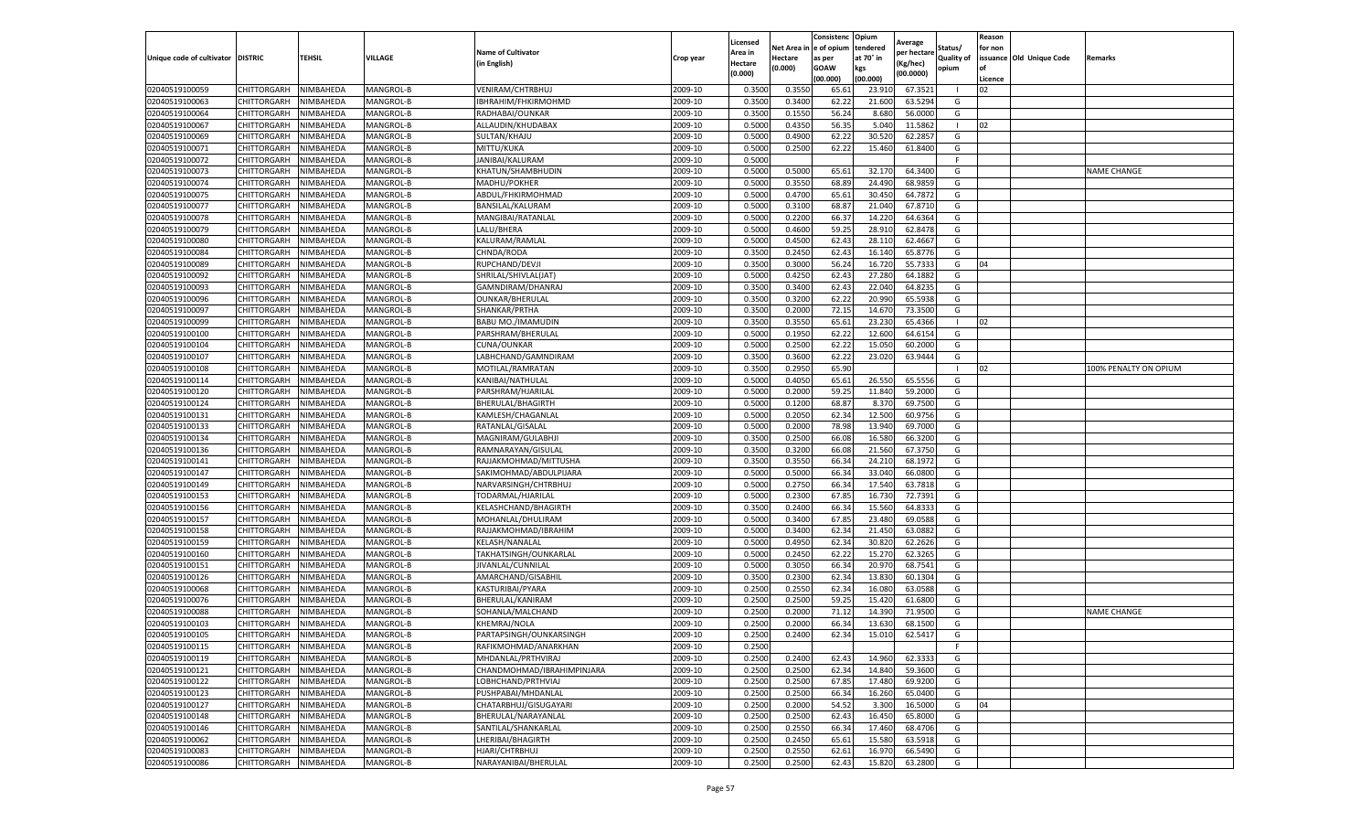|                           |                    |           |           |                            |           | Licensed |         | Consistenc             | Opium     |                        |              | Reason  |                          |                       |
|---------------------------|--------------------|-----------|-----------|----------------------------|-----------|----------|---------|------------------------|-----------|------------------------|--------------|---------|--------------------------|-----------------------|
|                           |                    |           |           | <b>Name of Cultivator</b>  |           | Area in  |         | Net Area in e of opium | tendered  | Average<br>oer hectare | Status/      | for non |                          |                       |
| Unique code of cultivator | <b>DISTRIC</b>     | TEHSIL    | VILLAGE   | in English)                | Crop year | Hectare  | Hectare | as per                 | at 70° in | (Kg/hec                | Quality of   |         | issuance Old Unique Code | <b>Remarks</b>        |
|                           |                    |           |           |                            |           | (0.000)  | (0.000) | <b>GOAW</b>            | kgs       | (00.0000)              | opium        |         |                          |                       |
|                           |                    |           |           |                            |           |          |         | (00.000)               | (00.000)  |                        |              | Licence |                          |                       |
| 02040519100059            | <b>CHITTORGARH</b> | NIMBAHEDA | MANGROL-B | VENIRAM/CHTRBHUJ           | 2009-10   | 0.3500   | 0.3550  | 65.61                  | 23.91     | 67.3521                |              | 02      |                          |                       |
| 02040519100063            | CHITTORGARH        | NIMBAHEDA | MANGROL-B | IBHRAHIM/FHKIRMOHMD        | 2009-10   | 0.3500   | 0.3400  | 62.22                  | 21.60     | 63.5294                | G            |         |                          |                       |
| 02040519100064            | CHITTORGARH        | NIMBAHEDA | MANGROL-B | RADHABAI/OUNKAR            | 2009-10   | 0.3500   | 0.1550  | 56.24                  | 8.680     | 56.0000                | G            |         |                          |                       |
| 02040519100067            | CHITTORGARH        | NIMBAHEDA | MANGROL-B | ALLAUDIN/KHUDABAX          | 2009-10   | 0.5000   | 0.4350  | 56.35                  | 5.040     | 11.5862                | $\mathbf{I}$ | 02      |                          |                       |
| 02040519100069            | <b>CHITTORGARH</b> | NIMBAHEDA | MANGROL-B | SULTAN/KHAJU               | 2009-10   | 0.5000   | 0.4900  | 62.22                  | 30.52     | 62.2857                | G            |         |                          |                       |
| 02040519100071            | CHITTORGARH        | NIMBAHEDA | MANGROL-B | MITTU/KUKA                 | 2009-10   | 0.5000   | 0.2500  | 62.22                  | 15.460    | 61.8400                | G            |         |                          |                       |
| 02040519100072            | CHITTORGARH        | NIMBAHEDA | MANGROL-B | JANIBAI/KALURAM            | 2009-10   | 0.5000   |         |                        |           |                        | F            |         |                          |                       |
| 02040519100073            | CHITTORGARH        | NIMBAHEDA | MANGROL-B | KHATUN/SHAMBHUDIN          | 2009-10   | 0.5000   | 0.5000  | 65.61                  | 32.170    | 64.3400                | G            |         |                          | <b>NAME CHANGE</b>    |
| 02040519100074            | CHITTORGARH        | NIMBAHEDA | MANGROL-B | MADHU/POKHER               | 2009-10   | 0.5000   | 0.3550  | 68.89                  | 24.490    | 68.9859                | G            |         |                          |                       |
| 02040519100075            | CHITTORGARH        | NIMBAHEDA | MANGROL-B | ABDUL/FHKIRMOHMAD          | 2009-10   | 0.5000   | 0.4700  | 65.61                  | 30.450    | 64.7872                | G            |         |                          |                       |
| 02040519100077            | CHITTORGARH        | NIMBAHEDA | MANGROL-B | BANSILAL/KALURAM           | 2009-10   | 0.5000   | 0.3100  | 68.87                  | 21.04     | 67.8710                | G            |         |                          |                       |
| 02040519100078            | CHITTORGARH        | NIMBAHEDA | MANGROL-B | MANGIBAI/RATANLAL          | 2009-10   | 0.5000   | 0.2200  | 66.37                  | 14.22     | 64.6364                | G            |         |                          |                       |
| 02040519100079            | CHITTORGARH        | NIMBAHEDA | MANGROL-B | LALU/BHERA                 | 2009-10   | 0.5000   | 0.4600  | 59.25                  | 28.91     | 62.8478                | G            |         |                          |                       |
| 02040519100080            | CHITTORGARH        | NIMBAHEDA | MANGROL-B | KALURAM/RAMLAL             | 2009-10   | 0.5000   | 0.4500  | 62.43                  | 28.11     | 62.4667                | G            |         |                          |                       |
| 02040519100084            | CHITTORGARH        | NIMBAHEDA | MANGROL-B | CHNDA/RODA                 | 2009-10   | 0.3500   | 0.2450  | 62.43                  | 16.14     | 65.8776                | G            |         |                          |                       |
| 02040519100089            | CHITTORGARH        | NIMBAHEDA | MANGROL-B | RUPCHAND/DEVJI             | 2009-10   | 0.3500   | 0.3000  | 56.24                  | 16.72     | 55.7333                | G            | 04      |                          |                       |
| 02040519100092            | CHITTORGARH        | NIMBAHEDA | MANGROL-B | SHRILAL/SHIVLAL(JAT)       | 2009-10   | 0.5000   | 0.4250  | 62.43                  | 27.28     | 64.1882                | G            |         |                          |                       |
| 02040519100093            | CHITTORGARH        | NIMBAHEDA | MANGROL-B | GAMNDIRAM/DHANRAJ          | 2009-10   | 0.3500   | 0.3400  | 62.43                  | 22.04     | 64.8235                | G            |         |                          |                       |
| 02040519100096            | CHITTORGARH        | NIMBAHEDA | MANGROL-B | OUNKAR/BHERULAL            | 2009-10   | 0.3500   | 0.3200  | 62.22                  | 20.99     | 65.5938                | G            |         |                          |                       |
| 02040519100097            | CHITTORGARH        | NIMBAHEDA | MANGROL-B | SHANKAR/PRTHA              | 2009-10   | 0.3500   | 0.2000  | 72.15                  | 14.67     | 73.3500                | G            |         |                          |                       |
| 02040519100099            | CHITTORGARH        | NIMBAHEDA | MANGROL-B | BABU MO./IMAMUDIN          | 2009-10   | 0.3500   | 0.3550  | 65.61                  | 23.23     | 65.4366                | $\mathbf{L}$ | 02      |                          |                       |
| 02040519100100            | CHITTORGARH        | NIMBAHEDA | MANGROL-B | PARSHRAM/BHERULAL          | 2009-10   | 0.5000   | 0.1950  | 62.22                  | 12.60     | 64.6154                | G            |         |                          |                       |
| 02040519100104            | CHITTORGARH        | NIMBAHEDA | MANGROL-B | CUNA/OUNKAR                | 2009-10   | 0.5000   | 0.2500  | 62.22                  | 15.050    | 60.2000                | G            |         |                          |                       |
| 02040519100107            | CHITTORGARH        | NIMBAHEDA | MANGROL-B | LABHCHAND/GAMNDIRAM        | 2009-10   | 0.3500   | 0.3600  | 62.22                  | 23.020    | 63.9444                | G            |         |                          |                       |
| 02040519100108            | <b>CHITTORGARH</b> | NIMBAHEDA | MANGROL-B | MOTILAL/RAMRATAN           | 2009-10   | 0.3500   | 0.2950  | 65.90                  |           |                        |              | 02      |                          | 100% PENALTY ON OPIUM |
| 02040519100114            | CHITTORGARH        | NIMBAHEDA | MANGROL-B | KANIBAI/NATHULAL           | 2009-10   | 0.5000   | 0.4050  | 65.61                  | 26.550    | 65.5556                | G            |         |                          |                       |
| 02040519100120            | CHITTORGARH        | NIMBAHEDA | MANGROL-B | PARSHRAM/HJARILAL          | 2009-10   | 0.5000   | 0.2000  | 59.25                  | 11.84     | 59.2000                | G            |         |                          |                       |
| 02040519100124            | CHITTORGARH        | NIMBAHEDA | MANGROL-B | BHERULAL/BHAGIRTH          | 2009-10   | 0.5000   | 0.1200  | 68.87                  | 8.37      | 69.7500                | G            |         |                          |                       |
| 02040519100131            | CHITTORGARH        | NIMBAHEDA | MANGROL-B | KAMLESH/CHAGANLAL          | 2009-10   | 0.5000   | 0.2050  | 62.34                  | 12.500    | 60.9756                | G            |         |                          |                       |
| 02040519100133            | CHITTORGARH        | NIMBAHEDA | MANGROL-B | RATANLAL/GISALAL           | 2009-10   | 0.5000   | 0.2000  | 78.98                  | 13.94     | 69.7000                | G            |         |                          |                       |
| 02040519100134            | CHITTORGARH        | NIMBAHEDA | MANGROL-B | MAGNIRAM/GULABHJI          | 2009-10   | 0.3500   | 0.2500  | 66.08                  | 16.58     | 66.3200                | G            |         |                          |                       |
| 02040519100136            | CHITTORGARH        | NIMBAHEDA | MANGROL-B | RAMNARAYAN/GISULAL         | 2009-10   | 0.3500   | 0.3200  | 66.08                  | 21.560    | 67.3750                | G            |         |                          |                       |
| 02040519100141            | CHITTORGARH        | NIMBAHEDA | MANGROL-B | RAJJAKMOHMAD/MITTUSHA      | 2009-10   | 0.3500   | 0.3550  | 66.34                  | 24.21     | 68.1972                | G            |         |                          |                       |
| 02040519100147            | CHITTORGARH        | NIMBAHEDA | MANGROL-B | SAKIMOHMAD/ABDULPIJARA     | 2009-10   | 0.5000   | 0.5000  | 66.34                  | 33.040    | 66.0800                | G            |         |                          |                       |
| 02040519100149            | CHITTORGARH        | NIMBAHEDA | MANGROL-B | NARVARSINGH/CHTRBHUJ       | 2009-10   | 0.5000   | 0.2750  | 66.34                  | 17.540    | 63.7818                | G            |         |                          |                       |
| 02040519100153            | <b>CHITTORGARH</b> | NIMBAHEDA | MANGROL-B | TODARMAL/HJARILAL          | 2009-10   | 0.5000   | 0.2300  | 67.85                  | 16.73     | 72.7391                | G            |         |                          |                       |
| 02040519100156            | CHITTORGARH        | NIMBAHEDA | MANGROL-B | KELASHCHAND/BHAGIRTH       | 2009-10   | 0.3500   | 0.2400  | 66.34                  | 15.56     | 64.833                 | G            |         |                          |                       |
| 02040519100157            | CHITTORGARH        | NIMBAHEDA | MANGROL-B | MOHANLAL/DHULIRAM          | 2009-10   | 0.5000   | 0.3400  | 67.85                  | 23.48     | 69.0588                | G            |         |                          |                       |
| 02040519100158            | CHITTORGARH        | NIMBAHEDA | MANGROL-B | RAJJAKMOHMAD/IBRAHIM       | 2009-10   | 0.5000   | 0.3400  | 62.34                  | 21.450    | 63.088                 | G            |         |                          |                       |
| 02040519100159            | CHITTORGARH        | NIMBAHEDA | MANGROL-B | KELASH/NANALAL             | 2009-10   | 0.5000   | 0.4950  | 62.34                  | 30.82     | 62.2626                | G            |         |                          |                       |
| 02040519100160            | CHITTORGARH        | NIMBAHEDA | MANGROL-B | TAKHATSINGH/OUNKARLAL      | 2009-10   | 0.5000   | 0.2450  | 62.22                  | 15.27     | 62.3265                | G            |         |                          |                       |
| 02040519100151            | CHITTORGARH        | NIMBAHEDA | MANGROL-B | JIVANLAL/CUNNILAL          | 2009-10   | 0.5000   | 0.3050  | 66.34                  | 20.97     | 68.7541                | G            |         |                          |                       |
| 02040519100126            | CHITTORGARH        | NIMBAHEDA | MANGROL-B | AMARCHAND/GISABHIL         | 2009-10   | 0.3500   | 0.2300  | 62.34                  | 13.83     | 60.1304                | G            |         |                          |                       |
| 02040519100068            | CHITTORGARH        | NIMBAHEDA | MANGROL-B | KASTURIBAI/PYARA           | 2009-10   | 0.2500   | 0.2550  | 62.34                  | 16.08     | 63.0588                | G            |         |                          |                       |
| 02040519100076            | CHITTORGARH        | NIMBAHEDA | MANGROL-B | BHERULAL/KANIRAM           | 2009-10   | 0.2500   | 0.2500  | 59.25                  | 15.42     | 61.6800                | G            |         |                          |                       |
| 02040519100088            | CHITTORGARH        | NIMBAHEDA | MANGROL-B | SOHANLA/MALCHAND           | 2009-10   | 0.2500   | 0.2000  | 71.12                  | 14.39     | 71.9500                | G            |         |                          | <b>NAME CHANGE</b>    |
| 02040519100103            | CHITTORGARH        | NIMBAHEDA | MANGROL-B | KHEMRAJ/NOLA               | 2009-10   | 0.2500   | 0.2000  | 66.34                  | 13.63     | 68.1500                | G            |         |                          |                       |
| 02040519100105            | CHITTORGARH        | NIMBAHEDA | MANGROL-B | PARTAPSINGH/OUNKARSINGH    | 2009-10   | 0.2500   | 0.2400  | 62.34                  | 15.010    | 62.5417                | G            |         |                          |                       |
| 02040519100115            | CHITTORGARH        | NIMBAHEDA | MANGROL-B | RAFIKMOHMAD/ANARKHAN       | 2009-10   | 0.2500   |         |                        |           |                        | F.           |         |                          |                       |
| 02040519100119            | CHITTORGARH        | NIMBAHEDA | MANGROL-B | MHDANLAL/PRTHVIRAJ         | 2009-10   | 0.2500   | 0.2400  | 62.43                  | 14.960    | 62.3333                | G            |         |                          |                       |
| 02040519100121            | CHITTORGARH        | NIMBAHEDA | MANGROL-B | CHANDMOHMAD/IBRAHIMPINJARA | 2009-10   | 0.2500   | 0.2500  | 62.34                  | 14.840    | 59.3600                | G            |         |                          |                       |
| 02040519100122            | CHITTORGARH        | NIMBAHEDA | MANGROL-B | LOBHCHAND/PRTHVIAJ         | 2009-10   | 0.2500   | 0.2500  | 67.85                  | 17.480    | 69.9200                | G            |         |                          |                       |
| 02040519100123            | CHITTORGARH        | NIMBAHEDA | MANGROL-B | PUSHPABAI/MHDANLAL         | 2009-10   | 0.2500   | 0.2500  | 66.34                  | 16.260    | 65.0400                | G            |         |                          |                       |
| 02040519100127            | <b>CHITTORGARH</b> | NIMBAHEDA | MANGROL-B | CHATARBHUJ/GISUGAYARI      | 2009-10   | 0.2500   | 0.2000  | 54.52                  | 3.300     | 16.5000                | G            | 04      |                          |                       |
| 02040519100148            | CHITTORGARH        | NIMBAHEDA | MANGROL-B | BHERULAL/NARAYANLAL        | 2009-10   | 0.2500   | 0.2500  | 62.43                  | 16.450    | 65.8000                | G            |         |                          |                       |
| 02040519100146            | CHITTORGARH        | NIMBAHEDA | MANGROL-B | SANTILAL/SHANKARLAL        | 2009-10   | 0.2500   | 0.2550  | 66.34                  | 17.460    | 68.4706                | G            |         |                          |                       |
| 02040519100062            | CHITTORGARH        | NIMBAHEDA | MANGROL-B | LHERIBAI/BHAGIRTH          | 2009-10   | 0.2500   | 0.2450  | 65.61                  | 15.580    | 63.5918                | G            |         |                          |                       |
| 02040519100083            | CHITTORGARH        | NIMBAHEDA | MANGROL-B | HJARI/CHTRBHUJ             | 2009-10   | 0.2500   | 0.2550  | 62.61                  | 16.97     | 66.5490                | G            |         |                          |                       |
| 02040519100086            | <b>CHITTORGARH</b> | NIMBAHEDA | MANGROL-B | NARAYANIBAI/BHERULAL       | 2009-10   | 0.2500   | 0.2500  | 62.43                  | 15.820    | 63.2800                | G            |         |                          |                       |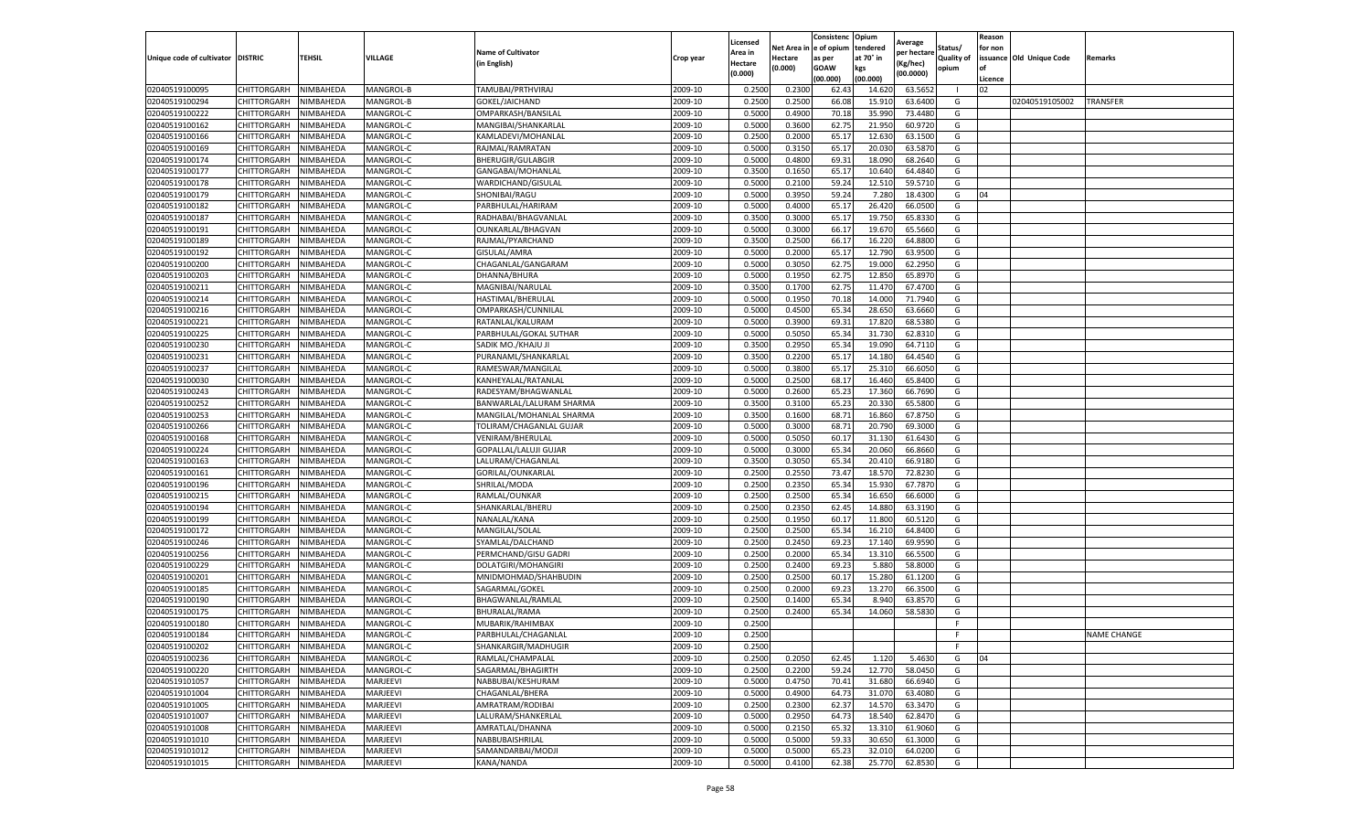|                                   |                    |           |                  |                           |           | Licensed |         | Consistenc             | Opium     | Average     |                   | Reason  |                          |                    |
|-----------------------------------|--------------------|-----------|------------------|---------------------------|-----------|----------|---------|------------------------|-----------|-------------|-------------------|---------|--------------------------|--------------------|
|                                   |                    |           |                  | <b>Name of Cultivator</b> |           | Area in  |         | Net Area in e of opium | tendered  | oer hectare | Status/           | for non |                          |                    |
| Unique code of cultivator DISTRIC |                    | TEHSIL    | VILLAGE          | in English)               | Crop year | Hectare  | Hectare | as per                 | at 70° in | (Kg/hec     | <b>Quality of</b> |         | issuance Old Unique Code | <b>Remarks</b>     |
|                                   |                    |           |                  |                           |           | (0.000)  | (0.000) | <b>GOAW</b>            | kgs       | (00.0000)   | opium             |         |                          |                    |
|                                   |                    |           |                  |                           |           |          |         | (00.000)               | (00.000)  |             |                   | Licence |                          |                    |
| 02040519100095                    | CHITTORGARH        | NIMBAHEDA | MANGROL-B        | TAMUBAI/PRTHVIRAJ         | 2009-10   | 0.2500   | 0.2300  | 62.43                  | 14.62     | 63.5652     |                   | 02      |                          |                    |
| 02040519100294                    | CHITTORGARH        | NIMBAHEDA | MANGROL-B        | GOKEL/JAICHAND            | 2009-10   | 0.2500   | 0.2500  | 66.08                  | 15.91     | 63.6400     | G                 |         | 02040519105002           | <b>TRANSFER</b>    |
| 02040519100222                    | CHITTORGARH        | NIMBAHEDA | MANGROL-C        | OMPARKASH/BANSILAL        | 2009-10   | 0.5000   | 0.4900  | 70.18                  | 35.990    | 73.4480     | G                 |         |                          |                    |
| 02040519100162                    | CHITTORGARH        | NIMBAHEDA | MANGROL-C        | MANGIBAI/SHANKARLAL       | 2009-10   | 0.5000   | 0.3600  | 62.75                  | 21.950    | 60.9720     | G                 |         |                          |                    |
| 02040519100166                    | <b>CHITTORGARH</b> | NIMBAHEDA | MANGROL-C        | KAMLADEVI/MOHANLAL        | 2009-10   | 0.2500   | 0.2000  | 65.17                  | 12.63     | 63.1500     | G                 |         |                          |                    |
| 02040519100169                    | CHITTORGARH        | NIMBAHEDA | MANGROL-C        | RAJMAL/RAMRATAN           | 2009-10   | 0.5000   | 0.3150  | 65.17                  | 20.03     | 63.5870     | G                 |         |                          |                    |
| 02040519100174                    | CHITTORGARH        | NIMBAHEDA | MANGROL-C        | BHERUGIR/GULABGIR         | 2009-10   | 0.5000   | 0.4800  | 69.31                  | 18.09     | 68.2640     | G                 |         |                          |                    |
| 02040519100177                    | CHITTORGARH        | NIMBAHEDA | MANGROL-C        | GANGABAI/MOHANLAL         | 2009-10   | 0.3500   | 0.1650  | 65.17                  | 10.64     | 64.4840     | G                 |         |                          |                    |
| 02040519100178                    | CHITTORGARH        | NIMBAHEDA | MANGROL-C        | WARDICHAND/GISULAL        | 2009-10   | 0.5000   | 0.2100  | 59.24                  | 12.51     | 59.5710     | G                 |         |                          |                    |
| 02040519100179                    | <b>CHITTORGARH</b> | NIMBAHEDA | MANGROL-C        | SHONIBAI/RAGU             | 2009-10   | 0.5000   | 0.3950  | 59.24                  | 7.280     | 18.4300     | G                 | 04      |                          |                    |
| 02040519100182                    | <b>CHITTORGARH</b> | NIMBAHEDA | MANGROL-C        | PARBHULAL/HARIRAM         | 2009-10   | 0.5000   | 0.4000  | 65.17                  | 26.420    | 66.0500     | G                 |         |                          |                    |
| 02040519100187                    | CHITTORGARH        | NIMBAHEDA | MANGROL-C        | RADHABAI/BHAGVANLAL       | 2009-10   | 0.3500   | 0.3000  | 65.17                  | 19.75     | 65.8330     | G                 |         |                          |                    |
| 02040519100191                    | CHITTORGARH        | NIMBAHEDA | MANGROL-C        | OUNKARLAL/BHAGVAN         | 2009-10   | 0.5000   | 0.3000  | 66.17                  | 19.67     | 65.5660     | G                 |         |                          |                    |
| 02040519100189                    | CHITTORGARH        | NIMBAHEDA | MANGROL-C        | RAJMAL/PYARCHAND          | 2009-10   | 0.3500   | 0.2500  | 66.17                  | 16.22     | 64.8800     | G                 |         |                          |                    |
| 02040519100192                    | CHITTORGARH        | NIMBAHEDA | MANGROL-C        | GISULAL/AMRA              | 2009-10   | 0.5000   | 0.2000  | 65.1                   | 12.790    | 63.9500     | G                 |         |                          |                    |
| 02040519100200                    | CHITTORGARH        | NIMBAHEDA | MANGROL-C        | CHAGANLAL/GANGARAM        | 2009-10   | 0.5000   | 0.3050  | 62.75                  | 19.00     | 62.2950     | G                 |         |                          |                    |
| 02040519100203                    | CHITTORGARH        | NIMBAHEDA | MANGROL-C        | DHANNA/BHURA              | 2009-10   | 0.5000   | 0.1950  | 62.75                  | 12.85     | 65.8970     | G                 |         |                          |                    |
| 02040519100211                    | CHITTORGARH        | NIMBAHEDA | MANGROL-C        | MAGNIBAI/NARULAL          | 2009-10   | 0.3500   | 0.1700  | 62.75                  | 11.47     | 67.4700     | G                 |         |                          |                    |
| 02040519100214                    | CHITTORGARH        | NIMBAHEDA | MANGROL-C        | HASTIMAL/BHERULAL         | 2009-10   | 0.5000   | 0.1950  | 70.18                  | 14.00     | 71.7940     | G                 |         |                          |                    |
| 02040519100216                    | CHITTORGARH        | NIMBAHEDA | MANGROL-C        | OMPARKASH/CUNNILAL        | 2009-10   | 0.5000   | 0.4500  | 65.34                  | 28.65     | 63.6660     | G                 |         |                          |                    |
| 02040519100221                    | CHITTORGARH        | NIMBAHEDA | MANGROL-C        | RATANLAL/KALURAM          | 2009-10   | 0.5000   | 0.3900  | 69.31                  | 17.82     | 68.5380     | G                 |         |                          |                    |
| 02040519100225                    | CHITTORGARH        | NIMBAHEDA | MANGROL-C        | PARBHULAL/GOKAL SUTHAR    | 2009-10   | 0.5000   | 0.5050  | 65.34                  | 31.73     | 62.8310     | G                 |         |                          |                    |
| 02040519100230                    | CHITTORGARH        | NIMBAHEDA | MANGROL-C        | SADIK MO./KHAJU JI        | 2009-10   | 0.3500   | 0.2950  | 65.34                  | 19.090    | 64.7110     | G                 |         |                          |                    |
| 02040519100231                    | CHITTORGARH        | NIMBAHEDA | MANGROL-C        | PURANAML/SHANKARLAL       | 2009-10   | 0.3500   | 0.2200  | 65.17                  | 14.18     | 64.4540     | G                 |         |                          |                    |
| 02040519100237                    | CHITTORGARH        | NIMBAHEDA | MANGROL-C        | RAMESWAR/MANGILAL         | 2009-10   | 0.5000   | 0.3800  | 65.1                   | 25.31     | 66.6050     | G                 |         |                          |                    |
| 02040519100030                    | CHITTORGARH        | NIMBAHEDA | MANGROL-C        | KANHEYALAL/RATANLAL       | 2009-10   | 0.5000   | 0.2500  | 68.17                  | 16.460    | 65.8400     | G                 |         |                          |                    |
| 02040519100243                    | CHITTORGARH        | NIMBAHEDA | MANGROL-C        | RADESYAM/BHAGWANLAL       | 2009-10   | 0.5000   | 0.2600  | 65.23                  | 17.36     | 66.7690     | G                 |         |                          |                    |
| 02040519100252                    | CHITTORGARH        | NIMBAHEDA | MANGROL-C        | BANWARLAL/LALURAM SHARMA  | 2009-10   | 0.3500   | 0.3100  | 65.23                  | 20.33     | 65.5800     | G                 |         |                          |                    |
| 02040519100253                    | CHITTORGARH        | NIMBAHEDA | MANGROL-C        | MANGILAL/MOHANLAL SHARMA  | 2009-10   | 0.3500   | 0.1600  | 68.71                  | 16.860    | 67.8750     | G                 |         |                          |                    |
| 02040519100266                    | CHITTORGARH        | NIMBAHEDA | MANGROL-C        | TOLIRAM/CHAGANLAL GUJAR   | 2009-10   | 0.5000   | 0.3000  | 68.71                  | 20.79     | 69.3000     | G                 |         |                          |                    |
| 02040519100168                    | CHITTORGARH        | NIMBAHEDA | MANGROL-C        | VENIRAM/BHERULAL          | 2009-10   | 0.5000   | 0.5050  | 60.1                   | 31.13     | 61.6430     | G                 |         |                          |                    |
| 02040519100224                    | CHITTORGARH        | NIMBAHEDA | MANGROL-C        | GOPALLAL/LALUJI GUJAR     | 2009-10   | 0.5000   | 0.3000  | 65.34                  | 20.060    | 66.8660     | G                 |         |                          |                    |
| 02040519100163                    | CHITTORGARH        | NIMBAHEDA | MANGROL-C        | LALURAM/CHAGANLAI         | 2009-10   | 0.3500   | 0.3050  | 65.34                  | 20.41     | 66.9180     | G                 |         |                          |                    |
| 02040519100161                    | CHITTORGARH        | NIMBAHEDA | MANGROL-C        | GORILAL/OUNKARLAL         | 2009-10   | 0.2500   | 0.2550  | 73.47                  | 18.57     | 72.8230     | G                 |         |                          |                    |
| 02040519100196                    | CHITTORGARH        | NIMBAHEDA | MANGROL-C        | SHRILAL/MODA              | 2009-10   | 0.2500   | 0.2350  | 65.34                  | 15.93     | 67.7870     | G                 |         |                          |                    |
| 02040519100215                    | CHITTORGARH        | NIMBAHEDA | MANGROL-C        | RAMLAL/OUNKAR             | 2009-10   | 0.2500   | 0.2500  | 65.34                  | 16.65     | 66.6000     | G                 |         |                          |                    |
| 02040519100194                    | CHITTORGARH        | NIMBAHEDA | MANGROL-C        | SHANKARLAL/BHERU          | 2009-10   | 0.2500   | 0.2350  | 62.45                  | 14.88     | 63.3190     | G                 |         |                          |                    |
| 02040519100199                    | CHITTORGARH        | NIMBAHEDA | <b>MANGROL-C</b> | NANALAL/KANA              | 2009-10   | 0.2500   | 0.1950  | 60.1                   | 11.80     | 60.5120     | G                 |         |                          |                    |
| 02040519100172                    | CHITTORGARH        | NIMBAHEDA | MANGROL-C        | MANGILAL/SOLAL            | 2009-10   | 0.2500   | 0.2500  | 65.34                  | 16.21     | 64.8400     | G                 |         |                          |                    |
| 02040519100246                    | CHITTORGARH        | NIMBAHEDA | MANGROL-C        | SYAMLAL/DALCHAND          | 2009-10   | 0.2500   | 0.2450  | 69.23                  | 17.14     | 69.9590     | G                 |         |                          |                    |
| 02040519100256                    | CHITTORGARH        | NIMBAHEDA | MANGROL-C        | PERMCHAND/GISU GADRI      | 2009-10   | 0.2500   | 0.2000  | 65.34                  | 13.31     | 66.5500     | G                 |         |                          |                    |
| 02040519100229                    | CHITTORGARH        | NIMBAHEDA | MANGROL-C        | DOLATGIRI/MOHANGIRI       | 2009-10   | 0.2500   | 0.2400  | 69.23                  | 5.88      | 58.8000     | G                 |         |                          |                    |
| 02040519100201                    | CHITTORGARH        | NIMBAHEDA | MANGROL-C        | MNIDMOHMAD/SHAHBUDIN      | 2009-10   | 0.2500   | 0.2500  | 60.17                  | 15.28     | 61.1200     | G                 |         |                          |                    |
| 02040519100185                    | CHITTORGARH        | NIMBAHEDA | MANGROL-C        | SAGARMAL/GOKEL            | 2009-10   | 0.2500   | 0.2000  | 69.23                  | 13.27     | 66.3500     | G                 |         |                          |                    |
| 02040519100190                    | <b>CHITTORGARH</b> | NIMBAHEDA | MANGROL-C        | BHAGWANLAL/RAMLAL         | 2009-10   | 0.2500   | 0.1400  | 65.34                  | 8.94      | 63.8570     | G                 |         |                          |                    |
| 02040519100175                    | CHITTORGARH        | NIMBAHEDA | MANGROL-C        | BHURALAL/RAMA             | 2009-10   | 0.2500   | 0.2400  | 65.34                  | 14.06     | 58.5830     | G                 |         |                          |                    |
| 02040519100180                    | CHITTORGARH        | NIMBAHEDA | MANGROL-C        | MUBARIK/RAHIMBAX          | 2009-10   | 0.2500   |         |                        |           |             | F.                |         |                          |                    |
| 02040519100184                    | CHITTORGARH        | NIMBAHEDA | MANGROL-C        | PARBHULAL/CHAGANLAL       | 2009-10   | 0.2500   |         |                        |           |             | F                 |         |                          | <b>NAME CHANGE</b> |
| 02040519100202                    | CHITTORGARH        | NIMBAHEDA | MANGROL-C        | SHANKARGIR/MADHUGIR       | 2009-10   | 0.2500   |         |                        |           |             | F.                |         |                          |                    |
| 02040519100236                    | CHITTORGARH        | NIMBAHEDA | MANGROL-C        | RAMLAL/CHAMPALAL          | 2009-10   | 0.2500   | 0.2050  | 62.45                  | 1.120     | 5.4630      | G                 | 04      |                          |                    |
| 02040519100220                    | CHITTORGARH        | NIMBAHEDA | MANGROL-C        | SAGARMAL/BHAGIRTH         | 2009-10   | 0.2500   | 0.2200  | 59.24                  | 12.770    | 58.0450     | G                 |         |                          |                    |
| 02040519101057                    | CHITTORGARH        | NIMBAHEDA | MARJEEVI         | NABBUBAI/KESHURAM         | 2009-10   | 0.5000   | 0.4750  | 70.41                  | 31.680    | 66.6940     | G                 |         |                          |                    |
| 02040519101004                    | CHITTORGARH        | NIMBAHEDA | MARJEEVI         | CHAGANLAL/BHERA           | 2009-10   | 0.5000   | 0.4900  | 64.73                  | 31.07     | 63.4080     | G                 |         |                          |                    |
| 02040519101005                    | <b>CHITTORGARH</b> | NIMBAHEDA | MARJEEVI         | AMRATRAM/RODIBAI          | 2009-10   | 0.2500   | 0.2300  | 62.37                  | 14.570    | 63.3470     | G                 |         |                          |                    |
| 02040519101007                    | CHITTORGARH        | NIMBAHEDA | MARJEEVI         | LALURAM/SHANKERLAL        | 2009-10   | 0.5000   | 0.2950  | 64.73                  | 18.54     | 62.8470     | G                 |         |                          |                    |
| 02040519101008                    | CHITTORGARH        | NIMBAHEDA | MARJEEVI         | AMRATLAL/DHANNA           | 2009-10   | 0.5000   | 0.2150  | 65.32                  | 13.31     | 61.9060     | G                 |         |                          |                    |
| 02040519101010                    | CHITTORGARH        | NIMBAHEDA | MARJEEVI         | NABBUBAISHRILAL           | 2009-10   | 0.5000   | 0.5000  | 59.33                  | 30.650    | 61.3000     | G                 |         |                          |                    |
| 02040519101012                    | CHITTORGARH        | NIMBAHEDA | MARJEEVI         | SAMANDARBAI/MODJI         | 2009-10   | 0.5000   | 0.5000  | 65.23                  | 32.01     | 64.0200     | G                 |         |                          |                    |
| 02040519101015                    | <b>CHITTORGARH</b> | NIMBAHEDA | MARJEEVI         | KANA/NANDA                | 2009-10   | 0.5000   | 0.4100  | 62.38                  | 25.770    | 62.8530     | G                 |         |                          |                    |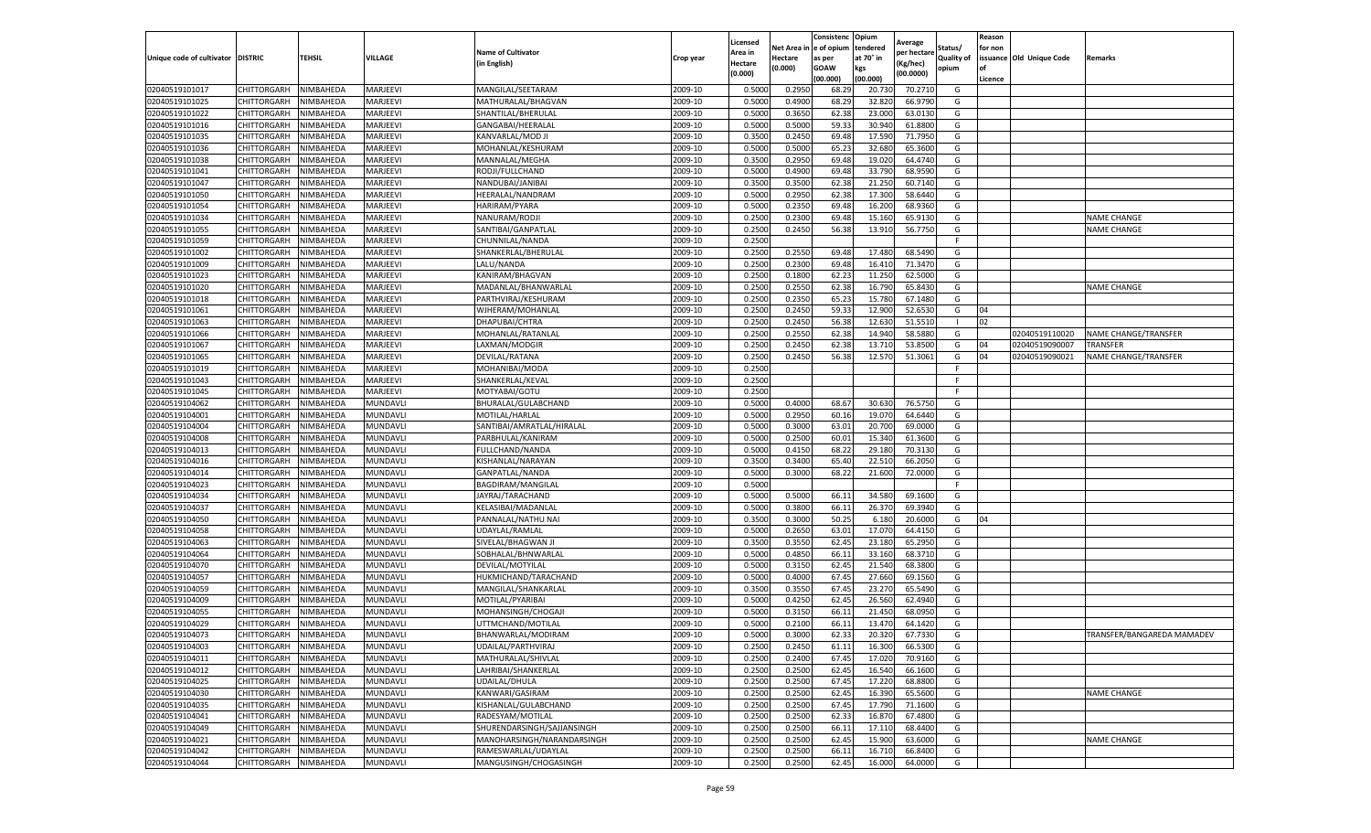|                                   |                            |                        |                      |                                           |                    | Licensed         |                  | Consistenc              | Opium            | Average            |            | Reason  |                          |                            |
|-----------------------------------|----------------------------|------------------------|----------------------|-------------------------------------------|--------------------|------------------|------------------|-------------------------|------------------|--------------------|------------|---------|--------------------------|----------------------------|
|                                   |                            |                        |                      | <b>Name of Cultivator</b>                 |                    | Area in          |                  | Net Area in le of opium | tendered         | per hectare        | Status/    | for non |                          |                            |
| Unique code of cultivator DISTRIC |                            | <b>TEHSIL</b>          | VILLAGE              | (in English)                              | Crop year          | Hectare          | Hectare          | as per                  | at 70° in        | Kg/hec)            | Quality of |         | issuance Old Unique Code | Remarks                    |
|                                   |                            |                        |                      |                                           |                    | (0.000)          | (0.000)          | GOAW                    | kgs              | (00.0000)          | opium      | l of    |                          |                            |
|                                   |                            |                        |                      |                                           |                    |                  |                  | (00.000)                | (00.000)         |                    |            | Licence |                          |                            |
| 02040519101017                    | CHITTORGARH                | NIMBAHEDA              | MARJEEVI             | MANGILAL/SEETARAM                         | 2009-10            | 0.500            | 0.295            | 68.29                   | 20.730           | 70.271             | G          |         |                          |                            |
| 02040519101025                    | CHITTORGARH                | NIMBAHEDA              | MARJEEVI             | MATHURALAL/BHAGVAN                        | 2009-10            | 0.500            | 0.490            | 68.2                    | 32.82            | 66.979             | G          |         |                          |                            |
| 02040519101022                    | CHITTORGARH                | NIMBAHEDA              | MARJEEVI             | SHANTILAL/BHERULAL                        | 2009-10            | 0.5000           | 0.3650           | 62.38                   | 23.000           | 63.013             | G          |         |                          |                            |
| 02040519101016                    | CHITTORGARH                | NIMBAHEDA              | MARJEEVI             | GANGABAI/HEERALAL                         | 2009-10            | 0.5000           | 0.5000           | 59.33                   | 30.940           | 61.8800            | G          |         |                          |                            |
| 02040519101035                    | CHITTORGARH                | NIMBAHEDA              | MARJEEVI             | KANVARLAL/MOD J                           | 2009-10            | 0.3500           | 0.2450           | 69.48                   | 17.590           | 71.795             | G          |         |                          |                            |
| 02040519101036                    | CHITTORGARH                | NIMBAHEDA              | MARJEEVI             | MOHANLAL/KESHURAM                         | 2009-10            | 0.5000           | 0.500            | 65.2                    | 32.680           | 65.360             | G          |         |                          |                            |
| 02040519101038                    | CHITTORGARH                | NIMBAHEDA              | MARJEEVI             | MANNALAL/MEGHA                            | 2009-10            | 0.3500           | 0.2950           | 69.48                   | 19.020           | 64.474             | G          |         |                          |                            |
| 02040519101041                    | CHITTORGARH                | NIMBAHEDA              | MARJEEVI             | RODJI/FULLCHAND                           | 2009-10            | 0.5000           | 0.4900           | 69.4                    | 33.790           | 68.959             | G          |         |                          |                            |
| 02040519101047                    | CHITTORGARH                | NIMBAHEDA              | MARJEEVI             | NANDUBAI/JANIBAI                          | 2009-10            | 0.3500           | 0.3500           | 62.38                   | 21.250           | 60.714             | G          |         |                          |                            |
| 02040519101050                    | CHITTORGARH                | NIMBAHEDA              | MARJEEVI             | HEERALAL/NANDRAM                          | 2009-10            | 0.5000           | 0.2950           | 62.38                   | 17.300           | 58.6440            | G          |         |                          |                            |
| 02040519101054                    | CHITTORGARH                | NIMBAHEDA              | MARJEEVI             | HARIRAM/PYARA                             | 2009-10            | 0.5000           | 0.2350           | 69.48                   | 16.200           | 68.936             | G          |         |                          |                            |
| 02040519101034                    | CHITTORGARH                | NIMBAHEDA              | MARJEEVI             | NANURAM/RODJI                             | 2009-10            | 0.2500           | 0.2300           | 69.4                    | 15.160           | 65.913             | G          |         |                          | <b>NAME CHANGE</b>         |
| 02040519101055                    | CHITTORGARH                | <b>NIMBAHEDA</b>       | MARJEEVI             | SANTIBAI/GANPATLAI                        | 2009-10            | 0.2500           | 0.2450           | 56.38                   | 13.910           | 56.775             | G          |         |                          | <b>NAME CHANGE</b>         |
| 02040519101059                    | CHITTORGARH                | NIMBAHEDA              | MARJEEVI             | CHUNNILAL/NANDA                           | 2009-10            | 0.2500           |                  |                         |                  |                    | F          |         |                          |                            |
| 02040519101002                    | CHITTORGARH                | NIMBAHEDA              | MARJEEVI             | SHANKERLAL/BHERULAL                       | 2009-10            | 0.2500           | 0.2550           | 69.4                    | 17.480           | 68.549             | G          |         |                          |                            |
| 02040519101009                    | CHITTORGARH                | NIMBAHEDA              | MARJEEVI             | LALU/NANDA                                | 2009-10            | 0.2500           | 0.2300           | 69.48                   | 16.410           | 71.347             | G          |         |                          |                            |
| 02040519101023                    | CHITTORGARH                | NIMBAHEDA              | MARJEEVI             | KANIRAM/BHAGVAN                           | 2009-10            | 0.2500           | 0.1800           | 62.2                    | 11.250           | 62.5000            | G          |         |                          |                            |
| 02040519101020                    | CHITTORGARH                | NIMBAHEDA              | MARJEEVI             | MADANLAL/BHANWARLAL                       | 2009-10            | 0.2500           | 0.2550           | 62.38                   | 16.790           | 65.843             | G          |         |                          | <b>NAME CHANGE</b>         |
| 02040519101018                    | CHITTORGARH                | <b>NIMBAHEDA</b>       | MARJEEVI             | PARTHVIRAJ/KESHURAM                       | 2009-10            | 0.250            | 0.2350           | 65.23                   | 15.780           | 67.148             | G          |         |                          |                            |
| 02040519101061                    | CHITTORGARH                | <b>NIMBAHEDA</b>       | MARJEEVI             | WJHERAM/MOHANLAI                          | 2009-10            | 0.2500           | 0.2450           | 59.3                    | 12.900           | 52.653             | G          | 04      |                          |                            |
| 02040519101063                    | CHITTORGARH                | NIMBAHEDA              | MARJEEVI             | DHAPUBAI/CHTRA                            | 2009-10            | 0.2500           | 0.2450           | 56.38                   | 12.630           | 51.551             | -1         | 02      |                          |                            |
| 02040519101066                    | CHITTORGARH                | NIMBAHEDA              | MARJEEVI             | MOHANLAL/RATANLAL                         | 2009-10            | 0.250            | 0.2550           | 62.38                   | 14.940           | 58.5880            | G          |         | 02040519110020           | NAME CHANGE/TRANSFER       |
| 02040519101067                    | CHITTORGARH                | NIMBAHEDA              | MARJEEVI             | LAXMAN/MODGIR                             | 2009-10            | 0.2500           | 0.2450           | 62.38                   | 13.710           | 53.8500            | G          | 04      | 02040519090007           | <b>TRANSFER</b>            |
| 02040519101065                    | CHITTORGARH                | NIMBAHEDA              | MARJEEVI             | DEVILAL/RATANA                            | 2009-10            | 0.2500           | 0.2450           | 56.38                   | 12.570           | 51.3061            | G          | 04      | 02040519090021           | NAME CHANGE/TRANSFER       |
| 02040519101019                    | CHITTORGARH                | NIMBAHEDA              | MARJEEVI             | MOHANIBAI/MODA                            | 2009-10            | 0.2500           |                  |                         |                  |                    | F          |         |                          |                            |
| 02040519101043                    | CHITTORGARH                | NIMBAHEDA              | MARJEEVI             | SHANKERLAL/KEVAL                          | 2009-10            | 0.2500           |                  |                         |                  |                    | E          |         |                          |                            |
| 02040519101045                    | CHITTORGARH                | NIMBAHEDA              | MARJEEVI             | MOTYABAI/GOTU                             | 2009-10            | 0.2500           |                  |                         |                  |                    | F.         |         |                          |                            |
| 02040519104062                    | CHITTORGARH                | NIMBAHEDA              | MUNDAVL              | BHURALAL/GULABCHAND                       | 2009-10            | 0.5000           | 0.4000           | 68.67                   | 30.630           | 76.5750            | G          |         |                          |                            |
| 02040519104001                    | CHITTORGARH                | NIMBAHEDA              | MUNDAVLI             | MOTILAL/HARLAL                            | 2009-10            | 0.5000           | 0.2950           | 60.16                   | 19.070           | 64.6440            | G          |         |                          |                            |
| 02040519104004                    | CHITTORGARH                | NIMBAHEDA              | MUNDAVLI             | SANTIBAI/AMRATLAL/HIRALAL                 | 2009-10            | 0.5000           | 0.3000           | 63.01                   | 20.700           | 69.000             | G          |         |                          |                            |
| 02040519104008                    | CHITTORGARH                | NIMBAHEDA              | MUNDAVL              | PARBHULAL/KANIRAM                         | 2009-10            | 0.500            | 0.2500           | 60.0                    | 15.340           | 61.360             | G          |         |                          |                            |
| 02040519104013                    | CHITTORGARH                | NIMBAHEDA              | MUNDAVL              | FULLCHAND/NANDA                           | 2009-10            | 0.5000           | 0.415            | 68.22                   | 29.180           | 70.313             | G          |         |                          |                            |
| 02040519104016                    | CHITTORGARH                | NIMBAHEDA              | MUNDAVLI             | KISHANLAL/NARAYAN                         | 2009-10            | 0.350            | 0.340            | 65.40                   | 22.51            | 66.205             | G          |         |                          |                            |
| 02040519104014                    | CHITTORGARH                | NIMBAHEDA              | MUNDAVLI             | GANPATLAL/NANDA                           | 2009-10            | 0.5000           | 0.3000           | 68.22                   | 21.600           | 72.000             | G          |         |                          |                            |
| 02040519104023                    | CHITTORGARH                | NIMBAHEDA              | MUNDAVLI             | BAGDIRAM/MANGILAL                         | 2009-10            | 0.5000           |                  |                         |                  |                    | E          |         |                          |                            |
| 02040519104034                    | CHITTORGARH                | NIMBAHEDA              | MUNDAVLI             | JAYRAJ/TARACHAND                          | 2009-10            | 0.5000           | 0.500            | 66.1                    | 34.580           | 69.160             | G          |         |                          |                            |
| 02040519104037                    | CHITTORGARH                | NIMBAHEDA              | MUNDAVLI             | KELASIBAI/MADANLAL                        | 2009-10            | 0.5000           | 0.3800           | 66.11                   | 26.370           | 69.394             | G          |         |                          |                            |
| 02040519104050                    | CHITTORGARH                | NIMBAHEDA              | MUNDAVLI             | PANNALAL/NATHU NAI                        | 2009-10            | 0.3500           | 0.3000           | 50.25                   | 6.180            | 20.600             | G          | 04      |                          |                            |
| 02040519104058                    | CHITTORGARH                | NIMBAHEDA              | MUNDAVLI             | UDAYLAL/RAMLAL                            | 2009-10            | 0.5000           | 0.2650           | 63.01                   | 17.070           | 64.415             | G          |         |                          |                            |
| 02040519104063                    | CHITTORGARH                | NIMBAHEDA              | MUNDAVLI             | SIVELAL/BHAGWAN JI                        | 2009-10            | 0.3500           | 0.3550           | 62.45                   | 23.180           | 65.2950            | G          |         |                          |                            |
| 02040519104064                    | CHITTORGARH                | NIMBAHEDA              | MUNDAVLI             | SOBHALAL/BHNWARLAL                        | 2009-10            | 0.5000           | 0.4850           | 66.11                   | 33.160           | 68.371             | G          |         |                          |                            |
| 02040519104070                    | CHITTORGARH                | NIMBAHEDA              | MUNDAVLI             | DEVILAL/MOTYILAL                          | 2009-10            | 0.5000           | 0.3150           | 62.45                   | 21.540           | 68.380             | G          |         |                          |                            |
| 02040519104057                    | CHITTORGARH                | NIMBAHEDA              | MUNDAVLI             | HUKMICHAND/TARACHAND                      | 2009-10            | 0.5000           | 0.4000           | 67.4                    | 27.660           | 69.156             | G          |         |                          |                            |
| 02040519104059                    | CHITTORGARH                | NIMBAHEDA              | MUNDAVLI             | MANGILAL/SHANKARLAL                       | 2009-10            | 0.3500           | 0.3550           | 67.49                   | 23.270           | 65.549             | G          |         |                          |                            |
| 02040519104009                    | CHITTORGARH                | NIMBAHEDA              | MUNDAVLI             | MOTILAL/PYARIBAI                          | 2009-10            | 0.5000           | 0.4250           | 62.4                    | 26.560           | 62.494             | G          |         |                          |                            |
| 02040519104055                    | CHITTORGARH                | NIMBAHEDA              | MUNDAVL              | MOHANSINGH/CHOGAJI                        | 2009-10            | 0.5000           | 0.315            | 66.1                    | 21.45            | 68.095             | G          |         |                          |                            |
| 02040519104029                    | CHITTORGARH                | NIMBAHEDA              | MUNDAVL              | UTTMCHAND/MOTILAL                         | 2009-10            | 0.500            | 0.2100           | 66.11                   | 13.470           | 64.142             | G          |         |                          |                            |
| 02040519104073                    | CHITTORGARH                | NIMBAHEDA              | <b>MUNDAVLI</b>      | BHANWARLAL/MODIRAM                        | 2009-10            | 0.5000           | 0.3000           | 62.33                   | 20.320           | 67.7330            | G          |         |                          | TRANSFER/BANGAREDA MAMADEV |
|                                   |                            |                        |                      |                                           |                    |                  |                  |                         |                  |                    |            |         |                          |                            |
| 02040519104003<br>02040519104011  | CHITTORGARH<br>CHITTORGARH | NIMBAHEDA<br>NIMBAHEDA | MUNDAVLI             | UDAILAL/PARTHVIRAJ                        | 2009-10<br>2009-10 | 0.2500<br>0.2500 | 0.2450           | 61.11<br>67.45          | 16.300<br>17.020 | 66.5300<br>70.9160 | G<br>G     |         |                          |                            |
| 02040519104012                    | CHITTORGARH                | NIMBAHEDA              | MUNDAVLI<br>MUNDAVLI | MATHURALAL/SHIVLAL<br>LAHRIBAI/SHANKERLAL | 2009-10            | 0.2500           | 0.2400<br>0.2500 | 62.45                   | 16.540           | 66.1600            | G          |         |                          |                            |
|                                   |                            |                        |                      |                                           |                    |                  |                  |                         |                  |                    |            |         |                          |                            |
| 02040519104025                    | CHITTORGARH                | NIMBAHEDA              | MUNDAVLI             | UDAILAL/DHULA                             | 2009-10            | 0.2500           | 0.2500           | 67.45                   | 17.220           | 68.8800            | G          |         |                          |                            |
| 02040519104030                    | CHITTORGARH                | NIMBAHEDA              | MUNDAVLI             | KANWARI/GASIRAM                           | 2009-10            | 0.2500           | 0.2500           | 62.45                   | 16.390           | 65.5600            | G          |         |                          | <b>NAME CHANGE</b>         |
| 02040519104035                    | CHITTORGARH                | NIMBAHEDA              | MUNDAVLI             | KISHANLAL/GULABCHAND                      | 2009-10            | 0.2500           | 0.2500           | 67.45                   | 17.790           | 71.1600            | G          |         |                          |                            |
| 02040519104041                    | CHITTORGARH                | NIMBAHEDA              | MUNDAVLI             | RADESYAM/MOTILAL                          | 2009-10            | 0.2500           | 0.2500           | 62.3                    | 16.870           | 67.4800            | G          |         |                          |                            |
| 02040519104049                    | CHITTORGARH                | NIMBAHEDA              | MUNDAVLI             | SHURENDARSINGH/SAJJANSINGH                | 2009-10            | 0.2500           | 0.2500           | 66.11                   | 17.110           | 68.4400            | G          |         |                          |                            |
| 02040519104021                    | CHITTORGARH                | NIMBAHEDA              | MUNDAVLI             | MANOHARSINGH/NARANDARSINGH                | 2009-10            | 0.2500           | 0.2500           | 62.45                   | 15.900           | 63.6000            | G          |         |                          | NAME CHANGE                |
| 02040519104042                    | CHITTORGARH                | NIMBAHEDA              | MUNDAVLI             | RAMESWARLAL/UDAYLAL                       | 2009-10            | 0.2500           | 0.2500           | 66.11                   | 16.710           | 66.8400            | G          |         |                          |                            |
| 02040519104044                    | CHITTORGARH                | NIMBAHEDA              | MUNDAVLI             | MANGUSINGH/CHOGASINGH                     | 2009-10            | 0.2500           | 0.2500           | 62.45                   | 16.000           | 64.0000            | G          |         |                          |                            |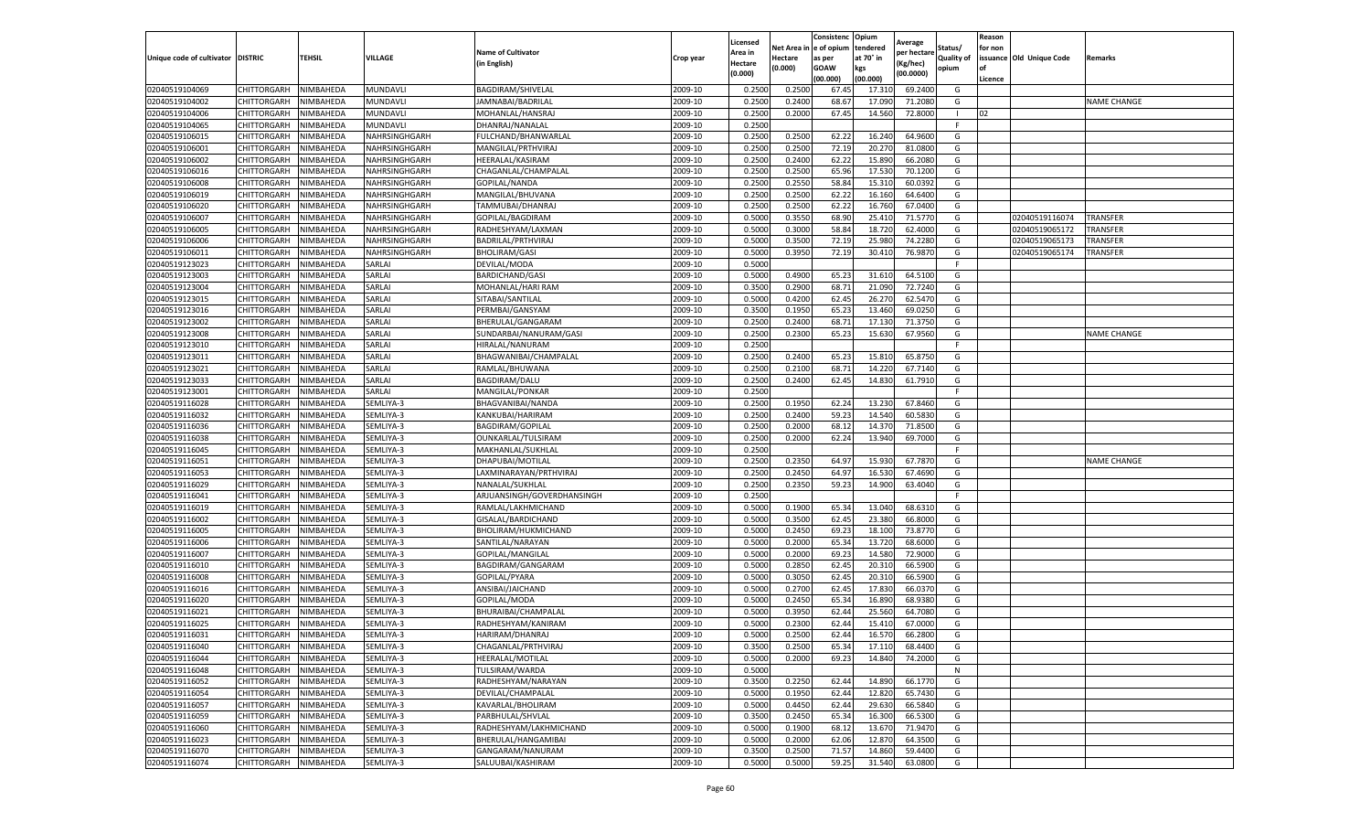|                                   |                            |                  |               |                                      |           | Licensed |                         | Consistenc | Opium            | Average     |            | Reason  |                          |                    |
|-----------------------------------|----------------------------|------------------|---------------|--------------------------------------|-----------|----------|-------------------------|------------|------------------|-------------|------------|---------|--------------------------|--------------------|
|                                   |                            |                  |               | <b>Name of Cultivator</b>            |           | Area in  | Net Area in le of opium |            | tendered         | per hectare | Status/    | for non |                          |                    |
| Unique code of cultivator DISTRIC |                            | <b>TEHSIL</b>    | VILLAGE       | (in English)                         | Crop year | Hectare  | Hectare                 | as per     | at 70° in        | Kg/hec)     | Quality of |         | issuance Old Unique Code | Remarks            |
|                                   |                            |                  |               |                                      |           | (0.000)  | (0.000)                 | GOAW       | kgs              | (00.0000)   | opium      | l of    |                          |                    |
|                                   |                            |                  |               |                                      |           |          |                         | (00.000)   | (00.000)         |             |            | Licence |                          |                    |
| 02040519104069                    | CHITTORGARH                | NIMBAHEDA        | MUNDAVLI      | <b>BAGDIRAM/SHIVELAL</b>             | 2009-10   | 0.250    | 0.250                   | 67.4       | 17.31            | 69.240      | G          |         |                          |                    |
| 02040519104002                    | CHITTORGARH                | NIMBAHEDA        | MUNDAVL       | JAMNABAI/BADRILAL                    | 2009-10   | 0.250    | 0.2400                  | 68.6       | 17.090           | 71.208      | G          |         |                          | <b>NAME CHANGE</b> |
| 02040519104006                    | CHITTORGARH                | NIMBAHEDA        | MUNDAVLI      | MOHANLAL/HANSRAJ                     | 2009-10   | 0.2500   | 0.2000                  | 67.4       | 14.560           | 72.800      |            | 02      |                          |                    |
| 02040519104065                    | CHITTORGARH                | NIMBAHEDA        | MUNDAVLI      | DHANRAJ/NANALAL                      | 2009-10   | 0.2500   |                         |            |                  |             | F.         |         |                          |                    |
| 02040519106015                    | CHITTORGARH                | NIMBAHEDA        | NAHRSINGHGARH | FULCHAND/BHANWARLAL                  | 2009-10   | 0.2500   | 0.2500                  | 62.2       | 16.240           | 64.960      | G          |         |                          |                    |
| 02040519106001                    | CHITTORGARH                | NIMBAHEDA        | NAHRSINGHGARH | MANGILAL/PRTHVIRAJ                   | 2009-10   | 0.2500   | 0.2500                  | 72.19      | 20.270           | 81.080      | G          |         |                          |                    |
| 02040519106002                    | CHITTORGARH                | NIMBAHEDA        | NAHRSINGHGARH | HEERALAL/KASIRAM                     | 2009-10   | 0.2500   | 0.2400                  | 62.22      | 15.890           | 66.2080     | G          |         |                          |                    |
| 02040519106016                    | CHITTORGARH                | NIMBAHEDA        | NAHRSINGHGARH | CHAGANLAL/CHAMPALAL                  | 2009-10   | 0.2500   | 0.2500                  | 65.96      | 17.530           | 70.120      | G          |         |                          |                    |
| 02040519106008                    | CHITTORGARH                | NIMBAHEDA        | NAHRSINGHGARH | GOPILAL/NANDA                        | 2009-10   | 0.2500   | 0.2550                  | 58.84      | 15.310           | 60.039      | G          |         |                          |                    |
| 02040519106019                    | CHITTORGARH                | NIMBAHEDA        | NAHRSINGHGARH | MANGILAL/BHUVANA                     | 2009-10   | 0.2500   | 0.2500                  | 62.22      | 16.160           | 64.6400     | G          |         |                          |                    |
| 02040519106020                    | CHITTORGARH                | NIMBAHEDA        | NAHRSINGHGARH | TAMMUBAI/DHANRAJ                     | 2009-10   | 0.2500   | 0.2500                  | 62.22      | 16.760           | 67.0400     | G          |         |                          |                    |
| 02040519106007                    | CHITTORGARH                | NIMBAHEDA        | NAHRSINGHGARH | GOPILAL/BAGDIRAM                     | 2009-10   | 0.5000   | 0.355                   | 68.90      | 25.410           | 71.577      | G          |         | 02040519116074           | TRANSFER           |
| 02040519106005                    | CHITTORGARH                | <b>NIMBAHEDA</b> | NAHRSINGHGARH | RADHESHYAM/LAXMAN                    | 2009-10   | 0.5000   | 0.3000                  | 58.84      | 18.720           | 62.400      | G          |         | 02040519065172           | TRANSFER           |
| 02040519106006                    | CHITTORGARH                | NIMBAHEDA        | NAHRSINGHGARH | BADRILAL/PRTHVIRAJ                   | 2009-10   | 0.5000   | 0.350                   | 72.19      | 25.980           | 74.228      | G          |         | 02040519065173           | TRANSFER           |
| 02040519106011                    | CHITTORGARH                | NIMBAHEDA        | NAHRSINGHGARH | <b>BHOLIRAM/GASI</b>                 | 2009-10   | 0.5000   | 0.3950                  | 72.19      | 30.410           | 76.9870     | G          |         | 02040519065174           | TRANSFER           |
| 02040519123023                    | CHITTORGARH                | NIMBAHEDA        | SARLAI        | DEVILAL/MODA                         | 2009-10   | 0.5000   |                         |            |                  |             | F          |         |                          |                    |
| 02040519123003                    | CHITTORGARH                | NIMBAHEDA        | SARLAI        | <b>BARDICHAND/GASI</b>               | 2009-10   | 0.5000   | 0.4900                  | 65.2       | 31.610           | 64.5100     | G          |         |                          |                    |
| 02040519123004                    | CHITTORGARH                | NIMBAHEDA        | SARLAI        | MOHANLAL/HARI RAM                    | 2009-10   | 0.3500   | 0.2900                  | 68.71      | 21.090           | 72.724      | G          |         |                          |                    |
| 02040519123015                    | CHITTORGARH                | NIMBAHEDA        | SARLAI        | SITABAI/SANTILAL                     | 2009-10   | 0.5000   | 0.4200                  | 62.4       | 26.270           | 62.547      | G          |         |                          |                    |
| 02040519123016                    | CHITTORGARH                | <b>NIMBAHEDA</b> | SARLAI        | PERMBAI/GANSYAM                      | 2009-10   | 0.3500   | 0.1950                  | 65.23      | 13.460           | 69.025      | G          |         |                          |                    |
| 02040519123002                    | CHITTORGARH                | NIMBAHEDA        | SARLAI        | BHERULAL/GANGARAM                    | 2009-10   | 0.2500   | 0.2400                  | 68.71      | 17.130           | 71.3750     | G          |         |                          |                    |
| 02040519123008                    | CHITTORGARH                | NIMBAHEDA        | SARLAI        | SUNDARBAI/NANURAM/GASI               | 2009-10   | 0.2500   | 0.2300                  | 65.23      | 15.630           | 67.9560     | G          |         |                          | <b>NAME CHANGE</b> |
| 02040519123010                    | CHITTORGARH                | NIMBAHEDA        | SARLAI        | HIRALAL/NANURAM                      | 2009-10   | 0.2500   |                         |            |                  |             | F          |         |                          |                    |
| 02040519123011                    | CHITTORGARH                | NIMBAHEDA        | SARLAI        | BHAGWANIBAI/CHAMPALAL                | 2009-10   | 0.2500   | 0.2400                  | 65.2       | 15.810           | 65.875      | G          |         |                          |                    |
| 02040519123021                    | CHITTORGARH                | NIMBAHEDA        | SARLAI        | RAMLAL/BHUWANA                       | 2009-10   | 0.2500   | 0.2100                  | 68.7       | 14.220           | 67.714      | G          |         |                          |                    |
| 02040519123033                    | CHITTORGARH                | NIMBAHEDA        | SARLAI        | BAGDIRAM/DALU                        | 2009-10   | 0.2500   | 0.2400                  | 62.45      | 14.830           | 61.7910     | G          |         |                          |                    |
| 02040519123001                    | CHITTORGARH                | NIMBAHEDA        | SARLAI        | MANGILAL/PONKAR                      | 2009-10   | 0.2500   |                         |            |                  |             | -F         |         |                          |                    |
| 02040519116028                    | CHITTORGARH                | NIMBAHEDA        | SEMLIYA-3     | BHAGVANIBAI/NANDA                    | 2009-10   | 0.2500   | 0.1950                  | 62.24      | 13.230           | 67.8460     | G          |         |                          |                    |
| 02040519116032                    | CHITTORGARH                | NIMBAHEDA        | SEMLIYA-3     | KANKUBAI/HARIRAM                     | 2009-10   | 0.2500   | 0.2400                  | 59.23      | 14.540           | 60.5830     | G          |         |                          |                    |
| 02040519116036                    | CHITTORGARH                | NIMBAHEDA        | SEMLIYA-3     | BAGDIRAM/GOPILAL                     | 2009-10   | 0.2500   | 0.2000                  | 68.1       | 14.370           | 71.850      | G          |         |                          |                    |
| 02040519116038                    | CHITTORGARH                | NIMBAHEDA        | SEMLIYA-3     | OUNKARLAL/TULSIRAM                   | 2009-10   | 0.2500   | 0.2000                  | 62.24      | 13.940           | 69.700      | G          |         |                          |                    |
| 02040519116045                    | CHITTORGARH                | NIMBAHEDA        | SEMLIYA-3     | MAKHANLAL/SUKHLAL                    | 2009-10   | 0.2500   |                         |            |                  |             | E          |         |                          |                    |
| 02040519116051                    | CHITTORGARH                | NIMBAHEDA        | SEMLIYA-3     | DHAPUBAI/MOTILAL                     | 2009-10   | 0.2500   | 0.2350                  | 64.9       | 15.930           | 67.787      | G          |         |                          | <b>NAME CHANGE</b> |
| 02040519116053                    | CHITTORGARH                | NIMBAHEDA        | SEMLIYA-3     | LAXMINARAYAN/PRTHVIRAJ               | 2009-10   | 0.2500   | 0.2450                  | 64.97      | 16.530           | 67.4690     | G          |         |                          |                    |
| 02040519116029                    | CHITTORGARH                | NIMBAHEDA        | SEMLIYA-3     | NANALAL/SUKHLAL                      | 2009-10   | 0.2500   | 0.2350                  | 59.23      | 14.900           | 63.4040     | G          |         |                          |                    |
| 02040519116041                    | CHITTORGARH                | NIMBAHEDA        | SEMLIYA-3     | ARJUANSINGH/GOVERDHANSINGH           | 2009-10   | 0.2500   |                         |            |                  |             | E          |         |                          |                    |
| 02040519116019                    | CHITTORGARH                | NIMBAHEDA        | SEMLIYA-3     | RAMLAL/LAKHMICHAND                   | 2009-10   | 0.5000   | 0.1900                  | 65.34      | 13.040           | 68.631      | G          |         |                          |                    |
| 02040519116002                    | CHITTORGARH                | NIMBAHEDA        | SEMLIYA-3     | GISALAL/BARDICHAND                   | 2009-10   | 0.5000   | 0.3500                  | 62.4       | 23.380           | 66.800      | G          |         |                          |                    |
| 02040519116005                    | CHITTORGARH                | NIMBAHEDA        | SEMLIYA-3     | BHOLIRAM/HUKMICHAND                  | 2009-10   | 0.5000   | 0.245                   | 69.2       | 18.100           | 73.877      | G          |         |                          |                    |
| 02040519116006                    | CHITTORGARH                | NIMBAHEDA        | SEMLIYA-3     | SANTILAL/NARAYAN                     | 2009-10   | 0.5000   | 0.2000                  | 65.34      | 13.720           | 68.600      | G          |         |                          |                    |
| 02040519116007                    | CHITTORGARH                | NIMBAHEDA        | SEMLIYA-3     | GOPILAL/MANGILAL                     | 2009-10   | 0.5000   | 0.2000                  | 69.2       | 14.580           | 72.900      | G          |         |                          |                    |
| 02040519116010                    | CHITTORGARH                | NIMBAHEDA        | SEMLIYA-3     | BAGDIRAM/GANGARAM                    | 2009-10   | 0.5000   | 0.2850                  | 62.45      | 20.310           | 66.590      | G          |         |                          |                    |
| 02040519116008                    | CHITTORGARH                | NIMBAHEDA        | SEMLIYA-3     | GOPILAL/PYARA                        | 2009-10   | 0.5000   | 0.3050                  | 62.4       | 20.310           | 66.590      | G          |         |                          |                    |
| 02040519116016                    | CHITTORGARH                | NIMBAHEDA        | SEMLIYA-3     | ANSIBAI/JAICHAND                     | 2009-10   | 0.5000   | 0.2700                  | 62.4       | 17.830           | 66.037      | G          |         |                          |                    |
| 02040519116020                    | CHITTORGARH                | NIMBAHEDA        | SEMLIYA-3     | GOPILAL/MODA                         | 2009-10   | 0.5000   | 0.2450                  | 65.34      | 16.890           | 68.938      | G          |         |                          |                    |
| 02040519116021                    | CHITTORGARH                | NIMBAHEDA        | SEMLIYA-3     | BHURAIBAI/CHAMPALAL                  | 2009-10   | 0.5000   | 0.395                   | 62.44      | 25.560           | 64.708      | G          |         |                          |                    |
| 02040519116025                    | CHITTORGARH                | NIMBAHEDA        | SEMLIYA-3     | RADHESHYAM/KANIRAM                   | 2009-10   | 0.500    | 0.230                   | 62.44      | 15.410           | 67.000      | G          |         |                          |                    |
| 02040519116031                    | CHITTORGARH                | <b>NIMBAHEDA</b> | SEMLIYA-3     | HARIRAM/DHANRAJ                      | 2009-10   | 0.5000   | 0.2500                  | 62.44      | 16.570           | 66.2800     | G          |         |                          |                    |
| 02040519116040                    | CHITTORGARH                | NIMBAHEDA        | SEMLIYA-3     | CHAGANLAL/PRTHVIRAJ                  | 2009-10   | 0.3500   | 0.2500                  | 65.34      | 17.110           | 68.4400     | G          |         |                          |                    |
| 02040519116044                    | CHITTORGARH                | NIMBAHEDA        | SEMLIYA-3     | HEERALAL/MOTILAL                     | 2009-10   | 0.5000   | 0.2000                  | 69.23      | 14.840           | 74.2000     | G          |         |                          |                    |
| 02040519116048                    |                            |                  |               |                                      | 2009-10   | 0.5000   |                         |            |                  |             | N          |         |                          |                    |
|                                   | CHITTORGARH                | NIMBAHEDA        | SEMLIYA-3     | TULSIRAM/WARDA<br>RADHESHYAM/NARAYAN |           |          |                         |            |                  |             |            |         |                          |                    |
| 02040519116052                    | CHITTORGARH                | NIMBAHEDA        | SEMLIYA-3     |                                      | 2009-10   | 0.3500   | 0.2250                  | 62.44      | 14.890           | 66.1770     | G          |         |                          |                    |
| 02040519116054<br>02040519116057  | CHITTORGARH                | NIMBAHEDA        | SEMLIYA-3     | DEVILAL/CHAMPALAL                    | 2009-10   | 0.5000   | 0.1950<br>0.4450        | 62.44      | 12.820<br>29.630 | 65.7430     | G<br>G     |         |                          |                    |
|                                   | CHITTORGARH                | NIMBAHEDA        | SEMLIYA-3     | KAVARLAL/BHOLIRAM                    | 2009-10   | 0.5000   |                         | 62.44      |                  | 66.5840     |            |         |                          |                    |
| 02040519116059                    | CHITTORGARH                | NIMBAHEDA        | SEMLIYA-3     | PARBHULAL/SHVLAL                     | 2009-10   | 0.3500   | 0.2450                  | 65.34      | 16.300           | 66.5300     | G          |         |                          |                    |
| 02040519116060                    | CHITTORGARH<br>CHITTORGARH | NIMBAHEDA        | SEMLIYA-3     | RADHESHYAM/LAKHMICHAND               | 2009-10   | 0.5000   | 0.1900                  | 68.12      | 13.670           | 71.9470     | G<br>G     |         |                          |                    |
| 02040519116023                    |                            | NIMBAHEDA        | SEMLIYA-3     | BHERULAL/HANGAMIBAI                  | 2009-10   | 0.5000   | 0.2000                  | 62.06      | 12.870           | 64.3500     |            |         |                          |                    |
| 02040519116070                    | CHITTORGARH                | NIMBAHEDA        | SEMLIYA-3     | GANGARAM/NANURAM                     | 2009-10   | 0.3500   | 0.2500                  | 71.57      | 14.860           | 59.4400     | G          |         |                          |                    |
| 02040519116074                    | CHITTORGARH                | NIMBAHEDA        | SEMLIYA-3     | SALUUBAI/KASHIRAM                    | 2009-10   | 0.5000   | 0.5000                  | 59.25      | 31.540           | 63.0800     | G          |         |                          |                    |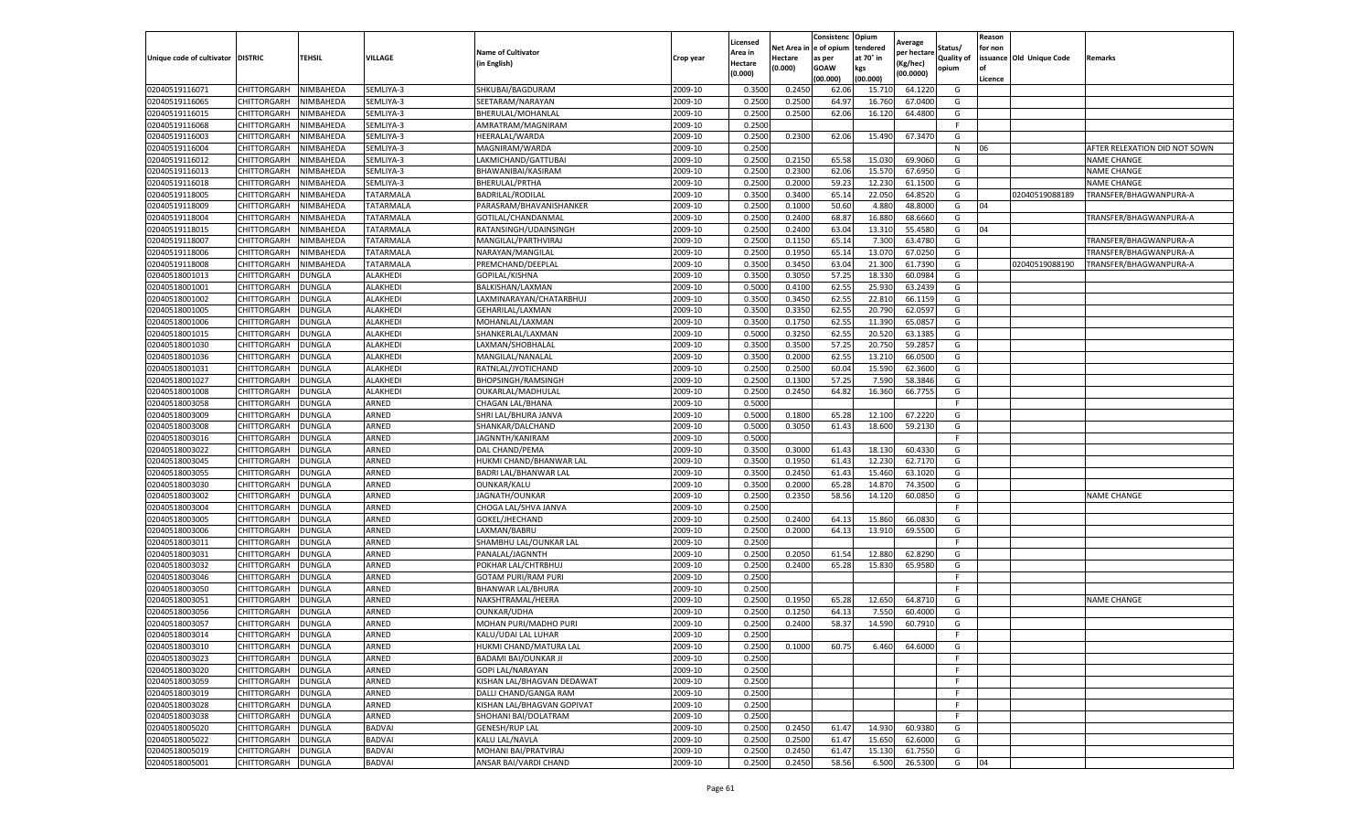|                           |                    |               |                  |                              |           | Licensed |         | Consistenc             | Opium     | Average     |            | Reason  |                          |                               |
|---------------------------|--------------------|---------------|------------------|------------------------------|-----------|----------|---------|------------------------|-----------|-------------|------------|---------|--------------------------|-------------------------------|
|                           |                    |               |                  | <b>Name of Cultivator</b>    |           | Area in  |         | Net Area in e of opium | tendered  | oer hectare | Status/    | for non |                          |                               |
| Unique code of cultivator | <b>DISTRIC</b>     | TEHSIL        | VILLAGE          | in English)                  | Crop year | Hectare  | Hectare | as per                 | at 70° in | (Kg/hec     | Quality of |         | issuance Old Unique Code | <b>Remarks</b>                |
|                           |                    |               |                  |                              |           | (0.000)  | (0.000) | <b>GOAW</b>            | kgs       | (00.0000)   | opium      |         |                          |                               |
|                           |                    |               |                  |                              |           |          |         | (00.000)               | (00.000)  |             |            | Licence |                          |                               |
| 02040519116071            | <b>CHITTORGARH</b> | NIMBAHEDA     | SEMLIYA-3        | SHKUBAI/BAGDURAM             | 2009-10   | 0.3500   | 0.2450  | 62.06                  | 15.71     | 64.1220     | G          |         |                          |                               |
| 02040519116065            | CHITTORGARH        | NIMBAHEDA     | SEMLIYA-3        | SEETARAM/NARAYAN             | 2009-10   | 0.2500   | 0.2500  | 64.97                  | 16.76     | 67.0400     | G          |         |                          |                               |
| 02040519116015            | CHITTORGARH        | NIMBAHEDA     | SEMLIYA-3        | BHERULAL/MOHANLAL            | 2009-10   | 0.2500   | 0.2500  | 62.06                  | 16.12     | 64.4800     | G          |         |                          |                               |
| 02040519116068            | CHITTORGARH        | NIMBAHEDA     | SEMLIYA-3        | AMRATRAM/MAGNIRAM            | 2009-10   | 0.2500   |         |                        |           |             | F.         |         |                          |                               |
| 02040519116003            | <b>CHITTORGARH</b> | NIMBAHEDA     | SEMLIYA-3        | HEERALAL/WARDA               | 2009-10   | 0.2500   | 0.2300  | 62.06                  | 15.490    | 67.3470     | G          |         |                          |                               |
| 02040519116004            | CHITTORGARH        | NIMBAHEDA     | SEMLIYA-3        | MAGNIRAM/WARDA               | 2009-10   | 0.2500   |         |                        |           |             | N          | 06      |                          | AFTER RELEXATION DID NOT SOWN |
| 02040519116012            | CHITTORGARH        | NIMBAHEDA     | SEMLIYA-3        | LAKMICHAND/GATTUBAI          | 2009-10   | 0.2500   | 0.2150  | 65.58                  | 15.03     | 69.9060     | G          |         |                          | <b>NAME CHANGE</b>            |
| 02040519116013            | CHITTORGARH        | NIMBAHEDA     | SEMLIYA-3        | BHAWANIBAI/KASIRAM           | 2009-10   | 0.2500   | 0.2300  | 62.06                  | 15.57     | 67.6950     | G          |         |                          | <b>NAME CHANGE</b>            |
| 02040519116018            | CHITTORGARH        | NIMBAHEDA     | SEMLIYA-3        | BHERULAL/PRTHA               | 2009-10   | 0.2500   | 0.2000  | 59.23                  | 12.23     | 61.1500     | G          |         |                          | <b>NAME CHANGE</b>            |
| 02040519118005            | CHITTORGARH        | NIMBAHEDA     | TATARMALA        | <b>BADRILAL/RODILAL</b>      | 2009-10   | 0.3500   | 0.3400  | 65.14                  | 22.050    | 64.8520     | G          |         | 02040519088189           | TRANSFER/BHAGWANPURA-A        |
| 02040519118009            | CHITTORGARH        | NIMBAHEDA     | TATARMALA        | PARASRAM/BHAVANISHANKER      | 2009-10   | 0.2500   | 0.1000  | 50.60                  | 4.880     | 48.8000     | G          | 04      |                          |                               |
| 02040519118004            | CHITTORGARH        | NIMBAHEDA     | <b>TATARMALA</b> | GOTILAL/CHANDANMAL           | 2009-10   | 0.2500   | 0.2400  | 68.87                  | 16.88     | 68.6660     | G          |         |                          | TRANSFER/BHAGWANPURA-A        |
| 02040519118015            | CHITTORGARH        | NIMBAHEDA     | TATARMALA        | RATANSINGH/UDAINSINGH        | 2009-10   | 0.2500   | 0.2400  | 63.04                  | 13.31     | 55.4580     | G          | 04      |                          |                               |
| 02040519118007            | CHITTORGARH        | NIMBAHEDA     | TATARMALA        | MANGILAL/PARTHVIRAJ          | 2009-10   | 0.2500   | 0.1150  | 65.14                  | 7.300     | 63.4780     | G          |         |                          | TRANSFER/BHAGWANPURA-A        |
| 02040519118006            | CHITTORGARH        | NIMBAHEDA     | TATARMALA        | NARAYAN/MANGILAL             | 2009-10   | 0.2500   | 0.1950  | 65.14                  | 13.07     | 67.0250     | G          |         |                          | TRANSFER/BHAGWANPURA-A        |
| 02040519118008            | CHITTORGARH        | NIMBAHEDA     | TATARMALA        | PREMCHAND/DEEPLAL            | 2009-10   | 0.3500   | 0.3450  | 63.04                  | 21.300    | 61.7390     | G          |         | 02040519088190           | TRANSFER/BHAGWANPURA-A        |
| 02040518001013            | CHITTORGARH        | <b>DUNGLA</b> | ALAKHEDI         | GOPILAL/KISHNA               | 2009-10   | 0.3500   | 0.3050  | 57.25                  | 18.33     | 60.0984     | G          |         |                          |                               |
| 02040518001001            | CHITTORGARH        | DUNGLA        | ALAKHEDI         | BALKISHAN/LAXMAN             | 2009-10   | 0.5000   | 0.4100  | 62.55                  | 25.93     | 63.2439     | G          |         |                          |                               |
| 02040518001002            | CHITTORGARH        | DUNGLA        | ALAKHEDI         | LAXMINARAYAN/CHATARBHUJ      | 2009-10   | 0.3500   | 0.3450  | 62.55                  | 22.81     | 66.1159     | G          |         |                          |                               |
| 02040518001005            | CHITTORGARH        | DUNGLA        | <b>ALAKHEDI</b>  | GEHARILAL/LAXMAN             | 2009-10   | 0.3500   | 0.3350  | 62.55                  | 20.790    | 62.0597     | G          |         |                          |                               |
| 02040518001006            | CHITTORGARH        | <b>DUNGLA</b> | ALAKHEDI         | MOHANLAL/LAXMAN              | 2009-10   | 0.3500   | 0.1750  | 62.55                  | 11.390    | 65.0857     | G          |         |                          |                               |
| 02040518001015            | CHITTORGARH        | <b>DUNGLA</b> | ALAKHEDI         | SHANKERLAL/LAXMAN            | 2009-10   | 0.5000   | 0.3250  | 62.55                  | 20.52     | 63.1385     | G          |         |                          |                               |
| 02040518001030            | CHITTORGARH        | <b>DUNGLA</b> | ALAKHEDI         | LAXMAN/SHOBHALAL             | 2009-10   | 0.3500   | 0.3500  | 57.25                  | 20.750    | 59.2857     | G          |         |                          |                               |
| 02040518001036            | CHITTORGARH        | DUNGLA        | ALAKHEDI         | MANGILAL/NANALAL             | 2009-10   | 0.3500   | 0.2000  | 62.55                  | 13.21     | 66.0500     | G          |         |                          |                               |
| 02040518001031            | CHITTORGARH        | <b>DUNGLA</b> | <b>ALAKHEDI</b>  | RATNLAL/JYOTICHAND           | 2009-10   | 0.2500   | 0.2500  | 60.04                  | 15.59     | 62.3600     | G          |         |                          |                               |
| 02040518001027            | CHITTORGARH        | <b>DUNGLA</b> | <b>ALAKHEDI</b>  | <b>BHOPSINGH/RAMSINGH</b>    | 2009-10   | 0.2500   | 0.1300  | 57.25                  | 7.590     | 58.3846     | G          |         |                          |                               |
| 02040518001008            | CHITTORGARH        | DUNGLA        | <b>ALAKHEDI</b>  | OUKARLAL/MADHULAL            | 2009-10   | 0.2500   | 0.2450  | 64.82                  | 16.360    | 66.7755     | G          |         |                          |                               |
| 02040518003058            | CHITTORGARH        | <b>DUNGLA</b> | ARNED            | CHAGAN LAL/BHANA             | 2009-10   | 0.5000   |         |                        |           |             | F.         |         |                          |                               |
| 02040518003009            | CHITTORGARH        | <b>DUNGLA</b> | ARNED            | SHRI LAL/BHURA JANVA         | 2009-10   | 0.5000   | 0.1800  | 65.28                  | 12.100    | 67.2220     | G          |         |                          |                               |
| 02040518003008            | CHITTORGARH        | <b>DUNGLA</b> | ARNED            | SHANKAR/DALCHAND             | 2009-10   | 0.5000   | 0.3050  | 61.43                  | 18.600    | 59.2130     | G          |         |                          |                               |
| 02040518003016            | CHITTORGARH        | DUNGLA        | ARNED            | JAGNNTH/KANIRAM              | 2009-10   | 0.5000   |         |                        |           |             | F          |         |                          |                               |
| 02040518003022            | CHITTORGARH        | DUNGLA        | ARNED            | DAL CHAND/PEMA               | 2009-10   | 0.3500   | 0.3000  | 61.43                  | 18.130    | 60.4330     | G          |         |                          |                               |
| 02040518003045            | CHITTORGARH        | DUNGLA        | ARNED            | HUKMI CHAND/BHANWAR LAL      | 2009-10   | 0.3500   | 0.1950  | 61.43                  | 12.23     | 62.7170     | G          |         |                          |                               |
| 02040518003055            | CHITTORGARH        | DUNGLA        | ARNED            | BADRI LAL/BHANWAR LAL        | 2009-10   | 0.3500   | 0.2450  | 61.43                  | 15.460    | 63.1020     | G          |         |                          |                               |
| 02040518003030            | CHITTORGARH        | <b>DUNGLA</b> | ARNED            | OUNKAR/KALU                  | 2009-10   | 0.3500   | 0.2000  | 65.28                  | 14.87     | 74.3500     | G          |         |                          |                               |
| 02040518003002            | CHITTORGARH        | DUNGLA        | ARNED            | JAGNATH/OUNKAR               | 2009-10   | 0.2500   | 0.2350  | 58.56                  | 14.120    | 60.0850     | G          |         |                          | <b>NAME CHANGE</b>            |
| 02040518003004            | CHITTORGARH        | <b>DUNGLA</b> | ARNED            | CHOGA LAL/SHVA JANVA         | 2009-10   | 0.2500   |         |                        |           |             | F.         |         |                          |                               |
| 02040518003005            | CHITTORGARH        | DUNGLA        | ARNED            | GOKEL/JHECHAND               | 2009-10   | 0.2500   | 0.2400  | 64.13                  | 15.86     | 66.0830     | G          |         |                          |                               |
| 02040518003006            | CHITTORGARH        | DUNGLA        | ARNED            | LAXMAN/BABRU                 | 2009-10   | 0.2500   | 0.2000  | 64.13                  | 13.910    | 69.5500     | G          |         |                          |                               |
| 02040518003011            | CHITTORGARH        | <b>DUNGLA</b> | ARNED            | SHAMBHU LAL/OUNKAR LAL       | 2009-10   | 0.2500   |         |                        |           |             | F.         |         |                          |                               |
| 02040518003031            | CHITTORGARH        | DUNGLA        | ARNED            | PANALAL/JAGNNTH              | 2009-10   | 0.2500   | 0.2050  | 61.54                  | 12.88     | 62.8290     | G          |         |                          |                               |
| 02040518003032            | CHITTORGARH        | <b>DUNGLA</b> | ARNED            | POKHAR LAL/CHTRBHUJ          | 2009-10   | 0.2500   | 0.2400  | 65.28                  | 15.83     | 65.9580     | G          |         |                          |                               |
| 02040518003046            | CHITTORGARH        | <b>DUNGLA</b> | ARNED            | <b>GOTAM PURI/RAM PURI</b>   | 2009-10   | 0.2500   |         |                        |           |             | F          |         |                          |                               |
| 02040518003050            | CHITTORGARH        | <b>DUNGLA</b> | ARNED            | BHANWAR LAL/BHURA            | 2009-10   | 0.2500   |         |                        |           |             | F          |         |                          |                               |
| 02040518003051            | <b>CHITTORGARH</b> | <b>DUNGLA</b> | ARNED            | NAKSHTRAMAL/HEERA            | 2009-10   | 0.2500   | 0.1950  | 65.28                  | 12.650    | 64.8710     | G          |         |                          | <b>NAME CHANGE</b>            |
| 02040518003056            | CHITTORGARH        | DUNGLA        | ARNED            | OUNKAR/UDHA                  | 2009-10   | 0.2500   | 0.1250  | 64.13                  | 7.550     | 60.4000     | G          |         |                          |                               |
| 02040518003057            | CHITTORGARH        | DUNGLA        | ARNED            | MOHAN PURI/MADHO PURI        | 2009-10   | 0.2500   | 0.2400  | 58.37                  | 14.590    | 60.7910     | G          |         |                          |                               |
| 02040518003014            | CHITTORGARH        | <b>DUNGLA</b> | ARNED            | KALU/UDAI LAL LUHAR          | 2009-10   | 0.2500   |         |                        |           |             | F          |         |                          |                               |
| 02040518003010            | CHITTORGARH DUNGLA |               | ARNED            | HUKMI CHAND/MATURA LAL       | 2009-10   | 0.2500   | 0.1000  | 60.75                  | 6.460     | 64.6000     | G          |         |                          |                               |
| 02040518003023            | CHITTORGARH        | <b>DUNGLA</b> | ARNED            | <b>BADAMI BAI/OUNKAR JI</b>  | 2009-10   | 0.2500   |         |                        |           |             | F          |         |                          |                               |
| 02040518003020            | <b>CHITTORGARH</b> | <b>DUNGLA</b> | ARNED            | <b>GOPI LAL/NARAYAN</b>      | 2009-10   | 0.2500   |         |                        |           |             | F.         |         |                          |                               |
| 02040518003059            | CHITTORGARH        | <b>DUNGLA</b> | ARNED            | KISHAN LAL/BHAGVAN DEDAWAT   | 2009-10   | 0.2500   |         |                        |           |             | F          |         |                          |                               |
| 02040518003019            | CHITTORGARH        | <b>DUNGLA</b> | ARNED            | <b>DALLI CHAND/GANGA RAM</b> | 2009-10   | 0.2500   |         |                        |           |             | F.         |         |                          |                               |
| 02040518003028            | <b>CHITTORGARH</b> | <b>DUNGLA</b> | ARNED            | KISHAN LAL/BHAGVAN GOPIVAT   | 2009-10   | 0.2500   |         |                        |           |             | F.         |         |                          |                               |
| 02040518003038            | CHITTORGARH        | <b>DUNGLA</b> | ARNED            | SHOHANI BAI/DOLATRAM         | 2009-10   | 0.2500   |         |                        |           |             | F          |         |                          |                               |
| 02040518005020            | CHITTORGARH        | <b>DUNGLA</b> | <b>BADVAI</b>    | <b>GENESH/RUP LAL</b>        | 2009-10   | 0.2500   | 0.2450  | 61.47                  | 14.930    | 60.9380     | G          |         |                          |                               |
| 02040518005022            | CHITTORGARH        | <b>DUNGLA</b> | <b>BADVAI</b>    | KALU LAL/NAVLA               | 2009-10   | 0.2500   | 0.2500  | 61.47                  | 15.650    | 62.6000     | G          |         |                          |                               |
| 02040518005019            | CHITTORGARH        | DUNGLA        | BADVAI           | MOHANI BAI/PRATVIRAJ         | 2009-10   | 0.2500   | 0.2450  | 61.47                  | 15.130    | 61.7550     | G          |         |                          |                               |
| 02040518005001            |                    |               |                  | ANSAR BAI/VARDI CHAND        | 2009-10   |          | 0.2450  | 58.56                  |           |             |            | 04      |                          |                               |
|                           | <b>CHITTORGARH</b> | <b>DUNGLA</b> | BADVAI           |                              |           | 0.2500   |         |                        | 6.500     | 26.5300     | G          |         |                          |                               |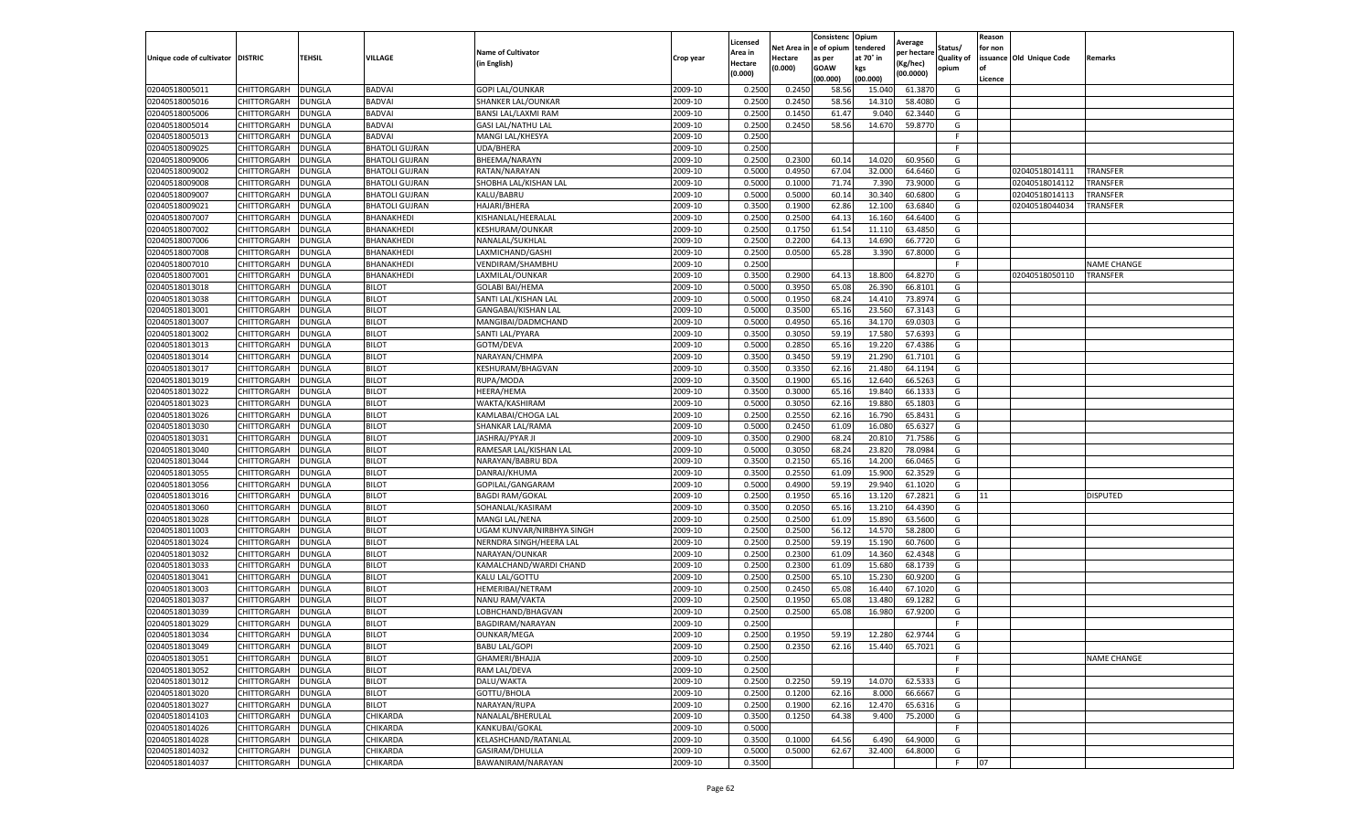|                                  |                            |                         |                                                |                                     |                    | Licensed         |         | Consistenc             | Opium           | Average     |                   | Reason  |                          |                    |
|----------------------------------|----------------------------|-------------------------|------------------------------------------------|-------------------------------------|--------------------|------------------|---------|------------------------|-----------------|-------------|-------------------|---------|--------------------------|--------------------|
|                                  |                            |                         |                                                | <b>Name of Cultivator</b>           |                    | Area in          |         | Net Area in e of opium | tendered        | per hectare | Status/           | for non |                          |                    |
| Unique code of cultivator        | <b>DISTRIC</b>             | TEHSIL                  | VILLAGE                                        | in English)                         | Crop year          | Hectare          | Hectare | as per                 | at 70° in       | (Kg/hec     | <b>Quality of</b> |         | issuance Old Unique Code | <b>Remarks</b>     |
|                                  |                            |                         |                                                |                                     |                    | (0.000)          | (0.000) | <b>GOAW</b>            | kgs             | (00.0000)   | opium             |         |                          |                    |
|                                  |                            |                         |                                                |                                     |                    |                  |         | (00.000)               | (00.000)        |             |                   | Licence |                          |                    |
| 02040518005011                   | CHITTORGARH                | <b>DUNGLA</b>           | <b>BADVAI</b>                                  | <b>GOPI LAL/OUNKAR</b>              | 2009-10            | 0.2500           | 0.2450  | 58.56                  | 15.04           | 61.3870     | G                 |         |                          |                    |
| 02040518005016                   | CHITTORGARH                | DUNGLA                  | <b>BADVAI</b>                                  | SHANKER LAL/OUNKAR                  | 2009-10            | 0.2500           | 0.2450  | 58.56                  | 14.31           | 58.4080     | G                 |         |                          |                    |
| 02040518005006                   | CHITTORGARH                | DUNGLA                  | <b>BADVAI</b>                                  | BANSI LAL/LAXMI RAM                 | 2009-10            | 0.2500           | 0.1450  | 61.47                  | 9.040           | 62.3440     | G                 |         |                          |                    |
| 02040518005014                   | CHITTORGARH                | <b>DUNGLA</b>           | BADVAI                                         | <b>GASI LAL/NATHU LAL</b>           | 2009-10            | 0.2500           | 0.2450  | 58.56                  | 14.670          | 59.8770     | G                 |         |                          |                    |
| 02040518005013                   | CHITTORGARH                | <b>DUNGLA</b>           | BADVAI<br><b>BHATOLI GUJRAN</b>                | MANGI LAL/KHESYA                    | 2009-10            | 0.2500           |         |                        |                 |             | F<br>F            |         |                          |                    |
| 02040518009025                   | CHITTORGARH                | DUNGLA                  | <b>BHATOLI GUJRAN</b>                          | UDA/BHERA                           | 2009-10<br>2009-10 | 0.2500           | 0.2300  | 60.14                  |                 | 60.9560     |                   |         |                          |                    |
| 02040518009006                   | CHITTORGARH                | DUNGLA                  |                                                | BHEEMA/NARAYN                       | 2009-10            | 0.2500<br>0.5000 | 0.4950  | 67.04                  | 14.020<br>32.00 | 64.6460     | G                 |         | 02040518014111           | TRANSFER           |
| 02040518009002                   | CHITTORGARH                | DUNGLA                  | <b>BHATOLI GUJRAN</b>                          | RATAN/NARAYAN                       | 2009-10            | 0.5000           | 0.1000  | 71.74                  | 7.39            | 73.9000     | G<br>G            |         | 02040518014112           | <b>TRANSFER</b>    |
| 02040518009008<br>02040518009007 | CHITTORGARH<br>CHITTORGARH | DUNGLA<br><b>DUNGLA</b> | <b>BHATOLI GUJRAN</b><br><b>BHATOLI GUJRAN</b> | SHOBHA LAL/KISHAN LAL<br>KALU/BABRU | 2009-10            | 0.5000           | 0.5000  | 60.14                  | 30.340          | 60.6800     | G                 |         | 02040518014113           | <b>TRANSFER</b>    |
| 02040518009021                   | CHITTORGARH                | <b>DUNGLA</b>           | <b>BHATOLI GUJRAN</b>                          | HAJARI/BHERA                        | 2009-10            | 0.3500           | 0.1900  | 62.86                  | 12.100          | 63.6840     | G                 |         | 02040518044034           | TRANSFER           |
| 02040518007007                   | CHITTORGARH                | <b>DUNGLA</b>           | BHANAKHEDI                                     | KISHANLAL/HEERALAI                  | 2009-10            | 0.2500           | 0.2500  | 64.13                  | 16.16           | 64.6400     | G                 |         |                          |                    |
| 02040518007002                   | CHITTORGARH                | DUNGLA                  | BHANAKHEDI                                     | KESHURAM/OUNKAR                     | 2009-10            | 0.2500           | 0.1750  | 61.54                  | 11.11           | 63.4850     | G                 |         |                          |                    |
| 02040518007006                   | CHITTORGARH                | DUNGLA                  | BHANAKHEDI                                     | NANALAL/SUKHLAL                     | 2009-10            | 0.2500           | 0.2200  | 64.13                  | 14.690          | 66.7720     | G                 |         |                          |                    |
| 02040518007008                   | CHITTORGARH                | DUNGLA                  | BHANAKHEDI                                     | LAXMICHAND/GASHI                    | 2009-10            | 0.2500           | 0.0500  | 65.28                  | 3.390           | 67.8000     | G                 |         |                          |                    |
| 02040518007010                   | CHITTORGARH                | <b>DUNGLA</b>           | BHANAKHEDI                                     | VENDIRAM/SHAMBHU                    | 2009-10            | 0.2500           |         |                        |                 |             | F.                |         |                          | <b>NAME CHANGE</b> |
| 02040518007001                   | CHITTORGARH                | <b>DUNGLA</b>           | BHANAKHEDI                                     | LAXMILAL/OUNKAR                     | 2009-10            | 0.3500           | 0.2900  | 64.13                  | 18.800          | 64.8270     | G                 |         | 02040518050110           | TRANSFER           |
| 02040518013018                   | CHITTORGARH                | <b>DUNGLA</b>           | <b>BILOT</b>                                   | <b>GOLABI BAI/HEMA</b>              | 2009-10            | 0.5000           | 0.3950  | 65.08                  | 26.39           | 66.8101     | G                 |         |                          |                    |
| 02040518013038                   | CHITTORGARH                | DUNGLA                  | <b>BILOT</b>                                   | SANTI LAL/KISHAN LAL                | 2009-10            | 0.5000           | 0.1950  | 68.24                  | 14.41           | 73.8974     | G                 |         |                          |                    |
| 02040518013001                   | CHITTORGARH                | DUNGLA                  | <b>BILOT</b>                                   | GANGABAI/KISHAN LAL                 | 2009-10            | 0.5000           | 0.3500  | 65.16                  | 23.560          | 67.3143     | G                 |         |                          |                    |
| 02040518013007                   | CHITTORGARH                | <b>DUNGLA</b>           | <b>BILOT</b>                                   | MANGIBAI/DADMCHAND                  | 2009-10            | 0.5000           | 0.4950  | 65.16                  | 34.17           | 69.0303     | G                 |         |                          |                    |
| 02040518013002                   | CHITTORGARH                | DUNGLA                  | <b>BILOT</b>                                   | SANTI LAL/PYARA                     | 2009-10            | 0.3500           | 0.3050  | 59.19                  | 17.580          | 57.6393     | G                 |         |                          |                    |
| 02040518013013                   | CHITTORGARH                | <b>DUNGLA</b>           | <b>BILOT</b>                                   | GOTM/DEVA                           | 2009-10            | 0.5000           | 0.2850  | 65.16                  | 19.220          | 67.4386     | G                 |         |                          |                    |
| 02040518013014                   | CHITTORGARH                | DUNGLA                  | <b>BILOT</b>                                   | NARAYAN/CHMPA                       | 2009-10            | 0.3500           | 0.3450  | 59.19                  | 21.290          | 61.7101     | G                 |         |                          |                    |
| 02040518013017                   | CHITTORGARH                | DUNGLA                  | <b>BILOT</b>                                   | KESHURAM/BHAGVAN                    | 2009-10            | 0.3500           | 0.3350  | 62.16                  | 21.48           | 64.1194     | G                 |         |                          |                    |
| 02040518013019                   | CHITTORGARH                | DUNGLA                  | <b>BILOT</b>                                   | RUPA/MODA                           | 2009-10            | 0.3500           | 0.1900  | 65.16                  | 12.640          | 66.5263     | G                 |         |                          |                    |
| 02040518013022                   | CHITTORGARH                |                         |                                                |                                     | 2009-10            | 0.3500           | 0.3000  | 65.16                  | 19.84           | 66.1333     | G                 |         |                          |                    |
| 02040518013023                   | CHITTORGARH                | DUNGLA<br><b>DUNGLA</b> | <b>BILOT</b><br><b>BILOT</b>                   | HEERA/HEMA<br>WAKTA/KASHIRAM        | 2009-10            | 0.5000           | 0.3050  | 62.16                  | 19.880          | 65.1803     | G                 |         |                          |                    |
| 02040518013026                   | CHITTORGARH                | <b>DUNGLA</b>           | <b>BILOT</b>                                   | KAMLABAI/CHOGA LAL                  | 2009-10            | 0.2500           | 0.2550  | 62.16                  | 16.790          | 65.8431     | G                 |         |                          |                    |
| 02040518013030                   | CHITTORGARH                | <b>DUNGLA</b>           | <b>BILOT</b>                                   | SHANKAR LAL/RAMA                    | 2009-10            | 0.5000           | 0.2450  | 61.09                  | 16.08           | 65.6327     | G                 |         |                          |                    |
| 02040518013031                   | CHITTORGARH                | DUNGLA                  | <b>BILOT</b>                                   | JASHRAJ/PYAR JI                     | 2009-10            | 0.3500           | 0.2900  | 68.24                  | 20.81           | 71.7586     | G                 |         |                          |                    |
| 02040518013040                   | CHITTORGARH                | DUNGLA                  | <b>BILOT</b>                                   | RAMESAR LAL/KISHAN LAL              | 2009-10            | 0.5000           | 0.3050  | 68.24                  | 23.82           | 78.0984     | G                 |         |                          |                    |
| 02040518013044                   | CHITTORGARH                | DUNGLA                  | <b>BILOT</b>                                   | NARAYAN/BABRU BDA                   | 2009-10            | 0.3500           | 0.2150  | 65.16                  | 14.20           | 66.0465     | G                 |         |                          |                    |
| 02040518013055                   | CHITTORGARH                | DUNGLA                  | <b>BILOT</b>                                   | DANRAJ/KHUMA                        | 2009-10            | 0.3500           | 0.2550  | 61.09                  | 15.900          | 62.3529     | G                 |         |                          |                    |
| 02040518013056                   | CHITTORGARH                | <b>DUNGLA</b>           | <b>BILOT</b>                                   | GOPILAL/GANGARAM                    | 2009-10            | 0.5000           | 0.4900  | 59.19                  | 29.94           | 61.1020     | G                 |         |                          |                    |
| 02040518013016                   | CHITTORGARH                | DUNGLA                  | <b>BILOT</b>                                   | <b>BAGDI RAM/GOKAL</b>              | 2009-10            | 0.2500           | 0.1950  | 65.16                  | 13.12           | 67.2821     | G                 | 11      |                          | <b>DISPUTED</b>    |
| 02040518013060                   | CHITTORGARH                | <b>DUNGLA</b>           | <b>BILOT</b>                                   | SOHANLAL/KASIRAM                    | 2009-10            | 0.3500           | 0.2050  | 65.16                  | 13.21           | 64.4390     | G                 |         |                          |                    |
| 02040518013028                   | CHITTORGARH                | DUNGLA                  | <b>BILOT</b>                                   | MANGI LAL/NENA                      | 2009-10            | 0.2500           | 0.2500  | 61.09                  | 15.89           | 63.5600     | G                 |         |                          |                    |
| 02040518011003                   | CHITTORGARH                | DUNGLA                  | <b>BILOT</b>                                   | UGAM KUNVAR/NIRBHYA SINGH           | 2009-10            | 0.2500           | 0.2500  | 56.12                  | 14.57           | 58.2800     | G                 |         |                          |                    |
| 02040518013024                   | CHITTORGARH                | <b>DUNGLA</b>           | <b>BILOT</b>                                   | NERNDRA SINGH/HEERA LAL             | 2009-10            | 0.2500           | 0.2500  | 59.19                  | 15.190          | 60.7600     | G                 |         |                          |                    |
| 02040518013032                   | CHITTORGARH                | DUNGLA                  | <b>BILOT</b>                                   | NARAYAN/OUNKAR                      | 2009-10            | 0.2500           | 0.2300  | 61.09                  | 14.360          | 62.4348     | G                 |         |                          |                    |
| 02040518013033                   | CHITTORGARH                | <b>DUNGLA</b>           | <b>BILOT</b>                                   | KAMALCHAND/WARDI CHAND              | 2009-10            | 0.2500           | 0.2300  | 61.09                  | 15.68           | 68.1739     | G                 |         |                          |                    |
| 02040518013041                   | CHITTORGARH                | DUNGLA                  | <b>BILOT</b>                                   | KALU LAL/GOTTU                      | 2009-10            | 0.2500           | 0.2500  | 65.10                  | 15.23           | 60.9200     | G                 |         |                          |                    |
| 02040518013003                   | CHITTORGARH                | <b>DUNGLA</b>           | <b>BILOT</b>                                   | HEMERIBAI/NETRAM                    | 2009-10            | 0.2500           | 0.2450  | 65.08                  | 16.44           | 67.1020     | G                 |         |                          |                    |
| 02040518013037                   | <b>CHITTORGARH</b>         | <b>DUNGLA</b>           | <b>BILOT</b>                                   | NANU RAM/VAKTA                      | 2009-10            | 0.2500           | 0.1950  | 65.08                  | 13.480          | 69.1282     | G                 |         |                          |                    |
| 02040518013039                   | CHITTORGARH                | DUNGLA                  | <b>BILOT</b>                                   | LOBHCHAND/BHAGVAN                   | 2009-10            | 0.2500           | 0.2500  | 65.08                  | 16.980          | 67.9200     | G                 |         |                          |                    |
| 02040518013029                   | CHITTORGARH                | DUNGLA                  | <b>BILOT</b>                                   | BAGDIRAM/NARAYAN                    | 2009-10            | 0.2500           |         |                        |                 |             | F.                |         |                          |                    |
| 02040518013034                   | CHITTORGARH                | <b>DUNGLA</b>           | <b>BILOT</b>                                   | OUNKAR/MEGA                         | 2009-10            | 0.2500           | 0.1950  | 59.19                  | 12.280          | 62.9744     | G                 |         |                          |                    |
| 02040518013049                   | CHITTORGARH                | <b>DUNGLA</b>           | <b>BILOT</b>                                   | <b>BABU LAL/GOPI</b>                | 2009-10            | 0.2500           | 0.2350  | 62.16                  | 15.440          | 65.7021     | G                 |         |                          |                    |
| 02040518013051                   | CHITTORGARH                | <b>DUNGLA</b>           | <b>BILOT</b>                                   | GHAMERI/BHAJJA                      | 2009-10            | 0.2500           |         |                        |                 |             | F                 |         |                          | <b>NAME CHANGE</b> |
| 02040518013052                   | CHITTORGARH                | <b>DUNGLA</b>           | <b>BILOT</b>                                   | RAM LAL/DEVA                        | 2009-10            | 0.2500           |         |                        |                 |             | F.                |         |                          |                    |
| 02040518013012                   | CHITTORGARH                | <b>DUNGLA</b>           | <b>BILOT</b>                                   | DALU/WAKTA                          | 2009-10            | 0.2500           | 0.2250  | 59.19                  | 14.070          | 62.5333     | G                 |         |                          |                    |
| 02040518013020                   | CHITTORGARH                | <b>DUNGLA</b>           | <b>BILOT</b>                                   | GOTTU/BHOLA                         | 2009-10            | 0.2500           | 0.1200  | 62.16                  | 8.000           | 66.6667     | G                 |         |                          |                    |
| 02040518013027                   | <b>CHITTORGARH</b>         | <b>DUNGLA</b>           | <b>BILOT</b>                                   | NARAYAN/RUPA                        | 2009-10            | 0.2500           | 0.1900  | 62.16                  | 12.470          | 65.6316     | G                 |         |                          |                    |
| 02040518014103                   | CHITTORGARH                | <b>DUNGLA</b>           | CHIKARDA                                       | NANALAL/BHERULAL                    | 2009-10            | 0.3500           | 0.1250  | 64.38                  | 9.400           | 75.2000     | G                 |         |                          |                    |
| 02040518014026                   | <b>CHITTORGARH</b>         | <b>DUNGLA</b>           | CHIKARDA                                       | KANKUBAI/GOKAL                      | 2009-10            | 0.5000           |         |                        |                 |             | F.                |         |                          |                    |
| 02040518014028                   | CHITTORGARH                | <b>DUNGLA</b>           | CHIKARDA                                       | KELASHCHAND/RATANLAL                | 2009-10            | 0.3500           | 0.1000  | 64.56                  | 6.490           | 64.9000     | G                 |         |                          |                    |
| 02040518014032                   | CHITTORGARH                | DUNGLA                  | CHIKARDA                                       | <b>GASIRAM/DHULLA</b>               | 2009-10            | 0.5000           | 0.5000  | 62.67                  | 32.400          | 64.8000     | G                 |         |                          |                    |
| 02040518014037                   | <b>CHITTORGARH</b>         | <b>DUNGLA</b>           | CHIKARDA                                       | BAWANIRAM/NARAYAN                   | 2009-10            | 0.3500           |         |                        |                 |             | F                 | 07      |                          |                    |
|                                  |                            |                         |                                                |                                     |                    |                  |         |                        |                 |             |                   |         |                          |                    |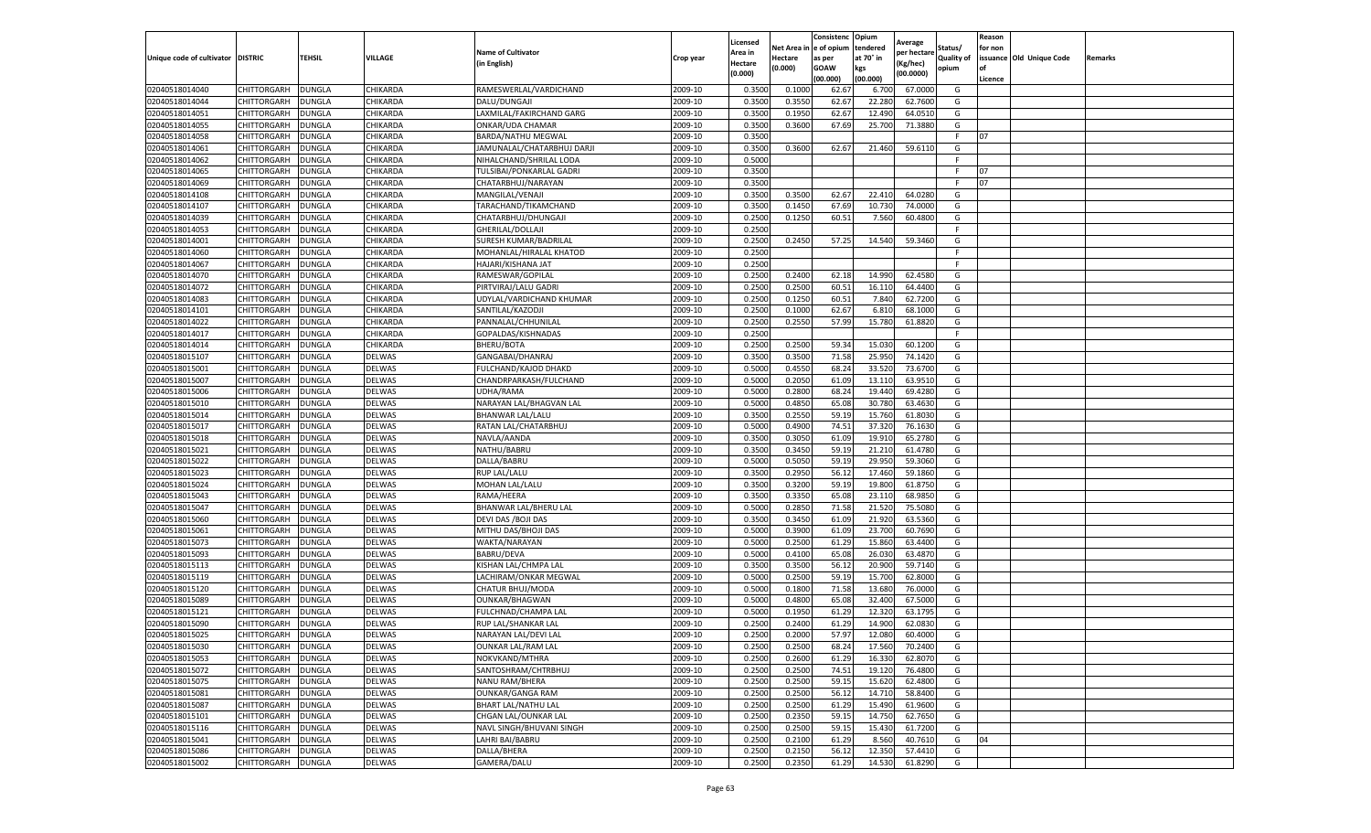|                                   |                      |               |               |                             |           | Licensed       |                    | Consistenc Opium      |                  | Average     |                            | Reason  |                          |         |
|-----------------------------------|----------------------|---------------|---------------|-----------------------------|-----------|----------------|--------------------|-----------------------|------------------|-------------|----------------------------|---------|--------------------------|---------|
|                                   |                      |               |               | <b>Name of Cultivator</b>   |           | Area in        | Net Area i         | e of opium            | tendered         | per hectare | Status/                    | for non |                          |         |
| Unique code of cultivator DISTRIC |                      | <b>TEHSIL</b> | VILLAGE       | in English)                 | Crop year | <b>Hectare</b> | Hectare<br>(0.000) | as per<br><b>GOAW</b> | at 70° in<br>kgs | Kg/hec)     | <b>Quality of</b><br>opium | of      | issuance Old Unique Code | Remarks |
|                                   |                      |               |               |                             |           | (0.000)        |                    | (00.000)              | (00.000)         | (00.0000)   |                            | Licence |                          |         |
| 02040518014040                    | CHITTORGARH          | DUNGLA        | CHIKARDA      | RAMESWERLAL/VARDICHAND      | 2009-10   | 0.3500         | 0.1000             | 62.67                 | 6.70             | 67.0000     | G                          |         |                          |         |
| 02040518014044                    | CHITTORGARH          | <b>DUNGLA</b> | CHIKARDA      | DALU/DUNGAJI                | 2009-10   | 0.3500         | 0.3550             | 62.67                 | 22.280           | 62.7600     | G                          |         |                          |         |
| 02040518014051                    | CHITTORGARH          | <b>DUNGLA</b> | CHIKARDA      | LAXMILAL/FAKIRCHAND GARG    | 2009-10   | 0.3500         | 0.1950             | 62.67                 | 12.490           | 64.0510     | G                          |         |                          |         |
| 02040518014055                    | CHITTORGARH          | <b>DUNGLA</b> | CHIKARDA      | ONKAR/UDA CHAMAR            | 2009-10   | 0.3500         | 0.3600             | 67.69                 | 25.700           | 71.3880     | G                          |         |                          |         |
| 02040518014058                    | CHITTORGARH          | <b>DUNGLA</b> | CHIKARDA      | BARDA/NATHU MEGWAL          | 2009-10   | 0.3500         |                    |                       |                  |             | F.                         | 07      |                          |         |
| 02040518014061                    | CHITTORGARH          | DUNGLA        | CHIKARDA      | JAMUNALAL/CHATARBHUJ DARJI  | 2009-10   | 0.3500         | 0.3600             | 62.67                 | 21.460           | 59.6110     | G                          |         |                          |         |
| 02040518014062                    | CHITTORGARH          | DUNGLA        | CHIKARDA      | NIHALCHAND/SHRILAL LODA     | 2009-10   | 0.5000         |                    |                       |                  |             | F.                         |         |                          |         |
| 02040518014065                    | CHITTORGARH          | DUNGLA        | CHIKARDA      | TULSIBAI/PONKARLAL GADRI    | 2009-10   | 0.3500         |                    |                       |                  |             | F.                         | 07      |                          |         |
| 02040518014069                    | CHITTORGARH          | <b>DUNGLA</b> | CHIKARDA      | CHATARBHUJ/NARAYAN          | 2009-10   | 0.3500         |                    |                       |                  |             | F.                         | 07      |                          |         |
| 02040518014108                    | CHITTORGARH          | DUNGLA        | CHIKARDA      | MANGILAL/VENAJI             | 2009-10   | 0.3500         | 0.3500             | 62.67                 | 22.410           | 64.0280     | G                          |         |                          |         |
| 02040518014107                    | CHITTORGARH          | <b>DUNGLA</b> | CHIKARDA      | TARACHAND/TIKAMCHAND        | 2009-10   | 0.3500         | 0.1450             | 67.69                 | 10.73            | 74.0000     | G                          |         |                          |         |
| 02040518014039                    | CHITTORGARH          | <b>DUNGLA</b> | CHIKARDA      | CHATARBHUJ/DHUNGAJI         | 2009-10   | 0.2500         | 0.1250             | 60.51                 | 7.560            | 60.4800     | G                          |         |                          |         |
| 02040518014053                    | CHITTORGARH          | DUNGLA        | CHIKARDA      | GHERILAL/DOLLAJI            | 2009-10   | 0.2500         |                    |                       |                  |             | F.                         |         |                          |         |
| 02040518014001                    | CHITTORGARH          | <b>DUNGLA</b> | CHIKARDA      | SURESH KUMAR/BADRILAL       | 2009-10   | 0.2500         | 0.2450             | 57.25                 | 14.540           | 59.3460     | G                          |         |                          |         |
| 02040518014060                    | CHITTORGARH          | DUNGLA        | CHIKARDA      | MOHANLAL/HIRALAL KHATOD     | 2009-10   | 0.2500         |                    |                       |                  |             | F.                         |         |                          |         |
| 02040518014067                    | CHITTORGARH          | <b>DUNGLA</b> | CHIKARDA      | HAJARI/KISHANA JAT          | 2009-10   | 0.2500         |                    |                       |                  |             | F.                         |         |                          |         |
| 02040518014070                    | CHITTORGARH          | DUNGLA        | CHIKARDA      | RAMESWAR/GOPILAL            | 2009-10   | 0.2500         | 0.2400             | 62.18                 | 14.99            | 62.4580     | G                          |         |                          |         |
| 02040518014072                    | CHITTORGARH          | <b>DUNGLA</b> | CHIKARDA      | PIRTVIRAJ/LALU GADRI        | 2009-10   | 0.2500         | 0.2500             | 60.51                 | 16.11            | 64.4400     | G                          |         |                          |         |
| 02040518014083                    | CHITTORGARH          | <b>DUNGLA</b> | CHIKARDA      | UDYLAL/VARDICHAND KHUMAR    | 2009-10   | 0.2500         | 0.1250             | 60.51                 | 7.84             | 62.7200     | G                          |         |                          |         |
| 02040518014101                    | CHITTORGARH          | DUNGLA        | CHIKARDA      | SANTILAL/KAZODJI            | 2009-10   | 0.2500         | 0.1000             | 62.67                 | 6.81             | 68.1000     | G                          |         |                          |         |
| 02040518014022                    | CHITTORGARH          | <b>DUNGLA</b> | CHIKARDA      | PANNALAL/CHHUNILAL          | 2009-10   | 0.2500         | 0.2550             | 57.99                 | 15.780           | 61.8820     | G                          |         |                          |         |
| 02040518014017                    | CHITTORGARH          | <b>DUNGLA</b> | CHIKARDA      | GOPALDAS/KISHNADAS          | 2009-10   | 0.2500         |                    |                       |                  |             | F.                         |         |                          |         |
| 02040518014014                    | CHITTORGARH          | <b>DUNGLA</b> | CHIKARDA      | BHERU/BOTA                  | 2009-10   | 0.2500         | 0.2500             | 59.34                 | 15.03            | 60.1200     | G                          |         |                          |         |
| 02040518015107                    | CHITTORGARH          | DUNGLA        | <b>DELWAS</b> | GANGABAI/DHANRAJ            | 2009-10   | 0.3500         | 0.3500             | 71.58                 | 25.950           | 74.1420     | G                          |         |                          |         |
| 02040518015001                    | CHITTORGARH          | DUNGLA        | DELWAS        | <b>FULCHAND/KAJOD DHAKD</b> | 2009-10   | 0.5000         | 0.4550             | 68.24                 | 33.52            | 73.6700     | G                          |         |                          |         |
| 02040518015007                    | CHITTORGARH          | DUNGLA        | DELWAS        | CHANDRPARKASH/FULCHAND      | 2009-10   | 0.5000         | 0.2050             | 61.09                 | 13.11            | 63.9510     | G                          |         |                          |         |
| 02040518015006                    | CHITTORGARH          | DUNGLA        | DELWAS        | UDHA/RAMA                   | 2009-10   | 0.5000         | 0.2800             | 68.24                 | 19.440           | 69.4280     | G                          |         |                          |         |
| 02040518015010                    | CHITTORGARH          | <b>DUNGLA</b> | DELWAS        | NARAYAN LAL/BHAGVAN LAL     | 2009-10   | 0.5000         | 0.4850             | 65.08                 | 30.780           | 63.4630     | G                          |         |                          |         |
| 02040518015014                    | CHITTORGARH          | <b>DUNGLA</b> | DELWAS        | BHANWAR LAL/LALU            | 2009-10   | 0.3500         | 0.2550             | 59.19                 | 15.760           | 61.8030     | G                          |         |                          |         |
| 02040518015017                    | CHITTORGARH          | <b>DUNGLA</b> | DELWAS        | RATAN LAL/CHATARBHUJ        | 2009-10   | 0.5000         | 0.4900             | 74.51                 | 37.32            | 76.1630     | G                          |         |                          |         |
| 02040518015018                    | CHITTORGARH          | DUNGLA        | DELWAS        | NAVLA/AANDA                 | 2009-10   | 0.3500         | 0.3050             | 61.09                 | 19.91            | 65.2780     | G                          |         |                          |         |
| 02040518015021                    | CHITTORGARH          | DUNGLA        | DELWAS        | NATHU/BABRU                 | 2009-10   | 0.3500         | 0.3450             | 59.19                 | 21.21            | 61.4780     | G                          |         |                          |         |
| 02040518015022                    | CHITTORGARH          | <b>DUNGLA</b> | DELWAS        | DALLA/BABRU                 | 2009-10   | 0.5000         | 0.5050             | 59.19                 | 29.950           | 59.3060     | G                          |         |                          |         |
| 02040518015023                    | CHITTORGARH          | <b>DUNGLA</b> | DELWAS        | <b>RUP LAL/LALU</b>         | 2009-10   | 0.3500         | 0.2950             | 56.12                 | 17.460           | 59.1860     | G                          |         |                          |         |
| 02040518015024                    | CHITTORGARH          | <b>DUNGLA</b> | DELWAS        | MOHAN LAL/LALU              | 2009-10   | 0.3500         | 0.3200             | 59.19                 | 19.800           | 61.8750     | G                          |         |                          |         |
| 02040518015043                    | CHITTORGARH          | DUNGLA        | <b>DELWAS</b> | RAMA/HEERA                  | 2009-10   | 0.3500         | 0.3350             | 65.08                 | 23.11            | 68.9850     | G                          |         |                          |         |
| 02040518015047                    | CHITTORGARH          | <b>DUNGLA</b> | DELWAS        | BHANWAR LAL/BHERU LAL       | 2009-10   | 0.5000         | 0.2850             | 71.58                 | 21.52            | 75.5080     | G                          |         |                          |         |
| 02040518015060                    | CHITTORGARH          | DUNGLA        | DELWAS        | DEVI DAS / BOJI DAS         | 2009-10   | 0.3500         | 0.3450             | 61.09                 | 21.920           | 63.5360     | G                          |         |                          |         |
| 02040518015061                    | CHITTORGARH          | DUNGLA        | DELWAS        | MITHU DAS/BHOJI DAS         | 2009-10   | 0.5000         | 0.3900             | 61.09                 | 23.700           | 60.7690     | G                          |         |                          |         |
| 02040518015073                    | CHITTORGARH          | <b>DUNGLA</b> | DELWAS        | WAKTA/NARAYAN               | 2009-10   | 0.5000         | 0.2500             | 61.29                 | 15.860           | 63.4400     | G                          |         |                          |         |
| 02040518015093                    | CHITTORGARH          | <b>DUNGLA</b> | DELWAS        | <b>BABRU/DEVA</b>           | 2009-10   | 0.5000         | 0.4100             | 65.08                 | 26.030           | 63.4870     | G                          |         |                          |         |
| 02040518015113                    | CHITTORGARH          | DUNGLA        | DELWAS        | KISHAN LAL/CHMPA LAL        | 2009-10   | 0.3500         | 0.3500             | 56.12                 | 20.90            | 59.7140     | G                          |         |                          |         |
| 02040518015119                    | CHITTORGARH          | DUNGLA        | <b>DELWAS</b> | LACHIRAM/ONKAR MEGWAL       | 2009-10   | 0.5000         | 0.2500             | 59.19                 | 15.70            | 62.8000     | G                          |         |                          |         |
| 02040518015120                    | CHITTORGARH          | DUNGLA        | DELWAS        | CHATUR BHUJ/MODA            | 2009-10   | 0.5000         | 0.1800             | 71.58                 | 13.680           | 76.0000     | G                          |         |                          |         |
| 02040518015089                    | CHITTORGARH          | DUNGLA        | DELWAS        | <b>OUNKAR/BHAGWAN</b>       | 2009-10   | 0.5000         | 0.4800             | 65.08                 | 32.40            | 67.5000     | G                          |         |                          |         |
| 02040518015121                    | CHITTORGARH          | DUNGLA        | <b>DELWAS</b> | FULCHNAD/CHAMPA LAL         | 2009-10   | 0.5000         | 0.1950             | 61.29                 | 12.32            | 63.1795     | G                          |         |                          |         |
| 02040518015090                    | CHITTORGARH          | <b>DUNGLA</b> | DELWAS        | RUP LAL/SHANKAR LAL         | 2009-10   | 0.2500         | 0.2400             | 61.29                 | 14.900           | 62.0830     | G                          |         |                          |         |
| 02040518015025                    | CHITTORGARH          | <b>DUNGLA</b> | DELWAS        | NARAYAN LAL/DEVI LAL        | 2009-10   | 0.2500         | 0.2000             | 57.97                 | 12.080           | 60.4000     | G                          |         |                          |         |
| 02040518015030                    | CHITTORGARH   DUNGLA |               | <b>DELWAS</b> | OUNKAR LAL/RAM LAL          | 2009-10   | 0.2500         | 0.2500             | 68.24                 | 17.560           | 70.2400     | G                          |         |                          |         |
| 02040518015053                    | <b>CHITTORGARH</b>   | <b>DUNGLA</b> | DELWAS        | NOKVKAND/MTHRA              | 2009-10   | 0.2500         | 0.2600             | 61.29                 | 16.330           | 62.8070     | G                          |         |                          |         |
| 02040518015072                    | CHITTORGARH          | <b>DUNGLA</b> | DELWAS        | SANTOSHRAM/CHTRBHUJ         | 2009-10   | 0.2500         | 0.2500             | 74.51                 | 19.120           | 76.4800     | G                          |         |                          |         |
| 02040518015075                    | <b>CHITTORGARH</b>   | <b>DUNGLA</b> | DELWAS        | NANU RAM/BHERA              | 2009-10   | 0.2500         | 0.2500             | 59.15                 | 15.620           | 62.4800     | G                          |         |                          |         |
| 02040518015081                    | <b>CHITTORGARH</b>   | <b>DUNGLA</b> | DELWAS        | <b>OUNKAR/GANGA RAM</b>     | 2009-10   | 0.2500         | 0.2500             | 56.12                 | 14.710           | 58.8400     | G                          |         |                          |         |
| 02040518015087                    | <b>CHITTORGARH</b>   | <b>DUNGLA</b> | DELWAS        | <b>BHART LAL/NATHU LAL</b>  | 2009-10   | 0.2500         | 0.2500             | 61.29                 | 15.490           | 61.9600     | G                          |         |                          |         |
| 02040518015101                    | CHITTORGARH          | <b>DUNGLA</b> | <b>DELWAS</b> | CHGAN LAL/OUNKAR LAL        | 2009-10   | 0.2500         | 0.2350             | 59.15                 | 14.750           | 62.7650     | G                          |         |                          |         |
| 02040518015116                    | <b>CHITTORGARH</b>   | DUNGLA        | DELWAS        | NAVL SINGH/BHUVANI SINGH    | 2009-10   | 0.2500         | 0.2500             | 59.15                 | 15.430           | 61.7200     | G                          |         |                          |         |
| 02040518015041                    | CHITTORGARH          | <b>DUNGLA</b> | DELWAS        | LAHRI BAI/BABRU             | 2009-10   | 0.2500         | 0.2100             | 61.29                 | 8.560            | 40.7610     | G                          | 04      |                          |         |
| 02040518015086                    | <b>CHITTORGARH</b>   | <b>DUNGLA</b> | DELWAS        | DALLA/BHERA                 | 2009-10   | 0.2500         | 0.2150             | 56.12                 | 12.350           | 57.4410     | G                          |         |                          |         |
| 02040518015002                    | <b>CHITTORGARH</b>   | <b>DUNGLA</b> | DELWAS        | GAMERA/DALU                 | 2009-10   | 0.2500         | 0.2350             | 61.29                 | 14.530           | 61.8290     | G                          |         |                          |         |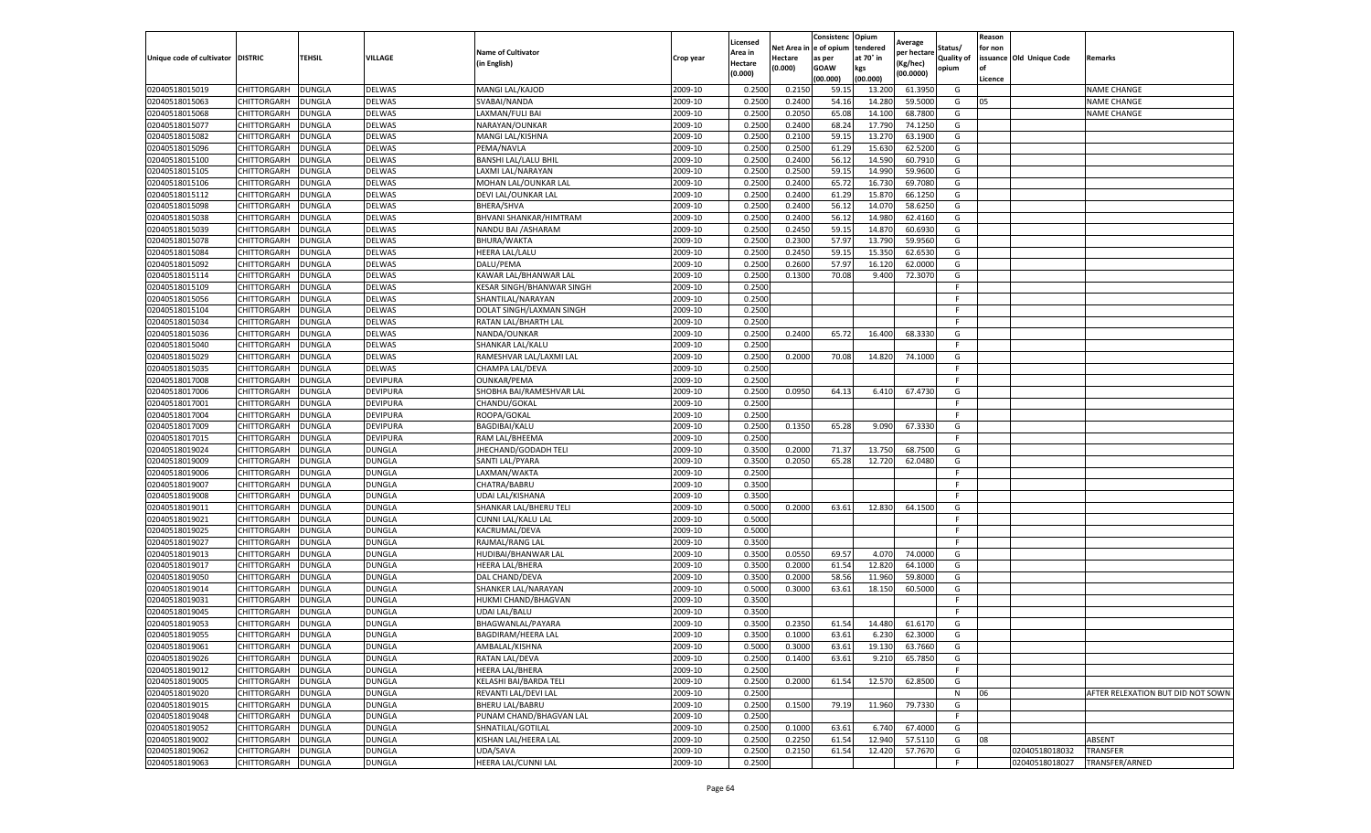|                                   |                                          |               |                                |                               |           | Licensed |                  | Consistenc             | Opium     |                        |                   | Reason  |                          |                                   |
|-----------------------------------|------------------------------------------|---------------|--------------------------------|-------------------------------|-----------|----------|------------------|------------------------|-----------|------------------------|-------------------|---------|--------------------------|-----------------------------------|
|                                   |                                          |               |                                | <b>Name of Cultivator</b>     |           | Area in  |                  | Net Area in e of opium | tendered  | Average<br>per hectare | Status/           | for non |                          |                                   |
| Unique code of cultivator DISTRIC |                                          | TEHSIL        | VILLAGE                        | in English)                   | Crop year | Hectare  | Hectare          | as per                 | at 70° in | (Kg/hec                | <b>Quality of</b> |         | issuance Old Unique Code | <b>Remarks</b>                    |
|                                   |                                          |               |                                |                               |           | (0.000)  | (0.000)          | <b>GOAW</b>            | kgs       | (00.0000)              | opium             |         |                          |                                   |
|                                   |                                          |               |                                |                               |           |          |                  | (00.000)               | (00.000)  |                        |                   | Licence |                          |                                   |
| 02040518015019                    | CHITTORGARH                              | <b>DUNGLA</b> | DELWAS                         | MANGI LAL/KAJOD               | 2009-10   | 0.2500   | 0.2150           | 59.1                   | 13.200    | 61.3950                | G                 |         |                          | <b>NAME CHANGE</b>                |
| 02040518015063                    | CHITTORGARH                              | DUNGLA        | <b>DELWAS</b>                  | SVABAI/NANDA                  | 2009-10   | 0.2500   | 0.2400           | 54.16                  | 14.28     | 59.5000                | G                 | 05      |                          | <b>NAME CHANGE</b>                |
| 02040518015068                    | CHITTORGARH                              | <b>DUNGLA</b> | <b>DELWAS</b>                  | LAXMAN/FULI BAI               | 2009-10   | 0.2500   | 0.2050           | 65.08                  | 14.10     | 68.7800                | G                 |         |                          | <b>NAME CHANGE</b>                |
| 02040518015077                    | CHITTORGARH                              | <b>DUNGLA</b> | DELWAS                         | NARAYAN/OUNKAR                | 2009-10   | 0.2500   | 0.2400           | 68.24                  | 17.790    | 74.1250                | G                 |         |                          |                                   |
| 02040518015082                    | <b>CHITTORGARH</b>                       | <b>DUNGLA</b> | DELWAS                         | MANGI LAL/KISHNA              | 2009-10   | 0.2500   | 0.2100           | 59.15                  | 13.27     | 63.1900                | G                 |         |                          |                                   |
| 02040518015096                    | CHITTORGARH                              | DUNGLA        | DELWAS                         | PEMA/NAVLA                    | 2009-10   | 0.2500   | 0.2500           | 61.29                  | 15.63     | 62.5200                | G                 |         |                          |                                   |
| 02040518015100                    | CHITTORGARH                              | <b>DUNGLA</b> | DELWAS                         | <b>BANSHI LAL/LALU BHIL</b>   | 2009-10   | 0.2500   | 0.2400           | 56.12                  | 14.59     | 60.7910                | G                 |         |                          |                                   |
| 02040518015105                    | CHITTORGARH                              | DUNGLA        | DELWAS                         | LAXMI LAL/NARAYAN             | 2009-10   | 0.2500   | 0.2500           | 59.1                   | 14.99     | 59.9600                | G                 |         |                          |                                   |
| 02040518015106                    | CHITTORGARH                              | DUNGLA        | DELWAS                         | MOHAN LAL/OUNKAR LAL          | 2009-10   | 0.2500   | 0.2400           | 65.72                  | 16.73     | 69.7080                | G                 |         |                          |                                   |
| 02040518015112                    | CHITTORGARH                              | <b>DUNGLA</b> | DELWAS                         | DEVI LAL/OUNKAR LAL           | 2009-10   | 0.2500   | 0.2400           | 61.29                  | 15.87     | 66.1250                | G                 |         |                          |                                   |
| 02040518015098                    | CHITTORGARH                              | <b>DUNGLA</b> | DELWAS                         | BHERA/SHVA                    | 2009-10   | 0.2500   | 0.2400           | 56.12                  | 14.07     | 58.6250                | G                 |         |                          |                                   |
| 02040518015038                    | CHITTORGARH                              | DUNGLA        | DELWAS                         | <b>BHVANI SHANKAR/HIMTRAM</b> | 2009-10   | 0.2500   | 0.2400           | 56.12                  | 14.98     | 62.4160                | G                 |         |                          |                                   |
| 02040518015039                    | CHITTORGARH                              | DUNGLA        | DELWAS                         | NANDU BAI / ASHARAM           | 2009-10   | 0.2500   | 0.2450           | 59.15                  | 14.87     | 60.6930                | G                 |         |                          |                                   |
| 02040518015078                    | CHITTORGARH                              | DUNGLA        | DELWAS                         | BHURA/WAKTA                   | 2009-10   | 0.2500   | 0.2300           | 57.97                  | 13.79     | 59.9560                | G                 |         |                          |                                   |
| 02040518015084                    | CHITTORGARH                              | DUNGLA        | DELWAS                         | HEERA LAL/LALU                | 2009-10   | 0.2500   | 0.2450           | 59.1                   | 15.35     | 62.6530                | G                 |         |                          |                                   |
| 02040518015092                    | CHITTORGARH                              | <b>DUNGLA</b> | DELWAS                         | DALU/PEMA                     | 2009-10   | 0.2500   | 0.2600           | 57.97                  | 16.12     | 62.0000                | G                 |         |                          |                                   |
| 02040518015114                    | CHITTORGARH                              | <b>DUNGLA</b> | DELWAS                         | KAWAR LAL/BHANWAR LAL         | 2009-10   | 0.2500   | 0.1300           | 70.08                  | 9.400     | 72.3070                | G                 |         |                          |                                   |
| 02040518015109                    | CHITTORGARH                              | <b>DUNGLA</b> | DELWAS                         | KESAR SINGH/BHANWAR SINGH     | 2009-10   | 0.2500   |                  |                        |           |                        | F                 |         |                          |                                   |
| 02040518015056                    | CHITTORGARH                              | DUNGLA        | DELWAS                         | SHANTILAL/NARAYAN             | 2009-10   | 0.2500   |                  |                        |           |                        | F                 |         |                          |                                   |
| 02040518015104                    | CHITTORGARH                              | DUNGLA        | DELWAS                         | DOLAT SINGH/LAXMAN SINGH      | 2009-10   | 0.2500   |                  |                        |           |                        | F                 |         |                          |                                   |
| 02040518015034                    | CHITTORGARH                              | <b>DUNGLA</b> | DELWAS                         | RATAN LAL/BHARTH LAL          | 2009-10   | 0.2500   |                  |                        |           |                        | F.                |         |                          |                                   |
| 02040518015036                    | CHITTORGARH                              | DUNGLA        | DELWAS                         | NANDA/OUNKAR                  | 2009-10   | 0.2500   | 0.2400           | 65.72                  | 16.400    | 68.3330                | G                 |         |                          |                                   |
| 02040518015040                    | CHITTORGARH                              | <b>DUNGLA</b> | DELWAS                         | SHANKAR LAL/KALU              | 2009-10   | 0.2500   |                  |                        |           |                        | F.                |         |                          |                                   |
| 02040518015029                    | CHITTORGARH                              | DUNGLA        | <b>DELWAS</b>                  | RAMESHVAR LAL/LAXMI LAL       | 2009-10   | 0.2500   | 0.2000           | 70.08                  | 14.820    | 74.1000                | G                 |         |                          |                                   |
| 02040518015035                    | CHITTORGARH                              | DUNGLA        | DELWAS                         | CHAMPA LAL/DEVA               | 2009-10   | 0.2500   |                  |                        |           |                        | F                 |         |                          |                                   |
| 02040518017008                    | CHITTORGARH                              | DUNGLA        | DEVIPURA                       | <b>OUNKAR/PEMA</b>            | 2009-10   | 0.2500   |                  |                        |           |                        | F                 |         |                          |                                   |
| 02040518017006                    | CHITTORGARH                              | DUNGLA        | DEVIPURA                       | SHOBHA BAI/RAMESHVAR LAL      | 2009-10   | 0.2500   | 0.0950           | 64.13                  | 6.410     | 67.4730                | G                 |         |                          |                                   |
| 02040518017001                    | CHITTORGARH                              | <b>DUNGLA</b> | DEVIPURA                       | CHANDU/GOKAL                  | 2009-10   | 0.2500   |                  |                        |           |                        | F.                |         |                          |                                   |
| 02040518017004                    | CHITTORGARH                              | <b>DUNGLA</b> | DEVIPURA                       | ROOPA/GOKAL                   | 2009-10   | 0.2500   |                  |                        |           |                        | F.                |         |                          |                                   |
| 02040518017009                    | CHITTORGARH                              | <b>DUNGLA</b> | DEVIPURA                       | BAGDIBAI/KALU                 | 2009-10   | 0.2500   | 0.1350           | 65.28                  | 9.090     | 67.3330                | G                 |         |                          |                                   |
| 02040518017015                    | CHITTORGARH                              | DUNGLA        | <b>DEVIPURA</b>                | RAM LAL/BHEEMA                | 2009-10   | 0.2500   |                  |                        |           |                        | F                 |         |                          |                                   |
| 02040518019024                    | CHITTORGARH                              | DUNGLA        | DUNGLA                         | JHECHAND/GODADH TELI          | 2009-10   | 0.3500   | 0.2000           | 71.37                  | 13.750    | 68.7500                | G                 |         |                          |                                   |
| 02040518019009                    | CHITTORGARH                              | DUNGLA        | DUNGLA                         | SANTI LAL/PYARA               | 2009-10   | 0.3500   | 0.2050           | 65.28                  | 12.720    | 62.0480                | G                 |         |                          |                                   |
| 02040518019006                    | CHITTORGARH                              | DUNGLA        | DUNGLA                         | LAXMAN/WAKTA                  | 2009-10   | 0.2500   |                  |                        |           |                        | F.                |         |                          |                                   |
| 02040518019007                    | CHITTORGARH                              | <b>DUNGLA</b> | DUNGLA                         | CHATRA/BABRU                  | 2009-10   | 0.3500   |                  |                        |           |                        | F                 |         |                          |                                   |
| 02040518019008                    | CHITTORGARH                              | <b>DUNGLA</b> | DUNGLA                         | UDAI LAL/KISHANA              | 2009-10   | 0.3500   |                  |                        |           |                        | F.                |         |                          |                                   |
| 02040518019011                    | CHITTORGARH                              | <b>DUNGLA</b> | DUNGLA                         | SHANKAR LAL/BHERU TELI        | 2009-10   | 0.5000   | 0.2000           | 63.61                  | 12.830    | 64.1500                | G                 |         |                          |                                   |
| 02040518019021                    | CHITTORGARH                              | DUNGLA        | DUNGLA                         | CUNNI LAL/KALU LAL            | 2009-10   | 0.5000   |                  |                        |           |                        | F                 |         |                          |                                   |
| 02040518019025                    | CHITTORGARH                              | DUNGLA        | DUNGLA                         | KACRUMAL/DEVA                 | 2009-10   | 0.5000   |                  |                        |           |                        | F.                |         |                          |                                   |
| 02040518019027                    | CHITTORGARH                              | <b>DUNGLA</b> | <b>DUNGLA</b>                  | RAJMAL/RANG LAL               | 2009-10   | 0.3500   |                  |                        |           |                        | F                 |         |                          |                                   |
| 02040518019013                    | CHITTORGARH                              | DUNGLA        | DUNGLA                         | HUDIBAI/BHANWAR LAL           | 2009-10   | 0.3500   | 0.0550           | 69.57                  | 4.070     | 74.0000                | G                 |         |                          |                                   |
| 02040518019017                    | CHITTORGARH                              | <b>DUNGLA</b> | DUNGLA                         | HEERA LAL/BHERA               | 2009-10   | 0.3500   | 0.2000           | 61.54                  | 12.820    | 64.1000                | G                 |         |                          |                                   |
| 02040518019050                    | CHITTORGARH                              | DUNGLA        | DUNGLA                         | DAL CHAND/DEVA                | 2009-10   | 0.3500   | 0.2000           | 58.56                  | 11.96     | 59.8000                | G                 |         |                          |                                   |
| 02040518019014                    | CHITTORGARH                              | <b>DUNGLA</b> | <b>DUNGLA</b>                  | SHANKER LAL/NARAYAN           | 2009-10   | 0.5000   | 0.3000           | 63.61                  | 18.15     | 60.5000                | G                 |         |                          |                                   |
| 02040518019031                    | CHITTORGARH                              | <b>DUNGLA</b> | DUNGLA                         | HUKMI CHAND/BHAGVAN           | 2009-10   | 0.3500   |                  |                        |           |                        | F.                |         |                          |                                   |
| 02040518019045                    | CHITTORGARH                              | DUNGLA        | DUNGLA                         | <b>UDAI LAL/BALU</b>          | 2009-10   | 0.3500   |                  |                        |           |                        | F.                |         |                          |                                   |
| 02040518019053                    | CHITTORGARH                              | DUNGLA        | <b>DUNGLA</b>                  | BHAGWANLAL/PAYARA             | 2009-10   | 0.3500   | 0.2350           | 61.54                  | 14.480    | 61.6170                | G                 |         |                          |                                   |
| 02040518019055                    | CHITTORGARH                              | <b>DUNGLA</b> | DUNGLA                         | <b>BAGDIRAM/HEERA LAL</b>     | 2009-10   | 0.3500   | 0.1000           | 63.61                  | 6.230     | 62.3000                | G                 |         |                          |                                   |
| 02040518019061                    |                                          |               |                                | AMBALAL/KISHNA                | 2009-10   | 0.5000   |                  |                        |           |                        | G                 |         |                          |                                   |
|                                   | <b>CHITTORGARH</b><br><b>CHITTORGARH</b> | <b>DUNGLA</b> | <b>DUNGLA</b><br><b>DUNGLA</b> |                               | 2009-10   | 0.2500   | 0.3000<br>0.1400 | 63.61<br>63.61         | 19.130    | 63.7660                | G                 |         |                          |                                   |
| 02040518019026                    |                                          | <b>DUNGLA</b> |                                | RATAN LAL/DEVA                | 2009-10   | 0.2500   |                  |                        | 9.210     | 65.7850                | F.                |         |                          |                                   |
| 02040518019012                    | CHITTORGARH                              | <b>DUNGLA</b> | DUNGLA                         | <b>HEERA LAL/BHERA</b>        |           |          |                  |                        |           |                        |                   |         |                          |                                   |
| 02040518019005                    | <b>CHITTORGARH</b>                       | DUNGLA        | DUNGLA                         | KELASHI BAI/BARDA TELI        | 2009-10   | 0.2500   | 0.2000           | 61.54                  | 12.570    | 62.8500                | G                 |         |                          |                                   |
| 02040518019020                    | CHITTORGARH                              | <b>DUNGLA</b> | DUNGLA                         | REVANTI LAL/DEVI LAL          | 2009-10   | 0.2500   |                  |                        |           |                        | N                 | 06      |                          | AFTER RELEXATION BUT DID NOT SOWN |
| 02040518019015                    | <b>CHITTORGARH</b>                       | <b>DUNGLA</b> | <b>DUNGLA</b>                  | <b>BHERU LAL/BABRU</b>        | 2009-10   | 0.2500   | 0.1500           | 79.19                  | 11.960    | 79.7330                | G                 |         |                          |                                   |
| 02040518019048                    | CHITTORGARH                              | <b>DUNGLA</b> | DUNGLA                         | PUNAM CHAND/BHAGVAN LAL       | 2009-10   | 0.2500   |                  |                        |           |                        | F                 |         |                          |                                   |
| 02040518019052                    | <b>CHITTORGARH</b>                       | <b>DUNGLA</b> | DUNGLA                         | SHNATILAL/GOTILAL             | 2009-10   | 0.2500   | 0.1000           | 63.61                  | 6.740     | 67.4000                | G                 |         |                          |                                   |
| 02040518019002                    | CHITTORGARH                              | <b>DUNGLA</b> | DUNGLA                         | KISHAN LAL/HEERA LAL          | 2009-10   | 0.2500   | 0.2250           | 61.54                  | 12.940    | 57.5110                | G                 | 08      |                          | ABSENT                            |
| 02040518019062                    | CHITTORGARH                              | DUNGLA        | DUNGLA                         | UDA/SAVA                      | 2009-10   | 0.2500   | 0.2150           | 61.54                  | 12.420    | 57.7670                | G                 |         | 02040518018032           | TRANSFER                          |
| 02040518019063                    | <b>CHITTORGARH</b>                       | <b>DUNGLA</b> | <b>DUNGLA</b>                  | HEERA LAL/CUNNI LAL           | 2009-10   | 0.2500   |                  |                        |           |                        | F                 |         | 02040518018027           | TRANSFER/ARNED                    |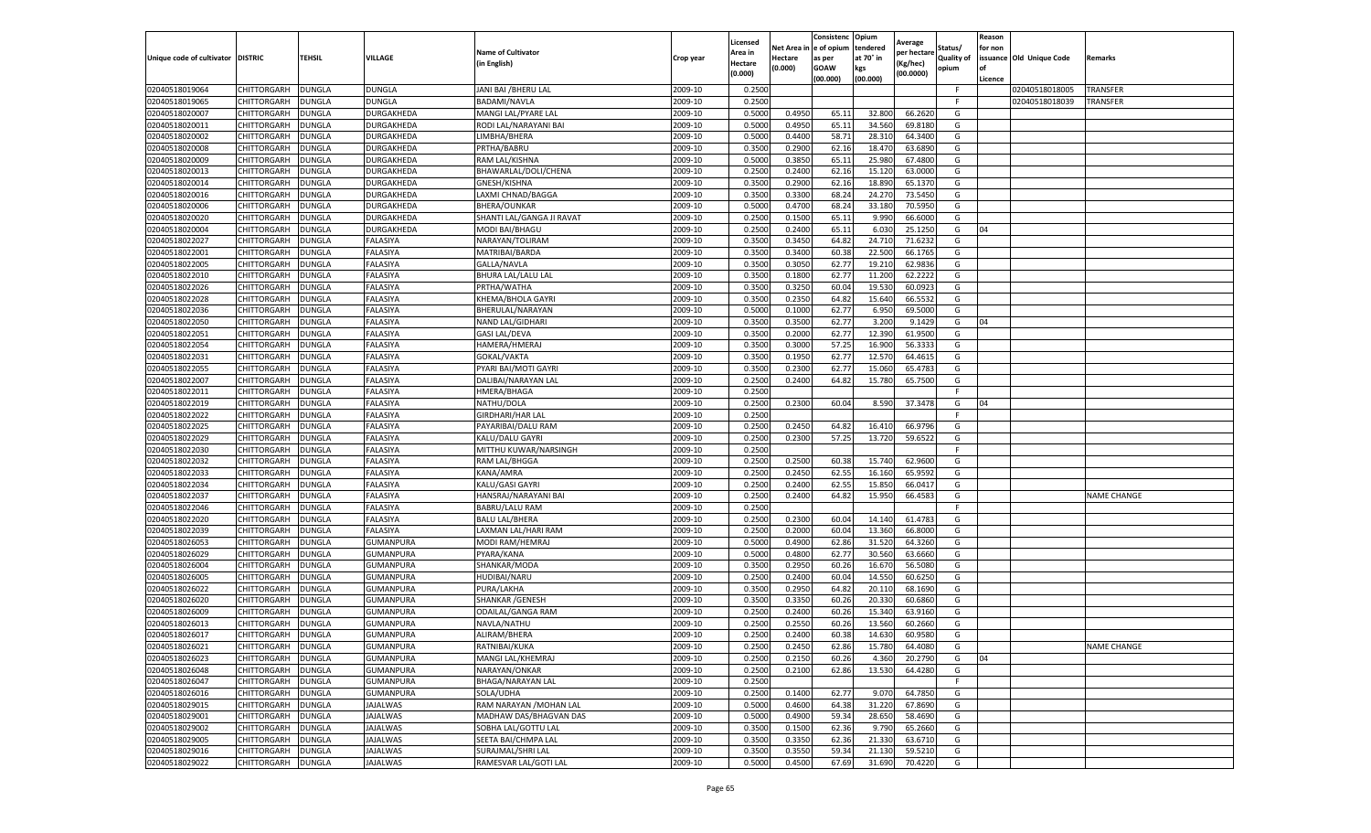|                                   |                            |                                |                          |                                               |                    | Licensed         |                  | Consistenc              | Opium            | Average            |            | Reason  |                                  |                             |
|-----------------------------------|----------------------------|--------------------------------|--------------------------|-----------------------------------------------|--------------------|------------------|------------------|-------------------------|------------------|--------------------|------------|---------|----------------------------------|-----------------------------|
|                                   |                            |                                |                          | <b>Name of Cultivator</b>                     |                    | Area in          |                  | Net Area in le of opium | tendered         | per hectare        | Status/    | for non |                                  |                             |
| Unique code of cultivator DISTRIC |                            | <b>TEHSIL</b>                  | VILLAGE                  | (in English)                                  | Crop year          | Hectare          | Hectare          | as per                  | at 70° in        | Kg/hec)            | Quality of |         | issuance Old Unique Code         | Remarks                     |
|                                   |                            |                                |                          |                                               |                    | (0.000)          | (0.000)          | GOAW                    | kgs              | (00.0000)          | opium      | l of    |                                  |                             |
|                                   |                            |                                |                          |                                               |                    |                  |                  | (00.000)                | (00.000)         |                    | F          | Licence |                                  |                             |
| 02040518019064<br>02040518019065  | CHITTORGARH<br>CHITTORGARH | <b>DUNGLA</b><br>DUNGLA        | DUNGLA<br>DUNGLA         | JANI BAI / BHERU LAL<br><b>BADAMI/NAVLA</b>   | 2009-10<br>2009-10 | 0.2500<br>0.2500 |                  |                         |                  |                    | -F         |         | 02040518018005<br>02040518018039 | <b>TRANSFER</b><br>TRANSFER |
|                                   |                            |                                |                          | MANGI LAL/PYARE LAL                           |                    |                  | 0.4950           |                         |                  |                    |            |         |                                  |                             |
| 02040518020007                    | CHITTORGARH                | DUNGLA                         | DURGAKHEDA               |                                               | 2009-10            | 0.5000           |                  | 65.11                   | 32.800           | 66.262             | G          |         |                                  |                             |
| 02040518020011                    | CHITTORGARH                | <b>DUNGLA</b>                  | DURGAKHEDA               | RODI LAL/NARAYANI BAI                         | 2009-10            | 0.5000           | 0.4950           | 65.11                   | 34.560           | 69.8180            | G          |         |                                  |                             |
| 02040518020002                    | CHITTORGARH                | <b>DUNGLA</b>                  | DURGAKHEDA               | LIMBHA/BHERA                                  | 2009-10            | 0.5000           | 0.4400           | 58.71                   | 28.310           | 64.340<br>63.689   | G<br>G     |         |                                  |                             |
| 02040518020008                    | CHITTORGARH<br>CHITTORGARH | DUNGLA                         | DURGAKHEDA               | PRTHA/BABRU<br>RAM LAL/KISHNA                 | 2009-10<br>2009-10 | 0.3500<br>0.5000 | 0.2900           | 62.16<br>65.11          | 18.470<br>25.980 | 67.480             | G          |         |                                  |                             |
| 02040518020009<br>02040518020013  | CHITTORGARH                | <b>DUNGLA</b>                  | DURGAKHEDA               |                                               |                    |                  | 0.3850           |                         |                  |                    |            |         |                                  |                             |
|                                   | CHITTORGARH                | DUNGLA                         | DURGAKHEDA               | BHAWARLAL/DOLI/CHENA                          | 2009-10<br>2009-10 | 0.2500<br>0.3500 | 0.2400<br>0.2900 | 62.16                   | 15.120<br>18.890 | 63.000<br>65.137   | G<br>G     |         |                                  |                             |
| 02040518020014<br>02040518020016  | CHITTORGARH                | DUNGLA<br><b>DUNGLA</b>        | DURGAKHEDA<br>DURGAKHEDA | GNESH/KISHNA<br>LAXMI CHNAD/BAGGA             | 2009-10            | 0.3500           | 0.3300           | 62.16<br>68.24          | 24.270           | 73.5450            | G          |         |                                  |                             |
| 02040518020006                    |                            |                                | DURGAKHEDA               | BHERA/OUNKAR                                  | 2009-10            | 0.5000           | 0.4700           | 68.24                   | 33.180           | 70.595             | G          |         |                                  |                             |
| 02040518020020                    | CHITTORGARH                | <b>DUNGLA</b>                  |                          |                                               | 2009-10            | 0.2500           | 0.1500           |                         | 9.990            | 66.600             | G          |         |                                  |                             |
| 02040518020004                    | CHITTORGARH<br>CHITTORGARH | DUNGLA                         | DURGAKHEDA<br>DURGAKHEDA | SHANTI LAL/GANGA JI RAVAT<br>MODI BAI/BHAGU   | 2009-10            | 0.2500           | 0.2400           | 65.11<br>65.11          | 6.03             | 25.125             | G          | 04      |                                  |                             |
|                                   |                            | DUNGLA                         |                          |                                               |                    | 0.3500           |                  | 64.82                   |                  |                    |            |         |                                  |                             |
| 02040518022027                    | CHITTORGARH                | DUNGLA                         | FALASIYA                 | NARAYAN/TOLIRAM                               | 2009-10            |                  | 0.345            |                         | 24.710<br>22.500 | 71.623<br>66.1765  | G<br>G     |         |                                  |                             |
| 02040518022001                    | CHITTORGARH                | DUNGLA                         | FALASIYA                 | MATRIBAI/BARDA                                | 2009-10            | 0.3500           | 0.3400           | 60.3                    |                  |                    |            |         |                                  |                             |
| 02040518022005                    | CHITTORGARH                | <b>DUNGLA</b>                  | FALASIYA                 | GALLA/NAVLA                                   | 2009-10            | 0.3500           | 0.3050<br>0.1800 | 62.77                   | 19.210           | 62.983             | G          |         |                                  |                             |
| 02040518022010<br>02040518022026  | CHITTORGARH                | <b>DUNGLA</b>                  | FALASIYA                 | BHURA LAL/LALU LAL                            | 2009-10            | 0.3500           | 0.3250           | 62.7<br>60.04           | 11.200<br>19.530 | 62.2222<br>60.092  | G<br>G     |         |                                  |                             |
|                                   | CHITTORGARH                | DUNGLA                         | FALASIYA                 | PRTHA/WATHA                                   | 2009-10            | 0.3500           |                  |                         |                  | 66.553             |            |         |                                  |                             |
| 02040518022028                    | CHITTORGARH                | DUNGLA                         | FALASIYA                 | KHEMA/BHOLA GAYRI                             | 2009-10            | 0.3500           | 0.2350           | 64.8                    | 15.640           |                    | G          |         |                                  |                             |
| 02040518022036                    | CHITTORGARH<br>CHITTORGARH | DUNGLA                         | FALASIYA                 | BHERULAL/NARAYAN                              | 2009-10<br>2009-10 | 0.5000<br>0.3500 | 0.1000           | 62.77                   | 6.950<br>3.200   | 69.500             | G<br>G     | 04      |                                  |                             |
| 02040518022050                    |                            | DUNGLA                         | FALASIYA                 | NAND LAL/GIDHARI                              |                    |                  | 0.3500           | 62.77                   |                  | 9.1429             | G          |         |                                  |                             |
| 02040518022051                    | CHITTORGARH                | DUNGLA                         | FALASIYA                 | <b>GASI LAL/DEVA</b>                          | 2009-10            | 0.3500<br>0.3500 | 0.2000           | 62.77                   | 12.390           | 61.950             | G          |         |                                  |                             |
| 02040518022054                    | CHITTORGARH<br>CHITTORGARH | <b>DUNGLA</b><br>DUNGLA        | FALASIYA<br>FALASIYA     | HAMERA/HMERAJ<br>GOKAL/VAKTA                  | 2009-10<br>2009-10 | 0.3500           | 0.3000<br>0.1950 | 57.25<br>62.77          | 16.900<br>12.570 | 56.3333<br>64.461  | G          |         |                                  |                             |
| 02040518022031                    | CHITTORGARH                |                                |                          |                                               |                    |                  |                  |                         |                  | 65.478             | G          |         |                                  |                             |
| 02040518022055                    | CHITTORGARH                | DUNGLA                         | FALASIYA                 | PYARI BAI/MOTI GAYRI                          | 2009-10            | 0.3500<br>0.2500 | 0.2300           | 62.77<br>64.82          | 15.060           |                    | G          |         |                                  |                             |
| 02040518022007                    |                            | DUNGLA                         | FALASIYA                 | DALIBAI/NARAYAN LAL                           | 2009-10            |                  | 0.2400           |                         | 15.780           | 65.750             | -F         |         |                                  |                             |
| 02040518022011                    | CHITTORGARH                | DUNGLA                         | FALASIYA<br>FALASIYA     | HMERA/BHAGA                                   | 2009-10<br>2009-10 | 0.2500<br>0.2500 | 0.2300           |                         | 8.590            | 37.347             | G          | 04      |                                  |                             |
| 02040518022019<br>02040518022022  | CHITTORGARH<br>CHITTORGARH | DUNGLA<br><b>DUNGLA</b>        | FALASIYA                 | NATHU/DOLA<br>GIRDHARI/HAR LAL                | 2009-10            | 0.2500           |                  | 60.04                   |                  |                    | F.         |         |                                  |                             |
| 02040518022025                    | CHITTORGARH                | <b>DUNGLA</b>                  | FALASIYA                 | PAYARIBAI/DALU RAM                            | 2009-10            | 0.2500           | 0.2450           | 64.82                   | 16.410           | 66.979             | G          |         |                                  |                             |
| 02040518022029                    | CHITTORGARH                | DUNGLA                         | FALASIYA                 | KALU/DALU GAYRI                               | 2009-10            | 0.2500           | 0.2300           | 57.25                   | 13.720           | 59.652             | G          |         |                                  |                             |
| 02040518022030                    | CHITTORGARH                | DUNGLA                         | FALASIYA                 | MITTHU KUWAR/NARSINGH                         | 2009-10            | 0.2500           |                  |                         |                  |                    | E          |         |                                  |                             |
| 02040518022032                    | CHITTORGARH                | DUNGLA                         | FALASIYA                 | RAM LAL/BHGGA                                 | 2009-10            | 0.2500           | 0.2500           | 60.3                    | 15.740           | 62.960             | G          |         |                                  |                             |
| 02040518022033                    | CHITTORGARH                | DUNGLA                         | FALASIYA                 | KANA/AMRA                                     | 2009-10            | 0.2500           | 0.2450           | 62.5                    | 16.160           | 65.959             | G          |         |                                  |                             |
| 02040518022034                    | CHITTORGARH                | <b>DUNGLA</b>                  | FALASIYA                 | KALU/GASI GAYRI                               | 2009-10            | 0.2500           | 0.2400           | 62.55                   | 15.850           | 66.041             | G          |         |                                  |                             |
| 02040518022037                    | CHITTORGARH                | <b>DUNGLA</b>                  | FALASIYA                 | HANSRAJ/NARAYANI BAI                          | 2009-10            | 0.2500           | 0.2400           | 64.82                   | 15.950           | 66.458             | G          |         |                                  | <b>NAME CHANGE</b>          |
| 02040518022046                    | CHITTORGARH                | DUNGLA                         | FALASIYA                 | BABRU/LALU RAM                                | 2009-10            | 0.2500           |                  |                         |                  |                    |            |         |                                  |                             |
| 02040518022020                    | CHITTORGARH                | DUNGLA                         | FALASIYA                 | BALU LAL/BHERA                                | 2009-10            | 0.2500           | 0.2300           | 60.04                   | 14.140           | 61.478             | G          |         |                                  |                             |
| 02040518022039                    | CHITTORGARH                | DUNGLA                         | FALASIYA                 | LAXMAN LAL/HARI RAM                           | 2009-10            | 0.2500           | 0.2000           | 60.04                   | 13.360           | 66.800             | G          |         |                                  |                             |
| 02040518026053                    | CHITTORGARH                | DUNGLA                         | GUMANPURA                | MODI RAM/HEMRAJ                               | 2009-10            | 0.5000           | 0.4900           | 62.86                   | 31.520           | 64.326             | G          |         |                                  |                             |
| 02040518026029                    | CHITTORGARH                | DUNGLA                         | GUMANPURA                | PYARA/KANA                                    | 2009-10            | 0.5000           |                  | 62.77                   |                  | 63.666             | G          |         |                                  |                             |
| 02040518026004                    | CHITTORGARH                | <b>DUNGLA</b>                  | GUMANPURA                | SHANKAR/MODA                                  | 2009-10            | 0.3500           | 0.4800<br>0.2950 | 60.26                   | 30.560<br>16.670 | 56.508             | G          |         |                                  |                             |
| 02040518026005                    | CHITTORGARH                | DUNGLA                         | GUMANPURA                | HUDIBAI/NARU                                  | 2009-10            | 0.2500           | 0.2400           | 60.04                   | 14.550           | 60.625             | G          |         |                                  |                             |
| 02040518026022                    | CHITTORGARH                | DUNGLA                         | GUMANPURA                | PURA/LAKHA                                    | 2009-10            | 0.3500           | 0.2950           | 64.8                    | 20.110           | 68.169             | G          |         |                                  |                             |
| 02040518026020                    | CHITTORGARH                | DUNGLA                         | GUMANPURA                | SHANKAR / GENESH                              | 2009-10            | 0.3500           | 0.3350           | 60.2                    | 20.330           | 60.686             | G          |         |                                  |                             |
| 02040518026009                    | CHITTORGARH                | DUNGLA                         | GUMANPURA                | ODAILAL/GANGA RAM                             | 2009-10            | 0.2500           | 0.240            | 60.2                    | 15.340           | 63.916             | G          |         |                                  |                             |
| 02040518026013                    | CHITTORGARH                | DUNGLA                         | GUMANPURA                |                                               | 2009-10            | 0.2500           | 0.255            | 60.26                   | 13.560           | 60.266             | G          |         |                                  |                             |
|                                   | CHITTORGARH                |                                |                          | NAVLA/NATHU                                   |                    | 0.2500           | 0.2400           | 60.38                   |                  | 60.9580            | G          |         |                                  |                             |
| 02040518026017                    |                            | <b>DUNGLA</b>                  | GUMANPURA                | ALIRAM/BHERA                                  | 2009-10            |                  |                  |                         | 14.630           |                    |            |         |                                  |                             |
| 02040518026021<br>02040518026023  | CHITTORGARH<br>CHITTORGARH | <b>DUNGLA</b><br><b>DUNGLA</b> | GUMANPURA<br>GUMANPURA   | RATNIBAI/KUKA<br>MANGI LAL/KHEMRAJ            | 2009-10<br>2009-10 | 0.2500<br>0.2500 | 0.2450<br>0.2150 | 62.86<br>60.26          | 15.780<br>4.360  | 64.4080<br>20.2790 | G<br>G     | 04      |                                  | <b>NAME CHANGE</b>          |
| 02040518026048                    | CHITTORGARH                | <b>DUNGLA</b>                  | GUMANPURA                | NARAYAN/ONKAR                                 | 2009-10            | 0.2500           | 0.2100           | 62.86                   | 13.530           | 64.4280            | G          |         |                                  |                             |
| 02040518026047                    |                            |                                | GUMANPURA                |                                               |                    |                  |                  |                         |                  |                    | F.         |         |                                  |                             |
| 02040518026016                    | CHITTORGARH<br>CHITTORGARH | <b>DUNGLA</b><br><b>DUNGLA</b> | GUMANPURA                | BHAGA/NARAYAN LAL<br>SOLA/UDHA                | 2009-10<br>2009-10 | 0.2500<br>0.2500 | 0.1400           | 62.77                   | 9.070            | 64.7850            | G          |         |                                  |                             |
| 02040518029015                    | CHITTORGARH                | <b>DUNGLA</b>                  | JAJALWAS                 | RAM NARAYAN / MOHAN LAL                       | 2009-10            | 0.5000           | 0.4600           | 64.38                   | 31.220           | 67.8690            | G          |         |                                  |                             |
|                                   | CHITTORGARH                |                                |                          |                                               |                    |                  |                  |                         |                  | 58.4690            | G          |         |                                  |                             |
| 02040518029001<br>02040518029002  | CHITTORGARH                | <b>DUNGLA</b>                  | JAJALWAS<br>JAJALWAS     | MADHAW DAS/BHAGVAN DAS<br>SOBHA LAL/GOTTU LAL | 2009-10<br>2009-10 | 0.5000           | 0.4900<br>0.1500 | 59.34                   | 28.650           |                    | G          |         |                                  |                             |
| 02040518029005                    | CHITTORGARH                | <b>DUNGLA</b><br><b>DUNGLA</b> | JAJALWAS                 | SEETA BAI/CHMPA LAL                           | 2009-10            | 0.3500<br>0.3500 | 0.3350           | 62.36<br>62.36          | 9.790<br>21.330  | 65.2660<br>63.6710 | G          |         |                                  |                             |
|                                   |                            |                                |                          |                                               |                    |                  |                  |                         |                  |                    |            |         |                                  |                             |
| 02040518029016                    | CHITTORGARH                | DUNGLA                         | JAJALWAS                 | SURAJMAL/SHRI LAL                             | 2009-10            | 0.3500           | 0.3550           | 59.34                   | 21.130           | 59.5210            | G          |         |                                  |                             |
| 02040518029022                    | CHITTORGARH                | <b>DUNGLA</b>                  | JAJALWAS                 | RAMESVAR LAL/GOTI LAL                         | 2009-10            | 0.5000           | 0.4500           | 67.69                   | 31.690           | 70.4220            | G          |         |                                  |                             |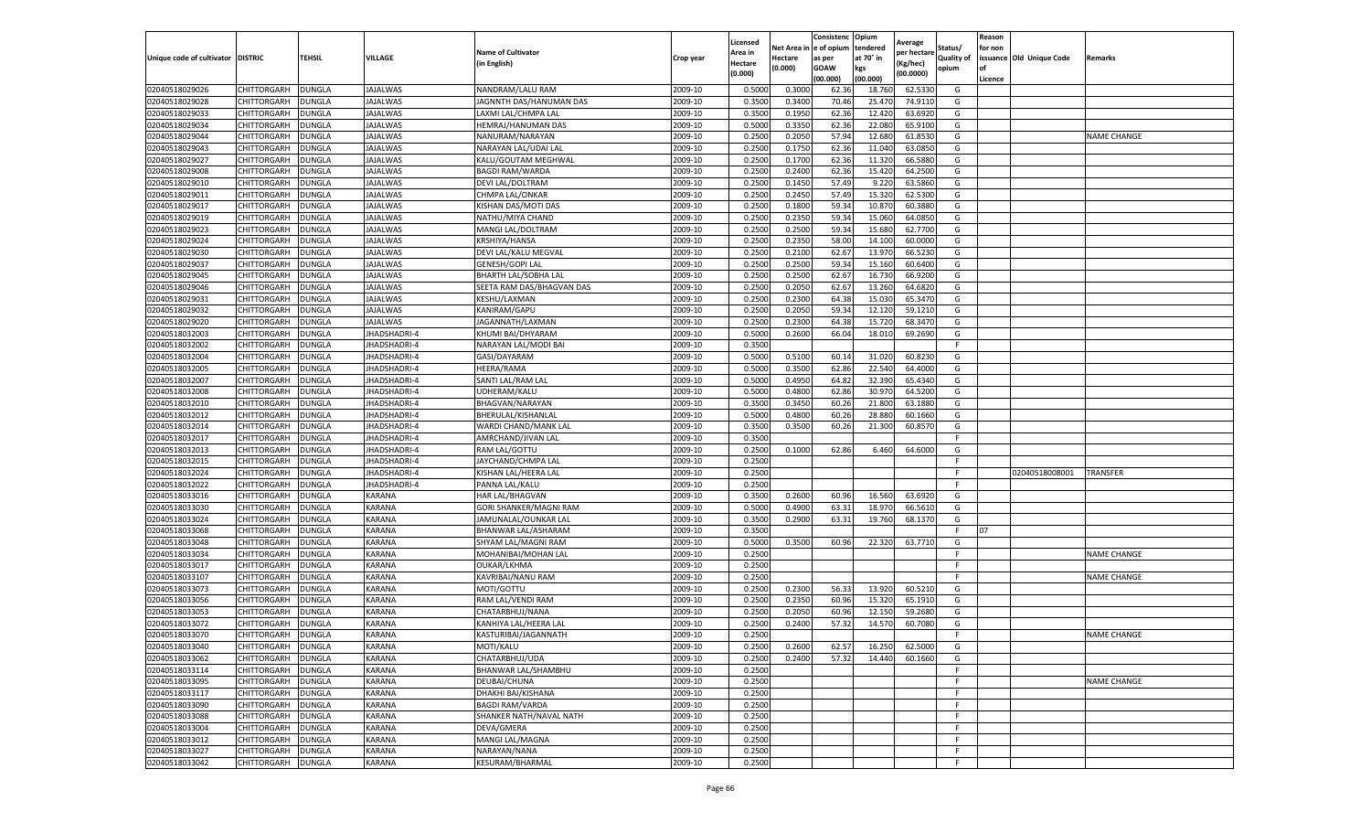|                                  |                                   |               |                     |                                              |                    | Licensed         |         | Consistenc             | Opium     |                        |                   | Reason  |                          |                    |
|----------------------------------|-----------------------------------|---------------|---------------------|----------------------------------------------|--------------------|------------------|---------|------------------------|-----------|------------------------|-------------------|---------|--------------------------|--------------------|
|                                  |                                   |               |                     | <b>Name of Cultivator</b>                    |                    | Area in          |         | Net Area in e of opium | tendered  | Average<br>per hectare | Status/           | for non |                          |                    |
| Unique code of cultivator        | <b>DISTRIC</b>                    | TEHSIL        | VILLAGE             | in English)                                  | Crop year          | Hectare          | Hectare | as per                 | at 70° in | (Kg/hec                | <b>Quality of</b> |         | issuance Old Unique Code | <b>Remarks</b>     |
|                                  |                                   |               |                     |                                              |                    | (0.000)          | (0.000) | <b>GOAW</b>            | kgs       | (00.0000)              | opium             |         |                          |                    |
|                                  |                                   |               |                     |                                              |                    |                  |         | (00.000)               | (00.000)  |                        |                   | Licence |                          |                    |
| 02040518029026                   | CHITTORGARH                       | <b>DUNGLA</b> | <b>JAJALWAS</b>     | NANDRAM/LALU RAM                             | 2009-10            | 0.5000           | 0.3000  | 62.36                  | 18.760    | 62.5330                | G                 |         |                          |                    |
| 02040518029028                   | CHITTORGARH                       | DUNGLA        | <b>JAJALWAS</b>     | JAGNNTH DAS/HANUMAN DAS                      | 2009-10            | 0.3500           | 0.3400  | 70.46                  | 25.47     | 74.9110                | G                 |         |                          |                    |
| 02040518029033                   | CHITTORGARH                       | <b>DUNGLA</b> | JAJALWAS            | LAXMI LAL/CHMPA LAL                          | 2009-10            | 0.3500           | 0.1950  | 62.36                  | 12.42     | 63.6920                | G                 |         |                          |                    |
| 02040518029034                   | CHITTORGARH                       | <b>DUNGLA</b> | JAJALWAS            | HEMRAJ/HANUMAN DAS                           | 2009-10            | 0.5000           | 0.3350  | 62.36                  | 22.080    | 65.9100                | G                 |         |                          |                    |
| 02040518029044                   | CHITTORGARH                       | <b>DUNGLA</b> | JAJALWAS            | NANURAM/NARAYAN                              | 2009-10            | 0.2500           | 0.2050  | 57.94                  | 12.68     | 61.8530                | G                 |         |                          | <b>NAME CHANGE</b> |
| 02040518029043                   | CHITTORGARH                       | DUNGLA        | <b>JAJALWAS</b>     | NARAYAN LAL/UDAI LAL                         | 2009-10            | 0.2500           | 0.1750  | 62.36                  | 11.04     | 63.0850                | G                 |         |                          |                    |
| 02040518029027                   | CHITTORGARH                       | <b>DUNGLA</b> | JAJALWAS            | KALU/GOUTAM MEGHWAL                          | 2009-10            | 0.2500           | 0.1700  | 62.36                  | 11.320    | 66.5880                | G                 |         |                          |                    |
| 02040518029008                   | CHITTORGARH                       | DUNGLA        | <b>JAJALWAS</b>     | <b>BAGDI RAM/WARDA</b>                       | 2009-10            | 0.2500           | 0.2400  | 62.36                  | 15.420    | 64.2500                | G                 |         |                          |                    |
| 02040518029010                   | CHITTORGARH                       | DUNGLA        | JAJALWAS            | <b>DEVI LAL/DOLTRAM</b>                      | 2009-10            | 0.2500           | 0.1450  | 57.49                  | 9.220     | 63.5860                | G                 |         |                          |                    |
| 02040518029011                   | CHITTORGARH                       | <b>DUNGLA</b> | <b>JAJALWAS</b>     | CHMPA LAL/ONKAR                              | 2009-10            | 0.2500           | 0.2450  | 57.49                  | 15.320    | 62.5300                | G                 |         |                          |                    |
| 02040518029017                   | CHITTORGARH                       | <b>DUNGLA</b> | JAJALWAS            | KISHAN DAS/MOTI DAS                          | 2009-10            | 0.2500           | 0.1800  | 59.34                  | 10.87     | 60.3880                | G                 |         |                          |                    |
| 02040518029019                   | CHITTORGARH                       | <b>DUNGLA</b> | JAJALWAS            | NATHU/MIYA CHAND                             | 2009-10            | 0.2500           | 0.2350  | 59.34                  | 15.06     | 64.0850                | G                 |         |                          |                    |
| 02040518029023                   | CHITTORGARH                       | DUNGLA        | <b>JAJALWAS</b>     | MANGI LAL/DOLTRAM                            | 2009-10            | 0.2500           | 0.2500  | 59.34                  | 15.68     | 62.7700                | G                 |         |                          |                    |
| 02040518029024                   | CHITTORGARH                       | DUNGLA        | JAJALWAS            | KRSHIYA/HANSA                                | 2009-10            | 0.2500           | 0.2350  | 58.00                  | 14.10     | 60.0000                | G                 |         |                          |                    |
| 02040518029030                   | CHITTORGARH                       | DUNGLA        | JAJALWAS            | DEVI LAL/KALU MEGVAL                         | 2009-10            | 0.2500           | 0.2100  | 62.67                  | 13.97     | 66.5230                | G                 |         |                          |                    |
| 02040518029037                   | CHITTORGARH                       | <b>DUNGLA</b> | <b>JAJALWAS</b>     | GENESH/GOPI LAL                              | 2009-10            | 0.2500           | 0.2500  | 59.34                  | 15.160    | 60.6400                | G                 |         |                          |                    |
| 02040518029045                   | CHITTORGARH                       | <b>DUNGLA</b> | JAJALWAS            | BHARTH LAL/SOBHA LAL                         | 2009-10            | 0.2500           | 0.2500  | 62.67                  | 16.73     | 66.9200                | G                 |         |                          |                    |
| 02040518029046                   | CHITTORGARH                       | <b>DUNGLA</b> | JAJALWAS            | SEETA RAM DAS/BHAGVAN DAS                    | 2009-10            | 0.2500           | 0.2050  | 62.67                  | 13.260    | 64.6820                | G                 |         |                          |                    |
| 02040518029031                   | CHITTORGARH                       | DUNGLA        | JAJALWAS            | KESHU/LAXMAN                                 | 2009-10            | 0.2500           | 0.2300  | 64.38                  | 15.03     | 65.3470                | G                 |         |                          |                    |
| 02040518029032                   | CHITTORGARH                       | DUNGLA        | JAJALWAS            | KANIRAM/GAPU                                 | 2009-10            | 0.2500           | 0.2050  | 59.34                  | 12.12     | 59.1210                | G                 |         |                          |                    |
| 02040518029020                   | CHITTORGARH                       | <b>DUNGLA</b> | <b>JAJALWAS</b>     | JAGANNATH/LAXMAN                             | 2009-10            | 0.2500           | 0.2300  | 64.38                  | 15.720    | 68.3470                | G                 |         |                          |                    |
| 02040518032003                   | CHITTORGARH                       | DUNGLA        | JHADSHADRI-4        | KHUMI BAI/DHYARAM                            | 2009-10            | 0.5000           | 0.2600  | 66.04                  | 18.01     | 69.2690                | G                 |         |                          |                    |
| 02040518032002                   | CHITTORGARH                       | <b>DUNGLA</b> | JHADSHADRI-4        | NARAYAN LAL/MODI BAI                         | 2009-10            | 0.3500           |         |                        |           |                        | F.                |         |                          |                    |
| 02040518032004                   | CHITTORGARH                       | DUNGLA        | <b>JHADSHADRI-4</b> | GASI/DAYARAM                                 | 2009-10            | 0.5000           | 0.5100  | 60.14                  | 31.02     | 60.8230                | G                 |         |                          |                    |
| 02040518032005                   | CHITTORGARH                       | DUNGLA        | JHADSHADRI-4        | HEERA/RAMA                                   | 2009-10            | 0.5000           | 0.3500  | 62.86                  | 22.54     | 64.4000                | G                 |         |                          |                    |
| 02040518032007                   | CHITTORGARH                       | DUNGLA        | JHADSHADRI-4        | SANTI LAL/RAM LAL                            | 2009-10            | 0.5000           | 0.4950  | 64.82                  | 32.390    | 65.4340                | G                 |         |                          |                    |
| 02040518032008                   | CHITTORGARH                       | DUNGLA        | JHADSHADRI-4        | UDHERAM/KALU                                 | 2009-10            | 0.5000           | 0.4800  | 62.86                  | 30.97     | 64.5200                | G                 |         |                          |                    |
| 02040518032010                   | CHITTORGARH                       | <b>DUNGLA</b> | JHADSHADRI-4        | BHAGVAN/NARAYAN                              | 2009-10            | 0.3500           | 0.3450  | 60.26                  | 21.800    | 63.1880                | G                 |         |                          |                    |
| 02040518032012                   | CHITTORGARH                       | <b>DUNGLA</b> | JHADSHADRI-4        | BHERULAL/KISHANLAL                           | 2009-10            | 0.5000           | 0.4800  | 60.26                  | 28.880    | 60.1660                | G                 |         |                          |                    |
| 02040518032014                   | CHITTORGARH                       | <b>DUNGLA</b> | JHADSHADRI-4        | WARDI CHAND/MANK LAL                         | 2009-10            | 0.3500           | 0.3500  | 60.26                  | 21.300    | 60.8570                | G                 |         |                          |                    |
| 02040518032017                   | CHITTORGARH                       | DUNGLA        | <b>IHADSHADRI-4</b> | AMRCHAND/JIVAN LAL                           | 2009-10            | 0.3500           |         |                        |           |                        | F                 |         |                          |                    |
| 02040518032013                   | CHITTORGARH                       | DUNGLA        | JHADSHADRI-4        | RAM LAL/GOTTU                                | 2009-10            | 0.2500           | 0.1000  | 62.86                  | 6.460     | 64.6000                | G                 |         |                          |                    |
| 02040518032015                   | CHITTORGARH                       | DUNGLA        | JHADSHADRI-4        | JAYCHAND/CHMPA LAL                           | 2009-10            | 0.2500           |         |                        |           |                        | F.                |         |                          |                    |
| 02040518032024                   | CHITTORGARH                       | DUNGLA        | JHADSHADRI-4        | KISHAN LAL/HEERA LAL                         | 2009-10            | 0.2500           |         |                        |           |                        | F.                |         | 02040518008001           | TRANSFER           |
| 02040518032022                   | CHITTORGARH                       | <b>DUNGLA</b> | JHADSHADRI-4        | PANNA LAL/KALU                               | 2009-10            | 0.2500           |         |                        |           |                        | F                 |         |                          |                    |
| 02040518033016                   | CHITTORGARH                       | <b>DUNGLA</b> | KARANA              | HAR LAL/BHAGVAN                              | 2009-10            | 0.3500           | 0.2600  | 60.96                  | 16.560    | 63.6920                | G                 |         |                          |                    |
| 02040518033030                   | CHITTORGARH                       | <b>DUNGLA</b> | KARANA              | GORI SHANKER/MAGNI RAM                       | 2009-10            | 0.5000           | 0.4900  | 63.31                  | 18.97     | 66.5610                | G                 |         |                          |                    |
| 02040518033024                   | CHITTORGARH                       | DUNGLA        | KARANA              | JAMUNALAL/OUNKAR LAL                         | 2009-10            | 0.3500           | 0.2900  | 63.31                  | 19.760    | 68.1370                | G                 |         |                          |                    |
| 02040518033068                   | CHITTORGARH                       | DUNGLA        | KARANA              | BHANWAR LAL/ASHARAM                          | 2009-10            | 0.3500           |         |                        |           |                        | F.                | 07      |                          |                    |
| 02040518033048                   | CHITTORGARH                       | <b>DUNGLA</b> | KARANA              | SHYAM LAL/MAGNI RAM                          | 2009-10            | 0.5000           | 0.3500  | 60.96                  | 22.320    | 63.7710                | G                 |         |                          |                    |
| 02040518033034                   | CHITTORGARH                       | DUNGLA        | KARANA              | MOHANIBAI/MOHAN LAL                          | 2009-10            | 0.2500           |         |                        |           |                        | F.                |         |                          | <b>NAME CHANGE</b> |
| 02040518033017                   | CHITTORGARH                       | <b>DUNGLA</b> | KARANA              | OUKAR/LKHMA                                  | 2009-10            | 0.2500           |         |                        |           |                        | F                 |         |                          |                    |
| 02040518033107                   | CHITTORGARH                       | DUNGLA        | KARANA              | KAVRIBAI/NANU RAM                            | 2009-10            | 0.2500           |         |                        |           |                        | F                 |         |                          | <b>NAME CHANGE</b> |
| 02040518033073                   | CHITTORGARH                       | <b>DUNGLA</b> | KARANA              | MOTI/GOTTU                                   | 2009-10            | 0.2500           | 0.2300  | 56.33                  | 13.92     | 60.5210                | G                 |         |                          |                    |
| 02040518033056                   | <b>CHITTORGARH</b>                | <b>DUNGLA</b> | KARANA              | RAM LAL/VENDI RAM                            | 2009-10            | 0.2500           | 0.2350  | 60.96                  | 15.320    | 65.1910                | G                 |         |                          |                    |
| 02040518033053                   | CHITTORGARH                       | DUNGLA        | KARANA              | CHATARBHUJ/NANA                              | 2009-10            | 0.2500           | 0.2050  | 60.96                  | 12.15     | 59.2680                | G                 |         |                          |                    |
| 02040518033072                   | CHITTORGARH                       | DUNGLA        | KARANA              | KANHIYA LAL/HEERA LAL                        | 2009-10            | 0.2500           | 0.2400  | 57.32                  | 14.57     | 60.7080                | G                 |         |                          |                    |
| 02040518033070                   | CHITTORGARH                       | <b>DUNGLA</b> | KARANA              | KASTURIBAI/JAGANNATH                         | 2009-10            | 0.2500           |         |                        |           |                        | F                 |         |                          | <b>NAME CHANGE</b> |
| 02040518033040                   | <b>CHITTORGARH</b>                | <b>DUNGLA</b> | KARANA              | MOTI/KALU                                    | 2009-10            | 0.2500           | 0.2600  | 62.57                  | 16.250    | 62.5000                | G                 |         |                          |                    |
| 02040518033062                   | <b>CHITTORGARH</b>                | <b>DUNGLA</b> | KARANA              | CHATARBHUJ/UDA                               | 2009-10            | 0.2500           | 0.2400  | 57.32                  | 14.440    | 60.1660                | G                 |         |                          |                    |
|                                  |                                   |               |                     |                                              | 2009-10            | 0.2500           |         |                        |           |                        | F.                |         |                          |                    |
| 02040518033114                   | CHITTORGARH                       | <b>DUNGLA</b> | KARANA<br>KARANA    | BHANWAR LAL/SHAMBHU                          | 2009-10            |                  |         |                        |           |                        | F                 |         |                          |                    |
| 02040518033095                   | CHITTORGARH<br><b>CHITTORGARH</b> | <b>DUNGLA</b> | KARANA              | DEUBAI/CHUNA                                 |                    | 0.2500           |         |                        |           |                        | F                 |         |                          | <b>NAME CHANGE</b> |
| 02040518033117                   |                                   | <b>DUNGLA</b> | KARANA              | DHAKHI BAI/KISHANA<br><b>BAGDI RAM/VARDA</b> | 2009-10<br>2009-10 | 0.2500<br>0.2500 |         |                        |           |                        | F.                |         |                          |                    |
| 02040518033090                   | <b>CHITTORGARH</b>                | <b>DUNGLA</b> |                     |                                              |                    |                  |         |                        |           |                        | F                 |         |                          |                    |
| 02040518033088                   | CHITTORGARH                       | <b>DUNGLA</b> | KARANA              | SHANKER NATH/NAVAL NATH                      | 2009-10            | 0.2500           |         |                        |           |                        | F                 |         |                          |                    |
| 02040518033004<br>02040518033012 | CHITTORGARH                       | <b>DUNGLA</b> | KARANA              | DEVA/GMERA                                   | 2009-10<br>2009-10 | 0.2500<br>0.2500 |         |                        |           |                        | F.                |         |                          |                    |
|                                  | CHITTORGARH                       | <b>DUNGLA</b> | KARANA              | MANGI LAL/MAGNA                              |                    |                  |         |                        |           |                        |                   |         |                          |                    |
| 02040518033027                   | CHITTORGARH                       | DUNGLA        | KARANA              | NARAYAN/NANA                                 | 2009-10            | 0.2500           |         |                        |           |                        | F.                |         |                          |                    |
| 02040518033042                   | <b>CHITTORGARH</b>                | <b>DUNGLA</b> | <b>KARANA</b>       | <b>KESURAM/BHARMAL</b>                       | 2009-10            | 0.2500           |         |                        |           |                        | F.                |         |                          |                    |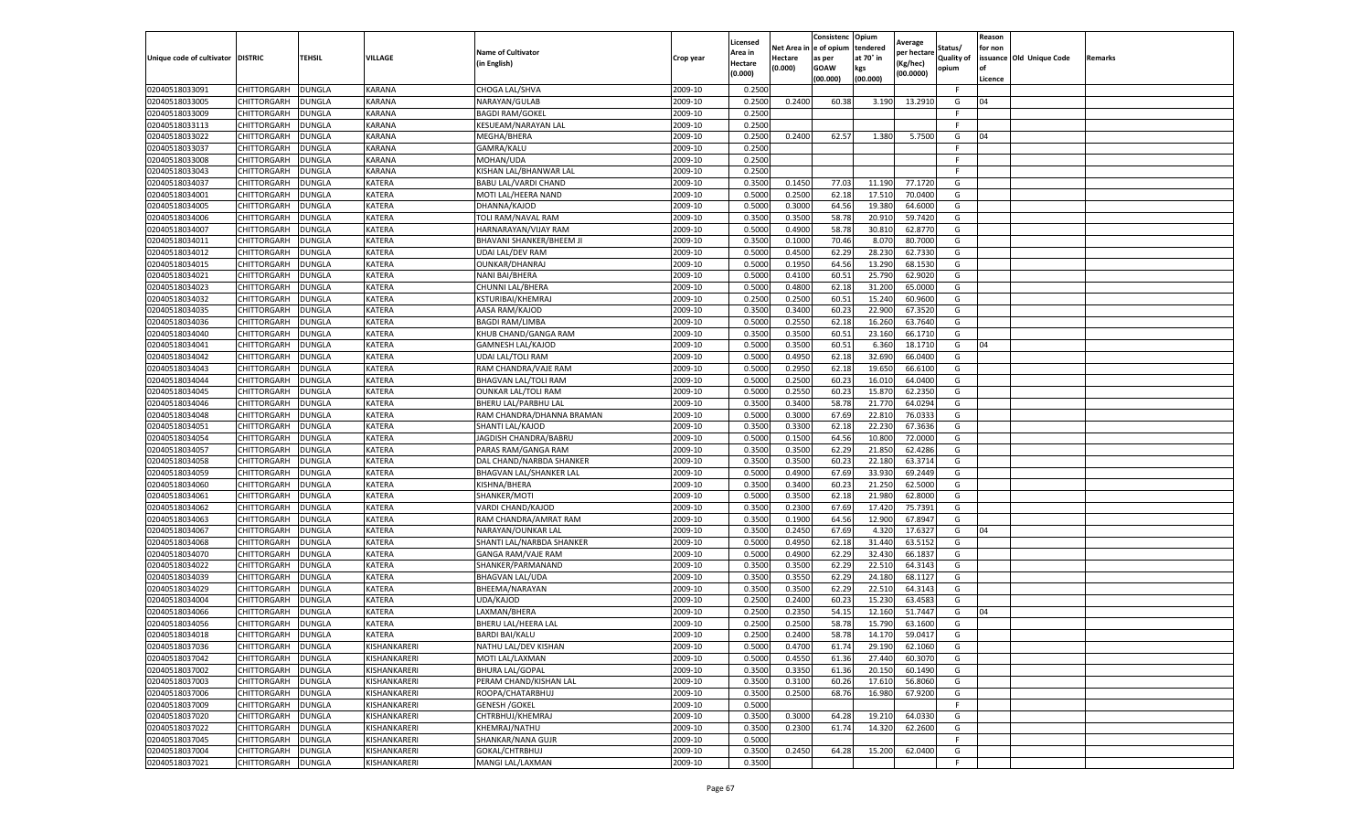|                                   |                            |                                |                  |                                               |                    | Licensed                  |                       | Consistenc Opium     |                       | Average              |                              | Reason  |                          |         |
|-----------------------------------|----------------------------|--------------------------------|------------------|-----------------------------------------------|--------------------|---------------------------|-----------------------|----------------------|-----------------------|----------------------|------------------------------|---------|--------------------------|---------|
| Unique code of cultivator DISTRIC |                            | <b>TEHSIL</b>                  | VILLAGE          | <b>Name of Cultivator</b>                     | Crop year          | Area in                   | Net Area i<br>Hectare | e of opium<br>as per | tendered<br>at 70° in | per hectare          | Status/<br><b>Quality of</b> | for non | issuance Old Unique Code | Remarks |
|                                   |                            |                                |                  | in English)                                   |                    | <b>Hectare</b><br>(0.000) | (0.000)               | <b>GOAW</b>          | kgs                   | Kg/hec)<br>(00.0000) | opium                        | of      |                          |         |
|                                   |                            |                                |                  |                                               |                    |                           |                       | (00.000)             | (00.000)              |                      |                              | Licence |                          |         |
| 02040518033091                    | CHITTORGARH                | DUNGLA                         | KARANA           | CHOGA LAL/SHVA                                | 2009-10            | 0.2500                    |                       |                      |                       |                      | F.                           |         |                          |         |
| 02040518033005                    | CHITTORGARH                | <b>DUNGLA</b>                  | KARANA           | NARAYAN/GULAB                                 | 2009-10            | 0.2500                    | 0.2400                | 60.38                | 3.190                 | 13.2910              | G                            | 04      |                          |         |
| 02040518033009                    | CHITTORGARH                | <b>DUNGLA</b>                  | KARANA           | <b>BAGDI RAM/GOKEL</b>                        | 2009-10            | 0.2500                    |                       |                      |                       |                      | F                            |         |                          |         |
| 02040518033113                    | CHITTORGARH                | <b>DUNGLA</b>                  | KARANA           | KESUEAM/NARAYAN LAL                           | 2009-10            | 0.2500                    |                       |                      |                       |                      | F.                           |         |                          |         |
| 02040518033022                    | CHITTORGARH                | <b>DUNGLA</b>                  | KARANA           | MEGHA/BHERA                                   | 2009-10            | 0.2500                    | 0.2400                | 62.57                | 1.380                 | 5.7500               | G                            | 04      |                          |         |
| 02040518033037                    | CHITTORGARH                | DUNGLA                         | KARANA           | GAMRA/KALU                                    | 2009-10            | 0.2500                    |                       |                      |                       |                      | F                            |         |                          |         |
| 02040518033008                    | CHITTORGARH                | DUNGLA                         | KARANA           | MOHAN/UDA                                     | 2009-10            | 0.2500                    |                       |                      |                       |                      | F.                           |         |                          |         |
| 02040518033043                    | CHITTORGARH                | DUNGLA                         | KARANA           | KISHAN LAL/BHANWAR LAL                        | 2009-10            | 0.2500                    |                       |                      |                       |                      | F.                           |         |                          |         |
| 02040518034037<br>02040518034001  | CHITTORGARH                | <b>DUNGLA</b>                  | KATERA           | <b>BABU LAL/VARDI CHAND</b>                   | 2009-10            | 0.3500                    | 0.1450                | 77.03                | 11.190                | 77.1720              | G                            |         |                          |         |
| 02040518034005                    | CHITTORGARH<br>CHITTORGARH | DUNGLA<br><b>DUNGLA</b>        | KATERA<br>KATERA | MOTI LAL/HEERA NAND<br>DHANNA/KAJOD           | 2009-10<br>2009-10 | 0.5000<br>0.5000          | 0.2500<br>0.3000      | 62.18<br>64.56       | 17.51<br>19.380       | 70.0400<br>64.6000   | G<br>G                       |         |                          |         |
| 02040518034006                    | CHITTORGARH                | <b>DUNGLA</b>                  | KATERA           |                                               | 2009-10            | 0.3500                    | 0.3500                | 58.78                |                       | 59.7420              | G                            |         |                          |         |
|                                   |                            |                                | KATERA           | TOLI RAM/NAVAL RAM<br>HARNARAYAN/VIJAY RAM    | 2009-10            | 0.5000                    | 0.4900                | 58.78                | 20.91<br>30.81        | 62.8770              |                              |         |                          |         |
| 02040518034007                    | CHITTORGARH                | DUNGLA                         | KATERA           |                                               | 2009-10            |                           | 0.1000                |                      |                       |                      | G                            |         |                          |         |
| 02040518034011                    | CHITTORGARH                | <b>DUNGLA</b>                  |                  | BHAVANI SHANKER/BHEEM JI                      |                    | 0.3500                    |                       | 70.46                | 8.07                  | 80.7000              | G                            |         |                          |         |
| 02040518034012                    | CHITTORGARH                | DUNGLA                         | KATERA           | UDAI LAL/DEV RAM                              | 2009-10            | 0.5000                    | 0.4500                | 62.29                | 28.23                 | 62.7330              | G                            |         |                          |         |
| 02040518034015                    | CHITTORGARH                | <b>DUNGLA</b>                  | KATERA<br>KATERA | OUNKAR/DHANRAJ                                | 2009-10            | 0.5000                    | 0.1950<br>0.4100      | 64.56<br>60.51       | 13.290                | 68.1530<br>62.9020   | G<br>G                       |         |                          |         |
| 02040518034021                    | CHITTORGARH                | DUNGLA                         |                  | NANI BAI/BHERA                                | 2009-10            | 0.5000                    |                       |                      | 25.790                |                      |                              |         |                          |         |
| 02040518034023                    | CHITTORGARH                | DUNGLA                         | KATERA           | CHUNNI LAL/BHERA                              | 2009-10            | 0.5000                    | 0.4800                | 62.18                | 31.200                | 65.0000              | G                            |         |                          |         |
| 02040518034032                    | CHITTORGARH                | <b>DUNGLA</b>                  | KATERA           | KSTURIBAI/KHEMRA.                             | 2009-10            | 0.2500                    | 0.2500                | 60.51                | 15.24                 | 60.9600              | G                            |         |                          |         |
| 02040518034035                    | CHITTORGARH                | DUNGLA                         | KATERA           | AASA RAM/KAJOD<br><b>BAGDI RAM/LIMBA</b>      | 2009-10            | 0.3500                    | 0.3400                | 60.23                | 22.90                 | 67.3520              | G                            |         |                          |         |
| 02040518034036                    | CHITTORGARH                | <b>DUNGLA</b>                  | KATERA           |                                               | 2009-10            | 0.5000                    | 0.2550                | 62.18                | 16.260                | 63.7640              | G                            |         |                          |         |
| 02040518034040                    | CHITTORGARH                | <b>DUNGLA</b>                  | KATERA           | KHUB CHAND/GANGA RAM                          | 2009-10            | 0.3500                    | 0.3500                | 60.51                | 23.160                | 66.1710              | G                            |         |                          |         |
| 02040518034041<br>02040518034042  | CHITTORGARH<br>CHITTORGARH | <b>DUNGLA</b>                  | KATERA<br>KATERA | GAMNESH LAL/KAJOD                             | 2009-10<br>2009-10 | 0.5000                    | 0.3500                | 60.51<br>62.18       | 6.360                 | 18.1710<br>66.0400   | G                            | 04      |                          |         |
|                                   |                            | DUNGLA                         |                  | UDAI LAL/TOLI RAM                             |                    | 0.5000                    | 0.4950                |                      | 32.690                |                      | G                            |         |                          |         |
| 02040518034043                    | CHITTORGARH                | DUNGLA                         | KATERA           | RAM CHANDRA/VAJE RAM                          | 2009-10            | 0.5000                    | 0.2950                | 62.18                | 19.65                 | 66.6100              | G                            |         |                          |         |
| 02040518034044                    | CHITTORGARH                | DUNGLA                         | KATERA           | <b>BHAGVAN LAL/TOLI RAM</b>                   | 2009-10            | 0.5000                    | 0.2500                | 60.23                | 16.01                 | 64.0400              | G                            |         |                          |         |
| 02040518034045<br>02040518034046  | CHITTORGARH                | DUNGLA                         | KATERA<br>KATERA | <b>OUNKAR LAL/TOLI RAM</b>                    | 2009-10<br>2009-10 | 0.5000<br>0.3500          | 0.2550<br>0.3400      | 60.23<br>58.78       | 15.87<br>21.770       | 62.2350<br>64.0294   | G<br>G                       |         |                          |         |
| 02040518034048                    | CHITTORGARH<br>CHITTORGARH | <b>DUNGLA</b><br><b>DUNGLA</b> | KATERA           | BHERU LAL/PARBHU LAL                          | 2009-10            | 0.5000                    | 0.3000                | 67.69                | 22.81                 | 76.033               | G                            |         |                          |         |
| 02040518034051                    | CHITTORGARH                | DUNGLA                         | KATERA           | RAM CHANDRA/DHANNA BRAMAN<br>SHANTI LAL/KAJOD | 2009-10            | 0.3500                    | 0.3300                | 62.18                | 22.23                 | 67.3636              | G                            |         |                          |         |
| 02040518034054                    | CHITTORGARH                | DUNGLA                         | KATERA           | JAGDISH CHANDRA/BABRU                         | 2009-10            | 0.5000                    | 0.1500                | 64.56                | 10.80                 | 72.0000              | G                            |         |                          |         |
| 02040518034057                    | CHITTORGARH                | DUNGLA                         | KATERA           | PARAS RAM/GANGA RAM                           | 2009-10            | 0.3500                    | 0.3500                | 62.29                | 21.85                 | 62.4286              | G                            |         |                          |         |
| 02040518034058                    | CHITTORGARH                | <b>DUNGLA</b>                  | KATERA           | DAL CHAND/NARBDA SHANKER                      | 2009-10            | 0.3500                    | 0.3500                | 60.23                | 22.180                | 63.3714              | G                            |         |                          |         |
| 02040518034059                    | CHITTORGARH                | <b>DUNGLA</b>                  | KATERA           | BHAGVAN LAL/SHANKER LAL                       | 2009-10            | 0.5000                    | 0.4900                | 67.69                | 33.93                 | 69.2449              | G                            |         |                          |         |
| 02040518034060                    | CHITTORGARH                | <b>DUNGLA</b>                  | KATERA           | KISHNA/BHERA                                  | 2009-10            | 0.3500                    | 0.3400                | 60.23                | 21.250                | 62.5000              | G                            |         |                          |         |
| 02040518034061                    | CHITTORGARH                | DUNGLA                         | KATERA           | SHANKER/MOTI                                  | 2009-10            | 0.5000                    | 0.3500                | 62.18                | 21.98                 | 62.8000              | G                            |         |                          |         |
| 02040518034062                    | CHITTORGARH                | <b>DUNGLA</b>                  | KATERA           | VARDI CHAND/KAJOD                             | 2009-10            | 0.3500                    | 0.2300                | 67.69                | 17.42                 | 75.7391              | G                            |         |                          |         |
| 02040518034063                    | CHITTORGARH                | DUNGLA                         | KATERA           | RAM CHANDRA/AMRAT RAM                         | 2009-10            | 0.3500                    | 0.1900                | 64.56                | 12.900                | 67.8947              | G                            |         |                          |         |
| 02040518034067                    | CHITTORGARH                | DUNGLA                         | KATERA           | NARAYAN/OUNKAR LAL                            | 2009-10            | 0.3500                    | 0.2450                | 67.69                | 4.320                 | 17.6327              | G                            | 04      |                          |         |
| 02040518034068                    | CHITTORGARH                | <b>DUNGLA</b>                  | KATERA           | SHANTI LAL/NARBDA SHANKER                     | 2009-10            | 0.5000                    | 0.4950                | 62.18                | 31.440                | 63.5152              | G                            |         |                          |         |
| 02040518034070                    | <b>CHITTORGARH</b>         | <b>DUNGLA</b>                  | KATERA           | GANGA RAM/VAJE RAM                            | 2009-10            | 0.5000                    | 0.4900                | 62.29                | 32.430                | 66.1837              | G                            |         |                          |         |
| 02040518034022                    | CHITTORGARH                | DUNGLA                         | KATERA           | SHANKER/PARMANAND                             | 2009-10            | 0.3500                    | 0.3500                | 62.29                | 22.51                 | 64.3143              | G                            |         |                          |         |
| 02040518034039                    | CHITTORGARH                | DUNGLA                         | KATERA           | <b>BHAGVAN LAL/UDA</b>                        | 2009-10            | 0.3500                    | 0.3550                | 62.29                | 24.18                 | 68.1127              | G                            |         |                          |         |
| 02040518034029                    | CHITTORGARH                | <b>DUNGLA</b>                  | KATERA           | BHEEMA/NARAYAN                                | 2009-10            | 0.3500                    | 0.3500                | 62.29                | 22.510                | 64.3143              | G                            |         |                          |         |
| 02040518034004                    | CHITTORGARH                | DUNGLA                         | KATERA           | UDA/KAJOD                                     | 2009-10            | 0.2500                    | 0.2400                | 60.23                | 15.23                 | 63.4583              | G                            |         |                          |         |
| 02040518034066                    | CHITTORGARH                | DUNGLA                         | KATERA           | LAXMAN/BHERA                                  | 2009-10            | 0.2500                    | 0.2350                | 54.15                | 12.16                 | 51.7447              | G                            | 04      |                          |         |
| 02040518034056                    | CHITTORGARH                | <b>DUNGLA</b>                  | KATERA           | BHERU LAL/HEERA LAL                           | 2009-10            | 0.2500                    | 0.2500                | 58.78                | 15.790                | 63.1600              | G                            |         |                          |         |
| 02040518034018                    | CHITTORGARH                | <b>DUNGLA</b>                  | KATERA           | <b>BARDI BAI/KALU</b>                         | 2009-10            | 0.2500                    | 0.2400                | 58.78                | 14.170                | 59.0417              | G                            |         |                          |         |
| 02040518037036                    | CHITTORGARH                | <b>DUNGLA</b>                  | KISHANKARERI     | NATHU LAL/DEV KISHAN                          | 2009-10            | 0.5000                    | 0.4700                | 61.74                | 29.190                | 62.1060              | G                            |         |                          |         |
| 02040518037042                    | <b>CHITTORGARH</b>         | <b>DUNGLA</b>                  | KISHANKARERI     | MOTI LAL/LAXMAN                               | 2009-10            | 0.5000                    | 0.4550                | 61.36                | 27.440                | 60.3070              | G                            |         |                          |         |
| 02040518037002                    | <b>CHITTORGARH</b>         | <b>DUNGLA</b>                  | KISHANKARERI     | <b>BHURA LAL/GOPAL</b>                        | 2009-10            | 0.3500                    | 0.3350                | 61.36                | 20.150                | 60.1490              | G                            |         |                          |         |
| 02040518037003                    | <b>CHITTORGARH</b>         | <b>DUNGLA</b>                  | KISHANKARERI     | PERAM CHAND/KISHAN LAL                        | 2009-10            | 0.3500                    | 0.3100                | 60.26                | 17.610                | 56.8060              | G                            |         |                          |         |
| 02040518037006                    | <b>CHITTORGARH</b>         | <b>DUNGLA</b>                  | KISHANKARERI     | ROOPA/CHATARBHUJ                              | 2009-10            | 0.3500                    | 0.2500                | 68.76                | 16.980                | 67.9200              | G                            |         |                          |         |
| 02040518037009                    | <b>CHITTORGARH</b>         | <b>DUNGLA</b>                  | KISHANKARERI     | <b>GENESH / GOKEL</b>                         | 2009-10            | 0.5000                    |                       |                      |                       |                      | F.                           |         |                          |         |
| 02040518037020                    | <b>CHITTORGARH</b>         | <b>DUNGLA</b>                  | KISHANKARERI     | CHTRBHUJ/KHEMRAJ                              | 2009-10            | 0.3500                    | 0.3000                | 64.28                | 19.21                 | 64.0330              | G                            |         |                          |         |
| 02040518037022                    | <b>CHITTORGARH</b>         | DUNGLA                         | KISHANKARERI     | KHEMRAJ/NATHU                                 | 2009-10            | 0.3500                    | 0.2300                | 61.74                | 14.320                | 62.2600              | G                            |         |                          |         |
| 02040518037045                    | CHITTORGARH                | <b>DUNGLA</b>                  | KISHANKARERI     | SHANKAR/NANA GUJR                             | 2009-10            | 0.5000                    |                       |                      |                       |                      | F                            |         |                          |         |
| 02040518037004                    | CHITTORGARH                | <b>DUNGLA</b>                  | KISHANKARERI     | <b>GOKAL/CHTRBHUJ</b>                         | 2009-10            | 0.3500                    | 0.2450                | 64.28                | 15.200                | 62.0400              | G                            |         |                          |         |
| 02040518037021                    | <b>CHITTORGARH</b>         | <b>DUNGLA</b>                  | KISHANKARERI     | MANGI LAL/LAXMAN                              | 2009-10            | 0.3500                    |                       |                      |                       |                      | F.                           |         |                          |         |
|                                   |                            |                                |                  |                                               |                    |                           |                       |                      |                       |                      |                              |         |                          |         |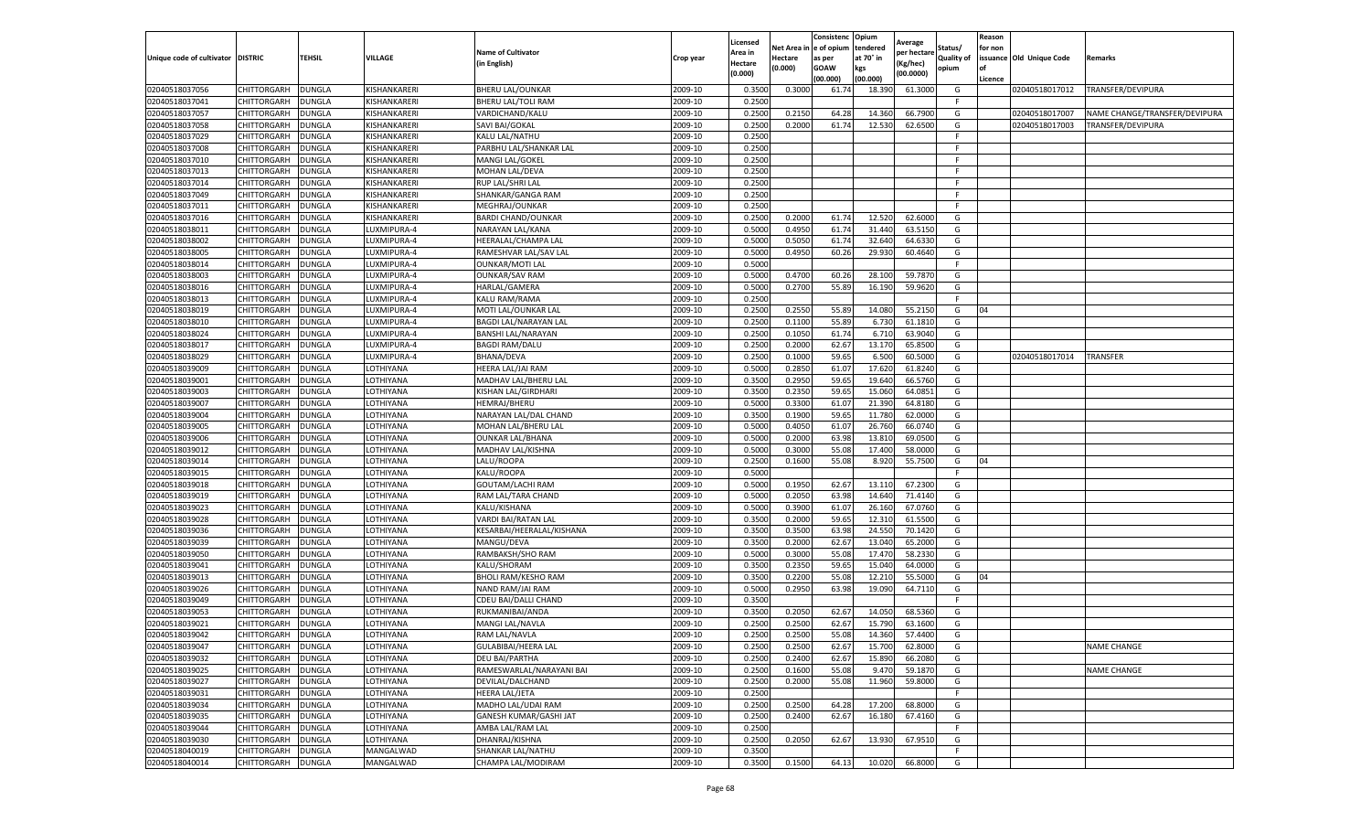|                                   |             |               |              |                           |           | Licensed |         | Consistenc              | Opium     | Average     |            | Reason  |                          |                               |
|-----------------------------------|-------------|---------------|--------------|---------------------------|-----------|----------|---------|-------------------------|-----------|-------------|------------|---------|--------------------------|-------------------------------|
|                                   |             |               |              | <b>Name of Cultivator</b> |           | Area in  |         | Net Area in le of opium | tendered  | per hectare | Status/    | for non |                          |                               |
| Unique code of cultivator DISTRIC |             | TEHSIL        | VILLAGE      | (in English)              | Crop year | Hectare  | Hectare | as per                  | at 70° in | Kg/hec)     | Quality of |         | issuance Old Unique Code | Remarks                       |
|                                   |             |               |              |                           |           | (0.000)  | (0.000) | GOAW                    | kgs       | (00.0000)   | opium      | l of    |                          |                               |
|                                   |             |               |              |                           |           |          |         | (00.000)                | (00.000)  |             |            | Licence |                          |                               |
| 02040518037056                    | CHITTORGARH | <b>DUNGLA</b> | KISHANKARERI | <b>BHERU LAL/OUNKAR</b>   | 2009-10   | 0.350    | 0.300   | 61.74                   | 18.390    | 61.3000     | G          |         | 02040518017012           | TRANSFER/DEVIPURA             |
| 02040518037041                    | CHITTORGARH | DUNGLA        | KISHANKARERI | <b>BHERU LAL/TOLI RAM</b> | 2009-10   | 0.2500   |         |                         |           |             | -F         |         |                          |                               |
| 02040518037057                    | CHITTORGARH | DUNGLA        | KISHANKARERI | VARDICHAND/KALU           | 2009-10   | 0.2500   | 0.215   | 64.2                    | 14.360    | 66.7900     | G          |         | 02040518017007           | NAME CHANGE/TRANSFER/DEVIPURA |
| 02040518037058                    | CHITTORGARH | <b>DUNGLA</b> | KISHANKARERI | SAVI BAI/GOKAL            | 2009-10   | 0.2500   | 0.2000  | 61.74                   | 12.530    | 62.6500     | G          |         | 02040518017003           | TRANSFER/DEVIPURA             |
| 02040518037029                    | CHITTORGARH | <b>DUNGLA</b> | KISHANKARERI | KALU LAL/NATHU            | 2009-10   | 0.2500   |         |                         |           |             | E          |         |                          |                               |
| 02040518037008                    | CHITTORGARH | DUNGLA        | KISHANKARERI | PARBHU LAL/SHANKAR LAL    | 2009-10   | 0.2500   |         |                         |           |             |            |         |                          |                               |
| 02040518037010                    | CHITTORGARH | <b>DUNGLA</b> | KISHANKARERI | MANGI LAL/GOKEL           | 2009-10   | 0.2500   |         |                         |           |             | F          |         |                          |                               |
| 02040518037013                    | CHITTORGARH | DUNGLA        | KISHANKARERI | MOHAN LAL/DEVA            | 2009-10   | 0.2500   |         |                         |           |             | F.         |         |                          |                               |
| 02040518037014                    | CHITTORGARH | DUNGLA        | KISHANKARERI | RUP LAL/SHRI LAL          | 2009-10   | 0.2500   |         |                         |           |             | -F         |         |                          |                               |
| 02040518037049                    | CHITTORGARH | <b>DUNGLA</b> | KISHANKARERI | SHANKAR/GANGA RAM         | 2009-10   | 0.2500   |         |                         |           |             | F          |         |                          |                               |
| 02040518037011                    | CHITTORGARH | <b>DUNGLA</b> | KISHANKARERI | MEGHRAJ/OUNKAR            | 2009-10   | 0.2500   |         |                         |           |             | F.         |         |                          |                               |
| 02040518037016                    | CHITTORGARH | DUNGLA        | KISHANKARERI | BARDI CHAND/OUNKAR        | 2009-10   | 0.2500   | 0.2000  | 61.74                   | 12.520    | 62.600      | G          |         |                          |                               |
| 02040518038011                    | CHITTORGARH | DUNGLA        | LUXMIPURA-4  | NARAYAN LAL/KANA          | 2009-10   | 0.5000   | 0.4950  | 61.74                   | 31.440    | 63.515      | G          |         |                          |                               |
| 02040518038002                    | CHITTORGARH | DUNGLA        | LUXMIPURA-4  | HEERALAL/CHAMPA LAL       | 2009-10   | 0.5000   | 0.505   | 61.74                   | 32.640    | 64.633      | G          |         |                          |                               |
| 02040518038005                    | CHITTORGARH | DUNGLA        | LUXMIPURA-4  | RAMESHVAR LAL/SAV LAL     | 2009-10   | 0.5000   | 0.4950  | 60.26                   | 29.930    | 60.4640     | G          |         |                          |                               |
| 02040518038014                    | CHITTORGARH | <b>DUNGLA</b> | LUXMIPURA-4  | <b>OUNKAR/MOTI LAL</b>    | 2009-10   | 0.5000   |         |                         |           |             | F          |         |                          |                               |
| 02040518038003                    | CHITTORGARH | <b>DUNGLA</b> | LUXMIPURA-4  | <b>OUNKAR/SAV RAM</b>     | 2009-10   | 0.5000   | 0.4700  | 60.2                    | 28.100    | 59.787      | G          |         |                          |                               |
| 02040518038016                    | CHITTORGARH | DUNGLA        | LUXMIPURA-4  | HARLAL/GAMERA             | 2009-10   | 0.5000   | 0.2700  | 55.89                   | 16.190    | 59.9620     | G          |         |                          |                               |
| 02040518038013                    | CHITTORGARH | DUNGLA        | LUXMIPURA-4  | KALU RAM/RAMA             | 2009-10   | 0.2500   |         |                         |           |             |            |         |                          |                               |
| 02040518038019                    | CHITTORGARH | DUNGLA        | LUXMIPURA-4  | MOTI LAL/OUNKAR LAL       | 2009-10   | 0.2500   | 0.2550  | 55.89                   | 14.080    | 55.215      | G          | 04      |                          |                               |
| 02040518038010                    | CHITTORGARH | DUNGLA        | LUXMIPURA-4  | BAGDI LAL/NARAYAN LAL     | 2009-10   | 0.2500   | 0.1100  | 55.89                   | 6.730     | 61.1810     | G          |         |                          |                               |
| 02040518038024                    | CHITTORGARH | DUNGLA        | LUXMIPURA-4  | BANSHI LAL/NARAYAN        | 2009-10   | 0.2500   | 0.1050  | 61.74                   | 6.710     | 63.9040     | G          |         |                          |                               |
| 02040518038017                    | CHITTORGARH | <b>DUNGLA</b> | LUXMIPURA-4  | <b>BAGDI RAM/DALU</b>     | 2009-10   | 0.2500   | 0.2000  | 62.67                   | 13.170    | 65.8500     | G          |         |                          |                               |
| 02040518038029                    | CHITTORGARH | DUNGLA        | LUXMIPURA-4  | <b>BHANA/DEVA</b>         | 2009-10   | 0.2500   | 0.1000  | 59.6                    | 6.500     | 60.500      | G          |         | 02040518017014           | <b>TRANSFER</b>               |
| 02040518039009                    | CHITTORGARH | DUNGLA        | LOTHIYANA    | HEERA LAL/JAI RAM         | 2009-10   | 0.5000   | 0.2850  | 61.07                   | 17.620    | 61.824      | G          |         |                          |                               |
| 02040518039001                    | CHITTORGARH | DUNGLA        | LOTHIYANA    | MADHAV LAL/BHERU LAL      | 2009-10   | 0.3500   | 0.2950  | 59.65                   | 19.640    | 66.5760     | G          |         |                          |                               |
| 02040518039003                    | CHITTORGARH | DUNGLA        | LOTHIYANA    | KISHAN LAL/GIRDHARI       | 2009-10   | 0.3500   | 0.2350  | 59.6                    | 15.060    | 64.085      | G          |         |                          |                               |
| 02040518039007                    | CHITTORGARH | DUNGLA        | LOTHIYANA    | HEMRAJ/BHERU              | 2009-10   | 0.5000   | 0.3300  | 61.07                   | 21.390    | 64.818      | G          |         |                          |                               |
| 02040518039004                    | CHITTORGARH | <b>DUNGLA</b> | LOTHIYANA    | NARAYAN LAL/DAL CHAND     | 2009-10   | 0.3500   | 0.1900  | 59.65                   | 11.780    | 62.0000     | G          |         |                          |                               |
| 02040518039005                    | CHITTORGARH | <b>DUNGLA</b> | LOTHIYANA    | MOHAN LAL/BHERU LAL       | 2009-10   | 0.5000   | 0.4050  | 61.07                   | 26.760    | 66.074      | G          |         |                          |                               |
| 02040518039006                    | CHITTORGARH | DUNGLA        | LOTHIYANA    | OUNKAR LAL/BHANA          | 2009-10   | 0.500    | 0.2000  | 63.9                    | 13.810    | 69.050      | G          |         |                          |                               |
| 02040518039012                    | CHITTORGARH | DUNGLA        | LOTHIYANA    | MADHAV LAL/KISHNA         | 2009-10   | 0.5000   | 0.3000  | 55.08                   | 17.400    | 58.000      | G          |         |                          |                               |
| 02040518039014                    | CHITTORGARH | DUNGLA        | LOTHIYANA    | LALU/ROOPA                | 2009-10   | 0.2500   | 0.1600  | 55.08                   | 8.920     | 55.750      | G          | 04      |                          |                               |
| 02040518039015                    | CHITTORGARH | DUNGLA        | LOTHIYANA    | KALU/ROOPA                | 2009-10   | 0.5000   |         |                         |           |             | -F         |         |                          |                               |
| 02040518039018                    | CHITTORGARH | <b>DUNGLA</b> | LOTHIYANA    | GOUTAM/LACHI RAM          | 2009-10   | 0.5000   | 0.1950  | 62.67                   | 13.110    | 67.2300     | G          |         |                          |                               |
| 02040518039019                    | CHITTORGARH | <b>DUNGLA</b> | LOTHIYANA    | RAM LAL/TARA CHAND        | 2009-10   | 0.5000   | 0.2050  | 63.98                   | 14.640    | 71.414      | G          |         |                          |                               |
| 02040518039023                    | CHITTORGARH | DUNGLA        | LOTHIYANA    | KALU/KISHANA              | 2009-10   | 0.5000   | 0.390   | 61.07                   | 26.160    | 67.076      | G          |         |                          |                               |
| 02040518039028                    | CHITTORGARH | DUNGLA        | LOTHIYANA    | VARDI BAI/RATAN LAL       | 2009-10   | 0.3500   | 0.2000  | 59.6                    | 12.310    | 61.550      | G          |         |                          |                               |
| 02040518039036                    | CHITTORGARH | DUNGLA        | LOTHIYANA    | KESARBAI/HEERALAL/KISHANA | 2009-10   | 0.3500   | 0.3500  | 63.98                   | 24.550    | 70.142      | G          |         |                          |                               |
| 02040518039039                    | CHITTORGARH | DUNGLA        | LOTHIYANA    | MANGU/DEVA                | 2009-10   | 0.3500   | 0.2000  | 62.67                   | 13.040    | 65.2000     | G          |         |                          |                               |
| 02040518039050                    | CHITTORGARH | DUNGLA        | LOTHIYANA    | RAMBAKSH/SHO RAM          | 2009-10   | 0.5000   | 0.3000  | 55.08                   | 17.470    | 58.233      | G          |         |                          |                               |
| 02040518039041                    | CHITTORGARH | <b>DUNGLA</b> | LOTHIYANA    | KALU/SHORAM               | 2009-10   | 0.3500   | 0.2350  | 59.65                   | 15.040    | 64.000      | G          |         |                          |                               |
| 02040518039013                    | CHITTORGARH | DUNGLA        | LOTHIYANA    | BHOLI RAM/KESHO RAM       | 2009-10   | 0.3500   | 0.2200  | 55.08                   | 12.210    | 55.500      | G          | 04      |                          |                               |
| 02040518039026                    | CHITTORGARH | DUNGLA        | LOTHIYANA    | NAND RAM/JAI RAM          | 2009-10   | 0.5000   | 0.2950  | 63.98                   | 19.090    | 64.711      | G          |         |                          |                               |
| 02040518039049                    | CHITTORGARH | DUNGLA        | LOTHIYANA    | CDEU BAI/DALLI CHAND      | 2009-10   | 0.3500   |         |                         |           |             | E          |         |                          |                               |
| 02040518039053                    | CHITTORGARH | DUNGLA        | LOTHIYANA    | RUKMANIBAI/ANDA           | 2009-10   | 0.3500   | 0.205   | 62.6                    | 14.050    | 68.536      | G          |         |                          |                               |
| 02040518039021                    | CHITTORGARH | DUNGLA        | LOTHIYANA    | MANGI LAL/NAVLA           | 2009-10   | 0.2500   | 0.250   | 62.67                   | 15.790    | 63.160      | G          |         |                          |                               |
| 02040518039042                    | CHITTORGARH | <b>DUNGLA</b> | LOTHIYANA    | RAM LAL/NAVLA             | 2009-10   | 0.2500   | 0.2500  | 55.08                   | 14.360    | 57.4400     | G          |         |                          |                               |
| 02040518039047                    | CHITTORGARH | <b>DUNGLA</b> | LOTHIYANA    | GULABIBAI/HEERA LAL       | 2009-10   | 0.2500   | 0.2500  | 62.67                   | 15.700    | 62.8000     | G          |         |                          | <b>NAME CHANGE</b>            |
| 02040518039032                    | CHITTORGARH | <b>DUNGLA</b> | LOTHIYANA    | DEU BAI/PARTHA            | 2009-10   | 0.2500   | 0.2400  | 62.67                   | 15.890    | 66.2080     | G          |         |                          |                               |
| 02040518039025                    | CHITTORGARH | <b>DUNGLA</b> | LOTHIYANA    | RAMESWARLAL/NARAYANI BAI  | 2009-10   | 0.2500   | 0.1600  | 55.08                   | 9.470     | 59.1870     | G          |         |                          | NAME CHANGE                   |
| 02040518039027                    | CHITTORGARH | <b>DUNGLA</b> | LOTHIYANA    | DEVILAL/DALCHAND          | 2009-10   | 0.2500   | 0.2000  | 55.08                   | 11.960    | 59.8000     | G          |         |                          |                               |
| 02040518039031                    | CHITTORGARH | <b>DUNGLA</b> | LOTHIYANA    | HEERA LAL/JETA            | 2009-10   | 0.2500   |         |                         |           |             | -F         |         |                          |                               |
| 02040518039034                    | CHITTORGARH | <b>DUNGLA</b> | LOTHIYANA    | MADHO LAL/UDAI RAM        | 2009-10   | 0.2500   | 0.2500  | 64.28                   | 17.200    | 68.8000     | G          |         |                          |                               |
| 02040518039035                    | CHITTORGARH | <b>DUNGLA</b> | LOTHIYANA    | GANESH KUMAR/GASHI JAT    | 2009-10   | 0.2500   | 0.2400  | 62.67                   | 16.180    | 67.4160     | G          |         |                          |                               |
| 02040518039044                    | CHITTORGARH | <b>DUNGLA</b> | LOTHIYANA    | AMBA LAL/RAM LAL          | 2009-10   | 0.2500   |         |                         |           |             | F          |         |                          |                               |
| 02040518039030                    | CHITTORGARH | <b>DUNGLA</b> | LOTHIYANA    | DHANRAJ/KISHNA            | 2009-10   | 0.2500   | 0.2050  | 62.67                   | 13.930    | 67.9510     | G          |         |                          |                               |
| 02040518040019                    | CHITTORGARH | DUNGLA        | MANGALWAD    | SHANKAR LAL/NATHU         | 2009-10   | 0.3500   |         |                         |           |             | F.         |         |                          |                               |
| 02040518040014                    | CHITTORGARH | <b>DUNGLA</b> | MANGALWAD    | CHAMPA LAL/MODIRAM        | 2009-10   | 0.3500   | 0.1500  | 64.13                   | 10.020    | 66.8000     | G          |         |                          |                               |
|                                   |             |               |              |                           |           |          |         |                         |           |             |            |         |                          |                               |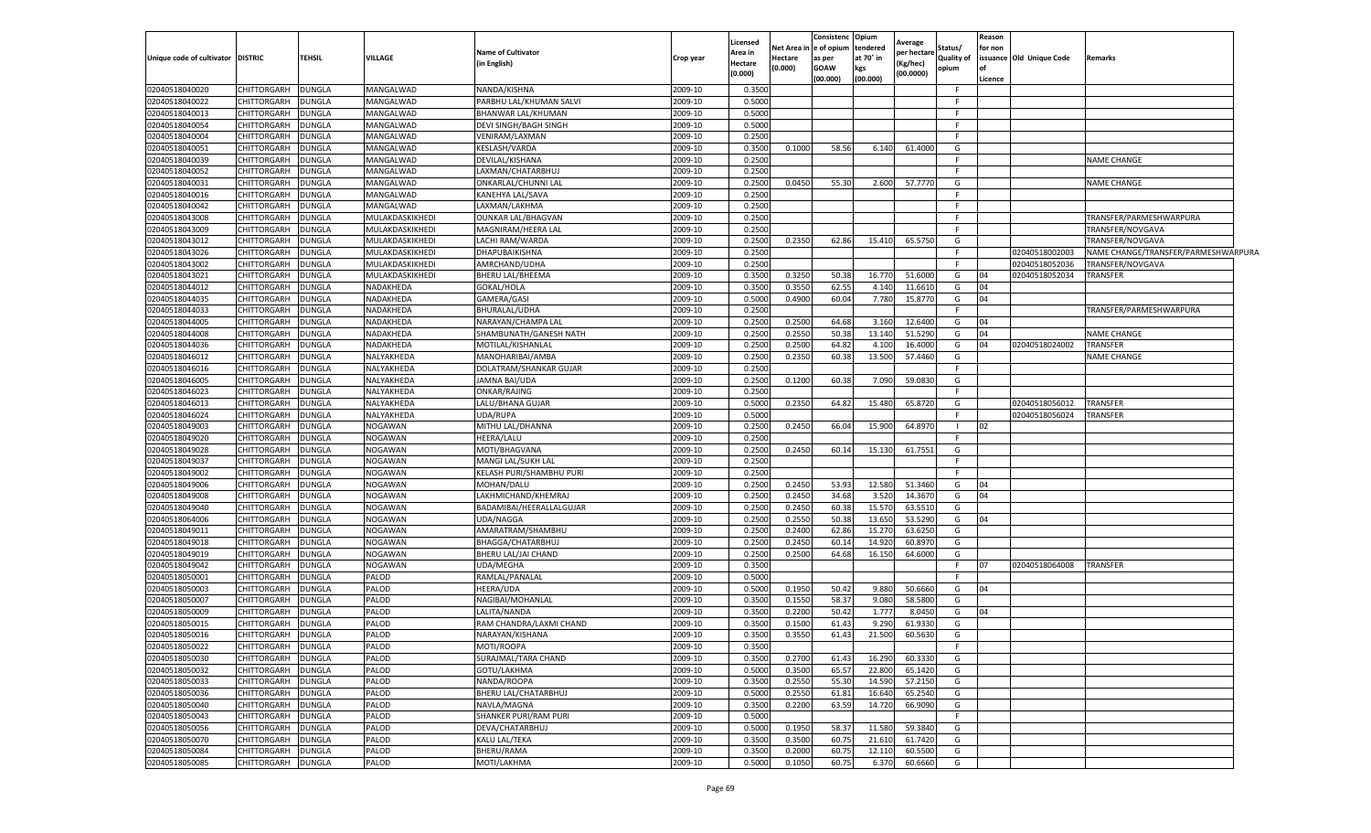| Unique code of cultivator | <b>DISTRIC</b>             | <b>TEHSIL</b> | <b>VILLAGE</b>          | <b>Name of Cultivator</b><br>in English) | Crop year          | Licensed<br>Area in<br>Hectare<br>(0.000) | Net Area i<br>Hectare<br>(0.000) | Consistenc<br>n e of opium<br>as per<br><b>GOAW</b><br>(00.000) | Opium<br>tendered<br>at 70° in<br>kgs<br>(00.000) | Average<br>per hectare<br>(Kg/hec)<br>(00.0000) | status/<br><b>Quality of</b><br>opium | Reason<br>for non<br>Licence | issuance Old Unique Code | Remarks                             |
|---------------------------|----------------------------|---------------|-------------------------|------------------------------------------|--------------------|-------------------------------------------|----------------------------------|-----------------------------------------------------------------|---------------------------------------------------|-------------------------------------------------|---------------------------------------|------------------------------|--------------------------|-------------------------------------|
| 02040518040020            | CHITTORGARH                | DUNGLA        | MANGALWAD               | NANDA/KISHNA                             | 2009-10            | 0.3500                                    |                                  |                                                                 |                                                   |                                                 | -F                                    |                              |                          |                                     |
| 02040518040022            | CHITTORGARH                | DUNGLA        | MANGALWAD               | PARBHU LAL/KHUMAN SALVI                  | 2009-10            | 0.5000                                    |                                  |                                                                 |                                                   |                                                 | -F                                    |                              |                          |                                     |
| 02040518040013            | CHITTORGARH                | <b>DUNGLA</b> | MANGALWAD               | BHANWAR LAL/KHUMAN                       | 2009-10            | 0.5000                                    |                                  |                                                                 |                                                   |                                                 | -F                                    |                              |                          |                                     |
| 02040518040054            | CHITTORGARH                | DUNGLA        | MANGALWAD               | DEVI SINGH/BAGH SINGH                    | 2009-10            | 0.5000                                    |                                  |                                                                 |                                                   |                                                 | -F                                    |                              |                          |                                     |
| 02040518040004            | CHITTORGARH                | DUNGLA        | MANGALWAD               | VENIRAM/LAXMAN                           | 2009-10            | 0.2500                                    |                                  |                                                                 |                                                   |                                                 | E                                     |                              |                          |                                     |
| 02040518040051            | CHITTORGARH                | DUNGLA        | MANGALWAD               | KESLASH/VARDA                            | 2009-10            | 0.3500                                    | 0.1000                           | 58.56                                                           | 6.140                                             | 61.4000                                         | G                                     |                              |                          |                                     |
| 02040518040039            | CHITTORGARH                | DUNGLA        | MANGALWAD               | DEVILAL/KISHANA                          | 2009-10            | 0.2500                                    |                                  |                                                                 |                                                   |                                                 | F                                     |                              |                          | <b>NAME CHANGE</b>                  |
| 02040518040052            | CHITTORGARH                | DUNGLA        | MANGALWAD               | LAXMAN/CHATARBHUJ                        | 2009-10            | 0.2500                                    |                                  |                                                                 |                                                   |                                                 | F.                                    |                              |                          |                                     |
| 02040518040031            | CHITTORGARH                | DUNGLA        | MANGALWAD               | ONKARLAL/CHUNNI LAL                      | 2009-10            | 0.2500                                    | 0.0450                           | 55.30                                                           | 2.600                                             | 57.7770                                         | G                                     |                              |                          | <b>NAME CHANGE</b>                  |
| 02040518040016            | CHITTORGARH                | DUNGLA        | MANGALWAD               | KANEHYA LAL/SAVA                         | 2009-10            | 0.2500                                    |                                  |                                                                 |                                                   |                                                 | -F                                    |                              |                          |                                     |
| 02040518040042            | CHITTORGARH                | DUNGLA        | MANGALWAD               | LAXMAN/LAKHMA                            | 2009-10            | 0.2500                                    |                                  |                                                                 |                                                   |                                                 | E                                     |                              |                          |                                     |
| 02040518043008            | CHITTORGARH                | DUNGLA        | MULAKDASKIKHEDI         | OUNKAR LAL/BHAGVAN                       | 2009-10            | 0.2500                                    |                                  |                                                                 |                                                   |                                                 | F                                     |                              |                          | TRANSFER/PARMESHWARPURA             |
| 02040518043009            | CHITTORGARH                | <b>DUNGLA</b> | MULAKDASKIKHEDI         | MAGNIRAM/HEERA LAL                       | 2009-10            | 0.2500                                    |                                  |                                                                 |                                                   |                                                 | -F.                                   |                              |                          | TRANSFER/NOVGAVA                    |
| 02040518043012            | CHITTORGARH                | DUNGLA        | MULAKDASKIKHEDI         | LACHI RAM/WARDA                          | 2009-10            | 0.2500                                    | 0.2350                           | 62.86                                                           | 15.410                                            | 65.5750                                         | G                                     |                              |                          | TRANSFER/NOVGAVA                    |
| 02040518043026            | CHITTORGARH                | DUNGLA        | MULAKDASKIKHEDI         | DHAPUBAIKISHNA                           | 2009-10            | 0.2500                                    |                                  |                                                                 |                                                   |                                                 | -F                                    |                              | 02040518002003           | NAME CHANGE/TRANSFER/PARMESHWARPURA |
| 02040518043002            | CHITTORGARH                | <b>DUNGLA</b> | MULAKDASKIKHEDI         | AMRCHAND/UDHA                            | 2009-10            | 0.2500                                    |                                  |                                                                 |                                                   |                                                 | -F                                    |                              | 02040518052036           | TRANSFER/NOVGAVA                    |
| 02040518043021            | CHITTORGARH                | DUNGLA        | MULAKDASKIKHEDI         | BHERU LAL/BHEEMA                         | 2009-10            | 0.3500                                    | 0.3250                           | 50.38                                                           | 16.770                                            | 51.6000                                         | G                                     | 04                           | 02040518052034           | TRANSFER                            |
| 02040518044012            | CHITTORGARH                | DUNGLA        | NADAKHEDA               | GOKAL/HOLA                               | 2009-10            | 0.3500                                    | 0.3550                           | 62.55                                                           | 4.14                                              | 11.661                                          | G                                     | 04                           |                          |                                     |
| 02040518044035            | CHITTORGARH                | DUNGLA        | NADAKHEDA               | GAMERA/GASI                              | 2009-10            | 0.5000                                    | 0.4900                           | 60.04                                                           | 7.780                                             | 15.8770                                         | G                                     | 04                           |                          |                                     |
| 02040518044033            | CHITTORGARH                | <b>DUNGLA</b> | NADAKHEDA               | BHURALAL/UDHA                            | 2009-10            | 0.2500                                    |                                  |                                                                 |                                                   |                                                 | F                                     |                              |                          | TRANSFER/PARMESHWARPURA             |
| 02040518044005            | CHITTORGARH                | DUNGLA        | NADAKHEDA               | NARAYAN/CHAMPA LAL                       | 2009-10            | 0.2500                                    | 0.2500                           | 64.68                                                           | 3.160                                             | 12.6400                                         | G                                     | 04                           |                          |                                     |
| 02040518044008            | CHITTORGARH                |               | NADAKHEDA               | SHAMBUNATH/GANESH NATH                   | 2009-10            | 0.2500                                    | 0.2550                           | 50.38                                                           | 13.140                                            | 51.5290                                         | G                                     | 04                           |                          | <b>NAME CHANGE</b>                  |
| 02040518044036            |                            | DUNGLA        |                         | MOTILAL/KISHANLAL                        |                    | 0.2500                                    |                                  |                                                                 |                                                   |                                                 |                                       | 04                           | 02040518024002           | TRANSFER                            |
| 02040518046012            | CHITTORGARH<br>CHITTORGARH | DUNGLA        | NADAKHEDA<br>NALYAKHEDA | MANOHARIBAI/AMBA                         | 2009-10<br>2009-10 | 0.2500                                    | 0.2500<br>0.2350                 | 64.82<br>60.38                                                  | 4.100<br>13.500                                   | 16.4000<br>57.4460                              | G<br>G                                |                              |                          | <b>NAME CHANGE</b>                  |
| 02040518046016            |                            | DUNGLA        |                         | DOLATRAM/SHANKAR GUJAR                   |                    | 0.2500                                    |                                  |                                                                 |                                                   |                                                 | F.                                    |                              |                          |                                     |
|                           | CHITTORGARH                | DUNGLA        | NALYAKHEDA              |                                          | 2009-10            |                                           |                                  |                                                                 |                                                   |                                                 |                                       |                              |                          |                                     |
| 02040518046005            | CHITTORGARH                | DUNGLA        | NALYAKHEDA              | JAMNA BAI/UDA                            | 2009-10            | 0.2500                                    | 0.1200                           | 60.38                                                           | 7.090                                             | 59.083                                          | G                                     |                              |                          |                                     |
| 02040518046023            | CHITTORGARH                | DUNGLA        | NALYAKHEDA              | ONKAR/RAJING                             | 2009-10            | 0.2500                                    |                                  |                                                                 |                                                   |                                                 | -F                                    |                              |                          |                                     |
| 02040518046013            | CHITTORGARH                | <b>DUNGLA</b> | NALYAKHEDA              | LALU/BHANA GUJAR                         | 2009-10            | 0.5000                                    | 0.2350                           | 64.82                                                           | 15.480                                            | 65.8720                                         | G                                     |                              | 02040518056012           | TRANSFER                            |
| 02040518046024            | CHITTORGARH                | DUNGLA        | NALYAKHEDA              | UDA/RUPA                                 | 2009-10            | 0.5000                                    |                                  |                                                                 |                                                   |                                                 | -F                                    |                              | 02040518056024           | TRANSFER                            |
| 02040518049003            | CHITTORGARH                | DUNGLA        | <b>NOGAWAN</b>          | MITHU LAL/DHANNA                         | 2009-10            | 0.2500                                    | 0.2450                           | 66.04                                                           | 15.900                                            | 64.8970                                         | F                                     | 02                           |                          |                                     |
| 02040518049020            | CHITTORGARH                | DUNGLA        | <b>NOGAWAN</b>          | HEERA/LALU                               | 2009-10            | 0.2500                                    |                                  |                                                                 |                                                   |                                                 |                                       |                              |                          |                                     |
| 02040518049028            | CHITTORGARH                | DUNGLA        | <b>NOGAWAN</b>          | MOTI/BHAGVANA                            | 2009-10            | 0.2500                                    | 0.2450                           | 60.1                                                            | 15.13                                             | 61.7551                                         | G                                     |                              |                          |                                     |
| 02040518049037            | CHITTORGARH                | DUNGLA        | <b>NOGAWAN</b>          | MANGI LAL/SUKH LAL                       | 2009-10            | 0.2500                                    |                                  |                                                                 |                                                   |                                                 | F.                                    |                              |                          |                                     |
| 02040518049002            | CHITTORGARH                | DUNGLA        | <b>NOGAWAN</b>          | KELASH PURI/SHAMBHU PURI                 | 2009-10            | 0.2500                                    |                                  |                                                                 |                                                   |                                                 | -F                                    |                              |                          |                                     |
| 02040518049006            | CHITTORGARH                | DUNGLA        | <b>NOGAWAN</b>          | MOHAN/DALU                               | 2009-10            | 0.2500                                    | 0.2450                           | 53.93                                                           | 12.580                                            | 51.3460                                         | G                                     | 04                           |                          |                                     |
| 02040518049008            | CHITTORGARH                | <b>DUNGLA</b> | <b>NOGAWAN</b>          | LAKHMICHAND/KHEMRAJ                      | 2009-10            | 0.2500                                    | 0.2450                           | 34.68                                                           | 3.520                                             | 14.3670                                         | G                                     | 04                           |                          |                                     |
| 02040518049040            | CHITTORGARH                | DUNGLA        | <b>NOGAWAN</b>          | BADAMIBAI/HEERALLALGUJAR                 | 2009-10            | 0.2500                                    | 0.2450                           | 60.38                                                           | 15.57                                             | 63.551                                          | G                                     |                              |                          |                                     |
| 02040518064006            | CHITTORGARH                | DUNGLA        | <b>NOGAWAN</b>          | UDA/NAGGA                                | 2009-10            | 0.2500                                    | 0.2550                           | 50.38                                                           | 13.650                                            | 53.5290                                         | G                                     | 04                           |                          |                                     |
| 02040518049011            | CHITTORGARH                | <b>DUNGLA</b> | <b>NOGAWAN</b>          | AMARATRAM/SHAMBHU                        | 2009-10            | 0.2500                                    | 0.2400                           | 62.86                                                           | 15.270                                            | 63.6250                                         | G                                     |                              |                          |                                     |
| 02040518049018            | CHITTORGARH                | DUNGLA        | <b>NOGAWAN</b>          | BHAGGA/CHATARBHUJ                        | 2009-10            | 0.2500                                    | 0.2450                           | 60.14                                                           | 14.920                                            | 60.897                                          | G                                     |                              |                          |                                     |
| 02040518049019            | CHITTORGARH                | <b>DUNGLA</b> | <b>NOGAWAN</b>          | BHERU LAL/JAI CHAND                      | 2009-10            | 0.2500                                    | 0.2500                           | 64.68                                                           | 16.150                                            | 64.6000                                         | G                                     |                              |                          |                                     |
| 02040518049042            | CHITTORGARH                | DUNGLA        | <b>NOGAWAN</b>          | UDA/MEGHA                                | 2009-10            | 0.3500                                    |                                  |                                                                 |                                                   |                                                 | -F                                    | 07                           | 02040518064008           | TRANSFER                            |
| 02040518050001            | CHITTORGARH                | DUNGLA        | <b>PALOD</b>            | RAMLAL/PANALAL                           | 2009-10            | 0.5000                                    |                                  |                                                                 |                                                   |                                                 | F                                     |                              |                          |                                     |
| 02040518050003            | CHITTORGARH                | DUNGLA        | <b>PALOD</b>            | HEERA/UDA                                | 2009-10            | 0.5000                                    | 0.1950                           | 50.42                                                           | 9.880                                             | 50.6660                                         | G                                     | 04                           |                          |                                     |
| 02040518050007            | CHITTORGARH                | DUNGLA        | <b>PALOD</b>            | NAGIBAI/MOHANLAL                         | 2009-10            | 0.3500                                    | 0.1550                           | 58.37                                                           | 9.08                                              | 58.5800                                         | G                                     |                              |                          |                                     |
| 02040518050009            | CHITTORGARH                | DUNGLA        | <b>PALOD</b>            | LALITA/NANDA                             | 2009-10            | 0.3500                                    | 0.2200                           | 50.42                                                           | 1.77                                              | 8.0450                                          | G                                     | 04                           |                          |                                     |
| 02040518050015            | CHITTORGARH                | DUNGLA        | <b>PALOD</b>            | RAM CHANDRA/LAXMI CHAND                  | 2009-10            | 0.3500                                    | 0.1500                           | 61.43                                                           | 9.290                                             | 61.9330                                         | G                                     |                              |                          |                                     |
| 02040518050016            | CHITTORGARH                | <b>DUNGLA</b> | PALOD                   | NARAYAN/KISHANA                          | 2009-10            | 0.3500                                    | 0.3550                           | 61.43                                                           | 21.500                                            | 60.5630                                         | G                                     |                              |                          |                                     |
| 02040518050022            | CHITTORGARH                | <b>DUNGLA</b> | PALOD                   | MOTI/ROOPA                               | 2009-10            | 0.3500                                    |                                  |                                                                 |                                                   |                                                 | F.                                    |                              |                          |                                     |
| 02040518050030            | CHITTORGARH                | <b>DUNGLA</b> | PALOD                   | SURAJMAL/TARA CHAND                      | 2009-10            | 0.3500                                    | 0.2700                           | 61.43                                                           | 16.290                                            | 60.3330                                         | G                                     |                              |                          |                                     |
| 02040518050032            | CHITTORGARH                | <b>DUNGLA</b> | <b>PALOD</b>            | GOTU/LAKHMA                              | 2009-10            | 0.5000                                    | 0.3500                           | 65.57                                                           | 22.800                                            | 65.1420                                         | G                                     |                              |                          |                                     |
| 02040518050033            | CHITTORGARH                | <b>DUNGLA</b> | <b>PALOD</b>            | NANDA/ROOPA                              | 2009-10            | 0.3500                                    | 0.2550                           | 55.30                                                           | 14.590                                            | 57.2150                                         | G                                     |                              |                          |                                     |
| 02040518050036            | CHITTORGARH                | <b>DUNGLA</b> | <b>PALOD</b>            | BHERU LAL/CHATARBHUJ                     | 2009-10            | 0.5000                                    | 0.2550                           | 61.81                                                           | 16.640                                            | 65.2540                                         | G                                     |                              |                          |                                     |
| 02040518050040            | CHITTORGARH                | <b>DUNGLA</b> | <b>PALOD</b>            | NAVLA/MAGNA                              | 2009-10            | 0.3500                                    | 0.2200                           | 63.59                                                           | 14.720                                            | 66.9090                                         | G                                     |                              |                          |                                     |
| 02040518050043            | CHITTORGARH                | DUNGLA        | <b>PALOD</b>            | SHANKER PURI/RAM PURI                    | 2009-10            | 0.5000                                    |                                  |                                                                 |                                                   |                                                 | F.                                    |                              |                          |                                     |
| 02040518050056            | CHITTORGARH                | DUNGLA        | PALOD                   | DEVA/CHATARBHUJ                          | 2009-10            | 0.5000                                    | 0.1950                           | 58.37                                                           | 11.580                                            | 59.3840                                         | G                                     |                              |                          |                                     |
| 02040518050070            | CHITTORGARH                | <b>DUNGLA</b> | <b>PALOD</b>            | KALU LAL/TEKA                            | 2009-10            | 0.3500                                    | 0.3500                           | 60.7                                                            | 21.610                                            | 61.7420                                         | G                                     |                              |                          |                                     |
| 02040518050084            | CHITTORGARH                | <b>DUNGLA</b> | <b>PALOD</b>            | BHERU/RAMA                               | 2009-10            | 0.3500                                    | 0.2000                           | 60.75                                                           | 12.110                                            | 60.5500                                         | G                                     |                              |                          |                                     |
| 02040518050085            | CHITTORGARH                | <b>DUNGLA</b> | PALOD                   | MOTI/LAKHMA                              | 2009-10            | 0.5000                                    | 0.1050                           | 60.75                                                           | 6.370                                             | 60.6660                                         | G                                     |                              |                          |                                     |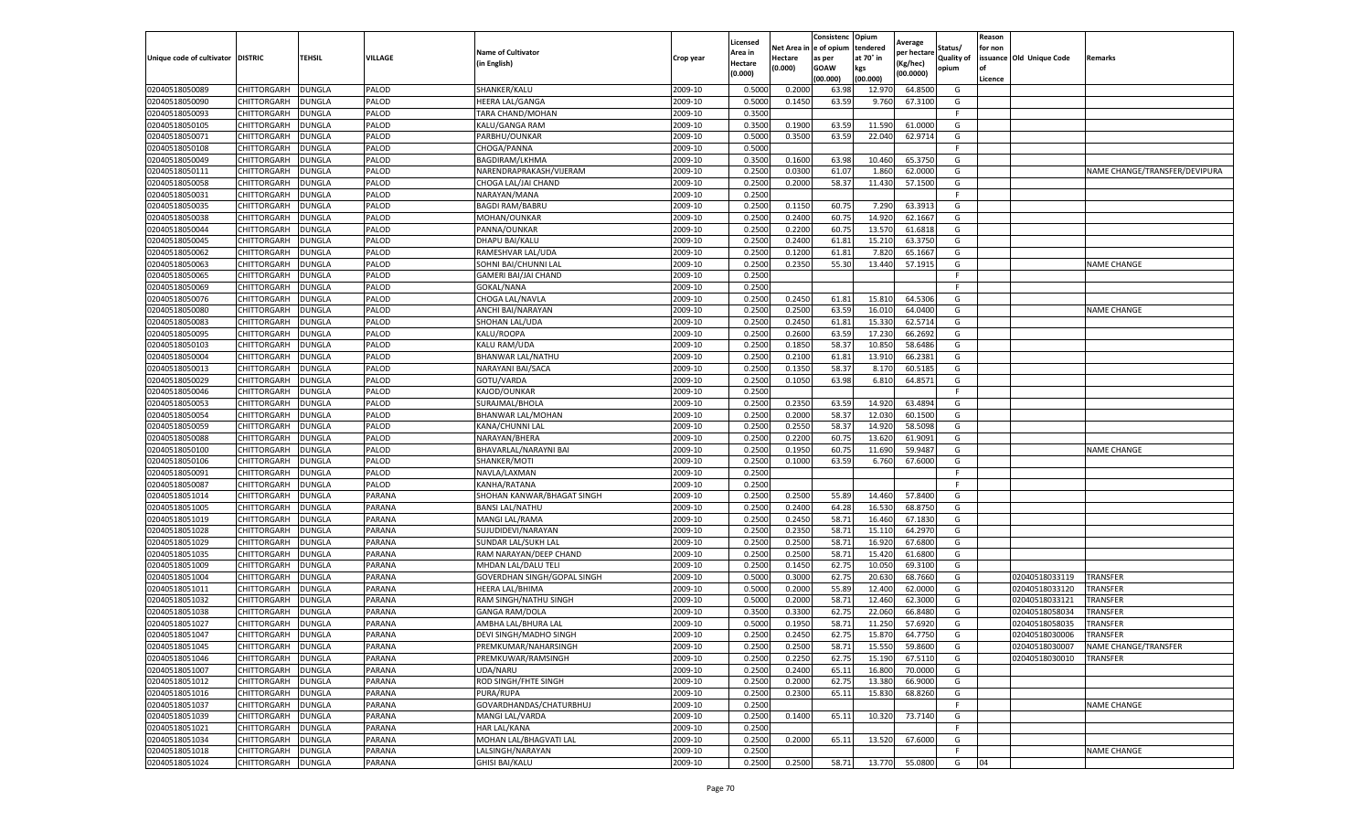|                                   |                    |               |         |                             |           | Licensed |          | Consistenc   | Opium     | Average     |                   | Reason  |                          |                               |
|-----------------------------------|--------------------|---------------|---------|-----------------------------|-----------|----------|----------|--------------|-----------|-------------|-------------------|---------|--------------------------|-------------------------------|
|                                   |                    |               |         | <b>Name of Cultivator</b>   |           | Area in  | Net Area | n e of opium | tendered  | per hectarı | Status/           | for non |                          |                               |
| Unique code of cultivator DISTRIC |                    | TEHSIL        | VILLAGE | (in English)                | Crop year | Hectare  | Hectare  | as per       | at 70° in | (Kg/hec)    | <b>Quality of</b> |         | issuance Old Unique Code | Remarks                       |
|                                   |                    |               |         |                             |           | (0.000)  | (0.000)  | <b>GOAW</b>  | kgs       | (00.0000)   | opium             | οf      |                          |                               |
|                                   |                    |               |         |                             |           |          |          | (00.000)     | (00.000)  |             |                   | Licence |                          |                               |
| 02040518050089                    | CHITTORGARH        | <b>DUNGLA</b> | PALOD   | SHANKER/KALU                | 2009-10   | 0.5000   | 0.2000   | 63.98        | 12.970    | 64.8500     | G                 |         |                          |                               |
| 02040518050090                    | CHITTORGARH        | <b>DUNGLA</b> | PALOD   | <b>HEERA LAL/GANGA</b>      | 2009-10   | 0.5000   | 0.1450   | 63.59        | 9.760     | 67.3100     | G                 |         |                          |                               |
| 02040518050093                    | CHITTORGARH        | DUNGLA        | PALOD   | TARA CHAND/MOHAN            | 2009-10   | 0.3500   |          |              |           |             | F                 |         |                          |                               |
| 02040518050105                    | CHITTORGARH        | <b>DUNGLA</b> | PALOD   | KALU/GANGA RAM              | 2009-10   | 0.3500   | 0.1900   | 63.59        | 11.590    | 61.0000     | G                 |         |                          |                               |
| 02040518050071                    | CHITTORGARH        | <b>DUNGLA</b> | PALOD   | PARBHU/OUNKAR               | 2009-10   | 0.5000   | 0.3500   | 63.59        | 22.040    | 62.9714     | G                 |         |                          |                               |
| 02040518050108                    | CHITTORGARH        | DUNGLA        | PALOD   | CHOGA/PANNA                 | 2009-10   | 0.5000   |          |              |           |             |                   |         |                          |                               |
| 02040518050049                    | CHITTORGARH        | <b>DUNGLA</b> | PALOD   | <b>BAGDIRAM/LKHMA</b>       | 2009-10   | 0.3500   | 0.1600   | 63.98        | 10.460    | 65.3750     | G                 |         |                          |                               |
| 02040518050111                    | CHITTORGARH        | DUNGLA        | PALOD   | NARENDRAPRAKASH/VIJERAM     | 2009-10   | 0.2500   | 0.0300   | 61.07        | 1.860     | 62.0000     | G                 |         |                          | NAME CHANGE/TRANSFER/DEVIPURA |
| 02040518050058                    | CHITTORGARH        | <b>DUNGLA</b> | PALOD   | CHOGA LAL/JAI CHAND         | 2009-10   | 0.2500   | 0.2000   | 58.37        | 11.430    | 57.1500     | G                 |         |                          |                               |
| 02040518050031                    | CHITTORGARH        | <b>DUNGLA</b> | PALOD   | NARAYAN/MANA                | 2009-10   | 0.2500   |          |              |           |             | F.                |         |                          |                               |
| 02040518050035                    | CHITTORGARH        | <b>DUNGLA</b> | PALOD   | <b>BAGDI RAM/BABRU</b>      | 2009-10   | 0.2500   | 0.1150   | 60.75        | 7.290     | 63.3913     | G                 |         |                          |                               |
| 02040518050038                    | CHITTORGARH        | <b>DUNGLA</b> | PALOD   | MOHAN/OUNKAR                | 2009-10   | 0.2500   | 0.2400   | 60.75        | 14.920    | 62.1667     | G                 |         |                          |                               |
| 02040518050044                    | CHITTORGARH        | DUNGLA        | PALOD   | PANNA/OUNKAR                | 2009-10   | 0.2500   | 0.2200   | 60.7         | 13.570    | 61.6818     | G                 |         |                          |                               |
| 02040518050045                    | CHITTORGARH        | <b>DUNGLA</b> | PALOD   | DHAPU BAI/KALU              | 2009-10   | 0.2500   | 0.2400   | 61.8         | 15.21     | 63.3750     | G                 |         |                          |                               |
| 02040518050062                    | CHITTORGARH        | DUNGLA        | PALOD   | RAMESHVAR LAL/UDA           | 2009-10   | 0.2500   | 0.1200   | 61.8         | 7.820     | 65.1667     | G                 |         |                          |                               |
| 02040518050063                    | CHITTORGARH        | <b>DUNGLA</b> | PALOD   | SOHNI BAI/CHUNNI LAL        | 2009-10   | 0.2500   | 0.2350   | 55.30        | 13.440    | 57.1915     | G                 |         |                          | <b>NAME CHANGE</b>            |
| 02040518050065                    | CHITTORGARH        | <b>DUNGLA</b> | PALOD   | GAMERI BAI/JAI CHAND        | 2009-10   | 0.2500   |          |              |           |             |                   |         |                          |                               |
| 02040518050069                    | CHITTORGARH        | DUNGLA        | PALOD   | GOKAL/NANA                  | 2009-10   | 0.2500   |          |              |           |             |                   |         |                          |                               |
| 02040518050076                    | CHITTORGARH        | DUNGLA        | PALOD   | CHOGA LAL/NAVLA             | 2009-10   | 0.2500   | 0.2450   | 61.81        | 15.810    | 64.530      | G                 |         |                          |                               |
| 02040518050080                    | CHITTORGARH        | DUNGLA        | PALOD   | ANCHI BAI/NARAYAN           | 2009-10   | 0.2500   | 0.2500   | 63.59        | 16.010    | 64.0400     | G                 |         |                          | <b>NAME CHANGE</b>            |
| 02040518050083                    | CHITTORGARH        | <b>DUNGLA</b> | PALOD   | SHOHAN LAL/UDA              | 2009-10   | 0.2500   | 0.2450   | 61.81        | 15.330    | 62.5714     | G                 |         |                          |                               |
| 02040518050095                    | CHITTORGARH        | <b>DUNGLA</b> | PALOD   | KALU/ROOPA                  | 2009-10   | 0.2500   | 0.2600   | 63.59        | 17.230    | 66.2692     | G                 |         |                          |                               |
| 02040518050103                    | CHITTORGARH        | <b>DUNGLA</b> | PALOD   | KALU RAM/UDA                | 2009-10   | 0.2500   | 0.1850   | 58.37        | 10.850    | 58.6486     | G                 |         |                          |                               |
| 02040518050004                    | CHITTORGARH        | <b>DUNGLA</b> | PALOD   | <b>BHANWAR LAL/NATHU</b>    | 2009-10   | 0.2500   | 0.2100   | 61.81        | 13.910    | 66.2381     | G                 |         |                          |                               |
| 02040518050013                    | CHITTORGARH        | DUNGLA        | PALOD   | NARAYANI BAI/SACA           | 2009-10   | 0.2500   | 0.1350   | 58.37        | 8.170     | 60.5185     | G                 |         |                          |                               |
| 02040518050029                    | CHITTORGARH        | <b>DUNGLA</b> | PALOD   | GOTU/VARDA                  | 2009-10   | 0.2500   | 0.1050   | 63.98        | 6.810     | 64.8571     | G                 |         |                          |                               |
| 02040518050046                    | CHITTORGARH        | DUNGLA        | PALOD   | KAJOD/OUNKAR                | 2009-10   | 0.2500   |          |              |           |             | F.                |         |                          |                               |
| 02040518050053                    | CHITTORGARH        | <b>DUNGLA</b> | PALOD   | SURAJMAL/BHOLA              | 2009-10   | 0.2500   | 0.2350   | 63.59        | 14.920    | 63.4894     | G                 |         |                          |                               |
| 02040518050054                    | CHITTORGARH        | <b>DUNGLA</b> | PALOD   | BHANWAR LAL/MOHAN           | 2009-10   | 0.2500   | 0.2000   | 58.37        | 12.030    | 60.1500     | G                 |         |                          |                               |
| 02040518050059                    | CHITTORGARH        | <b>DUNGLA</b> | PALOD   | KANA/CHUNNI LAL             | 2009-10   | 0.2500   | 0.2550   | 58.37        | 14.920    | 58.5098     | G                 |         |                          |                               |
| 02040518050088                    | CHITTORGARH        | DUNGLA        | PALOD   | NARAYAN/BHERA               | 2009-10   | 0.2500   | 0.2200   | 60.7         | 13.62     | 61.9091     | G                 |         |                          |                               |
| 02040518050100                    | CHITTORGARH        | DUNGLA        | PALOD   | BHAVARLAL/NARAYNI BAI       | 2009-10   | 0.2500   | 0.1950   | 60.7         | 11.690    | 59.9487     | G                 |         |                          | <b>NAME CHANGE</b>            |
| 02040518050106                    | CHITTORGARH        | <b>DUNGLA</b> | PALOD   | SHANKER/MOTI                | 2009-10   | 0.2500   | 0.1000   | 63.59        | 6.760     | 67.6000     | G                 |         |                          |                               |
| 02040518050091                    | CHITTORGARH        | <b>DUNGLA</b> | PALOD   | NAVLA/LAXMAN                | 2009-10   | 0.2500   |          |              |           |             | F.                |         |                          |                               |
| 02040518050087                    | CHITTORGARH        | <b>DUNGLA</b> | PALOD   | KANHA/RATANA                | 2009-10   | 0.2500   |          |              |           |             |                   |         |                          |                               |
| 02040518051014                    | CHITTORGARH        | DUNGLA        | PARANA  | SHOHAN KANWAR/BHAGAT SINGH  | 2009-10   | 0.2500   | 0.2500   | 55.89        | 14.460    | 57.8400     | G                 |         |                          |                               |
| 02040518051005                    | CHITTORGARH        | <b>DUNGLA</b> | PARANA  | <b>BANSI LAL/NATHU</b>      | 2009-10   | 0.2500   | 0.2400   | 64.28        | 16.530    | 68.8750     | G                 |         |                          |                               |
| 02040518051019                    | CHITTORGARH        | DUNGLA        | PARANA  | MANGI LAL/RAMA              | 2009-10   | 0.2500   | 0.2450   | 58.7         | 16.460    | 67.1830     | G                 |         |                          |                               |
| 02040518051028                    | CHITTORGARH        | DUNGLA        | PARANA  | SUJUDIDEVI/NARAYAN          | 2009-10   | 0.2500   | 0.2350   | 58.7         | 15.110    | 64.2970     | G                 |         |                          |                               |
| 02040518051029                    | CHITTORGARH        | <b>DUNGLA</b> | PARANA  | SUNDAR LAL/SUKH LAL         | 2009-10   | 0.2500   | 0.2500   | 58.71        | 16.920    | 67.6800     | G                 |         |                          |                               |
| 02040518051035                    | CHITTORGARH        | <b>DUNGLA</b> | PARANA  | RAM NARAYAN/DEEP CHAND      | 2009-10   | 0.2500   | 0.2500   | 58.7         | 15.420    | 61.6800     | G                 |         |                          |                               |
| 02040518051009                    | CHITTORGARH        | <b>DUNGLA</b> | PARANA  | MHDAN LAL/DALU TELI         | 2009-10   | 0.2500   | 0.1450   | 62.75        | 10.050    | 69.3100     | G                 |         |                          |                               |
| 02040518051004                    | CHITTORGARH        | <b>DUNGLA</b> | PARANA  | GOVERDHAN SINGH/GOPAL SINGH | 2009-10   | 0.5000   | 0.3000   | 62.75        | 20.630    | 68.7660     | G                 |         | 02040518033119           | <b>TRANSFER</b>               |
| 02040518051011                    | CHITTORGARH        | DUNGLA        | PARANA  | HEERA LAL/BHIMA             | 2009-10   | 0.5000   | 0.2000   | 55.89        | 12.400    | 62.0000     | G                 |         | 02040518033120           | TRANSFER                      |
| 02040518051032                    | CHITTORGARH        | <b>DUNGLA</b> | PARANA  | RAM SINGH/NATHU SINGH       | 2009-10   | 0.5000   | 0.2000   | 58.7         | 12.460    | 62.3000     | G                 |         | 02040518033121           | TRANSFER                      |
| 02040518051038                    | CHITTORGARH        | <b>DUNGLA</b> | PARANA  | <b>GANGA RAM/DOLA</b>       | 2009-10   | 0.3500   | 0.3300   | 62.7         | 22.060    | 66.8480     | G                 |         | 02040518058034           | TRANSFER                      |
| 02040518051027                    | CHITTORGARH        | <b>DUNGLA</b> | PARANA  | AMBHA LAL/BHURA LAL         | 2009-10   | 0.5000   | 0.1950   | 58.7         | 11.250    | 57.6920     | G                 |         | 02040518058035           | TRANSFER                      |
| 02040518051047                    | CHITTORGARH        | <b>DUNGLA</b> | PARANA  | DEVI SINGH/MADHO SINGH      | 2009-10   | 0.2500   | 0.2450   | 62.75        | 15.870    | 64.7750     | G                 |         | 02040518030006           | TRANSFER                      |
| 02040518051045                    | <b>CHITTORGARH</b> | <b>DUNGLA</b> | PARANA  | PREMKUMAR/NAHARSINGH        | 2009-10   | 0.2500   | 0.2500   | 58.71        | 15.550    | 59.8600     | G                 |         | 02040518030007           | NAME CHANGE/TRANSFER          |
| 02040518051046                    | CHITTORGARH        | <b>DUNGLA</b> | PARANA  | PREMKUWAR/RAMSINGH          | 2009-10   | 0.2500   | 0.2250   | 62.75        | 15.190    | 67.5110     | G                 |         | 02040518030010           | TRANSFER                      |
| 02040518051007                    | CHITTORGARH        | <b>DUNGLA</b> | PARANA  | UDA/NARU                    | 2009-10   | 0.2500   | 0.2400   | 65.11        | 16.800    | 70.0000     | G                 |         |                          |                               |
| 02040518051012                    | <b>CHITTORGARH</b> | <b>DUNGLA</b> | PARANA  | ROD SINGH/FHTE SINGH        | 2009-10   | 0.2500   | 0.2000   | 62.75        | 13.380    | 66.9000     | G                 |         |                          |                               |
| 02040518051016                    | CHITTORGARH        | <b>DUNGLA</b> | PARANA  | PURA/RUPA                   | 2009-10   | 0.2500   | 0.2300   | 65.1         | 15.830    | 68.8260     | G                 |         |                          |                               |
| 02040518051037                    |                    |               | PARANA  | GOVARDHANDAS/CHATURBHUJ     | 2009-10   | 0.2500   |          |              |           |             | F.                |         |                          |                               |
|                                   | CHITTORGARH        | <b>DUNGLA</b> |         |                             |           |          |          |              |           |             |                   |         |                          | NAME CHANGE                   |
| 02040518051039                    | CHITTORGARH        | <b>DUNGLA</b> | PARANA  | MANGI LAL/VARDA             | 2009-10   | 0.2500   | 0.1400   | 65.11        | 10.320    | 73.7140     | G                 |         |                          |                               |
| 02040518051021<br>02040518051034  | CHITTORGARH        | <b>DUNGLA</b> | PARANA  | HAR LAL/KANA                | 2009-10   | 0.2500   |          |              |           |             |                   |         |                          |                               |
|                                   | CHITTORGARH        | <b>DUNGLA</b> | PARANA  | MOHAN LAL/BHAGVATI LAL      | 2009-10   | 0.2500   | 0.2000   | 65.11        | 13.520    | 67.6000     | G                 |         |                          |                               |
| 02040518051018                    | CHITTORGARH        | <b>DUNGLA</b> | PARANA  | LALSINGH/NARAYAN            | 2009-10   | 0.2500   |          |              |           |             | F.                |         |                          | NAME CHANGE                   |
| 02040518051024                    | CHITTORGARH        | <b>DUNGLA</b> | PARANA  | <b>GHISI BAI/KALU</b>       | 2009-10   | 0.2500   | 0.2500   | 58.71        | 13.770    | 55.0800     | G                 | 04      |                          |                               |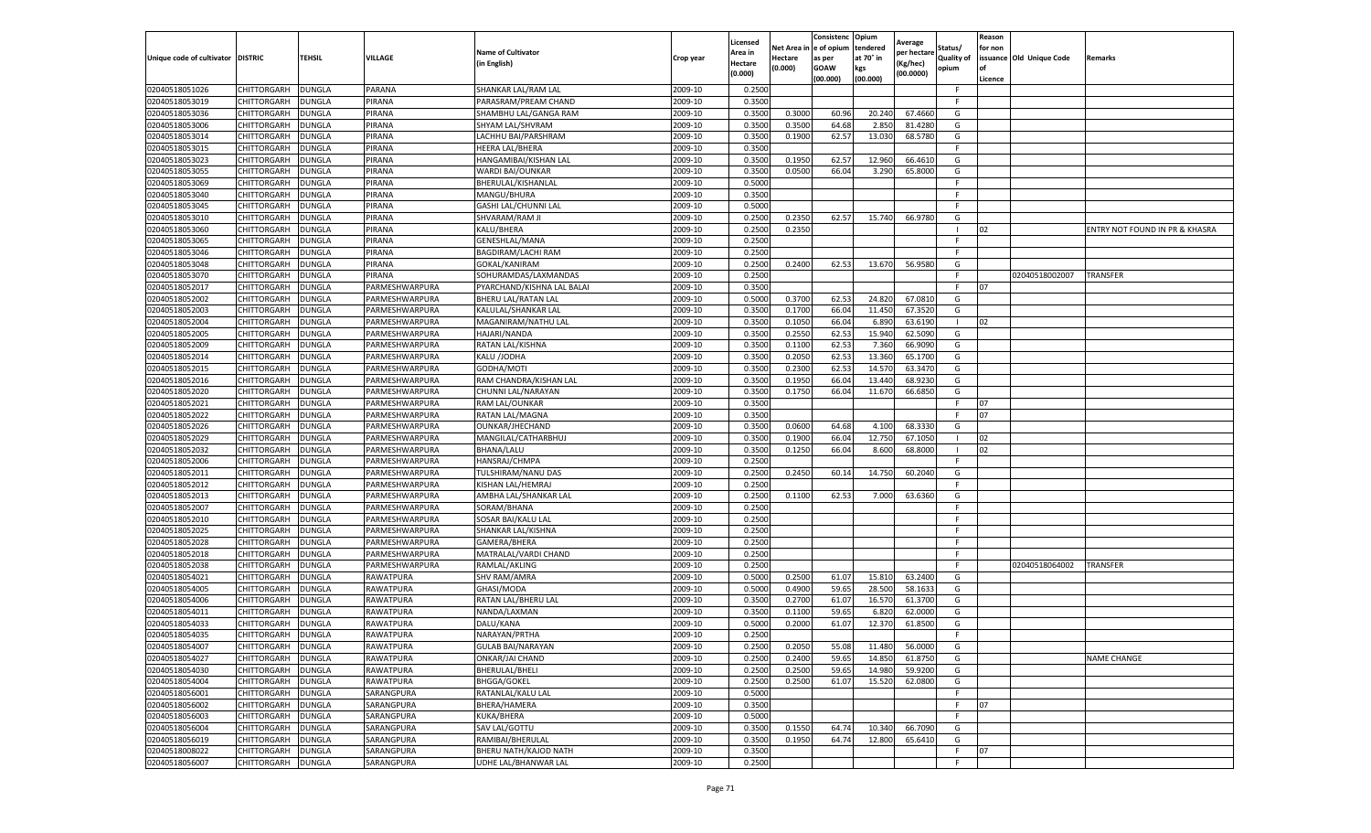|                                   |                            |                                |                                  |                                           |                    | Licensed                  | Net Area         | Consistenc<br>e of opium | Opium<br>tendered | Average                 | Status/           | Reason<br>for non |                          |                                |
|-----------------------------------|----------------------------|--------------------------------|----------------------------------|-------------------------------------------|--------------------|---------------------------|------------------|--------------------------|-------------------|-------------------------|-------------------|-------------------|--------------------------|--------------------------------|
| Unique code of cultivator DISTRIC |                            | <b>TEHSIL</b>                  | VILLAGE                          | <b>Name of Cultivator</b><br>(in English) | Crop year          | Area in<br><b>Hectare</b> | Hectare          | as per                   | at 70° in         | per hectarı<br>(Kg/hec) | <b>Quality of</b> |                   | issuance Old Unique Code | Remarks                        |
|                                   |                            |                                |                                  |                                           |                    | (0.000)                   | (0.000)          | <b>GOAW</b><br>(00.000)  | kgs<br>(00.000)   | (00.0000)               | opium             | of<br>Licence     |                          |                                |
| 02040518051026                    | CHITTORGARH                | <b>DUNGLA</b>                  | PARANA                           | SHANKAR LAL/RAM LAL                       | 2009-10            | 0.2500                    |                  |                          |                   |                         | F                 |                   |                          |                                |
| 02040518053019                    | CHITTORGARH                | <b>DUNGLA</b>                  | PIRANA                           | PARASRAM/PREAM CHAND                      | 2009-10            | 0.3500                    |                  |                          |                   |                         | F                 |                   |                          |                                |
| 02040518053036                    | CHITTORGARH                | <b>DUNGLA</b>                  | PIRANA                           | SHAMBHU LAL/GANGA RAM                     | 2009-10            | 0.3500                    | 0.3000           | 60.96                    | 20.240            | 67.4660                 | G                 |                   |                          |                                |
| 02040518053006                    | CHITTORGARH                | <b>DUNGLA</b>                  | PIRANA                           | SHYAM LAL/SHVRAM                          | 2009-10            | 0.3500                    | 0.3500           | 64.68                    | 2.850             | 81.4280                 | G                 |                   |                          |                                |
| 02040518053014                    | CHITTORGARH                | <b>DUNGLA</b>                  | PIRANA                           | LACHHU BAI/PARSHRAM                       | 2009-10            | 0.3500                    | 0.1900           | 62.57                    | 13.030            | 68.5780                 | G                 |                   |                          |                                |
| 02040518053015                    | CHITTORGARH                | DUNGLA                         | PIRANA                           | HEERA LAL/BHERA                           | 2009-10            | 0.3500                    |                  |                          |                   |                         |                   |                   |                          |                                |
| 02040518053023                    | CHITTORGARH                | <b>DUNGLA</b>                  | PIRANA                           | HANGAMIBAI/KISHAN LAL                     | 2009-10            | 0.3500                    | 0.1950           | 62.57                    | 12.960            | 66.4610                 | G                 |                   |                          |                                |
| 02040518053055                    | CHITTORGARH                | <b>DUNGLA</b>                  | PIRANA                           | <b>WARDI BAI/OUNKAR</b>                   | 2009-10            | 0.3500                    | 0.0500           | 66.04                    | 3.290             | 65.8000                 | G                 |                   |                          |                                |
| 02040518053069                    | CHITTORGARH                | <b>DUNGLA</b>                  | PIRANA                           | BHERULAL/KISHANLAL                        | 2009-10            | 0.5000                    |                  |                          |                   |                         | F.                |                   |                          |                                |
| 02040518053040                    | CHITTORGARH                | <b>DUNGLA</b>                  | PIRANA                           | MANGU/BHURA                               | 2009-10            | 0.3500                    |                  |                          |                   |                         |                   |                   |                          |                                |
| 02040518053045                    | CHITTORGARH                | <b>DUNGLA</b>                  | PIRANA                           | GASHI LAL/CHUNNI LAL                      | 2009-10            | 0.5000                    |                  |                          |                   |                         |                   |                   |                          |                                |
| 02040518053010                    | CHITTORGARH                | DUNGLA                         | PIRANA                           | SHVARAM/RAM JI                            | 2009-10            | 0.2500                    | 0.2350           | 62.57                    | 15.740            | 66.9780                 | G                 |                   |                          |                                |
| 02040518053060                    | CHITTORGARH                | DUNGLA                         | PIRANA                           | KALU/BHERA                                | 2009-10            | 0.2500                    | 0.2350           |                          |                   |                         |                   | 02                |                          | ENTRY NOT FOUND IN PR & KHASRA |
| 02040518053065                    | CHITTORGARH                | <b>DUNGLA</b>                  | PIRANA                           | GENESHLAL/MANA                            | 2009-10            | 0.2500                    |                  |                          |                   |                         | F.                |                   |                          |                                |
| 02040518053046                    | CHITTORGARH                | <b>DUNGLA</b>                  | PIRANA                           | BAGDIRAM/LACHI RAM                        | 2009-10            | 0.2500                    |                  |                          |                   |                         | F                 |                   |                          |                                |
| 02040518053048                    | CHITTORGARH                | <b>DUNGLA</b>                  | PIRANA                           | GOKAL/KANIRAM                             | 2009-10            | 0.2500                    | 0.2400           | 62.53                    | 13.670            | 56.9580                 | G                 |                   |                          |                                |
| 02040518053070                    | CHITTORGARH                | <b>DUNGLA</b>                  | PIRANA                           | SOHURAMDAS/LAXMANDAS                      | 2009-10            | 0.2500                    |                  |                          |                   |                         |                   |                   | 02040518002007           | <b>TRANSFER</b>                |
| 02040518052017                    | CHITTORGARH                | DUNGLA                         | PARMESHWARPURA                   | PYARCHAND/KISHNA LAL BALAI                | 2009-10            | 0.3500                    |                  |                          |                   |                         |                   | 07                |                          |                                |
| 02040518052002                    | CHITTORGARH                | <b>DUNGLA</b>                  | PARMESHWARPURA                   | <b>BHERU LAL/RATAN LAL</b>                | 2009-10            | 0.5000                    | 0.3700           | 62.53                    | 24.820            | 67.0810                 | G                 |                   |                          |                                |
| 02040518052003                    | CHITTORGARH                | <b>DUNGLA</b>                  | PARMESHWARPURA                   | KALULAL/SHANKAR LAL                       | 2009-10            | 0.3500                    | 0.1700           | 66.04                    | 11.450            | 67.3520                 | G                 |                   |                          |                                |
| 02040518052004                    | CHITTORGARH                | <b>DUNGLA</b>                  | PARMESHWARPURA                   | MAGANIRAM/NATHU LAL                       | 2009-10            | 0.3500                    | 0.1050           | 66.04                    | 6.890             | 63.6190                 | -1                | 02                |                          |                                |
| 02040518052005                    | CHITTORGARH                | <b>DUNGLA</b>                  | PARMESHWARPURA                   | HAJARI/NANDA                              | 2009-10            | 0.3500                    | 0.2550           | 62.53                    | 15.940            | 62.5090                 | G                 |                   |                          |                                |
| 02040518052009                    | CHITTORGARH                | <b>DUNGLA</b>                  | PARMESHWARPURA                   | RATAN LAL/KISHNA                          | 2009-10            | 0.3500                    | 0.1100           | 62.53                    | 7.360             | 66.9090                 | G                 |                   |                          |                                |
| 02040518052014                    | CHITTORGARH                | DUNGLA                         | PARMESHWARPURA                   | KALU /JODHA                               | 2009-10            | 0.3500                    | 0.2050           | 62.53                    | 13.360            | 65.1700                 | G                 |                   |                          |                                |
| 02040518052015                    | CHITTORGARH                | <b>DUNGLA</b>                  | PARMESHWARPURA                   | GODHA/MOTI                                | 2009-10            | 0.3500                    | 0.2300           | 62.53                    | 14.570            | 63.3470                 | G                 |                   |                          |                                |
| 02040518052016                    | CHITTORGARH                | <b>DUNGLA</b>                  | PARMESHWARPURA                   | RAM CHANDRA/KISHAN LAL                    | 2009-10            | 0.3500                    | 0.1950           | 66.04                    | 13.440            | 68.9230                 | G                 |                   |                          |                                |
| 02040518052020                    | CHITTORGARH                | <b>DUNGLA</b>                  | PARMESHWARPURA                   | CHUNNI LAL/NARAYAN                        | 2009-10            | 0.3500                    | 0.1750           | 66.04                    | 11.670            | 66.6850                 | G                 |                   |                          |                                |
| 02040518052021                    | CHITTORGARH                | <b>DUNGLA</b>                  | PARMESHWARPURA                   | RAM LAL/OUNKAR                            | 2009-10            | 0.3500                    |                  |                          |                   |                         | F.                | 07                |                          |                                |
| 02040518052022                    | CHITTORGARH                | <b>DUNGLA</b>                  | PARMESHWARPURA                   | RATAN LAL/MAGNA                           | 2009-10            | 0.3500                    |                  |                          |                   |                         |                   | 07                |                          |                                |
| 02040518052026                    | CHITTORGARH<br>CHITTORGARH | DUNGLA                         | PARMESHWARPURA<br>PARMESHWARPURA | OUNKAR/JHECHAND                           | 2009-10<br>2009-10 | 0.3500<br>0.3500          | 0.0600<br>0.1900 | 64.68<br>66.04           | 4.100<br>12.750   | 68.3330<br>67.1050      | G                 | 02                |                          |                                |
| 02040518052029                    |                            | <b>DUNGLA</b>                  |                                  | MANGILAL/CATHARBHUJ                       |                    |                           |                  |                          |                   |                         |                   | 02                |                          |                                |
| 02040518052032<br>02040518052006  | CHITTORGARH                | <b>DUNGLA</b><br><b>DUNGLA</b> | PARMESHWARPURA<br>PARMESHWARPURA | <b>BHANA/LALU</b><br><b>HANSRAJ/CHMPA</b> | 2009-10<br>2009-10 | 0.3500<br>0.2500          | 0.1250           | 66.04                    | 8.600             | 68.8000                 | F.                |                   |                          |                                |
| 02040518052011                    | CHITTORGARH<br>CHITTORGARH | <b>DUNGLA</b>                  | PARMESHWARPURA                   | TULSHIRAM/NANU DAS                        | 2009-10            | 0.2500                    | 0.2450           | 60.14                    | 14.750            | 60.2040                 | G                 |                   |                          |                                |
| 02040518052012                    | CHITTORGARH                | <b>DUNGLA</b>                  | PARMESHWARPURA                   | KISHAN LAL/HEMRAJ                         | 2009-10            | 0.2500                    |                  |                          |                   |                         |                   |                   |                          |                                |
| 02040518052013                    | CHITTORGARH                | <b>DUNGLA</b>                  | PARMESHWARPURA                   | AMBHA LAL/SHANKAR LAL                     | 2009-10            | 0.2500                    | 0.1100           | 62.53                    | 7.000             | 63.6360                 | G                 |                   |                          |                                |
| 02040518052007                    | CHITTORGARH                | DUNGLA                         | PARMESHWARPURA                   | SORAM/BHANA                               | 2009-10            | 0.2500                    |                  |                          |                   |                         |                   |                   |                          |                                |
| 02040518052010                    | CHITTORGARH                | <b>DUNGLA</b>                  | PARMESHWARPURA                   | SOSAR BAI/KALU LAI                        | 2009-10            | 0.2500                    |                  |                          |                   |                         | F                 |                   |                          |                                |
| 02040518052025                    | CHITTORGARH                | <b>DUNGLA</b>                  | PARMESHWARPURA                   | SHANKAR LAL/KISHNA                        | 2009-10            | 0.2500                    |                  |                          |                   |                         | F.                |                   |                          |                                |
| 02040518052028                    | CHITTORGARH                | <b>DUNGLA</b>                  | PARMESHWARPURA                   | GAMERA/BHERA                              | 2009-10            | 0.2500                    |                  |                          |                   |                         | F.                |                   |                          |                                |
| 02040518052018                    | CHITTORGARH                | <b>DUNGLA</b>                  | PARMESHWARPURA                   | MATRALAL/VARDI CHAND                      | 2009-10            | 0.2500                    |                  |                          |                   |                         | F.                |                   |                          |                                |
| 02040518052038                    | CHITTORGARH                | <b>DUNGLA</b>                  | PARMESHWARPURA                   | RAMLAL/AKLING                             | 2009-10            | 0.2500                    |                  |                          |                   |                         |                   |                   | 02040518064002           | <b>TRANSFER</b>                |
| 02040518054021                    | CHITTORGARH                | DUNGLA                         | RAWATPURA                        | <b>SHV RAM/AMRA</b>                       | 2009-10            | 0.5000                    | 0.2500           | 61.07                    | 15.810            | 63.2400                 | G                 |                   |                          |                                |
| 02040518054005                    | CHITTORGARH                | <b>DUNGLA</b>                  | RAWATPURA                        | GHASI/MODA                                | 2009-10            | 0.5000                    | 0.4900           | 59.65                    | 28.500            | 58.1633                 | G                 |                   |                          |                                |
| 02040518054006                    | CHITTORGARH                | <b>DUNGLA</b>                  | RAWATPURA                        | RATAN LAL/BHERU LAL                       | 2009-10            | 0.3500                    | 0.2700           | 61.07                    | 16.570            | 61.3700                 | G                 |                   |                          |                                |
| 02040518054011                    | CHITTORGARH                | DUNGLA                         | RAWATPURA                        | NANDA/LAXMAN                              | 2009-10            | 0.3500                    | 0.1100           | 59.6                     | 6.82              | 62.0000                 | G                 |                   |                          |                                |
| 02040518054033                    | CHITTORGARH                | <b>DUNGLA</b>                  | RAWATPURA                        | DALU/KANA                                 | 2009-10            | 0.5000                    | 0.2000           | 61.07                    | 12.370            | 61.8500                 | G                 |                   |                          |                                |
| 02040518054035                    | CHITTORGARH                | <b>DUNGLA</b>                  | RAWATPURA                        | NARAYAN/PRTHA                             | 2009-10            | 0.2500                    |                  |                          |                   |                         | F                 |                   |                          |                                |
| 02040518054007                    | <b>CHITTORGARH</b>         | DUNGLA                         | RAWATPURA                        | <b>GULAB BAI/NARAYAN</b>                  | 2009-10            | 0.2500                    | 0.2050           | 55.08                    | 11.480            | 56.0000                 | G                 |                   |                          |                                |
| 02040518054027                    | <b>CHITTORGARH</b>         | <b>DUNGLA</b>                  | RAWATPURA                        | ONKAR/JAI CHAND                           | 2009-10            | 0.2500                    | 0.2400           | 59.65                    | 14.850            | 61.8750                 | G                 |                   |                          | <b>NAME CHANGE</b>             |
| 02040518054030                    | CHITTORGARH                | <b>DUNGLA</b>                  | RAWATPURA                        | BHERULAL/BHELI                            | 2009-10            | 0.2500                    | 0.2500           | 59.65                    | 14.980            | 59.9200                 | G                 |                   |                          |                                |
| 02040518054004                    | CHITTORGARH                | <b>DUNGLA</b>                  | RAWATPURA                        | <b>BHGGA/GOKEL</b>                        | 2009-10            | 0.2500                    | 0.2500           | 61.07                    | 15.520            | 62.0800                 | G                 |                   |                          |                                |
| 02040518056001                    | CHITTORGARH                | <b>DUNGLA</b>                  | SARANGPURA                       | RATANLAL/KALU LAL                         | 2009-10            | 0.5000                    |                  |                          |                   |                         |                   |                   |                          |                                |
| 02040518056002                    | CHITTORGARH                | <b>DUNGLA</b>                  | SARANGPURA                       | BHERA/HAMERA                              | 2009-10            | 0.3500                    |                  |                          |                   |                         |                   | 07                |                          |                                |
| 02040518056003                    | CHITTORGARH                | <b>DUNGLA</b>                  | SARANGPURA                       | <b>KUKA/BHERA</b>                         | 2009-10            | 0.5000                    |                  |                          |                   |                         |                   |                   |                          |                                |
| 02040518056004                    | CHITTORGARH                | <b>DUNGLA</b>                  | SARANGPURA                       | SAV LAL/GOTTU                             | 2009-10            | 0.3500                    | 0.1550           | 64.74                    | 10.340            | 66.7090                 | G                 |                   |                          |                                |
| 02040518056019                    | CHITTORGARH                | <b>DUNGLA</b>                  | SARANGPURA                       | RAMIBAI/BHERULAL                          | 2009-10            | 0.3500                    | 0.1950           | 64.74                    | 12.800            | 65.6410                 | G                 |                   |                          |                                |
| 02040518008022                    | CHITTORGARH                | <b>DUNGLA</b>                  | SARANGPURA                       | BHERU NATH/KAJOD NATH                     | 2009-10            | 0.3500                    |                  |                          |                   |                         | F.                | 07                |                          |                                |
| 02040518056007                    | CHITTORGARH                | <b>DUNGLA</b>                  | SARANGPURA                       | UDHE LAL/BHANWAR LAL                      | 2009-10            | 0.2500                    |                  |                          |                   |                         | F.                |                   |                          |                                |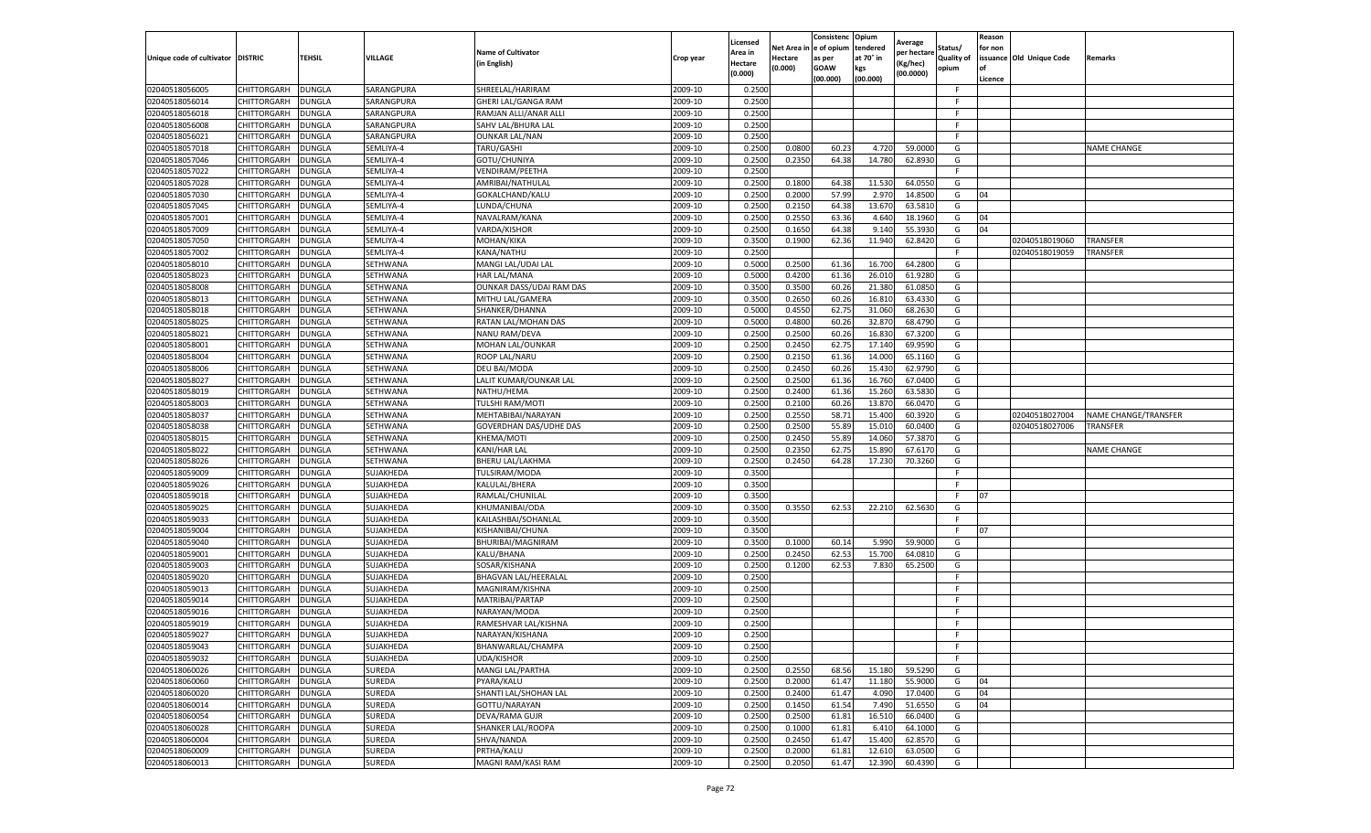|                                   |                                   |                                |                        |                                   |                    | Licensed         |                       | Consistenc Opium     |                       | Average              |                              | Reason  |                          |                      |
|-----------------------------------|-----------------------------------|--------------------------------|------------------------|-----------------------------------|--------------------|------------------|-----------------------|----------------------|-----------------------|----------------------|------------------------------|---------|--------------------------|----------------------|
| Unique code of cultivator DISTRIC |                                   | <b>TEHSIL</b>                  | VILLAGE                | <b>Name of Cultivator</b>         | Crop year          | Area in          | Net Area i<br>Hectare | e of opium<br>as per | tendered<br>at 70° in | per hectare          | Status/<br><b>Quality of</b> | for non | issuance Old Unique Code | Remarks              |
|                                   |                                   |                                |                        | in English)                       |                    | <b>Hectare</b>   | (0.000)               | <b>GOAW</b>          | kgs                   | Kg/hec)<br>(00.0000) | opium                        | of      |                          |                      |
|                                   |                                   |                                |                        |                                   |                    | (0.000)          |                       | (00.000)             | (00.000)              |                      |                              | Licence |                          |                      |
| 02040518056005                    | CHITTORGARH                       | DUNGLA                         | SARANGPURA             | SHREELAL/HARIRAM                  | 2009-10            | 0.2500           |                       |                      |                       |                      | F.                           |         |                          |                      |
| 02040518056014                    | CHITTORGARH                       | <b>DUNGLA</b>                  | SARANGPURA             | GHERI LAL/GANGA RAM               | 2009-10            | 0.2500           |                       |                      |                       |                      | F.                           |         |                          |                      |
| 02040518056018                    | CHITTORGARH                       | <b>DUNGLA</b>                  | SARANGPURA             | RAMJAN ALLI/ANAR ALLI             | 2009-10            | 0.2500           |                       |                      |                       |                      | F                            |         |                          |                      |
| 02040518056008                    | CHITTORGARH                       | <b>DUNGLA</b>                  | SARANGPURA             | SAHV LAL/BHURA LAL                | 2009-10            | 0.2500           |                       |                      |                       |                      | F                            |         |                          |                      |
| 02040518056021                    | CHITTORGARH                       | DUNGLA                         | SARANGPURA             | <b>OUNKAR LAL/NAN</b>             | 2009-10            | 0.2500           |                       |                      |                       |                      | F                            |         |                          |                      |
| 02040518057018                    | CHITTORGARH                       | DUNGLA                         | SEMLIYA-4              | TARU/GASHI                        | 2009-10            | 0.2500           | 0.0800                | 60.23                | 4.720                 | 59.0000              | G                            |         |                          | <b>NAME CHANGE</b>   |
| 02040518057046                    | CHITTORGARH                       | DUNGLA                         | SEMLIYA-4              | GOTU/CHUNIYA                      | 2009-10            | 0.2500           | 0.2350                | 64.38                | 14.780                | 62.8930              | G                            |         |                          |                      |
| 02040518057022                    | CHITTORGARH                       | DUNGLA                         | SEMLIYA-4              | VENDIRAM/PEETHA                   | 2009-10            | 0.2500           |                       |                      |                       |                      | F.                           |         |                          |                      |
| 02040518057028                    | CHITTORGARH                       | <b>DUNGLA</b>                  | SEMLIYA-4              | AMRIBAI/NATHULAL                  | 2009-10            | 0.2500           | 0.1800                | 64.38                | 11.530                | 64.0550              | G                            |         |                          |                      |
| 02040518057030                    | CHITTORGARH                       | DUNGLA                         | SEMLIYA-4              | GOKALCHAND/KALU                   | 2009-10            | 0.2500           | 0.2000                | 57.99                | 2.97                  | 14.8500              | G                            | 04      |                          |                      |
| 02040518057045                    | CHITTORGARH                       | <b>DUNGLA</b>                  | SEMLIYA-4              | LUNDA/CHUNA                       | 2009-10            | 0.2500           | 0.2150                | 64.38                | 13.67                 | 63.5810              | G                            |         |                          |                      |
| 02040518057001                    | CHITTORGARH                       | <b>DUNGLA</b>                  | SEMLIYA-4              | NAVALRAM/KANA                     | 2009-10            | 0.2500           | 0.2550                | 63.36                | 4.64                  | 18.1960              | G                            | 04      |                          |                      |
| 02040518057009                    | CHITTORGARH                       | DUNGLA                         | SEMLIYA-4              | VARDA/KISHOR                      | 2009-10            | 0.2500           | 0.1650                | 64.38                | 9.14                  | 55.3930              | G                            | 04      |                          |                      |
| 02040518057050                    | CHITTORGARH                       | <b>DUNGLA</b>                  | SEMLIYA-4              | MOHAN/KIKA                        | 2009-10            | 0.3500           | 0.1900                | 62.36                | 11.940                | 62.8420              | G                            |         | 02040518019060           | <b>TRANSFER</b>      |
| 02040518057002                    | CHITTORGARH                       | DUNGLA                         | SEMLIYA-4              | KANA/NATHU                        | 2009-10            | 0.2500           |                       |                      |                       |                      | F                            |         | 02040518019059           | TRANSFER             |
| 02040518058010                    | CHITTORGARH                       | <b>DUNGLA</b>                  | SETHWANA               | MANGI LAL/UDAI LAL                | 2009-10            | 0.5000           | 0.2500                | 61.36                | 16.700                | 64.2800              | G                            |         |                          |                      |
| 02040518058023                    | CHITTORGARH                       | DUNGLA                         | SETHWANA               | HAR LAL/MANA                      | 2009-10            | 0.5000           | 0.4200                | 61.36                | 26.01                 | 61.9280              | G                            |         |                          |                      |
| 02040518058008                    | CHITTORGARH                       | <b>DUNGLA</b>                  | SETHWANA               | OUNKAR DASS/UDAI RAM DAS          | 2009-10            | 0.3500           | 0.3500                | 60.26                | 21.38                 | 61.0850              | G                            |         |                          |                      |
| 02040518058013                    | CHITTORGARH                       | <b>DUNGLA</b>                  | SETHWANA               | MITHU LAL/GAMERA                  | 2009-10            | 0.3500           | 0.2650                | 60.26                | 16.81                 | 63.4330              | G                            |         |                          |                      |
| 02040518058018                    | CHITTORGARH                       | DUNGLA                         | SETHWANA               | SHANKER/DHANNA                    | 2009-10            | 0.5000           | 0.4550                | 62.75                | 31.06                 | 68.2630              | G                            |         |                          |                      |
| 02040518058025                    | CHITTORGARH                       | <b>DUNGLA</b>                  | SETHWANA               | RATAN LAL/MOHAN DAS               | 2009-10            | 0.5000           | 0.4800                | 60.26                | 32.87                 | 68.4790              | G                            |         |                          |                      |
| 02040518058021                    | CHITTORGARH                       | <b>DUNGLA</b>                  | SETHWANA               | NANU RAM/DEVA                     | 2009-10            | 0.2500           | 0.2500                | 60.26                | 16.83                 | 67.3200              | G                            |         |                          |                      |
| 02040518058001                    | CHITTORGARH                       | <b>DUNGLA</b>                  | SETHWANA               | MOHAN LAL/OUNKAR                  | 2009-10            | 0.2500           | 0.2450                | 62.75                | 17.14                 | 69.9590              | G                            |         |                          |                      |
| 02040518058004                    | CHITTORGARH                       | DUNGLA                         | SETHWANA               | ROOP LAL/NARU                     | 2009-10            | 0.2500           | 0.2150                | 61.36                | 14.000                | 65.1160              | G                            |         |                          |                      |
| 02040518058006                    | CHITTORGARH                       | DUNGLA                         | SETHWANA               | DEU BAI/MODA                      | 2009-10            | 0.2500           | 0.2450                | 60.26                | 15.43                 | 62.9790              | G                            |         |                          |                      |
| 02040518058027                    | CHITTORGARH                       | DUNGLA                         | SETHWANA               | LALIT KUMAR/OUNKAR LAL            | 2009-10            | 0.2500           | 0.2500                | 61.36                | 16.760                | 67.0400              | G                            |         |                          |                      |
| 02040518058019                    | CHITTORGARH                       | DUNGLA                         | SETHWANA               | NATHU/HEMA                        | 2009-10            | 0.2500           | 0.2400                | 61.36                | 15.26                 | 63.5830              | G                            |         |                          |                      |
| 02040518058003                    | CHITTORGARH                       | <b>DUNGLA</b>                  | SETHWANA               | TULSHI RAM/MOTI                   | 2009-10            | 0.2500           | 0.2100                | 60.26                | 13.870                | 66.0470              | G                            |         |                          |                      |
| 02040518058037                    | CHITTORGARH                       | <b>DUNGLA</b>                  | SETHWANA               | MEHTABIBAI/NARAYAN                | 2009-10            | 0.2500           | 0.2550                | 58.71                | 15.400                | 60.3920              | G                            |         | 02040518027004           | NAME CHANGE/TRANSFER |
| 02040518058038                    | CHITTORGARH                       | <b>DUNGLA</b>                  | SETHWANA               | GOVERDHAN DAS/UDHE DAS            | 2009-10            | 0.2500           | 0.2500                | 55.89                | 15.01                 | 60.0400              | G                            |         | 02040518027006           | TRANSFER             |
| 02040518058015                    | CHITTORGARH                       | DUNGLA                         | SETHWANA               | KHEMA/MOTI                        | 2009-10            | 0.2500           | 0.2450                | 55.89                | 14.060                | 57.3870              | G                            |         |                          |                      |
| 02040518058022                    | CHITTORGARH                       | DUNGLA                         | SETHWANA               | KANI/HAR LAL                      | 2009-10            | 0.2500           | 0.2350                | 62.7                 | 15.89                 | 67.6170              | G                            |         |                          | <b>NAME CHANGE</b>   |
| 02040518058026                    | CHITTORGARH                       | <b>DUNGLA</b>                  | SETHWANA               | BHERU LAL/LAKHMA                  | 2009-10            | 0.2500           | 0.2450                | 64.28                | 17.230                | 70.3260              | G                            |         |                          |                      |
| 02040518059009                    | CHITTORGARH                       | <b>DUNGLA</b>                  | SUJAKHEDA<br>SUJAKHEDA | TULSIRAM/MODA                     | 2009-10<br>2009-10 | 0.3500<br>0.3500 |                       |                      |                       |                      | F.<br>F.                     |         |                          |                      |
| 02040518059026                    | CHITTORGARH                       | <b>DUNGLA</b><br><b>DUNGLA</b> |                        | KALULAL/BHERA                     | 2009-10            | 0.3500           |                       |                      |                       |                      | F                            | 07      |                          |                      |
| 02040518059018                    | CHITTORGARH<br>CHITTORGARH        |                                | SUJAKHEDA<br>SUJAKHEDA | RAMLAL/CHUNILAL<br>KHUMANIBAI/ODA |                    |                  |                       |                      |                       | 62.5630              | G                            |         |                          |                      |
| 02040518059025                    |                                   | DUNGLA                         |                        |                                   | 2009-10            | 0.3500           | 0.3550                | 62.53                | 22.210                |                      | F                            |         |                          |                      |
| 02040518059033                    | CHITTORGARH                       | DUNGLA                         | SUJAKHEDA              | KAILASHBAI/SOHANLAL               | 2009-10            | 0.3500           |                       |                      |                       |                      | F.                           | 07      |                          |                      |
| 02040518059004                    | CHITTORGARH                       | DUNGLA                         | SUJAKHEDA<br>SUJAKHEDA | KISHANIBAI/CHUNA                  | 2009-10<br>2009-10 | 0.3500           |                       |                      |                       | 59.9000              |                              |         |                          |                      |
| 02040518059040                    | CHITTORGARH<br><b>CHITTORGARH</b> | <b>DUNGLA</b>                  | SUJAKHEDA              | BHURIBAI/MAGNIRAM                 |                    | 0.3500           | 0.1000<br>0.2450      | 60.14                | 5.990                 | 64.0810              | G<br>G                       |         |                          |                      |
| 02040518059001<br>02040518059003  | CHITTORGARH                       | <b>DUNGLA</b><br>DUNGLA        | SUJAKHEDA              | KALU/BHANA<br>SOSAR/KISHANA       | 2009-10<br>2009-10 | 0.2500<br>0.2500 | 0.1200                | 62.53<br>62.53       | 15.700<br>7.830       | 65.2500              | G                            |         |                          |                      |
| 02040518059020                    | CHITTORGARH                       | <b>DUNGLA</b>                  | SUJAKHEDA              | BHAGVAN LAL/HEERALAL              | 2009-10            | 0.2500           |                       |                      |                       |                      | F                            |         |                          |                      |
| 02040518059013                    | CHITTORGARH                       | DUNGLA                         | SUJAKHEDA              | MAGNIRAM/KISHNA                   | 2009-10            | 0.2500           |                       |                      |                       |                      | F                            |         |                          |                      |
| 02040518059014                    | CHITTORGARH                       | DUNGLA                         | SUJAKHEDA              | MATRIBAI/PARTAP                   | 2009-10            | 0.2500           |                       |                      |                       |                      | F.                           |         |                          |                      |
| 02040518059016                    | CHITTORGARH                       | DUNGLA                         | SUJAKHEDA              | NARAYAN/MODA                      | 2009-10            | 0.2500           |                       |                      |                       |                      | F.                           |         |                          |                      |
| 02040518059019                    | CHITTORGARH                       | <b>DUNGLA</b>                  | SUJAKHEDA              | RAMESHVAR LAL/KISHNA              | 2009-10            | 0.2500           |                       |                      |                       |                      | F.                           |         |                          |                      |
| 02040518059027                    | CHITTORGARH                       | <b>DUNGLA</b>                  | SUJAKHEDA              | NARAYAN/KISHANA                   | 2009-10            | 0.2500           |                       |                      |                       |                      | F                            |         |                          |                      |
| 02040518059043                    | CHITTORGARH                       | <b>DUNGLA</b>                  | SUJAKHEDA              | BHANWARLAL/CHAMPA                 | 2009-10            | 0.2500           |                       |                      |                       |                      | F.                           |         |                          |                      |
| 02040518059032                    | <b>CHITTORGARH</b>                | <b>DUNGLA</b>                  | SUJAKHEDA              | <b>UDA/KISHOR</b>                 | 2009-10            | 0.2500           |                       |                      |                       |                      | F                            |         |                          |                      |
| 02040518060026                    | <b>CHITTORGARH</b>                | <b>DUNGLA</b>                  | SUREDA                 | MANGI LAL/PARTHA                  | 2009-10            | 0.2500           | 0.2550                | 68.56                | 15.180                | 59.5290              | G                            |         |                          |                      |
| 02040518060060                    | <b>CHITTORGARH</b>                | <b>DUNGLA</b>                  | SUREDA                 | PYARA/KALU                        | 2009-10            | 0.2500           | 0.2000                | 61.47                | 11.180                | 55.9000              | G                            | 04      |                          |                      |
| 02040518060020                    | <b>CHITTORGARH</b>                | <b>DUNGLA</b>                  | SUREDA                 | SHANTI LAL/SHOHAN LAL             | 2009-10            | 0.2500           | 0.2400                | 61.47                | 4.090                 | 17.0400              | G                            | 04      |                          |                      |
| 02040518060014                    | CHITTORGARH                       | <b>DUNGLA</b>                  | SUREDA                 | GOTTU/NARAYAN                     | 2009-10            | 0.2500           | 0.1450                | 61.54                | 7.490                 | 51.6550              | G                            | 04      |                          |                      |
| 02040518060054                    | <b>CHITTORGARH</b>                | <b>DUNGLA</b>                  | SUREDA                 | DEVA/RAMA GUJR                    | 2009-10            | 0.2500           | 0.2500                | 61.81                | 16.510                | 66.0400              | G                            |         |                          |                      |
| 02040518060028                    | <b>CHITTORGARH</b>                | DUNGLA                         | SUREDA                 | SHANKER LAL/ROOPA                 | 2009-10            | 0.2500           | 0.1000                | 61.81                | 6.41                  | 64.1000              | G                            |         |                          |                      |
| 02040518060004                    | CHITTORGARH                       | <b>DUNGLA</b>                  | SUREDA                 | SHVA/NANDA                        | 2009-10            | 0.2500           | 0.2450                | 61.47                | 15.400                | 62.8570              | G                            |         |                          |                      |
| 02040518060009                    | <b>CHITTORGARH</b>                | <b>DUNGLA</b>                  | SUREDA                 | PRTHA/KALU                        | 2009-10            | 0.2500           | 0.2000                | 61.81                | 12.610                | 63.0500              | G                            |         |                          |                      |
| 02040518060013                    | <b>CHITTORGARH</b>                | <b>DUNGLA</b>                  | SUREDA                 | MAGNI RAM/KASI RAM                | 2009-10            | 0.2500           | 0.2050                | 61.47                | 12.390                | 60.4390              | G                            |         |                          |                      |
|                                   |                                   |                                |                        |                                   |                    |                  |                       |                      |                       |                      |                              |         |                          |                      |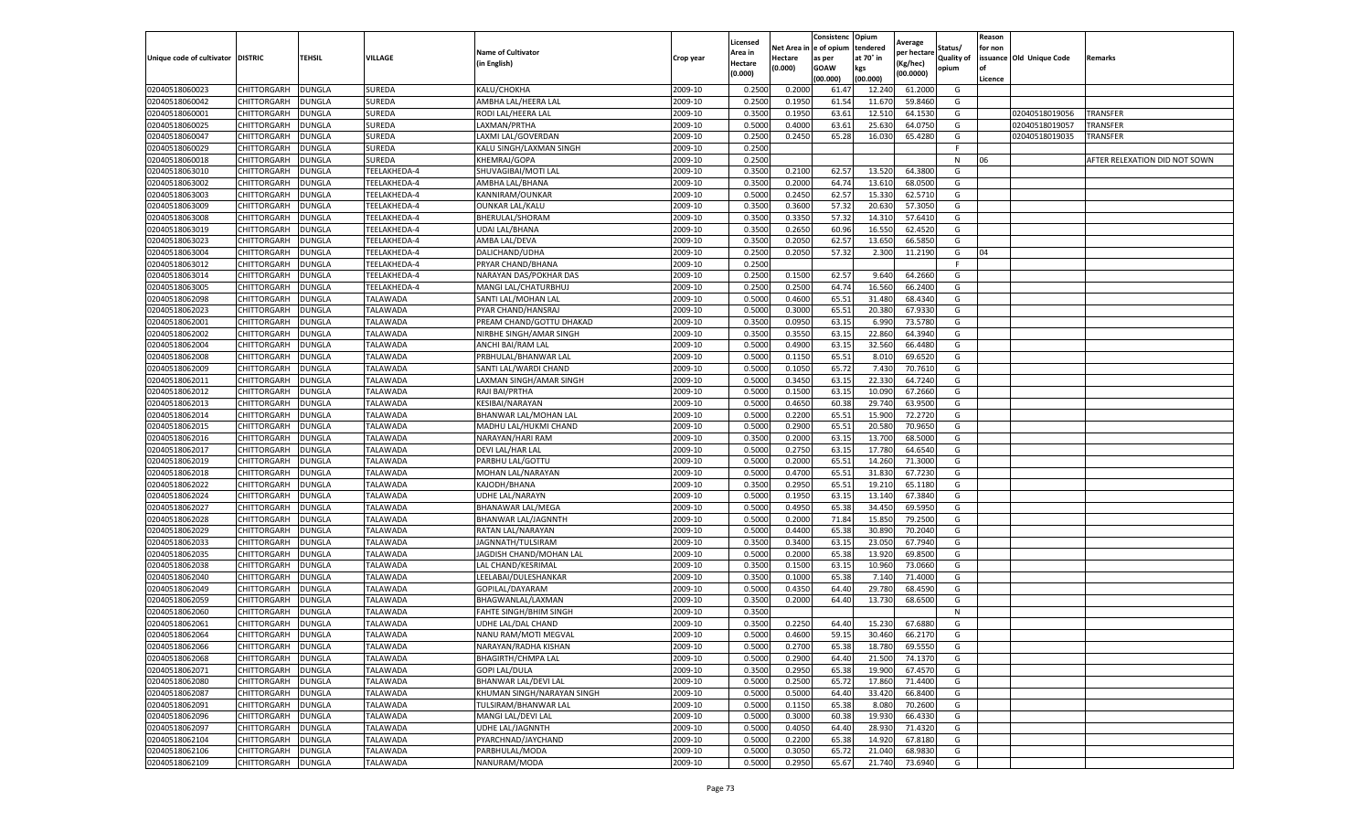|                                   |                    |               |                 |                               |           | Licensed |          | Consistenc   | Opium     | Average     |                   | Reason  |                          |                               |
|-----------------------------------|--------------------|---------------|-----------------|-------------------------------|-----------|----------|----------|--------------|-----------|-------------|-------------------|---------|--------------------------|-------------------------------|
|                                   |                    |               |                 | <b>Name of Cultivator</b>     |           | Area in  | Net Area | n e of opium | tendered  | per hectarı | Status/           | for non |                          |                               |
| Unique code of cultivator DISTRIC |                    | TEHSIL        | VILLAGE         | (in English)                  | Crop year | Hectare  | Hectare  | as per       | at 70° in | (Kg/hec)    | <b>Quality of</b> |         | issuance Old Unique Code | Remarks                       |
|                                   |                    |               |                 |                               |           | (0.000)  | (0.000)  | <b>GOAW</b>  | kgs       | (00.0000)   | opium             | οf      |                          |                               |
|                                   |                    |               |                 |                               |           |          |          | (00.000)     | (00.000)  |             |                   | Licence |                          |                               |
| 02040518060023                    | CHITTORGARH        | <b>DUNGLA</b> | SUREDA          | KALU/CHOKHA                   | 2009-10   | 0.2500   | 0.2000   | 61.4         | 12.240    | 61.2000     | G                 |         |                          |                               |
| 02040518060042                    | CHITTORGARH        | <b>DUNGLA</b> | SUREDA          | AMBHA LAL/HEERA LAL           | 2009-10   | 0.2500   | 0.1950   | 61.54        | 11.67     | 59.8460     | G                 |         |                          |                               |
| 02040518060001                    | CHITTORGARH        | <b>DUNGLA</b> | SUREDA          | RODI LAL/HEERA LAL            | 2009-10   | 0.3500   | 0.1950   | 63.61        | 12.510    | 64.1530     | G                 |         | 02040518019056           | TRANSFER                      |
| 02040518060025                    | CHITTORGARH        | <b>DUNGLA</b> | SUREDA          | LAXMAN/PRTHA                  | 2009-10   | 0.5000   | 0.4000   | 63.61        | 25.630    | 64.0750     | G                 |         | 02040518019057           | TRANSFER                      |
| 02040518060047                    | CHITTORGARH        | <b>DUNGLA</b> | SUREDA          | LAXMI LAL/GOVERDAN            | 2009-10   | 0.2500   | 0.2450   | 65.28        | 16.030    | 65.4280     | G                 |         | 02040518019035           | TRANSFER                      |
| 02040518060029                    | CHITTORGARH        | DUNGLA        | SUREDA          | KALU SINGH/LAXMAN SINGH       | 2009-10   | 0.2500   |          |              |           |             |                   |         |                          |                               |
| 02040518060018                    | CHITTORGARH        | <b>DUNGLA</b> | SUREDA          | KHEMRAJ/GOPA                  | 2009-10   | 0.2500   |          |              |           |             | N                 | 06      |                          | AFTER RELEXATION DID NOT SOWN |
| 02040518063010                    | CHITTORGARH        | DUNGLA        | TEELAKHEDA-4    | SHUVAGIBAI/MOTI LAL           | 2009-10   | 0.3500   | 0.2100   | 62.57        | 13.520    | 64.3800     | G                 |         |                          |                               |
| 02040518063002                    | CHITTORGARH        | <b>DUNGLA</b> | TEELAKHEDA-4    | AMBHA LAL/BHANA               | 2009-10   | 0.3500   | 0.2000   | 64.74        | 13.610    | 68.0500     | G                 |         |                          |                               |
| 02040518063003                    | CHITTORGARH        | <b>DUNGLA</b> | TEELAKHEDA-4    | KANNIRAM/OUNKAR               | 2009-10   | 0.5000   | 0.2450   | 62.57        | 15.330    | 62.5710     | G                 |         |                          |                               |
| 02040518063009                    | CHITTORGARH        | <b>DUNGLA</b> | TEELAKHEDA-4    | <b>OUNKAR LAL/KALU</b>        | 2009-10   | 0.3500   | 0.3600   | 57.32        | 20.630    | 57.3050     | G                 |         |                          |                               |
| 02040518063008                    | CHITTORGARH        | <b>DUNGLA</b> | TEELAKHEDA-4    | BHERULAL/SHORAM               | 2009-10   | 0.3500   | 0.3350   | 57.32        | 14.31     | 57.6410     | G                 |         |                          |                               |
| 02040518063019                    | CHITTORGARH        | DUNGLA        | TEELAKHEDA-4    | <b>UDAI LAL/BHANA</b>         | 2009-10   | 0.3500   | 0.2650   | 60.96        | 16.550    | 62.4520     | G                 |         |                          |                               |
| 02040518063023                    | CHITTORGARH        | <b>DUNGLA</b> | TEELAKHEDA-4    | AMBA LAL/DEVA                 | 2009-10   | 0.3500   | 0.2050   | 62.57        | 13.650    | 66.5850     | G                 |         |                          |                               |
| 02040518063004                    | CHITTORGARH        | <b>DUNGLA</b> | TEELAKHEDA-4    | DALICHAND/UDHA                | 2009-10   | 0.2500   | 0.2050   | 57.32        | 2.300     | 11.2190     | G                 | 04      |                          |                               |
| 02040518063012                    | CHITTORGARH        | <b>DUNGLA</b> | TEELAKHEDA-4    | PRYAR CHAND/BHANA             | 2009-10   | 0.2500   |          |              |           |             | F                 |         |                          |                               |
| 02040518063014                    | CHITTORGARH        | <b>DUNGLA</b> | TEELAKHEDA-4    | NARAYAN DAS/POKHAR DAS        | 2009-10   | 0.2500   | 0.1500   | 62.57        | 9.640     | 64.2660     | G                 |         |                          |                               |
| 02040518063005                    | CHITTORGARH        | <b>DUNGLA</b> | TEELAKHEDA-4    | MANGI LAL/CHATURBHU.          | 2009-10   | 0.2500   | 0.2500   | 64.74        | 16.560    | 66.2400     | G                 |         |                          |                               |
| 02040518062098                    | CHITTORGARH        | DUNGLA        | TALAWADA        | SANTI LAL/MOHAN LAL           | 2009-10   | 0.5000   | 0.4600   | 65.51        | 31.480    | 68.4340     | G                 |         |                          |                               |
| 02040518062023                    | CHITTORGARH        | DUNGLA        | <b>TALAWADA</b> | PYAR CHAND/HANSRAJ            | 2009-10   | 0.5000   | 0.3000   | 65.51        | 20.380    | 67.9330     | G                 |         |                          |                               |
| 02040518062001                    | CHITTORGARH        | <b>DUNGLA</b> | TALAWADA        | PREAM CHAND/GOTTU DHAKAD      | 2009-10   | 0.3500   | 0.0950   | 63.15        | 6.990     | 73.5780     | G                 |         |                          |                               |
| 02040518062002                    | CHITTORGARH        | <b>DUNGLA</b> | TALAWADA        | NIRBHE SINGH/AMAR SINGH       | 2009-10   | 0.3500   | 0.3550   | 63.1         | 22.860    | 64.3940     | G                 |         |                          |                               |
| 02040518062004                    | CHITTORGARH        | <b>DUNGLA</b> | TALAWADA        | ANCHI BAI/RAM LAL             | 2009-10   | 0.5000   | 0.4900   | 63.15        | 32.560    | 66.4480     | G                 |         |                          |                               |
| 02040518062008                    | CHITTORGARH        | <b>DUNGLA</b> | TALAWADA        | PRBHULAL/BHANWAR LAL          | 2009-10   | 0.5000   | 0.1150   | 65.51        | 8.010     | 69.6520     | G                 |         |                          |                               |
| 02040518062009                    | CHITTORGARH        | DUNGLA        | TALAWADA        | SANTI LAL/WARDI CHAND         | 2009-10   | 0.5000   | 0.1050   | 65.72        | 7.430     | 70.7610     | G                 |         |                          |                               |
| 02040518062011                    | CHITTORGARH        | <b>DUNGLA</b> | TALAWADA        | LAXMAN SINGH/AMAR SINGH       | 2009-10   | 0.5000   | 0.3450   | 63.15        | 22.330    | 64.7240     | G                 |         |                          |                               |
| 02040518062012                    | CHITTORGARH        | DUNGLA        | TALAWADA        | RAJI BAI/PRTHA                | 2009-10   | 0.5000   | 0.1500   | 63.1         | 10.090    | 67.2660     | G                 |         |                          |                               |
| 02040518062013                    | CHITTORGARH        | <b>DUNGLA</b> | TALAWADA        | KESIBAI/NARAYAN               | 2009-10   | 0.5000   | 0.4650   | 60.38        | 29.740    | 63.9500     | G                 |         |                          |                               |
| 02040518062014                    | CHITTORGARH        | DUNGLA        | TALAWADA        | BHANWAR LAL/MOHAN LAL         | 2009-10   | 0.5000   | 0.2200   | 65.51        | 15.900    | 72.2720     | G                 |         |                          |                               |
| 02040518062015                    | CHITTORGARH        | <b>DUNGLA</b> | TALAWADA        | MADHU LAL/HUKMI CHAND         | 2009-10   | 0.5000   | 0.2900   | 65.51        | 20.580    | 70.9650     | G                 |         |                          |                               |
| 02040518062016                    | CHITTORGARH        | DUNGLA        | TALAWADA        | NARAYAN/HARI RAM              | 2009-10   | 0.3500   | 0.2000   | 63.1         | 13.700    | 68.5000     | G                 |         |                          |                               |
| 02040518062017                    | CHITTORGARH        | DUNGLA        | TALAWADA        | DEVI LAL/HAR LAL              | 2009-10   | 0.5000   | 0.2750   | 63.1         | 17.780    | 64.6540     | G                 |         |                          |                               |
| 02040518062019                    | CHITTORGARH        | <b>DUNGLA</b> | TALAWADA        | PARBHU LAL/GOTTU              | 2009-10   | 0.5000   | 0.2000   | 65.51        | 14.260    | 71.3000     | G                 |         |                          |                               |
| 02040518062018                    | CHITTORGARH        | <b>DUNGLA</b> | TALAWADA        | MOHAN LAL/NARAYAN             | 2009-10   | 0.5000   | 0.4700   | 65.51        | 31.830    | 67.7230     | G                 |         |                          |                               |
| 02040518062022                    | CHITTORGARH        | <b>DUNGLA</b> | TALAWADA        | KAJODH/BHANA                  | 2009-10   | 0.3500   | 0.2950   | 65.51        | 19.210    | 65.1180     | G                 |         |                          |                               |
| 02040518062024                    | CHITTORGARH        | <b>DUNGLA</b> | TALAWADA        | UDHE LAL/NARAYN               | 2009-10   | 0.5000   | 0.1950   | 63.15        | 13.140    | 67.3840     | G                 |         |                          |                               |
| 02040518062027                    | CHITTORGARH        | <b>DUNGLA</b> | TALAWADA        | BHANAWAR LAL/MEGA             | 2009-10   | 0.5000   | 0.4950   | 65.38        | 34.450    | 69.5950     | G                 |         |                          |                               |
| 02040518062028                    | CHITTORGARH        | DUNGLA        | TALAWADA        | BHANWAR LAL/JAGNNTH           | 2009-10   | 0.5000   | 0.2000   | 71.84        | 15.85     | 79.2500     | G                 |         |                          |                               |
| 02040518062029                    | CHITTORGARH        | <b>DUNGLA</b> | TALAWADA        | RATAN LAL/NARAYAN             | 2009-10   | 0.5000   | 0.4400   | 65.38        | 30.890    | 70.2040     | G                 |         |                          |                               |
| 02040518062033                    | CHITTORGARH        | <b>DUNGLA</b> | TALAWADA        | JAGNNATH/TULSIRAM             | 2009-10   | 0.3500   | 0.3400   | 63.15        | 23.050    | 67.7940     | G                 |         |                          |                               |
| 02040518062035                    | CHITTORGARH        | <b>DUNGLA</b> | TALAWADA        | JAGDISH CHAND/MOHAN LAL       | 2009-10   | 0.5000   | 0.2000   | 65.38        | 13.920    | 69.8500     | G                 |         |                          |                               |
| 02040518062038                    | CHITTORGARH        | <b>DUNGLA</b> | TALAWADA        | LAL CHAND/KESRIMAL            | 2009-10   | 0.3500   | 0.1500   | 63.15        | 10.960    | 73.0660     | G                 |         |                          |                               |
| 02040518062040                    | CHITTORGARH        | <b>DUNGLA</b> | TALAWADA        | LEELABAI/DULESHANKAR          | 2009-10   | 0.3500   | 0.1000   | 65.38        | 7.140     | 71.4000     | G                 |         |                          |                               |
| 02040518062049                    | CHITTORGARH        | DUNGLA        | TALAWADA        | GOPILAL/DAYARAM               | 2009-10   | 0.5000   | 0.4350   | 64.40        | 29.780    | 68.4590     | G                 |         |                          |                               |
| 02040518062059                    | CHITTORGARH        | <b>DUNGLA</b> | TALAWADA        | BHAGWANLAL/LAXMAN             | 2009-10   | 0.3500   | 0.2000   | 64.40        | 13.730    | 68.6500     | G                 |         |                          |                               |
| 02040518062060                    | CHITTORGARH        | <b>DUNGLA</b> | TALAWADA        | <b>FAHTE SINGH/BHIM SINGH</b> | 2009-10   | 0.3500   |          |              |           |             | N                 |         |                          |                               |
| 02040518062061                    | CHITTORGARH        | <b>DUNGLA</b> | TALAWADA        | UDHE LAL/DAL CHAND            | 2009-10   | 0.3500   | 0.2250   | 64.40        | 15.230    | 67.6880     | G                 |         |                          |                               |
| 02040518062064                    | CHITTORGARH        | <b>DUNGLA</b> | TALAWADA        | NANU RAM/MOTI MEGVAL          | 2009-10   | 0.5000   | 0.4600   | 59.15        | 30.460    | 66.2170     | G                 |         |                          |                               |
| 02040518062066                    | <b>CHITTORGARH</b> | <b>DUNGLA</b> | <b>TALAWADA</b> | NARAYAN/RADHA KISHAN          | 2009-10   | 0.5000   | 0.2700   | 65.38        | 18.780    | 69.5550     | G                 |         |                          |                               |
| 02040518062068                    | CHITTORGARH        | <b>DUNGLA</b> | TALAWADA        | BHAGIRTH/CHMPA LAL            | 2009-10   | 0.5000   | 0.2900   | 64.40        | 21.500    | 74.1370     | G                 |         |                          |                               |
| 02040518062071                    | CHITTORGARH        | <b>DUNGLA</b> | TALAWADA        | <b>GOPI LAL/DULA</b>          | 2009-10   | 0.3500   | 0.2950   | 65.38        | 19.900    | 67.4570     | G                 |         |                          |                               |
| 02040518062080                    | CHITTORGARH        | <b>DUNGLA</b> | TALAWADA        | BHANWAR LAL/DEVI LAL          | 2009-10   | 0.5000   | 0.2500   | 65.72        | 17.860    | 71.4400     | G                 |         |                          |                               |
| 02040518062087                    | CHITTORGARH        | <b>DUNGLA</b> | TALAWADA        | KHUMAN SINGH/NARAYAN SINGH    | 2009-10   | 0.5000   | 0.5000   | 64.40        | 33.420    | 66.8400     | G                 |         |                          |                               |
| 02040518062091                    | <b>CHITTORGARH</b> | <b>DUNGLA</b> | TALAWADA        | TULSIRAM/BHANWAR LAL          | 2009-10   | 0.5000   | 0.1150   | 65.38        | 8.080     | 70.2600     | G                 |         |                          |                               |
| 02040518062096                    | CHITTORGARH        | <b>DUNGLA</b> | TALAWADA        | MANGI LAL/DEVI LAL            | 2009-10   | 0.5000   | 0.3000   | 60.38        | 19.930    | 66.4330     | G                 |         |                          |                               |
| 02040518062097                    | CHITTORGARH        | <b>DUNGLA</b> | TALAWADA        | <b>UDHE LAL/JAGNNTH</b>       | 2009-10   | 0.5000   | 0.4050   | 64.40        | 28.930    | 71.4320     | G                 |         |                          |                               |
| 02040518062104                    | CHITTORGARH        | <b>DUNGLA</b> | TALAWADA        | PYARCHNAD/JAYCHAND            | 2009-10   | 0.5000   | 0.2200   | 65.38        | 14.920    | 67.8180     | G                 |         |                          |                               |
| 02040518062106                    | CHITTORGARH        | <b>DUNGLA</b> | TALAWADA        | PARBHULAL/MODA                | 2009-10   | 0.5000   | 0.3050   | 65.72        | 21.040    | 68.9830     | G                 |         |                          |                               |
| 02040518062109                    | CHITTORGARH        | <b>DUNGLA</b> | <b>TALAWADA</b> | NANURAM/MODA                  | 2009-10   | 0.5000   | 0.2950   | 65.67        | 21.740    | 73.6940     | G                 |         |                          |                               |
|                                   |                    |               |                 |                               |           |          |          |              |           |             |                   |         |                          |                               |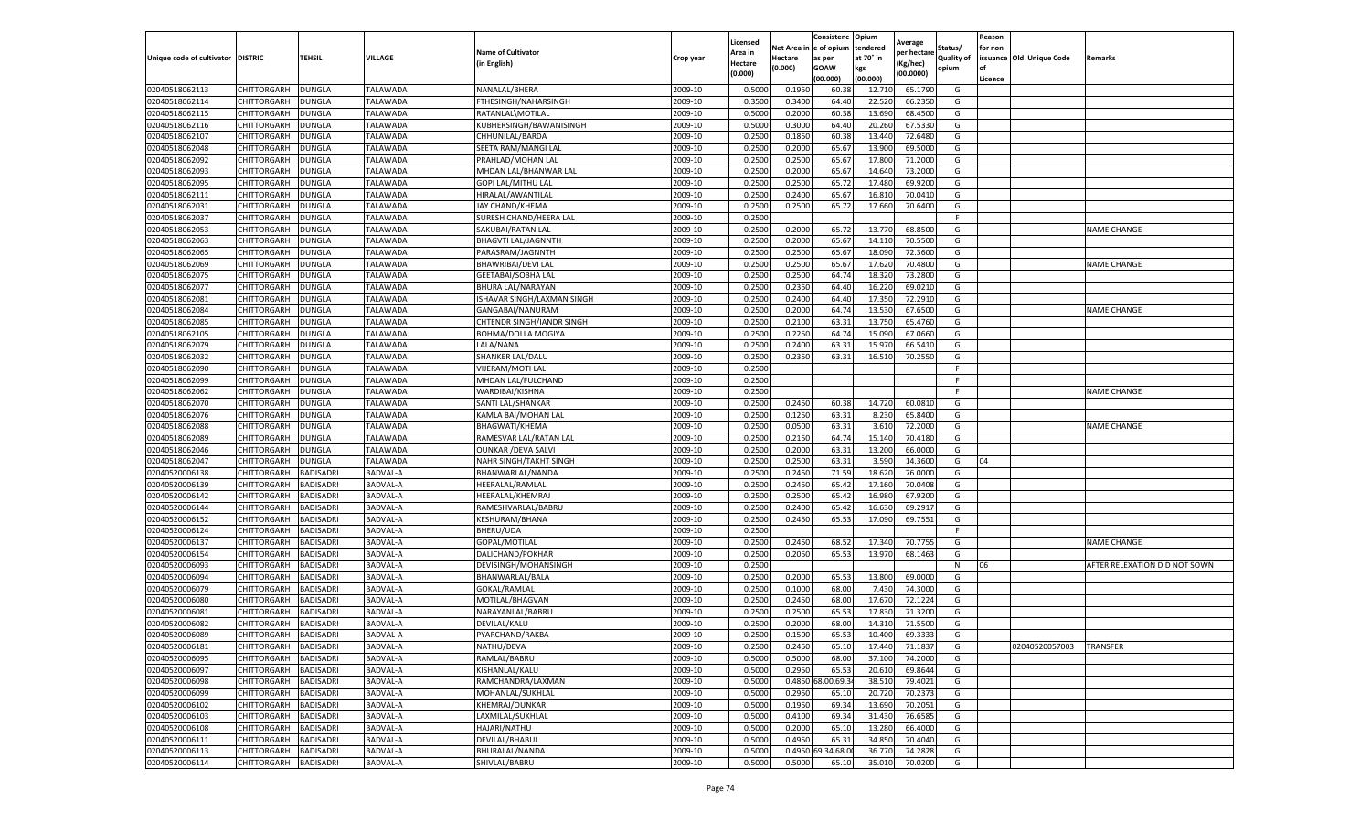|                           |                    |                  |                 |                            |           | Licensed |         | Consistenc             | Opium     |                        |                   | Reason  |                          |                               |
|---------------------------|--------------------|------------------|-----------------|----------------------------|-----------|----------|---------|------------------------|-----------|------------------------|-------------------|---------|--------------------------|-------------------------------|
|                           |                    |                  |                 | <b>Name of Cultivator</b>  |           | Area in  |         | Net Area in e of opium | tendered  | Average<br>per hectare | Status/           | for non |                          |                               |
| Unique code of cultivator | <b>DISTRIC</b>     | TEHSIL           | VILLAGE         | in English)                | Crop year | Hectare  | Hectare | as per                 | at 70° in | (Kg/hec                | <b>Quality of</b> |         | issuance Old Unique Code | <b>Remarks</b>                |
|                           |                    |                  |                 |                            |           | (0.000)  | (0.000) | <b>GOAW</b>            | kgs       | (00.0000)              | opium             |         |                          |                               |
|                           |                    |                  |                 |                            |           |          |         | (00.000)               | (00.000)  |                        |                   | Licence |                          |                               |
| 02040518062113            | CHITTORGARH        | <b>DUNGLA</b>    | TALAWADA        | NANALAL/BHERA              | 2009-10   | 0.5000   | 0.1950  | 60.38                  | 12.71     | 65.1790                | G                 |         |                          |                               |
| 02040518062114            | CHITTORGARH        | DUNGLA           | TALAWADA        | FTHESINGH/NAHARSINGH       | 2009-10   | 0.3500   | 0.3400  | 64.40                  | 22.52     | 66.2350                | G                 |         |                          |                               |
| 02040518062115            | CHITTORGARH        | DUNGLA           | TALAWADA        | RATANLAL\MOTILAL           | 2009-10   | 0.5000   | 0.2000  | 60.38                  | 13.690    | 68.4500                | G                 |         |                          |                               |
| 02040518062116            | CHITTORGARH        | <b>DUNGLA</b>    | TALAWADA        | KUBHERSINGH/BAWANISINGH    | 2009-10   | 0.5000   | 0.3000  | 64.40                  | 20.260    | 67.5330                | G                 |         |                          |                               |
| 02040518062107            | CHITTORGARH        | DUNGLA           | TALAWADA        | CHHUNILAL/BARDA            | 2009-10   | 0.2500   | 0.1850  | 60.38                  | 13.44     | 72.6480                | G                 |         |                          |                               |
| 02040518062048            | CHITTORGARH        | DUNGLA           | TALAWADA        | SEETA RAM/MANGI LAL        | 2009-10   | 0.2500   | 0.2000  | 65.67                  | 13.90     | 69.5000                | G                 |         |                          |                               |
| 02040518062092            | CHITTORGARH        | <b>DUNGLA</b>    | TALAWADA        | PRAHLAD/MOHAN LAL          | 2009-10   | 0.2500   | 0.2500  | 65.67                  | 17.80     | 71.2000                | G                 |         |                          |                               |
| 02040518062093            | CHITTORGARH        | DUNGLA           | TALAWADA        | MHDAN LAL/BHANWAR LAI      | 2009-10   | 0.2500   | 0.2000  | 65.67                  | 14.64     | 73.2000                | G                 |         |                          |                               |
| 02040518062095            | CHITTORGARH        | DUNGLA           | TALAWADA        | <b>GOPI LAL/MITHU LAL</b>  | 2009-10   | 0.2500   | 0.2500  | 65.72                  | 17.48     | 69.9200                | G                 |         |                          |                               |
| 02040518062111            | CHITTORGARH        | <b>DUNGLA</b>    | TALAWADA        | HIRALAL/AWANTILAL          | 2009-10   | 0.2500   | 0.2400  | 65.67                  | 16.810    | 70.0410                | G                 |         |                          |                               |
| 02040518062031            | CHITTORGARH        | <b>DUNGLA</b>    | TALAWADA        | JAY CHAND/KHEMA            | 2009-10   | 0.2500   | 0.2500  | 65.72                  | 17.660    | 70.6400                | G                 |         |                          |                               |
| 02040518062037            | CHITTORGARH        | <b>DUNGLA</b>    | TALAWADA        | SURESH CHAND/HEERA LAL     | 2009-10   | 0.2500   |         |                        |           |                        | F                 |         |                          |                               |
| 02040518062053            | CHITTORGARH        | DUNGLA           | TALAWADA        | SAKUBAI/RATAN LAL          | 2009-10   | 0.2500   | 0.2000  | 65.72                  | 13.77     | 68.8500                | G                 |         |                          | <b>NAME CHANGE</b>            |
| 02040518062063            | CHITTORGARH        | DUNGLA           | TALAWADA        | <b>BHAGVTI LAL/JAGNNTH</b> | 2009-10   | 0.2500   | 0.2000  | 65.67                  | 14.11     | 70.5500                | G                 |         |                          |                               |
| 02040518062065            | CHITTORGARH        | DUNGLA           | TALAWADA        | PARASRAM/JAGNNTH           | 2009-10   | 0.2500   | 0.2500  | 65.67                  | 18.09     | 72.3600                | G                 |         |                          |                               |
| 02040518062069            | CHITTORGARH        | <b>DUNGLA</b>    | <b>TALAWADA</b> | BHAWRIBAI/DEVI LAL         | 2009-10   | 0.2500   | 0.2500  | 65.67                  | 17.62     | 70.4800                | G                 |         |                          | <b>NAME CHANGE</b>            |
| 02040518062075            | CHITTORGARH        | <b>DUNGLA</b>    | TALAWADA        | <b>GEETABAI/SOBHA LAL</b>  | 2009-10   | 0.2500   | 0.2500  | 64.74                  | 18.32     | 73.2800                | G                 |         |                          |                               |
| 02040518062077            | CHITTORGARH        | DUNGLA           | TALAWADA        | BHURA LAL/NARAYAN          | 2009-10   | 0.2500   | 0.2350  | 64.40                  | 16.22     | 69.0210                | G                 |         |                          |                               |
| 02040518062081            | CHITTORGARH        | DUNGLA           | <b>TALAWADA</b> | ISHAVAR SINGH/LAXMAN SINGH | 2009-10   | 0.2500   | 0.2400  | 64.40                  | 17.35     | 72.2910                | G                 |         |                          |                               |
| 02040518062084            | CHITTORGARH        | DUNGLA           | TALAWADA        | GANGABAI/NANURAM           | 2009-10   | 0.2500   | 0.2000  | 64.74                  | 13.53     | 67.6500                | G                 |         |                          | <b>NAME CHANGE</b>            |
| 02040518062085            | CHITTORGARH        | <b>DUNGLA</b>    | TALAWADA        | CHTENDR SINGH/IANDR SINGH  | 2009-10   | 0.2500   | 0.2100  | 63.31                  | 13.750    | 65.4760                | G                 |         |                          |                               |
| 02040518062105            | CHITTORGARH        | DUNGLA           | TALAWADA        | <b>BOHMA/DOLLA MOGIYA</b>  | 2009-10   | 0.2500   | 0.2250  | 64.74                  | 15.09     | 67.0660                | G                 |         |                          |                               |
| 02040518062079            | CHITTORGARH        | <b>DUNGLA</b>    | TALAWADA        | LALA/NANA                  | 2009-10   | 0.2500   | 0.2400  | 63.31                  | 15.97     | 66.5410                | G                 |         |                          |                               |
| 02040518062032            | CHITTORGARH        | DUNGLA           | TALAWADA        | SHANKER LAL/DALU           | 2009-10   | 0.2500   | 0.2350  | 63.31                  | 16.510    | 70.2550                | G                 |         |                          |                               |
| 02040518062090            | CHITTORGARH        | DUNGLA           | <b>TALAWADA</b> | VIJERAM/MOTI LAL           | 2009-10   | 0.2500   |         |                        |           |                        | F                 |         |                          |                               |
| 02040518062099            | CHITTORGARH        | DUNGLA           | TALAWADA        | MHDAN LAL/FULCHAND         | 2009-10   | 0.2500   |         |                        |           |                        | F                 |         |                          |                               |
| 02040518062062            | CHITTORGARH        | DUNGLA           | TALAWADA        | WARDIBAI/KISHNA            | 2009-10   | 0.2500   |         |                        |           |                        | F.                |         |                          | <b>NAME CHANGE</b>            |
| 02040518062070            | CHITTORGARH        | <b>DUNGLA</b>    | TALAWADA        | SANTI LAL/SHANKAR          | 2009-10   | 0.2500   | 0.2450  | 60.38                  | 14.720    | 60.0810                | G                 |         |                          |                               |
| 02040518062076            | CHITTORGARH        | <b>DUNGLA</b>    | TALAWADA        | KAMLA BAI/MOHAN LAL        | 2009-10   | 0.2500   | 0.1250  | 63.31                  | 8.230     | 65.8400                | G                 |         |                          |                               |
| 02040518062088            | CHITTORGARH        | <b>DUNGLA</b>    | TALAWADA        | BHAGWATI/KHEMA             | 2009-10   | 0.2500   | 0.0500  | 63.31                  | 3.61      | 72.2000                | G                 |         |                          | <b>NAME CHANGE</b>            |
| 02040518062089            | CHITTORGARH        | DUNGLA           | <b>TALAWADA</b> | RAMESVAR LAL/RATAN LAL     | 2009-10   | 0.2500   | 0.2150  | 64.74                  | 15.14     | 70.4180                | G                 |         |                          |                               |
| 02040518062046            | CHITTORGARH        | DUNGLA           | TALAWADA        | <b>OUNKAR / DEVA SALV</b>  | 2009-10   | 0.2500   | 0.2000  | 63.31                  | 13.200    | 66.0000                | G                 |         |                          |                               |
| 02040518062047            | CHITTORGARH        | DUNGLA           | TALAWADA        | NAHR SINGH/TAKHT SINGH     | 2009-10   | 0.2500   | 0.2500  | 63.31                  | 3.590     | 14.3600                | G                 | 04      |                          |                               |
| 02040520006138            | CHITTORGARH        | <b>BADISADRI</b> | BADVAL-A        | BHANWARLAL/NANDA           | 2009-10   | 0.2500   | 0.2450  | 71.59                  | 18.62     | 76.0000                | G                 |         |                          |                               |
| 02040520006139            | CHITTORGARH        | <b>BADISADRI</b> | BADVAL-A        | HEERALAL/RAMLAL            | 2009-10   | 0.2500   | 0.2450  | 65.42                  | 17.160    | 70.0408                | G                 |         |                          |                               |
| 02040520006142            | CHITTORGARH        | <b>BADISADRI</b> | BADVAL-A        | HEERALAL/KHEMRAJ           | 2009-10   | 0.2500   | 0.2500  | 65.42                  | 16.98     | 67.9200                | G                 |         |                          |                               |
| 02040520006144            | CHITTORGARH        | <b>BADISADRI</b> | BADVAL-A        | RAMESHVARLAL/BABRU         | 2009-10   | 0.2500   | 0.2400  | 65.42                  | 16.63     | 69.2917                | G                 |         |                          |                               |
| 02040520006152            | CHITTORGARH        | <b>BADISADRI</b> | BADVAL-A        | KESHURAM/BHANA             | 2009-10   | 0.2500   | 0.2450  | 65.53                  | 17.090    | 69.7551                | G                 |         |                          |                               |
| 02040520006124            | CHITTORGARH        | BADISADRI        | BADVAL-A        | <b>BHERU/UDA</b>           | 2009-10   | 0.2500   |         |                        |           |                        | F.                |         |                          |                               |
| 02040520006137            | CHITTORGARH        | <b>BADISADRI</b> | BADVAL-A        | GOPAL/MOTILAL              | 2009-10   | 0.2500   | 0.2450  | 68.52                  | 17.34     | 70.7755                | G                 |         |                          | <b>NAME CHANGE</b>            |
| 02040520006154            | CHITTORGARH        | <b>BADISADRI</b> | BADVAL-A        | DALICHAND/POKHAR           | 2009-10   | 0.2500   | 0.2050  | 65.53                  | 13.97     | 68.1463                | G                 |         |                          |                               |
| 02040520006093            | CHITTORGARH        | <b>BADISADRI</b> | BADVAL-A        | DEVISINGH/MOHANSINGH       | 2009-10   | 0.2500   |         |                        |           |                        | N                 | 06      |                          | AFTER RELEXATION DID NOT SOWN |
| 02040520006094            | CHITTORGARH        | <b>BADISADRI</b> | BADVAL-A        | BHANWARLAL/BALA            | 2009-10   | 0.2500   | 0.2000  | 65.53                  | 13.800    | 69.0000                | G                 |         |                          |                               |
| 02040520006079            | CHITTORGARH        | <b>BADISADRI</b> | BADVAL-A        | GOKAL/RAMLAL               | 2009-10   | 0.2500   | 0.1000  | 68.00                  | 7.43      | 74.3000                | G                 |         |                          |                               |
| 02040520006080            | <b>CHITTORGARH</b> | <b>BADISADRI</b> | BADVAL-A        | MOTILAL/BHAGVAN            | 2009-10   | 0.2500   | 0.2450  | 68.00                  | 17.670    | 72.1224                | G                 |         |                          |                               |
| 02040520006081            | CHITTORGARH        | BADISADRI        | BADVAL-A        | NARAYANLAL/BABRU           | 2009-10   | 0.2500   | 0.2500  | 65.53                  | 17.83     | 71.3200                | G                 |         |                          |                               |
| 02040520006082            | CHITTORGARH        | <b>BADISADRI</b> | BADVAL-A        | DEVILAL/KALU               | 2009-10   | 0.2500   | 0.2000  | 68.00                  | 14.31     | 71.5500                | G                 |         |                          |                               |
| 02040520006089            | CHITTORGARH        | <b>BADISADRI</b> | BADVAL-A        | PYARCHAND/RAKBA            | 2009-10   | 0.2500   | 0.1500  | 65.53                  | 10.400    | 69.3333                | G                 |         |                          |                               |
| 02040520006181            | CHITTORGARH        | <b>BADISADRI</b> | <b>BADVAL-A</b> | NATHU/DEVA                 | 2009-10   | 0.2500   | 0.2450  | 65.10                  | 17.440    | 71.1837                | G                 |         | 02040520057003           | <b>TRANSFER</b>               |
| 02040520006095            | CHITTORGARH        | <b>BADISADRI</b> | BADVAL-A        | RAMLAL/BABRU               | 2009-10   | 0.5000   | 0.5000  | 68.00                  | 37.100    | 74.2000                | G                 |         |                          |                               |
| 02040520006097            | CHITTORGARH        | <b>BADISADRI</b> | BADVAL-A        | KISHANLAL/KALU             | 2009-10   | 0.5000   | 0.2950  | 65.53                  | 20.610    | 69.8644                | G                 |         |                          |                               |
| 02040520006098            | CHITTORGARH        | <b>BADISADRI</b> | BADVAL-A        | RAMCHANDRA/LAXMAN          | 2009-10   | 0.5000   | 0.4850  | 8.00,69.3              | 38.51     | 79.4021                | G                 |         |                          |                               |
| 02040520006099            | CHITTORGARH        | <b>BADISADRI</b> | BADVAL-A        | MOHANLAL/SUKHLAL           | 2009-10   | 0.5000   | 0.2950  | 65.10                  | 20.72     | 70.2373                | G                 |         |                          |                               |
| 02040520006102            | <b>CHITTORGARH</b> | <b>BADISADRI</b> | BADVAL-A        | KHEMRAJ/OUNKAR             | 2009-10   | 0.5000   | 0.1950  | 69.34                  | 13.690    | 70.2051                | G                 |         |                          |                               |
| 02040520006103            | CHITTORGARH        | <b>BADISADRI</b> | BADVAL-A        | LAXMILAL/SUKHLAL           | 2009-10   | 0.5000   | 0.4100  | 69.34                  | 31.430    | 76.6585                | G                 |         |                          |                               |
| 02040520006108            | CHITTORGARH        | <b>BADISADRI</b> | BADVAL-A        | HAJARI/NATHU               | 2009-10   | 0.5000   | 0.2000  | 65.10                  | 13.280    | 66.4000                | G                 |         |                          |                               |
| 02040520006111            | CHITTORGARH        | <b>BADISADRI</b> | BADVAL-A        | DEVILAL/BHABUL             | 2009-10   | 0.5000   | 0.4950  | 65.31                  | 34.850    | 70.4040                | G                 |         |                          |                               |
| 02040520006113            | CHITTORGARH        | BADISADRI        | BADVAL-A        | BHURALAL/NANDA             | 2009-10   | 0.5000   | 0.4950  | 9.34,68.0              | 36.77     | 74.2828                | G                 |         |                          |                               |
| 02040520006114            | <b>CHITTORGARH</b> | <b>BADISADRI</b> | BADVAL-A        | SHIVLAL/BABRU              | 2009-10   | 0.5000   | 0.5000  | 65.10                  | 35.010    | 70.0200                | G                 |         |                          |                               |
|                           |                    |                  |                 |                            |           |          |         |                        |           |                        |                   |         |                          |                               |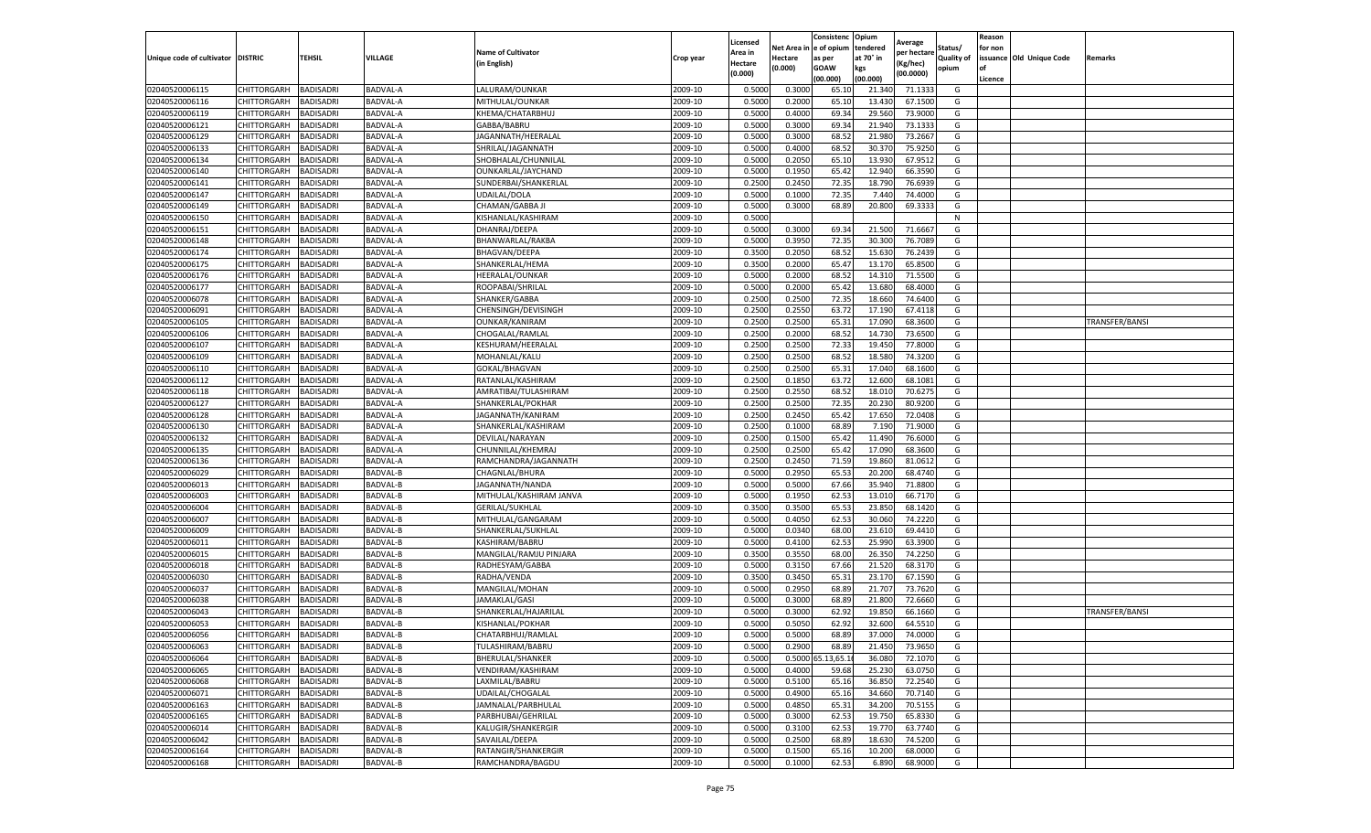|                                   |                    |                  |                 |                           |           | Licensed |         | Consistenc             | Opium     | Average     |            | Reason  |                          |                |
|-----------------------------------|--------------------|------------------|-----------------|---------------------------|-----------|----------|---------|------------------------|-----------|-------------|------------|---------|--------------------------|----------------|
|                                   |                    |                  |                 | <b>Name of Cultivator</b> |           | Area in  |         | Net Area in e of opium | tendered  | oer hectare | Status/    | for non |                          |                |
| Unique code of cultivator DISTRIC |                    | TEHSIL           | VILLAGE         | in English)               | Crop year | Hectare  | Hectare | as per                 | at 70° in | (Kg/hec     | Quality of |         | issuance Old Unique Code | <b>Remarks</b> |
|                                   |                    |                  |                 |                           |           | (0.000)  | (0.000) | <b>GOAW</b>            | kgs       | (00.0000)   | opium      |         |                          |                |
|                                   |                    |                  |                 |                           |           |          |         | (00.000)               | (00.000)  |             |            | Licence |                          |                |
| 02040520006115                    | CHITTORGARH        | <b>BADISADRI</b> | BADVAL-A        | LALURAM/OUNKAR            | 2009-10   | 0.5000   | 0.3000  | 65.10                  | 21.34     | 71.1333     | G          |         |                          |                |
| 02040520006116                    | <b>CHITTORGARH</b> | <b>BADISADRI</b> | BADVAL-A        | MITHULAL/OUNKAR           | 2009-10   | 0.5000   | 0.2000  | 65.10                  | 13.43     | 67.1500     | G          |         |                          |                |
| 02040520006119                    | CHITTORGARH        | <b>BADISADRI</b> | BADVAL-A        | KHEMA/CHATARBHUJ          | 2009-10   | 0.5000   | 0.4000  | 69.34                  | 29.560    | 73.9000     | G          |         |                          |                |
| 02040520006121                    | CHITTORGARH        | <b>BADISADRI</b> | BADVAL-A        | GABBA/BABRU               | 2009-10   | 0.5000   | 0.3000  | 69.34                  | 21.940    | 73.1333     | G          |         |                          |                |
| 02040520006129                    | <b>CHITTORGARH</b> | <b>BADISADRI</b> | BADVAL-A        | JAGANNATH/HEERALAL        | 2009-10   | 0.5000   | 0.3000  | 68.52                  | 21.98     | 73.2667     | G          |         |                          |                |
| 02040520006133                    | CHITTORGARH        | <b>BADISADRI</b> | BADVAL-A        | SHRILAL/JAGANNATH         | 2009-10   | 0.5000   | 0.4000  | 68.52                  | 30.37     | 75.9250     | G          |         |                          |                |
| 02040520006134                    | CHITTORGARH        | <b>BADISADRI</b> | BADVAL-A        | SHOBHALAL/CHUNNILAL       | 2009-10   | 0.5000   | 0.2050  | 65.10                  | 13.93     | 67.9512     | G          |         |                          |                |
| 02040520006140                    | CHITTORGARH        | BADISADRI        | BADVAL-A        | OUNKARLAL/JAYCHAND        | 2009-10   | 0.5000   | 0.1950  | 65.42                  | 12.94     | 66.3590     | G          |         |                          |                |
| 02040520006141                    | CHITTORGARH        | <b>BADISADRI</b> | BADVAL-A        | SUNDERBAI/SHANKERLAL      | 2009-10   | 0.2500   | 0.2450  | 72.35                  | 18.79     | 76.6939     | G          |         |                          |                |
| 02040520006147                    | CHITTORGARH        | <b>BADISADRI</b> | BADVAL-A        | UDAILAL/DOLA              | 2009-10   | 0.5000   | 0.1000  | 72.35                  | 7.440     | 74.4000     | G          |         |                          |                |
| 02040520006149                    | CHITTORGARH        | <b>BADISADRI</b> | BADVAL-A        | CHAMAN/GABBA JI           | 2009-10   | 0.5000   | 0.3000  | 68.89                  | 20.800    | 69.3333     | G          |         |                          |                |
| 02040520006150                    | CHITTORGARH        | <b>BADISADRI</b> | BADVAL-A        | KISHANLAL/KASHIRAM        | 2009-10   | 0.5000   |         |                        |           |             | N          |         |                          |                |
| 02040520006151                    | CHITTORGARH        | <b>BADISADRI</b> | BADVAL-A        | DHANRAJ/DEEPA             | 2009-10   | 0.5000   | 0.3000  | 69.34                  | 21.500    | 71.6667     | G          |         |                          |                |
| 02040520006148                    | CHITTORGARH        | <b>BADISADRI</b> | BADVAL-A        | BHANWARLAL/RAKBA          | 2009-10   | 0.5000   | 0.3950  | 72.35                  | 30.30     | 76.7089     | G          |         |                          |                |
| 02040520006174                    | CHITTORGARH        | <b>BADISADRI</b> | BADVAL-A        | BHAGVAN/DEEPA             | 2009-10   | 0.3500   | 0.2050  | 68.52                  | 15.63     | 76.2439     | G          |         |                          |                |
| 02040520006175                    | CHITTORGARH        | <b>BADISADRI</b> | BADVAL-A        | SHANKERLAL/HEMA           | 2009-10   | 0.3500   | 0.2000  | 65.47                  | 13.17     | 65.8500     | G          |         |                          |                |
| 02040520006176                    | CHITTORGARH        | <b>BADISADRI</b> | BADVAL-A        | HEERALAL/OUNKAR           | 2009-10   | 0.5000   | 0.2000  | 68.52                  | 14.31     | 71.5500     | G          |         |                          |                |
| 02040520006177                    | CHITTORGARH        | <b>BADISADRI</b> | BADVAL-A        | ROOPABAI/SHRILAL          | 2009-10   | 0.5000   | 0.2000  | 65.42                  | 13.68     | 68.4000     | G          |         |                          |                |
| 02040520006078                    | CHITTORGARH        | <b>BADISADRI</b> | BADVAL-A        | SHANKER/GABBA             | 2009-10   | 0.2500   | 0.2500  | 72.35                  | 18.66     | 74.6400     | G          |         |                          |                |
| 02040520006091                    | CHITTORGARH        | <b>BADISADRI</b> | BADVAL-A        | CHENSINGH/DEVISINGH       | 2009-10   | 0.2500   | 0.2550  | 63.72                  | 17.19     | 67.4118     | G          |         |                          |                |
| 02040520006105                    | CHITTORGARH        | <b>BADISADRI</b> | BADVAL-A        | <b>OUNKAR/KANIRAM</b>     | 2009-10   | 0.2500   | 0.2500  | 65.31                  | 17.090    | 68.3600     | G          |         |                          | TRANSFER/BANSI |
| 02040520006106                    | CHITTORGARH        | <b>BADISADRI</b> | BADVAL-A        | CHOGALAL/RAMLAL           | 2009-10   | 0.2500   | 0.2000  | 68.52                  | 14.73     | 73.6500     | G          |         |                          |                |
| 02040520006107                    | CHITTORGARH        | <b>BADISADRI</b> | BADVAL-A        | KESHURAM/HEERALAL         | 2009-10   | 0.2500   | 0.2500  | 72.33                  | 19.450    | 77.8000     | G          |         |                          |                |
| 02040520006109                    | CHITTORGARH        | <b>BADISADRI</b> | BADVAL-A        | MOHANLAL/KALU             | 2009-10   | 0.2500   | 0.2500  | 68.52                  | 18.58     | 74.3200     | G          |         |                          |                |
| 02040520006110                    | CHITTORGARH        | <b>BADISADRI</b> | BADVAL-A        | GOKAL/BHAGVAN             | 2009-10   | 0.2500   | 0.2500  | 65.31                  | 17.04     | 68.1600     | G          |         |                          |                |
| 02040520006112                    | CHITTORGARH        | <b>BADISADRI</b> | BADVAL-A        | RATANLAL/KASHIRAM         | 2009-10   | 0.2500   | 0.1850  | 63.72                  | 12.600    | 68.1081     | G          |         |                          |                |
| 02040520006118                    | CHITTORGARH        | BADISADRI        | <b>BADVAL-A</b> | AMRATIBAI/TULASHIRAM      | 2009-10   | 0.2500   | 0.2550  | 68.52                  | 18.01     | 70.6275     | G          |         |                          |                |
| 02040520006127                    | CHITTORGARH        | <b>BADISADRI</b> | BADVAL-A        | SHANKERLAL/POKHAR         | 2009-10   | 0.2500   | 0.2500  | 72.35                  | 20.23     | 80.9200     | G          |         |                          |                |
| 02040520006128                    | CHITTORGARH        | <b>BADISADRI</b> | BADVAL-A        | JAGANNATH/KANIRAM         | 2009-10   | 0.2500   | 0.2450  | 65.42                  | 17.650    | 72.0408     | G          |         |                          |                |
| 02040520006130                    | CHITTORGARH        | <b>BADISADRI</b> | BADVAL-A        | SHANKERLAL/KASHIRAM       | 2009-10   | 0.2500   | 0.1000  | 68.89                  | 7.19      | 71.9000     | G          |         |                          |                |
| 02040520006132                    | CHITTORGARH        | <b>BADISADRI</b> | BADVAL-A        | DEVILAL/NARAYAN           | 2009-10   | 0.2500   | 0.1500  | 65.42                  | 11.49     | 76.6000     | G          |         |                          |                |
| 02040520006135                    | CHITTORGARH        | <b>BADISADRI</b> | BADVAL-A        | CHUNNILAL/KHEMRAJ         | 2009-10   | 0.2500   | 0.2500  | 65.42                  | 17.09     | 68.3600     | G          |         |                          |                |
| 02040520006136                    | CHITTORGARH        | <b>BADISADRI</b> | BADVAL-A        | RAMCHANDRA/JAGANNATH      | 2009-10   | 0.2500   | 0.2450  | 71.59                  | 19.86     | 81.0612     | G          |         |                          |                |
| 02040520006029                    | CHITTORGARH        | <b>BADISADRI</b> | BADVAL-B        | CHAGNLAL/BHURA            | 2009-10   | 0.5000   | 0.2950  | 65.53                  | 20.20     | 68.4740     | G          |         |                          |                |
| 02040520006013                    | CHITTORGARH        | <b>BADISADRI</b> | BADVAL-B        | JAGANNATH/NANDA           | 2009-10   | 0.5000   | 0.5000  | 67.66                  | 35.94     | 71.8800     | G          |         |                          |                |
| 02040520006003                    | CHITTORGARH        | <b>BADISADRI</b> | BADVAL-B        | MITHULAL/KASHIRAM JANVA   | 2009-10   | 0.5000   | 0.1950  | 62.53                  | 13.01     | 66.7170     | G          |         |                          |                |
| 02040520006004                    | CHITTORGARH        | <b>BADISADRI</b> | BADVAL-B        | <b>GERILAL/SUKHLAL</b>    | 2009-10   | 0.3500   | 0.3500  | 65.53                  | 23.85     | 68.1420     | G          |         |                          |                |
| 02040520006007                    | CHITTORGARH        | <b>BADISADRI</b> | BADVAL-B        | MITHULAL/GANGARAM         | 2009-10   | 0.5000   | 0.4050  | 62.53                  | 30.06     | 74.2220     | G          |         |                          |                |
| 02040520006009                    | CHITTORGARH        | BADISADRI        | BADVAL-B        | SHANKERLAL/SUKHLAL        | 2009-10   | 0.5000   | 0.0340  | 68.00                  | 23.61     | 69.4410     | G          |         |                          |                |
| 02040520006011                    | CHITTORGARH        | <b>BADISADRI</b> | BADVAL-B        | KASHIRAM/BABRU            | 2009-10   | 0.5000   | 0.4100  | 62.53                  | 25.990    | 63.3900     | G          |         |                          |                |
| 02040520006015                    | CHITTORGARH        | <b>BADISADRI</b> | BADVAL-B        | MANGILAL/RAMJU PINJARA    | 2009-10   | 0.3500   | 0.3550  | 68.00                  | 26.35     | 74.2250     | G          |         |                          |                |
| 02040520006018                    | CHITTORGARH        | <b>BADISADRI</b> | BADVAL-B        | RADHESYAM/GABBA           | 2009-10   | 0.5000   | 0.3150  | 67.66                  | 21.52     | 68.3170     | G          |         |                          |                |
| 02040520006030                    | CHITTORGARH        | <b>BADISADRI</b> | BADVAL-B        | RADHA/VENDA               | 2009-10   | 0.3500   | 0.3450  | 65.31                  | 23.17     | 67.1590     | G          |         |                          |                |
| 02040520006037                    | CHITTORGARH        | BADISADRI        | BADVAL-B        | MANGILAL/MOHAN            | 2009-10   | 0.5000   | 0.2950  | 68.89                  | 21.70     | 73.7620     | G          |         |                          |                |
| 02040520006038                    | CHITTORGARH        | <b>BADISADRI</b> | BADVAL-B        | JAMAKLAL/GASI             | 2009-10   | 0.5000   | 0.3000  | 68.89                  | 21.800    | 72.6660     | G          |         |                          |                |
| 02040520006043                    | CHITTORGARH        | BADISADRI        | BADVAL-B        | SHANKERLAL/HAJARILAL      | 2009-10   | 0.5000   | 0.3000  | 62.92                  | 19.85     | 66.1660     | G          |         |                          | TRANSFER/BANSI |
| 02040520006053                    | CHITTORGARH        | <b>BADISADRI</b> | BADVAL-B        | KISHANLAL/POKHAR          | 2009-10   | 0.5000   | 0.5050  | 62.92                  | 32.600    | 64.5510     | G          |         |                          |                |
| 02040520006056                    | CHITTORGARH        | <b>BADISADRI</b> | BADVAL-B        | CHATARBHUJ/RAMLAL         | 2009-10   | 0.5000   | 0.5000  | 68.89                  | 37.000    | 74.0000     | G          |         |                          |                |
| 02040520006063                    | CHITTORGARH        | <b>BADISADRI</b> | BADVAL-B        | TULASHIRAM/BABRU          | 2009-10   | 0.5000   | 0.2900  | 68.89                  | 21.450    | 73.9650     | G          |         |                          |                |
| 02040520006064                    | CHITTORGARH        | <b>BADISADRI</b> | BADVAL-B        | BHERULAL/SHANKER          | 2009-10   | 0.5000   | 0.5000  | 5.13,65.1              | 36.080    | 72.1070     | G          |         |                          |                |
| 02040520006065                    | <b>CHITTORGARH</b> | <b>BADISADRI</b> | BADVAL-B        | VENDIRAM/KASHIRAM         | 2009-10   | 0.5000   | 0.4000  | 59.68                  | 25.230    | 63.0750     | G          |         |                          |                |
| 02040520006068                    | <b>CHITTORGARH</b> | <b>BADISADRI</b> | BADVAL-B        | LAXMILAL/BABRU            | 2009-10   | 0.5000   | 0.5100  | 65.16                  | 36.85     | 72.2540     | G          |         |                          |                |
| 02040520006071                    | CHITTORGARH        | <b>BADISADRI</b> | BADVAL-B        | UDAILAL/CHOGALAL          | 2009-10   | 0.5000   | 0.4900  | 65.16                  | 34.660    | 70.7140     | G          |         |                          |                |
| 02040520006163                    | <b>CHITTORGARH</b> | <b>BADISADRI</b> | BADVAL-B        | JAMNALAL/PARBHULAL        | 2009-10   | 0.5000   | 0.4850  | 65.31                  | 34.200    | 70.5155     | G          |         |                          |                |
| 02040520006165                    | CHITTORGARH        | <b>BADISADRI</b> | BADVAL-B        | PARBHUBAI/GEHRILAL        | 2009-10   | 0.5000   | 0.3000  | 62.53                  | 19.75     | 65.8330     | G          |         |                          |                |
| 02040520006014                    | CHITTORGARH        | <b>BADISADRI</b> | BADVAL-B        | KALUGIR/SHANKERGIR        | 2009-10   | 0.5000   | 0.3100  | 62.53                  | 19.77     | 63.7740     | G          |         |                          |                |
| 02040520006042                    | CHITTORGARH        | <b>BADISADRI</b> | BADVAL-B        | SAVAILAL/DEEPA            | 2009-10   | 0.5000   | 0.2500  | 68.89                  | 18.630    | 74.5200     | G          |         |                          |                |
| 02040520006164                    | CHITTORGARH        | BADISADRI        | BADVAL-B        | RATANGIR/SHANKERGIR       | 2009-10   | 0.5000   | 0.1500  | 65.16                  | 10.20     | 68.0000     | G          |         |                          |                |
| 02040520006168                    | <b>CHITTORGARH</b> | <b>BADISADRI</b> | BADVAL-B        | RAMCHANDRA/BAGDU          | 2009-10   | 0.5000   | 0.1000  | 62.53                  | 6.890     | 68.9000     | G          |         |                          |                |
|                                   |                    |                  |                 |                           |           |          |         |                        |           |             |            |         |                          |                |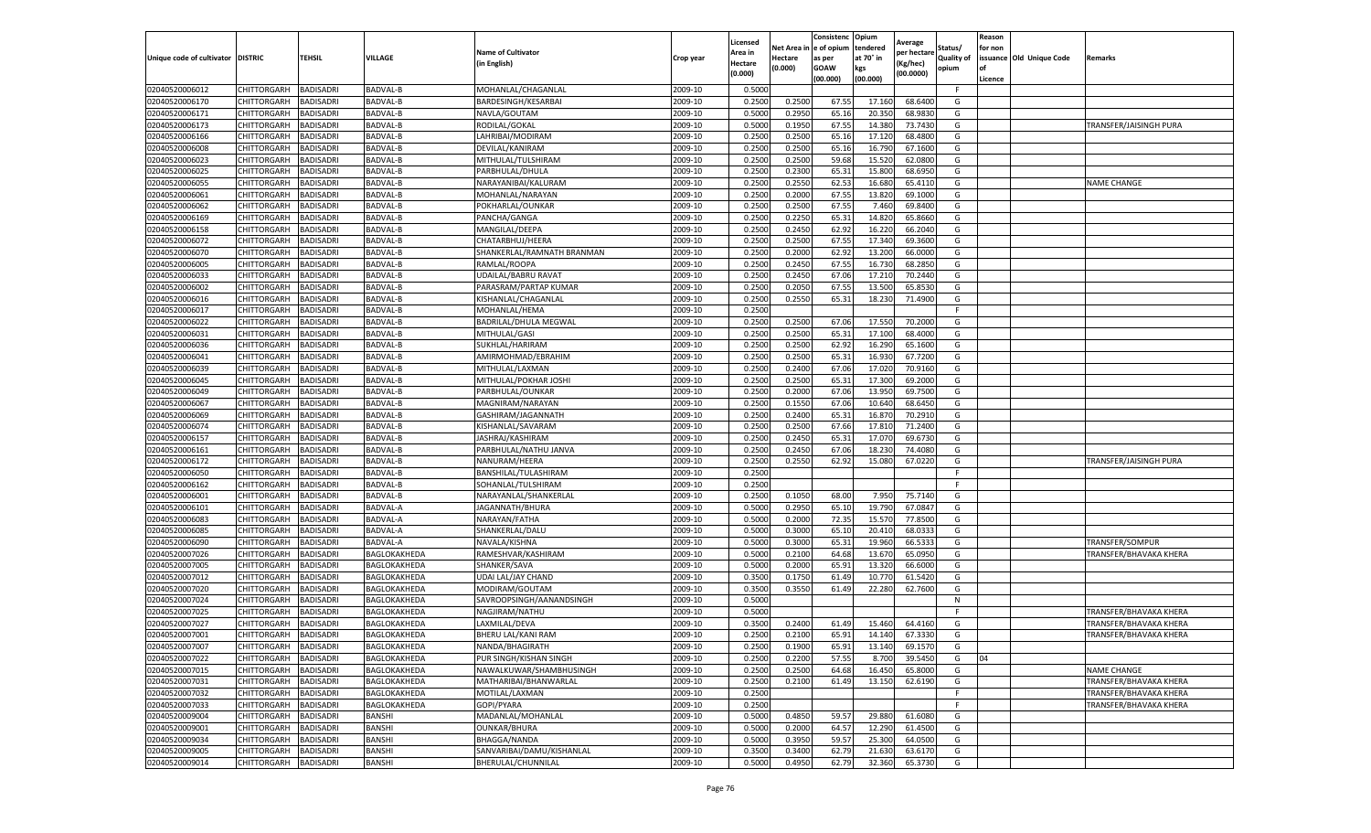|                                  |                            |                                      |                      |                                     |                    | Licensed                  | Net Area         | Consistenc<br>e of opium | Opium<br>tendered | Average                | Status/           | Reason<br>for non |                          |                        |
|----------------------------------|----------------------------|--------------------------------------|----------------------|-------------------------------------|--------------------|---------------------------|------------------|--------------------------|-------------------|------------------------|-------------------|-------------------|--------------------------|------------------------|
| Unique code of cultivator        | <b>DISTRIC</b>             | <b>TEHSIL</b>                        | VILLAGE              | <b>Name of Cultivator</b>           | Crop year          | Area in                   | Hectare          | as per                   | at 70° in         | per hectare<br>Kg/hec) | <b>Quality of</b> |                   | issuance Old Unique Code | Remarks                |
|                                  |                            |                                      |                      | in English)                         |                    | <b>Hectare</b><br>(0.000) | (0.000)          | <b>GOAW</b>              | kgs               | (00.0000)              | opium             | of                |                          |                        |
|                                  |                            |                                      |                      |                                     |                    |                           |                  | (00.000)                 | (00.000)          |                        |                   | Licence           |                          |                        |
| 02040520006012                   | CHITTORGARH                | <b>BADISADRI</b>                     | BADVAL-B             | MOHANLAL/CHAGANLAL                  | 2009-10<br>2009-10 | 0.5000                    |                  |                          |                   |                        | F.                |                   |                          |                        |
| 02040520006170<br>02040520006171 | CHITTORGARH                | <b>BADISADRI</b><br><b>BADISADRI</b> | BADVAL-B             | BARDESINGH/KESARBAI<br>NAVLA/GOUTAM | 2009-10            | 0.2500<br>0.5000          | 0.2500<br>0.2950 | 67.55<br>65.16           | 17.160<br>20.35   | 68.6400<br>68.9830     | G<br>G            |                   |                          |                        |
| 02040520006173                   | CHITTORGARH                | <b>BADISADRI</b>                     | BADVAL-B<br>BADVAL-B | RODILAL/GOKAL                       | 2009-10            | 0.5000                    | 0.1950           | 67.55                    | 14.38             | 73.7430                | G                 |                   |                          | TRANSFER/JAISINGH PURA |
| 02040520006166                   | CHITTORGARH<br>CHITTORGARH | <b>BADISADRI</b>                     | BADVAL-B             | LAHRIBAI/MODIRAM                    | 2009-10            | 0.2500                    | 0.2500           | 65.16                    | 17.12             | 68.4800                | G                 |                   |                          |                        |
| 02040520006008                   | CHITTORGARH                | <b>BADISADRI</b>                     | BADVAL-B             | DEVILAL/KANIRAM                     | 2009-10            | 0.2500                    | 0.2500           | 65.16                    | 16.79             | 67.1600                | G                 |                   |                          |                        |
| 02040520006023                   | CHITTORGARH                | <b>BADISADRI</b>                     | BADVAL-B             | MITHULAL/TULSHIRAM                  | 2009-10            | 0.2500                    | 0.2500           | 59.68                    | 15.52             | 62.0800                | G                 |                   |                          |                        |
| 02040520006025                   | CHITTORGARH                | <b>BADISADRI</b>                     | BADVAL-B             | PARBHULAL/DHULA                     | 2009-10            | 0.2500                    | 0.2300           | 65.31                    | 15.80             | 68.6950                | G                 |                   |                          |                        |
| 02040520006055                   | CHITTORGARH                | <b>BADISADRI</b>                     | <b>BADVAL-B</b>      | NARAYANIBAI/KALURAM                 | 2009-10            | 0.2500                    | 0.2550           | 62.53                    | 16.680            | 65.4110                | G                 |                   |                          | <b>NAME CHANGE</b>     |
| 02040520006061                   | CHITTORGARH                | <b>BADISADRI</b>                     | BADVAL-B             | MOHANLAL/NARAYAN                    | 2009-10            | 0.2500                    | 0.2000           | 67.55                    | 13.82             | 69.1000                | G                 |                   |                          |                        |
| 02040520006062                   | CHITTORGARH                | <b>BADISADRI</b>                     | BADVAL-B             | POKHARLAL/OUNKAR                    | 2009-10            | 0.2500                    | 0.2500           | 67.55                    | 7.460             | 69.8400                | G                 |                   |                          |                        |
| 02040520006169                   | CHITTORGARH                | <b>BADISADRI</b>                     | <b>BADVAL-B</b>      | PANCHA/GANGA                        | 2009-10            | 0.2500                    | 0.2250           | 65.31                    | 14.82             | 65.8660                | G                 |                   |                          |                        |
| 02040520006158                   | CHITTORGARH                | BADISADRI                            | BADVAL-B             | MANGILAL/DEEPA                      | 2009-10            | 0.2500                    | 0.2450           | 62.92                    | 16.22             | 66.2040                | G                 |                   |                          |                        |
| 02040520006072                   | CHITTORGARH                | <b>BADISADRI</b>                     | BADVAL-B             | CHATARBHUJ/HEERA                    | 2009-10            | 0.2500                    | 0.2500           | 67.55                    | 17.340            | 69.3600                | G                 |                   |                          |                        |
| 02040520006070                   | CHITTORGARH                | <b>BADISADRI</b>                     | <b>BADVAL-B</b>      | SHANKERLAL/RAMNATH BRANMAN          | 2009-10            | 0.2500                    | 0.2000           | 62.92                    | 13.20             | 66.0000                | G                 |                   |                          |                        |
| 02040520006005                   | CHITTORGARH                | <b>BADISADRI</b>                     | BADVAL-B             | RAMLAL/ROOPA                        | 2009-10            | 0.2500                    | 0.2450           | 67.55                    | 16.730            | 68.2850                | G                 |                   |                          |                        |
| 02040520006033                   | CHITTORGARH                | <b>BADISADRI</b>                     | BADVAL-B             | UDAILAL/BABRU RAVAT                 | 2009-10            | 0.2500                    | 0.2450           | 67.06                    | 17.21             | 70.2440                | G                 |                   |                          |                        |
| 02040520006002                   | CHITTORGARH                | <b>BADISADRI</b>                     | BADVAL-B             | PARASRAM/PARTAP KUMAR               | 2009-10            | 0.2500                    | 0.2050           | 67.55                    | 13.50             | 65.8530                | G                 |                   |                          |                        |
| 02040520006016                   | CHITTORGARH                | <b>BADISADRI</b>                     | BADVAL-B             | KISHANLAL/CHAGANLAL                 | 2009-10            | 0.2500                    | 0.2550           | 65.31                    | 18.23             | 71.4900                | G                 |                   |                          |                        |
| 02040520006017                   | CHITTORGARH                | BADISADRI                            | BADVAL-B             | MOHANLAL/HEMA                       | 2009-10            | 0.2500                    |                  |                          |                   |                        | F                 |                   |                          |                        |
| 02040520006022                   | CHITTORGARH                | <b>BADISADRI</b>                     | BADVAL-B             | BADRILAL/DHULA MEGWAL               | 2009-10            | 0.2500                    | 0.2500           | 67.06                    | 17.55             | 70.2000                | G                 |                   |                          |                        |
| 02040520006031                   | CHITTORGARH                | <b>BADISADRI</b>                     | BADVAL-B             | MITHULAL/GASI                       | 2009-10            | 0.2500                    | 0.2500           | 65.31                    | 17.100            | 68.4000                | G                 |                   |                          |                        |
| 02040520006036                   | CHITTORGARH                | <b>BADISADRI</b>                     | BADVAL-B             | SUKHLAL/HARIRAM                     | 2009-10            | 0.2500                    | 0.2500           | 62.92                    | 16.290            | 65.1600                | G                 |                   |                          |                        |
| 02040520006041                   | CHITTORGARH                | <b>BADISADRI</b>                     | BADVAL-B             | AMIRMOHMAD/EBRAHIM                  | 2009-10            | 0.2500                    | 0.2500           | 65.31                    | 16.93             | 67.7200                | G                 |                   |                          |                        |
| 02040520006039                   | CHITTORGARH                | <b>BADISADRI</b>                     | <b>BADVAL-B</b>      | MITHULAL/LAXMAN                     | 2009-10            | 0.2500                    | 0.2400           | 67.06                    | 17.02             | 70.9160                | G                 |                   |                          |                        |
| 02040520006045                   | CHITTORGARH                | <b>BADISADRI</b>                     | BADVAL-B             | MITHULAL/POKHAR JOSHI               | 2009-10            | 0.2500                    | 0.2500           | 65.3                     | 17.30             | 69.2000                | G                 |                   |                          |                        |
| 02040520006049                   | CHITTORGARH                | <b>BADISADRI</b>                     | BADVAL-B             | PARBHULAL/OUNKAR                    | 2009-10            | 0.2500                    | 0.2000           | 67.06                    | 13.95             | 69.7500                | G                 |                   |                          |                        |
| 02040520006067                   | CHITTORGARH                | <b>BADISADRI</b>                     | BADVAL-B             | MAGNIRAM/NARAYAN                    | 2009-10            | 0.2500                    | 0.1550           | 67.06                    | 10.640            | 68.6450                | G                 |                   |                          |                        |
| 02040520006069                   | CHITTORGARH                | <b>BADISADRI</b>                     | BADVAL-B             | GASHIRAM/JAGANNATH                  | 2009-10            | 0.2500                    | 0.2400           | 65.31                    | 16.87             | 70.2910                | G                 |                   |                          |                        |
| 02040520006074                   | CHITTORGARH                | <b>BADISADRI</b>                     | BADVAL-B             | KISHANLAL/SAVARAM                   | 2009-10            | 0.2500                    | 0.2500           | 67.66                    | 17.81             | 71.2400                | G                 |                   |                          |                        |
| 02040520006157                   | CHITTORGARH                | <b>BADISADRI</b>                     | <b>BADVAL-B</b>      | JASHRAJ/KASHIRAM                    | 2009-10            | 0.2500                    | 0.2450           | 65.31                    | 17.07             | 69.6730                | G                 |                   |                          |                        |
| 02040520006161                   | CHITTORGARH                | <b>BADISADRI</b>                     | BADVAL-B             | PARBHULAL/NATHU JANVA               | 2009-10            | 0.2500                    | 0.2450           | 67.06                    | 18.23             | 74.4080                | G                 |                   |                          |                        |
| 02040520006172                   | CHITTORGARH                | <b>BADISADRI</b>                     | BADVAL-B             | NANURAM/HEERA                       | 2009-10            | 0.2500                    | 0.2550           | 62.92                    | 15.080            | 67.0220                | G                 |                   |                          | TRANSFER/JAISINGH PURA |
| 02040520006050                   | CHITTORGARH                | <b>BADISADRI</b>                     | <b>BADVAL-B</b>      | BANSHILAL/TULASHIRAM                | 2009-10            | 0.2500                    |                  |                          |                   |                        | F.                |                   |                          |                        |
| 02040520006162                   | CHITTORGARH                | <b>BADISADRI</b>                     | BADVAL-B             | SOHANLAL/TULSHIRAM                  | 2009-10            | 0.2500                    |                  |                          |                   |                        | F.                |                   |                          |                        |
| 02040520006001                   | CHITTORGARH                | <b>BADISADRI</b>                     | BADVAL-B             | NARAYANLAL/SHANKERLAL               | 2009-10            | 0.2500                    | 0.1050           | 68.00                    | 7.95              | 75.7140                | G                 |                   |                          |                        |
| 02040520006101                   | CHITTORGARH                | <b>BADISADRI</b>                     | BADVAL-A             | JAGANNATH/BHURA                     | 2009-10            | 0.5000                    | 0.2950           | 65.10                    | 19.790            | 67.0847                | G                 |                   |                          |                        |
| 02040520006083                   | CHITTORGARH                | <b>BADISADRI</b>                     | BADVAL-A             | NARAYAN/FATHA                       | 2009-10            | 0.5000                    | 0.2000           | 72.35                    | 15.57             | 77.8500                | G                 |                   |                          |                        |
| 02040520006085                   | CHITTORGARH                | <b>BADISADRI</b>                     | BADVAL-A             | SHANKERLAL/DALU                     | 2009-10            | 0.5000                    | 0.3000           | 65.10                    | 20.41             | 68.0333                | G                 |                   |                          |                        |
| 02040520006090                   | CHITTORGARH                | <b>BADISADRI</b>                     | BADVAL-A             | NAVALA/KISHNA                       | 2009-10            | 0.5000                    | 0.3000           | 65.31                    | 19.960            | 66.5333                | G                 |                   |                          | TRANSFER/SOMPUR        |
| 02040520007026                   | CHITTORGARH                | <b>BADISADRI</b>                     | BAGLOKAKHEDA         | RAMESHVAR/KASHIRAM                  | 2009-10            | 0.5000                    | 0.2100           | 64.68                    | 13.670            | 65.0950                | G                 |                   |                          | TRANSFER/BHAVAKA KHERA |
| 02040520007005                   | CHITTORGARH                | <b>BADISADRI</b>                     | BAGLOKAKHEDA         | SHANKER/SAVA                        | 2009-10            | 0.5000                    | 0.2000           | 65.91                    | 13.32             | 66.6000                | G                 |                   |                          |                        |
| 02040520007012                   | CHITTORGARH                | <b>BADISADRI</b>                     | BAGLOKAKHEDA         | <b>UDAI LAL/JAY CHAND</b>           | 2009-10            | 0.3500                    | 0.1750           | 61.49                    | 10.77             | 61.5420                | G                 |                   |                          |                        |
| 02040520007020                   | CHITTORGARH                | <b>BADISADRI</b>                     | BAGLOKAKHEDA         | MODIRAM/GOUTAM                      | 2009-10            | 0.3500                    | 0.3550           | 61.49                    | 22.280            | 62.7600                | G                 |                   |                          |                        |
| 02040520007024                   | CHITTORGARH                | <b>BADISADRI</b>                     | BAGLOKAKHEDA         | SAVROOPSINGH/AANANDSINGH            | 2009-10            | 0.5000                    |                  |                          |                   |                        | N                 |                   |                          |                        |
| 02040520007025                   | CHITTORGARH                | BADISADRI                            | BAGLOKAKHEDA         | NAGJIRAM/NATHU                      | 2009-10            | 0.5000                    |                  |                          |                   |                        | F                 |                   |                          | TRANSFER/BHAVAKA KHERA |
| 02040520007027                   | CHITTORGARH                | <b>BADISADRI</b>                     | BAGLOKAKHEDA         | LAXMILAL/DEVA                       | 2009-10            | 0.3500                    | 0.2400           | 61.49                    | 15.460            | 64.4160                | G                 |                   |                          | TRANSFER/BHAVAKA KHERA |
| 02040520007001                   | CHITTORGARH                | <b>BADISADRI</b>                     | BAGLOKAKHEDA         | BHERU LAL/KANI RAM                  | 2009-10            | 0.2500                    | 0.2100           | 65.91                    | 14.140            | 67.3330                | G                 |                   |                          | TRANSFER/BHAVAKA KHERA |
| 02040520007007                   | CHITTORGARH BADISADRI      |                                      | BAGLOKAKHEDA         | NANDA/BHAGIRATH                     | 2009-10            | 0.2500                    | 0.1900           | 65.91                    | 13.140            | 69.1570                | G                 |                   |                          |                        |
| 02040520007022                   | <b>CHITTORGARH</b>         | <b>BADISADRI</b>                     | BAGLOKAKHEDA         | PUR SINGH/KISHAN SINGH              | 2009-10            | 0.2500                    | 0.2200           | 57.55                    | 8.700             | 39.5450                | G                 | 04                |                          |                        |
| 02040520007015                   | <b>CHITTORGARH</b>         | <b>BADISADRI</b>                     | BAGLOKAKHEDA         | NAWALKUWAR/SHAMBHUSINGH             | 2009-10            | 0.2500                    | 0.2500           | 64.68                    | 16.450            | 65.8000                | G                 |                   |                          | <b>NAME CHANGE</b>     |
| 02040520007031                   | <b>CHITTORGARH</b>         | <b>BADISADRI</b>                     | BAGLOKAKHEDA         | MATHARIBAI/BHANWARLAL               | 2009-10            | 0.2500                    | 0.2100           | 61.49                    | 13.150            | 62.6190                | G                 |                   |                          | TRANSFER/BHAVAKA KHERA |
| 02040520007032                   | <b>CHITTORGARH</b>         | <b>BADISADRI</b>                     | BAGLOKAKHEDA         | MOTILAL/LAXMAN                      | 2009-10            | 0.2500                    |                  |                          |                   |                        | F                 |                   |                          | TRANSFER/BHAVAKA KHERA |
| 02040520007033                   | <b>CHITTORGARH</b>         | <b>BADISADRI</b>                     | BAGLOKAKHEDA         | GOPI/PYARA                          | 2009-10            | 0.2500                    |                  |                          |                   |                        | F                 |                   |                          | TRANSFER/BHAVAKA KHERA |
| 02040520009004                   | CHITTORGARH                | <b>BADISADRI</b>                     | BANSHI               | MADANLAL/MOHANLAL                   | 2009-10            | 0.5000                    | 0.4850           | 59.57                    | 29.880            | 61.6080                | G                 |                   |                          |                        |
| 02040520009001                   | <b>CHITTORGARH</b>         | <b>BADISADRI</b>                     | BANSHI               | <b>OUNKAR/BHURA</b>                 | 2009-10            | 0.5000                    | 0.2000           | 64.57                    | 12.290            | 61.4500                | G                 |                   |                          |                        |
| 02040520009034                   | CHITTORGARH                | <b>BADISADRI</b>                     | BANSHI               | BHAGGA/NANDA                        | 2009-10            | 0.5000                    | 0.3950           | 59.57                    | 25.300            | 64.0500                | G                 |                   |                          |                        |
| 02040520009005                   | <b>CHITTORGARH</b>         | <b>BADISADRI</b>                     | BANSHI               | SANVARIBAI/DAMU/KISHANLAL           | 2009-10            | 0.3500                    | 0.3400           | 62.79                    | 21.630            | 63.6170                | G                 |                   |                          |                        |
| 02040520009014                   | <b>CHITTORGARH</b>         | <b>BADISADRI</b>                     | BANSHI               | BHERULAL/CHUNNILAL                  | 2009-10            | 0.5000                    | 0.4950           | 62.79                    | 32.360            | 65.3730                | G                 |                   |                          |                        |
|                                  |                            |                                      |                      |                                     |                    |                           |                  |                          |                   |                        |                   |                   |                          |                        |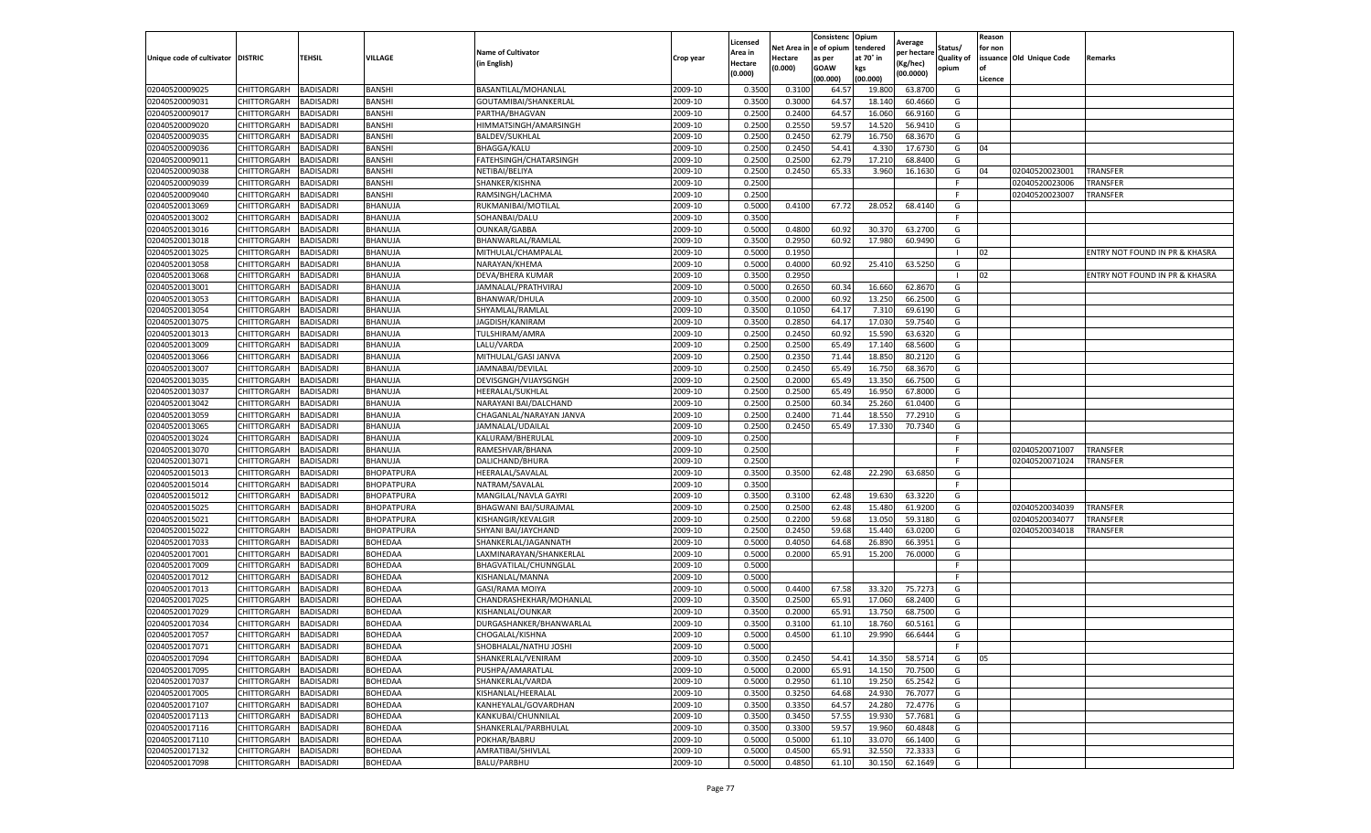|                           |                    |                  |                   |                           |           | Licensed |         | Consistenc             | Opium     | Average     |                   | Reason  |                          |                                |
|---------------------------|--------------------|------------------|-------------------|---------------------------|-----------|----------|---------|------------------------|-----------|-------------|-------------------|---------|--------------------------|--------------------------------|
|                           |                    |                  |                   | <b>Name of Cultivator</b> |           | Area in  |         | Net Area in e of opium | tendered  | per hectare | Status/           | for non |                          |                                |
| Unique code of cultivator | <b>DISTRIC</b>     | TEHSIL           | VILLAGE           | in English)               | Crop year | Hectare  | Hectare | as per                 | at 70° in | (Kg/hec     | <b>Quality of</b> |         | issuance Old Unique Code | <b>Remarks</b>                 |
|                           |                    |                  |                   |                           |           | (0.000)  | (0.000) | <b>GOAW</b>            | kgs       | (00.0000)   | opium             |         |                          |                                |
|                           |                    |                  |                   |                           |           |          |         | (00.000)               | (00.000)  |             |                   | Licence |                          |                                |
| 02040520009025            | CHITTORGARH        | <b>BADISADRI</b> | <b>BANSHI</b>     | BASANTILAL/MOHANLAL       | 2009-10   | 0.3500   | 0.3100  | 64.57                  | 19.80     | 63.8700     | G                 |         |                          |                                |
| 02040520009031            | CHITTORGARH        | <b>BADISADRI</b> | <b>BANSHI</b>     | GOUTAMIBAI/SHANKERLAL     | 2009-10   | 0.3500   | 0.3000  | 64.57                  | 18.14     | 60.4660     | G                 |         |                          |                                |
| 02040520009017            | CHITTORGARH        | <b>BADISADRI</b> | BANSHI            | PARTHA/BHAGVAN            | 2009-10   | 0.2500   | 0.2400  | 64.57                  | 16.06     | 66.9160     | G                 |         |                          |                                |
| 02040520009020            | CHITTORGARH        | <b>BADISADRI</b> | BANSHI            | HIMMATSINGH/AMARSINGH     | 2009-10   | 0.2500   | 0.2550  | 59.57                  | 14.520    | 56.9410     | G                 |         |                          |                                |
| 02040520009035            | <b>CHITTORGARH</b> | <b>BADISADRI</b> | BANSHI            | <b>BALDEV/SUKHLAL</b>     | 2009-10   | 0.2500   | 0.2450  | 62.79                  | 16.750    | 68.3670     | G                 |         |                          |                                |
| 02040520009036            | CHITTORGARH        | <b>BADISADRI</b> | BANSHI            | <b>BHAGGA/KALU</b>        | 2009-10   | 0.2500   | 0.2450  | 54.41                  | 4.33      | 17.6730     | G                 | 04      |                          |                                |
| 02040520009011            | CHITTORGARH        | <b>BADISADRI</b> | <b>BANSHI</b>     | FATEHSINGH/CHATARSINGH    | 2009-10   | 0.2500   | 0.2500  | 62.79                  | 17.21     | 68.8400     | G                 |         |                          |                                |
| 02040520009038            | CHITTORGARH        | BADISADRI        | <b>BANSHI</b>     | NETIBAI/BELIYA            | 2009-10   | 0.2500   | 0.2450  | 65.33                  | 3.960     | 16.1630     | G                 | 04      | 02040520023001           | <b>TRANSFER</b>                |
| 02040520009039            | CHITTORGARH        | <b>BADISADRI</b> | BANSHI            | SHANKER/KISHNA            | 2009-10   | 0.2500   |         |                        |           |             | F                 |         | 02040520023006           | TRANSFER                       |
| 02040520009040            | CHITTORGARH        | <b>BADISADRI</b> | BANSHI            | RAMSINGH/LACHMA           | 2009-10   | 0.2500   |         |                        |           |             | F.                |         | 02040520023007           | TRANSFER                       |
| 02040520013069            | CHITTORGARH        | <b>BADISADRI</b> | BHANUJA           | RUKMANIBAI/MOTILAL        | 2009-10   | 0.5000   | 0.4100  | 67.72                  | 28.052    | 68.4140     | G                 |         |                          |                                |
| 02040520013002            | CHITTORGARH        | <b>BADISADRI</b> | BHANUJA           | SOHANBAI/DALU             | 2009-10   | 0.3500   |         |                        |           |             | F                 |         |                          |                                |
| 02040520013016            | CHITTORGARH        | <b>BADISADRI</b> | BHANUJA           | <b>OUNKAR/GABBA</b>       | 2009-10   | 0.5000   | 0.4800  | 60.92                  | 30.37     | 63.2700     | G                 |         |                          |                                |
| 02040520013018            | CHITTORGARH        | <b>BADISADRI</b> | BHANUJA           | BHANWARLAL/RAMLAL         | 2009-10   | 0.3500   | 0.2950  | 60.92                  | 17.980    | 60.9490     | G                 |         |                          |                                |
| 02040520013025            | CHITTORGARH        | <b>BADISADRI</b> | BHANUJA           | MITHULAL/CHAMPALAL        | 2009-10   | 0.5000   | 0.1950  |                        |           |             | -1                | 02      |                          | ENTRY NOT FOUND IN PR & KHASRA |
| 02040520013058            | CHITTORGARH        | <b>BADISADRI</b> | BHANUJA           | NARAYAN/KHEMA             | 2009-10   | 0.5000   | 0.4000  | 60.92                  | 25.41     | 63.5250     | G                 |         |                          |                                |
| 02040520013068            | CHITTORGARH        | <b>BADISADRI</b> | BHANUJA           | DEVA/BHERA KUMAR          | 2009-10   | 0.3500   | 0.2950  |                        |           |             |                   | 02      |                          | ENTRY NOT FOUND IN PR & KHASRA |
| 02040520013001            | CHITTORGARH        | <b>BADISADRI</b> | BHANUJA           | JAMNALAL/PRATHVIRAJ       | 2009-10   | 0.5000   | 0.2650  | 60.34                  | 16.660    | 62.8670     | G                 |         |                          |                                |
| 02040520013053            | CHITTORGARH        | <b>BADISADRI</b> | BHANUJA           | BHANWAR/DHULA             | 2009-10   | 0.3500   | 0.2000  | 60.92                  | 13.250    | 66.2500     | G                 |         |                          |                                |
| 02040520013054            | CHITTORGARH        | <b>BADISADRI</b> | BHANUJA           | SHYAMLAL/RAMLAL           | 2009-10   | 0.3500   | 0.1050  | 64.17                  | 7.31      | 69.6190     | G                 |         |                          |                                |
| 02040520013075            | CHITTORGARH        | <b>BADISADRI</b> | BHANUJA           | JAGDISH/KANIRAM           | 2009-10   | 0.3500   | 0.2850  | 64.17                  | 17.030    | 59.7540     | G                 |         |                          |                                |
| 02040520013013            | CHITTORGARH        | <b>BADISADRI</b> | BHANUJA           | TULSHIRAM/AMRA            | 2009-10   | 0.2500   | 0.2450  | 60.92                  | 15.59     | 63.6320     | G                 |         |                          |                                |
| 02040520013009            | CHITTORGARH        | <b>BADISADRI</b> | BHANUJA           | LALU/VARDA                | 2009-10   | 0.2500   | 0.2500  | 65.49                  | 17.140    | 68.5600     | G                 |         |                          |                                |
| 02040520013066            | CHITTORGARH        | <b>BADISADRI</b> | BHANUJA           | MITHULAL/GASI JANVA       | 2009-10   | 0.2500   | 0.2350  | 71.44                  | 18.85     | 80.2120     | G                 |         |                          |                                |
| 02040520013007            | CHITTORGARH        | <b>BADISADRI</b> | BHANUJA           | JAMNABAI/DEVILAL          | 2009-10   | 0.2500   | 0.2450  | 65.49                  | 16.75     | 68.3670     | G                 |         |                          |                                |
| 02040520013035            | CHITTORGARH        | <b>BADISADRI</b> | BHANUJA           | DEVISGNGH/VIJAYSGNGH      | 2009-10   | 0.2500   | 0.2000  | 65.49                  | 13.35     | 66.7500     | G                 |         |                          |                                |
| 02040520013037            | CHITTORGARH        | <b>BADISADRI</b> | BHANUJA           | HEERALAL/SUKHLAL          | 2009-10   | 0.2500   | 0.2500  | 65.49                  | 16.95     | 67.8000     | G                 |         |                          |                                |
| 02040520013042            | CHITTORGARH        | <b>BADISADRI</b> | BHANUJA           | NARAYANI BAI/DALCHAND     | 2009-10   | 0.2500   | 0.2500  | 60.34                  | 25.260    | 61.0400     | G                 |         |                          |                                |
| 02040520013059            | CHITTORGARH        | <b>BADISADRI</b> | BHANUJA           | CHAGANLAL/NARAYAN JANVA   | 2009-10   | 0.2500   | 0.2400  | 71.44                  | 18.550    | 77.2910     | G                 |         |                          |                                |
| 02040520013065            | CHITTORGARH        | <b>BADISADRI</b> | BHANUJA           | JAMNALAL/UDAILAL          | 2009-10   | 0.2500   | 0.2450  | 65.49                  | 17.33     | 70.7340     | G                 |         |                          |                                |
| 02040520013024            | CHITTORGARH        | <b>BADISADRI</b> | BHANUJA           | KALURAM/BHERULAL          | 2009-10   | 0.2500   |         |                        |           |             | F                 |         |                          |                                |
| 02040520013070            | CHITTORGARH        | <b>BADISADRI</b> | BHANUJA           | RAMESHVAR/BHANA           | 2009-10   | 0.2500   |         |                        |           |             | F                 |         | 02040520071007           | <b>TRANSFER</b>                |
| 02040520013071            | CHITTORGARH        | <b>BADISADRI</b> | BHANUJA           | DALICHAND/BHURA           | 2009-10   | 0.2500   |         |                        |           |             | F.                |         | 02040520071024           | TRANSFER                       |
| 02040520015013            | CHITTORGARH        | <b>BADISADRI</b> | BHOPATPURA        | HEERALAL/SAVALAL          | 2009-10   | 0.3500   | 0.3500  | 62.48                  | 22.290    | 63.6850     | G                 |         |                          |                                |
| 02040520015014            | CHITTORGARH        | <b>BADISADRI</b> | BHOPATPURA        | NATRAM/SAVALAL            | 2009-10   | 0.3500   |         |                        |           |             | F.                |         |                          |                                |
| 02040520015012            | <b>CHITTORGARH</b> | <b>BADISADRI</b> | BHOPATPURA        | MANGILAL/NAVLA GAYRI      | 2009-10   | 0.3500   | 0.3100  | 62.48                  | 19.63     | 63.3220     | G                 |         |                          |                                |
| 02040520015025            | CHITTORGARH        | <b>BADISADRI</b> | <b>BHOPATPURA</b> | BHAGWANI BAI/SURAJMAL     | 2009-10   | 0.2500   | 0.2500  | 62.48                  | 15.480    | 61.9200     | G                 |         | 02040520034039           | TRANSFER                       |
| 02040520015021            | CHITTORGARH        | <b>BADISADRI</b> | <b>BHOPATPURA</b> | KISHANGIR/KEVALGIF        | 2009-10   | 0.2500   | 0.2200  | 59.68                  | 13.05     | 59.3180     | G                 |         | 02040520034077           | TRANSFER                       |
| 02040520015022            | CHITTORGARH        | BADISADRI        | BHOPATPURA        | SHYANI BAI/JAYCHAND       | 2009-10   | 0.2500   | 0.2450  | 59.68                  | 15.44     | 63.0200     | G                 |         | 02040520034018           | TRANSFER                       |
| 02040520017033            | CHITTORGARH        | <b>BADISADRI</b> | BOHEDAA           | SHANKERLAL/JAGANNATH      | 2009-10   | 0.5000   | 0.4050  | 64.68                  | 26.89     | 66.3951     | G                 |         |                          |                                |
| 02040520017001            | CHITTORGARH        | <b>BADISADRI</b> | BOHEDAA           | LAXMINARAYAN/SHANKERLAL   | 2009-10   | 0.5000   | 0.2000  | 65.91                  | 15.200    | 76.0000     | G                 |         |                          |                                |
| 02040520017009            | CHITTORGARH        | <b>BADISADRI</b> | BOHEDAA           | BHAGVATILAL/CHUNNGLAL     | 2009-10   | 0.5000   |         |                        |           |             | F.                |         |                          |                                |
| 02040520017012            | CHITTORGARH        | <b>BADISADRI</b> | BOHEDAA           | KISHANLAL/MANNA           | 2009-10   | 0.5000   |         |                        |           |             | F                 |         |                          |                                |
| 02040520017013            | CHITTORGARH        | <b>BADISADRI</b> | BOHEDAA           | GASI/RAMA MOIYA           | 2009-10   | 0.5000   | 0.4400  | 67.58                  | 33.32     | 75.7273     | G                 |         |                          |                                |
| 02040520017025            | <b>CHITTORGARH</b> | <b>BADISADRI</b> | BOHEDAA           | CHANDRASHEKHAR/MOHANLAL   | 2009-10   | 0.3500   | 0.2500  | 65.91                  | 17.060    | 68.2400     | G                 |         |                          |                                |
| 02040520017029            | CHITTORGARH        | BADISADRI        | BOHEDAA           | KISHANLAL/OUNKAR          | 2009-10   | 0.3500   | 0.2000  | 65.91                  | 13.75     | 68.7500     | G                 |         |                          |                                |
| 02040520017034            | CHITTORGARH        | <b>BADISADRI</b> | BOHEDAA           | DURGASHANKER/BHANWARLAL   | 2009-10   | 0.3500   | 0.3100  | 61.10                  | 18.76     | 60.5161     | G                 |         |                          |                                |
| 02040520017057            | CHITTORGARH        | <b>BADISADRI</b> | <b>BOHEDAA</b>    | CHOGALAL/KISHNA           | 2009-10   | 0.5000   | 0.4500  | 61.10                  | 29.990    | 66.6444     | G                 |         |                          |                                |
| 02040520017071            | CHITTORGARH        | <b>BADISADRI</b> | BOHEDAA           | SHOBHALAL/NATHU JOSHI     | 2009-10   | 0.5000   |         |                        |           |             | F.                |         |                          |                                |
| 02040520017094            | <b>CHITTORGARH</b> | <b>BADISADRI</b> | BOHEDAA           | SHANKERLAL/VENIRAM        | 2009-10   | 0.3500   | 0.2450  | 54.41                  | 14.350    | 58.5714     | G                 | 05      |                          |                                |
| 02040520017095            | <b>CHITTORGARH</b> | <b>BADISADRI</b> | BOHEDAA           | PUSHPA/AMARATLAL          | 2009-10   | 0.5000   | 0.2000  | 65.91                  | 14.150    | 70.7500     | G                 |         |                          |                                |
| 02040520017037            | CHITTORGARH        | <b>BADISADRI</b> | BOHEDAA           | SHANKERLAL/VARDA          | 2009-10   | 0.5000   | 0.2950  | 61.10                  | 19.250    | 65.2542     | G                 |         |                          |                                |
| 02040520017005            | CHITTORGARH        | <b>BADISADRI</b> | BOHEDAA           | KISHANLAL/HEERALAL        | 2009-10   | 0.3500   | 0.3250  | 64.68                  | 24.930    | 76.7077     | G                 |         |                          |                                |
| 02040520017107            | <b>CHITTORGARH</b> | <b>BADISADRI</b> | BOHEDAA           | KANHEYALAL/GOVARDHAN      | 2009-10   | 0.3500   | 0.3350  | 64.57                  | 24.280    | 72.4776     | G                 |         |                          |                                |
| 02040520017113            | CHITTORGARH        | <b>BADISADRI</b> | BOHEDAA           | KANKUBAI/CHUNNILAL        | 2009-10   | 0.3500   | 0.3450  | 57.55                  | 19.93     | 57.7681     | G                 |         |                          |                                |
| 02040520017116            | CHITTORGARH        | <b>BADISADRI</b> | BOHEDAA           | SHANKERLAL/PARBHULAL      | 2009-10   | 0.3500   | 0.3300  | 59.57                  | 19.960    | 60.4848     | G                 |         |                          |                                |
| 02040520017110            | CHITTORGARH        | <b>BADISADRI</b> | BOHEDAA           | POKHAR/BABRU              | 2009-10   | 0.5000   | 0.5000  | 61.10                  | 33.070    | 66.1400     | G                 |         |                          |                                |
| 02040520017132            | CHITTORGARH        | BADISADRI        | BOHEDAA           | AMRATIBAI/SHIVLAL         | 2009-10   | 0.5000   | 0.4500  | 65.91                  | 32.55     | 72.3333     | G                 |         |                          |                                |
| 02040520017098            | <b>CHITTORGARH</b> | <b>BADISADRI</b> | BOHEDAA           | BALU/PARBHU               | 2009-10   | 0.5000   | 0.4850  | 61.10                  | 30.150    | 62.1649     | G                 |         |                          |                                |
|                           |                    |                  |                   |                           |           |          |         |                        |           |             |                   |         |                          |                                |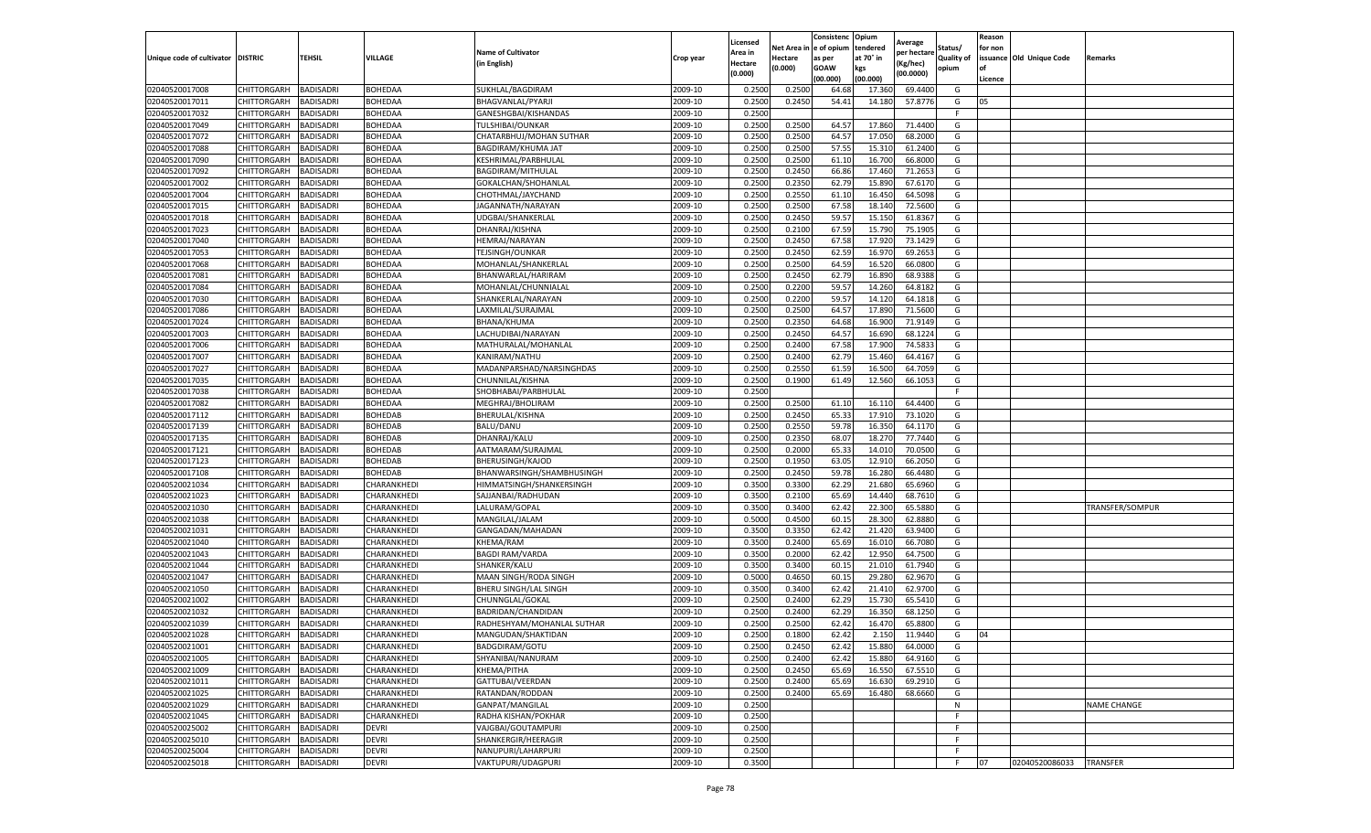| Net Area in e of opium<br>tendered<br>Status/<br>for non<br><b>Name of Cultivator</b><br>Area in<br>per hectare<br>at 70° in<br>issuance Old Unique Code<br><b>DISTRIC</b><br>TEHSIL<br>VILLAGE<br><b>Quality of</b><br>Crop year<br>Hectare<br>as per<br><b>Remarks</b><br>in English)<br>(Kg/hec<br>Hectare<br>(0.000)<br><b>GOAW</b><br>kgs<br>opium<br>(0.000)<br>(00.0000)<br>(00.000)<br>(00.000)<br>Licence<br>02040520017008<br><b>BADISADRI</b><br>BOHEDAA<br>SUKHLAL/BAGDIRAM<br>2009-10<br>0.2500<br>0.2500<br>69.4400<br>CHITTORGARH<br>64.68<br>17.360<br>G<br><b>BADISADRI</b><br><b>BOHEDAA</b><br>2009-10<br>0.2500<br>0.2450<br>54.41<br>57.8776<br>02040520017011<br>CHITTORGARH<br>BHAGVANLAL/PYARJI<br>14.18<br>G<br>05<br>0.2500<br>02040520017032<br>CHITTORGARH<br><b>BADISADRI</b><br>BOHEDAA<br>GANESHGBAI/KISHANDAS<br>2009-10<br>F.<br>02040520017049<br><b>BADISADRI</b><br>BOHEDAA<br>2009-10<br>0.2500<br>0.2500<br>64.57<br>17.860<br>71.4400<br>G<br>CHITTORGARH<br>TULSHIBAI/OUNKAR<br>02040520017072<br><b>CHITTORGARH</b><br><b>BADISADRI</b><br>2009-10<br>0.2500<br>0.2500<br>64.57<br>17.050<br>68.2000<br>G<br>BOHEDAA<br>CHATARBHUJ/MOHAN SUTHAR<br>57.55<br><b>BADISADRI</b><br>BOHEDAA<br>2009-10<br>0.2500<br>0.2500<br>15.31<br>61.2400<br>G<br>02040520017088<br>CHITTORGARH<br>BAGDIRAM/KHUMA JAT<br>02040520017090<br>CHITTORGARH<br><b>BADISADRI</b><br><b>BOHEDAA</b><br>KESHRIMAL/PARBHULAL<br>2009-10<br>0.2500<br>0.2500<br>61.10<br>16.700<br>66.8000<br>G<br>02040520017092<br>BOHEDAA<br>2009-10<br>0.2500<br>0.2450<br>66.86<br>17.460<br>71.2653<br>CHITTORGARH<br>BADISADRI<br><b>BAGDIRAM/MITHULAL</b><br>G<br>0.2350<br>BOHEDAA<br>2009-10<br>0.2500<br>62.79<br>15.89<br>67.6170<br>G<br>02040520017002<br>CHITTORGARH<br><b>BADISADRI</b><br>GOKALCHAN/SHOHANLAL<br>02040520017004<br><b>BADISADRI</b><br>2009-10<br>0.2500<br>0.2550<br>61.10<br>16.450<br>64.5098<br>CHITTORGARH<br><b>BOHEDAA</b><br>CHOTHMAL/JAYCHAND<br>G<br>02040520017015<br><b>BADISADRI</b><br>BOHEDAA<br>2009-10<br>0.2500<br>0.2500<br>67.58<br>18.14<br>72.5600<br>G<br>CHITTORGARH<br>JAGANNATH/NARAYAN<br>0.2450<br>59.57<br>02040520017018<br><b>BADISADRI</b><br>2009-10<br>0.2500<br>15.15<br>61.8367<br>G<br>CHITTORGARH<br>BOHEDAA<br>UDGBAI/SHANKERLAL<br>02040520017023<br>CHITTORGARH<br><b>BADISADRI</b><br>BOHEDAA<br>2009-10<br>0.2500<br>0.2100<br>67.59<br>15.79<br>75.1905<br>G<br>DHANRAJ/KISHNA<br><b>BADISADRI</b><br>BOHEDAA<br>2009-10<br>0.2500<br>0.2450<br>67.58<br>17.92<br>73.1429<br>02040520017040<br>CHITTORGARH<br>HEMRAJ/NARAYAN<br>G<br>62.59<br>2009-10<br>0.2500<br>0.2450<br>16.97<br>69.2653<br>G<br>02040520017053<br>CHITTORGARH<br><b>BADISADRI</b><br>BOHEDAA<br>TEJSINGH/OUNKAR<br>0.2500<br>02040520017068<br><b>BADISADRI</b><br>BOHEDAA<br>2009-10<br>0.2500<br>64.59<br>16.52<br>66.0800<br>G<br>CHITTORGARH<br>MOHANLAL/SHANKERLAL<br>02040520017081<br>2009-10<br>0.2500<br>0.2450<br>62.79<br>CHITTORGARH<br><b>BADISADRI</b><br>BOHEDAA<br>BHANWARLAL/HARIRAM<br>16.890<br>68.9388<br>G<br>2009-10<br>0.2200<br>59.57<br>02040520017084<br><b>BADISADRI</b><br>BOHEDAA<br>0.2500<br>14.260<br>64.8182<br>G<br>CHITTORGARH<br>MOHANLAL/CHUNNIALAL<br>0.2500<br>0.2200<br>59.57<br>02040520017030<br>CHITTORGARH<br><b>BADISADRI</b><br>BOHEDAA<br>2009-10<br>14.12<br>64.1818<br>G<br>SHANKERLAL/NARAYAN<br>02040520017086<br>CHITTORGARH<br><b>BADISADRI</b><br>BOHEDAA<br>LAXMILAL/SURAJMAL<br>2009-10<br>0.2500<br>0.2500<br>64.57<br>17.89<br>71.5600<br>G<br>BOHEDAA<br>2009-10<br>0.2500<br>0.2350<br>64.68<br>16.900<br>71.9149<br>G<br>02040520017024<br>CHITTORGARH<br><b>BADISADRI</b><br>BHANA/KHUMA<br>02040520017003<br><b>BADISADRI</b><br>2009-10<br>0.2500<br>0.2450<br>64.57<br>16.690<br>68.1224<br>G<br>CHITTORGARH<br>BOHEDAA<br>LACHUDIBAI/NARAYAN<br>02040520017006<br>CHITTORGARH<br><b>BADISADRI</b><br>BOHEDAA<br>2009-10<br>0.2500<br>0.2400<br>67.58<br>17.900<br>74.5833<br>G<br>MATHURALAL/MOHANLAL<br>0.2400<br>62.79<br>02040520017007<br><b>BADISADRI</b><br>2009-10<br>0.2500<br>15.460<br>64.4167<br>G<br>CHITTORGARH<br>BOHEDAA<br>KANIRAM/NATHU<br>2009-10<br>0.2550<br>02040520017027<br>CHITTORGARH<br><b>BADISADRI</b><br>BOHEDAA<br>0.2500<br>61.59<br>16.50<br>64.7059<br>G<br>MADANPARSHAD/NARSINGHDAS<br>02040520017035<br>CHITTORGARH<br><b>BADISADRI</b><br>BOHEDAA<br>CHUNNILAL/KISHNA<br>2009-10<br>0.2500<br>0.1900<br>61.49<br>12.560<br>66.1053<br>G<br>02040520017038<br>CHITTORGARH<br>BOHEDAA<br>SHOBHABAI/PARBHULAL<br>2009-10<br>0.2500<br>BADISADRI<br>F.<br>0.2500<br>BOHEDAA<br>2009-10<br>0.2500<br>61.10<br>16.11<br>64.4400<br>02040520017082<br>CHITTORGARH<br><b>BADISADRI</b><br>MEGHRAJ/BHOLIRAM<br>G<br>02040520017112<br>CHITTORGARH<br><b>BADISADRI</b><br>2009-10<br>0.2500<br>0.2450<br>65.33<br>17.910<br>73.1020<br>G<br>BOHEDAB<br>BHERULAL/KISHNA<br>02040520017139<br>CHITTORGARH<br><b>BADISADRI</b><br><b>BOHEDAB</b><br>BALU/DANU<br>2009-10<br>0.2500<br>0.2550<br>59.78<br>16.35<br>64.1170<br>G<br>68.07<br><b>BADISADRI</b><br>BOHEDAB<br>2009-10<br>0.2500<br>0.2350<br>18.27<br>77.7440<br>G<br>02040520017135<br>CHITTORGARH<br>DHANRAJ/KALU<br>02040520017121<br>CHITTORGARH<br><b>BADISADRI</b><br><b>BOHEDAB</b><br>AATMARAM/SURAJMAL<br>2009-10<br>0.2500<br>0.2000<br>65.33<br>14.01<br>70.0500<br>G<br>02040520017123<br><b>BADISADRI</b><br>BOHEDAB<br>2009-10<br>0.2500<br>0.1950<br>63.05<br>12.91<br>66.2050<br>CHITTORGARH<br><b>BHERUSINGH/KAJOD</b><br>G<br>2009-10<br>0.2500<br>0.2450<br>59.78<br>02040520017108<br>CHITTORGARH<br><b>BADISADRI</b><br>BOHEDAB<br>BHANWARSINGH/SHAMBHUSINGH<br>16.280<br>66.4480<br>G<br>02040520021034<br>CHITTORGARH<br><b>BADISADRI</b><br>CHARANKHEDI<br>2009-10<br>0.3500<br>0.3300<br>62.29<br>21.680<br>65.6960<br>HIMMATSINGH/SHANKERSINGH<br>G<br>02040520021023<br><b>BADISADRI</b><br>CHARANKHEDI<br>2009-10<br>0.3500<br>0.2100<br>65.69<br>14.44<br>CHITTORGARH<br>SAJJANBAI/RADHUDAN<br>68.7610<br>G<br>62.42<br>02040520021030<br><b>BADISADRI</b><br>2009-10<br>0.3500<br>0.3400<br>22.30<br>65.5880<br>G<br>CHITTORGARH<br>CHARANKHEDI<br>LALURAM/GOPAL<br>TRANSFER/SOMPUR<br>0.5000<br>0.4500<br>60.1<br>02040520021038<br>CHITTORGARH<br><b>BADISADRI</b><br>CHARANKHEDI<br>MANGILAL/JALAM<br>2009-10<br>28.30<br>62.8880<br>G<br>CHARANKHEDI<br>2009-10<br>0.3500<br>0.3350<br>62.42<br>21.420<br>63.9400<br>02040520021031<br>CHITTORGARH<br>BADISADRI<br>GANGADAN/MAHADAN<br>G<br><b>BADISADRI</b><br>KHEMA/RAM<br>2009-10<br>0.3500<br>0.2400<br>65.69<br>16.01<br>66.7080<br>G<br>02040520021040<br>CHITTORGARH<br>CHARANKHEDI<br><b>BADISADRI</b><br>2009-10<br>0.3500<br>0.2000<br>62.42<br>64.7500<br>G<br>02040520021043<br>CHITTORGARH<br>CHARANKHEDI<br><b>BAGDI RAM/VARDA</b><br>12.95<br>02040520021044<br>SHANKER/KALU<br>2009-10<br>0.3500<br>0.3400<br>60.15<br>21.01<br>61.7940<br>CHITTORGARH<br><b>BADISADRI</b><br>CHARANKHEDI<br>G<br>60.15<br>02040520021047<br><b>BADISADRI</b><br>2009-10<br>0.5000<br>0.4650<br>29.28<br>62.9670<br>G<br>CHITTORGARH<br>CHARANKHEDI<br>MAAN SINGH/RODA SINGH<br>62.42<br>02040520021050<br><b>BADISADRI</b><br>2009-10<br>0.3500<br>0.3400<br>21.41<br>62.9700<br>G<br>CHITTORGARH<br>CHARANKHEDI<br>BHERU SINGH/LAL SINGH<br>02040520021002<br>CHITTORGARH<br><b>BADISADRI</b><br>CHARANKHEDI<br>CHUNNGLAL/GOKAL<br>2009-10<br>0.2500<br>0.2400<br>62.29<br>15.73<br>65.5410<br>G<br>62.29<br>16.35<br>02040520021032<br>CHITTORGARH<br>BADISADRI<br>CHARANKHEDI<br>BADRIDAN/CHANDIDAN<br>2009-10<br>0.2500<br>0.2400<br>68.1250<br>G<br>0.2500<br>02040520021039<br><b>BADISADRI</b><br>2009-10<br>0.2500<br>62.42<br>16.47<br>65.8800<br>G<br>CHITTORGARH<br>CHARANKHEDI<br>RADHESHYAM/MOHANLAL SUTHAR<br>02040520021028<br>CHITTORGARH<br><b>BADISADRI</b><br>CHARANKHEDI<br>MANGUDAN/SHAKTIDAN<br>2009-10<br>0.2500<br>0.1800<br>62.42<br>2.150<br>11.9440<br>G<br>04<br>2009-10<br>CHITTORGARH<br><b>BADISADRI</b><br>CHARANKHEDI<br>BADGDIRAM/GOTU<br>0.2500<br>0.2450<br>62.42<br>15.880<br>64.0000<br>G<br>02040520021005<br>2009-10<br>0.2500<br>0.2400<br>62.42<br>CHITTORGARH<br><b>BADISADRI</b><br>CHARANKHEDI<br>SHYANIBAI/NANURAM<br>15.880<br>64.9160<br>G<br><b>BADISADRI</b><br>2009-10<br>0.2500<br>0.2450<br>65.69<br>67.5510<br><b>CHITTORGARH</b><br>CHARANKHEDI<br>KHEMA/PITHA<br>16.550<br>G<br>2009-10<br>0.2400<br>02040520021011<br>CHITTORGARH<br><b>BADISADRI</b><br>CHARANKHEDI<br>GATTUBAI/VEERDAN<br>0.2500<br>65.69<br>16.630<br>69.2910<br>G<br>02040520021025<br>CHITTORGARH<br><b>BADISADRI</b><br>CHARANKHEDI<br>RATANDAN/RODDAN<br>2009-10<br>0.2500<br>0.2400<br>65.69<br>16.480<br>68.6660<br>G<br>2009-10<br>0.2500<br>02040520021029<br><b>CHITTORGARH</b><br><b>BADISADRI</b><br>CHARANKHEDI<br>GANPAT/MANGILAL<br>N<br><b>NAME CHANGE</b><br>0.2500<br>02040520021045<br>CHITTORGARH<br><b>BADISADRI</b><br>CHARANKHEDI<br>RADHA KISHAN/POKHAR<br>2009-10<br>F<br>02040520025002<br>2009-10<br>0.2500<br>CHITTORGARH<br><b>BADISADRI</b><br><b>DEVRI</b><br>VAJGBAI/GOUTAMPURI<br>F.<br>2009-10<br>0.2500<br>02040520025010<br>CHITTORGARH<br><b>BADISADRI</b><br><b>DEVRI</b><br>SHANKERGIR/HEERAGIR<br>F.<br>NANUPURI/LAHARPURI<br>02040520025004<br>CHITTORGARH<br><b>BADISADRI</b><br><b>DEVRI</b><br>2009-10<br>0.2500<br>F.<br><b>DEVRI</b><br>VAKTUPURI/UDAGPURI<br>0.3500<br>02040520025018<br><b>CHITTORGARH</b><br><b>BADISADRI</b><br>2009-10<br>F.<br>07<br>02040520086033<br><b>TRANSFER</b> |                           |  |  | Licensed | Consistenc | Opium | Average | Reason |  |
|------------------------------------------------------------------------------------------------------------------------------------------------------------------------------------------------------------------------------------------------------------------------------------------------------------------------------------------------------------------------------------------------------------------------------------------------------------------------------------------------------------------------------------------------------------------------------------------------------------------------------------------------------------------------------------------------------------------------------------------------------------------------------------------------------------------------------------------------------------------------------------------------------------------------------------------------------------------------------------------------------------------------------------------------------------------------------------------------------------------------------------------------------------------------------------------------------------------------------------------------------------------------------------------------------------------------------------------------------------------------------------------------------------------------------------------------------------------------------------------------------------------------------------------------------------------------------------------------------------------------------------------------------------------------------------------------------------------------------------------------------------------------------------------------------------------------------------------------------------------------------------------------------------------------------------------------------------------------------------------------------------------------------------------------------------------------------------------------------------------------------------------------------------------------------------------------------------------------------------------------------------------------------------------------------------------------------------------------------------------------------------------------------------------------------------------------------------------------------------------------------------------------------------------------------------------------------------------------------------------------------------------------------------------------------------------------------------------------------------------------------------------------------------------------------------------------------------------------------------------------------------------------------------------------------------------------------------------------------------------------------------------------------------------------------------------------------------------------------------------------------------------------------------------------------------------------------------------------------------------------------------------------------------------------------------------------------------------------------------------------------------------------------------------------------------------------------------------------------------------------------------------------------------------------------------------------------------------------------------------------------------------------------------------------------------------------------------------------------------------------------------------------------------------------------------------------------------------------------------------------------------------------------------------------------------------------------------------------------------------------------------------------------------------------------------------------------------------------------------------------------------------------------------------------------------------------------------------------------------------------------------------------------------------------------------------------------------------------------------------------------------------------------------------------------------------------------------------------------------------------------------------------------------------------------------------------------------------------------------------------------------------------------------------------------------------------------------------------------------------------------------------------------------------------------------------------------------------------------------------------------------------------------------------------------------------------------------------------------------------------------------------------------------------------------------------------------------------------------------------------------------------------------------------------------------------------------------------------------------------------------------------------------------------------------------------------------------------------------------------------------------------------------------------------------------------------------------------------------------------------------------------------------------------------------------------------------------------------------------------------------------------------------------------------------------------------------------------------------------------------------------------------------------------------------------------------------------------------------------------------------------------------------------------------------------------------------------------------------------------------------------------------------------------------------------------------------------------------------------------------------------------------------------------------------------------------------------------------------------------------------------------------------------------------------------------------------------------------------------------------------------------------------------------------------------------------------------------------------------------------------------------------------------------------------------------------------------------------------------------------------------------------------------------------------------------------------------------------------------------------------------------------------------------------------------------------------------------------------------------------------------------------------------------------------------------------------------------------------------------------------------------------------------------------------------------------------------------------------------------------------------------------------------------------------------------------------------------------------------------------------------------------------------------------------------------------------------------------------------------------------------------------------------------------------------------------------------------------------------------------------------------------------------------------------------------------------------------------------------------------------------------------------------------------------------------------------------------------------------------------------------------------------------------------------------------------------------------------------------------------------------------------------------------------------------------------------------------------------------------------------------------------------------------------------------------------------------------------------------------------------------------------------------------------------------------------------------------------------------------------------------------------------------------------------------------------------------------------------------------------------------------------------------------------------------------------------------------------------------------------------------------------------------------------------------------------------------------------------------------------------------------------------------------------------------------------------------------------------------------------------------------------------------------------------------------------------------------------------------------------------------------------------------------------------------------------------------------------------------------------------------------------------------------------------------------------------------------------------------------------------------------------------------------------------------------------------------------------------------------------------------------------------------------------------------------------------------------------------------------------------------------------------------------------------------------------------------------------------------------------------------------------------------------------------------------|---------------------------|--|--|----------|------------|-------|---------|--------|--|
|                                                                                                                                                                                                                                                                                                                                                                                                                                                                                                                                                                                                                                                                                                                                                                                                                                                                                                                                                                                                                                                                                                                                                                                                                                                                                                                                                                                                                                                                                                                                                                                                                                                                                                                                                                                                                                                                                                                                                                                                                                                                                                                                                                                                                                                                                                                                                                                                                                                                                                                                                                                                                                                                                                                                                                                                                                                                                                                                                                                                                                                                                                                                                                                                                                                                                                                                                                                                                                                                                                                                                                                                                                                                                                                                                                                                                                                                                                                                                                                                                                                                                                                                                                                                                                                                                                                                                                                                                                                                                                                                                                                                                                                                                                                                                                                                                                                                                                                                                                                                                                                                                                                                                                                                                                                                                                                                                                                                                                                                                                                                                                                                                                                                                                                                                                                                                                                                                                                                                                                                                                                                                                                                                                                                                                                                                                                                                                                                                                                                                                                                                                                                                                                                                                                                                                                                                                                                                                                                                                                                                                                                                                                                                                                                                                                                                                                                                                                                                                                                                                                                                                                                                                                                                                                                                                                                                                                                                                                                                                                                                                                                                                                                                                                                                                                                                                                                                                                                                                                                                                                                                                                                                                                                                                                                                                                                                                                                                                                                                                                                                                                                                                                                                                                                                                                                                                                                                                                                                                                                                                                                                                  |                           |  |  |          |            |       |         |        |  |
|                                                                                                                                                                                                                                                                                                                                                                                                                                                                                                                                                                                                                                                                                                                                                                                                                                                                                                                                                                                                                                                                                                                                                                                                                                                                                                                                                                                                                                                                                                                                                                                                                                                                                                                                                                                                                                                                                                                                                                                                                                                                                                                                                                                                                                                                                                                                                                                                                                                                                                                                                                                                                                                                                                                                                                                                                                                                                                                                                                                                                                                                                                                                                                                                                                                                                                                                                                                                                                                                                                                                                                                                                                                                                                                                                                                                                                                                                                                                                                                                                                                                                                                                                                                                                                                                                                                                                                                                                                                                                                                                                                                                                                                                                                                                                                                                                                                                                                                                                                                                                                                                                                                                                                                                                                                                                                                                                                                                                                                                                                                                                                                                                                                                                                                                                                                                                                                                                                                                                                                                                                                                                                                                                                                                                                                                                                                                                                                                                                                                                                                                                                                                                                                                                                                                                                                                                                                                                                                                                                                                                                                                                                                                                                                                                                                                                                                                                                                                                                                                                                                                                                                                                                                                                                                                                                                                                                                                                                                                                                                                                                                                                                                                                                                                                                                                                                                                                                                                                                                                                                                                                                                                                                                                                                                                                                                                                                                                                                                                                                                                                                                                                                                                                                                                                                                                                                                                                                                                                                                                                                                                                                  | Unique code of cultivator |  |  |          |            |       |         |        |  |
|                                                                                                                                                                                                                                                                                                                                                                                                                                                                                                                                                                                                                                                                                                                                                                                                                                                                                                                                                                                                                                                                                                                                                                                                                                                                                                                                                                                                                                                                                                                                                                                                                                                                                                                                                                                                                                                                                                                                                                                                                                                                                                                                                                                                                                                                                                                                                                                                                                                                                                                                                                                                                                                                                                                                                                                                                                                                                                                                                                                                                                                                                                                                                                                                                                                                                                                                                                                                                                                                                                                                                                                                                                                                                                                                                                                                                                                                                                                                                                                                                                                                                                                                                                                                                                                                                                                                                                                                                                                                                                                                                                                                                                                                                                                                                                                                                                                                                                                                                                                                                                                                                                                                                                                                                                                                                                                                                                                                                                                                                                                                                                                                                                                                                                                                                                                                                                                                                                                                                                                                                                                                                                                                                                                                                                                                                                                                                                                                                                                                                                                                                                                                                                                                                                                                                                                                                                                                                                                                                                                                                                                                                                                                                                                                                                                                                                                                                                                                                                                                                                                                                                                                                                                                                                                                                                                                                                                                                                                                                                                                                                                                                                                                                                                                                                                                                                                                                                                                                                                                                                                                                                                                                                                                                                                                                                                                                                                                                                                                                                                                                                                                                                                                                                                                                                                                                                                                                                                                                                                                                                                                                                  |                           |  |  |          |            |       |         |        |  |
|                                                                                                                                                                                                                                                                                                                                                                                                                                                                                                                                                                                                                                                                                                                                                                                                                                                                                                                                                                                                                                                                                                                                                                                                                                                                                                                                                                                                                                                                                                                                                                                                                                                                                                                                                                                                                                                                                                                                                                                                                                                                                                                                                                                                                                                                                                                                                                                                                                                                                                                                                                                                                                                                                                                                                                                                                                                                                                                                                                                                                                                                                                                                                                                                                                                                                                                                                                                                                                                                                                                                                                                                                                                                                                                                                                                                                                                                                                                                                                                                                                                                                                                                                                                                                                                                                                                                                                                                                                                                                                                                                                                                                                                                                                                                                                                                                                                                                                                                                                                                                                                                                                                                                                                                                                                                                                                                                                                                                                                                                                                                                                                                                                                                                                                                                                                                                                                                                                                                                                                                                                                                                                                                                                                                                                                                                                                                                                                                                                                                                                                                                                                                                                                                                                                                                                                                                                                                                                                                                                                                                                                                                                                                                                                                                                                                                                                                                                                                                                                                                                                                                                                                                                                                                                                                                                                                                                                                                                                                                                                                                                                                                                                                                                                                                                                                                                                                                                                                                                                                                                                                                                                                                                                                                                                                                                                                                                                                                                                                                                                                                                                                                                                                                                                                                                                                                                                                                                                                                                                                                                                                                                  |                           |  |  |          |            |       |         |        |  |
|                                                                                                                                                                                                                                                                                                                                                                                                                                                                                                                                                                                                                                                                                                                                                                                                                                                                                                                                                                                                                                                                                                                                                                                                                                                                                                                                                                                                                                                                                                                                                                                                                                                                                                                                                                                                                                                                                                                                                                                                                                                                                                                                                                                                                                                                                                                                                                                                                                                                                                                                                                                                                                                                                                                                                                                                                                                                                                                                                                                                                                                                                                                                                                                                                                                                                                                                                                                                                                                                                                                                                                                                                                                                                                                                                                                                                                                                                                                                                                                                                                                                                                                                                                                                                                                                                                                                                                                                                                                                                                                                                                                                                                                                                                                                                                                                                                                                                                                                                                                                                                                                                                                                                                                                                                                                                                                                                                                                                                                                                                                                                                                                                                                                                                                                                                                                                                                                                                                                                                                                                                                                                                                                                                                                                                                                                                                                                                                                                                                                                                                                                                                                                                                                                                                                                                                                                                                                                                                                                                                                                                                                                                                                                                                                                                                                                                                                                                                                                                                                                                                                                                                                                                                                                                                                                                                                                                                                                                                                                                                                                                                                                                                                                                                                                                                                                                                                                                                                                                                                                                                                                                                                                                                                                                                                                                                                                                                                                                                                                                                                                                                                                                                                                                                                                                                                                                                                                                                                                                                                                                                                                                  |                           |  |  |          |            |       |         |        |  |
|                                                                                                                                                                                                                                                                                                                                                                                                                                                                                                                                                                                                                                                                                                                                                                                                                                                                                                                                                                                                                                                                                                                                                                                                                                                                                                                                                                                                                                                                                                                                                                                                                                                                                                                                                                                                                                                                                                                                                                                                                                                                                                                                                                                                                                                                                                                                                                                                                                                                                                                                                                                                                                                                                                                                                                                                                                                                                                                                                                                                                                                                                                                                                                                                                                                                                                                                                                                                                                                                                                                                                                                                                                                                                                                                                                                                                                                                                                                                                                                                                                                                                                                                                                                                                                                                                                                                                                                                                                                                                                                                                                                                                                                                                                                                                                                                                                                                                                                                                                                                                                                                                                                                                                                                                                                                                                                                                                                                                                                                                                                                                                                                                                                                                                                                                                                                                                                                                                                                                                                                                                                                                                                                                                                                                                                                                                                                                                                                                                                                                                                                                                                                                                                                                                                                                                                                                                                                                                                                                                                                                                                                                                                                                                                                                                                                                                                                                                                                                                                                                                                                                                                                                                                                                                                                                                                                                                                                                                                                                                                                                                                                                                                                                                                                                                                                                                                                                                                                                                                                                                                                                                                                                                                                                                                                                                                                                                                                                                                                                                                                                                                                                                                                                                                                                                                                                                                                                                                                                                                                                                                                                                  |                           |  |  |          |            |       |         |        |  |
|                                                                                                                                                                                                                                                                                                                                                                                                                                                                                                                                                                                                                                                                                                                                                                                                                                                                                                                                                                                                                                                                                                                                                                                                                                                                                                                                                                                                                                                                                                                                                                                                                                                                                                                                                                                                                                                                                                                                                                                                                                                                                                                                                                                                                                                                                                                                                                                                                                                                                                                                                                                                                                                                                                                                                                                                                                                                                                                                                                                                                                                                                                                                                                                                                                                                                                                                                                                                                                                                                                                                                                                                                                                                                                                                                                                                                                                                                                                                                                                                                                                                                                                                                                                                                                                                                                                                                                                                                                                                                                                                                                                                                                                                                                                                                                                                                                                                                                                                                                                                                                                                                                                                                                                                                                                                                                                                                                                                                                                                                                                                                                                                                                                                                                                                                                                                                                                                                                                                                                                                                                                                                                                                                                                                                                                                                                                                                                                                                                                                                                                                                                                                                                                                                                                                                                                                                                                                                                                                                                                                                                                                                                                                                                                                                                                                                                                                                                                                                                                                                                                                                                                                                                                                                                                                                                                                                                                                                                                                                                                                                                                                                                                                                                                                                                                                                                                                                                                                                                                                                                                                                                                                                                                                                                                                                                                                                                                                                                                                                                                                                                                                                                                                                                                                                                                                                                                                                                                                                                                                                                                                                                  |                           |  |  |          |            |       |         |        |  |
|                                                                                                                                                                                                                                                                                                                                                                                                                                                                                                                                                                                                                                                                                                                                                                                                                                                                                                                                                                                                                                                                                                                                                                                                                                                                                                                                                                                                                                                                                                                                                                                                                                                                                                                                                                                                                                                                                                                                                                                                                                                                                                                                                                                                                                                                                                                                                                                                                                                                                                                                                                                                                                                                                                                                                                                                                                                                                                                                                                                                                                                                                                                                                                                                                                                                                                                                                                                                                                                                                                                                                                                                                                                                                                                                                                                                                                                                                                                                                                                                                                                                                                                                                                                                                                                                                                                                                                                                                                                                                                                                                                                                                                                                                                                                                                                                                                                                                                                                                                                                                                                                                                                                                                                                                                                                                                                                                                                                                                                                                                                                                                                                                                                                                                                                                                                                                                                                                                                                                                                                                                                                                                                                                                                                                                                                                                                                                                                                                                                                                                                                                                                                                                                                                                                                                                                                                                                                                                                                                                                                                                                                                                                                                                                                                                                                                                                                                                                                                                                                                                                                                                                                                                                                                                                                                                                                                                                                                                                                                                                                                                                                                                                                                                                                                                                                                                                                                                                                                                                                                                                                                                                                                                                                                                                                                                                                                                                                                                                                                                                                                                                                                                                                                                                                                                                                                                                                                                                                                                                                                                                                                                  |                           |  |  |          |            |       |         |        |  |
|                                                                                                                                                                                                                                                                                                                                                                                                                                                                                                                                                                                                                                                                                                                                                                                                                                                                                                                                                                                                                                                                                                                                                                                                                                                                                                                                                                                                                                                                                                                                                                                                                                                                                                                                                                                                                                                                                                                                                                                                                                                                                                                                                                                                                                                                                                                                                                                                                                                                                                                                                                                                                                                                                                                                                                                                                                                                                                                                                                                                                                                                                                                                                                                                                                                                                                                                                                                                                                                                                                                                                                                                                                                                                                                                                                                                                                                                                                                                                                                                                                                                                                                                                                                                                                                                                                                                                                                                                                                                                                                                                                                                                                                                                                                                                                                                                                                                                                                                                                                                                                                                                                                                                                                                                                                                                                                                                                                                                                                                                                                                                                                                                                                                                                                                                                                                                                                                                                                                                                                                                                                                                                                                                                                                                                                                                                                                                                                                                                                                                                                                                                                                                                                                                                                                                                                                                                                                                                                                                                                                                                                                                                                                                                                                                                                                                                                                                                                                                                                                                                                                                                                                                                                                                                                                                                                                                                                                                                                                                                                                                                                                                                                                                                                                                                                                                                                                                                                                                                                                                                                                                                                                                                                                                                                                                                                                                                                                                                                                                                                                                                                                                                                                                                                                                                                                                                                                                                                                                                                                                                                                                                  |                           |  |  |          |            |       |         |        |  |
|                                                                                                                                                                                                                                                                                                                                                                                                                                                                                                                                                                                                                                                                                                                                                                                                                                                                                                                                                                                                                                                                                                                                                                                                                                                                                                                                                                                                                                                                                                                                                                                                                                                                                                                                                                                                                                                                                                                                                                                                                                                                                                                                                                                                                                                                                                                                                                                                                                                                                                                                                                                                                                                                                                                                                                                                                                                                                                                                                                                                                                                                                                                                                                                                                                                                                                                                                                                                                                                                                                                                                                                                                                                                                                                                                                                                                                                                                                                                                                                                                                                                                                                                                                                                                                                                                                                                                                                                                                                                                                                                                                                                                                                                                                                                                                                                                                                                                                                                                                                                                                                                                                                                                                                                                                                                                                                                                                                                                                                                                                                                                                                                                                                                                                                                                                                                                                                                                                                                                                                                                                                                                                                                                                                                                                                                                                                                                                                                                                                                                                                                                                                                                                                                                                                                                                                                                                                                                                                                                                                                                                                                                                                                                                                                                                                                                                                                                                                                                                                                                                                                                                                                                                                                                                                                                                                                                                                                                                                                                                                                                                                                                                                                                                                                                                                                                                                                                                                                                                                                                                                                                                                                                                                                                                                                                                                                                                                                                                                                                                                                                                                                                                                                                                                                                                                                                                                                                                                                                                                                                                                                                                  |                           |  |  |          |            |       |         |        |  |
|                                                                                                                                                                                                                                                                                                                                                                                                                                                                                                                                                                                                                                                                                                                                                                                                                                                                                                                                                                                                                                                                                                                                                                                                                                                                                                                                                                                                                                                                                                                                                                                                                                                                                                                                                                                                                                                                                                                                                                                                                                                                                                                                                                                                                                                                                                                                                                                                                                                                                                                                                                                                                                                                                                                                                                                                                                                                                                                                                                                                                                                                                                                                                                                                                                                                                                                                                                                                                                                                                                                                                                                                                                                                                                                                                                                                                                                                                                                                                                                                                                                                                                                                                                                                                                                                                                                                                                                                                                                                                                                                                                                                                                                                                                                                                                                                                                                                                                                                                                                                                                                                                                                                                                                                                                                                                                                                                                                                                                                                                                                                                                                                                                                                                                                                                                                                                                                                                                                                                                                                                                                                                                                                                                                                                                                                                                                                                                                                                                                                                                                                                                                                                                                                                                                                                                                                                                                                                                                                                                                                                                                                                                                                                                                                                                                                                                                                                                                                                                                                                                                                                                                                                                                                                                                                                                                                                                                                                                                                                                                                                                                                                                                                                                                                                                                                                                                                                                                                                                                                                                                                                                                                                                                                                                                                                                                                                                                                                                                                                                                                                                                                                                                                                                                                                                                                                                                                                                                                                                                                                                                                                                  |                           |  |  |          |            |       |         |        |  |
|                                                                                                                                                                                                                                                                                                                                                                                                                                                                                                                                                                                                                                                                                                                                                                                                                                                                                                                                                                                                                                                                                                                                                                                                                                                                                                                                                                                                                                                                                                                                                                                                                                                                                                                                                                                                                                                                                                                                                                                                                                                                                                                                                                                                                                                                                                                                                                                                                                                                                                                                                                                                                                                                                                                                                                                                                                                                                                                                                                                                                                                                                                                                                                                                                                                                                                                                                                                                                                                                                                                                                                                                                                                                                                                                                                                                                                                                                                                                                                                                                                                                                                                                                                                                                                                                                                                                                                                                                                                                                                                                                                                                                                                                                                                                                                                                                                                                                                                                                                                                                                                                                                                                                                                                                                                                                                                                                                                                                                                                                                                                                                                                                                                                                                                                                                                                                                                                                                                                                                                                                                                                                                                                                                                                                                                                                                                                                                                                                                                                                                                                                                                                                                                                                                                                                                                                                                                                                                                                                                                                                                                                                                                                                                                                                                                                                                                                                                                                                                                                                                                                                                                                                                                                                                                                                                                                                                                                                                                                                                                                                                                                                                                                                                                                                                                                                                                                                                                                                                                                                                                                                                                                                                                                                                                                                                                                                                                                                                                                                                                                                                                                                                                                                                                                                                                                                                                                                                                                                                                                                                                                                                  |                           |  |  |          |            |       |         |        |  |
|                                                                                                                                                                                                                                                                                                                                                                                                                                                                                                                                                                                                                                                                                                                                                                                                                                                                                                                                                                                                                                                                                                                                                                                                                                                                                                                                                                                                                                                                                                                                                                                                                                                                                                                                                                                                                                                                                                                                                                                                                                                                                                                                                                                                                                                                                                                                                                                                                                                                                                                                                                                                                                                                                                                                                                                                                                                                                                                                                                                                                                                                                                                                                                                                                                                                                                                                                                                                                                                                                                                                                                                                                                                                                                                                                                                                                                                                                                                                                                                                                                                                                                                                                                                                                                                                                                                                                                                                                                                                                                                                                                                                                                                                                                                                                                                                                                                                                                                                                                                                                                                                                                                                                                                                                                                                                                                                                                                                                                                                                                                                                                                                                                                                                                                                                                                                                                                                                                                                                                                                                                                                                                                                                                                                                                                                                                                                                                                                                                                                                                                                                                                                                                                                                                                                                                                                                                                                                                                                                                                                                                                                                                                                                                                                                                                                                                                                                                                                                                                                                                                                                                                                                                                                                                                                                                                                                                                                                                                                                                                                                                                                                                                                                                                                                                                                                                                                                                                                                                                                                                                                                                                                                                                                                                                                                                                                                                                                                                                                                                                                                                                                                                                                                                                                                                                                                                                                                                                                                                                                                                                                                                  |                           |  |  |          |            |       |         |        |  |
|                                                                                                                                                                                                                                                                                                                                                                                                                                                                                                                                                                                                                                                                                                                                                                                                                                                                                                                                                                                                                                                                                                                                                                                                                                                                                                                                                                                                                                                                                                                                                                                                                                                                                                                                                                                                                                                                                                                                                                                                                                                                                                                                                                                                                                                                                                                                                                                                                                                                                                                                                                                                                                                                                                                                                                                                                                                                                                                                                                                                                                                                                                                                                                                                                                                                                                                                                                                                                                                                                                                                                                                                                                                                                                                                                                                                                                                                                                                                                                                                                                                                                                                                                                                                                                                                                                                                                                                                                                                                                                                                                                                                                                                                                                                                                                                                                                                                                                                                                                                                                                                                                                                                                                                                                                                                                                                                                                                                                                                                                                                                                                                                                                                                                                                                                                                                                                                                                                                                                                                                                                                                                                                                                                                                                                                                                                                                                                                                                                                                                                                                                                                                                                                                                                                                                                                                                                                                                                                                                                                                                                                                                                                                                                                                                                                                                                                                                                                                                                                                                                                                                                                                                                                                                                                                                                                                                                                                                                                                                                                                                                                                                                                                                                                                                                                                                                                                                                                                                                                                                                                                                                                                                                                                                                                                                                                                                                                                                                                                                                                                                                                                                                                                                                                                                                                                                                                                                                                                                                                                                                                                                                  |                           |  |  |          |            |       |         |        |  |
|                                                                                                                                                                                                                                                                                                                                                                                                                                                                                                                                                                                                                                                                                                                                                                                                                                                                                                                                                                                                                                                                                                                                                                                                                                                                                                                                                                                                                                                                                                                                                                                                                                                                                                                                                                                                                                                                                                                                                                                                                                                                                                                                                                                                                                                                                                                                                                                                                                                                                                                                                                                                                                                                                                                                                                                                                                                                                                                                                                                                                                                                                                                                                                                                                                                                                                                                                                                                                                                                                                                                                                                                                                                                                                                                                                                                                                                                                                                                                                                                                                                                                                                                                                                                                                                                                                                                                                                                                                                                                                                                                                                                                                                                                                                                                                                                                                                                                                                                                                                                                                                                                                                                                                                                                                                                                                                                                                                                                                                                                                                                                                                                                                                                                                                                                                                                                                                                                                                                                                                                                                                                                                                                                                                                                                                                                                                                                                                                                                                                                                                                                                                                                                                                                                                                                                                                                                                                                                                                                                                                                                                                                                                                                                                                                                                                                                                                                                                                                                                                                                                                                                                                                                                                                                                                                                                                                                                                                                                                                                                                                                                                                                                                                                                                                                                                                                                                                                                                                                                                                                                                                                                                                                                                                                                                                                                                                                                                                                                                                                                                                                                                                                                                                                                                                                                                                                                                                                                                                                                                                                                                                                  |                           |  |  |          |            |       |         |        |  |
|                                                                                                                                                                                                                                                                                                                                                                                                                                                                                                                                                                                                                                                                                                                                                                                                                                                                                                                                                                                                                                                                                                                                                                                                                                                                                                                                                                                                                                                                                                                                                                                                                                                                                                                                                                                                                                                                                                                                                                                                                                                                                                                                                                                                                                                                                                                                                                                                                                                                                                                                                                                                                                                                                                                                                                                                                                                                                                                                                                                                                                                                                                                                                                                                                                                                                                                                                                                                                                                                                                                                                                                                                                                                                                                                                                                                                                                                                                                                                                                                                                                                                                                                                                                                                                                                                                                                                                                                                                                                                                                                                                                                                                                                                                                                                                                                                                                                                                                                                                                                                                                                                                                                                                                                                                                                                                                                                                                                                                                                                                                                                                                                                                                                                                                                                                                                                                                                                                                                                                                                                                                                                                                                                                                                                                                                                                                                                                                                                                                                                                                                                                                                                                                                                                                                                                                                                                                                                                                                                                                                                                                                                                                                                                                                                                                                                                                                                                                                                                                                                                                                                                                                                                                                                                                                                                                                                                                                                                                                                                                                                                                                                                                                                                                                                                                                                                                                                                                                                                                                                                                                                                                                                                                                                                                                                                                                                                                                                                                                                                                                                                                                                                                                                                                                                                                                                                                                                                                                                                                                                                                                                                  |                           |  |  |          |            |       |         |        |  |
|                                                                                                                                                                                                                                                                                                                                                                                                                                                                                                                                                                                                                                                                                                                                                                                                                                                                                                                                                                                                                                                                                                                                                                                                                                                                                                                                                                                                                                                                                                                                                                                                                                                                                                                                                                                                                                                                                                                                                                                                                                                                                                                                                                                                                                                                                                                                                                                                                                                                                                                                                                                                                                                                                                                                                                                                                                                                                                                                                                                                                                                                                                                                                                                                                                                                                                                                                                                                                                                                                                                                                                                                                                                                                                                                                                                                                                                                                                                                                                                                                                                                                                                                                                                                                                                                                                                                                                                                                                                                                                                                                                                                                                                                                                                                                                                                                                                                                                                                                                                                                                                                                                                                                                                                                                                                                                                                                                                                                                                                                                                                                                                                                                                                                                                                                                                                                                                                                                                                                                                                                                                                                                                                                                                                                                                                                                                                                                                                                                                                                                                                                                                                                                                                                                                                                                                                                                                                                                                                                                                                                                                                                                                                                                                                                                                                                                                                                                                                                                                                                                                                                                                                                                                                                                                                                                                                                                                                                                                                                                                                                                                                                                                                                                                                                                                                                                                                                                                                                                                                                                                                                                                                                                                                                                                                                                                                                                                                                                                                                                                                                                                                                                                                                                                                                                                                                                                                                                                                                                                                                                                                                                  |                           |  |  |          |            |       |         |        |  |
|                                                                                                                                                                                                                                                                                                                                                                                                                                                                                                                                                                                                                                                                                                                                                                                                                                                                                                                                                                                                                                                                                                                                                                                                                                                                                                                                                                                                                                                                                                                                                                                                                                                                                                                                                                                                                                                                                                                                                                                                                                                                                                                                                                                                                                                                                                                                                                                                                                                                                                                                                                                                                                                                                                                                                                                                                                                                                                                                                                                                                                                                                                                                                                                                                                                                                                                                                                                                                                                                                                                                                                                                                                                                                                                                                                                                                                                                                                                                                                                                                                                                                                                                                                                                                                                                                                                                                                                                                                                                                                                                                                                                                                                                                                                                                                                                                                                                                                                                                                                                                                                                                                                                                                                                                                                                                                                                                                                                                                                                                                                                                                                                                                                                                                                                                                                                                                                                                                                                                                                                                                                                                                                                                                                                                                                                                                                                                                                                                                                                                                                                                                                                                                                                                                                                                                                                                                                                                                                                                                                                                                                                                                                                                                                                                                                                                                                                                                                                                                                                                                                                                                                                                                                                                                                                                                                                                                                                                                                                                                                                                                                                                                                                                                                                                                                                                                                                                                                                                                                                                                                                                                                                                                                                                                                                                                                                                                                                                                                                                                                                                                                                                                                                                                                                                                                                                                                                                                                                                                                                                                                                                                  |                           |  |  |          |            |       |         |        |  |
|                                                                                                                                                                                                                                                                                                                                                                                                                                                                                                                                                                                                                                                                                                                                                                                                                                                                                                                                                                                                                                                                                                                                                                                                                                                                                                                                                                                                                                                                                                                                                                                                                                                                                                                                                                                                                                                                                                                                                                                                                                                                                                                                                                                                                                                                                                                                                                                                                                                                                                                                                                                                                                                                                                                                                                                                                                                                                                                                                                                                                                                                                                                                                                                                                                                                                                                                                                                                                                                                                                                                                                                                                                                                                                                                                                                                                                                                                                                                                                                                                                                                                                                                                                                                                                                                                                                                                                                                                                                                                                                                                                                                                                                                                                                                                                                                                                                                                                                                                                                                                                                                                                                                                                                                                                                                                                                                                                                                                                                                                                                                                                                                                                                                                                                                                                                                                                                                                                                                                                                                                                                                                                                                                                                                                                                                                                                                                                                                                                                                                                                                                                                                                                                                                                                                                                                                                                                                                                                                                                                                                                                                                                                                                                                                                                                                                                                                                                                                                                                                                                                                                                                                                                                                                                                                                                                                                                                                                                                                                                                                                                                                                                                                                                                                                                                                                                                                                                                                                                                                                                                                                                                                                                                                                                                                                                                                                                                                                                                                                                                                                                                                                                                                                                                                                                                                                                                                                                                                                                                                                                                                                                  |                           |  |  |          |            |       |         |        |  |
|                                                                                                                                                                                                                                                                                                                                                                                                                                                                                                                                                                                                                                                                                                                                                                                                                                                                                                                                                                                                                                                                                                                                                                                                                                                                                                                                                                                                                                                                                                                                                                                                                                                                                                                                                                                                                                                                                                                                                                                                                                                                                                                                                                                                                                                                                                                                                                                                                                                                                                                                                                                                                                                                                                                                                                                                                                                                                                                                                                                                                                                                                                                                                                                                                                                                                                                                                                                                                                                                                                                                                                                                                                                                                                                                                                                                                                                                                                                                                                                                                                                                                                                                                                                                                                                                                                                                                                                                                                                                                                                                                                                                                                                                                                                                                                                                                                                                                                                                                                                                                                                                                                                                                                                                                                                                                                                                                                                                                                                                                                                                                                                                                                                                                                                                                                                                                                                                                                                                                                                                                                                                                                                                                                                                                                                                                                                                                                                                                                                                                                                                                                                                                                                                                                                                                                                                                                                                                                                                                                                                                                                                                                                                                                                                                                                                                                                                                                                                                                                                                                                                                                                                                                                                                                                                                                                                                                                                                                                                                                                                                                                                                                                                                                                                                                                                                                                                                                                                                                                                                                                                                                                                                                                                                                                                                                                                                                                                                                                                                                                                                                                                                                                                                                                                                                                                                                                                                                                                                                                                                                                                                                  |                           |  |  |          |            |       |         |        |  |
|                                                                                                                                                                                                                                                                                                                                                                                                                                                                                                                                                                                                                                                                                                                                                                                                                                                                                                                                                                                                                                                                                                                                                                                                                                                                                                                                                                                                                                                                                                                                                                                                                                                                                                                                                                                                                                                                                                                                                                                                                                                                                                                                                                                                                                                                                                                                                                                                                                                                                                                                                                                                                                                                                                                                                                                                                                                                                                                                                                                                                                                                                                                                                                                                                                                                                                                                                                                                                                                                                                                                                                                                                                                                                                                                                                                                                                                                                                                                                                                                                                                                                                                                                                                                                                                                                                                                                                                                                                                                                                                                                                                                                                                                                                                                                                                                                                                                                                                                                                                                                                                                                                                                                                                                                                                                                                                                                                                                                                                                                                                                                                                                                                                                                                                                                                                                                                                                                                                                                                                                                                                                                                                                                                                                                                                                                                                                                                                                                                                                                                                                                                                                                                                                                                                                                                                                                                                                                                                                                                                                                                                                                                                                                                                                                                                                                                                                                                                                                                                                                                                                                                                                                                                                                                                                                                                                                                                                                                                                                                                                                                                                                                                                                                                                                                                                                                                                                                                                                                                                                                                                                                                                                                                                                                                                                                                                                                                                                                                                                                                                                                                                                                                                                                                                                                                                                                                                                                                                                                                                                                                                                                  |                           |  |  |          |            |       |         |        |  |
|                                                                                                                                                                                                                                                                                                                                                                                                                                                                                                                                                                                                                                                                                                                                                                                                                                                                                                                                                                                                                                                                                                                                                                                                                                                                                                                                                                                                                                                                                                                                                                                                                                                                                                                                                                                                                                                                                                                                                                                                                                                                                                                                                                                                                                                                                                                                                                                                                                                                                                                                                                                                                                                                                                                                                                                                                                                                                                                                                                                                                                                                                                                                                                                                                                                                                                                                                                                                                                                                                                                                                                                                                                                                                                                                                                                                                                                                                                                                                                                                                                                                                                                                                                                                                                                                                                                                                                                                                                                                                                                                                                                                                                                                                                                                                                                                                                                                                                                                                                                                                                                                                                                                                                                                                                                                                                                                                                                                                                                                                                                                                                                                                                                                                                                                                                                                                                                                                                                                                                                                                                                                                                                                                                                                                                                                                                                                                                                                                                                                                                                                                                                                                                                                                                                                                                                                                                                                                                                                                                                                                                                                                                                                                                                                                                                                                                                                                                                                                                                                                                                                                                                                                                                                                                                                                                                                                                                                                                                                                                                                                                                                                                                                                                                                                                                                                                                                                                                                                                                                                                                                                                                                                                                                                                                                                                                                                                                                                                                                                                                                                                                                                                                                                                                                                                                                                                                                                                                                                                                                                                                                                                  |                           |  |  |          |            |       |         |        |  |
|                                                                                                                                                                                                                                                                                                                                                                                                                                                                                                                                                                                                                                                                                                                                                                                                                                                                                                                                                                                                                                                                                                                                                                                                                                                                                                                                                                                                                                                                                                                                                                                                                                                                                                                                                                                                                                                                                                                                                                                                                                                                                                                                                                                                                                                                                                                                                                                                                                                                                                                                                                                                                                                                                                                                                                                                                                                                                                                                                                                                                                                                                                                                                                                                                                                                                                                                                                                                                                                                                                                                                                                                                                                                                                                                                                                                                                                                                                                                                                                                                                                                                                                                                                                                                                                                                                                                                                                                                                                                                                                                                                                                                                                                                                                                                                                                                                                                                                                                                                                                                                                                                                                                                                                                                                                                                                                                                                                                                                                                                                                                                                                                                                                                                                                                                                                                                                                                                                                                                                                                                                                                                                                                                                                                                                                                                                                                                                                                                                                                                                                                                                                                                                                                                                                                                                                                                                                                                                                                                                                                                                                                                                                                                                                                                                                                                                                                                                                                                                                                                                                                                                                                                                                                                                                                                                                                                                                                                                                                                                                                                                                                                                                                                                                                                                                                                                                                                                                                                                                                                                                                                                                                                                                                                                                                                                                                                                                                                                                                                                                                                                                                                                                                                                                                                                                                                                                                                                                                                                                                                                                                                                  |                           |  |  |          |            |       |         |        |  |
|                                                                                                                                                                                                                                                                                                                                                                                                                                                                                                                                                                                                                                                                                                                                                                                                                                                                                                                                                                                                                                                                                                                                                                                                                                                                                                                                                                                                                                                                                                                                                                                                                                                                                                                                                                                                                                                                                                                                                                                                                                                                                                                                                                                                                                                                                                                                                                                                                                                                                                                                                                                                                                                                                                                                                                                                                                                                                                                                                                                                                                                                                                                                                                                                                                                                                                                                                                                                                                                                                                                                                                                                                                                                                                                                                                                                                                                                                                                                                                                                                                                                                                                                                                                                                                                                                                                                                                                                                                                                                                                                                                                                                                                                                                                                                                                                                                                                                                                                                                                                                                                                                                                                                                                                                                                                                                                                                                                                                                                                                                                                                                                                                                                                                                                                                                                                                                                                                                                                                                                                                                                                                                                                                                                                                                                                                                                                                                                                                                                                                                                                                                                                                                                                                                                                                                                                                                                                                                                                                                                                                                                                                                                                                                                                                                                                                                                                                                                                                                                                                                                                                                                                                                                                                                                                                                                                                                                                                                                                                                                                                                                                                                                                                                                                                                                                                                                                                                                                                                                                                                                                                                                                                                                                                                                                                                                                                                                                                                                                                                                                                                                                                                                                                                                                                                                                                                                                                                                                                                                                                                                                                                  |                           |  |  |          |            |       |         |        |  |
|                                                                                                                                                                                                                                                                                                                                                                                                                                                                                                                                                                                                                                                                                                                                                                                                                                                                                                                                                                                                                                                                                                                                                                                                                                                                                                                                                                                                                                                                                                                                                                                                                                                                                                                                                                                                                                                                                                                                                                                                                                                                                                                                                                                                                                                                                                                                                                                                                                                                                                                                                                                                                                                                                                                                                                                                                                                                                                                                                                                                                                                                                                                                                                                                                                                                                                                                                                                                                                                                                                                                                                                                                                                                                                                                                                                                                                                                                                                                                                                                                                                                                                                                                                                                                                                                                                                                                                                                                                                                                                                                                                                                                                                                                                                                                                                                                                                                                                                                                                                                                                                                                                                                                                                                                                                                                                                                                                                                                                                                                                                                                                                                                                                                                                                                                                                                                                                                                                                                                                                                                                                                                                                                                                                                                                                                                                                                                                                                                                                                                                                                                                                                                                                                                                                                                                                                                                                                                                                                                                                                                                                                                                                                                                                                                                                                                                                                                                                                                                                                                                                                                                                                                                                                                                                                                                                                                                                                                                                                                                                                                                                                                                                                                                                                                                                                                                                                                                                                                                                                                                                                                                                                                                                                                                                                                                                                                                                                                                                                                                                                                                                                                                                                                                                                                                                                                                                                                                                                                                                                                                                                                                  |                           |  |  |          |            |       |         |        |  |
|                                                                                                                                                                                                                                                                                                                                                                                                                                                                                                                                                                                                                                                                                                                                                                                                                                                                                                                                                                                                                                                                                                                                                                                                                                                                                                                                                                                                                                                                                                                                                                                                                                                                                                                                                                                                                                                                                                                                                                                                                                                                                                                                                                                                                                                                                                                                                                                                                                                                                                                                                                                                                                                                                                                                                                                                                                                                                                                                                                                                                                                                                                                                                                                                                                                                                                                                                                                                                                                                                                                                                                                                                                                                                                                                                                                                                                                                                                                                                                                                                                                                                                                                                                                                                                                                                                                                                                                                                                                                                                                                                                                                                                                                                                                                                                                                                                                                                                                                                                                                                                                                                                                                                                                                                                                                                                                                                                                                                                                                                                                                                                                                                                                                                                                                                                                                                                                                                                                                                                                                                                                                                                                                                                                                                                                                                                                                                                                                                                                                                                                                                                                                                                                                                                                                                                                                                                                                                                                                                                                                                                                                                                                                                                                                                                                                                                                                                                                                                                                                                                                                                                                                                                                                                                                                                                                                                                                                                                                                                                                                                                                                                                                                                                                                                                                                                                                                                                                                                                                                                                                                                                                                                                                                                                                                                                                                                                                                                                                                                                                                                                                                                                                                                                                                                                                                                                                                                                                                                                                                                                                                                                  |                           |  |  |          |            |       |         |        |  |
|                                                                                                                                                                                                                                                                                                                                                                                                                                                                                                                                                                                                                                                                                                                                                                                                                                                                                                                                                                                                                                                                                                                                                                                                                                                                                                                                                                                                                                                                                                                                                                                                                                                                                                                                                                                                                                                                                                                                                                                                                                                                                                                                                                                                                                                                                                                                                                                                                                                                                                                                                                                                                                                                                                                                                                                                                                                                                                                                                                                                                                                                                                                                                                                                                                                                                                                                                                                                                                                                                                                                                                                                                                                                                                                                                                                                                                                                                                                                                                                                                                                                                                                                                                                                                                                                                                                                                                                                                                                                                                                                                                                                                                                                                                                                                                                                                                                                                                                                                                                                                                                                                                                                                                                                                                                                                                                                                                                                                                                                                                                                                                                                                                                                                                                                                                                                                                                                                                                                                                                                                                                                                                                                                                                                                                                                                                                                                                                                                                                                                                                                                                                                                                                                                                                                                                                                                                                                                                                                                                                                                                                                                                                                                                                                                                                                                                                                                                                                                                                                                                                                                                                                                                                                                                                                                                                                                                                                                                                                                                                                                                                                                                                                                                                                                                                                                                                                                                                                                                                                                                                                                                                                                                                                                                                                                                                                                                                                                                                                                                                                                                                                                                                                                                                                                                                                                                                                                                                                                                                                                                                                                                  |                           |  |  |          |            |       |         |        |  |
|                                                                                                                                                                                                                                                                                                                                                                                                                                                                                                                                                                                                                                                                                                                                                                                                                                                                                                                                                                                                                                                                                                                                                                                                                                                                                                                                                                                                                                                                                                                                                                                                                                                                                                                                                                                                                                                                                                                                                                                                                                                                                                                                                                                                                                                                                                                                                                                                                                                                                                                                                                                                                                                                                                                                                                                                                                                                                                                                                                                                                                                                                                                                                                                                                                                                                                                                                                                                                                                                                                                                                                                                                                                                                                                                                                                                                                                                                                                                                                                                                                                                                                                                                                                                                                                                                                                                                                                                                                                                                                                                                                                                                                                                                                                                                                                                                                                                                                                                                                                                                                                                                                                                                                                                                                                                                                                                                                                                                                                                                                                                                                                                                                                                                                                                                                                                                                                                                                                                                                                                                                                                                                                                                                                                                                                                                                                                                                                                                                                                                                                                                                                                                                                                                                                                                                                                                                                                                                                                                                                                                                                                                                                                                                                                                                                                                                                                                                                                                                                                                                                                                                                                                                                                                                                                                                                                                                                                                                                                                                                                                                                                                                                                                                                                                                                                                                                                                                                                                                                                                                                                                                                                                                                                                                                                                                                                                                                                                                                                                                                                                                                                                                                                                                                                                                                                                                                                                                                                                                                                                                                                                                  |                           |  |  |          |            |       |         |        |  |
|                                                                                                                                                                                                                                                                                                                                                                                                                                                                                                                                                                                                                                                                                                                                                                                                                                                                                                                                                                                                                                                                                                                                                                                                                                                                                                                                                                                                                                                                                                                                                                                                                                                                                                                                                                                                                                                                                                                                                                                                                                                                                                                                                                                                                                                                                                                                                                                                                                                                                                                                                                                                                                                                                                                                                                                                                                                                                                                                                                                                                                                                                                                                                                                                                                                                                                                                                                                                                                                                                                                                                                                                                                                                                                                                                                                                                                                                                                                                                                                                                                                                                                                                                                                                                                                                                                                                                                                                                                                                                                                                                                                                                                                                                                                                                                                                                                                                                                                                                                                                                                                                                                                                                                                                                                                                                                                                                                                                                                                                                                                                                                                                                                                                                                                                                                                                                                                                                                                                                                                                                                                                                                                                                                                                                                                                                                                                                                                                                                                                                                                                                                                                                                                                                                                                                                                                                                                                                                                                                                                                                                                                                                                                                                                                                                                                                                                                                                                                                                                                                                                                                                                                                                                                                                                                                                                                                                                                                                                                                                                                                                                                                                                                                                                                                                                                                                                                                                                                                                                                                                                                                                                                                                                                                                                                                                                                                                                                                                                                                                                                                                                                                                                                                                                                                                                                                                                                                                                                                                                                                                                                                                  |                           |  |  |          |            |       |         |        |  |
|                                                                                                                                                                                                                                                                                                                                                                                                                                                                                                                                                                                                                                                                                                                                                                                                                                                                                                                                                                                                                                                                                                                                                                                                                                                                                                                                                                                                                                                                                                                                                                                                                                                                                                                                                                                                                                                                                                                                                                                                                                                                                                                                                                                                                                                                                                                                                                                                                                                                                                                                                                                                                                                                                                                                                                                                                                                                                                                                                                                                                                                                                                                                                                                                                                                                                                                                                                                                                                                                                                                                                                                                                                                                                                                                                                                                                                                                                                                                                                                                                                                                                                                                                                                                                                                                                                                                                                                                                                                                                                                                                                                                                                                                                                                                                                                                                                                                                                                                                                                                                                                                                                                                                                                                                                                                                                                                                                                                                                                                                                                                                                                                                                                                                                                                                                                                                                                                                                                                                                                                                                                                                                                                                                                                                                                                                                                                                                                                                                                                                                                                                                                                                                                                                                                                                                                                                                                                                                                                                                                                                                                                                                                                                                                                                                                                                                                                                                                                                                                                                                                                                                                                                                                                                                                                                                                                                                                                                                                                                                                                                                                                                                                                                                                                                                                                                                                                                                                                                                                                                                                                                                                                                                                                                                                                                                                                                                                                                                                                                                                                                                                                                                                                                                                                                                                                                                                                                                                                                                                                                                                                                                  |                           |  |  |          |            |       |         |        |  |
|                                                                                                                                                                                                                                                                                                                                                                                                                                                                                                                                                                                                                                                                                                                                                                                                                                                                                                                                                                                                                                                                                                                                                                                                                                                                                                                                                                                                                                                                                                                                                                                                                                                                                                                                                                                                                                                                                                                                                                                                                                                                                                                                                                                                                                                                                                                                                                                                                                                                                                                                                                                                                                                                                                                                                                                                                                                                                                                                                                                                                                                                                                                                                                                                                                                                                                                                                                                                                                                                                                                                                                                                                                                                                                                                                                                                                                                                                                                                                                                                                                                                                                                                                                                                                                                                                                                                                                                                                                                                                                                                                                                                                                                                                                                                                                                                                                                                                                                                                                                                                                                                                                                                                                                                                                                                                                                                                                                                                                                                                                                                                                                                                                                                                                                                                                                                                                                                                                                                                                                                                                                                                                                                                                                                                                                                                                                                                                                                                                                                                                                                                                                                                                                                                                                                                                                                                                                                                                                                                                                                                                                                                                                                                                                                                                                                                                                                                                                                                                                                                                                                                                                                                                                                                                                                                                                                                                                                                                                                                                                                                                                                                                                                                                                                                                                                                                                                                                                                                                                                                                                                                                                                                                                                                                                                                                                                                                                                                                                                                                                                                                                                                                                                                                                                                                                                                                                                                                                                                                                                                                                                                                  |                           |  |  |          |            |       |         |        |  |
|                                                                                                                                                                                                                                                                                                                                                                                                                                                                                                                                                                                                                                                                                                                                                                                                                                                                                                                                                                                                                                                                                                                                                                                                                                                                                                                                                                                                                                                                                                                                                                                                                                                                                                                                                                                                                                                                                                                                                                                                                                                                                                                                                                                                                                                                                                                                                                                                                                                                                                                                                                                                                                                                                                                                                                                                                                                                                                                                                                                                                                                                                                                                                                                                                                                                                                                                                                                                                                                                                                                                                                                                                                                                                                                                                                                                                                                                                                                                                                                                                                                                                                                                                                                                                                                                                                                                                                                                                                                                                                                                                                                                                                                                                                                                                                                                                                                                                                                                                                                                                                                                                                                                                                                                                                                                                                                                                                                                                                                                                                                                                                                                                                                                                                                                                                                                                                                                                                                                                                                                                                                                                                                                                                                                                                                                                                                                                                                                                                                                                                                                                                                                                                                                                                                                                                                                                                                                                                                                                                                                                                                                                                                                                                                                                                                                                                                                                                                                                                                                                                                                                                                                                                                                                                                                                                                                                                                                                                                                                                                                                                                                                                                                                                                                                                                                                                                                                                                                                                                                                                                                                                                                                                                                                                                                                                                                                                                                                                                                                                                                                                                                                                                                                                                                                                                                                                                                                                                                                                                                                                                                                                  |                           |  |  |          |            |       |         |        |  |
|                                                                                                                                                                                                                                                                                                                                                                                                                                                                                                                                                                                                                                                                                                                                                                                                                                                                                                                                                                                                                                                                                                                                                                                                                                                                                                                                                                                                                                                                                                                                                                                                                                                                                                                                                                                                                                                                                                                                                                                                                                                                                                                                                                                                                                                                                                                                                                                                                                                                                                                                                                                                                                                                                                                                                                                                                                                                                                                                                                                                                                                                                                                                                                                                                                                                                                                                                                                                                                                                                                                                                                                                                                                                                                                                                                                                                                                                                                                                                                                                                                                                                                                                                                                                                                                                                                                                                                                                                                                                                                                                                                                                                                                                                                                                                                                                                                                                                                                                                                                                                                                                                                                                                                                                                                                                                                                                                                                                                                                                                                                                                                                                                                                                                                                                                                                                                                                                                                                                                                                                                                                                                                                                                                                                                                                                                                                                                                                                                                                                                                                                                                                                                                                                                                                                                                                                                                                                                                                                                                                                                                                                                                                                                                                                                                                                                                                                                                                                                                                                                                                                                                                                                                                                                                                                                                                                                                                                                                                                                                                                                                                                                                                                                                                                                                                                                                                                                                                                                                                                                                                                                                                                                                                                                                                                                                                                                                                                                                                                                                                                                                                                                                                                                                                                                                                                                                                                                                                                                                                                                                                                                                  |                           |  |  |          |            |       |         |        |  |
|                                                                                                                                                                                                                                                                                                                                                                                                                                                                                                                                                                                                                                                                                                                                                                                                                                                                                                                                                                                                                                                                                                                                                                                                                                                                                                                                                                                                                                                                                                                                                                                                                                                                                                                                                                                                                                                                                                                                                                                                                                                                                                                                                                                                                                                                                                                                                                                                                                                                                                                                                                                                                                                                                                                                                                                                                                                                                                                                                                                                                                                                                                                                                                                                                                                                                                                                                                                                                                                                                                                                                                                                                                                                                                                                                                                                                                                                                                                                                                                                                                                                                                                                                                                                                                                                                                                                                                                                                                                                                                                                                                                                                                                                                                                                                                                                                                                                                                                                                                                                                                                                                                                                                                                                                                                                                                                                                                                                                                                                                                                                                                                                                                                                                                                                                                                                                                                                                                                                                                                                                                                                                                                                                                                                                                                                                                                                                                                                                                                                                                                                                                                                                                                                                                                                                                                                                                                                                                                                                                                                                                                                                                                                                                                                                                                                                                                                                                                                                                                                                                                                                                                                                                                                                                                                                                                                                                                                                                                                                                                                                                                                                                                                                                                                                                                                                                                                                                                                                                                                                                                                                                                                                                                                                                                                                                                                                                                                                                                                                                                                                                                                                                                                                                                                                                                                                                                                                                                                                                                                                                                                                                  |                           |  |  |          |            |       |         |        |  |
|                                                                                                                                                                                                                                                                                                                                                                                                                                                                                                                                                                                                                                                                                                                                                                                                                                                                                                                                                                                                                                                                                                                                                                                                                                                                                                                                                                                                                                                                                                                                                                                                                                                                                                                                                                                                                                                                                                                                                                                                                                                                                                                                                                                                                                                                                                                                                                                                                                                                                                                                                                                                                                                                                                                                                                                                                                                                                                                                                                                                                                                                                                                                                                                                                                                                                                                                                                                                                                                                                                                                                                                                                                                                                                                                                                                                                                                                                                                                                                                                                                                                                                                                                                                                                                                                                                                                                                                                                                                                                                                                                                                                                                                                                                                                                                                                                                                                                                                                                                                                                                                                                                                                                                                                                                                                                                                                                                                                                                                                                                                                                                                                                                                                                                                                                                                                                                                                                                                                                                                                                                                                                                                                                                                                                                                                                                                                                                                                                                                                                                                                                                                                                                                                                                                                                                                                                                                                                                                                                                                                                                                                                                                                                                                                                                                                                                                                                                                                                                                                                                                                                                                                                                                                                                                                                                                                                                                                                                                                                                                                                                                                                                                                                                                                                                                                                                                                                                                                                                                                                                                                                                                                                                                                                                                                                                                                                                                                                                                                                                                                                                                                                                                                                                                                                                                                                                                                                                                                                                                                                                                                                                  |                           |  |  |          |            |       |         |        |  |
|                                                                                                                                                                                                                                                                                                                                                                                                                                                                                                                                                                                                                                                                                                                                                                                                                                                                                                                                                                                                                                                                                                                                                                                                                                                                                                                                                                                                                                                                                                                                                                                                                                                                                                                                                                                                                                                                                                                                                                                                                                                                                                                                                                                                                                                                                                                                                                                                                                                                                                                                                                                                                                                                                                                                                                                                                                                                                                                                                                                                                                                                                                                                                                                                                                                                                                                                                                                                                                                                                                                                                                                                                                                                                                                                                                                                                                                                                                                                                                                                                                                                                                                                                                                                                                                                                                                                                                                                                                                                                                                                                                                                                                                                                                                                                                                                                                                                                                                                                                                                                                                                                                                                                                                                                                                                                                                                                                                                                                                                                                                                                                                                                                                                                                                                                                                                                                                                                                                                                                                                                                                                                                                                                                                                                                                                                                                                                                                                                                                                                                                                                                                                                                                                                                                                                                                                                                                                                                                                                                                                                                                                                                                                                                                                                                                                                                                                                                                                                                                                                                                                                                                                                                                                                                                                                                                                                                                                                                                                                                                                                                                                                                                                                                                                                                                                                                                                                                                                                                                                                                                                                                                                                                                                                                                                                                                                                                                                                                                                                                                                                                                                                                                                                                                                                                                                                                                                                                                                                                                                                                                                                                  |                           |  |  |          |            |       |         |        |  |
|                                                                                                                                                                                                                                                                                                                                                                                                                                                                                                                                                                                                                                                                                                                                                                                                                                                                                                                                                                                                                                                                                                                                                                                                                                                                                                                                                                                                                                                                                                                                                                                                                                                                                                                                                                                                                                                                                                                                                                                                                                                                                                                                                                                                                                                                                                                                                                                                                                                                                                                                                                                                                                                                                                                                                                                                                                                                                                                                                                                                                                                                                                                                                                                                                                                                                                                                                                                                                                                                                                                                                                                                                                                                                                                                                                                                                                                                                                                                                                                                                                                                                                                                                                                                                                                                                                                                                                                                                                                                                                                                                                                                                                                                                                                                                                                                                                                                                                                                                                                                                                                                                                                                                                                                                                                                                                                                                                                                                                                                                                                                                                                                                                                                                                                                                                                                                                                                                                                                                                                                                                                                                                                                                                                                                                                                                                                                                                                                                                                                                                                                                                                                                                                                                                                                                                                                                                                                                                                                                                                                                                                                                                                                                                                                                                                                                                                                                                                                                                                                                                                                                                                                                                                                                                                                                                                                                                                                                                                                                                                                                                                                                                                                                                                                                                                                                                                                                                                                                                                                                                                                                                                                                                                                                                                                                                                                                                                                                                                                                                                                                                                                                                                                                                                                                                                                                                                                                                                                                                                                                                                                                                  |                           |  |  |          |            |       |         |        |  |
|                                                                                                                                                                                                                                                                                                                                                                                                                                                                                                                                                                                                                                                                                                                                                                                                                                                                                                                                                                                                                                                                                                                                                                                                                                                                                                                                                                                                                                                                                                                                                                                                                                                                                                                                                                                                                                                                                                                                                                                                                                                                                                                                                                                                                                                                                                                                                                                                                                                                                                                                                                                                                                                                                                                                                                                                                                                                                                                                                                                                                                                                                                                                                                                                                                                                                                                                                                                                                                                                                                                                                                                                                                                                                                                                                                                                                                                                                                                                                                                                                                                                                                                                                                                                                                                                                                                                                                                                                                                                                                                                                                                                                                                                                                                                                                                                                                                                                                                                                                                                                                                                                                                                                                                                                                                                                                                                                                                                                                                                                                                                                                                                                                                                                                                                                                                                                                                                                                                                                                                                                                                                                                                                                                                                                                                                                                                                                                                                                                                                                                                                                                                                                                                                                                                                                                                                                                                                                                                                                                                                                                                                                                                                                                                                                                                                                                                                                                                                                                                                                                                                                                                                                                                                                                                                                                                                                                                                                                                                                                                                                                                                                                                                                                                                                                                                                                                                                                                                                                                                                                                                                                                                                                                                                                                                                                                                                                                                                                                                                                                                                                                                                                                                                                                                                                                                                                                                                                                                                                                                                                                                                                  |                           |  |  |          |            |       |         |        |  |
|                                                                                                                                                                                                                                                                                                                                                                                                                                                                                                                                                                                                                                                                                                                                                                                                                                                                                                                                                                                                                                                                                                                                                                                                                                                                                                                                                                                                                                                                                                                                                                                                                                                                                                                                                                                                                                                                                                                                                                                                                                                                                                                                                                                                                                                                                                                                                                                                                                                                                                                                                                                                                                                                                                                                                                                                                                                                                                                                                                                                                                                                                                                                                                                                                                                                                                                                                                                                                                                                                                                                                                                                                                                                                                                                                                                                                                                                                                                                                                                                                                                                                                                                                                                                                                                                                                                                                                                                                                                                                                                                                                                                                                                                                                                                                                                                                                                                                                                                                                                                                                                                                                                                                                                                                                                                                                                                                                                                                                                                                                                                                                                                                                                                                                                                                                                                                                                                                                                                                                                                                                                                                                                                                                                                                                                                                                                                                                                                                                                                                                                                                                                                                                                                                                                                                                                                                                                                                                                                                                                                                                                                                                                                                                                                                                                                                                                                                                                                                                                                                                                                                                                                                                                                                                                                                                                                                                                                                                                                                                                                                                                                                                                                                                                                                                                                                                                                                                                                                                                                                                                                                                                                                                                                                                                                                                                                                                                                                                                                                                                                                                                                                                                                                                                                                                                                                                                                                                                                                                                                                                                                                                  |                           |  |  |          |            |       |         |        |  |
|                                                                                                                                                                                                                                                                                                                                                                                                                                                                                                                                                                                                                                                                                                                                                                                                                                                                                                                                                                                                                                                                                                                                                                                                                                                                                                                                                                                                                                                                                                                                                                                                                                                                                                                                                                                                                                                                                                                                                                                                                                                                                                                                                                                                                                                                                                                                                                                                                                                                                                                                                                                                                                                                                                                                                                                                                                                                                                                                                                                                                                                                                                                                                                                                                                                                                                                                                                                                                                                                                                                                                                                                                                                                                                                                                                                                                                                                                                                                                                                                                                                                                                                                                                                                                                                                                                                                                                                                                                                                                                                                                                                                                                                                                                                                                                                                                                                                                                                                                                                                                                                                                                                                                                                                                                                                                                                                                                                                                                                                                                                                                                                                                                                                                                                                                                                                                                                                                                                                                                                                                                                                                                                                                                                                                                                                                                                                                                                                                                                                                                                                                                                                                                                                                                                                                                                                                                                                                                                                                                                                                                                                                                                                                                                                                                                                                                                                                                                                                                                                                                                                                                                                                                                                                                                                                                                                                                                                                                                                                                                                                                                                                                                                                                                                                                                                                                                                                                                                                                                                                                                                                                                                                                                                                                                                                                                                                                                                                                                                                                                                                                                                                                                                                                                                                                                                                                                                                                                                                                                                                                                                                                  |                           |  |  |          |            |       |         |        |  |
|                                                                                                                                                                                                                                                                                                                                                                                                                                                                                                                                                                                                                                                                                                                                                                                                                                                                                                                                                                                                                                                                                                                                                                                                                                                                                                                                                                                                                                                                                                                                                                                                                                                                                                                                                                                                                                                                                                                                                                                                                                                                                                                                                                                                                                                                                                                                                                                                                                                                                                                                                                                                                                                                                                                                                                                                                                                                                                                                                                                                                                                                                                                                                                                                                                                                                                                                                                                                                                                                                                                                                                                                                                                                                                                                                                                                                                                                                                                                                                                                                                                                                                                                                                                                                                                                                                                                                                                                                                                                                                                                                                                                                                                                                                                                                                                                                                                                                                                                                                                                                                                                                                                                                                                                                                                                                                                                                                                                                                                                                                                                                                                                                                                                                                                                                                                                                                                                                                                                                                                                                                                                                                                                                                                                                                                                                                                                                                                                                                                                                                                                                                                                                                                                                                                                                                                                                                                                                                                                                                                                                                                                                                                                                                                                                                                                                                                                                                                                                                                                                                                                                                                                                                                                                                                                                                                                                                                                                                                                                                                                                                                                                                                                                                                                                                                                                                                                                                                                                                                                                                                                                                                                                                                                                                                                                                                                                                                                                                                                                                                                                                                                                                                                                                                                                                                                                                                                                                                                                                                                                                                                                                  |                           |  |  |          |            |       |         |        |  |
|                                                                                                                                                                                                                                                                                                                                                                                                                                                                                                                                                                                                                                                                                                                                                                                                                                                                                                                                                                                                                                                                                                                                                                                                                                                                                                                                                                                                                                                                                                                                                                                                                                                                                                                                                                                                                                                                                                                                                                                                                                                                                                                                                                                                                                                                                                                                                                                                                                                                                                                                                                                                                                                                                                                                                                                                                                                                                                                                                                                                                                                                                                                                                                                                                                                                                                                                                                                                                                                                                                                                                                                                                                                                                                                                                                                                                                                                                                                                                                                                                                                                                                                                                                                                                                                                                                                                                                                                                                                                                                                                                                                                                                                                                                                                                                                                                                                                                                                                                                                                                                                                                                                                                                                                                                                                                                                                                                                                                                                                                                                                                                                                                                                                                                                                                                                                                                                                                                                                                                                                                                                                                                                                                                                                                                                                                                                                                                                                                                                                                                                                                                                                                                                                                                                                                                                                                                                                                                                                                                                                                                                                                                                                                                                                                                                                                                                                                                                                                                                                                                                                                                                                                                                                                                                                                                                                                                                                                                                                                                                                                                                                                                                                                                                                                                                                                                                                                                                                                                                                                                                                                                                                                                                                                                                                                                                                                                                                                                                                                                                                                                                                                                                                                                                                                                                                                                                                                                                                                                                                                                                                                                  |                           |  |  |          |            |       |         |        |  |
|                                                                                                                                                                                                                                                                                                                                                                                                                                                                                                                                                                                                                                                                                                                                                                                                                                                                                                                                                                                                                                                                                                                                                                                                                                                                                                                                                                                                                                                                                                                                                                                                                                                                                                                                                                                                                                                                                                                                                                                                                                                                                                                                                                                                                                                                                                                                                                                                                                                                                                                                                                                                                                                                                                                                                                                                                                                                                                                                                                                                                                                                                                                                                                                                                                                                                                                                                                                                                                                                                                                                                                                                                                                                                                                                                                                                                                                                                                                                                                                                                                                                                                                                                                                                                                                                                                                                                                                                                                                                                                                                                                                                                                                                                                                                                                                                                                                                                                                                                                                                                                                                                                                                                                                                                                                                                                                                                                                                                                                                                                                                                                                                                                                                                                                                                                                                                                                                                                                                                                                                                                                                                                                                                                                                                                                                                                                                                                                                                                                                                                                                                                                                                                                                                                                                                                                                                                                                                                                                                                                                                                                                                                                                                                                                                                                                                                                                                                                                                                                                                                                                                                                                                                                                                                                                                                                                                                                                                                                                                                                                                                                                                                                                                                                                                                                                                                                                                                                                                                                                                                                                                                                                                                                                                                                                                                                                                                                                                                                                                                                                                                                                                                                                                                                                                                                                                                                                                                                                                                                                                                                                                                  |                           |  |  |          |            |       |         |        |  |
|                                                                                                                                                                                                                                                                                                                                                                                                                                                                                                                                                                                                                                                                                                                                                                                                                                                                                                                                                                                                                                                                                                                                                                                                                                                                                                                                                                                                                                                                                                                                                                                                                                                                                                                                                                                                                                                                                                                                                                                                                                                                                                                                                                                                                                                                                                                                                                                                                                                                                                                                                                                                                                                                                                                                                                                                                                                                                                                                                                                                                                                                                                                                                                                                                                                                                                                                                                                                                                                                                                                                                                                                                                                                                                                                                                                                                                                                                                                                                                                                                                                                                                                                                                                                                                                                                                                                                                                                                                                                                                                                                                                                                                                                                                                                                                                                                                                                                                                                                                                                                                                                                                                                                                                                                                                                                                                                                                                                                                                                                                                                                                                                                                                                                                                                                                                                                                                                                                                                                                                                                                                                                                                                                                                                                                                                                                                                                                                                                                                                                                                                                                                                                                                                                                                                                                                                                                                                                                                                                                                                                                                                                                                                                                                                                                                                                                                                                                                                                                                                                                                                                                                                                                                                                                                                                                                                                                                                                                                                                                                                                                                                                                                                                                                                                                                                                                                                                                                                                                                                                                                                                                                                                                                                                                                                                                                                                                                                                                                                                                                                                                                                                                                                                                                                                                                                                                                                                                                                                                                                                                                                                                  |                           |  |  |          |            |       |         |        |  |
|                                                                                                                                                                                                                                                                                                                                                                                                                                                                                                                                                                                                                                                                                                                                                                                                                                                                                                                                                                                                                                                                                                                                                                                                                                                                                                                                                                                                                                                                                                                                                                                                                                                                                                                                                                                                                                                                                                                                                                                                                                                                                                                                                                                                                                                                                                                                                                                                                                                                                                                                                                                                                                                                                                                                                                                                                                                                                                                                                                                                                                                                                                                                                                                                                                                                                                                                                                                                                                                                                                                                                                                                                                                                                                                                                                                                                                                                                                                                                                                                                                                                                                                                                                                                                                                                                                                                                                                                                                                                                                                                                                                                                                                                                                                                                                                                                                                                                                                                                                                                                                                                                                                                                                                                                                                                                                                                                                                                                                                                                                                                                                                                                                                                                                                                                                                                                                                                                                                                                                                                                                                                                                                                                                                                                                                                                                                                                                                                                                                                                                                                                                                                                                                                                                                                                                                                                                                                                                                                                                                                                                                                                                                                                                                                                                                                                                                                                                                                                                                                                                                                                                                                                                                                                                                                                                                                                                                                                                                                                                                                                                                                                                                                                                                                                                                                                                                                                                                                                                                                                                                                                                                                                                                                                                                                                                                                                                                                                                                                                                                                                                                                                                                                                                                                                                                                                                                                                                                                                                                                                                                                                                  |                           |  |  |          |            |       |         |        |  |
|                                                                                                                                                                                                                                                                                                                                                                                                                                                                                                                                                                                                                                                                                                                                                                                                                                                                                                                                                                                                                                                                                                                                                                                                                                                                                                                                                                                                                                                                                                                                                                                                                                                                                                                                                                                                                                                                                                                                                                                                                                                                                                                                                                                                                                                                                                                                                                                                                                                                                                                                                                                                                                                                                                                                                                                                                                                                                                                                                                                                                                                                                                                                                                                                                                                                                                                                                                                                                                                                                                                                                                                                                                                                                                                                                                                                                                                                                                                                                                                                                                                                                                                                                                                                                                                                                                                                                                                                                                                                                                                                                                                                                                                                                                                                                                                                                                                                                                                                                                                                                                                                                                                                                                                                                                                                                                                                                                                                                                                                                                                                                                                                                                                                                                                                                                                                                                                                                                                                                                                                                                                                                                                                                                                                                                                                                                                                                                                                                                                                                                                                                                                                                                                                                                                                                                                                                                                                                                                                                                                                                                                                                                                                                                                                                                                                                                                                                                                                                                                                                                                                                                                                                                                                                                                                                                                                                                                                                                                                                                                                                                                                                                                                                                                                                                                                                                                                                                                                                                                                                                                                                                                                                                                                                                                                                                                                                                                                                                                                                                                                                                                                                                                                                                                                                                                                                                                                                                                                                                                                                                                                                                  |                           |  |  |          |            |       |         |        |  |
|                                                                                                                                                                                                                                                                                                                                                                                                                                                                                                                                                                                                                                                                                                                                                                                                                                                                                                                                                                                                                                                                                                                                                                                                                                                                                                                                                                                                                                                                                                                                                                                                                                                                                                                                                                                                                                                                                                                                                                                                                                                                                                                                                                                                                                                                                                                                                                                                                                                                                                                                                                                                                                                                                                                                                                                                                                                                                                                                                                                                                                                                                                                                                                                                                                                                                                                                                                                                                                                                                                                                                                                                                                                                                                                                                                                                                                                                                                                                                                                                                                                                                                                                                                                                                                                                                                                                                                                                                                                                                                                                                                                                                                                                                                                                                                                                                                                                                                                                                                                                                                                                                                                                                                                                                                                                                                                                                                                                                                                                                                                                                                                                                                                                                                                                                                                                                                                                                                                                                                                                                                                                                                                                                                                                                                                                                                                                                                                                                                                                                                                                                                                                                                                                                                                                                                                                                                                                                                                                                                                                                                                                                                                                                                                                                                                                                                                                                                                                                                                                                                                                                                                                                                                                                                                                                                                                                                                                                                                                                                                                                                                                                                                                                                                                                                                                                                                                                                                                                                                                                                                                                                                                                                                                                                                                                                                                                                                                                                                                                                                                                                                                                                                                                                                                                                                                                                                                                                                                                                                                                                                                                                  |                           |  |  |          |            |       |         |        |  |
|                                                                                                                                                                                                                                                                                                                                                                                                                                                                                                                                                                                                                                                                                                                                                                                                                                                                                                                                                                                                                                                                                                                                                                                                                                                                                                                                                                                                                                                                                                                                                                                                                                                                                                                                                                                                                                                                                                                                                                                                                                                                                                                                                                                                                                                                                                                                                                                                                                                                                                                                                                                                                                                                                                                                                                                                                                                                                                                                                                                                                                                                                                                                                                                                                                                                                                                                                                                                                                                                                                                                                                                                                                                                                                                                                                                                                                                                                                                                                                                                                                                                                                                                                                                                                                                                                                                                                                                                                                                                                                                                                                                                                                                                                                                                                                                                                                                                                                                                                                                                                                                                                                                                                                                                                                                                                                                                                                                                                                                                                                                                                                                                                                                                                                                                                                                                                                                                                                                                                                                                                                                                                                                                                                                                                                                                                                                                                                                                                                                                                                                                                                                                                                                                                                                                                                                                                                                                                                                                                                                                                                                                                                                                                                                                                                                                                                                                                                                                                                                                                                                                                                                                                                                                                                                                                                                                                                                                                                                                                                                                                                                                                                                                                                                                                                                                                                                                                                                                                                                                                                                                                                                                                                                                                                                                                                                                                                                                                                                                                                                                                                                                                                                                                                                                                                                                                                                                                                                                                                                                                                                                                                  |                           |  |  |          |            |       |         |        |  |
|                                                                                                                                                                                                                                                                                                                                                                                                                                                                                                                                                                                                                                                                                                                                                                                                                                                                                                                                                                                                                                                                                                                                                                                                                                                                                                                                                                                                                                                                                                                                                                                                                                                                                                                                                                                                                                                                                                                                                                                                                                                                                                                                                                                                                                                                                                                                                                                                                                                                                                                                                                                                                                                                                                                                                                                                                                                                                                                                                                                                                                                                                                                                                                                                                                                                                                                                                                                                                                                                                                                                                                                                                                                                                                                                                                                                                                                                                                                                                                                                                                                                                                                                                                                                                                                                                                                                                                                                                                                                                                                                                                                                                                                                                                                                                                                                                                                                                                                                                                                                                                                                                                                                                                                                                                                                                                                                                                                                                                                                                                                                                                                                                                                                                                                                                                                                                                                                                                                                                                                                                                                                                                                                                                                                                                                                                                                                                                                                                                                                                                                                                                                                                                                                                                                                                                                                                                                                                                                                                                                                                                                                                                                                                                                                                                                                                                                                                                                                                                                                                                                                                                                                                                                                                                                                                                                                                                                                                                                                                                                                                                                                                                                                                                                                                                                                                                                                                                                                                                                                                                                                                                                                                                                                                                                                                                                                                                                                                                                                                                                                                                                                                                                                                                                                                                                                                                                                                                                                                                                                                                                                                                  |                           |  |  |          |            |       |         |        |  |
|                                                                                                                                                                                                                                                                                                                                                                                                                                                                                                                                                                                                                                                                                                                                                                                                                                                                                                                                                                                                                                                                                                                                                                                                                                                                                                                                                                                                                                                                                                                                                                                                                                                                                                                                                                                                                                                                                                                                                                                                                                                                                                                                                                                                                                                                                                                                                                                                                                                                                                                                                                                                                                                                                                                                                                                                                                                                                                                                                                                                                                                                                                                                                                                                                                                                                                                                                                                                                                                                                                                                                                                                                                                                                                                                                                                                                                                                                                                                                                                                                                                                                                                                                                                                                                                                                                                                                                                                                                                                                                                                                                                                                                                                                                                                                                                                                                                                                                                                                                                                                                                                                                                                                                                                                                                                                                                                                                                                                                                                                                                                                                                                                                                                                                                                                                                                                                                                                                                                                                                                                                                                                                                                                                                                                                                                                                                                                                                                                                                                                                                                                                                                                                                                                                                                                                                                                                                                                                                                                                                                                                                                                                                                                                                                                                                                                                                                                                                                                                                                                                                                                                                                                                                                                                                                                                                                                                                                                                                                                                                                                                                                                                                                                                                                                                                                                                                                                                                                                                                                                                                                                                                                                                                                                                                                                                                                                                                                                                                                                                                                                                                                                                                                                                                                                                                                                                                                                                                                                                                                                                                                                                  |                           |  |  |          |            |       |         |        |  |
|                                                                                                                                                                                                                                                                                                                                                                                                                                                                                                                                                                                                                                                                                                                                                                                                                                                                                                                                                                                                                                                                                                                                                                                                                                                                                                                                                                                                                                                                                                                                                                                                                                                                                                                                                                                                                                                                                                                                                                                                                                                                                                                                                                                                                                                                                                                                                                                                                                                                                                                                                                                                                                                                                                                                                                                                                                                                                                                                                                                                                                                                                                                                                                                                                                                                                                                                                                                                                                                                                                                                                                                                                                                                                                                                                                                                                                                                                                                                                                                                                                                                                                                                                                                                                                                                                                                                                                                                                                                                                                                                                                                                                                                                                                                                                                                                                                                                                                                                                                                                                                                                                                                                                                                                                                                                                                                                                                                                                                                                                                                                                                                                                                                                                                                                                                                                                                                                                                                                                                                                                                                                                                                                                                                                                                                                                                                                                                                                                                                                                                                                                                                                                                                                                                                                                                                                                                                                                                                                                                                                                                                                                                                                                                                                                                                                                                                                                                                                                                                                                                                                                                                                                                                                                                                                                                                                                                                                                                                                                                                                                                                                                                                                                                                                                                                                                                                                                                                                                                                                                                                                                                                                                                                                                                                                                                                                                                                                                                                                                                                                                                                                                                                                                                                                                                                                                                                                                                                                                                                                                                                                                                  |                           |  |  |          |            |       |         |        |  |
|                                                                                                                                                                                                                                                                                                                                                                                                                                                                                                                                                                                                                                                                                                                                                                                                                                                                                                                                                                                                                                                                                                                                                                                                                                                                                                                                                                                                                                                                                                                                                                                                                                                                                                                                                                                                                                                                                                                                                                                                                                                                                                                                                                                                                                                                                                                                                                                                                                                                                                                                                                                                                                                                                                                                                                                                                                                                                                                                                                                                                                                                                                                                                                                                                                                                                                                                                                                                                                                                                                                                                                                                                                                                                                                                                                                                                                                                                                                                                                                                                                                                                                                                                                                                                                                                                                                                                                                                                                                                                                                                                                                                                                                                                                                                                                                                                                                                                                                                                                                                                                                                                                                                                                                                                                                                                                                                                                                                                                                                                                                                                                                                                                                                                                                                                                                                                                                                                                                                                                                                                                                                                                                                                                                                                                                                                                                                                                                                                                                                                                                                                                                                                                                                                                                                                                                                                                                                                                                                                                                                                                                                                                                                                                                                                                                                                                                                                                                                                                                                                                                                                                                                                                                                                                                                                                                                                                                                                                                                                                                                                                                                                                                                                                                                                                                                                                                                                                                                                                                                                                                                                                                                                                                                                                                                                                                                                                                                                                                                                                                                                                                                                                                                                                                                                                                                                                                                                                                                                                                                                                                                                                  |                           |  |  |          |            |       |         |        |  |
|                                                                                                                                                                                                                                                                                                                                                                                                                                                                                                                                                                                                                                                                                                                                                                                                                                                                                                                                                                                                                                                                                                                                                                                                                                                                                                                                                                                                                                                                                                                                                                                                                                                                                                                                                                                                                                                                                                                                                                                                                                                                                                                                                                                                                                                                                                                                                                                                                                                                                                                                                                                                                                                                                                                                                                                                                                                                                                                                                                                                                                                                                                                                                                                                                                                                                                                                                                                                                                                                                                                                                                                                                                                                                                                                                                                                                                                                                                                                                                                                                                                                                                                                                                                                                                                                                                                                                                                                                                                                                                                                                                                                                                                                                                                                                                                                                                                                                                                                                                                                                                                                                                                                                                                                                                                                                                                                                                                                                                                                                                                                                                                                                                                                                                                                                                                                                                                                                                                                                                                                                                                                                                                                                                                                                                                                                                                                                                                                                                                                                                                                                                                                                                                                                                                                                                                                                                                                                                                                                                                                                                                                                                                                                                                                                                                                                                                                                                                                                                                                                                                                                                                                                                                                                                                                                                                                                                                                                                                                                                                                                                                                                                                                                                                                                                                                                                                                                                                                                                                                                                                                                                                                                                                                                                                                                                                                                                                                                                                                                                                                                                                                                                                                                                                                                                                                                                                                                                                                                                                                                                                                                                  |                           |  |  |          |            |       |         |        |  |
|                                                                                                                                                                                                                                                                                                                                                                                                                                                                                                                                                                                                                                                                                                                                                                                                                                                                                                                                                                                                                                                                                                                                                                                                                                                                                                                                                                                                                                                                                                                                                                                                                                                                                                                                                                                                                                                                                                                                                                                                                                                                                                                                                                                                                                                                                                                                                                                                                                                                                                                                                                                                                                                                                                                                                                                                                                                                                                                                                                                                                                                                                                                                                                                                                                                                                                                                                                                                                                                                                                                                                                                                                                                                                                                                                                                                                                                                                                                                                                                                                                                                                                                                                                                                                                                                                                                                                                                                                                                                                                                                                                                                                                                                                                                                                                                                                                                                                                                                                                                                                                                                                                                                                                                                                                                                                                                                                                                                                                                                                                                                                                                                                                                                                                                                                                                                                                                                                                                                                                                                                                                                                                                                                                                                                                                                                                                                                                                                                                                                                                                                                                                                                                                                                                                                                                                                                                                                                                                                                                                                                                                                                                                                                                                                                                                                                                                                                                                                                                                                                                                                                                                                                                                                                                                                                                                                                                                                                                                                                                                                                                                                                                                                                                                                                                                                                                                                                                                                                                                                                                                                                                                                                                                                                                                                                                                                                                                                                                                                                                                                                                                                                                                                                                                                                                                                                                                                                                                                                                                                                                                                                                  | 02040520021001            |  |  |          |            |       |         |        |  |
|                                                                                                                                                                                                                                                                                                                                                                                                                                                                                                                                                                                                                                                                                                                                                                                                                                                                                                                                                                                                                                                                                                                                                                                                                                                                                                                                                                                                                                                                                                                                                                                                                                                                                                                                                                                                                                                                                                                                                                                                                                                                                                                                                                                                                                                                                                                                                                                                                                                                                                                                                                                                                                                                                                                                                                                                                                                                                                                                                                                                                                                                                                                                                                                                                                                                                                                                                                                                                                                                                                                                                                                                                                                                                                                                                                                                                                                                                                                                                                                                                                                                                                                                                                                                                                                                                                                                                                                                                                                                                                                                                                                                                                                                                                                                                                                                                                                                                                                                                                                                                                                                                                                                                                                                                                                                                                                                                                                                                                                                                                                                                                                                                                                                                                                                                                                                                                                                                                                                                                                                                                                                                                                                                                                                                                                                                                                                                                                                                                                                                                                                                                                                                                                                                                                                                                                                                                                                                                                                                                                                                                                                                                                                                                                                                                                                                                                                                                                                                                                                                                                                                                                                                                                                                                                                                                                                                                                                                                                                                                                                                                                                                                                                                                                                                                                                                                                                                                                                                                                                                                                                                                                                                                                                                                                                                                                                                                                                                                                                                                                                                                                                                                                                                                                                                                                                                                                                                                                                                                                                                                                                                                  |                           |  |  |          |            |       |         |        |  |
|                                                                                                                                                                                                                                                                                                                                                                                                                                                                                                                                                                                                                                                                                                                                                                                                                                                                                                                                                                                                                                                                                                                                                                                                                                                                                                                                                                                                                                                                                                                                                                                                                                                                                                                                                                                                                                                                                                                                                                                                                                                                                                                                                                                                                                                                                                                                                                                                                                                                                                                                                                                                                                                                                                                                                                                                                                                                                                                                                                                                                                                                                                                                                                                                                                                                                                                                                                                                                                                                                                                                                                                                                                                                                                                                                                                                                                                                                                                                                                                                                                                                                                                                                                                                                                                                                                                                                                                                                                                                                                                                                                                                                                                                                                                                                                                                                                                                                                                                                                                                                                                                                                                                                                                                                                                                                                                                                                                                                                                                                                                                                                                                                                                                                                                                                                                                                                                                                                                                                                                                                                                                                                                                                                                                                                                                                                                                                                                                                                                                                                                                                                                                                                                                                                                                                                                                                                                                                                                                                                                                                                                                                                                                                                                                                                                                                                                                                                                                                                                                                                                                                                                                                                                                                                                                                                                                                                                                                                                                                                                                                                                                                                                                                                                                                                                                                                                                                                                                                                                                                                                                                                                                                                                                                                                                                                                                                                                                                                                                                                                                                                                                                                                                                                                                                                                                                                                                                                                                                                                                                                                                                                  | 02040520021009            |  |  |          |            |       |         |        |  |
|                                                                                                                                                                                                                                                                                                                                                                                                                                                                                                                                                                                                                                                                                                                                                                                                                                                                                                                                                                                                                                                                                                                                                                                                                                                                                                                                                                                                                                                                                                                                                                                                                                                                                                                                                                                                                                                                                                                                                                                                                                                                                                                                                                                                                                                                                                                                                                                                                                                                                                                                                                                                                                                                                                                                                                                                                                                                                                                                                                                                                                                                                                                                                                                                                                                                                                                                                                                                                                                                                                                                                                                                                                                                                                                                                                                                                                                                                                                                                                                                                                                                                                                                                                                                                                                                                                                                                                                                                                                                                                                                                                                                                                                                                                                                                                                                                                                                                                                                                                                                                                                                                                                                                                                                                                                                                                                                                                                                                                                                                                                                                                                                                                                                                                                                                                                                                                                                                                                                                                                                                                                                                                                                                                                                                                                                                                                                                                                                                                                                                                                                                                                                                                                                                                                                                                                                                                                                                                                                                                                                                                                                                                                                                                                                                                                                                                                                                                                                                                                                                                                                                                                                                                                                                                                                                                                                                                                                                                                                                                                                                                                                                                                                                                                                                                                                                                                                                                                                                                                                                                                                                                                                                                                                                                                                                                                                                                                                                                                                                                                                                                                                                                                                                                                                                                                                                                                                                                                                                                                                                                                                                                  |                           |  |  |          |            |       |         |        |  |
|                                                                                                                                                                                                                                                                                                                                                                                                                                                                                                                                                                                                                                                                                                                                                                                                                                                                                                                                                                                                                                                                                                                                                                                                                                                                                                                                                                                                                                                                                                                                                                                                                                                                                                                                                                                                                                                                                                                                                                                                                                                                                                                                                                                                                                                                                                                                                                                                                                                                                                                                                                                                                                                                                                                                                                                                                                                                                                                                                                                                                                                                                                                                                                                                                                                                                                                                                                                                                                                                                                                                                                                                                                                                                                                                                                                                                                                                                                                                                                                                                                                                                                                                                                                                                                                                                                                                                                                                                                                                                                                                                                                                                                                                                                                                                                                                                                                                                                                                                                                                                                                                                                                                                                                                                                                                                                                                                                                                                                                                                                                                                                                                                                                                                                                                                                                                                                                                                                                                                                                                                                                                                                                                                                                                                                                                                                                                                                                                                                                                                                                                                                                                                                                                                                                                                                                                                                                                                                                                                                                                                                                                                                                                                                                                                                                                                                                                                                                                                                                                                                                                                                                                                                                                                                                                                                                                                                                                                                                                                                                                                                                                                                                                                                                                                                                                                                                                                                                                                                                                                                                                                                                                                                                                                                                                                                                                                                                                                                                                                                                                                                                                                                                                                                                                                                                                                                                                                                                                                                                                                                                                                                  |                           |  |  |          |            |       |         |        |  |
|                                                                                                                                                                                                                                                                                                                                                                                                                                                                                                                                                                                                                                                                                                                                                                                                                                                                                                                                                                                                                                                                                                                                                                                                                                                                                                                                                                                                                                                                                                                                                                                                                                                                                                                                                                                                                                                                                                                                                                                                                                                                                                                                                                                                                                                                                                                                                                                                                                                                                                                                                                                                                                                                                                                                                                                                                                                                                                                                                                                                                                                                                                                                                                                                                                                                                                                                                                                                                                                                                                                                                                                                                                                                                                                                                                                                                                                                                                                                                                                                                                                                                                                                                                                                                                                                                                                                                                                                                                                                                                                                                                                                                                                                                                                                                                                                                                                                                                                                                                                                                                                                                                                                                                                                                                                                                                                                                                                                                                                                                                                                                                                                                                                                                                                                                                                                                                                                                                                                                                                                                                                                                                                                                                                                                                                                                                                                                                                                                                                                                                                                                                                                                                                                                                                                                                                                                                                                                                                                                                                                                                                                                                                                                                                                                                                                                                                                                                                                                                                                                                                                                                                                                                                                                                                                                                                                                                                                                                                                                                                                                                                                                                                                                                                                                                                                                                                                                                                                                                                                                                                                                                                                                                                                                                                                                                                                                                                                                                                                                                                                                                                                                                                                                                                                                                                                                                                                                                                                                                                                                                                                                                  |                           |  |  |          |            |       |         |        |  |
|                                                                                                                                                                                                                                                                                                                                                                                                                                                                                                                                                                                                                                                                                                                                                                                                                                                                                                                                                                                                                                                                                                                                                                                                                                                                                                                                                                                                                                                                                                                                                                                                                                                                                                                                                                                                                                                                                                                                                                                                                                                                                                                                                                                                                                                                                                                                                                                                                                                                                                                                                                                                                                                                                                                                                                                                                                                                                                                                                                                                                                                                                                                                                                                                                                                                                                                                                                                                                                                                                                                                                                                                                                                                                                                                                                                                                                                                                                                                                                                                                                                                                                                                                                                                                                                                                                                                                                                                                                                                                                                                                                                                                                                                                                                                                                                                                                                                                                                                                                                                                                                                                                                                                                                                                                                                                                                                                                                                                                                                                                                                                                                                                                                                                                                                                                                                                                                                                                                                                                                                                                                                                                                                                                                                                                                                                                                                                                                                                                                                                                                                                                                                                                                                                                                                                                                                                                                                                                                                                                                                                                                                                                                                                                                                                                                                                                                                                                                                                                                                                                                                                                                                                                                                                                                                                                                                                                                                                                                                                                                                                                                                                                                                                                                                                                                                                                                                                                                                                                                                                                                                                                                                                                                                                                                                                                                                                                                                                                                                                                                                                                                                                                                                                                                                                                                                                                                                                                                                                                                                                                                                                                  |                           |  |  |          |            |       |         |        |  |
|                                                                                                                                                                                                                                                                                                                                                                                                                                                                                                                                                                                                                                                                                                                                                                                                                                                                                                                                                                                                                                                                                                                                                                                                                                                                                                                                                                                                                                                                                                                                                                                                                                                                                                                                                                                                                                                                                                                                                                                                                                                                                                                                                                                                                                                                                                                                                                                                                                                                                                                                                                                                                                                                                                                                                                                                                                                                                                                                                                                                                                                                                                                                                                                                                                                                                                                                                                                                                                                                                                                                                                                                                                                                                                                                                                                                                                                                                                                                                                                                                                                                                                                                                                                                                                                                                                                                                                                                                                                                                                                                                                                                                                                                                                                                                                                                                                                                                                                                                                                                                                                                                                                                                                                                                                                                                                                                                                                                                                                                                                                                                                                                                                                                                                                                                                                                                                                                                                                                                                                                                                                                                                                                                                                                                                                                                                                                                                                                                                                                                                                                                                                                                                                                                                                                                                                                                                                                                                                                                                                                                                                                                                                                                                                                                                                                                                                                                                                                                                                                                                                                                                                                                                                                                                                                                                                                                                                                                                                                                                                                                                                                                                                                                                                                                                                                                                                                                                                                                                                                                                                                                                                                                                                                                                                                                                                                                                                                                                                                                                                                                                                                                                                                                                                                                                                                                                                                                                                                                                                                                                                                                                  |                           |  |  |          |            |       |         |        |  |
|                                                                                                                                                                                                                                                                                                                                                                                                                                                                                                                                                                                                                                                                                                                                                                                                                                                                                                                                                                                                                                                                                                                                                                                                                                                                                                                                                                                                                                                                                                                                                                                                                                                                                                                                                                                                                                                                                                                                                                                                                                                                                                                                                                                                                                                                                                                                                                                                                                                                                                                                                                                                                                                                                                                                                                                                                                                                                                                                                                                                                                                                                                                                                                                                                                                                                                                                                                                                                                                                                                                                                                                                                                                                                                                                                                                                                                                                                                                                                                                                                                                                                                                                                                                                                                                                                                                                                                                                                                                                                                                                                                                                                                                                                                                                                                                                                                                                                                                                                                                                                                                                                                                                                                                                                                                                                                                                                                                                                                                                                                                                                                                                                                                                                                                                                                                                                                                                                                                                                                                                                                                                                                                                                                                                                                                                                                                                                                                                                                                                                                                                                                                                                                                                                                                                                                                                                                                                                                                                                                                                                                                                                                                                                                                                                                                                                                                                                                                                                                                                                                                                                                                                                                                                                                                                                                                                                                                                                                                                                                                                                                                                                                                                                                                                                                                                                                                                                                                                                                                                                                                                                                                                                                                                                                                                                                                                                                                                                                                                                                                                                                                                                                                                                                                                                                                                                                                                                                                                                                                                                                                                                                  |                           |  |  |          |            |       |         |        |  |
|                                                                                                                                                                                                                                                                                                                                                                                                                                                                                                                                                                                                                                                                                                                                                                                                                                                                                                                                                                                                                                                                                                                                                                                                                                                                                                                                                                                                                                                                                                                                                                                                                                                                                                                                                                                                                                                                                                                                                                                                                                                                                                                                                                                                                                                                                                                                                                                                                                                                                                                                                                                                                                                                                                                                                                                                                                                                                                                                                                                                                                                                                                                                                                                                                                                                                                                                                                                                                                                                                                                                                                                                                                                                                                                                                                                                                                                                                                                                                                                                                                                                                                                                                                                                                                                                                                                                                                                                                                                                                                                                                                                                                                                                                                                                                                                                                                                                                                                                                                                                                                                                                                                                                                                                                                                                                                                                                                                                                                                                                                                                                                                                                                                                                                                                                                                                                                                                                                                                                                                                                                                                                                                                                                                                                                                                                                                                                                                                                                                                                                                                                                                                                                                                                                                                                                                                                                                                                                                                                                                                                                                                                                                                                                                                                                                                                                                                                                                                                                                                                                                                                                                                                                                                                                                                                                                                                                                                                                                                                                                                                                                                                                                                                                                                                                                                                                                                                                                                                                                                                                                                                                                                                                                                                                                                                                                                                                                                                                                                                                                                                                                                                                                                                                                                                                                                                                                                                                                                                                                                                                                                                                  |                           |  |  |          |            |       |         |        |  |
|                                                                                                                                                                                                                                                                                                                                                                                                                                                                                                                                                                                                                                                                                                                                                                                                                                                                                                                                                                                                                                                                                                                                                                                                                                                                                                                                                                                                                                                                                                                                                                                                                                                                                                                                                                                                                                                                                                                                                                                                                                                                                                                                                                                                                                                                                                                                                                                                                                                                                                                                                                                                                                                                                                                                                                                                                                                                                                                                                                                                                                                                                                                                                                                                                                                                                                                                                                                                                                                                                                                                                                                                                                                                                                                                                                                                                                                                                                                                                                                                                                                                                                                                                                                                                                                                                                                                                                                                                                                                                                                                                                                                                                                                                                                                                                                                                                                                                                                                                                                                                                                                                                                                                                                                                                                                                                                                                                                                                                                                                                                                                                                                                                                                                                                                                                                                                                                                                                                                                                                                                                                                                                                                                                                                                                                                                                                                                                                                                                                                                                                                                                                                                                                                                                                                                                                                                                                                                                                                                                                                                                                                                                                                                                                                                                                                                                                                                                                                                                                                                                                                                                                                                                                                                                                                                                                                                                                                                                                                                                                                                                                                                                                                                                                                                                                                                                                                                                                                                                                                                                                                                                                                                                                                                                                                                                                                                                                                                                                                                                                                                                                                                                                                                                                                                                                                                                                                                                                                                                                                                                                                                                  |                           |  |  |          |            |       |         |        |  |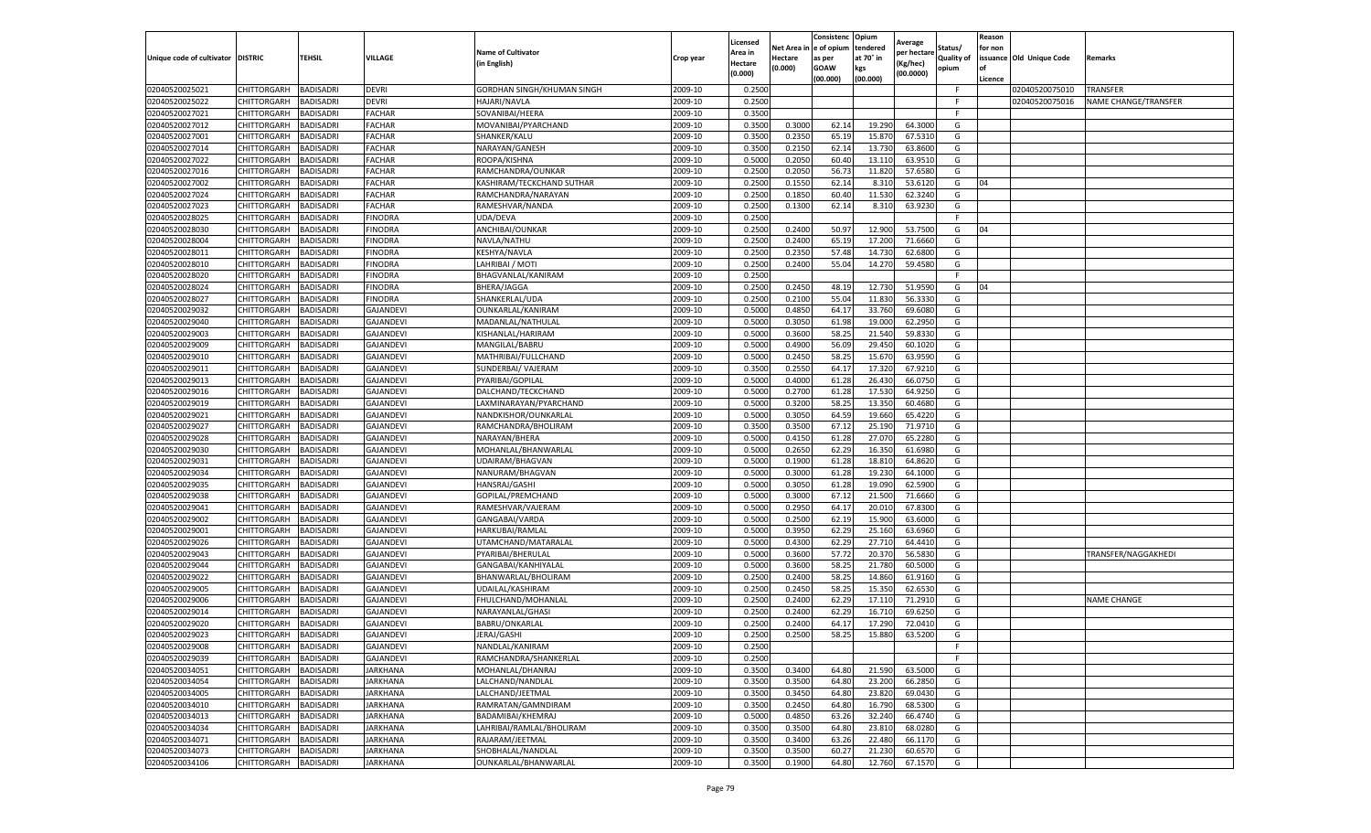|                                   |                            |                        |                        |                                             |                    | Licensed           | Net Area ir     | Consistenc<br>e of opium | Opium<br>tendered | Average                 | Status/           | Reason<br>for non |                          |                             |
|-----------------------------------|----------------------------|------------------------|------------------------|---------------------------------------------|--------------------|--------------------|-----------------|--------------------------|-------------------|-------------------------|-------------------|-------------------|--------------------------|-----------------------------|
| Unique code of cultivator DISTRIC |                            | <b>TEHSIL</b>          | VILLAGE                | <b>Name of Cultivator</b><br>in English)    | Crop year          | Area in<br>Hectare | Hectare         | as per                   | at 70° in         | per hectare<br>(Kg/hec) | <b>Quality of</b> |                   | issuance Old Unique Code | Remarks                     |
|                                   |                            |                        |                        |                                             |                    | (0.000)            | (0.000)         | GOAW                     | kgs               | (00.0000)               | opium             | of                |                          |                             |
| 02040520025021                    | CHITTORGARH                | BADISADRI              | devri                  | GORDHAN SINGH/KHUMAN SINGH                  | 2009-10            | 0.2500             |                 | (00.000)                 | (00.000)          |                         | F.                | Licence           | 02040520075010           | TRANSFER                    |
| 02040520025022                    | CHITTORGARH                | <b>BADISADRI</b>       | devri                  | HAJARI/NAVLA                                | 2009-10            | 0.2500             |                 |                          |                   |                         | -F                |                   | 02040520075016           | <b>NAME CHANGE/TRANSFER</b> |
| 02040520027021                    | CHITTORGARH                | <b>BADISADRI</b>       | FACHAR                 | SOVANIBAI/HEERA                             | 2009-10            | 0.3500             |                 |                          |                   |                         | F.                |                   |                          |                             |
| 02040520027012                    | CHITTORGARH                | <b>BADISADRI</b>       | FACHAR                 | MOVANIBAI/PYARCHAND                         | 2009-10            | 0.3500             | 0.3000          | 62.14                    | 19.290            | 64.300                  | G                 |                   |                          |                             |
| 02040520027001                    | CHITTORGARH                | BADISADRI              | <b>FACHAR</b>          | SHANKER/KALU                                | 2009-10            | 0.3500             | 0.2350          | 65.19                    | 15.870            | 67.531                  | G                 |                   |                          |                             |
| 02040520027014                    | CHITTORGARH                | BADISADRI              | FACHAR                 | NARAYAN/GANESH                              | 2009-10            | 0.3500             | 0.215           | 62.14                    | 13.730            | 63.860                  | G                 |                   |                          |                             |
| 02040520027022                    | CHITTORGARH                | BADISADRI              | FACHAR                 | ROOPA/KISHNA                                | 2009-10            | 0.5000             | 0.2050          | 60.40                    | 13.110            | 63.951                  | G                 |                   |                          |                             |
| 02040520027016                    | CHITTORGARH                | BADISADRI              | FACHAR                 | RAMCHANDRA/OUNKAR                           | 2009-10            | 0.2500             | 0.2050          | 56.7                     | 11.820            | 57.658                  | G                 |                   |                          |                             |
| 02040520027002                    | CHITTORGARH                | BADISADRI              | FACHAR                 | KASHIRAM/TECKCHAND SUTHAR                   | 2009-10            | 0.2500             | 0.1550          | 62.14                    | 8.310             | 53.612                  | G                 | 04                |                          |                             |
| 02040520027024                    | CHITTORGARH                | BADISADRI              | FACHAR                 | RAMCHANDRA/NARAYAN                          | 2009-10            | 0.2500             | 0.1850          | 60.40                    | 11.530            | 62.324                  | G                 |                   |                          |                             |
| 02040520027023                    | CHITTORGARH                | BADISADRI              | FACHAR                 | RAMESHVAR/NANDA                             | 2009-10            | 0.2500             | 0.1300          | 62.14                    | 8.310             | 63.923                  | G                 |                   |                          |                             |
| 02040520028025                    | CHITTORGARH                | BADISADRI              | <b>FINODRA</b>         | UDA/DEVA                                    | 2009-10            | 0.2500             |                 |                          |                   |                         |                   |                   |                          |                             |
| 02040520028030                    | CHITTORGARH                | <b>BADISADRI</b>       | FINODRA                | ANCHIBAI/OUNKAR                             | 2009-10            | 0.250              | 0.240           | 50.9                     | 12.90             | 53.750                  | G                 | 04                |                          |                             |
| 02040520028004                    | CHITTORGARH                | BADISADRI              | FINODRA                | NAVLA/NATHU                                 | 2009-10            | 0.2500             | 0.2400          | 65.19                    | 17.200            | 71.666                  | G                 |                   |                          |                             |
| 02040520028011                    | CHITTORGARH                | BADISADRI              | FINODRA                | KESHYA/NAVLA                                | 2009-10            | 0.250              | 0.2350          | 57.48                    | 14.730            | 62.680                  | G                 |                   |                          |                             |
| 02040520028010                    | CHITTORGARH                | <b>BADISADRI</b>       | <b>FINODRA</b>         | LAHRIBAI / MOTI                             | 2009-10            | 0.2500             | 0.2400          | 55.04                    | 14.270            | 59.4580                 | G                 |                   |                          |                             |
| 02040520028020                    | CHITTORGARH                | BADISADRI              | <b>FINODRA</b>         | BHAGVANLAL/KANIRAM                          | 2009-10            | 0.2500             |                 |                          |                   |                         |                   |                   |                          |                             |
| 02040520028024                    | CHITTORGARH                | BADISADRI              | FINODRA                | BHERA/JAGGA                                 | 2009-10            | 0.2500             | 0.2450          | 48.19                    | 12.730            | 51.959                  | G                 | 04                |                          |                             |
| 02040520028027                    | CHITTORGARH                | BADISADRI              | <b>FINODRA</b>         | SHANKERLAL/UDA                              | 2009-10            | 0.2500             | 0.2100          | 55.04                    | 11.830            | 56.333                  | G                 |                   |                          |                             |
| 02040520029032                    | CHITTORGARH                | <b>BADISADRI</b>       | GAJANDEV               | OUNKARLAL/KANIRAM                           | 2009-10            | 0.5000             | 0.4850          | 64.17                    | 33.760            | 69.608                  | G                 |                   |                          |                             |
| 02040520029040                    | CHITTORGARH                | BADISADRI              | GAJANDEVI              | MADANLAL/NATHULAI                           | 2009-10            | 0.5000             | 0.3050          | 61.98                    | 19.000            | 62.295                  | G                 |                   |                          |                             |
| 02040520029003                    | CHITTORGARH                | <b>BADISADRI</b>       | GAJANDEVI              | KISHANLAL/HARIRAM                           | 2009-10            | 0.5000             | 0.3600          | 58.25                    | 21.540            | 59.833                  | G                 |                   |                          |                             |
| 02040520029009<br>02040520029010  | CHITTORGARH                | BADISADRI              | GAJANDEVI              | MANGILAL/BABRU                              | 2009-10            | 0.5000<br>0.5000   | 0.4900          | 56.09                    | 29.45             | 60.102<br>63.959        | G                 |                   |                          |                             |
| 02040520029011                    | CHITTORGARH<br>CHITTORGARH | BADISADRI<br>BADISADRI | GAJANDEVI              | MATHRIBAI/FULLCHAND                         | 2009-10            | 0.3500             | 0.245<br>0.2550 | 58.2<br>64.17            | 15.670<br>17.320  | 67.921                  | G<br>G            |                   |                          |                             |
| 02040520029013                    |                            | BADISADRI              | GAJANDEVI<br>GAJANDEVI | SUNDERBAI/ VAJERAM<br>PYARIBAI/GOPILAL      | 2009-10<br>2009-10 | 0.500              | 0.4000          |                          | 26.430            | 66.075                  |                   |                   |                          |                             |
| 02040520029016                    | CHITTORGARH<br>CHITTORGARH | BADISADRI              | GAJANDEVI              | DALCHAND/TECKCHAND                          | 2009-10            | 0.5000             | 0.2700          | 61.28<br>61.28           | 17.530            | 64.925                  | G<br>G            |                   |                          |                             |
| 02040520029019                    | CHITTORGARH                | <b>BADISADRI</b>       | GAJANDEVI              | LAXMINARAYAN/PYARCHAND                      | 2009-10            | 0.5000             | 0.3200          | 58.25                    | 13.350            | 60.4680                 | G                 |                   |                          |                             |
| 02040520029021                    | CHITTORGARH                | BADISADRI              | GAJANDEVI              | NANDKISHOR/OUNKARLAL                        | 2009-10            | 0.5000             | 0.3050          | 64.59                    | 19.660            | 65.422                  | G                 |                   |                          |                             |
| 02040520029027                    | CHITTORGARH                | BADISADRI              | GAJANDEVI              | RAMCHANDRA/BHOLIRAM                         | 2009-10            | 0.3500             | 0.350           | 67.12                    | 25.190            | 71.971                  | G                 |                   |                          |                             |
| 02040520029028                    | CHITTORGARH                | BADISADRI              | GAJANDEVI              | NARAYAN/BHERA                               | 2009-10            | 0.5000             | 0.415           | 61.28                    | 27.070            | 65.228                  | G                 |                   |                          |                             |
| 02040520029030                    | CHITTORGARH                | BADISADRI              | GAJANDEVI              | MOHANLAL/BHANWARLAL                         | 2009-10            | 0.500              | 0.265           | 62.29                    | 16.350            | 61.698                  | G                 |                   |                          |                             |
| 02040520029031                    | CHITTORGARH                | BADISADRI              | GAJANDEVI              | UDAIRAM/BHAGVAN                             | 2009-10            | 0.5000             | 0.1900          | 61.28                    | 18.810            | 64.862                  | G                 |                   |                          |                             |
| 02040520029034                    | CHITTORGARH                | BADISADRI              | GAJANDEVI              | NANURAM/BHAGVAN                             | 2009-10            | 0.5000             | 0.3000          | 61.28                    | 19.230            | 64.100                  | G                 |                   |                          |                             |
| 02040520029035                    | CHITTORGARH                | <b>BADISADRI</b>       | GAJANDEVI              | HANSRAJ/GASHI                               | 2009-10            | 0.5000             | 0.3050          | 61.28                    | 19.09             | 62.590                  | G                 |                   |                          |                             |
| 02040520029038                    | CHITTORGARH                | BADISADRI              | GAJANDEVI              | GOPILAL/PREMCHAND                           | 2009-10            | 0.5000             | 0.3000          | 67.12                    | 21.500            | 71.666                  | G                 |                   |                          |                             |
| 02040520029041                    | CHITTORGARH                | BADISADRI              | GAJANDEVI              | RAMESHVAR/VAJERAM                           | 2009-10            | 0.5000             | 0.2950          | 64.17                    | 20.01             | 67.830                  | G                 |                   |                          |                             |
| 02040520029002                    | CHITTORGARH                | BADISADRI              | GAJANDEVI              | GANGABAI/VARDA                              | 2009-10            | 0.500              | 0.2500          | 62.19                    | 15.900            | 63.600                  | G                 |                   |                          |                             |
| 02040520029001                    | CHITTORGARH                | <b>BADISADRI</b>       | GAJANDEVI              | HARKUBAI/RAMLAL                             | 2009-10            | 0.5000             | 0.3950          | 62.29                    | 25.160            | 63.696                  | G                 |                   |                          |                             |
| 02040520029026                    | CHITTORGARH                | BADISADRI              | GAJANDEVI              | UTAMCHAND/MATARALAL                         | 2009-10            | 0.5000             | 0.4300          | 62.29                    | 27.710            | 64.441                  | G                 |                   |                          |                             |
| 02040520029043                    | CHITTORGARH                | <b>BADISADRI</b>       | GAJANDEVI              | PYARIBAI/BHERULAL                           | 2009-10            | 0.5000             | 0.3600          | 57.72                    | 20.370            | 56.5830                 | G                 |                   |                          | TRANSFER/NAGGAKHEDI         |
| 02040520029044                    | CHITTORGARH                | BADISADRI              | GAJANDEVI              | GANGABAI/KANHIYALAL                         | 2009-10            | 0.5000             | 0.3600          | 58.2                     | 21.780            | 60.500                  | G                 |                   |                          |                             |
| 02040520029022                    | CHITTORGARH                | <b>BADISADRI</b>       | GAJANDEVI              | BHANWARLAL/BHOLIRAM                         | 2009-10            | 0.250              | 0.2400          | 58.25                    | 14.860            | 61.916                  | G                 |                   |                          |                             |
| 02040520029005                    | CHITTORGARH                | BADISADRI              | GAJANDEVI              | UDAILAL/KASHIRAM                            | 2009-10            | 0.2500             | 0.2450          | 58.25                    | 15.350            | 62.653                  | G                 |                   |                          |                             |
| 02040520029006                    | CHITTORGARH                | BADISADRI              | GAJANDEVI              | FHULCHAND/MOHANLAL                          | 2009-10            | 0.250              | 0.2400          | 62.29                    | 17.110            | 71.291                  | G                 |                   |                          | NAME CHANGE                 |
| 02040520029014                    | CHITTORGARH                | BADISADRI              | GAJANDEV               | NARAYANLAL/GHASI                            | 2009-10            | 0.250              | 0.2400          | 62.2                     | 16.710            | 69.625                  | G                 |                   |                          |                             |
| 02040520029020                    | CHITTORGARH                | <b>BADISADRI</b>       | GAJANDEVI              | BABRU/ONKARLAL                              | 2009-10            | 0.2500             | 0.2400          | 64.17                    | 17.290            | 72.041                  | G                 |                   |                          |                             |
| 02040520029023                    | CHITTORGARH                | <b>BADISADRI</b>       | GAJANDEVI              | JERAJ/GASHI                                 | 2009-10            | 0.2500             | 0.2500          | 58.25                    | 15.880            | 63.5200                 | G                 |                   |                          |                             |
| 02040520029008                    | CHITTORGARH                | <b>BADISADRI</b>       | GAJANDEVI              | NANDLAL/KANIRAM                             | 2009-10            | 0.2500             |                 |                          |                   |                         | F.                |                   |                          |                             |
| 02040520029039                    | CHITTORGARH                | <b>BADISADRI</b>       | GAJANDEVI              | RAMCHANDRA/SHANKERLAL                       | 2009-10            | 0.2500             |                 |                          |                   |                         | F                 |                   |                          |                             |
| 02040520034051                    | CHITTORGARH                | BADISADRI              | JARKHANA               | MOHANLAL/DHANRAJ                            | 2009-10            | 0.3500             | 0.3400          | 64.80                    | 21.590            | 63.5000                 | G                 |                   |                          |                             |
| 02040520034054                    | CHITTORGARH                | <b>BADISADRI</b>       | JARKHANA               | LALCHAND/NANDLAL                            | 2009-10            | 0.3500             | 0.3500          | 64.80                    | 23.200            | 66.2850                 | G                 |                   |                          |                             |
| 02040520034005                    | CHITTORGARH                | <b>BADISADRI</b>       | JARKHANA               | LALCHAND/JEETMAL                            | 2009-10            | 0.3500             | 0.3450          | 64.80                    | 23.820            | 69.0430                 | G                 |                   |                          |                             |
| 02040520034010<br>02040520034013  | CHITTORGARH                | <b>BADISADRI</b>       | JARKHANA               | RAMRATAN/GAMNDIRAM                          | 2009-10            | 0.3500             | 0.2450          | 64.80                    | 16.790            | 68.5300                 | G                 |                   |                          |                             |
| 02040520034034                    | CHITTORGARH                | BADISADRI              | <b>JARKHANA</b>        | BADAMIBAI/KHEMRAJ                           | 2009-10<br>2009-10 | 0.5000             | 0.4850          | 63.26                    | 32.240            | 66.4740                 | G<br>G            |                   |                          |                             |
| 02040520034071                    | CHITTORGARH<br>CHITTORGARH | BADISADRI              | JARKHANA<br>JARKHANA   | LAHRIBAI/RAMLAL/BHOLIRAM<br>RAJARAM/JEETMAL | 2009-10            | 0.3500<br>0.3500   | 0.350<br>0.3400 | 64.80                    | 23.810<br>22.480  | 68.0280<br>66.1170      | G                 |                   |                          |                             |
| 02040520034073                    | CHITTORGARH                | BADISADRI<br>BADISADRI | JARKHANA               | SHOBHALAL/NANDLAL                           | 2009-10            | 0.3500             | 0.3500          | 63.26<br>60.27           | 21.230            | 60.6570                 | G                 |                   |                          |                             |
|                                   | CHITTORGARH                | <b>BADISADRI</b>       | JARKHANA               | OUNKARLAL/BHANWARLAL                        |                    |                    | 0.1900          |                          |                   |                         |                   |                   |                          |                             |
| 02040520034106                    |                            |                        |                        |                                             | 2009-10            | 0.3500             |                 | 64.80                    | 12.760            | 67.1570                 | G                 |                   |                          |                             |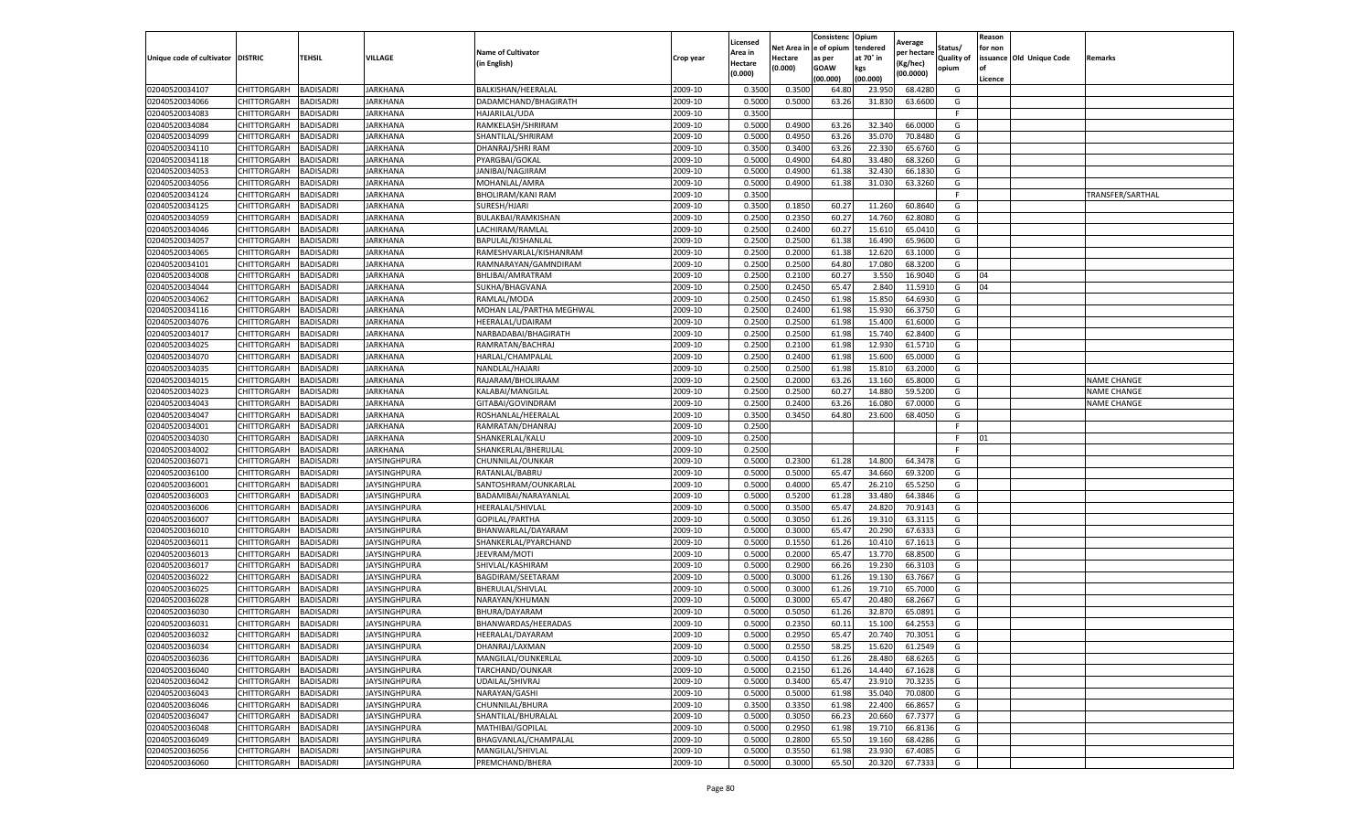|                                   |             |                  |                     |                           |           | Licensed |         | Consistenc              | Opium     | Average     |            | Reason  |                          |                    |
|-----------------------------------|-------------|------------------|---------------------|---------------------------|-----------|----------|---------|-------------------------|-----------|-------------|------------|---------|--------------------------|--------------------|
|                                   |             |                  |                     | <b>Name of Cultivator</b> |           | Area in  |         | Net Area in le of opium | tendered  | per hectare | Status/    | for non |                          |                    |
| Unique code of cultivator DISTRIC |             | <b>TEHSIL</b>    | VILLAGE             | (in English)              | Crop year | Hectare  | Hectare | as per                  | at 70° in | Kg/hec)     | Quality of |         | issuance Old Unique Code | Remarks            |
|                                   |             |                  |                     |                           |           | (0.000)  | (0.000) | GOAW                    | kgs       | (00.0000)   | opium      | l of    |                          |                    |
|                                   |             |                  |                     |                           |           |          |         | (00.000)                | (00.000)  |             |            | Licence |                          |                    |
| 02040520034107                    | CHITTORGARH | BADISADRI        | JARKHANA            | BALKISHAN/HEERALAI        | 2009-10   | 0.350    | 0.350   | 64.80                   | 23.95     | 68.428      | G          |         |                          |                    |
| 02040520034066                    | CHITTORGARH | BADISADRI        | JARKHANA            | DADAMCHAND/BHAGIRATH      | 2009-10   | 0.5000   | 0.500   | 63.26                   | 31.83     | 63.660      | G          |         |                          |                    |
| 02040520034083                    | CHITTORGARH | BADISADRI        | JARKHANA            | HAJARILAL/UDA             | 2009-10   | 0.3500   |         |                         |           |             | -F         |         |                          |                    |
| 02040520034084                    | CHITTORGARH | <b>BADISADRI</b> | JARKHANA            | RAMKELASH/SHRIRAM         | 2009-10   | 0.5000   | 0.4900  | 63.26                   | 32.340    | 66.0000     | G          |         |                          |                    |
| 02040520034099                    | CHITTORGARH | BADISADRI        | JARKHANA            | SHANTILAL/SHRIRAM         | 2009-10   | 0.5000   | 0.495   | 63.26                   | 35.070    | 70.848      | G          |         |                          |                    |
| 02040520034110                    | CHITTORGARH | BADISADRI        | JARKHANA            | DHANRAJ/SHRI RAM          | 2009-10   | 0.3500   | 0.340   | 63.26                   | 22.330    | 65.676      | G          |         |                          |                    |
| 02040520034118                    | CHITTORGARH | BADISADRI        | JARKHANA            | PYARGBAI/GOKAL            | 2009-10   | 0.5000   | 0.4900  | 64.80                   | 33.480    | 68.3260     | G          |         |                          |                    |
| 02040520034053                    | CHITTORGARH | <b>BADISADRI</b> | JARKHANA            | JANIBAI/NAGJIRAM          | 2009-10   | 0.5000   | 0.4900  | 61.38                   | 32.430    | 66.183      | G          |         |                          |                    |
| 02040520034056                    | CHITTORGARH | BADISADRI        | JARKHANA            | MOHANLAL/AMRA             | 2009-10   | 0.5000   | 0.4900  | 61.38                   | 31.030    | 63.3260     | G          |         |                          |                    |
| 02040520034124                    | CHITTORGARH | BADISADRI        | JARKHANA            | BHOLIRAM/KANI RAM         | 2009-10   | 0.3500   |         |                         |           |             | F          |         |                          | TRANSFER/SARTHAL   |
| 02040520034125                    | CHITTORGARH | BADISADRI        | JARKHANA            | SURESH/HJARI              | 2009-10   | 0.3500   | 0.1850  | 60.2                    | 11.260    | 60.864      | G          |         |                          |                    |
| 02040520034059                    | CHITTORGARH | BADISADRI        | JARKHANA            | BULAKBAI/RAMKISHAN        | 2009-10   | 0.2500   | 0.2350  | 60.2                    | 14.760    | 62.808      | G          |         |                          |                    |
| 02040520034046                    | CHITTORGARH | BADISADRI        | JARKHANA            | LACHIRAM/RAMLAI           | 2009-10   | 0.2500   | 0.2400  | 60.2                    | 15.610    | 65.041      | G          |         |                          |                    |
| 02040520034057                    | CHITTORGARH | BADISADRI        | JARKHANA            | BAPULAL/KISHANLAI         | 2009-10   | 0.2500   | 0.250   | 61.38                   | 16.490    | 65.960      | G          |         |                          |                    |
| 02040520034065                    | CHITTORGARH | BADISADRI        | JARKHANA            | RAMESHVARLAL/KISHANRAM    | 2009-10   | 0.2500   | 0.2000  | 61.38                   | 12.620    | 63.100      | G          |         |                          |                    |
| 02040520034101                    | CHITTORGARH | BADISADRI        | JARKHANA            | RAMNARAYAN/GAMNDIRAM      | 2009-10   | 0.2500   | 0.250   | 64.80                   | 17.080    | 68.320      | G          |         |                          |                    |
| 02040520034008                    | CHITTORGARH | BADISADRI        | JARKHANA            | BHLIBAI/AMRATRAM          | 2009-10   | 0.2500   | 0.2100  | 60.2                    | 3.550     | 16.904      | G          | 04      |                          |                    |
| 02040520034044                    | CHITTORGARH | BADISADRI        | JARKHANA            | SUKHA/BHAGVANA            | 2009-10   | 0.2500   | 0.2450  | 65.47                   | 2.840     | 11.591      | G          | 04      |                          |                    |
| 02040520034062                    | CHITTORGARH | BADISADRI        | JARKHANA            | RAMLAL/MODA               | 2009-10   | 0.2500   | 0.2450  | 61.98                   | 15.850    | 64.693      | G          |         |                          |                    |
| 02040520034116                    | CHITTORGARH | <b>BADISADRI</b> | JARKHANA            | MOHAN LAL/PARTHA MEGHWAL  | 2009-10   | 0.2500   | 0.2400  | 61.98                   | 15.930    | 66.375      | G          |         |                          |                    |
| 02040520034076                    | CHITTORGARH | BADISADRI        | JARKHANA            | HEERALAL/UDAIRAM          | 2009-10   | 0.2500   | 0.2500  | 61.98                   | 15.400    | 61.6000     | G          |         |                          |                    |
| 02040520034017                    | CHITTORGARH | BADISADRI        | JARKHANA            | NARBADABAI/BHAGIRATH      | 2009-10   | 0.2500   | 0.250   | 61.9                    | 15.740    | 62.840      | G          |         |                          |                    |
| 02040520034025                    | CHITTORGARH | <b>BADISADRI</b> | JARKHANA            | RAMRATAN/BACHRAJ          | 2009-10   | 0.2500   | 0.2100  | 61.98                   | 12.930    | 61.5710     | G          |         |                          |                    |
| 02040520034070                    | CHITTORGARH | BADISADRI        | JARKHANA            | HARLAL/CHAMPALAL          | 2009-10   | 0.2500   | 0.2400  | 61.98                   | 15.600    | 65.000      | G          |         |                          |                    |
| 02040520034035                    | CHITTORGARH | BADISADRI        | JARKHANA            | NANDLAL/HAJARI            | 2009-10   | 0.2500   | 0.250   | 61.98                   | 15.810    | 63.200      | G          |         |                          |                    |
| 02040520034015                    | CHITTORGARH | BADISADRI        | JARKHANA            | RAJARAM/BHOLIRAAM         | 2009-10   | 0.2500   | 0.2000  | 63.26                   | 13.160    | 65.800      | G          |         |                          | <b>NAME CHANGE</b> |
| 02040520034023                    | CHITTORGARH | <b>BADISADRI</b> | JARKHANA            | KALABAI/MANGILAL          | 2009-10   | 0.2500   | 0.250   | 60.2                    | 14.880    | 59.520      | G          |         |                          | <b>NAME CHANGE</b> |
| 02040520034043                    | CHITTORGARH | <b>BADISADRI</b> | JARKHANA            | GITABAI/GOVINDRAM         | 2009-10   | 0.2500   | 0.2400  | 63.26                   | 16.080    | 67.000      | G          |         |                          | NAME CHANGE        |
| 02040520034047                    | CHITTORGARH | <b>BADISADRI</b> | JARKHANA            | ROSHANLAL/HEERALAI        | 2009-10   | 0.3500   | 0.3450  | 64.80                   | 23.600    | 68.4050     | G          |         |                          |                    |
| 02040520034001                    | CHITTORGARH | BADISADRI        | JARKHANA            | RAMRATAN/DHANRAJ          | 2009-10   | 0.2500   |         |                         |           |             | E          |         |                          |                    |
| 02040520034030                    | CHITTORGARH | BADISADRI        | JARKHANA            | SHANKERLAL/KALU           | 2009-10   | 0.2500   |         |                         |           |             |            | 01      |                          |                    |
| 02040520034002                    | CHITTORGARH | BADISADRI        | JARKHANA            | SHANKERLAL/BHERULAL       | 2009-10   | 0.2500   |         |                         |           |             | F          |         |                          |                    |
| 02040520036071                    | CHITTORGARH | BADISADRI        | JAYSINGHPURA        | CHUNNILAL/OUNKAR          | 2009-10   | 0.5000   | 0.2300  | 61.28                   | 14.800    | 64.347      | G          |         |                          |                    |
| 02040520036100                    | CHITTORGARH | BADISADRI        | JAYSINGHPURA        | RATANLAL/BABRU            | 2009-10   | 0.5000   | 0.500   | 65.47                   | 34.660    | 69.3200     | G          |         |                          |                    |
| 02040520036001                    | CHITTORGARH | <b>BADISADRI</b> | <b>JAYSINGHPURA</b> | SANTOSHRAM/OUNKARLAL      | 2009-10   | 0.5000   | 0.4000  | 65.47                   | 26.210    | 65.5250     | G          |         |                          |                    |
| 02040520036003                    | CHITTORGARH | BADISADRI        | JAYSINGHPURA        | BADAMIBAI/NARAYANLAL      | 2009-10   | 0.5000   | 0.5200  | 61.28                   | 33.480    | 64.3846     | G          |         |                          |                    |
| 02040520036006                    | CHITTORGARH | BADISADRI        | JAYSINGHPURA        | HEERALAL/SHIVLAL          | 2009-10   | 0.5000   | 0.350   | 65.47                   | 24.820    | 70.914      | G          |         |                          |                    |
| 02040520036007                    | CHITTORGARH | <b>BADISADRI</b> | <b>JAYSINGHPURA</b> | GOPILAL/PARTHA            | 2009-10   | 0.5000   | 0.3050  | 61.26                   | 19.310    | 63.311      | G          |         |                          |                    |
| 02040520036010                    | CHITTORGARH | <b>BADISADRI</b> | JAYSINGHPURA        | BHANWARLAL/DAYARAM        | 2009-10   | 0.5000   | 0.3000  | 65.47                   | 20.290    | 67.633      | G          |         |                          |                    |
| 02040520036011                    | CHITTORGARH | BADISADRI        | IAYSINGHPURA        | SHANKERLAL/PYARCHAND      | 2009-10   | 0.5000   | 0.1550  | 61.26                   | 10.410    | 67.161      | G          |         |                          |                    |
| 02040520036013                    | CHITTORGARH | BADISADRI        | JAYSINGHPURA        | JEEVRAM/MOTI              | 2009-10   | 0.5000   | 0.2000  | 65.47                   | 13.770    | 68.850      | G          |         |                          |                    |
| 02040520036017                    | CHITTORGARH | BADISADRI        | <b>JAYSINGHPURA</b> | SHIVLAL/KASHIRAM          | 2009-10   | 0.5000   | 0.2900  | 66.26                   | 19.230    | 66.3103     | G          |         |                          |                    |
| 02040520036022                    | CHITTORGARH | BADISADRI        | <b>IAYSINGHPURA</b> | BAGDIRAM/SEETARAM         | 2009-10   | 0.5000   | 0.3000  | 61.26                   | 19.130    | 63.7667     | G          |         |                          |                    |
| 02040520036025                    | CHITTORGARH | BADISADRI        | JAYSINGHPURA        | BHERULAL/SHIVLAL          | 2009-10   | 0.5000   | 0.3000  | 61.26                   | 19.710    | 65.700      | G          |         |                          |                    |
| 02040520036028                    | CHITTORGARH | BADISADRI        | <b>JAYSINGHPURA</b> | NARAYAN/KHUMAN            | 2009-10   | 0.5000   | 0.3000  | 65.47                   | 20.480    | 68.266      | G          |         |                          |                    |
| 02040520036030                    | CHITTORGARH | <b>BADISADRI</b> | IAYSINGHPURA        | BHURA/DAYARAM             | 2009-10   | 0.5000   | 0.505   | 61.2                    | 32.870    | 65.089      | G          |         |                          |                    |
| 02040520036031                    | CHITTORGARH | BADISADRI        | JAYSINGHPURA        | BHANWARDAS/HEERADAS       | 2009-10   | 0.500    | 0.235   | 60.11                   | 15.100    | 64.255      | G          |         |                          |                    |
| 02040520036032                    | CHITTORGARH | <b>BADISADRI</b> | <b>JAYSINGHPURA</b> | HEERALAL/DAYARAM          | 2009-10   | 0.5000   | 0.2950  | 65.47                   | 20.740    | 70.3051     | G          |         |                          |                    |
| 02040520036034                    | CHITTORGARH | <b>BADISADRI</b> | JAYSINGHPURA        | DHANRAJ/LAXMAN            | 2009-10   | 0.5000   | 0.2550  | 58.25                   | 15.620    | 61.2549     | G          |         |                          |                    |
| 02040520036036                    | CHITTORGARH | BADISADRI        | <b>JAYSINGHPURA</b> | MANGILAL/OUNKERLAL        | 2009-10   | 0.5000   | 0.4150  | 61.26                   | 28.480    | 68.6265     | G          |         |                          |                    |
| 02040520036040                    | CHITTORGARH | <b>BADISADRI</b> | <b>JAYSINGHPURA</b> | TARCHAND/OUNKAR           | 2009-10   | 0.5000   | 0.2150  | 61.26                   | 14.440    | 67.1628     | G          |         |                          |                    |
| 02040520036042                    | CHITTORGARH | BADISADRI        | <b>JAYSINGHPURA</b> | UDAILAL/SHIVRAJ           | 2009-10   | 0.5000   | 0.3400  | 65.47                   | 23.910    | 70.3235     | G          |         |                          |                    |
| 02040520036043                    | CHITTORGARH | <b>BADISADRI</b> | <b>JAYSINGHPURA</b> | NARAYAN/GASHI             | 2009-10   | 0.5000   | 0.5000  | 61.98                   | 35.040    | 70.0800     | G          |         |                          |                    |
| 02040520036046                    | CHITTORGARH | <b>BADISADRI</b> | <b>JAYSINGHPURA</b> | CHUNNILAL/BHURA           | 2009-10   | 0.3500   | 0.3350  | 61.98                   | 22.400    | 66.8657     | G          |         |                          |                    |
| 02040520036047                    | CHITTORGARH | BADISADRI        | <b>JAYSINGHPURA</b> | SHANTILAL/BHURALAL        | 2009-10   | 0.5000   | 0.3050  | 66.23                   | 20.660    | 67.7377     | G          |         |                          |                    |
| 02040520036048                    | CHITTORGARH | BADISADRI        | <b>JAYSINGHPURA</b> | MATHIBAI/GOPILAL          | 2009-10   | 0.5000   | 0.2950  | 61.98                   | 19.710    | 66.8136     | G          |         |                          |                    |
| 02040520036049                    | CHITTORGARH | BADISADRI        | <b>JAYSINGHPURA</b> | BHAGVANLAL/CHAMPALAL      | 2009-10   | 0.5000   | 0.2800  | 65.50                   | 19.160    | 68.4286     | G          |         |                          |                    |
| 02040520036056                    | CHITTORGARH | BADISADRI        | <b>JAYSINGHPURA</b> | MANGILAL/SHIVLAL          | 2009-10   | 0.5000   | 0.3550  |                         | 23.930    | 67.4085     | G          |         |                          |                    |
|                                   |             |                  |                     |                           |           |          |         | 61.98                   |           |             |            |         |                          |                    |
| 02040520036060                    | CHITTORGARH | <b>BADISADRI</b> | <b>JAYSINGHPURA</b> | PREMCHAND/BHERA           | 2009-10   | 0.5000   | 0.3000  | 65.50                   | 20.320    | 67.7333     | G          |         |                          |                    |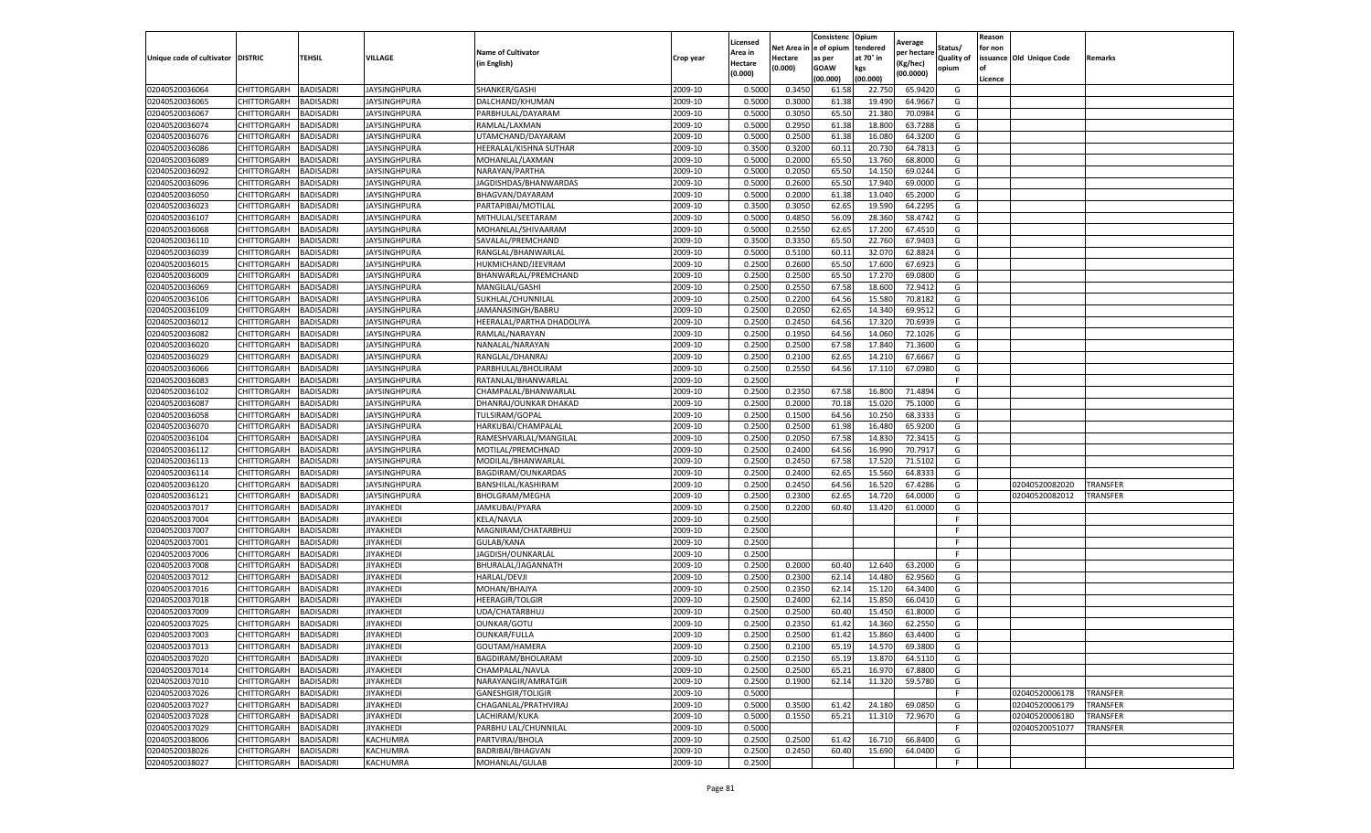|                                   |                       |                  |                     |                           |           | Licensed |         | Consistenc             | Opium     |                        |                   | Reason  |                          |                 |
|-----------------------------------|-----------------------|------------------|---------------------|---------------------------|-----------|----------|---------|------------------------|-----------|------------------------|-------------------|---------|--------------------------|-----------------|
|                                   |                       |                  |                     | <b>Name of Cultivator</b> |           | Area in  |         | Net Area in e of opium | tendered  | Average<br>per hectare | Status/           | for non |                          |                 |
| Unique code of cultivator DISTRIC |                       | TEHSIL           | VILLAGE             | in English)               | Crop year | Hectare  | Hectare | as per                 | at 70° in | (Kg/hec                | <b>Quality of</b> |         | issuance Old Unique Code | <b>Remarks</b>  |
|                                   |                       |                  |                     |                           |           | (0.000)  | (0.000) | <b>GOAW</b>            | kgs       | (00.0000)              | opium             |         |                          |                 |
|                                   |                       |                  |                     |                           |           |          |         | (00.000)               | (00.000)  |                        |                   | Licence |                          |                 |
| 02040520036064                    | CHITTORGARH           | <b>BADISADRI</b> | <b>JAYSINGHPURA</b> | SHANKER/GASHI             | 2009-10   | 0.5000   | 0.3450  | 61.58                  | 22.750    | 65.9420                | G                 |         |                          |                 |
| 02040520036065                    | CHITTORGARH           | <b>BADISADRI</b> | JAYSINGHPURA        | DALCHAND/KHUMAN           | 2009-10   | 0.5000   | 0.3000  | 61.38                  | 19.49     | 64.9667                | G                 |         |                          |                 |
| 02040520036067                    | CHITTORGARH           | <b>BADISADRI</b> | JAYSINGHPURA        | PARBHULAL/DAYARAM         | 2009-10   | 0.5000   | 0.3050  | 65.50                  | 21.380    | 70.0984                | G                 |         |                          |                 |
| 02040520036074                    | CHITTORGARH           | <b>BADISADRI</b> | JAYSINGHPURA        | RAMLAL/LAXMAN             | 2009-10   | 0.5000   | 0.2950  | 61.38                  | 18.800    | 63.7288                | G                 |         |                          |                 |
| 02040520036076                    | CHITTORGARH           | <b>BADISADRI</b> | JAYSINGHPURA        | UTAMCHAND/DAYARAM         | 2009-10   | 0.5000   | 0.2500  | 61.38                  | 16.08     | 64.3200                | G                 |         |                          |                 |
| 02040520036086                    | CHITTORGARH           | <b>BADISADRI</b> | JAYSINGHPURA        | HEERALAL/KISHNA SUTHAR    | 2009-10   | 0.3500   | 0.3200  | 60.1                   | 20.73     | 64.7813                | G                 |         |                          |                 |
| 02040520036089                    | CHITTORGARH           | <b>BADISADRI</b> | <b>JAYSINGHPURA</b> | MOHANLAL/LAXMAN           | 2009-10   | 0.5000   | 0.2000  | 65.50                  | 13.760    | 68.8000                | G                 |         |                          |                 |
| 02040520036092                    | CHITTORGARH           | BADISADRI        | JAYSINGHPURA        | NARAYAN/PARTHA            | 2009-10   | 0.5000   | 0.2050  | 65.50                  | 14.15     | 69.0244                | G                 |         |                          |                 |
| 02040520036096                    | CHITTORGARH           | <b>BADISADRI</b> | JAYSINGHPURA        | JAGDISHDAS/BHANWARDAS     | 2009-10   | 0.5000   | 0.2600  | 65.50                  | 17.94     | 69.0000                | G                 |         |                          |                 |
| 02040520036050                    | CHITTORGARH           | <b>BADISADRI</b> | JAYSINGHPURA        | BHAGVAN/DAYARAM           | 2009-10   | 0.5000   | 0.2000  | 61.38                  | 13.040    | 65.2000                | G                 |         |                          |                 |
| 02040520036023                    | CHITTORGARH           | <b>BADISADRI</b> | JAYSINGHPURA        | PARTAPIBAI/MOTILAL        | 2009-10   | 0.3500   | 0.3050  | 62.65                  | 19.59     | 64.2295                | G                 |         |                          |                 |
| 02040520036107                    | CHITTORGARH           | <b>BADISADRI</b> | JAYSINGHPURA        | MITHULAL/SEETARAM         | 2009-10   | 0.5000   | 0.4850  | 56.09                  | 28.36     | 58.4742                | G                 |         |                          |                 |
| 02040520036068                    | CHITTORGARH           | <b>BADISADRI</b> | JAYSINGHPURA        | MOHANLAL/SHIVAARAM        | 2009-10   | 0.5000   | 0.2550  | 62.65                  | 17.20     | 67.4510                | G                 |         |                          |                 |
| 02040520036110                    | CHITTORGARH           | <b>BADISADRI</b> | JAYSINGHPURA        | SAVALAL/PREMCHAND         | 2009-10   | 0.3500   | 0.3350  | 65.50                  | 22.76     | 67.9403                | G                 |         |                          |                 |
| 02040520036039                    | CHITTORGARH           | <b>BADISADRI</b> | JAYSINGHPURA        | RANGLAL/BHANWARLAL        | 2009-10   | 0.5000   | 0.5100  | 60.1                   | 32.07     | 62.8824                | G                 |         |                          |                 |
| 02040520036015                    | CHITTORGARH           | <b>BADISADRI</b> | JAYSINGHPURA        | HUKMICHAND/JEEVRAM        | 2009-10   | 0.2500   | 0.2600  | 65.50                  | 17.600    | 67.6923                | G                 |         |                          |                 |
| 02040520036009                    | CHITTORGARH           | <b>BADISADRI</b> | JAYSINGHPURA        | BHANWARLAL/PREMCHAND      | 2009-10   | 0.2500   | 0.2500  | 65.50                  | 17.27     | 69.0800                | G                 |         |                          |                 |
| 02040520036069                    | CHITTORGARH           | <b>BADISADRI</b> | JAYSINGHPURA        | MANGILAL/GASHI            | 2009-10   | 0.2500   | 0.2550  | 67.58                  | 18.60     | 72.9412                | G                 |         |                          |                 |
| 02040520036106                    | CHITTORGARH           | <b>BADISADRI</b> | JAYSINGHPURA        | SUKHLAL/CHUNNILAL         | 2009-10   | 0.2500   | 0.2200  | 64.56                  | 15.58     | 70.8182                | G                 |         |                          |                 |
| 02040520036109                    | CHITTORGARH           | <b>BADISADRI</b> | <b>JAYSINGHPURA</b> | JAMANASINGH/BABRU         | 2009-10   | 0.2500   | 0.2050  | 62.65                  | 14.34     | 69.9512                | G                 |         |                          |                 |
| 02040520036012                    | CHITTORGARH           | <b>BADISADRI</b> | JAYSINGHPURA        | HEERALAL/PARTHA DHADOLIYA | 2009-10   | 0.2500   | 0.2450  | 64.56                  | 17.320    | 70.6939                | G                 |         |                          |                 |
| 02040520036082                    | CHITTORGARH           | <b>BADISADRI</b> | JAYSINGHPURA        | RAMLAL/NARAYAN            | 2009-10   | 0.2500   | 0.1950  | 64.56                  | 14.060    | 72.1026                | G                 |         |                          |                 |
| 02040520036020                    | CHITTORGARH           | <b>BADISADRI</b> | JAYSINGHPURA        | NANALAL/NARAYAN           | 2009-10   | 0.2500   | 0.2500  | 67.58                  | 17.840    | 71.3600                | G                 |         |                          |                 |
| 02040520036029                    | CHITTORGARH           | <b>BADISADRI</b> | <b>JAYSINGHPURA</b> | RANGLAL/DHANRAJ           | 2009-10   | 0.2500   | 0.2100  | 62.65                  | 14.21     | 67.6667                | G                 |         |                          |                 |
| 02040520036066                    | CHITTORGARH           | <b>BADISADRI</b> | JAYSINGHPURA        | PARBHULAL/BHOLIRAM        | 2009-10   | 0.2500   | 0.2550  | 64.56                  | 17.11     | 67.0980                | G                 |         |                          |                 |
| 02040520036083                    | CHITTORGARH           | <b>BADISADRI</b> | <b>JAYSINGHPURA</b> | RATANLAL/BHANWARLAL       | 2009-10   | 0.2500   |         |                        |           |                        | F.                |         |                          |                 |
| 02040520036102                    | CHITTORGARH           | BADISADRI        | JAYSINGHPURA        | CHAMPALAL/BHANWARLAL      | 2009-10   | 0.2500   | 0.2350  | 67.58                  | 16.80     | 71.4894                | G                 |         |                          |                 |
| 02040520036087                    | CHITTORGARH           | <b>BADISADRI</b> | JAYSINGHPURA        | DHANRAJ/OUNKAR DHAKAD     | 2009-10   | 0.2500   | 0.2000  | 70.18                  | 15.02     | 75.1000                | G                 |         |                          |                 |
| 02040520036058                    | CHITTORGARH           | <b>BADISADRI</b> | <b>JAYSINGHPURA</b> | TULSIRAM/GOPAL            | 2009-10   | 0.2500   | 0.1500  | 64.56                  | 10.250    | 68.3333                | G                 |         |                          |                 |
| 02040520036070                    | CHITTORGARH           | <b>BADISADRI</b> | <b>JAYSINGHPURA</b> | HARKUBAI/CHAMPALAL        | 2009-10   | 0.2500   | 0.2500  | 61.98                  | 16.480    | 65.9200                | G                 |         |                          |                 |
| 02040520036104                    | CHITTORGARH           | <b>BADISADRI</b> | JAYSINGHPURA        | RAMESHVARLAL/MANGILAL     | 2009-10   | 0.2500   | 0.2050  | 67.58                  | 14.83     | 72.3415                | G                 |         |                          |                 |
| 02040520036112                    | CHITTORGARH           | <b>BADISADRI</b> | JAYSINGHPURA        | MOTILAL/PREMCHNAD         | 2009-10   | 0.2500   | 0.2400  | 64.56                  | 16.990    | 70.7917                | G                 |         |                          |                 |
| 02040520036113                    | CHITTORGARH           | <b>BADISADRI</b> | JAYSINGHPURA        | MODILAL/BHANWARLAL        | 2009-10   | 0.2500   | 0.2450  | 67.58                  | 17.52     | 71.5102                | G                 |         |                          |                 |
| 02040520036114                    | CHITTORGARH           | <b>BADISADRI</b> | JAYSINGHPURA        | BAGDIRAM/OUNKARDAS        | 2009-10   | 0.2500   | 0.2400  | 62.65                  | 15.560    | 64.8333                | G                 |         |                          |                 |
| 02040520036120                    | CHITTORGARH           | <b>BADISADRI</b> | <b>JAYSINGHPURA</b> | BANSHILAL/KASHIRAM        | 2009-10   | 0.2500   | 0.2450  | 64.56                  | 16.52     | 67.4286                | G                 |         | 02040520082020           | <b>TRANSFER</b> |
| 02040520036121                    | CHITTORGARH           | <b>BADISADRI</b> | JAYSINGHPURA        | <b>BHOLGRAM/MEGHA</b>     | 2009-10   | 0.2500   | 0.2300  | 62.65                  | 14.72     | 64.0000                | G                 |         | 02040520082012           | <b>TRANSFER</b> |
| 02040520037017                    | CHITTORGARH           | <b>BADISADRI</b> | JIYAKHEDI           | JAMKUBAI/PYARA            | 2009-10   | 0.2500   | 0.2200  | 60.40                  | 13.420    | 61.0000                | G                 |         |                          |                 |
| 02040520037004                    | CHITTORGARH           | <b>BADISADRI</b> | <b>IYAKHEDI</b>     | KELA/NAVLA                | 2009-10   | 0.2500   |         |                        |           |                        | F                 |         |                          |                 |
| 02040520037007                    | CHITTORGARH           | BADISADRI        | <b>JIYAKHEDI</b>    | MAGNIRAM/CHATARBHUJ       | 2009-10   | 0.2500   |         |                        |           |                        | F.                |         |                          |                 |
| 02040520037001                    | CHITTORGARH           | <b>BADISADRI</b> | <b>JIYAKHEDI</b>    | GULAB/KANA                | 2009-10   | 0.2500   |         |                        |           |                        | F.                |         |                          |                 |
| 02040520037006                    | CHITTORGARH           | <b>BADISADRI</b> | IIYAKHEDI           | JAGDISH/OUNKARLAL         | 2009-10   | 0.2500   |         |                        |           |                        | F                 |         |                          |                 |
| 02040520037008                    | CHITTORGARH           | <b>BADISADRI</b> | JIYAKHEDI           | BHURALAL/JAGANNATH        | 2009-10   | 0.2500   | 0.2000  | 60.40                  | 12.640    | 63.2000                | G                 |         |                          |                 |
| 02040520037012                    | CHITTORGARH           | <b>BADISADRI</b> | <b>IYAKHEDI</b>     | <b>HARLAL/DEVJI</b>       | 2009-10   | 0.2500   | 0.2300  | 62.14                  | 14.480    | 62.9560                | G                 |         |                          |                 |
| 02040520037016                    | CHITTORGARH           | <b>BADISADRI</b> | JIYAKHEDI           | MOHAN/BHAJYA              | 2009-10   | 0.2500   | 0.2350  | 62.14                  | 15.12     | 64.3400                | G                 |         |                          |                 |
| 02040520037018                    | CHITTORGARH           | <b>BADISADRI</b> | <b>JIYAKHEDI</b>    | <b>HEERAGIR/TOLGIR</b>    | 2009-10   | 0.2500   | 0.2400  | 62.14                  | 15.850    | 66.0410                | G                 |         |                          |                 |
| 02040520037009                    | CHITTORGARH           | BADISADRI        | JIYAKHEDI           | UDA/CHATARBHUJ            | 2009-10   | 0.2500   | 0.2500  | 60.40                  | 15.450    | 61.8000                | G                 |         |                          |                 |
| 02040520037025                    | CHITTORGARH           | <b>BADISADRI</b> | IIYAKHEDI           | <b>OUNKAR/GOTU</b>        | 2009-10   | 0.2500   | 0.2350  | 61.42                  | 14.360    | 62.2550                | G                 |         |                          |                 |
| 02040520037003                    | CHITTORGARH           | <b>BADISADRI</b> | <b>JIYAKHEDI</b>    | OUNKAR/FULLA              | 2009-10   | 0.2500   | 0.2500  | 61.42                  | 15.860    | 63.4400                | G                 |         |                          |                 |
| 02040520037013                    | CHITTORGARH BADISADRI |                  | JIYAKHEDI           | GOUTAM/HAMERA             | 2009-10   | 0.2500   | 0.2100  | 65.19                  | 14.570    | 69.3800                | G                 |         |                          |                 |
| 02040520037020                    | <b>CHITTORGARH</b>    | <b>BADISADRI</b> | JIYAKHEDI           | BAGDIRAM/BHOLARAM         | 2009-10   | 0.2500   | 0.2150  | 65.19                  | 13.870    | 64.5110                | G                 |         |                          |                 |
| 02040520037014                    | <b>CHITTORGARH</b>    | <b>BADISADRI</b> | JIYAKHEDI           | CHAMPALAL/NAVLA           | 2009-10   | 0.2500   | 0.2500  | 65.21                  | 16.970    | 67.8800                | G                 |         |                          |                 |
| 02040520037010                    | <b>CHITTORGARH</b>    | <b>BADISADRI</b> | JIYAKHEDI           | NARAYANGIR/AMRATGIR       | 2009-10   | 0.2500   | 0.1900  | 62.14                  | 11.320    | 59.5780                | G                 |         |                          |                 |
| 02040520037026                    | CHITTORGARH           | <b>BADISADRI</b> | JIYAKHEDI           | <b>GANESHGIR/TOLIGIR</b>  | 2009-10   | 0.5000   |         |                        |           |                        | F.                |         | 02040520006178           | <b>TRANSFER</b> |
| 02040520037027                    | <b>CHITTORGARH</b>    | <b>BADISADRI</b> | JIYAKHEDI           | CHAGANLAL/PRATHVIRAJ      | 2009-10   | 0.5000   | 0.3500  | 61.42                  | 24.180    | 69.0850                | G                 |         | 02040520006179           | <b>TRANSFER</b> |
| 02040520037028                    | CHITTORGARH           | <b>BADISADRI</b> | JIYAKHEDI           | LACHIRAM/KUKA             | 2009-10   | 0.5000   | 0.1550  | 65.21                  | 11.310    | 72.9670                | G                 |         | 02040520006180           | <b>TRANSFER</b> |
| 02040520037029                    | CHITTORGARH           | <b>BADISADRI</b> | JIYAKHEDI           | PARBHU LAL/CHUNNILAL      | 2009-10   | 0.5000   |         |                        |           |                        | F.                |         | 02040520051077           | TRANSFER        |
| 02040520038006                    | CHITTORGARH           | <b>BADISADRI</b> | KACHUMRA            | PARTVIRAJ/BHOLA           | 2009-10   | 0.2500   | 0.2500  | 61.42                  | 16.710    | 66.8400                | G                 |         |                          |                 |
| 02040520038026                    | CHITTORGARH           | <b>BADISADRI</b> | KACHUMRA            | BADRIBAI/BHAGVAN          | 2009-10   | 0.2500   | 0.2450  | 60.40                  | 15.690    | 64.0400                | G                 |         |                          |                 |
| 02040520038027                    | <b>CHITTORGARH</b>    | <b>BADISADRI</b> | KACHUMRA            | MOHANLAL/GULAB            | 2009-10   | 0.2500   |         |                        |           |                        | F                 |         |                          |                 |
|                                   |                       |                  |                     |                           |           |          |         |                        |           |                        |                   |         |                          |                 |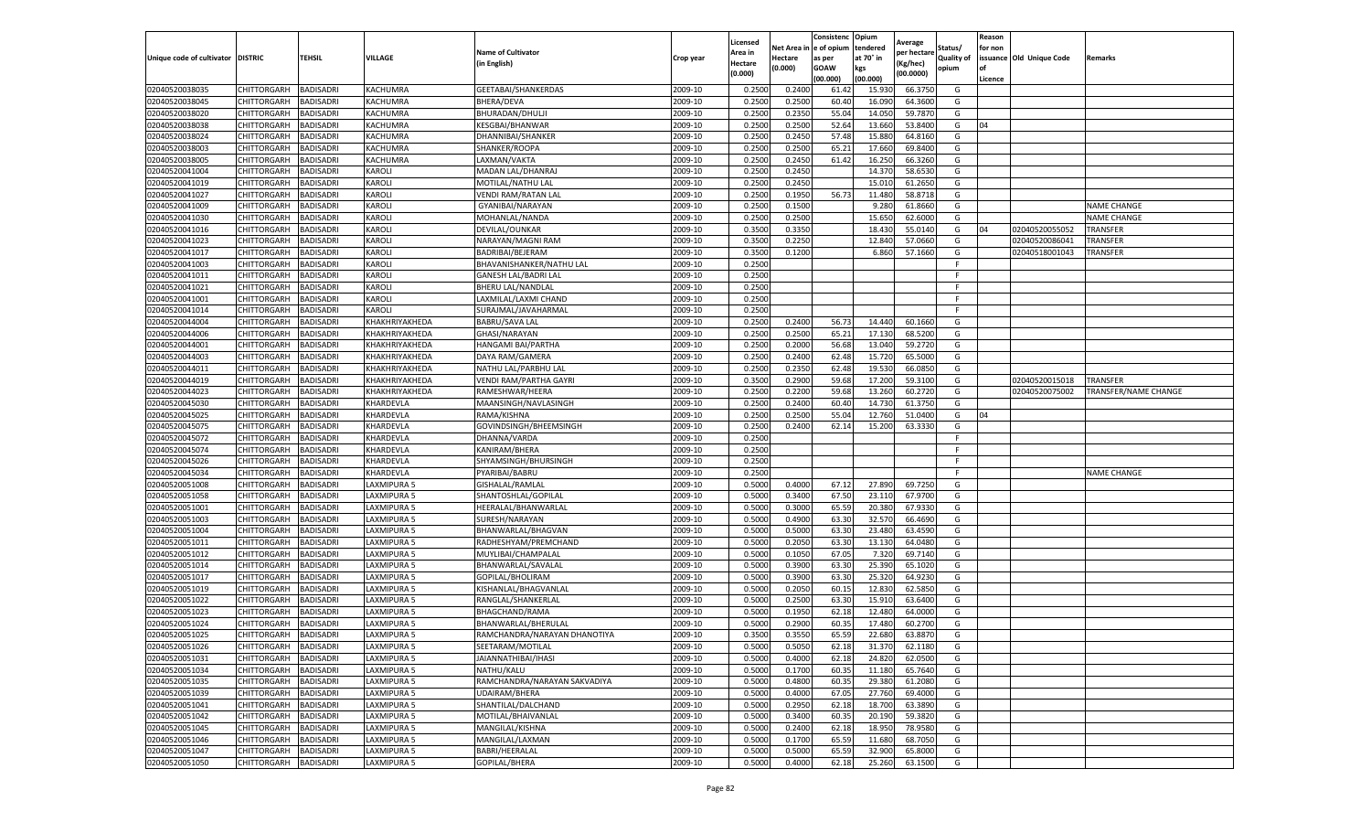|                                   |                            |                        |                      |                                          |                    | Licensed         |                         | Consistenc    | Opium             | Average          |            | Reason  |                          |                             |
|-----------------------------------|----------------------------|------------------------|----------------------|------------------------------------------|--------------------|------------------|-------------------------|---------------|-------------------|------------------|------------|---------|--------------------------|-----------------------------|
|                                   |                            |                        |                      | <b>Name of Cultivator</b>                |                    | Area in          | Net Area in le of opium |               | tendered          | per hectare      | Status/    | for non |                          |                             |
| Unique code of cultivator DISTRIC |                            | <b>TEHSIL</b>          | VILLAGE              | (in English)                             | Crop year          | Hectare          | Hectare                 | as per        | at 70° in         | Kg/hec)          | Quality of |         | issuance Old Unique Code | Remarks                     |
|                                   |                            |                        |                      |                                          |                    | (0.000)          | (0.000)                 | GOAW          | kgs               | (00.0000)        | opium      |         |                          |                             |
|                                   |                            |                        |                      |                                          |                    |                  |                         | (00.000)      | (00.000)          |                  |            | Licence |                          |                             |
| 02040520038035                    | CHITTORGARH                | BADISADRI              | KACHUMRA             | GEETABAI/SHANKERDAS                      | 2009-10            | 0.250            | 0.240                   | 61.42         | 15.93             | 66.375           | G          |         |                          |                             |
| 02040520038045                    | CHITTORGARH                | BADISADRI              | KACHUMRA             | <b>BHERA/DEVA</b>                        | 2009-10            | 0.2500           | 0.2500                  | 60.40         | 16.090            | 64.360           | G          |         |                          |                             |
| 02040520038020                    | CHITTORGARH                | BADISADRI              | KACHUMRA             | BHURADAN/DHULJI                          | 2009-10            | 0.2500           | 0.2350                  | 55.04         | 14.050            | 59.787           | G          |         |                          |                             |
| 02040520038038                    | CHITTORGARH                | <b>BADISADRI</b>       | KACHUMRA             | KESGBAI/BHANWAR                          | 2009-10            | 0.2500           | 0.2500                  | 52.64         | 13.660            | 53.8400          | G          | 04      |                          |                             |
| 02040520038024                    | CHITTORGARH                | BADISADRI              | KACHUMRA             | DHANNIBAI/SHANKER                        | 2009-10            | 0.2500           | 0.2450                  | 57.48         | 15.880            | 64.816<br>69.840 | G<br>G     |         |                          |                             |
| 02040520038003                    | CHITTORGARH<br>CHITTORGARH | BADISADRI<br>BADISADRI | KACHUMRA<br>KACHUMRA | SHANKER/ROOPA<br>LAXMAN/VAKTA            | 2009-10            | 0.2500<br>0.2500 | 0.250                   | 65.2<br>61.42 | 17.660            | 66.3260          | G          |         |                          |                             |
| 02040520038005<br>02040520041004  |                            | <b>BADISADRI</b>       |                      |                                          | 2009-10<br>2009-10 | 0.2500           | 0.2450                  |               | 16.250<br>14.370  |                  |            |         |                          |                             |
| 02040520041019                    | CHITTORGARH                | BADISADRI              | Karoli<br>KAROL      | MADAN LAL/DHANRAJ                        | 2009-10            | 0.2500           | 0.245<br>0.2450         |               | 15.01             | 58.653<br>61.265 | G<br>G     |         |                          |                             |
| 02040520041027                    | CHITTORGARH<br>CHITTORGARH | <b>BADISADRI</b>       | KAROLI               | MOTILAL/NATHU LAL<br>VENDI RAM/RATAN LAL | 2009-10            | 0.2500           | 0.1950                  | 56.73         | 11.480            | 58.8718          | G          |         |                          |                             |
| 02040520041009                    | CHITTORGARH                | BADISADRI              | KAROLI               | GYANIBAI/NARAYAN                         | 2009-10            | 0.2500           | 0.1500                  |               | 9.280             | 61.866           | G          |         |                          | <b>NAME CHANGE</b>          |
| 02040520041030                    | CHITTORGARH                | BADISADRI              | KAROLI               | MOHANLAL/NANDA                           | 2009-10            | 0.2500           | 0.2500                  |               | 15.650            | 62.600           | G          |         |                          | <b>NAME CHANGE</b>          |
| 02040520041016                    | CHITTORGARH                | BADISADRI              | KAROLI               | DEVILAL/OUNKAR                           | 2009-10            | 0.3500           | 0.3350                  |               | 18.430            | 55.014           | G          | 04      | 02040520055052           | <b>TRANSFER</b>             |
| 02040520041023                    | CHITTORGARH                | BADISADRI              | KAROLI               | NARAYAN/MAGNI RAM                        | 2009-10            | 0.3500           | 0.2250                  |               | 12.840            | 57.066           | G          |         | 02040520086041           | TRANSFER                    |
| 02040520041017                    | CHITTORGARH                | BADISADRI              | KAROLI               | BADRIBAI/BEJERAM                         | 2009-10            | 0.3500           | 0.1200                  |               | 6.860             | 57.1660          | G          |         | 02040518001043           | TRANSFER                    |
| 02040520041003                    | CHITTORGARH                | BADISADRI              | KAROLI               | BHAVANISHANKER/NATHU LAL                 | 2009-10            | 0.2500           |                         |               |                   |                  | F          |         |                          |                             |
| 02040520041011                    | CHITTORGARH                | BADISADRI              | Karoli               | <b>GANESH LAL/BADRI LAL</b>              | 2009-10            | 0.2500           |                         |               |                   |                  |            |         |                          |                             |
| 02040520041021                    | CHITTORGARH                | BADISADRI              | KAROLI               | BHERU LAL/NANDLAL                        | 2009-10            | 0.2500           |                         |               |                   |                  |            |         |                          |                             |
| 02040520041001                    | CHITTORGARH                | BADISADRI              | KAROLI               | LAXMILAL/LAXMI CHAND                     | 2009-10            | 0.2500           |                         |               |                   |                  |            |         |                          |                             |
| 02040520041014                    | CHITTORGARH                | <b>BADISADRI</b>       | KAROLI               | SURAJMAL/JAVAHARMAI                      | 2009-10            | 0.2500           |                         |               |                   |                  | E          |         |                          |                             |
| 02040520044004                    | CHITTORGARH                | BADISADRI              | KHAKHRIYAKHEDA       | <b>BABRU/SAVA LAL</b>                    | 2009-10            | 0.2500           | 0.2400                  | 56.73         | 14.440            | 60.1660          | G          |         |                          |                             |
| 02040520044006                    | CHITTORGARH                | BADISADRI              | KHAKHRIYAKHEDA       | GHASI/NARAYAN                            | 2009-10            | 0.2500           | 0.250                   | 65.21         | 17.130            | 68.5200          | G          |         |                          |                             |
| 02040520044001                    | CHITTORGARH                | <b>BADISADRI</b>       | KHAKHRIYAKHEDA       | HANGAMI BAI/PARTHA                       | 2009-10            | 0.2500           | 0.2000                  | 56.68         | 13.040            | 59.2720          | G          |         |                          |                             |
| 02040520044003                    | CHITTORGARH                | BADISADRI              | KHAKHRIYAKHEDA       | DAYA RAM/GAMERA                          | 2009-10            | 0.2500           | 0.2400                  | 62.48         | 15.720            | 65.500           | G          |         |                          |                             |
| 02040520044011                    | CHITTORGARH                | BADISADRI              | KHAKHRIYAKHEDA       | NATHU LAL/PARBHU LAL                     | 2009-10            | 0.2500           | 0.2350                  | 62.48         | 19.530            | 66.085           | G          |         |                          |                             |
| 02040520044019                    | CHITTORGARH                | BADISADRI              | KHAKHRIYAKHEDA       | VENDI RAM/PARTHA GAYRI                   | 2009-10            | 0.3500           | 0.2900                  | 59.68         | 17.200            | 59.310           | G          |         | 02040520015018           | <b>TRANSFER</b>             |
| 02040520044023                    | CHITTORGARH                | <b>BADISADRI</b>       | KHAKHRIYAKHEDA       | RAMESHWAR/HEERA                          | 2009-10            | 0.2500           | 0.220                   | 59.68         | 13.260            | 60.272           | G          |         | 02040520075002           | <b>TRANSFER/NAME CHANGE</b> |
| 02040520045030                    | CHITTORGARH                | BADISADRI              | KHARDEVLA            | MAANSINGH/NAVLASINGH                     | 2009-10            | 0.2500           | 0.2400                  | 60.40         | 14.730            | 61.3750          | G          |         |                          |                             |
| 02040520045025                    | CHITTORGARH                | <b>BADISADRI</b>       | KHARDEVLA            | RAMA/KISHNA                              | 2009-10            | 0.2500           | 0.2500                  | 55.04         | 12.760            | 51.0400          | G          | 04      |                          |                             |
| 02040520045075                    | CHITTORGARH                | BADISADRI              | KHARDEVLA            | GOVINDSINGH/BHEEMSINGH                   | 2009-10            | 0.2500           | 0.2400                  | 62.14         | 15.200            | 63.333           | G          |         |                          |                             |
| 02040520045072                    | CHITTORGARH                | BADISADRI              | KHARDEVLA            | DHANNA/VARDA                             | 2009-10            | 0.2500           |                         |               |                   |                  |            |         |                          |                             |
| 02040520045074                    | CHITTORGARH                | BADISADRI              | KHARDEVLA            | KANIRAM/BHERA                            | 2009-10            | 0.2500           |                         |               |                   |                  | F          |         |                          |                             |
| 02040520045026                    | CHITTORGARH                | BADISADRI              | KHARDEVLA            | SHYAMSINGH/BHURSINGH                     | 2009-10            | 0.2500           |                         |               |                   |                  | -F         |         |                          |                             |
| 02040520045034                    | CHITTORGARH                | BADISADRI              | KHARDEVLA            | PYARIBAI/BABRU                           | 2009-10            | 0.2500           |                         |               |                   |                  | -F         |         |                          | <b>NAME CHANGE</b>          |
| 02040520051008                    | CHITTORGARH                | <b>BADISADRI</b>       | LAXMIPURA 5          | GISHALAL/RAMLAL                          | 2009-10            | 0.5000           | 0.4000                  | 67.12         | 27.890            | 69.7250          | G          |         |                          |                             |
| 02040520051058                    | CHITTORGARH                | BADISADRI              | LAXMIPURA 5          | SHANTOSHLAL/GOPILAL                      | 2009-10            | 0.5000           | 0.340                   | 67.50         | 23.110            | 67.970           | G          |         |                          |                             |
| 02040520051001                    | CHITTORGARH                | BADISADRI              | LAXMIPURA 5          | HEERALAL/BHANWARLAL                      | 2009-10            | 0.5000           | 0.3000                  | 65.59         | 20.380            | 67.933           | G          |         |                          |                             |
| 02040520051003                    | CHITTORGARH                | <b>BADISADRI</b>       | LAXMIPURA 5          | SURESH/NARAYAN                           | 2009-10            | 0.5000           | 0.490                   | 63.30         | 32.570            | 66.469           | G          |         |                          |                             |
| 02040520051004                    | CHITTORGARH                | <b>BADISADRI</b>       | LAXMIPURA 5          | BHANWARLAL/BHAGVAN                       | 2009-10            | 0.5000           | 0.5000                  | 63.30         | 23.480            | 63.459           | G          |         |                          |                             |
| 02040520051011                    | CHITTORGARH                | BADISADRI              | LAXMIPURA 5          | RADHESHYAM/PREMCHAND                     | 2009-10            | 0.5000           | 0.2050                  | 63.30         | 13.130            | 64.048           | G          |         |                          |                             |
| 02040520051012                    | CHITTORGARH                | BADISADRI              | LAXMIPURA 5          | MUYLIBAI/CHAMPALAI                       | 2009-10            | 0.5000           | 0.1050                  | 67.0          | 7.32 <sub>0</sub> | 69.714           | G          |         |                          |                             |
| 02040520051014                    | CHITTORGARH                | BADISADRI              | LAXMIPURA 5          | BHANWARLAL/SAVALAL                       | 2009-10            | 0.5000           | 0.390                   | 63.30         | 25.390            | 65.102           | G          |         |                          |                             |
| 02040520051017                    | CHITTORGARH                | BADISADRI              | LAXMIPURA 5          | GOPILAL/BHOLIRAM                         | 2009-10            | 0.5000           | 0.390                   | 63.30         | 25.320            | 64.923           | G          |         |                          |                             |
| 02040520051019                    | CHITTORGARH                | BADISADRI              | LAXMIPURA 5          | KISHANLAL/BHAGVANLAL                     | 2009-10            | 0.5000           | 0.2050                  | 60.1          | 12.830            | 62.585           | G          |         |                          |                             |
| 02040520051022                    | CHITTORGARH                | BADISADRI              | LAXMIPURA 5          | RANGLAL/SHANKERLAI                       | 2009-10            | 0.5000           | 0.250                   | 63.30         | 15.910            | 63.640           | G          |         |                          |                             |
| 02040520051023                    | CHITTORGARH                | BADISADRI              | LAXMIPURA 5          | BHAGCHAND/RAMA                           | 2009-10            | 0.5000           | 0.1950                  | 62.18         | 12.480            | 64.000           | G          |         |                          |                             |
| 02040520051024                    | CHITTORGARH                | BADISADRI              | LAXMIPURA 5          | BHANWARLAL/BHERULAL                      | 2009-10            | 0.500            | 0.290                   | 60.35         | 17.480            | 60.270           | G          |         |                          |                             |
| 02040520051025                    | CHITTORGARH                | <b>BADISADRI</b>       | <b>LAXMIPURA 5</b>   | RAMCHANDRA/NARAYAN DHANOTIYA             | 2009-10            | 0.3500           | 0.3550                  | 65.59         | 22.680            | 63.8870          | G          |         |                          |                             |
| 02040520051026                    | CHITTORGARH                | <b>BADISADRI</b>       | LAXMIPURA 5          | SEETARAM/MOTILAL                         | 2009-10            | 0.5000           | 0.5050                  | 62.18         | 31.370            | 62.1180          | G          |         |                          |                             |
| 02040520051031                    | CHITTORGARH                | BADISADRI              | LAXMIPURA 5          | JAIANNATHIBAI/IHASI                      | 2009-10            | 0.5000           | 0.4000                  | 62.18         | 24.820            | 62.0500          | G          |         |                          |                             |
| 02040520051034                    | CHITTORGARH                | <b>BADISADRI</b>       | LAXMIPURA 5          | NATHU/KALU                               | 2009-10            | 0.5000           | 0.1700                  | 60.35         | 11.180            | 65.7640          | G          |         |                          |                             |
| 02040520051035                    | CHITTORGARH                | BADISADRI              | LAXMIPURA 5          | RAMCHANDRA/NARAYAN SAKVADIYA             | 2009-10            | 0.5000           | 0.4800                  | 60.3          | 29.380            | 61.2080          | G          |         |                          |                             |
| 02040520051039                    | CHITTORGARH                | <b>BADISADRI</b>       | LAXMIPURA 5          | UDAIRAM/BHERA                            | 2009-10            | 0.5000           | 0.4000                  | 67.05         | 27.760            | 69.4000          | G          |         |                          |                             |
| 02040520051041                    | CHITTORGARH                | <b>BADISADRI</b>       | LAXMIPURA 5          | SHANTILAL/DALCHAND                       | 2009-10            | 0.5000           | 0.2950                  | 62.18         | 18.700            | 63.3890          | G          |         |                          |                             |
| 02040520051042                    | CHITTORGARH                | BADISADRI              | LAXMIPURA 5          | MOTILAL/BHAIVANLAL                       | 2009-10            | 0.5000           | 0.3400                  | 60.3          | 20.190            | 59.3820          | G          |         |                          |                             |
| 02040520051045                    | CHITTORGARH                | BADISADRI              | LAXMIPURA 5          | MANGILAL/KISHNA                          | 2009-10            | 0.5000           | 0.2400                  | 62.18         | 18.950            | 78.9580          | G          |         |                          |                             |
| 02040520051046                    | CHITTORGARH                | BADISADRI              | LAXMIPURA 5          | MANGILAL/LAXMAN                          | 2009-10            | 0.5000           | 0.1700                  | 65.59         | 11.680            | 68.7050          | G          |         |                          |                             |
| 02040520051047                    | CHITTORGARH                | BADISADRI              | LAXMIPURA 5          | BABRI/HEERALAL                           | 2009-10            | 0.5000           | 0.500                   | 65.59         | 32.900            | 65.800           | G          |         |                          |                             |
| 02040520051050                    | CHITTORGARH                | <b>BADISADRI</b>       | LAXMIPURA 5          | GOPILAL/BHERA                            | 2009-10            | 0.5000           | 0.4000                  | 62.18         | 25.260            | 63.1500          | G          |         |                          |                             |
|                                   |                            |                        |                      |                                          |                    |                  |                         |               |                   |                  |            |         |                          |                             |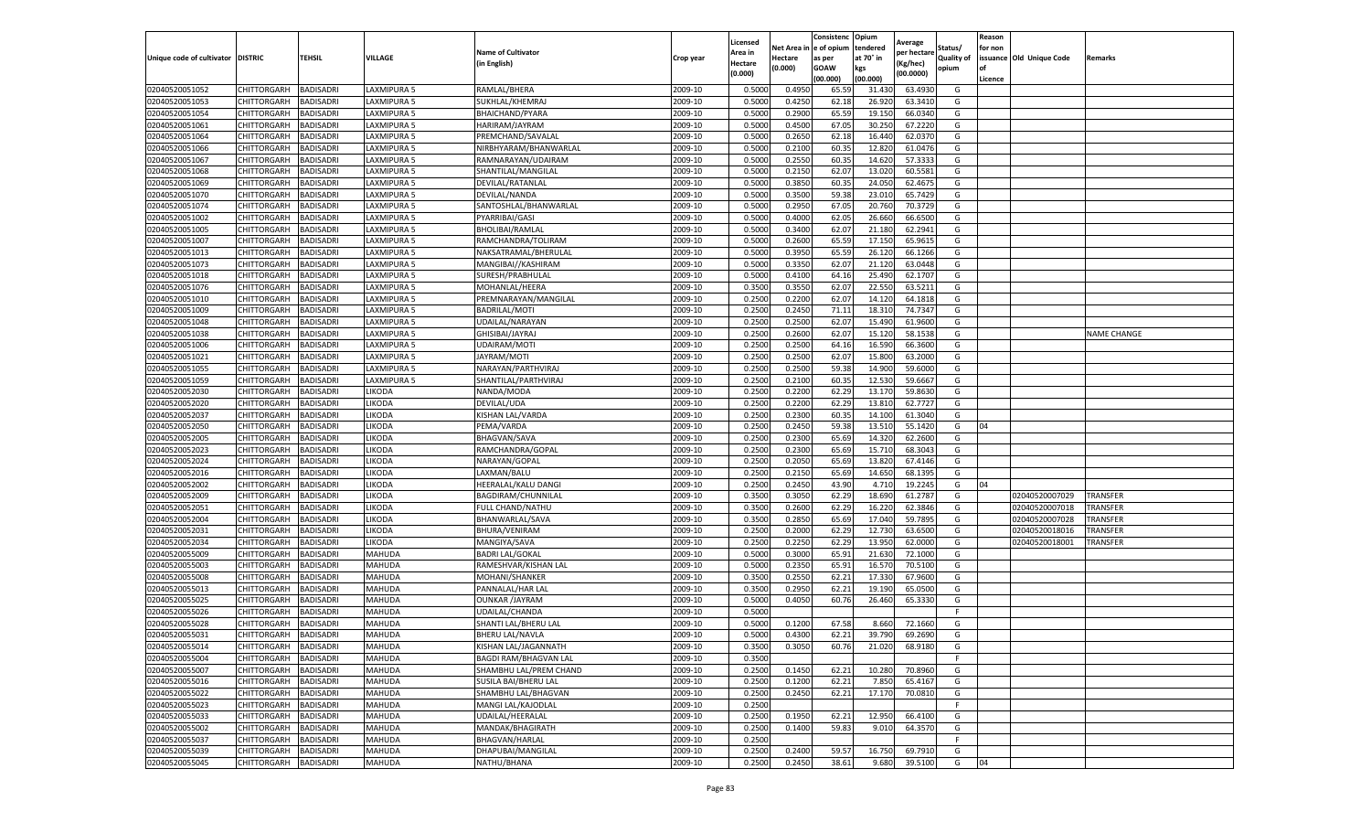|                                   |             |                  |               |                              |           | Licensed |            | Consistenc  | Opium     | Average     |                   | Reason  |                          |                    |
|-----------------------------------|-------------|------------------|---------------|------------------------------|-----------|----------|------------|-------------|-----------|-------------|-------------------|---------|--------------------------|--------------------|
|                                   |             |                  |               | <b>Name of Cultivator</b>    |           | Area in  | Net Area i | e of opium  | tendered  | per hectare | Status/           | for non |                          |                    |
| Unique code of cultivator DISTRIC |             | TEHSIL           | VILLAGE       | (in English)                 | Crop year | Hectare  | Hectare    | as per      | at 70° in | (Kg/hec)    | <b>Quality of</b> |         | issuance Old Unique Code | Remarks            |
|                                   |             |                  |               |                              |           | (0.000)  | (0.000)    | <b>GOAW</b> | kgs       | (00.0000)   | opium             | οf      |                          |                    |
|                                   |             |                  |               |                              |           |          |            | (00.000     | (00.000)  |             |                   | Licence |                          |                    |
| 02040520051052                    | CHITTORGARH | BADISADRI        | LAXMIPURA 5   | RAMLAL/BHERA                 | 2009-10   | 0.5000   | 0.4950     | 65.59       | 31.430    | 63.4930     | G                 |         |                          |                    |
| 02040520051053                    | CHITTORGARH | BADISADRI        | LAXMIPURA 5   | SUKHLAL/KHEMRAJ              | 2009-10   | 0.500    | 0.4250     | 62.18       | 26.92     | 63.3410     | G                 |         |                          |                    |
| 02040520051054                    | CHITTORGARH | BADISADRI        | LAXMIPURA 5   | BHAICHAND/PYARA              | 2009-10   | 0.5000   | 0.2900     | 65.59       | 19.150    | 66.0340     | G                 |         |                          |                    |
| 02040520051061                    | CHITTORGARH | BADISADRI        | LAXMIPURA 5   | HARIRAM/JAYRAM               | 2009-10   | 0.5000   | 0.4500     | 67.05       | 30.250    | 67.2220     | G                 |         |                          |                    |
| 02040520051064                    | CHITTORGARH | BADISADRI        | LAXMIPURA 5   | PREMCHAND/SAVALAI            | 2009-10   | 0.5000   | 0.2650     | 62.18       | 16.440    | 62.0370     | G                 |         |                          |                    |
| 02040520051066                    | CHITTORGARH | BADISADRI        | LAXMIPURA 5   | NIRBHYARAM/BHANWARLAL        | 2009-10   | 0.5000   | 0.2100     | 60.35       | 12.82     | 61.0476     | G                 |         |                          |                    |
| 02040520051067                    | CHITTORGARH | BADISADRI        | LAXMIPURA 5   | RAMNARAYAN/UDAIRAM           | 2009-10   | 0.5000   | 0.2550     | 60.35       | 14.620    | 57.3333     | G                 |         |                          |                    |
| 02040520051068                    | CHITTORGARH | BADISADRI        | LAXMIPURA 5   | SHANTILAL/MANGILAL           | 2009-10   | 0.500    | 0.2150     | 62.07       | 13.02     | 60.5581     | G                 |         |                          |                    |
| 02040520051069                    | CHITTORGARH | BADISADRI        | LAXMIPURA 5   | DEVILAL/RATANLAL             | 2009-10   | 0.500    | 0.3850     | 60.35       | 24.050    | 62.4675     | G                 |         |                          |                    |
| 02040520051070                    | CHITTORGARH | BADISADRI        | LAXMIPURA 5   | DEVILAL/NANDA                | 2009-10   | 0.5000   | 0.3500     | 59.38       | 23.010    | 65.7429     | G                 |         |                          |                    |
| 02040520051074                    | CHITTORGARH | BADISADRI        | LAXMIPURA 5   | SANTOSHLAL/BHANWARLAL        | 2009-10   | 0.5000   | 0.2950     | 67.05       | 20.760    | 70.3729     | G                 |         |                          |                    |
| 02040520051002                    | CHITTORGARH | BADISADRI        | LAXMIPURA 5   | PYARRIBAI/GASI               | 2009-10   | 0.5000   | 0.4000     | 62.05       | 26.660    | 66.6500     | G                 |         |                          |                    |
| 02040520051005                    | CHITTORGARH | BADISADRI        | LAXMIPURA 5   | BHOLIBAI/RAMLAL              | 2009-10   | 0.5000   | 0.3400     | 62.07       | 21.180    | 62.2941     | G                 |         |                          |                    |
| 02040520051007                    | CHITTORGARH | BADISADRI        | LAXMIPURA 5   | RAMCHANDRA/TOLIRAM           | 2009-10   | 0.500    | 0.2600     | 65.59       | 17.15     | 65.961      | G                 |         |                          |                    |
| 02040520051013                    | CHITTORGARH | BADISADRI        | LAXMIPURA 5   | NAKSATRAMAL/BHERULAL         | 2009-10   | 0.5000   | 0.3950     | 65.59       | 26.120    | 66.1266     | G                 |         |                          |                    |
| 02040520051073                    | CHITTORGARH | BADISADRI        | LAXMIPURA 5   | MANGIBAI//KASHIRAM           | 2009-10   | 0.5000   | 0.3350     | 62.07       | 21.12     | 63.0448     | G                 |         |                          |                    |
| 02040520051018                    | CHITTORGARH | BADISADRI        | LAXMIPURA 5   | SURESH/PRABHULAL             | 2009-10   | 0.500    | 0.4100     | 64.1        | 25.490    | 62.1707     | G                 |         |                          |                    |
| 02040520051076                    | CHITTORGARH | BADISADRI        | LAXMIPURA 5   | MOHANLAL/HEERA               | 2009-10   | 0.3500   | 0.3550     | 62.07       | 22.550    | 63.5211     | G                 |         |                          |                    |
| 02040520051010                    | CHITTORGARH | BADISADRI        | LAXMIPURA 5   | PREMNARAYAN/MANGILAL         | 2009-10   | 0.2500   | 0.2200     | 62.07       | 14.12     | 64.1818     | G                 |         |                          |                    |
| 02040520051009                    | CHITTORGARH | BADISADRI        | LAXMIPURA 5   | BADRILAL/MOTI                | 2009-10   | 0.2500   | 0.2450     | 71.11       | 18.31     | 74.7347     | G                 |         |                          |                    |
| 02040520051048                    | CHITTORGARH | BADISADRI        | LAXMIPURA 5   | UDAILAL/NARAYAN              | 2009-10   | 0.2500   | 0.2500     | 62.07       | 15.490    | 61.9600     | G                 |         |                          |                    |
| 02040520051038                    | CHITTORGARH | BADISADRI        | LAXMIPURA 5   | GHISIBAI/JAYRAJ              | 2009-10   | 0.2500   | 0.2600     | 62.07       | 15.120    | 58.1538     | G                 |         |                          | <b>NAME CHANGE</b> |
| 02040520051006                    | CHITTORGARH | BADISADRI        | LAXMIPURA 5   | UDAIRAM/MOTI                 | 2009-10   | 0.2500   | 0.2500     | 64.16       | 16.590    | 66.3600     | G                 |         |                          |                    |
| 02040520051021                    | CHITTORGARH | BADISADRI        | LAXMIPURA 5   | JAYRAM/MOTI                  | 2009-10   | 0.2500   | 0.2500     | 62.07       | 15.800    | 63.2000     | G                 |         |                          |                    |
| 02040520051055                    | CHITTORGARH | BADISADRI        | LAXMIPURA 5   | NARAYAN/PARTHVIRAJ           | 2009-10   | 0.2500   | 0.2500     | 59.38       | 14.900    | 59.6000     | G                 |         |                          |                    |
| 02040520051059                    | CHITTORGARH | BADISADRI        | LAXMIPURA 5   | SHANTILAL/PARTHVIRAJ         | 2009-10   | 0.2500   | 0.2100     | 60.35       | 12.530    | 59.6667     | G                 |         |                          |                    |
| 02040520052030                    | CHITTORGARH | BADISADRI        | LIKODA        | NANDA/MODA                   | 2009-10   | 0.2500   | 0.2200     | 62.29       | 13.170    | 59.8630     | G                 |         |                          |                    |
| 02040520052020                    | CHITTORGARH | BADISADRI        | LIKODA        | DEVILAL/UDA                  | 2009-10   | 0.2500   | 0.2200     | 62.29       | 13.810    | 62.7727     | G                 |         |                          |                    |
| 02040520052037                    | CHITTORGARH | BADISADRI        | LIKODA        | KISHAN LAL/VARDA             | 2009-10   | 0.2500   | 0.2300     | 60.35       | 14.100    | 61.3040     | G                 |         |                          |                    |
| 02040520052050                    | CHITTORGARH | BADISADRI        | LIKODA        | PEMA/VARDA                   | 2009-10   | 0.2500   | 0.2450     | 59.38       | 13.51     | 55.1420     | G                 | 04      |                          |                    |
| 02040520052005                    | CHITTORGARH | BADISADRI        | LIKODA        | <b>BHAGVAN/SAVA</b>          | 2009-10   | 0.2500   | 0.2300     | 65.69       | 14.320    | 62.2600     | G                 |         |                          |                    |
| 02040520052023                    | CHITTORGARH | BADISADRI        | LIKODA        | RAMCHANDRA/GOPAL             | 2009-10   | 0.2500   | 0.2300     | 65.69       | 15.710    | 68.3043     | G                 |         |                          |                    |
| 02040520052024                    | CHITTORGARH | BADISADRI        | LIKODA        | NARAYAN/GOPAL                | 2009-10   | 0.2500   | 0.2050     | 65.69       | 13.820    | 67.4146     | G                 |         |                          |                    |
| 02040520052016                    | CHITTORGARH | BADISADRI        | LIKODA        | LAXMAN/BALU                  | 2009-10   | 0.2500   | 0.2150     | 65.69       | 14.650    | 68.1395     | G                 |         |                          |                    |
| 02040520052002                    | CHITTORGARH | <b>BADISADRI</b> | LIKODA        | HEERALAL/KALU DANGI          | 2009-10   | 0.2500   | 0.2450     | 43.90       | 4.710     | 19.2245     | G                 | 04      |                          |                    |
| 02040520052009                    | CHITTORGARH | BADISADRI        | LIKODA        | BAGDIRAM/CHUNNILAL           | 2009-10   | 0.3500   | 0.3050     | 62.29       | 18.690    | 61.2787     | G                 |         | 02040520007029           | <b>TRANSFER</b>    |
| 02040520052051                    | CHITTORGARH | BADISADRI        | LIKODA        | FULL CHAND/NATHU             | 2009-10   | 0.3500   | 0.2600     | 62.29       | 16.220    | 62.3846     | G                 |         | 02040520007018           | TRANSFER           |
| 02040520052004                    | CHITTORGARH | BADISADRI        | LIKODA        | BHANWARLAL/SAVA              | 2009-10   | 0.3500   | 0.2850     | 65.69       | 17.040    | 59.7895     | G                 |         | 02040520007028           | TRANSFER           |
| 02040520052031                    | CHITTORGARH | BADISADRI        | LIKODA        | <b>BHURA/VENIRAM</b>         | 2009-10   | 0.2500   | 0.2000     | 62.29       | 12.730    | 63.6500     | G                 |         | 02040520018016           | TRANSFER           |
| 02040520052034                    | CHITTORGARH | BADISADRI        | LIKODA        | MANGIYA/SAVA                 | 2009-10   | 0.2500   | 0.2250     | 62.29       | 13.950    | 62.0000     | G                 |         | 02040520018001           | TRANSFER           |
| 02040520055009                    | CHITTORGARH | BADISADRI        | MAHUDA        | <b>BADRI LAL/GOKAL</b>       | 2009-10   | 0.5000   | 0.3000     | 65.91       | 21.630    | 72.1000     | G                 |         |                          |                    |
| 02040520055003                    | CHITTORGARH | BADISADRI        | MAHUDA        | RAMESHVAR/KISHAN LAL         | 2009-10   | 0.5000   | 0.2350     | 65.91       | 16.570    | 70.5100     | G                 |         |                          |                    |
| 02040520055008                    | CHITTORGARH | BADISADRI        | MAHUDA        | MOHANI/SHANKER               | 2009-10   | 0.3500   | 0.2550     | 62.21       | 17.330    | 67.9600     | G                 |         |                          |                    |
| 02040520055013                    | CHITTORGARH | BADISADRI        | MAHUDA        | PANNALAL/HAR LAL             | 2009-10   | 0.3500   | 0.2950     | 62.21       | 19.19     | 65.0500     | G                 |         |                          |                    |
| 02040520055025                    | CHITTORGARH | BADISADRI        | MAHUDA        | <b>OUNKAR /JAYRAM</b>        | 2009-10   | 0.5000   | 0.4050     | 60.76       | 26.460    | 65.3330     | G                 |         |                          |                    |
| 02040520055026                    | CHITTORGARH | BADISADRI        | MAHUDA        | UDAILAL/CHANDA               | 2009-10   | 0.500    |            |             |           |             | F.                |         |                          |                    |
| 02040520055028                    | CHITTORGARH | BADISADRI        | MAHUDA        | SHANTI LAL/BHERU LAL         | 2009-10   | 0.5000   | 0.1200     | 67.58       | 8.660     | 72.1660     | G                 |         |                          |                    |
| 02040520055031                    | CHITTORGARH | <b>BADISADRI</b> | MAHUDA        | <b>BHERU LAL/NAVLA</b>       | 2009-10   | 0.5000   | 0.4300     | 62.21       | 39.790    | 69.2690     | G                 |         |                          |                    |
| 02040520055014                    | CHITTORGARH | <b>BADISADRI</b> | <b>MAHUDA</b> | KISHAN LAL/JAGANNATH         | 2009-10   | 0.3500   | 0.3050     | 60.76       | 21.020    | 68.9180     | G                 |         |                          |                    |
| 02040520055004                    | CHITTORGARH | BADISADRI        | MAHUDA        | <b>BAGDI RAM/BHAGVAN LAL</b> | 2009-10   | 0.3500   |            |             |           |             | F                 |         |                          |                    |
| 02040520055007                    | CHITTORGARH | BADISADRI        | MAHUDA        | SHAMBHU LAL/PREM CHAND       | 2009-10   | 0.2500   | 0.1450     | 62.21       | 10.280    | 70.8960     | G                 |         |                          |                    |
| 02040520055016                    | CHITTORGARH | BADISADRI        | MAHUDA        | SUSILA BAI/BHERU LAL         | 2009-10   | 0.2500   | 0.1200     | 62.21       | 7.850     | 65.4167     | G                 |         |                          |                    |
| 02040520055022                    | CHITTORGARH | <b>BADISADRI</b> | MAHUDA        | SHAMBHU LAL/BHAGVAN          | 2009-10   | 0.2500   | 0.2450     | 62.21       | 17.170    | 70.0810     | G                 |         |                          |                    |
| 02040520055023                    | CHITTORGARH | <b>BADISADRI</b> | MAHUDA        | MANGI LAL/KAJODLAL           | 2009-10   | 0.2500   |            |             |           |             | F.                |         |                          |                    |
| 02040520055033                    | CHITTORGARH | BADISADRI        | MAHUDA        | UDAILAL/HEERALAL             | 2009-10   | 0.2500   | 0.1950     | 62.21       | 12.950    | 66.4100     | G                 |         |                          |                    |
| 02040520055002                    | CHITTORGARH | BADISADRI        | MAHUDA        | MANDAK/BHAGIRATH             | 2009-10   | 0.2500   | 0.1400     | 59.83       | 9.010     | 64.3570     | G                 |         |                          |                    |
| 02040520055037                    | CHITTORGARH | BADISADRI        | MAHUDA        | <b>BHAGVAN/HARLAL</b>        | 2009-10   | 0.2500   |            |             |           |             | F.                |         |                          |                    |
| 02040520055039                    | CHITTORGARH | BADISADRI        | MAHUDA        | DHAPUBAI/MANGILAL            | 2009-10   | 0.2500   | 0.2400     | 59.57       | 16.750    | 69.7910     | G                 |         |                          |                    |
| 02040520055045                    | CHITTORGARH | <b>BADISADRI</b> | MAHUDA        | NATHU/BHANA                  | 2009-10   | 0.2500   | 0.2450     | 38.61       | 9.680     | 39.5100     | G                 | 04      |                          |                    |
|                                   |             |                  |               |                              |           |          |            |             |           |             |                   |         |                          |                    |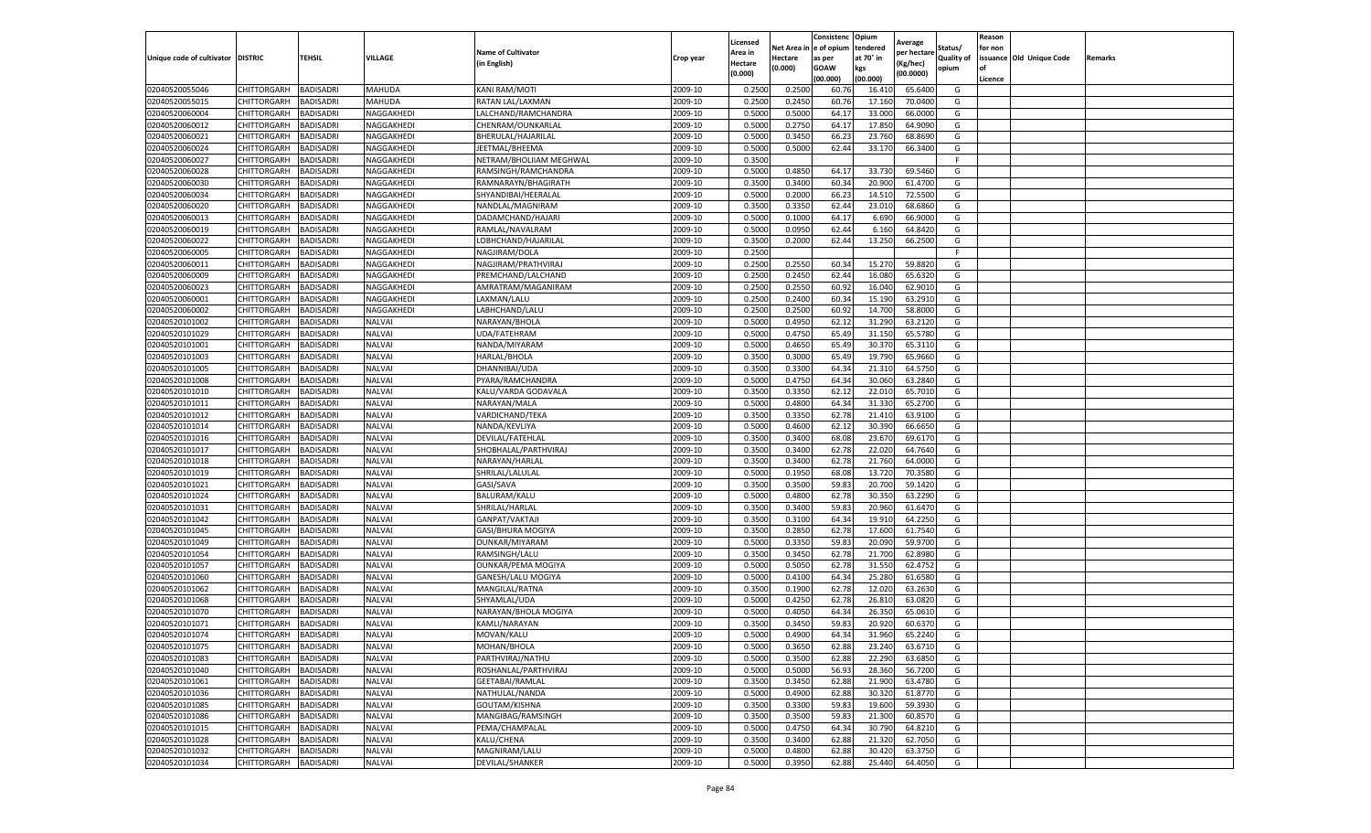|                                   |                       |                  |               |                           |           | Licensed |         | Consistenc             | Opium     |                        |                   | Reason  |                          |                |
|-----------------------------------|-----------------------|------------------|---------------|---------------------------|-----------|----------|---------|------------------------|-----------|------------------------|-------------------|---------|--------------------------|----------------|
|                                   |                       |                  |               | <b>Name of Cultivator</b> |           | Area in  |         | Net Area in e of opium | tendered  | Average<br>per hectare | Status/           | for non |                          |                |
| Unique code of cultivator DISTRIC |                       | TEHSIL           | VILLAGE       | in English)               | Crop year | Hectare  | Hectare | as per                 | at 70° in | (Kg/hec                | <b>Quality of</b> |         | issuance Old Unique Code | <b>Remarks</b> |
|                                   |                       |                  |               |                           |           | (0.000)  | (0.000) | <b>GOAW</b>            | kgs       | (00.0000)              | opium             |         |                          |                |
|                                   |                       |                  |               |                           |           |          |         | (00.000)               | (00.000)  |                        |                   | Licence |                          |                |
| 02040520055046                    | CHITTORGARH           | <b>BADISADRI</b> | MAHUDA        | KANI RAM/MOTI             | 2009-10   | 0.2500   | 0.2500  | 60.76                  | 16.41     | 65.6400                | G                 |         |                          |                |
| 02040520055015                    | CHITTORGARH           | <b>BADISADRI</b> | MAHUDA        | RATAN LAL/LAXMAN          | 2009-10   | 0.2500   | 0.2450  | 60.76                  | 17.16     | 70.0400                | G                 |         |                          |                |
| 02040520060004                    | CHITTORGARH           | <b>BADISADRI</b> | NAGGAKHEDI    | LALCHAND/RAMCHANDRA       | 2009-10   | 0.5000   | 0.5000  | 64.17                  | 33.000    | 66.0000                | G                 |         |                          |                |
| 02040520060012                    | CHITTORGARH           | <b>BADISADRI</b> | NAGGAKHEDI    | CHENRAM/OUNKARLAL         | 2009-10   | 0.5000   | 0.2750  | 64.17                  | 17.850    | 64.9090                | G                 |         |                          |                |
| 02040520060021                    | CHITTORGARH           | <b>BADISADRI</b> | NAGGAKHEDI    | BHERULAL/HAJARILAL        | 2009-10   | 0.5000   | 0.3450  | 66.23                  | 23.760    | 68.8690                | G                 |         |                          |                |
| 02040520060024                    | CHITTORGARH           | <b>BADISADRI</b> | NAGGAKHEDI    | JEETMAL/BHEEMA            | 2009-10   | 0.5000   | 0.5000  | 62.44                  | 33.17     | 66.3400                | G                 |         |                          |                |
| 02040520060027                    | CHITTORGARH           | <b>BADISADRI</b> | NAGGAKHEDI    | NETRAM/BHOLIIAM MEGHWAL   | 2009-10   | 0.3500   |         |                        |           |                        | F                 |         |                          |                |
| 02040520060028                    | CHITTORGARH           | BADISADRI        | NAGGAKHEDI    | RAMSINGH/RAMCHANDRA       | 2009-10   | 0.5000   | 0.4850  | 64.17                  | 33.73     | 69.5460                | G                 |         |                          |                |
| 02040520060030                    | CHITTORGARH           | <b>BADISADRI</b> | NAGGAKHEDI    | RAMNARAYN/BHAGIRATH       | 2009-10   | 0.3500   | 0.3400  | 60.34                  | 20.90     | 61.4700                | G                 |         |                          |                |
| 02040520060034                    | CHITTORGARH           | <b>BADISADRI</b> | NAGGAKHEDI    | SHYANDIBAI/HEERALAL       | 2009-10   | 0.5000   | 0.2000  | 66.23                  | 14.510    | 72.5500                | G                 |         |                          |                |
| 02040520060020                    | CHITTORGARH           | <b>BADISADRI</b> | NAGGAKHEDI    | NANDLAL/MAGNIRAM          | 2009-10   | 0.3500   | 0.3350  | 62.44                  | 23.01     | 68.6860                | G                 |         |                          |                |
| 02040520060013                    | CHITTORGARH           | <b>BADISADRI</b> | NAGGAKHEDI    | DADAMCHAND/HAJARI         | 2009-10   | 0.5000   | 0.1000  | 64.17                  | 6.69      | 66.9000                | G                 |         |                          |                |
| 02040520060019                    | CHITTORGARH           | <b>BADISADRI</b> | NAGGAKHEDI    | RAMLAL/NAVALRAM           | 2009-10   | 0.5000   | 0.0950  | 62.44                  | 6.16      | 64.8420                | G                 |         |                          |                |
| 02040520060022                    | CHITTORGARH           | <b>BADISADRI</b> | NAGGAKHEDI    | LOBHCHAND/HAJARILAL       | 2009-10   | 0.3500   | 0.2000  | 62.44                  | 13.25     | 66.2500                | G                 |         |                          |                |
| 02040520060005                    | CHITTORGARH           | <b>BADISADRI</b> | NAGGAKHEDI    | NAGJIRAM/DOLA             | 2009-10   | 0.2500   |         |                        |           |                        | F.                |         |                          |                |
| 02040520060011                    | CHITTORGARH           | <b>BADISADRI</b> | NAGGAKHEDI    | NAGJIRAM/PRATHVIRAJ       | 2009-10   | 0.2500   | 0.2550  | 60.34                  | 15.27     | 59.8820                | G                 |         |                          |                |
| 02040520060009                    | CHITTORGARH           | <b>BADISADRI</b> | NAGGAKHEDI    | PREMCHAND/LALCHAND        | 2009-10   | 0.2500   | 0.2450  | 62.44                  | 16.08     | 65.6320                | G                 |         |                          |                |
| 02040520060023                    | CHITTORGARH           | <b>BADISADRI</b> | NAGGAKHEDI    | AMRATRAM/MAGANIRAM        | 2009-10   | 0.2500   | 0.2550  | 60.92                  | 16.04     | 62.9010                | G                 |         |                          |                |
| 02040520060001                    | CHITTORGARH           | <b>BADISADRI</b> | NAGGAKHEDI    | LAXMAN/LALU               | 2009-10   | 0.2500   | 0.2400  | 60.34                  | 15.19     | 63.2910                | G                 |         |                          |                |
| 02040520060002                    | CHITTORGARH           | <b>BADISADRI</b> | NAGGAKHEDI    | LABHCHAND/LALU            | 2009-10   | 0.2500   | 0.2500  | 60.92                  | 14.700    | 58.8000                | G                 |         |                          |                |
| 02040520101002                    | CHITTORGARH           | <b>BADISADRI</b> | NALVAI        | NARAYAN/BHOLA             | 2009-10   | 0.5000   | 0.4950  | 62.12                  | 31.290    | 63.2120                | G                 |         |                          |                |
| 02040520101029                    | CHITTORGARH           | <b>BADISADRI</b> | NALVAI        | UDA/FATEHRAM              | 2009-10   | 0.5000   | 0.4750  | 65.49                  | 31.15     | 65.5780                | G                 |         |                          |                |
| 02040520101001                    | CHITTORGARH           | <b>BADISADRI</b> | <b>NALVAI</b> | NANDA/MIYARAM             | 2009-10   | 0.5000   | 0.4650  | 65.49                  | 30.37     | 65.3110                | G                 |         |                          |                |
| 02040520101003                    | CHITTORGARH           | <b>BADISADRI</b> | <b>NALVAI</b> | HARLAL/BHOLA              | 2009-10   | 0.3500   | 0.3000  | 65.49                  | 19.79     | 65.9660                | G                 |         |                          |                |
| 02040520101005                    | CHITTORGARH           | <b>BADISADRI</b> | <b>NALVAI</b> | DHANNIBAI/UDA             | 2009-10   | 0.3500   | 0.3300  | 64.34                  | 21.31     | 64.5750                | G                 |         |                          |                |
| 02040520101008                    | CHITTORGARH           | <b>BADISADRI</b> | <b>NALVAI</b> | PYARA/RAMCHANDRA          | 2009-10   | 0.5000   | 0.4750  | 64.34                  | 30.060    | 63.2840                | G                 |         |                          |                |
| 02040520101010                    | CHITTORGARH           | <b>BADISADRI</b> | <b>NALVAI</b> | KALU/VARDA GODAVALA       | 2009-10   | 0.3500   | 0.3350  | 62.12                  | 22.01     | 65.7010                | G                 |         |                          |                |
| 02040520101011                    | CHITTORGARH           | <b>BADISADRI</b> | <b>NALVAI</b> | NARAYAN/MALA              | 2009-10   | 0.5000   | 0.4800  | 64.34                  | 31.330    | 65.2700                | G                 |         |                          |                |
| 02040520101012                    | CHITTORGARH           | <b>BADISADRI</b> | <b>NALVAI</b> | VARDICHAND/TEKA           | 2009-10   | 0.3500   | 0.3350  | 62.78                  | 21.410    | 63.9100                | G                 |         |                          |                |
| 02040520101014                    | CHITTORGARH           | <b>BADISADRI</b> | <b>NALVAI</b> | NANDA/KEVLIYA             | 2009-10   | 0.5000   | 0.4600  | 62.12                  | 30.39     | 66.6650                | G                 |         |                          |                |
| 02040520101016                    | CHITTORGARH           | <b>BADISADRI</b> | <b>NALVAI</b> | DEVILAL/FATEHLAL          | 2009-10   | 0.3500   | 0.3400  | 68.08                  | 23.67     | 69.6170                | G                 |         |                          |                |
| 02040520101017                    | CHITTORGARH           | <b>BADISADRI</b> | <b>NALVAI</b> | SHOBHALAL/PARTHVIRAJ      | 2009-10   | 0.3500   | 0.3400  | 62.78                  | 22.02     | 64.7640                | G                 |         |                          |                |
| 02040520101018                    | CHITTORGARH           | <b>BADISADRI</b> | <b>NALVAI</b> | NARAYAN/HARLAL            | 2009-10   | 0.3500   | 0.3400  | 62.78                  | 21.76     | 64.0000                | G                 |         |                          |                |
| 02040520101019                    | CHITTORGARH           | <b>BADISADRI</b> | NALVAI        | SHRILAL/LALULAL           | 2009-10   | 0.5000   | 0.1950  | 68.08                  | 13.720    | 70.3580                | G                 |         |                          |                |
| 02040520101021                    | CHITTORGARH           | <b>BADISADRI</b> | <b>NALVAI</b> | GASI/SAVA                 | 2009-10   | 0.3500   | 0.3500  | 59.83                  | 20.70     | 59.1420                | G                 |         |                          |                |
| 02040520101024                    | CHITTORGARH           | <b>BADISADRI</b> | <b>NALVAI</b> | BALURAM/KALU              | 2009-10   | 0.5000   | 0.4800  | 62.78                  | 30.35     | 63.2290                | G                 |         |                          |                |
| 02040520101031                    | CHITTORGARH           | <b>BADISADRI</b> | <b>NALVAI</b> | SHRILAL/HARLAL            | 2009-10   | 0.3500   | 0.3400  | 59.83                  | 20.96     | 61.6470                | G                 |         |                          |                |
| 02040520101042                    | CHITTORGARH           | <b>BADISADRI</b> | NALVAI        | GANPAT/VAKTAJI            | 2009-10   | 0.3500   | 0.3100  | 64.34                  | 19.91     | 64.2250                | G                 |         |                          |                |
| 02040520101045                    | CHITTORGARH           | BADISADRI        | <b>NALVAI</b> | GASI/BHURA MOGIYA         | 2009-10   | 0.3500   | 0.2850  | 62.78                  | 17.600    | 61.7540                | G                 |         |                          |                |
| 02040520101049                    | CHITTORGARH           | <b>BADISADRI</b> | <b>NALVAI</b> | OUNKAR/MIYARAM            | 2009-10   | 0.5000   | 0.3350  | 59.83                  | 20.09     | 59.9700                | G                 |         |                          |                |
| 02040520101054                    | CHITTORGARH           | <b>BADISADRI</b> | NALVAI        | RAMSINGH/LALU             | 2009-10   | 0.3500   | 0.3450  | 62.78                  | 21.70     | 62.8980                | G                 |         |                          |                |
| 02040520101057                    | CHITTORGARH           | <b>BADISADRI</b> | <b>NALVAI</b> | <b>OUNKAR/PEMA MOGIYA</b> | 2009-10   | 0.5000   | 0.5050  | 62.78                  | 31.55     | 62.4752                | G                 |         |                          |                |
| 02040520101060                    | CHITTORGARH           | <b>BADISADRI</b> | NALVAI        | GANESH/LALU MOGIYA        | 2009-10   | 0.5000   | 0.4100  | 64.34                  | 25.28     | 61.6580                | G                 |         |                          |                |
| 02040520101062                    | CHITTORGARH           | <b>BADISADRI</b> | <b>NALVAI</b> | MANGILAL/RATNA            | 2009-10   | 0.3500   | 0.1900  | 62.78                  | 12.02     | 63.2630                | G                 |         |                          |                |
| 02040520101068                    | <b>CHITTORGARH</b>    | <b>BADISADRI</b> | <b>NALVAI</b> | SHYAMLAL/UDA              | 2009-10   | 0.5000   | 0.4250  | 62.78                  | 26.81     | 63.0820                | G                 |         |                          |                |
| 02040520101070                    | CHITTORGARH           | BADISADRI        | NALVAI        | NARAYAN/BHOLA MOGIYA      | 2009-10   | 0.5000   | 0.4050  | 64.34                  | 26.35     | 65.0610                | G                 |         |                          |                |
| 02040520101071                    | CHITTORGARH           | <b>BADISADRI</b> | NALVAI        | KAMLI/NARAYAN             | 2009-10   | 0.3500   | 0.3450  | 59.83                  | 20.92     | 60.6370                | G                 |         |                          |                |
| 02040520101074                    | CHITTORGARH           | <b>BADISADRI</b> | <b>NALVAI</b> | MOVAN/KALU                | 2009-10   | 0.5000   | 0.4900  | 64.34                  | 31.960    | 65.2240                | G                 |         |                          |                |
| 02040520101075                    | CHITTORGARH BADISADRI |                  | <b>NALVAI</b> | MOHAN/BHOLA               | 2009-10   | 0.5000   | 0.3650  | 62.88                  | 23.240    | 63.6710                | G                 |         |                          |                |
| 02040520101083                    | CHITTORGARH           | <b>BADISADRI</b> | <b>NALVAI</b> | PARTHVIRAJ/NATHU          | 2009-10   | 0.5000   | 0.3500  | 62.88                  | 22.290    | 63.6850                | G                 |         |                          |                |
| 02040520101040                    | <b>CHITTORGARH</b>    | <b>BADISADRI</b> | <b>NALVAI</b> | ROSHANLAL/PARTHVIRAJ      | 2009-10   | 0.5000   | 0.5000  | 56.93                  | 28.360    | 56.7200                | G                 |         |                          |                |
| 02040520101061                    | <b>CHITTORGARH</b>    | <b>BADISADRI</b> | <b>NALVAI</b> | <b>GEETABAI/RAMLAL</b>    | 2009-10   | 0.3500   | 0.3450  | 62.88                  | 21.900    | 63.4780                | G                 |         |                          |                |
| 02040520101036                    | <b>CHITTORGARH</b>    | <b>BADISADRI</b> | <b>NALVAI</b> | NATHULAL/NANDA            | 2009-10   | 0.5000   | 0.4900  | 62.88                  | 30.32     | 61.8770                | G                 |         |                          |                |
| 02040520101085                    | <b>CHITTORGARH</b>    | <b>BADISADRI</b> | <b>NALVAI</b> | GOUTAM/KISHNA             | 2009-10   | 0.3500   | 0.3300  | 59.83                  | 19.600    | 59.3930                | G                 |         |                          |                |
| 02040520101086                    | CHITTORGARH           | <b>BADISADRI</b> | <b>NALVAI</b> | MANGIBAG/RAMSINGH         | 2009-10   | 0.3500   | 0.3500  | 59.83                  | 21.300    | 60.8570                | G                 |         |                          |                |
| 02040520101015                    | CHITTORGARH           | <b>BADISADRI</b> | <b>NALVAI</b> | PEMA/CHAMPALAL            | 2009-10   | 0.5000   | 0.4750  | 64.34                  | 30.790    | 64.8210                | G                 |         |                          |                |
| 02040520101028                    | CHITTORGARH           | <b>BADISADRI</b> | <b>NALVAI</b> | KALU/CHENA                | 2009-10   | 0.3500   | 0.3400  | 62.88                  | 21.320    | 62.7050                | G                 |         |                          |                |
| 02040520101032                    | CHITTORGARH           | <b>BADISADRI</b> | <b>NALVAI</b> | MAGNIRAM/LALU             | 2009-10   | 0.5000   | 0.4800  | 62.88                  | 30.420    | 63.3750                | G                 |         |                          |                |
| 02040520101034                    | <b>CHITTORGARH</b>    | <b>BADISADRI</b> | <b>NALVAI</b> | <b>DEVILAL/SHANKER</b>    | 2009-10   | 0.5000   | 0.3950  | 62.88                  | 25.440    | 64.4050                | G                 |         |                          |                |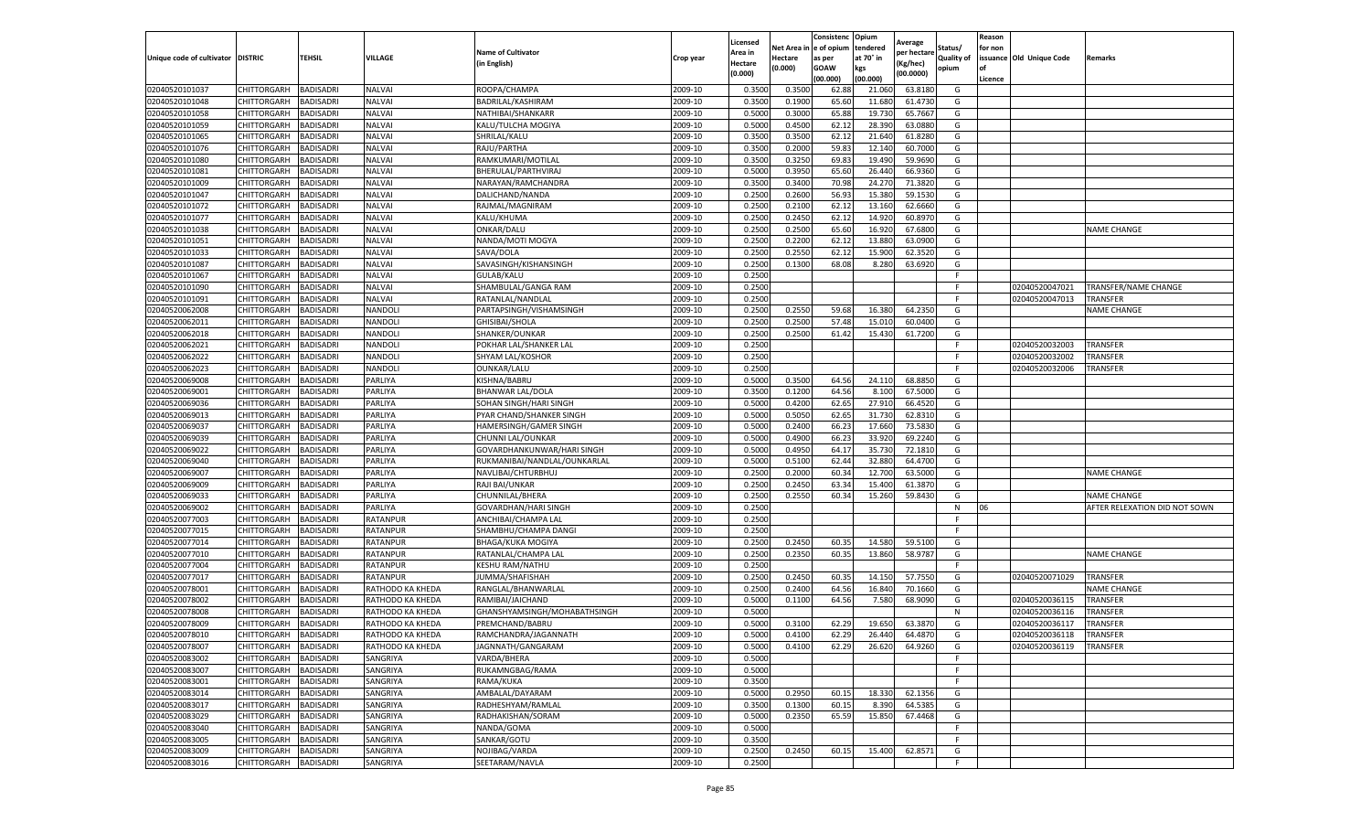|                           |                    |                  |                  |                              |           | Licensed |         | Consistenc             | Opium     | Average     |                   | Reason  |                          |                               |
|---------------------------|--------------------|------------------|------------------|------------------------------|-----------|----------|---------|------------------------|-----------|-------------|-------------------|---------|--------------------------|-------------------------------|
|                           |                    |                  |                  | <b>Name of Cultivator</b>    |           | Area in  |         | Net Area in e of opium | tendered  | per hectare | Status/           | for non |                          |                               |
| Unique code of cultivator | <b>DISTRIC</b>     | TEHSIL           | VILLAGE          | in English)                  | Crop year | Hectare  | Hectare | as per                 | at 70° in | (Kg/hec     | <b>Quality of</b> |         | issuance Old Unique Code | <b>Remarks</b>                |
|                           |                    |                  |                  |                              |           | (0.000)  | (0.000) | <b>GOAW</b>            | kgs       | (00.0000)   | opium             |         |                          |                               |
|                           |                    |                  |                  |                              |           |          |         | (00.000)               | (00.000)  |             |                   | Licence |                          |                               |
| 02040520101037            | CHITTORGARH        | <b>BADISADRI</b> | <b>NALVAI</b>    | ROOPA/CHAMPA                 | 2009-10   | 0.3500   | 0.3500  | 62.88                  | 21.06     | 63.8180     | G                 |         |                          |                               |
| 02040520101048            | CHITTORGARH        | <b>BADISADRI</b> | NALVAI           | BADRILAL/KASHIRAM            | 2009-10   | 0.3500   | 0.1900  | 65.60                  | 11.68     | 61.4730     | G                 |         |                          |                               |
| 02040520101058            | CHITTORGARH        | <b>BADISADRI</b> | NALVAI           | NATHIBAI/SHANKARR            | 2009-10   | 0.5000   | 0.3000  | 65.88                  | 19.73     | 65.7667     | G                 |         |                          |                               |
| 02040520101059            | CHITTORGARH        | <b>BADISADRI</b> | <b>NALVAI</b>    | KALU/TULCHA MOGIYA           | 2009-10   | 0.5000   | 0.4500  | 62.12                  | 28.390    | 63.0880     | G                 |         |                          |                               |
| 02040520101065            | CHITTORGARH        | <b>BADISADRI</b> | <b>NALVAI</b>    | SHRILAL/KALU                 | 2009-10   | 0.3500   | 0.3500  | 62.12                  | 21.64     | 61.8280     | G                 |         |                          |                               |
| 02040520101076            | CHITTORGARH        | <b>BADISADRI</b> | <b>NALVAI</b>    | RAJU/PARTHA                  | 2009-10   | 0.3500   | 0.2000  | 59.83                  | 12.14     | 60.7000     | G                 |         |                          |                               |
| 02040520101080            | CHITTORGARH        | <b>BADISADRI</b> | <b>NALVAI</b>    | RAMKUMARI/MOTILAL            | 2009-10   | 0.3500   | 0.3250  | 69.83                  | 19.49     | 59.9690     | G                 |         |                          |                               |
| 02040520101081            | CHITTORGARH        | BADISADRI        | <b>NALVAI</b>    | BHERULAL/PARTHVIRAJ          | 2009-10   | 0.5000   | 0.3950  | 65.60                  | 26.44     | 66.9360     | G                 |         |                          |                               |
| 02040520101009            | CHITTORGARH        | <b>BADISADRI</b> | <b>NALVAI</b>    | NARAYAN/RAMCHANDRA           | 2009-10   | 0.3500   | 0.3400  | 70.98                  | 24.27     | 71.3820     | G                 |         |                          |                               |
| 02040520101047            | CHITTORGARH        | <b>BADISADRI</b> | <b>NALVAI</b>    | DALICHAND/NANDA              | 2009-10   | 0.2500   | 0.2600  | 56.93                  | 15.380    | 59.1530     | G                 |         |                          |                               |
| 02040520101072            | CHITTORGARH        | <b>BADISADRI</b> | <b>NALVAI</b>    | RAJMAL/MAGNIRAM              | 2009-10   | 0.2500   | 0.2100  | 62.12                  | 13.16     | 62.6660     | G                 |         |                          |                               |
| 02040520101077            | CHITTORGARH        | <b>BADISADRI</b> | NALVAI           | KALU/KHUMA                   | 2009-10   | 0.2500   | 0.2450  | 62.12                  | 14.92     | 60.8970     | G                 |         |                          |                               |
| 02040520101038            | CHITTORGARH        | <b>BADISADRI</b> | <b>NALVAI</b>    | ONKAR/DALU                   | 2009-10   | 0.2500   | 0.2500  | 65.60                  | 16.92     | 67.6800     | G                 |         |                          | <b>NAME CHANGE</b>            |
| 02040520101051            | CHITTORGARH        | <b>BADISADRI</b> | <b>NALVAI</b>    | NANDA/MOTI MOGYA             | 2009-10   | 0.2500   | 0.2200  | 62.12                  | 13.88     | 63.0900     | G                 |         |                          |                               |
| 02040520101033            | CHITTORGARH        | <b>BADISADRI</b> | NALVAI           | SAVA/DOLA                    | 2009-10   | 0.2500   | 0.2550  | 62.12                  | 15.90     | 62.3520     | G                 |         |                          |                               |
| 02040520101087            | CHITTORGARH        | <b>BADISADRI</b> | <b>NALVAI</b>    | SAVASINGH/KISHANSINGH        | 2009-10   | 0.2500   | 0.1300  | 68.08                  | 8.280     | 63.6920     | G                 |         |                          |                               |
| 02040520101067            | CHITTORGARH        | <b>BADISADRI</b> | NALVAI           | GULAB/KALU                   | 2009-10   | 0.2500   |         |                        |           |             | F                 |         |                          |                               |
| 02040520101090            | CHITTORGARH        | <b>BADISADRI</b> | <b>NALVAI</b>    | SHAMBULAL/GANGA RAM          | 2009-10   | 0.2500   |         |                        |           |             | F                 |         | 02040520047021           | TRANSFER/NAME CHANGE          |
| 02040520101091            | CHITTORGARH        | <b>BADISADRI</b> | NALVAI           | RATANLAL/NANDLAL             | 2009-10   | 0.2500   |         |                        |           |             | F                 |         | 02040520047013           | TRANSFER                      |
| 02040520062008            | CHITTORGARH        | <b>BADISADRI</b> | NANDOLI          | PARTAPSINGH/VISHAMSINGH      | 2009-10   | 0.2500   | 0.2550  | 59.68                  | 16.380    | 64.2350     | G                 |         |                          | <b>NAME CHANGE</b>            |
| 02040520062011            | CHITTORGARH        | <b>BADISADRI</b> | NANDOLI          | GHISIBAI/SHOLA               | 2009-10   | 0.2500   | 0.2500  | 57.48                  | 15.010    | 60.0400     | G                 |         |                          |                               |
| 02040520062018            | CHITTORGARH        | <b>BADISADRI</b> | NANDOLI          | SHANKER/OUNKAR               | 2009-10   | 0.2500   | 0.2500  | 61.42                  | 15.430    | 61.7200     | G                 |         |                          |                               |
| 02040520062021            | CHITTORGARH        | <b>BADISADRI</b> | NANDOLI          | POKHAR LAL/SHANKER LAL       | 2009-10   | 0.2500   |         |                        |           |             | F.                |         | 02040520032003           | <b>TRANSFER</b>               |
| 02040520062022            | CHITTORGARH        | <b>BADISADRI</b> | NANDOLI          | SHYAM LAL/KOSHOR             | 2009-10   | 0.2500   |         |                        |           |             | F                 |         | 02040520032002           | TRANSFER                      |
| 02040520062023            | CHITTORGARH        | <b>BADISADRI</b> | NANDOLI          | OUNKAR/LALU                  | 2009-10   | 0.2500   |         |                        |           |             | F                 |         | 02040520032006           | TRANSFER                      |
| 02040520069008            | CHITTORGARH        | <b>BADISADRI</b> | PARLIYA          | KISHNA/BABRU                 | 2009-10   | 0.5000   | 0.3500  | 64.56                  | 24.110    | 68.8850     | G                 |         |                          |                               |
| 02040520069001            | CHITTORGARH        | <b>BADISADRI</b> | PARLIYA          | BHANWAR LAL/DOLA             | 2009-10   | 0.3500   | 0.1200  | 64.56                  | 8.100     | 67.5000     | G                 |         |                          |                               |
| 02040520069036            | CHITTORGARH        | <b>BADISADRI</b> | PARLIYA          | SOHAN SINGH/HARI SINGH       | 2009-10   | 0.5000   | 0.4200  | 62.65                  | 27.91     | 66.4520     | G                 |         |                          |                               |
| 02040520069013            | CHITTORGARH        | <b>BADISADRI</b> | PARLIYA          | PYAR CHAND/SHANKER SINGH     | 2009-10   | 0.5000   | 0.5050  | 62.65                  | 31.730    | 62.8310     | G                 |         |                          |                               |
| 02040520069037            | CHITTORGARH        | <b>BADISADRI</b> | PARLIYA          | HAMERSINGH/GAMER SINGH       | 2009-10   | 0.5000   | 0.2400  | 66.23                  | 17.660    | 73.5830     | G                 |         |                          |                               |
| 02040520069039            | CHITTORGARH        | <b>BADISADRI</b> | PARLIYA          | CHUNNI LAL/OUNKAR            | 2009-10   | 0.5000   | 0.4900  | 66.23                  | 33.92     | 69.2240     | G                 |         |                          |                               |
| 02040520069022            | CHITTORGARH        | <b>BADISADRI</b> | PARLIYA          | GOVARDHANKUNWAR/HARI SINGH   | 2009-10   | 0.5000   | 0.4950  | 64.17                  | 35.73     | 72.1810     | G                 |         |                          |                               |
| 02040520069040            | CHITTORGARH        | <b>BADISADRI</b> | PARLIYA          | RUKMANIBAI/NANDLAL/OUNKARLAL | 2009-10   | 0.5000   | 0.5100  | 62.44                  | 32.88     | 64.4700     | G                 |         |                          |                               |
| 02040520069007            | CHITTORGARH        | <b>BADISADRI</b> | PARLIYA          | NAVLIBAI/CHTURBHUJ           | 2009-10   | 0.2500   | 0.2000  | 60.34                  | 12.70     | 63.5000     | G                 |         |                          | <b>NAME CHANGE</b>            |
| 02040520069009            | CHITTORGARH        | <b>BADISADRI</b> | PARLIYA          | RAJI BAI/UNKAR               | 2009-10   | 0.2500   | 0.2450  | 63.34                  | 15.400    | 61.3870     | G                 |         |                          |                               |
| 02040520069033            | CHITTORGARH        | <b>BADISADRI</b> | PARLIYA          | CHUNNILAL/BHERA              | 2009-10   | 0.2500   | 0.2550  | 60.34                  | 15.260    | 59.8430     | G                 |         |                          | <b>NAME CHANGE</b>            |
| 02040520069002            | CHITTORGARH        | <b>BADISADRI</b> | PARLIYA          | GOVARDHAN/HARI SINGH         | 2009-10   | 0.2500   |         |                        |           |             | N                 | 06      |                          | AFTER RELEXATION DID NOT SOWN |
| 02040520077003            | CHITTORGARH        | <b>BADISADRI</b> | RATANPUR         | ANCHIBAI/CHAMPA LAL          | 2009-10   | 0.2500   |         |                        |           |             | F                 |         |                          |                               |
| 02040520077015            | CHITTORGARH        | BADISADRI        | RATANPUR         | SHAMBHU/CHAMPA DANGI         | 2009-10   | 0.2500   |         |                        |           |             | F.                |         |                          |                               |
| 02040520077014            | CHITTORGARH        | <b>BADISADRI</b> | <b>RATANPUR</b>  | BHAGA/KUKA MOGIYA            | 2009-10   | 0.2500   | 0.2450  | 60.35                  | 14.580    | 59.5100     | G                 |         |                          |                               |
| 02040520077010            | CHITTORGARH        | <b>BADISADRI</b> | RATANPUR         | RATANLAL/CHAMPA LAL          | 2009-10   | 0.2500   | 0.2350  | 60.35                  | 13.860    | 58.9787     | G                 |         |                          | <b>NAME CHANGE</b>            |
| 02040520077004            | CHITTORGARH        | <b>BADISADRI</b> | RATANPUR         | KESHU RAM/NATHU              | 2009-10   | 0.2500   |         |                        |           |             | F.                |         |                          |                               |
| 02040520077017            | CHITTORGARH        | <b>BADISADRI</b> | RATANPUR         | JUMMA/SHAFISHAH              | 2009-10   | 0.2500   | 0.2450  | 60.35                  | 14.15     | 57.7550     | G                 |         | 02040520071029           | <b>TRANSFER</b>               |
| 02040520078001            | CHITTORGARH        | <b>BADISADRI</b> | RATHODO KA KHEDA | RANGLAL/BHANWARLAL           | 2009-10   | 0.2500   | 0.2400  | 64.56                  | 16.84     | 70.1660     | G                 |         |                          | <b>NAME CHANGE</b>            |
| 02040520078002            | CHITTORGARH        | <b>BADISADRI</b> | RATHODO KA KHEDA | RAMIBAI/JAICHAND             | 2009-10   | 0.5000   | 0.1100  | 64.56                  | 7.580     | 68.9090     | G                 |         | 02040520036115           | <b>TRANSFER</b>               |
| 02040520078008            | CHITTORGARH        | BADISADRI        | RATHODO KA KHEDA | GHANSHYAMSINGH/MOHABATHSINGH | 2009-10   | 0.5000   |         |                        |           |             | N                 |         | 02040520036116           | TRANSFER                      |
| 02040520078009            | CHITTORGARH        | <b>BADISADRI</b> | RATHODO KA KHEDA | PREMCHAND/BABRU              | 2009-10   | 0.5000   | 0.3100  | 62.29                  | 19.65     | 63.387      | G                 |         | 02040520036117           | TRANSFER                      |
| 02040520078010            | CHITTORGARH        | <b>BADISADRI</b> | RATHODO KA KHEDA | RAMCHANDRA/JAGANNATH         | 2009-10   | 0.5000   | 0.4100  | 62.29                  | 26.440    | 64.4870     | G                 |         | 02040520036118           | <b>TRANSFER</b>               |
| 02040520078007            | CHITTORGARH        | <b>BADISADRI</b> | RATHODO KA KHEDA | JAGNNATH/GANGARAM            | 2009-10   | 0.5000   | 0.4100  | 62.29                  | 26.620    | 64.9260     | G                 |         | 02040520036119           | <b>TRANSFER</b>               |
| 02040520083002            | CHITTORGARH        | <b>BADISADRI</b> | SANGRIYA         | VARDA/BHERA                  | 2009-10   | 0.5000   |         |                        |           |             | F                 |         |                          |                               |
| 02040520083007            | <b>CHITTORGARH</b> | <b>BADISADRI</b> | SANGRIYA         | RUKAMNGBAG/RAMA              | 2009-10   | 0.5000   |         |                        |           |             | F.                |         |                          |                               |
| 02040520083001            | <b>CHITTORGARH</b> | <b>BADISADRI</b> | SANGRIYA         | RAMA/KUKA                    | 2009-10   | 0.3500   |         |                        |           |             | F.                |         |                          |                               |
| 02040520083014            | CHITTORGARH        | <b>BADISADRI</b> | SANGRIYA         | AMBALAL/DAYARAM              | 2009-10   | 0.5000   | 0.2950  | 60.15                  | 18.330    | 62.1356     | G                 |         |                          |                               |
| 02040520083017            | <b>CHITTORGARH</b> | <b>BADISADRI</b> | SANGRIYA         | RADHESHYAM/RAMLAL            | 2009-10   | 0.3500   | 0.1300  | 60.15                  | 8.390     | 64.5385     | G                 |         |                          |                               |
| 02040520083029            | CHITTORGARH        | <b>BADISADRI</b> | SANGRIYA         | RADHAKISHAN/SORAM            | 2009-10   | 0.5000   | 0.2350  | 65.59                  | 15.850    | 67.4468     | G                 |         |                          |                               |
| 02040520083040            | CHITTORGARH        | <b>BADISADRI</b> | SANGRIYA         | NANDA/GOMA                   | 2009-10   | 0.5000   |         |                        |           |             | F.                |         |                          |                               |
| 02040520083005            | CHITTORGARH        | <b>BADISADRI</b> | SANGRIYA         | SANKAR/GOTU                  | 2009-10   | 0.3500   |         |                        |           |             | F                 |         |                          |                               |
| 02040520083009            | CHITTORGARH        | <b>BADISADRI</b> | SANGRIYA         | NOJIBAG/VARDA                | 2009-10   | 0.2500   | 0.2450  | 60.15                  | 15.400    | 62.8571     | G                 |         |                          |                               |
| 02040520083016            | <b>CHITTORGARH</b> | <b>BADISADRI</b> | SANGRIYA         | SEETARAM/NAVLA               | 2009-10   | 0.2500   |         |                        |           |             | F                 |         |                          |                               |
|                           |                    |                  |                  |                              |           |          |         |                        |           |             |                   |         |                          |                               |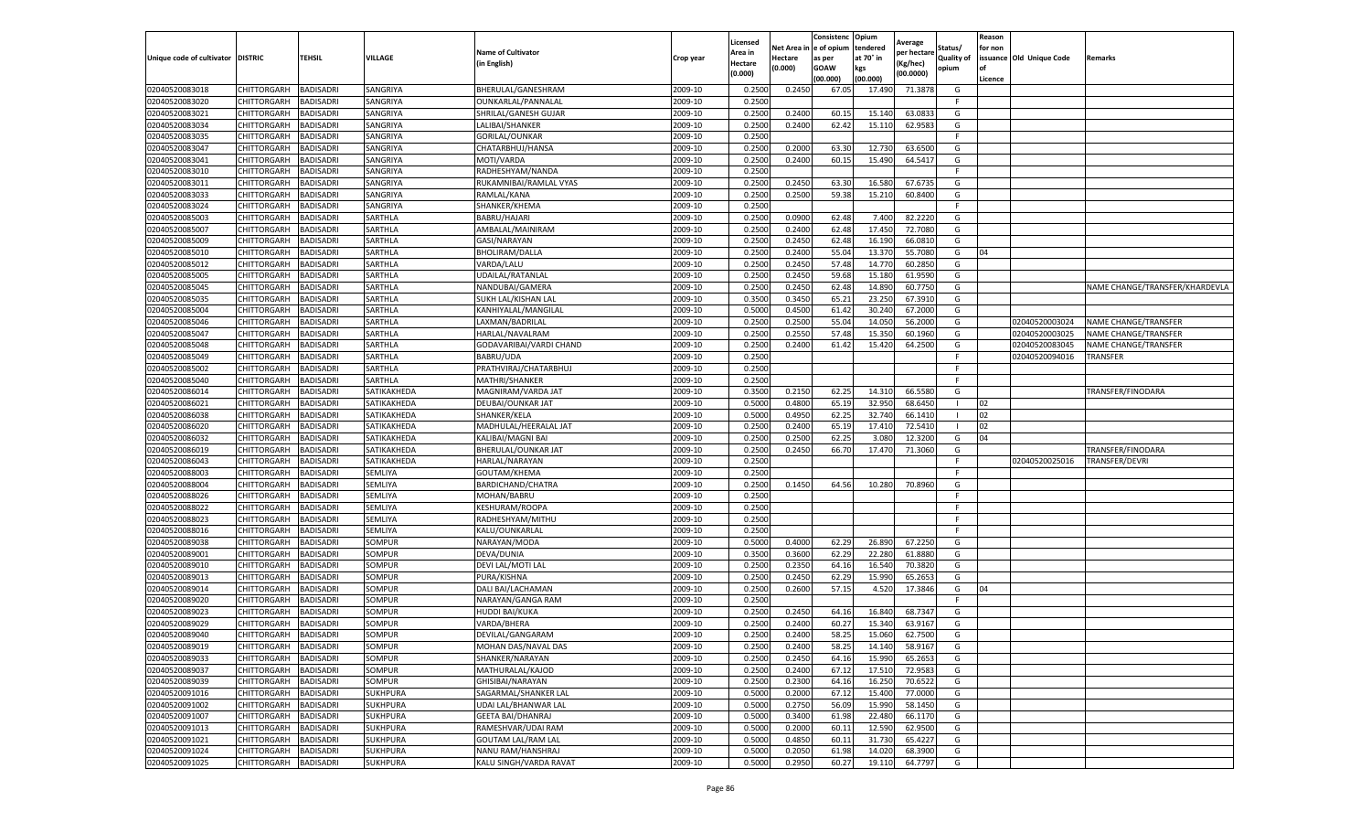|                                   |                            |                        |                      |                                                |                    | Licensed         |         | Consistenc              | Opium     | Average     |            | Reason  |                          |                                |
|-----------------------------------|----------------------------|------------------------|----------------------|------------------------------------------------|--------------------|------------------|---------|-------------------------|-----------|-------------|------------|---------|--------------------------|--------------------------------|
|                                   |                            |                        |                      | <b>Name of Cultivator</b>                      |                    | Area in          |         | Net Area in le of opium | tendered  | per hectare | Status/    | for non |                          |                                |
| Unique code of cultivator DISTRIC |                            | <b>TEHSIL</b>          | VILLAGE              | (in English)                                   | Crop year          | Hectare          | Hectare | as per                  | at 70° in | (Kg/hec)    | Quality of |         | issuance Old Unique Code | Remarks                        |
|                                   |                            |                        |                      |                                                |                    | (0.000)          | (0.000) | GOAW                    | kgs       | (00.0000)   | opium      |         |                          |                                |
|                                   |                            |                        |                      |                                                |                    |                  |         | (00.000)                | (00.000)  |             |            | Licence |                          |                                |
| 02040520083018                    | CHITTORGARH                | BADISADRI              | SANGRIYA             | BHERULAL/GANESHRAM                             | 2009-10            | 0.250            | 0.245   | 67.05                   | 17.49     | 71.3878     | G          |         |                          |                                |
| 02040520083020                    | CHITTORGARH                | BADISADRI              | SANGRIYA             | OUNKARLAL/PANNALAL                             | 2009-10            | 0.2500           |         |                         |           |             | -F.        |         |                          |                                |
| 02040520083021<br>02040520083034  | CHITTORGARH                | BADISADRI              | SANGRIYA             | SHRILAL/GANESH GUJAR                           | 2009-10            | 0.2500           | 0.2400  | 60.1                    | 15.140    | 63.083      | G          |         |                          |                                |
|                                   | CHITTORGARH                | <b>BADISADRI</b>       | SANGRIYA             | LALIBAI/SHANKER                                | 2009-10            | 0.2500           | 0.2400  | 62.42                   | 15.110    | 62.9583     | G<br>E     |         |                          |                                |
| 02040520083035<br>02040520083047  | CHITTORGARH<br>CHITTORGARH | BADISADRI<br>BADISADRI | SANGRIYA<br>SANGRIYA | GORILAL/OUNKAR<br>CHATARBHUJ/HANSA             | 2009-10<br>2009-10 | 0.2500<br>0.2500 | 0.2000  | 63.30                   | 12.730    | 63.650      | G          |         |                          |                                |
| 02040520083041                    | CHITTORGARH                | BADISADRI              | SANGRIYA             | MOTI/VARDA                                     | 2009-10            | 0.2500           | 0.2400  | 60.15                   | 15.490    | 64.541      | G          |         |                          |                                |
| 02040520083010                    | CHITTORGARH                | <b>BADISADRI</b>       | SANGRIYA             | RADHESHYAM/NANDA                               | 2009-10            | 0.2500           |         |                         |           |             | -F         |         |                          |                                |
| 02040520083011                    | CHITTORGARH                | BADISADRI              | SANGRIYA             | RUKAMNIBAI/RAMLAL VYAS                         | 2009-10            | 0.2500           | 0.2450  | 63.30                   | 16.580    | 67.673      | G          |         |                          |                                |
| 02040520083033                    | CHITTORGARH                | BADISADRI              | SANGRIYA             | RAMLAL/KANA                                    | 2009-10            | 0.2500           | 0.2500  | 59.38                   | 15.210    | 60.8400     | G          |         |                          |                                |
| 02040520083024                    | CHITTORGARH                | BADISADRI              | SANGRIYA             | SHANKER/KHEMA                                  | 2009-10            | 0.2500           |         |                         |           |             | F.         |         |                          |                                |
| 02040520085003                    | CHITTORGARH                | BADISADRI              | SARTHLA              | BABRU/HAJARI                                   | 2009-10            | 0.2500           | 0.090   | 62.48                   | 7.400     | 82.222      | G          |         |                          |                                |
| 02040520085007                    | CHITTORGARH                | BADISADRI              | SARTHLA              | AMBALAL/MAINIRAM                               | 2009-10            | 0.2500           | 0.2400  | 62.48                   | 17.450    | 72.708      | G          |         |                          |                                |
| 02040520085009                    | CHITTORGARH                | BADISADRI              | SARTHLA              | GASI/NARAYAN                                   | 2009-10            | 0.2500           | 0.2450  | 62.48                   | 16.190    | 66.081      | G          |         |                          |                                |
| 02040520085010                    | CHITTORGARH                | <b>BADISADRI</b>       | SARTHLA              | BHOLIRAM/DALLA                                 | 2009-10            | 0.2500           | 0.2400  | 55.04                   | 13.370    | 55.708      | G          | 04      |                          |                                |
| 02040520085012                    | CHITTORGARH                | BADISADRI              | SARTHLA              | VARDA/LALU                                     | 2009-10            | 0.2500           | 0.2450  | 57.48                   | 14.770    | 60.285      | G          |         |                          |                                |
| 02040520085005                    | CHITTORGARH                | BADISADRI              | SARTHLA              | UDAILAL/RATANLAL                               | 2009-10            | 0.2500           | 0.2450  | 59.68                   | 15.180    | 61.959      | G          |         |                          |                                |
| 02040520085045                    | CHITTORGARH                | BADISADRI              | SARTHLA              | NANDUBAI/GAMERA                                | 2009-10            | 0.2500           | 0.2450  | 62.48                   | 14.890    | 60.775      | G          |         |                          | NAME CHANGE/TRANSFER/KHARDEVLA |
| 02040520085035                    | CHITTORGARH                | <b>BADISADRI</b>       | SARTHLA              | SUKH LAL/KISHAN LAI                            | 2009-10            | 0.350            | 0.345   | 65.2                    | 23.250    | 67.391      | G          |         |                          |                                |
| 02040520085004                    | CHITTORGARH                | <b>BADISADRI</b>       | SARTHLA              | KANHIYALAL/MANGILAL                            | 2009-10            | 0.5000           | 0.450   | 61.42                   | 30.240    | 67.200      | G          |         |                          |                                |
| 02040520085046                    | CHITTORGARH                | BADISADRI              | SARTHLA              | LAXMAN/BADRILAL                                | 2009-10            | 0.2500           | 0.2500  | 55.04                   | 14.050    | 56.2000     | G          |         | 02040520003024           | NAME CHANGE/TRANSFER           |
| 02040520085047                    | CHITTORGARH                | BADISADRI              | SARTHLA              | HARLAL/NAVALRAM                                | 2009-10            | 0.250            | 0.255   | 57.4                    | 15.350    | 60.1960     | G          |         | 02040520003025           | NAME CHANGE/TRANSFER           |
| 02040520085048                    | CHITTORGARH                | <b>BADISADRI</b>       | SARTHLA              | GODAVARIBAI/VARDI CHAND                        | 2009-10            | 0.2500           | 0.2400  | 61.42                   | 15.420    | 64.2500     | G          |         | 02040520083045           | NAME CHANGE/TRANSFER           |
| 02040520085049                    | CHITTORGARH                | BADISADRI              | SARTHLA              | BABRU/UDA                                      | 2009-10            | 0.2500           |         |                         |           |             |            |         | 02040520094016           | <b>TRANSFER</b>                |
| 02040520085002                    | CHITTORGARH                | BADISADRI              | SARTHLA              | PRATHVIRAJ/CHATARBHUJ                          | 2009-10            | 0.2500           |         |                         |           |             | F          |         |                          |                                |
| 02040520085040                    | CHITTORGARH                | BADISADRI              | SARTHLA              | MATHRI/SHANKER                                 | 2009-10            | 0.2500           |         |                         |           |             | F          |         |                          |                                |
| 02040520086014                    | CHITTORGARH                | <b>BADISADRI</b>       | SATIKAKHEDA          | MAGNIRAM/VARDA JAT                             | 2009-10            | 0.3500           | 0.215   | 62.2                    | 14.310    | 66.558      | G          |         |                          | TRANSFER/FINODARA              |
| 02040520086021                    | CHITTORGARH                | BADISADRI              | SATIKAKHEDA          | DEUBAI/OUNKAR JAT                              | 2009-10            | 0.5000           | 0.4800  | 65.19                   | 32.950    | 68.6450     |            | 02      |                          |                                |
| 02040520086038                    | CHITTORGARH                | BADISADRI              | SATIKAKHEDA          | SHANKER/KELA                                   | 2009-10            | 0.5000           | 0.4950  | 62.25                   | 32.740    | 66.1410     |            | 02      |                          |                                |
| 02040520086020                    | CHITTORGARH                | BADISADRI              | SATIKAKHEDA          | MADHULAL/HEERALAL JAT                          | 2009-10            | 0.2500           | 0.2400  | 65.19                   | 17.410    | 72.5410     |            | 02      |                          |                                |
| 02040520086032                    | CHITTORGARH                | BADISADRI              | SATIKAKHEDA          | KALIBAI/MAGNI BAI                              | 2009-10            | 0.250            | 0.2500  | 62.2                    | 3.080     | 12.3200     | G          | 04      |                          |                                |
| 02040520086019                    | CHITTORGARH                | BADISADRI              | SATIKAKHEDA          | BHERULAL/OUNKAR JAT                            | 2009-10            | 0.2500           | 0.2450  | 66.70                   | 17.470    | 71.3060     | G          |         |                          | TRANSFER/FINODARA              |
| 02040520086043                    | CHITTORGARH                | BADISADRI              | SATIKAKHEDA          | HARLAL/NARAYAN                                 | 2009-10            | 0.2500           |         |                         |           |             | F.         |         | 02040520025016           | TRANSFER/DEVRI                 |
| 02040520088003                    | CHITTORGARH                | BADISADRI              | SEMLIYA              | GOUTAM/KHEMA                                   | 2009-10            | 0.2500           |         |                         |           |             | -F         |         |                          |                                |
| 02040520088004                    | CHITTORGARH                | <b>BADISADRI</b>       | SEMLIYA              | BARDICHAND/CHATRA                              | 2009-10            | 0.2500           | 0.1450  | 64.56                   | 10.280    | 70.8960     | G          |         |                          |                                |
| 02040520088026                    | CHITTORGARH                | BADISADRI              | SEMLIYA              | MOHAN/BABRU                                    | 2009-10            | 0.2500           |         |                         |           |             | F          |         |                          |                                |
| 02040520088022                    | CHITTORGARH                | BADISADRI              | SEMLIYA              | KESHURAM/ROOPA                                 | 2009-10            | 0.2500           |         |                         |           |             |            |         |                          |                                |
| 02040520088023                    | CHITTORGARH                | <b>BADISADRI</b>       | SEMLIYA              | RADHESHYAM/MITHU                               | 2009-10            | 0.2500           |         |                         |           |             |            |         |                          |                                |
| 02040520088016                    | CHITTORGARH                | <b>BADISADRI</b>       | SEMLIYA              | KALU/OUNKARLAL                                 | 2009-10            | 0.2500           |         |                         |           |             | -F         |         |                          |                                |
| 02040520089038                    | CHITTORGARH                | BADISADRI              | SOMPUR               | NARAYAN/MODA                                   | 2009-10            | 0.5000           | 0.4000  | 62.29                   | 26.890    | 67.225      | G          |         |                          |                                |
| 02040520089001                    | CHITTORGARH                | BADISADRI              | SOMPUR               | DEVA/DUNIA                                     | 2009-10            | 0.350            | 0.3600  | 62.2                    | 22.280    | 61.888      | G          |         |                          |                                |
| 02040520089010                    | CHITTORGARH                | BADISADRI              | SOMPUR               | DEVI LAL/MOTI LAL                              | 2009-10            | 0.2500           | 0.2350  | 64.16                   | 16.540    | 70.382      | G          |         |                          |                                |
| 02040520089013                    | CHITTORGARH                | BADISADRI              | SOMPUR               | PURA/KISHNA                                    | 2009-10            | 0.2500           | 0.2450  | 62.29                   | 15.990    | 65.265      | G          |         |                          |                                |
| 02040520089014                    | CHITTORGARH                | <b>BADISADRI</b>       | SOMPUR               | DALI BAI/LACHAMAN                              | 2009-10            | 0.2500           | 0.2600  | 57.15                   | 4.520     | 17.384      | G          | 04      |                          |                                |
| 02040520089020                    | CHITTORGARH                | BADISADRI              | SOMPUR               | NARAYAN/GANGA RAM                              | 2009-10            | 0.2500           |         |                         |           |             | E          |         |                          |                                |
| 02040520089023                    | CHITTORGARH                | <b>BADISADRI</b>       | SOMPUR               | HUDDI BAI/KUKA                                 | 2009-10            | 0.2500           | 0.245   | 64.1                    | 16.840    | 68.734      | G          |         |                          |                                |
| 02040520089029                    | CHITTORGARH                | BADISADRI              | SOMPUR               | VARDA/BHERA                                    | 2009-10            | 0.250            | 0.2400  | 60.27                   | 15.340    | 63.916      | G          |         |                          |                                |
| 02040520089040                    | CHITTORGARH                | <b>BADISADRI</b>       | SOMPUR               | DEVILAL/GANGARAM                               | 2009-10            | 0.2500           | 0.2400  | 58.25                   | 15.060    | 62.7500     | G          |         |                          |                                |
| 02040520089019                    | CHITTORGARH                | <b>BADISADRI</b>       | SOMPUR               | MOHAN DAS/NAVAL DAS                            | 2009-10            | 0.2500           | 0.2400  | 58.25                   | 14.140    | 58.9167     | G          |         |                          |                                |
| 02040520089033                    | CHITTORGARH                | BADISADRI              | SOMPUR               | SHANKER/NARAYAN                                | 2009-10            | 0.2500           | 0.2450  | 64.16                   | 15.990    | 65.2653     | G          |         |                          |                                |
| 02040520089037                    | CHITTORGARH                | <b>BADISADRI</b>       | SOMPUR               | MATHURALAL/KAJOD                               | 2009-10            | 0.2500           | 0.2400  | 67.12                   | 17.510    | 72.9583     | G          |         |                          |                                |
| 02040520089039                    | CHITTORGARH                | BADISADRI              | SOMPUR               | GHISIBAI/NARAYAN                               | 2009-10            | 0.2500           | 0.2300  | 64.16                   | 16.250    | 70.6522     | G          |         |                          |                                |
| 02040520091016                    | CHITTORGARH                | BADISADRI              | SUKHPURA             | SAGARMAL/SHANKER LAL                           | 2009-10            | 0.5000           | 0.2000  | 67.12                   | 15.400    | 77.0000     | G          |         |                          |                                |
| 02040520091002                    | CHITTORGARH                | <b>BADISADRI</b>       | <b>SUKHPURA</b>      | UDAI LAL/BHANWAR LAL                           | 2009-10            | 0.5000           | 0.2750  | 56.09                   | 15.990    | 58.1450     | G          |         |                          |                                |
| 02040520091007                    | CHITTORGARH                | BADISADRI              | SUKHPURA             | <b>GEETA BAI/DHANRAJ</b>                       | 2009-10            | 0.5000           | 0.3400  | 61.98                   | 22.480    | 66.1170     | G          |         |                          |                                |
| 02040520091013                    | CHITTORGARH<br>CHITTORGARH | BADISADRI              | SUKHPURA             | RAMESHVAR/UDAI RAM                             | 2009-10            | 0.5000           | 0.2000  | 60.11                   | 12.590    | 62.9500     | G          |         |                          |                                |
| 02040520091021                    |                            | BADISADRI              | SUKHPURA             | <b>GOUTAM LAL/RAM LAL</b><br>NANU RAM/HANSHRAJ | 2009-10            | 0.5000           | 0.4850  | 60.11                   | 31.730    | 65.4227     | G          |         |                          |                                |
| 02040520091024                    | CHITTORGARH                | BADISADRI              | SUKHPURA             | KALU SINGH/VARDA RAVAT                         | 2009-10            | 0.5000           | 0.2050  | 61.98                   | 14.020    | 68.3900     | G          |         |                          |                                |
| 02040520091025                    | CHITTORGARH                | <b>BADISADRI</b>       | SUKHPURA             |                                                | 2009-10            | 0.5000           | 0.2950  | 60.27                   | 19.110    | 64.7797     | G          |         |                          |                                |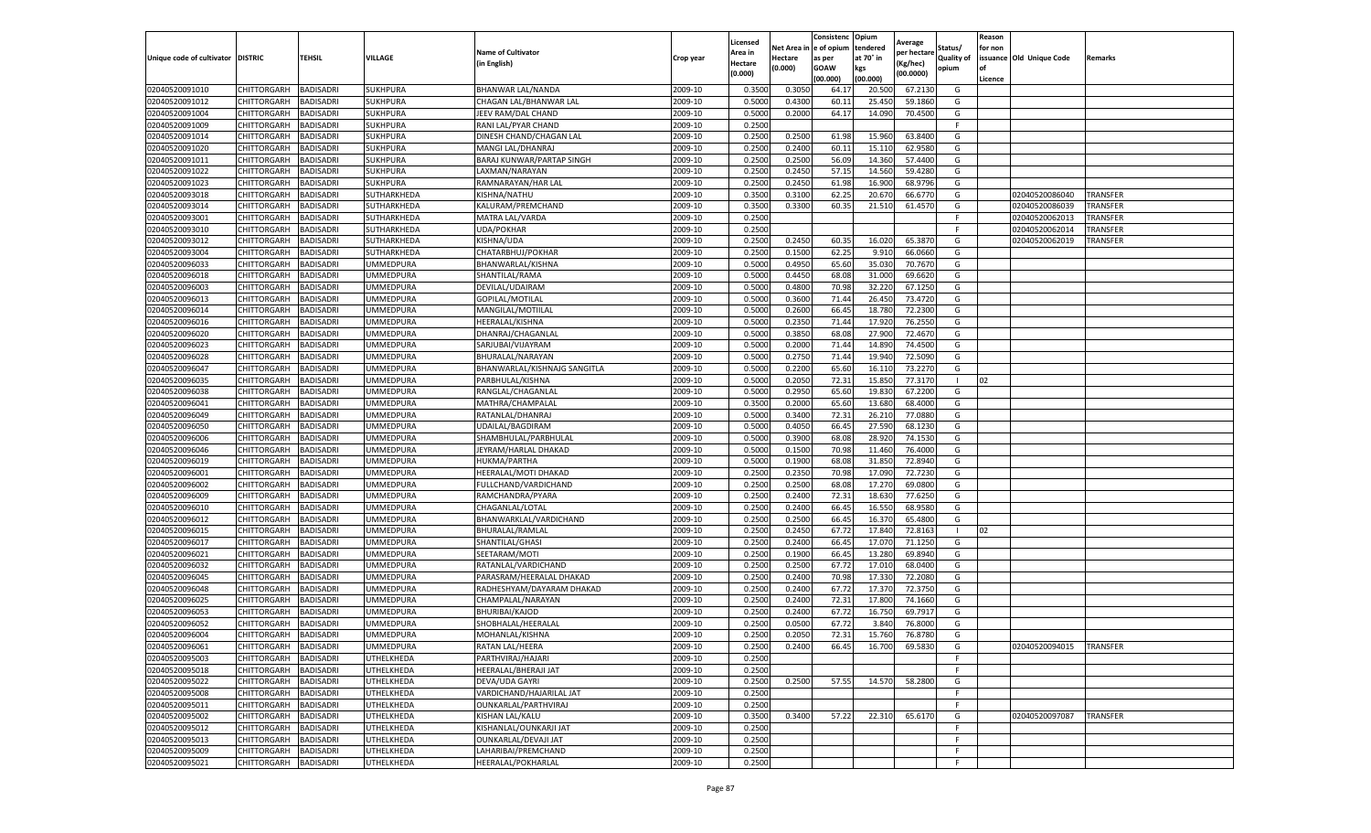|                                   |                                   |                               |                         |                                        |                    | Licensed         |                  | Consistenc              | Opium            | Average          |            | Reason  |                           |                 |
|-----------------------------------|-----------------------------------|-------------------------------|-------------------------|----------------------------------------|--------------------|------------------|------------------|-------------------------|------------------|------------------|------------|---------|---------------------------|-----------------|
|                                   |                                   |                               |                         | <b>Name of Cultivator</b>              |                    | Area in          |                  | Net Area in le of opium | tendered         | per hectare      | Status/    | for non |                           |                 |
| Unique code of cultivator DISTRIC |                                   | TEHSIL                        | VILLAGE                 | (in English)                           | Crop year          | Hectare          | Hectare          | as per                  | at 70° in        | Kg/hec)          | Quality of |         | issuance Old Unique Code  | Remarks         |
|                                   |                                   |                               |                         |                                        |                    | (0.000)          | (0.000)          | GOAW                    | kgs              | (00.0000)        | opium      |         |                           |                 |
|                                   |                                   |                               |                         |                                        |                    |                  |                  | (00.000)                | (00.000)         |                  |            | Licence |                           |                 |
| 02040520091010                    | CHITTORGARH                       | BADISADRI                     | SUKHPURA                | BHANWAR LAL/NANDA                      | 2009-10            | 0.350            | 0.305            | 64.17                   | 20.500           | 67.213           | G          |         |                           |                 |
| 02040520091012                    | CHITTORGARH                       | BADISADRI                     | SUKHPURA                | CHAGAN LAL/BHANWAR LAL                 | 2009-10            | 0.500            | 0.430            | 60.11                   | 25.450           | 59.186           | G          |         |                           |                 |
| 02040520091004                    | CHITTORGARH                       | BADISADRI                     | SUKHPURA                | JEEV RAM/DAL CHAND                     | 2009-10            | 0.5000           | 0.2000           | 64.17                   | 14.090           | 70.450           | G          |         |                           |                 |
| 02040520091009                    | CHITTORGARH                       | <b>BADISADRI</b>              | SUKHPURA                | RANI LAL/PYAR CHAND                    | 2009-10            | 0.2500           |                  |                         |                  |                  | F.         |         |                           |                 |
| 02040520091014                    | CHITTORGARH                       | BADISADRI                     | SUKHPURA                | DINESH CHAND/CHAGAN LAL                | 2009-10            | 0.2500           | 0.250            | 61.98                   | 15.960           | 63.840<br>62.958 | G<br>G     |         |                           |                 |
| 02040520091020                    | CHITTORGARH<br>CHITTORGARH        | BADISADRI<br>BADISADRI        | SUKHPURA<br>SUKHPURA    | MANGI LAL/DHANRAJ                      | 2009-10            | 0.2500<br>0.2500 | 0.2400           | 60.11                   | 15.110<br>14.360 | 57.4400          | G          |         |                           |                 |
| 02040520091011                    |                                   |                               |                         | BARAJ KUNWAR/PARTAP SINGH              | 2009-10            |                  | 0.250            | 56.09                   |                  |                  |            |         |                           |                 |
| 02040520091022<br>02040520091023  | CHITTORGARH<br>CHITTORGARH        | <b>BADISADRI</b>              | SUKHPURA                | LAXMAN/NARAYAN                         | 2009-10<br>2009-10 | 0.2500<br>0.2500 | 0.245            | 57.15                   | 14.560           | 59.428<br>68.979 | G<br>G     |         |                           |                 |
| 02040520093018                    | CHITTORGARH                       | BADISADRI<br><b>BADISADRI</b> | SUKHPURA<br>SUTHARKHEDA | RAMNARAYAN/HAR LAL<br>KISHNA/NATHU     | 2009-10            | 0.3500           | 0.2450<br>0.3100 | 61.98<br>62.25          | 16.900<br>20.670 | 66.677           | G          |         | 02040520086040            | <b>TRANSFER</b> |
| 02040520093014                    | CHITTORGARH                       | <b>BADISADRI</b>              | SUTHARKHEDA             | KALURAM/PREMCHAND                      | 2009-10            | 0.3500           | 0.3300           | 60.3                    | 21.510           | 61.4570          | G          |         | 02040520086039            | TRANSFER        |
| 02040520093001                    | CHITTORGARH                       | BADISADRI                     | SUTHARKHEDA             | MATRA LAL/VARDA                        | 2009-10            | 0.2500           |                  |                         |                  |                  |            |         | 02040520062013            | TRANSFER        |
| 02040520093010                    | CHITTORGARH                       | BADISADRI                     | SUTHARKHEDA             | UDA/POKHAR                             | 2009-10            | 0.2500           |                  |                         |                  |                  |            |         | 02040520062014            | TRANSFER        |
| 02040520093012                    | CHITTORGARH                       | BADISADRI                     | SUTHARKHEDA             | KISHNA/UDA                             | 2009-10            | 0.2500           | 0.245            | 60.3                    | 16.020           | 65.387           | G          |         | 02040520062019            | TRANSFER        |
| 02040520093004                    | CHITTORGARH                       | BADISADRI                     | SUTHARKHEDA             | CHATARBHUJ/POKHAR                      | 2009-10            | 0.2500           | 0.1500           | 62.25                   | 9.910            | 66.0660          | G          |         |                           |                 |
| 02040520096033                    | CHITTORGARH                       | BADISADRI                     | UMMEDPURA               | BHANWARLAL/KISHNA                      | 2009-10            | 0.5000           | 0.495            | 65.60                   | 35.030           | 70.767           | G          |         |                           |                 |
| 02040520096018                    | CHITTORGARH                       | BADISADRI                     | <b>JMMEDPURA</b>        | SHANTILAL/RAMA                         | 2009-10            | 0.5000           | 0.445            | 68.08                   | 31.000           | 69.662           | G          |         |                           |                 |
| 02040520096003                    | CHITTORGARH                       | BADISADRI                     | <b>JMMEDPURA</b>        | DEVILAL/UDAIRAM                        | 2009-10            | 0.5000           | 0.4800           | 70.98                   | 32.220           | 67.125           | G          |         |                           |                 |
| 02040520096013                    | CHITTORGARH                       | <b>BADISADRI</b>              | <b>JMMEDPURA</b>        | GOPILAL/MOTILAL                        | 2009-10            | 0.5000           | 0.3600           | 71.44                   | 26.450           | 73.472           | G          |         |                           |                 |
| 02040520096014                    | CHITTORGARH                       | <b>BADISADRI</b>              | <b>JMMEDPURA</b>        | MANGILAL/MOTIILAL                      | 2009-10            | 0.5000           | 0.2600           | 66.4                    | 18.780           | 72.230           | G          |         |                           |                 |
| 02040520096016                    | CHITTORGARH                       | BADISADRI                     | <b>JMMEDPURA</b>        | HEERALAL/KISHNA                        | 2009-10            | 0.5000           | 0.2350           | 71.44                   | 17.920           | 76.2550          | G          |         |                           |                 |
| 02040520096020                    | CHITTORGARH                       | BADISADRI                     | <b>JMMEDPURA</b>        |                                        | 2009-10            | 0.5000           | 0.3850           | 68.0                    | 27.900           | 72.467           | G          |         |                           |                 |
| 02040520096023                    | CHITTORGARH                       | <b>BADISADRI</b>              | <b>JMMEDPURA</b>        | DHANRAJ/CHAGANLAL<br>SARJUBAI/VIJAYRAM | 2009-10            | 0.5000           | 0.2000           | 71.44                   | 14.890           | 74.4500          | G          |         |                           |                 |
| 02040520096028                    | CHITTORGARH                       | BADISADRI                     | <b>JMMEDPURA</b>        | BHURALAL/NARAYAN                       | 2009-10            | 0.5000           | 0.2750           | 71.44                   | 19.940           | 72.509           | G          |         |                           |                 |
| 02040520096047                    | CHITTORGARH                       | BADISADRI                     | <b>JMMEDPURA</b>        | BHANWARLAL/KISHNAJG SANGITLA           | 2009-10            | 0.5000           | 0.2200           | 65.60                   | 16.11            | 73.227           | G          |         |                           |                 |
| 02040520096035                    | CHITTORGARH                       | BADISADRI                     | <b>JMMEDPURA</b>        | PARBHULAL/KISHNA                       | 2009-10            | 0.5000           | 0.2050           | 72.31                   | 15.850           | 77.317           |            | 02      |                           |                 |
| 02040520096038                    |                                   | <b>BADISADRI</b>              | <b>JMMEDPURA</b>        |                                        | 2009-10            | 0.5000           | 0.2950           | 65.60                   | 19.830           | 67.220           | G          |         |                           |                 |
| 02040520096041                    | CHITTORGARH<br>CHITTORGARH        | BADISADRI                     | <b>JMMEDPURA</b>        | RANGLAL/CHAGANLAI<br>MATHRA/CHAMPALAL  | 2009-10            | 0.3500           | 0.2000           | 65.60                   | 13.680           | 68.4000          | G          |         |                           |                 |
| 02040520096049                    | CHITTORGARH                       | <b>BADISADRI</b>              | UMMEDPURA               | RATANLAL/DHANRAJ                       | 2009-10            | 0.5000           | 0.3400           | 72.31                   | 26.210           | 77.0880          | G          |         |                           |                 |
| 02040520096050                    | CHITTORGARH                       | BADISADRI                     | <b>JMMEDPURA</b>        | UDAILAL/BAGDIRAM                       | 2009-10            | 0.5000           | 0.4050           | 66.45                   | 27.590           | 68.123           | G          |         |                           |                 |
| 02040520096006                    | CHITTORGARH                       | BADISADRI                     | <b>JMMEDPURA</b>        | SHAMBHULAL/PARBHULAL                   | 2009-10            | 0.500            | 0.390            | 68.0                    | 28.920           | 74.153           | G          |         |                           |                 |
| 02040520096046                    | CHITTORGARH                       | BADISADRI                     | <b>JMMEDPURA</b>        | JEYRAM/HARLAL DHAKAD                   | 2009-10            | 0.5000           | 0.150            | 70.98                   | 11.460           | 76.400           | G          |         |                           |                 |
| 02040520096019                    | CHITTORGARH                       | BADISADRI                     | <b>JMMEDPURA</b>        | HUKMA/PARTHA                           | 2009-10            | 0.5000           | 0.190            | 68.08                   | 31.850           | 72.894           | G          |         |                           |                 |
| 02040520096001                    | CHITTORGARH                       | BADISADRI                     | <b>JMMEDPURA</b>        | HEERALAL/MOTI DHAKAD                   | 2009-10            | 0.2500           | 0.2350           | 70.98                   | 17.090           | 72.723           | G          |         |                           |                 |
| 02040520096002                    | CHITTORGARH                       | <b>BADISADRI</b>              | <b>JMMEDPURA</b>        | FULLCHAND/VARDICHAND                   | 2009-10            | 0.2500           | 0.250            | 68.08                   | 17.270           | 69.080           | G          |         |                           |                 |
| 02040520096009                    | CHITTORGARH                       | BADISADRI                     | <b>JMMEDPURA</b>        | RAMCHANDRA/PYARA                       | 2009-10            | 0.2500           | 0.2400           | 72.3                    | 18.630           | 77.625           | G          |         |                           |                 |
| 02040520096010                    | CHITTORGARH                       | BADISADRI                     | <b>JMMEDPURA</b>        | CHAGANLAL/LOTAL                        | 2009-10            | 0.2500           | 0.2400           | 66.45                   | 16.550           | 68.958           | G          |         |                           |                 |
| 02040520096012                    | CHITTORGARH                       | <b>BADISADRI</b>              | <b>JMMEDPURA</b>        | BHANWARKLAL/VARDICHAND                 | 2009-10            | 0.2500           | 0.250            | 66.4                    | 16.370           | 65.480           | G          |         |                           |                 |
| 02040520096015                    | CHITTORGARH                       | <b>BADISADRI</b>              | JMMEDPURA               | BHURALAL/RAMLAL                        | 2009-10            | 0.2500           | 0.245            | 67.7                    | 17.840           | 72.816           |            | 02      |                           |                 |
| 02040520096017                    | CHITTORGARH                       | BADISADRI                     | <b>JMMEDPURA</b>        | SHANTILAL/GHASI                        | 2009-10            | 0.2500           | 0.2400           | 66.45                   | 17.07            | 71.125           | G          |         |                           |                 |
| 02040520096021                    | CHITTORGARH                       | BADISADRI                     | <b>JMMEDPURA</b>        | SEETARAM/MOTI                          | 2009-10            | 0.250            | 0.1900           | 66.4                    | 13.280           | 69.894           | G          |         |                           |                 |
| 02040520096032                    | CHITTORGARH                       | BADISADRI                     | <b>JMMEDPURA</b>        | RATANLAL/VARDICHAND                    | 2009-10            | 0.2500           | 0.250            | 67.72                   | 17.010           | 68.040           | G          |         |                           |                 |
| 02040520096045                    | CHITTORGARH                       | BADISADRI                     | <b>JMMEDPURA</b>        | PARASRAM/HEERALAL DHAKAD               | 2009-10            | 0.2500           | 0.2400           | 70.98                   | 17.330           | 72.208           | G          |         |                           |                 |
| 02040520096048                    | CHITTORGARH                       | BADISADRI                     | <b>JMMEDPURA</b>        | RADHESHYAM/DAYARAM DHAKAD              | 2009-10            | 0.2500           | 0.2400           | 67.72                   | 17.37            | 72.375           | G          |         |                           |                 |
| 02040520096025                    | CHITTORGARH                       | BADISADRI                     | <b>JMMEDPURA</b>        | CHAMPALAL/NARAYAN                      | 2009-10            | 0.2500           | 0.2400           | 72.31                   | 17.800           | 74.1660          | G          |         |                           |                 |
| 02040520096053                    | CHITTORGARH                       | BADISADRI                     | JMMEDPURA               | BHURIBAI/KAJOD                         | 2009-10            | 0.2500           | 0.240            | 67.72                   | 16.750           | 69.791           | G          |         |                           |                 |
| 02040520096052                    | CHITTORGARH                       | BADISADRI                     | <b>JMMEDPURA</b>        | SHOBHALAL/HEERALAI                     | 2009-10            | 0.2500           | 0.050            | 67.72                   | 3.840            | 76.800           | G          |         |                           |                 |
| 02040520096004                    | CHITTORGARH                       | <b>BADISADRI</b>              | UMMEDPURA               | MOHANLAL/KISHNA                        | 2009-10            | 0.2500           | 0.2050           | 72.31                   | 15.760           | 76.8780          | G          |         |                           |                 |
| 02040520096061                    | CHITTORGARH                       | <b>BADISADRI</b>              | JMMEDPURA               | RATAN LAL/HEERA                        | 2009-10            | 0.2500           | 0.2400           | 66.45                   | 16.700           | 69.5830          | G          |         | 02040520094015   TRANSFER |                 |
| 02040520095003                    | CHITTORGARH                       | BADISADRI                     | UTHELKHEDA              | PARTHVIRAJ/HAJARI                      | 2009-10            | 0.2500           |                  |                         |                  |                  | F          |         |                           |                 |
| 02040520095018                    | CHITTORGARH                       | <b>BADISADRI</b>              | UTHELKHEDA              | HEERALAL/BHERAJI JAT                   | 2009-10            | 0.2500           |                  |                         |                  |                  | E          |         |                           |                 |
| 02040520095022                    | CHITTORGARH                       | BADISADRI                     | UTHELKHEDA              | DEVA/UDA GAYRI                         | 2009-10            | 0.2500           | 0.250            | 57.55                   | 14.570           | 58.280           | G          |         |                           |                 |
| 02040520095008                    | CHITTORGARH                       | BADISADRI                     | UTHELKHEDA              | VARDICHAND/HAJARILAL JAT               | 2009-10            | 0.2500           |                  |                         |                  |                  | F.         |         |                           |                 |
| 02040520095011                    | CHITTORGARH                       | <b>BADISADRI</b>              | UTHELKHEDA              | OUNKARLAL/PARTHVIRAJ                   | 2009-10            | 0.2500           |                  |                         |                  |                  | F.         |         |                           |                 |
| 02040520095002                    | CHITTORGARH                       | BADISADRI                     | UTHELKHEDA              | KISHAN LAL/KALU                        | 2009-10            | 0.3500           | 0.3400           | 57.22                   | 22.310           | 65.6170          | G          |         | 02040520097087            | <b>TRANSFER</b> |
| 02040520095012                    | CHITTORGARH                       |                               | UTHELKHEDA              | KISHANLAL/OUNKARJI JAT                 | 2009-10            | 0.2500           |                  |                         |                  |                  | F          |         |                           |                 |
| 02040520095013                    | CHITTORGARH                       | BADISADRI<br>BADISADRI        | UTHELKHEDA              | OUNKARLAL/DEVAJI JAT                   | 2009-10            | 0.2500           |                  |                         |                  |                  | E          |         |                           |                 |
| 02040520095009                    |                                   |                               |                         |                                        |                    |                  |                  |                         |                  |                  | F.         |         |                           |                 |
|                                   | CHITTORGARH<br><b>CHITTORGARH</b> | BADISADRI                     | UTHELKHEDA              | LAHARIBAI/PREMCHAND                    | 2009-10            | 0.2500           |                  |                         |                  |                  |            |         |                           |                 |
| 02040520095021                    |                                   | <b>BADISADRI</b>              | UTHELKHEDA              | HEERALAL/POKHARLAL                     | 2009-10            | 0.2500           |                  |                         |                  |                  | F          |         |                           |                 |